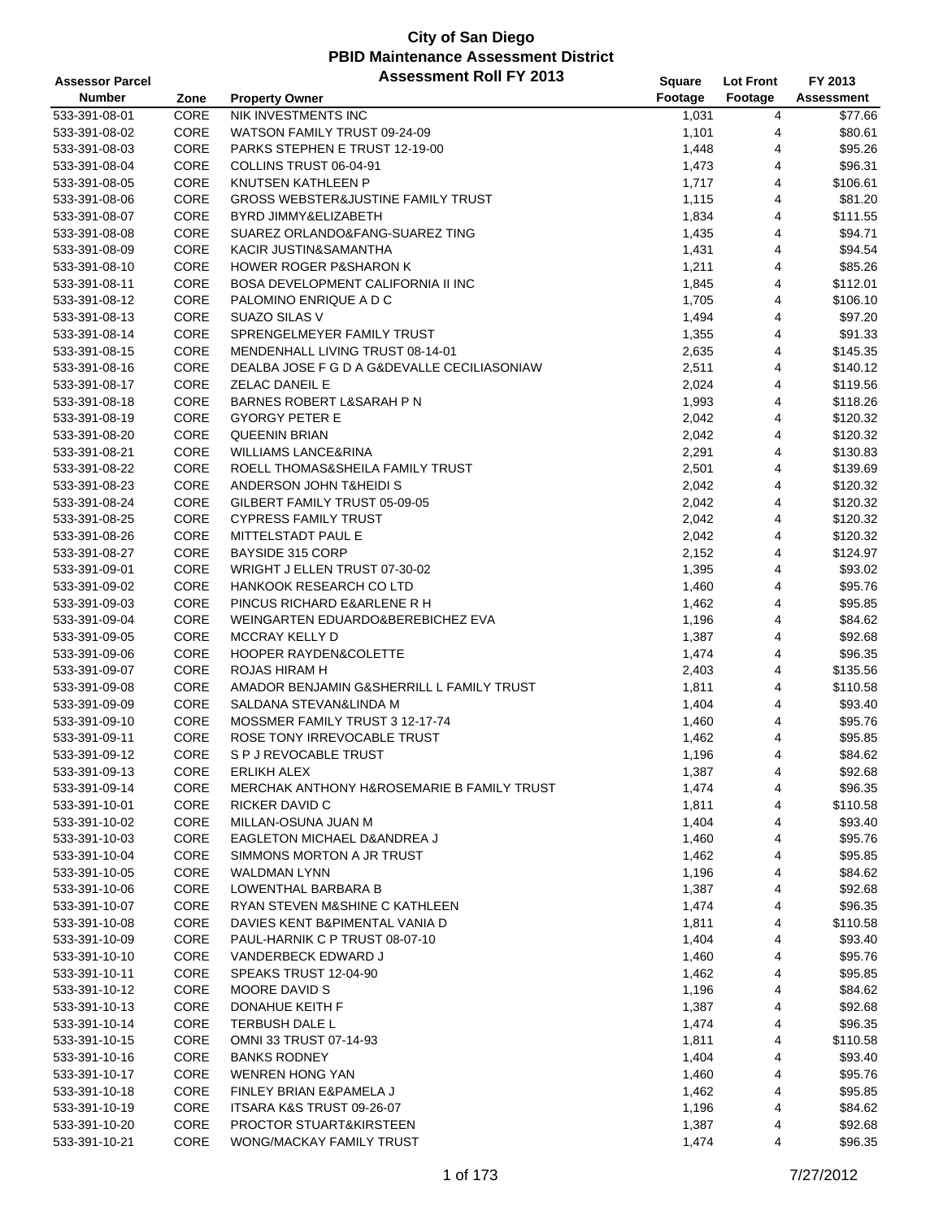| <b>Assessor Parcel</b> |      | <b>Assessment Roll FY 2013</b>                        | <b>Square</b> | <b>Lot Front</b> | FY 2013           |
|------------------------|------|-------------------------------------------------------|---------------|------------------|-------------------|
| <b>Number</b>          | Zone | <b>Property Owner</b>                                 | Footage       | Footage          | <b>Assessment</b> |
| 533-391-08-01          | CORE | NIK INVESTMENTS INC                                   | 1,031         | 4                | \$77.66           |
| 533-391-08-02          | CORE | WATSON FAMILY TRUST 09-24-09                          | 1,101         | 4                | \$80.61           |
| 533-391-08-03          | CORE | PARKS STEPHEN E TRUST 12-19-00                        | 1,448         | 4                | \$95.26           |
| 533-391-08-04          | CORE | COLLINS TRUST 06-04-91                                | 1,473         | 4                | \$96.31           |
| 533-391-08-05          | CORE | KNUTSEN KATHLEEN P                                    | 1,717         | 4                | \$106.61          |
| 533-391-08-06          | CORE | <b>GROSS WEBSTER&amp;JUSTINE FAMILY TRUST</b>         | 1,115         | 4                | \$81.20           |
|                        | CORE |                                                       |               |                  | \$111.55          |
| 533-391-08-07          |      | BYRD JIMMY&ELIZABETH                                  | 1,834         | 4                |                   |
| 533-391-08-08          | CORE | SUAREZ ORLANDO&FANG-SUAREZ TING                       | 1,435         | 4                | \$94.71           |
| 533-391-08-09          | CORE | KACIR JUSTIN&SAMANTHA                                 | 1,431         | 4                | \$94.54           |
| 533-391-08-10          | CORE | <b>HOWER ROGER P&amp;SHARON K</b>                     | 1,211         | 4                | \$85.26           |
| 533-391-08-11          | CORE | <b>BOSA DEVELOPMENT CALIFORNIA II INC</b>             | 1,845         | 4                | \$112.01          |
| 533-391-08-12          | CORE | PALOMINO ENRIQUE A D C                                | 1,705         | 4                | \$106.10          |
| 533-391-08-13          | CORE | SUAZO SILAS V                                         | 1,494         | 4                | \$97.20           |
| 533-391-08-14          | CORE | SPRENGELMEYER FAMILY TRUST                            | 1,355         | 4                | \$91.33           |
| 533-391-08-15          | CORE | MENDENHALL LIVING TRUST 08-14-01                      | 2,635         | 4                | \$145.35          |
| 533-391-08-16          | CORE | DEALBA JOSE F G D A G&DEVALLE CECILIASONIAW           | 2,511         | 4                | \$140.12          |
| 533-391-08-17          | CORE | <b>ZELAC DANEIL E</b>                                 | 2,024         | 4                | \$119.56          |
| 533-391-08-18          | CORE | <b>BARNES ROBERT L&amp;SARAH P N</b>                  | 1,993         | 4                | \$118.26          |
| 533-391-08-19          | CORE | <b>GYORGY PETER E</b>                                 | 2,042         | 4                | \$120.32          |
| 533-391-08-20          | CORE | <b>QUEENIN BRIAN</b>                                  | 2,042         | 4                | \$120.32          |
| 533-391-08-21          | CORE | WILLIAMS LANCE&RINA                                   | 2,291         | 4                | \$130.83          |
| 533-391-08-22          | CORE | ROELL THOMAS&SHEILA FAMILY TRUST                      | 2,501         | 4                | \$139.69          |
| 533-391-08-23          | CORE | ANDERSON JOHN T&HEIDIS                                | 2,042         | 4                | \$120.32          |
| 533-391-08-24          | CORE | GILBERT FAMILY TRUST 05-09-05                         | 2,042         | 4                | \$120.32          |
| 533-391-08-25          | CORE | <b>CYPRESS FAMILY TRUST</b>                           | 2,042         | 4                | \$120.32          |
| 533-391-08-26          | CORE | MITTELSTADT PAUL E                                    | 2,042         | 4                | \$120.32          |
| 533-391-08-27          | CORE | BAYSIDE 315 CORP                                      | 2,152         | 4                | \$124.97          |
| 533-391-09-01          | CORE | WRIGHT J ELLEN TRUST 07-30-02                         | 1,395         | 4                | \$93.02           |
| 533-391-09-02          | CORE | <b>HANKOOK RESEARCH CO LTD</b>                        | 1,460         | 4                | \$95.76           |
| 533-391-09-03          | CORE | PINCUS RICHARD E&ARLENE R H                           | 1,462         | 4                | \$95.85           |
| 533-391-09-04          | CORE | WEINGARTEN EDUARDO&BEREBICHEZ EVA                     | 1,196         | 4                | \$84.62           |
| 533-391-09-05          | CORE | MCCRAY KELLY D                                        | 1,387         | 4                | \$92.68           |
| 533-391-09-06          | CORE | HOOPER RAYDEN&COLETTE                                 |               | 4                | \$96.35           |
|                        | CORE | <b>ROJAS HIRAM H</b>                                  | 1,474         |                  |                   |
| 533-391-09-07          |      |                                                       | 2,403         | 4                | \$135.56          |
| 533-391-09-08          | CORE | AMADOR BENJAMIN G&SHERRILL L FAMILY TRUST             | 1,811         | 4                | \$110.58          |
| 533-391-09-09          | CORE | SALDANA STEVAN&LINDA M                                | 1,404         | 4                | \$93.40           |
| 533-391-09-10          | CORE | MOSSMER FAMILY TRUST 3 12-17-74                       | 1,460         | 4                | \$95.76           |
| 533-391-09-11          | CORE | ROSE TONY IRREVOCABLE TRUST                           | 1,462         | 4                | \$95.85           |
| 533-391-09-12          | CORE | S P J REVOCABLE TRUST                                 | 1,196         | $\overline{4}$   | \$84.62           |
| 533-391-09-13          | CORE | <b>ERLIKH ALEX</b>                                    | 1,387         | 4                | \$92.68           |
| 533-391-09-14          | CORE | <b>MERCHAK ANTHONY H&amp;ROSEMARIE B FAMILY TRUST</b> | 1,474         | 4                | \$96.35           |
| 533-391-10-01          | CORE | RICKER DAVID C                                        | 1,811         | 4                | \$110.58          |
| 533-391-10-02          | CORE | MILLAN-OSUNA JUAN M                                   | 1,404         | 4                | \$93.40           |
| 533-391-10-03          | CORE | EAGLETON MICHAEL D&ANDREA J                           | 1,460         | 4                | \$95.76           |
| 533-391-10-04          | CORE | SIMMONS MORTON A JR TRUST                             | 1,462         | 4                | \$95.85           |
| 533-391-10-05          | CORE | <b>WALDMAN LYNN</b>                                   | 1,196         | 4                | \$84.62           |
| 533-391-10-06          | CORE | LOWENTHAL BARBARA B                                   | 1,387         | 4                | \$92.68           |
| 533-391-10-07          | CORE | RYAN STEVEN M&SHINE C KATHLEEN                        | 1,474         | 4                | \$96.35           |
| 533-391-10-08          | CORE | DAVIES KENT B&PIMENTAL VANIA D                        | 1,811         | 4                | \$110.58          |
| 533-391-10-09          | CORE | PAUL-HARNIK C P TRUST 08-07-10                        | 1,404         | 4                | \$93.40           |
| 533-391-10-10          | CORE | VANDERBECK EDWARD J                                   | 1,460         | 4                | \$95.76           |
| 533-391-10-11          | CORE | SPEAKS TRUST 12-04-90                                 | 1,462         | 4                | \$95.85           |
| 533-391-10-12          | CORE | <b>MOORE DAVID S</b>                                  | 1,196         | 4                | \$84.62           |
| 533-391-10-13          | CORE | DONAHUE KEITH F                                       | 1,387         | 4                | \$92.68           |
| 533-391-10-14          | CORE | TERBUSH DALE L                                        | 1,474         | 4                | \$96.35           |
| 533-391-10-15          | CORE | OMNI 33 TRUST 07-14-93                                | 1,811         | 4                | \$110.58          |
| 533-391-10-16          | CORE | <b>BANKS RODNEY</b>                                   | 1,404         | 4                | \$93.40           |
| 533-391-10-17          | CORE | <b>WENREN HONG YAN</b>                                | 1,460         | 4                | \$95.76           |
| 533-391-10-18          | CORE | FINLEY BRIAN E&PAMELA J                               | 1,462         | 4                | \$95.85           |
| 533-391-10-19          | CORE | ITSARA K&S TRUST 09-26-07                             | 1,196         | 4                | \$84.62           |
| 533-391-10-20          | CORE | PROCTOR STUART&KIRSTEEN                               | 1,387         | 4                | \$92.68           |
| 533-391-10-21          | CORE | WONG/MACKAY FAMILY TRUST                              |               | 4                | \$96.35           |
|                        |      |                                                       | 1,474         |                  |                   |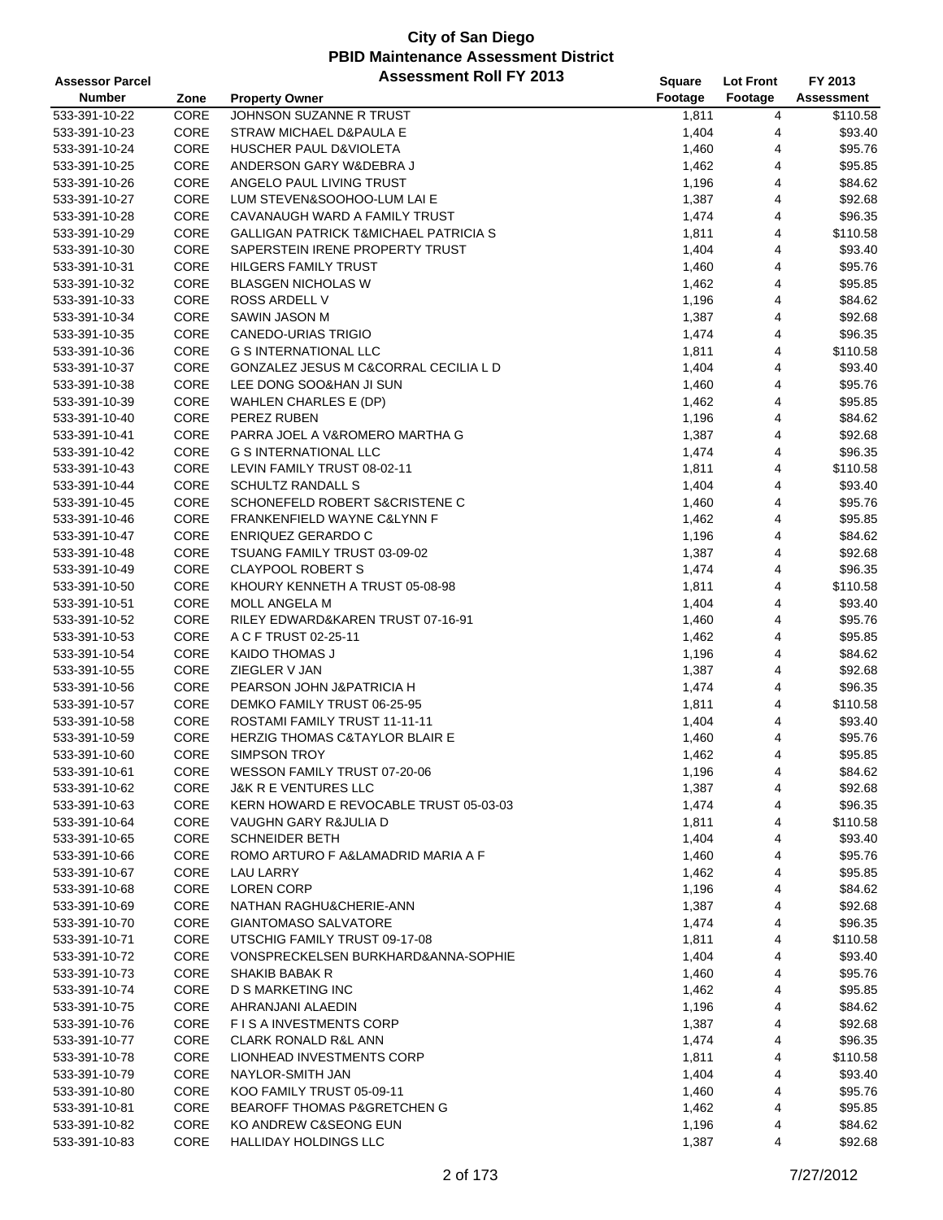| <b>Assessor Parcel</b> |      | <b>Assessment Roll FY 2013</b>                   | Square  | <b>Lot Front</b> | FY 2013    |
|------------------------|------|--------------------------------------------------|---------|------------------|------------|
| <b>Number</b>          | Zone | <b>Property Owner</b>                            | Footage | Footage          | Assessment |
| 533-391-10-22          | CORE | JOHNSON SUZANNE R TRUST                          | 1,811   | 4                | \$110.58   |
| 533-391-10-23          | CORE | STRAW MICHAEL D&PAULA E                          | 1,404   | 4                | \$93.40    |
| 533-391-10-24          | CORE | HUSCHER PAUL D&VIOLETA                           | 1,460   | 4                | \$95.76    |
| 533-391-10-25          | CORE | ANDERSON GARY W&DEBRA J                          | 1,462   | 4                | \$95.85    |
| 533-391-10-26          | CORE | ANGELO PAUL LIVING TRUST                         | 1,196   | 4                | \$84.62    |
| 533-391-10-27          | CORE | LUM STEVEN&SOOHOO-LUM LAI E                      | 1,387   | 4                | \$92.68    |
| 533-391-10-28          | CORE | CAVANAUGH WARD A FAMILY TRUST                    | 1,474   | 4                | \$96.35    |
| 533-391-10-29          | CORE | <b>GALLIGAN PATRICK T&amp;MICHAEL PATRICIA S</b> | 1,811   | 4                | \$110.58   |
| 533-391-10-30          | CORE | SAPERSTEIN IRENE PROPERTY TRUST                  | 1,404   | 4                | \$93.40    |
| 533-391-10-31          | CORE | <b>HILGERS FAMILY TRUST</b>                      | 1,460   | 4                | \$95.76    |
| 533-391-10-32          | CORE | <b>BLASGEN NICHOLAS W</b>                        | 1,462   | 4                | \$95.85    |
| 533-391-10-33          | CORE | ROSS ARDELL V                                    | 1,196   | 4                | \$84.62    |
| 533-391-10-34          | CORE | SAWIN JASON M                                    | 1,387   | 4                | \$92.68    |
| 533-391-10-35          | CORE | CANEDO-URIAS TRIGIO                              | 1,474   | 4                | \$96.35    |
| 533-391-10-36          | CORE | <b>G S INTERNATIONAL LLC</b>                     | 1,811   | 4                | \$110.58   |
| 533-391-10-37          | CORE | GONZALEZ JESUS M C&CORRAL CECILIA L D            | 1,404   | 4                | \$93.40    |
| 533-391-10-38          | CORE | LEE DONG SOO&HAN JI SUN                          | 1,460   | 4                | \$95.76    |
| 533-391-10-39          | CORE | <b>WAHLEN CHARLES E (DP)</b>                     | 1,462   | 4                | \$95.85    |
| 533-391-10-40          | CORE | PEREZ RUBEN                                      | 1,196   | 4                | \$84.62    |
| 533-391-10-41          | CORE | PARRA JOEL A V&ROMERO MARTHA G                   | 1,387   | 4                | \$92.68    |
| 533-391-10-42          | CORE | G S INTERNATIONAL LLC                            | 1,474   | 4                | \$96.35    |
| 533-391-10-43          | CORE | LEVIN FAMILY TRUST 08-02-11                      | 1,811   | 4                | \$110.58   |
| 533-391-10-44          | CORE | <b>SCHULTZ RANDALL S</b>                         | 1,404   | 4                | \$93.40    |
| 533-391-10-45          | CORE | SCHONEFELD ROBERT S&CRISTENE C                   | 1,460   | 4                | \$95.76    |
| 533-391-10-46          | CORE | FRANKENFIELD WAYNE C&LYNN F                      | 1,462   | 4                | \$95.85    |
| 533-391-10-47          | CORE | ENRIQUEZ GERARDO C                               | 1,196   | 4                | \$84.62    |
| 533-391-10-48          | CORE | TSUANG FAMILY TRUST 03-09-02                     | 1,387   | 4                | \$92.68    |
| 533-391-10-49          | CORE | <b>CLAYPOOL ROBERT S</b>                         | 1,474   | 4                | \$96.35    |
| 533-391-10-50          | CORE | KHOURY KENNETH A TRUST 05-08-98                  | 1,811   | 4                | \$110.58   |
| 533-391-10-51          | CORE | MOLL ANGELA M                                    | 1,404   | 4                | \$93.40    |
| 533-391-10-52          | CORE | RILEY EDWARD&KAREN TRUST 07-16-91                | 1,460   | 4                | \$95.76    |
| 533-391-10-53          | CORE | A C F TRUST 02-25-11                             | 1,462   | 4                | \$95.85    |
| 533-391-10-54          | CORE | <b>KAIDO THOMAS J</b>                            | 1,196   | 4                | \$84.62    |
| 533-391-10-55          | CORE | ZIEGLER V JAN                                    | 1,387   | 4                | \$92.68    |
| 533-391-10-56          | CORE | PEARSON JOHN J&PATRICIA H                        | 1,474   | 4                | \$96.35    |
| 533-391-10-57          | CORE | DEMKO FAMILY TRUST 06-25-95                      | 1,811   | 4                | \$110.58   |
| 533-391-10-58          | CORE | ROSTAMI FAMILY TRUST 11-11-11                    | 1,404   | 4                | \$93.40    |
| 533-391-10-59          | CORE | <b>HERZIG THOMAS C&amp;TAYLOR BLAIR E</b>        | 1,460   | 4                | \$95.76    |
| 533-391-10-60          | CORE | <b>SIMPSON TROY</b>                              | 1,462   | $\overline{4}$   | \$95.85    |
| 533-391-10-61          | CORE | WESSON FAMILY TRUST 07-20-06                     | 1,196   | 4                | \$84.62    |
| 533-391-10-62          | CORE | J&K R E VENTURES LLC                             | 1,387   | 4                | \$92.68    |
| 533-391-10-63          | CORE | KERN HOWARD E REVOCABLE TRUST 05-03-03           | 1,474   | 4                | \$96.35    |
| 533-391-10-64          | CORE | VAUGHN GARY R&JULIA D                            | 1,811   | 4                | \$110.58   |
| 533-391-10-65          | CORE | <b>SCHNEIDER BETH</b>                            | 1,404   | 4                | \$93.40    |
| 533-391-10-66          | CORE | ROMO ARTURO F A&LAMADRID MARIA A F               | 1,460   | 4                | \$95.76    |
| 533-391-10-67          | CORE | LAU LARRY                                        | 1,462   | 4                | \$95.85    |
| 533-391-10-68          | CORE | <b>LOREN CORP</b>                                | 1,196   | 4                | \$84.62    |
| 533-391-10-69          | CORE | NATHAN RAGHU&CHERIE-ANN                          | 1,387   | 4                | \$92.68    |
| 533-391-10-70          | CORE | <b>GIANTOMASO SALVATORE</b>                      | 1,474   | 4                | \$96.35    |
| 533-391-10-71          | CORE | UTSCHIG FAMILY TRUST 09-17-08                    | 1,811   | 4                | \$110.58   |
| 533-391-10-72          | CORE | VONSPRECKELSEN BURKHARD&ANNA-SOPHIE              | 1,404   | 4                | \$93.40    |
| 533-391-10-73          | CORE | <b>SHAKIB BABAK R</b>                            | 1,460   | 4                | \$95.76    |
| 533-391-10-74          | CORE | D S MARKETING INC                                | 1,462   | 4                | \$95.85    |
| 533-391-10-75          | CORE | AHRANJANI ALAEDIN                                | 1,196   | 4                | \$84.62    |
| 533-391-10-76          | CORE | F I S A INVESTMENTS CORP                         | 1,387   | 4                | \$92.68    |
| 533-391-10-77          | CORE | <b>CLARK RONALD R&amp;L ANN</b>                  | 1,474   | 4                | \$96.35    |
| 533-391-10-78          | CORE | LIONHEAD INVESTMENTS CORP                        | 1,811   | 4                | \$110.58   |
| 533-391-10-79          | CORE | NAYLOR-SMITH JAN                                 | 1,404   | 4                | \$93.40    |
| 533-391-10-80          | CORE | KOO FAMILY TRUST 05-09-11                        | 1,460   | 4                | \$95.76    |
| 533-391-10-81          | CORE | <b>BEAROFF THOMAS P&amp;GRETCHEN G</b>           | 1,462   | 4                | \$95.85    |
| 533-391-10-82          | CORE | KO ANDREW C&SEONG EUN                            | 1,196   | 4                | \$84.62    |
| 533-391-10-83          | CORE | HALLIDAY HOLDINGS LLC                            | 1,387   | 4                | \$92.68    |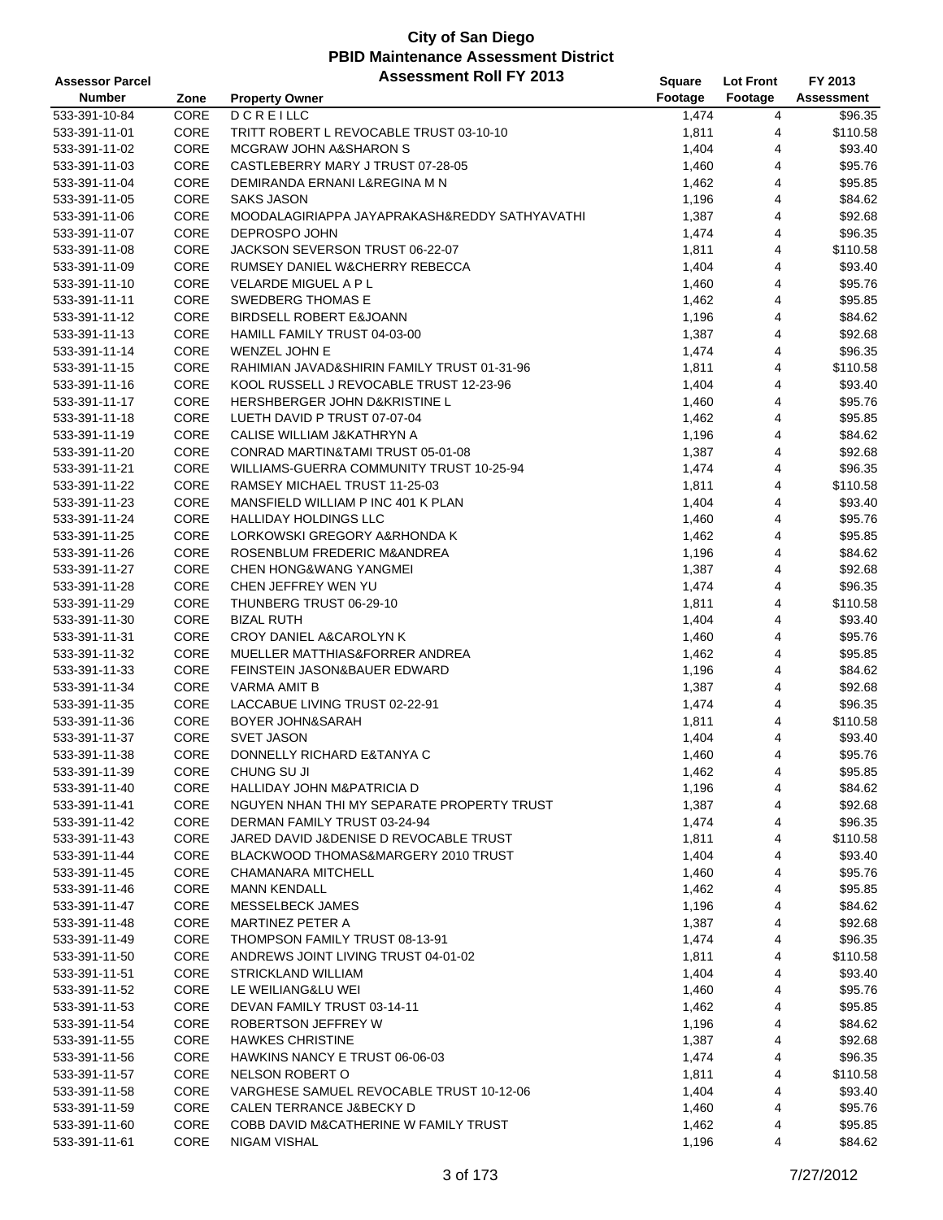| <b>Assessor Parcel</b> |              | <b>Assessment Roll FY 2013</b>                | Square  | <b>Lot Front</b> | FY 2013    |
|------------------------|--------------|-----------------------------------------------|---------|------------------|------------|
| <b>Number</b>          | Zone         | <b>Property Owner</b>                         | Footage | Footage          | Assessment |
| 533-391-10-84          | CORE         | <b>DCREILLC</b>                               | 1,474   | 4                | \$96.35    |
| 533-391-11-01          | CORE         | TRITT ROBERT L REVOCABLE TRUST 03-10-10       | 1,811   | 4                | \$110.58   |
| 533-391-11-02          | CORE         | MCGRAW JOHN A&SHARON S                        | 1,404   | 4                | \$93.40    |
| 533-391-11-03          | CORE         | CASTLEBERRY MARY J TRUST 07-28-05             | 1,460   | 4                | \$95.76    |
| 533-391-11-04          | CORE         | DEMIRANDA ERNANI L&REGINA M N                 | 1,462   | 4                | \$95.85    |
| 533-391-11-05          | CORE         | <b>SAKS JASON</b>                             | 1,196   | 4                | \$84.62    |
| 533-391-11-06          | CORE         | MOODALAGIRIAPPA JAYAPRAKASH&REDDY SATHYAVATHI | 1,387   | 4                | \$92.68    |
| 533-391-11-07          | CORE         | DEPROSPO JOHN                                 | 1,474   | 4                | \$96.35    |
| 533-391-11-08          | CORE         | JACKSON SEVERSON TRUST 06-22-07               | 1,811   | $\overline{4}$   | \$110.58   |
| 533-391-11-09          | CORE         | RUMSEY DANIEL W&CHERRY REBECCA                | 1,404   | 4                | \$93.40    |
| 533-391-11-10          | CORE         | <b>VELARDE MIGUEL A P L</b>                   | 1,460   | 4                | \$95.76    |
| 533-391-11-11          | CORE         | SWEDBERG THOMAS E                             | 1,462   | 4                | \$95.85    |
| 533-391-11-12          | CORE         | BIRDSELL ROBERT E&JOANN                       | 1,196   | 4                | \$84.62    |
| 533-391-11-13          | CORE         | HAMILL FAMILY TRUST 04-03-00                  | 1,387   | $\overline{4}$   | \$92.68    |
| 533-391-11-14          | CORE         | <b>WENZEL JOHN E</b>                          | 1,474   | $\overline{4}$   | \$96.35    |
| 533-391-11-15          | CORE         | RAHIMIAN JAVAD&SHIRIN FAMILY TRUST 01-31-96   | 1,811   | 4                | \$110.58   |
| 533-391-11-16          | CORE         | KOOL RUSSELL J REVOCABLE TRUST 12-23-96       | 1,404   | 4                | \$93.40    |
| 533-391-11-17          | CORE         | HERSHBERGER JOHN D&KRISTINE L                 | 1,460   | 4                | \$95.76    |
| 533-391-11-18          | CORE         | LUETH DAVID P TRUST 07-07-04                  | 1,462   | 4                | \$95.85    |
| 533-391-11-19          | CORE         | CALISE WILLIAM J&KATHRYN A                    | 1,196   | 4                | \$84.62    |
| 533-391-11-20          | CORE         | CONRAD MARTIN&TAMI TRUST 05-01-08             | 1,387   | 4                | \$92.68    |
| 533-391-11-21          | CORE         | WILLIAMS-GUERRA COMMUNITY TRUST 10-25-94      | 1,474   | 4                | \$96.35    |
| 533-391-11-22          | CORE         | RAMSEY MICHAEL TRUST 11-25-03                 | 1,811   | 4                | \$110.58   |
| 533-391-11-23          | CORE         | MANSFIELD WILLIAM P INC 401 K PLAN            | 1,404   | 4                | \$93.40    |
| 533-391-11-24          | CORE         | <b>HALLIDAY HOLDINGS LLC</b>                  |         | 4                | \$95.76    |
|                        | CORE         |                                               | 1,460   | $\overline{4}$   |            |
| 533-391-11-25          |              | LORKOWSKI GREGORY A&RHONDA K                  | 1,462   | 4                | \$95.85    |
| 533-391-11-26          | CORE<br>CORE | ROSENBLUM FREDERIC M&ANDREA                   | 1,196   | 4                | \$84.62    |
| 533-391-11-27          | CORE         | <b>CHEN HONG&amp;WANG YANGMEI</b>             | 1,387   |                  | \$92.68    |
| 533-391-11-28          | CORE         | CHEN JEFFREY WEN YU                           | 1,474   | 4<br>4           | \$96.35    |
| 533-391-11-29          | CORE         | THUNBERG TRUST 06-29-10                       | 1,811   | 4                | \$110.58   |
| 533-391-11-30          | CORE         | <b>BIZAL RUTH</b>                             | 1,404   |                  | \$93.40    |
| 533-391-11-31          |              | CROY DANIEL A&CAROLYN K                       | 1,460   | 4                | \$95.76    |
| 533-391-11-32          | CORE         | MUELLER MATTHIAS&FORRER ANDREA                | 1,462   | 4                | \$95.85    |
| 533-391-11-33          | CORE         | FEINSTEIN JASON&BAUER EDWARD                  | 1,196   | 4                | \$84.62    |
| 533-391-11-34          | CORE         | VARMA AMIT B                                  | 1,387   | 4                | \$92.68    |
| 533-391-11-35          | CORE         | LACCABUE LIVING TRUST 02-22-91                | 1,474   | 4                | \$96.35    |
| 533-391-11-36          | CORE         | BOYER JOHN&SARAH                              | 1,811   | 4                | \$110.58   |
| 533-391-11-37          | CORE         | <b>SVET JASON</b>                             | 1,404   | 4                | \$93.40    |
| 533-391-11-38          | CORE         | DONNELLY RICHARD E&TANYA C                    | 1,460   | $\overline{4}$   | \$95.76    |
| 533-391-11-39          | CORE         | CHUNG SU JI                                   | 1,462   | 4                | \$95.85    |
| 533-391-11-40          | CORE         | HALLIDAY JOHN M&PATRICIA D                    | 1,196   | 4                | \$84.62    |
| 533-391-11-41          | CORE         | NGUYEN NHAN THI MY SEPARATE PROPERTY TRUST    | 1,387   | 4                | \$92.68    |
| 533-391-11-42          | CORE         | DERMAN FAMILY TRUST 03-24-94                  | 1,474   | 4                | \$96.35    |
| 533-391-11-43          | CORE         | JARED DAVID J&DENISE D REVOCABLE TRUST        | 1,811   | 4                | \$110.58   |
| 533-391-11-44          | CORE         | BLACKWOOD THOMAS&MARGERY 2010 TRUST           | 1,404   | 4                | \$93.40    |
| 533-391-11-45          | CORE         | CHAMANARA MITCHELL                            | 1,460   | 4                | \$95.76    |
| 533-391-11-46          | CORE         | <b>MANN KENDALL</b>                           | 1,462   | 4                | \$95.85    |
| 533-391-11-47          | CORE         | MESSELBECK JAMES                              | 1,196   | 4                | \$84.62    |
| 533-391-11-48          | CORE         | MARTINEZ PETER A                              | 1,387   | 4                | \$92.68    |
| 533-391-11-49          | CORE         | THOMPSON FAMILY TRUST 08-13-91                | 1,474   | 4                | \$96.35    |
| 533-391-11-50          | CORE         | ANDREWS JOINT LIVING TRUST 04-01-02           | 1,811   | 4                | \$110.58   |
| 533-391-11-51          | CORE         | STRICKLAND WILLIAM                            | 1,404   | 4                | \$93.40    |
| 533-391-11-52          | CORE         | LE WEILIANG&LU WEI                            | 1,460   | 4                | \$95.76    |
| 533-391-11-53          | CORE         | DEVAN FAMILY TRUST 03-14-11                   | 1,462   | 4                | \$95.85    |
| 533-391-11-54          | CORE         | ROBERTSON JEFFREY W                           | 1,196   | 4                | \$84.62    |
| 533-391-11-55          | CORE         | <b>HAWKES CHRISTINE</b>                       | 1,387   | 4                | \$92.68    |
| 533-391-11-56          | CORE         | HAWKINS NANCY E TRUST 06-06-03                | 1,474   | 4                | \$96.35    |
| 533-391-11-57          | CORE         | NELSON ROBERT O                               | 1,811   | 4                | \$110.58   |
| 533-391-11-58          | CORE         | VARGHESE SAMUEL REVOCABLE TRUST 10-12-06      | 1,404   | 4                | \$93.40    |
| 533-391-11-59          | CORE         | CALEN TERRANCE J&BECKY D                      | 1,460   | 4                | \$95.76    |
| 533-391-11-60          | CORE         | COBB DAVID M&CATHERINE W FAMILY TRUST         | 1,462   | 4                | \$95.85    |
| 533-391-11-61          | CORE         | NIGAM VISHAL                                  | 1,196   | 4                | \$84.62    |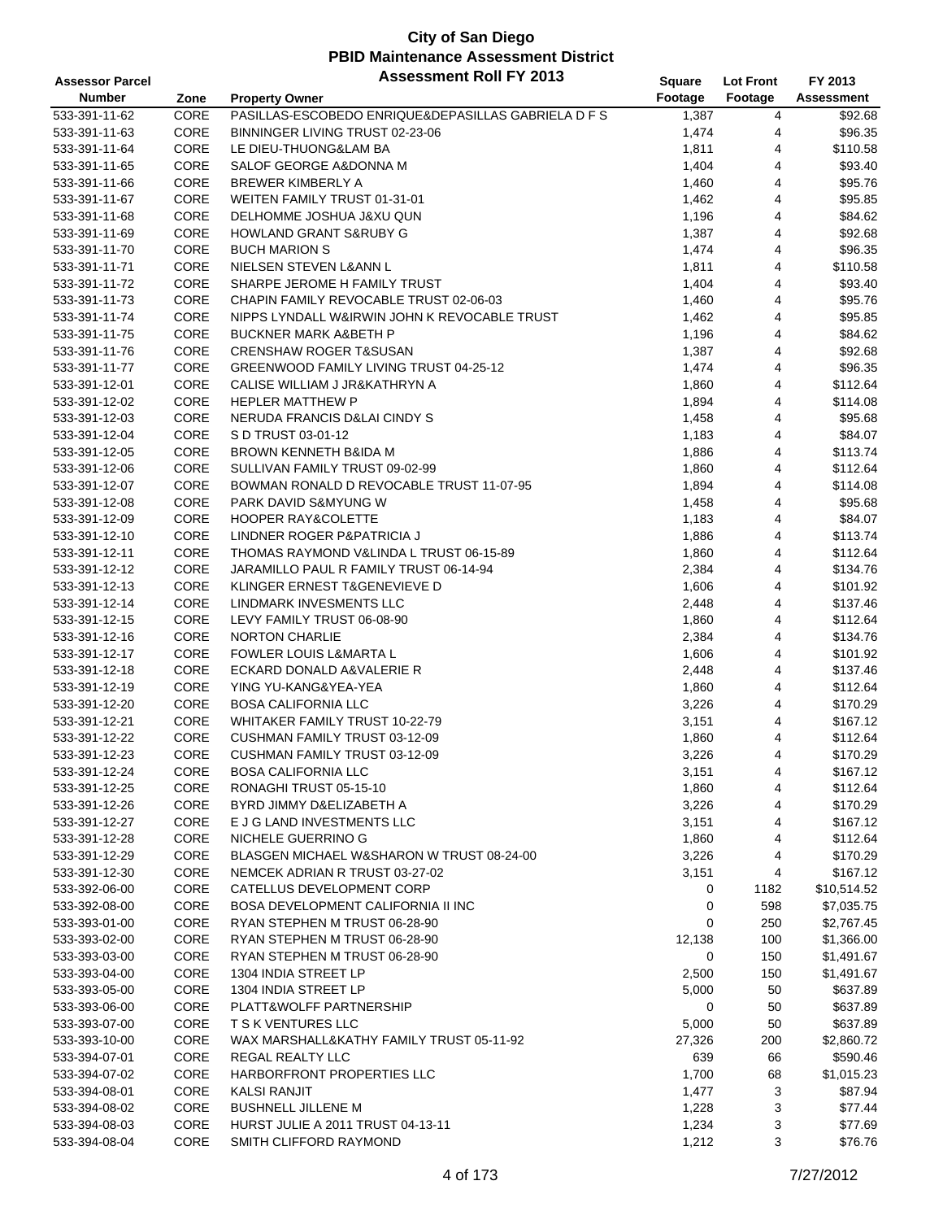| <b>Assessor Parcel</b> |      | <b>Assessment Roll FY 2013</b>                       | Square  | <b>Lot Front</b> | FY 2013     |
|------------------------|------|------------------------------------------------------|---------|------------------|-------------|
| <b>Number</b>          | Zone | <b>Property Owner</b>                                | Footage | Footage          | Assessment  |
| 533-391-11-62          | CORE | PASILLAS-ESCOBEDO ENRIQUE& DEPASILLAS GABRIELA D F S | 1,387   | 4                | \$92.68     |
| 533-391-11-63          | CORE | BINNINGER LIVING TRUST 02-23-06                      | 1,474   | 4                | \$96.35     |
| 533-391-11-64          | CORE | LE DIEU-THUONG&LAM BA                                | 1,811   | 4                | \$110.58    |
| 533-391-11-65          | CORE | SALOF GEORGE A&DONNA M                               | 1,404   | 4                | \$93.40     |
| 533-391-11-66          | CORE | BREWER KIMBERLY A                                    | 1,460   | 4                | \$95.76     |
| 533-391-11-67          | CORE | WEITEN FAMILY TRUST 01-31-01                         | 1,462   | 4                | \$95.85     |
|                        | CORE | DELHOMME JOSHUA J&XU QUN                             |         | 4                | \$84.62     |
| 533-391-11-68          | CORE |                                                      | 1,196   |                  |             |
| 533-391-11-69          |      | HOWLAND GRANT S&RUBY G                               | 1,387   | 4                | \$92.68     |
| 533-391-11-70          | CORE | <b>BUCH MARION S</b>                                 | 1,474   | 4                | \$96.35     |
| 533-391-11-71          | CORE | NIELSEN STEVEN L&ANN L                               | 1,811   | 4                | \$110.58    |
| 533-391-11-72          | CORE | SHARPE JEROME H FAMILY TRUST                         | 1,404   | 4                | \$93.40     |
| 533-391-11-73          | CORE | CHAPIN FAMILY REVOCABLE TRUST 02-06-03               | 1,460   | 4                | \$95.76     |
| 533-391-11-74          | CORE | NIPPS LYNDALL W&IRWIN JOHN K REVOCABLE TRUST         | 1,462   | 4                | \$95.85     |
| 533-391-11-75          | CORE | <b>BUCKNER MARK A&amp;BETH P</b>                     | 1,196   | 4                | \$84.62     |
| 533-391-11-76          | CORE | <b>CRENSHAW ROGER T&amp;SUSAN</b>                    | 1,387   | 4                | \$92.68     |
| 533-391-11-77          | CORE | GREENWOOD FAMILY LIVING TRUST 04-25-12               | 1,474   | 4                | \$96.35     |
| 533-391-12-01          | CORE | CALISE WILLIAM J JR&KATHRYN A                        | 1,860   | 4                | \$112.64    |
| 533-391-12-02          | CORE | <b>HEPLER MATTHEW P</b>                              | 1,894   | 4                | \$114.08    |
| 533-391-12-03          | CORE | NERUDA FRANCIS D&LAI CINDY S                         | 1,458   | 4                | \$95.68     |
| 533-391-12-04          | CORE | S D TRUST 03-01-12                                   | 1,183   | 4                | \$84.07     |
| 533-391-12-05          | CORE | BROWN KENNETH B&IDA M                                | 1,886   | 4                | \$113.74    |
| 533-391-12-06          | CORE | SULLIVAN FAMILY TRUST 09-02-99                       | 1,860   | 4                | \$112.64    |
| 533-391-12-07          | CORE | BOWMAN RONALD D REVOCABLE TRUST 11-07-95             | 1,894   | 4                | \$114.08    |
| 533-391-12-08          | CORE | PARK DAVID S&MYUNG W                                 | 1,458   | 4                | \$95.68     |
| 533-391-12-09          | CORE | <b>HOOPER RAY&amp;COLETTE</b>                        | 1,183   | 4                | \$84.07     |
| 533-391-12-10          | CORE | LINDNER ROGER P&PATRICIA J                           | 1,886   | 4                | \$113.74    |
| 533-391-12-11          | CORE | THOMAS RAYMOND V&LINDA L TRUST 06-15-89              | 1,860   | 4                | \$112.64    |
| 533-391-12-12          | CORE | JARAMILLO PAUL R FAMILY TRUST 06-14-94               | 2,384   | 4                | \$134.76    |
| 533-391-12-13          | CORE | KLINGER ERNEST T&GENEVIEVE D                         | 1,606   | 4                | \$101.92    |
| 533-391-12-14          | CORE | LINDMARK INVESMENTS LLC                              | 2,448   | 4                | \$137.46    |
| 533-391-12-15          | CORE | LEVY FAMILY TRUST 06-08-90                           | 1,860   | 4                | \$112.64    |
| 533-391-12-16          | CORE | <b>NORTON CHARLIE</b>                                | 2,384   | 4                | \$134.76    |
| 533-391-12-17          | CORE | FOWLER LOUIS L&MARTA L                               | 1,606   | 4                | \$101.92    |
| 533-391-12-18          | CORE | ECKARD DONALD A&VALERIE R                            | 2,448   | 4                | \$137.46    |
| 533-391-12-19          | CORE | YING YU-KANG&YEA-YEA                                 | 1,860   | 4                | \$112.64    |
| 533-391-12-20          | CORE | <b>BOSA CALIFORNIA LLC</b>                           | 3,226   | 4                | \$170.29    |
| 533-391-12-21          | CORE | WHITAKER FAMILY TRUST 10-22-79                       | 3,151   | 4                | \$167.12    |
| 533-391-12-22          | CORE | CUSHMAN FAMILY TRUST 03-12-09                        | 1,860   | 4                | \$112.64    |
| 533-391-12-23          | CORE | CUSHMAN FAMILY TRUST 03-12-09                        | 3,226   | 4                | \$170.29    |
| 533-391-12-24          | CORE | <b>BOSA CALIFORNIA LLC</b>                           |         |                  | \$167.12    |
|                        |      |                                                      | 3,151   | 4                |             |
| 533-391-12-25          | CORE | RONAGHI TRUST 05-15-10                               | 1,860   | 4                | \$112.64    |
| 533-391-12-26          | CORE | BYRD JIMMY D&ELIZABETH A                             | 3,226   | 4                | \$170.29    |
| 533-391-12-27          | CORE | E J G LAND INVESTMENTS LLC                           | 3,151   | 4                | \$167.12    |
| 533-391-12-28          | CORE | NICHELE GUERRINO G                                   | 1,860   | 4                | \$112.64    |
| 533-391-12-29          | CORE | BLASGEN MICHAEL W&SHARON W TRUST 08-24-00            | 3,226   | 4                | \$170.29    |
| 533-391-12-30          | CORE | NEMCEK ADRIAN R TRUST 03-27-02                       | 3,151   | 4                | \$167.12    |
| 533-392-06-00          | CORE | CATELLUS DEVELOPMENT CORP                            | 0       | 1182             | \$10,514.52 |
| 533-392-08-00          | CORE | BOSA DEVELOPMENT CALIFORNIA II INC                   | 0       | 598              | \$7,035.75  |
| 533-393-01-00          | CORE | RYAN STEPHEN M TRUST 06-28-90                        | 0       | 250              | \$2,767.45  |
| 533-393-02-00          | CORE | RYAN STEPHEN M TRUST 06-28-90                        | 12,138  | 100              | \$1,366.00  |
| 533-393-03-00          | CORE | RYAN STEPHEN M TRUST 06-28-90                        | 0       | 150              | \$1,491.67  |
| 533-393-04-00          | CORE | 1304 INDIA STREET LP                                 | 2,500   | 150              | \$1,491.67  |
| 533-393-05-00          | CORE | 1304 INDIA STREET LP                                 | 5,000   | 50               | \$637.89    |
| 533-393-06-00          | CORE | PLATT&WOLFF PARTNERSHIP                              | 0       | 50               | \$637.89    |
| 533-393-07-00          | CORE | T S K VENTURES LLC                                   | 5,000   | 50               | \$637.89    |
| 533-393-10-00          | CORE | WAX MARSHALL&KATHY FAMILY TRUST 05-11-92             | 27,326  | 200              | \$2,860.72  |
| 533-394-07-01          | CORE | REGAL REALTY LLC                                     | 639     | 66               | \$590.46    |
| 533-394-07-02          | CORE | HARBORFRONT PROPERTIES LLC                           | 1,700   | 68               | \$1,015.23  |
| 533-394-08-01          | CORE | <b>KALSI RANJIT</b>                                  | 1,477   | 3                | \$87.94     |
| 533-394-08-02          | CORE | <b>BUSHNELL JILLENE M</b>                            | 1,228   | 3                | \$77.44     |
| 533-394-08-03          | CORE | <b>HURST JULIE A 2011 TRUST 04-13-11</b>             | 1,234   | 3                | \$77.69     |
| 533-394-08-04          | CORE | SMITH CLIFFORD RAYMOND                               | 1,212   | 3                | \$76.76     |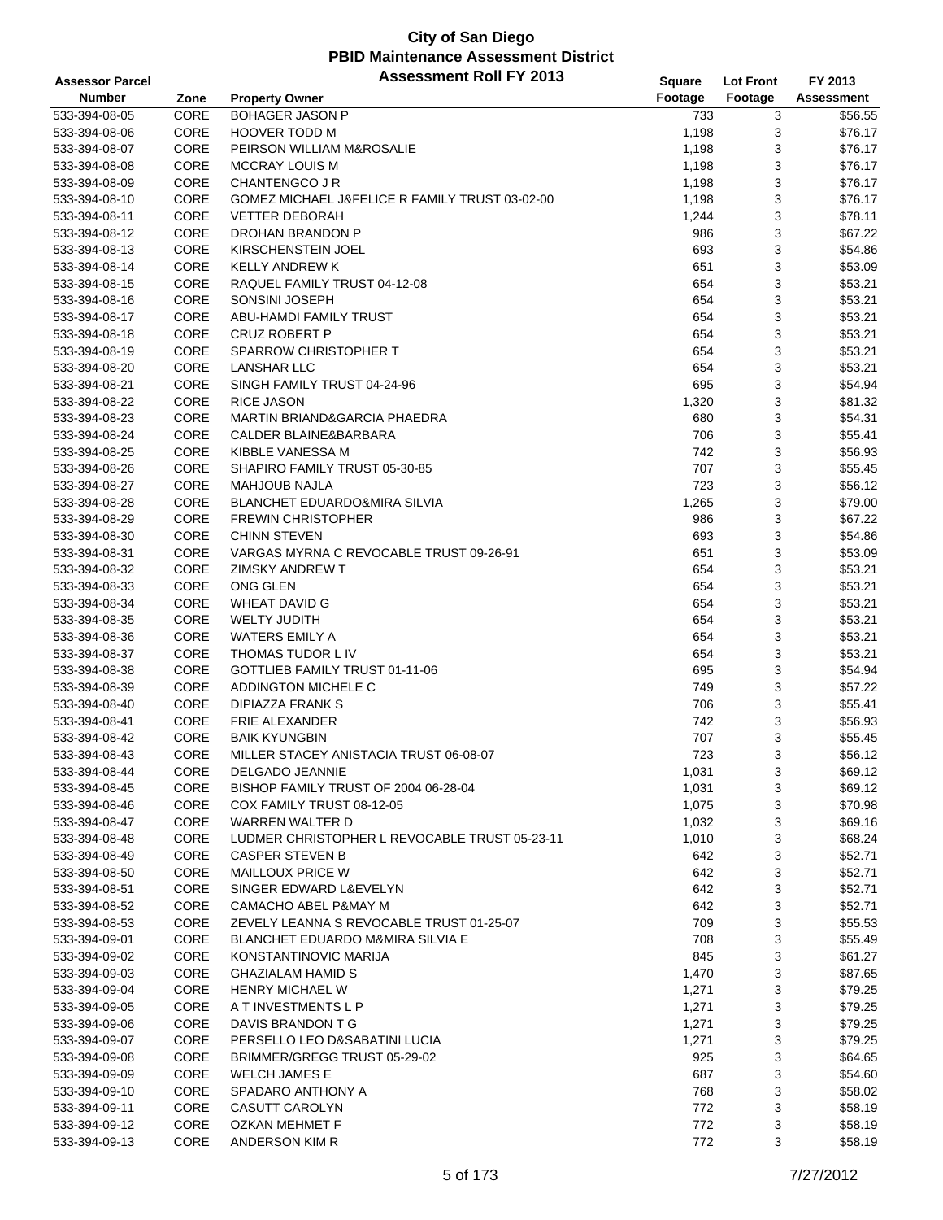| <b>Assessor Parcel</b> |      | <b>Assessment Roll FY 2013</b>                 | Square  | <b>Lot Front</b> | FY 2013           |
|------------------------|------|------------------------------------------------|---------|------------------|-------------------|
| <b>Number</b>          | Zone | <b>Property Owner</b>                          | Footage | Footage          | <b>Assessment</b> |
| 533-394-08-05          | CORE | <b>BOHAGER JASON P</b>                         | 733     | 3                | \$56.55           |
| 533-394-08-06          | CORE | <b>HOOVER TODD M</b>                           | 1,198   | 3                | \$76.17           |
| 533-394-08-07          | CORE | PEIRSON WILLIAM M&ROSALIE                      | 1,198   | 3                | \$76.17           |
| 533-394-08-08          | CORE | <b>MCCRAY LOUIS M</b>                          | 1,198   | 3                | \$76.17           |
| 533-394-08-09          | CORE | CHANTENGCO J R                                 | 1,198   | 3                | \$76.17           |
| 533-394-08-10          | CORE | GOMEZ MICHAEL J&FELICE R FAMILY TRUST 03-02-00 | 1,198   | 3                | \$76.17           |
| 533-394-08-11          | CORE | <b>VETTER DEBORAH</b>                          | 1,244   | 3                | \$78.11           |
| 533-394-08-12          | CORE | DROHAN BRANDON P                               | 986     | 3                | \$67.22           |
|                        | CORE |                                                |         |                  |                   |
| 533-394-08-13          | CORE | KIRSCHENSTEIN JOEL<br><b>KELLY ANDREW K</b>    | 693     | 3<br>3           | \$54.86           |
| 533-394-08-14          |      |                                                | 651     |                  | \$53.09           |
| 533-394-08-15          | CORE | RAQUEL FAMILY TRUST 04-12-08                   | 654     | 3                | \$53.21           |
| 533-394-08-16          | CORE | SONSINI JOSEPH                                 | 654     | 3                | \$53.21           |
| 533-394-08-17          | CORE | ABU-HAMDI FAMILY TRUST                         | 654     | 3                | \$53.21           |
| 533-394-08-18          | CORE | <b>CRUZ ROBERT P</b>                           | 654     | 3                | \$53.21           |
| 533-394-08-19          | CORE | <b>SPARROW CHRISTOPHER T</b>                   | 654     | 3                | \$53.21           |
| 533-394-08-20          | CORE | <b>LANSHAR LLC</b>                             | 654     | 3                | \$53.21           |
| 533-394-08-21          | CORE | SINGH FAMILY TRUST 04-24-96                    | 695     | 3                | \$54.94           |
| 533-394-08-22          | CORE | <b>RICE JASON</b>                              | 1,320   | 3                | \$81.32           |
| 533-394-08-23          | CORE | MARTIN BRIAND&GARCIA PHAEDRA                   | 680     | 3                | \$54.31           |
| 533-394-08-24          | CORE | CALDER BLAINE&BARBARA                          | 706     | 3                | \$55.41           |
| 533-394-08-25          | CORE | KIBBLE VANESSA M                               | 742     | 3                | \$56.93           |
| 533-394-08-26          | CORE | SHAPIRO FAMILY TRUST 05-30-85                  | 707     | 3                | \$55.45           |
| 533-394-08-27          | CORE | <b>MAHJOUB NAJLA</b>                           | 723     | 3                | \$56.12           |
| 533-394-08-28          | CORE | BLANCHET EDUARDO&MIRA SILVIA                   | 1,265   | 3                | \$79.00           |
| 533-394-08-29          | CORE | <b>FREWIN CHRISTOPHER</b>                      | 986     | 3                | \$67.22           |
| 533-394-08-30          | CORE | <b>CHINN STEVEN</b>                            | 693     | 3                | \$54.86           |
| 533-394-08-31          | CORE | VARGAS MYRNA C REVOCABLE TRUST 09-26-91        | 651     | 3                | \$53.09           |
| 533-394-08-32          | CORE | <b>ZIMSKY ANDREW T</b>                         | 654     | 3                | \$53.21           |
| 533-394-08-33          | CORE | ONG GLEN                                       | 654     | 3                | \$53.21           |
| 533-394-08-34          | CORE | <b>WHEAT DAVID G</b>                           | 654     | 3                | \$53.21           |
| 533-394-08-35          | CORE | <b>WELTY JUDITH</b>                            | 654     | 3                | \$53.21           |
| 533-394-08-36          | CORE | <b>WATERS EMILY A</b>                          | 654     | 3                | \$53.21           |
| 533-394-08-37          | CORE | THOMAS TUDOR L IV                              | 654     | 3                | \$53.21           |
| 533-394-08-38          | CORE | GOTTLIEB FAMILY TRUST 01-11-06                 | 695     | 3                | \$54.94           |
| 533-394-08-39          | CORE | ADDINGTON MICHELE C                            | 749     | 3                | \$57.22           |
| 533-394-08-40          | CORE | DIPIAZZA FRANK S                               | 706     | 3                | \$55.41           |
| 533-394-08-41          | CORE | FRIE ALEXANDER                                 | 742     | 3                | \$56.93           |
| 533-394-08-42          | CORE | <b>BAIK KYUNGBIN</b>                           | 707     | 3                | \$55.45           |
| 533-394-08-43          | CORE | MILLER STACEY ANISTACIA TRUST 06-08-07         | 723     | 3                | \$56.12           |
| 533-394-08-44          | CORE | <b>DELGADO JEANNIE</b>                         | 1,031   | 3                | \$69.12           |
| 533-394-08-45          | CORE | BISHOP FAMILY TRUST OF 2004 06-28-04           | 1,031   | 3                | \$69.12           |
|                        |      |                                                |         |                  | \$70.98           |
| 533-394-08-46          | CORE | COX FAMILY TRUST 08-12-05                      | 1,075   | 3                |                   |
| 533-394-08-47          | CORE | WARREN WALTER D                                | 1,032   | 3                | \$69.16           |
| 533-394-08-48          | CORE | LUDMER CHRISTOPHER L REVOCABLE TRUST 05-23-11  | 1,010   | 3                | \$68.24           |
| 533-394-08-49          | CORE | <b>CASPER STEVEN B</b>                         | 642     | 3                | \$52.71           |
| 533-394-08-50          | CORE | <b>MAILLOUX PRICE W</b>                        | 642     | 3                | \$52.71           |
| 533-394-08-51          | CORE | SINGER EDWARD L&EVELYN                         | 642     | 3                | \$52.71           |
| 533-394-08-52          | CORE | CAMACHO ABEL P&MAY M                           | 642     | 3                | \$52.71           |
| 533-394-08-53          | CORE | ZEVELY LEANNA S REVOCABLE TRUST 01-25-07       | 709     | 3                | \$55.53           |
| 533-394-09-01          | CORE | <b>BLANCHET EDUARDO M&amp;MIRA SILVIA E</b>    | 708     | 3                | \$55.49           |
| 533-394-09-02          | CORE | KONSTANTINOVIC MARIJA                          | 845     | 3                | \$61.27           |
| 533-394-09-03          | CORE | <b>GHAZIALAM HAMID S</b>                       | 1,470   | 3                | \$87.65           |
| 533-394-09-04          | CORE | <b>HENRY MICHAEL W</b>                         | 1,271   | 3                | \$79.25           |
| 533-394-09-05          | CORE | A T INVESTMENTS L P                            | 1,271   | 3                | \$79.25           |
| 533-394-09-06          | CORE | DAVIS BRANDON T G                              | 1,271   | 3                | \$79.25           |
| 533-394-09-07          | CORE | PERSELLO LEO D&SABATINI LUCIA                  | 1,271   | 3                | \$79.25           |
| 533-394-09-08          | CORE | BRIMMER/GREGG TRUST 05-29-02                   | 925     | 3                | \$64.65           |
| 533-394-09-09          | CORE | <b>WELCH JAMES E</b>                           | 687     | 3                | \$54.60           |
| 533-394-09-10          | CORE | SPADARO ANTHONY A                              | 768     | 3                | \$58.02           |
| 533-394-09-11          | CORE | CASUTT CAROLYN                                 | 772     | 3                | \$58.19           |
| 533-394-09-12          | CORE | OZKAN MEHMET F                                 | 772     | 3                | \$58.19           |
| 533-394-09-13          | CORE | ANDERSON KIM R                                 | 772     | 3                | \$58.19           |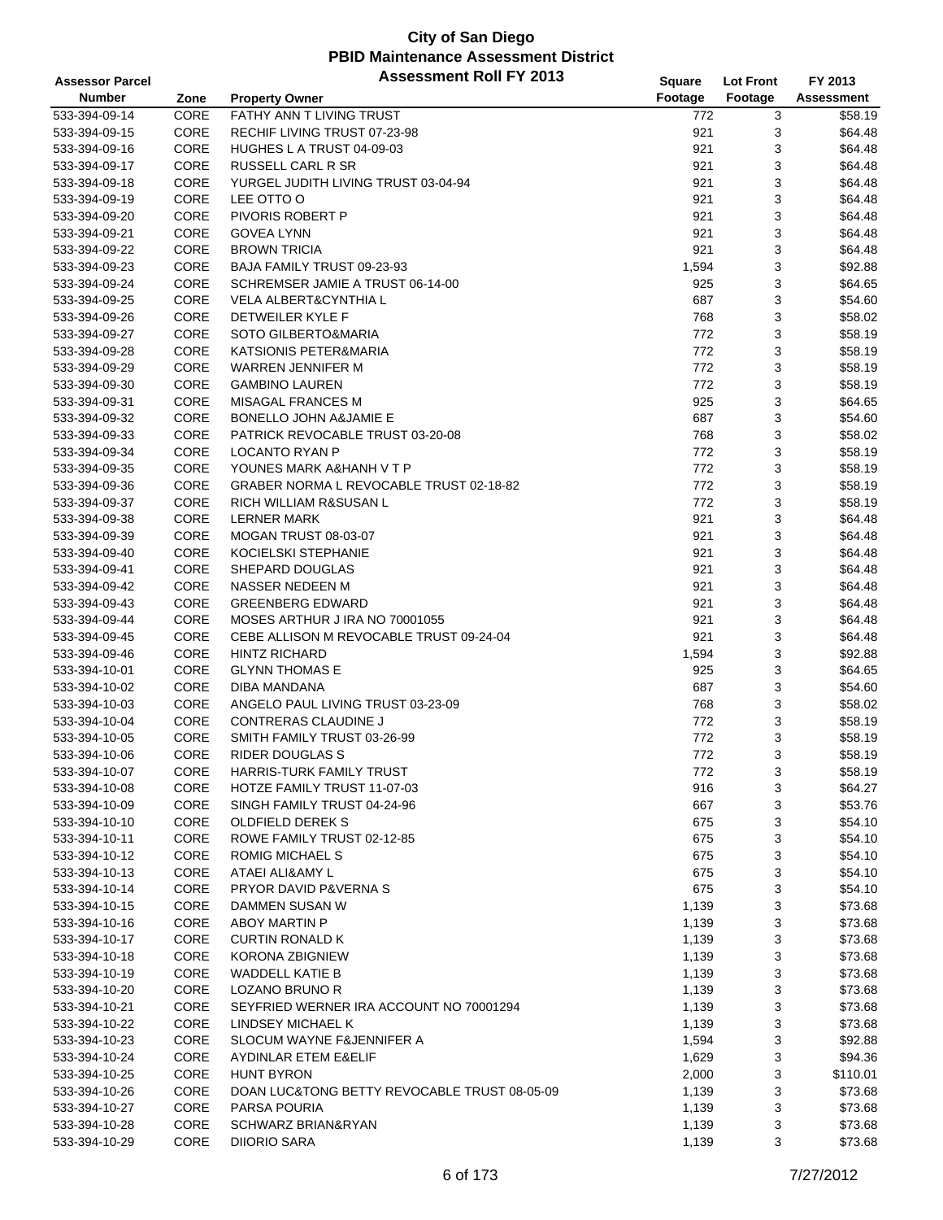| <b>Assessor Parcel</b> |      | <b>Assessment Roll FY 2013</b>               | Square  | <b>Lot Front</b> | FY 2013           |
|------------------------|------|----------------------------------------------|---------|------------------|-------------------|
| <b>Number</b>          | Zone | <b>Property Owner</b>                        | Footage | Footage          | <b>Assessment</b> |
| 533-394-09-14          | CORE | FATHY ANN T LIVING TRUST                     | 772     | 3                | \$58.19           |
| 533-394-09-15          | CORE | RECHIF LIVING TRUST 07-23-98                 | 921     | 3                | \$64.48           |
| 533-394-09-16          | CORE | HUGHES L A TRUST 04-09-03                    | 921     | 3                | \$64.48           |
| 533-394-09-17          | CORE | <b>RUSSELL CARL R SR</b>                     | 921     | 3                | \$64.48           |
| 533-394-09-18          | CORE | YURGEL JUDITH LIVING TRUST 03-04-94          | 921     | 3                | \$64.48           |
| 533-394-09-19          | CORE | LEE OTTO O                                   | 921     | 3                | \$64.48           |
| 533-394-09-20          | CORE | <b>PIVORIS ROBERT P</b>                      | 921     | 3                | \$64.48           |
| 533-394-09-21          | CORE | <b>GOVEA LYNN</b>                            | 921     | 3                | \$64.48           |
| 533-394-09-22          | CORE | <b>BROWN TRICIA</b>                          | 921     | 3                | \$64.48           |
| 533-394-09-23          | CORE | BAJA FAMILY TRUST 09-23-93                   | 1,594   | 3                | \$92.88           |
| 533-394-09-24          | CORE | SCHREMSER JAMIE A TRUST 06-14-00             | 925     | 3                | \$64.65           |
| 533-394-09-25          | CORE | <b>VELA ALBERT&amp;CYNTHIA L</b>             | 687     | 3                | \$54.60           |
| 533-394-09-26          | CORE | DETWEILER KYLE F                             | 768     | 3                | \$58.02           |
| 533-394-09-27          | CORE | SOTO GILBERTO&MARIA                          | 772     | 3                | \$58.19           |
| 533-394-09-28          | CORE | KATSIONIS PETER&MARIA                        | 772     | 3                | \$58.19           |
| 533-394-09-29          | CORE | <b>WARREN JENNIFER M</b>                     | 772     | 3                | \$58.19           |
| 533-394-09-30          | CORE | <b>GAMBINO LAUREN</b>                        | 772     | 3                | \$58.19           |
| 533-394-09-31          | CORE | <b>MISAGAL FRANCES M</b>                     | 925     | 3                | \$64.65           |
| 533-394-09-32          | CORE | <b>BONELLO JOHN A&amp;JAMIE E</b>            | 687     | 3                | \$54.60           |
| 533-394-09-33          | CORE | PATRICK REVOCABLE TRUST 03-20-08             | 768     | 3                | \$58.02           |
| 533-394-09-34          | CORE | <b>LOCANTO RYAN P</b>                        | 772     | 3                | \$58.19           |
| 533-394-09-35          | CORE | YOUNES MARK A&HANH V T P                     | 772     | 3                | \$58.19           |
| 533-394-09-36          | CORE | GRABER NORMA L REVOCABLE TRUST 02-18-82      | 772     | 3                | \$58.19           |
| 533-394-09-37          | CORE | RICH WILLIAM R&SUSAN L                       | 772     | 3                | \$58.19           |
| 533-394-09-38          | CORE | <b>LERNER MARK</b>                           | 921     | 3                | \$64.48           |
| 533-394-09-39          | CORE | MOGAN TRUST 08-03-07                         | 921     | 3                | \$64.48           |
| 533-394-09-40          | CORE | KOCIELSKI STEPHANIE                          | 921     | 3                | \$64.48           |
| 533-394-09-41          | CORE | SHEPARD DOUGLAS                              | 921     | 3                | \$64.48           |
| 533-394-09-42          | CORE | NASSER NEDEEN M                              | 921     | 3                | \$64.48           |
| 533-394-09-43          | CORE | <b>GREENBERG EDWARD</b>                      | 921     | 3                | \$64.48           |
| 533-394-09-44          | CORE | MOSES ARTHUR J IRA NO 70001055               | 921     | 3                | \$64.48           |
| 533-394-09-45          | CORE | CEBE ALLISON M REVOCABLE TRUST 09-24-04      | 921     | 3                | \$64.48           |
| 533-394-09-46          | CORE | <b>HINTZ RICHARD</b>                         | 1,594   | 3                | \$92.88           |
| 533-394-10-01          | CORE | <b>GLYNN THOMAS E</b>                        | 925     | 3                | \$64.65           |
| 533-394-10-02          | CORE | DIBA MANDANA                                 | 687     | 3                | \$54.60           |
| 533-394-10-03          | CORE | ANGELO PAUL LIVING TRUST 03-23-09            | 768     | 3                | \$58.02           |
| 533-394-10-04          | CORE | <b>CONTRERAS CLAUDINE J</b>                  | 772     | 3                | \$58.19           |
| 533-394-10-05          | CORE | SMITH FAMILY TRUST 03-26-99                  | 772     | 3                | \$58.19           |
| 533-394-10-06          | CORE | <b>RIDER DOUGLAS S</b>                       | 772     | 3                | \$58.19           |
| 533-394-10-07          | CORE | HARRIS-TURK FAMILY TRUST                     | 772     | 3                | \$58.19           |
| 533-394-10-08          | CORE | HOTZE FAMILY TRUST 11-07-03                  | 916     | 3                | \$64.27           |
| 533-394-10-09          | CORE | SINGH FAMILY TRUST 04-24-96                  | 667     | 3                | \$53.76           |
| 533-394-10-10          | CORE | OLDFIELD DEREK S                             | 675     | 3                | \$54.10           |
| 533-394-10-11          | CORE | ROWE FAMILY TRUST 02-12-85                   | 675     | 3                | \$54.10           |
| 533-394-10-12          | CORE | ROMIG MICHAEL S                              | 675     | 3                | \$54.10           |
| 533-394-10-13          | CORE | ATAEI ALI&AMY L                              | 675     | 3                | \$54.10           |
| 533-394-10-14          | CORE | PRYOR DAVID P&VERNA S                        | 675     | 3                | \$54.10           |
| 533-394-10-15          | CORE | DAMMEN SUSAN W                               | 1,139   | 3                | \$73.68           |
| 533-394-10-16          | CORE | <b>ABOY MARTIN P</b>                         | 1,139   | 3                | \$73.68           |
| 533-394-10-17          | CORE | <b>CURTIN RONALD K</b>                       | 1,139   | 3                | \$73.68           |
| 533-394-10-18          | CORE | KORONA ZBIGNIEW                              | 1,139   | 3                | \$73.68           |
| 533-394-10-19          | CORE | <b>WADDELL KATIE B</b>                       | 1,139   | 3                | \$73.68           |
| 533-394-10-20          | CORE | LOZANO BRUNO R                               | 1,139   | 3                | \$73.68           |
| 533-394-10-21          | CORE | SEYFRIED WERNER IRA ACCOUNT NO 70001294      | 1,139   | 3                | \$73.68           |
| 533-394-10-22          | CORE | LINDSEY MICHAEL K                            | 1,139   | 3                | \$73.68           |
| 533-394-10-23          | CORE | SLOCUM WAYNE F&JENNIFER A                    | 1,594   | 3                | \$92.88           |
| 533-394-10-24          | CORE | AYDINLAR ETEM E&ELIF                         | 1,629   | 3                | \$94.36           |
| 533-394-10-25          | CORE | <b>HUNT BYRON</b>                            | 2,000   | 3                | \$110.01          |
| 533-394-10-26          | CORE | DOAN LUC&TONG BETTY REVOCABLE TRUST 08-05-09 | 1,139   | 3                | \$73.68           |
| 533-394-10-27          | CORE | PARSA POURIA                                 | 1,139   | 3                | \$73.68           |
| 533-394-10-28          | CORE | SCHWARZ BRIAN&RYAN                           | 1,139   | 3                | \$73.68           |
| 533-394-10-29          | CORE | <b>DIIORIO SARA</b>                          | 1,139   | 3                | \$73.68           |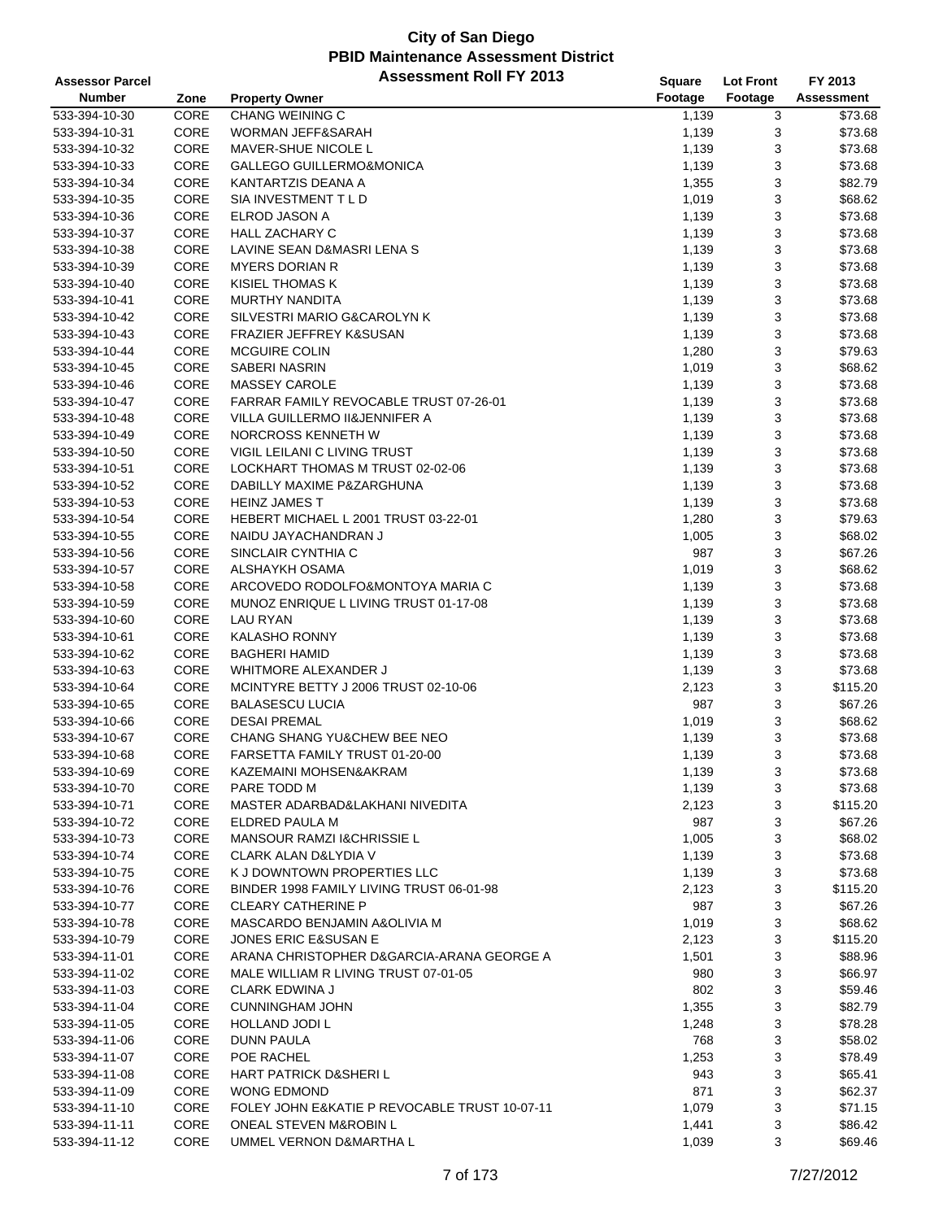| <b>Assessor Parcel</b> |      | <b>Assessment Roll FY 2013</b>                | <b>Square</b> | <b>Lot Front</b> | FY 2013           |
|------------------------|------|-----------------------------------------------|---------------|------------------|-------------------|
| <b>Number</b>          | Zone | <b>Property Owner</b>                         | Footage       | Footage          | <b>Assessment</b> |
| 533-394-10-30          | CORE | <b>CHANG WEINING C</b>                        | 1,139         | 3                | \$73.68           |
| 533-394-10-31          | CORE | WORMAN JEFF&SARAH                             | 1,139         | 3                | \$73.68           |
| 533-394-10-32          | CORE | <b>MAVER-SHUE NICOLE L</b>                    | 1,139         | 3                | \$73.68           |
| 533-394-10-33          | CORE | GALLEGO GUILLERMO&MONICA                      | 1,139         | 3                | \$73.68           |
| 533-394-10-34          | CORE | KANTARTZIS DEANA A                            | 1,355         | 3                | \$82.79           |
| 533-394-10-35          | CORE | SIA INVESTMENT T L D                          | 1,019         | 3                | \$68.62           |
| 533-394-10-36          | CORE | ELROD JASON A                                 | 1,139         | 3                | \$73.68           |
| 533-394-10-37          | CORE | <b>HALL ZACHARY C</b>                         | 1,139         | 3                | \$73.68           |
| 533-394-10-38          | CORE | LAVINE SEAN D&MASRI LENA S                    | 1,139         | 3                | \$73.68           |
| 533-394-10-39          | CORE | <b>MYERS DORIAN R</b>                         | 1,139         | 3                | \$73.68           |
| 533-394-10-40          | CORE | KISIEL THOMAS K                               | 1,139         | 3                | \$73.68           |
| 533-394-10-41          | CORE | <b>MURTHY NANDITA</b>                         | 1,139         | 3                | \$73.68           |
| 533-394-10-42          | CORE | SILVESTRI MARIO G&CAROLYN K                   | 1,139         | 3                | \$73.68           |
| 533-394-10-43          | CORE | <b>FRAZIER JEFFREY K&amp;SUSAN</b>            | 1,139         | 3                | \$73.68           |
| 533-394-10-44          | CORE | <b>MCGUIRE COLIN</b>                          | 1,280         | 3                | \$79.63           |
| 533-394-10-45          | CORE | SABERI NASRIN                                 | 1,019         | 3                | \$68.62           |
| 533-394-10-46          | CORE | <b>MASSEY CAROLE</b>                          | 1,139         | 3                | \$73.68           |
| 533-394-10-47          | CORE | FARRAR FAMILY REVOCABLE TRUST 07-26-01        | 1,139         | 3                | \$73.68           |
| 533-394-10-48          | CORE | VILLA GUILLERMO II&JENNIFER A                 | 1,139         | 3                | \$73.68           |
| 533-394-10-49          | CORE | NORCROSS KENNETH W                            | 1,139         | 3                | \$73.68           |
| 533-394-10-50          | CORE | <b>VIGIL LEILANI C LIVING TRUST</b>           | 1,139         | 3                | \$73.68           |
| 533-394-10-51          | CORE | LOCKHART THOMAS M TRUST 02-02-06              | 1,139         | 3                | \$73.68           |
| 533-394-10-52          | CORE | DABILLY MAXIME P&ZARGHUNA                     | 1,139         | 3                | \$73.68           |
| 533-394-10-53          | CORE | <b>HEINZ JAMES T</b>                          | 1,139         | 3                | \$73.68           |
| 533-394-10-54          | CORE | HEBERT MICHAEL L 2001 TRUST 03-22-01          | 1,280         | 3                | \$79.63           |
| 533-394-10-55          | CORE | NAIDU JAYACHANDRAN J                          | 1,005         | 3                | \$68.02           |
| 533-394-10-56          | CORE | SINCLAIR CYNTHIA C                            | 987           | 3                | \$67.26           |
| 533-394-10-57          | CORE | ALSHAYKH OSAMA                                | 1,019         | 3                | \$68.62           |
| 533-394-10-58          | CORE | ARCOVEDO RODOLFO&MONTOYA MARIA C              | 1,139         | 3                | \$73.68           |
| 533-394-10-59          | CORE | MUNOZ ENRIQUE L LIVING TRUST 01-17-08         | 1,139         | 3                | \$73.68           |
| 533-394-10-60          | CORE | LAU RYAN                                      | 1,139         | 3                | \$73.68           |
| 533-394-10-61          | CORE | <b>KALASHO RONNY</b>                          | 1,139         | 3                | \$73.68           |
| 533-394-10-62          | CORE | <b>BAGHERI HAMID</b>                          | 1,139         | 3                | \$73.68           |
| 533-394-10-63          | CORE | <b>WHITMORE ALEXANDER J</b>                   | 1,139         | 3                | \$73.68           |
| 533-394-10-64          | CORE | MCINTYRE BETTY J 2006 TRUST 02-10-06          | 2,123         | 3                | \$115.20          |
| 533-394-10-65          | CORE | <b>BALASESCU LUCIA</b>                        | 987           | 3                | \$67.26           |
| 533-394-10-66          | CORE | <b>DESAI PREMAL</b>                           | 1,019         | 3                | \$68.62           |
| 533-394-10-67          | CORE | CHANG SHANG YU&CHEW BEE NEO                   | 1,139         | 3                | \$73.68           |
| 533-394-10-68          | CORE | FARSETTA FAMILY TRUST 01-20-00                | 1,139         | 3                | \$73.68           |
| 533-394-10-69          | CORE | KAZEMAINI MOHSEN&AKRAM                        | 1,139         | 3                | \$73.68           |
| 533-394-10-70          | CORE | PARE TODD M                                   | 1,139         | 3                | \$73.68           |
| 533-394-10-71          | CORE | MASTER ADARBAD&LAKHANI NIVEDITA               | 2,123         | 3                | \$115.20          |
| 533-394-10-72          | CORE | ELDRED PAULA M                                | 987           | 3                | \$67.26           |
| 533-394-10-73          | CORE | MANSOUR RAMZI I&CHRISSIE L                    | 1,005         | 3                | \$68.02           |
| 533-394-10-74          | CORE | <b>CLARK ALAN D&amp;LYDIA V</b>               | 1,139         | 3                | \$73.68           |
| 533-394-10-75          | CORE | K J DOWNTOWN PROPERTIES LLC                   | 1,139         | 3                | \$73.68           |
| 533-394-10-76          | CORE | BINDER 1998 FAMILY LIVING TRUST 06-01-98      | 2,123         | 3                | \$115.20          |
| 533-394-10-77          | CORE | <b>CLEARY CATHERINE P</b>                     | 987           | 3                | \$67.26           |
| 533-394-10-78          | CORE | MASCARDO BENJAMIN A&OLIVIA M                  | 1,019         | 3                | \$68.62           |
| 533-394-10-79          | CORE | <b>JONES ERIC E&amp;SUSAN E</b>               | 2,123         | 3                | \$115.20          |
| 533-394-11-01          | CORE | ARANA CHRISTOPHER D&GARCIA-ARANA GEORGE A     | 1,501         | 3                | \$88.96           |
| 533-394-11-02          | CORE | MALE WILLIAM R LIVING TRUST 07-01-05          | 980           | 3                | \$66.97           |
| 533-394-11-03          | CORE | <b>CLARK EDWINA J</b>                         | 802           | 3                | \$59.46           |
| 533-394-11-04          | CORE | <b>CUNNINGHAM JOHN</b>                        | 1,355         | 3                | \$82.79           |
| 533-394-11-05          | CORE | HOLLAND JODI L                                | 1,248         | 3                | \$78.28           |
| 533-394-11-06          | CORE | <b>DUNN PAULA</b>                             | 768           | 3                | \$58.02           |
| 533-394-11-07          | CORE | POE RACHEL                                    | 1,253         | 3                | \$78.49           |
| 533-394-11-08          | CORE | <b>HART PATRICK D&amp;SHERIL</b>              | 943           | 3                | \$65.41           |
| 533-394-11-09          | CORE | <b>WONG EDMOND</b>                            | 871           | 3                | \$62.37           |
| 533-394-11-10          | CORE | FOLEY JOHN E&KATIE P REVOCABLE TRUST 10-07-11 | 1,079         | 3                | \$71.15           |
| 533-394-11-11          | CORE | ONEAL STEVEN M&ROBIN L                        | 1,441         | 3                | \$86.42           |
| 533-394-11-12          | CORE | UMMEL VERNON D&MARTHA L                       | 1,039         | 3                | \$69.46           |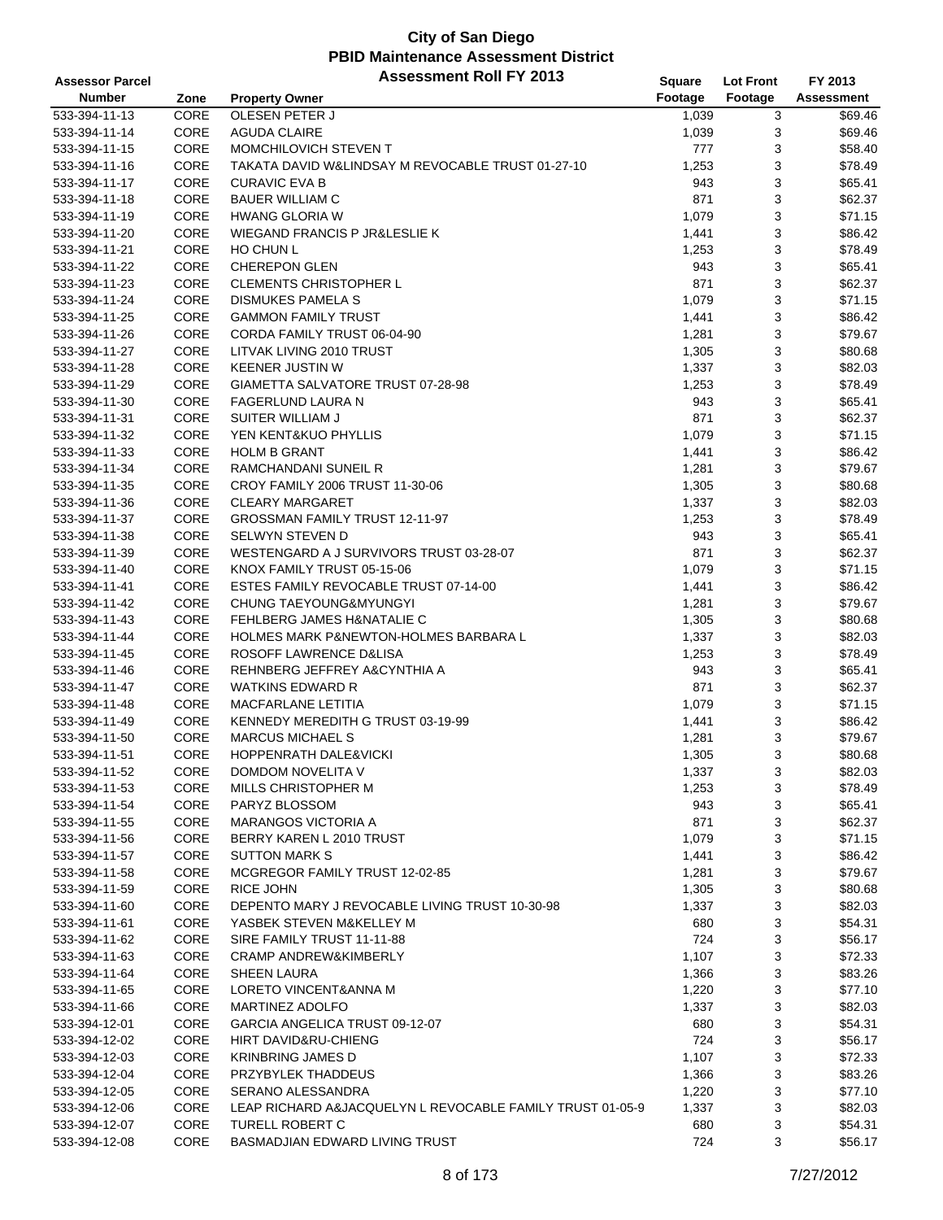| <b>Assessor Parcel</b> |             | <b>Assessment Roll FY 2013</b>                            | Square         | <b>Lot Front</b> | FY 2013    |
|------------------------|-------------|-----------------------------------------------------------|----------------|------------------|------------|
| <b>Number</b>          | Zone        | <b>Property Owner</b>                                     | Footage        | Footage          | Assessment |
| 533-394-11-13          | CORE        | OLESEN PETER J                                            | 1,039          | 3                | \$69.46    |
| 533-394-11-14          | CORE        | <b>AGUDA CLAIRE</b>                                       | 1,039          | 3                | \$69.46    |
| 533-394-11-15          | CORE        | MOMCHILOVICH STEVEN T                                     | 777            | 3                | \$58.40    |
| 533-394-11-16          | CORE        | TAKATA DAVID W&LINDSAY M REVOCABLE TRUST 01-27-10         | 1,253          | 3                | \$78.49    |
| 533-394-11-17          | CORE        | <b>CURAVIC EVA B</b>                                      | 943            | 3                | \$65.41    |
| 533-394-11-18          | CORE        | <b>BAUER WILLIAM C</b>                                    | 871            | 3                | \$62.37    |
| 533-394-11-19          | CORE        | <b>HWANG GLORIA W</b>                                     | 1,079          | 3                | \$71.15    |
| 533-394-11-20          | CORE        | WIEGAND FRANCIS P JR&LESLIE K                             | 1,441          | 3                | \$86.42    |
| 533-394-11-21          | CORE        | HO CHUN L                                                 | 1,253          | 3                | \$78.49    |
| 533-394-11-22          | CORE        | <b>CHEREPON GLEN</b>                                      | 943            | 3                | \$65.41    |
| 533-394-11-23          | CORE        | <b>CLEMENTS CHRISTOPHER L</b>                             | 871            | 3                | \$62.37    |
| 533-394-11-24          | CORE        | <b>DISMUKES PAMELA S</b>                                  | 1,079          | 3                | \$71.15    |
| 533-394-11-25          | CORE        | <b>GAMMON FAMILY TRUST</b>                                | 1,441          | 3                | \$86.42    |
| 533-394-11-26          | CORE        | CORDA FAMILY TRUST 06-04-90                               | 1,281          | 3                | \$79.67    |
| 533-394-11-27          | CORE        | LITVAK LIVING 2010 TRUST                                  | 1,305          | 3                | \$80.68    |
| 533-394-11-28          | CORE        | <b>KEENER JUSTIN W</b>                                    | 1,337          | 3                | \$82.03    |
| 533-394-11-29          | CORE        | GIAMETTA SALVATORE TRUST 07-28-98                         | 1,253          | 3                | \$78.49    |
| 533-394-11-30          | CORE        | FAGERLUND LAURA N                                         | 943            | 3                | \$65.41    |
| 533-394-11-31          | CORE        | SUITER WILLIAM J                                          | 871            | 3                | \$62.37    |
| 533-394-11-32          | CORE        | YEN KENT&KUO PHYLLIS                                      | 1,079          | 3                | \$71.15    |
| 533-394-11-33          | CORE        | <b>HOLM B GRANT</b>                                       |                | 3                | \$86.42    |
| 533-394-11-34          | CORE        | RAMCHANDANI SUNEIL R                                      | 1,441          | 3                | \$79.67    |
| 533-394-11-35          | CORE        | CROY FAMILY 2006 TRUST 11-30-06                           | 1,281<br>1,305 | 3                | \$80.68    |
|                        | CORE        | <b>CLEARY MARGARET</b>                                    |                |                  |            |
| 533-394-11-36          |             |                                                           | 1,337          | 3                | \$82.03    |
| 533-394-11-37          | <b>CORE</b> | GROSSMAN FAMILY TRUST 12-11-97                            | 1,253          | 3                | \$78.49    |
| 533-394-11-38          | CORE        | SELWYN STEVEN D                                           | 943            | 3                | \$65.41    |
| 533-394-11-39          | CORE        | WESTENGARD A J SURVIVORS TRUST 03-28-07                   | 871            | 3                | \$62.37    |
| 533-394-11-40          | CORE        | KNOX FAMILY TRUST 05-15-06                                | 1,079          | 3                | \$71.15    |
| 533-394-11-41          | CORE        | ESTES FAMILY REVOCABLE TRUST 07-14-00                     | 1,441          | 3                | \$86.42    |
| 533-394-11-42          | CORE        | CHUNG TAEYOUNG&MYUNGYI                                    | 1,281          | 3                | \$79.67    |
| 533-394-11-43          | CORE        | FEHLBERG JAMES H&NATALIE C                                | 1,305          | 3                | \$80.68    |
| 533-394-11-44          | CORE        | <b>HOLMES MARK P&amp;NEWTON-HOLMES BARBARA L</b>          | 1,337          | 3                | \$82.03    |
| 533-394-11-45          | CORE        | ROSOFF LAWRENCE D&LISA                                    | 1,253          | 3                | \$78.49    |
| 533-394-11-46          | CORE        | REHNBERG JEFFREY A&CYNTHIA A                              | 943            | 3                | \$65.41    |
| 533-394-11-47          | CORE        | WATKINS EDWARD R                                          | 871            | 3                | \$62.37    |
| 533-394-11-48          | CORE        | <b>MACFARLANE LETITIA</b>                                 | 1,079          | 3                | \$71.15    |
| 533-394-11-49          | CORE        | KENNEDY MEREDITH G TRUST 03-19-99                         | 1,441          | 3                | \$86.42    |
| 533-394-11-50          | CORE        | <b>MARCUS MICHAEL S</b>                                   | 1,281          | 3                | \$79.67    |
| 533-394-11-51          | CORE        | <b>HOPPENRATH DALE&amp;VICKI</b>                          | 1,305          | 3                | \$80.68    |
| 533-394-11-52          | CORE        | DOMDOM NOVELITA V                                         | 1,337          | 3                | \$82.03    |
| 533-394-11-53          | CORE        | MILLS CHRISTOPHER M                                       | 1,253          | 3                | \$78.49    |
| 533-394-11-54          | CORE        | PARYZ BLOSSOM                                             | 943            | 3                | \$65.41    |
| 533-394-11-55          | CORE        | <b>MARANGOS VICTORIA A</b>                                | 871            | 3                | \$62.37    |
| 533-394-11-56          | CORE        | BERRY KAREN L 2010 TRUST                                  | 1,079          | 3                | \$71.15    |
| 533-394-11-57          | CORE        | <b>SUTTON MARK S</b>                                      | 1,441          | 3                | \$86.42    |
| 533-394-11-58          | CORE        | MCGREGOR FAMILY TRUST 12-02-85                            | 1,281          | 3                | \$79.67    |
| 533-394-11-59          | CORE        | <b>RICE JOHN</b>                                          | 1,305          | 3                | \$80.68    |
| 533-394-11-60          | CORE        | DEPENTO MARY J REVOCABLE LIVING TRUST 10-30-98            | 1,337          | 3                | \$82.03    |
| 533-394-11-61          | CORE        | YASBEK STEVEN M&KELLEY M                                  | 680            | 3                | \$54.31    |
| 533-394-11-62          | CORE        | SIRE FAMILY TRUST 11-11-88                                | 724            | 3                | \$56.17    |
| 533-394-11-63          | CORE        | <b>CRAMP ANDREW&amp;KIMBERLY</b>                          | 1,107          | 3                | \$72.33    |
| 533-394-11-64          | CORE        | <b>SHEEN LAURA</b>                                        | 1,366          | 3                | \$83.26    |
| 533-394-11-65          | CORE        | LORETO VINCENT&ANNA M                                     | 1,220          | 3                | \$77.10    |
| 533-394-11-66          | CORE        | <b>MARTINEZ ADOLFO</b>                                    | 1,337          | 3                | \$82.03    |
| 533-394-12-01          | CORE        | GARCIA ANGELICA TRUST 09-12-07                            | 680            | 3                | \$54.31    |
| 533-394-12-02          | CORE        | HIRT DAVID&RU-CHIENG                                      | 724            | 3                | \$56.17    |
| 533-394-12-03          | CORE        | <b>KRINBRING JAMES D</b>                                  | 1,107          | 3                | \$72.33    |
| 533-394-12-04          | CORE        | PRZYBYLEK THADDEUS                                        | 1,366          | 3                | \$83.26    |
| 533-394-12-05          | CORE        | SERANO ALESSANDRA                                         | 1,220          | 3                | \$77.10    |
| 533-394-12-06          | CORE        | LEAP RICHARD A&JACQUELYN L REVOCABLE FAMILY TRUST 01-05-9 | 1,337          | 3                | \$82.03    |
| 533-394-12-07          | CORE        | TURELL ROBERT C                                           | 680            | 3                | \$54.31    |
| 533-394-12-08          | CORE        | BASMADJIAN EDWARD LIVING TRUST                            | 724            | 3                | \$56.17    |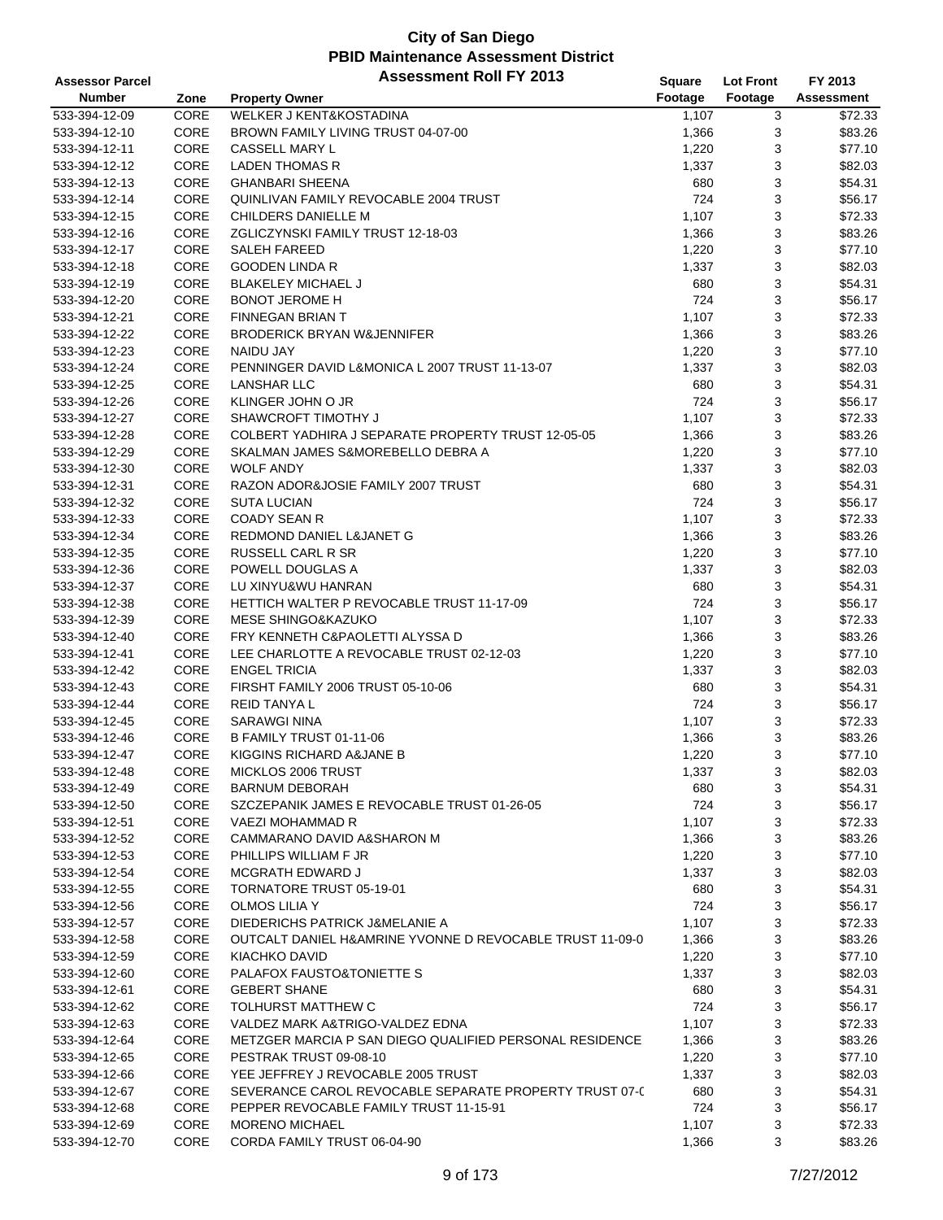| <b>Assessor Parcel</b> |      | <b>Assessment Roll FY 2013</b>                           | <b>Square</b> | <b>Lot Front</b> | FY 2013           |
|------------------------|------|----------------------------------------------------------|---------------|------------------|-------------------|
| <b>Number</b>          | Zone | <b>Property Owner</b>                                    | Footage       | Footage          | <b>Assessment</b> |
| 533-394-12-09          | CORE | WELKER J KENT&KOSTADINA                                  | 1,107         | 3                | \$72.33           |
| 533-394-12-10          | CORE | BROWN FAMILY LIVING TRUST 04-07-00                       | 1,366         | 3                | \$83.26           |
| 533-394-12-11          | CORE | CASSELL MARY L                                           | 1,220         | 3                | \$77.10           |
| 533-394-12-12          | CORE | <b>LADEN THOMAS R</b>                                    | 1,337         | 3                | \$82.03           |
| 533-394-12-13          | CORE | <b>GHANBARI SHEENA</b>                                   | 680           | 3                | \$54.31           |
| 533-394-12-14          | CORE | QUINLIVAN FAMILY REVOCABLE 2004 TRUST                    | 724           | 3                | \$56.17           |
| 533-394-12-15          | CORE | CHILDERS DANIELLE M                                      | 1,107         | 3                | \$72.33           |
| 533-394-12-16          | CORE | ZGLICZYNSKI FAMILY TRUST 12-18-03                        | 1,366         | 3                | \$83.26           |
| 533-394-12-17          | CORE | <b>SALEH FAREED</b>                                      | 1,220         | 3                | \$77.10           |
| 533-394-12-18          | CORE | <b>GOODEN LINDA R</b>                                    | 1,337         | 3                | \$82.03           |
| 533-394-12-19          | CORE | <b>BLAKELEY MICHAEL J</b>                                | 680           | 3                | \$54.31           |
| 533-394-12-20          | CORE | <b>BONOT JEROME H</b>                                    | 724           | 3                | \$56.17           |
| 533-394-12-21          | CORE | <b>FINNEGAN BRIAN T</b>                                  | 1,107         | 3                | \$72.33           |
| 533-394-12-22          | CORE | <b>BRODERICK BRYAN W&amp;JENNIFER</b>                    | 1,366         | 3                | \$83.26           |
| 533-394-12-23          | CORE | <b>NAIDU JAY</b>                                         | 1,220         | 3                | \$77.10           |
| 533-394-12-24          | CORE | PENNINGER DAVID L&MONICA L 2007 TRUST 11-13-07           | 1,337         | 3                | \$82.03           |
| 533-394-12-25          | CORE | <b>LANSHAR LLC</b>                                       | 680           | 3                | \$54.31           |
| 533-394-12-26          | CORE | KLINGER JOHN O JR                                        | 724           | 3                | \$56.17           |
| 533-394-12-27          | CORE | SHAWCROFT TIMOTHY J                                      | 1,107         | 3                | \$72.33           |
| 533-394-12-28          | CORE | COLBERT YADHIRA J SEPARATE PROPERTY TRUST 12-05-05       | 1,366         | 3                | \$83.26           |
| 533-394-12-29          | CORE | SKALMAN JAMES S&MOREBELLO DEBRA A                        | 1,220         | 3                | \$77.10           |
| 533-394-12-30          | CORE | <b>WOLF ANDY</b>                                         | 1,337         | 3                | \$82.03           |
| 533-394-12-31          | CORE | RAZON ADOR&JOSIE FAMILY 2007 TRUST                       | 680           | 3                | \$54.31           |
| 533-394-12-32          | CORE | <b>SUTA LUCIAN</b>                                       | 724           | 3                | \$56.17           |
| 533-394-12-33          | CORE | <b>COADY SEAN R</b>                                      | 1,107         | 3                | \$72.33           |
| 533-394-12-34          | CORE | REDMOND DANIEL L&JANET G                                 | 1,366         | 3                | \$83.26           |
| 533-394-12-35          | CORE | <b>RUSSELL CARL R SR</b>                                 | 1,220         | 3                | \$77.10           |
| 533-394-12-36          | CORE | POWELL DOUGLAS A                                         | 1,337         | 3                | \$82.03           |
| 533-394-12-37          | CORE | LU XINYU&WU HANRAN                                       | 680           | 3                | \$54.31           |
| 533-394-12-38          | CORE | HETTICH WALTER P REVOCABLE TRUST 11-17-09                | 724           | 3                | \$56.17           |
| 533-394-12-39          | CORE | <b>MESE SHINGO&amp;KAZUKO</b>                            | 1,107         | 3                | \$72.33           |
| 533-394-12-40          | CORE | FRY KENNETH C&PAOLETTI ALYSSA D                          | 1,366         | 3                | \$83.26           |
| 533-394-12-41          | CORE | LEE CHARLOTTE A REVOCABLE TRUST 02-12-03                 | 1,220         | 3                | \$77.10           |
| 533-394-12-42          | CORE | <b>ENGEL TRICIA</b>                                      | 1,337         | 3                | \$82.03           |
| 533-394-12-43          | CORE | FIRSHT FAMILY 2006 TRUST 05-10-06                        | 680           | 3                | \$54.31           |
| 533-394-12-44          | CORE | <b>REID TANYAL</b>                                       | 724           | 3                | \$56.17           |
| 533-394-12-45          | CORE | <b>SARAWGI NINA</b>                                      | 1,107         | 3                | \$72.33           |
| 533-394-12-46          | CORE | B FAMILY TRUST 01-11-06                                  | 1,366         | 3                | \$83.26           |
| 533-394-12-47          | CORE | KIGGINS RICHARD A&JANE B                                 | 1,220         | 3                | \$77.10           |
| 533-394-12-48          | CORE | MICKLOS 2006 TRUST                                       | 1,337         | 3                | \$82.03           |
| 533-394-12-49          | CORE | <b>BARNUM DEBORAH</b>                                    | 680           | 3                | \$54.31           |
| 533-394-12-50          | CORE | SZCZEPANIK JAMES E REVOCABLE TRUST 01-26-05              | 724           | 3                | \$56.17           |
| 533-394-12-51          | CORE | VAEZI MOHAMMAD R                                         | 1,107         | 3                | \$72.33           |
| 533-394-12-52          | CORE | CAMMARANO DAVID A& SHARON M                              | 1,366         | 3                | \$83.26           |
| 533-394-12-53          | CORE | PHILLIPS WILLIAM F JR                                    | 1,220         | 3                | \$77.10           |
| 533-394-12-54          | CORE | <b>MCGRATH EDWARD J</b>                                  | 1,337         | 3                | \$82.03           |
| 533-394-12-55          | CORE | <b>TORNATORE TRUST 05-19-01</b>                          | 680           | 3                | \$54.31           |
| 533-394-12-56          | CORE | OLMOS LILIA Y                                            | 724           | 3                | \$56.17           |
| 533-394-12-57          | CORE | DIEDERICHS PATRICK J&MELANIE A                           | 1,107         | 3                | \$72.33           |
| 533-394-12-58          | CORE | OUTCALT DANIEL H&AMRINE YVONNE D REVOCABLE TRUST 11-09-0 | 1,366         | 3                | \$83.26           |
| 533-394-12-59          | CORE | KIACHKO DAVID                                            | 1,220         | 3                | \$77.10           |
| 533-394-12-60          | CORE | PALAFOX FAUSTO&TONIETTE S                                | 1,337         | 3                | \$82.03           |
| 533-394-12-61          | CORE | <b>GEBERT SHANE</b>                                      | 680           | 3                | \$54.31           |
| 533-394-12-62          | CORE | TOLHURST MATTHEW C                                       | 724           | 3                | \$56.17           |
| 533-394-12-63          | CORE | VALDEZ MARK A&TRIGO-VALDEZ EDNA                          | 1,107         | 3                | \$72.33           |
| 533-394-12-64          | CORE | METZGER MARCIA P SAN DIEGO QUALIFIED PERSONAL RESIDENCE  | 1,366         | 3                | \$83.26           |
| 533-394-12-65          | CORE | PESTRAK TRUST 09-08-10                                   | 1,220         | 3                | \$77.10           |
| 533-394-12-66          | CORE | YEE JEFFREY J REVOCABLE 2005 TRUST                       | 1,337         | 3                | \$82.03           |
| 533-394-12-67          | CORE | SEVERANCE CAROL REVOCABLE SEPARATE PROPERTY TRUST 07-0   | 680           | 3                | \$54.31           |
| 533-394-12-68          | CORE | PEPPER REVOCABLE FAMILY TRUST 11-15-91                   | 724           | 3                | \$56.17           |
| 533-394-12-69          | CORE | <b>MORENO MICHAEL</b>                                    | 1,107         | 3                | \$72.33           |
| 533-394-12-70          | CORE | CORDA FAMILY TRUST 06-04-90                              | 1,366         | 3                | \$83.26           |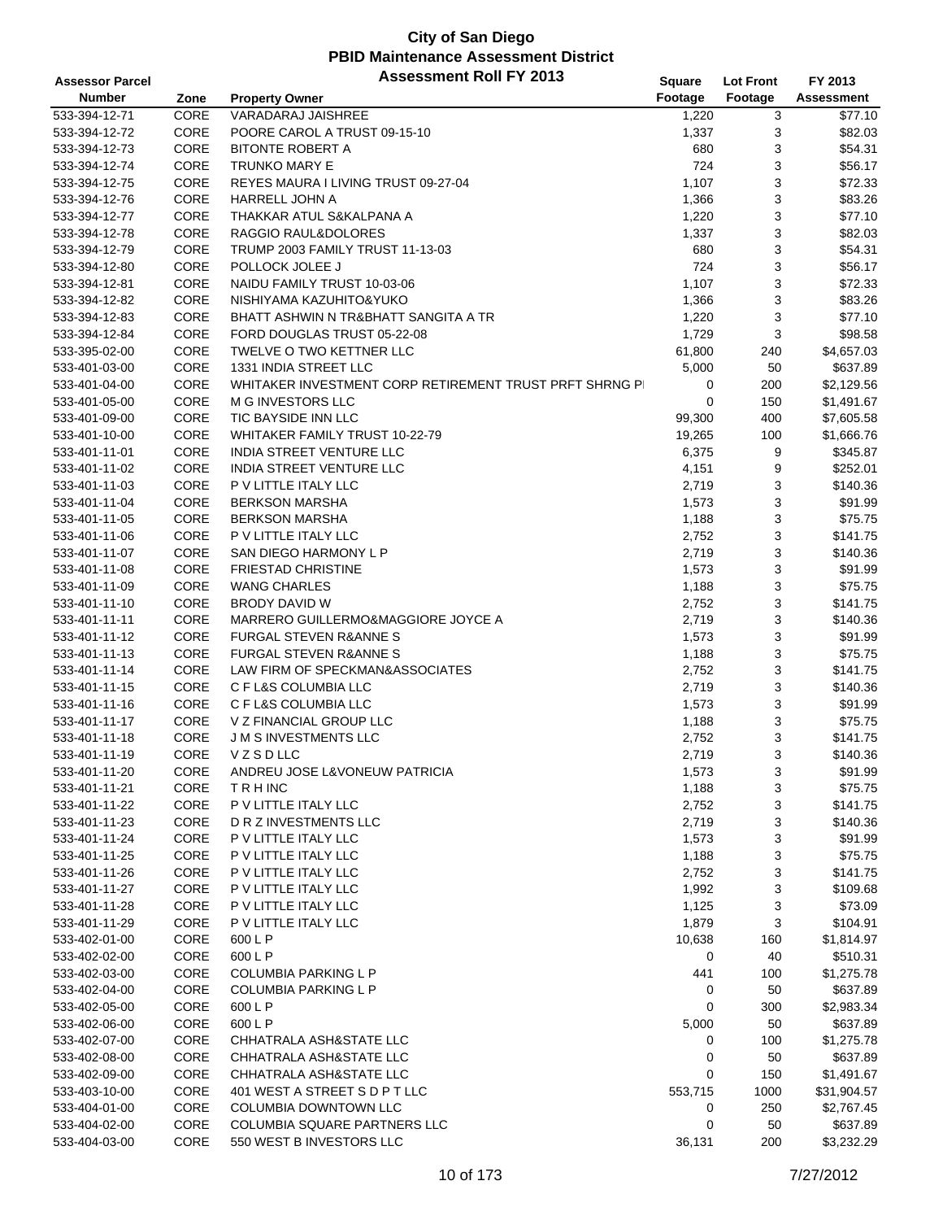| <b>Assessor Parcel</b> |             | <b>Assessment Roll FY 2013</b>                          | <b>Square</b> | <b>Lot Front</b> | FY 2013           |
|------------------------|-------------|---------------------------------------------------------|---------------|------------------|-------------------|
| <b>Number</b>          | Zone        | <b>Property Owner</b>                                   | Footage       | Footage          | <b>Assessment</b> |
| 533-394-12-71          | <b>CORE</b> | VARADARAJ JAISHREE                                      | 1,220         | 3                | \$77.10           |
| 533-394-12-72          | CORE        | POORE CAROL A TRUST 09-15-10                            | 1,337         | 3                | \$82.03           |
| 533-394-12-73          | CORE        | <b>BITONTE ROBERT A</b>                                 | 680           | 3                | \$54.31           |
| 533-394-12-74          | CORE        | <b>TRUNKO MARY E</b>                                    | 724           | 3                | \$56.17           |
| 533-394-12-75          | CORE        | REYES MAURA I LIVING TRUST 09-27-04                     | 1,107         | 3                | \$72.33           |
| 533-394-12-76          | CORE        | HARRELL JOHN A                                          | 1,366         | 3                | \$83.26           |
| 533-394-12-77          | CORE        | THAKKAR ATUL S&KALPANA A                                | 1,220         | 3                | \$77.10           |
| 533-394-12-78          | CORE        | RAGGIO RAUL&DOLORES                                     | 1,337         | 3                | \$82.03           |
| 533-394-12-79          | CORE        | TRUMP 2003 FAMILY TRUST 11-13-03                        | 680           | 3                | \$54.31           |
| 533-394-12-80          | CORE        | POLLOCK JOLEE J                                         | 724           | 3                | \$56.17           |
| 533-394-12-81          | CORE        | NAIDU FAMILY TRUST 10-03-06                             | 1,107         | 3                | \$72.33           |
| 533-394-12-82          | CORE        | NISHIYAMA KAZUHITO&YUKO                                 | 1,366         | 3                | \$83.26           |
| 533-394-12-83          | CORE        | BHATT ASHWIN N TR&BHATT SANGITA A TR                    | 1,220         | 3                | \$77.10           |
| 533-394-12-84          | CORE        | FORD DOUGLAS TRUST 05-22-08                             | 1,729         | 3                | \$98.58           |
| 533-395-02-00          | CORE        | <b>TWELVE O TWO KETTNER LLC</b>                         | 61,800        | 240              | \$4,657.03        |
| 533-401-03-00          | CORE        | 1331 INDIA STREET LLC                                   | 5,000         | 50               | \$637.89          |
| 533-401-04-00          | CORE        | WHITAKER INVESTMENT CORP RETIREMENT TRUST PRFT SHRNG PI | 0             | 200              | \$2,129.56        |
| 533-401-05-00          | CORE        | M G INVESTORS LLC                                       | 0             | 150              | \$1,491.67        |
| 533-401-09-00          | CORE        | TIC BAYSIDE INN LLC                                     | 99,300        | 400              | \$7,605.58        |
| 533-401-10-00          | CORE        | WHITAKER FAMILY TRUST 10-22-79                          | 19,265        | 100              | \$1,666.76        |
| 533-401-11-01          | CORE        | INDIA STREET VENTURE LLC                                | 6,375         | 9                | \$345.87          |
| 533-401-11-02          | CORE        | INDIA STREET VENTURE LLC                                | 4,151         | 9                | \$252.01          |
| 533-401-11-03          | CORE        | P V LITTLE ITALY LLC                                    | 2,719         | 3                | \$140.36          |
| 533-401-11-04          | CORE        | <b>BERKSON MARSHA</b>                                   | 1,573         | 3                | \$91.99           |
| 533-401-11-05          | CORE        | <b>BERKSON MARSHA</b>                                   | 1,188         | 3                | \$75.75           |
| 533-401-11-06          | CORE        | P V LITTLE ITALY LLC                                    | 2,752         | 3                | \$141.75          |
| 533-401-11-07          | CORE        | SAN DIEGO HARMONY L P                                   | 2,719         | 3                | \$140.36          |
| 533-401-11-08          | CORE        | <b>FRIESTAD CHRISTINE</b>                               | 1,573         | 3                | \$91.99           |
| 533-401-11-09          | CORE        | <b>WANG CHARLES</b>                                     | 1,188         | 3                | \$75.75           |
| 533-401-11-10          | CORE        | <b>BRODY DAVID W</b>                                    | 2,752         | 3                | \$141.75          |
| 533-401-11-11          | CORE        | MARRERO GUILLERMO&MAGGIORE JOYCE A                      | 2,719         | 3                | \$140.36          |
| 533-401-11-12          | CORE        | <b>FURGAL STEVEN R&amp;ANNE S</b>                       | 1,573         | 3                | \$91.99           |
| 533-401-11-13          | CORE        | <b>FURGAL STEVEN R&amp;ANNE S</b>                       | 1,188         | 3                | \$75.75           |
| 533-401-11-14          | CORE        | LAW FIRM OF SPECKMAN&ASSOCIATES                         | 2,752         | 3                | \$141.75          |
| 533-401-11-15          | CORE        | C F L&S COLUMBIA LLC                                    | 2,719         | 3                | \$140.36          |
| 533-401-11-16          | CORE        | C F L&S COLUMBIA LLC                                    | 1,573         | 3                | \$91.99           |
| 533-401-11-17          | CORE        | V Z FINANCIAL GROUP LLC                                 | 1,188         | 3                | \$75.75           |
| 533-401-11-18          | CORE        | <b>J M S INVESTMENTS LLC</b>                            | 2,752         | 3                | \$141.75          |
| 533-401-11-19          | CORE        | VZSDLLC                                                 | 2,719         | 3                | \$140.36          |
| 533-401-11-20          | CORE        | ANDREU JOSE L&VONEUW PATRICIA                           | 1,573         | 3                | \$91.99           |
| 533-401-11-21          | CORE        | <b>TRHINC</b>                                           | 1,188         | 3                | \$75.75           |
| 533-401-11-22          | CORE        | P V LITTLE ITALY LLC                                    | 2,752         | 3                | \$141.75          |
| 533-401-11-23          | CORE        | D R Z INVESTMENTS LLC                                   | 2,719         | 3                | \$140.36          |
| 533-401-11-24          | CORE        | P V LITTLE ITALY LLC                                    | 1,573         | 3                | \$91.99           |
| 533-401-11-25          | CORE        | P V LITTLE ITALY LLC                                    | 1,188         | 3                | \$75.75           |
| 533-401-11-26          | CORE        | P V LITTLE ITALY LLC                                    | 2,752         | 3                | \$141.75          |
| 533-401-11-27          | CORE        | P V LITTLE ITALY LLC                                    | 1,992         | 3                | \$109.68          |
| 533-401-11-28          | CORE        | P V LITTLE ITALY LLC                                    | 1,125         | 3                | \$73.09           |
| 533-401-11-29          | CORE        | P V LITTLE ITALY LLC                                    | 1,879         | 3                | \$104.91          |
| 533-402-01-00          | CORE        | 600 L P                                                 | 10,638        | 160              | \$1,814.97        |
| 533-402-02-00          | CORE        | 600 L P                                                 | 0             | 40               | \$510.31          |
| 533-402-03-00          | CORE        | <b>COLUMBIA PARKING L P</b>                             | 441           | 100              | \$1,275.78        |
| 533-402-04-00          | CORE        | <b>COLUMBIA PARKING L P</b>                             | 0             | 50               | \$637.89          |
| 533-402-05-00          | CORE        | 600 L P                                                 | 0             | 300              | \$2,983.34        |
| 533-402-06-00          | CORE        | 600 L P                                                 | 5,000         | 50               | \$637.89          |
| 533-402-07-00          | CORE        | CHHATRALA ASH&STATE LLC                                 | 0             | 100              | \$1,275.78        |
| 533-402-08-00          | CORE        | CHHATRALA ASH&STATE LLC                                 | 0             | 50               | \$637.89          |
| 533-402-09-00          | CORE        | CHHATRALA ASH&STATE LLC                                 | 0             | 150              | \$1,491.67        |
| 533-403-10-00          | CORE        | 401 WEST A STREET S D P T LLC                           | 553,715       | 1000             | \$31,904.57       |
| 533-404-01-00          | CORE        | COLUMBIA DOWNTOWN LLC                                   | 0             | 250              | \$2,767.45        |
| 533-404-02-00          | CORE        | COLUMBIA SQUARE PARTNERS LLC                            | 0             | 50               | \$637.89          |
| 533-404-03-00          | CORE        | 550 WEST B INVESTORS LLC                                | 36,131        | 200              | \$3,232.29        |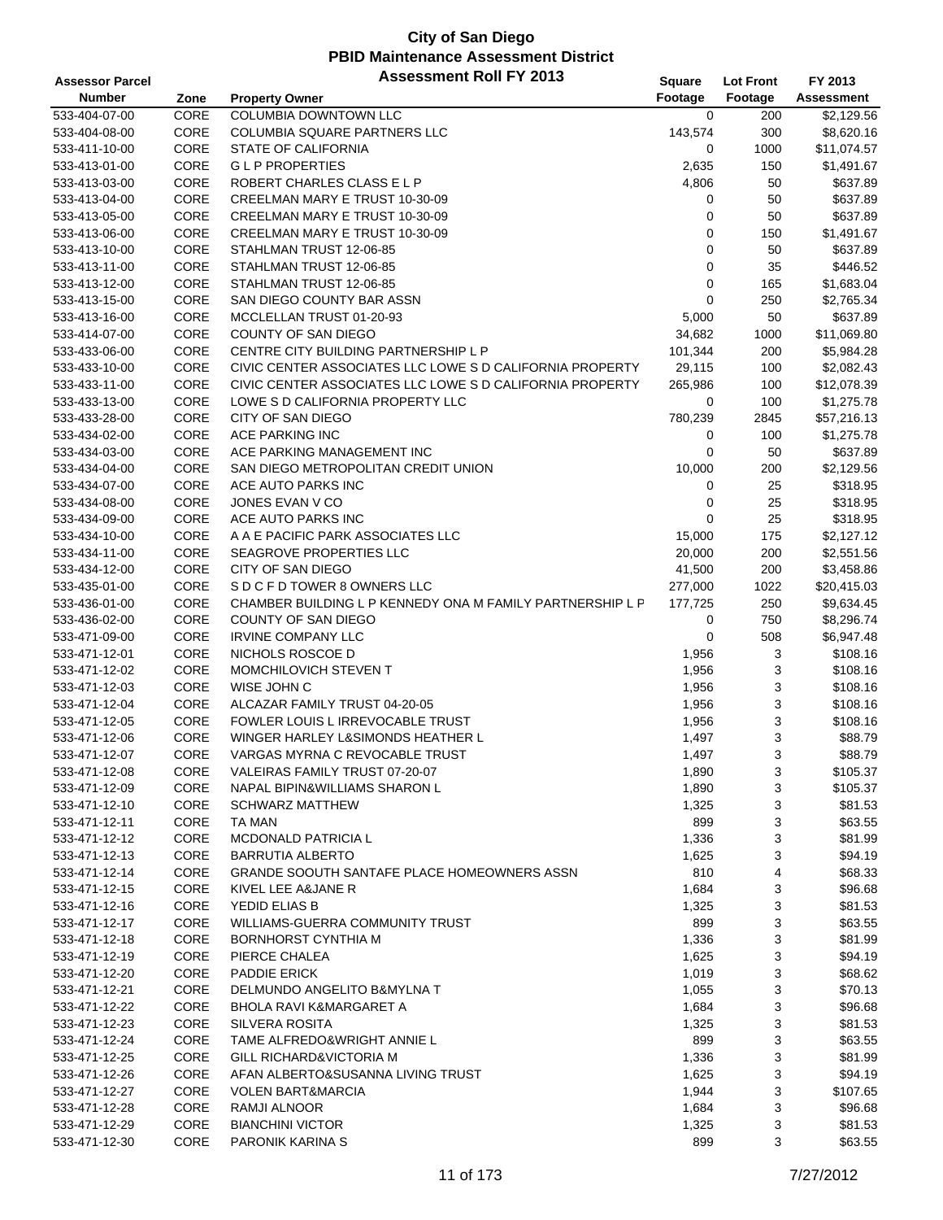| <b>Assessor Parcel</b> |      | <b>Assessment Roll FY 2013</b>                            | Square      | <b>Lot Front</b> | FY 2013           |
|------------------------|------|-----------------------------------------------------------|-------------|------------------|-------------------|
| <b>Number</b>          | Zone | <b>Property Owner</b>                                     | Footage     | Footage          | <b>Assessment</b> |
| 533-404-07-00          | CORE | <b>COLUMBIA DOWNTOWN LLC</b>                              | $\mathbf 0$ | 200              | \$2,129.56        |
| 533-404-08-00          | CORE | COLUMBIA SQUARE PARTNERS LLC                              | 143,574     | 300              | \$8,620.16        |
| 533-411-10-00          | CORE | <b>STATE OF CALIFORNIA</b>                                | 0           | 1000             | \$11,074.57       |
| 533-413-01-00          | CORE | <b>GLP PROPERTIES</b>                                     | 2,635       | 150              | \$1,491.67        |
| 533-413-03-00          | CORE | ROBERT CHARLES CLASS E L P                                | 4,806       | 50               | \$637.89          |
| 533-413-04-00          | CORE | CREELMAN MARY E TRUST 10-30-09                            | 0           | 50               | \$637.89          |
| 533-413-05-00          | CORE | CREELMAN MARY E TRUST 10-30-09                            | 0           | 50               | \$637.89          |
| 533-413-06-00          | CORE | CREELMAN MARY E TRUST 10-30-09                            | 0           | 150              | \$1,491.67        |
| 533-413-10-00          | CORE | STAHLMAN TRUST 12-06-85                                   | 0           | 50               | \$637.89          |
| 533-413-11-00          | CORE | STAHLMAN TRUST 12-06-85                                   | 0           | 35               | \$446.52          |
| 533-413-12-00          | CORE | STAHLMAN TRUST 12-06-85                                   | 0           | 165              | \$1,683.04        |
| 533-413-15-00          | CORE | SAN DIEGO COUNTY BAR ASSN                                 | 0           | 250              | \$2,765.34        |
| 533-413-16-00          | CORE | MCCLELLAN TRUST 01-20-93                                  | 5,000       | 50               | \$637.89          |
| 533-414-07-00          | CORE | COUNTY OF SAN DIEGO                                       | 34,682      | 1000             | \$11,069.80       |
| 533-433-06-00          | CORE | CENTRE CITY BUILDING PARTNERSHIP L P                      | 101,344     | 200              | \$5,984.28        |
| 533-433-10-00          | CORE | CIVIC CENTER ASSOCIATES LLC LOWE S D CALIFORNIA PROPERTY  | 29,115      | 100              | \$2,082.43        |
| 533-433-11-00          | CORE | CIVIC CENTER ASSOCIATES LLC LOWE S D CALIFORNIA PROPERTY  | 265,986     | 100              | \$12,078.39       |
| 533-433-13-00          | CORE | LOWE S D CALIFORNIA PROPERTY LLC                          | 0           | 100              | \$1,275.78        |
| 533-433-28-00          | CORE | CITY OF SAN DIEGO                                         | 780,239     | 2845             | \$57,216.13       |
| 533-434-02-00          | CORE | ACE PARKING INC                                           | 0           | 100              | \$1,275.78        |
| 533-434-03-00          | CORE | ACE PARKING MANAGEMENT INC                                | 0           | 50               | \$637.89          |
| 533-434-04-00          | CORE | SAN DIEGO METROPOLITAN CREDIT UNION                       | 10,000      | 200              | \$2,129.56        |
| 533-434-07-00          | CORE | ACE AUTO PARKS INC                                        | 0           | 25               | \$318.95          |
| 533-434-08-00          | CORE | JONES EVAN V CO                                           | 0           | 25               | \$318.95          |
| 533-434-09-00          | CORE | ACE AUTO PARKS INC                                        | 0           | 25               | \$318.95          |
| 533-434-10-00          | CORE | A A E PACIFIC PARK ASSOCIATES LLC                         | 15,000      | 175              | \$2,127.12        |
| 533-434-11-00          | CORE | SEAGROVE PROPERTIES LLC                                   | 20,000      | 200              | \$2,551.56        |
| 533-434-12-00          | CORE | CITY OF SAN DIEGO                                         | 41,500      | 200              | \$3,458.86        |
| 533-435-01-00          | CORE | S D C F D TOWER 8 OWNERS LLC                              | 277,000     | 1022             | \$20,415.03       |
| 533-436-01-00          | CORE | CHAMBER BUILDING L P KENNEDY ONA M FAMILY PARTNERSHIP L P | 177,725     | 250              | \$9,634.45        |
| 533-436-02-00          | CORE | COUNTY OF SAN DIEGO                                       | 0           | 750              | \$8,296.74        |
| 533-471-09-00          | CORE | <b>IRVINE COMPANY LLC</b>                                 | 0           | 508              | \$6,947.48        |
| 533-471-12-01          | CORE | NICHOLS ROSCOE D                                          | 1,956       | 3                | \$108.16          |
| 533-471-12-02          | CORE | MOMCHILOVICH STEVEN T                                     | 1,956       | 3                | \$108.16          |
| 533-471-12-03          | CORE | WISE JOHN C                                               | 1,956       | 3                | \$108.16          |
| 533-471-12-04          | CORE | ALCAZAR FAMILY TRUST 04-20-05                             | 1,956       | 3                | \$108.16          |
| 533-471-12-05          | CORE | FOWLER LOUIS L IRREVOCABLE TRUST                          | 1,956       | 3                | \$108.16          |
| 533-471-12-06          | CORE | WINGER HARLEY L&SIMONDS HEATHER L                         | 1,497       | 3                | \$88.79           |
| 533-471-12-07          | CORE | VARGAS MYRNA C REVOCABLE TRUST                            | 1,497       | 3                | \$88.79           |
| 533-471-12-08          | CORE | VALEIRAS FAMILY TRUST 07-20-07                            | 1,890       | 3                | \$105.37          |
| 533-471-12-09          | CORE | NAPAL BIPIN&WILLIAMS SHARON L                             | 1,890       | 3                | \$105.37          |
| 533-471-12-10          | CORE | <b>SCHWARZ MATTHEW</b>                                    | 1,325       | 3                | \$81.53           |
| 533-471-12-11          | CORE | TA MAN                                                    | 899         | 3                | \$63.55           |
| 533-471-12-12          | CORE | MCDONALD PATRICIA L                                       | 1,336       | 3                | \$81.99           |
| 533-471-12-13          | CORE | <b>BARRUTIA ALBERTO</b>                                   | 1,625       | 3                | \$94.19           |
| 533-471-12-14          | CORE | <b>GRANDE SOOUTH SANTAFE PLACE HOMEOWNERS ASSN</b>        | 810         | 4                | \$68.33           |
| 533-471-12-15          | CORE | KIVEL LEE A&JANE R                                        | 1,684       | 3                | \$96.68           |
| 533-471-12-16          | CORE | YEDID ELIAS B                                             | 1,325       | 3                | \$81.53           |
| 533-471-12-17          | CORE | WILLIAMS-GUERRA COMMUNITY TRUST                           | 899         | 3                | \$63.55           |
| 533-471-12-18          | CORE | <b>BORNHORST CYNTHIA M</b>                                | 1,336       | 3                | \$81.99           |
| 533-471-12-19          | CORE | PIERCE CHALEA                                             | 1,625       | 3                | \$94.19           |
| 533-471-12-20          | CORE | PADDIE ERICK                                              | 1,019       | 3                | \$68.62           |
| 533-471-12-21          | CORE | DELMUNDO ANGELITO B&MYLNA T                               | 1,055       | 3                | \$70.13           |
| 533-471-12-22          | CORE | <b>BHOLA RAVI K&amp;MARGARET A</b>                        | 1,684       | 3                | \$96.68           |
| 533-471-12-23          | CORE | <b>SILVERA ROSITA</b>                                     | 1,325       | 3                | \$81.53           |
| 533-471-12-24          | CORE | TAME ALFREDO&WRIGHT ANNIE L                               | 899         | 3                | \$63.55           |
| 533-471-12-25          | CORE | GILL RICHARD&VICTORIA M                                   | 1,336       | 3                | \$81.99           |
| 533-471-12-26          | CORE | AFAN ALBERTO&SUSANNA LIVING TRUST                         | 1,625       | 3                | \$94.19           |
| 533-471-12-27          | CORE | <b>VOLEN BART&amp;MARCIA</b>                              | 1,944       | 3                | \$107.65          |
| 533-471-12-28          | CORE | RAMJI ALNOOR                                              | 1,684       | 3                | \$96.68           |
| 533-471-12-29          | CORE | <b>BIANCHINI VICTOR</b>                                   | 1,325       | 3                | \$81.53           |
| 533-471-12-30          | CORE | PARONIK KARINA S                                          | 899         | 3                | \$63.55           |
|                        |      |                                                           |             |                  |                   |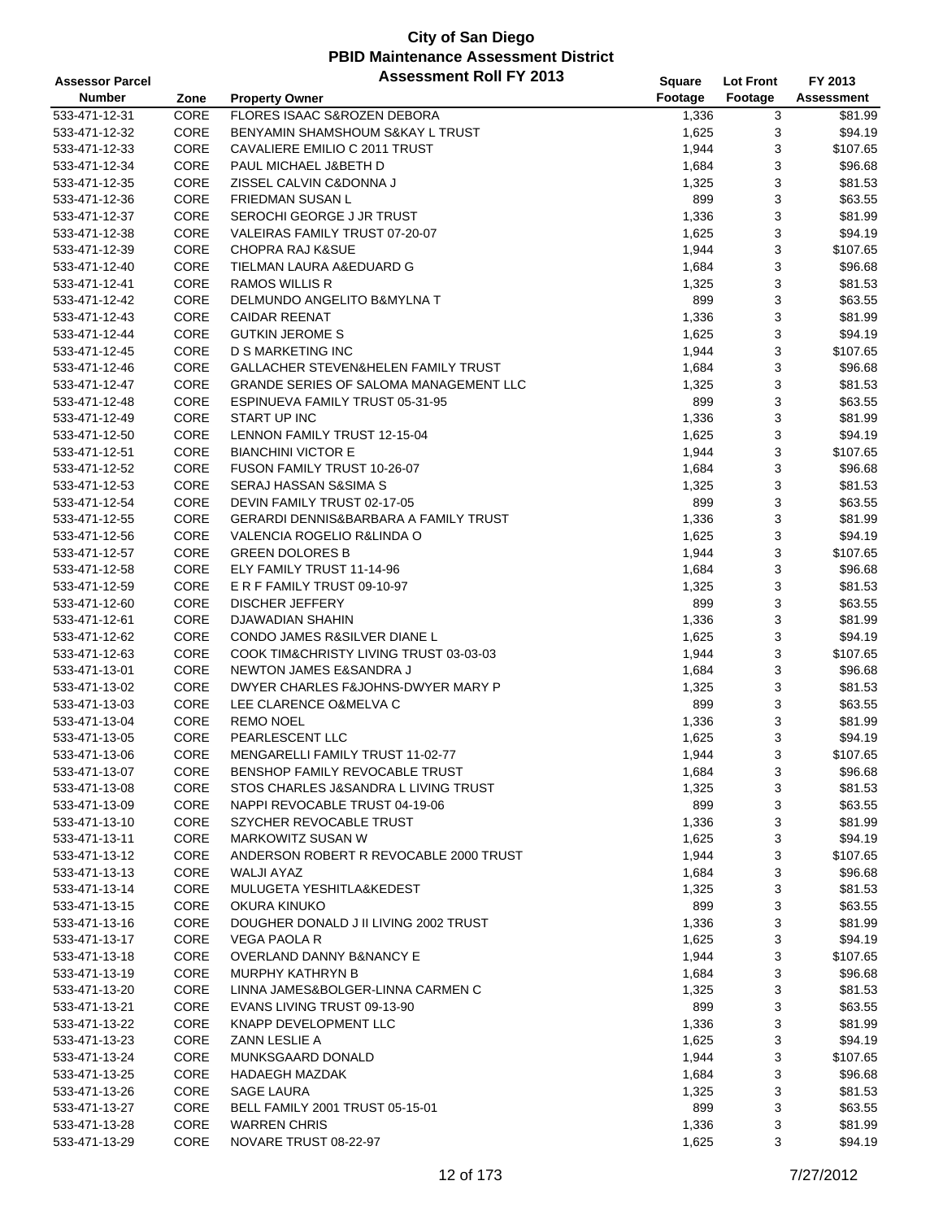| <b>Assessor Parcel</b> |      | <b>Assessment Roll FY 2013</b>                   | <b>Square</b> | <b>Lot Front</b> | FY 2013           |
|------------------------|------|--------------------------------------------------|---------------|------------------|-------------------|
| <b>Number</b>          | Zone | <b>Property Owner</b>                            | Footage       | Footage          | <b>Assessment</b> |
| 533-471-12-31          | CORE | FLORES ISAAC S&ROZEN DEBORA                      | 1,336         | 3                | \$81.99           |
| 533-471-12-32          | CORE | BENYAMIN SHAMSHOUM S&KAY L TRUST                 | 1,625         | 3                | \$94.19           |
| 533-471-12-33          | CORE | CAVALIERE EMILIO C 2011 TRUST                    | 1,944         | 3                | \$107.65          |
| 533-471-12-34          | CORE | PAUL MICHAEL J&BETH D                            | 1,684         | 3                | \$96.68           |
| 533-471-12-35          | CORE | ZISSEL CALVIN C&DONNA J                          | 1,325         | 3                | \$81.53           |
| 533-471-12-36          | CORE | <b>FRIEDMAN SUSAN L</b>                          | 899           | 3                | \$63.55           |
| 533-471-12-37          | CORE | SEROCHI GEORGE J JR TRUST                        | 1,336         | 3                | \$81.99           |
| 533-471-12-38          | CORE | VALEIRAS FAMILY TRUST 07-20-07                   | 1,625         | 3                | \$94.19           |
| 533-471-12-39          | CORE | <b>CHOPRA RAJ K&amp;SUE</b>                      | 1,944         | 3                | \$107.65          |
| 533-471-12-40          | CORE | TIELMAN LAURA A&EDUARD G                         | 1,684         | 3                | \$96.68           |
| 533-471-12-41          | CORE | <b>RAMOS WILLIS R</b>                            | 1,325         | $\sqrt{3}$       | \$81.53           |
| 533-471-12-42          | CORE | DELMUNDO ANGELITO B&MYLNA T                      | 899           | 3                | \$63.55           |
| 533-471-12-43          | CORE | <b>CAIDAR REENAT</b>                             | 1,336         | 3                | \$81.99           |
| 533-471-12-44          | CORE | <b>GUTKIN JEROME S</b>                           | 1,625         | 3                | \$94.19           |
| 533-471-12-45          | CORE | D S MARKETING INC                                | 1,944         | 3                | \$107.65          |
| 533-471-12-46          | CORE | GALLACHER STEVEN&HELEN FAMILY TRUST              | 1,684         | 3                | \$96.68           |
| 533-471-12-47          | CORE | <b>GRANDE SERIES OF SALOMA MANAGEMENT LLC</b>    | 1,325         | 3                | \$81.53           |
| 533-471-12-48          | CORE | ESPINUEVA FAMILY TRUST 05-31-95                  | 899           | 3                | \$63.55           |
| 533-471-12-49          | CORE | START UP INC                                     | 1,336         | 3                | \$81.99           |
| 533-471-12-50          | CORE | LENNON FAMILY TRUST 12-15-04                     | 1,625         | 3                | \$94.19           |
| 533-471-12-51          | CORE | <b>BIANCHINI VICTOR E</b>                        | 1,944         | 3                | \$107.65          |
| 533-471-12-52          | CORE | FUSON FAMILY TRUST 10-26-07                      | 1,684         | 3                | \$96.68           |
| 533-471-12-53          | CORE | SERAJ HASSAN S&SIMA S                            | 1,325         | 3                | \$81.53           |
| 533-471-12-54          | CORE | DEVIN FAMILY TRUST 02-17-05                      | 899           | 3                | \$63.55           |
| 533-471-12-55          | CORE | <b>GERARDI DENNIS&amp;BARBARA A FAMILY TRUST</b> | 1,336         | 3                | \$81.99           |
| 533-471-12-56          | CORE | VALENCIA ROGELIO R&LINDA O                       | 1,625         | 3                | \$94.19           |
| 533-471-12-57          | CORE | <b>GREEN DOLORES B</b>                           | 1,944         | 3                | \$107.65          |
| 533-471-12-58          | CORE | ELY FAMILY TRUST 11-14-96                        | 1,684         | 3                | \$96.68           |
| 533-471-12-59          | CORE | E R F FAMILY TRUST 09-10-97                      | 1,325         | 3                | \$81.53           |
| 533-471-12-60          | CORE | <b>DISCHER JEFFERY</b>                           | 899           | 3                | \$63.55           |
| 533-471-12-61          | CORE | DJAWADIAN SHAHIN                                 | 1,336         | 3                | \$81.99           |
| 533-471-12-62          | CORE | CONDO JAMES R&SILVER DIANE L                     | 1,625         | 3                | \$94.19           |
| 533-471-12-63          | CORE | COOK TIM&CHRISTY LIVING TRUST 03-03-03           | 1,944         | 3                | \$107.65          |
| 533-471-13-01          | CORE | NEWTON JAMES E&SANDRA J                          | 1,684         | 3                | \$96.68           |
| 533-471-13-02          | CORE | DWYER CHARLES F&JOHNS-DWYER MARY P               | 1,325         | 3                | \$81.53           |
| 533-471-13-03          | CORE | LEE CLARENCE O&MELVA C                           | 899           | 3                | \$63.55           |
| 533-471-13-04          | CORE | <b>REMO NOEL</b>                                 | 1,336         | 3                | \$81.99           |
| 533-471-13-05          | CORE | PEARLESCENT LLC                                  | 1,625         | 3                | \$94.19           |
| 533-471-13-06          | CORE | <b>MENGARELLI FAMILY TRUST 11-02-77</b>          | 1,944         | 3                | \$107.65          |
| 533-471-13-07          | CORE | BENSHOP FAMILY REVOCABLE TRUST                   | 1,684         | 3                | \$96.68           |
| 533-471-13-08          | CORE | STOS CHARLES J&SANDRA L LIVING TRUST             | 1,325         | 3                | \$81.53           |
| 533-471-13-09          | CORE | NAPPI REVOCABLE TRUST 04-19-06                   | 899           | 3                | \$63.55           |
| 533-471-13-10          | CORE | SZYCHER REVOCABLE TRUST                          | 1,336         | 3                | \$81.99           |
| 533-471-13-11          | CORE | MARKOWITZ SUSAN W                                | 1,625         | 3                | \$94.19           |
| 533-471-13-12          | CORE | ANDERSON ROBERT R REVOCABLE 2000 TRUST           | 1,944         | 3                | \$107.65          |
| 533-471-13-13          | CORE | WALJI AYAZ                                       | 1,684         | 3                | \$96.68           |
| 533-471-13-14          | CORE | MULUGETA YESHITLA&KEDEST                         | 1,325         | 3                | \$81.53           |
| 533-471-13-15          | CORE | OKURA KINUKO                                     | 899           | 3                | \$63.55           |
| 533-471-13-16          | CORE | DOUGHER DONALD J II LIVING 2002 TRUST            | 1,336         | 3                | \$81.99           |
| 533-471-13-17          | CORE | <b>VEGA PAOLA R</b>                              | 1,625         | 3                | \$94.19           |
| 533-471-13-18          | CORE | OVERLAND DANNY B&NANCY E                         | 1,944         | 3                | \$107.65          |
| 533-471-13-19          | CORE | <b>MURPHY KATHRYN B</b>                          | 1,684         | 3                | \$96.68           |
| 533-471-13-20          | CORE | LINNA JAMES&BOLGER-LINNA CARMEN C                | 1,325         | 3                | \$81.53           |
| 533-471-13-21          | CORE | EVANS LIVING TRUST 09-13-90                      | 899           | 3                | \$63.55           |
| 533-471-13-22          | CORE | KNAPP DEVELOPMENT LLC                            | 1,336         | 3                | \$81.99           |
| 533-471-13-23          | CORE | ZANN LESLIE A                                    | 1,625         | 3                | \$94.19           |
| 533-471-13-24          | CORE | MUNKSGAARD DONALD                                | 1,944         | 3                | \$107.65          |
| 533-471-13-25          | CORE | <b>HADAEGH MAZDAK</b>                            | 1,684         | 3                | \$96.68           |
| 533-471-13-26          | CORE | <b>SAGE LAURA</b>                                | 1,325         | 3                | \$81.53           |
| 533-471-13-27          | CORE | BELL FAMILY 2001 TRUST 05-15-01                  | 899           | 3                | \$63.55           |
| 533-471-13-28          | CORE | <b>WARREN CHRIS</b>                              | 1,336         | 3                | \$81.99           |
| 533-471-13-29          | CORE | NOVARE TRUST 08-22-97                            | 1,625         | 3                | \$94.19           |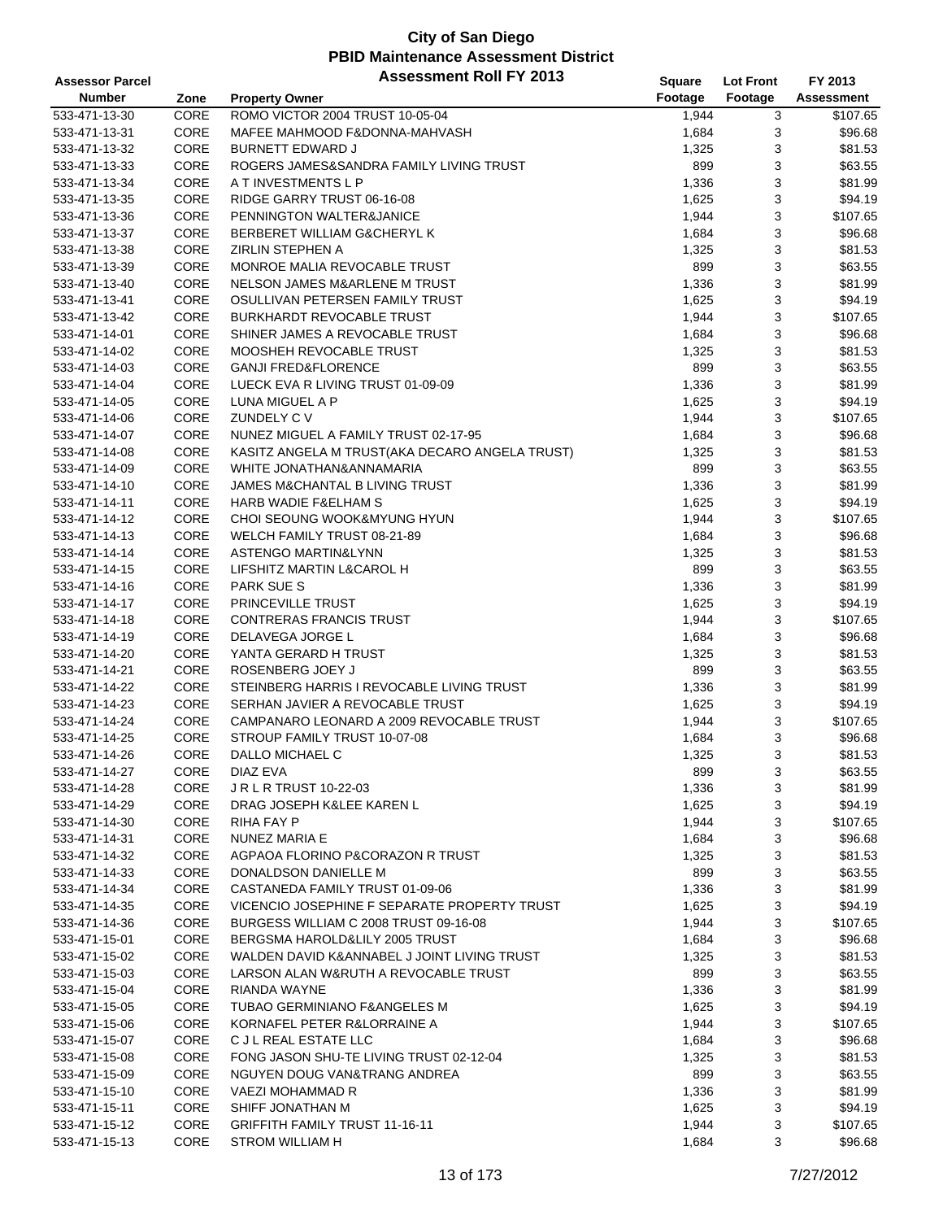| <b>Assessor Parcel</b> |      | <b>Assessment Roll FY 2013</b>                 | <b>Square</b> | <b>Lot Front</b> | FY 2013           |
|------------------------|------|------------------------------------------------|---------------|------------------|-------------------|
| <b>Number</b>          | Zone | <b>Property Owner</b>                          | Footage       | Footage          | <b>Assessment</b> |
| 533-471-13-30          | CORE | ROMO VICTOR 2004 TRUST 10-05-04                | 1,944         | 3                | \$107.65          |
| 533-471-13-31          | CORE | MAFEE MAHMOOD F&DONNA-MAHVASH                  | 1,684         | 3                | \$96.68           |
| 533-471-13-32          | CORE | <b>BURNETT EDWARD J</b>                        | 1,325         | 3                | \$81.53           |
| 533-471-13-33          | CORE | ROGERS JAMES&SANDRA FAMILY LIVING TRUST        | 899           | 3                | \$63.55           |
| 533-471-13-34          | CORE | A T INVESTMENTS L P                            | 1,336         | 3                | \$81.99           |
| 533-471-13-35          | CORE | RIDGE GARRY TRUST 06-16-08                     | 1,625         | 3                | \$94.19           |
| 533-471-13-36          | CORE | PENNINGTON WALTER&JANICE                       | 1,944         | 3                | \$107.65          |
| 533-471-13-37          | CORE | BERBERET WILLIAM G&CHERYL K                    | 1,684         | 3                | \$96.68           |
| 533-471-13-38          | CORE | <b>ZIRLIN STEPHEN A</b>                        | 1,325         | 3                | \$81.53           |
| 533-471-13-39          | CORE | MONROE MALIA REVOCABLE TRUST                   | 899           | 3                | \$63.55           |
| 533-471-13-40          | CORE | NELSON JAMES M&ARLENE M TRUST                  | 1,336         | 3                | \$81.99           |
| 533-471-13-41          | CORE | OSULLIVAN PETERSEN FAMILY TRUST                | 1,625         | 3                | \$94.19           |
| 533-471-13-42          | CORE | <b>BURKHARDT REVOCABLE TRUST</b>               | 1,944         | 3                | \$107.65          |
| 533-471-14-01          | CORE | SHINER JAMES A REVOCABLE TRUST                 | 1,684         | 3                | \$96.68           |
| 533-471-14-02          | CORE | MOOSHEH REVOCABLE TRUST                        | 1,325         | 3                | \$81.53           |
| 533-471-14-03          | CORE | <b>GANJI FRED&amp;FLORENCE</b>                 | 899           | 3                | \$63.55           |
| 533-471-14-04          | CORE | LUECK EVA R LIVING TRUST 01-09-09              | 1,336         | 3                | \$81.99           |
| 533-471-14-05          | CORE | LUNA MIGUEL A P                                | 1,625         | 3                | \$94.19           |
| 533-471-14-06          | CORE | ZUNDELY C V                                    | 1,944         | 3                | \$107.65          |
| 533-471-14-07          | CORE | NUNEZ MIGUEL A FAMILY TRUST 02-17-95           | 1,684         | 3                | \$96.68           |
| 533-471-14-08          | CORE | KASITZ ANGELA M TRUST(AKA DECARO ANGELA TRUST) | 1,325         | 3                | \$81.53           |
| 533-471-14-09          | CORE | WHITE JONATHAN&ANNAMARIA                       | 899           | 3                | \$63.55           |
| 533-471-14-10          | CORE | JAMES M&CHANTAL B LIVING TRUST                 | 1,336         | 3                | \$81.99           |
| 533-471-14-11          | CORE | <b>HARB WADIE F&amp;ELHAM S</b>                | 1,625         | 3                | \$94.19           |
| 533-471-14-12          | CORE | CHOI SEOUNG WOOK&MYUNG HYUN                    | 1,944         | 3                | \$107.65          |
| 533-471-14-13          | CORE | WELCH FAMILY TRUST 08-21-89                    | 1,684         | 3                | \$96.68           |
| 533-471-14-14          | CORE | ASTENGO MARTIN&LYNN                            | 1,325         | 3                | \$81.53           |
| 533-471-14-15          | CORE | LIFSHITZ MARTIN L&CAROL H                      | 899           | 3                | \$63.55           |
| 533-471-14-16          | CORE | <b>PARK SUE S</b>                              | 1,336         | 3                | \$81.99           |
| 533-471-14-17          | CORE | PRINCEVILLE TRUST                              | 1,625         | 3                | \$94.19           |
| 533-471-14-18          | CORE | <b>CONTRERAS FRANCIS TRUST</b>                 | 1,944         | 3                | \$107.65          |
| 533-471-14-19          | CORE | DELAVEGA JORGE L                               | 1,684         | 3                | \$96.68           |
| 533-471-14-20          | CORE | YANTA GERARD H TRUST                           | 1,325         | 3                | \$81.53           |
| 533-471-14-21          | CORE | ROSENBERG JOEY J                               | 899           | 3                | \$63.55           |
| 533-471-14-22          | CORE | STEINBERG HARRIS I REVOCABLE LIVING TRUST      | 1,336         | 3                | \$81.99           |
| 533-471-14-23          | CORE | SERHAN JAVIER A REVOCABLE TRUST                | 1,625         | 3                | \$94.19           |
| 533-471-14-24          | CORE | CAMPANARO LEONARD A 2009 REVOCABLE TRUST       | 1,944         | 3                | \$107.65          |
| 533-471-14-25          | CORE | STROUP FAMILY TRUST 10-07-08                   | 1,684         | 3                | \$96.68           |
| 533-471-14-26          | CORE | DALLO MICHAEL C                                | 1,325         | 3                | \$81.53           |
| 533-471-14-27          | CORE | DIAZ EVA                                       | 899           | 3                | \$63.55           |
| 533-471-14-28          | CORE | <b>JRLRTRUST 10-22-03</b>                      | 1,336         | 3                | \$81.99           |
| 533-471-14-29          | CORE | DRAG JOSEPH K&LEE KAREN L                      | 1,625         | 3                | \$94.19           |
| 533-471-14-30          | CORE | RIHA FAY P                                     | 1,944         | 3                | \$107.65          |
| 533-471-14-31          | CORE | NUNEZ MARIA E                                  | 1,684         | 3                | \$96.68           |
| 533-471-14-32          | CORE | AGPAOA FLORINO P&CORAZON R TRUST               | 1,325         | 3                | \$81.53           |
| 533-471-14-33          | CORE | DONALDSON DANIELLE M                           | 899           | 3                | \$63.55           |
| 533-471-14-34          | CORE | CASTANEDA FAMILY TRUST 01-09-06                | 1,336         | 3                | \$81.99           |
| 533-471-14-35          | CORE | VICENCIO JOSEPHINE F SEPARATE PROPERTY TRUST   | 1,625         | 3                | \$94.19           |
| 533-471-14-36          | CORE | BURGESS WILLIAM C 2008 TRUST 09-16-08          | 1,944         | 3                | \$107.65          |
| 533-471-15-01          | CORE | BERGSMA HAROLD&LILY 2005 TRUST                 | 1,684         | 3                | \$96.68           |
| 533-471-15-02          | CORE | WALDEN DAVID K&ANNABEL J JOINT LIVING TRUST    | 1,325         | 3                | \$81.53           |
| 533-471-15-03          | CORE | LARSON ALAN W&RUTH A REVOCABLE TRUST           | 899           | 3                | \$63.55           |
| 533-471-15-04          | CORE | <b>RIANDA WAYNE</b>                            | 1,336         | 3                | \$81.99           |
| 533-471-15-05          | CORE | TUBAO GERMINIANO F&ANGELES M                   | 1,625         | 3                | \$94.19           |
| 533-471-15-06          | CORE | KORNAFEL PETER R&LORRAINE A                    | 1,944         | 3                | \$107.65          |
| 533-471-15-07          | CORE | C J L REAL ESTATE LLC                          | 1,684         | 3                | \$96.68           |
| 533-471-15-08          | CORE | FONG JASON SHU-TE LIVING TRUST 02-12-04        | 1,325         | 3                | \$81.53           |
| 533-471-15-09          | CORE | NGUYEN DOUG VAN&TRANG ANDREA                   | 899           | 3                | \$63.55           |
| 533-471-15-10          | CORE | VAEZI MOHAMMAD R                               | 1,336         | 3                | \$81.99           |
| 533-471-15-11          | CORE | SHIFF JONATHAN M                               | 1,625         | 3                | \$94.19           |
| 533-471-15-12          | CORE | <b>GRIFFITH FAMILY TRUST 11-16-11</b>          | 1,944         | 3                | \$107.65          |
| 533-471-15-13          | CORE | <b>STROM WILLIAM H</b>                         | 1,684         | 3                | \$96.68           |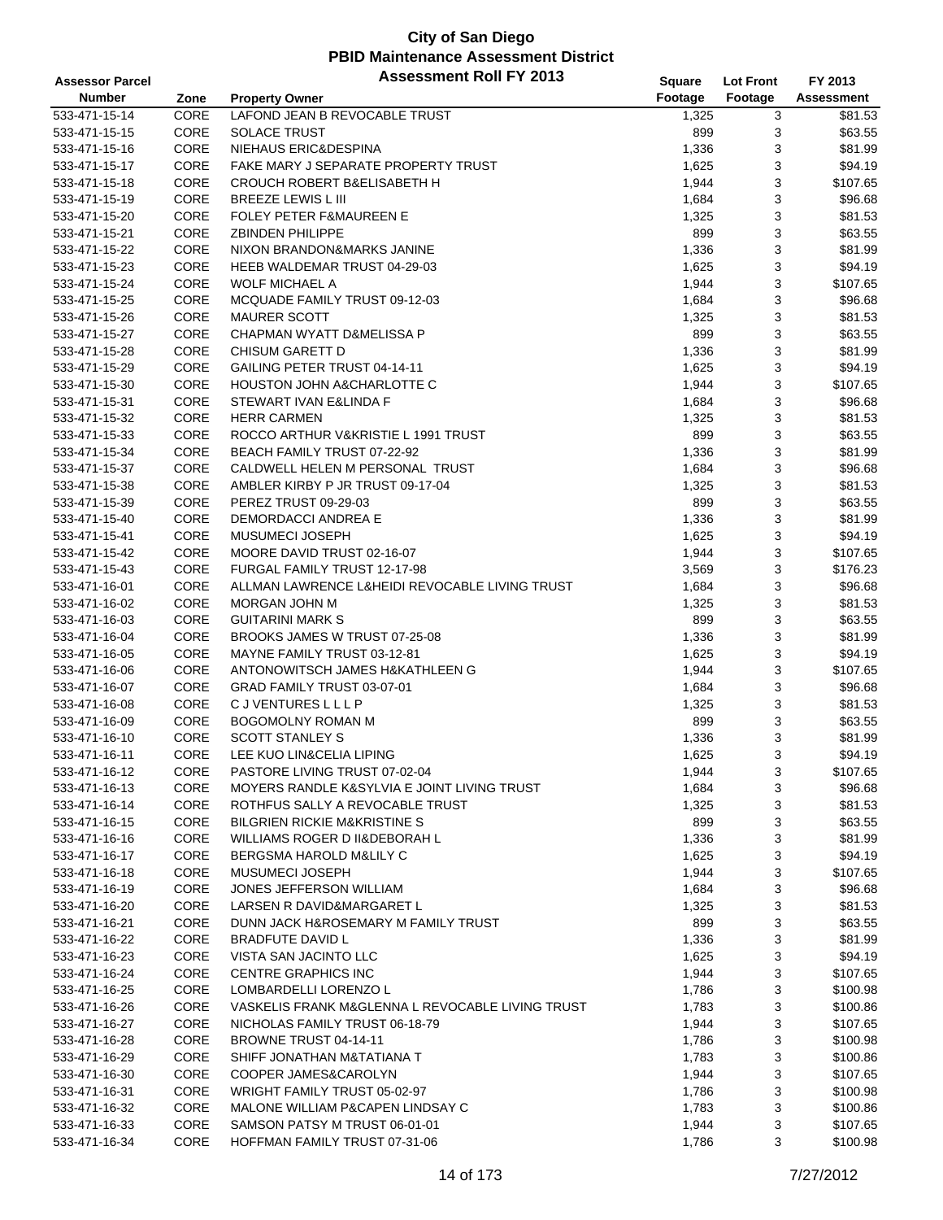| <b>Assessor Parcel</b> |             | <b>Assessment Roll FY 2013</b>                   | Square  | <b>Lot Front</b> | FY 2013    |
|------------------------|-------------|--------------------------------------------------|---------|------------------|------------|
| <b>Number</b>          | Zone        | <b>Property Owner</b>                            | Footage | Footage          | Assessment |
| 533-471-15-14          | <b>CORE</b> | LAFOND JEAN B REVOCABLE TRUST                    | 1,325   | 3                | \$81.53    |
| 533-471-15-15          | CORE        | <b>SOLACE TRUST</b>                              | 899     | 3                | \$63.55    |
| 533-471-15-16          | CORE        | NIEHAUS ERIC&DESPINA                             | 1,336   | 3                | \$81.99    |
| 533-471-15-17          | CORE        | <b>FAKE MARY J SEPARATE PROPERTY TRUST</b>       | 1,625   | 3                | \$94.19    |
| 533-471-15-18          | CORE        | <b>CROUCH ROBERT B&amp;ELISABETH H</b>           | 1,944   | 3                | \$107.65   |
| 533-471-15-19          | CORE        | BREEZE LEWIS L III                               | 1,684   | 3                | \$96.68    |
| 533-471-15-20          | CORE        | <b>FOLEY PETER F&amp;MAUREEN E</b>               | 1,325   | 3                | \$81.53    |
| 533-471-15-21          | CORE        | <b>ZBINDEN PHILIPPE</b>                          | 899     | 3                | \$63.55    |
| 533-471-15-22          | CORE        | NIXON BRANDON&MARKS JANINE                       | 1,336   | 3                | \$81.99    |
| 533-471-15-23          | CORE        | HEEB WALDEMAR TRUST 04-29-03                     | 1,625   | 3                | \$94.19    |
| 533-471-15-24          | CORE        | <b>WOLF MICHAEL A</b>                            | 1,944   | 3                | \$107.65   |
| 533-471-15-25          | CORE        | MCQUADE FAMILY TRUST 09-12-03                    | 1,684   | 3                | \$96.68    |
| 533-471-15-26          | CORE        | <b>MAURER SCOTT</b>                              | 1,325   | 3                | \$81.53    |
| 533-471-15-27          | CORE        | CHAPMAN WYATT D&MELISSA P                        | 899     | 3                | \$63.55    |
| 533-471-15-28          | CORE        | CHISUM GARETT D                                  | 1,336   | 3                | \$81.99    |
| 533-471-15-29          | CORE        | GAILING PETER TRUST 04-14-11                     | 1,625   | 3                | \$94.19    |
| 533-471-15-30          | CORE        | <b>HOUSTON JOHN A&amp;CHARLOTTE C</b>            | 1,944   | 3                | \$107.65   |
| 533-471-15-31          | CORE        | STEWART IVAN E&LINDA F                           | 1,684   | 3                | \$96.68    |
| 533-471-15-32          | CORE        | <b>HERR CARMEN</b>                               | 1,325   | 3                | \$81.53    |
| 533-471-15-33          | CORE        | ROCCO ARTHUR V&KRISTIE L 1991 TRUST              | 899     | 3                | \$63.55    |
| 533-471-15-34          | CORE        | BEACH FAMILY TRUST 07-22-92                      | 1,336   | 3                | \$81.99    |
| 533-471-15-37          | CORE        | CALDWELL HELEN M PERSONAL TRUST                  |         | 3                | \$96.68    |
| 533-471-15-38          | CORE        | AMBLER KIRBY P JR TRUST 09-17-04                 | 1,684   | 3                | \$81.53    |
|                        | CORE        |                                                  | 1,325   | 3                |            |
| 533-471-15-39          |             | PEREZ TRUST 09-29-03                             | 899     |                  | \$63.55    |
| 533-471-15-40          | CORE        | <b>DEMORDACCI ANDREA E</b>                       | 1,336   | 3                | \$81.99    |
| 533-471-15-41          | CORE        | MUSUMECI JOSEPH                                  | 1,625   | 3                | \$94.19    |
| 533-471-15-42          | CORE        | MOORE DAVID TRUST 02-16-07                       | 1,944   | 3                | \$107.65   |
| 533-471-15-43          | CORE        | FURGAL FAMILY TRUST 12-17-98                     | 3,569   | 3                | \$176.23   |
| 533-471-16-01          | CORE        | ALLMAN LAWRENCE L&HEIDI REVOCABLE LIVING TRUST   | 1,684   | 3                | \$96.68    |
| 533-471-16-02          | CORE        | MORGAN JOHN M                                    | 1,325   | 3                | \$81.53    |
| 533-471-16-03          | CORE        | <b>GUITARINI MARK S</b>                          | 899     | 3                | \$63.55    |
| 533-471-16-04          | CORE        | BROOKS JAMES W TRUST 07-25-08                    | 1,336   | 3                | \$81.99    |
| 533-471-16-05          | CORE        | MAYNE FAMILY TRUST 03-12-81                      | 1,625   | 3                | \$94.19    |
| 533-471-16-06          | CORE        | ANTONOWITSCH JAMES H&KATHLEEN G                  | 1,944   | 3                | \$107.65   |
| 533-471-16-07          | CORE        | GRAD FAMILY TRUST 03-07-01                       | 1,684   | 3                | \$96.68    |
| 533-471-16-08          | CORE        | <b>CJVENTURESLLLP</b>                            | 1,325   | 3                | \$81.53    |
| 533-471-16-09          | CORE        | <b>BOGOMOLNY ROMAN M</b>                         | 899     | 3                | \$63.55    |
| 533-471-16-10          | CORE        | <b>SCOTT STANLEY S</b>                           | 1,336   | 3                | \$81.99    |
| 533-471-16-11          | CORE        | LEE KUO LIN&CELIA LIPING                         | 1,625   | 3                | \$94.19    |
| 533-471-16-12          | CORE        | PASTORE LIVING TRUST 07-02-04                    | 1,944   | 3                | \$107.65   |
| 533-471-16-13          | CORE        | MOYERS RANDLE K&SYLVIA E JOINT LIVING TRUST      | 1,684   | 3                | \$96.68    |
| 533-471-16-14          | CORE        | ROTHFUS SALLY A REVOCABLE TRUST                  | 1,325   | 3                | \$81.53    |
| 533-471-16-15          | CORE        | <b>BILGRIEN RICKIE M&amp;KRISTINE S</b>          | 899     | 3                | \$63.55    |
| 533-471-16-16          | CORE        | WILLIAMS ROGER D II&DEBORAH L                    | 1,336   | 3                | \$81.99    |
| 533-471-16-17          | CORE        | BERGSMA HAROLD M&LILY C                          | 1,625   | 3                | \$94.19    |
| 533-471-16-18          | CORE        | MUSUMECI JOSEPH                                  | 1,944   | 3                | \$107.65   |
| 533-471-16-19          | CORE        | <b>JONES JEFFERSON WILLIAM</b>                   | 1,684   | 3                | \$96.68    |
| 533-471-16-20          | CORE        | LARSEN R DAVID&MARGARET L                        | 1,325   | 3                | \$81.53    |
| 533-471-16-21          | CORE        | DUNN JACK H&ROSEMARY M FAMILY TRUST              | 899     | 3                | \$63.55    |
| 533-471-16-22          | CORE        | <b>BRADFUTE DAVID L</b>                          | 1,336   | 3                | \$81.99    |
| 533-471-16-23          | CORE        | VISTA SAN JACINTO LLC                            | 1,625   | 3                | \$94.19    |
| 533-471-16-24          | CORE        | CENTRE GRAPHICS INC                              | 1,944   | 3                | \$107.65   |
| 533-471-16-25          | CORE        | LOMBARDELLI LORENZO L                            | 1,786   | 3                | \$100.98   |
| 533-471-16-26          | CORE        | VASKELIS FRANK M&GLENNA L REVOCABLE LIVING TRUST | 1,783   | 3                | \$100.86   |
| 533-471-16-27          | CORE        | NICHOLAS FAMILY TRUST 06-18-79                   | 1,944   | 3                | \$107.65   |
| 533-471-16-28          | CORE        | BROWNE TRUST 04-14-11                            | 1,786   | 3                | \$100.98   |
| 533-471-16-29          | CORE        | SHIFF JONATHAN M&TATIANA T                       | 1,783   | 3                | \$100.86   |
| 533-471-16-30          | CORE        | COOPER JAMES&CAROLYN                             | 1,944   | 3                | \$107.65   |
| 533-471-16-31          | CORE        | WRIGHT FAMILY TRUST 05-02-97                     | 1,786   | 3                | \$100.98   |
| 533-471-16-32          | CORE        | MALONE WILLIAM P&CAPEN LINDSAY C                 | 1,783   | 3                | \$100.86   |
| 533-471-16-33          | CORE        | SAMSON PATSY M TRUST 06-01-01                    | 1,944   | 3                | \$107.65   |
| 533-471-16-34          | CORE        | HOFFMAN FAMILY TRUST 07-31-06                    | 1,786   | 3                | \$100.98   |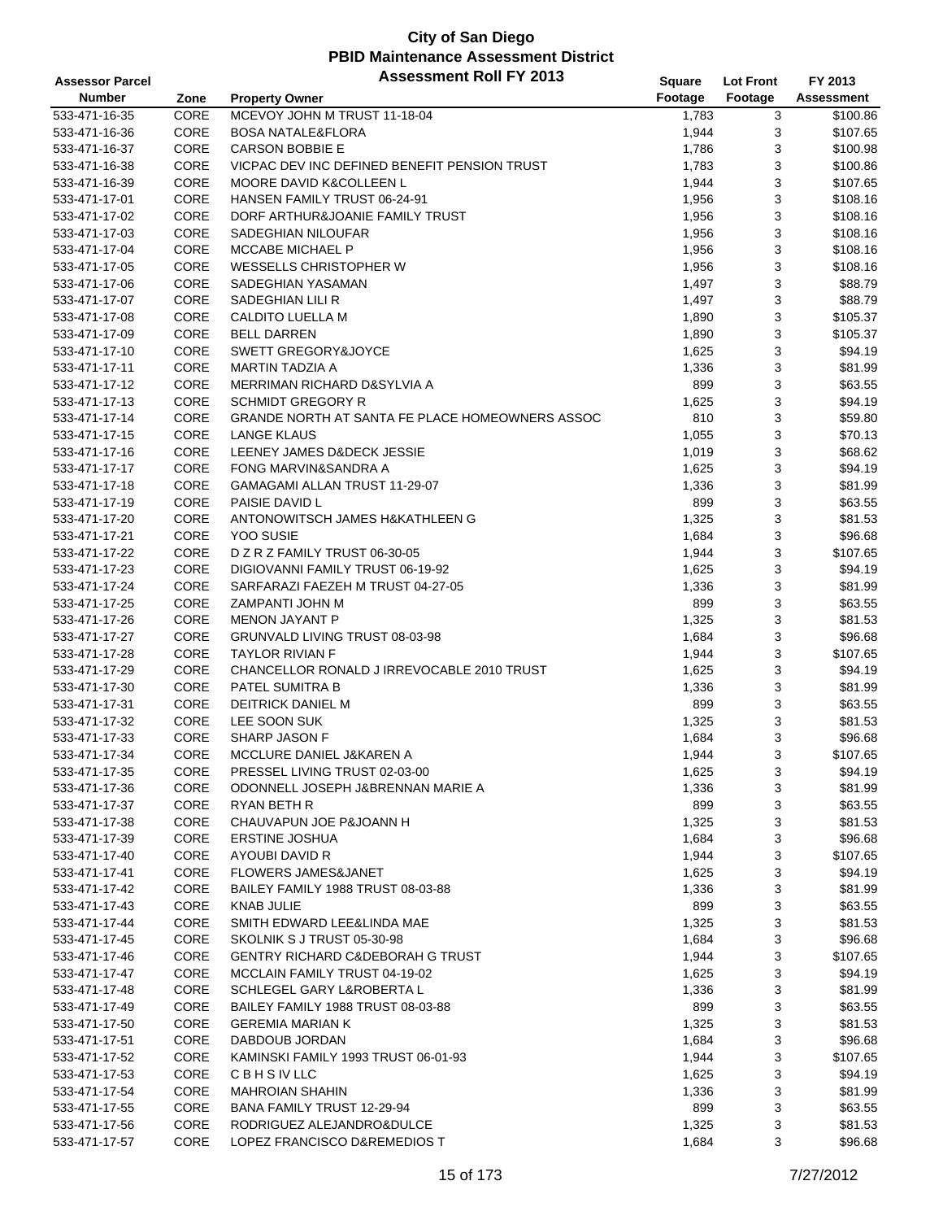| <b>Assessor Parcel</b> |      | <b>Assessment Roll FY 2013</b>                  | <b>Square</b> | <b>Lot Front</b> | FY 2013    |
|------------------------|------|-------------------------------------------------|---------------|------------------|------------|
| <b>Number</b>          | Zone | <b>Property Owner</b>                           | Footage       | Footage          | Assessment |
| 533-471-16-35          | CORE | MCEVOY JOHN M TRUST 11-18-04                    | 1,783         | 3                | \$100.86   |
| 533-471-16-36          | CORE | <b>BOSA NATALE&amp;FLORA</b>                    | 1,944         | 3                | \$107.65   |
| 533-471-16-37          | CORE | <b>CARSON BOBBIE E</b>                          | 1,786         | 3                | \$100.98   |
| 533-471-16-38          | CORE | VICPAC DEV INC DEFINED BENEFIT PENSION TRUST    | 1,783         | 3                | \$100.86   |
| 533-471-16-39          | CORE | MOORE DAVID K&COLLEEN L                         | 1,944         | 3                | \$107.65   |
| 533-471-17-01          | CORE | HANSEN FAMILY TRUST 06-24-91                    | 1,956         | 3                | \$108.16   |
| 533-471-17-02          | CORE | DORF ARTHUR&JOANIE FAMILY TRUST                 | 1,956         | 3                | \$108.16   |
| 533-471-17-03          | CORE | <b>SADEGHIAN NILOUFAR</b>                       | 1,956         | 3                | \$108.16   |
| 533-471-17-04          | CORE | <b>MCCABE MICHAEL P</b>                         | 1,956         | 3                | \$108.16   |
| 533-471-17-05          | CORE | WESSELLS CHRISTOPHER W                          | 1,956         | 3                | \$108.16   |
| 533-471-17-06          | CORE | SADEGHIAN YASAMAN                               | 1,497         | 3                | \$88.79    |
| 533-471-17-07          | CORE | SADEGHIAN LILI R                                | 1,497         | 3                | \$88.79    |
| 533-471-17-08          | CORE | CALDITO LUELLA M                                | 1,890         | 3                | \$105.37   |
| 533-471-17-09          | CORE | <b>BELL DARREN</b>                              | 1,890         | 3                | \$105.37   |
| 533-471-17-10          | CORE | SWETT GREGORY&JOYCE                             | 1,625         | 3                | \$94.19    |
| 533-471-17-11          | CORE | <b>MARTIN TADZIA A</b>                          | 1,336         | 3                | \$81.99    |
| 533-471-17-12          | CORE | MERRIMAN RICHARD D&SYLVIA A                     | 899           | 3                | \$63.55    |
| 533-471-17-13          | CORE | <b>SCHMIDT GREGORY R</b>                        | 1,625         | 3                | \$94.19    |
| 533-471-17-14          | CORE | GRANDE NORTH AT SANTA FE PLACE HOMEOWNERS ASSOC | 810           | 3                | \$59.80    |
| 533-471-17-15          | CORE | <b>LANGE KLAUS</b>                              | 1,055         | 3                | \$70.13    |
| 533-471-17-16          | CORE | LEENEY JAMES D&DECK JESSIE                      | 1,019         | 3                | \$68.62    |
| 533-471-17-17          | CORE | FONG MARVIN&SANDRA A                            | 1,625         | 3                | \$94.19    |
| 533-471-17-18          | CORE | GAMAGAMI ALLAN TRUST 11-29-07                   | 1,336         | 3                | \$81.99    |
| 533-471-17-19          | CORE | PAISIE DAVID L                                  | 899           | 3                | \$63.55    |
| 533-471-17-20          | CORE | ANTONOWITSCH JAMES H&KATHLEEN G                 | 1,325         | 3                | \$81.53    |
| 533-471-17-21          | CORE | YOO SUSIE                                       | 1,684         | 3                | \$96.68    |
| 533-471-17-22          | CORE | D Z R Z FAMILY TRUST 06-30-05                   | 1,944         | 3                | \$107.65   |
| 533-471-17-23          | CORE | DIGIOVANNI FAMILY TRUST 06-19-92                | 1,625         | 3                | \$94.19    |
| 533-471-17-24          | CORE | SARFARAZI FAEZEH M TRUST 04-27-05               | 1,336         | 3                | \$81.99    |
| 533-471-17-25          | CORE | ZAMPANTI JOHN M                                 | 899           | 3                | \$63.55    |
| 533-471-17-26          | CORE | <b>MENON JAYANT P</b>                           | 1,325         | 3                | \$81.53    |
| 533-471-17-27          | CORE | GRUNVALD LIVING TRUST 08-03-98                  | 1,684         | 3                | \$96.68    |
| 533-471-17-28          | CORE | <b>TAYLOR RIVIAN F</b>                          | 1,944         | 3                | \$107.65   |
| 533-471-17-29          | CORE | CHANCELLOR RONALD J IRREVOCABLE 2010 TRUST      | 1,625         | 3                | \$94.19    |
| 533-471-17-30          | CORE | PATEL SUMITRA B                                 | 1,336         | 3                | \$81.99    |
| 533-471-17-31          | CORE | DEITRICK DANIEL M                               | 899           | 3                | \$63.55    |
| 533-471-17-32          | CORE | LEE SOON SUK                                    | 1,325         | 3                | \$81.53    |
| 533-471-17-33          | CORE | SHARP JASON F                                   | 1,684         | 3                | \$96.68    |
| 533-471-17-34          | CORE | MCCLURE DANIEL J&KAREN A                        | 1,944         | 3                | \$107.65   |
| 533-471-17-35          | CORE | PRESSEL LIVING TRUST 02-03-00                   | 1,625         | 3                | \$94.19    |
| 533-471-17-36          | CORE | ODONNELL JOSEPH J&BRENNAN MARIE A               | 1,336         | 3                | \$81.99    |
| 533-471-17-37          | CORE | RYAN BETH R                                     | 899           | 3                | \$63.55    |
| 533-471-17-38          | CORE | CHAUVAPUN JOE P&JOANN H                         | 1,325         | 3                | \$81.53    |
| 533-471-17-39          | CORE | <b>ERSTINE JOSHUA</b>                           | 1,684         | 3                | \$96.68    |
| 533-471-17-40          | CORE | AYOUBI DAVID R                                  | 1,944         | 3                | \$107.65   |
| 533-471-17-41          | CORE | <b>FLOWERS JAMES&amp;JANET</b>                  | 1,625         | 3                | \$94.19    |
| 533-471-17-42          | CORE | BAILEY FAMILY 1988 TRUST 08-03-88               | 1,336         | 3                | \$81.99    |
| 533-471-17-43          | CORE | <b>KNAB JULIE</b>                               | 899           | 3                | \$63.55    |
| 533-471-17-44          | CORE | SMITH EDWARD LEE&LINDA MAE                      | 1,325         | 3                | \$81.53    |
| 533-471-17-45          | CORE | SKOLNIK S J TRUST 05-30-98                      | 1,684         | 3                | \$96.68    |
| 533-471-17-46          | CORE | <b>GENTRY RICHARD C&amp;DEBORAH G TRUST</b>     | 1,944         | 3                | \$107.65   |
| 533-471-17-47          | CORE | MCCLAIN FAMILY TRUST 04-19-02                   | 1,625         | 3                | \$94.19    |
| 533-471-17-48          | CORE | SCHLEGEL GARY L&ROBERTA L                       | 1,336         | 3                | \$81.99    |
| 533-471-17-49          | CORE | BAILEY FAMILY 1988 TRUST 08-03-88               | 899           | 3                | \$63.55    |
| 533-471-17-50          | CORE | <b>GEREMIA MARIAN K</b>                         | 1,325         | 3                | \$81.53    |
| 533-471-17-51          | CORE | DABDOUB JORDAN                                  | 1,684         | 3                | \$96.68    |
| 533-471-17-52          | CORE | KAMINSKI FAMILY 1993 TRUST 06-01-93             | 1,944         | 3                | \$107.65   |
| 533-471-17-53          | CORE | <b>CBHSIVLLC</b>                                | 1,625         | 3                | \$94.19    |
| 533-471-17-54          | CORE | <b>MAHROIAN SHAHIN</b>                          | 1,336         | 3                | \$81.99    |
| 533-471-17-55          | CORE | BANA FAMILY TRUST 12-29-94                      | 899           | 3                | \$63.55    |
| 533-471-17-56          | CORE | RODRIGUEZ ALEJANDRO&DULCE                       | 1,325         | 3                | \$81.53    |
| 533-471-17-57          | CORE | LOPEZ FRANCISCO D&REMEDIOS T                    | 1,684         | 3                | \$96.68    |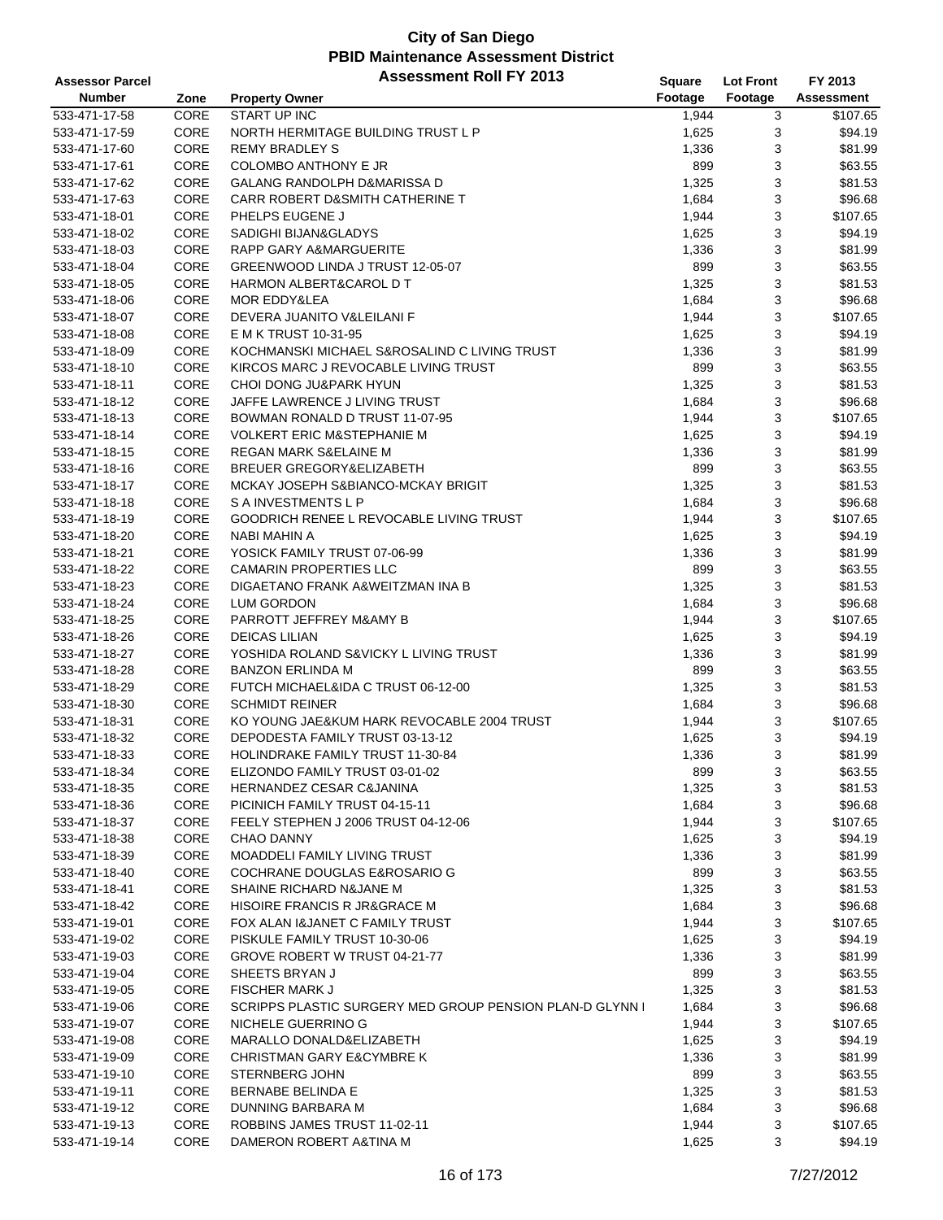| <b>Assessor Parcel</b> |      | <b>Assessment Roll FY 2013</b>                           | <b>Square</b> | <b>Lot Front</b> | FY 2013           |
|------------------------|------|----------------------------------------------------------|---------------|------------------|-------------------|
| <b>Number</b>          | Zone | <b>Property Owner</b>                                    | Footage       | Footage          | <b>Assessment</b> |
| 533-471-17-58          | CORE | <b>START UP INC</b>                                      | 1,944         | 3                | \$107.65          |
| 533-471-17-59          | CORE | NORTH HERMITAGE BUILDING TRUST L P                       | 1,625         | 3                | \$94.19           |
| 533-471-17-60          | CORE | <b>REMY BRADLEY S</b>                                    | 1,336         | 3                | \$81.99           |
| 533-471-17-61          | CORE | COLOMBO ANTHONY E JR                                     | 899           | 3                | \$63.55           |
| 533-471-17-62          | CORE | GALANG RANDOLPH D&MARISSA D                              | 1,325         | 3                | \$81.53           |
| 533-471-17-63          | CORE | CARR ROBERT D&SMITH CATHERINE T                          | 1,684         | 3                | \$96.68           |
| 533-471-18-01          | CORE | PHELPS EUGENE J                                          | 1,944         | 3                | \$107.65          |
| 533-471-18-02          | CORE | SADIGHI BIJAN& GLADYS                                    | 1,625         | 3                | \$94.19           |
| 533-471-18-03          | CORE | RAPP GARY A&MARGUERITE                                   | 1,336         | 3                | \$81.99           |
| 533-471-18-04          | CORE | GREENWOOD LINDA J TRUST 12-05-07                         | 899           | 3                | \$63.55           |
| 533-471-18-05          | CORE | HARMON ALBERT&CAROL D T                                  | 1,325         | 3                | \$81.53           |
| 533-471-18-06          | CORE | MOR EDDY&LEA                                             | 1,684         | 3                | \$96.68           |
| 533-471-18-07          | CORE | DEVERA JUANITO V&LEILANI F                               | 1,944         | 3                | \$107.65          |
| 533-471-18-08          | CORE | E M K TRUST 10-31-95                                     | 1,625         | 3                | \$94.19           |
| 533-471-18-09          | CORE | KOCHMANSKI MICHAEL S&ROSALIND C LIVING TRUST             | 1,336         | 3                | \$81.99           |
| 533-471-18-10          | CORE | KIRCOS MARC J REVOCABLE LIVING TRUST                     | 899           | 3                | \$63.55           |
| 533-471-18-11          | CORE | CHOI DONG JU&PARK HYUN                                   | 1,325         | 3                | \$81.53           |
| 533-471-18-12          | CORE | JAFFE LAWRENCE J LIVING TRUST                            | 1,684         | 3                | \$96.68           |
| 533-471-18-13          | CORE | BOWMAN RONALD D TRUST 11-07-95                           | 1,944         | 3                | \$107.65          |
| 533-471-18-14          | CORE | <b>VOLKERT ERIC M&amp;STEPHANIE M</b>                    | 1,625         | 3                | \$94.19           |
| 533-471-18-15          | CORE | <b>REGAN MARK S&amp;ELAINE M</b>                         | 1,336         | 3                | \$81.99           |
| 533-471-18-16          | CORE | BREUER GREGORY&ELIZABETH                                 | 899           | 3                | \$63.55           |
| 533-471-18-17          | CORE | MCKAY JOSEPH S&BIANCO-MCKAY BRIGIT                       | 1,325         | 3                | \$81.53           |
| 533-471-18-18          | CORE | S A INVESTMENTS L P                                      | 1,684         | 3                | \$96.68           |
| 533-471-18-19          | CORE | GOODRICH RENEE L REVOCABLE LIVING TRUST                  | 1,944         | 3                | \$107.65          |
| 533-471-18-20          | CORE | <b>NABI MAHIN A</b>                                      | 1,625         | 3                | \$94.19           |
| 533-471-18-21          | CORE | YOSICK FAMILY TRUST 07-06-99                             | 1,336         | 3                | \$81.99           |
| 533-471-18-22          | CORE | <b>CAMARIN PROPERTIES LLC</b>                            | 899           | 3                | \$63.55           |
| 533-471-18-23          | CORE | DIGAETANO FRANK A&WEITZMAN INA B                         | 1,325         | 3                | \$81.53           |
| 533-471-18-24          | CORE | <b>LUM GORDON</b>                                        | 1,684         | 3                | \$96.68           |
| 533-471-18-25          | CORE | PARROTT JEFFREY M&AMY B                                  | 1,944         | 3                | \$107.65          |
| 533-471-18-26          | CORE | <b>DEICAS LILIAN</b>                                     | 1,625         | 3                | \$94.19           |
| 533-471-18-27          | CORE | YOSHIDA ROLAND S&VICKY L LIVING TRUST                    | 1,336         | 3                | \$81.99           |
| 533-471-18-28          | CORE | <b>BANZON ERLINDA M</b>                                  | 899           | 3                | \$63.55           |
| 533-471-18-29          | CORE | FUTCH MICHAEL&IDA C TRUST 06-12-00                       | 1,325         | 3                | \$81.53           |
| 533-471-18-30          | CORE | <b>SCHMIDT REINER</b>                                    | 1,684         | 3                | \$96.68           |
| 533-471-18-31          | CORE | KO YOUNG JAE&KUM HARK REVOCABLE 2004 TRUST               | 1,944         | 3                | \$107.65          |
| 533-471-18-32          | CORE | DEPODESTA FAMILY TRUST 03-13-12                          | 1,625         | 3                | \$94.19           |
| 533-471-18-33          | CORE | <b>HOLINDRAKE FAMILY TRUST 11-30-84</b>                  | 1,336         | 3                | \$81.99           |
| 533-471-18-34          | CORE | ELIZONDO FAMILY TRUST 03-01-02                           | 899           | 3                | \$63.55           |
| 533-471-18-35          | CORE | HERNANDEZ CESAR C&JANINA                                 | 1,325         | 3                | \$81.53           |
| 533-471-18-36          | CORE | PICINICH FAMILY TRUST 04-15-11                           | 1,684         | 3                | \$96.68           |
| 533-471-18-37          | CORE | FEELY STEPHEN J 2006 TRUST 04-12-06                      | 1,944         | 3                | \$107.65          |
| 533-471-18-38          | CORE | <b>CHAO DANNY</b>                                        | 1,625         | 3                | \$94.19           |
| 533-471-18-39          | CORE | MOADDELI FAMILY LIVING TRUST                             | 1,336         | 3                | \$81.99           |
| 533-471-18-40          | CORE | COCHRANE DOUGLAS E&ROSARIO G                             | 899           | 3                | \$63.55           |
| 533-471-18-41          | CORE | SHAINE RICHARD N&JANE M                                  | 1,325         | 3                | \$81.53           |
| 533-471-18-42          | CORE | HISOIRE FRANCIS R JR&GRACE M                             | 1,684         | 3                | \$96.68           |
| 533-471-19-01          | CORE | FOX ALAN I&JANET C FAMILY TRUST                          | 1,944         | 3                | \$107.65          |
| 533-471-19-02          | CORE | PISKULE FAMILY TRUST 10-30-06                            | 1,625         | 3                | \$94.19           |
| 533-471-19-03          | CORE | GROVE ROBERT W TRUST 04-21-77                            | 1,336         | 3                | \$81.99           |
| 533-471-19-04          | CORE | SHEETS BRYAN J                                           | 899           | 3                | \$63.55           |
| 533-471-19-05          | CORE | FISCHER MARK J                                           | 1,325         | 3                | \$81.53           |
| 533-471-19-06          | CORE | SCRIPPS PLASTIC SURGERY MED GROUP PENSION PLAN-D GLYNN I | 1,684         | 3                | \$96.68           |
| 533-471-19-07          | CORE | NICHELE GUERRINO G                                       | 1,944         | 3                | \$107.65          |
| 533-471-19-08          | CORE | MARALLO DONALD&ELIZABETH                                 | 1,625         | 3                | \$94.19           |
| 533-471-19-09          | CORE | <b>CHRISTMAN GARY E&amp;CYMBRE K</b>                     | 1,336         | 3                | \$81.99           |
| 533-471-19-10          | CORE | STERNBERG JOHN                                           | 899           | 3                | \$63.55           |
| 533-471-19-11          | CORE | BERNABE BELINDA E                                        | 1,325         | 3                | \$81.53           |
| 533-471-19-12          | CORE | DUNNING BARBARA M                                        | 1,684         | 3                | \$96.68           |
| 533-471-19-13          | CORE | ROBBINS JAMES TRUST 11-02-11                             | 1,944         | 3                | \$107.65          |
| 533-471-19-14          | CORE | DAMERON ROBERT A&TINA M                                  | 1,625         | 3                | \$94.19           |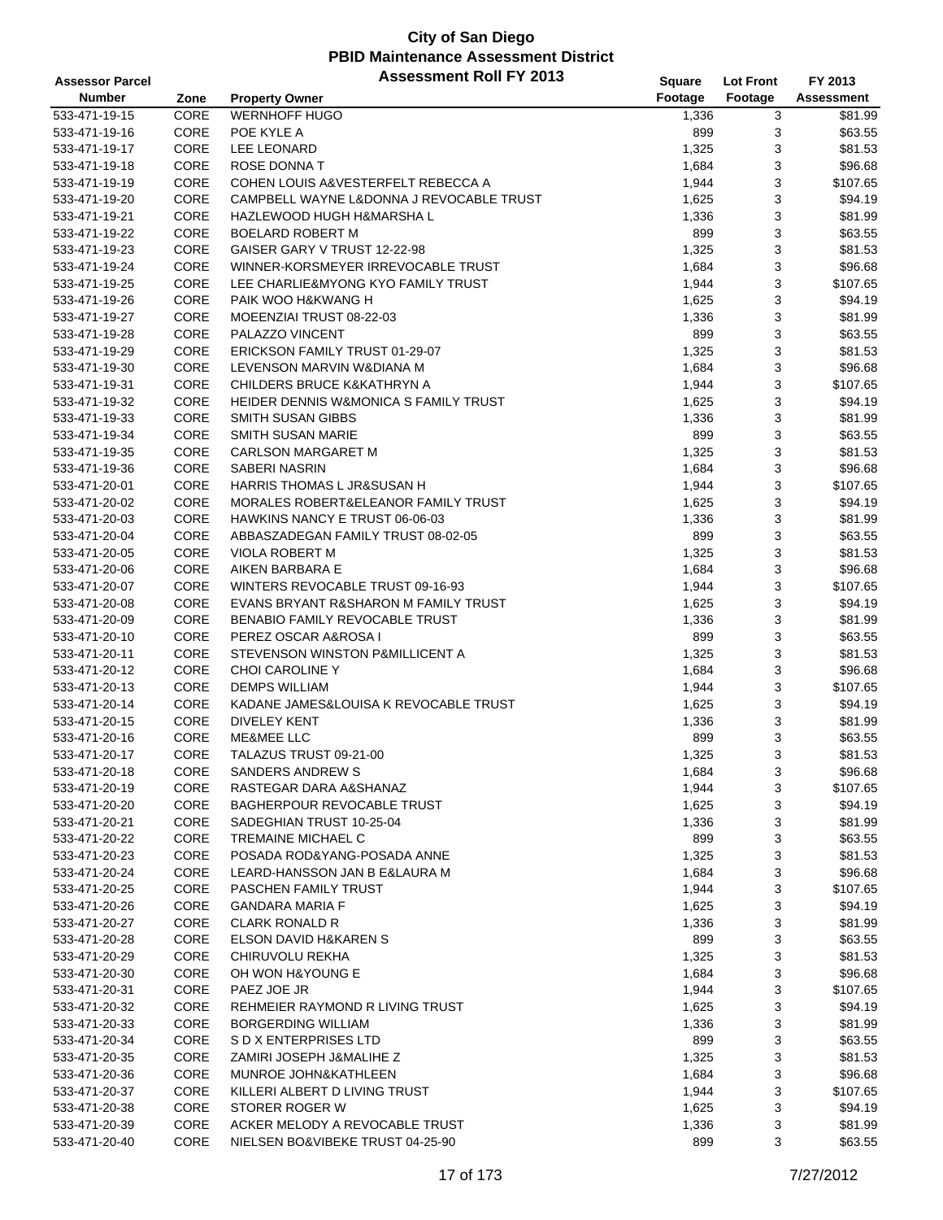| <b>Assessor Parcel</b> |             | <b>Assessment Roll FY 2013</b>                   | <b>Square</b> | <b>Lot Front</b> | FY 2013    |
|------------------------|-------------|--------------------------------------------------|---------------|------------------|------------|
| <b>Number</b>          | Zone        | <b>Property Owner</b>                            | Footage       | Footage          | Assessment |
| 533-471-19-15          | <b>CORE</b> | <b>WERNHOFF HUGO</b>                             | 1,336         | 3                | \$81.99    |
| 533-471-19-16          | CORE        | POE KYLE A                                       | 899           | 3                | \$63.55    |
| 533-471-19-17          | CORE        | <b>LEE LEONARD</b>                               | 1,325         | 3                | \$81.53    |
| 533-471-19-18          | CORE        | <b>ROSE DONNA T</b>                              | 1,684         | 3                | \$96.68    |
| 533-471-19-19          | CORE        | COHEN LOUIS A&VESTERFELT REBECCA A               | 1,944         | 3                | \$107.65   |
| 533-471-19-20          | CORE        | CAMPBELL WAYNE L&DONNA J REVOCABLE TRUST         | 1,625         | 3                | \$94.19    |
| 533-471-19-21          | CORE        | HAZLEWOOD HUGH H&MARSHA L                        | 1,336         | 3                | \$81.99    |
| 533-471-19-22          | CORE        | <b>BOELARD ROBERT M</b>                          | 899           | 3                | \$63.55    |
| 533-471-19-23          | CORE        | GAISER GARY V TRUST 12-22-98                     | 1,325         | 3                | \$81.53    |
| 533-471-19-24          | CORE        | WINNER-KORSMEYER IRREVOCABLE TRUST               | 1,684         | 3                | \$96.68    |
| 533-471-19-25          | CORE        | LEE CHARLIE&MYONG KYO FAMILY TRUST               | 1,944         | 3                | \$107.65   |
| 533-471-19-26          | CORE        | PAIK WOO H&KWANG H                               | 1,625         | 3                | \$94.19    |
| 533-471-19-27          | CORE        | MOEENZIAI TRUST 08-22-03                         | 1,336         | 3                | \$81.99    |
| 533-471-19-28          | CORE        | PALAZZO VINCENT                                  | 899           | 3                | \$63.55    |
| 533-471-19-29          | CORE        | ERICKSON FAMILY TRUST 01-29-07                   | 1,325         | 3                | \$81.53    |
| 533-471-19-30          | CORE        | LEVENSON MARVIN W&DIANA M                        | 1,684         | 3                | \$96.68    |
| 533-471-19-31          | CORE        | CHILDERS BRUCE K&KATHRYN A                       | 1,944         | 3                | \$107.65   |
| 533-471-19-32          | CORE        | <b>HEIDER DENNIS W&amp;MONICA S FAMILY TRUST</b> | 1,625         | 3                | \$94.19    |
| 533-471-19-33          | CORE        | SMITH SUSAN GIBBS                                | 1,336         | 3                | \$81.99    |
| 533-471-19-34          | CORE        | <b>SMITH SUSAN MARIE</b>                         | 899           | 3                | \$63.55    |
| 533-471-19-35          | CORE        | <b>CARLSON MARGARET M</b>                        | 1,325         | 3                | \$81.53    |
| 533-471-19-36          | CORE        | SABERI NASRIN                                    | 1,684         | 3                | \$96.68    |
| 533-471-20-01          | CORE        | <b>HARRIS THOMAS L JR&amp;SUSAN H</b>            | 1,944         | 3                | \$107.65   |
| 533-471-20-02          | CORE        | <b>MORALES ROBERT&amp;ELEANOR FAMILY TRUST</b>   | 1,625         | 3                | \$94.19    |
| 533-471-20-03          | CORE        | HAWKINS NANCY E TRUST 06-06-03                   | 1,336         | 3                | \$81.99    |
| 533-471-20-04          | CORE        | ABBASZADEGAN FAMILY TRUST 08-02-05               | 899           | 3                | \$63.55    |
| 533-471-20-05          | CORE        | VIOLA ROBERT M                                   | 1,325         | 3                | \$81.53    |
| 533-471-20-06          | CORE        | AIKEN BARBARA E                                  | 1,684         | 3                | \$96.68    |
| 533-471-20-07          | CORE        | WINTERS REVOCABLE TRUST 09-16-93                 | 1,944         | 3                | \$107.65   |
| 533-471-20-08          | CORE        | EVANS BRYANT R&SHARON M FAMILY TRUST             | 1,625         | 3                | \$94.19    |
| 533-471-20-09          | CORE        | <b>BENABIO FAMILY REVOCABLE TRUST</b>            | 1,336         | 3                | \$81.99    |
| 533-471-20-10          | CORE        | PEREZ OSCAR A&ROSA I                             | 899           | 3                | \$63.55    |
| 533-471-20-11          | CORE        | STEVENSON WINSTON P&MILLICENT A                  | 1,325         | 3                | \$81.53    |
| 533-471-20-12          | CORE        | CHOI CAROLINE Y                                  | 1,684         | 3                | \$96.68    |
| 533-471-20-13          | CORE        | <b>DEMPS WILLIAM</b>                             | 1,944         | 3                | \$107.65   |
| 533-471-20-14          | CORE        | KADANE JAMES&LOUISA K REVOCABLE TRUST            | 1,625         | 3                | \$94.19    |
| 533-471-20-15          | CORE        | <b>DIVELEY KENT</b>                              | 1,336         | 3                | \$81.99    |
| 533-471-20-16          | CORE        | <b>ME&amp;MEE LLC</b>                            | 899           | 3                | \$63.55    |
| 533-471-20-17          | CORE        | TALAZUS TRUST 09-21-00                           | 1,325         | 3                | \$81.53    |
| 533-471-20-18          | CORE        | <b>SANDERS ANDREW S</b>                          | 1,684         | 3                | \$96.68    |
| 533-471-20-19          | CORE        | RASTEGAR DARA A&SHANAZ                           | 1,944         | 3                | \$107.65   |
| 533-471-20-20          | CORE        | <b>BAGHERPOUR REVOCABLE TRUST</b>                | 1,625         | 3                | \$94.19    |
| 533-471-20-21          | CORE        | SADEGHIAN TRUST 10-25-04                         | 1,336         | 3                | \$81.99    |
| 533-471-20-22          | CORE        | <b>TREMAINE MICHAEL C</b>                        | 899           | 3                | \$63.55    |
| 533-471-20-23          | CORE        | POSADA ROD&YANG-POSADA ANNE                      | 1,325         | 3                | \$81.53    |
| 533-471-20-24          | CORE        | LEARD-HANSSON JAN B E&LAURA M                    | 1,684         | 3                | \$96.68    |
| 533-471-20-25          | CORE        | PASCHEN FAMILY TRUST                             | 1,944         | 3                | \$107.65   |
| 533-471-20-26          | CORE        | <b>GANDARA MARIA F</b>                           | 1,625         | 3                | \$94.19    |
| 533-471-20-27          | CORE        | <b>CLARK RONALD R</b>                            | 1,336         | 3                | \$81.99    |
| 533-471-20-28          | CORE        | ELSON DAVID H&KAREN S                            | 899           | 3                | \$63.55    |
| 533-471-20-29          | CORE        | CHIRUVOLU REKHA                                  | 1,325         | 3                | \$81.53    |
| 533-471-20-30          | CORE        | OH WON H&YOUNG E                                 | 1,684         | 3                | \$96.68    |
| 533-471-20-31          | CORE        | PAEZ JOE JR                                      | 1,944         | 3                | \$107.65   |
| 533-471-20-32          | CORE        | REHMEIER RAYMOND R LIVING TRUST                  | 1,625         | 3                | \$94.19    |
| 533-471-20-33          | CORE        | <b>BORGERDING WILLIAM</b>                        | 1,336         | 3                | \$81.99    |
| 533-471-20-34          | CORE        | S D X ENTERPRISES LTD                            | 899           | 3                | \$63.55    |
| 533-471-20-35          | CORE        | ZAMIRI JOSEPH J&MALIHE Z                         | 1,325         | 3                | \$81.53    |
| 533-471-20-36          | CORE        | MUNROE JOHN&KATHLEEN                             | 1,684         | 3                | \$96.68    |
| 533-471-20-37          | CORE        | KILLERI ALBERT D LIVING TRUST                    | 1,944         | 3                | \$107.65   |
| 533-471-20-38          | CORE        | STORER ROGER W                                   | 1,625         | 3                | \$94.19    |
| 533-471-20-39          | CORE        | ACKER MELODY A REVOCABLE TRUST                   | 1,336         | 3                | \$81.99    |
| 533-471-20-40          | CORE        | NIELSEN BO&VIBEKE TRUST 04-25-90                 | 899           | 3                | \$63.55    |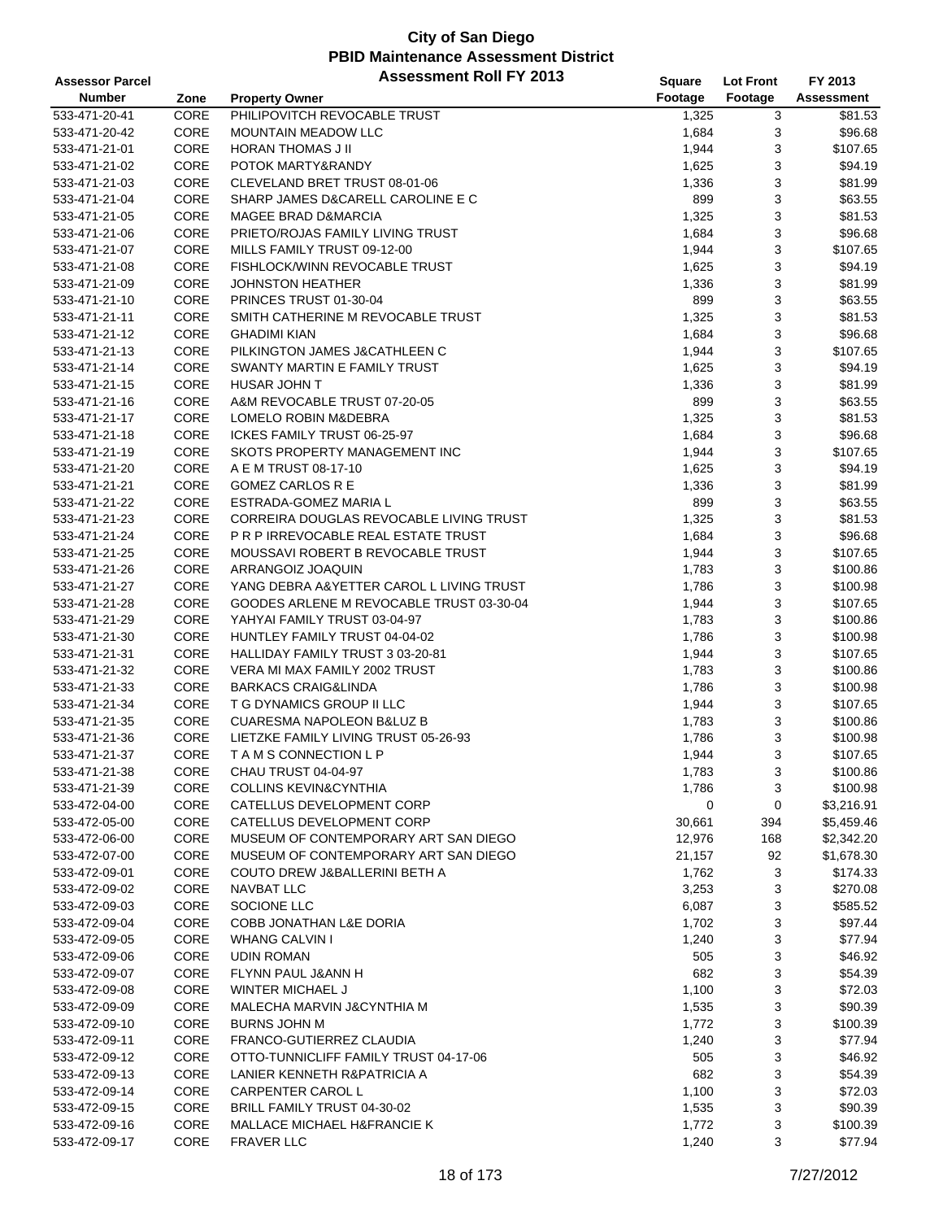| <b>Assessor Parcel</b> |      | <b>Assessment Roll FY 2013</b>           | Square  | <b>Lot Front</b> | FY 2013    |
|------------------------|------|------------------------------------------|---------|------------------|------------|
| <b>Number</b>          | Zone | <b>Property Owner</b>                    | Footage | Footage          | Assessment |
| 533-471-20-41          | CORE | PHILIPOVITCH REVOCABLE TRUST             | 1,325   | 3                | \$81.53    |
| 533-471-20-42          | CORE | <b>MOUNTAIN MEADOW LLC</b>               | 1,684   | 3                | \$96.68    |
| 533-471-21-01          | CORE | <b>HORAN THOMAS J II</b>                 | 1,944   | 3                | \$107.65   |
| 533-471-21-02          | CORE | POTOK MARTY&RANDY                        | 1,625   | 3                | \$94.19    |
| 533-471-21-03          | CORE | CLEVELAND BRET TRUST 08-01-06            | 1,336   | 3                | \$81.99    |
| 533-471-21-04          | CORE | SHARP JAMES D&CARELL CAROLINE E C        | 899     | 3                | \$63.55    |
| 533-471-21-05          | CORE | <b>MAGEE BRAD D&amp;MARCIA</b>           | 1,325   | 3                | \$81.53    |
| 533-471-21-06          | CORE | PRIETO/ROJAS FAMILY LIVING TRUST         | 1,684   | 3                | \$96.68    |
| 533-471-21-07          | CORE | MILLS FAMILY TRUST 09-12-00              | 1,944   | 3                | \$107.65   |
| 533-471-21-08          | CORE | FISHLOCK/WINN REVOCABLE TRUST            | 1,625   | 3                | \$94.19    |
| 533-471-21-09          | CORE | <b>JOHNSTON HEATHER</b>                  | 1,336   | 3                | \$81.99    |
| 533-471-21-10          | CORE | PRINCES TRUST 01-30-04                   | 899     | 3                | \$63.55    |
| 533-471-21-11          | CORE | SMITH CATHERINE M REVOCABLE TRUST        | 1,325   | 3                | \$81.53    |
| 533-471-21-12          | CORE | <b>GHADIMI KIAN</b>                      | 1,684   | 3                | \$96.68    |
| 533-471-21-13          | CORE | PILKINGTON JAMES J&CATHLEEN C            | 1,944   | 3                | \$107.65   |
| 533-471-21-14          | CORE | SWANTY MARTIN E FAMILY TRUST             | 1,625   | 3                | \$94.19    |
| 533-471-21-15          | CORE | <b>HUSAR JOHN T</b>                      | 1,336   | 3                | \$81.99    |
| 533-471-21-16          | CORE | A&M REVOCABLE TRUST 07-20-05             | 899     | 3                | \$63.55    |
| 533-471-21-17          | CORE | LOMELO ROBIN M&DEBRA                     | 1,325   | 3                | \$81.53    |
| 533-471-21-18          | CORE | ICKES FAMILY TRUST 06-25-97              | 1,684   | 3                | \$96.68    |
| 533-471-21-19          | CORE | SKOTS PROPERTY MANAGEMENT INC            | 1,944   | 3                | \$107.65   |
| 533-471-21-20          | CORE | A E M TRUST 08-17-10                     | 1,625   | 3                | \$94.19    |
| 533-471-21-21          | CORE | <b>GOMEZ CARLOS R E</b>                  | 1,336   | 3                | \$81.99    |
|                        | CORE | ESTRADA-GOMEZ MARIA L                    | 899     | 3                | \$63.55    |
| 533-471-21-22          | CORE | CORREIRA DOUGLAS REVOCABLE LIVING TRUST  |         |                  |            |
| 533-471-21-23          | CORE | P R P IRREVOCABLE REAL ESTATE TRUST      | 1,325   | 3                | \$81.53    |
| 533-471-21-24          |      |                                          | 1,684   | 3                | \$96.68    |
| 533-471-21-25          | CORE | MOUSSAVI ROBERT B REVOCABLE TRUST        | 1,944   | 3                | \$107.65   |
| 533-471-21-26          | CORE | ARRANGOIZ JOAQUIN                        | 1,783   | 3                | \$100.86   |
| 533-471-21-27          | CORE | YANG DEBRA A&YETTER CAROL L LIVING TRUST | 1,786   | 3                | \$100.98   |
| 533-471-21-28          | CORE | GOODES ARLENE M REVOCABLE TRUST 03-30-04 | 1,944   | 3                | \$107.65   |
| 533-471-21-29          | CORE | YAHYAI FAMILY TRUST 03-04-97             | 1,783   | 3                | \$100.86   |
| 533-471-21-30          | CORE | HUNTLEY FAMILY TRUST 04-04-02            | 1,786   | 3                | \$100.98   |
| 533-471-21-31          | CORE | HALLIDAY FAMILY TRUST 3 03-20-81         | 1,944   | 3                | \$107.65   |
| 533-471-21-32          | CORE | VERA MI MAX FAMILY 2002 TRUST            | 1,783   | 3                | \$100.86   |
| 533-471-21-33          | CORE | <b>BARKACS CRAIG&amp;LINDA</b>           | 1,786   | 3                | \$100.98   |
| 533-471-21-34          | CORE | T G DYNAMICS GROUP II LLC                | 1,944   | 3                | \$107.65   |
| 533-471-21-35          | CORE | <b>CUARESMA NAPOLEON B&amp;LUZ B</b>     | 1,783   | 3                | \$100.86   |
| 533-471-21-36          | CORE | LIETZKE FAMILY LIVING TRUST 05-26-93     | 1,786   | 3                | \$100.98   |
| 533-471-21-37          | CORE | TAMS CONNECTION LP                       | 1,944   | 3                | \$107.65   |
| 533-471-21-38          | CORE | CHAU TRUST 04-04-97                      | 1,783   | 3                | \$100.86   |
| 533-471-21-39          | CORE | <b>COLLINS KEVIN&amp;CYNTHIA</b>         | 1,786   | 3                | \$100.98   |
| 533-472-04-00          | CORE | CATELLUS DEVELOPMENT CORP                | 0       | 0                | \$3,216.91 |
| 533-472-05-00          | CORE | CATELLUS DEVELOPMENT CORP                | 30,661  | 394              | \$5,459.46 |
| 533-472-06-00          | CORE | MUSEUM OF CONTEMPORARY ART SAN DIEGO     | 12,976  | 168              | \$2,342.20 |
| 533-472-07-00          | CORE | MUSEUM OF CONTEMPORARY ART SAN DIEGO     | 21,157  | 92               | \$1,678.30 |
| 533-472-09-01          | CORE | COUTO DREW J&BALLERINI BETH A            | 1,762   | 3                | \$174.33   |
| 533-472-09-02          | CORE | NAVBAT LLC                               | 3,253   | 3                | \$270.08   |
| 533-472-09-03          | CORE | SOCIONE LLC                              | 6,087   | 3                | \$585.52   |
| 533-472-09-04          | CORE | COBB JONATHAN L&E DORIA                  | 1,702   | 3                | \$97.44    |
| 533-472-09-05          | CORE | <b>WHANG CALVIN I</b>                    | 1,240   | 3                | \$77.94    |
| 533-472-09-06          | CORE | <b>UDIN ROMAN</b>                        | 505     | 3                | \$46.92    |
| 533-472-09-07          | CORE | FLYNN PAUL J&ANN H                       | 682     | 3                | \$54.39    |
| 533-472-09-08          | CORE | <b>WINTER MICHAEL J</b>                  | 1,100   | 3                | \$72.03    |
| 533-472-09-09          | CORE | MALECHA MARVIN J&CYNTHIA M               | 1,535   | 3                | \$90.39    |
| 533-472-09-10          | CORE | <b>BURNS JOHN M</b>                      | 1,772   | 3                | \$100.39   |
| 533-472-09-11          | CORE | FRANCO-GUTIERREZ CLAUDIA                 | 1,240   | 3                | \$77.94    |
| 533-472-09-12          | CORE | OTTO-TUNNICLIFF FAMILY TRUST 04-17-06    | 505     | 3                | \$46.92    |
| 533-472-09-13          | CORE | LANIER KENNETH R&PATRICIA A              | 682     | 3                | \$54.39    |
| 533-472-09-14          | CORE | CARPENTER CAROL L                        | 1,100   | 3                | \$72.03    |
| 533-472-09-15          | CORE | BRILL FAMILY TRUST 04-30-02              | 1,535   | 3                | \$90.39    |
| 533-472-09-16          | CORE | MALLACE MICHAEL H&FRANCIE K              | 1,772   | 3                | \$100.39   |
| 533-472-09-17          | CORE | <b>FRAVER LLC</b>                        | 1,240   | 3                | \$77.94    |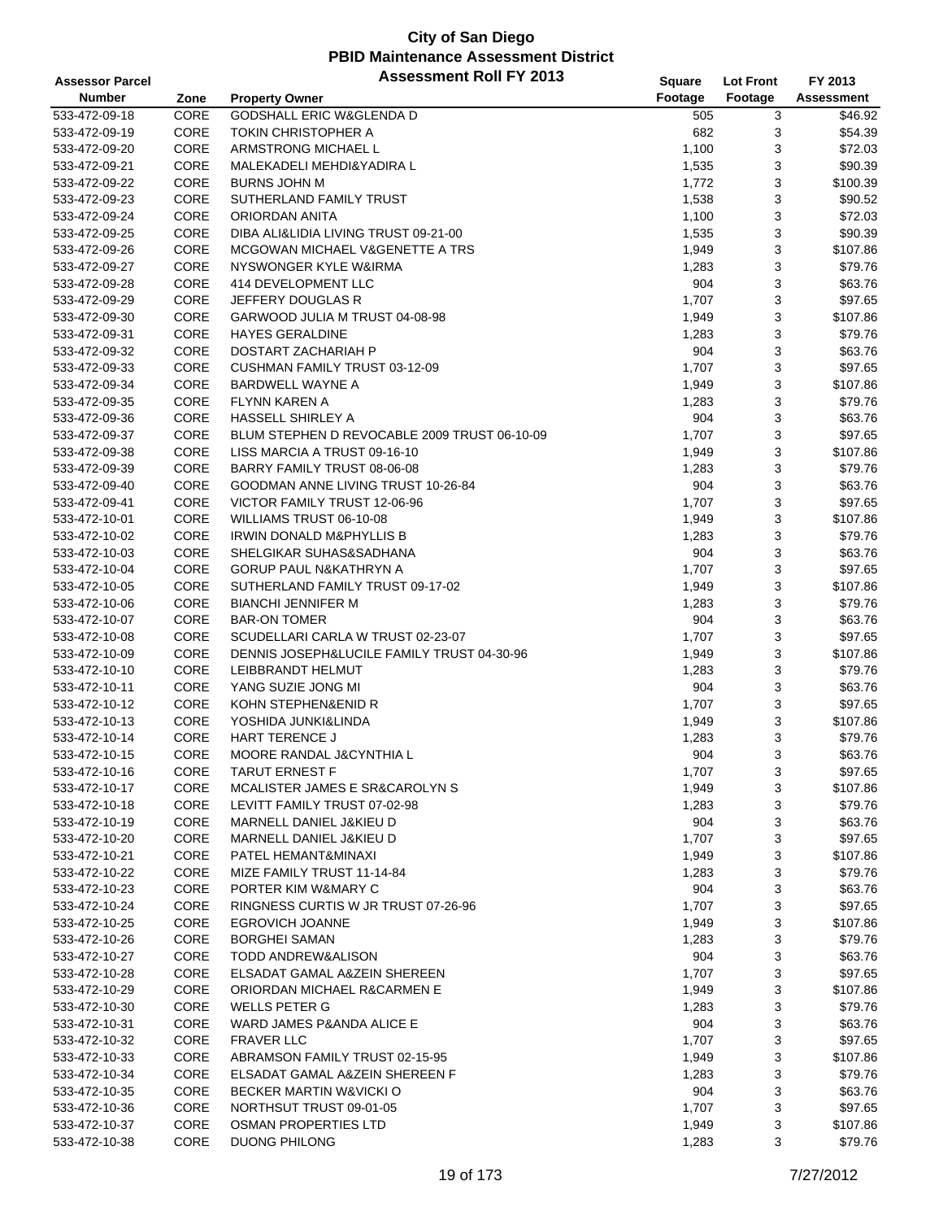| <b>Assessor Parcel</b> |              | <b>Assessment Roll FY 2013</b>                          | <b>Square</b> | <b>Lot Front</b> | FY 2013    |
|------------------------|--------------|---------------------------------------------------------|---------------|------------------|------------|
| <b>Number</b>          | Zone         | <b>Property Owner</b>                                   | Footage       | Footage          | Assessment |
| 533-472-09-18          | CORE         | <b>GODSHALL ERIC W&amp;GLENDA D</b>                     | 505           | 3                | \$46.92    |
| 533-472-09-19          | CORE         | TOKIN CHRISTOPHER A                                     | 682           | 3                | \$54.39    |
| 533-472-09-20          | CORE         | ARMSTRONG MICHAEL L                                     | 1,100         | 3                | \$72.03    |
| 533-472-09-21          | CORE         | MALEKADELI MEHDI&YADIRA L                               | 1,535         | 3                | \$90.39    |
| 533-472-09-22          | CORE         | <b>BURNS JOHN M</b>                                     | 1,772         | 3                | \$100.39   |
| 533-472-09-23          | CORE         | SUTHERLAND FAMILY TRUST                                 | 1,538         | 3                | \$90.52    |
| 533-472-09-24          | CORE         | ORIORDAN ANITA                                          | 1,100         | 3                | \$72.03    |
| 533-472-09-25          | CORE         | DIBA ALI&LIDIA LIVING TRUST 09-21-00                    | 1,535         | 3                | \$90.39    |
| 533-472-09-26          | CORE         | MCGOWAN MICHAEL V&GENETTE A TRS                         | 1,949         | 3                | \$107.86   |
| 533-472-09-27          | CORE         | NYSWONGER KYLE W&IRMA                                   | 1,283         | 3                | \$79.76    |
| 533-472-09-28          | CORE         | 414 DEVELOPMENT LLC                                     | 904           | 3                | \$63.76    |
| 533-472-09-29          | CORE         | JEFFERY DOUGLAS R                                       | 1,707         | 3                | \$97.65    |
| 533-472-09-30          | CORE         | GARWOOD JULIA M TRUST 04-08-98                          | 1,949         | 3                | \$107.86   |
| 533-472-09-31          | CORE         | <b>HAYES GERALDINE</b>                                  | 1,283         | 3                | \$79.76    |
| 533-472-09-32          | CORE         | DOSTART ZACHARIAH P                                     | 904           | 3                | \$63.76    |
| 533-472-09-33          | CORE         | CUSHMAN FAMILY TRUST 03-12-09                           | 1,707         | 3                | \$97.65    |
| 533-472-09-34          | CORE         | <b>BARDWELL WAYNE A</b>                                 | 1,949         | 3                | \$107.86   |
| 533-472-09-35          | CORE         | <b>FLYNN KAREN A</b>                                    | 1,283         | 3                | \$79.76    |
| 533-472-09-36          | CORE         | HASSELL SHIRLEY A                                       | 904           | 3                | \$63.76    |
| 533-472-09-37          | CORE         | BLUM STEPHEN D REVOCABLE 2009 TRUST 06-10-09            | 1,707         | 3                | \$97.65    |
| 533-472-09-38          | CORE         | LISS MARCIA A TRUST 09-16-10                            | 1,949         | 3                | \$107.86   |
| 533-472-09-39          | CORE         | BARRY FAMILY TRUST 08-06-08                             | 1,283         | 3                | \$79.76    |
| 533-472-09-40          | CORE         | GOODMAN ANNE LIVING TRUST 10-26-84                      | 904           | 3                | \$63.76    |
| 533-472-09-41          | CORE         | VICTOR FAMILY TRUST 12-06-96                            | 1,707         | 3                | \$97.65    |
| 533-472-10-01          | CORE         | WILLIAMS TRUST 06-10-08                                 | 1,949         | 3                | \$107.86   |
| 533-472-10-02          | CORE         | <b>IRWIN DONALD M&amp;PHYLLIS B</b>                     | 1,283         | 3                | \$79.76    |
| 533-472-10-03          | CORE         | SHELGIKAR SUHAS&SADHANA                                 | 904           | 3                | \$63.76    |
| 533-472-10-04          | CORE         | GORUP PAUL N&KATHRYN A                                  | 1,707         | 3                | \$97.65    |
| 533-472-10-05          | CORE         | SUTHERLAND FAMILY TRUST 09-17-02                        | 1,949         | 3                | \$107.86   |
|                        | CORE         | <b>BIANCHI JENNIFER M</b>                               | 1,283         | 3                | \$79.76    |
| 533-472-10-06          | CORE         | <b>BAR-ON TOMER</b>                                     | 904           | 3                | \$63.76    |
| 533-472-10-07          | CORE         |                                                         | 1,707         | 3                | \$97.65    |
| 533-472-10-08          |              | SCUDELLARI CARLA W TRUST 02-23-07                       |               |                  |            |
| 533-472-10-09          | CORE<br>CORE | DENNIS JOSEPH&LUCILE FAMILY TRUST 04-30-96              | 1,949         | 3                | \$107.86   |
| 533-472-10-10          |              | LEIBBRANDT HELMUT                                       | 1,283         | 3                | \$79.76    |
| 533-472-10-11          | CORE<br>CORE | YANG SUZIE JONG MI                                      | 904           | 3                | \$63.76    |
| 533-472-10-12          |              | KOHN STEPHEN&ENID R                                     | 1,707         | 3                | \$97.65    |
| 533-472-10-13          | <b>CORE</b>  | YOSHIDA JUNKI&LINDA                                     | 1,949         | 3                | \$107.86   |
| 533-472-10-14          | CORE<br>CORE | HART TERENCE J                                          | 1,283         | 3<br>3           | \$79.76    |
| 533-472-10-15          |              | MOORE RANDAL J&CYNTHIA L                                | 904           |                  | \$63.76    |
| 533-472-10-16          | CORE         | <b>TARUT ERNEST F</b><br>MCALISTER JAMES E SR&CAROLYN S | 1,707         | 3                | \$97.65    |
| 533-472-10-17          | CORE         |                                                         | 1,949         | 3                | \$107.86   |
| 533-472-10-18          | CORE         | LEVITT FAMILY TRUST 07-02-98                            | 1,283         | 3                | \$79.76    |
| 533-472-10-19          | CORE         | MARNELL DANIEL J&KIEU D                                 | 904           | 3                | \$63.76    |
| 533-472-10-20          | CORE         | MARNELL DANIEL J&KIEU D                                 | 1,707         | 3                | \$97.65    |
| 533-472-10-21          | CORE         | PATEL HEMANT&MINAXI                                     | 1,949         | 3                | \$107.86   |
| 533-472-10-22          | CORE         | MIZE FAMILY TRUST 11-14-84                              | 1,283         | 3                | \$79.76    |
| 533-472-10-23          | CORE         | PORTER KIM W&MARY C                                     | 904           | 3                | \$63.76    |
| 533-472-10-24          | CORE         | RINGNESS CURTIS W JR TRUST 07-26-96                     | 1,707         | 3                | \$97.65    |
| 533-472-10-25          | CORE         | EGROVICH JOANNE                                         | 1,949         | 3                | \$107.86   |
| 533-472-10-26          | CORE         | <b>BORGHEI SAMAN</b>                                    | 1,283         | 3                | \$79.76    |
| 533-472-10-27          | CORE         | TODD ANDREW&ALISON                                      | 904           | 3                | \$63.76    |
| 533-472-10-28          | CORE         | ELSADAT GAMAL A&ZEIN SHEREEN                            | 1,707         | 3                | \$97.65    |
| 533-472-10-29          | CORE         | ORIORDAN MICHAEL R&CARMEN E                             | 1,949         | 3                | \$107.86   |
| 533-472-10-30          | CORE         | WELLS PETER G                                           | 1,283         | 3                | \$79.76    |
| 533-472-10-31          | CORE         | WARD JAMES P&ANDA ALICE E                               | 904           | 3                | \$63.76    |
| 533-472-10-32          | CORE         | <b>FRAVER LLC</b>                                       | 1,707         | 3                | \$97.65    |
| 533-472-10-33          | CORE         | ABRAMSON FAMILY TRUST 02-15-95                          | 1,949         | 3                | \$107.86   |
| 533-472-10-34          | CORE         | ELSADAT GAMAL A&ZEIN SHEREEN F                          | 1,283         | 3                | \$79.76    |
| 533-472-10-35          | CORE         | <b>BECKER MARTIN W&amp;VICKI O</b>                      | 904           | 3                | \$63.76    |
| 533-472-10-36          | CORE         | NORTHSUT TRUST 09-01-05                                 | 1,707         | 3                | \$97.65    |
| 533-472-10-37          | CORE         | OSMAN PROPERTIES LTD                                    | 1,949         | 3                | \$107.86   |
| 533-472-10-38          | CORE         | <b>DUONG PHILONG</b>                                    | 1,283         | 3                | \$79.76    |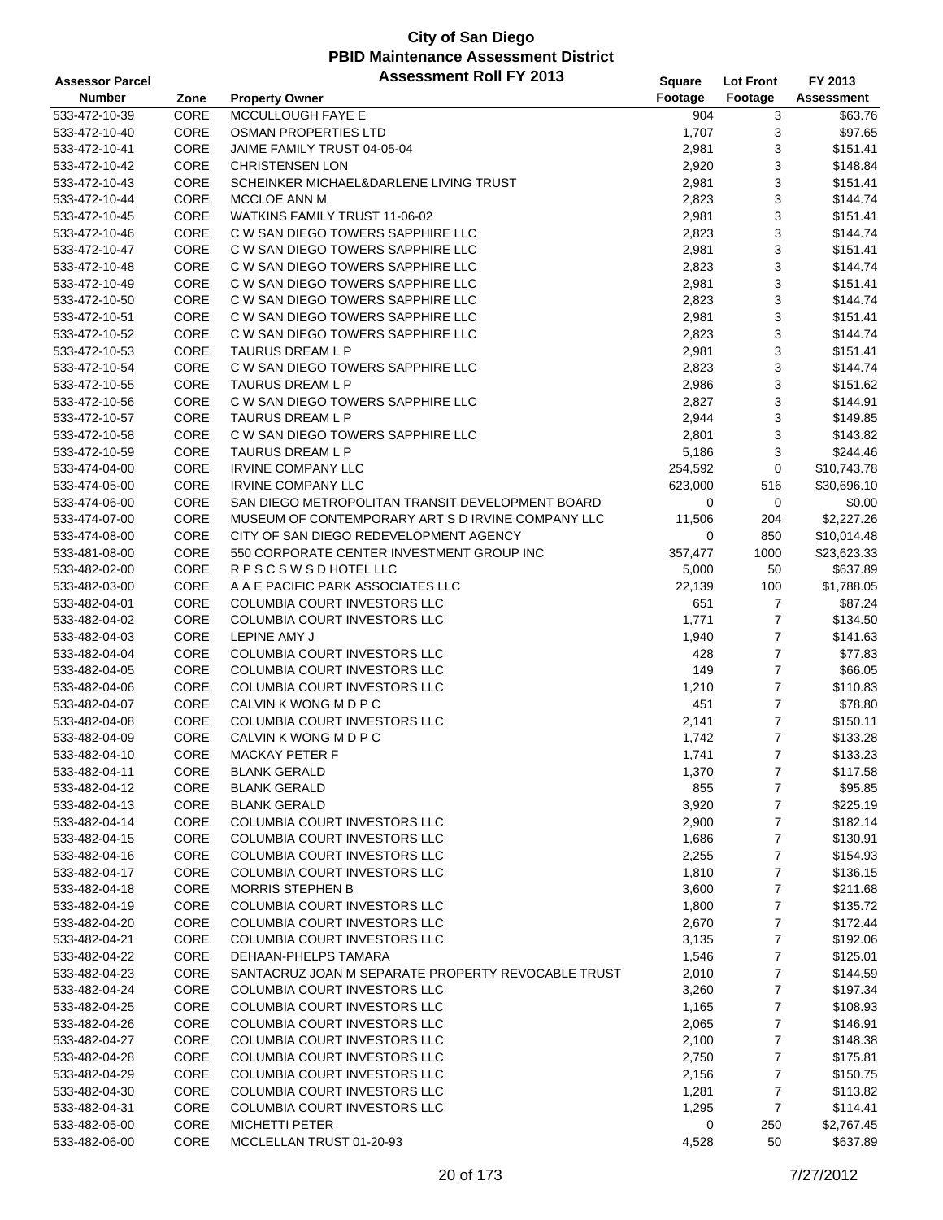| <b>Assessor Parcel</b> |      | <b>Assessment Roll FY 2013</b>                     | Square  | <b>Lot Front</b> | FY 2013           |
|------------------------|------|----------------------------------------------------|---------|------------------|-------------------|
| <b>Number</b>          | Zone | <b>Property Owner</b>                              | Footage | Footage          | <b>Assessment</b> |
| 533-472-10-39          | CORE | MCCULLOUGH FAYE E                                  | 904     | 3                | \$63.76           |
| 533-472-10-40          | CORE | <b>OSMAN PROPERTIES LTD</b>                        | 1,707   | 3                | \$97.65           |
| 533-472-10-41          | CORE | JAIME FAMILY TRUST 04-05-04                        | 2,981   | 3                | \$151.41          |
| 533-472-10-42          | CORE | <b>CHRISTENSEN LON</b>                             | 2,920   | 3                | \$148.84          |
| 533-472-10-43          | CORE | SCHEINKER MICHAEL&DARLENE LIVING TRUST             | 2,981   | 3                | \$151.41          |
| 533-472-10-44          | CORE | MCCLOE ANN M                                       | 2,823   | 3                | \$144.74          |
| 533-472-10-45          | CORE | WATKINS FAMILY TRUST 11-06-02                      | 2,981   | 3                | \$151.41          |
| 533-472-10-46          | CORE | C W SAN DIEGO TOWERS SAPPHIRE LLC                  | 2,823   | 3                | \$144.74          |
| 533-472-10-47          | CORE | C W SAN DIEGO TOWERS SAPPHIRE LLC                  | 2,981   | 3                | \$151.41          |
| 533-472-10-48          | CORE | C W SAN DIEGO TOWERS SAPPHIRE LLC                  | 2,823   | 3                | \$144.74          |
| 533-472-10-49          | CORE | C W SAN DIEGO TOWERS SAPPHIRE LLC                  | 2,981   | 3                | \$151.41          |
| 533-472-10-50          | CORE | C W SAN DIEGO TOWERS SAPPHIRE LLC                  | 2,823   | 3                | \$144.74          |
| 533-472-10-51          | CORE | C W SAN DIEGO TOWERS SAPPHIRE LLC                  | 2,981   | 3                | \$151.41          |
| 533-472-10-52          | CORE | C W SAN DIEGO TOWERS SAPPHIRE LLC                  | 2,823   | 3                | \$144.74          |
| 533-472-10-53          | CORE | TAURUS DREAM L P                                   | 2,981   | 3                | \$151.41          |
| 533-472-10-54          | CORE | C W SAN DIEGO TOWERS SAPPHIRE LLC                  | 2,823   | 3                | \$144.74          |
| 533-472-10-55          | CORE | TAURUS DREAM L P                                   | 2,986   | 3                | \$151.62          |
| 533-472-10-56          | CORE | C W SAN DIEGO TOWERS SAPPHIRE LLC                  | 2,827   | 3                | \$144.91          |
| 533-472-10-57          | CORE | TAURUS DREAM L P                                   | 2,944   | 3                | \$149.85          |
| 533-472-10-58          | CORE | C W SAN DIEGO TOWERS SAPPHIRE LLC                  | 2,801   | 3                | \$143.82          |
| 533-472-10-59          | CORE | <b>TAURUS DREAM L P</b>                            | 5,186   | 3                | \$244.46          |
| 533-474-04-00          | CORE | <b>IRVINE COMPANY LLC</b>                          | 254,592 | 0                | \$10,743.78       |
| 533-474-05-00          | CORE | <b>IRVINE COMPANY LLC</b>                          | 623,000 | 516              | \$30,696.10       |
| 533-474-06-00          | CORE | SAN DIEGO METROPOLITAN TRANSIT DEVELOPMENT BOARD   | 0       | 0                | \$0.00            |
| 533-474-07-00          | CORE | MUSEUM OF CONTEMPORARY ART S D IRVINE COMPANY LLC  | 11,506  | 204              | \$2,227.26        |
| 533-474-08-00          | CORE | CITY OF SAN DIEGO REDEVELOPMENT AGENCY             | 0       | 850              | \$10,014.48       |
| 533-481-08-00          | CORE | 550 CORPORATE CENTER INVESTMENT GROUP INC          | 357,477 | 1000             | \$23,623.33       |
| 533-482-02-00          | CORE | R P S C S W S D HOTEL LLC                          | 5,000   | 50               | \$637.89          |
| 533-482-03-00          | CORE | A A E PACIFIC PARK ASSOCIATES LLC                  | 22,139  | 100              | \$1,788.05        |
| 533-482-04-01          | CORE | COLUMBIA COURT INVESTORS LLC                       | 651     | 7                | \$87.24           |
| 533-482-04-02          | CORE | COLUMBIA COURT INVESTORS LLC                       | 1,771   | $\overline{7}$   | \$134.50          |
| 533-482-04-03          | CORE | LEPINE AMY J                                       | 1,940   | $\overline{7}$   | \$141.63          |
| 533-482-04-04          | CORE | COLUMBIA COURT INVESTORS LLC                       | 428     | $\overline{7}$   | \$77.83           |
| 533-482-04-05          | CORE | <b>COLUMBIA COURT INVESTORS LLC</b>                | 149     | $\overline{7}$   | \$66.05           |
| 533-482-04-06          | CORE | <b>COLUMBIA COURT INVESTORS LLC</b>                | 1,210   | 7                | \$110.83          |
| 533-482-04-07          | CORE | CALVIN K WONG M D P C                              | 451     | $\overline{7}$   | \$78.80           |
| 533-482-04-08          | CORE | <b>COLUMBIA COURT INVESTORS LLC</b>                | 2,141   | 7                | \$150.11          |
| 533-482-04-09          | CORE | CALVIN K WONG M D P C                              | 1,742   | $\overline{7}$   | \$133.28          |
| 533-482-04-10          | CORE | <b>MACKAY PETER F</b>                              | 1,741   | $\overline{7}$   | \$133.23          |
| 533-482-04-11          | CORE | <b>BLANK GERALD</b>                                | 1,370   | 7                | \$117.58          |
| 533-482-04-12          | CORE | <b>BLANK GERALD</b>                                | 855     | 7                | \$95.85           |
| 533-482-04-13          | CORE | <b>BLANK GERALD</b>                                | 3,920   | 7                | \$225.19          |
| 533-482-04-14          | CORE | COLUMBIA COURT INVESTORS LLC                       | 2,900   | 7                | \$182.14          |
| 533-482-04-15          | CORE | COLUMBIA COURT INVESTORS LLC                       | 1,686   | 7                | \$130.91          |
| 533-482-04-16          | CORE | <b>COLUMBIA COURT INVESTORS LLC</b>                | 2,255   | 7                | \$154.93          |
| 533-482-04-17          | CORE | COLUMBIA COURT INVESTORS LLC                       | 1,810   | 7                | \$136.15          |
| 533-482-04-18          | CORE | <b>MORRIS STEPHEN B</b>                            | 3,600   | 7                | \$211.68          |
| 533-482-04-19          | CORE | COLUMBIA COURT INVESTORS LLC                       | 1,800   | 7                | \$135.72          |
| 533-482-04-20          | CORE | COLUMBIA COURT INVESTORS LLC                       | 2,670   | 7                | \$172.44          |
| 533-482-04-21          | CORE | COLUMBIA COURT INVESTORS LLC                       | 3,135   | 7                | \$192.06          |
| 533-482-04-22          | CORE | DEHAAN-PHELPS TAMARA                               | 1,546   | 7                | \$125.01          |
| 533-482-04-23          | CORE | SANTACRUZ JOAN M SEPARATE PROPERTY REVOCABLE TRUST | 2,010   | 7                | \$144.59          |
| 533-482-04-24          | CORE | COLUMBIA COURT INVESTORS LLC                       | 3,260   | 7                | \$197.34          |
| 533-482-04-25          | CORE | COLUMBIA COURT INVESTORS LLC                       | 1,165   | 7                | \$108.93          |
| 533-482-04-26          | CORE | COLUMBIA COURT INVESTORS LLC                       | 2,065   | 7                | \$146.91          |
| 533-482-04-27          | CORE | COLUMBIA COURT INVESTORS LLC                       | 2,100   | 7                | \$148.38          |
| 533-482-04-28          | CORE | COLUMBIA COURT INVESTORS LLC                       | 2,750   | 7                | \$175.81          |
| 533-482-04-29          | CORE | COLUMBIA COURT INVESTORS LLC                       | 2,156   | 7                | \$150.75          |
| 533-482-04-30          | CORE | COLUMBIA COURT INVESTORS LLC                       | 1,281   | 7                | \$113.82          |
| 533-482-04-31          | CORE | COLUMBIA COURT INVESTORS LLC                       | 1,295   | 7                | \$114.41          |
| 533-482-05-00          | CORE | <b>MICHETTI PETER</b>                              | 0       | 250              | \$2,767.45        |
| 533-482-06-00          | CORE | MCCLELLAN TRUST 01-20-93                           | 4,528   | 50               | \$637.89          |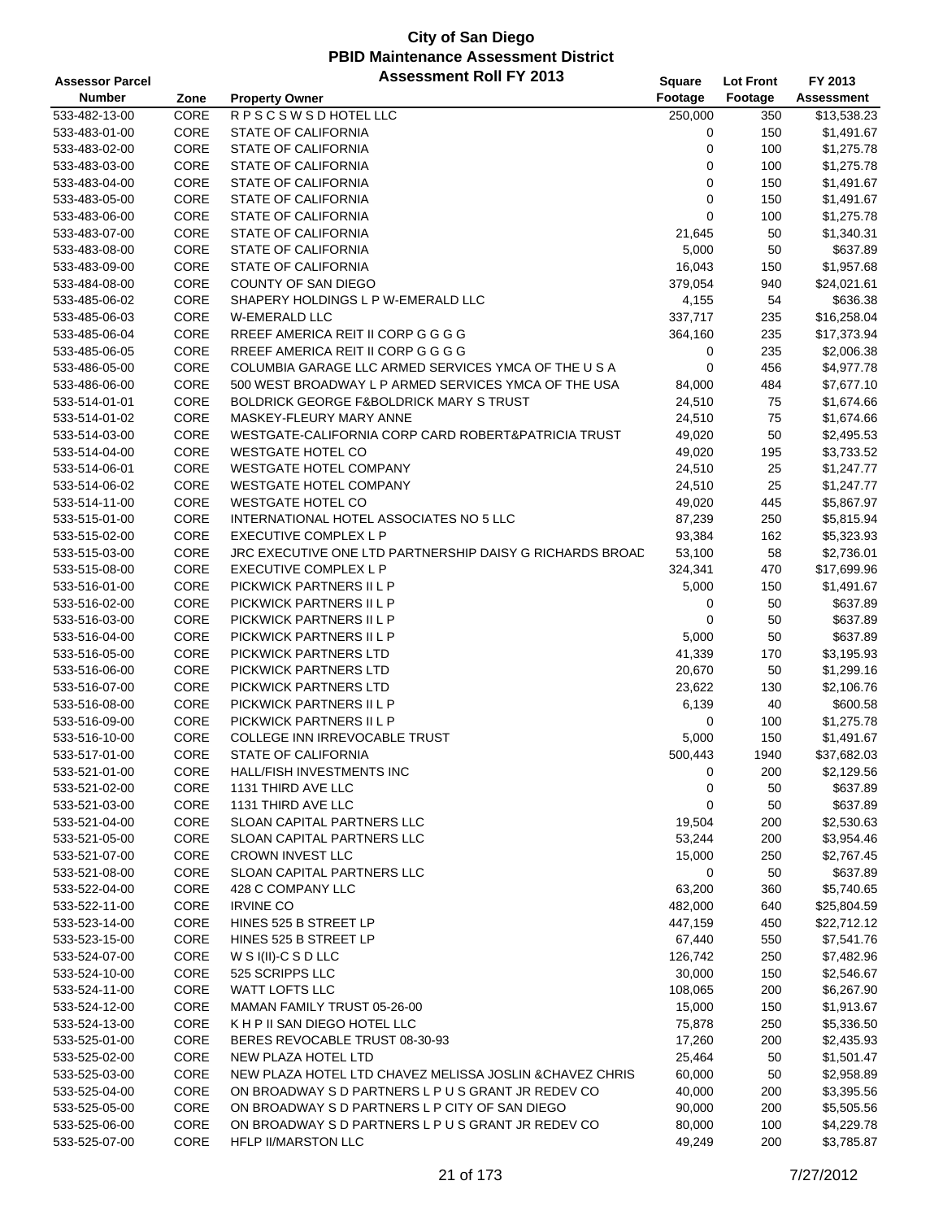| <b>Assessor Parcel</b> |      | <b>Assessment Roll FY 2013</b>                           | <b>Square</b> | <b>Lot Front</b> | FY 2013           |
|------------------------|------|----------------------------------------------------------|---------------|------------------|-------------------|
| <b>Number</b>          | Zone | <b>Property Owner</b>                                    | Footage       | Footage          | <b>Assessment</b> |
| 533-482-13-00          | CORE | <b>RPSCSWSDHOTELLLC</b>                                  | 250,000       | 350              | \$13,538.23       |
| 533-483-01-00          | CORE | STATE OF CALIFORNIA                                      | 0             | 150              | \$1,491.67        |
| 533-483-02-00          | CORE | STATE OF CALIFORNIA                                      | 0             | 100              | \$1,275.78        |
| 533-483-03-00          | CORE | STATE OF CALIFORNIA                                      | 0             | 100              | \$1,275.78        |
| 533-483-04-00          | CORE | <b>STATE OF CALIFORNIA</b>                               | 0             | 150              | \$1,491.67        |
| 533-483-05-00          | CORE | STATE OF CALIFORNIA                                      | 0             | 150              | \$1,491.67        |
| 533-483-06-00          | CORE | STATE OF CALIFORNIA                                      | 0             | 100              | \$1,275.78        |
| 533-483-07-00          | CORE | <b>STATE OF CALIFORNIA</b>                               | 21,645        | 50               | \$1,340.31        |
| 533-483-08-00          | CORE | STATE OF CALIFORNIA                                      | 5,000         | 50               | \$637.89          |
| 533-483-09-00          | CORE | STATE OF CALIFORNIA                                      | 16,043        | 150              | \$1,957.68        |
| 533-484-08-00          | CORE | <b>COUNTY OF SAN DIEGO</b>                               | 379,054       | 940              | \$24,021.61       |
| 533-485-06-02          | CORE | SHAPERY HOLDINGS L P W-EMERALD LLC                       | 4,155         | 54               | \$636.38          |
| 533-485-06-03          | CORE | W-EMERALD LLC                                            | 337,717       | 235              | \$16,258.04       |
| 533-485-06-04          | CORE | RREEF AMERICA REIT II CORP G G G G                       | 364,160       | 235              | \$17,373.94       |
| 533-485-06-05          | CORE | RREEF AMERICA REIT II CORP G G G G                       | 0             | 235              | \$2,006.38        |
| 533-486-05-00          | CORE | COLUMBIA GARAGE LLC ARMED SERVICES YMCA OF THE U S A     | 0             | 456              | \$4,977.78        |
| 533-486-06-00          | CORE | 500 WEST BROADWAY L P ARMED SERVICES YMCA OF THE USA     | 84,000        | 484              | \$7,677.10        |
| 533-514-01-01          | CORE | <b>BOLDRICK GEORGE F&amp;BOLDRICK MARY S TRUST</b>       | 24,510        | 75               | \$1,674.66        |
| 533-514-01-02          | CORE | MASKEY-FLEURY MARY ANNE                                  | 24,510        | 75               | \$1,674.66        |
| 533-514-03-00          | CORE | WESTGATE-CALIFORNIA CORP CARD ROBERT&PATRICIA TRUST      | 49,020        | 50               | \$2,495.53        |
| 533-514-04-00          | CORE | <b>WESTGATE HOTEL CO</b>                                 | 49,020        | 195              | \$3,733.52        |
| 533-514-06-01          | CORE | <b>WESTGATE HOTEL COMPANY</b>                            | 24,510        | 25               | \$1,247.77        |
| 533-514-06-02          | CORE | <b>WESTGATE HOTEL COMPANY</b>                            | 24,510        | 25               | \$1,247.77        |
| 533-514-11-00          | CORE | <b>WESTGATE HOTEL CO</b>                                 | 49,020        | 445              | \$5,867.97        |
| 533-515-01-00          | CORE | INTERNATIONAL HOTEL ASSOCIATES NO 5 LLC                  | 87,239        | 250              | \$5,815.94        |
| 533-515-02-00          | CORE | <b>EXECUTIVE COMPLEX L P</b>                             | 93,384        | 162              | \$5,323.93        |
| 533-515-03-00          | CORE | JRC EXECUTIVE ONE LTD PARTNERSHIP DAISY G RICHARDS BROAD | 53,100        | 58               | \$2,736.01        |
| 533-515-08-00          | CORE | EXECUTIVE COMPLEX L P                                    | 324,341       | 470              | \$17,699.96       |
| 533-516-01-00          | CORE | PICKWICK PARTNERS II L P                                 | 5,000         | 150              | \$1,491.67        |
| 533-516-02-00          | CORE | PICKWICK PARTNERS II L P                                 | 0             | 50               | \$637.89          |
| 533-516-03-00          | CORE | PICKWICK PARTNERS II L P                                 | 0             | 50               | \$637.89          |
| 533-516-04-00          | CORE | PICKWICK PARTNERS II L P                                 | 5,000         | 50               | \$637.89          |
| 533-516-05-00          | CORE | PICKWICK PARTNERS LTD                                    | 41,339        | 170              | \$3,195.93        |
| 533-516-06-00          | CORE | PICKWICK PARTNERS LTD                                    | 20,670        | 50               | \$1,299.16        |
| 533-516-07-00          | CORE | PICKWICK PARTNERS LTD                                    | 23,622        | 130              | \$2,106.76        |
| 533-516-08-00          | CORE | PICKWICK PARTNERS II L P                                 | 6,139         | 40               | \$600.58          |
| 533-516-09-00          | CORE | PICKWICK PARTNERS II L P                                 | 0             | 100              | \$1,275.78        |
| 533-516-10-00          | CORE | COLLEGE INN IRREVOCABLE TRUST                            | 5,000         | 150              | \$1,491.67        |
| 533-517-01-00          | CORE | STATE OF CALIFORNIA                                      | 500,443       | 1940             | \$37,682.03       |
| 533-521-01-00          | CORE | HALL/FISH INVESTMENTS INC                                | 0             | 200              | \$2,129.56        |
| 533-521-02-00          | CORE | 1131 THIRD AVE LLC                                       | 0             | 50               | \$637.89          |
| 533-521-03-00          | CORE | 1131 THIRD AVE LLC                                       | 0             | 50               | \$637.89          |
| 533-521-04-00          | CORE | SLOAN CAPITAL PARTNERS LLC                               | 19,504        | 200              | \$2,530.63        |
| 533-521-05-00          | CORE | SLOAN CAPITAL PARTNERS LLC                               | 53,244        | 200              | \$3,954.46        |
| 533-521-07-00          | CORE | <b>CROWN INVEST LLC</b>                                  | 15,000        | 250              | \$2,767.45        |
| 533-521-08-00          | CORE | <b>SLOAN CAPITAL PARTNERS LLC</b>                        | 0             | 50               | \$637.89          |
| 533-522-04-00          | CORE | 428 C COMPANY LLC                                        | 63,200        | 360              | \$5,740.65        |
| 533-522-11-00          | CORE | <b>IRVINE CO</b>                                         | 482,000       | 640              | \$25,804.59       |
| 533-523-14-00          | CORE | HINES 525 B STREET LP                                    | 447,159       | 450              | \$22,712.12       |
| 533-523-15-00          | CORE | HINES 525 B STREET LP                                    | 67,440        | 550              | \$7,541.76        |
| 533-524-07-00          | CORE | W S $I(II)$ -C S D LLC                                   | 126,742       | 250              | \$7,482.96        |
| 533-524-10-00          | CORE | 525 SCRIPPS LLC                                          | 30,000        | 150              | \$2,546.67        |
| 533-524-11-00          | CORE | WATT LOFTS LLC                                           | 108,065       | 200              | \$6,267.90        |
| 533-524-12-00          | CORE | MAMAN FAMILY TRUST 05-26-00                              | 15,000        | 150              | \$1,913.67        |
| 533-524-13-00          | CORE | K H P II SAN DIEGO HOTEL LLC                             | 75,878        | 250              | \$5,336.50        |
| 533-525-01-00          | CORE | BERES REVOCABLE TRUST 08-30-93                           | 17,260        | 200              | \$2,435.93        |
| 533-525-02-00          | CORE | NEW PLAZA HOTEL LTD                                      | 25,464        | 50               | \$1,501.47        |
| 533-525-03-00          | CORE | NEW PLAZA HOTEL LTD CHAVEZ MELISSA JOSLIN & CHAVEZ CHRIS | 60,000        | 50               | \$2,958.89        |
| 533-525-04-00          | CORE | ON BROADWAY S D PARTNERS L P U S GRANT JR REDEV CO       | 40,000        | 200              | \$3,395.56        |
| 533-525-05-00          | CORE | ON BROADWAY S D PARTNERS L P CITY OF SAN DIEGO           | 90,000        | 200              | \$5,505.56        |
| 533-525-06-00          | CORE | ON BROADWAY S D PARTNERS L P U S GRANT JR REDEV CO       | 80,000        | 100              | \$4,229.78        |
| 533-525-07-00          | CORE | HFLP II/MARSTON LLC                                      | 49,249        | 200              | \$3,785.87        |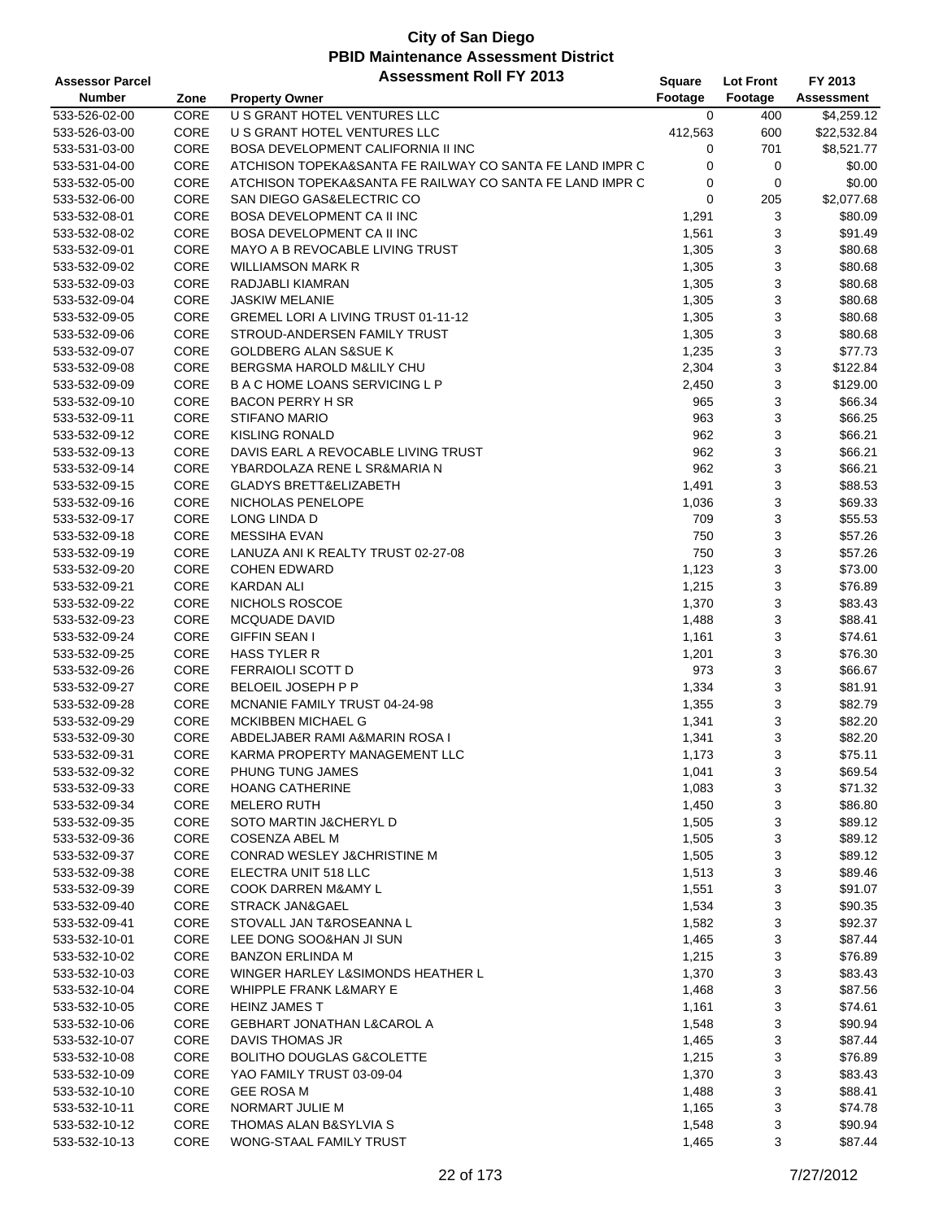| <b>Assessor Parcel</b> |      | <b>Assessment Roll FY 2013</b>                           | Square      | <b>Lot Front</b> | FY 2013     |
|------------------------|------|----------------------------------------------------------|-------------|------------------|-------------|
| <b>Number</b>          | Zone | <b>Property Owner</b>                                    | Footage     | Footage          | Assessment  |
| 533-526-02-00          | CORE | U S GRANT HOTEL VENTURES LLC                             | $\mathbf 0$ | 400              | \$4,259.12  |
| 533-526-03-00          | CORE | U S GRANT HOTEL VENTURES LLC                             | 412,563     | 600              | \$22,532.84 |
| 533-531-03-00          | CORE | BOSA DEVELOPMENT CALIFORNIA II INC                       | 0           | 701              | \$8,521.77  |
| 533-531-04-00          | CORE | ATCHISON TOPEKA&SANTA FE RAILWAY CO SANTA FE LAND IMPR C | 0           | 0                | \$0.00      |
| 533-532-05-00          | CORE | ATCHISON TOPEKA&SANTA FE RAILWAY CO SANTA FE LAND IMPR C | 0           | 0                | \$0.00      |
| 533-532-06-00          | CORE | SAN DIEGO GAS&ELECTRIC CO                                | 0           | 205              | \$2,077.68  |
| 533-532-08-01          | CORE | <b>BOSA DEVELOPMENT CA II INC</b>                        | 1,291       | 3                | \$80.09     |
| 533-532-08-02          | CORE | <b>BOSA DEVELOPMENT CA II INC</b>                        | 1,561       | 3                | \$91.49     |
| 533-532-09-01          | CORE | MAYO A B REVOCABLE LIVING TRUST                          | 1,305       | 3                | \$80.68     |
| 533-532-09-02          | CORE | <b>WILLIAMSON MARK R</b>                                 | 1,305       | 3                | \$80.68     |
| 533-532-09-03          | CORE | RADJABLI KIAMRAN                                         | 1,305       | 3                | \$80.68     |
| 533-532-09-04          | CORE | <b>JASKIW MELANIE</b>                                    | 1,305       | 3                | \$80.68     |
| 533-532-09-05          | CORE | GREMEL LORI A LIVING TRUST 01-11-12                      | 1,305       | 3                | \$80.68     |
| 533-532-09-06          | CORE | STROUD-ANDERSEN FAMILY TRUST                             | 1,305       | 3                | \$80.68     |
| 533-532-09-07          | CORE | <b>GOLDBERG ALAN S&amp;SUE K</b>                         | 1,235       | 3                | \$77.73     |
| 533-532-09-08          | CORE | BERGSMA HAROLD M&LILY CHU                                | 2,304       | 3                | \$122.84    |
| 533-532-09-09          | CORE | <b>B A C HOME LOANS SERVICING L P</b>                    | 2,450       | 3                | \$129.00    |
| 533-532-09-10          | CORE | <b>BACON PERRY H SR</b>                                  | 965         | 3                | \$66.34     |
| 533-532-09-11          | CORE | <b>STIFANO MARIO</b>                                     | 963         | 3                | \$66.25     |
| 533-532-09-12          | CORE | <b>KISLING RONALD</b>                                    | 962         | 3                | \$66.21     |
| 533-532-09-13          | CORE | DAVIS EARL A REVOCABLE LIVING TRUST                      | 962         | 3                | \$66.21     |
| 533-532-09-14          | CORE | YBARDOLAZA RENE L SR&MARIA N                             | 962         | 3                | \$66.21     |
| 533-532-09-15          | CORE | <b>GLADYS BRETT&amp;ELIZABETH</b>                        | 1,491       | 3                | \$88.53     |
| 533-532-09-16          | CORE | NICHOLAS PENELOPE                                        | 1,036       | 3                | \$69.33     |
| 533-532-09-17          | CORE | LONG LINDA D                                             | 709         | 3                | \$55.53     |
| 533-532-09-18          | CORE | <b>MESSIHA EVAN</b>                                      | 750         | 3                | \$57.26     |
| 533-532-09-19          | CORE | LANUZA ANI K REALTY TRUST 02-27-08                       | 750         | 3                | \$57.26     |
| 533-532-09-20          | CORE | <b>COHEN EDWARD</b>                                      | 1,123       | 3                | \$73.00     |
| 533-532-09-21          | CORE | <b>KARDAN ALI</b>                                        | 1,215       | 3                | \$76.89     |
| 533-532-09-22          | CORE | NICHOLS ROSCOE                                           | 1,370       | 3                | \$83.43     |
| 533-532-09-23          | CORE | <b>MCQUADE DAVID</b>                                     | 1,488       | 3                | \$88.41     |
| 533-532-09-24          | CORE | <b>GIFFIN SEAN I</b>                                     | 1,161       | 3                | \$74.61     |
| 533-532-09-25          | CORE | <b>HASS TYLER R</b>                                      | 1,201       | 3                | \$76.30     |
| 533-532-09-26          | CORE | <b>FERRAIOLI SCOTT D</b>                                 | 973         | 3                | \$66.67     |
| 533-532-09-27          | CORE | <b>BELOEIL JOSEPH P P</b>                                | 1,334       | 3                | \$81.91     |
| 533-532-09-28          | CORE | MCNANIE FAMILY TRUST 04-24-98                            | 1,355       | 3                | \$82.79     |
| 533-532-09-29          | CORE | <b>MCKIBBEN MICHAEL G</b>                                | 1,341       | 3                | \$82.20     |
| 533-532-09-30          | CORE | ABDELJABER RAMI A&MARIN ROSA I                           | 1,341       | 3                | \$82.20     |
| 533-532-09-31          | CORE | KARMA PROPERTY MANAGEMENT LLC                            | 1,173       | 3                | \$75.11     |
| 533-532-09-32          | CORE | PHUNG TUNG JAMES                                         | 1,041       | 3                | \$69.54     |
| 533-532-09-33          | CORE | <b>HOANG CATHERINE</b>                                   | 1,083       | 3                | \$71.32     |
| 533-532-09-34          | CORE | <b>MELERO RUTH</b>                                       | 1,450       | 3                | \$86.80     |
| 533-532-09-35          | CORE | SOTO MARTIN J&CHERYL D                                   | 1,505       | 3                | \$89.12     |
| 533-532-09-36          | CORE | <b>COSENZA ABEL M</b>                                    | 1,505       | 3                | \$89.12     |
| 533-532-09-37          | CORE | CONRAD WESLEY J&CHRISTINE M                              | 1,505       | 3                | \$89.12     |
| 533-532-09-38          | CORE | ELECTRA UNIT 518 LLC                                     | 1,513       | 3                | \$89.46     |
| 533-532-09-39          | CORE | <b>COOK DARREN M&amp;AMY L</b>                           | 1,551       | 3                | \$91.07     |
| 533-532-09-40          | CORE | STRACK JAN&GAEL                                          | 1,534       | 3                | \$90.35     |
| 533-532-09-41          | CORE | STOVALL JAN T&ROSEANNA L                                 | 1,582       | 3                | \$92.37     |
| 533-532-10-01          | CORE | LEE DONG SOO&HAN JI SUN                                  | 1,465       | 3                | \$87.44     |
| 533-532-10-02          | CORE | <b>BANZON ERLINDA M</b>                                  | 1,215       | 3                | \$76.89     |
| 533-532-10-03          | CORE | WINGER HARLEY L&SIMONDS HEATHER L                        | 1,370       | 3                | \$83.43     |
| 533-532-10-04          | CORE | WHIPPLE FRANK L&MARY E                                   | 1,468       | 3                | \$87.56     |
| 533-532-10-05          | CORE | <b>HEINZ JAMES T</b>                                     | 1,161       | 3                | \$74.61     |
| 533-532-10-06          | CORE | GEBHART JONATHAN L&CAROL A                               | 1,548       | 3                | \$90.94     |
| 533-532-10-07          | CORE | DAVIS THOMAS JR                                          | 1,465       | 3                | \$87.44     |
| 533-532-10-08          | CORE | BOLITHO DOUGLAS G&COLETTE                                | 1,215       | 3                | \$76.89     |
| 533-532-10-09          | CORE | YAO FAMILY TRUST 03-09-04                                | 1,370       | 3                | \$83.43     |
| 533-532-10-10          | CORE | <b>GEE ROSA M</b>                                        | 1,488       | 3                | \$88.41     |
| 533-532-10-11          | CORE | NORMART JULIE M                                          | 1,165       | 3                | \$74.78     |
| 533-532-10-12          | CORE | THOMAS ALAN B&SYLVIA S                                   | 1,548       | 3                | \$90.94     |
| 533-532-10-13          | CORE | WONG-STAAL FAMILY TRUST                                  | 1,465       | 3                | \$87.44     |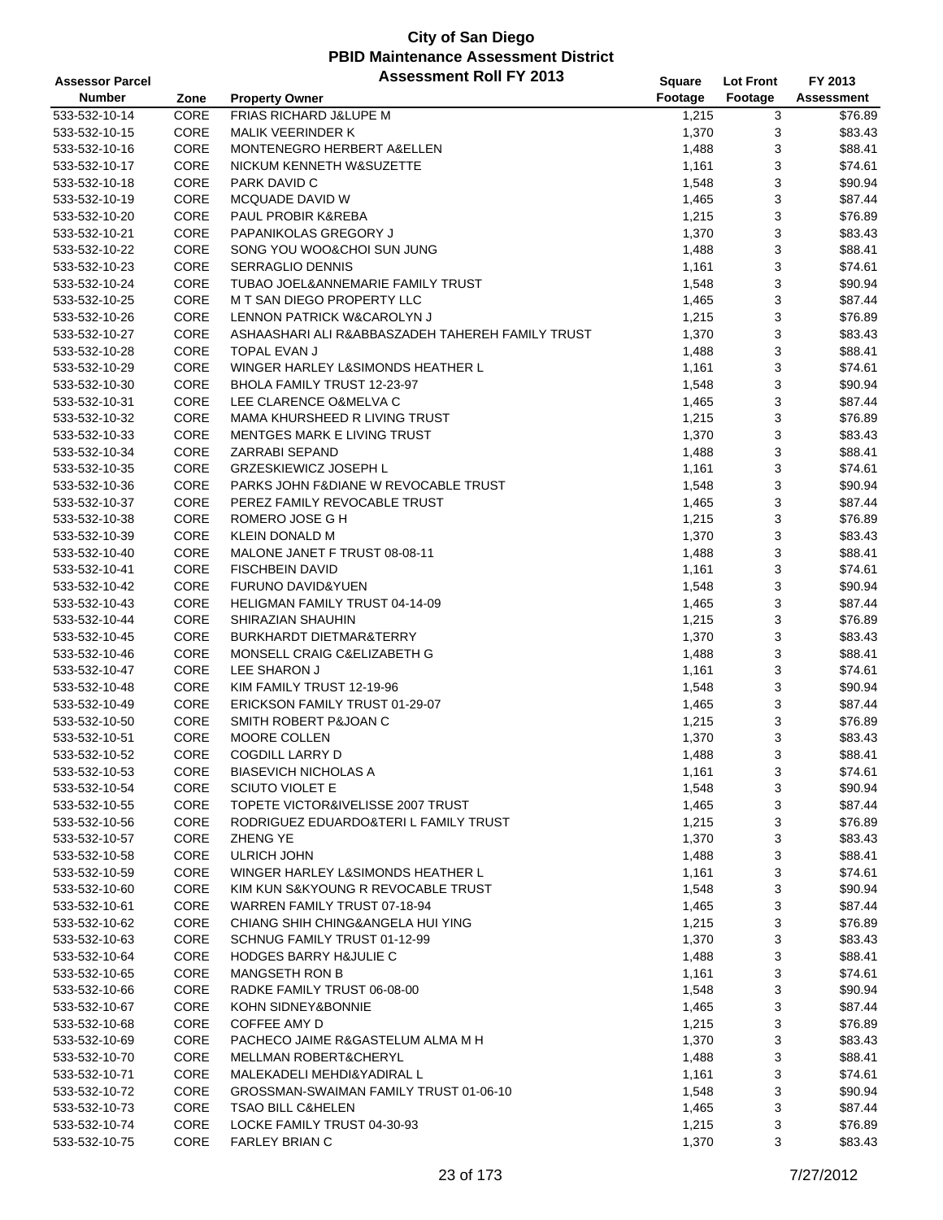| <b>Assessor Parcel</b> |      | <b>Assessment Roll FY 2013</b>                   | Square  | <b>Lot Front</b> | FY 2013    |
|------------------------|------|--------------------------------------------------|---------|------------------|------------|
| <b>Number</b>          | Zone | <b>Property Owner</b>                            | Footage | Footage          | Assessment |
| 533-532-10-14          | CORE | FRIAS RICHARD J&LUPE M                           | 1,215   | 3                | \$76.89    |
| 533-532-10-15          | CORE | <b>MALIK VEERINDER K</b>                         | 1,370   | 3                | \$83.43    |
| 533-532-10-16          | CORE | MONTENEGRO HERBERT A&ELLEN                       | 1,488   | 3                | \$88.41    |
| 533-532-10-17          | CORE | NICKUM KENNETH W&SUZETTE                         | 1,161   | 3                | \$74.61    |
| 533-532-10-18          | CORE | PARK DAVID C                                     | 1,548   | 3                | \$90.94    |
| 533-532-10-19          | CORE | MCQUADE DAVID W                                  | 1,465   | 3                | \$87.44    |
| 533-532-10-20          | CORE | PAUL PROBIR K&REBA                               | 1,215   | 3                | \$76.89    |
| 533-532-10-21          | CORE | PAPANIKOLAS GREGORY J                            | 1,370   | 3                | \$83.43    |
| 533-532-10-22          | CORE | SONG YOU WOO&CHOI SUN JUNG                       | 1,488   | 3                | \$88.41    |
| 533-532-10-23          | CORE | <b>SERRAGLIO DENNIS</b>                          | 1,161   | 3                | \$74.61    |
| 533-532-10-24          | CORE | TUBAO JOEL&ANNEMARIE FAMILY TRUST                | 1,548   | 3                | \$90.94    |
| 533-532-10-25          | CORE | M T SAN DIEGO PROPERTY LLC                       | 1,465   | 3                | \$87.44    |
| 533-532-10-26          | CORE | LENNON PATRICK W&CAROLYN J                       | 1,215   | 3                | \$76.89    |
| 533-532-10-27          | CORE | ASHAASHARI ALI R&ABBASZADEH TAHEREH FAMILY TRUST | 1,370   | 3                | \$83.43    |
| 533-532-10-28          | CORE | TOPAL EVAN J                                     | 1,488   | 3                | \$88.41    |
| 533-532-10-29          | CORE | WINGER HARLEY L&SIMONDS HEATHER L                | 1,161   | 3                | \$74.61    |
| 533-532-10-30          | CORE | BHOLA FAMILY TRUST 12-23-97                      | 1,548   | 3                | \$90.94    |
| 533-532-10-31          | CORE | LEE CLARENCE O&MELVA C                           | 1,465   | 3                | \$87.44    |
| 533-532-10-32          | CORE | MAMA KHURSHEED R LIVING TRUST                    | 1,215   | 3                | \$76.89    |
| 533-532-10-33          | CORE | <b>MENTGES MARK E LIVING TRUST</b>               | 1,370   | 3                | \$83.43    |
| 533-532-10-34          | CORE | <b>ZARRABI SEPAND</b>                            | 1,488   | 3                | \$88.41    |
| 533-532-10-35          | CORE | <b>GRZESKIEWICZ JOSEPH L</b>                     | 1,161   | 3                | \$74.61    |
| 533-532-10-36          | CORE | PARKS JOHN F&DIANE W REVOCABLE TRUST             | 1,548   | 3                | \$90.94    |
| 533-532-10-37          | CORE | PEREZ FAMILY REVOCABLE TRUST                     | 1,465   | 3                | \$87.44    |
| 533-532-10-38          | CORE | ROMERO JOSE G H                                  | 1,215   | 3                | \$76.89    |
| 533-532-10-39          | CORE | <b>KLEIN DONALD M</b>                            | 1,370   | 3                | \$83.43    |
| 533-532-10-40          | CORE | MALONE JANET F TRUST 08-08-11                    | 1,488   | 3                | \$88.41    |
| 533-532-10-41          | CORE | <b>FISCHBEIN DAVID</b>                           | 1,161   | 3                | \$74.61    |
| 533-532-10-42          | CORE | <b>FURUNO DAVID&amp;YUEN</b>                     | 1,548   | 3                | \$90.94    |
| 533-532-10-43          | CORE | HELIGMAN FAMILY TRUST 04-14-09                   | 1,465   | 3                | \$87.44    |
| 533-532-10-44          | CORE | SHIRAZIAN SHAUHIN                                | 1,215   | 3                | \$76.89    |
| 533-532-10-45          | CORE | BURKHARDT DIETMAR&TERRY                          | 1,370   | 3                | \$83.43    |
| 533-532-10-46          | CORE | MONSELL CRAIG C&ELIZABETH G                      | 1,488   | 3                | \$88.41    |
| 533-532-10-47          | CORE | LEE SHARON J                                     | 1,161   | 3                | \$74.61    |
| 533-532-10-48          | CORE | KIM FAMILY TRUST 12-19-96                        | 1,548   | 3                | \$90.94    |
| 533-532-10-49          | CORE | ERICKSON FAMILY TRUST 01-29-07                   | 1,465   | 3                | \$87.44    |
| 533-532-10-50          | CORE | SMITH ROBERT P&JOAN C                            | 1,215   | 3                | \$76.89    |
| 533-532-10-51          | CORE | MOORE COLLEN                                     | 1,370   | 3                | \$83.43    |
| 533-532-10-52          | CORE | <b>COGDILL LARRY D</b>                           | 1,488   | 3                | \$88.41    |
| 533-532-10-53          | CORE | <b>BIASEVICH NICHOLAS A</b>                      | 1,161   | 3                | \$74.61    |
| 533-532-10-54          | CORE | <b>SCIUTO VIOLET E</b>                           | 1,548   | 3                | \$90.94    |
| 533-532-10-55          | CORE | TOPETE VICTOR&IVELISSE 2007 TRUST                | 1,465   | 3                | \$87.44    |
| 533-532-10-56          | CORE | RODRIGUEZ EDUARDO&TERI L FAMILY TRUST            | 1,215   | 3                | \$76.89    |
| 533-532-10-57          | CORE | ZHENG YE                                         | 1,370   | 3                | \$83.43    |
| 533-532-10-58          | CORE | <b>ULRICH JOHN</b>                               | 1,488   | 3                | \$88.41    |
| 533-532-10-59          | CORE | WINGER HARLEY L&SIMONDS HEATHER L                | 1,161   | 3                | \$74.61    |
| 533-532-10-60          | CORE | KIM KUN S&KYOUNG R REVOCABLE TRUST               | 1,548   | 3                | \$90.94    |
| 533-532-10-61          | CORE | WARREN FAMILY TRUST 07-18-94                     | 1,465   | 3                | \$87.44    |
| 533-532-10-62          | CORE | CHIANG SHIH CHING&ANGELA HUI YING                | 1,215   | 3                | \$76.89    |
| 533-532-10-63          | CORE | SCHNUG FAMILY TRUST 01-12-99                     | 1,370   | 3                | \$83.43    |
| 533-532-10-64          | CORE | <b>HODGES BARRY H&amp;JULIE C</b>                | 1,488   | 3                | \$88.41    |
| 533-532-10-65          | CORE | <b>MANGSETH RON B</b>                            | 1,161   | 3                | \$74.61    |
| 533-532-10-66          | CORE | RADKE FAMILY TRUST 06-08-00                      | 1,548   | 3                | \$90.94    |
| 533-532-10-67          | CORE | KOHN SIDNEY&BONNIE                               | 1,465   | 3                | \$87.44    |
| 533-532-10-68          | CORE | COFFEE AMY D                                     | 1,215   | 3                | \$76.89    |
| 533-532-10-69          | CORE | PACHECO JAIME R&GASTELUM ALMA M H                | 1,370   | 3                | \$83.43    |
| 533-532-10-70          | CORE | MELLMAN ROBERT&CHERYL                            | 1,488   | 3                | \$88.41    |
| 533-532-10-71          | CORE | MALEKADELI MEHDI&YADIRAL L                       | 1,161   | 3                | \$74.61    |
| 533-532-10-72          | CORE | GROSSMAN-SWAIMAN FAMILY TRUST 01-06-10           | 1,548   | 3                | \$90.94    |
| 533-532-10-73          | CORE | <b>TSAO BILL C&amp;HELEN</b>                     | 1,465   | 3                | \$87.44    |
| 533-532-10-74          | CORE | LOCKE FAMILY TRUST 04-30-93                      | 1,215   | 3                | \$76.89    |
| 533-532-10-75          | CORE | <b>FARLEY BRIAN C</b>                            | 1,370   | 3                | \$83.43    |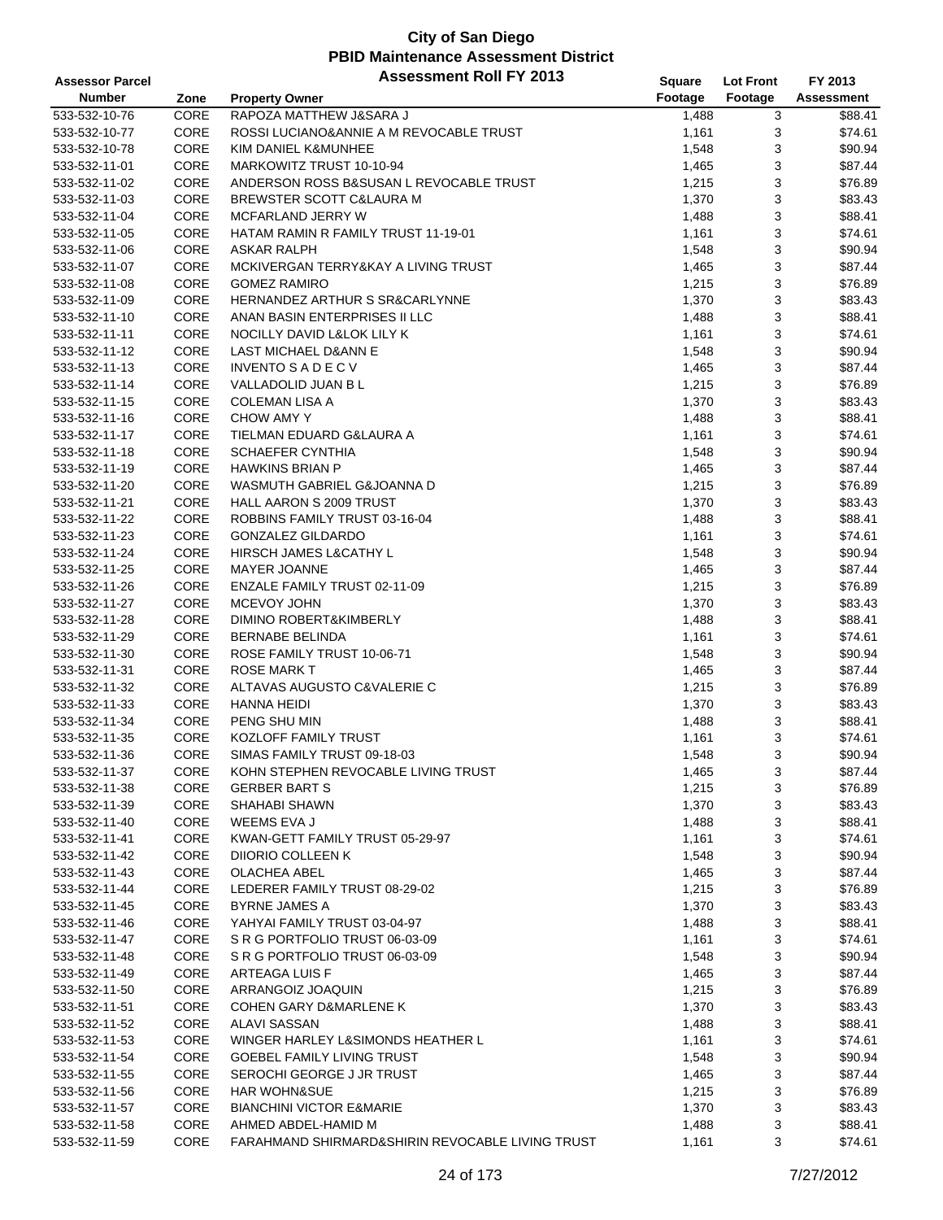| <b>Assessor Parcel</b> |      | <b>Assessment Roll FY 2013</b>                   | Square  | <b>Lot Front</b> | FY 2013    |
|------------------------|------|--------------------------------------------------|---------|------------------|------------|
| <b>Number</b>          | Zone | <b>Property Owner</b>                            | Footage | Footage          | Assessment |
| 533-532-10-76          | CORE | RAPOZA MATTHEW J&SARA J                          | 1,488   | 3                | \$88.41    |
| 533-532-10-77          | CORE | ROSSI LUCIANO&ANNIE A M REVOCABLE TRUST          | 1,161   | 3                | \$74.61    |
| 533-532-10-78          | CORE | KIM DANIEL K&MUNHEE                              | 1,548   | 3                | \$90.94    |
| 533-532-11-01          | CORE | MARKOWITZ TRUST 10-10-94                         | 1,465   | 3                | \$87.44    |
| 533-532-11-02          | CORE | ANDERSON ROSS B&SUSAN L REVOCABLE TRUST          | 1,215   | 3                | \$76.89    |
| 533-532-11-03          | CORE | BREWSTER SCOTT C&LAURA M                         | 1,370   | 3                | \$83.43    |
| 533-532-11-04          | CORE | MCFARLAND JERRY W                                | 1,488   | 3                | \$88.41    |
| 533-532-11-05          | CORE | HATAM RAMIN R FAMILY TRUST 11-19-01              | 1,161   | 3                | \$74.61    |
| 533-532-11-06          | CORE | <b>ASKAR RALPH</b>                               | 1,548   | 3                | \$90.94    |
| 533-532-11-07          | CORE | MCKIVERGAN TERRY&KAY A LIVING TRUST              | 1,465   | 3                | \$87.44    |
| 533-532-11-08          | CORE | <b>GOMEZ RAMIRO</b>                              | 1,215   | 3                | \$76.89    |
| 533-532-11-09          | CORE | HERNANDEZ ARTHUR S SR&CARLYNNE                   | 1,370   | 3                | \$83.43    |
| 533-532-11-10          | CORE | ANAN BASIN ENTERPRISES II LLC                    | 1,488   | 3                | \$88.41    |
| 533-532-11-11          | CORE | NOCILLY DAVID L&LOK LILY K                       | 1,161   | 3                | \$74.61    |
| 533-532-11-12          | CORE | LAST MICHAEL D&ANN E                             | 1,548   | 3                | \$90.94    |
| 533-532-11-13          | CORE | <b>INVENTO S A D E C V</b>                       | 1,465   | 3                | \$87.44    |
| 533-532-11-14          | CORE | VALLADOLID JUAN B L                              | 1,215   | 3                | \$76.89    |
| 533-532-11-15          | CORE | <b>COLEMAN LISA A</b>                            | 1,370   | 3                | \$83.43    |
| 533-532-11-16          | CORE | <b>CHOW AMY Y</b>                                | 1,488   | 3                | \$88.41    |
| 533-532-11-17          | CORE | TIELMAN EDUARD G&LAURA A                         | 1,161   | 3                | \$74.61    |
| 533-532-11-18          | CORE | <b>SCHAEFER CYNTHIA</b>                          | 1,548   | 3                | \$90.94    |
| 533-532-11-19          | CORE | <b>HAWKINS BRIAN P</b>                           | 1,465   | 3                | \$87.44    |
| 533-532-11-20          | CORE | WASMUTH GABRIEL G&JOANNA D                       | 1,215   | 3                | \$76.89    |
| 533-532-11-21          | CORE | HALL AARON S 2009 TRUST                          | 1,370   | 3                | \$83.43    |
| 533-532-11-22          | CORE | ROBBINS FAMILY TRUST 03-16-04                    | 1,488   | 3                | \$88.41    |
| 533-532-11-23          | CORE | <b>GONZALEZ GILDARDO</b>                         | 1,161   | 3                | \$74.61    |
| 533-532-11-24          | CORE | HIRSCH JAMES L&CATHY L                           | 1,548   | 3                | \$90.94    |
| 533-532-11-25          | CORE | <b>MAYER JOANNE</b>                              | 1,465   | 3                | \$87.44    |
| 533-532-11-26          | CORE | ENZALE FAMILY TRUST 02-11-09                     | 1,215   | 3                | \$76.89    |
| 533-532-11-27          | CORE | MCEVOY JOHN                                      | 1,370   | 3                | \$83.43    |
| 533-532-11-28          | CORE | DIMINO ROBERT&KIMBERLY                           | 1,488   | 3                | \$88.41    |
| 533-532-11-29          | CORE | <b>BERNABE BELINDA</b>                           | 1,161   | 3                | \$74.61    |
| 533-532-11-30          | CORE | ROSE FAMILY TRUST 10-06-71                       | 1,548   | 3                | \$90.94    |
| 533-532-11-31          | CORE | <b>ROSE MARK T</b>                               | 1,465   | 3                | \$87.44    |
| 533-532-11-32          | CORE | ALTAVAS AUGUSTO C&VALERIE C                      | 1,215   | 3                | \$76.89    |
| 533-532-11-33          | CORE | <b>HANNA HEIDI</b>                               | 1,370   | 3                | \$83.43    |
| 533-532-11-34          | CORE | PENG SHU MIN                                     | 1,488   | 3                | \$88.41    |
| 533-532-11-35          | CORE | KOZLOFF FAMILY TRUST                             | 1,161   | 3                | \$74.61    |
| 533-532-11-36          | CORE | SIMAS FAMILY TRUST 09-18-03                      | 1,548   | 3                | \$90.94    |
| 533-532-11-37          | CORE | KOHN STEPHEN REVOCABLE LIVING TRUST              | 1,465   | 3                | \$87.44    |
| 533-532-11-38          | CORE | <b>GERBER BART S</b>                             | 1,215   | 3                | \$76.89    |
| 533-532-11-39          | CORE | SHAHABI SHAWN                                    | 1,370   | 3                | \$83.43    |
| 533-532-11-40          | CORE | WEEMS EVA J                                      | 1,488   | 3                | \$88.41    |
| 533-532-11-41          | CORE | KWAN-GETT FAMILY TRUST 05-29-97                  | 1,161   | 3                | \$74.61    |
| 533-532-11-42          | CORE | DIIORIO COLLEEN K                                | 1,548   | 3                | \$90.94    |
| 533-532-11-43          | CORE | OLACHEA ABEL                                     | 1,465   | 3                | \$87.44    |
| 533-532-11-44          | CORE | LEDERER FAMILY TRUST 08-29-02                    | 1,215   | 3                | \$76.89    |
| 533-532-11-45          | CORE | <b>BYRNE JAMES A</b>                             | 1,370   | 3                | \$83.43    |
| 533-532-11-46          | CORE | YAHYAI FAMILY TRUST 03-04-97                     | 1,488   | 3                | \$88.41    |
| 533-532-11-47          | CORE | S R G PORTFOLIO TRUST 06-03-09                   | 1,161   | 3                | \$74.61    |
| 533-532-11-48          | CORE | S R G PORTFOLIO TRUST 06-03-09                   | 1,548   | 3                | \$90.94    |
| 533-532-11-49          | CORE | ARTEAGA LUIS F                                   | 1,465   | 3                | \$87.44    |
| 533-532-11-50          | CORE | ARRANGOIZ JOAQUIN                                | 1,215   | 3                | \$76.89    |
| 533-532-11-51          | CORE | <b>COHEN GARY D&amp;MARLENE K</b>                | 1,370   | 3                | \$83.43    |
| 533-532-11-52          | CORE | <b>ALAVI SASSAN</b>                              | 1,488   | 3                | \$88.41    |
| 533-532-11-53          | CORE | WINGER HARLEY L&SIMONDS HEATHER L                | 1,161   | 3                | \$74.61    |
| 533-532-11-54          | CORE | <b>GOEBEL FAMILY LIVING TRUST</b>                | 1,548   | 3                | \$90.94    |
| 533-532-11-55          | CORE | SEROCHI GEORGE J JR TRUST                        | 1,465   | 3                | \$87.44    |
| 533-532-11-56          | CORE | <b>HAR WOHN&amp;SUE</b>                          | 1,215   | 3                | \$76.89    |
| 533-532-11-57          | CORE | <b>BIANCHINI VICTOR E&amp;MARIE</b>              | 1,370   | 3                | \$83.43    |
| 533-532-11-58          | CORE | AHMED ABDEL-HAMID M                              | 1,488   | 3                | \$88.41    |
| 533-532-11-59          | CORE | FARAHMAND SHIRMARD&SHIRIN REVOCABLE LIVING TRUST | 1,161   | 3                | \$74.61    |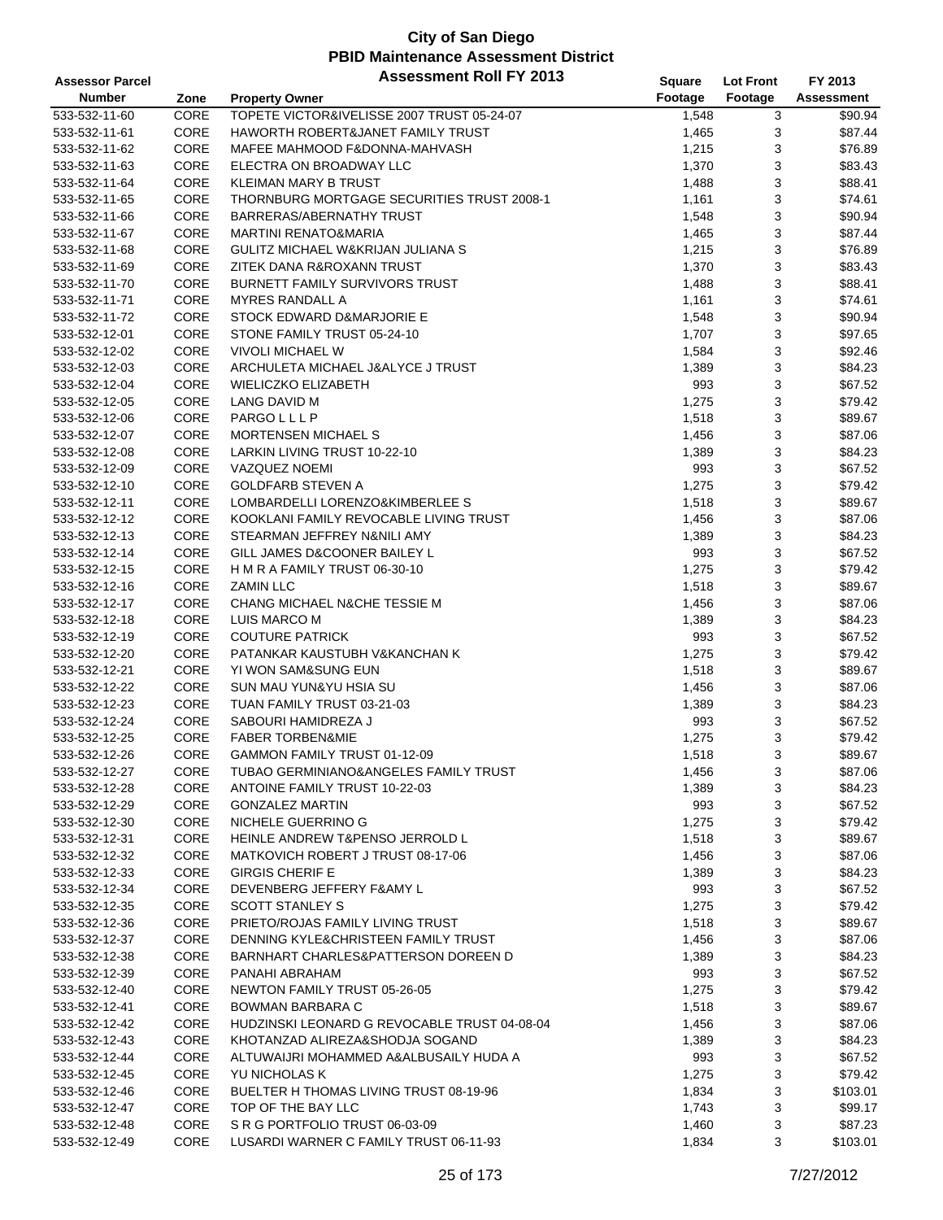| <b>Assessor Parcel</b> |      | <b>Assessment Roll FY 2013</b>                 | Square  | <b>Lot Front</b> | FY 2013    |
|------------------------|------|------------------------------------------------|---------|------------------|------------|
| <b>Number</b>          | Zone | <b>Property Owner</b>                          | Footage | Footage          | Assessment |
| 533-532-11-60          | CORE | TOPETE VICTOR&IVELISSE 2007 TRUST 05-24-07     | 1,548   | 3                | \$90.94    |
| 533-532-11-61          | CORE | HAWORTH ROBERT&JANET FAMILY TRUST              | 1,465   | 3                | \$87.44    |
| 533-532-11-62          | CORE | MAFEE MAHMOOD F&DONNA-MAHVASH                  | 1,215   | 3                | \$76.89    |
| 533-532-11-63          | CORE | ELECTRA ON BROADWAY LLC                        | 1,370   | 3                | \$83.43    |
| 533-532-11-64          | CORE | KLEIMAN MARY B TRUST                           | 1,488   | 3                | \$88.41    |
| 533-532-11-65          | CORE | THORNBURG MORTGAGE SECURITIES TRUST 2008-1     | 1,161   | 3                | \$74.61    |
| 533-532-11-66          | CORE | BARRERAS/ABERNATHY TRUST                       | 1,548   | 3                | \$90.94    |
| 533-532-11-67          | CORE | <b>MARTINI RENATO&amp;MARIA</b>                | 1,465   | 3                | \$87.44    |
| 533-532-11-68          | CORE | <b>GULITZ MICHAEL W&amp;KRIJAN JULIANA S</b>   | 1,215   | 3                | \$76.89    |
| 533-532-11-69          | CORE | <b>ZITEK DANA R&amp;ROXANN TRUST</b>           | 1,370   | 3                | \$83.43    |
| 533-532-11-70          | CORE | <b>BURNETT FAMILY SURVIVORS TRUST</b>          | 1,488   | 3                | \$88.41    |
| 533-532-11-71          | CORE | <b>MYRES RANDALL A</b>                         | 1,161   | 3                | \$74.61    |
| 533-532-11-72          | CORE | STOCK EDWARD D&MARJORIE E                      | 1,548   | 3                | \$90.94    |
| 533-532-12-01          | CORE | STONE FAMILY TRUST 05-24-10                    | 1,707   | 3                | \$97.65    |
| 533-532-12-02          | CORE | <b>VIVOLI MICHAEL W</b>                        | 1,584   | 3                | \$92.46    |
| 533-532-12-03          | CORE | ARCHULETA MICHAEL J&ALYCE J TRUST              | 1,389   | 3                | \$84.23    |
| 533-532-12-04          | CORE | <b>WIELICZKO ELIZABETH</b>                     | 993     | 3                | \$67.52    |
| 533-532-12-05          | CORE | LANG DAVID M                                   | 1,275   | 3                | \$79.42    |
| 533-532-12-06          | CORE | PARGOLLLP                                      | 1,518   | 3                | \$89.67    |
| 533-532-12-07          | CORE | <b>MORTENSEN MICHAEL S</b>                     | 1,456   | 3                | \$87.06    |
| 533-532-12-08          | CORE | LARKIN LIVING TRUST 10-22-10                   | 1,389   | 3                | \$84.23    |
| 533-532-12-09          | CORE | <b>VAZQUEZ NOEMI</b>                           | 993     | 3                | \$67.52    |
| 533-532-12-10          | CORE | <b>GOLDFARB STEVEN A</b>                       | 1,275   | 3                | \$79.42    |
| 533-532-12-11          | CORE | LOMBARDELLI LORENZO&KIMBERLEE S                | 1,518   | 3                | \$89.67    |
| 533-532-12-12          | CORE | KOOKLANI FAMILY REVOCABLE LIVING TRUST         | 1,456   | 3                | \$87.06    |
| 533-532-12-13          | CORE | STEARMAN JEFFREY N&NILI AMY                    | 1,389   | 3                | \$84.23    |
| 533-532-12-14          | CORE | GILL JAMES D&COONER BAILEY L                   | 993     | 3                | \$67.52    |
| 533-532-12-15          | CORE | H M R A FAMILY TRUST 06-30-10                  | 1,275   | 3                | \$79.42    |
| 533-532-12-16          | CORE | <b>ZAMIN LLC</b>                               | 1,518   | 3                | \$89.67    |
| 533-532-12-17          | CORE | CHANG MICHAEL N&CHE TESSIE M                   | 1,456   | 3                | \$87.06    |
| 533-532-12-18          | CORE | LUIS MARCO M                                   | 1,389   | 3                | \$84.23    |
| 533-532-12-19          | CORE | <b>COUTURE PATRICK</b>                         | 993     | 3                | \$67.52    |
| 533-532-12-20          | CORE | PATANKAR KAUSTUBH V&KANCHAN K                  | 1,275   | 3                | \$79.42    |
| 533-532-12-21          | CORE | YI WON SAM&SUNG EUN                            | 1,518   | 3                | \$89.67    |
| 533-532-12-22          | CORE | SUN MAU YUN&YU HSIA SU                         | 1,456   | 3                | \$87.06    |
| 533-532-12-23          | CORE | TUAN FAMILY TRUST 03-21-03                     | 1,389   | 3                | \$84.23    |
| 533-532-12-24          | CORE | SABOURI HAMIDREZA J                            | 993     | 3                | \$67.52    |
| 533-532-12-25          | CORE | <b>FABER TORBEN&amp;MIE</b>                    | 1,275   | 3                | \$79.42    |
| 533-532-12-26          | CORE | GAMMON FAMILY TRUST 01-12-09                   | 1,518   | 3                | \$89.67    |
| 533-532-12-27          | CORE | TUBAO GERMINIANO&ANGELES FAMILY TRUST          | 1,456   | 3                | \$87.06    |
| 533-532-12-28          | CORE | ANTOINE FAMILY TRUST 10-22-03                  | 1,389   | 3                | \$84.23    |
| 533-532-12-29          | CORE | <b>GONZALEZ MARTIN</b>                         | 993     | 3                | \$67.52    |
| 533-532-12-30          | CORE | NICHELE GUERRINO G                             | 1,275   | 3                | \$79.42    |
| 533-532-12-31          | CORE | HEINLE ANDREW T&PENSO JERROLD L                | 1,518   | 3                | \$89.67    |
| 533-532-12-32          | CORE | MATKOVICH ROBERT J TRUST 08-17-06              | 1,456   | 3                | \$87.06    |
| 533-532-12-33          | CORE | <b>GIRGIS CHERIF E</b>                         | 1,389   | 3                | \$84.23    |
| 533-532-12-34          | CORE | DEVENBERG JEFFERY F&AMY L                      | 993     | 3                | \$67.52    |
| 533-532-12-35          | CORE | <b>SCOTT STANLEY S</b>                         | 1,275   | 3                | \$79.42    |
| 533-532-12-36          | CORE | PRIETO/ROJAS FAMILY LIVING TRUST               | 1,518   | 3                | \$89.67    |
| 533-532-12-37          | CORE | DENNING KYLE&CHRISTEEN FAMILY TRUST            | 1,456   | 3                | \$87.06    |
| 533-532-12-38          | CORE | <b>BARNHART CHARLES&amp;PATTERSON DOREEN D</b> | 1,389   | 3                | \$84.23    |
| 533-532-12-39          | CORE | PANAHI ABRAHAM                                 | 993     | 3                | \$67.52    |
| 533-532-12-40          | CORE | NEWTON FAMILY TRUST 05-26-05                   | 1,275   | 3                | \$79.42    |
| 533-532-12-41          | CORE | <b>BOWMAN BARBARA C</b>                        | 1,518   | 3                | \$89.67    |
| 533-532-12-42          | CORE | HUDZINSKI LEONARD G REVOCABLE TRUST 04-08-04   | 1,456   | 3                | \$87.06    |
| 533-532-12-43          | CORE | KHOTANZAD ALIREZA&SHODJA SOGAND                | 1,389   | 3                | \$84.23    |
| 533-532-12-44          | CORE | ALTUWAIJRI MOHAMMED A&ALBUSAILY HUDA A         | 993     | 3                | \$67.52    |
| 533-532-12-45          | CORE | YU NICHOLAS K                                  | 1,275   | 3                | \$79.42    |
| 533-532-12-46          | CORE | BUELTER H THOMAS LIVING TRUST 08-19-96         | 1,834   | 3                | \$103.01   |
| 533-532-12-47          | CORE | TOP OF THE BAY LLC                             | 1,743   | 3                | \$99.17    |
| 533-532-12-48          | CORE | S R G PORTFOLIO TRUST 06-03-09                 | 1,460   | 3                | \$87.23    |
| 533-532-12-49          | CORE | LUSARDI WARNER C FAMILY TRUST 06-11-93         | 1,834   | 3                | \$103.01   |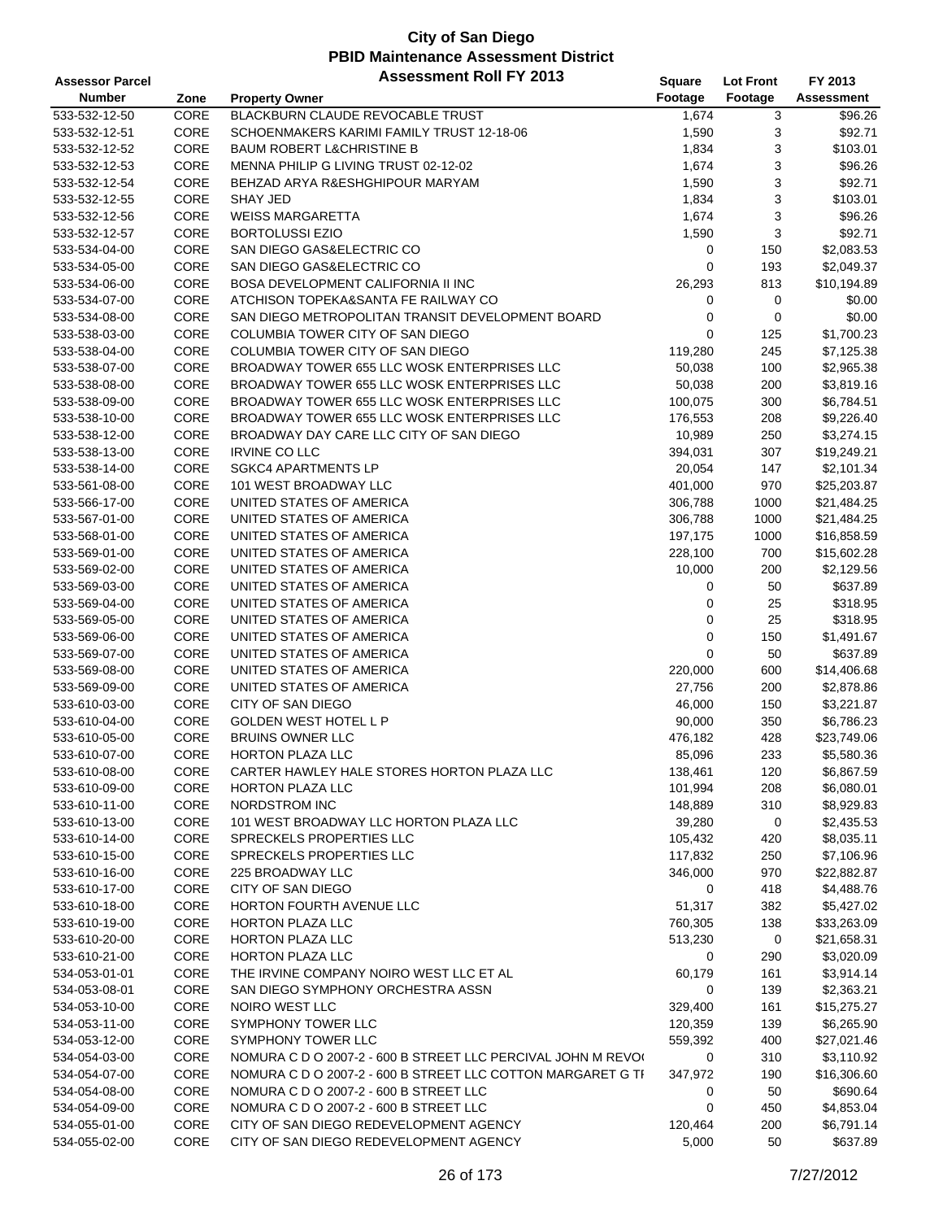| <b>Assessor Parcel</b> |      | <b>Assessment Roll FY 2013</b>                               | Square      | <b>Lot Front</b> | FY 2013           |
|------------------------|------|--------------------------------------------------------------|-------------|------------------|-------------------|
| <b>Number</b>          | Zone | <b>Property Owner</b>                                        | Footage     | Footage          | <b>Assessment</b> |
| 533-532-12-50          | CORE | BLACKBURN CLAUDE REVOCABLE TRUST                             | 1,674       | 3                | \$96.26           |
| 533-532-12-51          | CORE | SCHOENMAKERS KARIMI FAMILY TRUST 12-18-06                    | 1,590       | 3                | \$92.71           |
| 533-532-12-52          | CORE | <b>BAUM ROBERT L&amp;CHRISTINE B</b>                         | 1,834       | 3                | \$103.01          |
| 533-532-12-53          | CORE | MENNA PHILIP G LIVING TRUST 02-12-02                         | 1,674       | 3                | \$96.26           |
| 533-532-12-54          | CORE | BEHZAD ARYA R&ESHGHIPOUR MARYAM                              | 1,590       | 3                | \$92.71           |
| 533-532-12-55          | CORE | <b>SHAY JED</b>                                              | 1,834       | 3                | \$103.01          |
| 533-532-12-56          | CORE | <b>WEISS MARGARETTA</b>                                      | 1,674       | 3                | \$96.26           |
| 533-532-12-57          | CORE | <b>BORTOLUSSI EZIO</b>                                       | 1,590       | 3                | \$92.71           |
| 533-534-04-00          | CORE | SAN DIEGO GAS&ELECTRIC CO                                    | 0           | 150              | \$2,083.53        |
| 533-534-05-00          | CORE | SAN DIEGO GAS&ELECTRIC CO                                    | 0           | 193              | \$2,049.37        |
| 533-534-06-00          | CORE | <b>BOSA DEVELOPMENT CALIFORNIA II INC</b>                    | 26,293      | 813              | \$10,194.89       |
| 533-534-07-00          | CORE | ATCHISON TOPEKA&SANTA FE RAILWAY CO                          | 0           | $\pmb{0}$        | \$0.00            |
| 533-534-08-00          | CORE | SAN DIEGO METROPOLITAN TRANSIT DEVELOPMENT BOARD             | 0           | $\pmb{0}$        | \$0.00            |
| 533-538-03-00          | CORE | COLUMBIA TOWER CITY OF SAN DIEGO                             | 0           | 125              | \$1,700.23        |
| 533-538-04-00          | CORE | COLUMBIA TOWER CITY OF SAN DIEGO                             | 119,280     | 245              | \$7,125.38        |
| 533-538-07-00          | CORE | BROADWAY TOWER 655 LLC WOSK ENTERPRISES LLC                  | 50,038      | 100              | \$2,965.38        |
| 533-538-08-00          | CORE | BROADWAY TOWER 655 LLC WOSK ENTERPRISES LLC                  | 50,038      | 200              | \$3,819.16        |
| 533-538-09-00          | CORE | BROADWAY TOWER 655 LLC WOSK ENTERPRISES LLC                  | 100,075     | 300              | \$6,784.51        |
| 533-538-10-00          | CORE | BROADWAY TOWER 655 LLC WOSK ENTERPRISES LLC                  | 176,553     | 208              | \$9,226.40        |
| 533-538-12-00          | CORE | BROADWAY DAY CARE LLC CITY OF SAN DIEGO                      | 10,989      | 250              | \$3,274.15        |
| 533-538-13-00          | CORE | <b>IRVINE CO LLC</b>                                         | 394,031     | 307              | \$19,249.21       |
| 533-538-14-00          | CORE | <b>SGKC4 APARTMENTS LP</b>                                   | 20,054      | 147              | \$2,101.34        |
| 533-561-08-00          | CORE | 101 WEST BROADWAY LLC                                        | 401,000     | 970              | \$25,203.87       |
| 533-566-17-00          | CORE | UNITED STATES OF AMERICA                                     | 306,788     | 1000             | \$21,484.25       |
| 533-567-01-00          | CORE | UNITED STATES OF AMERICA                                     | 306,788     | 1000             | \$21,484.25       |
| 533-568-01-00          | CORE | UNITED STATES OF AMERICA                                     | 197,175     | 1000             | \$16,858.59       |
| 533-569-01-00          | CORE | UNITED STATES OF AMERICA                                     | 228,100     | 700              | \$15,602.28       |
| 533-569-02-00          | CORE | UNITED STATES OF AMERICA                                     | 10,000      | 200              | \$2,129.56        |
| 533-569-03-00          | CORE | UNITED STATES OF AMERICA                                     | 0           | 50               | \$637.89          |
| 533-569-04-00          | CORE | UNITED STATES OF AMERICA                                     | 0           | 25               | \$318.95          |
| 533-569-05-00          | CORE | UNITED STATES OF AMERICA                                     | $\mathbf 0$ | 25               | \$318.95          |
| 533-569-06-00          | CORE | UNITED STATES OF AMERICA                                     | 0           | 150              | \$1,491.67        |
| 533-569-07-00          | CORE | UNITED STATES OF AMERICA                                     | 0           | 50               | \$637.89          |
| 533-569-08-00          | CORE | UNITED STATES OF AMERICA                                     | 220,000     | 600              | \$14,406.68       |
| 533-569-09-00          | CORE | UNITED STATES OF AMERICA                                     | 27,756      | 200              | \$2,878.86        |
| 533-610-03-00          | CORE | CITY OF SAN DIEGO                                            | 46,000      | 150              | \$3,221.87        |
| 533-610-04-00          | CORE | <b>GOLDEN WEST HOTEL L P</b>                                 | 90,000      | 350              | \$6,786.23        |
| 533-610-05-00          | CORE | <b>BRUINS OWNER LLC</b>                                      | 476,182     | 428              | \$23,749.06       |
| 533-610-07-00          | CORE | <b>HORTON PLAZA LLC</b>                                      | 85,096      | 233              | \$5,580.36        |
| 533-610-08-00          | CORE | CARTER HAWLEY HALE STORES HORTON PLAZA LLC                   | 138,461     | 120              | \$6,867.59        |
| 533-610-09-00          | CORE | HORTON PLAZA LLC                                             | 101,994     | 208              | \$6,080.01        |
| 533-610-11-00          | CORE | NORDSTROM INC                                                | 148,889     | 310              | \$8,929.83        |
| 533-610-13-00          | CORE | 101 WEST BROADWAY LLC HORTON PLAZA LLC                       | 39,280      | 0                | \$2,435.53        |
| 533-610-14-00          | CORE | SPRECKELS PROPERTIES LLC                                     | 105,432     | 420              | \$8,035.11        |
| 533-610-15-00          | CORE | SPRECKELS PROPERTIES LLC                                     | 117,832     | 250              | \$7,106.96        |
| 533-610-16-00          | CORE | 225 BROADWAY LLC                                             | 346,000     | 970              | \$22,882.87       |
| 533-610-17-00          | CORE | CITY OF SAN DIEGO                                            | 0           | 418              | \$4,488.76        |
| 533-610-18-00          | CORE | HORTON FOURTH AVENUE LLC                                     | 51,317      | 382              | \$5,427.02        |
| 533-610-19-00          | CORE | HORTON PLAZA LLC                                             | 760,305     | 138              | \$33,263.09       |
| 533-610-20-00          | CORE | <b>HORTON PLAZA LLC</b>                                      | 513,230     | $\mathbf 0$      | \$21,658.31       |
| 533-610-21-00          | CORE | HORTON PLAZA LLC                                             | 0           | 290              | \$3,020.09        |
| 534-053-01-01          | CORE | THE IRVINE COMPANY NOIRO WEST LLC ET AL                      | 60,179      | 161              | \$3,914.14        |
| 534-053-08-01          | CORE | SAN DIEGO SYMPHONY ORCHESTRA ASSN                            | 0           | 139              | \$2,363.21        |
| 534-053-10-00          | CORE | NOIRO WEST LLC                                               | 329,400     | 161              | \$15,275.27       |
| 534-053-11-00          | CORE | SYMPHONY TOWER LLC                                           | 120,359     | 139              | \$6,265.90        |
| 534-053-12-00          | CORE | SYMPHONY TOWER LLC                                           | 559,392     | 400              | \$27,021.46       |
| 534-054-03-00          | CORE | NOMURA C D O 2007-2 - 600 B STREET LLC PERCIVAL JOHN M REVO( | 0           | 310              | \$3,110.92        |
| 534-054-07-00          | CORE | NOMURA C D O 2007-2 - 600 B STREET LLC COTTON MARGARET G TI  | 347,972     | 190              | \$16,306.60       |
| 534-054-08-00          | CORE | NOMURA C D O 2007-2 - 600 B STREET LLC                       | 0           | 50               | \$690.64          |
| 534-054-09-00          | CORE | NOMURA C D O 2007-2 - 600 B STREET LLC                       | 0           | 450              | \$4,853.04        |
| 534-055-01-00          | CORE | CITY OF SAN DIEGO REDEVELOPMENT AGENCY                       | 120,464     | 200              | \$6,791.14        |
| 534-055-02-00          | CORE | CITY OF SAN DIEGO REDEVELOPMENT AGENCY                       | 5,000       | 50               | \$637.89          |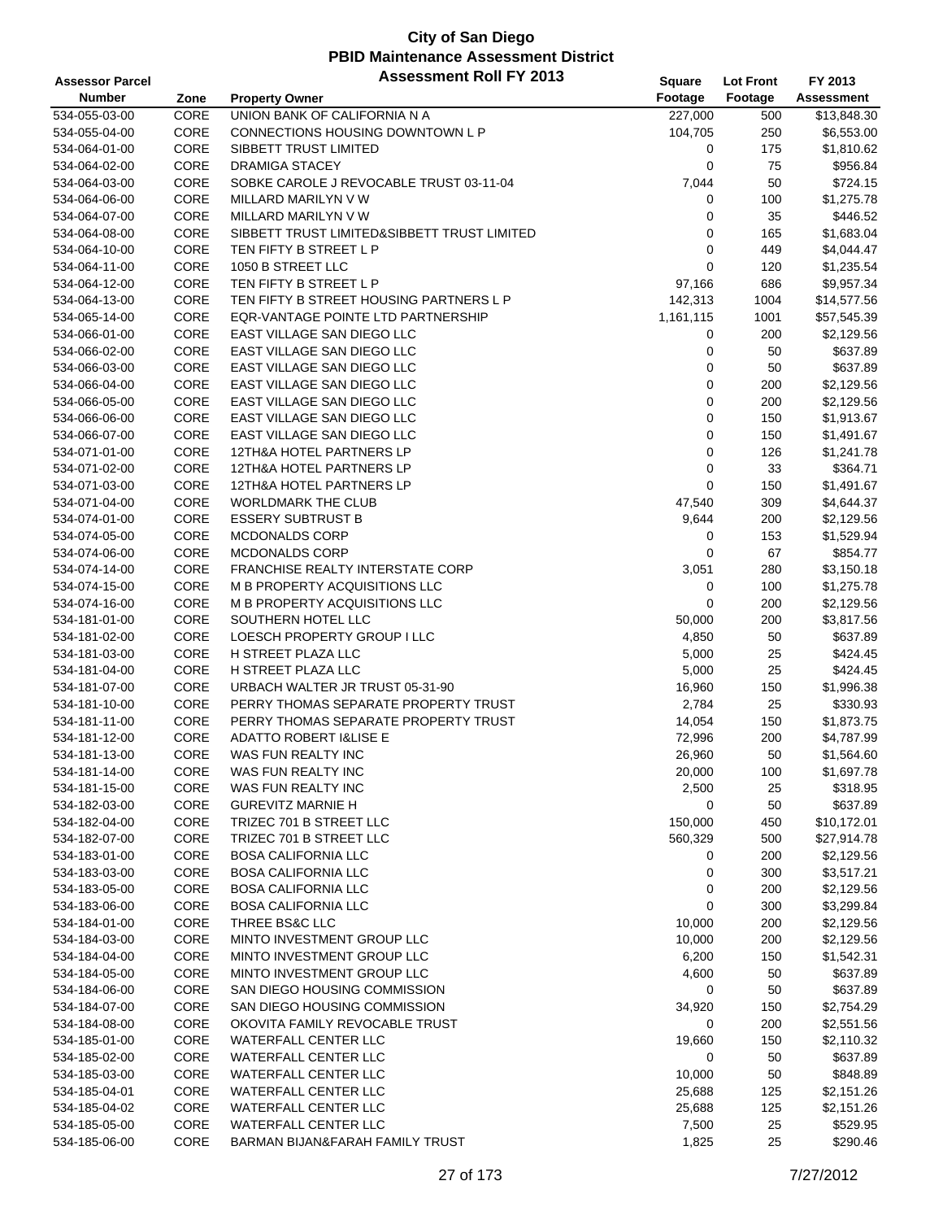| <b>Assessor Parcel</b>         |              | <b>Assessment Roll FY 2013</b>                             | Square      | <b>Lot Front</b> | FY 2013           |
|--------------------------------|--------------|------------------------------------------------------------|-------------|------------------|-------------------|
| <b>Number</b>                  | Zone         | <b>Property Owner</b>                                      | Footage     | Footage          | <b>Assessment</b> |
| 534-055-03-00                  | CORE         | UNION BANK OF CALIFORNIA N A                               | 227,000     | 500              | \$13,848.30       |
| 534-055-04-00                  | CORE         | CONNECTIONS HOUSING DOWNTOWN L P                           | 104,705     | 250              | \$6,553.00        |
| 534-064-01-00                  | CORE         | SIBBETT TRUST LIMITED                                      | 0           | 175              | \$1,810.62        |
| 534-064-02-00                  | CORE         | <b>DRAMIGA STACEY</b>                                      | 0           | 75               | \$956.84          |
| 534-064-03-00                  | CORE         | SOBKE CAROLE J REVOCABLE TRUST 03-11-04                    | 7,044       | 50               | \$724.15          |
| 534-064-06-00                  | CORE         | MILLARD MARILYN V W                                        | 0           | 100              | \$1,275.78        |
| 534-064-07-00                  | CORE         | MILLARD MARILYN V W                                        | 0           | 35               | \$446.52          |
| 534-064-08-00                  | CORE         | SIBBETT TRUST LIMITED&SIBBETT TRUST LIMITED                | $\mathbf 0$ | 165              | \$1,683.04        |
| 534-064-10-00                  | CORE         | TEN FIFTY B STREET L P                                     | $\mathbf 0$ | 449              | \$4,044.47        |
| 534-064-11-00                  | CORE         | 1050 B STREET LLC                                          | $\mathbf 0$ | 120              | \$1,235.54        |
| 534-064-12-00                  | CORE         | TEN FIFTY B STREET L P                                     | 97,166      | 686              | \$9,957.34        |
| 534-064-13-00                  | CORE         | TEN FIFTY B STREET HOUSING PARTNERS L P                    | 142,313     | 1004             | \$14,577.56       |
| 534-065-14-00                  | CORE         | EQR-VANTAGE POINTE LTD PARTNERSHIP                         | 1,161,115   | 1001             | \$57,545.39       |
| 534-066-01-00                  | CORE         | EAST VILLAGE SAN DIEGO LLC                                 | 0           | 200              | \$2,129.56        |
| 534-066-02-00                  | CORE         | EAST VILLAGE SAN DIEGO LLC                                 | 0           | 50               | \$637.89          |
| 534-066-03-00                  | CORE         | EAST VILLAGE SAN DIEGO LLC                                 | 0           | 50               | \$637.89          |
| 534-066-04-00                  | CORE         | EAST VILLAGE SAN DIEGO LLC                                 | $\mathbf 0$ | 200              | \$2,129.56        |
| 534-066-05-00                  | CORE         | EAST VILLAGE SAN DIEGO LLC                                 | 0           | 200              | \$2,129.56        |
| 534-066-06-00                  | CORE         | EAST VILLAGE SAN DIEGO LLC                                 | $\mathbf 0$ | 150              | \$1,913.67        |
| 534-066-07-00                  | CORE         | EAST VILLAGE SAN DIEGO LLC                                 | $\mathbf 0$ | 150              | \$1,491.67        |
| 534-071-01-00                  | CORE         | 12TH&A HOTEL PARTNERS LP                                   | $\mathbf 0$ | 126              | \$1,241.78        |
| 534-071-02-00                  | CORE         | 12TH&A HOTEL PARTNERS LP                                   | $\pmb{0}$   | 33               | \$364.71          |
| 534-071-03-00                  | CORE         | 12TH&A HOTEL PARTNERS LP                                   | $\mathbf 0$ | 150              | \$1,491.67        |
| 534-071-04-00                  | CORE         | <b>WORLDMARK THE CLUB</b>                                  | 47,540      | 309              | \$4,644.37        |
| 534-074-01-00                  | CORE         | <b>ESSERY SUBTRUST B</b>                                   | 9,644       | 200              | \$2,129.56        |
| 534-074-05-00                  | CORE         | <b>MCDONALDS CORP</b>                                      | 0           | 153              | \$1,529.94        |
| 534-074-06-00                  | CORE         | MCDONALDS CORP                                             | 0           | 67               | \$854.77          |
| 534-074-14-00                  | CORE         | <b>FRANCHISE REALTY INTERSTATE CORP</b>                    | 3,051       | 280              | \$3,150.18        |
| 534-074-15-00                  | CORE         | M B PROPERTY ACQUISITIONS LLC                              | 0           | 100              | \$1,275.78        |
| 534-074-16-00                  | CORE         | M B PROPERTY ACQUISITIONS LLC                              | $\mathbf 0$ | 200              | \$2,129.56        |
| 534-181-01-00                  | CORE         | SOUTHERN HOTEL LLC                                         | 50,000      | 200              | \$3,817.56        |
| 534-181-02-00                  | CORE         | LOESCH PROPERTY GROUP I LLC                                | 4,850       | 50               | \$637.89          |
| 534-181-03-00                  | CORE         | H STREET PLAZA LLC                                         | 5,000       | 25               | \$424.45          |
| 534-181-04-00                  | CORE         | H STREET PLAZA LLC                                         | 5,000       | 25               | \$424.45          |
| 534-181-07-00                  | CORE         | URBACH WALTER JR TRUST 05-31-90                            | 16,960      | 150              | \$1,996.38        |
| 534-181-10-00                  | CORE         | PERRY THOMAS SEPARATE PROPERTY TRUST                       | 2,784       | 25               | \$330.93          |
| 534-181-11-00                  | CORE         | PERRY THOMAS SEPARATE PROPERTY TRUST                       | 14,054      | 150              | \$1,873.75        |
| 534-181-12-00                  | CORE         | <b>ADATTO ROBERT I&amp;LISE E</b>                          | 72,996      | 200              | \$4,787.99        |
| 534-181-13-00                  | CORE         | WAS FUN REALTY INC                                         | 26,960      | 50               | \$1,564.60        |
| 534-181-14-00                  | CORE         | WAS FUN REALTY INC                                         | 20,000      | 100              | \$1,697.78        |
| 534-181-15-00                  | CORE         | WAS FUN REALTY INC                                         | 2,500       | 25               | \$318.95          |
| 534-182-03-00                  | CORE         | <b>GUREVITZ MARNIE H</b>                                   | 0           | 50               | \$637.89          |
| 534-182-04-00                  | CORE         | TRIZEC 701 B STREET LLC                                    | 150,000     | 450              | \$10,172.01       |
| 534-182-07-00                  | CORE         | TRIZEC 701 B STREET LLC                                    | 560,329     | 500              | \$27,914.78       |
| 534-183-01-00                  | CORE         | <b>BOSA CALIFORNIA LLC</b>                                 | 0           | 200              | \$2,129.56        |
| 534-183-03-00                  | CORE         | <b>BOSA CALIFORNIA LLC</b>                                 | 0           | 300              | \$3,517.21        |
| 534-183-05-00                  | CORE         | <b>BOSA CALIFORNIA LLC</b>                                 | 0           | 200              | \$2,129.56        |
| 534-183-06-00                  | CORE         | <b>BOSA CALIFORNIA LLC</b>                                 | 0           | 300              | \$3,299.84        |
| 534-184-01-00                  | CORE         | THREE BS&C LLC                                             | 10,000      | 200              | \$2,129.56        |
| 534-184-03-00                  | CORE         | MINTO INVESTMENT GROUP LLC                                 | 10,000      | 200              | \$2,129.56        |
| 534-184-04-00                  | CORE         | MINTO INVESTMENT GROUP LLC                                 | 6,200       | 150              | \$1,542.31        |
| 534-184-05-00                  | CORE         | MINTO INVESTMENT GROUP LLC<br>SAN DIEGO HOUSING COMMISSION | 4,600       | 50               | \$637.89          |
| 534-184-06-00                  | CORE         |                                                            | 0           | 50               | \$637.89          |
| 534-184-07-00                  | CORE         | SAN DIEGO HOUSING COMMISSION                               | 34,920      | 150              | \$2,754.29        |
| 534-184-08-00<br>534-185-01-00 | CORE<br>CORE | OKOVITA FAMILY REVOCABLE TRUST<br>WATERFALL CENTER LLC     | 0           | 200<br>150       | \$2,551.56        |
|                                |              |                                                            | 19,660      |                  | \$2,110.32        |
| 534-185-02-00                  | CORE         | WATERFALL CENTER LLC                                       | 0           | 50               | \$637.89          |
| 534-185-03-00                  | CORE         | WATERFALL CENTER LLC                                       | 10,000      | 50               | \$848.89          |
| 534-185-04-01                  | CORE         | <b>WATERFALL CENTER LLC</b>                                | 25,688      | 125              | \$2,151.26        |
| 534-185-04-02                  | CORE         | WATERFALL CENTER LLC                                       | 25,688      | 125              | \$2,151.26        |
| 534-185-05-00                  | CORE         | <b>WATERFALL CENTER LLC</b>                                | 7,500       | 25               | \$529.95          |
| 534-185-06-00                  | CORE         | BARMAN BIJAN&FARAH FAMILY TRUST                            | 1,825       | 25               | \$290.46          |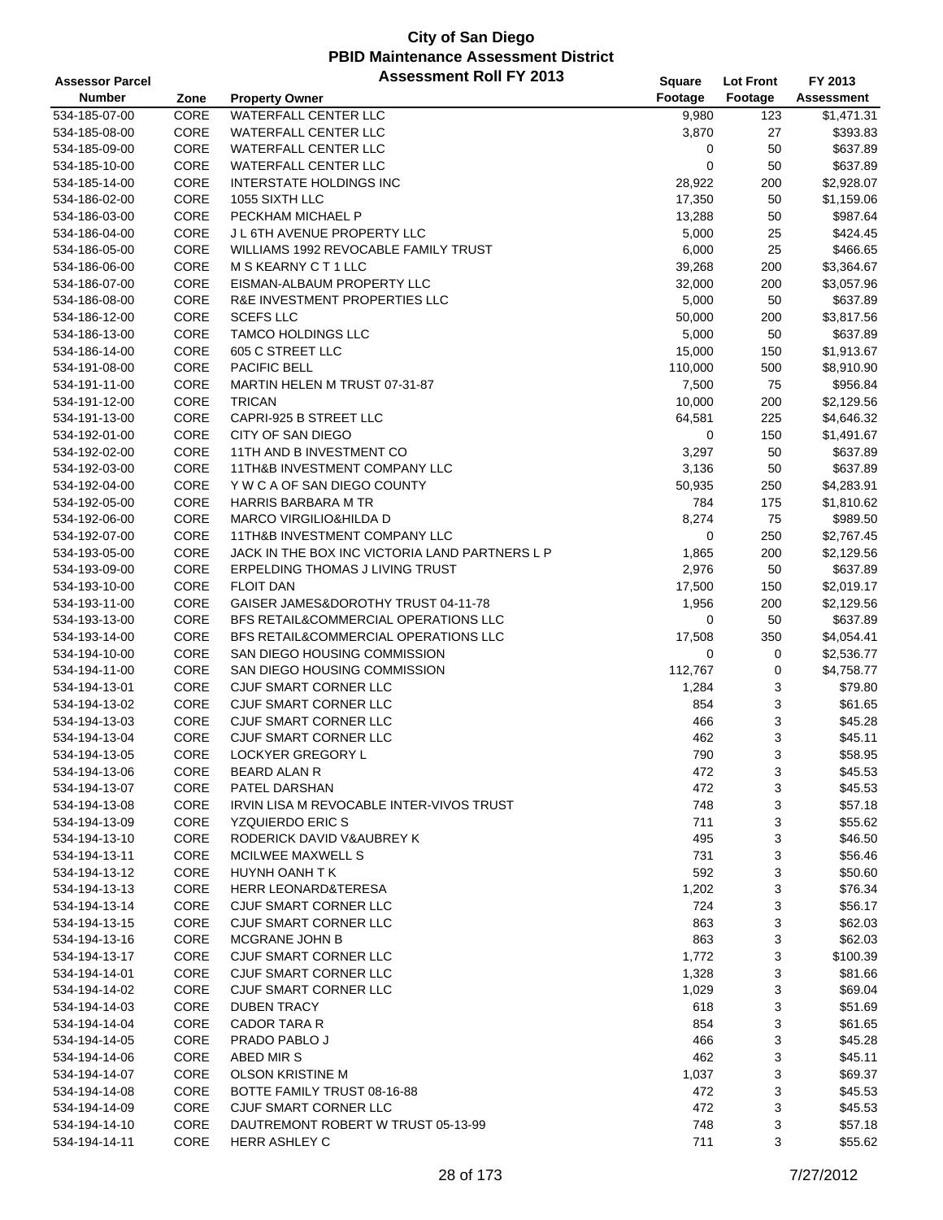| <b>Assessor Parcel</b> |      | <b>Assessment Roll FY 2013</b>                 | <b>Square</b> | <b>Lot Front</b> | FY 2013           |
|------------------------|------|------------------------------------------------|---------------|------------------|-------------------|
| <b>Number</b>          | Zone | <b>Property Owner</b>                          | Footage       | Footage          | <b>Assessment</b> |
| 534-185-07-00          | CORE | <b>WATERFALL CENTER LLC</b>                    | 9,980         | 123              | \$1,471.31        |
| 534-185-08-00          | CORE | WATERFALL CENTER LLC                           | 3,870         | 27               | \$393.83          |
| 534-185-09-00          | CORE | WATERFALL CENTER LLC                           | 0             | 50               | \$637.89          |
| 534-185-10-00          | CORE | WATERFALL CENTER LLC                           | 0             | 50               | \$637.89          |
| 534-185-14-00          | CORE | <b>INTERSTATE HOLDINGS INC</b>                 | 28,922        | 200              | \$2,928.07        |
| 534-186-02-00          | CORE | 1055 SIXTH LLC                                 | 17,350        | 50               | \$1,159.06        |
| 534-186-03-00          | CORE | PECKHAM MICHAEL P                              | 13,288        | 50               | \$987.64          |
| 534-186-04-00          | CORE | <b>J L 6TH AVENUE PROPERTY LLC</b>             | 5,000         | 25               | \$424.45          |
| 534-186-05-00          | CORE | WILLIAMS 1992 REVOCABLE FAMILY TRUST           | 6,000         | 25               | \$466.65          |
| 534-186-06-00          | CORE | M S KEARNY C T 1 LLC                           | 39,268        | 200              | \$3,364.67        |
| 534-186-07-00          | CORE | EISMAN-ALBAUM PROPERTY LLC                     | 32,000        | 200              | \$3,057.96        |
| 534-186-08-00          | CORE | R&E INVESTMENT PROPERTIES LLC                  | 5,000         | 50               | \$637.89          |
| 534-186-12-00          | CORE | <b>SCEFS LLC</b>                               | 50,000        | 200              | \$3,817.56        |
| 534-186-13-00          | CORE | <b>TAMCO HOLDINGS LLC</b>                      | 5,000         | 50               | \$637.89          |
| 534-186-14-00          | CORE | 605 C STREET LLC                               | 15,000        | 150              | \$1,913.67        |
| 534-191-08-00          | CORE | PACIFIC BELL                                   | 110,000       | 500              | \$8,910.90        |
| 534-191-11-00          | CORE | MARTIN HELEN M TRUST 07-31-87                  | 7,500         | 75               | \$956.84          |
| 534-191-12-00          | CORE | <b>TRICAN</b>                                  | 10,000        | 200              | \$2,129.56        |
| 534-191-13-00          | CORE | CAPRI-925 B STREET LLC                         | 64,581        | 225              | \$4,646.32        |
| 534-192-01-00          | CORE | <b>CITY OF SAN DIEGO</b>                       | 0             | 150              | \$1,491.67        |
| 534-192-02-00          | CORE | 11TH AND B INVESTMENT CO                       | 3,297         | 50               | \$637.89          |
| 534-192-03-00          | CORE | 11TH&B INVESTMENT COMPANY LLC                  | 3,136         | 50               | \$637.89          |
| 534-192-04-00          | CORE | Y W C A OF SAN DIEGO COUNTY                    | 50,935        | 250              | \$4,283.91        |
| 534-192-05-00          | CORE | <b>HARRIS BARBARA M TR</b>                     | 784           | 175              | \$1,810.62        |
| 534-192-06-00          | CORE | <b>MARCO VIRGILIO&amp;HILDA D</b>              | 8,274         | 75               | \$989.50          |
| 534-192-07-00          | CORE | 11TH&B INVESTMENT COMPANY LLC                  | 0             | 250              | \$2,767.45        |
| 534-193-05-00          | CORE | JACK IN THE BOX INC VICTORIA LAND PARTNERS L P | 1,865         | 200              | \$2,129.56        |
| 534-193-09-00          | CORE | ERPELDING THOMAS J LIVING TRUST                | 2,976         | 50               | \$637.89          |
| 534-193-10-00          | CORE | <b>FLOIT DAN</b>                               | 17,500        | 150              | \$2,019.17        |
| 534-193-11-00          | CORE | GAISER JAMES&DOROTHY TRUST 04-11-78            | 1,956         | 200              | \$2,129.56        |
| 534-193-13-00          | CORE | BFS RETAIL&COMMERCIAL OPERATIONS LLC           | 0             | 50               | \$637.89          |
| 534-193-14-00          | CORE | BFS RETAIL&COMMERCIAL OPERATIONS LLC           | 17,508        | 350              | \$4,054.41        |
| 534-194-10-00          | CORE | SAN DIEGO HOUSING COMMISSION                   | 0             | 0                | \$2,536.77        |
| 534-194-11-00          | CORE | SAN DIEGO HOUSING COMMISSION                   | 112,767       | 0                | \$4,758.77        |
| 534-194-13-01          | CORE | <b>CJUF SMART CORNER LLC</b>                   | 1,284         | 3                | \$79.80           |
| 534-194-13-02          | CORE | CJUF SMART CORNER LLC                          | 854           | 3                | \$61.65           |
| 534-194-13-03          | CORE | CJUF SMART CORNER LLC                          | 466           | 3                | \$45.28           |
| 534-194-13-04          | CORE | CJUF SMART CORNER LLC                          | 462           | 3                | \$45.11           |
| 534-194-13-05          | CORE | <b>LOCKYER GREGORY L</b>                       | 790           | 3                | \$58.95           |
| 534-194-13-06          | CORE | <b>BEARD ALAN R</b>                            | 472           | 3                | \$45.53           |
| 534-194-13-07          | CORE | PATEL DARSHAN                                  | 472           | 3                | \$45.53           |
| 534-194-13-08          | CORE | IRVIN LISA M REVOCABLE INTER-VIVOS TRUST       | 748           | 3                | \$57.18           |
| 534-194-13-09          | CORE | <b>YZQUIERDO ERIC S</b>                        | 711           | 3                | \$55.62           |
| 534-194-13-10          | CORE | RODERICK DAVID V& AUBREY K                     | 495           | 3                | \$46.50           |
| 534-194-13-11          | CORE | MCILWEE MAXWELL S                              | 731           | 3                | \$56.46           |
| 534-194-13-12          | CORE | HUYNH OANH T K                                 | 592           | 3                | \$50.60           |
| 534-194-13-13          | CORE | <b>HERR LEONARD&amp;TERESA</b>                 | 1,202         | 3                | \$76.34           |
| 534-194-13-14          | CORE | <b>CJUF SMART CORNER LLC</b>                   | 724           | 3                | \$56.17           |
| 534-194-13-15          | CORE | CJUF SMART CORNER LLC                          | 863           | 3                | \$62.03           |
| 534-194-13-16          | CORE | MCGRANE JOHN B                                 | 863           | 3                | \$62.03           |
| 534-194-13-17          | CORE | CJUF SMART CORNER LLC                          | 1,772         | 3                | \$100.39          |
| 534-194-14-01          | CORE | CJUF SMART CORNER LLC                          | 1,328         | 3                | \$81.66           |
| 534-194-14-02          | CORE | CJUF SMART CORNER LLC                          | 1,029         | 3                | \$69.04           |
| 534-194-14-03          | CORE | <b>DUBEN TRACY</b>                             | 618           | 3                | \$51.69           |
| 534-194-14-04          | CORE | <b>CADOR TARA R</b>                            | 854           | 3                | \$61.65           |
| 534-194-14-05          | CORE | PRADO PABLO J                                  | 466           | 3                | \$45.28           |
| 534-194-14-06          | CORE | ABED MIRS                                      | 462           | 3                | \$45.11           |
| 534-194-14-07          | CORE | <b>OLSON KRISTINE M</b>                        | 1,037         | 3                | \$69.37           |
| 534-194-14-08          | CORE | BOTTE FAMILY TRUST 08-16-88                    | 472           | 3                | \$45.53           |
| 534-194-14-09          | CORE | CJUF SMART CORNER LLC                          | 472           | 3                | \$45.53           |
| 534-194-14-10          | CORE | DAUTREMONT ROBERT W TRUST 05-13-99             | 748           | 3                | \$57.18           |
| 534-194-14-11          | CORE | HERR ASHLEY C                                  | 711           | 3                | \$55.62           |
|                        |      |                                                |               |                  |                   |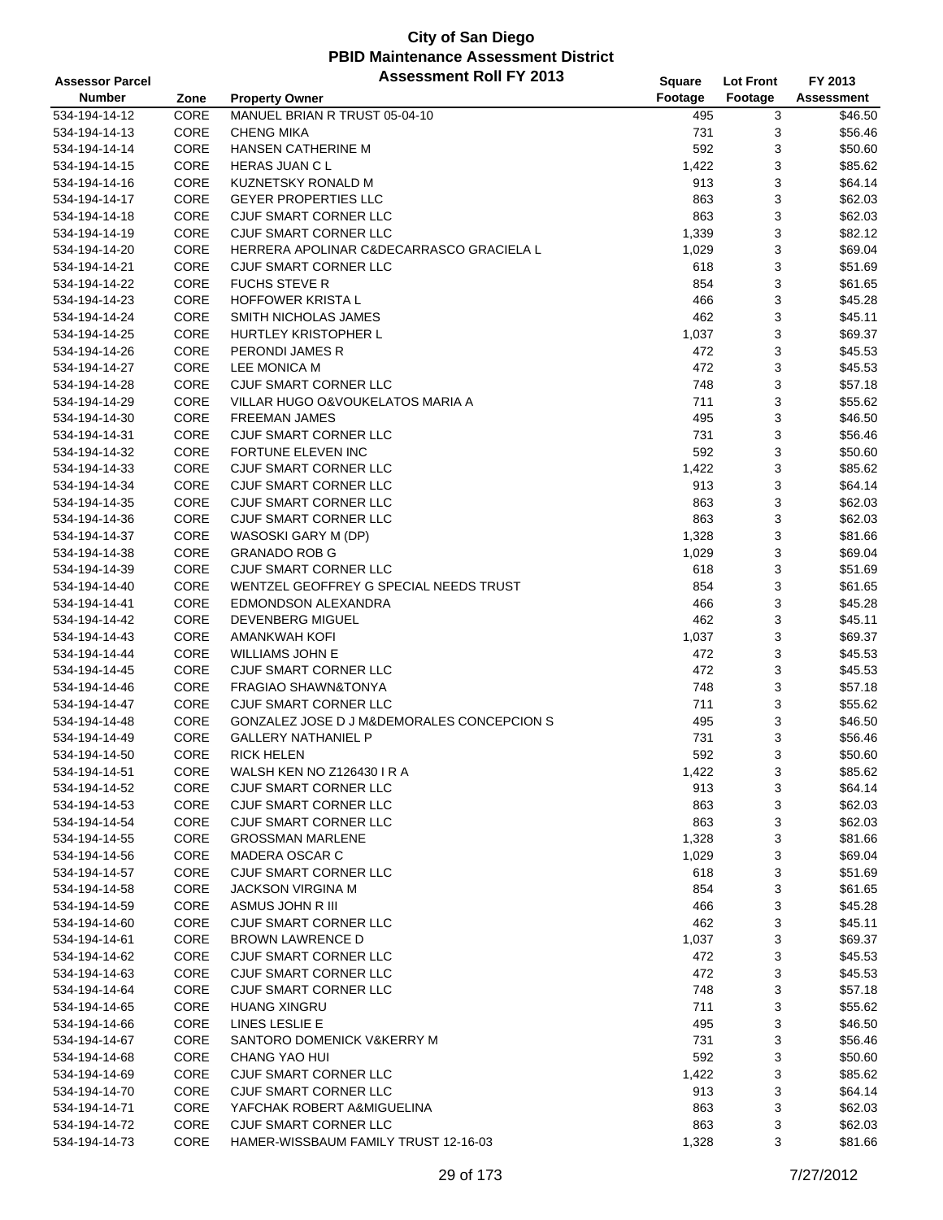| <b>Assessor Parcel</b>         |      | <b>Assessment Roll FY 2013</b>             | Square  | <b>Lot Front</b> | FY 2013           |
|--------------------------------|------|--------------------------------------------|---------|------------------|-------------------|
| <b>Number</b>                  | Zone | <b>Property Owner</b>                      | Footage | Footage          | <b>Assessment</b> |
| 534-194-14-12                  | CORE | MANUEL BRIAN R TRUST 05-04-10              | 495     | 3                | \$46.50           |
| 534-194-14-13                  | CORE | <b>CHENG MIKA</b>                          | 731     | 3                | \$56.46           |
| 534-194-14-14                  | CORE | <b>HANSEN CATHERINE M</b>                  | 592     | 3                | \$50.60           |
| 534-194-14-15                  | CORE | <b>HERAS JUAN CL</b>                       | 1,422   | 3                | \$85.62           |
| 534-194-14-16                  | CORE | KUZNETSKY RONALD M                         | 913     | 3                | \$64.14           |
| 534-194-14-17                  | CORE | <b>GEYER PROPERTIES LLC</b>                | 863     | 3                | \$62.03           |
| 534-194-14-18                  | CORE | CJUF SMART CORNER LLC                      | 863     | 3                | \$62.03           |
| 534-194-14-19                  | CORE | CJUF SMART CORNER LLC                      | 1,339   | 3                | \$82.12           |
| 534-194-14-20                  | CORE | HERRERA APOLINAR C&DECARRASCO GRACIELA L   | 1,029   | 3                | \$69.04           |
| 534-194-14-21                  | CORE | CJUF SMART CORNER LLC                      | 618     | 3                | \$51.69           |
| 534-194-14-22                  | CORE | <b>FUCHS STEVE R</b>                       | 854     | 3                | \$61.65           |
| 534-194-14-23                  | CORE | <b>HOFFOWER KRISTA L</b>                   | 466     | 3                | \$45.28           |
|                                | CORE | SMITH NICHOLAS JAMES                       | 462     | 3                | \$45.11           |
| 534-194-14-24                  | CORE |                                            |         | 3                | \$69.37           |
| 534-194-14-25                  |      | HURTLEY KRISTOPHER L                       | 1,037   |                  |                   |
| 534-194-14-26                  | CORE | PERONDI JAMES R                            | 472     | 3                | \$45.53           |
| 534-194-14-27                  | CORE | <b>LEE MONICA M</b>                        | 472     | 3                | \$45.53           |
| 534-194-14-28                  | CORE | CJUF SMART CORNER LLC                      | 748     | 3                | \$57.18           |
| 534-194-14-29                  | CORE | VILLAR HUGO O&VOUKELATOS MARIA A           | 711     | 3                | \$55.62           |
| 534-194-14-30                  | CORE | <b>FREEMAN JAMES</b>                       | 495     | 3                | \$46.50           |
| 534-194-14-31                  | CORE | CJUF SMART CORNER LLC                      | 731     | 3                | \$56.46           |
| 534-194-14-32                  | CORE | <b>FORTUNE ELEVEN INC</b>                  | 592     | 3                | \$50.60           |
| 534-194-14-33                  | CORE | CJUF SMART CORNER LLC                      | 1,422   | 3                | \$85.62           |
| 534-194-14-34                  | CORE | CJUF SMART CORNER LLC                      | 913     | 3                | \$64.14           |
| 534-194-14-35                  | CORE | CJUF SMART CORNER LLC                      | 863     | 3                | \$62.03           |
| 534-194-14-36                  | CORE | CJUF SMART CORNER LLC                      | 863     | 3                | \$62.03           |
| 534-194-14-37                  | CORE | WASOSKI GARY M (DP)                        | 1,328   | 3                | \$81.66           |
| 534-194-14-38                  | CORE | <b>GRANADO ROB G</b>                       | 1,029   | 3                | \$69.04           |
| 534-194-14-39                  | CORE | CJUF SMART CORNER LLC                      | 618     | 3                | \$51.69           |
| 534-194-14-40                  | CORE | WENTZEL GEOFFREY G SPECIAL NEEDS TRUST     | 854     | 3                | \$61.65           |
| 534-194-14-41                  | CORE | EDMONDSON ALEXANDRA                        | 466     | 3                | \$45.28           |
| 534-194-14-42                  | CORE | <b>DEVENBERG MIGUEL</b>                    | 462     | 3                | \$45.11           |
| 534-194-14-43                  | CORE | <b>AMANKWAH KOFI</b>                       | 1,037   | 3                | \$69.37           |
| 534-194-14-44                  | CORE | <b>WILLIAMS JOHN E</b>                     | 472     | 3                | \$45.53           |
| 534-194-14-45                  | CORE | CJUF SMART CORNER LLC                      | 472     | 3                | \$45.53           |
| 534-194-14-46                  | CORE | <b>FRAGIAO SHAWN&amp;TONYA</b>             | 748     | 3                | \$57.18           |
| 534-194-14-47                  | CORE | CJUF SMART CORNER LLC                      | 711     | 3                | \$55.62           |
| 534-194-14-48                  | CORE | GONZALEZ JOSE D J M&DEMORALES CONCEPCION S | 495     | 3                | \$46.50           |
| 534-194-14-49                  | CORE | <b>GALLERY NATHANIEL P</b>                 | 731     | 3                | \$56.46           |
| 534-194-14-50                  | CORE | <b>RICK HELEN</b>                          | 592     | 3                | \$50.60           |
| 534-194-14-51                  | CORE | WALSH KEN NO Z126430 I R A                 | 1,422   | 3                | \$85.62           |
| 534-194-14-52                  | CORE | CJUF SMART CORNER LLC                      | 913     | 3                | \$64.14           |
| 534-194-14-53                  | CORE | CJUF SMART CORNER LLC                      | 863     | 3                | \$62.03           |
| 534-194-14-54                  | CORE | CJUF SMART CORNER LLC                      | 863     | 3                | \$62.03           |
| 534-194-14-55                  | CORE | <b>GROSSMAN MARLENE</b>                    | 1,328   | 3                | \$81.66           |
| 534-194-14-56                  | CORE | MADERA OSCAR C                             | 1,029   | 3                | \$69.04           |
| 534-194-14-57                  | CORE | CJUF SMART CORNER LLC                      | 618     | 3                | \$51.69           |
| 534-194-14-58                  | CORE | <b>JACKSON VIRGINA M</b>                   | 854     | 3                | \$61.65           |
| 534-194-14-59                  | CORE | ASMUS JOHN R III                           | 466     | 3                | \$45.28           |
| 534-194-14-60                  | CORE | CJUF SMART CORNER LLC                      | 462     | 3                | \$45.11           |
|                                |      |                                            |         |                  |                   |
| 534-194-14-61<br>534-194-14-62 | CORE | <b>BROWN LAWRENCE D</b>                    | 1,037   | 3                | \$69.37           |
|                                | CORE | CJUF SMART CORNER LLC                      | 472     | 3                | \$45.53           |
| 534-194-14-63                  | CORE | CJUF SMART CORNER LLC                      | 472     | 3                | \$45.53           |
| 534-194-14-64                  | CORE | CJUF SMART CORNER LLC                      | 748     | 3                | \$57.18           |
| 534-194-14-65                  | CORE | <b>HUANG XINGRU</b>                        | 711     | 3                | \$55.62           |
| 534-194-14-66                  | CORE | LINES LESLIE E                             | 495     | 3                | \$46.50           |
| 534-194-14-67                  | CORE | SANTORO DOMENICK V&KERRY M                 | 731     | 3                | \$56.46           |
| 534-194-14-68                  | CORE | CHANG YAO HUI                              | 592     | 3                | \$50.60           |
| 534-194-14-69                  | CORE | CJUF SMART CORNER LLC                      | 1,422   | 3                | \$85.62           |
| 534-194-14-70                  | CORE | CJUF SMART CORNER LLC                      | 913     | 3                | \$64.14           |
| 534-194-14-71                  | CORE | YAFCHAK ROBERT A&MIGUELINA                 | 863     | 3                | \$62.03           |
| 534-194-14-72                  | CORE | CJUF SMART CORNER LLC                      | 863     | 3                | \$62.03           |
| 534-194-14-73                  | CORE | HAMER-WISSBAUM FAMILY TRUST 12-16-03       | 1,328   | 3                | \$81.66           |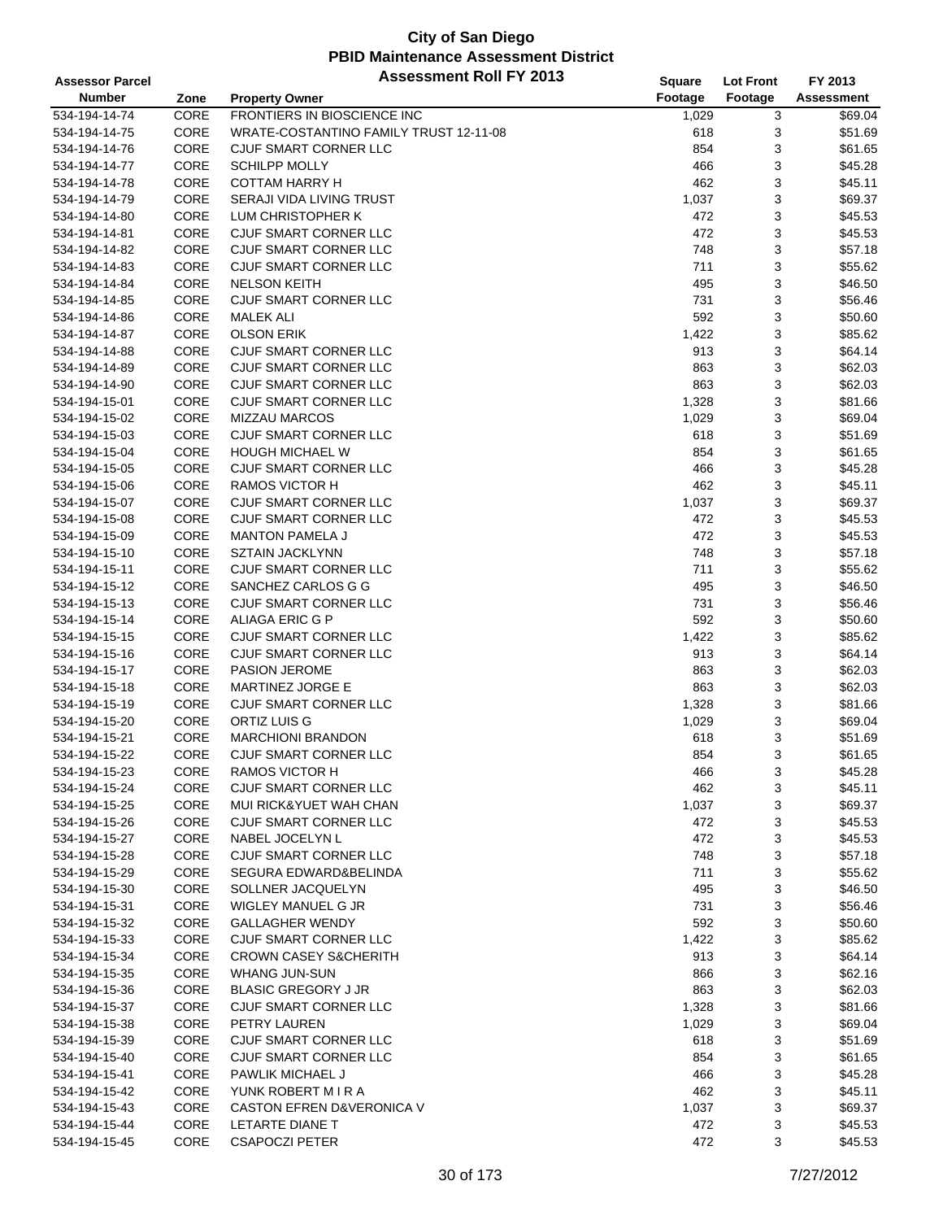| <b>Assessor Parcel</b> |      | <b>Assessment Roll FY 2013</b>           | Square  | <b>Lot Front</b> | FY 2013           |
|------------------------|------|------------------------------------------|---------|------------------|-------------------|
| <b>Number</b>          | Zone | <b>Property Owner</b>                    | Footage | Footage          | <b>Assessment</b> |
| 534-194-14-74          | CORE | FRONTIERS IN BIOSCIENCE INC              | 1,029   | 3                | \$69.04           |
| 534-194-14-75          | CORE | WRATE-COSTANTINO FAMILY TRUST 12-11-08   | 618     | 3                | \$51.69           |
| 534-194-14-76          | CORE | CJUF SMART CORNER LLC                    | 854     | 3                | \$61.65           |
| 534-194-14-77          | CORE | <b>SCHILPP MOLLY</b>                     | 466     | 3                | \$45.28           |
| 534-194-14-78          | CORE | <b>COTTAM HARRY H</b>                    | 462     | 3                | \$45.11           |
| 534-194-14-79          | CORE | SERAJI VIDA LIVING TRUST                 | 1,037   | 3                | \$69.37           |
|                        | CORE | LUM CHRISTOPHER K                        | 472     | 3                | \$45.53           |
| 534-194-14-80          |      |                                          |         |                  |                   |
| 534-194-14-81          | CORE | CJUF SMART CORNER LLC                    | 472     | 3                | \$45.53           |
| 534-194-14-82          | CORE | CJUF SMART CORNER LLC                    | 748     | 3                | \$57.18           |
| 534-194-14-83          | CORE | CJUF SMART CORNER LLC                    | 711     | 3                | \$55.62           |
| 534-194-14-84          | CORE | <b>NELSON KEITH</b>                      | 495     | 3                | \$46.50           |
| 534-194-14-85          | CORE | CJUF SMART CORNER LLC                    | 731     | 3                | \$56.46           |
| 534-194-14-86          | CORE | <b>MALEK ALI</b>                         | 592     | 3                | \$50.60           |
| 534-194-14-87          | CORE | <b>OLSON ERIK</b>                        | 1,422   | 3                | \$85.62           |
| 534-194-14-88          | CORE | CJUF SMART CORNER LLC                    | 913     | 3                | \$64.14           |
| 534-194-14-89          | CORE | CJUF SMART CORNER LLC                    | 863     | 3                | \$62.03           |
| 534-194-14-90          | CORE | CJUF SMART CORNER LLC                    | 863     | 3                | \$62.03           |
| 534-194-15-01          | CORE | CJUF SMART CORNER LLC                    | 1,328   | 3                | \$81.66           |
| 534-194-15-02          | CORE | <b>MIZZAU MARCOS</b>                     | 1,029   | 3                | \$69.04           |
| 534-194-15-03          | CORE | <b>CJUF SMART CORNER LLC</b>             | 618     | 3                | \$51.69           |
| 534-194-15-04          | CORE | <b>HOUGH MICHAEL W</b>                   | 854     | 3                | \$61.65           |
| 534-194-15-05          | CORE | CJUF SMART CORNER LLC                    | 466     | 3                | \$45.28           |
| 534-194-15-06          | CORE | <b>RAMOS VICTOR H</b>                    | 462     | 3                | \$45.11           |
| 534-194-15-07          | CORE | CJUF SMART CORNER LLC                    | 1,037   | 3                | \$69.37           |
| 534-194-15-08          | CORE | CJUF SMART CORNER LLC                    | 472     | 3                | \$45.53           |
| 534-194-15-09          | CORE | <b>MANTON PAMELA J</b>                   | 472     | 3                | \$45.53           |
| 534-194-15-10          | CORE | SZTAIN JACKLYNN                          | 748     | 3                | \$57.18           |
| 534-194-15-11          | CORE | CJUF SMART CORNER LLC                    | 711     | 3                | \$55.62           |
| 534-194-15-12          | CORE | SANCHEZ CARLOS G G                       | 495     | 3                | \$46.50           |
| 534-194-15-13          | CORE | CJUF SMART CORNER LLC                    | 731     | 3                | \$56.46           |
| 534-194-15-14          | CORE | ALIAGA ERIC G P                          | 592     | 3                | \$50.60           |
| 534-194-15-15          | CORE | CJUF SMART CORNER LLC                    | 1,422   | 3                | \$85.62           |
| 534-194-15-16          | CORE | CJUF SMART CORNER LLC                    | 913     | 3                | \$64.14           |
| 534-194-15-17          | CORE | PASION JEROME                            | 863     | 3                | \$62.03           |
| 534-194-15-18          | CORE | <b>MARTINEZ JORGE E</b>                  | 863     | 3                | \$62.03           |
| 534-194-15-19          | CORE | CJUF SMART CORNER LLC                    |         | 3                | \$81.66           |
|                        |      |                                          | 1,328   |                  |                   |
| 534-194-15-20          | CORE | ORTIZ LUIS G<br><b>MARCHIONI BRANDON</b> | 1,029   | 3                | \$69.04           |
| 534-194-15-21          | CORE |                                          | 618     | 3                | \$51.69           |
| 534-194-15-22          | CORE | CJUF SMART CORNER LLC                    | 854     | 3                | \$61.65           |
| 534-194-15-23          | CORE | <b>RAMOS VICTOR H</b>                    | 466     | 3                | \$45.28           |
| 534-194-15-24          | CORE | CJUF SMART CORNER LLC                    | 462     | 3                | \$45.11           |
| 534-194-15-25          | CORE | MUI RICK&YUET WAH CHAN                   | 1,037   | 3                | \$69.37           |
| 534-194-15-26          | CORE | CJUF SMART CORNER LLC                    | 472     | 3                | \$45.53           |
| 534-194-15-27          | CORE | NABEL JOCELYN L                          | 472     | 3                | \$45.53           |
| 534-194-15-28          | CORE | CJUF SMART CORNER LLC                    | 748     | 3                | \$57.18           |
| 534-194-15-29          | CORE | SEGURA EDWARD&BELINDA                    | 711     | 3                | \$55.62           |
| 534-194-15-30          | CORE | SOLLNER JACQUELYN                        | 495     | 3                | \$46.50           |
| 534-194-15-31          | CORE | WIGLEY MANUEL G JR                       | 731     | 3                | \$56.46           |
| 534-194-15-32          | CORE | <b>GALLAGHER WENDY</b>                   | 592     | 3                | \$50.60           |
| 534-194-15-33          | CORE | CJUF SMART CORNER LLC                    | 1,422   | 3                | \$85.62           |
| 534-194-15-34          | CORE | <b>CROWN CASEY S&amp;CHERITH</b>         | 913     | 3                | \$64.14           |
| 534-194-15-35          | CORE | WHANG JUN-SUN                            | 866     | 3                | \$62.16           |
| 534-194-15-36          | CORE | <b>BLASIC GREGORY J JR</b>               | 863     | 3                | \$62.03           |
| 534-194-15-37          | CORE | CJUF SMART CORNER LLC                    | 1,328   | 3                | \$81.66           |
| 534-194-15-38          | CORE | PETRY LAUREN                             | 1,029   | 3                | \$69.04           |
| 534-194-15-39          | CORE | CJUF SMART CORNER LLC                    | 618     | 3                | \$51.69           |
| 534-194-15-40          | CORE | CJUF SMART CORNER LLC                    | 854     | 3                | \$61.65           |
| 534-194-15-41          | CORE | PAWLIK MICHAEL J                         | 466     | 3                | \$45.28           |
| 534-194-15-42          | CORE | YUNK ROBERT M I R A                      | 462     | 3                | \$45.11           |
| 534-194-15-43          | CORE | <b>CASTON EFREN D&amp;VERONICA V</b>     | 1,037   | 3                | \$69.37           |
| 534-194-15-44          | CORE | LETARTE DIANE T                          | 472     | 3                | \$45.53           |
| 534-194-15-45          | CORE | <b>CSAPOCZI PETER</b>                    | 472     | 3                | \$45.53           |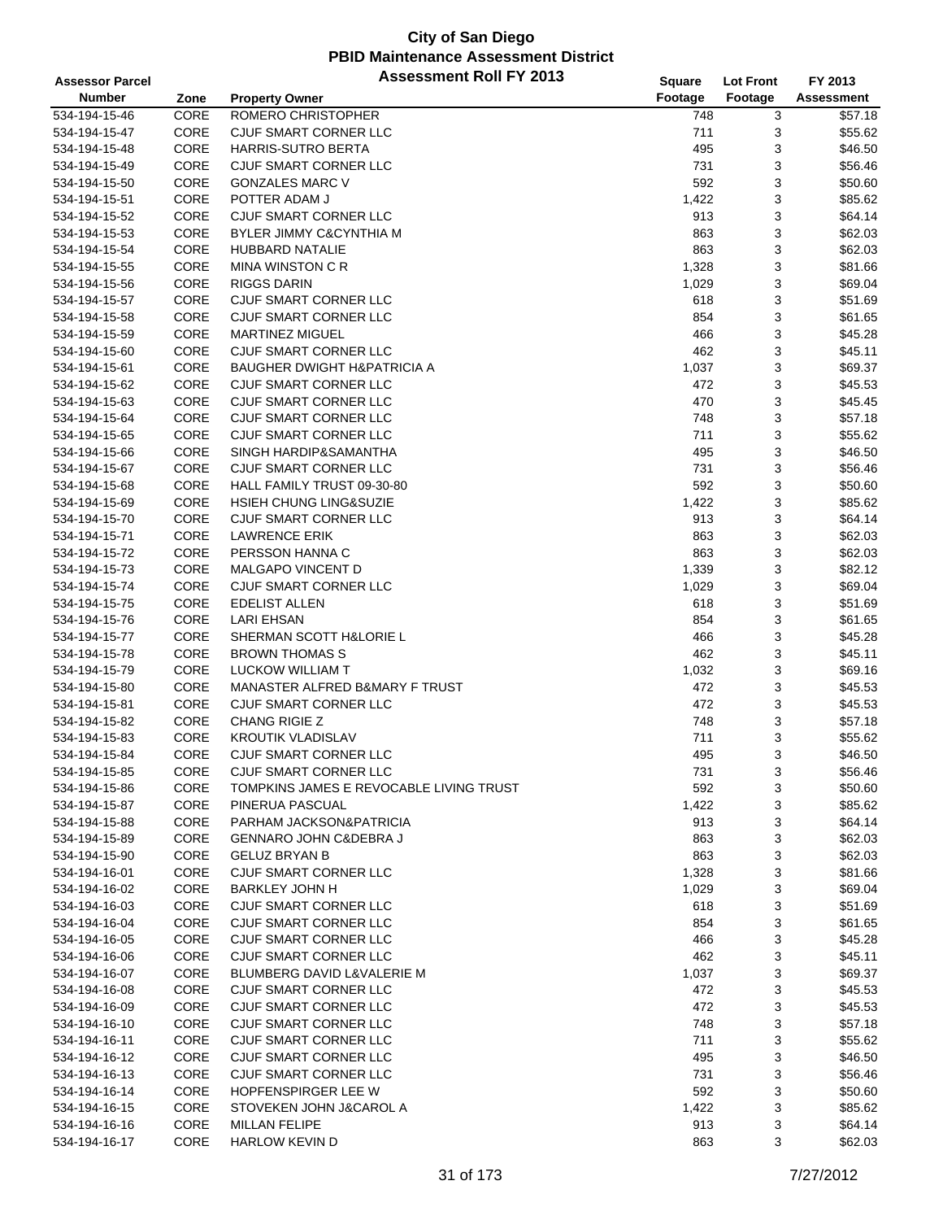| <b>Assessor Parcel</b>         |              | <b>Assessment Roll FY 2013</b>                 | Square       | <b>Lot Front</b> | FY 2013            |
|--------------------------------|--------------|------------------------------------------------|--------------|------------------|--------------------|
| <b>Number</b>                  | Zone         | <b>Property Owner</b>                          | Footage      | Footage          | <b>Assessment</b>  |
| 534-194-15-46                  | CORE         | <b>ROMERO CHRISTOPHER</b>                      | 748          | 3                | \$57.18            |
| 534-194-15-47                  | CORE         | CJUF SMART CORNER LLC                          | 711          | 3                | \$55.62            |
| 534-194-15-48                  | CORE         | HARRIS-SUTRO BERTA                             | 495          | 3                | \$46.50            |
| 534-194-15-49                  | CORE         | <b>CJUF SMART CORNER LLC</b>                   | 731          | 3                | \$56.46            |
| 534-194-15-50                  | CORE         | <b>GONZALES MARC V</b>                         | 592          | 3                | \$50.60            |
| 534-194-15-51                  | CORE         | POTTER ADAM J                                  | 1,422        | 3                | \$85.62            |
| 534-194-15-52                  | CORE         | CJUF SMART CORNER LLC                          | 913          | 3                | \$64.14            |
| 534-194-15-53                  | CORE         | <b>BYLER JIMMY C&amp;CYNTHIA M</b>             | 863          | 3                | \$62.03            |
| 534-194-15-54                  | CORE         | <b>HUBBARD NATALIE</b>                         | 863          | 3                | \$62.03            |
| 534-194-15-55                  | CORE         | <b>MINA WINSTON C R</b>                        | 1,328        | 3                | \$81.66            |
| 534-194-15-56                  | CORE         | <b>RIGGS DARIN</b>                             | 1,029        | 3                | \$69.04            |
| 534-194-15-57                  | CORE         | CJUF SMART CORNER LLC                          | 618          | 3                | \$51.69            |
| 534-194-15-58                  | CORE         | CJUF SMART CORNER LLC                          | 854          | 3                | \$61.65            |
| 534-194-15-59                  | CORE         | <b>MARTINEZ MIGUEL</b>                         | 466          | 3                | \$45.28            |
| 534-194-15-60                  | CORE         | CJUF SMART CORNER LLC                          | 462          | 3                | \$45.11            |
| 534-194-15-61                  | CORE         | <b>BAUGHER DWIGHT H&amp;PATRICIA A</b>         | 1,037        | 3                | \$69.37            |
| 534-194-15-62                  | CORE         | CJUF SMART CORNER LLC                          | 472          | 3                | \$45.53            |
| 534-194-15-63                  | CORE         | <b>CJUF SMART CORNER LLC</b>                   | 470          | 3                | \$45.45            |
| 534-194-15-64                  | CORE         | CJUF SMART CORNER LLC                          | 748          | 3                | \$57.18            |
| 534-194-15-65                  | CORE         | <b>CJUF SMART CORNER LLC</b>                   | 711          | 3                | \$55.62            |
| 534-194-15-66                  | CORE         | SINGH HARDIP&SAMANTHA                          | 495          | 3                | \$46.50            |
| 534-194-15-67                  | CORE         | CJUF SMART CORNER LLC                          | 731          | 3                | \$56.46            |
| 534-194-15-68                  | CORE         | HALL FAMILY TRUST 09-30-80                     | 592          | 3                | \$50.60            |
| 534-194-15-69                  | CORE         | HSIEH CHUNG LING&SUZIE                         | 1,422        | 3                | \$85.62            |
| 534-194-15-70                  | CORE         | CJUF SMART CORNER LLC                          | 913          | 3                | \$64.14            |
| 534-194-15-71                  | CORE         | <b>LAWRENCE ERIK</b>                           | 863          | 3                | \$62.03            |
| 534-194-15-72                  | CORE         | PERSSON HANNA C                                | 863          | 3                | \$62.03            |
| 534-194-15-73                  | CORE         | <b>MALGAPO VINCENT D</b>                       | 1,339        | 3                | \$82.12            |
| 534-194-15-74                  | CORE         | CJUF SMART CORNER LLC                          | 1,029        | 3                | \$69.04            |
| 534-194-15-75                  | CORE         | <b>EDELIST ALLEN</b>                           | 618          | 3                | \$51.69            |
| 534-194-15-76                  | CORE         | LARI EHSAN                                     | 854          | 3                | \$61.65            |
| 534-194-15-77                  | CORE         | SHERMAN SCOTT H&LORIE L                        | 466          | 3                | \$45.28            |
| 534-194-15-78                  | CORE         | <b>BROWN THOMAS S</b>                          | 462          | 3                | \$45.11            |
| 534-194-15-79                  | CORE         | <b>LUCKOW WILLIAM T</b>                        | 1,032        | 3                | \$69.16            |
| 534-194-15-80                  | CORE         | MANASTER ALFRED B&MARY F TRUST                 | 472          | 3                | \$45.53            |
| 534-194-15-81                  | CORE         | CJUF SMART CORNER LLC                          | 472          | 3                | \$45.53            |
| 534-194-15-82                  | CORE         | CHANG RIGIE Z                                  | 748          | 3                | \$57.18            |
| 534-194-15-83                  | CORE         | <b>KROUTIK VLADISLAV</b>                       | 711          | 3                | \$55.62            |
| 534-194-15-84                  | CORE         | CJUF SMART CORNER LLC                          | 495          | 3                | \$46.50            |
| 534-194-15-85                  | CORE         | CJUF SMART CORNER LLC                          | 731          | 3                | \$56.46            |
| 534-194-15-86                  | CORE         | TOMPKINS JAMES E REVOCABLE LIVING TRUST        | 592          | 3                | \$50.60            |
| 534-194-15-87                  | CORE         | PINERUA PASCUAL                                | 1,422        | 3                | \$85.62            |
| 534-194-15-88                  | <b>CORE</b>  | PARHAM JACKSON&PATRICIA                        | 913          | 3                | \$64.14            |
| 534-194-15-89                  | CORE         | GENNARO JOHN C&DEBRA J                         | 863          | 3                | \$62.03            |
| 534-194-15-90                  | CORE         | <b>GELUZ BRYAN B</b>                           | 863          | 3                | \$62.03            |
| 534-194-16-01                  | CORE         | CJUF SMART CORNER LLC                          | 1,328        | 3                | \$81.66            |
| 534-194-16-02                  | CORE         | <b>BARKLEY JOHN H</b>                          | 1,029        | 3                | \$69.04<br>\$51.69 |
| 534-194-16-03                  | CORE         | CJUF SMART CORNER LLC<br>CJUF SMART CORNER LLC | 618          | 3                |                    |
| 534-194-16-04                  | CORE         | CJUF SMART CORNER LLC                          | 854          | 3                | \$61.65            |
| 534-194-16-05<br>534-194-16-06 | CORE<br>CORE | <b>CJUF SMART CORNER LLC</b>                   | 466<br>462   | 3                | \$45.28<br>\$45.11 |
|                                | CORE         | <b>BLUMBERG DAVID L&amp;VALERIE M</b>          |              | 3<br>3           | \$69.37            |
| 534-194-16-07<br>534-194-16-08 | CORE         | CJUF SMART CORNER LLC                          | 1,037<br>472 | 3                | \$45.53            |
| 534-194-16-09                  | CORE         | CJUF SMART CORNER LLC                          | 472          | 3                | \$45.53            |
| 534-194-16-10                  | CORE         | CJUF SMART CORNER LLC                          | 748          | 3                | \$57.18            |
| 534-194-16-11                  | CORE         | CJUF SMART CORNER LLC                          | 711          | 3                | \$55.62            |
| 534-194-16-12                  | CORE         | CJUF SMART CORNER LLC                          | 495          | 3                | \$46.50            |
| 534-194-16-13                  | CORE         | CJUF SMART CORNER LLC                          | 731          | 3                | \$56.46            |
| 534-194-16-14                  | CORE         | <b>HOPFENSPIRGER LEE W</b>                     | 592          | 3                | \$50.60            |
| 534-194-16-15                  | CORE         | STOVEKEN JOHN J&CAROL A                        | 1,422        | 3                | \$85.62            |
| 534-194-16-16                  | CORE         | <b>MILLAN FELIPE</b>                           | 913          | 3                | \$64.14            |
| 534-194-16-17                  | CORE         | HARLOW KEVIN D                                 | 863          | 3                | \$62.03            |
|                                |              |                                                |              |                  |                    |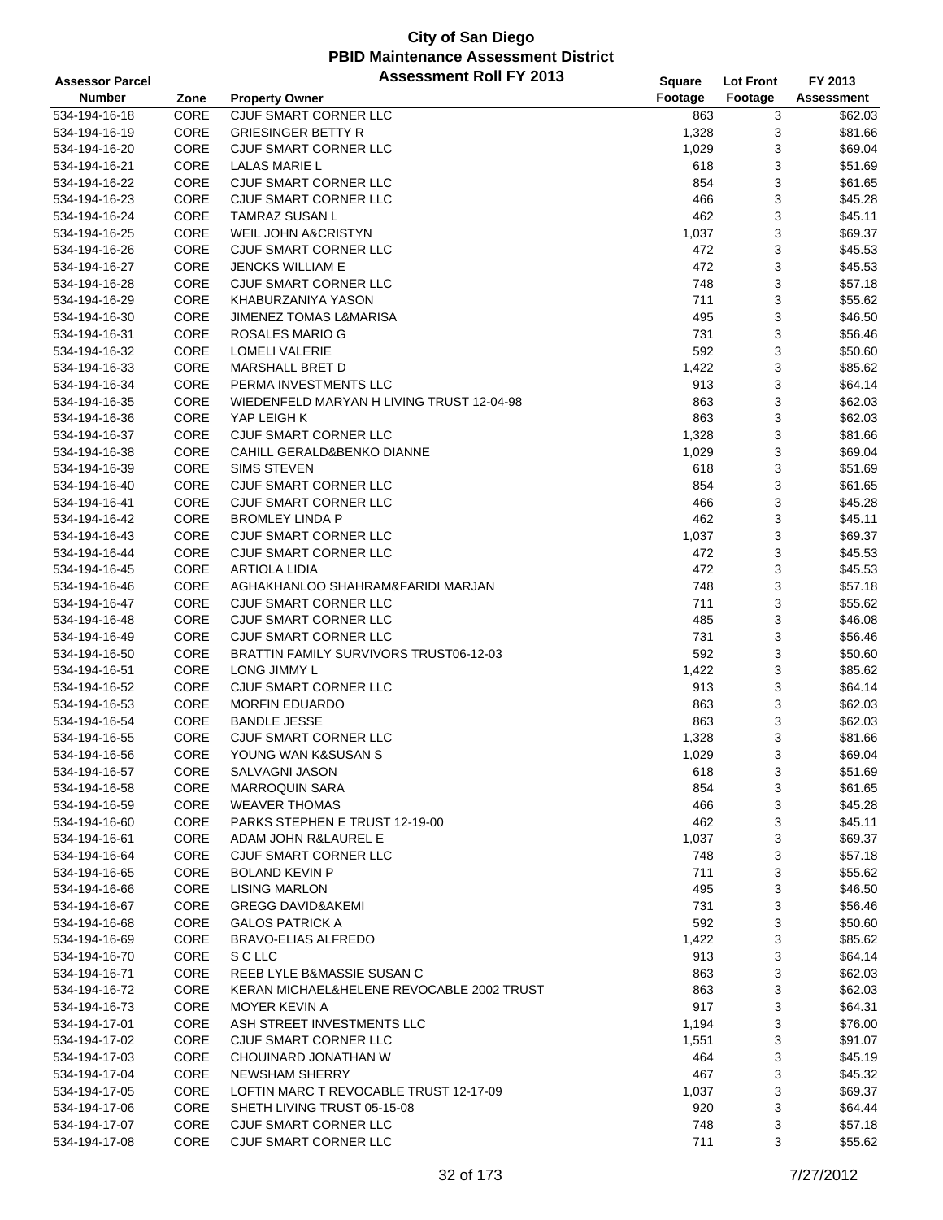| <b>Assessor Parcel</b> |      | <b>Assessment Roll FY 2013</b>            | Square  | <b>Lot Front</b> | FY 2013           |
|------------------------|------|-------------------------------------------|---------|------------------|-------------------|
| <b>Number</b>          | Zone | <b>Property Owner</b>                     | Footage | Footage          | <b>Assessment</b> |
| 534-194-16-18          | CORE | CJUF SMART CORNER LLC                     | 863     | 3                | \$62.03           |
| 534-194-16-19          | CORE | <b>GRIESINGER BETTY R</b>                 | 1,328   | 3                | \$81.66           |
| 534-194-16-20          | CORE | CJUF SMART CORNER LLC                     | 1,029   | 3                | \$69.04           |
| 534-194-16-21          | CORE | LALAS MARIE L                             | 618     | 3                | \$51.69           |
| 534-194-16-22          | CORE | CJUF SMART CORNER LLC                     | 854     | 3                | \$61.65           |
| 534-194-16-23          | CORE | CJUF SMART CORNER LLC                     | 466     | 3                | \$45.28           |
| 534-194-16-24          | CORE | <b>TAMRAZ SUSAN L</b>                     | 462     | 3                | \$45.11           |
| 534-194-16-25          | CORE | <b>WEIL JOHN A&amp;CRISTYN</b>            | 1,037   | 3                | \$69.37           |
| 534-194-16-26          | CORE | CJUF SMART CORNER LLC                     | 472     | 3                | \$45.53           |
| 534-194-16-27          | CORE | <b>JENCKS WILLIAM E</b>                   | 472     | 3                | \$45.53           |
| 534-194-16-28          | CORE | CJUF SMART CORNER LLC                     | 748     | 3                | \$57.18           |
| 534-194-16-29          | CORE | KHABURZANIYA YASON                        | 711     | 3                | \$55.62           |
| 534-194-16-30          | CORE | <b>JIMENEZ TOMAS L&amp;MARISA</b>         | 495     | 3                | \$46.50           |
| 534-194-16-31          | CORE | ROSALES MARIO G                           | 731     | 3                | \$56.46           |
| 534-194-16-32          | CORE | <b>LOMELI VALERIE</b>                     | 592     | 3                | \$50.60           |
| 534-194-16-33          | CORE | MARSHALL BRET D                           | 1,422   | 3                | \$85.62           |
| 534-194-16-34          | CORE | PERMA INVESTMENTS LLC                     | 913     | 3                | \$64.14           |
| 534-194-16-35          | CORE | WIEDENFELD MARYAN H LIVING TRUST 12-04-98 | 863     | 3                | \$62.03           |
| 534-194-16-36          | CORE | YAP LEIGH K                               | 863     | 3                | \$62.03           |
| 534-194-16-37          | CORE | CJUF SMART CORNER LLC                     | 1,328   | 3                | \$81.66           |
| 534-194-16-38          | CORE | CAHILL GERALD&BENKO DIANNE                | 1,029   | 3                | \$69.04           |
| 534-194-16-39          | CORE | <b>SIMS STEVEN</b>                        | 618     | 3                | \$51.69           |
| 534-194-16-40          | CORE | CJUF SMART CORNER LLC                     | 854     | 3                | \$61.65           |
| 534-194-16-41          | CORE | CJUF SMART CORNER LLC                     | 466     | 3                | \$45.28           |
| 534-194-16-42          | CORE | <b>BROMLEY LINDA P</b>                    | 462     | 3                | \$45.11           |
| 534-194-16-43          | CORE | CJUF SMART CORNER LLC                     | 1,037   | 3                | \$69.37           |
| 534-194-16-44          | CORE | CJUF SMART CORNER LLC                     | 472     | 3                | \$45.53           |
| 534-194-16-45          | CORE | <b>ARTIOLA LIDIA</b>                      | 472     | 3                | \$45.53           |
| 534-194-16-46          | CORE | AGHAKHANLOO SHAHRAM&FARIDI MARJAN         | 748     | 3                | \$57.18           |
| 534-194-16-47          | CORE | CJUF SMART CORNER LLC                     | 711     | 3                | \$55.62           |
| 534-194-16-48          | CORE | CJUF SMART CORNER LLC                     | 485     | 3                | \$46.08           |
| 534-194-16-49          | CORE | CJUF SMART CORNER LLC                     | 731     | 3                | \$56.46           |
| 534-194-16-50          | CORE | BRATTIN FAMILY SURVIVORS TRUST06-12-03    | 592     | 3                | \$50.60           |
| 534-194-16-51          | CORE | LONG JIMMY L                              | 1,422   | 3                | \$85.62           |
| 534-194-16-52          | CORE | CJUF SMART CORNER LLC                     | 913     | 3                | \$64.14           |
| 534-194-16-53          | CORE | <b>MORFIN EDUARDO</b>                     | 863     | 3                | \$62.03           |
| 534-194-16-54          | CORE | <b>BANDLE JESSE</b>                       | 863     | 3                | \$62.03           |
| 534-194-16-55          | CORE | CJUF SMART CORNER LLC                     | 1,328   | 3                | \$81.66           |
| 534-194-16-56          | CORE | YOUNG WAN K&SUSAN S                       | 1,029   | 3                | \$69.04           |
| 534-194-16-57          | CORE | SALVAGNI JASON                            | 618     | 3                | \$51.69           |
| 534-194-16-58          | CORE | <b>MARROQUIN SARA</b>                     | 854     | 3                | \$61.65           |
| 534-194-16-59          | CORE | <b>WEAVER THOMAS</b>                      | 466     | 3                | \$45.28           |
| 534-194-16-60          | CORE | PARKS STEPHEN E TRUST 12-19-00            | 462     | 3                | \$45.11           |
| 534-194-16-61          | CORE | ADAM JOHN R&LAUREL E                      | 1,037   | 3                | \$69.37           |
| 534-194-16-64          | CORE | CJUF SMART CORNER LLC                     | 748     | 3                | \$57.18           |
| 534-194-16-65          | CORE | <b>BOLAND KEVIN P</b>                     | 711     | 3                | \$55.62           |
| 534-194-16-66          | CORE | <b>LISING MARLON</b>                      | 495     | 3                | \$46.50           |
| 534-194-16-67          | CORE | <b>GREGG DAVID&amp;AKEMI</b>              | 731     | 3                | \$56.46           |
| 534-194-16-68          | CORE | <b>GALOS PATRICK A</b>                    | 592     | 3                | \$50.60           |
| 534-194-16-69          | CORE | <b>BRAVO-ELIAS ALFREDO</b>                | 1,422   | 3                | \$85.62           |
| 534-194-16-70          | CORE | S C LLC                                   | 913     | 3                | \$64.14           |
| 534-194-16-71          | CORE | REEB LYLE B&MASSIE SUSAN C                | 863     | 3                | \$62.03           |
| 534-194-16-72          | CORE | KERAN MICHAEL&HELENE REVOCABLE 2002 TRUST | 863     | 3                | \$62.03           |
| 534-194-16-73          | CORE | MOYER KEVIN A                             | 917     | 3                | \$64.31           |
| 534-194-17-01          | CORE | ASH STREET INVESTMENTS LLC                | 1,194   | 3                | \$76.00           |
| 534-194-17-02          | CORE | CJUF SMART CORNER LLC                     | 1,551   | 3                | \$91.07           |
| 534-194-17-03          | CORE | CHOUINARD JONATHAN W                      | 464     | 3                | \$45.19           |
| 534-194-17-04          | CORE | <b>NEWSHAM SHERRY</b>                     | 467     | 3                | \$45.32           |
| 534-194-17-05          | CORE | LOFTIN MARC T REVOCABLE TRUST 12-17-09    | 1,037   | 3                | \$69.37           |
| 534-194-17-06          | CORE | SHETH LIVING TRUST 05-15-08               | 920     | 3                | \$64.44           |
| 534-194-17-07          | CORE | CJUF SMART CORNER LLC                     | 748     | 3                | \$57.18           |
| 534-194-17-08          | CORE | CJUF SMART CORNER LLC                     | 711     | 3                | \$55.62           |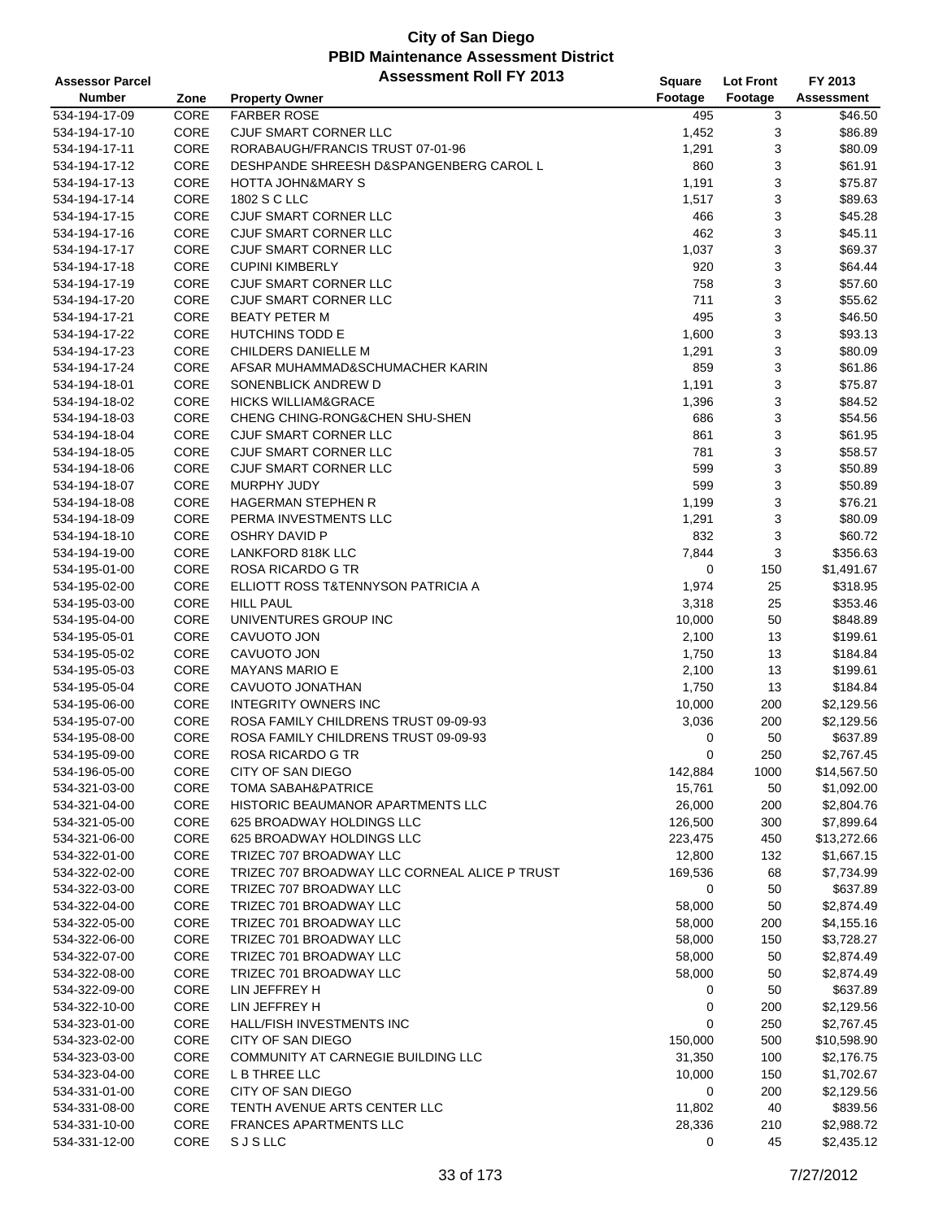| <b>Assessor Parcel</b>         |              | <b>Assessment Roll FY 2013</b>                                           | Square       | <b>Lot Front</b> | FY 2013                  |
|--------------------------------|--------------|--------------------------------------------------------------------------|--------------|------------------|--------------------------|
| <b>Number</b>                  | Zone         | <b>Property Owner</b>                                                    | Footage      | Footage          | Assessment               |
| 534-194-17-09                  | CORE         | <b>FARBER ROSE</b>                                                       | 495          | 3                | \$46.50                  |
| 534-194-17-10                  | CORE         | CJUF SMART CORNER LLC                                                    | 1,452        | 3                | \$86.89                  |
| 534-194-17-11                  | CORE         | RORABAUGH/FRANCIS TRUST 07-01-96                                         | 1,291        | 3                | \$80.09                  |
| 534-194-17-12                  | CORE         | DESHPANDE SHREESH D&SPANGENBERG CAROL L                                  | 860          | 3                | \$61.91                  |
| 534-194-17-13                  | CORE         | <b>HOTTA JOHN&amp;MARY S</b>                                             | 1,191        | 3                | \$75.87                  |
| 534-194-17-14                  | CORE         | 1802 S C LLC                                                             | 1,517        | 3                | \$89.63                  |
| 534-194-17-15                  | CORE         | CJUF SMART CORNER LLC                                                    | 466          | 3                | \$45.28                  |
| 534-194-17-16                  | CORE         | CJUF SMART CORNER LLC                                                    | 462          | 3                | \$45.11                  |
| 534-194-17-17                  | CORE         | CJUF SMART CORNER LLC                                                    | 1,037        | 3                | \$69.37                  |
| 534-194-17-18                  | CORE         | <b>CUPINI KIMBERLY</b>                                                   | 920          | 3                | \$64.44                  |
| 534-194-17-19                  | CORE         | CJUF SMART CORNER LLC                                                    | 758          | 3                | \$57.60                  |
| 534-194-17-20                  | CORE         | CJUF SMART CORNER LLC                                                    | 711          | 3                | \$55.62                  |
| 534-194-17-21                  | CORE         | <b>BEATY PETER M</b>                                                     | 495          | 3                | \$46.50                  |
| 534-194-17-22                  | CORE         | HUTCHINS TODD E                                                          | 1,600        | 3                | \$93.13                  |
| 534-194-17-23                  | CORE         | CHILDERS DANIELLE M                                                      | 1,291        | 3                | \$80.09                  |
| 534-194-17-24                  | CORE         | AFSAR MUHAMMAD&SCHUMACHER KARIN                                          | 859          | 3                | \$61.86                  |
| 534-194-18-01                  | CORE         | SONENBLICK ANDREW D                                                      | 1,191        | 3                | \$75.87                  |
| 534-194-18-02                  | CORE         | <b>HICKS WILLIAM&amp;GRACE</b>                                           | 1,396        | 3                | \$84.52                  |
| 534-194-18-03                  | CORE         | CHENG CHING-RONG&CHEN SHU-SHEN                                           | 686          | 3                | \$54.56                  |
| 534-194-18-04                  | CORE         | CJUF SMART CORNER LLC                                                    | 861          | 3                | \$61.95                  |
| 534-194-18-05                  | CORE         | CJUF SMART CORNER LLC                                                    | 781          | 3                | \$58.57                  |
| 534-194-18-06                  | CORE         | CJUF SMART CORNER LLC                                                    | 599          | 3                | \$50.89                  |
| 534-194-18-07                  | CORE         | <b>MURPHY JUDY</b>                                                       | 599          | 3                | \$50.89                  |
| 534-194-18-08                  | CORE         | <b>HAGERMAN STEPHEN R</b>                                                | 1,199        | 3                | \$76.21                  |
| 534-194-18-09                  | CORE         | PERMA INVESTMENTS LLC                                                    | 1,291        | 3                | \$80.09                  |
| 534-194-18-10                  | CORE         | <b>OSHRY DAVID P</b>                                                     | 832          | 3                | \$60.72                  |
| 534-194-19-00                  | CORE         | LANKFORD 818K LLC                                                        | 7,844        | 3                | \$356.63                 |
| 534-195-01-00                  | CORE         | ROSA RICARDO G TR                                                        | 0            | 150              | \$1,491.67               |
| 534-195-02-00                  | CORE         | ELLIOTT ROSS T&TENNYSON PATRICIA A                                       | 1,974        | 25               | \$318.95                 |
| 534-195-03-00                  | CORE         | <b>HILL PAUL</b>                                                         | 3,318        | 25               | \$353.46                 |
| 534-195-04-00                  | CORE         | UNIVENTURES GROUP INC                                                    | 10,000       | 50               | \$848.89                 |
| 534-195-05-01                  | CORE         | CAVUOTO JON                                                              | 2,100        | 13               | \$199.61                 |
| 534-195-05-02                  | CORE         | CAVUOTO JON                                                              | 1,750        | 13               | \$184.84                 |
| 534-195-05-03                  | CORE         | <b>MAYANS MARIO E</b>                                                    | 2,100        | 13               | \$199.61                 |
| 534-195-05-04                  | CORE         | CAVUOTO JONATHAN                                                         | 1,750        | 13               | \$184.84                 |
| 534-195-06-00                  | CORE         | <b>INTEGRITY OWNERS INC</b>                                              | 10,000       | 200              | \$2,129.56               |
| 534-195-07-00                  | CORE         | ROSA FAMILY CHILDRENS TRUST 09-09-93                                     | 3,036        | 200              | \$2,129.56               |
| 534-195-08-00                  | CORE         | ROSA FAMILY CHILDRENS TRUST 09-09-93                                     | 0            | 50               | \$637.89                 |
| 534-195-09-00                  | CORE         | ROSA RICARDO G TR                                                        | 0            | 250              | \$2,767.45               |
| 534-196-05-00                  | CORE         | CITY OF SAN DIEGO                                                        | 142,884      | 1000             | \$14,567.50              |
| 534-321-03-00                  | CORE         | <b>TOMA SABAH&amp;PATRICE</b>                                            | 15,761       | 50               | \$1,092.00               |
| 534-321-04-00                  | CORE         | HISTORIC BEAUMANOR APARTMENTS LLC                                        | 26,000       | 200              | \$2,804.76               |
| 534-321-05-00                  | CORE         | 625 BROADWAY HOLDINGS LLC                                                | 126,500      | 300              | \$7,899.64               |
| 534-321-06-00                  | CORE         | 625 BROADWAY HOLDINGS LLC                                                | 223,475      | 450              | \$13,272.66              |
| 534-322-01-00<br>534-322-02-00 | CORE<br>CORE | TRIZEC 707 BROADWAY LLC<br>TRIZEC 707 BROADWAY LLC CORNEAL ALICE P TRUST | 12,800       | 132              | \$1,667.15<br>\$7,734.99 |
| 534-322-03-00                  | CORE         | TRIZEC 707 BROADWAY LLC                                                  | 169,536<br>0 | 68<br>50         | \$637.89                 |
| 534-322-04-00                  | CORE         | TRIZEC 701 BROADWAY LLC                                                  | 58,000       | 50               | \$2,874.49               |
| 534-322-05-00                  | CORE         | TRIZEC 701 BROADWAY LLC                                                  | 58,000       | 200              | \$4,155.16               |
| 534-322-06-00                  | CORE         | TRIZEC 701 BROADWAY LLC                                                  | 58,000       | 150              | \$3,728.27               |
| 534-322-07-00                  | CORE         | TRIZEC 701 BROADWAY LLC                                                  | 58,000       | 50               |                          |
| 534-322-08-00                  | CORE         | TRIZEC 701 BROADWAY LLC                                                  |              |                  | \$2,874.49               |
| 534-322-09-00                  | CORE         | LIN JEFFREY H                                                            | 58,000<br>0  | 50<br>50         | \$2,874.49<br>\$637.89   |
| 534-322-10-00                  | CORE         | LIN JEFFREY H                                                            | 0            | 200              | \$2,129.56               |
| 534-323-01-00                  | CORE         | HALL/FISH INVESTMENTS INC                                                | 0            | 250              | \$2,767.45               |
| 534-323-02-00                  | CORE         | CITY OF SAN DIEGO                                                        | 150,000      | 500              | \$10,598.90              |
| 534-323-03-00                  | CORE         | COMMUNITY AT CARNEGIE BUILDING LLC                                       | 31,350       | 100              | \$2,176.75               |
| 534-323-04-00                  | CORE         | L B THREE LLC                                                            | 10,000       | 150              | \$1,702.67               |
| 534-331-01-00                  | CORE         | CITY OF SAN DIEGO                                                        | 0            | 200              | \$2,129.56               |
| 534-331-08-00                  | CORE         | TENTH AVENUE ARTS CENTER LLC                                             | 11,802       | 40               | \$839.56                 |
| 534-331-10-00                  | CORE         | <b>FRANCES APARTMENTS LLC</b>                                            | 28,336       | 210              | \$2,988.72               |
| 534-331-12-00                  | CORE         | <b>SJSLLC</b>                                                            | 0            | 45               | \$2,435.12               |
|                                |              |                                                                          |              |                  |                          |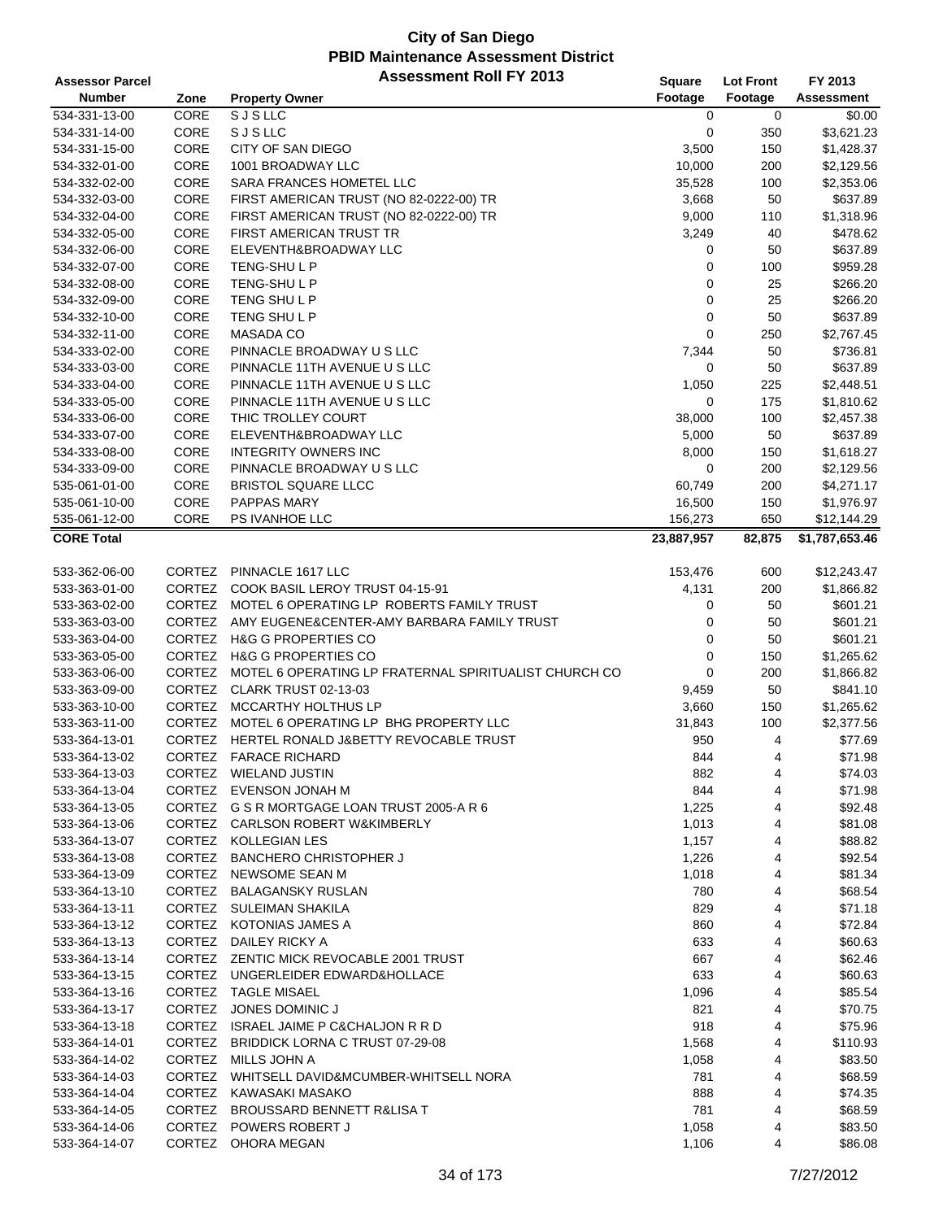| <b>Assessor Parcel</b> |               | <b>Assessment Roll FY 2013</b>                        | Square      | <b>Lot Front</b> | FY 2013        |
|------------------------|---------------|-------------------------------------------------------|-------------|------------------|----------------|
| <b>Number</b>          | Zone          | <b>Property Owner</b>                                 | Footage     | Footage          | Assessment     |
| 534-331-13-00          | CORE          | <b>SJSLLC</b>                                         | 0           | $\mathbf 0$      | \$0.00         |
| 534-331-14-00          | CORE          | <b>SJSLLC</b>                                         | 0           | 350              | \$3,621.23     |
| 534-331-15-00          | CORE          | CITY OF SAN DIEGO                                     | 3,500       | 150              | \$1,428.37     |
| 534-332-01-00          | CORE          | 1001 BROADWAY LLC                                     | 10,000      | 200              | \$2,129.56     |
| 534-332-02-00          | CORE          | SARA FRANCES HOMETEL LLC                              | 35,528      | 100              | \$2,353.06     |
| 534-332-03-00          | CORE          | FIRST AMERICAN TRUST (NO 82-0222-00) TR               | 3,668       | 50               | \$637.89       |
| 534-332-04-00          | CORE          | FIRST AMERICAN TRUST (NO 82-0222-00) TR               | 9,000       | 110              | \$1,318.96     |
| 534-332-05-00          | CORE          | FIRST AMERICAN TRUST TR                               | 3,249       | 40               | \$478.62       |
| 534-332-06-00          | CORE          | ELEVENTH&BROADWAY LLC                                 | 0           | 50               | \$637.89       |
| 534-332-07-00          | CORE          | TENG-SHULP                                            | 0           | 100              | \$959.28       |
| 534-332-08-00          | CORE          | TENG-SHULP                                            | 0           | 25               | \$266.20       |
| 534-332-09-00          | CORE          | TENG SHULP                                            | $\mathbf 0$ | 25               | \$266.20       |
| 534-332-10-00          | CORE          | TENG SHULP                                            | 0           | 50               | \$637.89       |
| 534-332-11-00          | CORE          | <b>MASADA CO</b>                                      | $\mathbf 0$ | 250              | \$2,767.45     |
| 534-333-02-00          | CORE          | PINNACLE BROADWAY U S LLC                             | 7,344       | 50               | \$736.81       |
| 534-333-03-00          | CORE          | PINNACLE 11TH AVENUE U S LLC                          | 0           | 50               | \$637.89       |
| 534-333-04-00          | CORE          | PINNACLE 11TH AVENUE U S LLC                          | 1,050       | 225              | \$2,448.51     |
| 534-333-05-00          | CORE          | PINNACLE 11TH AVENUE U S LLC                          | 0           | 175              | \$1,810.62     |
| 534-333-06-00          | CORE          | THIC TROLLEY COURT                                    | 38,000      | 100              | \$2,457.38     |
| 534-333-07-00          | CORE          | ELEVENTH&BROADWAY LLC                                 | 5,000       | 50               | \$637.89       |
| 534-333-08-00          | CORE          | <b>INTEGRITY OWNERS INC</b>                           | 8,000       | 150              | \$1,618.27     |
| 534-333-09-00          | CORE          | PINNACLE BROADWAY U S LLC                             | 0           | 200              | \$2,129.56     |
| 535-061-01-00          | CORE          | <b>BRISTOL SQUARE LLCC</b>                            | 60,749      | 200              | \$4,271.17     |
| 535-061-10-00          | CORE          | PAPPAS MARY                                           | 16,500      | 150              | \$1,976.97     |
| 535-061-12-00          | CORE          | PS IVANHOE LLC                                        | 156,273     | 650              | \$12,144.29    |
| <b>CORE Total</b>      |               |                                                       | 23,887,957  | 82,875           | \$1,787,653.46 |
|                        |               |                                                       |             |                  |                |
| 533-362-06-00          | <b>CORTEZ</b> | PINNACLE 1617 LLC                                     | 153,476     | 600              | \$12,243.47    |
| 533-363-01-00          | CORTEZ        | COOK BASIL LEROY TRUST 04-15-91                       | 4,131       | 200              | \$1,866.82     |
| 533-363-02-00          | CORTEZ        | MOTEL 6 OPERATING LP ROBERTS FAMILY TRUST             | 0           | 50               | \$601.21       |
| 533-363-03-00          | CORTEZ        | AMY EUGENE&CENTER-AMY BARBARA FAMILY TRUST            | 0           | 50               | \$601.21       |
| 533-363-04-00          | CORTEZ        | <b>H&amp;G G PROPERTIES CO</b>                        | $\mathbf 0$ | 50               | \$601.21       |
| 533-363-05-00          | <b>CORTEZ</b> | <b>H&amp;G G PROPERTIES CO</b>                        | 0           | 150              | \$1,265.62     |
| 533-363-06-00          | <b>CORTEZ</b> | MOTEL 6 OPERATING LP FRATERNAL SPIRITUALIST CHURCH CO | 0           | 200              | \$1,866.82     |
| 533-363-09-00          | <b>CORTEZ</b> | CLARK TRUST 02-13-03                                  | 9,459       | 50               | \$841.10       |
| 533-363-10-00          | CORTEZ        | <b>MCCARTHY HOLTHUS LP</b>                            | 3,660       | 150              | \$1,265.62     |
| 533-363-11-00          | CORTEZ        | MOTEL 6 OPERATING LP BHG PROPERTY LLC                 | 31,843      | 100              | \$2,377.56     |
| 533-364-13-01          |               | CORTEZ HERTEL RONALD J&BETTY REVOCABLE TRUST          | 950         | 4                | \$77.69        |
| 533-364-13-02          | <b>CORTEZ</b> | <b>FARACE RICHARD</b>                                 | 844         | 4                | \$71.98        |
| 533-364-13-03          |               | CORTEZ WIELAND JUSTIN                                 | 882         | 4                | \$74.03        |
| 533-364-13-04          |               | CORTEZ EVENSON JONAH M                                | 844         | 4                | \$71.98        |
| 533-364-13-05          |               | CORTEZ G S R MORTGAGE LOAN TRUST 2005-A R 6           | 1,225       | 4                | \$92.48        |
| 533-364-13-06          |               | CORTEZ CARLSON ROBERT W&KIMBERLY                      | 1,013       | 4                | \$81.08        |
| 533-364-13-07          |               | CORTEZ KOLLEGIAN LES                                  | 1,157       | 4                | \$88.82        |
| 533-364-13-08          | CORTEZ        | <b>BANCHERO CHRISTOPHER J</b>                         | 1,226       | 4                | \$92.54        |
| 533-364-13-09          |               | CORTEZ NEWSOME SEAN M                                 | 1,018       | 4                | \$81.34        |
| 533-364-13-10          |               | CORTEZ BALAGANSKY RUSLAN                              | 780         | 4                | \$68.54        |
| 533-364-13-11          |               | CORTEZ SULEIMAN SHAKILA                               | 829         | 4                | \$71.18        |
| 533-364-13-12          |               | CORTEZ KOTONIAS JAMES A                               | 860         | 4                | \$72.84        |
| 533-364-13-13          | CORTEZ        | DAILEY RICKY A                                        | 633         | 4                | \$60.63        |
| 533-364-13-14          |               | CORTEZ ZENTIC MICK REVOCABLE 2001 TRUST               | 667         | 4                | \$62.46        |
| 533-364-13-15          |               | CORTEZ UNGERLEIDER EDWARD&HOLLACE                     | 633         | 4                | \$60.63        |
| 533-364-13-16          |               | CORTEZ TAGLE MISAEL                                   | 1,096       | 4                | \$85.54        |
| 533-364-13-17          |               | CORTEZ JONES DOMINIC J                                | 821         | 4                | \$70.75        |
| 533-364-13-18          |               | CORTEZ ISRAEL JAIME P C&CHALJON R R D                 | 918         | 4                | \$75.96        |
| 533-364-14-01          |               | CORTEZ BRIDDICK LORNA C TRUST 07-29-08                | 1,568       | 4                | \$110.93       |
| 533-364-14-02          |               | CORTEZ MILLS JOHN A                                   | 1,058       | 4                | \$83.50        |
| 533-364-14-03          |               | CORTEZ WHITSELL DAVID&MCUMBER-WHITSELL NORA           | 781         | 4                | \$68.59        |
| 533-364-14-04          |               | CORTEZ KAWASAKI MASAKO                                | 888         | 4                | \$74.35        |
| 533-364-14-05          | CORTEZ        | <b>BROUSSARD BENNETT R&amp;LISA T</b>                 | 781         | 4                | \$68.59        |
| 533-364-14-06          | <b>CORTEZ</b> | <b>POWERS ROBERT J</b>                                | 1,058       | 4                | \$83.50        |
| 533-364-14-07          |               | CORTEZ OHORA MEGAN                                    | 1,106       | 4                | \$86.08        |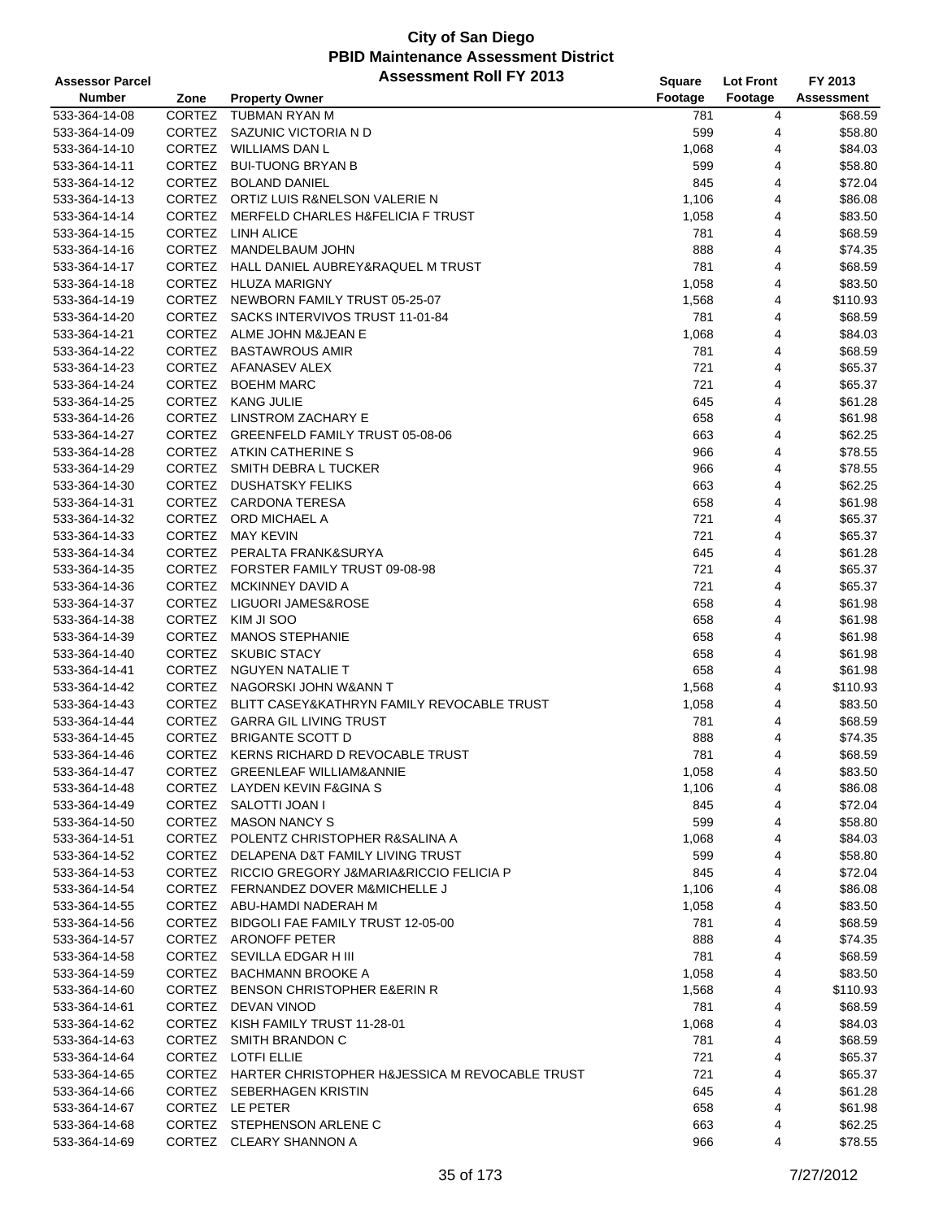| <b>Assessor Parcel</b> |               | <b>Assessment Roll FY 2013</b>                        | <b>Square</b> | <b>Lot Front</b> | FY 2013           |
|------------------------|---------------|-------------------------------------------------------|---------------|------------------|-------------------|
| <b>Number</b>          | Zone          | <b>Property Owner</b>                                 | Footage       | Footage          | <b>Assessment</b> |
| 533-364-14-08          | <b>CORTEZ</b> | <b>TUBMAN RYAN M</b>                                  | 781           | 4                | \$68.59           |
| 533-364-14-09          | CORTEZ        | SAZUNIC VICTORIA N D                                  | 599           | 4                | \$58.80           |
| 533-364-14-10          | CORTEZ        | WILLIAMS DAN L                                        | 1,068         | 4                | \$84.03           |
| 533-364-14-11          | <b>CORTEZ</b> | <b>BUI-TUONG BRYAN B</b>                              | 599           | 4                | \$58.80           |
| 533-364-14-12          |               | CORTEZ BOLAND DANIEL                                  | 845           | 4                | \$72.04           |
| 533-364-14-13          |               | CORTEZ ORTIZ LUIS R&NELSON VALERIE N                  | 1,106         | 4                | \$86.08           |
| 533-364-14-14          | <b>CORTEZ</b> | <b>MERFELD CHARLES H&amp;FELICIA F TRUST</b>          | 1,058         | 4                | \$83.50           |
| 533-364-14-15          | CORTEZ        | <b>LINH ALICE</b>                                     | 781           | 4                | \$68.59           |
| 533-364-14-16          | CORTEZ        | MANDELBAUM JOHN                                       | 888           | 4                | \$74.35           |
| 533-364-14-17          | <b>CORTEZ</b> | <b>HALL DANIEL AUBREY&amp;RAQUEL M TRUST</b>          | 781           | 4                | \$68.59           |
| 533-364-14-18          |               | CORTEZ HLUZA MARIGNY                                  | 1,058         | 4                | \$83.50           |
| 533-364-14-19          |               | CORTEZ NEWBORN FAMILY TRUST 05-25-07                  | 1,568         | 4                | \$110.93          |
| 533-364-14-20          |               | CORTEZ SACKS INTERVIVOS TRUST 11-01-84                | 781           | 4                | \$68.59           |
| 533-364-14-21          |               | CORTEZ ALME JOHN M&JEAN E                             | 1,068         | 4                | \$84.03           |
| 533-364-14-22          | <b>CORTEZ</b> | <b>BASTAWROUS AMIR</b>                                | 781           | 4                | \$68.59           |
| 533-364-14-23          |               | CORTEZ AFANASEV ALEX                                  | 721           | 4                | \$65.37           |
| 533-364-14-24          | CORTEZ        | <b>BOEHM MARC</b>                                     | 721           | 4                | \$65.37           |
| 533-364-14-25          |               | CORTEZ KANG JULIE                                     | 645           | 4                | \$61.28           |
| 533-364-14-26          | CORTEZ        | LINSTROM ZACHARY E                                    | 658           | 4                | \$61.98           |
| 533-364-14-27          |               | CORTEZ GREENFELD FAMILY TRUST 05-08-06                | 663           | 4                | \$62.25           |
| 533-364-14-28          | CORTEZ        | ATKIN CATHERINE S                                     | 966           | 4                | \$78.55           |
| 533-364-14-29          | CORTEZ        | SMITH DEBRA L TUCKER                                  | 966           | 4                | \$78.55           |
| 533-364-14-30          |               | CORTEZ DUSHATSKY FELIKS                               | 663           | 4                | \$62.25           |
| 533-364-14-31          |               | CORTEZ CARDONA TERESA                                 | 658           | 4                | \$61.98           |
| 533-364-14-32          |               | CORTEZ ORD MICHAEL A                                  | 721           | 4                | \$65.37           |
| 533-364-14-33          | CORTEZ        | MAY KEVIN                                             | 721           | 4                | \$65.37           |
| 533-364-14-34          |               | CORTEZ PERALTA FRANK&SURYA                            | 645           | 4                | \$61.28           |
| 533-364-14-35          |               | CORTEZ FORSTER FAMILY TRUST 09-08-98                  | 721           | 4                | \$65.37           |
| 533-364-14-36          |               | CORTEZ MCKINNEY DAVID A                               | 721           | 4                | \$65.37           |
| 533-364-14-37          | <b>CORTEZ</b> | LIGUORI JAMES&ROSE                                    | 658           | 4                | \$61.98           |
| 533-364-14-38          |               | CORTEZ KIM JI SOO                                     | 658           | 4                | \$61.98           |
| 533-364-14-39          | <b>CORTEZ</b> | <b>MANOS STEPHANIE</b>                                | 658           | 4                | \$61.98           |
| 533-364-14-40          | CORTEZ        | <b>SKUBIC STACY</b>                                   | 658           | 4                | \$61.98           |
| 533-364-14-41          | CORTEZ        | NGUYEN NATALIE T                                      | 658           | 4                | \$61.98           |
| 533-364-14-42          |               | CORTEZ NAGORSKI JOHN W&ANN T                          | 1,568         | 4                | \$110.93          |
| 533-364-14-43          | CORTEZ        | BLITT CASEY&KATHRYN FAMILY REVOCABLE TRUST            | 1,058         | 4                | \$83.50           |
| 533-364-14-44          | CORTEZ        | <b>GARRA GIL LIVING TRUST</b>                         | 781           | 4                | \$68.59           |
| 533-364-14-45          | CORTEZ        | <b>BRIGANTE SCOTT D</b>                               | 888           | 4                | \$74.35           |
| 533-364-14-46          |               | CORTEZ KERNS RICHARD D REVOCABLE TRUST                | 781           | $\overline{4}$   | \$68.59           |
| 533-364-14-47          |               | CORTEZ GREENLEAF WILLIAM&ANNIE                        | 1,058         | 4                | \$83.50           |
| 533-364-14-48          |               | CORTEZ LAYDEN KEVIN F&GINA S                          | 1,106         | 4                | \$86.08           |
| 533-364-14-49          |               | CORTEZ SALOTTI JOAN I                                 | 845           | 4                | \$72.04           |
| 533-364-14-50          |               | CORTEZ MASON NANCY S                                  | 599           | 4                | \$58.80           |
| 533-364-14-51          |               | CORTEZ POLENTZ CHRISTOPHER R&SALINA A                 | 1,068         | 4                | \$84.03           |
| 533-364-14-52          |               | CORTEZ DELAPENA D&T FAMILY LIVING TRUST               | 599           | 4                | \$58.80           |
| 533-364-14-53          |               | CORTEZ RICCIO GREGORY J&MARIA&RICCIO FELICIA P        | 845           | 4                | \$72.04           |
| 533-364-14-54          |               | CORTEZ FERNANDEZ DOVER M&MICHELLE J                   | 1,106         | 4                | \$86.08           |
| 533-364-14-55          |               | CORTEZ ABU-HAMDI NADERAH M                            | 1,058         | 4                | \$83.50           |
| 533-364-14-56          |               | CORTEZ BIDGOLI FAE FAMILY TRUST 12-05-00              | 781           | 4                | \$68.59           |
| 533-364-14-57          |               | CORTEZ ARONOFF PETER                                  | 888           | 4                | \$74.35           |
| 533-364-14-58          |               | CORTEZ SEVILLA EDGAR H III                            | 781           | 4                | \$68.59           |
| 533-364-14-59          |               | CORTEZ BACHMANN BROOKE A                              | 1,058         | 4                | \$83.50           |
| 533-364-14-60          |               | CORTEZ BENSON CHRISTOPHER E&ERIN R                    | 1,568         | 4                | \$110.93          |
| 533-364-14-61          |               | CORTEZ DEVAN VINOD                                    | 781           | 4                | \$68.59           |
| 533-364-14-62          |               | CORTEZ KISH FAMILY TRUST 11-28-01                     | 1,068         | 4                | \$84.03           |
| 533-364-14-63          |               | CORTEZ SMITH BRANDON C                                | 781           | 4                | \$68.59           |
| 533-364-14-64          |               | CORTEZ LOTFI ELLIE                                    | 721           | 4                | \$65.37           |
| 533-364-14-65          |               | CORTEZ HARTER CHRISTOPHER H&JESSICA M REVOCABLE TRUST | 721           | 4                | \$65.37           |
| 533-364-14-66          |               | CORTEZ SEBERHAGEN KRISTIN                             | 645           | 4                | \$61.28           |
| 533-364-14-67          |               | CORTEZ LE PETER                                       | 658           | 4                | \$61.98           |
| 533-364-14-68          |               | CORTEZ STEPHENSON ARLENE C                            | 663           | 4                | \$62.25           |
| 533-364-14-69          |               | CORTEZ CLEARY SHANNON A                               | 966           | 4                | \$78.55           |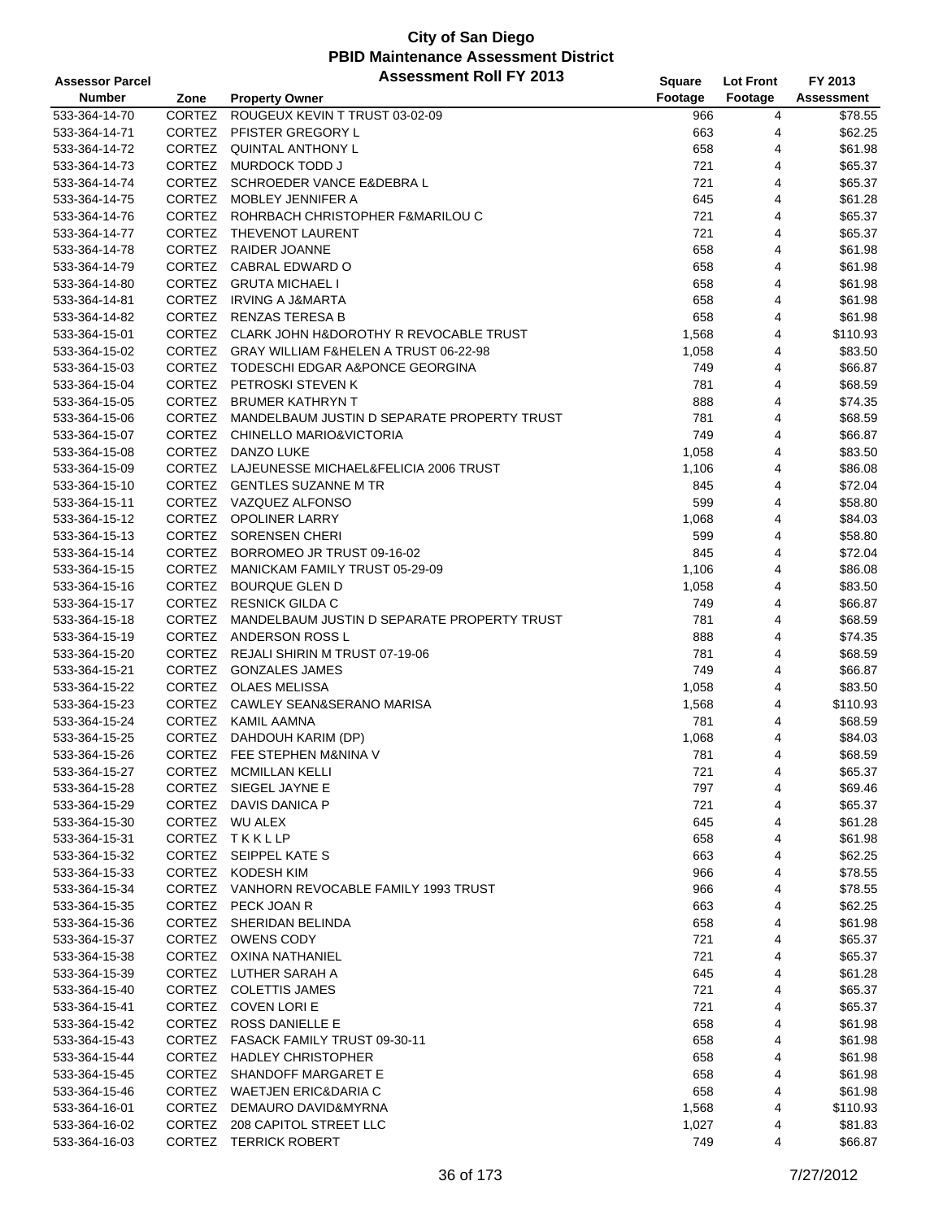| <b>Assessor Parcel</b> |               | <b>Assessment Roll FY 2013</b>                     | Square  | <b>Lot Front</b> | FY 2013           |
|------------------------|---------------|----------------------------------------------------|---------|------------------|-------------------|
| <b>Number</b>          | Zone          | <b>Property Owner</b>                              | Footage | Footage          | <b>Assessment</b> |
| 533-364-14-70          | <b>CORTEZ</b> | ROUGEUX KEVIN T TRUST 03-02-09                     | 966     | 4                | \$78.55           |
| 533-364-14-71          | CORTEZ        | PFISTER GREGORY L                                  | 663     | 4                | \$62.25           |
| 533-364-14-72          |               | CORTEZ QUINTAL ANTHONY L                           | 658     | 4                | \$61.98           |
| 533-364-14-73          | CORTEZ        | MURDOCK TODD J                                     | 721     | 4                | \$65.37           |
| 533-364-14-74          |               | CORTEZ SCHROEDER VANCE E& DEBRA L                  | 721     | 4                | \$65.37           |
| 533-364-14-75          |               | CORTEZ MOBLEY JENNIFER A                           | 645     | 4                | \$61.28           |
| 533-364-14-76          |               | CORTEZ ROHRBACH CHRISTOPHER F&MARILOU C            | 721     | 4                | \$65.37           |
| 533-364-14-77          |               | CORTEZ THEVENOT LAURENT                            | 721     | 4                | \$65.37           |
| 533-364-14-78          |               | CORTEZ RAIDER JOANNE                               | 658     | 4                | \$61.98           |
| 533-364-14-79          | <b>CORTEZ</b> | CABRAL EDWARD O                                    | 658     | 4                | \$61.98           |
| 533-364-14-80          |               | CORTEZ GRUTA MICHAEL I                             | 658     | 4                | \$61.98           |
| 533-364-14-81          |               | CORTEZ IRVING A J&MARTA                            | 658     | 4                | \$61.98           |
| 533-364-14-82          |               | CORTEZ RENZAS TERESA B                             | 658     | 4                | \$61.98           |
| 533-364-15-01          |               | CORTEZ CLARK JOHN H&DOROTHY R REVOCABLE TRUST      | 1,568   | 4                | \$110.93          |
| 533-364-15-02          |               | CORTEZ GRAY WILLIAM F&HELEN A TRUST 06-22-98       | 1,058   | 4                | \$83.50           |
| 533-364-15-03          |               | CORTEZ TODESCHI EDGAR A&PONCE GEORGINA             | 749     | 4                | \$66.87           |
| 533-364-15-04          |               | CORTEZ PETROSKI STEVEN K                           | 781     | 4                | \$68.59           |
| 533-364-15-05          |               | CORTEZ BRUMER KATHRYN T                            | 888     | 4                | \$74.35           |
| 533-364-15-06          |               | CORTEZ MANDELBAUM JUSTIN D SEPARATE PROPERTY TRUST | 781     | 4                | \$68.59           |
| 533-364-15-07          |               | CORTEZ CHINELLO MARIO&VICTORIA                     | 749     | 4                | \$66.87           |
| 533-364-15-08          | <b>CORTEZ</b> | DANZO LUKE                                         | 1,058   | 4                | \$83.50           |
| 533-364-15-09          |               | CORTEZ LAJEUNESSE MICHAEL&FELICIA 2006 TRUST       | 1,106   | 4                | \$86.08           |
| 533-364-15-10          |               | CORTEZ GENTLES SUZANNE M TR                        | 845     | 4                | \$72.04           |
| 533-364-15-11          |               | CORTEZ VAZQUEZ ALFONSO                             | 599     | 4                | \$58.80           |
| 533-364-15-12          |               | CORTEZ OPOLINER LARRY                              | 1,068   | 4                | \$84.03           |
| 533-364-15-13          |               | CORTEZ SORENSEN CHERI                              | 599     | 4                | \$58.80           |
| 533-364-15-14          |               | CORTEZ BORROMEO JR TRUST 09-16-02                  | 845     | 4                | \$72.04           |
| 533-364-15-15          |               | CORTEZ MANICKAM FAMILY TRUST 05-29-09              | 1,106   | 4                | \$86.08           |
| 533-364-15-16          |               | CORTEZ BOURQUE GLEN D                              | 1,058   | 4                | \$83.50           |
| 533-364-15-17          |               | CORTEZ RESNICK GILDA C                             | 749     | 4                | \$66.87           |
| 533-364-15-18          |               | CORTEZ MANDELBAUM JUSTIN D SEPARATE PROPERTY TRUST | 781     | 4                | \$68.59           |
| 533-364-15-19          | <b>CORTEZ</b> | ANDERSON ROSS L                                    | 888     | 4                | \$74.35           |
| 533-364-15-20          |               | CORTEZ REJALI SHIRIN M TRUST 07-19-06              | 781     | 4                | \$68.59           |
| 533-364-15-21          |               | CORTEZ GONZALES JAMES                              | 749     | 4                | \$66.87           |
| 533-364-15-22          |               | CORTEZ OLAES MELISSA                               | 1,058   | 4                | \$83.50           |
| 533-364-15-23          |               | CORTEZ CAWLEY SEAN&SERANO MARISA                   | 1,568   | 4                | \$110.93          |
| 533-364-15-24          |               | CORTEZ KAMIL AAMNA                                 | 781     | 4                | \$68.59           |
| 533-364-15-25          |               | CORTEZ DAHDOUH KARIM (DP)                          | 1,068   | 4                | \$84.03           |
| 533-364-15-26          |               | CORTEZ FEE STEPHEN M&NINA V                        | 781     | $\overline{4}$   | \$68.59           |
| 533-364-15-27          |               | CORTEZ MCMILLAN KELLI                              | 721     | 4                | \$65.37           |
| 533-364-15-28          |               | CORTEZ SIEGEL JAYNE E                              | 797     | 4                | \$69.46           |
| 533-364-15-29          |               | CORTEZ DAVIS DANICA P                              | 721     | 4                | \$65.37           |
| 533-364-15-30          |               | CORTEZ WU ALEX                                     | 645     | 4                | \$61.28           |
| 533-364-15-31          |               | CORTEZ TKKLLP                                      | 658     | 4                | \$61.98           |
| 533-364-15-32          |               | CORTEZ SEIPPEL KATE S                              | 663     | 4                | \$62.25           |
| 533-364-15-33          |               | CORTEZ KODESH KIM                                  | 966     | 4                | \$78.55           |
| 533-364-15-34          |               | CORTEZ VANHORN REVOCABLE FAMILY 1993 TRUST         | 966     | 4                | \$78.55           |
| 533-364-15-35          |               | CORTEZ PECK JOAN R                                 | 663     | 4                | \$62.25           |
| 533-364-15-36          | <b>CORTEZ</b> | SHERIDAN BELINDA                                   | 658     | 4                | \$61.98           |
| 533-364-15-37          |               | CORTEZ OWENS CODY                                  | 721     | 4                | \$65.37           |
| 533-364-15-38          |               | CORTEZ OXINA NATHANIEL                             | 721     | 4                | \$65.37           |
| 533-364-15-39          |               | CORTEZ LUTHER SARAH A                              | 645     | 4                | \$61.28           |
| 533-364-15-40          |               | CORTEZ COLETTIS JAMES                              | 721     | 4                | \$65.37           |
| 533-364-15-41          |               | CORTEZ COVEN LORIE                                 | 721     | 4                | \$65.37           |
| 533-364-15-42          |               | CORTEZ ROSS DANIELLE E                             | 658     | 4                | \$61.98           |
| 533-364-15-43          |               | CORTEZ FASACK FAMILY TRUST 09-30-11                | 658     | 4                | \$61.98           |
| 533-364-15-44          |               | CORTEZ HADLEY CHRISTOPHER                          | 658     | 4                | \$61.98           |
| 533-364-15-45          | CORTEZ        | SHANDOFF MARGARET E                                | 658     | 4                | \$61.98           |
| 533-364-15-46          |               | CORTEZ WAETJEN ERIC&DARIA C                        | 658     | 4                | \$61.98           |
| 533-364-16-01          | <b>CORTEZ</b> | DEMAURO DAVID&MYRNA                                | 1,568   | 4                | \$110.93          |
| 533-364-16-02          |               | CORTEZ 208 CAPITOL STREET LLC                      | 1,027   | 4                | \$81.83           |
| 533-364-16-03          |               | CORTEZ TERRICK ROBERT                              | 749     | 4                | \$66.87           |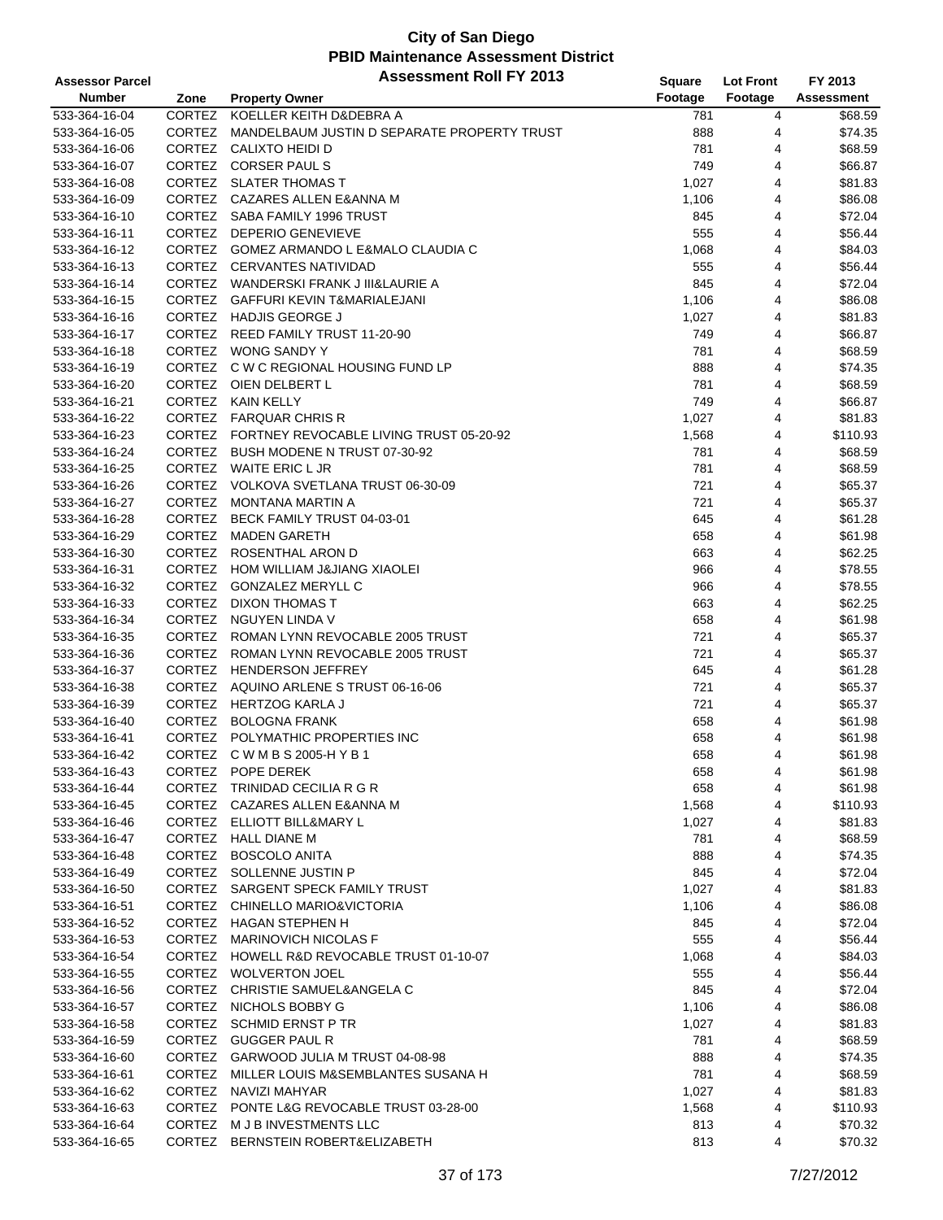| <b>Assessor Parcel</b> |               | <b>Assessment Roll FY 2013</b>                 | Square  | <b>Lot Front</b> | FY 2013           |
|------------------------|---------------|------------------------------------------------|---------|------------------|-------------------|
| <b>Number</b>          | Zone          | <b>Property Owner</b>                          | Footage | Footage          | <b>Assessment</b> |
| 533-364-16-04          | <b>CORTEZ</b> | KOELLER KEITH D&DEBRA A                        | 781     | 4                | \$68.59           |
| 533-364-16-05          | CORTEZ        | MANDELBAUM JUSTIN D SEPARATE PROPERTY TRUST    | 888     | 4                | \$74.35           |
| 533-364-16-06          |               | CORTEZ CALIXTO HEIDI D                         | 781     | 4                | \$68.59           |
| 533-364-16-07          |               | CORTEZ CORSER PAUL S                           | 749     | 4                | \$66.87           |
| 533-364-16-08          |               | CORTEZ SLATER THOMAS T                         | 1,027   | 4                | \$81.83           |
| 533-364-16-09          |               | CORTEZ CAZARES ALLEN E&ANNA M                  | 1,106   | 4                | \$86.08           |
| 533-364-16-10          |               | CORTEZ SABA FAMILY 1996 TRUST                  | 845     | 4                | \$72.04           |
| 533-364-16-11          |               | CORTEZ DEPERIO GENEVIEVE                       | 555     | 4                | \$56.44           |
| 533-364-16-12          |               | CORTEZ GOMEZ ARMANDO L E&MALO CLAUDIA C        | 1,068   | $\overline{4}$   | \$84.03           |
| 533-364-16-13          |               | CORTEZ CERVANTES NATIVIDAD                     | 555     | 4                | \$56.44           |
| 533-364-16-14          |               | CORTEZ WANDERSKI FRANK J III&LAURIE A          | 845     | 4                | \$72.04           |
| 533-364-16-15          |               | CORTEZ GAFFURI KEVIN T&MARIALEJANI             | 1,106   | 4                | \$86.08           |
| 533-364-16-16          |               | CORTEZ HADJIS GEORGE J                         | 1,027   | 4                | \$81.83           |
| 533-364-16-17          |               | CORTEZ REED FAMILY TRUST 11-20-90              | 749     | $\overline{4}$   | \$66.87           |
| 533-364-16-18          |               | CORTEZ WONG SANDY Y                            | 781     | 4                | \$68.59           |
| 533-364-16-19          |               | CORTEZ C W C REGIONAL HOUSING FUND LP          | 888     | 4                | \$74.35           |
| 533-364-16-20          |               | CORTEZ OIEN DELBERT L                          | 781     | 4                | \$68.59           |
| 533-364-16-21          |               | CORTEZ KAIN KELLY                              | 749     | 4                | \$66.87           |
| 533-364-16-22          |               | CORTEZ FARQUAR CHRIS R                         | 1,027   | 4                | \$81.83           |
| 533-364-16-23          |               | CORTEZ FORTNEY REVOCABLE LIVING TRUST 05-20-92 | 1,568   | 4                | \$110.93          |
| 533-364-16-24          |               | CORTEZ BUSH MODENE N TRUST 07-30-92            | 781     | 4                | \$68.59           |
| 533-364-16-25          |               | CORTEZ WAITE ERIC L JR                         | 781     | 4                | \$68.59           |
| 533-364-16-26          |               | CORTEZ VOLKOVA SVETLANA TRUST 06-30-09         | 721     | 4                | \$65.37           |
| 533-364-16-27          |               | CORTEZ MONTANA MARTIN A                        | 721     | 4                | \$65.37           |
| 533-364-16-28          |               | CORTEZ BECK FAMILY TRUST 04-03-01              | 645     | 4                | \$61.28           |
| 533-364-16-29          | <b>CORTEZ</b> | <b>MADEN GARETH</b>                            | 658     | $\overline{4}$   | \$61.98           |
| 533-364-16-30          |               | CORTEZ ROSENTHAL ARON D                        | 663     | 4                | \$62.25           |
| 533-364-16-31          |               | CORTEZ HOM WILLIAM J&JIANG XIAOLEI             | 966     | 4                | \$78.55           |
| 533-364-16-32          |               | CORTEZ GONZALEZ MERYLL C                       | 966     | 4                | \$78.55           |
| 533-364-16-33          |               | CORTEZ DIXON THOMAS T                          | 663     | 4                | \$62.25           |
| 533-364-16-34          |               | CORTEZ NGUYEN LINDA V                          | 658     | $\overline{4}$   | \$61.98           |
| 533-364-16-35          |               | CORTEZ ROMAN LYNN REVOCABLE 2005 TRUST         | 721     | 4                | \$65.37           |
| 533-364-16-36          |               | CORTEZ ROMAN LYNN REVOCABLE 2005 TRUST         | 721     | 4                | \$65.37           |
| 533-364-16-37          |               | CORTEZ HENDERSON JEFFREY                       | 645     | 4                | \$61.28           |
| 533-364-16-38          |               | CORTEZ AQUINO ARLENE S TRUST 06-16-06          | 721     | 4                | \$65.37           |
| 533-364-16-39          |               | CORTEZ HERTZOG KARLA J                         | 721     | 4                | \$65.37           |
| 533-364-16-40          |               | CORTEZ BOLOGNA FRANK                           | 658     | 4                | \$61.98           |
| 533-364-16-41          |               | CORTEZ POLYMATHIC PROPERTIES INC               | 658     | 4                | \$61.98           |
| 533-364-16-42          |               | CORTEZ CWMBS2005-HYB1                          | 658     | $\overline{4}$   | \$61.98           |
| 533-364-16-43          |               | CORTEZ POPE DEREK                              | 658     | 4                | \$61.98           |
| 533-364-16-44          |               | CORTEZ TRINIDAD CECILIA R G R                  | 658     | 4                | \$61.98           |
| 533-364-16-45          |               | CORTEZ CAZARES ALLEN E&ANNA M                  | 1,568   | 4                | \$110.93          |
| 533-364-16-46          |               | CORTEZ ELLIOTT BILL&MARY L                     | 1,027   | 4                | \$81.83           |
| 533-364-16-47          |               | CORTEZ HALL DIANE M                            | 781     | 4                | \$68.59           |
| 533-364-16-48          |               | CORTEZ BOSCOLO ANITA                           | 888     | 4                | \$74.35           |
| 533-364-16-49          |               | CORTEZ SOLLENNE JUSTIN P                       | 845     | 4                | \$72.04           |
| 533-364-16-50          |               | CORTEZ SARGENT SPECK FAMILY TRUST              | 1,027   | 4                | \$81.83           |
| 533-364-16-51          |               | CORTEZ CHINELLO MARIO&VICTORIA                 | 1,106   | 4                | \$86.08           |
| 533-364-16-52          |               | CORTEZ HAGAN STEPHEN H                         | 845     | 4                | \$72.04           |
| 533-364-16-53          |               | CORTEZ MARINOVICH NICOLAS F                    | 555     | 4                | \$56.44           |
| 533-364-16-54          |               | CORTEZ HOWELL R&D REVOCABLE TRUST 01-10-07     | 1,068   | 4                | \$84.03           |
| 533-364-16-55          |               | CORTEZ WOLVERTON JOEL                          | 555     | 4                | \$56.44           |
| 533-364-16-56          |               | CORTEZ CHRISTIE SAMUEL&ANGELA C                | 845     | 4                | \$72.04           |
| 533-364-16-57          |               | CORTEZ NICHOLS BOBBY G                         | 1,106   | 4                | \$86.08           |
| 533-364-16-58          |               | CORTEZ SCHMID ERNST P TR                       | 1,027   | 4                | \$81.83           |
| 533-364-16-59          |               | CORTEZ GUGGER PAUL R                           | 781     | 4                | \$68.59           |
| 533-364-16-60          |               | CORTEZ GARWOOD JULIA M TRUST 04-08-98          | 888     | 4                | \$74.35           |
| 533-364-16-61          |               | CORTEZ MILLER LOUIS M&SEMBLANTES SUSANA H      | 781     | 4                | \$68.59           |
| 533-364-16-62          |               | CORTEZ NAVIZI MAHYAR                           | 1,027   | 4                | \$81.83           |
| 533-364-16-63          |               | CORTEZ PONTE L&G REVOCABLE TRUST 03-28-00      | 1,568   | 4                | \$110.93          |
| 533-364-16-64          |               | CORTEZ M J B INVESTMENTS LLC                   | 813     | 4                | \$70.32           |
| 533-364-16-65          |               | CORTEZ BERNSTEIN ROBERT&ELIZABETH              | 813     | 4                | \$70.32           |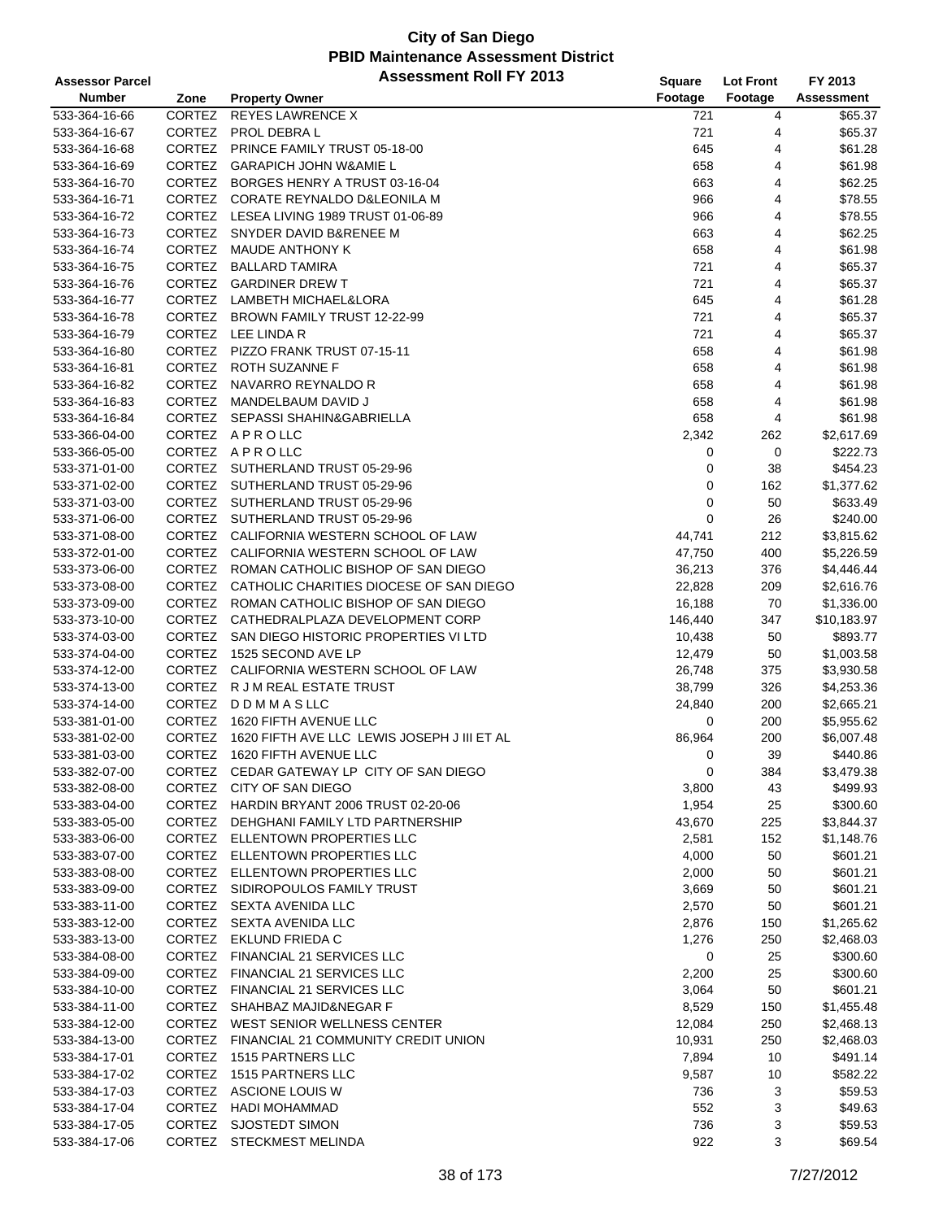| <b>Assessor Parcel</b> |               | <b>Assessment Roll FY 2013</b>                 | Square      | <b>Lot Front</b> | FY 2013     |
|------------------------|---------------|------------------------------------------------|-------------|------------------|-------------|
| <b>Number</b>          | Zone          | <b>Property Owner</b>                          | Footage     | Footage          | Assessment  |
| 533-364-16-66          | <b>CORTEZ</b> | <b>REYES LAWRENCE X</b>                        | 721         | 4                | \$65.37     |
| 533-364-16-67          | <b>CORTEZ</b> | PROL DEBRA L                                   | 721         | 4                | \$65.37     |
| 533-364-16-68          |               | CORTEZ PRINCE FAMILY TRUST 05-18-00            | 645         | 4                | \$61.28     |
| 533-364-16-69          | <b>CORTEZ</b> | <b>GARAPICH JOHN W&amp;AMIE L</b>              | 658         | 4                | \$61.98     |
| 533-364-16-70          |               | CORTEZ BORGES HENRY A TRUST 03-16-04           | 663         | 4                | \$62.25     |
| 533-364-16-71          |               | CORTEZ CORATE REYNALDO D&LEONILA M             | 966         | 4                | \$78.55     |
| 533-364-16-72          |               | CORTEZ LESEA LIVING 1989 TRUST 01-06-89        | 966         | 4                | \$78.55     |
| 533-364-16-73          |               | CORTEZ SNYDER DAVID B&RENEE M                  | 663         | 4                | \$62.25     |
| 533-364-16-74          | CORTEZ        | <b>MAUDE ANTHONY K</b>                         | 658         | 4                | \$61.98     |
| 533-364-16-75          | CORTEZ        | <b>BALLARD TAMIRA</b>                          | 721         | 4                | \$65.37     |
| 533-364-16-76          | CORTEZ        | <b>GARDINER DREW T</b>                         | 721         | 4                | \$65.37     |
| 533-364-16-77          |               | CORTEZ LAMBETH MICHAEL&LORA                    | 645         | 4                | \$61.28     |
| 533-364-16-78          |               | CORTEZ BROWN FAMILY TRUST 12-22-99             | 721         | 4                | \$65.37     |
| 533-364-16-79          |               | CORTEZ LEE LINDA R                             | 721         | $\overline{4}$   | \$65.37     |
| 533-364-16-80          | <b>CORTEZ</b> | PIZZO FRANK TRUST 07-15-11                     | 658         | 4                | \$61.98     |
| 533-364-16-81          |               | CORTEZ ROTH SUZANNE F                          | 658         | 4                | \$61.98     |
| 533-364-16-82          |               | CORTEZ NAVARRO REYNALDO R                      | 658         | 4                | \$61.98     |
| 533-364-16-83          |               | CORTEZ MANDELBAUM DAVID J                      | 658         | 4                | \$61.98     |
| 533-364-16-84          |               | CORTEZ SEPASSI SHAHIN&GABRIELLA                | 658         | 4                | \$61.98     |
| 533-366-04-00          |               | CORTEZ APROLLC                                 | 2,342       | 262              | \$2,617.69  |
| 533-366-05-00          |               | CORTEZ APROLLC                                 | 0           | 0                | \$222.73    |
| 533-371-01-00          |               | CORTEZ SUTHERLAND TRUST 05-29-96               | 0           | 38               | \$454.23    |
| 533-371-02-00          |               | CORTEZ SUTHERLAND TRUST 05-29-96               | 0           | 162              | \$1,377.62  |
| 533-371-03-00          |               | CORTEZ SUTHERLAND TRUST 05-29-96               | 0           | 50               | \$633.49    |
| 533-371-06-00          |               | CORTEZ SUTHERLAND TRUST 05-29-96               | $\mathbf 0$ | 26               | \$240.00    |
| 533-371-08-00          |               | CORTEZ CALIFORNIA WESTERN SCHOOL OF LAW        | 44,741      | 212              | \$3,815.62  |
| 533-372-01-00          |               | CORTEZ CALIFORNIA WESTERN SCHOOL OF LAW        | 47,750      | 400              | \$5,226.59  |
| 533-373-06-00          |               | CORTEZ ROMAN CATHOLIC BISHOP OF SAN DIEGO      | 36,213      | 376              | \$4,446.44  |
| 533-373-08-00          |               | CORTEZ CATHOLIC CHARITIES DIOCESE OF SAN DIEGO | 22,828      | 209              | \$2,616.76  |
| 533-373-09-00          |               | CORTEZ ROMAN CATHOLIC BISHOP OF SAN DIEGO      | 16,188      | 70               | \$1,336.00  |
| 533-373-10-00          |               | CORTEZ CATHEDRALPLAZA DEVELOPMENT CORP         | 146,440     | 347              | \$10,183.97 |
| 533-374-03-00          | <b>CORTEZ</b> | SAN DIEGO HISTORIC PROPERTIES VI LTD           | 10,438      | 50               | \$893.77    |
| 533-374-04-00          | CORTEZ        | 1525 SECOND AVE LP                             | 12,479      | 50               | \$1,003.58  |
| 533-374-12-00          |               | CORTEZ CALIFORNIA WESTERN SCHOOL OF LAW        | 26,748      | 375              | \$3,930.58  |
| 533-374-13-00          |               | CORTEZ R J M REAL ESTATE TRUST                 | 38,799      | 326              | \$4,253.36  |
| 533-374-14-00          |               | CORTEZ DDMMASLLC                               | 24,840      | 200              | \$2,665.21  |
| 533-381-01-00          | <b>CORTEZ</b> | 1620 FIFTH AVENUE LLC                          | 0           | 200              | \$5,955.62  |
| 533-381-02-00          | CORTEZ        | 1620 FIFTH AVE LLC LEWIS JOSEPH J III ET AL    | 86,964      | 200              | \$6,007.48  |
| 533-381-03-00          | <b>CORTEZ</b> | 1620 FIFTH AVENUE LLC                          | 0           | 39               | \$440.86    |
| 533-382-07-00          |               | CORTEZ CEDAR GATEWAY LP CITY OF SAN DIEGO      | 0           | 384              | \$3,479.38  |
| 533-382-08-00          |               | CORTEZ CITY OF SAN DIEGO                       | 3,800       | 43               | \$499.93    |
| 533-383-04-00          |               | CORTEZ HARDIN BRYANT 2006 TRUST 02-20-06       | 1,954       | 25               | \$300.60    |
| 533-383-05-00          |               | CORTEZ DEHGHANI FAMILY LTD PARTNERSHIP         | 43,670      | 225              | \$3,844.37  |
| 533-383-06-00          |               | CORTEZ ELLENTOWN PROPERTIES LLC                | 2,581       | 152              | \$1,148.76  |
| 533-383-07-00          |               | CORTEZ ELLENTOWN PROPERTIES LLC                | 4,000       | 50               | \$601.21    |
| 533-383-08-00          |               | CORTEZ ELLENTOWN PROPERTIES LLC                | 2,000       | 50               | \$601.21    |
| 533-383-09-00          |               | CORTEZ SIDIROPOULOS FAMILY TRUST               | 3,669       | 50               | \$601.21    |
| 533-383-11-00          |               | CORTEZ SEXTA AVENIDA LLC                       | 2,570       | 50               | \$601.21    |
| 533-383-12-00          |               | CORTEZ SEXTA AVENIDA LLC                       | 2,876       | 150              | \$1,265.62  |
| 533-383-13-00          |               | CORTEZ EKLUND FRIEDA C                         | 1,276       | 250              | \$2,468.03  |
| 533-384-08-00          |               | CORTEZ FINANCIAL 21 SERVICES LLC               | 0           | 25               | \$300.60    |
| 533-384-09-00          |               | CORTEZ FINANCIAL 21 SERVICES LLC               | 2,200       | 25               | \$300.60    |
| 533-384-10-00          |               | CORTEZ FINANCIAL 21 SERVICES LLC               | 3,064       | 50               | \$601.21    |
| 533-384-11-00          | <b>CORTEZ</b> | SHAHBAZ MAJID&NEGAR F                          | 8,529       | 150              | \$1,455.48  |
| 533-384-12-00          |               | CORTEZ WEST SENIOR WELLNESS CENTER             | 12,084      | 250              | \$2,468.13  |
| 533-384-13-00          |               | CORTEZ FINANCIAL 21 COMMUNITY CREDIT UNION     | 10,931      | 250              | \$2,468.03  |
| 533-384-17-01          |               | CORTEZ 1515 PARTNERS LLC                       | 7,894       | 10               | \$491.14    |
| 533-384-17-02          | <b>CORTEZ</b> | 1515 PARTNERS LLC                              | 9,587       | 10               | \$582.22    |
| 533-384-17-03          |               | CORTEZ ASCIONE LOUIS W                         | 736         | 3                | \$59.53     |
| 533-384-17-04          | <b>CORTEZ</b> | HADI MOHAMMAD                                  | 552         | 3                | \$49.63     |
| 533-384-17-05          | CORTEZ        | <b>SJOSTEDT SIMON</b>                          | 736         | 3                | \$59.53     |
| 533-384-17-06          |               | CORTEZ STECKMEST MELINDA                       | 922         | 3                | \$69.54     |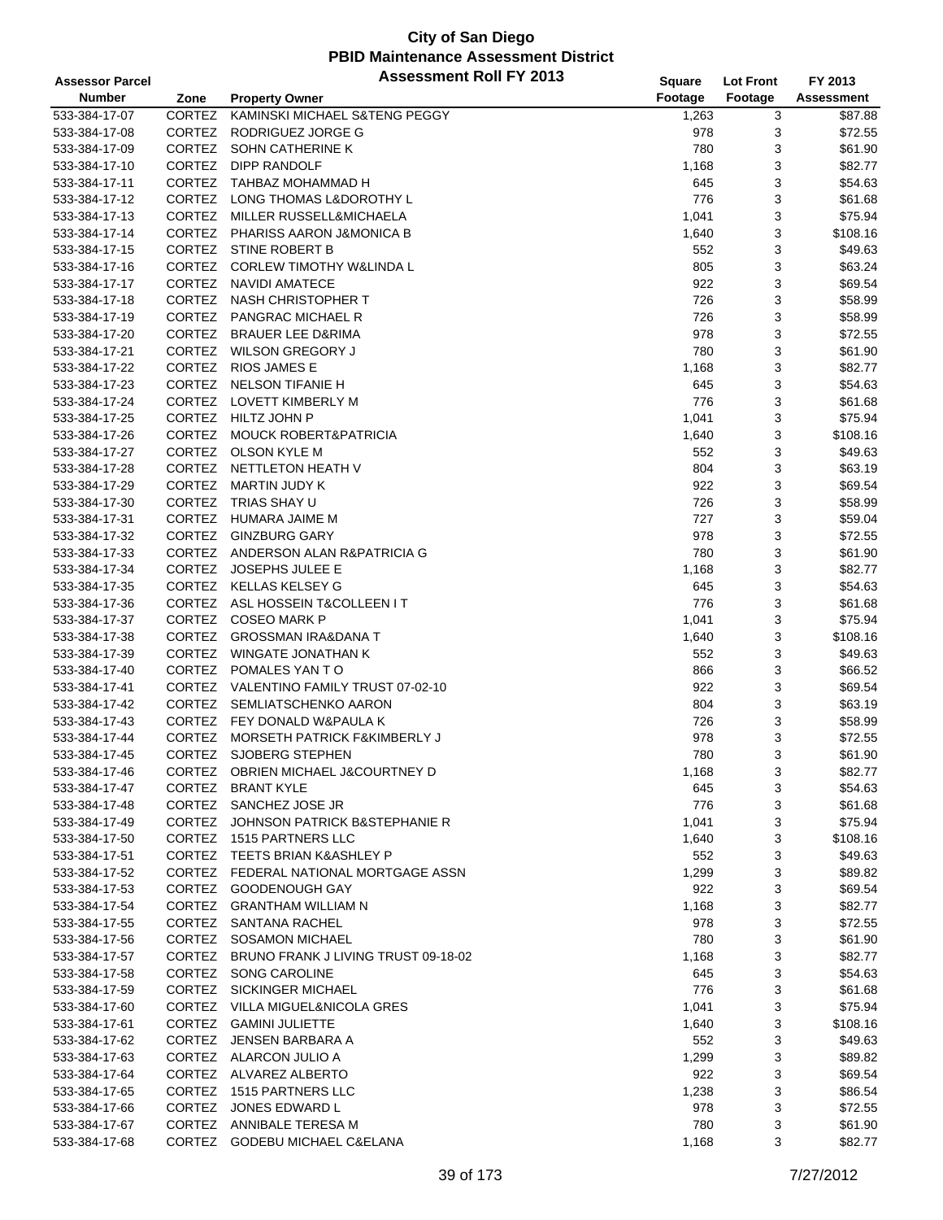| <b>Assessor Parcel</b> |               | <b>Assessment Roll FY 2013</b>             | <b>Square</b> | <b>Lot Front</b> | FY 2013           |
|------------------------|---------------|--------------------------------------------|---------------|------------------|-------------------|
| <b>Number</b>          | Zone          | <b>Property Owner</b>                      | Footage       | Footage          | <b>Assessment</b> |
| 533-384-17-07          | <b>CORTEZ</b> | KAMINSKI MICHAEL S&TENG PEGGY              | 1,263         | 3                | \$87.88           |
| 533-384-17-08          | CORTEZ        | RODRIGUEZ JORGE G                          | 978           | 3                | \$72.55           |
| 533-384-17-09          | CORTEZ        | SOHN CATHERINE K                           | 780           | 3                | \$61.90           |
| 533-384-17-10          | CORTEZ        | DIPP RANDOLF                               | 1,168         | 3                | \$82.77           |
| 533-384-17-11          | CORTEZ        | TAHBAZ MOHAMMAD H                          | 645           | 3                | \$54.63           |
| 533-384-17-12          |               | CORTEZ LONG THOMAS L&DOROTHY L             | 776           | 3                | \$61.68           |
| 533-384-17-13          |               | CORTEZ MILLER RUSSELL&MICHAELA             | 1,041         | 3                | \$75.94           |
| 533-384-17-14          |               | CORTEZ PHARISS AARON J&MONICA B            | 1,640         | 3                | \$108.16          |
| 533-384-17-15          |               | CORTEZ STINE ROBERT B                      | 552           | 3                | \$49.63           |
| 533-384-17-16          | <b>CORTEZ</b> | <b>CORLEW TIMOTHY W&amp;LINDA L</b>        | 805           | 3                | \$63.24           |
| 533-384-17-17          | CORTEZ        | <b>NAVIDI AMATECE</b>                      | 922           | 3                | \$69.54           |
| 533-384-17-18          |               | CORTEZ NASH CHRISTOPHER T                  | 726           | 3                | \$58.99           |
| 533-384-17-19          |               | CORTEZ PANGRAC MICHAEL R                   | 726           | 3                | \$58.99           |
| 533-384-17-20          |               | CORTEZ BRAUER LEE D&RIMA                   | 978           | 3                | \$72.55           |
| 533-384-17-21          | <b>CORTEZ</b> | WILSON GREGORY J                           | 780           | 3                | \$61.90           |
| 533-384-17-22          |               | CORTEZ RIOS JAMES E                        | 1,168         | 3                | \$82.77           |
| 533-384-17-23          |               | CORTEZ NELSON TIFANIE H                    | 645           | 3                | \$54.63           |
| 533-384-17-24          |               | CORTEZ LOVETT KIMBERLY M                   | 776           | 3                | \$61.68           |
| 533-384-17-25          |               | CORTEZ HILTZ JOHN P                        | 1,041         | 3                | \$75.94           |
| 533-384-17-26          |               | CORTEZ MOUCK ROBERT&PATRICIA               | 1,640         | 3                | \$108.16          |
| 533-384-17-27          | CORTEZ        | OLSON KYLE M                               | 552           | 3                | \$49.63           |
| 533-384-17-28          | CORTEZ        | NETTLETON HEATH V                          | 804           | 3                | \$63.19           |
| 533-384-17-29          | <b>CORTEZ</b> | MARTIN JUDY K                              | 922           | 3                | \$69.54           |
| 533-384-17-30          | <b>CORTEZ</b> | TRIAS SHAY U                               | 726           | 3                | \$58.99           |
| 533-384-17-31          |               | CORTEZ HUMARA JAIME M                      | 727           | 3                | \$59.04           |
| 533-384-17-32          | <b>CORTEZ</b> | <b>GINZBURG GARY</b>                       | 978           | 3                | \$72.55           |
| 533-384-17-33          |               | CORTEZ ANDERSON ALAN R&PATRICIA G          | 780           | 3                | \$61.90           |
| 533-384-17-34          |               | CORTEZ JOSEPHS JULEE E                     | 1,168         | 3                | \$82.77           |
| 533-384-17-35          |               | CORTEZ KELLAS KELSEY G                     | 645           | 3                | \$54.63           |
| 533-384-17-36          |               | CORTEZ ASL HOSSEIN T&COLLEEN IT            | 776           | 3                | \$61.68           |
| 533-384-17-37          |               | CORTEZ COSEO MARK P                        | 1,041         | 3                | \$75.94           |
| 533-384-17-38          | <b>CORTEZ</b> | <b>GROSSMAN IRA&amp;DANA T</b>             | 1,640         | 3                | \$108.16          |
| 533-384-17-39          | CORTEZ        | <b>WINGATE JONATHAN K</b>                  | 552           | 3                | \$49.63           |
| 533-384-17-40          |               | CORTEZ POMALES YAN TO                      | 866           | 3                | \$66.52           |
| 533-384-17-41          |               | CORTEZ VALENTINO FAMILY TRUST 07-02-10     | 922           | 3                | \$69.54           |
| 533-384-17-42          |               | CORTEZ SEMLIATSCHENKO AARON                | 804           | 3                | \$63.19           |
| 533-384-17-43          |               | CORTEZ FEY DONALD W&PAULA K                | 726           | 3                | \$58.99           |
| 533-384-17-44          | <b>CORTEZ</b> | MORSETH PATRICK F&KIMBERLY J               | 978           | 3                | \$72.55           |
| 533-384-17-45          |               | CORTEZ SJOBERG STEPHEN                     | 780           | 3                | \$61.90           |
| 533-384-17-46          |               | CORTEZ OBRIEN MICHAEL J&COURTNEY D         | 1,168         | 3                | \$82.77           |
| 533-384-17-47          | CORTEZ        | <b>BRANT KYLE</b>                          | 645           | 3                | \$54.63           |
| 533-384-17-48          |               | CORTEZ SANCHEZ JOSE JR                     | 776           | 3                | \$61.68           |
| 533-384-17-49          | CORTEZ        | JOHNSON PATRICK B&STEPHANIE R              | 1,041         | 3                | \$75.94           |
| 533-384-17-50          |               | CORTEZ 1515 PARTNERS LLC                   | 1,640         | 3                | \$108.16          |
| 533-384-17-51          |               | CORTEZ TEETS BRIAN K&ASHLEY P              | 552           | 3                | \$49.63           |
| 533-384-17-52          |               | CORTEZ FEDERAL NATIONAL MORTGAGE ASSN      | 1,299         | 3                | \$89.82           |
| 533-384-17-53          |               | CORTEZ GOODENOUGH GAY                      | 922           | 3                | \$69.54           |
| 533-384-17-54          |               | CORTEZ GRANTHAM WILLIAM N                  | 1,168         | 3                | \$82.77           |
| 533-384-17-55          |               | CORTEZ SANTANA RACHEL                      | 978           | 3                | \$72.55           |
| 533-384-17-56          |               | CORTEZ SOSAMON MICHAEL                     | 780           | 3                | \$61.90           |
| 533-384-17-57          |               | CORTEZ BRUNO FRANK J LIVING TRUST 09-18-02 | 1,168         | 3                | \$82.77           |
| 533-384-17-58          |               | CORTEZ SONG CAROLINE                       | 645           | 3                | \$54.63           |
| 533-384-17-59          |               | CORTEZ SICKINGER MICHAEL                   | 776           | 3                | \$61.68           |
| 533-384-17-60          |               | CORTEZ VILLA MIGUEL&NICOLA GRES            | 1,041         | 3                | \$75.94           |
| 533-384-17-61          |               | CORTEZ GAMINI JULIETTE                     | 1,640         | 3                | \$108.16          |
| 533-384-17-62          |               | CORTEZ JENSEN BARBARA A                    | 552           | 3                | \$49.63           |
| 533-384-17-63          |               | CORTEZ ALARCON JULIO A                     | 1,299         | 3                | \$89.82           |
| 533-384-17-64          |               | CORTEZ ALVAREZ ALBERTO                     | 922           | 3                | \$69.54           |
| 533-384-17-65          |               | CORTEZ 1515 PARTNERS LLC                   | 1,238         | 3                | \$86.54           |
| 533-384-17-66          | CORTEZ        | JONES EDWARD L                             | 978           | 3                | \$72.55           |
| 533-384-17-67          |               | CORTEZ ANNIBALE TERESA M                   | 780           | 3                | \$61.90           |
| 533-384-17-68          |               | CORTEZ GODEBU MICHAEL C&ELANA              | 1,168         | 3                | \$82.77           |
|                        |               |                                            |               |                  |                   |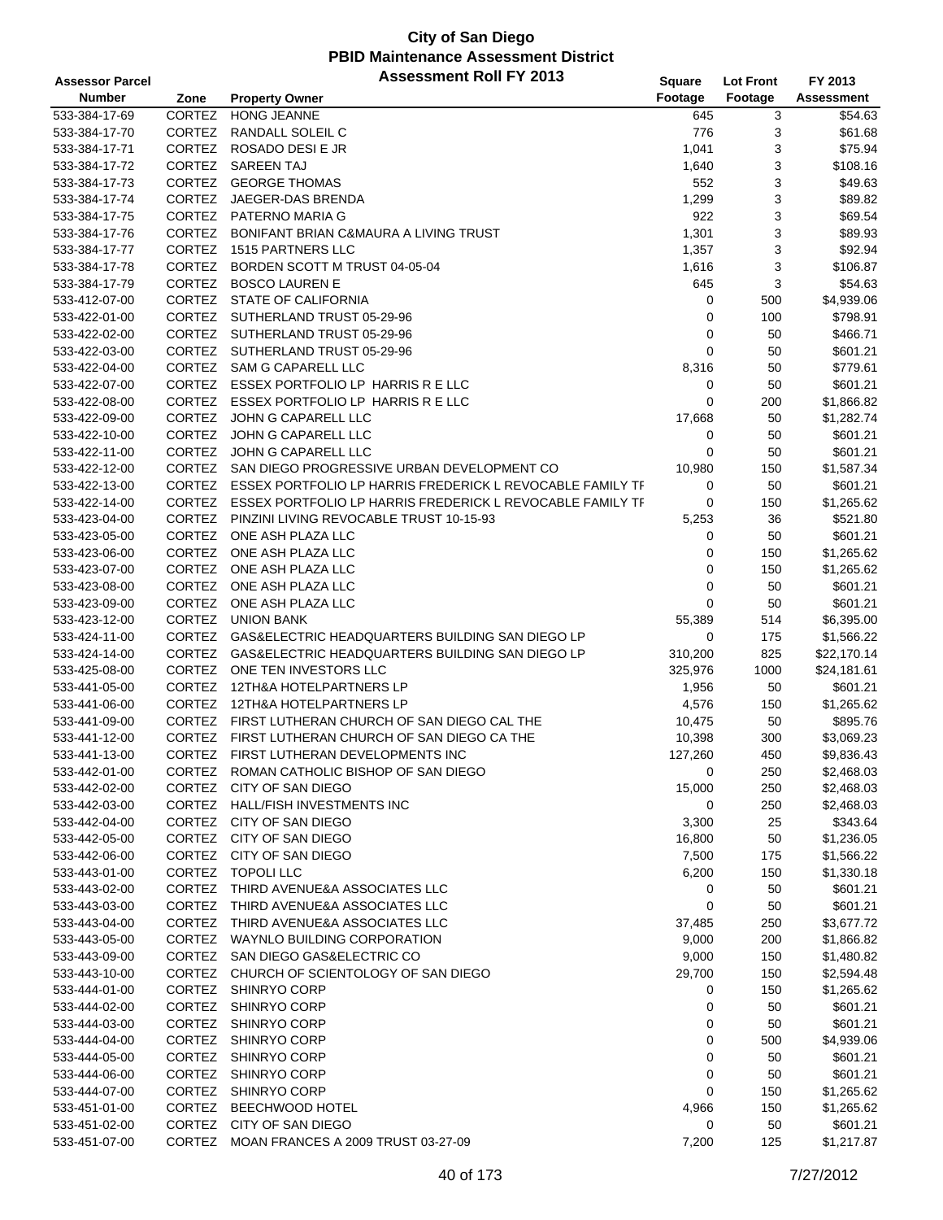| <b>Assessor Parcel</b> |               | <b>Assessment Roll FY 2013</b>                                   | Square      | <b>Lot Front</b> | FY 2013     |
|------------------------|---------------|------------------------------------------------------------------|-------------|------------------|-------------|
| <b>Number</b>          | Zone          | <b>Property Owner</b>                                            | Footage     | Footage          | Assessment  |
| 533-384-17-69          | CORTEZ        | <b>HONG JEANNE</b>                                               | 645         | 3                | \$54.63     |
| 533-384-17-70          | <b>CORTEZ</b> | RANDALL SOLEIL C                                                 | 776         | 3                | \$61.68     |
| 533-384-17-71          | CORTEZ        | ROSADO DESI E JR                                                 | 1,041       | 3                | \$75.94     |
| 533-384-17-72          | CORTEZ        | <b>SAREEN TAJ</b>                                                | 1,640       | 3                | \$108.16    |
| 533-384-17-73          | <b>CORTEZ</b> | <b>GEORGE THOMAS</b>                                             | 552         | 3                | \$49.63     |
| 533-384-17-74          | CORTEZ        | JAEGER-DAS BRENDA                                                | 1,299       | 3                | \$89.82     |
| 533-384-17-75          |               | CORTEZ PATERNO MARIA G                                           | 922         | 3                | \$69.54     |
| 533-384-17-76          | <b>CORTEZ</b> | BONIFANT BRIAN C&MAURA A LIVING TRUST                            | 1,301       | 3                | \$89.93     |
| 533-384-17-77          | CORTEZ        | 1515 PARTNERS LLC                                                | 1,357       | 3                | \$92.94     |
| 533-384-17-78          | <b>CORTEZ</b> | BORDEN SCOTT M TRUST 04-05-04                                    | 1,616       | 3                | \$106.87    |
| 533-384-17-79          | CORTEZ        | <b>BOSCO LAUREN E</b>                                            | 645         | 3                | \$54.63     |
| 533-412-07-00          |               | CORTEZ STATE OF CALIFORNIA                                       | 0           | 500              | \$4,939.06  |
| 533-422-01-00          | <b>CORTEZ</b> | SUTHERLAND TRUST 05-29-96                                        | 0           | 100              | \$798.91    |
| 533-422-02-00          |               | CORTEZ SUTHERLAND TRUST 05-29-96                                 | 0           | 50               | \$466.71    |
| 533-422-03-00          | <b>CORTEZ</b> | SUTHERLAND TRUST 05-29-96                                        | $\mathbf 0$ | 50               | \$601.21    |
| 533-422-04-00          | CORTEZ        | SAM G CAPARELL LLC                                               | 8,316       | 50               | \$779.61    |
| 533-422-07-00          |               | CORTEZ ESSEX PORTFOLIO LP HARRIS R E LLC                         | 0           | 50               | \$601.21    |
| 533-422-08-00          |               | CORTEZ ESSEX PORTFOLIO LP HARRIS R E LLC                         | 0           | 200              | \$1,866.82  |
| 533-422-09-00          | CORTEZ        | JOHN G CAPARELL LLC                                              | 17,668      | 50               | \$1,282.74  |
| 533-422-10-00          | CORTEZ        | JOHN G CAPARELL LLC                                              | 0           | 50               | \$601.21    |
| 533-422-11-00          | <b>CORTEZ</b> | JOHN G CAPARELL LLC                                              | 0           | 50               | \$601.21    |
| 533-422-12-00          | <b>CORTEZ</b> | SAN DIEGO PROGRESSIVE URBAN DEVELOPMENT CO                       | 10,980      | 150              | \$1,587.34  |
| 533-422-13-00          |               | CORTEZ ESSEX PORTFOLIO LP HARRIS FREDERICK L REVOCABLE FAMILY TF | 0           | 50               | \$601.21    |
| 533-422-14-00          |               | CORTEZ ESSEX PORTFOLIO LP HARRIS FREDERICK L REVOCABLE FAMILY TF | 0           | 150              | \$1,265.62  |
| 533-423-04-00          | <b>CORTEZ</b> | PINZINI LIVING REVOCABLE TRUST 10-15-93                          | 5,253       | 36               | \$521.80    |
| 533-423-05-00          | CORTEZ        | ONE ASH PLAZA LLC                                                | 0           | 50               | \$601.21    |
| 533-423-06-00          | CORTEZ        | ONE ASH PLAZA LLC                                                | 0           | 150              | \$1,265.62  |
| 533-423-07-00          | CORTEZ        | ONE ASH PLAZA LLC                                                | 0           | 150              | \$1,265.62  |
| 533-423-08-00          | CORTEZ        | ONE ASH PLAZA LLC                                                | 0           | 50               | \$601.21    |
| 533-423-09-00          | CORTEZ        | ONE ASH PLAZA LLC                                                | 0           | 50               | \$601.21    |
| 533-423-12-00          | CORTEZ        | <b>UNION BANK</b>                                                | 55,389      | 514              | \$6,395.00  |
| 533-424-11-00          | <b>CORTEZ</b> | GAS&ELECTRIC HEADQUARTERS BUILDING SAN DIEGO LP                  | 0           | 175              | \$1,566.22  |
| 533-424-14-00          | <b>CORTEZ</b> | GAS&ELECTRIC HEADQUARTERS BUILDING SAN DIEGO LP                  | 310,200     | 825              | \$22,170.14 |
| 533-425-08-00          | <b>CORTEZ</b> | ONE TEN INVESTORS LLC                                            | 325,976     | 1000             | \$24,181.61 |
| 533-441-05-00          | CORTEZ        | 12TH&A HOTELPARTNERS LP                                          | 1,956       | 50               | \$601.21    |
| 533-441-06-00          | <b>CORTEZ</b> | 12TH&A HOTELPARTNERS LP                                          | 4,576       | 150              | \$1,265.62  |
| 533-441-09-00          | <b>CORTEZ</b> | FIRST LUTHERAN CHURCH OF SAN DIEGO CAL THE                       | 10,475      | 50               | \$895.76    |
| 533-441-12-00          | <b>CORTEZ</b> | FIRST LUTHERAN CHURCH OF SAN DIEGO CA THE                        | 10,398      | 300              | \$3,069.23  |
| 533-441-13-00          |               | CORTEZ FIRST LUTHERAN DEVELOPMENTS INC                           | 127,260     | 450              | \$9,836.43  |
| 533-442-01-00          |               | CORTEZ ROMAN CATHOLIC BISHOP OF SAN DIEGO                        | 0           | 250              | \$2,468.03  |
| 533-442-02-00          | <b>CORTEZ</b> | CITY OF SAN DIEGO                                                | 15,000      | 250              | \$2,468.03  |
| 533-442-03-00          |               | CORTEZ HALL/FISH INVESTMENTS INC                                 | 0           | 250              | \$2,468.03  |
| 533-442-04-00          | <b>CORTEZ</b> | CITY OF SAN DIEGO                                                | 3,300       | 25               | \$343.64    |
| 533-442-05-00          | CORTEZ        | CITY OF SAN DIEGO                                                | 16,800      | 50               | \$1,236.05  |
| 533-442-06-00          |               | CORTEZ CITY OF SAN DIEGO                                         | 7,500       | 175              | \$1,566.22  |
| 533-443-01-00          | <b>CORTEZ</b> | TOPOLI LLC                                                       | 6,200       | 150              | \$1,330.18  |
| 533-443-02-00          | <b>CORTEZ</b> | THIRD AVENUE&A ASSOCIATES LLC                                    | 0           | 50               | \$601.21    |
| 533-443-03-00          | <b>CORTEZ</b> | THIRD AVENUE&A ASSOCIATES LLC                                    | 0           | 50               | \$601.21    |
| 533-443-04-00          | CORTEZ        | THIRD AVENUE&A ASSOCIATES LLC                                    | 37,485      | 250              | \$3,677.72  |
| 533-443-05-00          |               | CORTEZ WAYNLO BUILDING CORPORATION                               | 9,000       | 200              | \$1,866.82  |
| 533-443-09-00          |               | CORTEZ SAN DIEGO GAS&ELECTRIC CO                                 | 9,000       | 150              | \$1,480.82  |
| 533-443-10-00          |               | CORTEZ CHURCH OF SCIENTOLOGY OF SAN DIEGO                        | 29,700      | 150              | \$2,594.48  |
| 533-444-01-00          |               | CORTEZ SHINRYO CORP                                              | 0           | 150              | \$1,265.62  |
| 533-444-02-00          | <b>CORTEZ</b> | SHINRYO CORP                                                     | 0           | 50               | \$601.21    |
| 533-444-03-00          | <b>CORTEZ</b> | SHINRYO CORP                                                     | 0           | 50               | \$601.21    |
| 533-444-04-00          | CORTEZ        | SHINRYO CORP                                                     | 0           | 500              | \$4,939.06  |
| 533-444-05-00          | CORTEZ        | SHINRYO CORP                                                     | 0           | 50               | \$601.21    |
| 533-444-06-00          | CORTEZ        | SHINRYO CORP                                                     | 0           | 50               | \$601.21    |
| 533-444-07-00          | CORTEZ        | SHINRYO CORP                                                     | 0           | 150              | \$1,265.62  |
| 533-451-01-00          | <b>CORTEZ</b> | BEECHWOOD HOTEL                                                  | 4,966       | 150              | \$1,265.62  |
| 533-451-02-00          | CORTEZ        | CITY OF SAN DIEGO                                                | 0           | 50               | \$601.21    |
| 533-451-07-00          |               | CORTEZ MOAN FRANCES A 2009 TRUST 03-27-09                        | 7,200       | 125              | \$1,217.87  |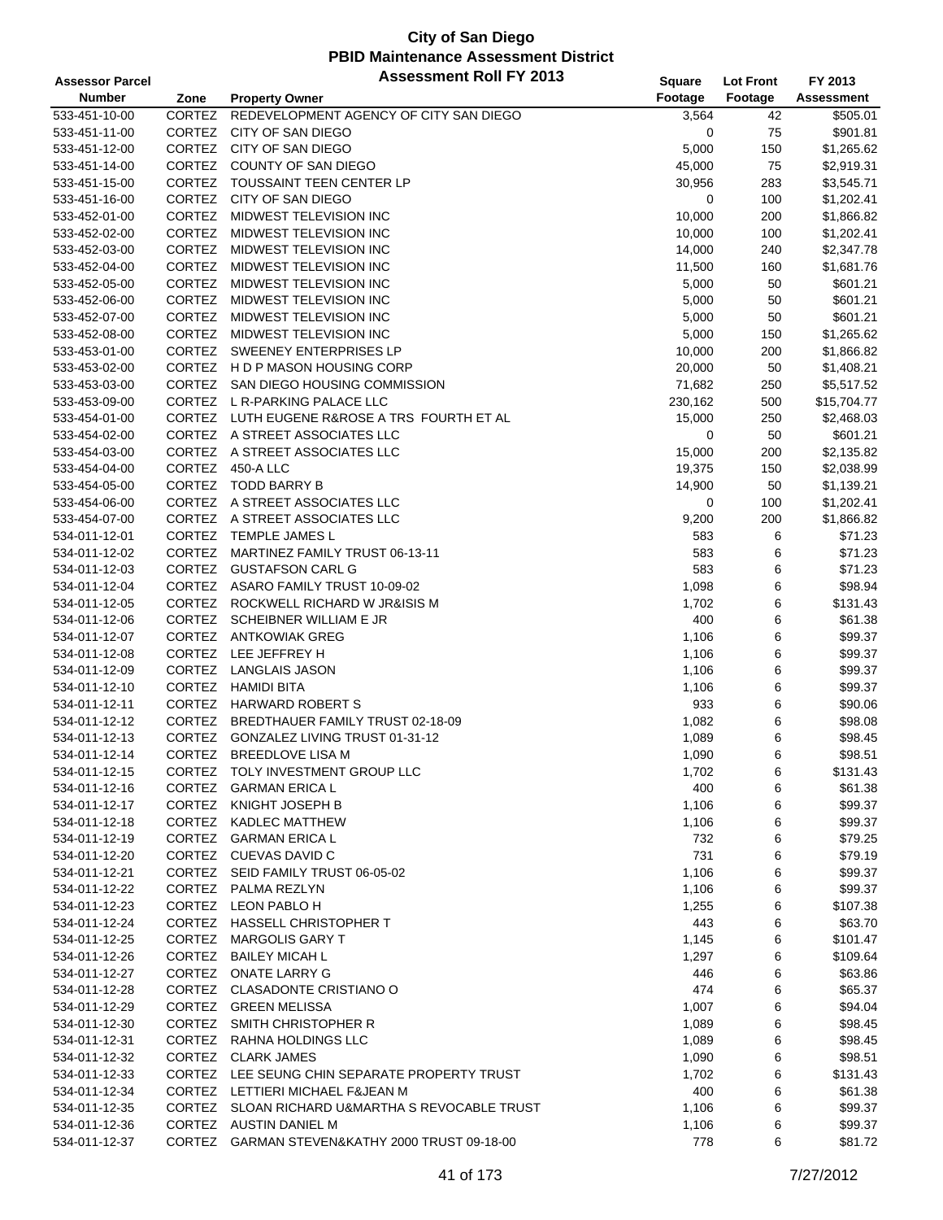| <b>Assessor Parcel</b> |               | <b>Assessment Roll FY 2013</b>                  | Square  | <b>Lot Front</b> | FY 2013           |
|------------------------|---------------|-------------------------------------------------|---------|------------------|-------------------|
| <b>Number</b>          | Zone          | <b>Property Owner</b>                           | Footage | Footage          | <b>Assessment</b> |
| 533-451-10-00          | CORTEZ        | REDEVELOPMENT AGENCY OF CITY SAN DIEGO          | 3,564   | 42               | \$505.01          |
| 533-451-11-00          | CORTEZ        | CITY OF SAN DIEGO                               | 0       | 75               | \$901.81          |
| 533-451-12-00          |               | CORTEZ CITY OF SAN DIEGO                        | 5,000   | 150              | \$1,265.62        |
| 533-451-14-00          | CORTEZ        | COUNTY OF SAN DIEGO                             | 45,000  | 75               | \$2,919.31        |
| 533-451-15-00          |               | CORTEZ TOUSSAINT TEEN CENTER LP                 | 30,956  | 283              | \$3,545.71        |
| 533-451-16-00          |               | CORTEZ CITY OF SAN DIEGO                        | 0       | 100              | \$1,202.41        |
| 533-452-01-00          | <b>CORTEZ</b> | MIDWEST TELEVISION INC                          | 10,000  | 200              | \$1,866.82        |
| 533-452-02-00          | <b>CORTEZ</b> | MIDWEST TELEVISION INC                          | 10,000  | 100              | \$1,202.41        |
| 533-452-03-00          | CORTEZ        | MIDWEST TELEVISION INC                          | 14,000  | 240              | \$2,347.78        |
| 533-452-04-00          | <b>CORTEZ</b> | <b>MIDWEST TELEVISION INC</b>                   | 11,500  | 160              | \$1,681.76        |
| 533-452-05-00          | CORTEZ        | MIDWEST TELEVISION INC                          | 5,000   | 50               | \$601.21          |
| 533-452-06-00          | CORTEZ        | MIDWEST TELEVISION INC                          | 5,000   | 50               | \$601.21          |
| 533-452-07-00          | CORTEZ        | MIDWEST TELEVISION INC                          | 5,000   | 50               | \$601.21          |
| 533-452-08-00          |               | CORTEZ MIDWEST TELEVISION INC                   | 5,000   | 150              | \$1,265.62        |
| 533-453-01-00          | CORTEZ        | SWEENEY ENTERPRISES LP                          | 10,000  | 200              | \$1,866.82        |
| 533-453-02-00          |               | CORTEZ H D P MASON HOUSING CORP                 | 20,000  | 50               | \$1,408.21        |
| 533-453-03-00          |               | CORTEZ SAN DIEGO HOUSING COMMISSION             | 71,682  | 250              | \$5,517.52        |
| 533-453-09-00          |               | CORTEZ L R-PARKING PALACE LLC                   | 230,162 | 500              | \$15,704.77       |
| 533-454-01-00          |               | CORTEZ LUTH EUGENE R&ROSE A TRS FOURTH ET AL    | 15,000  | 250              | \$2,468.03        |
| 533-454-02-00          |               | CORTEZ A STREET ASSOCIATES LLC                  | 0       | 50               | \$601.21          |
| 533-454-03-00          |               | CORTEZ A STREET ASSOCIATES LLC                  | 15,000  | 200              | \$2,135.82        |
| 533-454-04-00          |               | CORTEZ 450-A LLC                                | 19,375  | 150              | \$2,038.99        |
| 533-454-05-00          |               | CORTEZ TODD BARRY B                             | 14,900  | 50               | \$1,139.21        |
| 533-454-06-00          |               | CORTEZ A STREET ASSOCIATES LLC                  | 0       | 100              | \$1,202.41        |
| 533-454-07-00          |               | CORTEZ A STREET ASSOCIATES LLC                  | 9,200   | 200              | \$1,866.82        |
| 534-011-12-01          |               | CORTEZ TEMPLE JAMES L                           | 583     | 6                | \$71.23           |
| 534-011-12-02          | CORTEZ        | MARTINEZ FAMILY TRUST 06-13-11                  | 583     | 6                | \$71.23           |
| 534-011-12-03          |               | CORTEZ GUSTAFSON CARL G                         | 583     | 6                | \$71.23           |
| 534-011-12-04          |               | CORTEZ ASARO FAMILY TRUST 10-09-02              | 1,098   | 6                | \$98.94           |
| 534-011-12-05          |               | CORTEZ ROCKWELL RICHARD W JR&ISIS M             | 1,702   | 6                | \$131.43          |
| 534-011-12-06          |               | CORTEZ SCHEIBNER WILLIAM E JR                   | 400     | 6                | \$61.38           |
| 534-011-12-07          | CORTEZ        | ANTKOWIAK GREG                                  | 1,106   | 6                | \$99.37           |
| 534-011-12-08          |               | CORTEZ LEE JEFFREY H                            | 1,106   | 6                | \$99.37           |
| 534-011-12-09          |               | CORTEZ LANGLAIS JASON                           | 1,106   | 6                | \$99.37           |
| 534-011-12-10          | CORTEZ        | <b>HAMIDI BITA</b>                              | 1,106   | 6                | \$99.37           |
| 534-011-12-11          |               | CORTEZ HARWARD ROBERT S                         | 933     | 6                | \$90.06           |
| 534-011-12-12          | <b>CORTEZ</b> | BREDTHAUER FAMILY TRUST 02-18-09                | 1,082   | 6                | \$98.08           |
| 534-011-12-13          | CORTEZ        | GONZALEZ LIVING TRUST 01-31-12                  | 1,089   | 6                | \$98.45           |
| 534-011-12-14          | CORTEZ        | <b>BREEDLOVE LISA M</b>                         | 1,090   | 6                | \$98.51           |
| 534-011-12-15          |               | CORTEZ TOLY INVESTMENT GROUP LLC                | 1,702   | 6                | \$131.43          |
| 534-011-12-16          | CORTEZ        | <b>GARMAN ERICA L</b>                           | 400     | 6                | \$61.38           |
| 534-011-12-17          |               | CORTEZ KNIGHT JOSEPH B                          | 1,106   | 6                | \$99.37           |
| 534-011-12-18          |               | CORTEZ KADLEC MATTHEW                           | 1,106   | 6                | \$99.37           |
| 534-011-12-19          |               | CORTEZ GARMAN ERICA L                           | 732     | 6                | \$79.25           |
| 534-011-12-20          |               | CORTEZ CUEVAS DAVID C                           | 731     | 6                | \$79.19           |
| 534-011-12-21          |               | CORTEZ SEID FAMILY TRUST 06-05-02               | 1,106   | 6                | \$99.37           |
| 534-011-12-22          |               | CORTEZ PALMA REZLYN                             | 1,106   | 6                | \$99.37           |
| 534-011-12-23          |               | CORTEZ LEON PABLO H                             | 1,255   | 6                | \$107.38          |
| 534-011-12-24          |               | CORTEZ HASSELL CHRISTOPHER T                    | 443     | 6                | \$63.70           |
| 534-011-12-25          |               | CORTEZ MARGOLIS GARY T                          | 1,145   | 6                | \$101.47          |
| 534-011-12-26          |               | CORTEZ BAILEY MICAH L                           | 1,297   | 6                | \$109.64          |
| 534-011-12-27          |               | CORTEZ ONATE LARRY G                            | 446     | 6                | \$63.86           |
| 534-011-12-28          |               | CORTEZ CLASADONTE CRISTIANO O                   | 474     | 6                | \$65.37           |
| 534-011-12-29          |               | CORTEZ GREEN MELISSA                            | 1,007   | 6                | \$94.04           |
| 534-011-12-30          |               | CORTEZ SMITH CHRISTOPHER R                      | 1,089   | 6                | \$98.45           |
| 534-011-12-31          |               | CORTEZ RAHNA HOLDINGS LLC                       | 1,089   | 6                | \$98.45           |
| 534-011-12-32          |               | CORTEZ CLARK JAMES                              | 1,090   | 6                | \$98.51           |
| 534-011-12-33          |               | CORTEZ LEE SEUNG CHIN SEPARATE PROPERTY TRUST   | 1,702   | 6                | \$131.43          |
| 534-011-12-34          |               | CORTEZ LETTIERI MICHAEL F&JEAN M                | 400     | 6                | \$61.38           |
| 534-011-12-35          |               | CORTEZ SLOAN RICHARD U&MARTHA S REVOCABLE TRUST | 1,106   | 6                | \$99.37           |
| 534-011-12-36          |               | CORTEZ AUSTIN DANIEL M                          | 1,106   | 6                | \$99.37           |
| 534-011-12-37          |               | CORTEZ GARMAN STEVEN&KATHY 2000 TRUST 09-18-00  | 778     | 6                | \$81.72           |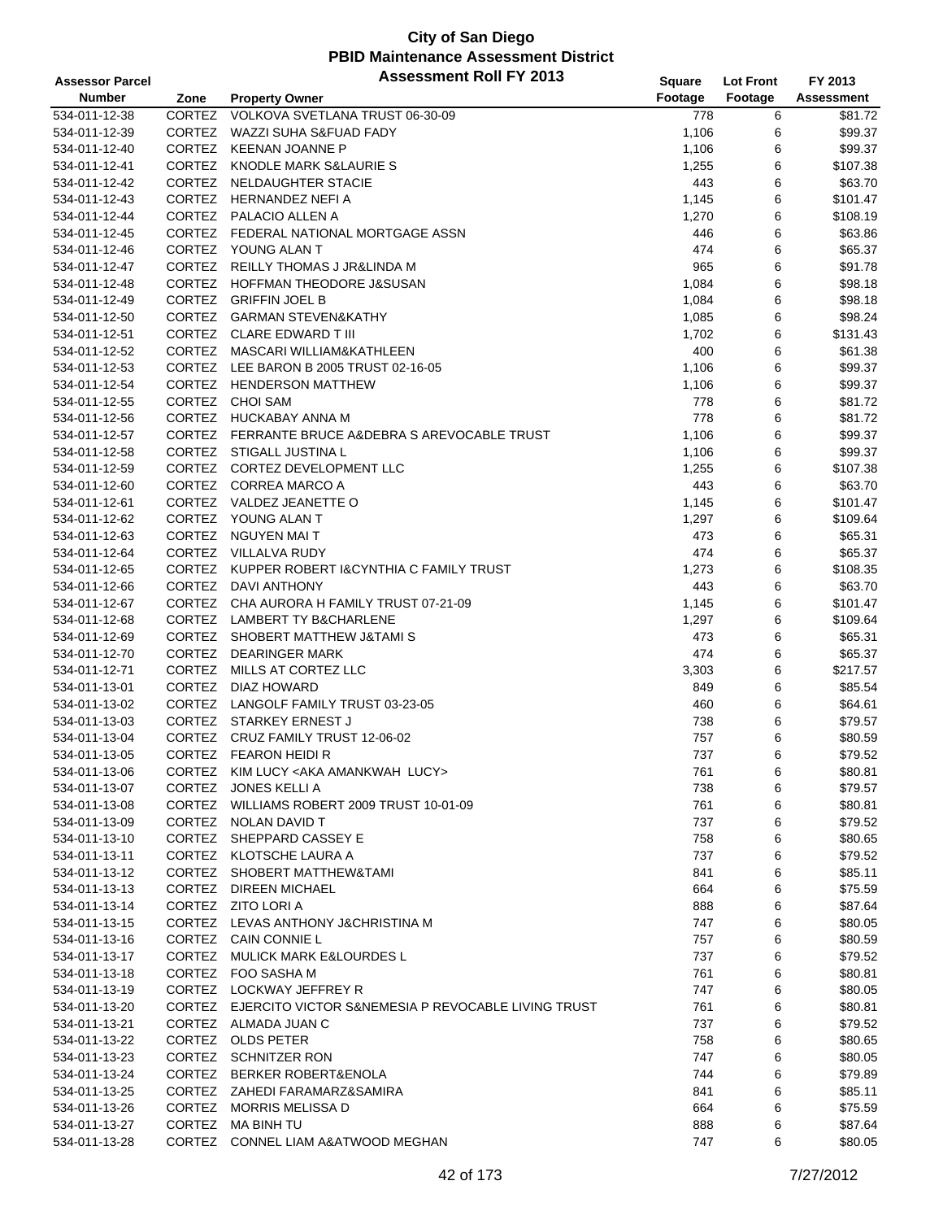| <b>Assessor Parcel</b> |               | <b>Assessment Roll FY 2013</b>                            | <b>Square</b> | <b>Lot Front</b> | FY 2013           |
|------------------------|---------------|-----------------------------------------------------------|---------------|------------------|-------------------|
| <b>Number</b>          | Zone          | <b>Property Owner</b>                                     | Footage       | Footage          | <b>Assessment</b> |
| 534-011-12-38          | CORTEZ        | VOLKOVA SVETLANA TRUST 06-30-09                           | 778           | 6                | \$81.72           |
| 534-011-12-39          | <b>CORTEZ</b> | WAZZI SUHA S&FUAD FADY                                    | 1,106         | 6                | \$99.37           |
| 534-011-12-40          |               | CORTEZ KEENAN JOANNE P                                    | 1,106         | 6                | \$99.37           |
| 534-011-12-41          | <b>CORTEZ</b> | KNODLE MARK S&LAURIE S                                    | 1,255         | 6                | \$107.38          |
| 534-011-12-42          |               | CORTEZ NELDAUGHTER STACIE                                 | 443           | 6                | \$63.70           |
| 534-011-12-43          |               | CORTEZ HERNANDEZ NEFI A                                   | 1,145         | 6                | \$101.47          |
| 534-011-12-44          |               | CORTEZ PALACIO ALLEN A                                    | 1,270         | 6                | \$108.19          |
| 534-011-12-45          |               | CORTEZ FEDERAL NATIONAL MORTGAGE ASSN                     | 446           | 6                | \$63.86           |
| 534-011-12-46          |               | CORTEZ YOUNG ALAN T                                       | 474           | 6                | \$65.37           |
| 534-011-12-47          | <b>CORTEZ</b> | REILLY THOMAS J JR&LINDA M                                | 965           | 6                | \$91.78           |
| 534-011-12-48          |               | CORTEZ HOFFMAN THEODORE J&SUSAN                           | 1,084         | 6                | \$98.18           |
| 534-011-12-49          |               | CORTEZ GRIFFIN JOEL B                                     | 1,084         | 6                | \$98.18           |
| 534-011-12-50          |               | CORTEZ GARMAN STEVEN&KATHY                                | 1,085         | 6                | \$98.24           |
| 534-011-12-51          |               | CORTEZ CLARE EDWARD T III                                 | 1,702         | 6                | \$131.43          |
| 534-011-12-52          |               | CORTEZ MASCARI WILLIAM&KATHLEEN                           | 400           | 6                | \$61.38           |
| 534-011-12-53          |               | CORTEZ LEE BARON B 2005 TRUST 02-16-05                    | 1,106         | 6                | \$99.37           |
| 534-011-12-54          |               | CORTEZ HENDERSON MATTHEW                                  | 1,106         | 6                | \$99.37           |
| 534-011-12-55          |               | CORTEZ CHOI SAM                                           | 778           | 6                | \$81.72           |
| 534-011-12-56          |               | CORTEZ HUCKABAY ANNA M                                    | 778           | 6                | \$81.72           |
| 534-011-12-57          |               | CORTEZ FERRANTE BRUCE A& DEBRA S AREVOCABLE TRUST         | 1,106         | 6                | \$99.37           |
| 534-011-12-58          | <b>CORTEZ</b> | STIGALL JUSTINA L                                         | 1,106         | 6                | \$99.37           |
| 534-011-12-59          |               | CORTEZ CORTEZ DEVELOPMENT LLC                             | 1,255         | 6                | \$107.38          |
| 534-011-12-60          |               | CORTEZ CORREA MARCO A                                     | 443           | 6                | \$63.70           |
| 534-011-12-61          |               | CORTEZ VALDEZ JEANETTE O                                  | 1,145         | 6                | \$101.47          |
| 534-011-12-62          |               | CORTEZ YOUNG ALAN T                                       | 1,297         | 6                | \$109.64          |
| 534-011-12-63          |               | CORTEZ NGUYEN MAIT                                        | 473           | 6                | \$65.31           |
| 534-011-12-64          |               | CORTEZ VILLALVA RUDY                                      | 474           | 6                | \$65.37           |
| 534-011-12-65          |               | CORTEZ KUPPER ROBERT I& CYNTHIA C FAMILY TRUST            | 1,273         | 6                | \$108.35          |
| 534-011-12-66          |               | CORTEZ DAVI ANTHONY                                       | 443           | 6                | \$63.70           |
| 534-011-12-67          | CORTEZ        | CHA AURORA H FAMILY TRUST 07-21-09                        | 1,145         | 6                | \$101.47          |
| 534-011-12-68          |               | CORTEZ LAMBERT TY B&CHARLENE                              | 1,297         | 6                | \$109.64          |
| 534-011-12-69          | <b>CORTEZ</b> | SHOBERT MATTHEW J&TAMI S                                  | 473           | 6                | \$65.31           |
| 534-011-12-70          | CORTEZ        | <b>DEARINGER MARK</b>                                     | 474           | 6                | \$65.37           |
| 534-011-12-71          |               | CORTEZ MILLS AT CORTEZ LLC                                | 3,303         | 6                | \$217.57          |
| 534-011-13-01          | CORTEZ        | DIAZ HOWARD                                               | 849           | 6                | \$85.54           |
| 534-011-13-02          |               | CORTEZ LANGOLF FAMILY TRUST 03-23-05                      | 460           | 6                | \$64.61           |
| 534-011-13-03          |               | CORTEZ STARKEY ERNEST J                                   | 738           | 6                | \$79.57           |
| 534-011-13-04          | CORTEZ        | CRUZ FAMILY TRUST 12-06-02                                | 757           | 6                | \$80.59           |
| 534-011-13-05          |               | CORTEZ FEARON HEIDIR                                      | 737           | 6                | \$79.52           |
| 534-011-13-06          |               | CORTEZ KIM LUCY < AKA AMANKWAH LUCY>                      | 761           | 6                | \$80.81           |
| 534-011-13-07          |               | CORTEZ JONES KELLI A                                      | 738           | 6                | \$79.57           |
| 534-011-13-08          |               | CORTEZ WILLIAMS ROBERT 2009 TRUST 10-01-09                | 761           | 6                | \$80.81           |
| 534-011-13-09          |               | CORTEZ NOLAN DAVID T                                      | 737           | 6                | \$79.52           |
| 534-011-13-10          |               | CORTEZ SHEPPARD CASSEY E                                  | 758           | 6                | \$80.65           |
| 534-011-13-11          |               | CORTEZ KLOTSCHE LAURA A                                   | 737           | 6                | \$79.52           |
| 534-011-13-12          |               | CORTEZ SHOBERT MATTHEW&TAMI                               | 841           | 6                | \$85.11           |
| 534-011-13-13          |               | CORTEZ DIREEN MICHAEL                                     | 664           | 6                | \$75.59           |
| 534-011-13-14          |               | CORTEZ ZITO LORI A                                        | 888           | 6                | \$87.64           |
| 534-011-13-15          |               | CORTEZ LEVAS ANTHONY J&CHRISTINA M                        | 747           | 6                | \$80.05           |
| 534-011-13-16          |               | CORTEZ CAIN CONNIE L                                      | 757           | 6                | \$80.59           |
| 534-011-13-17          |               | CORTEZ MULICK MARK E&LOURDES L                            | 737           | 6                | \$79.52           |
| 534-011-13-18          |               | CORTEZ FOO SASHA M                                        | 761           | 6                | \$80.81           |
| 534-011-13-19          |               | CORTEZ LOCKWAY JEFFREY R                                  | 747           | 6                | \$80.05           |
| 534-011-13-20          |               | CORTEZ EJERCITO VICTOR S&NEMESIA P REVOCABLE LIVING TRUST | 761           | 6                | \$80.81           |
| 534-011-13-21          |               | CORTEZ ALMADA JUAN C                                      | 737           | 6                | \$79.52           |
| 534-011-13-22          |               | CORTEZ OLDS PETER                                         | 758           | 6                | \$80.65           |
| 534-011-13-23          |               | CORTEZ SCHNITZER RON                                      | 747           | 6                | \$80.05           |
| 534-011-13-24          |               | CORTEZ BERKER ROBERT&ENOLA                                | 744           | 6                | \$79.89           |
| 534-011-13-25          |               | CORTEZ ZAHEDI FARAMARZ&SAMIRA                             | 841           | 6                | \$85.11           |
| 534-011-13-26          |               | CORTEZ MORRIS MELISSA D                                   | 664           | 6                | \$75.59           |
| 534-011-13-27          |               | CORTEZ MA BINH TU                                         | 888           | 6                | \$87.64           |
| 534-011-13-28          |               | CORTEZ CONNEL LIAM A&ATWOOD MEGHAN                        | 747           | 6                | \$80.05           |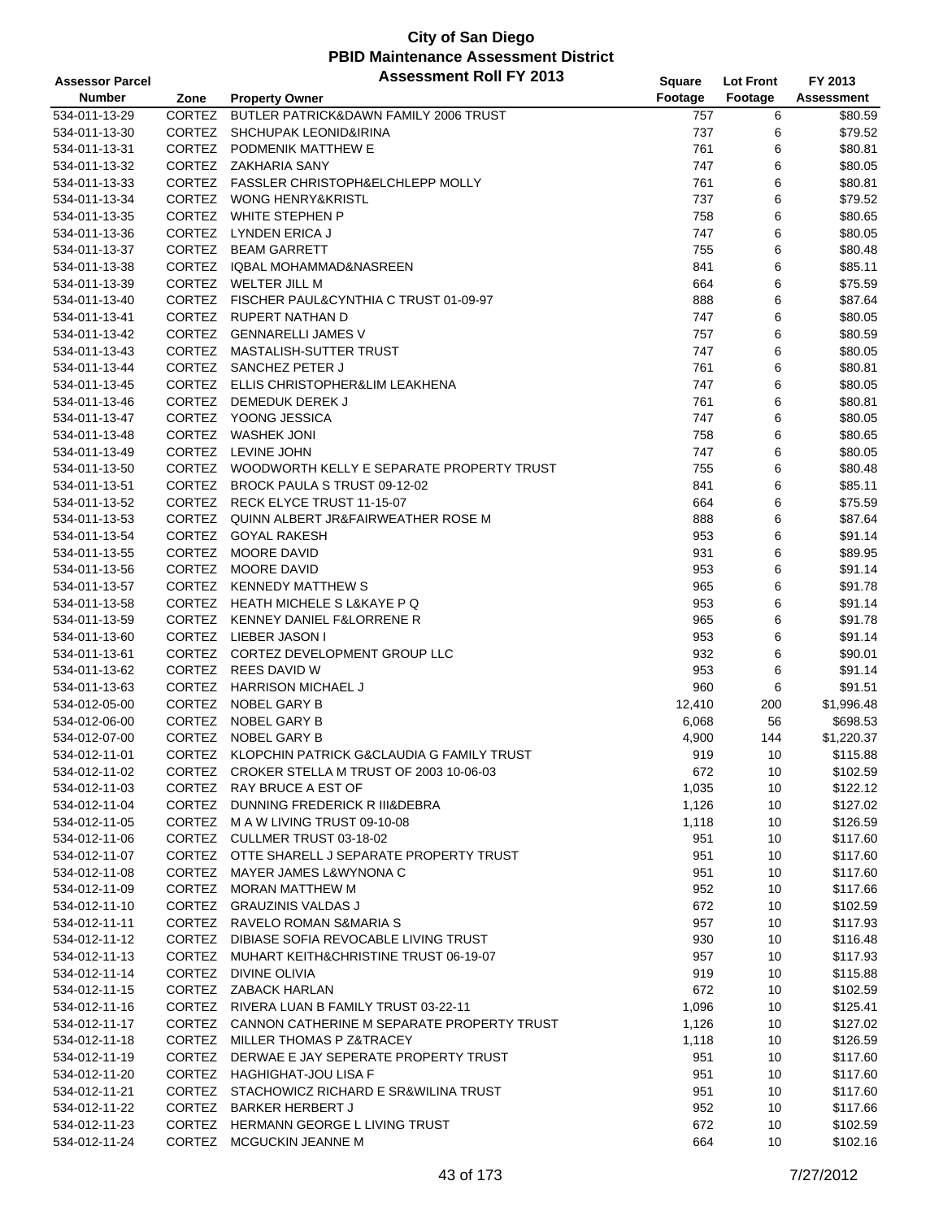| <b>Assessor Parcel</b> |               | <b>Assessment Roll FY 2013</b>                    | Square  | <b>Lot Front</b> | FY 2013           |
|------------------------|---------------|---------------------------------------------------|---------|------------------|-------------------|
| <b>Number</b>          | Zone          | <b>Property Owner</b>                             | Footage | Footage          | <b>Assessment</b> |
| 534-011-13-29          | CORTEZ        | BUTLER PATRICK&DAWN FAMILY 2006 TRUST             | 757     | 6                | \$80.59           |
| 534-011-13-30          | <b>CORTEZ</b> | <b>SHCHUPAK LEONID&amp;IRINA</b>                  | 737     | 6                | \$79.52           |
| 534-011-13-31          | CORTEZ        | PODMENIK MATTHEW E                                | 761     | 6                | \$80.81           |
| 534-011-13-32          | CORTEZ        | ZAKHARIA SANY                                     | 747     | 6                | \$80.05           |
| 534-011-13-33          |               | CORTEZ FASSLER CHRISTOPH&ELCHLEPP MOLLY           | 761     | 6                | \$80.81           |
| 534-011-13-34          |               | CORTEZ WONG HENRY&KRISTL                          | 737     | 6                | \$79.52           |
| 534-011-13-35          | CORTEZ        | WHITE STEPHEN P                                   | 758     | 6                | \$80.65           |
| 534-011-13-36          | <b>CORTEZ</b> | <b>LYNDEN ERICA J</b>                             | 747     | 6                | \$80.05           |
| 534-011-13-37          | CORTEZ        | <b>BEAM GARRETT</b>                               | 755     | 6                | \$80.48           |
| 534-011-13-38          | CORTEZ        | IQBAL MOHAMMAD&NASREEN                            | 841     | 6                | \$85.11           |
| 534-011-13-39          | CORTEZ        | WELTER JILL M                                     | 664     | 6                | \$75.59           |
| 534-011-13-40          |               | CORTEZ FISCHER PAUL&CYNTHIA C TRUST 01-09-97      | 888     | 6                | \$87.64           |
| 534-011-13-41          |               | CORTEZ RUPERT NATHAN D                            | 747     | 6                | \$80.05           |
| 534-011-13-42          |               | CORTEZ GENNARELLI JAMES V                         | 757     | 6                | \$80.59           |
| 534-011-13-43          | <b>CORTEZ</b> | MASTALISH-SUTTER TRUST                            | 747     | 6                | \$80.05           |
| 534-011-13-44          |               | CORTEZ SANCHEZ PETER J                            | 761     | 6                | \$80.81           |
| 534-011-13-45          |               | CORTEZ ELLIS CHRISTOPHER&LIM LEAKHENA             | 747     | 6                | \$80.05           |
| 534-011-13-46          |               | CORTEZ DEMEDUK DEREK J                            | 761     | 6                | \$80.81           |
| 534-011-13-47          |               | CORTEZ YOONG JESSICA                              | 747     | 6                | \$80.05           |
| 534-011-13-48          |               | CORTEZ WASHEK JONI                                | 758     | 6                | \$80.65           |
| 534-011-13-49          | CORTEZ        | LEVINE JOHN                                       | 747     | 6                | \$80.05           |
| 534-011-13-50          |               | CORTEZ WOODWORTH KELLY E SEPARATE PROPERTY TRUST  | 755     | 6                | \$80.48           |
| 534-011-13-51          |               | CORTEZ BROCK PAULA S TRUST 09-12-02               | 841     | 6                | \$85.11           |
| 534-011-13-52          |               | CORTEZ RECK ELYCE TRUST 11-15-07                  | 664     | 6                | \$75.59           |
|                        |               | CORTEZ QUINN ALBERT JR&FAIRWEATHER ROSE M         |         | 6                | \$87.64           |
| 534-011-13-53          | CORTEZ        | <b>GOYAL RAKESH</b>                               | 888     | 6                | \$91.14           |
| 534-011-13-54          | CORTEZ        | <b>MOORE DAVID</b>                                | 953     | 6                |                   |
| 534-011-13-55          | CORTEZ        | <b>MOORE DAVID</b>                                | 931     | 6                | \$89.95           |
| 534-011-13-56          |               |                                                   | 953     |                  | \$91.14           |
| 534-011-13-57          |               | CORTEZ KENNEDY MATTHEW S                          | 965     | 6                | \$91.78           |
| 534-011-13-58          |               | CORTEZ HEATH MICHELE S L&KAYE P Q                 | 953     | 6                | \$91.14           |
| 534-011-13-59          |               | CORTEZ KENNEY DANIEL F&LORRENE R                  | 965     | 6                | \$91.78           |
| 534-011-13-60          | CORTEZ        | LIEBER JASON I                                    | 953     | 6                | \$91.14           |
| 534-011-13-61          |               | CORTEZ CORTEZ DEVELOPMENT GROUP LLC               | 932     | 6                | \$90.01           |
| 534-011-13-62          |               | CORTEZ REES DAVID W                               | 953     | 6                | \$91.14           |
| 534-011-13-63          | <b>CORTEZ</b> | <b>HARRISON MICHAEL J</b>                         | 960     | 6                | \$91.51           |
| 534-012-05-00          | CORTEZ        | NOBEL GARY B                                      | 12,410  | 200              | \$1,996.48        |
| 534-012-06-00          | CORTEZ        | NOBEL GARY B                                      | 6,068   | 56               | \$698.53          |
| 534-012-07-00          | CORTEZ        | NOBEL GARY B                                      | 4,900   | 144              | \$1,220.37        |
| 534-012-11-01          |               | CORTEZ KLOPCHIN PATRICK G&CLAUDIA G FAMILY TRUST  | 919     | 10               | \$115.88          |
| 534-012-11-02          |               | CORTEZ CROKER STELLA M TRUST OF 2003 10-06-03     | 672     | 10               | \$102.59          |
| 534-012-11-03          |               | CORTEZ RAY BRUCE A EST OF                         | 1,035   | 10               | \$122.12          |
| 534-012-11-04          |               | CORTEZ DUNNING FREDERICK R III&DEBRA              | 1,126   | 10               | \$127.02          |
| 534-012-11-05          |               | CORTEZ M A W LIVING TRUST 09-10-08                | 1,118   | 10               | \$126.59          |
| 534-012-11-06          |               | CORTEZ CULLMER TRUST 03-18-02                     | 951     | 10               | \$117.60          |
| 534-012-11-07          |               | CORTEZ OTTE SHARELL J SEPARATE PROPERTY TRUST     | 951     | 10               | \$117.60          |
| 534-012-11-08          |               | CORTEZ MAYER JAMES L&WYNONA C                     | 951     | 10               | \$117.60          |
| 534-012-11-09          |               | CORTEZ MORAN MATTHEW M                            | 952     | 10               | \$117.66          |
| 534-012-11-10          |               | CORTEZ GRAUZINIS VALDAS J                         | 672     | 10               | \$102.59          |
| 534-012-11-11          |               | CORTEZ RAVELO ROMAN S&MARIA S                     | 957     | 10               | \$117.93          |
| 534-012-11-12          |               | CORTEZ DIBIASE SOFIA REVOCABLE LIVING TRUST       | 930     | 10               | \$116.48          |
| 534-012-11-13          |               | CORTEZ MUHART KEITH&CHRISTINE TRUST 06-19-07      | 957     | 10               | \$117.93          |
| 534-012-11-14          |               | CORTEZ DIVINE OLIVIA                              | 919     | 10               | \$115.88          |
| 534-012-11-15          |               | CORTEZ ZABACK HARLAN                              | 672     | 10               | \$102.59          |
| 534-012-11-16          |               | CORTEZ RIVERA LUAN B FAMILY TRUST 03-22-11        | 1,096   | 10               | \$125.41          |
| 534-012-11-17          |               | CORTEZ CANNON CATHERINE M SEPARATE PROPERTY TRUST | 1,126   | 10               | \$127.02          |
| 534-012-11-18          |               | CORTEZ MILLER THOMAS P Z&TRACEY                   | 1,118   | 10               | \$126.59          |
| 534-012-11-19          |               | CORTEZ DERWAE E JAY SEPERATE PROPERTY TRUST       | 951     | 10               | \$117.60          |
| 534-012-11-20          |               | CORTEZ HAGHIGHAT-JOU LISA F                       | 951     | 10               | \$117.60          |
| 534-012-11-21          |               | CORTEZ STACHOWICZ RICHARD E SR&WILINA TRUST       | 951     | 10               | \$117.60          |
| 534-012-11-22          |               | CORTEZ BARKER HERBERT J                           | 952     | 10               | \$117.66          |
| 534-012-11-23          |               | CORTEZ HERMANN GEORGE L LIVING TRUST              | 672     | 10               | \$102.59          |
| 534-012-11-24          |               | CORTEZ MCGUCKIN JEANNE M                          | 664     | 10               | \$102.16          |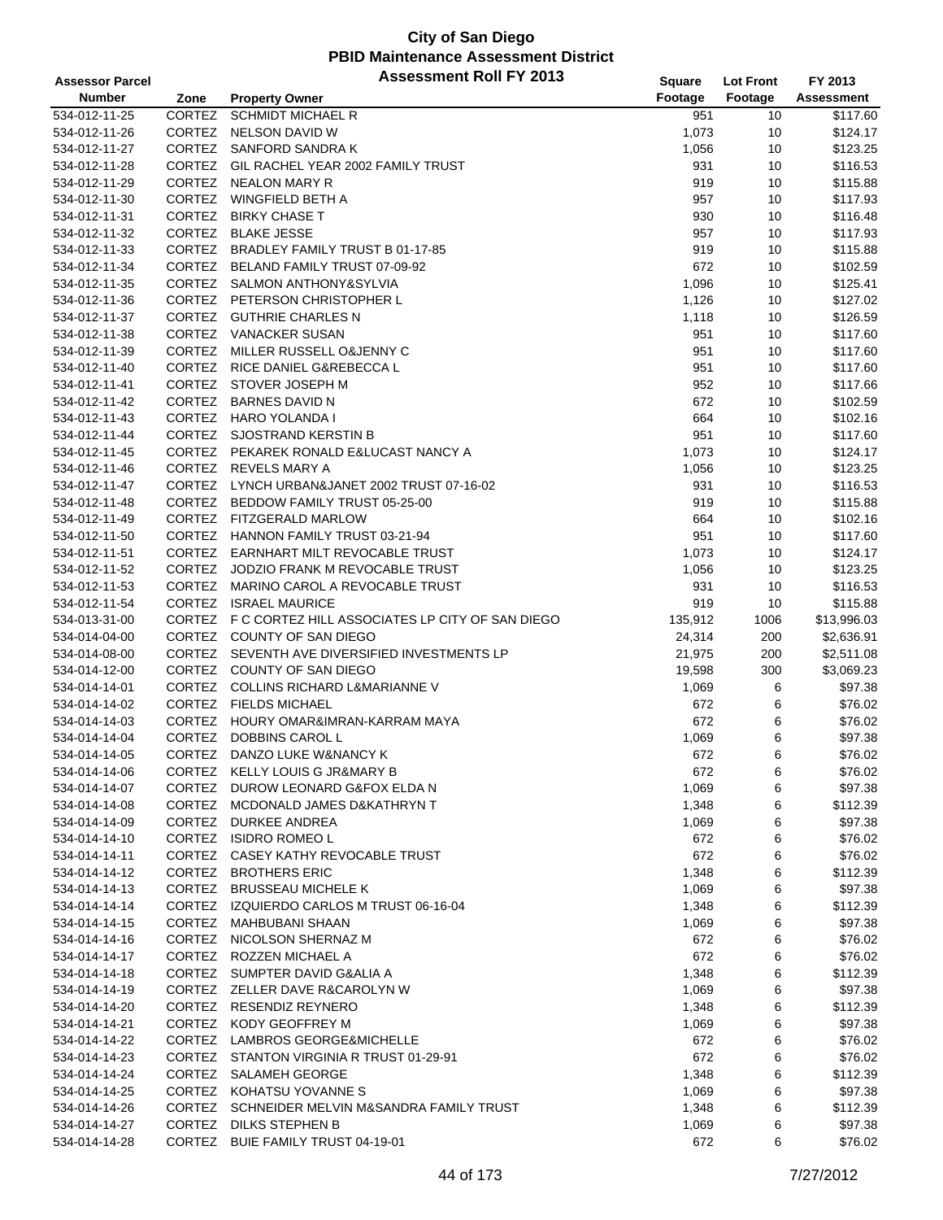| <b>Assessor Parcel</b> |               | <b>Assessment Roll FY 2013</b>                         | Square  | <b>Lot Front</b> | FY 2013           |
|------------------------|---------------|--------------------------------------------------------|---------|------------------|-------------------|
| <b>Number</b>          | Zone          | <b>Property Owner</b>                                  | Footage | Footage          | <b>Assessment</b> |
| 534-012-11-25          | CORTEZ        | <b>SCHMIDT MICHAEL R</b>                               | 951     | 10               | \$117.60          |
| 534-012-11-26          | CORTEZ        | NELSON DAVID W                                         | 1,073   | 10               | \$124.17          |
| 534-012-11-27          |               | CORTEZ SANFORD SANDRA K                                | 1,056   | 10               | \$123.25          |
| 534-012-11-28          | <b>CORTEZ</b> | GIL RACHEL YEAR 2002 FAMILY TRUST                      | 931     | 10               | \$116.53          |
| 534-012-11-29          | CORTEZ        | NEALON MARY R                                          | 919     | 10               | \$115.88          |
| 534-012-11-30          |               | CORTEZ WINGFIELD BETH A                                | 957     | 10               | \$117.93          |
| 534-012-11-31          |               | CORTEZ BIRKY CHASE T                                   | 930     | 10               | \$116.48          |
| 534-012-11-32          |               | CORTEZ BLAKE JESSE                                     | 957     | 10               | \$117.93          |
| 534-012-11-33          |               | CORTEZ BRADLEY FAMILY TRUST B 01-17-85                 | 919     | 10               | \$115.88          |
| 534-012-11-34          | CORTEZ        | BELAND FAMILY TRUST 07-09-92                           | 672     | 10               | \$102.59          |
| 534-012-11-35          |               | CORTEZ SALMON ANTHONY&SYLVIA                           | 1,096   | 10               | \$125.41          |
| 534-012-11-36          |               | CORTEZ PETERSON CHRISTOPHER L                          | 1,126   | 10               | \$127.02          |
| 534-012-11-37          |               | CORTEZ GUTHRIE CHARLES N                               | 1,118   | 10               | \$126.59          |
| 534-012-11-38          |               | CORTEZ VANACKER SUSAN                                  | 951     | 10               | \$117.60          |
| 534-012-11-39          | <b>CORTEZ</b> | MILLER RUSSELL O&JENNY C                               | 951     | 10               | \$117.60          |
| 534-012-11-40          |               | CORTEZ RICE DANIEL G&REBECCA L                         | 951     | 10               | \$117.60          |
| 534-012-11-41          |               | CORTEZ STOVER JOSEPH M                                 | 952     | 10               | \$117.66          |
| 534-012-11-42          |               | CORTEZ BARNES DAVID N                                  | 672     | 10               | \$102.59          |
| 534-012-11-43          |               | CORTEZ HARO YOLANDA I                                  | 664     | 10               | \$102.16          |
| 534-012-11-44          |               | CORTEZ SJOSTRAND KERSTIN B                             | 951     | 10               | \$117.60          |
| 534-012-11-45          |               | CORTEZ PEKAREK RONALD E&LUCAST NANCY A                 | 1,073   | 10               | \$124.17          |
| 534-012-11-46          |               | CORTEZ REVELS MARY A                                   | 1,056   | 10               | \$123.25          |
| 534-012-11-47          |               | CORTEZ LYNCH URBAN&JANET 2002 TRUST 07-16-02           | 931     | 10               | \$116.53          |
| 534-012-11-48          |               | CORTEZ BEDDOW FAMILY TRUST 05-25-00                    | 919     | 10               | \$115.88          |
| 534-012-11-49          |               | CORTEZ FITZGERALD MARLOW                               | 664     | 10               | \$102.16          |
| 534-012-11-50          |               | CORTEZ HANNON FAMILY TRUST 03-21-94                    | 951     | 10               | \$117.60          |
| 534-012-11-51          |               | CORTEZ EARNHART MILT REVOCABLE TRUST                   | 1,073   | 10               | \$124.17          |
| 534-012-11-52          |               | CORTEZ JODZIO FRANK M REVOCABLE TRUST                  | 1,056   | 10               | \$123.25          |
| 534-012-11-53          |               | CORTEZ MARINO CAROL A REVOCABLE TRUST                  | 931     | 10               | \$116.53          |
| 534-012-11-54          |               | CORTEZ ISRAEL MAURICE                                  | 919     | 10               | \$115.88          |
| 534-013-31-00          |               | CORTEZ F C CORTEZ HILL ASSOCIATES LP CITY OF SAN DIEGO | 135,912 | 1006             | \$13,996.03       |
| 534-014-04-00          |               | CORTEZ COUNTY OF SAN DIEGO                             | 24,314  | 200              | \$2,636.91        |
| 534-014-08-00          |               | CORTEZ SEVENTH AVE DIVERSIFIED INVESTMENTS LP          | 21,975  | 200              | \$2,511.08        |
| 534-014-12-00          |               | CORTEZ COUNTY OF SAN DIEGO                             | 19,598  | 300              | \$3,069.23        |
| 534-014-14-01          |               | CORTEZ COLLINS RICHARD L&MARIANNE V                    | 1,069   | 6                | \$97.38           |
| 534-014-14-02          |               | CORTEZ FIELDS MICHAEL                                  | 672     | 6                | \$76.02           |
| 534-014-14-03          | CORTEZ        | HOURY OMAR&IMRAN-KARRAM MAYA                           | 672     | 6                | \$76.02           |
| 534-014-14-04          | CORTEZ        | <b>DOBBINS CAROL L</b>                                 | 1,069   | 6                | \$97.38           |
| 534-014-14-05          | CORTEZ        | DANZO LUKE W&NANCY K                                   | 672     | 6                | \$76.02           |
| 534-014-14-06          |               | CORTEZ KELLY LOUIS G JR&MARY B                         | 672     | 6                | \$76.02           |
| 534-014-14-07          |               | CORTEZ DUROW LEONARD G&FOX ELDA N                      | 1,069   | 6                | \$97.38           |
| 534-014-14-08          |               | CORTEZ MCDONALD JAMES D&KATHRYN T                      | 1,348   | 6                | \$112.39          |
| 534-014-14-09          |               | CORTEZ DURKEE ANDREA                                   | 1,069   | 6                | \$97.38           |
| 534-014-14-10          |               | CORTEZ ISIDRO ROMEO L                                  | 672     | 6                | \$76.02           |
| 534-014-14-11          |               | CORTEZ CASEY KATHY REVOCABLE TRUST                     | 672     | 6                | \$76.02           |
| 534-014-14-12          |               | CORTEZ BROTHERS ERIC                                   | 1,348   | 6                | \$112.39          |
| 534-014-14-13          |               | CORTEZ BRUSSEAU MICHELE K                              | 1,069   | 6                | \$97.38           |
| 534-014-14-14          |               | CORTEZ IZQUIERDO CARLOS M TRUST 06-16-04               | 1,348   | 6                | \$112.39          |
| 534-014-14-15          | CORTEZ        | MAHBUBANI SHAAN                                        | 1,069   | 6                | \$97.38           |
| 534-014-14-16          |               | CORTEZ NICOLSON SHERNAZ M                              | 672     | 6                | \$76.02           |
| 534-014-14-17          |               | CORTEZ ROZZEN MICHAEL A                                | 672     | 6                | \$76.02           |
| 534-014-14-18          |               | CORTEZ SUMPTER DAVID G&ALIA A                          | 1,348   | 6                | \$112.39          |
| 534-014-14-19          |               | CORTEZ ZELLER DAVE R&CAROLYN W                         | 1,069   | 6                | \$97.38           |
| 534-014-14-20          |               | CORTEZ RESENDIZ REYNERO                                | 1,348   | 6                | \$112.39          |
| 534-014-14-21          |               | CORTEZ KODY GEOFFREY M                                 | 1,069   | 6                | \$97.38           |
| 534-014-14-22          |               | CORTEZ LAMBROS GEORGE&MICHELLE                         | 672     | 6                | \$76.02           |
| 534-014-14-23          |               | CORTEZ STANTON VIRGINIA R TRUST 01-29-91               | 672     | 6                | \$76.02           |
| 534-014-14-24          |               | CORTEZ SALAMEH GEORGE                                  | 1,348   | 6                | \$112.39          |
| 534-014-14-25          |               | CORTEZ KOHATSU YOVANNES                                | 1,069   | 6                | \$97.38           |
| 534-014-14-26          | CORTEZ        | SCHNEIDER MELVIN M&SANDRA FAMILY TRUST                 | 1,348   | 6                | \$112.39          |
| 534-014-14-27          |               | CORTEZ DILKS STEPHEN B                                 | 1,069   | 6                | \$97.38           |
| 534-014-14-28          |               | CORTEZ BUIE FAMILY TRUST 04-19-01                      | 672     | 6                | \$76.02           |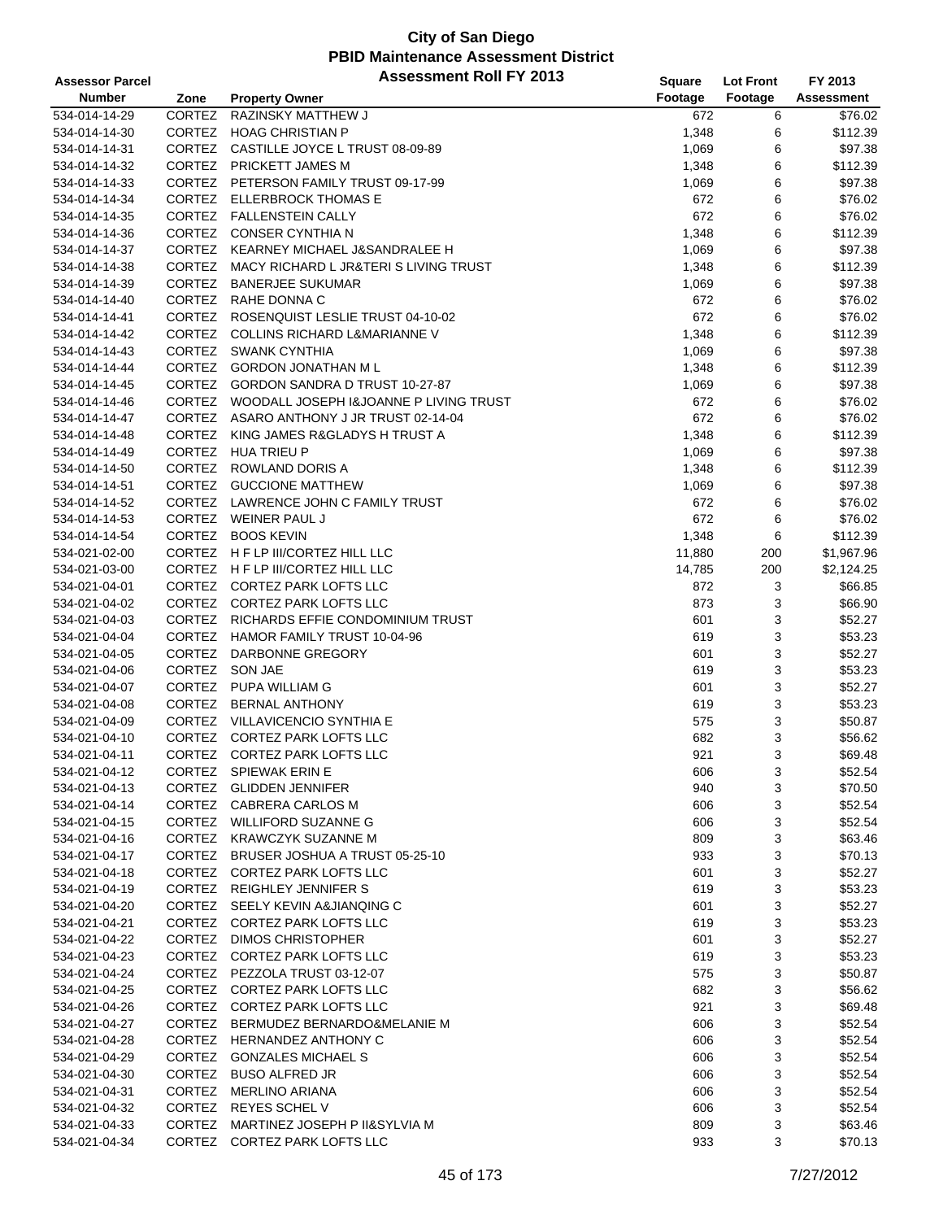| <b>Assessor Parcel</b> |               | <b>Assessment Roll FY 2013</b>                | <b>Square</b> | <b>Lot Front</b> | FY 2013    |
|------------------------|---------------|-----------------------------------------------|---------------|------------------|------------|
| <b>Number</b>          | Zone          | <b>Property Owner</b>                         | Footage       | Footage          | Assessment |
| 534-014-14-29          | CORTEZ        | <b>RAZINSKY MATTHEW J</b>                     | 672           | 6                | \$76.02    |
| 534-014-14-30          | CORTEZ        | <b>HOAG CHRISTIAN P</b>                       | 1,348         | 6                | \$112.39   |
| 534-014-14-31          |               | CORTEZ CASTILLE JOYCE L TRUST 08-09-89        | 1,069         | 6                | \$97.38    |
| 534-014-14-32          | CORTEZ        | PRICKETT JAMES M                              | 1,348         | 6                | \$112.39   |
| 534-014-14-33          |               | CORTEZ PETERSON FAMILY TRUST 09-17-99         | 1,069         | 6                | \$97.38    |
| 534-014-14-34          |               | CORTEZ ELLERBROCK THOMAS E                    | 672           | 6                | \$76.02    |
| 534-014-14-35          |               | CORTEZ FALLENSTEIN CALLY                      | 672           | 6                | \$76.02    |
| 534-014-14-36          |               | CORTEZ CONSER CYNTHIA N                       | 1,348         | 6                | \$112.39   |
| 534-014-14-37          |               | CORTEZ KEARNEY MICHAEL J&SANDRALEE H          | 1,069         | 6                | \$97.38    |
| 534-014-14-38          | <b>CORTEZ</b> | MACY RICHARD L JR&TERIS LIVING TRUST          | 1,348         | 6                | \$112.39   |
| 534-014-14-39          | CORTEZ        | <b>BANERJEE SUKUMAR</b>                       | 1,069         | 6                | \$97.38    |
| 534-014-14-40          |               | CORTEZ RAHE DONNA C                           | 672           | 6                | \$76.02    |
| 534-014-14-41          |               | CORTEZ ROSENQUIST LESLIE TRUST 04-10-02       | 672           | 6                | \$76.02    |
| 534-014-14-42          |               | CORTEZ COLLINS RICHARD L&MARIANNE V           | 1,348         | 6                | \$112.39   |
| 534-014-14-43          | CORTEZ        | SWANK CYNTHIA                                 | 1,069         | 6                | \$97.38    |
| 534-014-14-44          |               | CORTEZ GORDON JONATHAN M L                    | 1,348         | 6                | \$112.39   |
| 534-014-14-45          |               | CORTEZ GORDON SANDRA D TRUST 10-27-87         | 1,069         | 6                | \$97.38    |
| 534-014-14-46          |               | CORTEZ WOODALL JOSEPH I&JOANNE P LIVING TRUST | 672           | 6                | \$76.02    |
| 534-014-14-47          |               | CORTEZ ASARO ANTHONY J JR TRUST 02-14-04      | 672           | 6                | \$76.02    |
| 534-014-14-48          |               | CORTEZ KING JAMES R&GLADYS H TRUST A          | 1,348         | 6                | \$112.39   |
| 534-014-14-49          | CORTEZ        | <b>HUA TRIEU P</b>                            | 1,069         | 6                | \$97.38    |
| 534-014-14-50          |               | CORTEZ ROWLAND DORIS A                        | 1,348         | 6                | \$112.39   |
| 534-014-14-51          |               | CORTEZ GUCCIONE MATTHEW                       | 1,069         | 6                | \$97.38    |
| 534-014-14-52          |               | CORTEZ LAWRENCE JOHN C FAMILY TRUST           | 672           | 6                | \$76.02    |
| 534-014-14-53          |               | CORTEZ WEINER PAUL J                          | 672           | 6                | \$76.02    |
| 534-014-14-54          | CORTEZ        | <b>BOOS KEVIN</b>                             | 1,348         | 6                | \$112.39   |
| 534-021-02-00          |               | CORTEZ H F LP III/CORTEZ HILL LLC             | 11,880        | 200              | \$1,967.96 |
| 534-021-03-00          |               | CORTEZ H F LP III/CORTEZ HILL LLC             | 14,785        | 200              | \$2,124.25 |
| 534-021-04-01          |               | CORTEZ CORTEZ PARK LOFTS LLC                  | 872           | 3                | \$66.85    |
| 534-021-04-02          |               | CORTEZ CORTEZ PARK LOFTS LLC                  | 873           | 3                | \$66.90    |
| 534-021-04-03          |               | CORTEZ RICHARDS EFFIE CONDOMINIUM TRUST       | 601           | 3                | \$52.27    |
| 534-021-04-04          | <b>CORTEZ</b> | HAMOR FAMILY TRUST 10-04-96                   | 619           | 3                | \$53.23    |
| 534-021-04-05          | CORTEZ        | DARBONNE GREGORY                              | 601           | 3                | \$52.27    |
| 534-021-04-06          |               | CORTEZ SON JAE                                | 619           | 3                | \$53.23    |
| 534-021-04-07          | CORTEZ        | PUPA WILLIAM G                                | 601           | 3                | \$52.27    |
| 534-021-04-08          |               | CORTEZ BERNAL ANTHONY                         | 619           | 3                | \$53.23    |
| 534-021-04-09          |               | CORTEZ VILLAVICENCIO SYNTHIA E                | 575           | 3                | \$50.87    |
| 534-021-04-10          | CORTEZ        | <b>CORTEZ PARK LOFTS LLC</b>                  | 682           | 3                | \$56.62    |
| 534-021-04-11          | <b>CORTEZ</b> | CORTEZ PARK LOFTS LLC                         | 921           | 3                | \$69.48    |
| 534-021-04-12          |               | CORTEZ SPIEWAK ERIN E                         | 606           | 3                | \$52.54    |
| 534-021-04-13          |               | CORTEZ GLIDDEN JENNIFER                       | 940           | 3                | \$70.50    |
| 534-021-04-14          |               | CORTEZ CABRERA CARLOS M                       | 606           | 3                | \$52.54    |
| 534-021-04-15          |               | CORTEZ WILLIFORD SUZANNE G                    | 606           | 3                | \$52.54    |
| 534-021-04-16          |               | CORTEZ KRAWCZYK SUZANNE M                     | 809           | 3                | \$63.46    |
| 534-021-04-17          |               | CORTEZ BRUSER JOSHUA A TRUST 05-25-10         | 933           | 3                | \$70.13    |
| 534-021-04-18          |               | CORTEZ CORTEZ PARK LOFTS LLC                  | 601           | 3                | \$52.27    |
| 534-021-04-19          |               | CORTEZ REIGHLEY JENNIFER S                    | 619           | 3                | \$53.23    |
| 534-021-04-20          |               | CORTEZ SEELY KEVIN A&JIANQING C               | 601           | 3                | \$52.27    |
| 534-021-04-21          |               | CORTEZ CORTEZ PARK LOFTS LLC                  | 619           | 3                | \$53.23    |
| 534-021-04-22          |               | CORTEZ DIMOS CHRISTOPHER                      | 601           | 3                | \$52.27    |
| 534-021-04-23          |               | CORTEZ CORTEZ PARK LOFTS LLC                  | 619           | 3                | \$53.23    |
| 534-021-04-24          |               | CORTEZ PEZZOLA TRUST 03-12-07                 | 575           | 3                | \$50.87    |
| 534-021-04-25          |               | CORTEZ CORTEZ PARK LOFTS LLC                  | 682           | 3                | \$56.62    |
| 534-021-04-26          |               | CORTEZ CORTEZ PARK LOFTS LLC                  | 921           | 3                | \$69.48    |
| 534-021-04-27          |               | CORTEZ BERMUDEZ BERNARDO&MELANIE M            | 606           | 3                | \$52.54    |
| 534-021-04-28          |               | CORTEZ HERNANDEZ ANTHONY C                    | 606           | 3                | \$52.54    |
| 534-021-04-29          |               | CORTEZ GONZALES MICHAEL S                     | 606           | 3                | \$52.54    |
| 534-021-04-30          |               | CORTEZ BUSO ALFRED JR                         | 606           | 3                | \$52.54    |
| 534-021-04-31          |               | CORTEZ MERLINO ARIANA                         | 606           | 3                | \$52.54    |
| 534-021-04-32          | CORTEZ        | <b>REYES SCHEL V</b>                          | 606           | 3                | \$52.54    |
| 534-021-04-33          | CORTEZ        | MARTINEZ JOSEPH P II&SYLVIA M                 | 809           | 3                | \$63.46    |
| 534-021-04-34          |               | CORTEZ CORTEZ PARK LOFTS LLC                  | 933           | 3                | \$70.13    |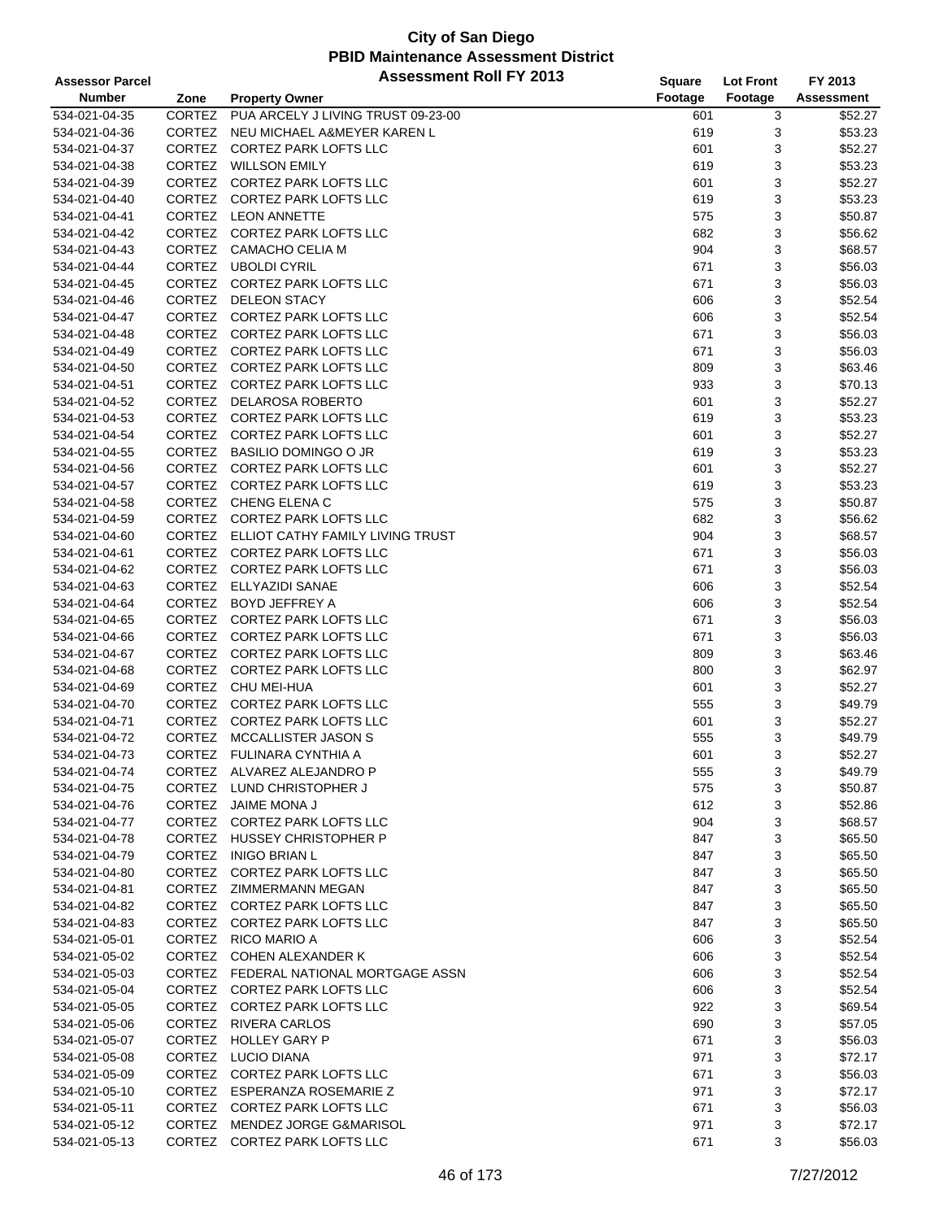| <b>Assessor Parcel</b> |                         | <b>Assessment Roll FY 2013</b>                              | <b>Square</b> | <b>Lot Front</b> | FY 2013            |
|------------------------|-------------------------|-------------------------------------------------------------|---------------|------------------|--------------------|
| <b>Number</b>          | Zone                    | <b>Property Owner</b>                                       | Footage       | Footage          | <b>Assessment</b>  |
| 534-021-04-35          | <b>CORTEZ</b>           | PUA ARCELY J LIVING TRUST 09-23-00                          | 601           | 3                | \$52.27            |
|                        | <b>CORTEZ</b>           |                                                             | 619           |                  |                    |
| 534-021-04-36          | <b>CORTEZ</b>           | NEU MICHAEL A&MEYER KAREN L<br><b>CORTEZ PARK LOFTS LLC</b> |               | 3<br>3           | \$53.23<br>\$52.27 |
| 534-021-04-37          | CORTEZ                  | <b>WILLSON EMILY</b>                                        | 601           |                  |                    |
| 534-021-04-38          | <b>CORTEZ</b>           |                                                             | 619           | 3                | \$53.23            |
| 534-021-04-39          |                         | CORTEZ PARK LOFTS LLC                                       | 601           | 3                | \$52.27            |
| 534-021-04-40          | CORTEZ                  | CORTEZ PARK LOFTS LLC                                       | 619           | 3                | \$53.23            |
| 534-021-04-41          | CORTEZ                  | <b>LEON ANNETTE</b>                                         | 575           | 3                | \$50.87            |
| 534-021-04-42          | CORTEZ                  | <b>CORTEZ PARK LOFTS LLC</b>                                | 682           | 3                | \$56.62            |
| 534-021-04-43          | CORTEZ                  | CAMACHO CELIA M                                             | 904           | 3                | \$68.57            |
| 534-021-04-44          | <b>CORTEZ</b>           | <b>UBOLDI CYRIL</b>                                         | 671           | 3                | \$56.03            |
| 534-021-04-45          | CORTEZ                  | <b>CORTEZ PARK LOFTS LLC</b>                                | 671           | 3                | \$56.03            |
| 534-021-04-46          | CORTEZ                  | <b>DELEON STACY</b>                                         | 606           | 3                | \$52.54            |
| 534-021-04-47          | CORTEZ                  | CORTEZ PARK LOFTS LLC                                       | 606           | 3                | \$52.54            |
| 534-021-04-48          |                         | CORTEZ CORTEZ PARK LOFTS LLC                                | 671           | 3                | \$56.03            |
| 534-021-04-49          | CORTEZ                  | CORTEZ PARK LOFTS LLC                                       | 671           | 3                | \$56.03            |
| 534-021-04-50          | CORTEZ                  | CORTEZ PARK LOFTS LLC                                       | 809           | 3                | \$63.46            |
| 534-021-04-51          | CORTEZ                  | CORTEZ PARK LOFTS LLC                                       | 933           | 3                | \$70.13            |
| 534-021-04-52          | <b>CORTEZ</b>           | <b>DELAROSA ROBERTO</b>                                     | 601           | 3                | \$52.27            |
| 534-021-04-53          | <b>CORTEZ</b>           | CORTEZ PARK LOFTS LLC                                       | 619           | 3                | \$53.23            |
| 534-021-04-54          | CORTEZ                  | <b>CORTEZ PARK LOFTS LLC</b>                                | 601           | 3                | \$52.27            |
| 534-021-04-55          | CORTEZ                  | <b>BASILIO DOMINGO O JR</b>                                 | 619           | 3                | \$53.23            |
| 534-021-04-56          | CORTEZ                  | <b>CORTEZ PARK LOFTS LLC</b>                                | 601           | 3                | \$52.27            |
| 534-021-04-57          | CORTEZ                  | <b>CORTEZ PARK LOFTS LLC</b>                                | 619           | 3                | \$53.23            |
| 534-021-04-58          | CORTEZ                  | CHENG ELENA C                                               | 575           | 3                | \$50.87            |
| 534-021-04-59          |                         | CORTEZ CORTEZ PARK LOFTS LLC                                | 682           | 3                | \$56.62            |
| 534-021-04-60          | CORTEZ                  | ELLIOT CATHY FAMILY LIVING TRUST                            | 904           | 3                | \$68.57            |
| 534-021-04-61          | CORTEZ                  | CORTEZ PARK LOFTS LLC                                       | 671           | 3                | \$56.03            |
| 534-021-04-62          | CORTEZ                  | CORTEZ PARK LOFTS LLC                                       | 671           | 3                | \$56.03            |
| 534-021-04-63          | CORTEZ                  | ELLYAZIDI SANAE                                             | 606           | 3                | \$52.54            |
| 534-021-04-64          | CORTEZ                  | <b>BOYD JEFFREY A</b>                                       | 606           | 3                | \$52.54            |
| 534-021-04-65          | CORTEZ                  | CORTEZ PARK LOFTS LLC                                       | 671           | 3                | \$56.03            |
| 534-021-04-66          | CORTEZ                  | CORTEZ PARK LOFTS LLC                                       | 671           | 3                | \$56.03            |
|                        | CORTEZ                  | <b>CORTEZ PARK LOFTS LLC</b>                                | 809           |                  |                    |
| 534-021-04-67          |                         |                                                             |               | 3                | \$63.46            |
| 534-021-04-68          | CORTEZ<br><b>CORTEZ</b> | <b>CORTEZ PARK LOFTS LLC</b><br>CHU MEI-HUA                 | 800           | 3                | \$62.97            |
| 534-021-04-69          |                         |                                                             | 601           | 3                | \$52.27            |
| 534-021-04-70          | CORTEZ                  | CORTEZ PARK LOFTS LLC                                       | 555           | 3                | \$49.79            |
| 534-021-04-71          | CORTEZ                  | <b>CORTEZ PARK LOFTS LLC</b>                                | 601           | 3                | \$52.27            |
| 534-021-04-72          | CORTEZ                  | MCCALLISTER JASON S                                         | 555           | 3                | \$49.79            |
| 534-021-04-73          | CORTEZ                  | FULINARA CYNTHIA A                                          | 601           | 3                | \$52.27            |
| 534-021-04-74          |                         | CORTEZ ALVAREZ ALEJANDRO P                                  | 555           | 3                | \$49.79            |
| 534-021-04-75          | <b>CORTEZ</b>           | LUND CHRISTOPHER J                                          | 575           | 3                | \$50.87            |
| 534-021-04-76          |                         | CORTEZ JAIME MONA J                                         | 612           | 3                | \$52.86            |
| 534-021-04-77          |                         | CORTEZ CORTEZ PARK LOFTS LLC                                | 904           | 3                | \$68.57            |
| 534-021-04-78          |                         | CORTEZ HUSSEY CHRISTOPHER P                                 | 847           | 3                | \$65.50            |
| 534-021-04-79          |                         | CORTEZ INIGO BRIAN L                                        | 847           | 3                | \$65.50            |
| 534-021-04-80          |                         | CORTEZ CORTEZ PARK LOFTS LLC                                | 847           | 3                | \$65.50            |
| 534-021-04-81          |                         | CORTEZ ZIMMERMANN MEGAN                                     | 847           | 3                | \$65.50            |
| 534-021-04-82          |                         | CORTEZ CORTEZ PARK LOFTS LLC                                | 847           | 3                | \$65.50            |
| 534-021-04-83          |                         | CORTEZ CORTEZ PARK LOFTS LLC                                | 847           | 3                | \$65.50            |
| 534-021-05-01          |                         | CORTEZ RICO MARIO A                                         | 606           | 3                | \$52.54            |
| 534-021-05-02          |                         | CORTEZ COHEN ALEXANDER K                                    | 606           | 3                | \$52.54            |
| 534-021-05-03          |                         | CORTEZ FEDERAL NATIONAL MORTGAGE ASSN                       | 606           | 3                | \$52.54            |
| 534-021-05-04          |                         | CORTEZ CORTEZ PARK LOFTS LLC                                | 606           | 3                | \$52.54            |
| 534-021-05-05          |                         | CORTEZ CORTEZ PARK LOFTS LLC                                | 922           | 3                | \$69.54            |
| 534-021-05-06          |                         | CORTEZ RIVERA CARLOS                                        | 690           | 3                | \$57.05            |
| 534-021-05-07          |                         | CORTEZ HOLLEY GARY P                                        | 671           | 3                | \$56.03            |
| 534-021-05-08          | <b>CORTEZ</b>           | LUCIO DIANA                                                 | 971           | 3                | \$72.17            |
| 534-021-05-09          |                         | CORTEZ CORTEZ PARK LOFTS LLC                                | 671           | 3                | \$56.03            |
| 534-021-05-10          |                         | CORTEZ ESPERANZA ROSEMARIE Z                                | 971           | 3                | \$72.17            |
| 534-021-05-11          | <b>CORTEZ</b>           | CORTEZ PARK LOFTS LLC                                       | 671           | 3                | \$56.03            |
| 534-021-05-12          |                         | CORTEZ MENDEZ JORGE G&MARISOL                               | 971           | 3                | \$72.17            |
| 534-021-05-13          |                         | CORTEZ CORTEZ PARK LOFTS LLC                                | 671           | 3                | \$56.03            |
|                        |                         |                                                             |               |                  |                    |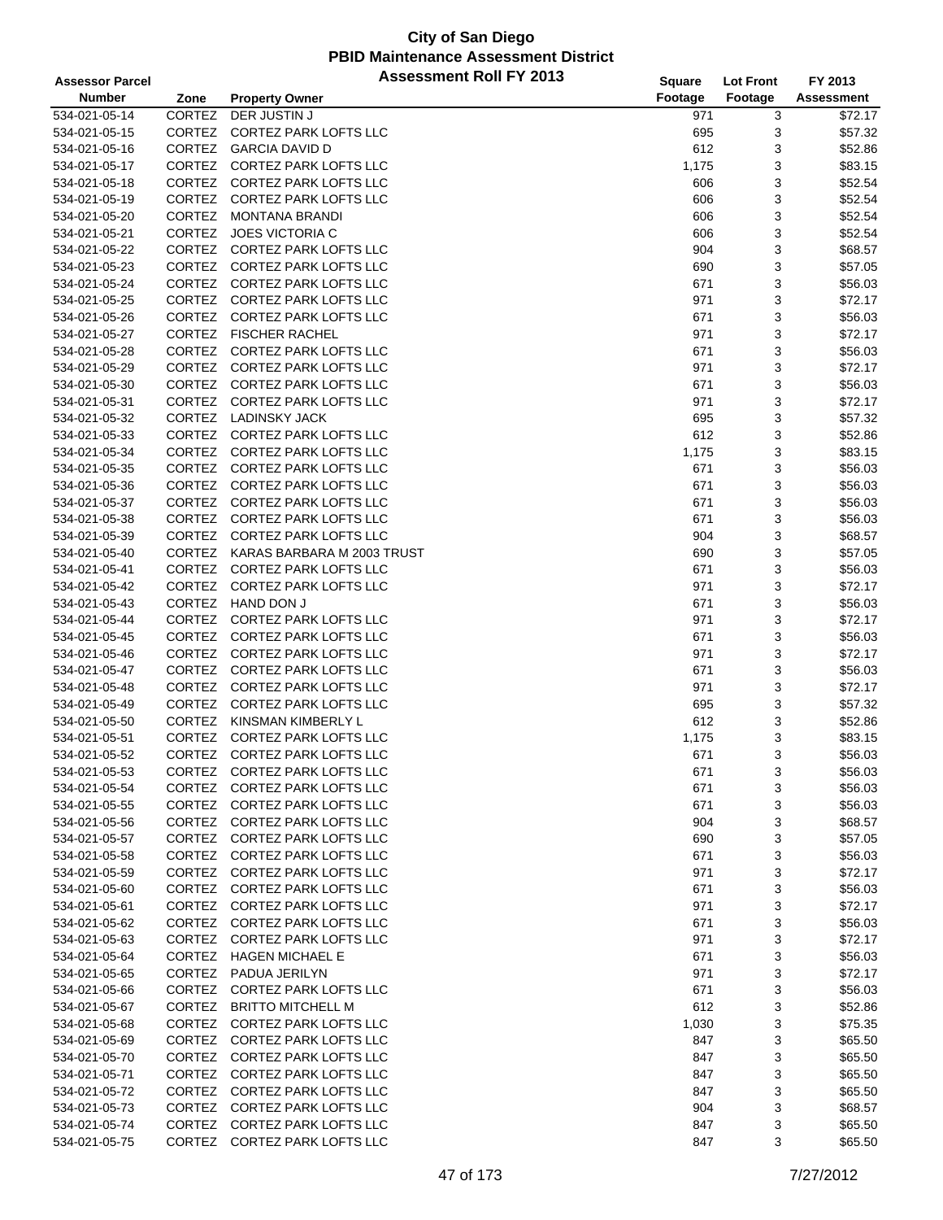| <b>Assessor Parcel</b> |               | <b>Assessment Roll FY 2013</b> | Square  | <b>Lot Front</b> | FY 2013           |
|------------------------|---------------|--------------------------------|---------|------------------|-------------------|
| <b>Number</b>          | Zone          | <b>Property Owner</b>          | Footage | Footage          | <b>Assessment</b> |
| 534-021-05-14          | <b>CORTEZ</b> | DER JUSTIN J                   | 971     | 3                | \$72.17           |
| 534-021-05-15          | CORTEZ        | CORTEZ PARK LOFTS LLC          | 695     | 3                | \$57.32           |
| 534-021-05-16          | CORTEZ        | <b>GARCIA DAVID D</b>          | 612     | 3                | \$52.86           |
| 534-021-05-17          | CORTEZ        | <b>CORTEZ PARK LOFTS LLC</b>   | 1,175   | 3                | \$83.15           |
| 534-021-05-18          | CORTEZ        | CORTEZ PARK LOFTS LLC          | 606     | 3                | \$52.54           |
| 534-021-05-19          |               | CORTEZ CORTEZ PARK LOFTS LLC   | 606     | 3                | \$52.54           |
| 534-021-05-20          | CORTEZ        | <b>MONTANA BRANDI</b>          | 606     | 3                | \$52.54           |
| 534-021-05-21          | CORTEZ        | <b>JOES VICTORIA C</b>         | 606     | 3                | \$52.54           |
| 534-021-05-22          |               | CORTEZ CORTEZ PARK LOFTS LLC   | 904     | 3                | \$68.57           |
| 534-021-05-23          | <b>CORTEZ</b> | <b>CORTEZ PARK LOFTS LLC</b>   | 690     | 3                | \$57.05           |
| 534-021-05-24          | CORTEZ        | CORTEZ PARK LOFTS LLC          | 671     | 3                | \$56.03           |
| 534-021-05-25          | CORTEZ        | <b>CORTEZ PARK LOFTS LLC</b>   | 971     | 3                | \$72.17           |
| 534-021-05-26          | CORTEZ        | <b>CORTEZ PARK LOFTS LLC</b>   | 671     | 3                | \$56.03           |
| 534-021-05-27          |               | CORTEZ FISCHER RACHEL          | 971     | 3                | \$72.17           |
| 534-021-05-28          | <b>CORTEZ</b> | CORTEZ PARK LOFTS LLC          | 671     | 3                | \$56.03           |
| 534-021-05-29          | CORTEZ        | CORTEZ PARK LOFTS LLC          | 971     | 3                | \$72.17           |
| 534-021-05-30          | CORTEZ        | CORTEZ PARK LOFTS LLC          | 671     | 3                | \$56.03           |
| 534-021-05-31          | CORTEZ        | CORTEZ PARK LOFTS LLC          | 971     | 3                | \$72.17           |
| 534-021-05-32          | CORTEZ        | <b>LADINSKY JACK</b>           | 695     | 3                | \$57.32           |
| 534-021-05-33          |               | CORTEZ CORTEZ PARK LOFTS LLC   | 612     | 3                | \$52.86           |
| 534-021-05-34          | <b>CORTEZ</b> | <b>CORTEZ PARK LOFTS LLC</b>   | 1,175   | 3                | \$83.15           |
| 534-021-05-35          | CORTEZ        | CORTEZ PARK LOFTS LLC          | 671     | 3                | \$56.03           |
| 534-021-05-36          |               | CORTEZ CORTEZ PARK LOFTS LLC   | 671     | 3                | \$56.03           |
| 534-021-05-37          | CORTEZ        | <b>CORTEZ PARK LOFTS LLC</b>   | 671     | 3                | \$56.03           |
| 534-021-05-38          |               | CORTEZ CORTEZ PARK LOFTS LLC   | 671     | 3                | \$56.03           |
| 534-021-05-39          | CORTEZ        | <b>CORTEZ PARK LOFTS LLC</b>   | 904     | 3                | \$68.57           |
| 534-021-05-40          | CORTEZ        | KARAS BARBARA M 2003 TRUST     | 690     | 3                | \$57.05           |
| 534-021-05-41          | CORTEZ        | <b>CORTEZ PARK LOFTS LLC</b>   | 671     | 3                | \$56.03           |
| 534-021-05-42          | CORTEZ        | CORTEZ PARK LOFTS LLC          | 971     | 3                | \$72.17           |
| 534-021-05-43          | CORTEZ        | HAND DON J                     | 671     | 3                | \$56.03           |
| 534-021-05-44          |               | CORTEZ CORTEZ PARK LOFTS LLC   | 971     | 3                | \$72.17           |
| 534-021-05-45          | <b>CORTEZ</b> | <b>CORTEZ PARK LOFTS LLC</b>   | 671     | 3                | \$56.03           |
| 534-021-05-46          | CORTEZ        | <b>CORTEZ PARK LOFTS LLC</b>   | 971     | 3                | \$72.17           |
| 534-021-05-47          |               | CORTEZ CORTEZ PARK LOFTS LLC   | 671     | 3                | \$56.03           |
| 534-021-05-48          | CORTEZ        | <b>CORTEZ PARK LOFTS LLC</b>   | 971     | 3                | \$72.17           |
| 534-021-05-49          |               | CORTEZ CORTEZ PARK LOFTS LLC   | 695     | 3                | \$57.32           |
| 534-021-05-50          | <b>CORTEZ</b> | KINSMAN KIMBERLY L             | 612     | 3                | \$52.86           |
| 534-021-05-51          | CORTEZ        | <b>CORTEZ PARK LOFTS LLC</b>   | 1,175   | 3                | \$83.15           |
| 534-021-05-52          | CORTEZ        | <b>CORTEZ PARK LOFTS LLC</b>   | 671     | 3                | \$56.03           |
| 534-021-05-53          |               | CORTEZ CORTEZ PARK LOFTS LLC   | 671     | 3                | \$56.03           |
| 534-021-05-54          |               | CORTEZ CORTEZ PARK LOFTS LLC   | 671     | 3                | \$56.03           |
| 534-021-05-55          |               | CORTEZ CORTEZ PARK LOFTS LLC   | 671     | 3                | \$56.03           |
| 534-021-05-56          |               | CORTEZ CORTEZ PARK LOFTS LLC   | 904     | 3                | \$68.57           |
| 534-021-05-57          |               | CORTEZ CORTEZ PARK LOFTS LLC   | 690     | 3                | \$57.05           |
| 534-021-05-58          |               | CORTEZ CORTEZ PARK LOFTS LLC   | 671     | 3                | \$56.03           |
| 534-021-05-59          |               | CORTEZ CORTEZ PARK LOFTS LLC   | 971     | 3                | \$72.17           |
| 534-021-05-60          |               | CORTEZ CORTEZ PARK LOFTS LLC   | 671     | 3                | \$56.03           |
| 534-021-05-61          |               | CORTEZ CORTEZ PARK LOFTS LLC   | 971     | 3                | \$72.17           |
| 534-021-05-62          |               | CORTEZ CORTEZ PARK LOFTS LLC   | 671     | 3                | \$56.03           |
| 534-021-05-63          |               | CORTEZ CORTEZ PARK LOFTS LLC   | 971     | 3                | \$72.17           |
| 534-021-05-64          |               | CORTEZ HAGEN MICHAEL E         | 671     | 3                | \$56.03           |
| 534-021-05-65          |               | CORTEZ PADUA JERILYN           | 971     | 3                | \$72.17           |
| 534-021-05-66          |               | CORTEZ CORTEZ PARK LOFTS LLC   | 671     | 3                | \$56.03           |
| 534-021-05-67          |               | CORTEZ BRITTO MITCHELL M       | 612     | 3                | \$52.86           |
| 534-021-05-68          |               | CORTEZ CORTEZ PARK LOFTS LLC   | 1,030   | 3                | \$75.35           |
| 534-021-05-69          |               | CORTEZ CORTEZ PARK LOFTS LLC   | 847     | 3                | \$65.50           |
| 534-021-05-70          |               | CORTEZ CORTEZ PARK LOFTS LLC   | 847     | 3                | \$65.50           |
| 534-021-05-71          |               | CORTEZ CORTEZ PARK LOFTS LLC   | 847     | 3                | \$65.50           |
| 534-021-05-72          |               | CORTEZ CORTEZ PARK LOFTS LLC   | 847     | 3                | \$65.50           |
| 534-021-05-73          | CORTEZ        | <b>CORTEZ PARK LOFTS LLC</b>   | 904     | 3                | \$68.57           |
| 534-021-05-74          |               | CORTEZ CORTEZ PARK LOFTS LLC   | 847     | 3                | \$65.50           |
| 534-021-05-75          |               | CORTEZ CORTEZ PARK LOFTS LLC   | 847     | 3                | \$65.50           |
|                        |               |                                |         |                  |                   |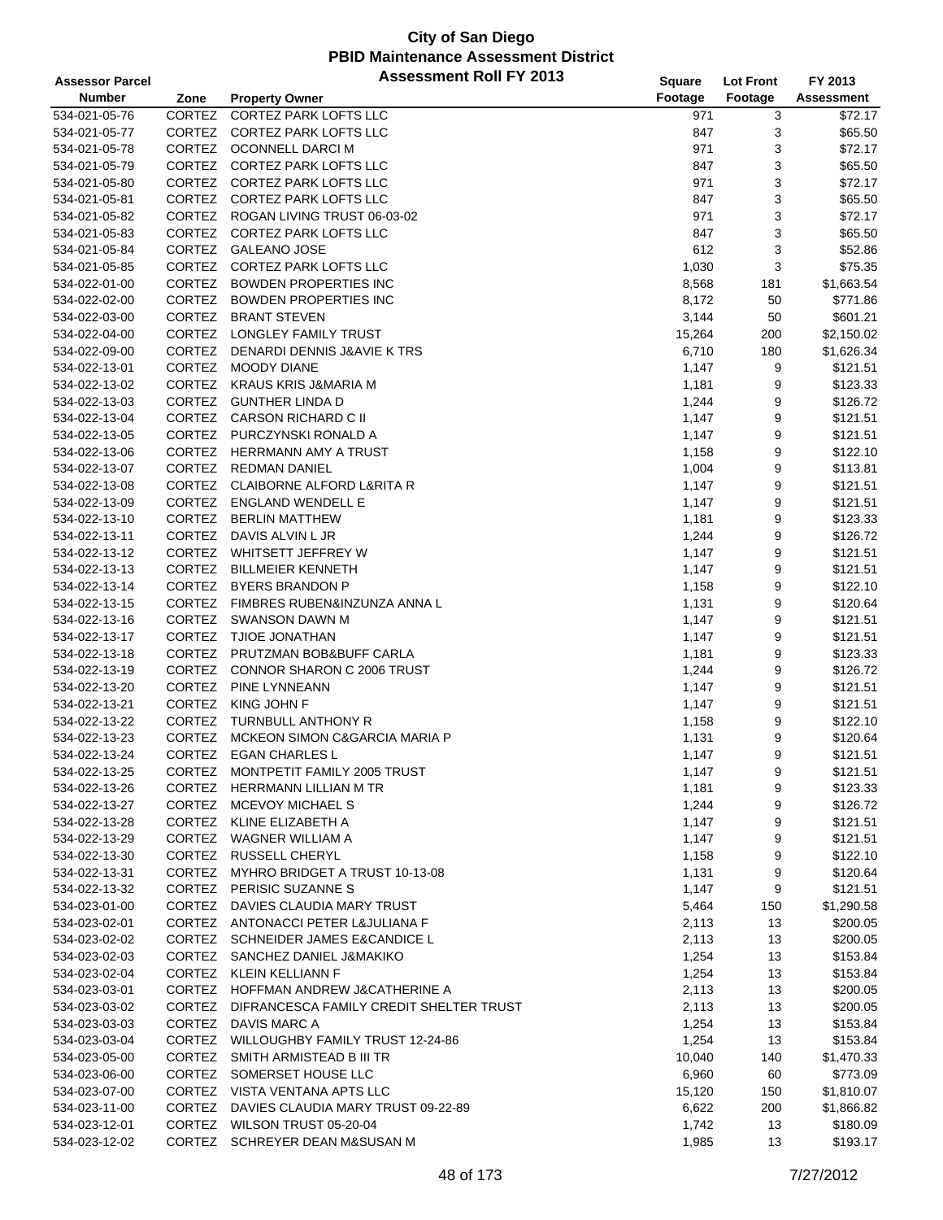| <b>Assessor Parcel</b> |               | <b>Assessment Roll FY 2013</b>                 | <b>Square</b> | <b>Lot Front</b> | FY 2013           |
|------------------------|---------------|------------------------------------------------|---------------|------------------|-------------------|
| <b>Number</b>          | Zone          | <b>Property Owner</b>                          | Footage       | Footage          | <b>Assessment</b> |
| 534-021-05-76          | CORTEZ        | <b>CORTEZ PARK LOFTS LLC</b>                   | 971           | 3                | \$72.17           |
| 534-021-05-77          | CORTEZ        | <b>CORTEZ PARK LOFTS LLC</b>                   | 847           | 3                | \$65.50           |
| 534-021-05-78          |               | CORTEZ OCONNELL DARCI M                        | 971           | 3                | \$72.17           |
| 534-021-05-79          |               | CORTEZ CORTEZ PARK LOFTS LLC                   | 847           | 3                | \$65.50           |
| 534-021-05-80          |               | CORTEZ CORTEZ PARK LOFTS LLC                   | 971           | 3                | \$72.17           |
| 534-021-05-81          |               | CORTEZ CORTEZ PARK LOFTS LLC                   | 847           | 3                | \$65.50           |
| 534-021-05-82          |               | CORTEZ ROGAN LIVING TRUST 06-03-02             | 971           | 3                | \$72.17           |
| 534-021-05-83          |               | CORTEZ CORTEZ PARK LOFTS LLC                   | 847           | 3                | \$65.50           |
| 534-021-05-84          |               | CORTEZ GALEANO JOSE                            | 612           | 3                | \$52.86           |
| 534-021-05-85          | CORTEZ        | <b>CORTEZ PARK LOFTS LLC</b>                   | 1,030         | 3                | \$75.35           |
| 534-022-01-00          |               | CORTEZ BOWDEN PROPERTIES INC                   | 8,568         | 181              | \$1,663.54        |
| 534-022-02-00          |               | CORTEZ BOWDEN PROPERTIES INC                   | 8,172         | 50               | \$771.86          |
| 534-022-03-00          |               | CORTEZ BRANT STEVEN                            | 3,144         | 50               | \$601.21          |
| 534-022-04-00          |               | CORTEZ LONGLEY FAMILY TRUST                    | 15,264        | 200              | \$2,150.02        |
| 534-022-09-00          | CORTEZ        | DENARDI DENNIS J&AVIE K TRS                    | 6,710         | 180              | \$1,626.34        |
| 534-022-13-01          |               | CORTEZ MOODY DIANE                             | 1,147         | 9                | \$121.51          |
| 534-022-13-02          |               | CORTEZ KRAUS KRIS J&MARIA M                    | 1,181         | 9                | \$123.33          |
| 534-022-13-03          |               | CORTEZ GUNTHER LINDA D                         | 1,244         | 9                | \$126.72          |
| 534-022-13-04          |               | CORTEZ CARSON RICHARD C II                     | 1,147         | 9                | \$121.51          |
| 534-022-13-05          |               | CORTEZ PURCZYNSKI RONALD A                     | 1,147         | 9                | \$121.51          |
| 534-022-13-06          | CORTEZ        | <b>HERRMANN AMY A TRUST</b>                    | 1,158         | 9                | \$122.10          |
| 534-022-13-07          |               | CORTEZ REDMAN DANIEL                           | 1,004         | 9                | \$113.81          |
| 534-022-13-08          |               | CORTEZ CLAIBORNE ALFORD L&RITA R               | 1,147         | 9                | \$121.51          |
| 534-022-13-09          |               | CORTEZ ENGLAND WENDELL E                       | 1,147         | 9                | \$121.51          |
| 534-022-13-10          |               | CORTEZ BERLIN MATTHEW                          | 1,181         | 9                | \$123.33          |
| 534-022-13-11          | CORTEZ        | DAVIS ALVIN L JR                               | 1,244         | 9                | \$126.72          |
| 534-022-13-12          | CORTEZ        | WHITSETT JEFFREY W                             | 1,147         | 9                | \$121.51          |
| 534-022-13-13          |               | CORTEZ BILLMEIER KENNETH                       | 1,147         | 9                | \$121.51          |
| 534-022-13-14          |               | CORTEZ BYERS BRANDON P                         | 1,158         | 9                | \$122.10          |
| 534-022-13-15          |               | CORTEZ FIMBRES RUBEN&INZUNZA ANNA L            | 1,131         | 9                | \$120.64          |
| 534-022-13-16          |               | CORTEZ SWANSON DAWN M                          | 1,147         | 9                | \$121.51          |
| 534-022-13-17          | <b>CORTEZ</b> | TJIOE JONATHAN                                 | 1,147         | 9                | \$121.51          |
| 534-022-13-18          |               | CORTEZ PRUTZMAN BOB&BUFF CARLA                 | 1,181         | 9                | \$123.33          |
| 534-022-13-19          |               | CORTEZ CONNOR SHARON C 2006 TRUST              | 1,244         | 9                | \$126.72          |
| 534-022-13-20          | CORTEZ        | PINE LYNNEANN                                  | 1,147         | 9                | \$121.51          |
| 534-022-13-21          |               | CORTEZ KING JOHN F                             | 1,147         | 9                | \$121.51          |
| 534-022-13-22          | <b>CORTEZ</b> | TURNBULL ANTHONY R                             | 1,158         | 9                | \$122.10          |
| 534-022-13-23          | <b>CORTEZ</b> | MCKEON SIMON C&GARCIA MARIA P                  | 1,131         | 9                | \$120.64          |
| 534-022-13-24          | CORTEZ        | <b>EGAN CHARLES L</b>                          | 1,147         | 9                | \$121.51          |
| 534-022-13-25          |               | CORTEZ MONTPETIT FAMILY 2005 TRUST             | 1,147         | 9                | \$121.51          |
| 534-022-13-26          |               | CORTEZ HERRMANN LILLIAN M TR                   | 1,181         | 9                | \$123.33          |
| 534-022-13-27          |               | CORTEZ MCEVOY MICHAEL S                        | 1,244         | 9                | \$126.72          |
| 534-022-13-28          |               | CORTEZ KLINE ELIZABETH A                       | 1,147         | 9                | \$121.51          |
| 534-022-13-29          |               | CORTEZ WAGNER WILLIAM A                        | 1,147         | 9                | \$121.51          |
| 534-022-13-30          |               | CORTEZ RUSSELL CHERYL                          | 1,158         | 9                | \$122.10          |
| 534-022-13-31          |               | CORTEZ MYHRO BRIDGET A TRUST 10-13-08          | 1,131         | 9                | \$120.64          |
| 534-022-13-32          |               | CORTEZ PERISIC SUZANNES                        | 1,147         | 9                | \$121.51          |
| 534-023-01-00          |               | CORTEZ DAVIES CLAUDIA MARY TRUST               | 5,464         | 150              | \$1,290.58        |
| 534-023-02-01          |               | CORTEZ ANTONACCI PETER L&JULIANA F             | 2,113         | 13               | \$200.05          |
| 534-023-02-02          |               | CORTEZ SCHNEIDER JAMES E&CANDICE L             | 2,113         | 13               | \$200.05          |
| 534-023-02-03          |               | CORTEZ SANCHEZ DANIEL J&MAKIKO                 | 1,254         | 13               | \$153.84          |
| 534-023-02-04          |               | CORTEZ KLEIN KELLIANN F                        | 1,254         | 13               | \$153.84          |
| 534-023-03-01          |               | CORTEZ HOFFMAN ANDREW J&CATHERINE A            | 2,113         | 13               | \$200.05          |
| 534-023-03-02          |               | CORTEZ DIFRANCESCA FAMILY CREDIT SHELTER TRUST | 2,113         | 13               | \$200.05          |
| 534-023-03-03          |               | CORTEZ DAVIS MARC A                            | 1,254         | 13               | \$153.84          |
| 534-023-03-04          |               | CORTEZ WILLOUGHBY FAMILY TRUST 12-24-86        | 1,254         | 13               | \$153.84          |
| 534-023-05-00          |               | CORTEZ SMITH ARMISTEAD B III TR                | 10,040        | 140              | \$1,470.33        |
| 534-023-06-00          |               | CORTEZ SOMERSET HOUSE LLC                      | 6,960         | 60               | \$773.09          |
| 534-023-07-00          |               | CORTEZ VISTA VENTANA APTS LLC                  | 15,120        | 150              | \$1,810.07        |
| 534-023-11-00          | CORTEZ        | DAVIES CLAUDIA MARY TRUST 09-22-89             | 6,622         | 200              | \$1,866.82        |
| 534-023-12-01          |               | CORTEZ WILSON TRUST 05-20-04                   | 1,742         | 13               | \$180.09          |
| 534-023-12-02          |               | CORTEZ SCHREYER DEAN M&SUSAN M                 | 1,985         | 13               | \$193.17          |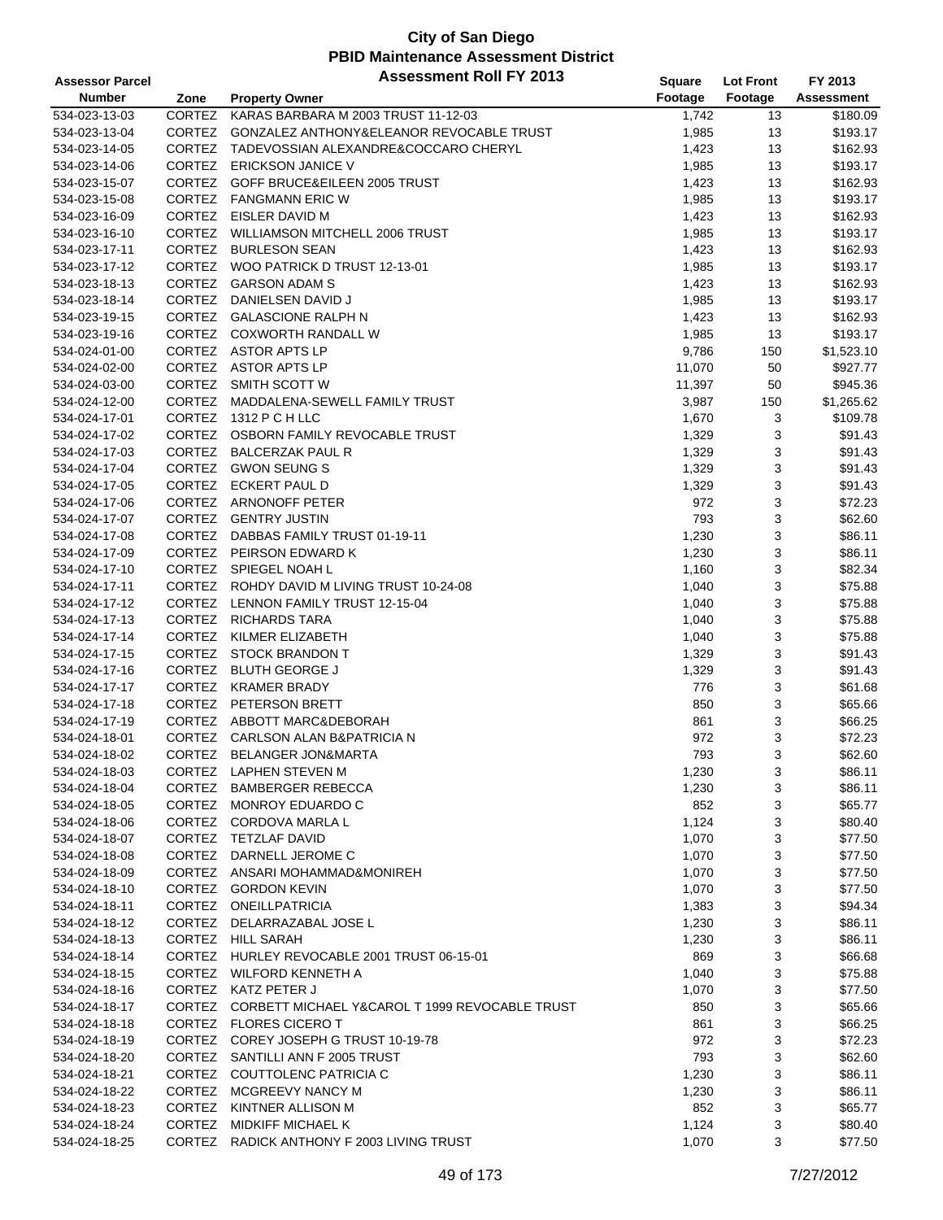| <b>Assessor Parcel</b> |               | <b>Assessment Roll FY 2013</b>                        | <b>Square</b> | <b>Lot Front</b> | FY 2013    |
|------------------------|---------------|-------------------------------------------------------|---------------|------------------|------------|
| <b>Number</b>          | Zone          | <b>Property Owner</b>                                 | Footage       | Footage          | Assessment |
| 534-023-13-03          | CORTEZ        | KARAS BARBARA M 2003 TRUST 11-12-03                   | 1,742         | 13               | \$180.09   |
| 534-023-13-04          | CORTEZ        | GONZALEZ ANTHONY&ELEANOR REVOCABLE TRUST              | 1,985         | 13               | \$193.17   |
| 534-023-14-05          | CORTEZ        | TADEVOSSIAN ALEXANDRE&COCCARO CHERYL                  | 1,423         | 13               | \$162.93   |
| 534-023-14-06          | CORTEZ        | <b>ERICKSON JANICE V</b>                              | 1,985         | 13               | \$193.17   |
| 534-023-15-07          | CORTEZ        | GOFF BRUCE&EILEEN 2005 TRUST                          | 1,423         | 13               | \$162.93   |
| 534-023-15-08          |               | CORTEZ FANGMANN ERIC W                                | 1,985         | 13               | \$193.17   |
| 534-023-16-09          |               | CORTEZ EISLER DAVID M                                 | 1,423         | 13               | \$162.93   |
| 534-023-16-10          | CORTEZ        | <b>WILLIAMSON MITCHELL 2006 TRUST</b>                 | 1,985         | 13               | \$193.17   |
| 534-023-17-11          | CORTEZ        | <b>BURLESON SEAN</b>                                  | 1,423         | 13               | \$162.93   |
| 534-023-17-12          | CORTEZ        | WOO PATRICK D TRUST 12-13-01                          | 1,985         | 13               | \$193.17   |
| 534-023-18-13          | CORTEZ        | <b>GARSON ADAM S</b>                                  | 1,423         | 13               | \$162.93   |
| 534-023-18-14          |               | CORTEZ DANIELSEN DAVID J                              | 1,985         | 13               | \$193.17   |
| 534-023-19-15          |               | CORTEZ GALASCIONE RALPH N                             | 1,423         | 13               | \$162.93   |
| 534-023-19-16          |               | CORTEZ COXWORTH RANDALL W                             | 1,985         | 13               | \$193.17   |
| 534-024-01-00          |               | CORTEZ ASTOR APTS LP                                  | 9,786         | 150              | \$1,523.10 |
| 534-024-02-00          |               | CORTEZ ASTOR APTS LP                                  | 11,070        | 50               | \$927.77   |
| 534-024-03-00          |               | CORTEZ SMITH SCOTT W                                  | 11,397        | 50               | \$945.36   |
| 534-024-12-00          | CORTEZ        | MADDALENA-SEWELL FAMILY TRUST                         | 3,987         | 150              | \$1,265.62 |
| 534-024-17-01          | <b>CORTEZ</b> | 1312 P C H LLC                                        | 1,670         | 3                | \$109.78   |
| 534-024-17-02          |               | CORTEZ OSBORN FAMILY REVOCABLE TRUST                  | 1,329         | 3                | \$91.43    |
| 534-024-17-03          | CORTEZ        | <b>BALCERZAK PAUL R</b>                               | 1,329         | 3                | \$91.43    |
| 534-024-17-04          |               | CORTEZ GWON SEUNG S                                   | 1,329         | 3                | \$91.43    |
| 534-024-17-05          |               | CORTEZ ECKERT PAUL D                                  | 1,329         | 3                | \$91.43    |
| 534-024-17-06          |               | CORTEZ ARNONOFF PETER                                 | 972           | 3                | \$72.23    |
| 534-024-17-07          |               | CORTEZ GENTRY JUSTIN                                  | 793           | 3                | \$62.60    |
| 534-024-17-08          |               | CORTEZ DABBAS FAMILY TRUST 01-19-11                   | 1,230         | 3                | \$86.11    |
| 534-024-17-09          |               | CORTEZ PEIRSON EDWARD K                               | 1,230         | 3                | \$86.11    |
| 534-024-17-10          |               | CORTEZ SPIEGEL NOAH L                                 | 1,160         | 3                | \$82.34    |
| 534-024-17-11          |               | CORTEZ ROHDY DAVID M LIVING TRUST 10-24-08            | 1,040         | 3                | \$75.88    |
| 534-024-17-12          | CORTEZ        | LENNON FAMILY TRUST 12-15-04                          | 1,040         | 3                | \$75.88    |
| 534-024-17-13          |               | CORTEZ RICHARDS TARA                                  | 1,040         | 3                | \$75.88    |
| 534-024-17-14          | <b>CORTEZ</b> | KILMER ELIZABETH                                      | 1,040         | 3                | \$75.88    |
| 534-024-17-15          |               | CORTEZ STOCK BRANDON T                                | 1,329         | 3                | \$91.43    |
| 534-024-17-16          |               | CORTEZ BLUTH GEORGE J                                 | 1,329         | 3                | \$91.43    |
| 534-024-17-17          |               | CORTEZ KRAMER BRADY                                   | 776           | 3                | \$61.68    |
| 534-024-17-18          |               | CORTEZ PETERSON BRETT                                 | 850           | 3                | \$65.66    |
| 534-024-17-19          |               | CORTEZ ABBOTT MARC&DEBORAH                            | 861           | 3                | \$66.25    |
| 534-024-18-01          | CORTEZ        | CARLSON ALAN B&PATRICIA N                             | 972           | 3                | \$72.23    |
| 534-024-18-02          | CORTEZ        | <b>BELANGER JON&amp;MARTA</b>                         | 793           | 3                | \$62.60    |
| 534-024-18-03          |               | CORTEZ LAPHEN STEVEN M                                | 1,230         | 3                | \$86.11    |
| 534-024-18-04          |               | CORTEZ BAMBERGER REBECCA                              | 1,230         | 3                | \$86.11    |
| 534-024-18-05          |               | CORTEZ MONROY EDUARDO C                               | 852           | 3                | \$65.77    |
| 534-024-18-06          |               | CORTEZ CORDOVA MARLA L                                | 1,124         | 3                | \$80.40    |
| 534-024-18-07          |               | CORTEZ TETZLAF DAVID                                  | 1,070         | 3                | \$77.50    |
| 534-024-18-08          |               | CORTEZ DARNELL JEROME C                               | 1,070         | 3                | \$77.50    |
| 534-024-18-09          |               | CORTEZ ANSARI MOHAMMAD&MONIREH                        | 1,070         | 3                | \$77.50    |
| 534-024-18-10          |               | CORTEZ GORDON KEVIN                                   | 1,070         | 3                | \$77.50    |
| 534-024-18-11          |               | CORTEZ ONEILLPATRICIA                                 | 1,383         | 3                | \$94.34    |
| 534-024-18-12          |               | CORTEZ DELARRAZABAL JOSE L                            | 1,230         | 3                | \$86.11    |
| 534-024-18-13          |               | CORTEZ HILL SARAH                                     | 1,230         | 3                | \$86.11    |
| 534-024-18-14          |               | CORTEZ HURLEY REVOCABLE 2001 TRUST 06-15-01           | 869           | 3                | \$66.68    |
| 534-024-18-15          |               | CORTEZ WILFORD KENNETH A                              | 1,040         | 3                | \$75.88    |
| 534-024-18-16          |               | CORTEZ KATZ PETER J                                   | 1,070         | 3                | \$77.50    |
| 534-024-18-17          |               | CORTEZ CORBETT MICHAEL Y&CAROL T 1999 REVOCABLE TRUST | 850           | 3                | \$65.66    |
| 534-024-18-18          |               | CORTEZ FLORES CICERO T                                | 861           | 3                | \$66.25    |
| 534-024-18-19          |               | CORTEZ COREY JOSEPH G TRUST 10-19-78                  | 972           | 3                | \$72.23    |
| 534-024-18-20          |               | CORTEZ SANTILLI ANN F 2005 TRUST                      | 793           | 3                | \$62.60    |
| 534-024-18-21          |               | CORTEZ COUTTOLENC PATRICIA C                          | 1,230         | 3                | \$86.11    |
| 534-024-18-22          |               | CORTEZ MCGREEVY NANCY M                               | 1,230         | 3                | \$86.11    |
| 534-024-18-23          | CORTEZ        | KINTNER ALLISON M                                     | 852           | 3                | \$65.77    |
| 534-024-18-24          |               | CORTEZ MIDKIFF MICHAEL K                              | 1,124         | 3                | \$80.40    |
| 534-024-18-25          |               | CORTEZ RADICK ANTHONY F 2003 LIVING TRUST             | 1,070         | 3                | \$77.50    |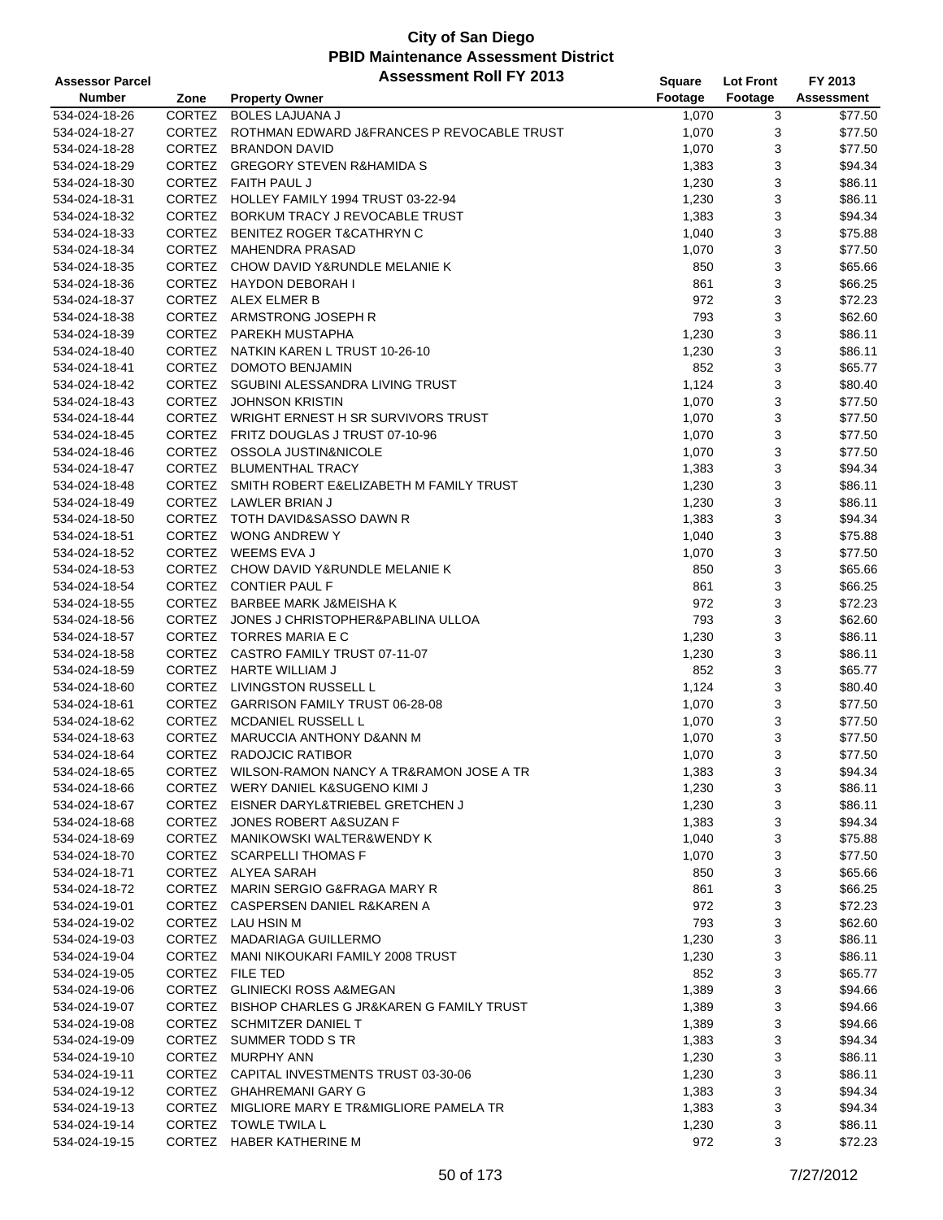| <b>Assessor Parcel</b> |               | <b>Assessment Roll FY 2013</b>                                       | <b>Square</b>  | <b>Lot Front</b> | FY 2013    |
|------------------------|---------------|----------------------------------------------------------------------|----------------|------------------|------------|
| <b>Number</b>          | Zone          | <b>Property Owner</b>                                                | Footage        | Footage          | Assessment |
| 534-024-18-26          | CORTEZ        | <b>BOLES LAJUANA J</b>                                               | 1,070          | 3                | \$77.50    |
| 534-024-18-27          |               | CORTEZ ROTHMAN EDWARD J&FRANCES P REVOCABLE TRUST                    | 1,070          | 3                | \$77.50    |
| 534-024-18-28          |               | CORTEZ BRANDON DAVID                                                 | 1,070          | 3                | \$77.50    |
| 534-024-18-29          |               | CORTEZ GREGORY STEVEN R&HAMIDA S                                     | 1,383          | 3                | \$94.34    |
| 534-024-18-30          |               | CORTEZ FAITH PAUL J                                                  | 1,230          | 3                | \$86.11    |
| 534-024-18-31          |               | CORTEZ HOLLEY FAMILY 1994 TRUST 03-22-94                             | 1,230          | 3                | \$86.11    |
| 534-024-18-32          |               | CORTEZ BORKUM TRACY J REVOCABLE TRUST                                | 1,383          | 3                | \$94.34    |
| 534-024-18-33          |               | CORTEZ BENITEZ ROGER T&CATHRYN C                                     | 1,040          | 3                | \$75.88    |
| 534-024-18-34          |               | CORTEZ MAHENDRA PRASAD                                               | 1,070          | 3                | \$77.50    |
| 534-024-18-35          | CORTEZ        | CHOW DAVID Y&RUNDLE MELANIE K                                        | 850            | 3                | \$65.66    |
| 534-024-18-36          |               | CORTEZ HAYDON DEBORAH I                                              | 861            | 3                | \$66.25    |
| 534-024-18-37          |               | CORTEZ ALEX ELMER B                                                  | 972            | 3                | \$72.23    |
| 534-024-18-38          |               | CORTEZ ARMSTRONG JOSEPH R                                            | 793            | 3                | \$62.60    |
| 534-024-18-39          |               | CORTEZ PAREKH MUSTAPHA                                               | 1,230          | 3                | \$86.11    |
| 534-024-18-40          | CORTEZ        | NATKIN KAREN L TRUST 10-26-10                                        | 1,230          | 3                | \$86.11    |
| 534-024-18-41          |               | CORTEZ DOMOTO BENJAMIN                                               | 852            | 3                | \$65.77    |
| 534-024-18-42          |               | CORTEZ SGUBINI ALESSANDRA LIVING TRUST                               | 1,124          | 3                | \$80.40    |
| 534-024-18-43          |               | CORTEZ JOHNSON KRISTIN                                               | 1,070          | 3                | \$77.50    |
| 534-024-18-44          |               | CORTEZ WRIGHT ERNEST H SR SURVIVORS TRUST                            | 1,070          | 3                | \$77.50    |
| 534-024-18-45          |               | CORTEZ FRITZ DOUGLAS J TRUST 07-10-96                                | 1,070          | 3                | \$77.50    |
| 534-024-18-46          |               | CORTEZ OSSOLA JUSTIN&NICOLE                                          | 1,070          | 3                | \$77.50    |
| 534-024-18-47          |               | CORTEZ BLUMENTHAL TRACY                                              | 1,383          | 3                | \$94.34    |
| 534-024-18-48          |               | CORTEZ SMITH ROBERT E&ELIZABETH M FAMILY TRUST                       | 1,230          | 3                | \$86.11    |
| 534-024-18-49          |               | CORTEZ LAWLER BRIAN J                                                | 1,230          | 3                | \$86.11    |
| 534-024-18-50          |               | CORTEZ TOTH DAVID&SASSO DAWN R                                       | 1,383          | 3                | \$94.34    |
| 534-024-18-51          |               | CORTEZ WONG ANDREW Y                                                 | 1,040          | 3                | \$75.88    |
| 534-024-18-52          |               | CORTEZ WEEMS EVA J                                                   | 1,070          | 3                | \$77.50    |
| 534-024-18-53          |               | CORTEZ CHOW DAVID Y&RUNDLE MELANIE K                                 | 850            | 3                | \$65.66    |
| 534-024-18-54          |               | CORTEZ CONTIER PAUL F                                                | 861            | 3                | \$66.25    |
| 534-024-18-55          |               | CORTEZ BARBEE MARK J&MEISHA K                                        | 972            | 3                | \$72.23    |
| 534-024-18-56          |               | CORTEZ JONES J CHRISTOPHER&PABLINA ULLOA                             | 793            | 3                | \$62.60    |
| 534-024-18-57          | <b>CORTEZ</b> | TORRES MARIA E C                                                     | 1,230          | 3                | \$86.11    |
| 534-024-18-58          |               | CORTEZ CASTRO FAMILY TRUST 07-11-07                                  | 1,230          | 3                | \$86.11    |
| 534-024-18-59          |               | CORTEZ HARTE WILLIAM J                                               | 852            | 3                | \$65.77    |
| 534-024-18-60          |               | CORTEZ LIVINGSTON RUSSELL L                                          | 1,124          | 3                | \$80.40    |
| 534-024-18-61          |               | CORTEZ GARRISON FAMILY TRUST 06-28-08                                | 1,070          | 3                | \$77.50    |
| 534-024-18-62          | CORTEZ        | MCDANIEL RUSSELL L                                                   | 1,070          | 3                | \$77.50    |
| 534-024-18-63          | CORTEZ        | MARUCCIA ANTHONY D&ANN M                                             | 1,070          | 3                | \$77.50    |
| 534-024-18-64          |               | CORTEZ RADOJCIC RATIBOR                                              | 1,070          | 3                | \$77.50    |
| 534-024-18-65          |               | CORTEZ WILSON-RAMON NANCY A TR&RAMON JOSE A TR                       | 1,383          | 3                | \$94.34    |
| 534-024-18-66          |               | CORTEZ WERY DANIEL K&SUGENO KIMI J                                   | 1,230          | 3                | \$86.11    |
| 534-024-18-67          |               | CORTEZ EISNER DARYL&TRIEBEL GRETCHEN J                               | 1,230          | 3                | \$86.11    |
| 534-024-18-68          |               | CORTEZ JONES ROBERT A&SUZAN F                                        | 1,383          | 3                | \$94.34    |
| 534-024-18-69          |               | CORTEZ MANIKOWSKI WALTER&WENDY K                                     | 1,040          | 3                | \$75.88    |
| 534-024-18-70          |               | CORTEZ SCARPELLI THOMAS F                                            | 1,070          | 3                | \$77.50    |
| 534-024-18-71          |               | CORTEZ ALYEA SARAH                                                   | 850            | 3                | \$65.66    |
| 534-024-18-72          |               | CORTEZ MARIN SERGIO G&FRAGA MARY R                                   | 861            | 3                | \$66.25    |
| 534-024-19-01          |               | CORTEZ CASPERSEN DANIEL R&KAREN A                                    | 972            | 3                | \$72.23    |
| 534-024-19-02          |               | CORTEZ LAU HSIN M                                                    | 793            | 3                | \$62.60    |
| 534-024-19-03          |               | CORTEZ MADARIAGA GUILLERMO                                           | 1,230          | 3                | \$86.11    |
| 534-024-19-04          |               | CORTEZ MANI NIKOUKARI FAMILY 2008 TRUST                              | 1,230          | 3                | \$86.11    |
| 534-024-19-05          |               | CORTEZ FILE TED                                                      | 852            | 3                | \$65.77    |
| 534-024-19-06          |               | CORTEZ GLINIECKI ROSS A&MEGAN                                        | 1,389          | 3                | \$94.66    |
| 534-024-19-07          |               | CORTEZ BISHOP CHARLES G JR&KAREN G FAMILY TRUST                      | 1,389          | 3                | \$94.66    |
| 534-024-19-08          |               | CORTEZ SCHMITZER DANIEL T                                            | 1,389          | 3                | \$94.66    |
| 534-024-19-09          |               | CORTEZ SUMMER TODD S TR                                              | 1,383          | 3                | \$94.34    |
| 534-024-19-10          |               | CORTEZ MURPHY ANN                                                    | 1,230          | 3                | \$86.11    |
| 534-024-19-11          |               | CORTEZ CAPITAL INVESTMENTS TRUST 03-30-06                            |                | 3                | \$86.11    |
| 534-024-19-12          |               | CORTEZ GHAHREMANI GARY G                                             | 1,230<br>1,383 | 3                | \$94.34    |
|                        |               |                                                                      |                |                  |            |
| 534-024-19-13          |               | CORTEZ MIGLIORE MARY E TR&MIGLIORE PAMELA TR<br>CORTEZ TOWLE TWILA L | 1,383          | 3                | \$94.34    |
| 534-024-19-14          |               |                                                                      | 1,230          | 3<br>3           | \$86.11    |
| 534-024-19-15          |               | CORTEZ HABER KATHERINE M                                             | 972            |                  | \$72.23    |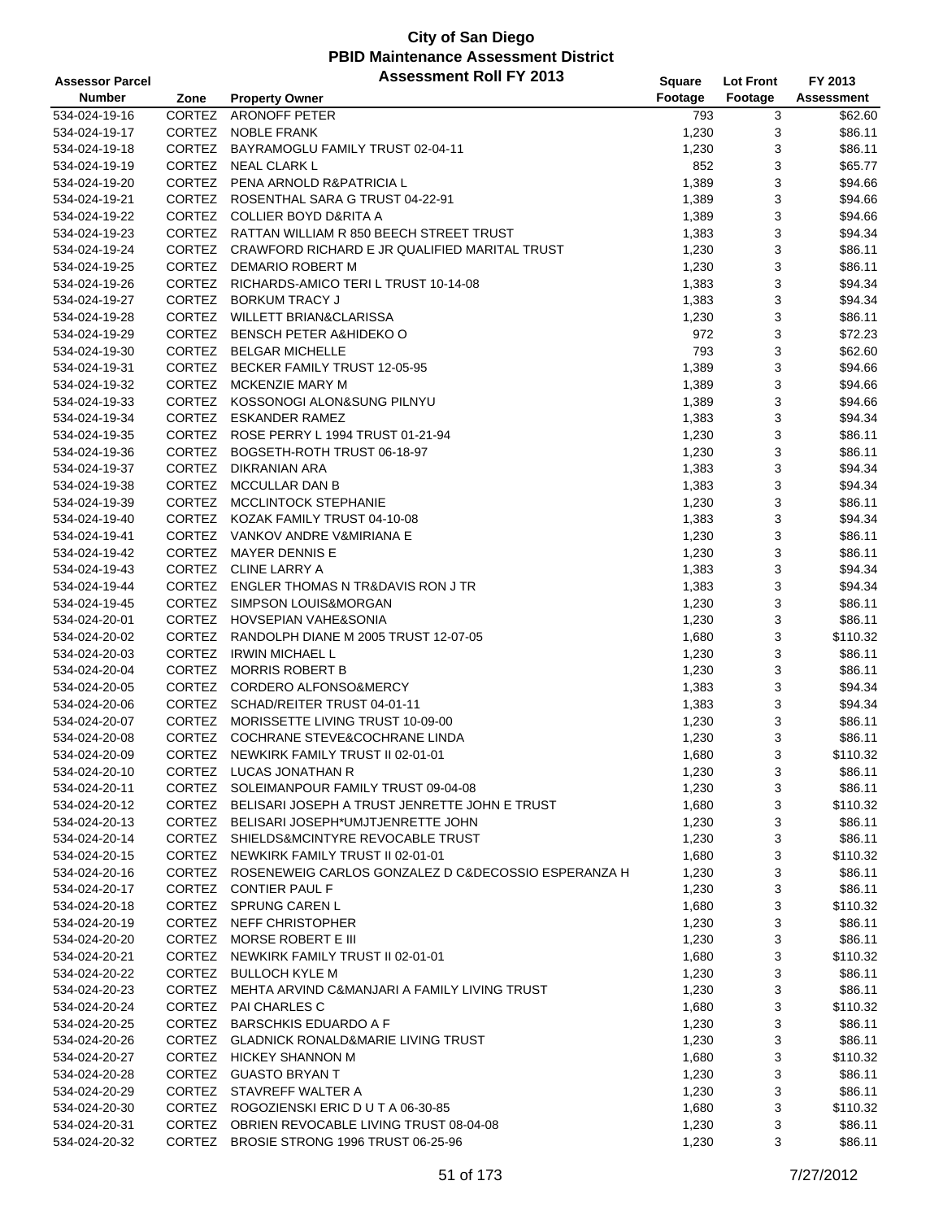| <b>Assessor Parcel</b> |               | <b>Assessment Roll FY 2013</b>                             | Square  | <b>Lot Front</b> | FY 2013           |
|------------------------|---------------|------------------------------------------------------------|---------|------------------|-------------------|
| <b>Number</b>          | Zone          | <b>Property Owner</b>                                      | Footage | Footage          | <b>Assessment</b> |
| 534-024-19-16          | CORTEZ        | <b>ARONOFF PETER</b>                                       | 793     | 3                | \$62.60           |
| 534-024-19-17          | CORTEZ        | <b>NOBLE FRANK</b>                                         | 1,230   | 3                | \$86.11           |
| 534-024-19-18          |               | CORTEZ BAYRAMOGLU FAMILY TRUST 02-04-11                    | 1,230   | 3                | \$86.11           |
| 534-024-19-19          | CORTEZ        | NEAL CLARK L                                               | 852     | 3                | \$65.77           |
| 534-024-19-20          |               | CORTEZ PENA ARNOLD R&PATRICIA L                            | 1,389   | 3                | \$94.66           |
| 534-024-19-21          |               | CORTEZ ROSENTHAL SARA G TRUST 04-22-91                     | 1,389   | 3                | \$94.66           |
| 534-024-19-22          |               | CORTEZ COLLIER BOYD D&RITA A                               | 1,389   | 3                | \$94.66           |
| 534-024-19-23          | CORTEZ        | RATTAN WILLIAM R 850 BEECH STREET TRUST                    | 1,383   | 3                | \$94.34           |
| 534-024-19-24          |               | CORTEZ CRAWFORD RICHARD E JR QUALIFIED MARITAL TRUST       | 1,230   | 3                | \$86.11           |
| 534-024-19-25          | <b>CORTEZ</b> | DEMARIO ROBERT M                                           | 1,230   | 3                | \$86.11           |
| 534-024-19-26          |               | CORTEZ RICHARDS-AMICO TERI L TRUST 10-14-08                | 1,383   | 3                | \$94.34           |
| 534-024-19-27          |               | CORTEZ BORKUM TRACY J                                      | 1,383   | 3                | \$94.34           |
| 534-024-19-28          |               | CORTEZ WILLETT BRIAN&CLARISSA                              | 1,230   | 3                | \$86.11           |
| 534-024-19-29          |               | CORTEZ BENSCH PETER A&HIDEKO O                             | 972     | 3                | \$72.23           |
| 534-024-19-30          |               | CORTEZ BELGAR MICHELLE                                     | 793     | 3                | \$62.60           |
| 534-024-19-31          |               | CORTEZ BECKER FAMILY TRUST 12-05-95                        | 1,389   | 3                | \$94.66           |
| 534-024-19-32          |               | CORTEZ MCKENZIE MARY M                                     | 1,389   | 3                | \$94.66           |
| 534-024-19-33          |               | CORTEZ KOSSONOGI ALON&SUNG PILNYU                          | 1,389   | 3                | \$94.66           |
| 534-024-19-34          | CORTEZ        | <b>ESKANDER RAMEZ</b>                                      | 1,383   | 3                | \$94.34           |
| 534-024-19-35          |               | CORTEZ ROSE PERRY L 1994 TRUST 01-21-94                    | 1,230   | 3                | \$86.11           |
| 534-024-19-36          | <b>CORTEZ</b> | BOGSETH-ROTH TRUST 06-18-97                                | 1,230   | 3                | \$86.11           |
| 534-024-19-37          |               | CORTEZ DIKRANIAN ARA                                       | 1,383   | 3                | \$94.34           |
| 534-024-19-38          |               | CORTEZ MCCULLAR DAN B                                      | 1,383   | 3                | \$94.34           |
| 534-024-19-39          | CORTEZ        | MCCLINTOCK STEPHANIE                                       | 1,230   | 3                | \$86.11           |
| 534-024-19-40          |               | CORTEZ KOZAK FAMILY TRUST 04-10-08                         | 1,383   | 3                | \$94.34           |
| 534-024-19-41          |               | CORTEZ VANKOV ANDRE V&MIRIANA E                            | 1,230   | 3                | \$86.11           |
| 534-024-19-42          | CORTEZ        | <b>MAYER DENNIS E</b>                                      | 1,230   | 3                | \$86.11           |
| 534-024-19-43          |               | CORTEZ CLINE LARRY A                                       | 1,383   | 3                | \$94.34           |
| 534-024-19-44          |               | CORTEZ ENGLER THOMAS N TR&DAVIS RON J TR                   | 1,383   | 3                | \$94.34           |
| 534-024-19-45          | CORTEZ        | SIMPSON LOUIS&MORGAN                                       | 1,230   | 3                | \$86.11           |
| 534-024-20-01          |               | CORTEZ HOVSEPIAN VAHE&SONIA                                | 1,230   | 3                | \$86.11           |
| 534-024-20-02          | <b>CORTEZ</b> | RANDOLPH DIANE M 2005 TRUST 12-07-05                       | 1,680   | 3                | \$110.32          |
| 534-024-20-03          | CORTEZ        | <b>IRWIN MICHAEL L</b>                                     | 1,230   | 3                | \$86.11           |
| 534-024-20-04          |               | CORTEZ MORRIS ROBERT B                                     | 1,230   | 3                | \$86.11           |
| 534-024-20-05          |               | CORTEZ CORDERO ALFONSO&MERCY                               | 1,383   | 3                | \$94.34           |
| 534-024-20-06          |               | CORTEZ SCHAD/REITER TRUST 04-01-11                         | 1,383   | 3                | \$94.34           |
| 534-024-20-07          |               | CORTEZ MORISSETTE LIVING TRUST 10-09-00                    | 1,230   | 3                | \$86.11           |
| 534-024-20-08          | CORTEZ        | COCHRANE STEVE&COCHRANE LINDA                              | 1,230   | 3                | \$86.11           |
| 534-024-20-09          |               | CORTEZ NEWKIRK FAMILY TRUST II 02-01-01                    | 1,680   | 3                | \$110.32          |
| 534-024-20-10          |               | CORTEZ LUCAS JONATHAN R                                    | 1,230   | 3                | \$86.11           |
| 534-024-20-11          |               | CORTEZ SOLEIMANPOUR FAMILY TRUST 09-04-08                  | 1,230   | 3                | \$86.11           |
| 534-024-20-12          |               | CORTEZ BELISARI JOSEPH A TRUST JENRETTE JOHN E TRUST       | 1,680   | 3                | \$110.32          |
| 534-024-20-13          |               | CORTEZ BELISARI JOSEPH*UMJTJENRETTE JOHN                   | 1,230   | 3                | \$86.11           |
| 534-024-20-14          |               | CORTEZ SHIELDS&MCINTYRE REVOCABLE TRUST                    | 1,230   | 3                | \$86.11           |
| 534-024-20-15          |               | CORTEZ NEWKIRK FAMILY TRUST II 02-01-01                    | 1,680   | 3                | \$110.32          |
| 534-024-20-16          |               | CORTEZ ROSENEWEIG CARLOS GONZALEZ D C&DECOSSIO ESPERANZA H | 1,230   | 3                | \$86.11           |
| 534-024-20-17          |               | CORTEZ CONTIER PAUL F                                      | 1,230   | 3                | \$86.11           |
| 534-024-20-18          |               | CORTEZ SPRUNG CAREN L                                      | 1,680   | 3                | \$110.32          |
| 534-024-20-19          |               | CORTEZ NEFF CHRISTOPHER                                    | 1,230   | 3                | \$86.11           |
| 534-024-20-20          |               | CORTEZ MORSE ROBERT E III                                  | 1,230   | 3                | \$86.11           |
| 534-024-20-21          |               | CORTEZ NEWKIRK FAMILY TRUST II 02-01-01                    | 1,680   | 3                | \$110.32          |
| 534-024-20-22          |               | CORTEZ BULLOCH KYLE M                                      | 1,230   | 3                | \$86.11           |
| 534-024-20-23          |               | CORTEZ MEHTA ARVIND C&MANJARI A FAMILY LIVING TRUST        | 1,230   | 3                | \$86.11           |
| 534-024-20-24          |               | CORTEZ PAI CHARLES C                                       | 1,680   | 3                | \$110.32          |
| 534-024-20-25          |               | CORTEZ BARSCHKIS EDUARDO A F                               | 1,230   | 3                | \$86.11           |
| 534-024-20-26          |               | CORTEZ GLADNICK RONALD&MARIE LIVING TRUST                  | 1,230   | 3                | \$86.11           |
| 534-024-20-27          |               | CORTEZ HICKEY SHANNON M                                    | 1,680   | 3                | \$110.32          |
| 534-024-20-28          |               | CORTEZ GUASTO BRYAN T                                      | 1,230   | 3                | \$86.11           |
| 534-024-20-29          |               | CORTEZ STAVREFF WALTER A                                   | 1,230   | 3                | \$86.11           |
| 534-024-20-30          |               | CORTEZ ROGOZIENSKI ERIC DUT A 06-30-85                     | 1,680   | 3                | \$110.32          |
| 534-024-20-31          |               | CORTEZ OBRIEN REVOCABLE LIVING TRUST 08-04-08              | 1,230   | 3                | \$86.11           |
| 534-024-20-32          |               | CORTEZ BROSIE STRONG 1996 TRUST 06-25-96                   | 1,230   | 3                | \$86.11           |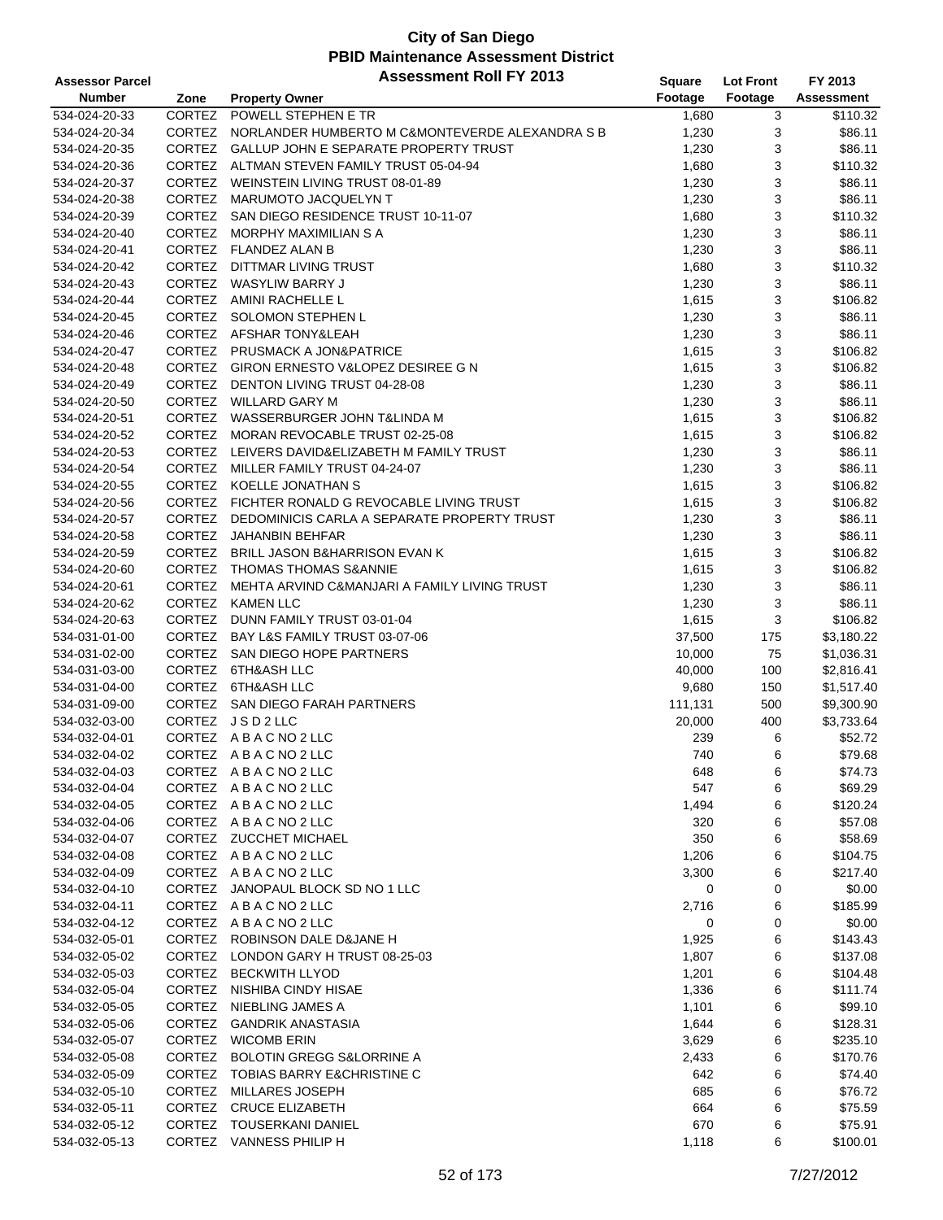| <b>Assessor Parcel</b> |               | <b>Assessment Roll FY 2013</b>                     | Square  | <b>Lot Front</b> | FY 2013    |
|------------------------|---------------|----------------------------------------------------|---------|------------------|------------|
| <b>Number</b>          | Zone          | <b>Property Owner</b>                              | Footage | Footage          | Assessment |
| 534-024-20-33          | CORTEZ        | POWELL STEPHEN E TR                                | 1,680   | 3                | \$110.32   |
| 534-024-20-34          | CORTEZ        | NORLANDER HUMBERTO M C&MONTEVERDE ALEXANDRA S B    | 1,230   | 3                | \$86.11    |
| 534-024-20-35          |               | CORTEZ GALLUP JOHN E SEPARATE PROPERTY TRUST       | 1,230   | 3                | \$86.11    |
| 534-024-20-36          |               | CORTEZ ALTMAN STEVEN FAMILY TRUST 05-04-94         | 1,680   | 3                | \$110.32   |
| 534-024-20-37          |               | CORTEZ WEINSTEIN LIVING TRUST 08-01-89             | 1,230   | 3                | \$86.11    |
| 534-024-20-38          |               | CORTEZ MARUMOTO JACQUELYN T                        | 1,230   | 3                | \$86.11    |
| 534-024-20-39          |               | CORTEZ SAN DIEGO RESIDENCE TRUST 10-11-07          | 1,680   | 3                | \$110.32   |
| 534-024-20-40          | <b>CORTEZ</b> | MORPHY MAXIMILIAN S A                              | 1,230   | 3                | \$86.11    |
| 534-024-20-41          |               | CORTEZ FLANDEZ ALAN B                              | 1,230   | 3                | \$86.11    |
| 534-024-20-42          | <b>CORTEZ</b> | DITTMAR LIVING TRUST                               | 1,680   | 3                | \$110.32   |
| 534-024-20-43          |               | CORTEZ WASYLIW BARRY J                             | 1,230   | 3                | \$86.11    |
| 534-024-20-44          |               | CORTEZ AMINI RACHELLE L                            | 1,615   | 3                | \$106.82   |
| 534-024-20-45          |               | CORTEZ SOLOMON STEPHEN L                           | 1,230   | 3                | \$86.11    |
| 534-024-20-46          |               | CORTEZ AFSHAR TONY&LEAH                            | 1,230   | 3                | \$86.11    |
| 534-024-20-47          | CORTEZ        | <b>PRUSMACK A JON&amp;PATRICE</b>                  | 1,615   | 3                | \$106.82   |
| 534-024-20-48          |               | CORTEZ GIRON ERNESTO V&LOPEZ DESIREE G N           | 1,615   | 3                | \$106.82   |
| 534-024-20-49          |               | CORTEZ DENTON LIVING TRUST 04-28-08                | 1,230   | 3                | \$86.11    |
| 534-024-20-50          |               | CORTEZ WILLARD GARY M                              | 1,230   | 3                | \$86.11    |
| 534-024-20-51          |               | CORTEZ WASSERBURGER JOHN T&LINDA M                 | 1,615   | 3                | \$106.82   |
| 534-024-20-52          |               | CORTEZ MORAN REVOCABLE TRUST 02-25-08              | 1,615   | 3                | \$106.82   |
| 534-024-20-53          | CORTEZ        | LEIVERS DAVID&ELIZABETH M FAMILY TRUST             | 1,230   | 3                | \$86.11    |
| 534-024-20-54          |               | CORTEZ MILLER FAMILY TRUST 04-24-07                | 1,230   | 3                | \$86.11    |
| 534-024-20-55          |               | CORTEZ KOELLE JONATHAN S                           | 1,615   | 3                | \$106.82   |
| 534-024-20-56          |               | CORTEZ FICHTER RONALD G REVOCABLE LIVING TRUST     | 1,615   | 3                | \$106.82   |
| 534-024-20-57          |               | CORTEZ DEDOMINICIS CARLA A SEPARATE PROPERTY TRUST | 1,230   | 3                | \$86.11    |
| 534-024-20-58          | CORTEZ        | JAHANBIN BEHFAR                                    | 1,230   | 3                | \$86.11    |
| 534-024-20-59          |               | CORTEZ BRILL JASON B&HARRISON EVAN K               | 1,615   | 3                | \$106.82   |
| 534-024-20-60          |               | CORTEZ THOMAS THOMAS S&ANNIE                       | 1,615   | 3                | \$106.82   |
| 534-024-20-61          | CORTEZ        | MEHTA ARVIND C&MANJARI A FAMILY LIVING TRUST       | 1,230   | 3                | \$86.11    |
| 534-024-20-62          |               | CORTEZ KAMEN LLC                                   | 1,230   | 3                | \$86.11    |
| 534-024-20-63          |               | CORTEZ DUNN FAMILY TRUST 03-01-04                  | 1,615   | 3                | \$106.82   |
| 534-031-01-00          | <b>CORTEZ</b> | BAY L&S FAMILY TRUST 03-07-06                      | 37,500  | 175              | \$3,180.22 |
| 534-031-02-00          |               | CORTEZ SAN DIEGO HOPE PARTNERS                     | 10,000  | 75               | \$1,036.31 |
| 534-031-03-00          |               | CORTEZ 6TH&ASH LLC                                 | 40,000  | 100              | \$2,816.41 |
| 534-031-04-00          |               | CORTEZ 6TH&ASH LLC                                 | 9,680   | 150              | \$1,517.40 |
| 534-031-09-00          |               | CORTEZ SAN DIEGO FARAH PARTNERS                    | 111,131 | 500              | \$9,300.90 |
| 534-032-03-00          |               | CORTEZ JSD2LLC                                     | 20,000  | 400              | \$3,733.64 |
| 534-032-04-01          |               | CORTEZ ABACNO2LLC                                  | 239     | 6                | \$52.72    |
| 534-032-04-02          |               | CORTEZ ABACNO2LLC                                  | 740     | 6                | \$79.68    |
| 534-032-04-03          |               | CORTEZ ABACNO2LLC                                  | 648     | 6                | \$74.73    |
| 534-032-04-04          |               | CORTEZ ABACNO2LLC                                  | 547     | 6                | \$69.29    |
| 534-032-04-05          |               | CORTEZ ABACNO2LLC                                  | 1,494   | 6                | \$120.24   |
| 534-032-04-06          |               | CORTEZ ABACNO2LLC                                  | 320     | 6                | \$57.08    |
| 534-032-04-07          |               | CORTEZ ZUCCHET MICHAEL                             | 350     | 6                | \$58.69    |
| 534-032-04-08          |               | CORTEZ ABACNO2LLC                                  | 1,206   | 6                | \$104.75   |
| 534-032-04-09          |               | CORTEZ ABACNO2LLC                                  | 3,300   | 6                | \$217.40   |
| 534-032-04-10          |               | CORTEZ JANOPAUL BLOCK SD NO 1 LLC                  | 0       | 0                | \$0.00     |
| 534-032-04-11          |               | CORTEZ ABACNO2LLC                                  | 2,716   | 6                | \$185.99   |
| 534-032-04-12          |               | CORTEZ ABACNO2LLC                                  | 0       | 0                | \$0.00     |
| 534-032-05-01          |               | CORTEZ ROBINSON DALE D&JANE H                      | 1,925   | 6                | \$143.43   |
| 534-032-05-02          |               | CORTEZ LONDON GARY H TRUST 08-25-03                | 1,807   | 6                | \$137.08   |
| 534-032-05-03          |               | CORTEZ BECKWITH LLYOD                              | 1,201   | 6                | \$104.48   |
| 534-032-05-04          |               | CORTEZ NISHIBA CINDY HISAE                         | 1,336   | 6                | \$111.74   |
| 534-032-05-05          | <b>CORTEZ</b> | NIEBLING JAMES A                                   | 1,101   | 6                | \$99.10    |
| 534-032-05-06          |               | CORTEZ GANDRIK ANASTASIA                           | 1,644   | 6                | \$128.31   |
| 534-032-05-07          |               | CORTEZ WICOMB ERIN                                 | 3,629   | 6                | \$235.10   |
| 534-032-05-08          |               | CORTEZ BOLOTIN GREGG S&LORRINE A                   | 2,433   | 6                | \$170.76   |
| 534-032-05-09          | <b>CORTEZ</b> | TOBIAS BARRY E&CHRISTINE C                         | 642     | 6                | \$74.40    |
| 534-032-05-10          |               | CORTEZ MILLARES JOSEPH                             | 685     | 6                | \$76.72    |
| 534-032-05-11          | <b>CORTEZ</b> | <b>CRUCE ELIZABETH</b>                             | 664     | 6                | \$75.59    |
| 534-032-05-12          | CORTEZ        | TOUSERKANI DANIEL                                  | 670     | 6                | \$75.91    |
| 534-032-05-13          |               | CORTEZ VANNESS PHILIP H                            | 1,118   | 6                | \$100.01   |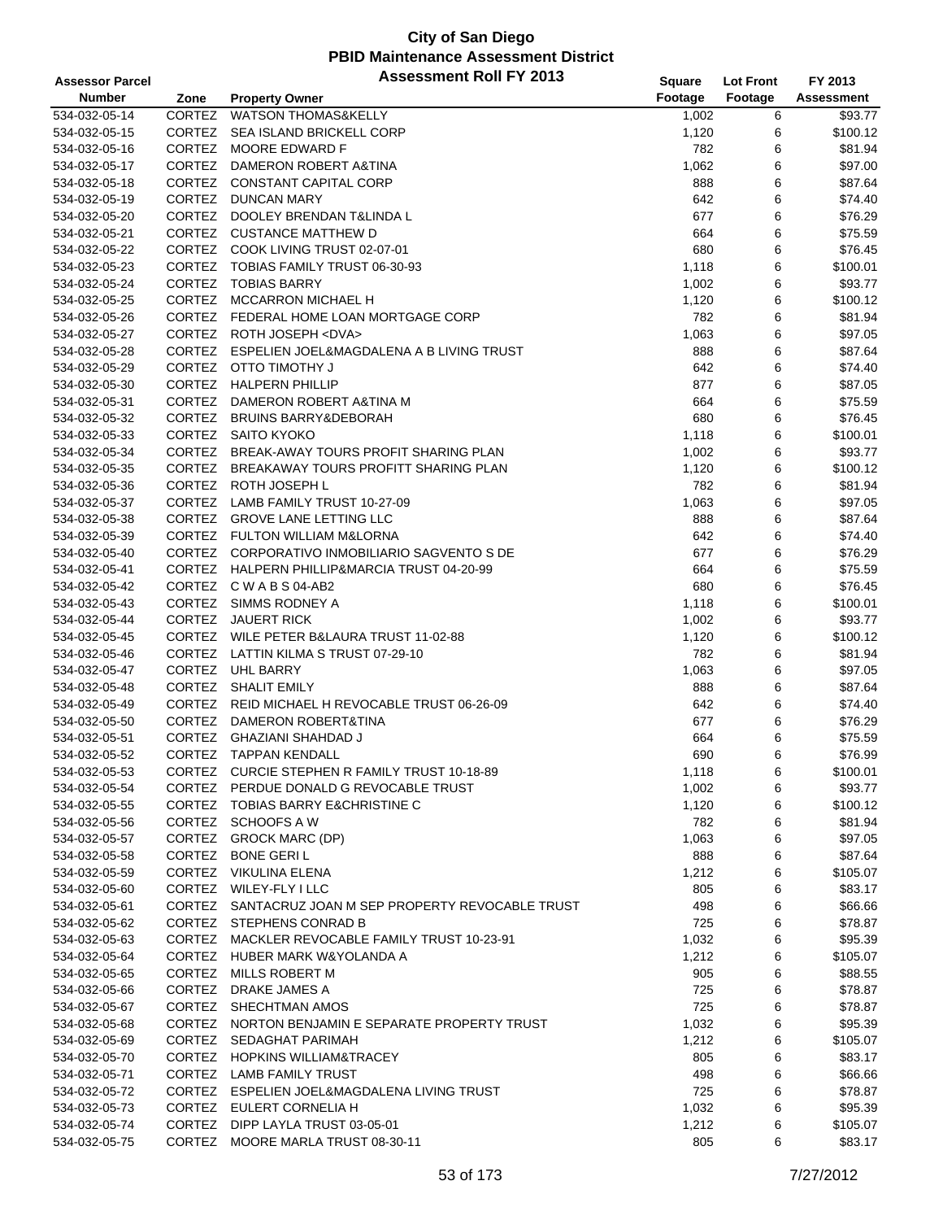| <b>Assessor Parcel</b> |               | <b>Assessment Roll FY 2013</b>                       | <b>Square</b> | <b>Lot Front</b> | FY 2013           |
|------------------------|---------------|------------------------------------------------------|---------------|------------------|-------------------|
| <b>Number</b>          | Zone          | <b>Property Owner</b>                                | Footage       | Footage          | <b>Assessment</b> |
| 534-032-05-14          | CORTEZ        | <b>WATSON THOMAS&amp;KELLY</b>                       | 1,002         | 6                | \$93.77           |
| 534-032-05-15          | CORTEZ        | SEA ISLAND BRICKELL CORP                             | 1,120         | 6                | \$100.12          |
| 534-032-05-16          |               | CORTEZ MOORE EDWARD F                                | 782           | 6                | \$81.94           |
| 534-032-05-17          | <b>CORTEZ</b> | DAMERON ROBERT A&TINA                                | 1,062         | 6                | \$97.00           |
| 534-032-05-18          |               | CORTEZ CONSTANT CAPITAL CORP                         | 888           | 6                | \$87.64           |
| 534-032-05-19          |               | CORTEZ DUNCAN MARY                                   | 642           | 6                | \$74.40           |
| 534-032-05-20          | CORTEZ        | DOOLEY BRENDAN T&LINDA L                             | 677           | 6                | \$76.29           |
| 534-032-05-21          |               | CORTEZ CUSTANCE MATTHEW D                            | 664           | 6                | \$75.59           |
| 534-032-05-22          |               | CORTEZ COOK LIVING TRUST 02-07-01                    | 680           | 6                | \$76.45           |
| 534-032-05-23          | <b>CORTEZ</b> | TOBIAS FAMILY TRUST 06-30-93                         | 1,118         | 6                | \$100.01          |
| 534-032-05-24          |               | CORTEZ TOBIAS BARRY                                  | 1,002         | 6                | \$93.77           |
| 534-032-05-25          |               | CORTEZ MCCARRON MICHAEL H                            | 1,120         | 6                | \$100.12          |
| 534-032-05-26          |               | CORTEZ FEDERAL HOME LOAN MORTGAGE CORP               | 782           | 6                | \$81.94           |
| 534-032-05-27          |               | CORTEZ ROTH JOSEPH <dva></dva>                       | 1,063         | 6                | \$97.05           |
| 534-032-05-28          |               | CORTEZ ESPELIEN JOEL&MAGDALENA A B LIVING TRUST      | 888           | 6                | \$87.64           |
| 534-032-05-29          |               | CORTEZ OTTO TIMOTHY J                                | 642           | 6                | \$74.40           |
| 534-032-05-30          |               | CORTEZ HALPERN PHILLIP                               | 877           | 6                | \$87.05           |
| 534-032-05-31          |               | CORTEZ DAMERON ROBERT A&TINA M                       | 664           | 6                | \$75.59           |
| 534-032-05-32          | CORTEZ        | <b>BRUINS BARRY&amp;DEBORAH</b>                      | 680           | 6                | \$76.45           |
| 534-032-05-33          |               | CORTEZ SAITO KYOKO                                   | 1,118         | 6                | \$100.01          |
| 534-032-05-34          | <b>CORTEZ</b> | BREAK-AWAY TOURS PROFIT SHARING PLAN                 | 1,002         | 6                | \$93.77           |
| 534-032-05-35          |               | CORTEZ BREAKAWAY TOURS PROFITT SHARING PLAN          | 1,120         | 6                | \$100.12          |
| 534-032-05-36          |               | CORTEZ ROTH JOSEPH L                                 | 782           | 6                | \$81.94           |
| 534-032-05-37          | CORTEZ        | LAMB FAMILY TRUST 10-27-09                           | 1,063         | 6                | \$97.05           |
| 534-032-05-38          |               | CORTEZ GROVE LANE LETTING LLC                        | 888           | 6                | \$87.64           |
| 534-032-05-39          |               | CORTEZ FULTON WILLIAM M&LORNA                        | 642           | 6                | \$74.40           |
| 534-032-05-40          |               | CORTEZ CORPORATIVO INMOBILIARIO SAGVENTO S DE        | 677           | 6                | \$76.29           |
| 534-032-05-41          |               | CORTEZ HALPERN PHILLIP&MARCIA TRUST 04-20-99         | 664           | 6                | \$75.59           |
| 534-032-05-42          |               | CORTEZ CWABS04-AB2                                   | 680           | 6                | \$76.45           |
| 534-032-05-43          |               | CORTEZ SIMMS RODNEY A                                | 1,118         | 6                | \$100.01          |
| 534-032-05-44          | CORTEZ        | <b>JAUERT RICK</b>                                   | 1,002         | 6                | \$93.77           |
| 534-032-05-45          | <b>CORTEZ</b> | WILE PETER B&LAURA TRUST 11-02-88                    | 1,120         | 6                | \$100.12          |
| 534-032-05-46          |               | CORTEZ LATTIN KILMA S TRUST 07-29-10                 | 782           | 6                | \$81.94           |
| 534-032-05-47          |               | CORTEZ UHL BARRY                                     | 1,063         | 6                | \$97.05           |
| 534-032-05-48          |               | CORTEZ SHALIT EMILY                                  | 888           | 6                | \$87.64           |
| 534-032-05-49          |               | CORTEZ REID MICHAEL H REVOCABLE TRUST 06-26-09       | 642           | 6                | \$74.40           |
| 534-032-05-50          | CORTEZ        | DAMERON ROBERT&TINA                                  | 677           | 6                | \$76.29           |
| 534-032-05-51          | CORTEZ        | <b>GHAZIANI SHAHDAD J</b>                            | 664           | 6                | \$75.59           |
| 534-032-05-52          | CORTEZ        | TAPPAN KENDALL                                       | 690           | 6                | \$76.99           |
| 534-032-05-53          |               | CORTEZ CURCIE STEPHEN R FAMILY TRUST 10-18-89        | 1,118         | 6                | \$100.01          |
| 534-032-05-54          |               | CORTEZ PERDUE DONALD G REVOCABLE TRUST               | 1,002         | 6                | \$93.77           |
| 534-032-05-55          |               | CORTEZ TOBIAS BARRY E&CHRISTINE C                    | 1,120         | 6                | \$100.12          |
| 534-032-05-56          |               | CORTEZ SCHOOFS A W                                   | 782           | 6                | \$81.94           |
| 534-032-05-57          |               | CORTEZ GROCK MARC (DP)                               | 1,063         | 6                | \$97.05           |
| 534-032-05-58          |               | CORTEZ BONE GERIL                                    | 888           | 6                | \$87.64           |
| 534-032-05-59          |               | CORTEZ VIKULINA ELENA                                | 1,212         | 6                | \$105.07          |
| 534-032-05-60          |               | CORTEZ WILEY-FLY I LLC                               | 805           | 6                | \$83.17           |
| 534-032-05-61          |               | CORTEZ SANTACRUZ JOAN M SEP PROPERTY REVOCABLE TRUST | 498           | 6                | \$66.66           |
| 534-032-05-62          |               | CORTEZ STEPHENS CONRAD B                             | 725           | 6                | \$78.87           |
| 534-032-05-63          |               | CORTEZ MACKLER REVOCABLE FAMILY TRUST 10-23-91       | 1,032         | 6                | \$95.39           |
| 534-032-05-64          |               | CORTEZ HUBER MARK W&YOLANDA A                        | 1,212         | 6                | \$105.07          |
| 534-032-05-65          |               | CORTEZ MILLS ROBERT M                                | 905           | 6                | \$88.55           |
| 534-032-05-66          |               | CORTEZ DRAKE JAMES A                                 | 725           | 6                | \$78.87           |
| 534-032-05-67          |               | CORTEZ SHECHTMAN AMOS                                | 725           | 6                | \$78.87           |
| 534-032-05-68          |               | CORTEZ NORTON BENJAMIN E SEPARATE PROPERTY TRUST     | 1,032         | 6                | \$95.39           |
| 534-032-05-69          |               | CORTEZ SEDAGHAT PARIMAH                              | 1,212         | 6                | \$105.07          |
| 534-032-05-70          |               | CORTEZ HOPKINS WILLIAM&TRACEY                        | 805           | 6                | \$83.17           |
| 534-032-05-71          |               | CORTEZ LAMB FAMILY TRUST                             | 498           | 6                | \$66.66           |
| 534-032-05-72          |               | CORTEZ ESPELIEN JOEL&MAGDALENA LIVING TRUST          | 725           | 6                | \$78.87           |
| 534-032-05-73          |               | CORTEZ EULERT CORNELIA H                             | 1,032         | 6                | \$95.39           |
| 534-032-05-74          |               | CORTEZ DIPP LAYLA TRUST 03-05-01                     | 1,212         | 6                | \$105.07          |
| 534-032-05-75          |               | CORTEZ MOORE MARLA TRUST 08-30-11                    | 805           | 6                | \$83.17           |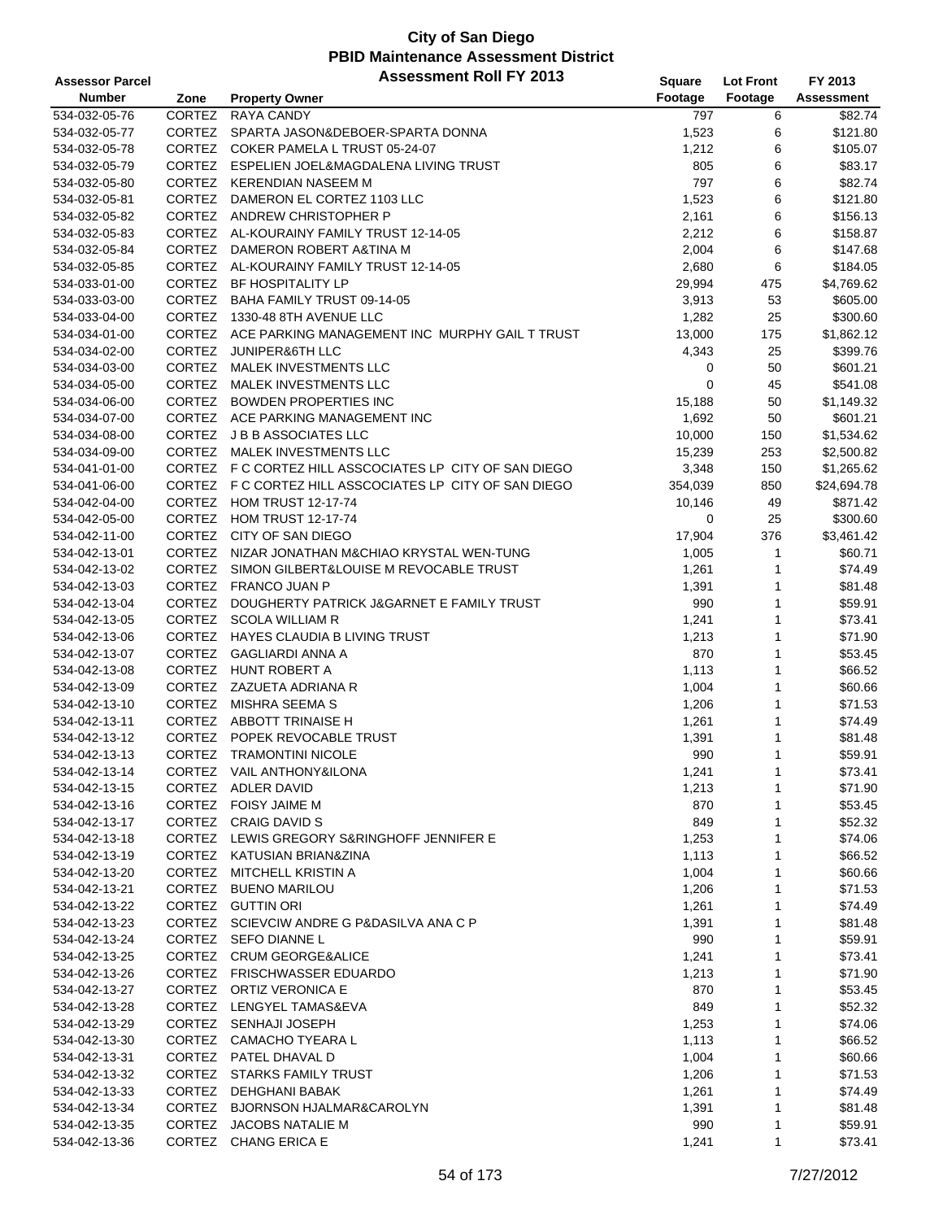| <b>Assessor Parcel</b> |               | <b>Assessment Roll FY 2013</b>                          | Square  | <b>Lot Front</b> | FY 2013     |
|------------------------|---------------|---------------------------------------------------------|---------|------------------|-------------|
| <b>Number</b>          | Zone          | <b>Property Owner</b>                                   | Footage | Footage          | Assessment  |
| 534-032-05-76          | CORTEZ        | <b>RAYA CANDY</b>                                       | 797     | 6                | \$82.74     |
| 534-032-05-77          |               | CORTEZ SPARTA JASON&DEBOER-SPARTA DONNA                 | 1,523   | 6                | \$121.80    |
| 534-032-05-78          |               | CORTEZ COKER PAMELA L TRUST 05-24-07                    | 1,212   | 6                | \$105.07    |
| 534-032-05-79          |               | CORTEZ ESPELIEN JOEL&MAGDALENA LIVING TRUST             | 805     | 6                | \$83.17     |
| 534-032-05-80          |               | CORTEZ KERENDIAN NASEEM M                               | 797     | 6                | \$82.74     |
| 534-032-05-81          |               | CORTEZ DAMERON EL CORTEZ 1103 LLC                       | 1,523   | 6                | \$121.80    |
| 534-032-05-82          |               | CORTEZ ANDREW CHRISTOPHER P                             | 2,161   | 6                | \$156.13    |
| 534-032-05-83          |               | CORTEZ AL-KOURAINY FAMILY TRUST 12-14-05                | 2,212   | 6                | \$158.87    |
| 534-032-05-84          |               | CORTEZ DAMERON ROBERT A&TINA M                          | 2,004   | 6                | \$147.68    |
| 534-032-05-85          |               | CORTEZ AL-KOURAINY FAMILY TRUST 12-14-05                | 2,680   | 6                | \$184.05    |
| 534-033-01-00          |               | CORTEZ BF HOSPITALITY LP                                | 29,994  | 475              | \$4,769.62  |
| 534-033-03-00          |               | CORTEZ BAHA FAMILY TRUST 09-14-05                       | 3,913   | 53               | \$605.00    |
| 534-033-04-00          |               | CORTEZ 1330-48 8TH AVENUE LLC                           | 1,282   | 25               | \$300.60    |
| 534-034-01-00          |               | CORTEZ ACE PARKING MANAGEMENT INC MURPHY GAIL T TRUST   | 13,000  | 175              | \$1,862.12  |
| 534-034-02-00          | CORTEZ        | <b>JUNIPER&amp;6TH LLC</b>                              | 4,343   | 25               | \$399.76    |
| 534-034-03-00          | CORTEZ        | MALEK INVESTMENTS LLC                                   | 0       | 50               | \$601.21    |
| 534-034-05-00          |               | CORTEZ MALEK INVESTMENTS LLC                            | 0       | 45               | \$541.08    |
| 534-034-06-00          |               | CORTEZ BOWDEN PROPERTIES INC                            | 15,188  | 50               | \$1,149.32  |
| 534-034-07-00          |               | CORTEZ ACE PARKING MANAGEMENT INC                       | 1,692   | 50               | \$601.21    |
| 534-034-08-00          |               | CORTEZ J B B ASSOCIATES LLC                             | 10,000  | 150              | \$1,534.62  |
| 534-034-09-00          | <b>CORTEZ</b> | MALEK INVESTMENTS LLC                                   | 15,239  | 253              | \$2,500.82  |
| 534-041-01-00          |               | CORTEZ F C CORTEZ HILL ASSCOCIATES LP CITY OF SAN DIEGO | 3,348   | 150              | \$1,265.62  |
| 534-041-06-00          |               | CORTEZ F C CORTEZ HILL ASSCOCIATES LP CITY OF SAN DIEGO | 354,039 | 850              | \$24,694.78 |
| 534-042-04-00          |               | CORTEZ HOM TRUST 12-17-74                               | 10,146  | 49               | \$871.42    |
| 534-042-05-00          |               | CORTEZ HOM TRUST 12-17-74                               | 0       | 25               | \$300.60    |
| 534-042-11-00          |               | CORTEZ CITY OF SAN DIEGO                                | 17,904  | 376              | \$3,461.42  |
| 534-042-13-01          |               | CORTEZ NIZAR JONATHAN M&CHIAO KRYSTAL WEN-TUNG          | 1,005   | 1                | \$60.71     |
| 534-042-13-02          |               | CORTEZ SIMON GILBERT&LOUISE M REVOCABLE TRUST           | 1,261   | 1                | \$74.49     |
| 534-042-13-03          |               | CORTEZ FRANCO JUAN P                                    | 1,391   | 1                | \$81.48     |
| 534-042-13-04          |               | CORTEZ DOUGHERTY PATRICK J&GARNET E FAMILY TRUST        | 990     | 1                | \$59.91     |
| 534-042-13-05          |               | CORTEZ SCOLA WILLIAM R                                  | 1,241   | 1                | \$73.41     |
| 534-042-13-06          | <b>CORTEZ</b> | <b>HAYES CLAUDIA B LIVING TRUST</b>                     | 1,213   | 1                | \$71.90     |
| 534-042-13-07          |               | CORTEZ GAGLIARDI ANNA A                                 | 870     | 1                | \$53.45     |
| 534-042-13-08          |               | CORTEZ HUNT ROBERT A                                    | 1,113   | 1                | \$66.52     |
| 534-042-13-09          |               | CORTEZ ZAZUETA ADRIANA R                                | 1,004   | 1                | \$60.66     |
| 534-042-13-10          |               | CORTEZ MISHRA SEEMA S                                   | 1,206   | 1                | \$71.53     |
| 534-042-13-11          |               | CORTEZ ABBOTT TRINAISE H                                | 1,261   | 1                | \$74.49     |
| 534-042-13-12          |               | CORTEZ POPEK REVOCABLE TRUST                            | 1,391   | 1                | \$81.48     |
| 534-042-13-13          |               | CORTEZ TRAMONTINI NICOLE                                | 990     | $\mathbf{1}$     | \$59.91     |
| 534-042-13-14          |               | CORTEZ VAIL ANTHONY&ILONA                               | 1,241   | 1                | \$73.41     |
| 534-042-13-15          |               | CORTEZ ADLER DAVID                                      | 1,213   | 1                | \$71.90     |
| 534-042-13-16          |               | CORTEZ FOISY JAIME M                                    | 870     | 1                | \$53.45     |
| 534-042-13-17          |               | CORTEZ CRAIG DAVID S                                    | 849     | 1                | \$52.32     |
| 534-042-13-18          |               | CORTEZ LEWIS GREGORY S&RINGHOFF JENNIFER E              | 1,253   | 1                | \$74.06     |
| 534-042-13-19          |               | CORTEZ KATUSIAN BRIAN&ZINA                              | 1,113   | 1                | \$66.52     |
| 534-042-13-20          |               | CORTEZ MITCHELL KRISTIN A                               | 1,004   | 1                | \$60.66     |
| 534-042-13-21          |               | CORTEZ BUENO MARILOU                                    | 1,206   | 1                | \$71.53     |
| 534-042-13-22          |               | CORTEZ GUTTIN ORI                                       | 1,261   | 1                | \$74.49     |
| 534-042-13-23          |               | CORTEZ SCIEVCIW ANDRE G P&DASILVA ANA C P               | 1,391   | 1                | \$81.48     |
| 534-042-13-24          |               | CORTEZ SEFO DIANNE L                                    | 990     | 1                | \$59.91     |
| 534-042-13-25          |               | CORTEZ CRUM GEORGE&ALICE                                | 1,241   | 1                | \$73.41     |
| 534-042-13-26          |               | CORTEZ FRISCHWASSER EDUARDO                             | 1,213   | 1                | \$71.90     |
| 534-042-13-27          |               | CORTEZ ORTIZ VERONICA E                                 | 870     | 1                | \$53.45     |
| 534-042-13-28          |               | CORTEZ LENGYEL TAMAS&EVA                                | 849     | 1                | \$52.32     |
| 534-042-13-29          |               | CORTEZ SENHAJI JOSEPH                                   | 1,253   | 1                | \$74.06     |
| 534-042-13-30          |               | CORTEZ CAMACHO TYEARA L                                 | 1,113   | 1                | \$66.52     |
| 534-042-13-31          |               | CORTEZ PATEL DHAVAL D                                   | 1,004   | 1                | \$60.66     |
| 534-042-13-32          |               | CORTEZ STARKS FAMILY TRUST                              | 1,206   | 1                | \$71.53     |
| 534-042-13-33          |               | CORTEZ DEHGHANI BABAK                                   | 1,261   | 1                | \$74.49     |
| 534-042-13-34          |               | CORTEZ BJORNSON HJALMAR&CAROLYN                         | 1,391   | 1                | \$81.48     |
| 534-042-13-35          |               | CORTEZ JACOBS NATALIE M                                 | 990     | 1                | \$59.91     |
| 534-042-13-36          |               | CORTEZ CHANG ERICA E                                    | 1,241   | 1                | \$73.41     |
|                        |               |                                                         |         |                  |             |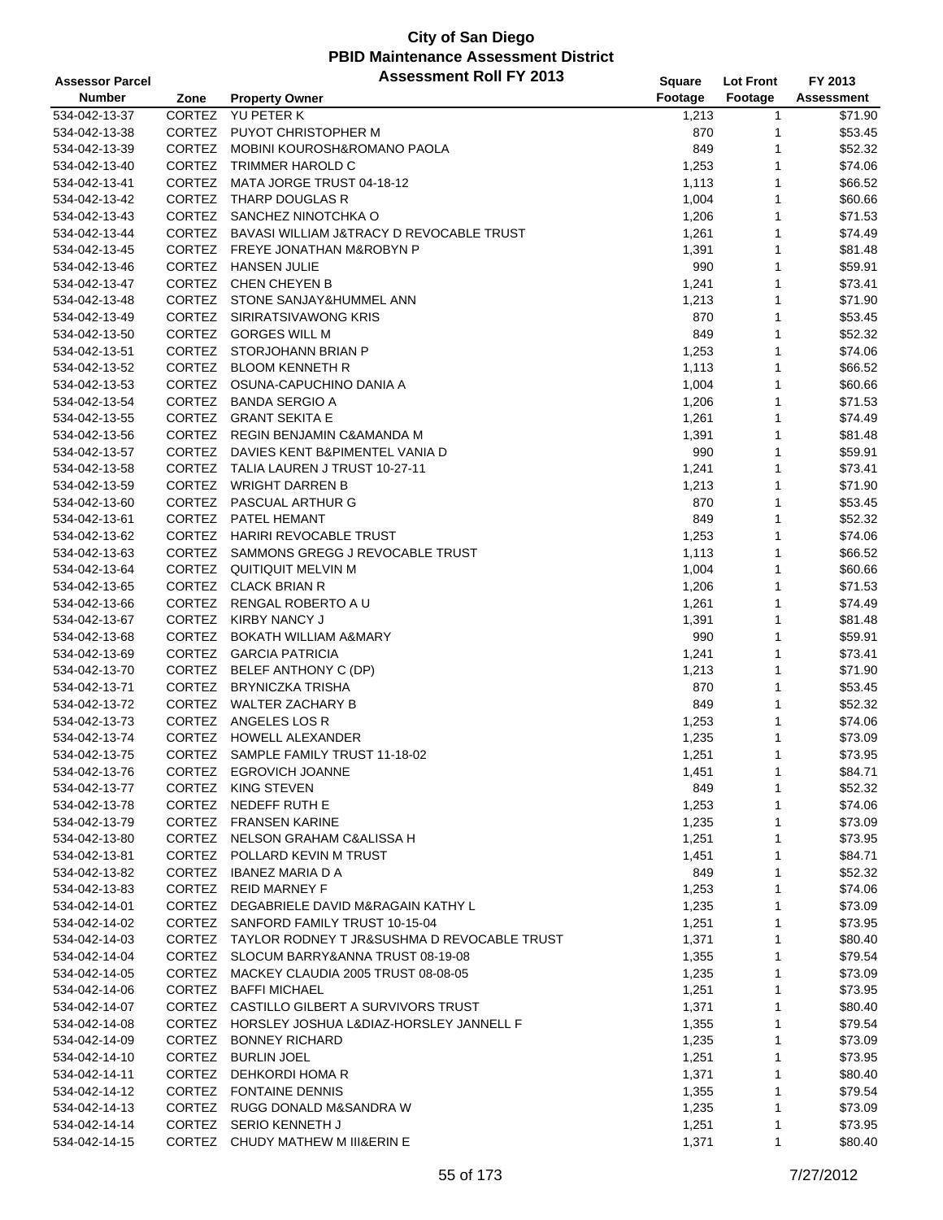| <b>Assessor Parcel</b> |               | <b>Assessment Roll FY 2013</b>                     | Square       | <b>Lot Front</b> | FY 2013           |
|------------------------|---------------|----------------------------------------------------|--------------|------------------|-------------------|
| <b>Number</b>          | Zone          | <b>Property Owner</b>                              | Footage      | Footage          | <b>Assessment</b> |
| 534-042-13-37          | CORTEZ        | <b>YU PETER K</b>                                  | 1,213        | 1                | \$71.90           |
| 534-042-13-38          | CORTEZ        | PUYOT CHRISTOPHER M                                | 870          | 1                | \$53.45           |
| 534-042-13-39          | CORTEZ        | MOBINI KOUROSH&ROMANO PAOLA                        | 849          | 1                | \$52.32           |
| 534-042-13-40          | <b>CORTEZ</b> | TRIMMER HAROLD C                                   | 1,253        | 1                | \$74.06           |
| 534-042-13-41          | CORTEZ        | MATA JORGE TRUST 04-18-12                          | 1,113        | 1                | \$66.52           |
| 534-042-13-42          |               | CORTEZ THARP DOUGLAS R                             | 1,004        | 1                | \$60.66           |
| 534-042-13-43          | CORTEZ        | SANCHEZ NINOTCHKA O                                | 1,206        | 1                | \$71.53           |
| 534-042-13-44          | CORTEZ        | BAVASI WILLIAM J&TRACY D REVOCABLE TRUST           | 1,261        | 1                | \$74.49           |
| 534-042-13-45          |               | CORTEZ FREYE JONATHAN M&ROBYN P                    | 1,391        | 1                | \$81.48           |
| 534-042-13-46          | <b>CORTEZ</b> | <b>HANSEN JULIE</b>                                | 990          | 1                | \$59.91           |
| 534-042-13-47          |               | CORTEZ CHEN CHEYEN B                               | 1,241        | 1                | \$73.41           |
| 534-042-13-48          |               | CORTEZ STONE SANJAY&HUMMEL ANN                     |              | 1                | \$71.90           |
| 534-042-13-49          | CORTEZ        | SIRIRATSIVAWONG KRIS                               | 1,213<br>870 | 1                | \$53.45           |
|                        |               | CORTEZ GORGES WILL M                               | 849          | 1                | \$52.32           |
| 534-042-13-50          |               |                                                    |              | 1                |                   |
| 534-042-13-51          |               | CORTEZ STORJOHANN BRIAN P                          | 1,253        |                  | \$74.06           |
| 534-042-13-52          |               | CORTEZ BLOOM KENNETH R                             | 1,113        | 1                | \$66.52           |
| 534-042-13-53          |               | CORTEZ OSUNA-CAPUCHINO DANIA A                     | 1,004        | 1                | \$60.66           |
| 534-042-13-54          |               | CORTEZ BANDA SERGIO A                              | 1,206        | 1                | \$71.53           |
| 534-042-13-55          |               | CORTEZ GRANT SEKITA E                              | 1,261        | 1                | \$74.49           |
| 534-042-13-56          |               | CORTEZ REGIN BENJAMIN C&AMANDA M                   | 1,391        | 1                | \$81.48           |
| 534-042-13-57          | <b>CORTEZ</b> | DAVIES KENT B&PIMENTEL VANIA D                     | 990          | 1                | \$59.91           |
| 534-042-13-58          |               | CORTEZ TALIA LAUREN J TRUST 10-27-11               | 1,241        | 1                | \$73.41           |
| 534-042-13-59          |               | CORTEZ WRIGHT DARREN B                             | 1,213        | 1                | \$71.90           |
| 534-042-13-60          |               | CORTEZ PASCUAL ARTHUR G                            | 870          | 1                | \$53.45           |
| 534-042-13-61          |               | CORTEZ PATEL HEMANT                                | 849          | 1                | \$52.32           |
| 534-042-13-62          | CORTEZ        | HARIRI REVOCABLE TRUST                             | 1,253        | 1                | \$74.06           |
| 534-042-13-63          | CORTEZ        | SAMMONS GREGG J REVOCABLE TRUST                    | 1,113        | 1                | \$66.52           |
| 534-042-13-64          |               | CORTEZ QUITIQUIT MELVIN M                          | 1,004        | 1                | \$60.66           |
| 534-042-13-65          |               | CORTEZ CLACK BRIAN R                               | 1,206        | 1                | \$71.53           |
| 534-042-13-66          |               | CORTEZ RENGAL ROBERTO A U                          | 1,261        | 1                | \$74.49           |
| 534-042-13-67          |               | CORTEZ KIRBY NANCY J                               | 1,391        | 1                | \$81.48           |
| 534-042-13-68          | <b>CORTEZ</b> | <b>BOKATH WILLIAM A&amp;MARY</b>                   | 990          | 1                | \$59.91           |
| 534-042-13-69          | CORTEZ        | <b>GARCIA PATRICIA</b>                             | 1,241        | 1                | \$73.41           |
| 534-042-13-70          |               | CORTEZ BELEF ANTHONY C (DP)                        | 1,213        | 1                | \$71.90           |
| 534-042-13-71          | CORTEZ        | <b>BRYNICZKA TRISHA</b>                            | 870          | 1                | \$53.45           |
| 534-042-13-72          |               | CORTEZ WALTER ZACHARY B                            | 849          | 1                | \$52.32           |
| 534-042-13-73          |               | CORTEZ ANGELES LOS R                               | 1,253        | 1                | \$74.06           |
| 534-042-13-74          |               | CORTEZ HOWELL ALEXANDER                            | 1,235        | 1                | \$73.09           |
| 534-042-13-75          | <b>CORTEZ</b> | SAMPLE FAMILY TRUST 11-18-02                       | 1,251        | 1                | \$73.95           |
| 534-042-13-76          |               | CORTEZ EGROVICH JOANNE                             | 1,451        | 1                | \$84.71           |
| 534-042-13-77          |               | CORTEZ KING STEVEN                                 | 849          | 1                | \$52.32           |
| 534-042-13-78          |               | CORTEZ NEDEFF RUTH E                               | 1,253        | 1                | \$74.06           |
| 534-042-13-79          |               | CORTEZ FRANSEN KARINE                              | 1,235        | 1                | \$73.09           |
| 534-042-13-80          |               | CORTEZ NELSON GRAHAM C&ALISSA H                    | 1,251        | 1                | \$73.95           |
| 534-042-13-81          |               | CORTEZ POLLARD KEVIN M TRUST                       | 1,451        | 1                | \$84.71           |
| 534-042-13-82          |               | CORTEZ IBANEZ MARIA D A                            | 849          | 1                | \$52.32           |
| 534-042-13-83          |               | CORTEZ REID MARNEY F                               | 1,253        | 1                | \$74.06           |
| 534-042-14-01          |               | CORTEZ DEGABRIELE DAVID M&RAGAIN KATHY L           | 1,235        | 1                | \$73.09           |
| 534-042-14-02          |               | CORTEZ SANFORD FAMILY TRUST 10-15-04               | 1,251        | 1                | \$73.95           |
| 534-042-14-03          |               | CORTEZ TAYLOR RODNEY T JR&SUSHMA D REVOCABLE TRUST | 1,371        | 1                | \$80.40           |
| 534-042-14-04          |               | CORTEZ SLOCUM BARRY&ANNA TRUST 08-19-08            | 1,355        | 1                | \$79.54           |
| 534-042-14-05          |               | CORTEZ MACKEY CLAUDIA 2005 TRUST 08-08-05          | 1,235        | 1                | \$73.09           |
| 534-042-14-06          |               | CORTEZ BAFFI MICHAEL                               | 1,251        | 1                | \$73.95           |
| 534-042-14-07          |               | CORTEZ CASTILLO GILBERT A SURVIVORS TRUST          | 1,371        | 1                | \$80.40           |
| 534-042-14-08          |               | CORTEZ HORSLEY JOSHUA L&DIAZ-HORSLEY JANNELL F     | 1,355        | 1                | \$79.54           |
| 534-042-14-09          |               | CORTEZ BONNEY RICHARD                              | 1,235        | 1                | \$73.09           |
| 534-042-14-10          |               | CORTEZ BURLIN JOEL                                 | 1,251        | 1                | \$73.95           |
| 534-042-14-11          |               | CORTEZ DEHKORDI HOMAR                              | 1,371        | 1                | \$80.40           |
| 534-042-14-12          |               | CORTEZ FONTAINE DENNIS                             | 1,355        | 1                | \$79.54           |
| 534-042-14-13          |               | CORTEZ RUGG DONALD M&SANDRA W                      |              | 1                | \$73.09           |
| 534-042-14-14          |               | CORTEZ SERIO KENNETH J                             | 1,235        |                  | \$73.95           |
| 534-042-14-15          |               | CORTEZ CHUDY MATHEW M III&ERIN E                   | 1,251        | 1<br>1           | \$80.40           |
|                        |               |                                                    | 1,371        |                  |                   |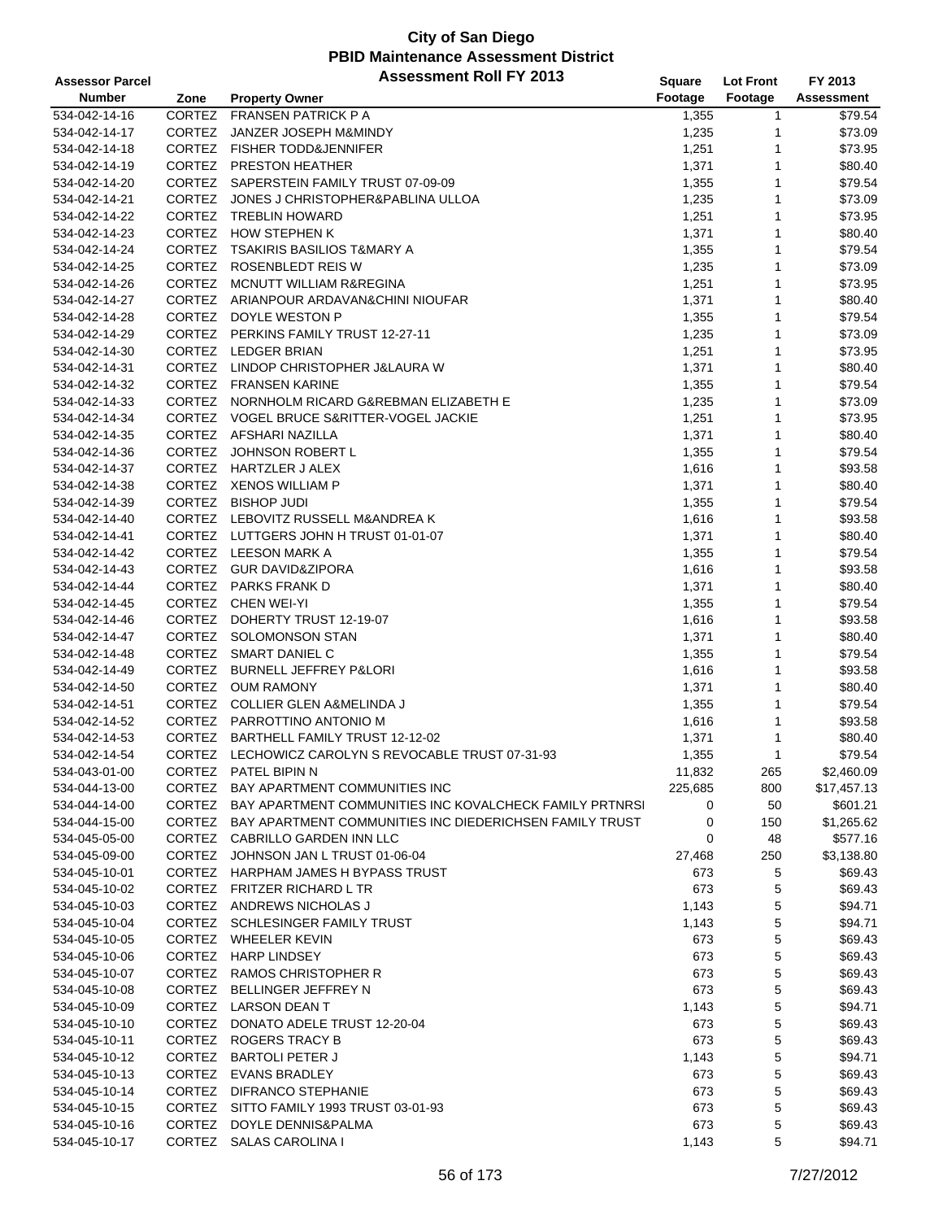| <b>Assessor Parcel</b> |               | <b>Assessment Roll FY 2013</b>                                 | <b>Square</b> | <b>Lot Front</b> | FY 2013     |
|------------------------|---------------|----------------------------------------------------------------|---------------|------------------|-------------|
| <b>Number</b>          | Zone          | <b>Property Owner</b>                                          | Footage       | Footage          | Assessment  |
| 534-042-14-16          | CORTEZ        | <b>FRANSEN PATRICK P A</b>                                     | 1,355         | 1                | \$79.54     |
| 534-042-14-17          | CORTEZ        | JANZER JOSEPH M&MINDY                                          | 1,235         | 1                | \$73.09     |
| 534-042-14-18          |               | CORTEZ FISHER TODD&JENNIFER                                    | 1,251         | 1                | \$73.95     |
| 534-042-14-19          | CORTEZ        | <b>PRESTON HEATHER</b>                                         | 1,371         | 1                | \$80.40     |
| 534-042-14-20          |               | CORTEZ SAPERSTEIN FAMILY TRUST 07-09-09                        | 1,355         | 1                | \$79.54     |
| 534-042-14-21          |               | CORTEZ JONES J CHRISTOPHER&PABLINA ULLOA                       | 1,235         | 1                | \$73.09     |
| 534-042-14-22          |               | CORTEZ TREBLIN HOWARD                                          | 1,251         | 1                | \$73.95     |
| 534-042-14-23          | CORTEZ        | <b>HOW STEPHEN K</b>                                           | 1,371         | 1                | \$80.40     |
| 534-042-14-24          |               | CORTEZ TSAKIRIS BASILIOS T&MARY A                              | 1,355         | 1                | \$79.54     |
| 534-042-14-25          | CORTEZ        | ROSENBLEDT REIS W                                              | 1,235         | 1                | \$73.09     |
| 534-042-14-26          |               | CORTEZ MCNUTT WILLIAM R&REGINA                                 | 1,251         | 1                | \$73.95     |
| 534-042-14-27          |               | CORTEZ ARIANPOUR ARDAVAN& CHINI NIOUFAR                        | 1,371         | 1                | \$80.40     |
| 534-042-14-28          |               | CORTEZ DOYLE WESTON P                                          | 1,355         | 1                | \$79.54     |
| 534-042-14-29          |               | CORTEZ PERKINS FAMILY TRUST 12-27-11                           | 1,235         | 1                | \$73.09     |
| 534-042-14-30          |               | CORTEZ LEDGER BRIAN                                            | 1,251         | 1                | \$73.95     |
| 534-042-14-31          |               | CORTEZ LINDOP CHRISTOPHER J&LAURA W                            | 1,371         | 1                | \$80.40     |
| 534-042-14-32          |               | CORTEZ FRANSEN KARINE                                          | 1,355         | 1                | \$79.54     |
| 534-042-14-33          |               | CORTEZ NORNHOLM RICARD G&REBMAN ELIZABETH E                    | 1,235         | 1                | \$73.09     |
| 534-042-14-34          |               | CORTEZ VOGEL BRUCE S&RITTER-VOGEL JACKIE                       | 1,251         | 1                | \$73.95     |
| 534-042-14-35          |               | CORTEZ AFSHARI NAZILLA                                         | 1,371         | 1                | \$80.40     |
| 534-042-14-36          | CORTEZ        | JOHNSON ROBERT L                                               | 1,355         | 1                | \$79.54     |
| 534-042-14-37          |               | CORTEZ HARTZLER J ALEX                                         | 1,616         | 1                | \$93.58     |
| 534-042-14-38          |               | CORTEZ XENOS WILLIAM P                                         | 1,371         | 1                | \$80.40     |
| 534-042-14-39          |               | CORTEZ BISHOP JUDI                                             | 1,355         | 1                | \$79.54     |
| 534-042-14-40          |               | CORTEZ LEBOVITZ RUSSELL M&ANDREA K                             | 1,616         | 1                | \$93.58     |
| 534-042-14-41          |               | CORTEZ LUTTGERS JOHN H TRUST 01-01-07                          | 1,371         | 1                | \$80.40     |
| 534-042-14-42          |               | CORTEZ LEESON MARK A                                           | 1,355         | 1                | \$79.54     |
| 534-042-14-43          |               | CORTEZ GUR DAVID&ZIPORA                                        | 1,616         | 1                | \$93.58     |
| 534-042-14-44          |               | CORTEZ PARKS FRANK D                                           | 1,371         | 1                | \$80.40     |
| 534-042-14-45          |               | CORTEZ CHEN WEI-YI                                             | 1,355         | 1                | \$79.54     |
| 534-042-14-46          |               | CORTEZ DOHERTY TRUST 12-19-07                                  | 1,616         | 1                | \$93.58     |
| 534-042-14-47          | <b>CORTEZ</b> | SOLOMONSON STAN                                                | 1,371         | 1                | \$80.40     |
| 534-042-14-48          | CORTEZ        | <b>SMART DANIEL C</b>                                          | 1,355         | 1                | \$79.54     |
| 534-042-14-49          |               | CORTEZ BURNELL JEFFREY P&LORI                                  | 1,616         | 1                | \$93.58     |
| 534-042-14-50          |               | CORTEZ OUM RAMONY                                              | 1,371         | 1                | \$80.40     |
| 534-042-14-51          |               | CORTEZ COLLIER GLEN A&MELINDA J                                | 1,355         | $\mathbf{1}$     | \$79.54     |
| 534-042-14-52          |               | CORTEZ PARROTTINO ANTONIO M                                    | 1,616         | 1                | \$93.58     |
| 534-042-14-53          | <b>CORTEZ</b> | BARTHELL FAMILY TRUST 12-12-02                                 | 1,371         | 1                | \$80.40     |
| 534-042-14-54          |               | CORTEZ LECHOWICZ CAROLYN S REVOCABLE TRUST 07-31-93            | 1,355         | $\mathbf{1}$     | \$79.54     |
| 534-043-01-00          |               | CORTEZ PATEL BIPIN N                                           | 11,832        | 265              | \$2,460.09  |
| 534-044-13-00          | CORTEZ        | BAY APARTMENT COMMUNITIES INC                                  | 225,685       | 800              | \$17,457.13 |
| 534-044-14-00          |               | CORTEZ BAY APARTMENT COMMUNITIES INC KOVALCHECK FAMILY PRTNRSI | 0             | 50               | \$601.21    |
| 534-044-15-00          |               | CORTEZ BAY APARTMENT COMMUNITIES INC DIEDERICHSEN FAMILY TRUST | 0             | 150              | \$1,265.62  |
| 534-045-05-00          |               | CORTEZ CABRILLO GARDEN INN LLC                                 | 0             | 48               | \$577.16    |
| 534-045-09-00          |               | CORTEZ JOHNSON JAN L TRUST 01-06-04                            | 27,468        | 250              | \$3,138.80  |
| 534-045-10-01          |               | CORTEZ HARPHAM JAMES H BYPASS TRUST                            | 673           | 5                | \$69.43     |
| 534-045-10-02          |               | CORTEZ FRITZER RICHARD L TR                                    | 673           | 5                | \$69.43     |
| 534-045-10-03          |               | CORTEZ ANDREWS NICHOLAS J                                      | 1,143         | 5                | \$94.71     |
| 534-045-10-04          |               | CORTEZ SCHLESINGER FAMILY TRUST                                | 1,143         | 5                | \$94.71     |
| 534-045-10-05          |               | CORTEZ WHEELER KEVIN                                           | 673           | 5                | \$69.43     |
| 534-045-10-06          |               | CORTEZ HARP LINDSEY                                            | 673           | 5                | \$69.43     |
| 534-045-10-07          |               | CORTEZ RAMOS CHRISTOPHER R                                     | 673           | 5                | \$69.43     |
| 534-045-10-08          |               | CORTEZ BELLINGER JEFFREY N                                     | 673           | 5                | \$69.43     |
| 534-045-10-09          |               | CORTEZ LARSON DEAN T                                           | 1,143         | 5                | \$94.71     |
| 534-045-10-10          |               | CORTEZ DONATO ADELE TRUST 12-20-04                             | 673           | 5                | \$69.43     |
| 534-045-10-11          |               | CORTEZ ROGERS TRACY B                                          | 673           | 5                | \$69.43     |
| 534-045-10-12          |               | CORTEZ BARTOLI PETER J                                         | 1,143         | 5                | \$94.71     |
| 534-045-10-13          |               | CORTEZ EVANS BRADLEY                                           | 673           | 5                | \$69.43     |
| 534-045-10-14          |               | CORTEZ DIFRANCO STEPHANIE                                      | 673           | 5                | \$69.43     |
| 534-045-10-15          | CORTEZ        | SITTO FAMILY 1993 TRUST 03-01-93                               | 673           | 5                | \$69.43     |
| 534-045-10-16          |               | CORTEZ DOYLE DENNIS&PALMA                                      | 673           | 5                | \$69.43     |
| 534-045-10-17          |               | CORTEZ SALAS CAROLINA I                                        | 1,143         | 5                | \$94.71     |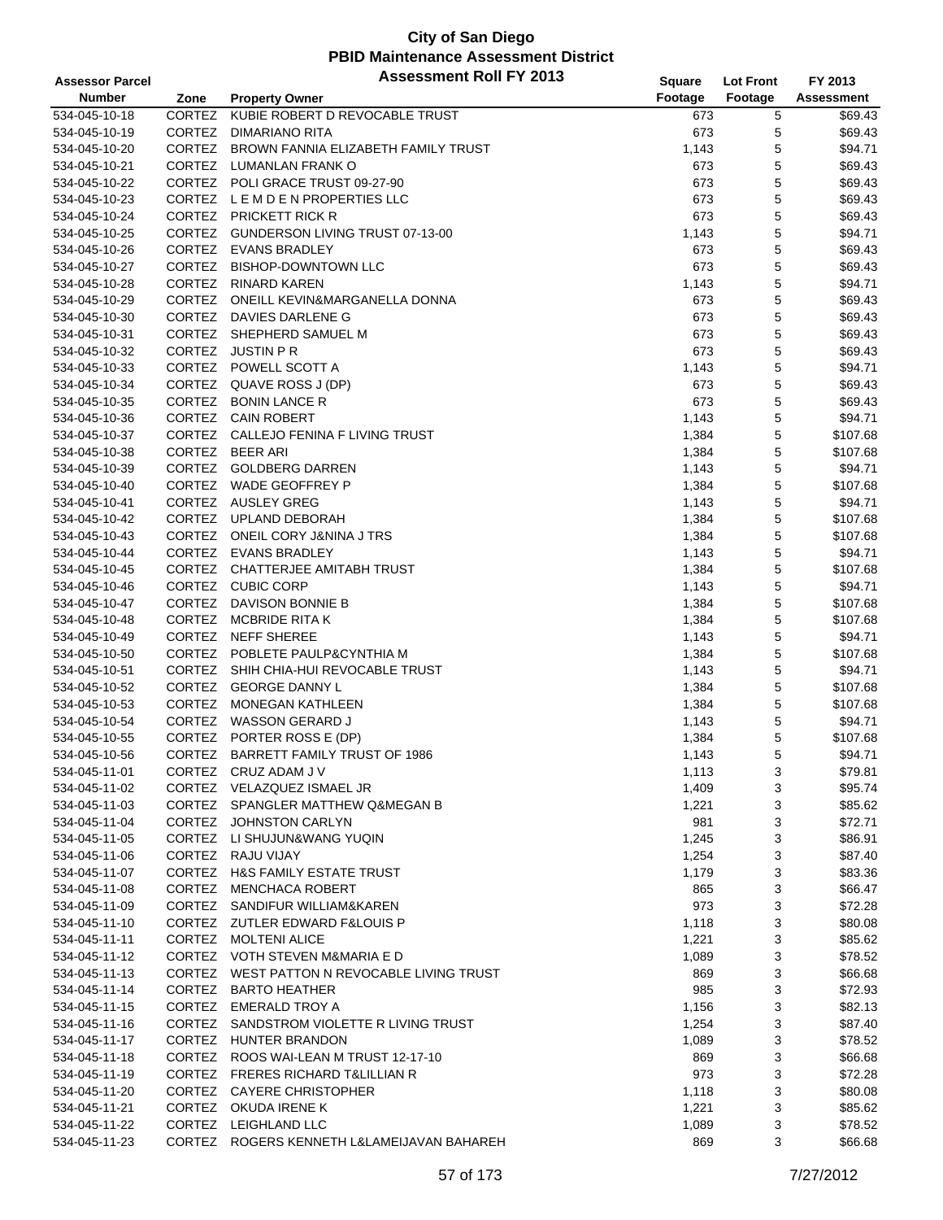| <b>Assessor Parcel</b>         |               | <b>Assessment Roll FY 2013</b>                              | Square         | <b>Lot Front</b> | FY 2013             |
|--------------------------------|---------------|-------------------------------------------------------------|----------------|------------------|---------------------|
| <b>Number</b>                  | Zone          | <b>Property Owner</b>                                       | Footage        | Footage          | <b>Assessment</b>   |
| 534-045-10-18                  | CORTEZ        | KUBIE ROBERT D REVOCABLE TRUST                              | 673            | 5                | \$69.43             |
| 534-045-10-19                  | CORTEZ        | DIMARIANO RITA                                              | 673            | 5                | \$69.43             |
| 534-045-10-20                  |               | CORTEZ BROWN FANNIA ELIZABETH FAMILY TRUST                  | 1,143          | 5                | \$94.71             |
| 534-045-10-21                  | CORTEZ        | LUMANLAN FRANK O                                            | 673            | 5                | \$69.43             |
| 534-045-10-22                  |               | CORTEZ POLI GRACE TRUST 09-27-90                            | 673            | 5                | \$69.43             |
| 534-045-10-23                  |               | CORTEZ LEMDEN PROPERTIES LLC                                | 673            | $\mathbf 5$      | \$69.43             |
| 534-045-10-24                  |               | CORTEZ PRICKETT RICK R                                      | 673            | 5                | \$69.43             |
| 534-045-10-25                  | CORTEZ        | GUNDERSON LIVING TRUST 07-13-00                             | 1,143          | 5                | \$94.71             |
| 534-045-10-26                  |               | CORTEZ EVANS BRADLEY                                        | 673            | 5                | \$69.43             |
| 534-045-10-27                  | <b>CORTEZ</b> | <b>BISHOP-DOWNTOWN LLC</b>                                  | 673            | 5                | \$69.43             |
| 534-045-10-28                  |               | CORTEZ RINARD KAREN                                         | 1,143          | 5                | \$94.71             |
| 534-045-10-29                  |               | CORTEZ ONEILL KEVIN&MARGANELLA DONNA                        | 673            | 5                | \$69.43             |
| 534-045-10-30                  | CORTEZ        | DAVIES DARLENE G                                            | 673            | 5                | \$69.43             |
| 534-045-10-31                  |               | CORTEZ SHEPHERD SAMUEL M                                    | 673            | 5                | \$69.43             |
| 534-045-10-32                  | CORTEZ        | JUSTIN P R                                                  | 673            | 5                | \$69.43             |
| 534-045-10-33                  |               | CORTEZ POWELL SCOTT A                                       | 1,143          | 5                | \$94.71             |
| 534-045-10-34                  |               | CORTEZ QUAVE ROSS J (DP)                                    | 673            | $\mathbf 5$      | \$69.43             |
| 534-045-10-35                  |               | CORTEZ BONIN LANCE R                                        | 673            | 5                | \$69.43             |
| 534-045-10-36                  | CORTEZ        | <b>CAIN ROBERT</b>                                          | 1,143          | 5                | \$94.71             |
| 534-045-10-37                  |               | CORTEZ CALLEJO FENINA F LIVING TRUST                        | 1,384          | 5                | \$107.68            |
| 534-045-10-38                  | CORTEZ        | <b>BEER ARI</b>                                             | 1,384          | 5                | \$107.68            |
| 534-045-10-39                  |               | CORTEZ GOLDBERG DARREN                                      | 1,143          | 5                | \$94.71             |
| 534-045-10-40                  |               | CORTEZ WADE GEOFFREY P                                      | 1,384          | $\mathbf 5$      | \$107.68            |
| 534-045-10-41                  |               | CORTEZ AUSLEY GREG                                          | 1,143          | 5                | \$94.71             |
| 534-045-10-42                  |               | CORTEZ UPLAND DEBORAH                                       | 1,384          | 5                | \$107.68            |
| 534-045-10-43                  |               | CORTEZ ONEIL CORY J&NINA J TRS                              | 1,384          | 5                | \$107.68            |
| 534-045-10-44                  |               | CORTEZ EVANS BRADLEY                                        | 1,143          | 5                | \$94.71             |
| 534-045-10-45                  |               | CORTEZ CHATTERJEE AMITABH TRUST                             | 1,384          | $\mathbf 5$      | \$107.68            |
| 534-045-10-46                  |               | CORTEZ CUBIC CORP                                           | 1,143          | 5                | \$94.71             |
| 534-045-10-47                  | CORTEZ        | DAVISON BONNIE B                                            | 1,384          | 5                | \$107.68            |
| 534-045-10-48                  | CORTEZ        | MCBRIDE RITA K                                              | 1,384          | 5                | \$107.68            |
| 534-045-10-49                  | <b>CORTEZ</b> | <b>NEFF SHEREE</b>                                          | 1,143          | 5                | \$94.71             |
| 534-045-10-50                  |               | CORTEZ POBLETE PAULP&CYNTHIA M                              |                | 5                | \$107.68            |
| 534-045-10-51                  |               | CORTEZ SHIH CHIA-HUI REVOCABLE TRUST                        | 1,384<br>1,143 | $\mathbf 5$      | \$94.71             |
| 534-045-10-52                  |               | CORTEZ GEORGE DANNY L                                       |                | 5                | \$107.68            |
|                                |               | CORTEZ MONEGAN KATHLEEN                                     | 1,384          |                  |                     |
| 534-045-10-53                  | CORTEZ        | WASSON GERARD J                                             | 1,384          | 5                | \$107.68            |
| 534-045-10-54                  |               |                                                             | 1,143          | 5                | \$94.71             |
| 534-045-10-55<br>534-045-10-56 | CORTEZ        | CORTEZ PORTER ROSS E (DP)<br>BARRETT FAMILY TRUST OF 1986   | 1,384          | 5<br>5           | \$107.68<br>\$94.71 |
| 534-045-11-01                  |               | CORTEZ CRUZ ADAM J V                                        | 1,143<br>1,113 |                  | \$79.81             |
| 534-045-11-02                  |               | CORTEZ VELAZQUEZ ISMAEL JR                                  | 1,409          | 3<br>3           | \$95.74             |
|                                |               |                                                             |                |                  |                     |
| 534-045-11-03<br>534-045-11-04 |               | CORTEZ SPANGLER MATTHEW Q&MEGAN B<br>CORTEZ JOHNSTON CARLYN | 1,221<br>981   | 3<br>3           | \$85.62<br>\$72.71  |
| 534-045-11-05                  |               | CORTEZ LI SHUJUN&WANG YUQIN                                 |                | 3                | \$86.91             |
| 534-045-11-06                  |               | CORTEZ RAJU VIJAY                                           | 1,245<br>1,254 | 3                | \$87.40             |
| 534-045-11-07                  |               | CORTEZ H&S FAMILY ESTATE TRUST                              |                | 3                | \$83.36             |
| 534-045-11-08                  |               | CORTEZ MENCHACA ROBERT                                      | 1,179          | 3                | \$66.47             |
|                                |               | CORTEZ SANDIFUR WILLIAM&KAREN                               | 865<br>973     | 3                | \$72.28             |
| 534-045-11-09                  |               | CORTEZ ZUTLER EDWARD F&LOUIS P                              |                | 3                | \$80.08             |
| 534-045-11-10                  |               |                                                             | 1,118          |                  |                     |
| 534-045-11-11                  |               | CORTEZ MOLTENI ALICE                                        | 1,221          | 3                | \$85.62             |
| 534-045-11-12                  |               | CORTEZ VOTH STEVEN M&MARIA E D                              | 1,089          | 3                | \$78.52             |
| 534-045-11-13                  |               | CORTEZ WEST PATTON N REVOCABLE LIVING TRUST                 | 869            | 3                | \$66.68             |
| 534-045-11-14                  |               | CORTEZ BARTO HEATHER                                        | 985            | 3                | \$72.93             |
| 534-045-11-15                  |               | CORTEZ EMERALD TROY A                                       | 1,156          | 3                | \$82.13             |
| 534-045-11-16                  |               | CORTEZ SANDSTROM VIOLETTE R LIVING TRUST                    | 1,254          | 3                | \$87.40             |
| 534-045-11-17                  |               | CORTEZ HUNTER BRANDON                                       | 1,089          | 3                | \$78.52             |
| 534-045-11-18                  |               | CORTEZ ROOS WAI-LEAN M TRUST 12-17-10                       | 869            | 3                | \$66.68             |
| 534-045-11-19                  |               | CORTEZ FRERES RICHARD T& LILLIAN R                          | 973            | 3                | \$72.28             |
| 534-045-11-20                  |               | CORTEZ CAYERE CHRISTOPHER                                   | 1,118          | 3                | \$80.08             |
| 534-045-11-21                  |               | CORTEZ OKUDA IRENE K                                        | 1,221          | 3                | \$85.62             |
| 534-045-11-22                  |               | CORTEZ LEIGHLAND LLC                                        | 1,089          | 3                | \$78.52             |
| 534-045-11-23                  |               | CORTEZ ROGERS KENNETH L&LAMEIJAVAN BAHAREH                  | 869            | 3                | \$66.68             |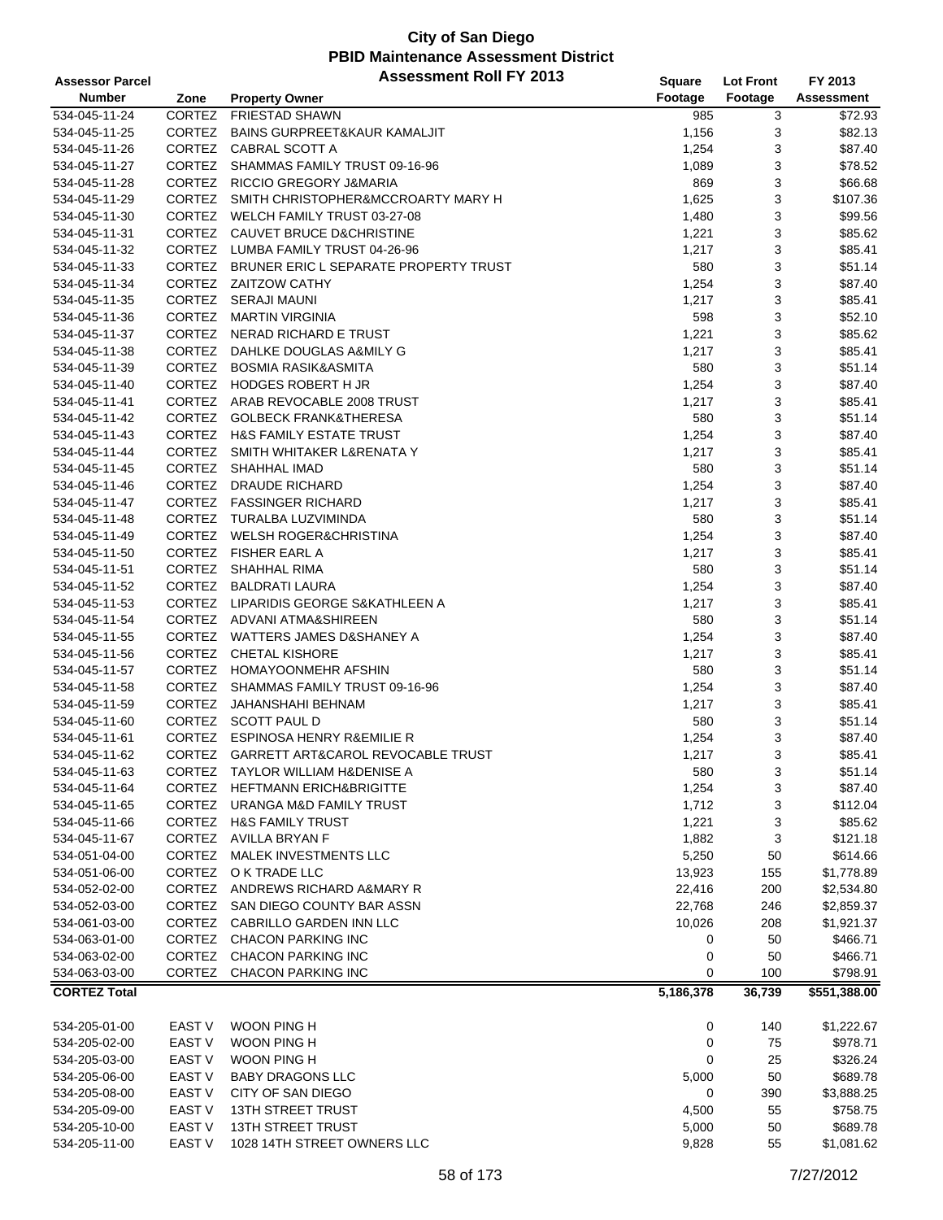| <b>Assessor Parcel</b> |                   | <b>Assessment Roll FY 2013</b>            | <b>Square</b> | <b>Lot Front</b> | FY 2013            |
|------------------------|-------------------|-------------------------------------------|---------------|------------------|--------------------|
| <b>Number</b>          | Zone              | <b>Property Owner</b>                     | Footage       | Footage          | Assessment         |
| 534-045-11-24          | CORTEZ            | <b>FRIESTAD SHAWN</b>                     | 985           | 3                | \$72.93            |
| 534-045-11-25          | CORTEZ            | <b>BAINS GURPREET&amp;KAUR KAMALJIT</b>   | 1,156         | 3                | \$82.13            |
| 534-045-11-26          |                   | CORTEZ CABRAL SCOTT A                     | 1,254         | 3                | \$87.40            |
| 534-045-11-27          | <b>CORTEZ</b>     | SHAMMAS FAMILY TRUST 09-16-96             | 1,089         | 3                | \$78.52            |
| 534-045-11-28          |                   | CORTEZ RICCIO GREGORY J&MARIA             | 869           | 3                | \$66.68            |
| 534-045-11-29          |                   | CORTEZ SMITH CHRISTOPHER&MCCROARTY MARY H | 1,625         | 3                | \$107.36           |
| 534-045-11-30          |                   | CORTEZ WELCH FAMILY TRUST 03-27-08        | 1,480         | 3                | \$99.56            |
| 534-045-11-31          |                   | CORTEZ CAUVET BRUCE D&CHRISTINE           | 1,221         | 3                | \$85.62            |
| 534-045-11-32          |                   | CORTEZ LUMBA FAMILY TRUST 04-26-96        | 1,217         | 3                | \$85.41            |
| 534-045-11-33          | <b>CORTEZ</b>     | BRUNER ERIC L SEPARATE PROPERTY TRUST     | 580           | 3                | \$51.14            |
| 534-045-11-34          |                   | CORTEZ ZAITZOW CATHY                      | 1,254         | 3                | \$87.40            |
| 534-045-11-35          |                   | CORTEZ SERAJI MAUNI                       | 1,217         | 3                | \$85.41            |
| 534-045-11-36          |                   | CORTEZ MARTIN VIRGINIA                    | 598           | 3                | \$52.10            |
| 534-045-11-37          |                   | CORTEZ NERAD RICHARD E TRUST              | 1,221         | 3                | \$85.62            |
| 534-045-11-38          | <b>CORTEZ</b>     | DAHLKE DOUGLAS A&MILY G                   | 1,217         | 3                | \$85.41            |
| 534-045-11-39          |                   | CORTEZ BOSMIA RASIK&ASMITA                | 580           | 3                | \$51.14            |
| 534-045-11-40          |                   | CORTEZ HODGES ROBERT H JR                 | 1,254         | 3                | \$87.40            |
| 534-045-11-41          |                   | CORTEZ ARAB REVOCABLE 2008 TRUST          | 1,217         | 3                | \$85.41            |
| 534-045-11-42          |                   | CORTEZ GOLBECK FRANK&THERESA              | 580           | 3                | \$51.14            |
| 534-045-11-43          |                   | CORTEZ H&S FAMILY ESTATE TRUST            | 1,254         | 3                | \$87.40            |
| 534-045-11-44          | CORTEZ            | SMITH WHITAKER L&RENATA Y                 | 1,217         | 3                | \$85.41            |
| 534-045-11-45          | CORTEZ            | SHAHHAL IMAD                              | 580           | 3                | \$51.14            |
| 534-045-11-46          |                   | CORTEZ DRAUDE RICHARD                     | 1,254         | 3                | \$87.40            |
| 534-045-11-47          |                   | CORTEZ FASSINGER RICHARD                  | 1,217         | 3                | \$85.41            |
| 534-045-11-48          |                   | CORTEZ TURALBA LUZVIMINDA                 | 580           | 3                | \$51.14            |
|                        |                   | CORTEZ WELSH ROGER&CHRISTINA              |               |                  | \$87.40            |
| 534-045-11-49          |                   | CORTEZ FISHER EARL A                      | 1,254         | 3                |                    |
| 534-045-11-50          |                   | CORTEZ SHAHHAL RIMA                       | 1,217         | 3                | \$85.41<br>\$51.14 |
| 534-045-11-51          |                   |                                           | 580           | 3                |                    |
| 534-045-11-52          |                   | CORTEZ BALDRATI LAURA                     | 1,254         | 3                | \$87.40            |
| 534-045-11-53          |                   | CORTEZ LIPARIDIS GEORGE S&KATHLEEN A      | 1,217         | 3                | \$85.41            |
| 534-045-11-54          |                   | CORTEZ ADVANI ATMA&SHIREEN                | 580           | 3                | \$51.14            |
| 534-045-11-55          | <b>CORTEZ</b>     | WATTERS JAMES D&SHANEY A                  | 1,254         | 3                | \$87.40            |
| 534-045-11-56          | CORTEZ            | <b>CHETAL KISHORE</b>                     | 1,217         | 3                | \$85.41            |
| 534-045-11-57          |                   | CORTEZ HOMAYOONMEHR AFSHIN                | 580           | 3                | \$51.14            |
| 534-045-11-58          |                   | CORTEZ SHAMMAS FAMILY TRUST 09-16-96      | 1,254         | 3                | \$87.40            |
| 534-045-11-59          |                   | CORTEZ JAHANSHAHI BEHNAM                  | 1,217         | 3                | \$85.41            |
| 534-045-11-60          |                   | CORTEZ SCOTT PAUL D                       | 580           | 3                | \$51.14            |
| 534-045-11-61          |                   | CORTEZ ESPINOSA HENRY R&EMILIE R          | 1,254         | 3                | \$87.40            |
| 534-045-11-62          |                   | CORTEZ GARRETT ART&CAROL REVOCABLE TRUST  | 1,217         | 3                | \$85.41            |
| 534-045-11-63          | <b>CORTEZ</b>     | TAYLOR WILLIAM H&DENISE A                 | 580           | 3                | \$51.14            |
| 534-045-11-64          | CORTEZ            | HEFTMANN ERICH&BRIGITTE                   | 1,254         | 3                | \$87.40            |
| 534-045-11-65          |                   | CORTEZ URANGA M&D FAMILY TRUST            | 1,712         | 3                | \$112.04           |
| 534-045-11-66          |                   | CORTEZ H&S FAMILY TRUST                   | 1,221         | 3                | \$85.62            |
| 534-045-11-67          |                   | CORTEZ AVILLA BRYAN F                     | 1,882         | 3                | \$121.18           |
| 534-051-04-00          |                   | CORTEZ MALEK INVESTMENTS LLC              | 5,250         | 50               | \$614.66           |
| 534-051-06-00          |                   | CORTEZ OK TRADE LLC                       | 13,923        | 155              | \$1,778.89         |
| 534-052-02-00          |                   | CORTEZ ANDREWS RICHARD A&MARY R           | 22,416        | 200              | \$2,534.80         |
| 534-052-03-00          | CORTEZ            | SAN DIEGO COUNTY BAR ASSN                 | 22,768        | 246              | \$2,859.37         |
| 534-061-03-00          | <b>CORTEZ</b>     | CABRILLO GARDEN INN LLC                   | 10,026        | 208              | \$1,921.37         |
| 534-063-01-00          |                   | CORTEZ CHACON PARKING INC                 | 0             | 50               | \$466.71           |
| 534-063-02-00          | <b>CORTEZ</b>     | <b>CHACON PARKING INC</b>                 | 0             | 50               | \$466.71           |
| 534-063-03-00          | <b>CORTEZ</b>     | <b>CHACON PARKING INC</b>                 | 0             | 100              | \$798.91           |
| <b>CORTEZ Total</b>    |                   |                                           | 5,186,378     | 36,739           | \$551,388.00       |
|                        |                   |                                           |               |                  |                    |
| 534-205-01-00          | EAST V            | WOON PING H                               | 0             | 140              | \$1,222.67         |
| 534-205-02-00          | EAST <sub>V</sub> | WOON PING H                               | 0             | 75               | \$978.71           |
| 534-205-03-00          | EAST V            | WOON PING H                               | 0             | 25               | \$326.24           |
| 534-205-06-00          | EAST <sub>V</sub> | <b>BABY DRAGONS LLC</b>                   | 5,000         | 50               | \$689.78           |
| 534-205-08-00          | EAST V            | CITY OF SAN DIEGO                         | 0             | 390              | \$3,888.25         |
| 534-205-09-00          | EAST <sub>V</sub> | <b>13TH STREET TRUST</b>                  | 4,500         | 55               | \$758.75           |
| 534-205-10-00          | EAST <sub>V</sub> | 13TH STREET TRUST                         | 5,000         | 50               | \$689.78           |
| 534-205-11-00          | EAST <sub>V</sub> | 1028 14TH STREET OWNERS LLC               | 9,828         | 55               | \$1,081.62         |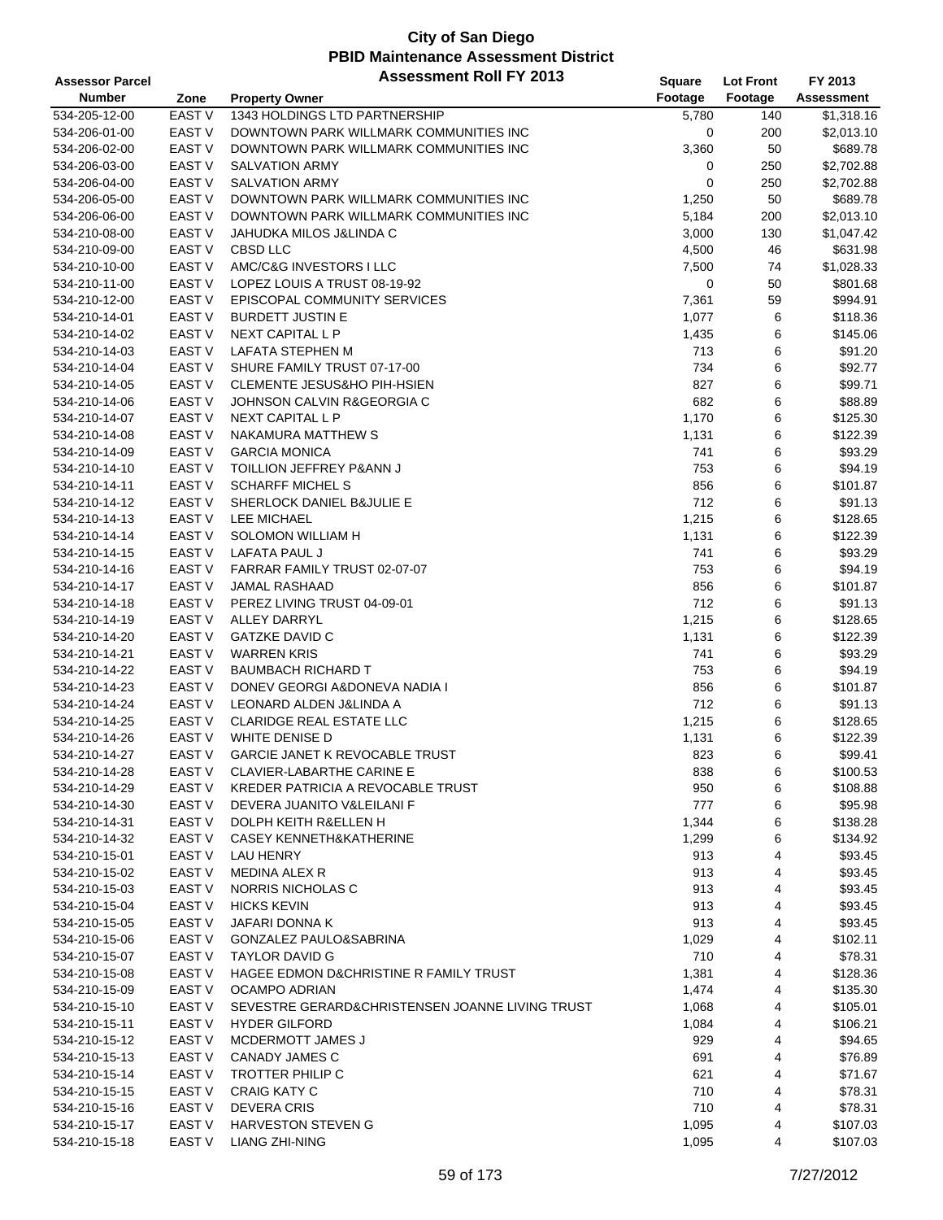| <b>Assessor Parcel</b>                                    | <b>Assessment Roll FY 2013</b>                      | <b>Square</b> | <b>Lot Front</b> | FY 2013             |
|-----------------------------------------------------------|-----------------------------------------------------|---------------|------------------|---------------------|
| <b>Number</b><br>Zone<br><b>Property Owner</b>            |                                                     | Footage       | Footage          | <b>Assessment</b>   |
| 534-205-12-00<br>EAST <sub>V</sub>                        | 1343 HOLDINGS LTD PARTNERSHIP                       | 5,780         | 140              | \$1,318.16          |
| <b>EAST V</b><br>534-206-01-00                            | DOWNTOWN PARK WILLMARK COMMUNITIES INC              | 0             | 200              | \$2,013.10          |
| <b>EAST V</b><br>534-206-02-00                            | DOWNTOWN PARK WILLMARK COMMUNITIES INC              | 3,360         | 50               | \$689.78            |
| 534-206-03-00<br><b>EAST V</b>                            | <b>SALVATION ARMY</b>                               | 0             | 250              | \$2,702.88          |
| <b>EAST V</b><br>534-206-04-00                            | <b>SALVATION ARMY</b>                               | 0             | 250              | \$2,702.88          |
| EAST <sub>V</sub><br>534-206-05-00                        | DOWNTOWN PARK WILLMARK COMMUNITIES INC              | 1,250         | 50               | \$689.78            |
| EAST V<br>534-206-06-00                                   | DOWNTOWN PARK WILLMARK COMMUNITIES INC              | 5,184         | 200              | \$2,013.10          |
| <b>EAST V</b><br>534-210-08-00                            | JAHUDKA MILOS J&LINDA C                             | 3,000         | 130              | \$1,047.42          |
| <b>EAST V</b><br><b>CBSD LLC</b><br>534-210-09-00         |                                                     | 4,500         | 46               | \$631.98            |
| <b>EAST V</b><br>534-210-10-00                            | AMC/C&G INVESTORS I LLC                             | 7,500         | 74               | \$1,028.33          |
| EAST <sub>V</sub><br>534-210-11-00                        | LOPEZ LOUIS A TRUST 08-19-92                        | 0             | 50               | \$801.68            |
| EAST <sub>V</sub><br>534-210-12-00                        | EPISCOPAL COMMUNITY SERVICES                        | 7,361         | 59               | \$994.91            |
| <b>EAST V</b><br>534-210-14-01                            | <b>BURDETT JUSTIN E</b>                             | 1,077         | 6                | \$118.36            |
| <b>EAST V</b><br>534-210-14-02                            | NEXT CAPITAL L P                                    | 1,435         | 6                | \$145.06            |
| 534-210-14-03<br><b>EAST V</b>                            | LAFATA STEPHEN M                                    | 713           | 6                | \$91.20             |
| EAST <sub>V</sub><br>534-210-14-04                        | SHURE FAMILY TRUST 07-17-00                         | 734           | 6                | \$92.77             |
| <b>EAST V</b><br>534-210-14-05                            | <b>CLEMENTE JESUS&amp;HO PIH-HSIEN</b>              | 827           | 6                | \$99.71             |
| <b>EAST V</b><br>534-210-14-06                            | JOHNSON CALVIN R&GEORGIA C                          | 682           | 6                | \$88.89             |
| <b>EAST V</b><br>534-210-14-07                            | <b>NEXT CAPITAL L P</b>                             | 1,170         | 6                | \$125.30            |
| <b>EAST V</b><br>534-210-14-08                            | NAKAMURA MATTHEW S                                  | 1,131         | 6                | \$122.39            |
| <b>EAST V</b><br><b>GARCIA MONICA</b><br>534-210-14-09    |                                                     | 741           | 6                | \$93.29             |
| <b>EAST V</b><br>534-210-14-10                            |                                                     |               | 6                |                     |
| 534-210-14-11                                             | TOILLION JEFFREY P&ANN J<br><b>SCHARFF MICHEL S</b> | 753           |                  | \$94.19             |
| <b>EAST V</b>                                             |                                                     | 856           | 6                | \$101.87            |
| <b>EAST V</b><br>534-210-14-12                            | SHERLOCK DANIEL B&JULIE E                           | 712           | 6                | \$91.13             |
| <b>EAST V</b><br>LEE MICHAEL<br>534-210-14-13             |                                                     | 1,215         | 6                | \$128.65            |
| <b>EAST V</b><br>534-210-14-14                            | SOLOMON WILLIAM H                                   | 1,131         | 6                | \$122.39            |
| <b>EAST V</b><br>LAFATA PAUL J<br>534-210-14-15           |                                                     | 741           | 6                | \$93.29             |
| <b>EAST V</b><br>534-210-14-16                            | FARRAR FAMILY TRUST 02-07-07                        | 753           | 6                | \$94.19             |
| 534-210-14-17<br>EAST V<br><b>JAMAL RASHAAD</b>           |                                                     | 856           | 6                | \$101.87            |
| <b>EAST V</b><br>534-210-14-18                            | PEREZ LIVING TRUST 04-09-01                         | 712           | 6                | \$91.13             |
| <b>EAST V</b><br><b>ALLEY DARRYL</b><br>534-210-14-19     |                                                     | 1,215         | 6                | \$128.65            |
| <b>GATZKE DAVID C</b><br><b>EAST V</b><br>534-210-14-20   |                                                     | 1,131         | 6                | \$122.39            |
| <b>EAST V</b><br><b>WARREN KRIS</b><br>534-210-14-21      |                                                     | 741           | 6                | \$93.29             |
| <b>EAST V</b><br>534-210-14-22                            | <b>BAUMBACH RICHARD T</b>                           | 753           | 6                | \$94.19             |
| <b>EAST V</b><br>534-210-14-23                            | DONEV GEORGI A&DONEVA NADIA I                       | 856           | 6                | \$101.87            |
| <b>EAST V</b><br>534-210-14-24                            | LEONARD ALDEN J&LINDA A                             | 712           | 6                | \$91.13             |
| 534-210-14-25<br>EAST <sub>V</sub>                        | <b>CLARIDGE REAL ESTATE LLC</b>                     | 1,215         | 6                | \$128.65            |
| <b>EAST V</b><br>WHITE DENISE D<br>534-210-14-26          |                                                     | 1,131         | 6                | \$122.39            |
| <b>EAST V</b><br>534-210-14-27                            | <b>GARCIE JANET K REVOCABLE TRUST</b>               | 823           | 6                | \$99.41             |
| 534-210-14-28<br>EAST V                                   | <b>CLAVIER-LABARTHE CARINE E</b>                    | 838           | 6                | \$100.53            |
| 534-210-14-29<br>EAST V                                   | KREDER PATRICIA A REVOCABLE TRUST                   | 950           | 6                | \$108.88            |
| <b>EAST V</b><br>534-210-14-30                            | DEVERA JUANITO V&LEILANI F                          | 777           | 6                | \$95.98             |
| 534-210-14-31<br>EAST V                                   | DOLPH KEITH R&ELLEN H                               | 1,344         | 6                | \$138.28            |
| <b>EAST V</b><br>534-210-14-32                            | <b>CASEY KENNETH&amp;KATHERINE</b>                  | 1,299         | 6                | \$134.92            |
| EAST V<br>534-210-15-01<br>LAU HENRY                      |                                                     | 913           | 4                | \$93.45             |
| EAST V<br>534-210-15-02<br>MEDINA ALEX R                  |                                                     | 913           | 4                | \$93.45             |
| EAST V<br>534-210-15-03                                   | NORRIS NICHOLAS C                                   | 913           | 4                | \$93.45             |
| EAST <sub>V</sub><br><b>HICKS KEVIN</b><br>534-210-15-04  |                                                     | 913           | 4                | \$93.45             |
| EAST <sub>V</sub><br>JAFARI DONNA K<br>534-210-15-05      |                                                     | 913           | 4                | \$93.45             |
| <b>EAST V</b><br>534-210-15-06                            | <b>GONZALEZ PAULO&amp;SABRINA</b>                   | 1,029         | 4                | \$102.11            |
| <b>EAST V</b><br><b>TAYLOR DAVID G</b><br>534-210-15-07   |                                                     | 710           | 4                | \$78.31             |
| EAST V<br>534-210-15-08                                   | HAGEE EDMON D&CHRISTINE R FAMILY TRUST              | 1,381         | 4                | \$128.36            |
| EAST V<br>534-210-15-09                                   | <b>OCAMPO ADRIAN</b>                                | 1,474         | 4                | \$135.30            |
| 534-210-15-10<br>EAST V                                   | SEVESTRE GERARD&CHRISTENSEN JOANNE LIVING TRUST     | 1,068         | 4                | \$105.01            |
| 534-210-15-11<br>EAST V<br><b>HYDER GILFORD</b>           |                                                     | 1,084         | 4                | \$106.21            |
| EAST V<br>534-210-15-12                                   | MCDERMOTT JAMES J                                   | 929           | 4                | \$94.65             |
| EAST V<br>534-210-15-13                                   | <b>CANADY JAMES C</b>                               | 691           | 4                | \$76.89             |
| 534-210-15-14<br>EAST V                                   | TROTTER PHILIP C                                    | 621           | 4                | \$71.67             |
| EAST <sub>V</sub><br><b>CRAIG KATY C</b><br>534-210-15-15 |                                                     | 710           | 4                | \$78.31             |
| EAST V<br><b>DEVERA CRIS</b><br>534-210-15-16             |                                                     | 710           | 4                |                     |
|                                                           |                                                     |               |                  |                     |
| 534-210-15-17<br>EAST V                                   | HARVESTON STEVEN G                                  | 1,095         | 4                | \$78.31<br>\$107.03 |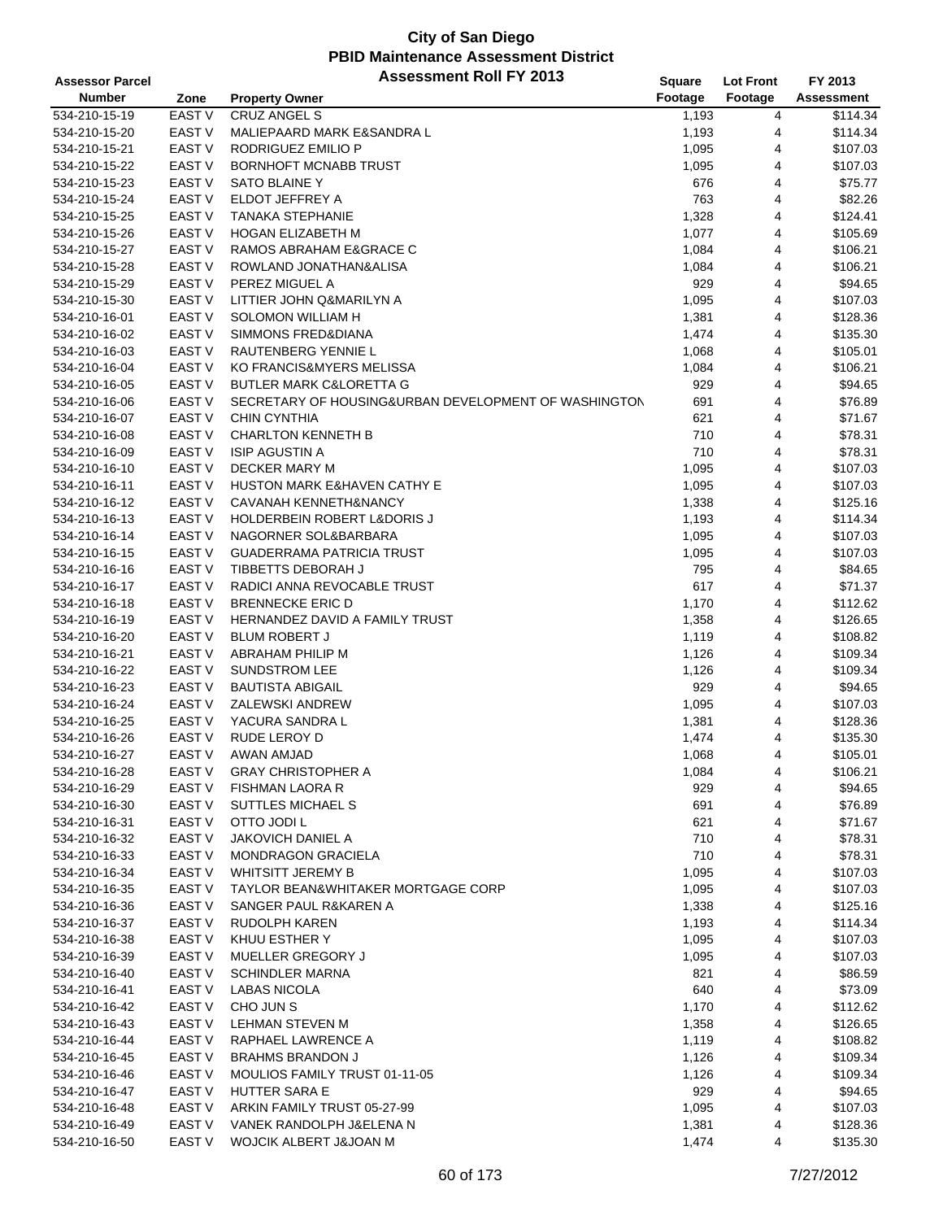| <b>Assessor Parcel</b> |                   | <b>Assessment Roll FY 2013</b>                       | Square  | <b>Lot Front</b> | FY 2013           |
|------------------------|-------------------|------------------------------------------------------|---------|------------------|-------------------|
| <b>Number</b>          | Zone              | <b>Property Owner</b>                                | Footage | Footage          | <b>Assessment</b> |
| 534-210-15-19          | EAST V            | <b>CRUZ ANGEL S</b>                                  | 1,193   | 4                | \$114.34          |
| 534-210-15-20          | EAST <sub>V</sub> | MALIEPAARD MARK E&SANDRA L                           | 1,193   | 4                | \$114.34          |
| 534-210-15-21          | <b>EAST V</b>     | RODRIGUEZ EMILIO P                                   | 1,095   | 4                | \$107.03          |
| 534-210-15-22          | <b>EAST V</b>     | <b>BORNHOFT MCNABB TRUST</b>                         | 1,095   | 4                | \$107.03          |
| 534-210-15-23          | EAST <sub>V</sub> | SATO BLAINE Y                                        | 676     | 4                | \$75.77           |
| 534-210-15-24          | EAST <sub>V</sub> | ELDOT JEFFREY A                                      | 763     | 4                | \$82.26           |
| 534-210-15-25          | EAST <sub>V</sub> | <b>TANAKA STEPHANIE</b>                              | 1,328   | 4                | \$124.41          |
| 534-210-15-26          | <b>EAST V</b>     | HOGAN ELIZABETH M                                    | 1,077   | 4                | \$105.69          |
| 534-210-15-27          | EAST <sub>V</sub> | RAMOS ABRAHAM E&GRACE C                              | 1,084   | 4                | \$106.21          |
| 534-210-15-28          | <b>EAST V</b>     | ROWLAND JONATHAN&ALISA                               | 1,084   | 4                | \$106.21          |
| 534-210-15-29          | <b>EAST V</b>     | PEREZ MIGUEL A                                       | 929     | 4                | \$94.65           |
| 534-210-15-30          | EAST V            | LITTIER JOHN Q&MARILYN A                             | 1,095   | 4                | \$107.03          |
| 534-210-16-01          | EAST <sub>V</sub> | SOLOMON WILLIAM H                                    | 1,381   | 4                | \$128.36          |
| 534-210-16-02          | <b>EAST V</b>     | SIMMONS FRED&DIANA                                   | 1,474   | 4                | \$135.30          |
| 534-210-16-03          | <b>EAST V</b>     | RAUTENBERG YENNIE L                                  | 1,068   | 4                | \$105.01          |
| 534-210-16-04          | EAST <sub>V</sub> | KO FRANCIS&MYERS MELISSA                             | 1,084   | 4                | \$106.21          |
| 534-210-16-05          | <b>EAST V</b>     | <b>BUTLER MARK C&amp;LORETTA G</b>                   | 929     | 4                | \$94.65           |
| 534-210-16-06          | EAST V            | SECRETARY OF HOUSING&URBAN DEVELOPMENT OF WASHINGTON | 691     | 4                | \$76.89           |
| 534-210-16-07          | EAST <sub>V</sub> | <b>CHIN CYNTHIA</b>                                  | 621     | 4                | \$71.67           |
| 534-210-16-08          | EAST <sub>V</sub> | <b>CHARLTON KENNETH B</b>                            | 710     | 4                | \$78.31           |
| 534-210-16-09          | <b>EAST V</b>     | <b>ISIP AGUSTIN A</b>                                | 710     | 4                | \$78.31           |
| 534-210-16-10          | EAST <sub>V</sub> | DECKER MARY M                                        | 1,095   | 4                | \$107.03          |
| 534-210-16-11          | EAST <sub>V</sub> | <b>HUSTON MARK E&amp;HAVEN CATHY E</b>               | 1,095   | 4                | \$107.03          |
|                        | EAST V            |                                                      |         | 4                | \$125.16          |
| 534-210-16-12          |                   | CAVANAH KENNETH&NANCY                                | 1,338   |                  |                   |
| 534-210-16-13          | <b>EAST V</b>     | HOLDERBEIN ROBERT L&DORIS J                          | 1,193   | 4                | \$114.34          |
| 534-210-16-14          | <b>EAST V</b>     | NAGORNER SOL&BARBARA                                 | 1,095   | 4                | \$107.03          |
| 534-210-16-15          | EAST <sub>V</sub> | <b>GUADERRAMA PATRICIA TRUST</b>                     | 1,095   | 4                | \$107.03          |
| 534-210-16-16          | <b>EAST V</b>     | TIBBETTS DEBORAH J                                   | 795     | 4                | \$84.65           |
| 534-210-16-17          | EAST V            | RADICI ANNA REVOCABLE TRUST                          | 617     | 4                | \$71.37           |
| 534-210-16-18          | EAST <sub>V</sub> | <b>BRENNECKE ERIC D</b>                              | 1,170   | 4                | \$112.62          |
| 534-210-16-19          | EAST <sub>V</sub> | HERNANDEZ DAVID A FAMILY TRUST                       | 1,358   | 4                | \$126.65          |
| 534-210-16-20          | EAST <sub>V</sub> | <b>BLUM ROBERT J</b>                                 | 1,119   | 4                | \$108.82          |
| 534-210-16-21          | <b>EAST V</b>     | ABRAHAM PHILIP M                                     | 1,126   | 4                | \$109.34          |
| 534-210-16-22          | EAST <sub>V</sub> | <b>SUNDSTROM LEE</b>                                 | 1,126   | 4                | \$109.34          |
| 534-210-16-23          | EAST <sub>V</sub> | <b>BAUTISTA ABIGAIL</b>                              | 929     | 4                | \$94.65           |
| 534-210-16-24          | EAST V            | <b>ZALEWSKI ANDREW</b>                               | 1,095   | 4                | \$107.03          |
| 534-210-16-25          | EAST V            | YACURA SANDRA L                                      | 1,381   | 4                | \$128.36          |
| 534-210-16-26          | EAST <sub>V</sub> | RUDE LEROY D                                         | 1,474   | 4                | \$135.30          |
| 534-210-16-27          | <b>EAST V</b>     | AWAN AMJAD                                           | 1,068   | $\overline{4}$   | \$105.01          |
| 534-210-16-28          | <b>EAST V</b>     | <b>GRAY CHRISTOPHER A</b>                            | 1,084   | 4                | \$106.21          |
| 534-210-16-29          | EAST <sub>V</sub> | <b>FISHMAN LAORA R</b>                               | 929     | 4                | \$94.65           |
| 534-210-16-30          | EAST V            | SUTTLES MICHAEL S                                    | 691     | 4                | \$76.89           |
| 534-210-16-31          | EAST V            | OTTO JODI L                                          | 621     | 4                | \$71.67           |
| 534-210-16-32          | EAST <sub>V</sub> | JAKOVICH DANIEL A                                    | 710     | 4                | \$78.31           |
| 534-210-16-33          | EAST <sub>V</sub> | <b>MONDRAGON GRACIELA</b>                            | 710     | 4                | \$78.31           |
| 534-210-16-34          | EAST V            | <b>WHITSITT JEREMY B</b>                             | 1,095   | 4                | \$107.03          |
| 534-210-16-35          | EAST V            | TAYLOR BEAN&WHITAKER MORTGAGE CORP                   | 1,095   | 4                | \$107.03          |
| 534-210-16-36          | EAST <sub>V</sub> | SANGER PAUL R&KAREN A                                | 1,338   | 4                | \$125.16          |
| 534-210-16-37          | EAST <sub>V</sub> | RUDOLPH KAREN                                        | 1,193   | 4                | \$114.34          |
| 534-210-16-38          | EAST <sub>V</sub> | KHUU ESTHER Y                                        | 1,095   | 4                | \$107.03          |
| 534-210-16-39          | <b>EAST V</b>     | MUELLER GREGORY J                                    | 1,095   | 4                | \$107.03          |
| 534-210-16-40          | EAST V            | SCHINDLER MARNA                                      | 821     | 4                | \$86.59           |
| 534-210-16-41          | EAST <sub>V</sub> | <b>LABAS NICOLA</b>                                  | 640     | 4                | \$73.09           |
| 534-210-16-42          | EAST <sub>V</sub> | CHO JUN S                                            | 1,170   | 4                | \$112.62          |
| 534-210-16-43          | EAST <sub>V</sub> | <b>LEHMAN STEVEN M</b>                               | 1,358   | 4                | \$126.65          |
| 534-210-16-44          | EAST V            | RAPHAEL LAWRENCE A                                   | 1,119   | 4                | \$108.82          |
| 534-210-16-45          | EAST V            | <b>BRAHMS BRANDON J</b>                              | 1,126   | 4                | \$109.34          |
| 534-210-16-46          | EAST <sub>V</sub> | MOULIOS FAMILY TRUST 01-11-05                        | 1,126   | 4                | \$109.34          |
| 534-210-16-47          | EAST <sub>V</sub> | <b>HUTTER SARA E</b>                                 | 929     | 4                | \$94.65           |
| 534-210-16-48          | EAST V            | ARKIN FAMILY TRUST 05-27-99                          | 1,095   | 4                | \$107.03          |
| 534-210-16-49          | EAST <sub>V</sub> | VANEK RANDOLPH J&ELENA N                             | 1,381   | 4                | \$128.36          |
| 534-210-16-50          | EAST <sub>V</sub> | WOJCIK ALBERT J&JOAN M                               | 1,474   | 4                | \$135.30          |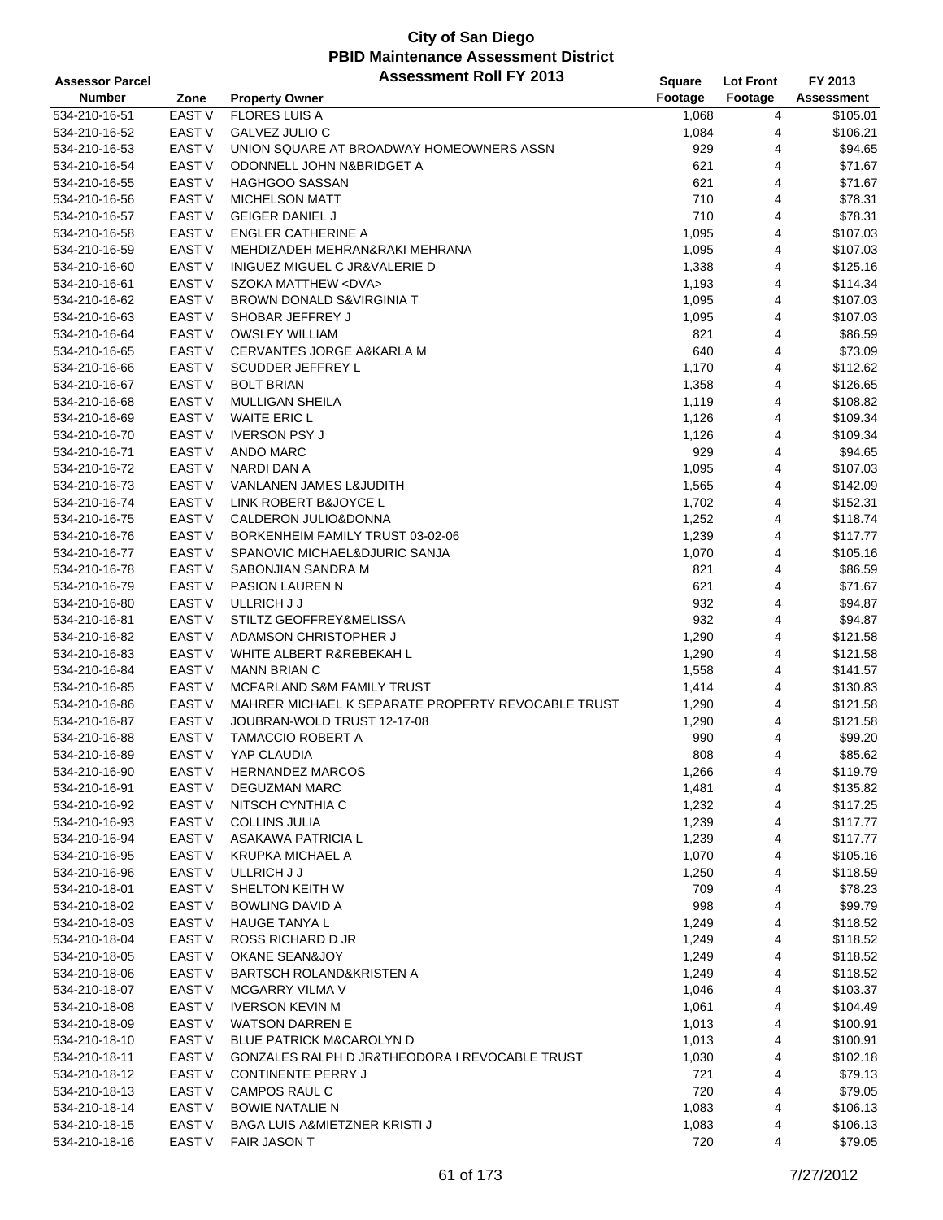#### **City of San Diego PBID Maintenance Assessment District Assessor Parcel Assessment Roll FY 2013**

| <b>Assessor Parcel</b> |                   | ASSESSINENT KOIL FT ZUTS                           | <b>Square</b> | <b>Lot Front</b> | FY 2013    |
|------------------------|-------------------|----------------------------------------------------|---------------|------------------|------------|
| <b>Number</b>          | Zone              | <b>Property Owner</b>                              | Footage       | Footage          | Assessment |
| 534-210-16-51          | <b>EAST V</b>     | <b>FLORES LUIS A</b>                               | 1,068         | 4                | \$105.01   |
| 534-210-16-52          | <b>EAST V</b>     | GALVEZ JULIO C                                     | 1,084         | 4                | \$106.21   |
| 534-210-16-53          | <b>EAST V</b>     | UNION SQUARE AT BROADWAY HOMEOWNERS ASSN           | 929           | 4                | \$94.65    |
|                        | <b>EAST V</b>     |                                                    |               |                  |            |
| 534-210-16-54          |                   | ODONNELL JOHN N&BRIDGET A                          | 621           | 4                | \$71.67    |
| 534-210-16-55          | <b>EAST V</b>     | <b>HAGHGOO SASSAN</b>                              | 621           | 4                | \$71.67    |
| 534-210-16-56          | <b>EAST V</b>     | <b>MICHELSON MATT</b>                              | 710           | 4                | \$78.31    |
| 534-210-16-57          | EAST V            | <b>GEIGER DANIEL J</b>                             | 710           | 4                | \$78.31    |
| 534-210-16-58          | <b>EAST V</b>     | <b>ENGLER CATHERINE A</b>                          | 1,095         | 4                | \$107.03   |
| 534-210-16-59          | <b>EAST V</b>     | MEHDIZADEH MEHRAN&RAKI MEHRANA                     | 1,095         | 4                | \$107.03   |
| 534-210-16-60          | <b>EAST V</b>     | <b>INIGUEZ MIGUEL C JR&amp;VALERIE D</b>           | 1,338         | 4                | \$125.16   |
| 534-210-16-61          | <b>EAST V</b>     | SZOKA MATTHEW <dva></dva>                          | 1,193         | 4                | \$114.34   |
| 534-210-16-62          | <b>EAST V</b>     | BROWN DONALD S&VIRGINIA T                          | 1,095         | 4                | \$107.03   |
| 534-210-16-63          | <b>EAST V</b>     | SHOBAR JEFFREY J                                   | 1,095         | 4                | \$107.03   |
| 534-210-16-64          | <b>EAST V</b>     | <b>OWSLEY WILLIAM</b>                              | 821           | 4                | \$86.59    |
| 534-210-16-65          | EAST V            | <b>CERVANTES JORGE A&amp;KARLA M</b>               | 640           | 4                | \$73.09    |
| 534-210-16-66          | EAST V            | SCUDDER JEFFREY L                                  | 1,170         | 4                | \$112.62   |
| 534-210-16-67          | EAST V            | <b>BOLT BRIAN</b>                                  | 1,358         | 4                | \$126.65   |
|                        |                   |                                                    |               |                  |            |
| 534-210-16-68          | <b>EAST V</b>     | <b>MULLIGAN SHEILA</b>                             | 1,119         | 4                | \$108.82   |
| 534-210-16-69          | <b>EAST V</b>     | <b>WAITE ERIC L</b>                                | 1,126         | 4                | \$109.34   |
| 534-210-16-70          | EAST V            | <b>IVERSON PSY J</b>                               | 1,126         | 4                | \$109.34   |
| 534-210-16-71          | <b>EAST V</b>     | ANDO MARC                                          | 929           | 4                | \$94.65    |
| 534-210-16-72          | <b>EAST V</b>     | NARDI DAN A                                        | 1,095         | 4                | \$107.03   |
| 534-210-16-73          | EAST V            | VANLANEN JAMES L&JUDITH                            | 1,565         | 4                | \$142.09   |
| 534-210-16-74          | <b>EAST V</b>     | LINK ROBERT B&JOYCE L                              | 1,702         | 4                | \$152.31   |
| 534-210-16-75          | <b>EAST V</b>     | CALDERON JULIO&DONNA                               | 1,252         | 4                | \$118.74   |
| 534-210-16-76          | EAST V            | BORKENHEIM FAMILY TRUST 03-02-06                   | 1,239         | 4                | \$117.77   |
| 534-210-16-77          | EAST V            | SPANOVIC MICHAEL&DJURIC SANJA                      | 1,070         | 4                | \$105.16   |
| 534-210-16-78          | EAST V            | SABONJIAN SANDRA M                                 | 821           | 4                | \$86.59    |
| 534-210-16-79          | EAST <sub>V</sub> | <b>PASION LAUREN N</b>                             | 621           | 4                | \$71.67    |
| 534-210-16-80          | <b>EAST V</b>     | ULLRICH J J                                        | 932           | 4                | \$94.87    |
| 534-210-16-81          | EAST V            | STILTZ GEOFFREY&MELISSA                            | 932           | 4                | \$94.87    |
| 534-210-16-82          | <b>EAST V</b>     | ADAMSON CHRISTOPHER J                              | 1,290         | 4                | \$121.58   |
| 534-210-16-83          | <b>EAST V</b>     | WHITE ALBERT R&REBEKAH L                           | 1,290         | 4                | \$121.58   |
| 534-210-16-84          | EAST V            | <b>MANN BRIAN C</b>                                | 1,558         | 4                | \$141.57   |
| 534-210-16-85          | EAST V            | MCFARLAND S&M FAMILY TRUST                         | 1,414         | 4                | \$130.83   |
| 534-210-16-86          | EAST V            | MAHRER MICHAEL K SEPARATE PROPERTY REVOCABLE TRUST | 1,290         | 4                | \$121.58   |
| 534-210-16-87          | <b>EAST V</b>     | JOUBRAN-WOLD TRUST 12-17-08                        | 1,290         | 4                | \$121.58   |
|                        | <b>EAST V</b>     | <b>TAMACCIO ROBERT A</b>                           |               |                  |            |
| 534-210-16-88          |                   |                                                    | 990           | 4                | \$99.20    |
| 534-210-16-89          | <b>EAST V</b>     | YAP CLAUDIA                                        | 808           | 4                | \$85.62    |
| 534-210-16-90          | EAST V            | HERNANDEZ MARCOS                                   | 1,266         | 4                | \$119.79   |
| 534-210-16-91          | EAST <sub>V</sub> | DEGUZMAN MARC                                      | 1,481         | 4                | \$135.82   |
| 534-210-16-92          | EAST <sub>V</sub> | NITSCH CYNTHIA C                                   | 1,232         | 4                | \$117.25   |
| 534-210-16-93          | EAST V            | <b>COLLINS JULIA</b>                               | 1,239         | 4                | \$117.77   |
| 534-210-16-94          | EAST <sub>V</sub> | ASAKAWA PATRICIA L                                 | 1,239         | 4                | \$117.77   |
| 534-210-16-95          | <b>EAST V</b>     | <b>KRUPKA MICHAEL A</b>                            | 1,070         | 4                | \$105.16   |
| 534-210-16-96          | EAST <sub>V</sub> | ULLRICH J J                                        | 1,250         | 4                | \$118.59   |
| 534-210-18-01          | EAST <sub>V</sub> | SHELTON KEITH W                                    | 709           | 4                | \$78.23    |
| 534-210-18-02          | EAST <sub>V</sub> | <b>BOWLING DAVID A</b>                             | 998           | 4                | \$99.79    |
| 534-210-18-03          | EAST V            | <b>HAUGE TANYAL</b>                                | 1,249         | 4                | \$118.52   |
| 534-210-18-04          | EAST <sub>V</sub> | ROSS RICHARD D JR                                  | 1,249         | 4                | \$118.52   |
| 534-210-18-05          | EAST <sub>V</sub> | <b>OKANE SEAN&amp;JOY</b>                          | 1,249         | 4                | \$118.52   |
| 534-210-18-06          | EAST <sub>V</sub> | <b>BARTSCH ROLAND&amp;KRISTEN A</b>                | 1,249         | 4                | \$118.52   |
| 534-210-18-07          | EAST <sub>V</sub> | <b>MCGARRY VILMA V</b>                             | 1,046         | 4                | \$103.37   |
| 534-210-18-08          | EAST <sub>V</sub> | <b>IVERSON KEVIN M</b>                             | 1,061         | 4                | \$104.49   |
| 534-210-18-09          | EAST <sub>V</sub> | <b>WATSON DARREN E</b>                             | 1,013         | 4                | \$100.91   |
|                        |                   |                                                    |               |                  |            |
| 534-210-18-10          | EAST V            | <b>BLUE PATRICK M&amp;CAROLYN D</b>                | 1,013         | 4                | \$100.91   |
| 534-210-18-11          | EAST <sub>V</sub> | GONZALES RALPH D JR&THEODORA I REVOCABLE TRUST     | 1,030         | 4                | \$102.18   |
| 534-210-18-12          | EAST V            | <b>CONTINENTE PERRY J</b>                          | 721           | 4                | \$79.13    |
| 534-210-18-13          | EAST V            | CAMPOS RAUL C                                      | 720           | 4                | \$79.05    |
| 534-210-18-14          | EAST V            | <b>BOWIE NATALIE N</b>                             | 1,083         | 4                | \$106.13   |
| 534-210-18-15          | EAST <sub>V</sub> | BAGA LUIS A&MIETZNER KRISTI J                      | 1,083         | 4                | \$106.13   |
| 534-210-18-16          | EAST V            | <b>FAIR JASON T</b>                                | 720           | 4                | \$79.05    |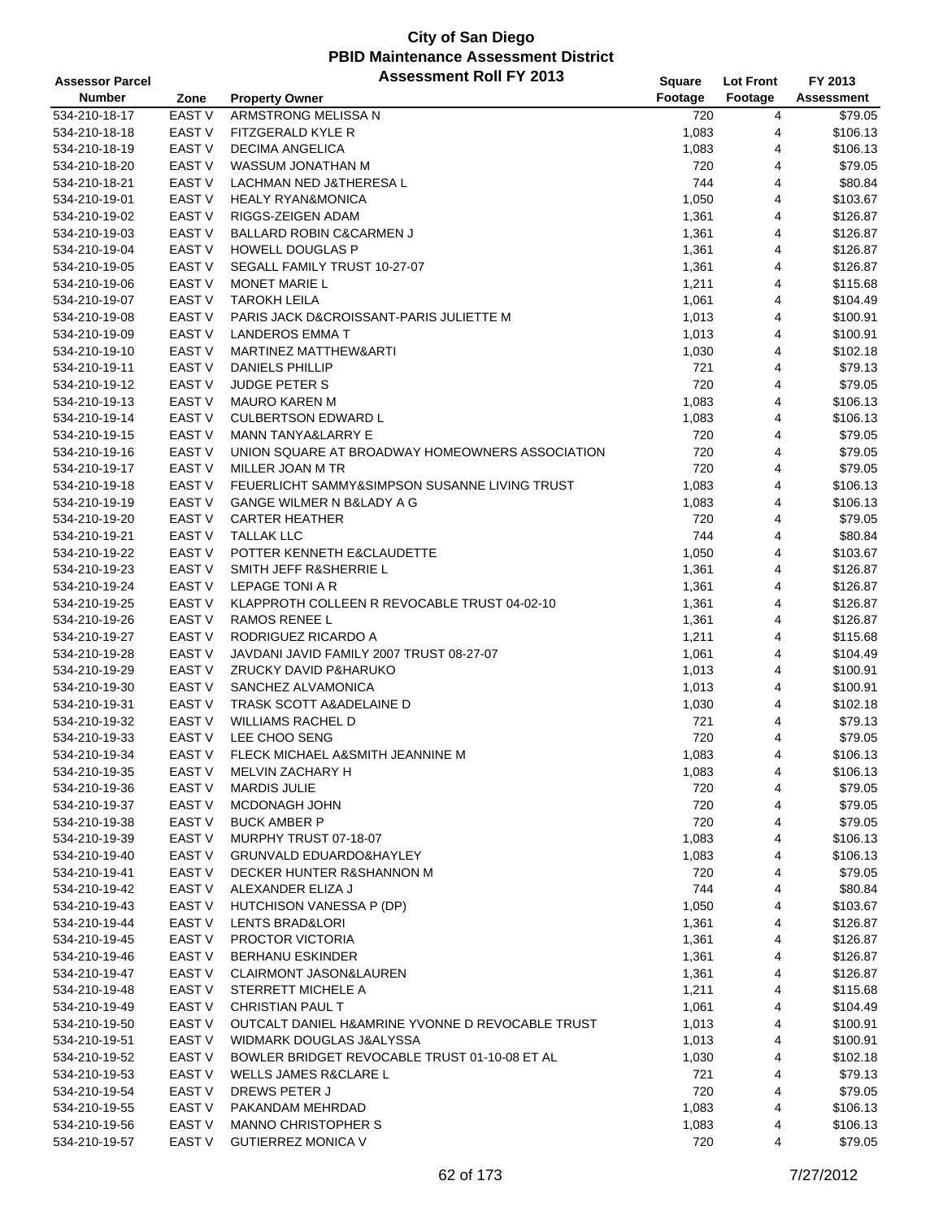| <b>Assessor Parcel</b> |                   | <b>Assessment Roll FY 2013</b>                   | Square  | <b>Lot Front</b> | FY 2013           |
|------------------------|-------------------|--------------------------------------------------|---------|------------------|-------------------|
| <b>Number</b>          | Zone              | <b>Property Owner</b>                            | Footage | Footage          | <b>Assessment</b> |
| 534-210-18-17          | <b>EAST V</b>     | ARMSTRONG MELISSA N                              | 720     | 4                | \$79.05           |
| 534-210-18-18          | EAST <sub>V</sub> | FITZGERALD KYLE R                                | 1,083   | 4                | \$106.13          |
| 534-210-18-19          | <b>EAST V</b>     | <b>DECIMA ANGELICA</b>                           | 1,083   | 4                | \$106.13          |
| 534-210-18-20          | EAST V            | WASSUM JONATHAN M                                | 720     | 4                | \$79.05           |
| 534-210-18-21          | EAST <sub>V</sub> | LACHMAN NED J&THERESA L                          | 744     | 4                | \$80.84           |
| 534-210-19-01          | EAST <sub>V</sub> | <b>HEALY RYAN&amp;MONICA</b>                     | 1,050   | 4                | \$103.67          |
| 534-210-19-02          | EAST V            | RIGGS-ZEIGEN ADAM                                | 1,361   | 4                | \$126.87          |
| 534-210-19-03          | EAST V            | BALLARD ROBIN C&CARMEN J                         | 1,361   | 4                | \$126.87          |
| 534-210-19-04          | <b>EAST V</b>     | <b>HOWELL DOUGLAS P</b>                          | 1,361   | 4                | \$126.87          |
| 534-210-19-05          | EAST V            | SEGALL FAMILY TRUST 10-27-07                     | 1,361   | 4                | \$126.87          |
| 534-210-19-06          | <b>EAST V</b>     | <b>MONET MARIE L</b>                             | 1,211   | 4                | \$115.68          |
| 534-210-19-07          | <b>EAST V</b>     | <b>TAROKH LEILA</b>                              | 1,061   | 4                | \$104.49          |
| 534-210-19-08          | EAST V            | PARIS JACK D&CROISSANT-PARIS JULIETTE M          | 1,013   | 4                | \$100.91          |
| 534-210-19-09          | EAST V            | <b>LANDEROS EMMA T</b>                           | 1,013   | 4                | \$100.91          |
| 534-210-19-10          | <b>EAST V</b>     | <b>MARTINEZ MATTHEW&amp;ARTI</b>                 | 1,030   | 4                | \$102.18          |
| 534-210-19-11          | EAST <sub>V</sub> | <b>DANIELS PHILLIP</b>                           | 721     | 4                | \$79.13           |
| 534-210-19-12          | <b>EAST V</b>     | <b>JUDGE PETER S</b>                             | 720     | 4                | \$79.05           |
| 534-210-19-13          | EAST V            | <b>MAURO KAREN M</b>                             | 1,083   | 4                | \$106.13          |
| 534-210-19-14          | EAST <sub>V</sub> | <b>CULBERTSON EDWARD L</b>                       | 1,083   | 4                | \$106.13          |
| 534-210-19-15          | <b>EAST V</b>     | <b>MANN TANYA&amp;LARRY E</b>                    | 720     | 4                | \$79.05           |
| 534-210-19-16          | EAST V            | UNION SQUARE AT BROADWAY HOMEOWNERS ASSOCIATION  | 720     | 4                | \$79.05           |
| 534-210-19-17          | EAST V            | MILLER JOAN M TR                                 | 720     | 4                | \$79.05           |
| 534-210-19-18          | <b>EAST V</b>     | FEUERLICHT SAMMY&SIMPSON SUSANNE LIVING TRUST    | 1,083   | 4                | \$106.13          |
| 534-210-19-19          | EAST V            | GANGE WILMER N B&LADY A G                        | 1,083   | 4                | \$106.13          |
| 534-210-19-20          | <b>EAST V</b>     | <b>CARTER HEATHER</b>                            | 720     | 4                | \$79.05           |
| 534-210-19-21          | EAST V            | <b>TALLAK LLC</b>                                | 744     | 4                | \$80.84           |
| 534-210-19-22          | EAST <sub>V</sub> | POTTER KENNETH E&CLAUDETTE                       | 1,050   | 4                | \$103.67          |
| 534-210-19-23          | EAST V            | SMITH JEFF R&SHERRIE L                           | 1,361   | 4                | \$126.87          |
| 534-210-19-24          | EAST V            | LEPAGE TONI A R                                  | 1,361   | 4                | \$126.87          |
| 534-210-19-25          | EAST <sub>V</sub> | KLAPPROTH COLLEEN R REVOCABLE TRUST 04-02-10     | 1,361   | 4                | \$126.87          |
| 534-210-19-26          | <b>EAST V</b>     | <b>RAMOS RENEE L</b>                             | 1,361   | 4                | \$126.87          |
| 534-210-19-27          | EAST V            | RODRIGUEZ RICARDO A                              | 1,211   | 4                | \$115.68          |
| 534-210-19-28          | EAST <sub>V</sub> | JAVDANI JAVID FAMILY 2007 TRUST 08-27-07         | 1,061   | 4                | \$104.49          |
| 534-210-19-29          | <b>EAST V</b>     | ZRUCKY DAVID P&HARUKO                            | 1,013   | 4                | \$100.91          |
| 534-210-19-30          | EAST V            | SANCHEZ ALVAMONICA                               | 1,013   | 4                | \$100.91          |
| 534-210-19-31          | EAST V            | TRASK SCOTT A&ADELAINE D                         | 1,030   | 4                | \$102.18          |
| 534-210-19-32          | <b>EAST V</b>     | <b>WILLIAMS RACHEL D</b>                         | 721     | 4                | \$79.13           |
| 534-210-19-33          | EAST <sub>V</sub> | LEE CHOO SENG                                    | 720     | 4                | \$79.05           |
| 534-210-19-34          | <b>EAST V</b>     | FLECK MICHAEL A&SMITH JEANNINE M                 | 1,083   | 4                | \$106.13          |
| 534-210-19-35          | EAST V            | MELVIN ZACHARY H                                 | 1,083   | 4                | \$106.13          |
| 534-210-19-36          | EAST V            | <b>MARDIS JULIE</b>                              | 720     | 4                | \$79.05           |
| 534-210-19-37          | EAST V            | <b>MCDONAGH JOHN</b>                             | 720     | 4                | \$79.05           |
| 534-210-19-38          | EAST V            | <b>BUCK AMBER P</b>                              | 720     | 4                | \$79.05           |
| 534-210-19-39          | EAST V            | MURPHY TRUST 07-18-07                            | 1,083   | 4                | \$106.13          |
| 534-210-19-40          | EAST V            | <b>GRUNVALD EDUARDO&amp;HAYLEY</b>               | 1,083   | 4                | \$106.13          |
| 534-210-19-41          | EAST V            | DECKER HUNTER R&SHANNON M                        | 720     | 4                | \$79.05           |
| 534-210-19-42          | EAST V            | ALEXANDER ELIZA J                                | 744     | 4                | \$80.84           |
| 534-210-19-43          | EAST V            | HUTCHISON VANESSA P (DP)                         | 1,050   | 4                | \$103.67          |
| 534-210-19-44          | EAST V            | LENTS BRAD&LORI                                  | 1,361   | 4                | \$126.87          |
| 534-210-19-45          | EAST V            | PROCTOR VICTORIA                                 | 1,361   | 4                | \$126.87          |
| 534-210-19-46          | <b>EAST V</b>     | <b>BERHANU ESKINDER</b>                          | 1,361   | 4                | \$126.87          |
| 534-210-19-47          | EAST V            | CLAIRMONT JASON&LAUREN                           | 1,361   | 4                | \$126.87          |
| 534-210-19-48          | EAST V            | STERRETT MICHELE A                               | 1,211   | 4                | \$115.68          |
| 534-210-19-49          | EAST V            | CHRISTIAN PAUL T                                 | 1,061   | 4                | \$104.49          |
| 534-210-19-50          | EAST V            | OUTCALT DANIEL H&AMRINE YVONNE D REVOCABLE TRUST | 1,013   | 4                | \$100.91          |
| 534-210-19-51          | EAST V            | WIDMARK DOUGLAS J&ALYSSA                         | 1,013   | 4                | \$100.91          |
| 534-210-19-52          | EAST V            | BOWLER BRIDGET REVOCABLE TRUST 01-10-08 ET AL    | 1,030   | 4                | \$102.18          |
| 534-210-19-53          | EAST V            | <b>WELLS JAMES R&amp;CLARE L</b>                 | 721     | 4                | \$79.13           |
| 534-210-19-54          | EAST <sub>V</sub> | DREWS PETER J                                    | 720     | 4                | \$79.05           |
| 534-210-19-55          | EAST V            | PAKANDAM MEHRDAD                                 | 1,083   | 4                | \$106.13          |
| 534-210-19-56          | EAST V            | <b>MANNO CHRISTOPHER S</b>                       | 1,083   | 4                | \$106.13          |
| 534-210-19-57          | EAST V            | <b>GUTIERREZ MONICA V</b>                        | 720     | 4                | \$79.05           |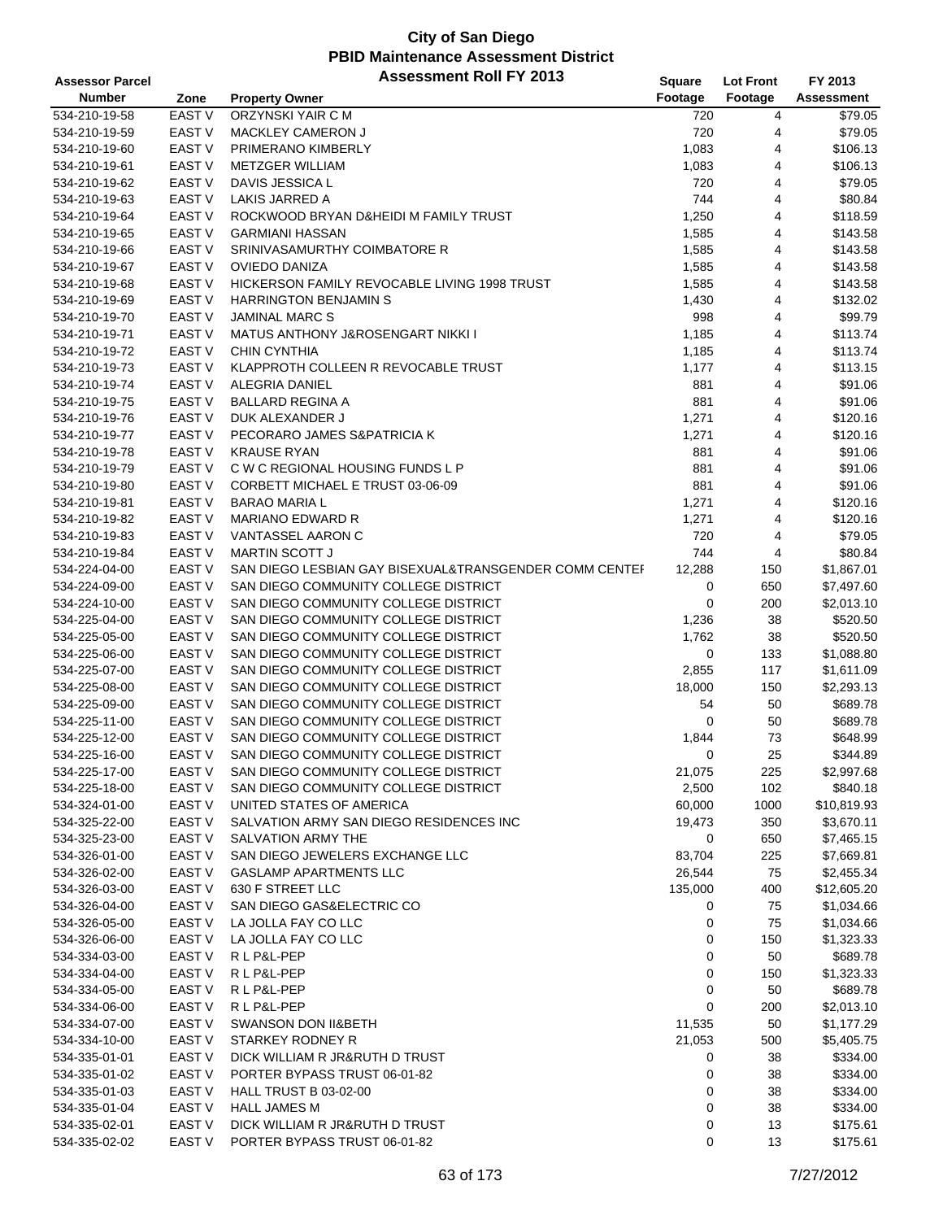| <b>Assessor Parcel</b> |                   | <b>Assessment Roll FY 2013</b>                         | Square  | <b>Lot Front</b> | FY 2013           |
|------------------------|-------------------|--------------------------------------------------------|---------|------------------|-------------------|
| <b>Number</b>          | Zone              | <b>Property Owner</b>                                  | Footage | Footage          | <b>Assessment</b> |
| 534-210-19-58          | <b>EAST V</b>     | ORZYNSKI YAIR C M                                      | 720     | 4                | \$79.05           |
| 534-210-19-59          | EAST V            | <b>MACKLEY CAMERON J</b>                               | 720     | 4                | \$79.05           |
| 534-210-19-60          | <b>EAST V</b>     | PRIMERANO KIMBERLY                                     | 1,083   | 4                | \$106.13          |
| 534-210-19-61          | <b>EAST V</b>     | <b>METZGER WILLIAM</b>                                 | 1,083   | 4                | \$106.13          |
| 534-210-19-62          | <b>EAST V</b>     | DAVIS JESSICA L                                        | 720     | 4                | \$79.05           |
| 534-210-19-63          | EAST <sub>V</sub> | LAKIS JARRED A                                         | 744     | 4                | \$80.84           |
| 534-210-19-64          | EAST V            | ROCKWOOD BRYAN D&HEIDI M FAMILY TRUST                  | 1,250   | 4                | \$118.59          |
| 534-210-19-65          | <b>EAST V</b>     | <b>GARMIANI HASSAN</b>                                 | 1,585   | 4                | \$143.58          |
| 534-210-19-66          | <b>EAST V</b>     | SRINIVASAMURTHY COIMBATORE R                           | 1,585   | 4                | \$143.58          |
| 534-210-19-67          | EAST V            | <b>OVIEDO DANIZA</b>                                   | 1,585   | 4                | \$143.58          |
| 534-210-19-68          | <b>EAST V</b>     | <b>HICKERSON FAMILY REVOCABLE LIVING 1998 TRUST</b>    | 1,585   | 4                | \$143.58          |
| 534-210-19-69          | <b>EAST V</b>     | <b>HARRINGTON BENJAMIN S</b>                           | 1,430   | 4                | \$132.02          |
| 534-210-19-70          | <b>EAST V</b>     | <b>JAMINAL MARC S</b>                                  | 998     | 4                | \$99.79           |
| 534-210-19-71          | <b>EAST V</b>     | <b>MATUS ANTHONY J&amp;ROSENGART NIKKI I</b>           | 1,185   | 4                | \$113.74          |
| 534-210-19-72          | EAST V            | <b>CHIN CYNTHIA</b>                                    | 1,185   | 4                | \$113.74          |
| 534-210-19-73          | <b>EAST V</b>     | KLAPPROTH COLLEEN R REVOCABLE TRUST                    | 1,177   | 4                | \$113.15          |
| 534-210-19-74          | <b>EAST V</b>     | ALEGRIA DANIEL                                         | 881     | 4                | \$91.06           |
| 534-210-19-75          | <b>EAST V</b>     | <b>BALLARD REGINA A</b>                                | 881     | 4                | \$91.06           |
| 534-210-19-76          | <b>EAST V</b>     | DUK ALEXANDER J                                        | 1,271   | 4                | \$120.16          |
| 534-210-19-77          | <b>EAST V</b>     | PECORARO JAMES S&PATRICIA K                            | 1,271   | 4                | \$120.16          |
| 534-210-19-78          | <b>EAST V</b>     | <b>KRAUSE RYAN</b>                                     | 881     | 4                | \$91.06           |
| 534-210-19-79          | EAST V            | C W C REGIONAL HOUSING FUNDS L P                       | 881     | 4                | \$91.06           |
| 534-210-19-80          | <b>EAST V</b>     | CORBETT MICHAEL E TRUST 03-06-09                       | 881     | 4                | \$91.06           |
| 534-210-19-81          | EAST <sub>V</sub> | <b>BARAO MARIA L</b>                                   | 1,271   | 4                | \$120.16          |
| 534-210-19-82          | <b>EAST V</b>     | <b>MARIANO EDWARD R</b>                                | 1,271   | 4                | \$120.16          |
| 534-210-19-83          | <b>EAST V</b>     | VANTASSEL AARON C                                      | 720     | 4                | \$79.05           |
| 534-210-19-84          | EAST <sub>V</sub> | <b>MARTIN SCOTT J</b>                                  | 744     | 4                | \$80.84           |
| 534-224-04-00          | <b>EAST V</b>     | SAN DIEGO LESBIAN GAY BISEXUAL&TRANSGENDER COMM CENTEF | 12,288  | 150              | \$1,867.01        |
| 534-224-09-00          | <b>EAST V</b>     | SAN DIEGO COMMUNITY COLLEGE DISTRICT                   | 0       | 650              | \$7,497.60        |
| 534-224-10-00          | <b>EAST V</b>     | SAN DIEGO COMMUNITY COLLEGE DISTRICT                   | 0       | 200              | \$2,013.10        |
| 534-225-04-00          | <b>EAST V</b>     | SAN DIEGO COMMUNITY COLLEGE DISTRICT                   | 1,236   | 38               | \$520.50          |
| 534-225-05-00          | <b>EAST V</b>     | SAN DIEGO COMMUNITY COLLEGE DISTRICT                   | 1,762   | 38               | \$520.50          |
| 534-225-06-00          | <b>EAST V</b>     | SAN DIEGO COMMUNITY COLLEGE DISTRICT                   | 0       | 133              | \$1,088.80        |
| 534-225-07-00          | <b>EAST V</b>     | SAN DIEGO COMMUNITY COLLEGE DISTRICT                   | 2,855   | 117              | \$1,611.09        |
| 534-225-08-00          | EAST V            | SAN DIEGO COMMUNITY COLLEGE DISTRICT                   | 18,000  | 150              | \$2,293.13        |
| 534-225-09-00          | <b>EAST V</b>     | SAN DIEGO COMMUNITY COLLEGE DISTRICT                   | 54      | 50               | \$689.78          |
| 534-225-11-00          | EAST <sub>V</sub> | SAN DIEGO COMMUNITY COLLEGE DISTRICT                   | 0       | 50               | \$689.78          |
| 534-225-12-00          | <b>EAST V</b>     | SAN DIEGO COMMUNITY COLLEGE DISTRICT                   | 1,844   | 73               | \$648.99          |
| 534-225-16-00          | <b>EAST V</b>     | SAN DIEGO COMMUNITY COLLEGE DISTRICT                   | 0       | 25               | \$344.89          |
| 534-225-17-00          | EAST V            | SAN DIEGO COMMUNITY COLLEGE DISTRICT                   | 21,075  | 225              | \$2,997.68        |
| 534-225-18-00          | EAST V            | SAN DIEGO COMMUNITY COLLEGE DISTRICT                   | 2,500   | 102              | \$840.18          |
| 534-324-01-00          | <b>EAST V</b>     | UNITED STATES OF AMERICA                               | 60,000  | 1000             | \$10,819.93       |
| 534-325-22-00          | EAST V            | SALVATION ARMY SAN DIEGO RESIDENCES INC                | 19,473  | 350              | \$3,670.11        |
| 534-325-23-00          | EAST V            | SALVATION ARMY THE                                     | 0       | 650              | \$7,465.15        |
| 534-326-01-00          | <b>EAST V</b>     | SAN DIEGO JEWELERS EXCHANGE LLC                        | 83,704  | 225              | \$7,669.81        |
| 534-326-02-00          | EAST V            | <b>GASLAMP APARTMENTS LLC</b>                          | 26,544  | 75               | \$2,455.34        |
| 534-326-03-00          | EAST V            | 630 F STREET LLC                                       | 135,000 | 400              | \$12,605.20       |
| 534-326-04-00          | EAST V            | SAN DIEGO GAS&ELECTRIC CO                              | 0       | 75               | \$1,034.66        |
| 534-326-05-00          | EAST V            | LA JOLLA FAY CO LLC                                    | 0       | 75               | \$1,034.66        |
| 534-326-06-00          | <b>EAST V</b>     | LA JOLLA FAY CO LLC                                    | 0       | 150              | \$1,323.33        |
| 534-334-03-00          | <b>EAST V</b>     | RLP&L-PEP                                              | 0       | 50               | \$689.78          |
| 534-334-04-00          | EAST V            | RLP&L-PEP                                              | 0       | 150              | \$1,323.33        |
| 534-334-05-00          | <b>EAST V</b>     | R L P&L-PEP                                            | 0       | 50               | \$689.78          |
| 534-334-06-00          | EAST V            | RLP&L-PEP                                              | 0       | 200              | \$2,013.10        |
| 534-334-07-00          | EAST V            | <b>SWANSON DON II&amp;BETH</b>                         | 11,535  | 50               | \$1,177.29        |
| 534-334-10-00          | EAST V            | STARKEY RODNEY R                                       | 21,053  | 500              | \$5,405.75        |
| 534-335-01-01          | EAST V            | DICK WILLIAM R JR&RUTH D TRUST                         | 0       | 38               | \$334.00          |
| 534-335-01-02          | EAST V            | PORTER BYPASS TRUST 06-01-82                           | 0       | 38               | \$334.00          |
| 534-335-01-03          | EAST <sub>V</sub> | <b>HALL TRUST B 03-02-00</b>                           | 0       | 38               | \$334.00          |
| 534-335-01-04          | EAST V            | <b>HALL JAMES M</b>                                    | 0       | 38               | \$334.00          |
| 534-335-02-01          | EAST V            | DICK WILLIAM R JR&RUTH D TRUST                         | 0       | 13               | \$175.61          |
| 534-335-02-02          | EAST V            | PORTER BYPASS TRUST 06-01-82                           | 0       | 13               | \$175.61          |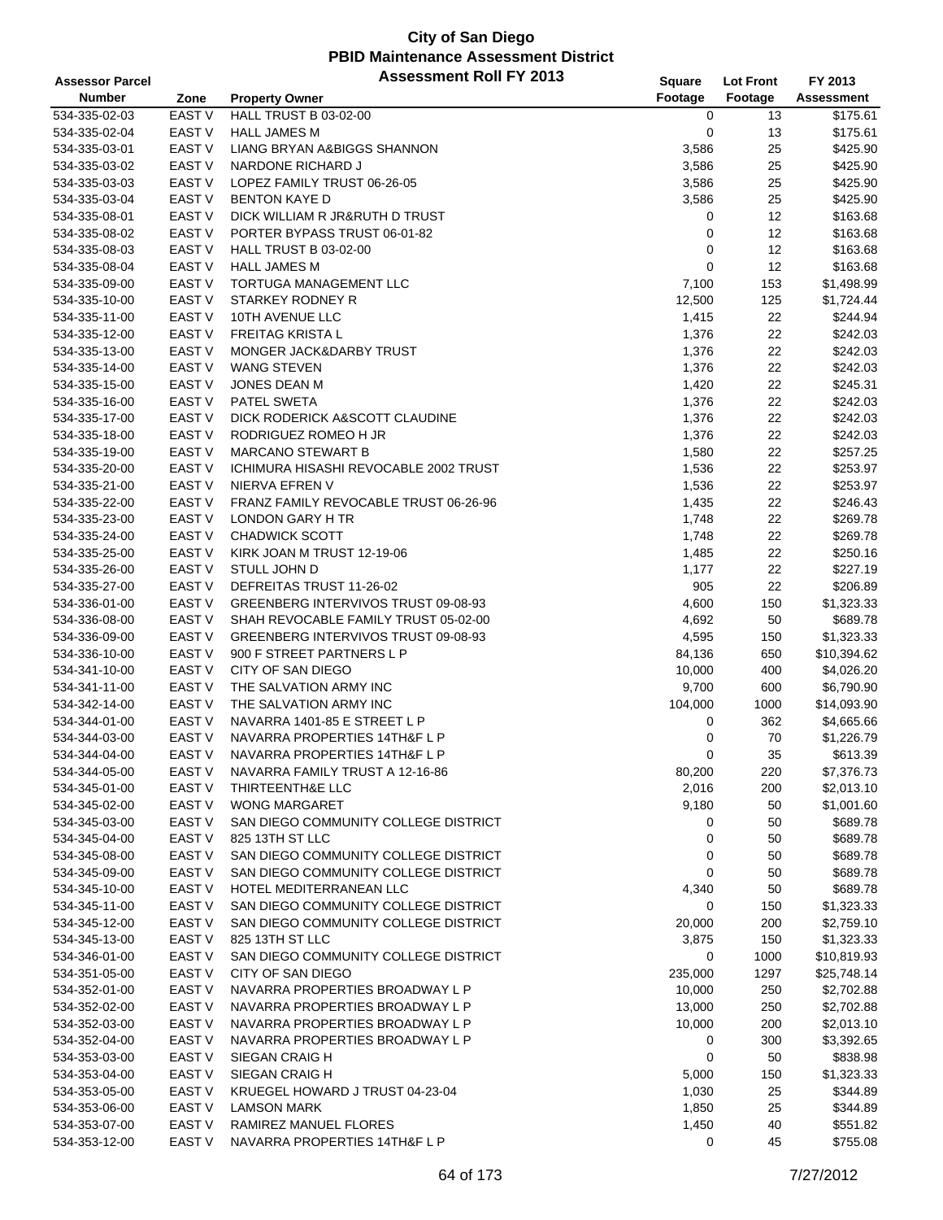| <b>Assessor Parcel</b> |                   | <b>Assessment Roll FY 2013</b>        | Square      | <b>Lot Front</b> | FY 2013           |
|------------------------|-------------------|---------------------------------------|-------------|------------------|-------------------|
| <b>Number</b>          | Zone              | <b>Property Owner</b>                 | Footage     | Footage          | <b>Assessment</b> |
| 534-335-02-03          | <b>EAST V</b>     | HALL TRUST B 03-02-00                 | 0           | 13               | \$175.61          |
| 534-335-02-04          | <b>EAST V</b>     | <b>HALL JAMES M</b>                   | 0           | 13               | \$175.61          |
| 534-335-03-01          | <b>EAST V</b>     | LIANG BRYAN A&BIGGS SHANNON           | 3,586       | 25               | \$425.90          |
| 534-335-03-02          | <b>EAST V</b>     | NARDONE RICHARD J                     | 3,586       | 25               | \$425.90          |
| 534-335-03-03          | <b>EAST V</b>     | LOPEZ FAMILY TRUST 06-26-05           | 3,586       | 25               | \$425.90          |
| 534-335-03-04          | <b>EAST V</b>     | <b>BENTON KAYE D</b>                  | 3,586       | 25               | \$425.90          |
| 534-335-08-01          | <b>EAST V</b>     | DICK WILLIAM R JR&RUTH D TRUST        | 0           | 12               | \$163.68          |
| 534-335-08-02          | <b>EAST V</b>     | PORTER BYPASS TRUST 06-01-82          | 0           | 12               | \$163.68          |
| 534-335-08-03          | <b>EAST V</b>     | <b>HALL TRUST B 03-02-00</b>          | $\mathbf 0$ | 12               | \$163.68          |
| 534-335-08-04          | <b>EAST V</b>     | <b>HALL JAMES M</b>                   | $\mathbf 0$ | 12               | \$163.68          |
| 534-335-09-00          | <b>EAST V</b>     | TORTUGA MANAGEMENT LLC                | 7,100       | 153              | \$1,498.99        |
| 534-335-10-00          | <b>EAST V</b>     | <b>STARKEY RODNEY R</b>               | 12,500      | 125              | \$1,724.44        |
| 534-335-11-00          | <b>EAST V</b>     | 10TH AVENUE LLC                       | 1,415       | 22               | \$244.94          |
| 534-335-12-00          | <b>EAST V</b>     | <b>FREITAG KRISTA L</b>               | 1,376       | 22               | \$242.03          |
| 534-335-13-00          | <b>EAST V</b>     | MONGER JACK&DARBY TRUST               | 1,376       | 22               | \$242.03          |
| 534-335-14-00          | EAST <sub>V</sub> | <b>WANG STEVEN</b>                    | 1,376       | 22               | \$242.03          |
| 534-335-15-00          | <b>EAST V</b>     | JONES DEAN M                          | 1,420       | 22               | \$245.31          |
| 534-335-16-00          | <b>EAST V</b>     | <b>PATEL SWETA</b>                    | 1,376       | 22               | \$242.03          |
| 534-335-17-00          | <b>EAST V</b>     | DICK RODERICK A&SCOTT CLAUDINE        | 1,376       | 22               | \$242.03          |
| 534-335-18-00          | <b>EAST V</b>     | RODRIGUEZ ROMEO H JR                  | 1,376       | 22               | \$242.03          |
| 534-335-19-00          | <b>EAST V</b>     | <b>MARCANO STEWART B</b>              | 1,580       | 22               | \$257.25          |
| 534-335-20-00          | <b>EAST V</b>     | ICHIMURA HISASHI REVOCABLE 2002 TRUST | 1,536       | 22               | \$253.97          |
| 534-335-21-00          | <b>EAST V</b>     | NIERVA EFREN V                        | 1,536       | 22               | \$253.97          |
| 534-335-22-00          | EAST V            | FRANZ FAMILY REVOCABLE TRUST 06-26-96 | 1,435       | 22               | \$246.43          |
| 534-335-23-00          | <b>EAST V</b>     | <b>LONDON GARY H TR</b>               | 1,748       | 22               | \$269.78          |
| 534-335-24-00          | <b>EAST V</b>     | <b>CHADWICK SCOTT</b>                 | 1,748       | 22               | \$269.78          |
| 534-335-25-00          | <b>EAST V</b>     | KIRK JOAN M TRUST 12-19-06            | 1,485       | 22               | \$250.16          |
| 534-335-26-00          | <b>EAST V</b>     | STULL JOHN D                          | 1,177       | 22               | \$227.19          |
| 534-335-27-00          | <b>EAST V</b>     | DEFREITAS TRUST 11-26-02              | 905         | 22               | \$206.89          |
| 534-336-01-00          | <b>EAST V</b>     | GREENBERG INTERVIVOS TRUST 09-08-93   | 4,600       | 150              | \$1,323.33        |
| 534-336-08-00          | <b>EAST V</b>     | SHAH REVOCABLE FAMILY TRUST 05-02-00  | 4,692       | 50               | \$689.78          |
| 534-336-09-00          | <b>EAST V</b>     | GREENBERG INTERVIVOS TRUST 09-08-93   | 4,595       | 150              | \$1,323.33        |
| 534-336-10-00          | <b>EAST V</b>     | 900 F STREET PARTNERS L P             | 84,136      | 650              | \$10,394.62       |
| 534-341-10-00          | <b>EAST V</b>     | CITY OF SAN DIEGO                     | 10,000      | 400              | \$4,026.20        |
| 534-341-11-00          | <b>EAST V</b>     | THE SALVATION ARMY INC                | 9,700       | 600              | \$6,790.90        |
| 534-342-14-00          | <b>EAST V</b>     | THE SALVATION ARMY INC                | 104,000     | 1000             | \$14,093.90       |
| 534-344-01-00          | <b>EAST V</b>     | NAVARRA 1401-85 E STREET L P          | 0           | 362              | \$4,665.66        |
| 534-344-03-00          | <b>EAST V</b>     | NAVARRA PROPERTIES 14TH&F L P         | 0           | 70               | \$1,226.79        |
| 534-344-04-00          | <b>EAST V</b>     | NAVARRA PROPERTIES 14TH&F L P         | 0           | 35               | \$613.39          |
| 534-344-05-00          | EAST V            | NAVARRA FAMILY TRUST A 12-16-86       | 80,200      | 220              | \$7,376.73        |
| 534-345-01-00          | <b>EAST V</b>     | THIRTEENTH&E LLC                      | 2,016       | 200              | \$2,013.10        |
| 534-345-02-00          | <b>EAST V</b>     | <b>WONG MARGARET</b>                  | 9,180       | 50               | \$1,001.60        |
| 534-345-03-00          | EAST V            | SAN DIEGO COMMUNITY COLLEGE DISTRICT  | 0           | 50               | \$689.78          |
| 534-345-04-00          | <b>EAST V</b>     | 825 13TH ST LLC                       | 0           | 50               | \$689.78          |
| 534-345-08-00          | <b>EAST V</b>     | SAN DIEGO COMMUNITY COLLEGE DISTRICT  | 0           | 50               | \$689.78          |
| 534-345-09-00          | EAST V            | SAN DIEGO COMMUNITY COLLEGE DISTRICT  | 0           | 50               | \$689.78          |
| 534-345-10-00          | EAST V            | HOTEL MEDITERRANEAN LLC               | 4,340       | 50               | \$689.78          |
| 534-345-11-00          | EAST V            | SAN DIEGO COMMUNITY COLLEGE DISTRICT  | 0           | 150              | \$1,323.33        |
| 534-345-12-00          | EAST V            | SAN DIEGO COMMUNITY COLLEGE DISTRICT  | 20,000      | 200              | \$2,759.10        |
| 534-345-13-00          | <b>EAST V</b>     | 825 13TH ST LLC                       | 3,875       | 150              | \$1,323.33        |
| 534-346-01-00          | <b>EAST V</b>     | SAN DIEGO COMMUNITY COLLEGE DISTRICT  | 0           | 1000             | \$10,819.93       |
| 534-351-05-00          | <b>EAST V</b>     | CITY OF SAN DIEGO                     | 235,000     | 1297             | \$25,748.14       |
| 534-352-01-00          | EAST <sub>V</sub> | NAVARRA PROPERTIES BROADWAY L P       | 10,000      | 250              | \$2,702.88        |
| 534-352-02-00          | EAST V            | NAVARRA PROPERTIES BROADWAY L P       | 13,000      | 250              | \$2,702.88        |
| 534-352-03-00          | EAST V            | NAVARRA PROPERTIES BROADWAY L P       | 10,000      | 200              | \$2,013.10        |
| 534-352-04-00          | EAST V            | NAVARRA PROPERTIES BROADWAY L P       | 0           | 300              | \$3,392.65        |
| 534-353-03-00          | EAST V            | SIEGAN CRAIG H                        | 0           | 50               | \$838.98          |
| 534-353-04-00          | <b>EAST V</b>     | SIEGAN CRAIG H                        | 5,000       | 150              | \$1,323.33        |
| 534-353-05-00          | <b>EAST V</b>     | KRUEGEL HOWARD J TRUST 04-23-04       | 1,030       | 25               | \$344.89          |
| 534-353-06-00          | EAST V            | <b>LAMSON MARK</b>                    | 1,850       | 25               | \$344.89          |
| 534-353-07-00          | EAST V            | RAMIREZ MANUEL FLORES                 | 1,450       | 40               | \$551.82          |
| 534-353-12-00          | <b>EAST V</b>     | NAVARRA PROPERTIES 14TH&F L P         | 0           | 45               | \$755.08          |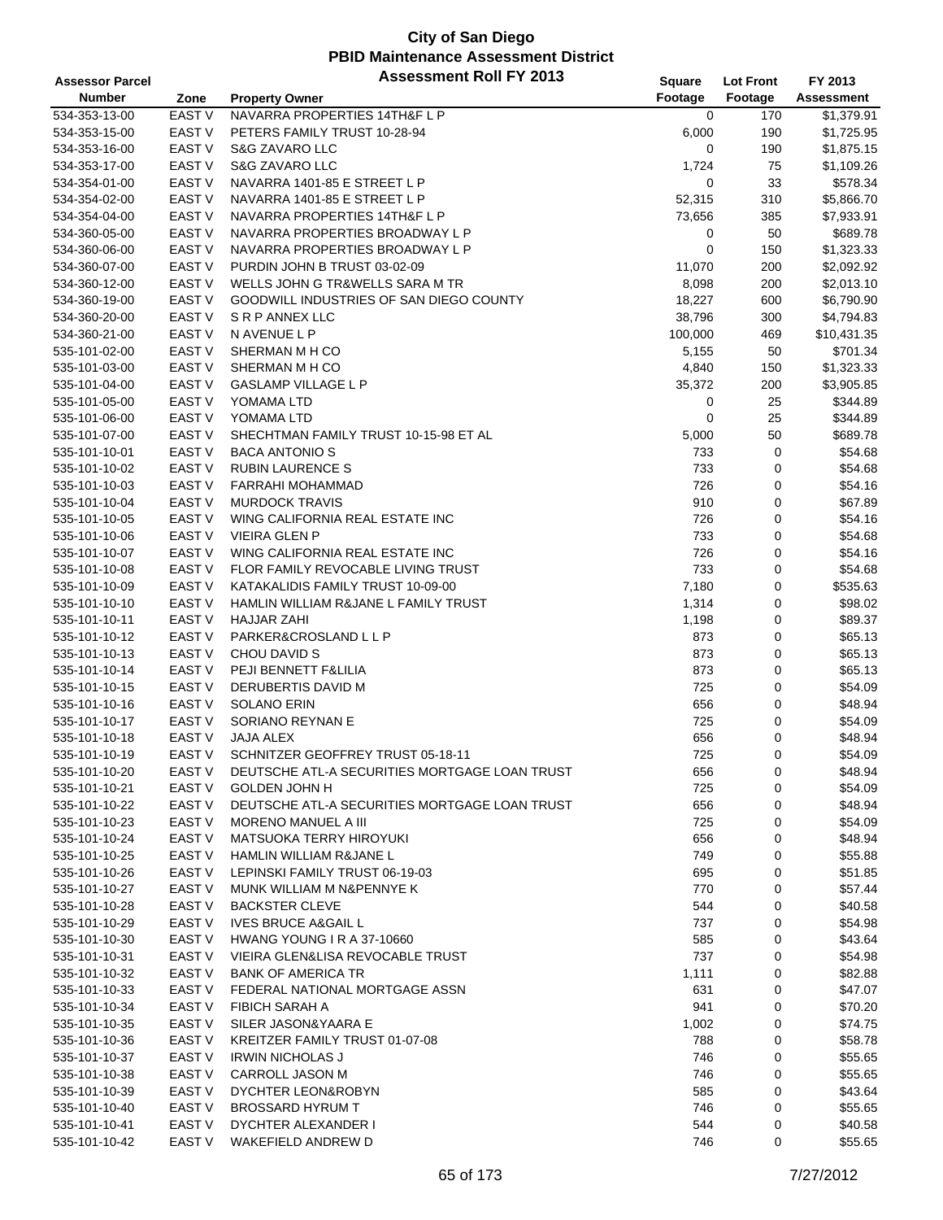| <b>Assessor Parcel</b> |                                    | <b>Assessment Roll FY 2013</b>                                        | Square     | <b>Lot Front</b> | FY 2013            |
|------------------------|------------------------------------|-----------------------------------------------------------------------|------------|------------------|--------------------|
| <b>Number</b>          | Zone                               | <b>Property Owner</b>                                                 | Footage    | Footage          | <b>Assessment</b>  |
| 534-353-13-00          | <b>EAST V</b>                      | NAVARRA PROPERTIES 14TH&F L P                                         | 0          | 170              | \$1,379.91         |
| 534-353-15-00          | <b>EAST V</b>                      | PETERS FAMILY TRUST 10-28-94                                          | 6,000      | 190              | \$1,725.95         |
| 534-353-16-00          | <b>EAST V</b>                      | S&G ZAVARO LLC                                                        | 0          | 190              | \$1,875.15         |
| 534-353-17-00          | <b>EAST V</b>                      | S&G ZAVARO LLC                                                        | 1,724      | 75               | \$1,109.26         |
| 534-354-01-00          | <b>EAST V</b>                      | NAVARRA 1401-85 E STREET L P                                          | 0          | 33               | \$578.34           |
| 534-354-02-00          | <b>EAST V</b>                      | NAVARRA 1401-85 E STREET L P                                          | 52,315     | 310              | \$5,866.70         |
| 534-354-04-00          | <b>EAST V</b>                      | NAVARRA PROPERTIES 14TH&F L P                                         | 73,656     | 385              | \$7,933.91         |
| 534-360-05-00          | <b>EAST V</b>                      | NAVARRA PROPERTIES BROADWAY L P                                       | 0          | 50               | \$689.78           |
| 534-360-06-00          | <b>EAST V</b>                      | NAVARRA PROPERTIES BROADWAY L P                                       | 0          | 150              | \$1,323.33         |
| 534-360-07-00          | <b>EAST V</b>                      | PURDIN JOHN B TRUST 03-02-09                                          | 11,070     | 200              | \$2,092.92         |
| 534-360-12-00          | <b>EAST V</b>                      | WELLS JOHN G TR&WELLS SARA M TR                                       | 8,098      | 200              | \$2,013.10         |
| 534-360-19-00          | <b>EAST V</b>                      | GOODWILL INDUSTRIES OF SAN DIEGO COUNTY                               | 18,227     | 600              | \$6,790.90         |
| 534-360-20-00          | <b>EAST V</b>                      | S R P ANNEX LLC                                                       | 38,796     | 300              | \$4,794.83         |
| 534-360-21-00          | <b>EAST V</b>                      | N AVENUE L P                                                          | 100,000    | 469              | \$10,431.35        |
| 535-101-02-00          | <b>EAST V</b>                      | SHERMAN M H CO                                                        | 5,155      | 50               | \$701.34           |
| 535-101-03-00          | EAST <sub>V</sub>                  | SHERMAN M H CO                                                        | 4,840      | 150              | \$1,323.33         |
| 535-101-04-00          | <b>EAST V</b>                      | <b>GASLAMP VILLAGE L P</b>                                            | 35,372     | 200              | \$3,905.85         |
| 535-101-05-00          | EAST V                             | YOMAMA LTD                                                            | 0          | 25               | \$344.89           |
| 535-101-06-00          | <b>EAST V</b>                      | YOMAMA LTD                                                            | 0          | 25               | \$344.89           |
| 535-101-07-00          | <b>EAST V</b>                      | SHECHTMAN FAMILY TRUST 10-15-98 ET AL                                 | 5,000      | 50               | \$689.78           |
| 535-101-10-01          | <b>EAST V</b>                      | <b>BACA ANTONIO S</b>                                                 | 733        | 0                | \$54.68            |
| 535-101-10-02          | <b>EAST V</b>                      | <b>RUBIN LAURENCE S</b>                                               | 733        | 0                | \$54.68            |
| 535-101-10-03          | <b>EAST V</b>                      | <b>FARRAHI MOHAMMAD</b>                                               | 726        | 0                | \$54.16            |
| 535-101-10-04          | EAST <sub>V</sub>                  | <b>MURDOCK TRAVIS</b>                                                 | 910        | 0                | \$67.89            |
|                        | <b>EAST V</b>                      |                                                                       |            | 0                |                    |
| 535-101-10-05          | <b>EAST V</b>                      | WING CALIFORNIA REAL ESTATE INC<br><b>VIEIRA GLEN P</b>               | 726        | 0                | \$54.16            |
| 535-101-10-06          |                                    |                                                                       | 733        |                  | \$54.68            |
| 535-101-10-07          | <b>EAST V</b><br><b>EAST V</b>     | WING CALIFORNIA REAL ESTATE INC                                       | 726<br>733 | 0                | \$54.16            |
| 535-101-10-08          |                                    | FLOR FAMILY REVOCABLE LIVING TRUST                                    |            | 0<br>0           | \$54.68            |
| 535-101-10-09          | <b>EAST V</b>                      | KATAKALIDIS FAMILY TRUST 10-09-00                                     | 7,180      | 0                | \$535.63           |
| 535-101-10-10          | <b>EAST V</b>                      | HAMLIN WILLIAM R&JANE L FAMILY TRUST                                  | 1,314      |                  | \$98.02            |
| 535-101-10-11          | EAST <sub>V</sub>                  | <b>HAJJAR ZAHI</b>                                                    | 1,198      | 0                | \$89.37            |
| 535-101-10-12          | <b>EAST V</b>                      | PARKER&CROSLAND L L P                                                 | 873        | 0                | \$65.13            |
| 535-101-10-13          | <b>EAST V</b>                      | CHOU DAVID S                                                          | 873        | 0                | \$65.13            |
| 535-101-10-14          | <b>EAST V</b>                      | PEJI BENNETT F&LILIA                                                  | 873        | 0                | \$65.13            |
| 535-101-10-15          | <b>EAST V</b>                      | DERUBERTIS DAVID M                                                    | 725        | 0                | \$54.09            |
| 535-101-10-16          | EAST V                             | <b>SOLANO ERIN</b>                                                    | 656        | 0                | \$48.94            |
| 535-101-10-17          | EAST <sub>V</sub>                  | SORIANO REYNAN E                                                      | 725        | 0                | \$54.09            |
| 535-101-10-18          | EAST <sub>V</sub><br><b>EAST V</b> | JAJA ALEX                                                             | 656<br>725 | 0                | \$48.94            |
| 535-101-10-19          |                                    | SCHNITZER GEOFFREY TRUST 05-18-11                                     |            | 0                | \$54.09            |
| 535-101-10-20          | EAST <sub>V</sub>                  | DEUTSCHE ATL-A SECURITIES MORTGAGE LOAN TRUST                         | 656        | 0                | \$48.94            |
| 535-101-10-21          | EAST V                             | <b>GOLDEN JOHN H</b><br>DEUTSCHE ATL-A SECURITIES MORTGAGE LOAN TRUST | 725        | 0                | \$54.09            |
| 535-101-10-22          | EAST V                             |                                                                       | 656        | 0                | \$48.94            |
| 535-101-10-23          | EAST V                             | MORENO MANUEL A III                                                   | 725        | 0                | \$54.09            |
| 535-101-10-24          | EAST <sub>V</sub>                  | MATSUOKA TERRY HIROYUKI                                               | 656        | 0                | \$48.94            |
| 535-101-10-25          | EAST V                             | HAMLIN WILLIAM R&JANE L                                               | 749        | 0                | \$55.88<br>\$51.85 |
| 535-101-10-26          | EAST V                             | LEPINSKI FAMILY TRUST 06-19-03                                        | 695        | 0                |                    |
| 535-101-10-27          | EAST V                             | MUNK WILLIAM M N&PENNYE K                                             | 770        | 0                | \$57.44            |
| 535-101-10-28          | EAST <sub>V</sub>                  | <b>BACKSTER CLEVE</b>                                                 | 544        | 0                | \$40.58            |
| 535-101-10-29          | EAST V                             | <b>IVES BRUCE A&amp;GAIL L</b>                                        | 737        | 0                | \$54.98            |
| 535-101-10-30          | EAST V                             | <b>HWANG YOUNG I R A 37-10660</b>                                     | 585        | 0                | \$43.64            |
| 535-101-10-31          | EAST V                             | VIEIRA GLEN&LISA REVOCABLE TRUST                                      | 737        | 0                | \$54.98            |
| 535-101-10-32          | EAST V                             | <b>BANK OF AMERICA TR</b>                                             | 1,111      | 0                | \$82.88            |
| 535-101-10-33          | EAST V                             | FEDERAL NATIONAL MORTGAGE ASSN                                        | 631        | 0                | \$47.07            |
| 535-101-10-34          | EAST V                             | <b>FIBICH SARAH A</b>                                                 | 941        | 0                | \$70.20            |
| 535-101-10-35          | EAST V                             | SILER JASON&YAARA E                                                   | 1,002      | 0                | \$74.75            |
| 535-101-10-36          | EAST V                             | KREITZER FAMILY TRUST 01-07-08                                        | 788        | 0                | \$58.78            |
| 535-101-10-37          | EAST V                             | <b>IRWIN NICHOLAS J</b>                                               | 746        | 0                | \$55.65            |
| 535-101-10-38          | EAST V                             | CARROLL JASON M                                                       | 746        | 0                | \$55.65            |
| 535-101-10-39          | EAST V                             | DYCHTER LEON&ROBYN                                                    | 585        | 0                | \$43.64            |
| 535-101-10-40          | EAST V                             | <b>BROSSARD HYRUM T</b>                                               | 746        | 0                | \$55.65            |
| 535-101-10-41          | EAST V                             | DYCHTER ALEXANDER I                                                   | 544        | 0                | \$40.58            |
| 535-101-10-42          | EAST V                             | WAKEFIELD ANDREW D                                                    | 746        | 0                | \$55.65            |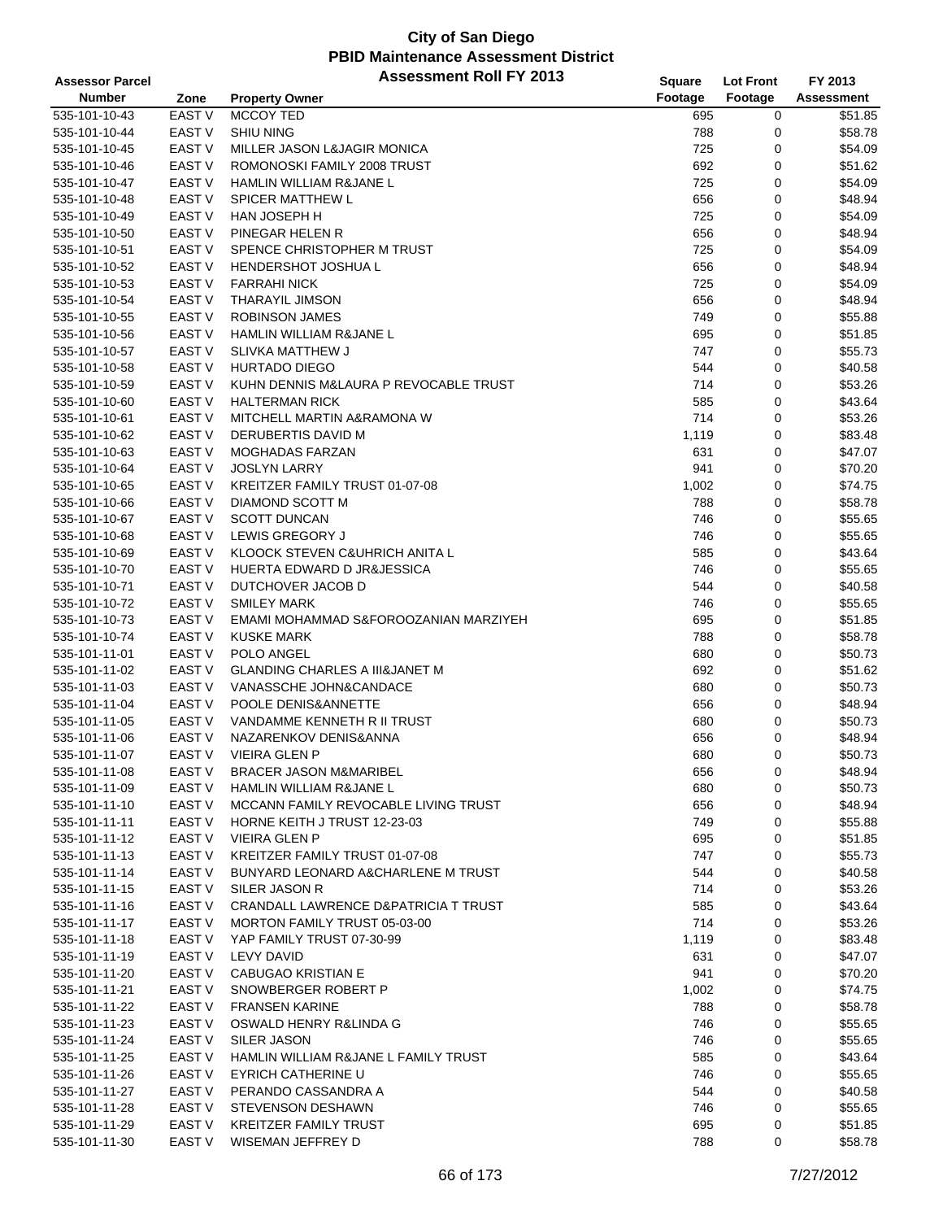| <b>Assessor Parcel</b> |               | <b>Assessment Roll FY 2013</b>                | Square  | <b>Lot Front</b> | FY 2013           |
|------------------------|---------------|-----------------------------------------------|---------|------------------|-------------------|
| <b>Number</b>          | Zone          | <b>Property Owner</b>                         | Footage | Footage          | <b>Assessment</b> |
| 535-101-10-43          | <b>EAST V</b> | MCCOY TED                                     | 695     | 0                | \$51.85           |
| 535-101-10-44          | <b>EAST V</b> | <b>SHIU NING</b>                              | 788     | 0                | \$58.78           |
| 535-101-10-45          | <b>EAST V</b> | MILLER JASON L&JAGIR MONICA                   | 725     | 0                | \$54.09           |
| 535-101-10-46          | <b>EAST V</b> | ROMONOSKI FAMILY 2008 TRUST                   | 692     | 0                | \$51.62           |
| 535-101-10-47          | <b>EAST V</b> | HAMLIN WILLIAM R&JANE L                       | 725     | 0                | \$54.09           |
| 535-101-10-48          | <b>EAST V</b> | <b>SPICER MATTHEW L</b>                       | 656     | 0                | \$48.94           |
| 535-101-10-49          | EAST V        | HAN JOSEPH H                                  | 725     | 0                | \$54.09           |
| 535-101-10-50          | EAST V        | PINEGAR HELEN R                               | 656     | 0                | \$48.94           |
| 535-101-10-51          | EAST V        | SPENCE CHRISTOPHER M TRUST                    | 725     | 0                | \$54.09           |
| 535-101-10-52          | EAST V        | <b>HENDERSHOT JOSHUA L</b>                    |         | 0                | \$48.94           |
|                        |               |                                               | 656     |                  |                   |
| 535-101-10-53          | EAST V        | <b>FARRAHI NICK</b>                           | 725     | 0                | \$54.09           |
| 535-101-10-54          | EAST V        | <b>THARAYIL JIMSON</b>                        | 656     | 0                | \$48.94           |
| 535-101-10-55          | <b>EAST V</b> | <b>ROBINSON JAMES</b>                         | 749     | 0                | \$55.88           |
| 535-101-10-56          | EAST V        | HAMLIN WILLIAM R&JANE L                       | 695     | 0                | \$51.85           |
| 535-101-10-57          | EAST V        | SLIVKA MATTHEW J                              | 747     | 0                | \$55.73           |
| 535-101-10-58          | <b>EAST V</b> | <b>HURTADO DIEGO</b>                          | 544     | 0                | \$40.58           |
| 535-101-10-59          | EAST V        | KUHN DENNIS M&LAURA P REVOCABLE TRUST         | 714     | 0                | \$53.26           |
| 535-101-10-60          | EAST V        | <b>HALTERMAN RICK</b>                         | 585     | 0                | \$43.64           |
| 535-101-10-61          | EAST V        | MITCHELL MARTIN A&RAMONA W                    | 714     | 0                | \$53.26           |
| 535-101-10-62          | EAST V        | DERUBERTIS DAVID M                            | 1,119   | 0                | \$83.48           |
| 535-101-10-63          | EAST V        | <b>MOGHADAS FARZAN</b>                        | 631     | 0                | \$47.07           |
| 535-101-10-64          | EAST V        | <b>JOSLYN LARRY</b>                           | 941     | 0                | \$70.20           |
| 535-101-10-65          | EAST V        | KREITZER FAMILY TRUST 01-07-08                | 1,002   | 0                | \$74.75           |
| 535-101-10-66          | <b>EAST V</b> | DIAMOND SCOTT M                               | 788     | 0                | \$58.78           |
| 535-101-10-67          | EAST V        | <b>SCOTT DUNCAN</b>                           | 746     | 0                | \$55.65           |
| 535-101-10-68          | EAST V        | LEWIS GREGORY J                               | 746     | 0                | \$55.65           |
| 535-101-10-69          | <b>EAST V</b> | KLOOCK STEVEN C&UHRICH ANITA L                | 585     | 0                | \$43.64           |
| 535-101-10-70          | EAST V        | HUERTA EDWARD D JR&JESSICA                    | 746     | 0                | \$55.65           |
| 535-101-10-71          | EAST V        | DUTCHOVER JACOB D                             | 544     | 0                | \$40.58           |
| 535-101-10-72          | EAST V        | <b>SMILEY MARK</b>                            | 746     | 0                | \$55.65           |
| 535-101-10-73          | <b>EAST V</b> | EMAMI MOHAMMAD S&FOROOZANIAN MARZIYEH         | 695     | 0                | \$51.85           |
| 535-101-10-74          | <b>EAST V</b> | <b>KUSKE MARK</b>                             | 788     | 0                | \$58.78           |
| 535-101-11-01          | EAST V        | POLO ANGEL                                    | 680     | 0                | \$50.73           |
| 535-101-11-02          | EAST V        | <b>GLANDING CHARLES A III&amp;JANET M</b>     | 692     | 0                | \$51.62           |
| 535-101-11-03          | <b>EAST V</b> | VANASSCHE JOHN&CANDACE                        | 680     | 0                | \$50.73           |
| 535-101-11-04          | EAST V        | POOLE DENIS&ANNETTE                           | 656     | 0                | \$48.94           |
| 535-101-11-05          | EAST V        | VANDAMME KENNETH R II TRUST                   | 680     | $\mathbf 0$      | \$50.73           |
| 535-101-11-06          | EAST V        | NAZARENKOV DENIS&ANNA                         | 656     | 0                | \$48.94           |
| 535-101-11-07          | <b>EAST V</b> | <b>VIEIRA GLEN P</b>                          | 680     | $\mathbf 0$      | \$50.73           |
|                        | <b>EAST V</b> |                                               |         |                  |                   |
| 535-101-11-08          |               | <b>BRACER JASON M&amp;MARIBEL</b>             | 656     | 0                | \$48.94           |
| 535-101-11-09          | EAST V        | HAMLIN WILLIAM R&JANE L                       | 680     | 0                | \$50.73           |
| 535-101-11-10          | EAST V        | MCCANN FAMILY REVOCABLE LIVING TRUST          | 656     | 0                | \$48.94           |
| 535-101-11-11          | EAST V        | HORNE KEITH J TRUST 12-23-03                  | 749     | 0                | \$55.88           |
| 535-101-11-12          | EAST V        | <b>VIEIRA GLEN P</b>                          | 695     | 0                | \$51.85           |
| 535-101-11-13          | EAST V        | KREITZER FAMILY TRUST 01-07-08                | 747     | 0                | \$55.73           |
| 535-101-11-14          | EAST V        | <b>BUNYARD LEONARD A&amp;CHARLENE M TRUST</b> | 544     | 0                | \$40.58           |
| 535-101-11-15          | EAST V        | SILER JASON R                                 | 714     | 0                | \$53.26           |
| 535-101-11-16          | EAST V        | CRANDALL LAWRENCE D&PATRICIA T TRUST          | 585     | 0                | \$43.64           |
| 535-101-11-17          | EAST V        | MORTON FAMILY TRUST 05-03-00                  | 714     | 0                | \$53.26           |
| 535-101-11-18          | EAST V        | YAP FAMILY TRUST 07-30-99                     | 1,119   | 0                | \$83.48           |
| 535-101-11-19          | EAST V        | LEVY DAVID                                    | 631     | 0                | \$47.07           |
| 535-101-11-20          | EAST V        | <b>CABUGAO KRISTIAN E</b>                     | 941     | 0                | \$70.20           |
| 535-101-11-21          | EAST V        | SNOWBERGER ROBERT P                           | 1,002   | 0                | \$74.75           |
| 535-101-11-22          | EAST V        | <b>FRANSEN KARINE</b>                         | 788     | 0                | \$58.78           |
| 535-101-11-23          | EAST V        | OSWALD HENRY R&LINDA G                        | 746     | 0                | \$55.65           |
| 535-101-11-24          | EAST V        | SILER JASON                                   | 746     | 0                | \$55.65           |
| 535-101-11-25          | EAST V        | HAMLIN WILLIAM R&JANE L FAMILY TRUST          | 585     | 0                | \$43.64           |
| 535-101-11-26          | EAST V        | <b>EYRICH CATHERINE U</b>                     | 746     | 0                | \$55.65           |
| 535-101-11-27          | EAST V        | PERANDO CASSANDRA A                           | 544     | 0                | \$40.58           |
| 535-101-11-28          | EAST V        | <b>STEVENSON DESHAWN</b>                      | 746     | 0                | \$55.65           |
| 535-101-11-29          | EAST V        | <b>KREITZER FAMILY TRUST</b>                  | 695     | 0                | \$51.85           |
| 535-101-11-30          | EAST V        | WISEMAN JEFFREY D                             | 788     | 0                | \$58.78           |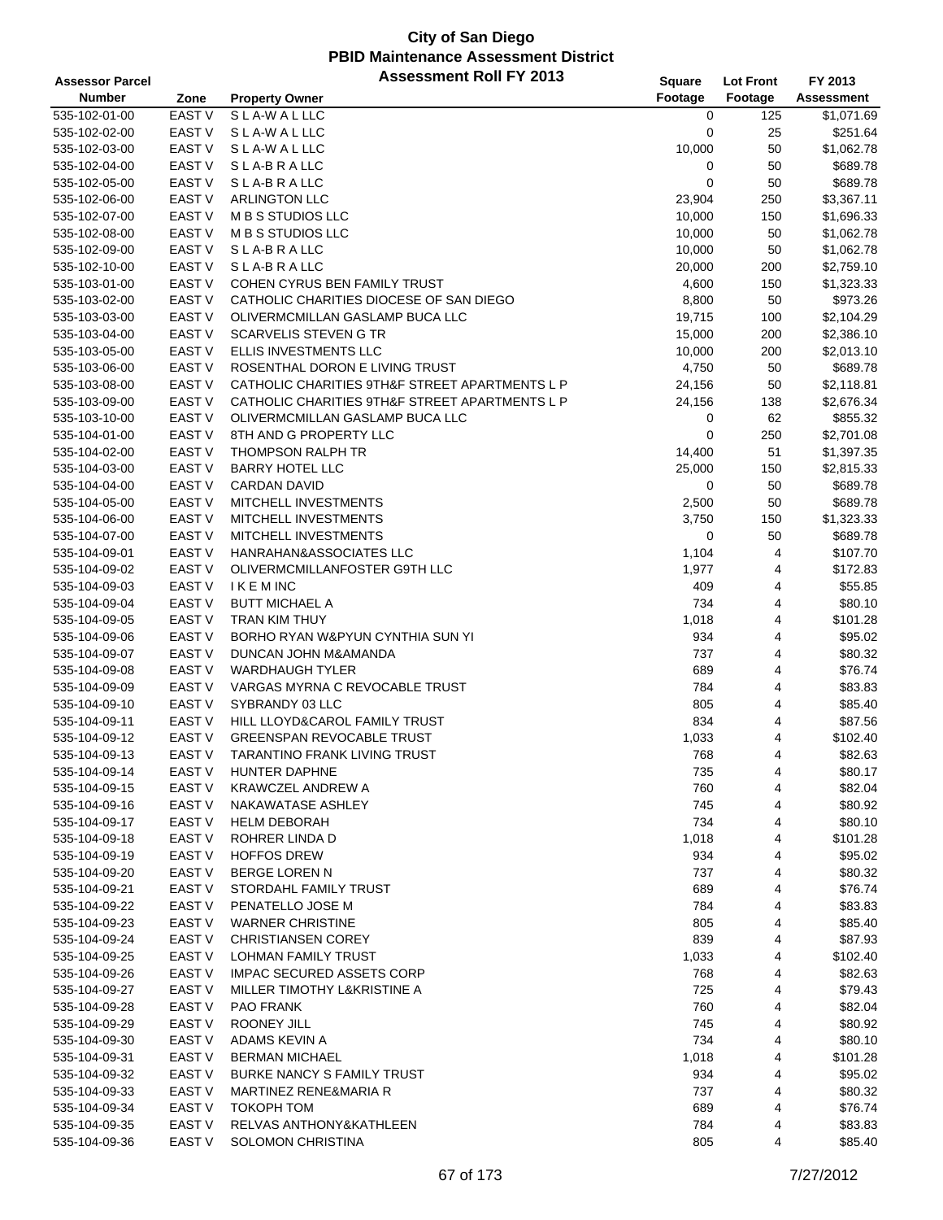| <b>Assessor Parcel</b> |                   | <b>Assessment Roll FY 2013</b>                 | Square  | <b>Lot Front</b> | FY 2013           |
|------------------------|-------------------|------------------------------------------------|---------|------------------|-------------------|
| <b>Number</b>          | Zone              | <b>Property Owner</b>                          | Footage | Footage          | <b>Assessment</b> |
| 535-102-01-00          | <b>EAST V</b>     | SLA-WALLLC                                     | 0       | 125              | \$1,071.69        |
| 535-102-02-00          | EAST V            | SLA-WALLLC                                     | 0       | 25               | \$251.64          |
| 535-102-03-00          | <b>EAST V</b>     | SLA-WALLLC                                     | 10,000  | 50               | \$1,062.78        |
| 535-102-04-00          | <b>EAST V</b>     | SLA-BRALLC                                     | 0       | 50               | \$689.78          |
| 535-102-05-00          | <b>EAST V</b>     | SLA-BRALLC                                     | 0       | 50               | \$689.78          |
| 535-102-06-00          | EAST <sub>V</sub> | <b>ARLINGTON LLC</b>                           | 23,904  | 250              | \$3,367.11        |
| 535-102-07-00          | <b>EAST V</b>     | M B S STUDIOS LLC                              | 10,000  | 150              | \$1,696.33        |
| 535-102-08-00          | <b>EAST V</b>     | M B S STUDIOS LLC                              | 10,000  | 50               | \$1,062.78        |
| 535-102-09-00          | <b>EAST V</b>     | SLA-BRALLC                                     | 10,000  | 50               | \$1,062.78        |
| 535-102-10-00          | <b>EAST V</b>     | SLA-BRALLC                                     | 20,000  | 200              | \$2,759.10        |
| 535-103-01-00          | <b>EAST V</b>     | COHEN CYRUS BEN FAMILY TRUST                   | 4,600   | 150              | \$1,323.33        |
| 535-103-02-00          | <b>EAST V</b>     | CATHOLIC CHARITIES DIOCESE OF SAN DIEGO        | 8,800   | 50               | \$973.26          |
| 535-103-03-00          | <b>EAST V</b>     | OLIVERMCMILLAN GASLAMP BUCA LLC                | 19,715  | 100              | \$2,104.29        |
| 535-103-04-00          | <b>EAST V</b>     | <b>SCARVELIS STEVEN G TR</b>                   | 15,000  | 200              | \$2,386.10        |
| 535-103-05-00          | <b>EAST V</b>     | ELLIS INVESTMENTS LLC                          | 10,000  | 200              | \$2,013.10        |
| 535-103-06-00          | EAST <sub>V</sub> | ROSENTHAL DORON E LIVING TRUST                 | 4,750   | 50               | \$689.78          |
| 535-103-08-00          | <b>EAST V</b>     | CATHOLIC CHARITIES 9TH&F STREET APARTMENTS L P | 24,156  | 50               | \$2,118.81        |
| 535-103-09-00          | EAST V            | CATHOLIC CHARITIES 9TH&F STREET APARTMENTS L P | 24,156  | 138              | \$2,676.34        |
| 535-103-10-00          | <b>EAST V</b>     | OLIVERMCMILLAN GASLAMP BUCA LLC                | 0       | 62               | \$855.32          |
| 535-104-01-00          | <b>EAST V</b>     | 8TH AND G PROPERTY LLC                         | 0       | 250              | \$2,701.08        |
| 535-104-02-00          | <b>EAST V</b>     | <b>THOMPSON RALPH TR</b>                       | 14,400  | 51               | \$1,397.35        |
| 535-104-03-00          | <b>EAST V</b>     | <b>BARRY HOTEL LLC</b>                         | 25,000  | 150              | \$2,815.33        |
| 535-104-04-00          | <b>EAST V</b>     | <b>CARDAN DAVID</b>                            | 0       | 50               | \$689.78          |
| 535-104-05-00          | EAST V            | MITCHELL INVESTMENTS                           | 2,500   | 50               | \$689.78          |
| 535-104-06-00          | <b>EAST V</b>     | MITCHELL INVESTMENTS                           | 3,750   | 150              | \$1,323.33        |
| 535-104-07-00          | <b>EAST V</b>     | MITCHELL INVESTMENTS                           | 0       | 50               | \$689.78          |
| 535-104-09-01          | EAST <sub>V</sub> | HANRAHAN&ASSOCIATES LLC                        | 1,104   | 4                | \$107.70          |
| 535-104-09-02          | <b>EAST V</b>     | OLIVERMCMILLANFOSTER G9TH LLC                  | 1,977   | 4                | \$172.83          |
| 535-104-09-03          | EAST V            | <b>IKEMINC</b>                                 | 409     | 4                | \$55.85           |
| 535-104-09-04          | EAST <sub>V</sub> | <b>BUTT MICHAEL A</b>                          | 734     | 4                | \$80.10           |
| 535-104-09-05          | <b>EAST V</b>     | TRAN KIM THUY                                  | 1,018   | 4                | \$101.28          |
| 535-104-09-06          | <b>EAST V</b>     | BORHO RYAN W&PYUN CYNTHIA SUN YI               | 934     | 4                | \$95.02           |
| 535-104-09-07          | EAST <sub>V</sub> | DUNCAN JOHN M&AMANDA                           | 737     | 4                | \$80.32           |
| 535-104-09-08          | <b>EAST V</b>     | <b>WARDHAUGH TYLER</b>                         | 689     | 4                | \$76.74           |
| 535-104-09-09          | EAST V            | VARGAS MYRNA C REVOCABLE TRUST                 | 784     | 4                | \$83.83           |
| 535-104-09-10          | EAST V            | SYBRANDY 03 LLC                                | 805     | 4                | \$85.40           |
| 535-104-09-11          | <b>EAST V</b>     | HILL LLOYD&CAROL FAMILY TRUST                  | 834     | 4                | \$87.56           |
| 535-104-09-12          | <b>EAST V</b>     | <b>GREENSPAN REVOCABLE TRUST</b>               | 1,033   | 4                | \$102.40          |
| 535-104-09-13          | <b>EAST V</b>     | TARANTINO FRANK LIVING TRUST                   | 768     | $\overline{4}$   | \$82.63           |
| 535-104-09-14          | EAST V            | HUNTER DAPHNE                                  | 735     | 4                | \$80.17           |
| 535-104-09-15          | EAST V            | <b>KRAWCZEL ANDREW A</b>                       | 760     | 4                | \$82.04           |
| 535-104-09-16          | <b>EAST V</b>     | NAKAWATASE ASHLEY                              | 745     | 4                | \$80.92           |
| 535-104-09-17          | <b>EAST V</b>     | <b>HELM DEBORAH</b>                            | 734     | 4                | \$80.10           |
| 535-104-09-18          | EAST <sub>V</sub> | <b>ROHRER LINDA D</b>                          | 1,018   | 4                | \$101.28          |
| 535-104-09-19          | EAST <sub>V</sub> | <b>HOFFOS DREW</b>                             | 934     | 4                | \$95.02           |
| 535-104-09-20          | EAST V            | <b>BERGE LOREN N</b>                           | 737     | 4                | \$80.32           |
| 535-104-09-21          | EAST V            | STORDAHL FAMILY TRUST                          | 689     | 4                | \$76.74           |
| 535-104-09-22          | <b>EAST V</b>     | PENATELLO JOSE M                               | 784     | 4                | \$83.83           |
| 535-104-09-23          | EAST <sub>V</sub> | <b>WARNER CHRISTINE</b>                        | 805     | 4                | \$85.40           |
| 535-104-09-24          | EAST V            | <b>CHRISTIANSEN COREY</b>                      | 839     | 4                | \$87.93           |
| 535-104-09-25          | EAST <sub>V</sub> | <b>LOHMAN FAMILY TRUST</b>                     | 1,033   | 4                | \$102.40          |
| 535-104-09-26          | EAST V            | <b>IMPAC SECURED ASSETS CORP</b>               | 768     | 4                | \$82.63           |
| 535-104-09-27          | <b>EAST V</b>     | MILLER TIMOTHY L&KRISTINE A                    | 725     | 4                | \$79.43           |
| 535-104-09-28          | EAST V            | <b>PAO FRANK</b>                               | 760     | 4                | \$82.04           |
| 535-104-09-29          | EAST <sub>V</sub> | ROONEY JILL                                    | 745     | 4                | \$80.92           |
| 535-104-09-30          | EAST <sub>V</sub> | ADAMS KEVIN A                                  | 734     | 4                | \$80.10           |
| 535-104-09-31          | EAST V            | <b>BERMAN MICHAEL</b>                          | 1,018   | 4                | \$101.28          |
| 535-104-09-32          | EAST <sub>V</sub> | <b>BURKE NANCY S FAMILY TRUST</b>              | 934     | 4                | \$95.02           |
| 535-104-09-33          | <b>EAST V</b>     | <b>MARTINEZ RENE&amp;MARIA R</b>               | 737     | 4                | \$80.32           |
| 535-104-09-34          | EAST V            | <b>TOKOPH TOM</b>                              | 689     | 4                | \$76.74           |
| 535-104-09-35          | <b>EAST V</b>     | RELVAS ANTHONY&KATHLEEN                        | 784     | 4                | \$83.83           |
| 535-104-09-36          | EAST <sub>V</sub> | SOLOMON CHRISTINA                              | 805     | 4                | \$85.40           |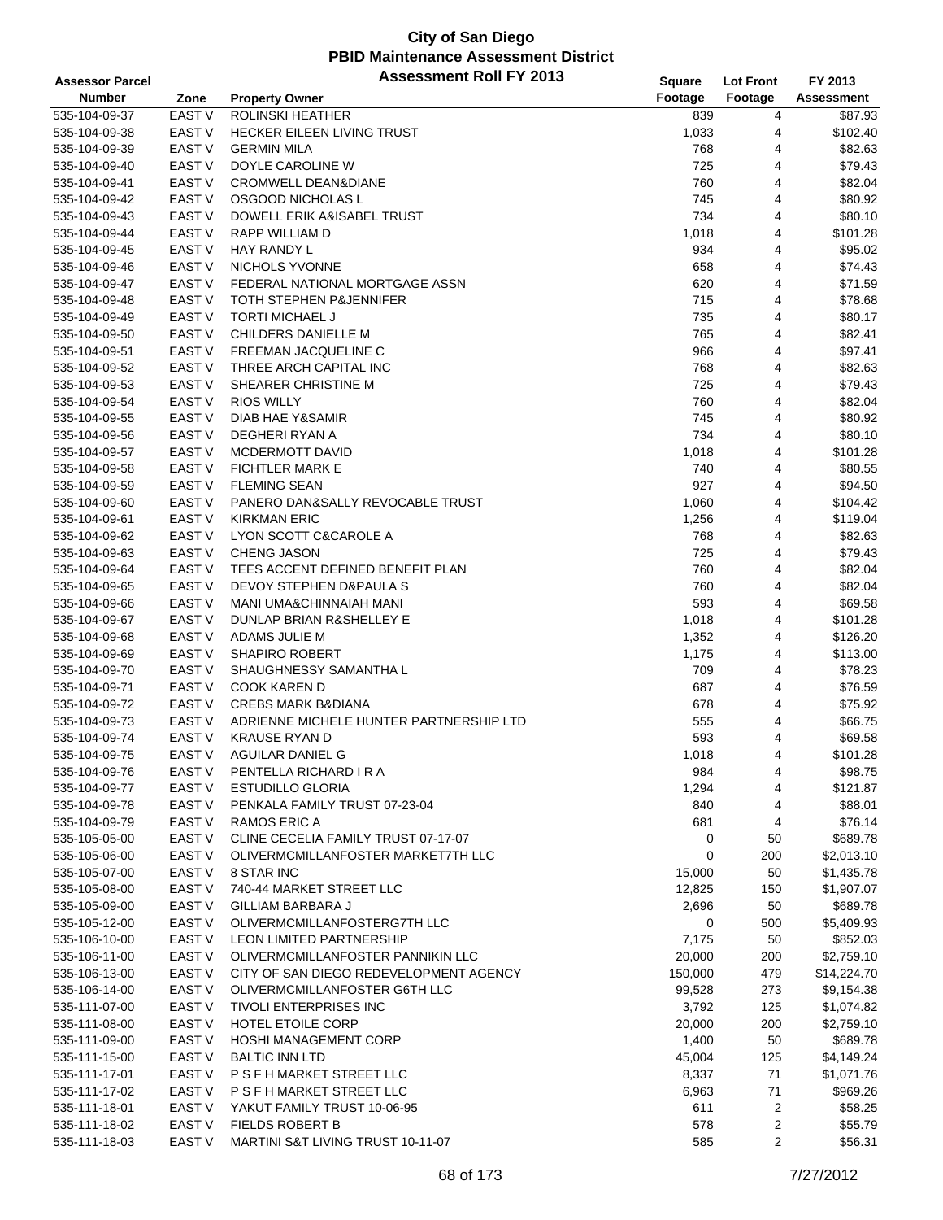| <b>Assessor Parcel</b>         |                             | <b>Assessment Roll FY 2013</b>                                              | Square            | <b>Lot Front</b> | FY 2013                   |
|--------------------------------|-----------------------------|-----------------------------------------------------------------------------|-------------------|------------------|---------------------------|
| <b>Number</b>                  | Zone                        | <b>Property Owner</b>                                                       | Footage           | Footage          | <b>Assessment</b>         |
| 535-104-09-37                  | <b>EAST V</b>               | ROLINSKI HEATHER                                                            | 839               | 4                | \$87.93                   |
| 535-104-09-38                  | <b>EAST V</b>               | <b>HECKER EILEEN LIVING TRUST</b>                                           | 1,033             | 4                | \$102.40                  |
| 535-104-09-39                  | <b>EAST V</b>               | <b>GERMIN MILA</b>                                                          | 768               | 4                | \$82.63                   |
| 535-104-09-40                  | <b>EAST V</b>               | DOYLE CAROLINE W                                                            | 725               | 4                | \$79.43                   |
| 535-104-09-41                  | EAST <sub>V</sub>           | <b>CROMWELL DEAN&amp;DIANE</b>                                              | 760               | 4                | \$82.04                   |
| 535-104-09-42                  | <b>EAST V</b>               | OSGOOD NICHOLAS L                                                           | 745               | 4                | \$80.92                   |
| 535-104-09-43                  | <b>EAST V</b>               | DOWELL ERIK A&ISABEL TRUST                                                  | 734               | 4                | \$80.10                   |
| 535-104-09-44                  | <b>EAST V</b>               | <b>RAPP WILLIAM D</b>                                                       | 1,018             | 4                | \$101.28                  |
| 535-104-09-45                  | <b>EAST V</b>               | <b>HAY RANDY L</b>                                                          | 934               | 4                | \$95.02                   |
| 535-104-09-46                  | <b>EAST V</b>               | NICHOLS YVONNE                                                              | 658               | 4                | \$74.43                   |
| 535-104-09-47                  | <b>EAST V</b>               | FEDERAL NATIONAL MORTGAGE ASSN                                              | 620               | 4                | \$71.59                   |
| 535-104-09-48                  | <b>EAST V</b>               | TOTH STEPHEN P&JENNIFER                                                     | 715               | 4                | \$78.68                   |
| 535-104-09-49                  | EAST V                      | <b>TORTI MICHAEL J</b>                                                      | 735               | 4                | \$80.17                   |
| 535-104-09-50                  | <b>EAST V</b>               | CHILDERS DANIELLE M                                                         | 765               | 4                | \$82.41                   |
| 535-104-09-51                  | <b>EAST V</b>               | <b>FREEMAN JACQUELINE C</b>                                                 | 966               | 4                | \$97.41                   |
| 535-104-09-52                  | EAST <sub>V</sub>           | THREE ARCH CAPITAL INC                                                      | 768               | 4                | \$82.63                   |
| 535-104-09-53                  | <b>EAST V</b>               | SHEARER CHRISTINE M                                                         | 725               | 4                | \$79.43                   |
| 535-104-09-54                  | <b>EAST V</b>               | <b>RIOS WILLY</b>                                                           | 760               | 4                | \$82.04                   |
| 535-104-09-55                  | <b>EAST V</b>               | <b>DIAB HAE Y&amp;SAMIR</b>                                                 | 745               | 4                | \$80.92                   |
| 535-104-09-56                  | <b>EAST V</b>               | DEGHERI RYAN A                                                              | 734               | 4                | \$80.10                   |
| 535-104-09-57                  | <b>EAST V</b>               | <b>MCDERMOTT DAVID</b>                                                      | 1,018             | 4                | \$101.28                  |
| 535-104-09-58                  | <b>EAST V</b>               | <b>FICHTLER MARK E</b>                                                      | 740               | 4                | \$80.55                   |
| 535-104-09-59                  | <b>EAST V</b>               | <b>FLEMING SEAN</b>                                                         | 927               | 4                | \$94.50                   |
| 535-104-09-60                  | EAST <sub>V</sub>           | PANERO DAN&SALLY REVOCABLE TRUST                                            | 1,060             | 4                | \$104.42                  |
| 535-104-09-61                  | <b>EAST V</b>               | <b>KIRKMAN ERIC</b>                                                         | 1,256             | 4                | \$119.04                  |
| 535-104-09-62                  | <b>EAST V</b>               | LYON SCOTT C&CAROLE A                                                       | 768               | 4                | \$82.63                   |
| 535-104-09-63                  | EAST <sub>V</sub>           | <b>CHENG JASON</b>                                                          | 725               | 4                | \$79.43                   |
| 535-104-09-64                  | <b>EAST V</b>               | TEES ACCENT DEFINED BENEFIT PLAN                                            | 760               | 4                | \$82.04                   |
| 535-104-09-65                  | <b>EAST V</b>               | DEVOY STEPHEN D&PAULA S                                                     | 760               | 4                | \$82.04                   |
| 535-104-09-66                  | <b>EAST V</b>               | MANI UMA&CHINNAIAH MANI                                                     | 593               | 4                | \$69.58                   |
| 535-104-09-67                  | <b>EAST V</b>               | DUNLAP BRIAN R&SHELLEY E                                                    | 1,018             | 4                | \$101.28                  |
| 535-104-09-68                  | <b>EAST V</b>               | ADAMS JULIE M                                                               | 1,352             | 4                | \$126.20                  |
| 535-104-09-69                  | <b>EAST V</b>               | <b>SHAPIRO ROBERT</b>                                                       | 1,175             | 4                | \$113.00                  |
| 535-104-09-70                  | EAST V                      | SHAUGHNESSY SAMANTHA L                                                      | 709               | 4                | \$78.23                   |
| 535-104-09-71                  | <b>EAST V</b>               | <b>COOK KAREN D</b>                                                         | 687               | 4                | \$76.59                   |
| 535-104-09-72                  | EAST V                      | <b>CREBS MARK B&amp;DIANA</b>                                               | 678               | 4                | \$75.92                   |
| 535-104-09-73                  | EAST <sub>V</sub>           | ADRIENNE MICHELE HUNTER PARTNERSHIP LTD                                     | 555               | 4                | \$66.75                   |
| 535-104-09-74                  | EAST <sub>V</sub>           | <b>KRAUSE RYAN D</b>                                                        | 593               | 4                | \$69.58                   |
| 535-104-09-75                  | <b>EAST V</b>               | AGUILAR DANIEL G                                                            | 1,018             | 4                | \$101.28                  |
| 535-104-09-76                  | EAST V                      | PENTELLA RICHARD I R A                                                      | 984               | 4                | \$98.75                   |
| 535-104-09-77                  | EAST V                      | <b>ESTUDILLO GLORIA</b>                                                     | 1,294             | 4                | \$121.87                  |
| 535-104-09-78                  | EAST V                      | PENKALA FAMILY TRUST 07-23-04                                               | 840               | 4                | \$88.01                   |
| 535-104-09-79                  | <b>EAST V</b>               | RAMOS ERIC A                                                                | 681               | 4                | \$76.14                   |
| 535-105-05-00                  | EAST <sub>V</sub>           | CLINE CECELIA FAMILY TRUST 07-17-07                                         | 0                 | 50               | \$689.78                  |
| 535-105-06-00                  | EAST V                      | OLIVERMCMILLANFOSTER MARKET7TH LLC                                          | 0                 | 200              | \$2,013.10                |
| 535-105-07-00                  | EAST V                      | 8 STAR INC                                                                  | 15,000            | 50               | \$1,435.78                |
| 535-105-08-00                  | EAST V                      | 740-44 MARKET STREET LLC                                                    | 12,825            | 150              | \$1,907.07                |
| 535-105-09-00                  | EAST <sub>V</sub>           | GILLIAM BARBARA J                                                           | 2,696             | 50               | \$689.78                  |
| 535-105-12-00                  | EAST V<br><b>EAST V</b>     | OLIVERMCMILLANFOSTERG7TH LLC                                                | 0                 | 500              | \$5,409.93                |
| 535-106-10-00                  |                             | <b>LEON LIMITED PARTNERSHIP</b>                                             | 7,175             | 50               | \$852.03                  |
| 535-106-11-00                  | <b>EAST V</b>               | OLIVERMCMILLANFOSTER PANNIKIN LLC<br>CITY OF SAN DIEGO REDEVELOPMENT AGENCY | 20,000            | 200              | \$2,759.10                |
| 535-106-13-00                  | EAST V<br>EAST <sub>V</sub> | OLIVERMCMILLANFOSTER G6TH LLC                                               | 150,000<br>99,528 | 479<br>273       | \$14,224.70<br>\$9,154.38 |
| 535-106-14-00<br>535-111-07-00 | EAST V                      | <b>TIVOLI ENTERPRISES INC</b>                                               | 3,792             | 125              | \$1,074.82                |
| 535-111-08-00                  | EAST V                      | HOTEL ETOILE CORP                                                           | 20,000            | 200              | \$2,759.10                |
| 535-111-09-00                  | EAST <sub>V</sub>           | <b>HOSHI MANAGEMENT CORP</b>                                                | 1,400             |                  | \$689.78                  |
| 535-111-15-00                  | EAST <sub>V</sub>           | <b>BALTIC INN LTD</b>                                                       | 45,004            | 50<br>125        | \$4,149.24                |
| 535-111-17-01                  | EAST <sub>V</sub>           | P S F H MARKET STREET LLC                                                   | 8,337             | 71               | \$1,071.76                |
| 535-111-17-02                  | EAST V                      | P S F H MARKET STREET LLC                                                   | 6,963             | 71               | \$969.26                  |
|                                | EAST V                      | YAKUT FAMILY TRUST 10-06-95                                                 |                   |                  | \$58.25                   |
| 535-111-18-01<br>535-111-18-02 | EAST V                      | FIELDS ROBERT B                                                             | 611<br>578        | 2<br>2           | \$55.79                   |
| 535-111-18-03                  | EAST <sub>V</sub>           | MARTINI S&T LIVING TRUST 10-11-07                                           | 585               | $\overline{2}$   | \$56.31                   |
|                                |                             |                                                                             |                   |                  |                           |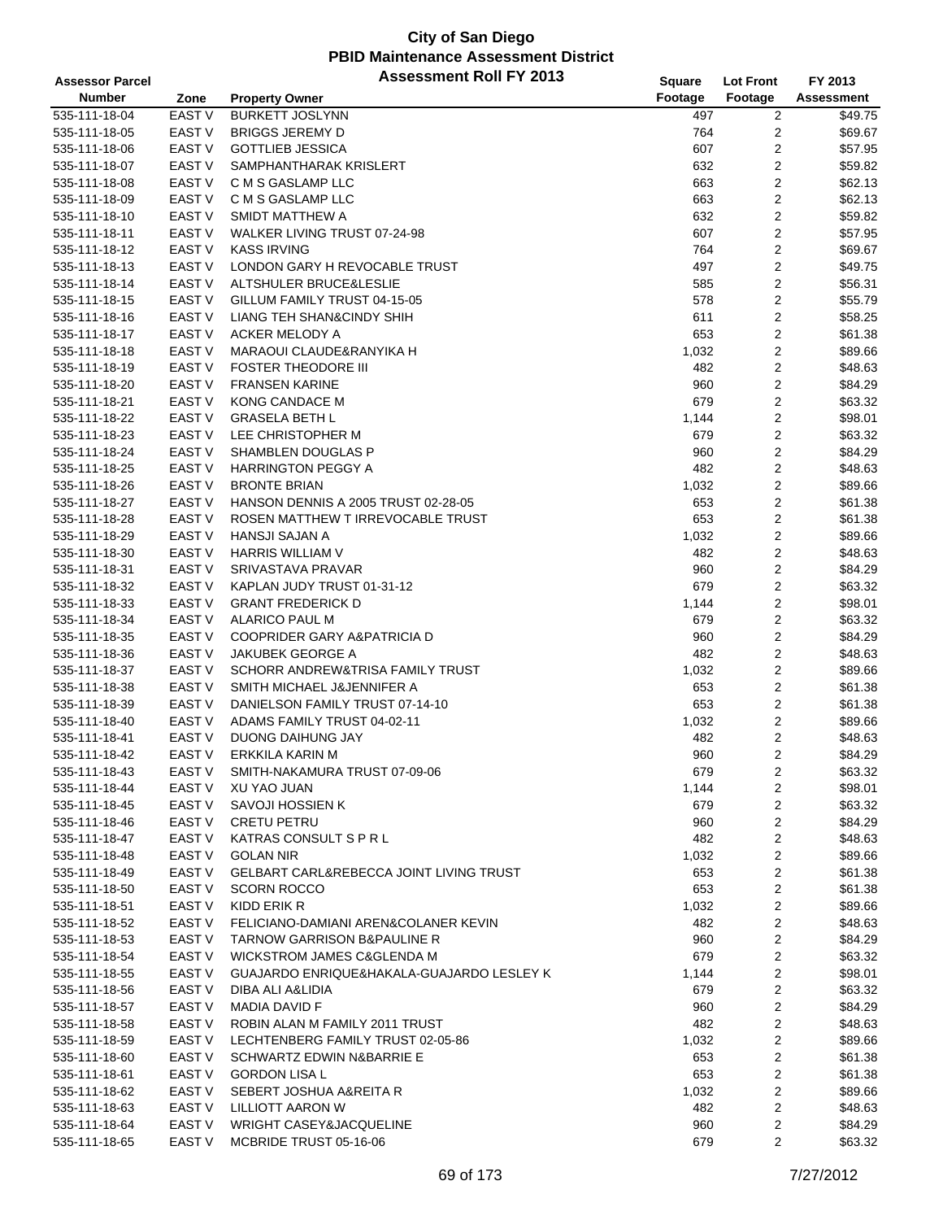| <b>Assessor Parcel</b> |                   | <b>Assessment Roll FY 2013</b>                     | <b>Square</b> | <b>Lot Front</b>        | FY 2013           |
|------------------------|-------------------|----------------------------------------------------|---------------|-------------------------|-------------------|
| <b>Number</b>          | Zone              | <b>Property Owner</b>                              | Footage       | Footage                 | <b>Assessment</b> |
| 535-111-18-04          | EAST V            | <b>BURKETT JOSLYNN</b>                             | 497           | 2                       | \$49.75           |
| 535-111-18-05          | EAST V            | <b>BRIGGS JEREMY D</b>                             | 764           | 2                       | \$69.67           |
| 535-111-18-06          | <b>EAST V</b>     | <b>GOTTLIEB JESSICA</b>                            | 607           | 2                       | \$57.95           |
| 535-111-18-07          | EAST V            | SAMPHANTHARAK KRISLERT                             | 632           | 2                       | \$59.82           |
| 535-111-18-08          | <b>EAST V</b>     | C M S GASLAMP LLC                                  | 663           | 2                       | \$62.13           |
| 535-111-18-09          | <b>EAST V</b>     | C M S GASLAMP LLC                                  | 663           | 2                       | \$62.13           |
| 535-111-18-10          | EAST V            | SMIDT MATTHEW A                                    | 632           | 2                       | \$59.82           |
| 535-111-18-11          | <b>EAST V</b>     | WALKER LIVING TRUST 07-24-98                       | 607           | 2                       | \$57.95           |
| 535-111-18-12          | <b>EAST V</b>     | <b>KASS IRVING</b>                                 | 764           | 2                       | \$69.67           |
| 535-111-18-13          | <b>EAST V</b>     | LONDON GARY H REVOCABLE TRUST                      | 497           | 2                       | \$49.75           |
| 535-111-18-14          | <b>EAST V</b>     | ALTSHULER BRUCE&LESLIE                             | 585           | 2                       | \$56.31           |
| 535-111-18-15          | <b>EAST V</b>     | GILLUM FAMILY TRUST 04-15-05                       | 578           | $\overline{\mathbf{c}}$ | \$55.79           |
| 535-111-18-16          | EAST V            | LIANG TEH SHAN&CINDY SHIH                          | 611           | 2                       | \$58.25           |
| 535-111-18-17          | <b>EAST V</b>     | ACKER MELODY A                                     | 653           | 2                       | \$61.38           |
| 535-111-18-18          | EAST V            | MARAOUI CLAUDE&RANYIKA H                           | 1,032         | 2                       | \$89.66           |
| 535-111-18-19          | EAST V            | <b>FOSTER THEODORE III</b>                         | 482           | 2                       | \$48.63           |
| 535-111-18-20          | <b>EAST V</b>     | <b>FRANSEN KARINE</b>                              | 960           | 2                       | \$84.29           |
| 535-111-18-21          | EAST V            | KONG CANDACE M                                     | 679           | 2                       | \$63.32           |
| 535-111-18-22          | <b>EAST V</b>     | <b>GRASELA BETH L</b>                              | 1,144         | 2                       | \$98.01           |
| 535-111-18-23          | <b>EAST V</b>     | LEE CHRISTOPHER M                                  | 679           | 2                       | \$63.32           |
| 535-111-18-24          | EAST V            | SHAMBLEN DOUGLAS P                                 | 960           | 2                       | \$84.29           |
| 535-111-18-25          | <b>EAST V</b>     | <b>HARRINGTON PEGGY A</b>                          | 482           | $\overline{2}$          | \$48.63           |
| 535-111-18-26          | <b>EAST V</b>     | <b>BRONTE BRIAN</b>                                | 1,032         | $\overline{\mathbf{c}}$ | \$89.66           |
| 535-111-18-27          | EAST V            | HANSON DENNIS A 2005 TRUST 02-28-05                | 653           | 2                       | \$61.38           |
| 535-111-18-28          | <b>EAST V</b>     | ROSEN MATTHEW T IRREVOCABLE TRUST                  | 653           | 2                       | \$61.38           |
| 535-111-18-29          | <b>EAST V</b>     | <b>HANSJI SAJAN A</b>                              | 1,032         | 2                       | \$89.66           |
| 535-111-18-30          | EAST V            | <b>HARRIS WILLIAM V</b>                            | 482           | 2                       | \$48.63           |
| 535-111-18-31          | <b>EAST V</b>     | SRIVASTAVA PRAVAR                                  | 960           | 2                       | \$84.29           |
| 535-111-18-32          | EAST V            | KAPLAN JUDY TRUST 01-31-12                         | 679           | 2                       | \$63.32           |
| 535-111-18-33          | EAST V            | <b>GRANT FREDERICK D</b>                           | 1,144         | 2                       | \$98.01           |
| 535-111-18-34          | EAST V            | ALARICO PAUL M                                     | 679           | 2                       | \$63.32           |
| 535-111-18-35          | EAST V            | COOPRIDER GARY A&PATRICIA D                        | 960           | 2                       | \$84.29           |
| 535-111-18-36          | <b>EAST V</b>     | JAKUBEK GEORGE A                                   | 482           | 2                       | \$48.63           |
| 535-111-18-37          | <b>EAST V</b>     | SCHORR ANDREW&TRISA FAMILY TRUST                   | 1,032         | 2                       | \$89.66           |
| 535-111-18-38          | EAST V            | SMITH MICHAEL J&JENNIFER A                         | 653           | 2                       | \$61.38           |
| 535-111-18-39          | EAST V            | DANIELSON FAMILY TRUST 07-14-10                    | 653           | 2                       | \$61.38           |
| 535-111-18-40          | EAST V            | ADAMS FAMILY TRUST 04-02-11                        | 1,032         | 2                       | \$89.66           |
| 535-111-18-41          | EAST V            | DUONG DAIHUNG JAY                                  | 482           | 2                       | \$48.63           |
| 535-111-18-42          | <b>EAST V</b>     | <b>ERKKILA KARIN M</b>                             | 960           | $\overline{2}$          | \$84.29           |
| 535-111-18-43          | EAST V            | SMITH-NAKAMURA TRUST 07-09-06                      | 679           | 2                       | \$63.32           |
| 535-111-18-44          | EAST V            | XU YAO JUAN                                        | 1,144         | 2                       | \$98.01           |
| 535-111-18-45          | EAST V            | SAVOJI HOSSIEN K                                   | 679           | 2                       | \$63.32           |
| 535-111-18-46          | EAST V            | <b>CRETU PETRU</b>                                 | 960           | 2                       | \$84.29           |
| 535-111-18-47          | EAST V            | KATRAS CONSULT S P R L                             | 482           | 2                       | \$48.63           |
| 535-111-18-48          | EAST V            | <b>GOLAN NIR</b>                                   | 1,032         | 2                       | \$89.66           |
| 535-111-18-49          | EAST V            | <b>GELBART CARL&amp;REBECCA JOINT LIVING TRUST</b> | 653           | 2                       | \$61.38           |
| 535-111-18-50          | EAST V            | <b>SCORN ROCCO</b>                                 | 653           | 2                       | \$61.38           |
| 535-111-18-51          | EAST <sub>V</sub> | KIDD ERIK R                                        | 1,032         | 2                       | \$89.66           |
| 535-111-18-52          | EAST V            | FELICIANO-DAMIANI AREN&COLANER KEVIN               | 482           | 2                       | \$48.63           |
| 535-111-18-53          | EAST V            | <b>TARNOW GARRISON B&amp;PAULINE R</b>             | 960           | 2                       | \$84.29           |
| 535-111-18-54          | EAST V            | WICKSTROM JAMES C&GLENDA M                         | 679           | 2                       | \$63.32           |
| 535-111-18-55          | EAST V            | GUAJARDO ENRIQUE&HAKALA-GUAJARDO LESLEY K          | 1,144         | 2                       | \$98.01           |
| 535-111-18-56          | EAST V            | DIBA ALI A&LIDIA                                   | 679           | 2                       | \$63.32           |
| 535-111-18-57          | EAST V            | MADIA DAVID F                                      | 960           | 2                       | \$84.29           |
| 535-111-18-58          | EAST V            | ROBIN ALAN M FAMILY 2011 TRUST                     | 482           | 2                       | \$48.63           |
| 535-111-18-59          | EAST V            | LECHTENBERG FAMILY TRUST 02-05-86                  | 1,032         | 2                       | \$89.66           |
| 535-111-18-60          | EAST V            | SCHWARTZ EDWIN N&BARRIE E                          | 653           | 2                       | \$61.38           |
| 535-111-18-61          | EAST V            | <b>GORDON LISA L</b>                               | 653           | 2                       | \$61.38           |
| 535-111-18-62          | EAST V            | SEBERT JOSHUA A&REITA R                            | 1,032         | 2                       | \$89.66           |
| 535-111-18-63          | EAST V            | LILLIOTT AARON W                                   | 482           | 2                       | \$48.63           |
| 535-111-18-64          | EAST V            | <b>WRIGHT CASEY&amp;JACQUELINE</b>                 | 960           | 2                       | \$84.29           |
| 535-111-18-65          | EAST V            | MCBRIDE TRUST 05-16-06                             | 679           | 2                       | \$63.32           |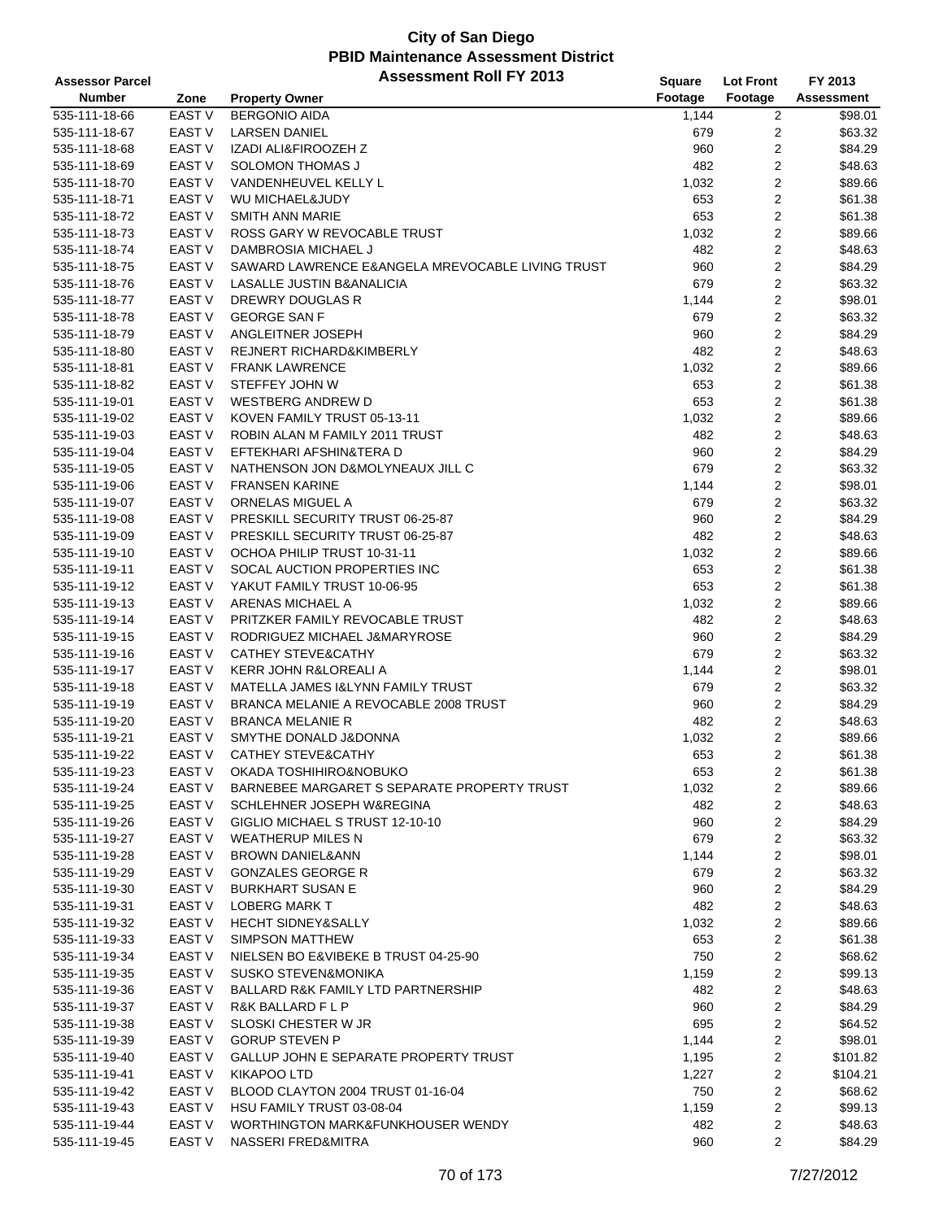| <b>Assessor Parcel</b>         |                   | <b>Assessment Roll FY 2013</b>                   | <b>Square</b> | <b>Lot Front</b>        | FY 2013           |
|--------------------------------|-------------------|--------------------------------------------------|---------------|-------------------------|-------------------|
| <b>Number</b>                  | Zone              | <b>Property Owner</b>                            | Footage       | Footage                 | <b>Assessment</b> |
| 535-111-18-66                  | EAST V            | <b>BERGONIO AIDA</b>                             | 1,144         | $\overline{c}$          | \$98.01           |
| 535-111-18-67                  | EAST V            | <b>LARSEN DANIEL</b>                             | 679           | 2                       | \$63.32           |
| 535-111-18-68                  | <b>EAST V</b>     | IZADI ALI&FIROOZEH Z                             | 960           | 2                       | \$84.29           |
| 535-111-18-69                  | <b>EAST V</b>     | <b>SOLOMON THOMAS J</b>                          | 482           | 2                       | \$48.63           |
| 535-111-18-70                  | <b>EAST V</b>     | VANDENHEUVEL KELLY L                             | 1,032         | $\overline{c}$          | \$89.66           |
| 535-111-18-71                  | <b>EAST V</b>     | WU MICHAEL&JUDY                                  | 653           | $\overline{\mathbf{c}}$ | \$61.38           |
| 535-111-18-72                  | <b>EAST V</b>     | SMITH ANN MARIE                                  | 653           | $\overline{\mathbf{c}}$ | \$61.38           |
| 535-111-18-73                  | <b>EAST V</b>     | ROSS GARY W REVOCABLE TRUST                      | 1,032         | 2                       | \$89.66           |
| 535-111-18-74                  | <b>EAST V</b>     | DAMBROSIA MICHAEL J                              | 482           | 2                       | \$48.63           |
| 535-111-18-75                  | <b>EAST V</b>     | SAWARD LAWRENCE E&ANGELA MREVOCABLE LIVING TRUST | 960           | $\overline{2}$          | \$84.29           |
| 535-111-18-76                  | <b>EAST V</b>     | LASALLE JUSTIN B&ANALICIA                        | 679           | $\boldsymbol{2}$        | \$63.32           |
| 535-111-18-77                  | <b>EAST V</b>     | DREWRY DOUGLAS R                                 | 1,144         | $\overline{\mathbf{c}}$ | \$98.01           |
| 535-111-18-78                  | EAST V            | <b>GEORGE SAN F</b>                              | 679           | $\overline{\mathbf{c}}$ | \$63.32           |
| 535-111-18-79                  | <b>EAST V</b>     | ANGLEITNER JOSEPH                                | 960           | 2                       | \$84.29           |
| 535-111-18-80                  | <b>EAST V</b>     | REJNERT RICHARD&KIMBERLY                         | 482           | 2                       | \$48.63           |
| 535-111-18-81                  | EAST V            | <b>FRANK LAWRENCE</b>                            | 1,032         | 2                       | \$89.66           |
| 535-111-18-82                  | <b>EAST V</b>     | STEFFEY JOHN W                                   | 653           | 2                       | \$61.38           |
| 535-111-19-01                  | <b>EAST V</b>     | <b>WESTBERG ANDREW D</b>                         | 653           | $\overline{\mathbf{c}}$ | \$61.38           |
| 535-111-19-02                  | <b>EAST V</b>     | KOVEN FAMILY TRUST 05-13-11                      | 1,032         | 2                       | \$89.66           |
| 535-111-19-03                  | <b>EAST V</b>     | ROBIN ALAN M FAMILY 2011 TRUST                   | 482           | 2                       | \$48.63           |
| 535-111-19-04                  | <b>EAST V</b>     | EFTEKHARI AFSHIN&TERA D                          | 960           | $\overline{\mathbf{c}}$ | \$84.29           |
| 535-111-19-05                  | <b>EAST V</b>     | NATHENSON JON D&MOLYNEAUX JILL C                 | 679           | $\boldsymbol{2}$        | \$63.32           |
|                                | <b>EAST V</b>     | <b>FRANSEN KARINE</b>                            |               | $\overline{\mathbf{c}}$ | \$98.01           |
| 535-111-19-06<br>535-111-19-07 | <b>EAST V</b>     | ORNELAS MIGUEL A                                 | 1,144<br>679  |                         | \$63.32           |
|                                |                   |                                                  |               | 2                       |                   |
| 535-111-19-08                  | <b>EAST V</b>     | PRESKILL SECURITY TRUST 06-25-87                 | 960           | 2                       | \$84.29           |
| 535-111-19-09                  | <b>EAST V</b>     | PRESKILL SECURITY TRUST 06-25-87                 | 482           | 2                       | \$48.63           |
| 535-111-19-10                  | EAST <sub>V</sub> | OCHOA PHILIP TRUST 10-31-11                      | 1,032         | 2                       | \$89.66           |
| 535-111-19-11                  | <b>EAST V</b>     | SOCAL AUCTION PROPERTIES INC                     | 653           | 2                       | \$61.38           |
| 535-111-19-12                  | <b>EAST V</b>     | YAKUT FAMILY TRUST 10-06-95                      | 653           | $\overline{\mathbf{c}}$ | \$61.38           |
| 535-111-19-13                  | <b>EAST V</b>     | ARENAS MICHAEL A                                 | 1,032         | 2                       | \$89.66           |
| 535-111-19-14                  | <b>EAST V</b>     | PRITZKER FAMILY REVOCABLE TRUST                  | 482           | 2                       | \$48.63           |
| 535-111-19-15                  | <b>EAST V</b>     | RODRIGUEZ MICHAEL J&MARYROSE                     | 960           | $\overline{\mathbf{c}}$ | \$84.29           |
| 535-111-19-16                  | <b>EAST V</b>     | <b>CATHEY STEVE&amp;CATHY</b>                    | 679           | $\boldsymbol{2}$        | \$63.32           |
| 535-111-19-17                  | <b>EAST V</b>     | <b>KERR JOHN R&amp;LOREALI A</b>                 | 1,144         | 2                       | \$98.01           |
| 535-111-19-18                  | <b>EAST V</b>     | MATELLA JAMES I&LYNN FAMILY TRUST                | 679           | 2                       | \$63.32           |
| 535-111-19-19                  | <b>EAST V</b>     | BRANCA MELANIE A REVOCABLE 2008 TRUST            | 960           | 2                       | \$84.29           |
| 535-111-19-20                  | EAST <sub>V</sub> | <b>BRANCA MELANIE R</b>                          | 482           | 2                       | \$48.63           |
| 535-111-19-21                  | EAST <sub>V</sub> | SMYTHE DONALD J&DONNA                            | 1,032         | 2                       | \$89.66           |
| 535-111-19-22                  | <b>EAST V</b>     | <b>CATHEY STEVE&amp;CATHY</b>                    | 653           | $\overline{2}$          | \$61.38           |
| 535-111-19-23                  | EAST V            | OKADA TOSHIHIRO&NOBUKO                           | 653           | 2                       | \$61.38           |
| 535-111-19-24                  | EAST V            | BARNEBEE MARGARET S SEPARATE PROPERTY TRUST      | 1,032         | 2                       | \$89.66           |
| 535-111-19-25                  | EAST V            | SCHLEHNER JOSEPH W&REGINA                        | 482           | 2                       | \$48.63           |
| 535-111-19-26                  | EAST V            | GIGLIO MICHAEL S TRUST 12-10-10                  | 960           | 2                       | \$84.29           |
| 535-111-19-27                  | EAST V            | <b>WEATHERUP MILES N</b>                         | 679           | 2                       | \$63.32           |
| 535-111-19-28                  | EAST V            | <b>BROWN DANIEL&amp;ANN</b>                      | 1,144         | 2                       | \$98.01           |
| 535-111-19-29                  | EAST V            | <b>GONZALES GEORGE R</b>                         | 679           | 2                       | \$63.32           |
| 535-111-19-30                  | EAST V            | <b>BURKHART SUSAN E</b>                          | 960           | 2                       | \$84.29           |
| 535-111-19-31                  | EAST V            | <b>LOBERG MARK T</b>                             | 482           | 2                       | \$48.63           |
| 535-111-19-32                  | EAST V            | HECHT SIDNEY&SALLY                               | 1,032         | 2                       | \$89.66           |
| 535-111-19-33                  | EAST V            | SIMPSON MATTHEW                                  | 653           | 2                       | \$61.38           |
| 535-111-19-34                  | EAST V            | NIELSEN BO E&VIBEKE B TRUST 04-25-90             | 750           | 2                       | \$68.62           |
| 535-111-19-35                  | EAST V            | <b>SUSKO STEVEN&amp;MONIKA</b>                   | 1,159         | 2                       | \$99.13           |
| 535-111-19-36                  | EAST V            | <b>BALLARD R&amp;K FAMILY LTD PARTNERSHIP</b>    | 482           | 2                       | \$48.63           |
| 535-111-19-37                  | EAST V            | R&K BALLARD F L P                                | 960           | 2                       | \$84.29           |
| 535-111-19-38                  | EAST V            | SLOSKI CHESTER W JR                              | 695           | $\overline{2}$          | \$64.52           |
| 535-111-19-39                  | EAST V            | <b>GORUP STEVEN P</b>                            | 1,144         | 2                       | \$98.01           |
| 535-111-19-40                  | EAST V            | GALLUP JOHN E SEPARATE PROPERTY TRUST            | 1,195         | 2                       | \$101.82          |
| 535-111-19-41                  | EAST V            | <b>KIKAPOO LTD</b>                               | 1,227         | 2                       | \$104.21          |
| 535-111-19-42                  | EAST <sub>V</sub> | BLOOD CLAYTON 2004 TRUST 01-16-04                | 750           | 2                       | \$68.62           |
| 535-111-19-43                  | EAST <sub>V</sub> | HSU FAMILY TRUST 03-08-04                        | 1,159         | 2                       | \$99.13           |
| 535-111-19-44                  | EAST V            | WORTHINGTON MARK&FUNKHOUSER WENDY                | 482           | 2                       | \$48.63           |
| 535-111-19-45                  | EAST <sub>V</sub> | NASSERI FRED&MITRA                               | 960           | 2                       | \$84.29           |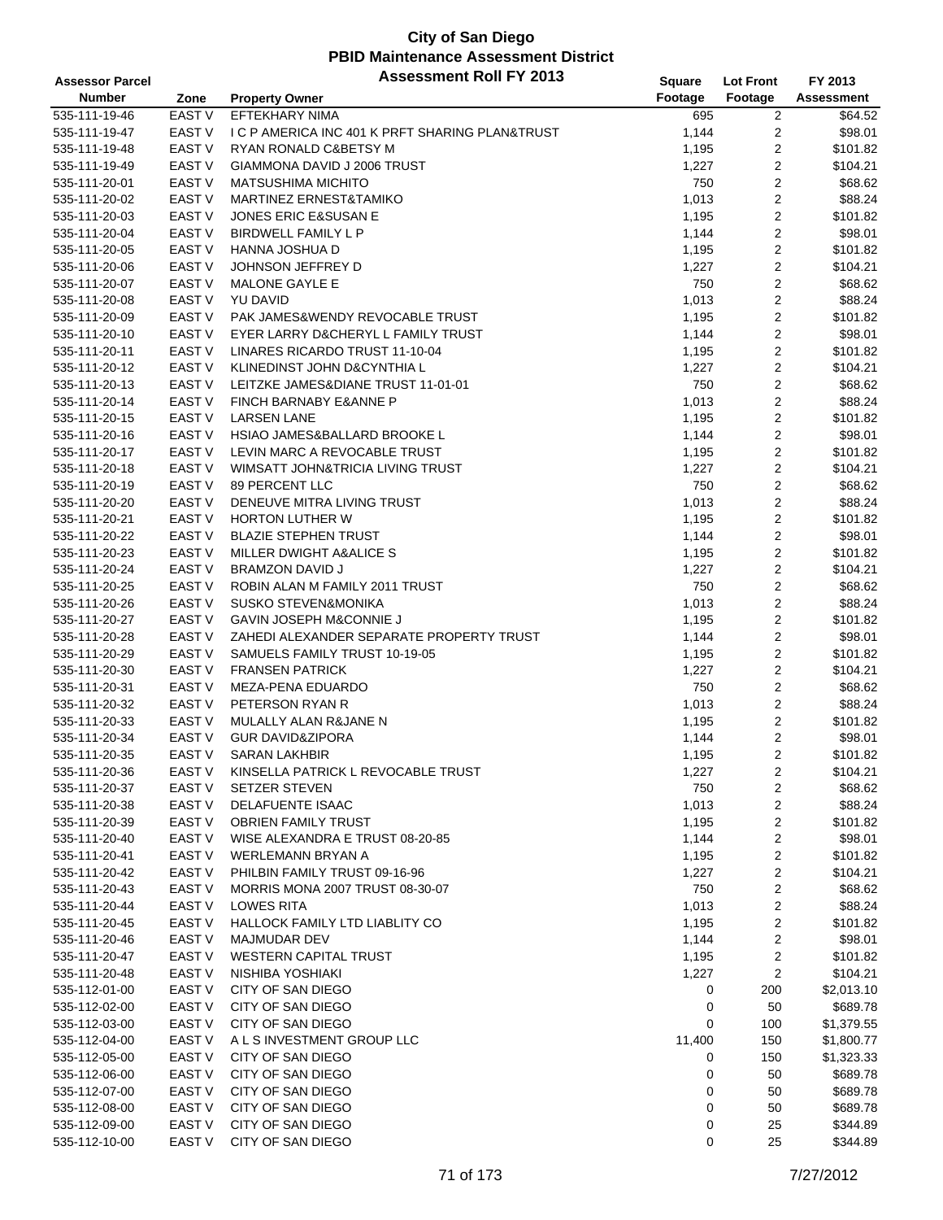| <b>Assessor Parcel</b> |                   | <b>Assessment Roll FY 2013</b>                  | <b>Square</b> | Lot Front        | FY 2013    |
|------------------------|-------------------|-------------------------------------------------|---------------|------------------|------------|
| <b>Number</b>          | Zone              | <b>Property Owner</b>                           | Footage       | Footage          | Assessment |
| 535-111-19-46          | <b>EAST V</b>     | <b>EFTEKHARY NIMA</b>                           | 695           | 2                | \$64.52    |
| 535-111-19-47          | EAST V            | I C P AMERICA INC 401 K PRFT SHARING PLAN&TRUST | 1,144         | 2                | \$98.01    |
| 535-111-19-48          | EAST V            | RYAN RONALD C&BETSY M                           | 1,195         | $\overline{c}$   | \$101.82   |
| 535-111-19-49          | <b>EAST V</b>     | GIAMMONA DAVID J 2006 TRUST                     | 1,227         | $\overline{c}$   | \$104.21   |
| 535-111-20-01          | <b>EAST V</b>     | <b>MATSUSHIMA MICHITO</b>                       | 750           | $\overline{c}$   | \$68.62    |
| 535-111-20-02          | <b>EAST V</b>     | MARTINEZ ERNEST&TAMIKO                          | 1,013         | $\overline{c}$   | \$88.24    |
| 535-111-20-03          | EAST <sub>V</sub> | JONES ERIC E&SUSAN E                            | 1,195         | $\overline{c}$   | \$101.82   |
| 535-111-20-04          | <b>EAST V</b>     | <b>BIRDWELL FAMILY L P</b>                      | 1,144         | $\overline{c}$   | \$98.01    |
| 535-111-20-05          | <b>EAST V</b>     | HANNA JOSHUA D                                  | 1,195         | $\overline{c}$   | \$101.82   |
| 535-111-20-06          | EAST V            | JOHNSON JEFFREY D                               | 1,227         | $\overline{2}$   | \$104.21   |
| 535-111-20-07          | <b>EAST V</b>     | MALONE GAYLE E                                  | 750           | $\mathbf{2}$     | \$68.62    |
| 535-111-20-08          | EAST V            | YU DAVID                                        | 1,013         | $\sqrt{2}$       | \$88.24    |
| 535-111-20-09          | EAST V            | PAK JAMES&WENDY REVOCABLE TRUST                 | 1,195         | $\overline{c}$   | \$101.82   |
| 535-111-20-10          | <b>EAST V</b>     | EYER LARRY D&CHERYL L FAMILY TRUST              | 1,144         | $\overline{c}$   | \$98.01    |
| 535-111-20-11          | EAST V            | LINARES RICARDO TRUST 11-10-04                  | 1,195         | $\overline{c}$   | \$101.82   |
| 535-111-20-12          | EAST V            | KLINEDINST JOHN D&CYNTHIA L                     | 1,227         | $\overline{c}$   | \$104.21   |
| 535-111-20-13          | <b>EAST V</b>     | LEITZKE JAMES&DIANE TRUST 11-01-01              | 750           | $\overline{c}$   | \$68.62    |
| 535-111-20-14          | EAST V            | FINCH BARNABY E&ANNE P                          | 1,013         | $\overline{c}$   | \$88.24    |
| 535-111-20-15          | <b>EAST V</b>     | <b>LARSEN LANE</b>                              | 1,195         | $\overline{c}$   | \$101.82   |
| 535-111-20-16          | EAST V            | HSIAO JAMES&BALLARD BROOKE L                    | 1,144         | $\overline{c}$   | \$98.01    |
| 535-111-20-17          | EAST V            | LEVIN MARC A REVOCABLE TRUST                    | 1,195         | $\mathbf{2}$     | \$101.82   |
| 535-111-20-18          | <b>EAST V</b>     | WIMSATT JOHN&TRICIA LIVING TRUST                | 1,227         | $\mathbf{2}$     | \$104.21   |
| 535-111-20-19          | EAST V            | 89 PERCENT LLC                                  | 750           | $\overline{c}$   | \$68.62    |
| 535-111-20-20          | EAST V            | DENEUVE MITRA LIVING TRUST                      | 1,013         | $\overline{c}$   | \$88.24    |
| 535-111-20-21          | <b>EAST V</b>     | <b>HORTON LUTHER W</b>                          | 1,195         | 2                | \$101.82   |
| 535-111-20-22          | EAST V            | <b>BLAZIE STEPHEN TRUST</b>                     | 1,144         | $\mathbf{2}$     | \$98.01    |
| 535-111-20-23          | EAST <sub>V</sub> | MILLER DWIGHT A&ALICE S                         | 1,195         | $\overline{c}$   | \$101.82   |
| 535-111-20-24          | <b>EAST V</b>     | <b>BRAMZON DAVID J</b>                          | 1,227         | $\overline{c}$   | \$104.21   |
| 535-111-20-25          | EAST V            | ROBIN ALAN M FAMILY 2011 TRUST                  | 750           | $\overline{c}$   | \$68.62    |
| 535-111-20-26          | EAST V            | <b>SUSKO STEVEN&amp;MONIKA</b>                  | 1,013         | $\overline{c}$   | \$88.24    |
| 535-111-20-27          | EAST <sub>V</sub> | GAVIN JOSEPH M&CONNIE J                         | 1,195         | $\overline{c}$   | \$101.82   |
| 535-111-20-28          | EAST V            | ZAHEDI ALEXANDER SEPARATE PROPERTY TRUST        | 1,144         | $\overline{c}$   | \$98.01    |
| 535-111-20-29          | <b>EAST V</b>     | SAMUELS FAMILY TRUST 10-19-05                   | 1,195         | $\overline{c}$   | \$101.82   |
| 535-111-20-30          | <b>EAST V</b>     | <b>FRANSEN PATRICK</b>                          | 1,227         | $\overline{c}$   | \$104.21   |
| 535-111-20-31          | EAST <sub>V</sub> | MEZA-PENA EDUARDO                               | 750           | $\sqrt{2}$       | \$68.62    |
| 535-111-20-32          | EAST V            | PETERSON RYAN R                                 | 1,013         | $\overline{c}$   | \$88.24    |
| 535-111-20-33          | <b>EAST V</b>     | MULALLY ALAN R&JANE N                           | 1,195         | $\mathbf{2}$     | \$101.82   |
| 535-111-20-34          | EAST <sub>V</sub> | <b>GUR DAVID&amp;ZIPORA</b>                     | 1,144         | 2                | \$98.01    |
| 535-111-20-35          | <b>EAST V</b>     | <b>SARAN LAKHBIR</b>                            | 1,195         | $\mathbf{2}$     | \$101.82   |
| 535-111-20-36          | EAST V            | KINSELLA PATRICK L REVOCABLE TRUST              | 1,227         | $\overline{c}$   | \$104.21   |
| 535-111-20-37          | EAST V            | <b>SETZER STEVEN</b>                            | 750           | 2                | \$68.62    |
| 535-111-20-38          | EAST <sub>V</sub> | <b>DELAFUENTE ISAAC</b>                         | 1,013         | 2                | \$88.24    |
| 535-111-20-39          | EAST <sub>V</sub> | <b>OBRIEN FAMILY TRUST</b>                      | 1,195         | 2                | \$101.82   |
| 535-111-20-40          | EAST V            | WISE ALEXANDRA E TRUST 08-20-85                 | 1,144         | 2                | \$98.01    |
| 535-111-20-41          | EAST V            | WERLEMANN BRYAN A                               | 1,195         | $\boldsymbol{2}$ | \$101.82   |
| 535-111-20-42          | EAST V            | PHILBIN FAMILY TRUST 09-16-96                   | 1,227         | 2                | \$104.21   |
| 535-111-20-43          | EAST V            | MORRIS MONA 2007 TRUST 08-30-07                 | 750           | $\overline{c}$   | \$68.62    |
| 535-111-20-44          | <b>EAST V</b>     | <b>LOWES RITA</b>                               | 1,013         | 2                | \$88.24    |
| 535-111-20-45          | EAST <sub>V</sub> | HALLOCK FAMILY LTD LIABLITY CO                  | 1,195         | $\boldsymbol{2}$ | \$101.82   |
| 535-111-20-46          | EAST V            | <b>MAJMUDAR DEV</b>                             | 1,144         | $\overline{c}$   | \$98.01    |
| 535-111-20-47          | <b>EAST V</b>     | <b>WESTERN CAPITAL TRUST</b>                    | 1,195         | $\overline{c}$   | \$101.82   |
| 535-111-20-48          | EAST V            | NISHIBA YOSHIAKI                                | 1,227         | $\overline{c}$   | \$104.21   |
| 535-112-01-00          | EAST V            | CITY OF SAN DIEGO                               | 0             | 200              | \$2,013.10 |
| 535-112-02-00          | EAST <sub>V</sub> | CITY OF SAN DIEGO                               | 0             | 50               | \$689.78   |
| 535-112-03-00          | EAST V            | CITY OF SAN DIEGO                               | 0             | 100              | \$1,379.55 |
| 535-112-04-00          | EAST V            | A L S INVESTMENT GROUP LLC                      | 11,400        | 150              | \$1,800.77 |
| 535-112-05-00          | EAST V            | CITY OF SAN DIEGO                               | 0             | 150              | \$1,323.33 |
| 535-112-06-00          | EAST V            | CITY OF SAN DIEGO                               | 0             | 50               | \$689.78   |
| 535-112-07-00          | EAST V            | CITY OF SAN DIEGO                               | 0             | 50               | \$689.78   |
| 535-112-08-00          | EAST V            | CITY OF SAN DIEGO                               | 0             | 50               | \$689.78   |
| 535-112-09-00          | EAST <sub>V</sub> | CITY OF SAN DIEGO                               | 0             | 25               | \$344.89   |
| 535-112-10-00          | EAST <sub>V</sub> | CITY OF SAN DIEGO                               | 0             | 25               | \$344.89   |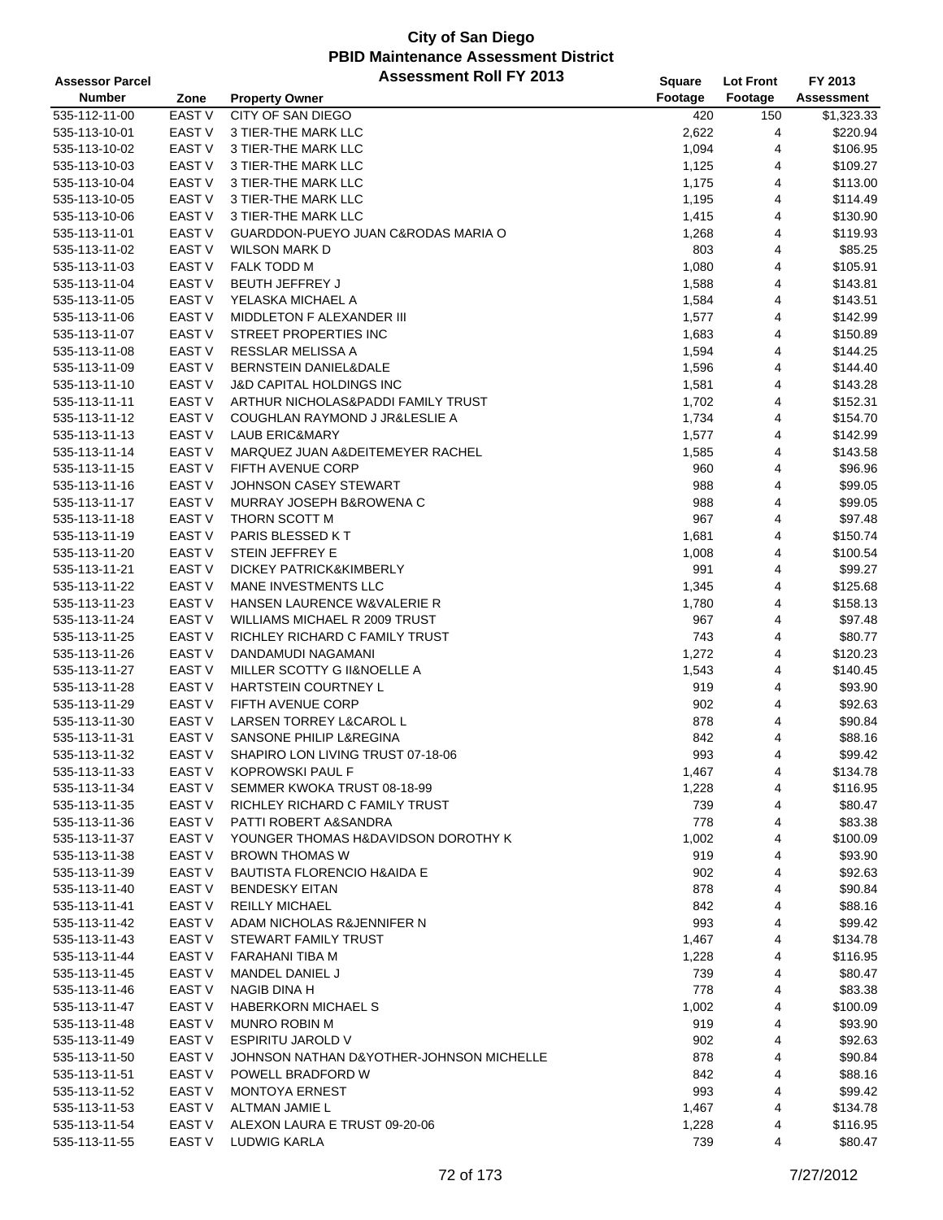| <b>Assessor Parcel</b> |                   | <b>Assessment Roll FY 2013</b>           | Square  | <b>Lot Front</b> | FY 2013           |
|------------------------|-------------------|------------------------------------------|---------|------------------|-------------------|
| <b>Number</b>          | Zone              | <b>Property Owner</b>                    | Footage | Footage          | <b>Assessment</b> |
| 535-112-11-00          | <b>EAST V</b>     | CITY OF SAN DIEGO                        | 420     | 150              | \$1,323.33        |
| 535-113-10-01          | EAST V            | 3 TIER-THE MARK LLC                      | 2,622   | 4                | \$220.94          |
| 535-113-10-02          | <b>EAST V</b>     | 3 TIER-THE MARK LLC                      | 1,094   | 4                | \$106.95          |
| 535-113-10-03          | EAST V            | 3 TIER-THE MARK LLC                      | 1,125   | 4                | \$109.27          |
| 535-113-10-04          | EAST V            | 3 TIER-THE MARK LLC                      | 1,175   | 4                | \$113.00          |
| 535-113-10-05          | EAST V            | 3 TIER-THE MARK LLC                      | 1,195   | 4                | \$114.49          |
| 535-113-10-06          | EAST V            | 3 TIER-THE MARK LLC                      | 1,415   | 4                | \$130.90          |
| 535-113-11-01          | EAST V            | GUARDDON-PUEYO JUAN C&RODAS MARIA O      | 1,268   | 4                | \$119.93          |
| 535-113-11-02          | <b>EAST V</b>     | <b>WILSON MARK D</b>                     | 803     | 4                | \$85.25           |
| 535-113-11-03          | <b>EAST V</b>     | <b>FALK TODD M</b>                       | 1,080   | 4                | \$105.91          |
| 535-113-11-04          | <b>EAST V</b>     | <b>BEUTH JEFFREY J</b>                   | 1,588   | 4                | \$143.81          |
| 535-113-11-05          | EAST V            | YELASKA MICHAEL A                        | 1,584   | 4                | \$143.51          |
| 535-113-11-06          | EAST V            | MIDDLETON F ALEXANDER III                | 1,577   | 4                | \$142.99          |
| 535-113-11-07          | EAST <sub>V</sub> | STREET PROPERTIES INC                    | 1,683   | 4                | \$150.89          |
| 535-113-11-08          | <b>EAST V</b>     | RESSLAR MELISSA A                        | 1,594   | 4                | \$144.25          |
| 535-113-11-09          | EAST <sub>V</sub> | BERNSTEIN DANIEL&DALE                    | 1,596   | 4                | \$144.40          |
| 535-113-11-10          | <b>EAST V</b>     | <b>J&amp;D CAPITAL HOLDINGS INC</b>      | 1,581   | 4                | \$143.28          |
| 535-113-11-11          | <b>EAST V</b>     | ARTHUR NICHOLAS&PADDI FAMILY TRUST       | 1,702   | 4                | \$152.31          |
| 535-113-11-12          | EAST V            | COUGHLAN RAYMOND J JR&LESLIE A           | 1,734   | 4                | \$154.70          |
| 535-113-11-13          | EAST <sub>V</sub> | <b>LAUB ERIC&amp;MARY</b>                | 1,577   | 4                | \$142.99          |
| 535-113-11-14          | <b>EAST V</b>     | MARQUEZ JUAN A&DEITEMEYER RACHEL         | 1,585   | 4                | \$143.58          |
| 535-113-11-15          | <b>EAST V</b>     | FIFTH AVENUE CORP                        | 960     | 4                | \$96.96           |
| 535-113-11-16          | EAST <sub>V</sub> | JOHNSON CASEY STEWART                    | 988     | 4                | \$99.05           |
| 535-113-11-17          | EAST V            | MURRAY JOSEPH B&ROWENA C                 | 988     | 4                | \$99.05           |
| 535-113-11-18          | <b>EAST V</b>     | THORN SCOTT M                            | 967     | 4                | \$97.48           |
| 535-113-11-19          | EAST <sub>V</sub> | PARIS BLESSED KT                         | 1,681   | 4                | \$150.74          |
| 535-113-11-20          | EAST <sub>V</sub> | STEIN JEFFREY E                          | 1,008   | 4                | \$100.54          |
| 535-113-11-21          | <b>EAST V</b>     | DICKEY PATRICK&KIMBERLY                  | 991     | 4                | \$99.27           |
| 535-113-11-22          | <b>EAST V</b>     | MANE INVESTMENTS LLC                     | 1,345   | 4                | \$125.68          |
| 535-113-11-23          | EAST <sub>V</sub> | HANSEN LAURENCE W&VALERIE R              | 1,780   | 4                | \$158.13          |
| 535-113-11-24          | <b>EAST V</b>     | WILLIAMS MICHAEL R 2009 TRUST            | 967     | 4                | \$97.48           |
| 535-113-11-25          | <b>EAST V</b>     | RICHLEY RICHARD C FAMILY TRUST           | 743     | 4                | \$80.77           |
| 535-113-11-26          | <b>EAST V</b>     | DANDAMUDI NAGAMANI                       | 1,272   | 4                | \$120.23          |
| 535-113-11-27          | <b>EAST V</b>     | MILLER SCOTTY G II&NOELLE A              | 1,543   | 4                | \$140.45          |
| 535-113-11-28          | <b>EAST V</b>     | HARTSTEIN COURTNEY L                     | 919     | 4                | \$93.90           |
| 535-113-11-29          | EAST <sub>V</sub> | FIFTH AVENUE CORP                        | 902     | 4                | \$92.63           |
| 535-113-11-30          | EAST <sub>V</sub> | LARSEN TORREY L&CAROL L                  | 878     | 4                | \$90.84           |
| 535-113-11-31          | EAST <sub>V</sub> | SANSONE PHILIP L&REGINA                  | 842     | 4                | \$88.16           |
| 535-113-11-32          | <b>EAST V</b>     | SHAPIRO LON LIVING TRUST 07-18-06        | 993     | 4                | \$99.42           |
| 535-113-11-33          | EAST V            | KOPROWSKI PAUL F                         | 1,467   | 4                | \$134.78          |
| 535-113-11-34          | EAST V            | SEMMER KWOKA TRUST 08-18-99              | 1,228   | 4                | \$116.95          |
| 535-113-11-35          | EAST V            | RICHLEY RICHARD C FAMILY TRUST           | 739     | 4                | \$80.47           |
| 535-113-11-36          | EAST V            | PATTI ROBERT A&SANDRA                    | 778     | 4                | \$83.38           |
| 535-113-11-37          | EAST V            | YOUNGER THOMAS H&DAVIDSON DOROTHY K      | 1,002   | 4                | \$100.09          |
| 535-113-11-38          | EAST <sub>V</sub> | <b>BROWN THOMAS W</b>                    | 919     | 4                | \$93.90           |
| 535-113-11-39          | EAST V            | <b>BAUTISTA FLORENCIO H&amp;AIDA E</b>   | 902     | 4                | \$92.63           |
| 535-113-11-40          | <b>EAST V</b>     | <b>BENDESKY EITAN</b>                    | 878     | 4                | \$90.84           |
| 535-113-11-41          | EAST <sub>V</sub> | <b>REILLY MICHAEL</b>                    | 842     | 4                | \$88.16           |
| 535-113-11-42          | EAST V            | ADAM NICHOLAS R&JENNIFER N               | 993     | 4                | \$99.42           |
| 535-113-11-43          | EAST V            | STEWART FAMILY TRUST                     | 1,467   | 4                | \$134.78          |
| 535-113-11-44          | EAST V            | FARAHANI TIBA M                          | 1,228   | 4                | \$116.95          |
| 535-113-11-45          | EAST V            | MANDEL DANIEL J                          | 739     | 4                | \$80.47           |
| 535-113-11-46          | EAST <sub>V</sub> | NAGIB DINA H                             | 778     | 4                | \$83.38           |
| 535-113-11-47          | EAST V            | <b>HABERKORN MICHAEL S</b>               | 1,002   | 4                | \$100.09          |
| 535-113-11-48          | EAST V            | MUNRO ROBIN M                            | 919     | 4                | \$93.90           |
| 535-113-11-49          | EAST V            | ESPIRITU JAROLD V                        | 902     | 4                | \$92.63           |
| 535-113-11-50          | EAST V            | JOHNSON NATHAN D&YOTHER-JOHNSON MICHELLE | 878     | 4                | \$90.84           |
| 535-113-11-51          | EAST <sub>V</sub> | POWELL BRADFORD W                        | 842     | 4                | \$88.16           |
| 535-113-11-52          | EAST <sub>V</sub> | <b>MONTOYA ERNEST</b>                    | 993     | 4                | \$99.42           |
| 535-113-11-53          | EAST V            | ALTMAN JAMIE L                           | 1,467   | 4                | \$134.78          |
| 535-113-11-54          | EAST <sub>V</sub> | ALEXON LAURA E TRUST 09-20-06            | 1,228   | 4                | \$116.95          |
| 535-113-11-55          | EAST <sub>V</sub> | LUDWIG KARLA                             | 739     | 4                | \$80.47           |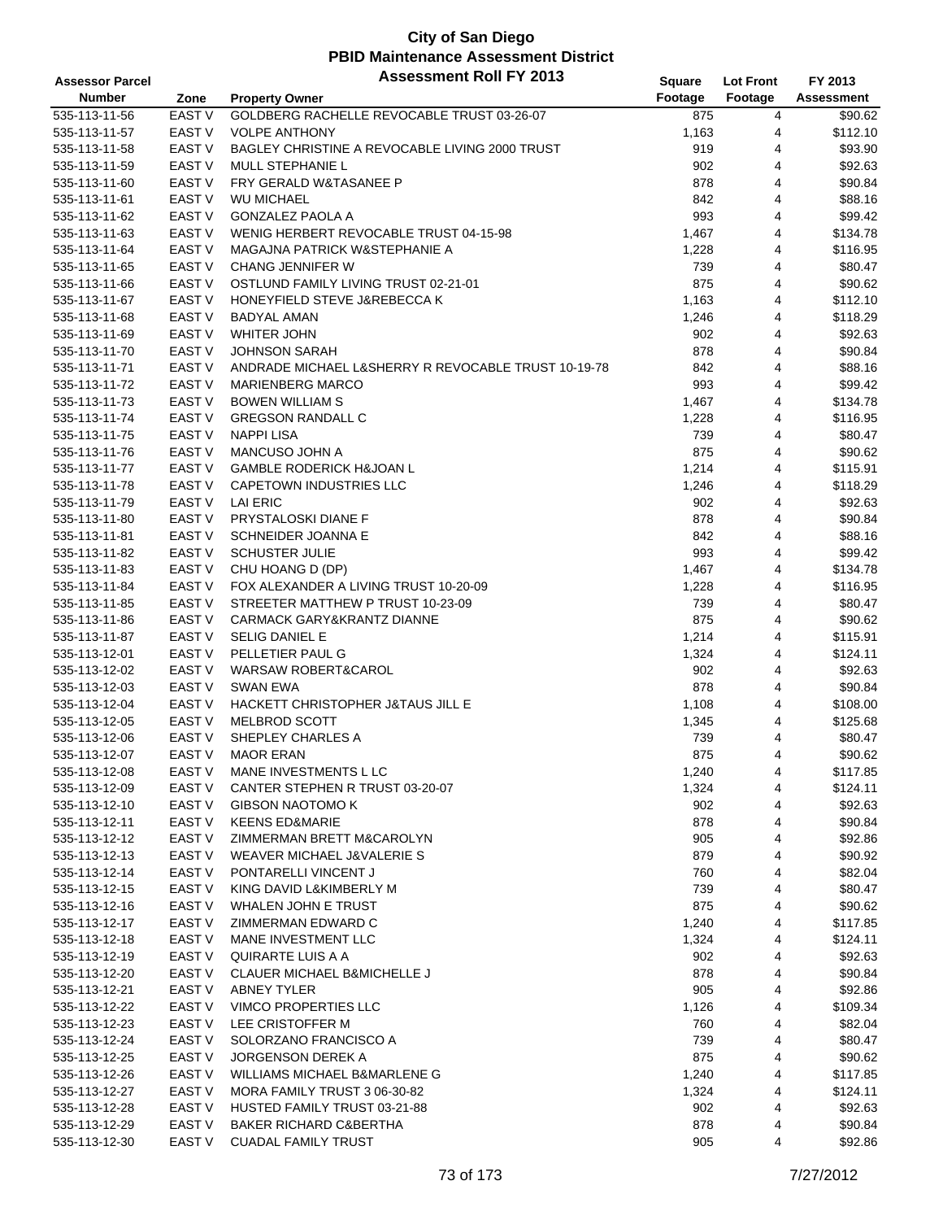| <b>Assessor Parcel</b> |                   | <b>Assessment Roll FY 2013</b>                      | Square  | <b>Lot Front</b> | FY 2013    |
|------------------------|-------------------|-----------------------------------------------------|---------|------------------|------------|
| <b>Number</b>          | Zone              | <b>Property Owner</b>                               | Footage | Footage          | Assessment |
| 535-113-11-56          | <b>EAST V</b>     | GOLDBERG RACHELLE REVOCABLE TRUST 03-26-07          | 875     | 4                | \$90.62    |
| 535-113-11-57          | EAST V            | <b>VOLPE ANTHONY</b>                                | 1,163   | 4                | \$112.10   |
| 535-113-11-58          | <b>EAST V</b>     | BAGLEY CHRISTINE A REVOCABLE LIVING 2000 TRUST      | 919     | 4                | \$93.90    |
| 535-113-11-59          | <b>EAST V</b>     | MULL STEPHANIE L                                    | 902     | 4                | \$92.63    |
| 535-113-11-60          | EAST <sub>V</sub> | <b>FRY GERALD W&amp;TASANEE P</b>                   | 878     | 4                | \$90.84    |
| 535-113-11-61          | EAST V            | <b>WU MICHAEL</b>                                   | 842     | 4                | \$88.16    |
| 535-113-11-62          | EAST V            | <b>GONZALEZ PAOLA A</b>                             | 993     | 4                | \$99.42    |
|                        | EAST V            | WENIG HERBERT REVOCABLE TRUST 04-15-98              | 1,467   | 4                | \$134.78   |
| 535-113-11-63          |                   | MAGAJNA PATRICK W&STEPHANIE A                       |         |                  |            |
| 535-113-11-64          | <b>EAST V</b>     |                                                     | 1,228   | 4                | \$116.95   |
| 535-113-11-65          | EAST V            | <b>CHANG JENNIFER W</b>                             | 739     | 4                | \$80.47    |
| 535-113-11-66          | EAST V            | OSTLUND FAMILY LIVING TRUST 02-21-01                | 875     | 4                | \$90.62    |
| 535-113-11-67          | EAST V            | HONEYFIELD STEVE J&REBECCA K                        | 1,163   | 4                | \$112.10   |
| 535-113-11-68          | EAST V            | <b>BADYAL AMAN</b>                                  | 1,246   | 4                | \$118.29   |
| 535-113-11-69          | EAST V            | <b>WHITER JOHN</b>                                  | 902     | 4                | \$92.63    |
| 535-113-11-70          | <b>EAST V</b>     | <b>JOHNSON SARAH</b>                                | 878     | 4                | \$90.84    |
| 535-113-11-71          | EAST <sub>V</sub> | ANDRADE MICHAEL L&SHERRY R REVOCABLE TRUST 10-19-78 | 842     | 4                | \$88.16    |
| 535-113-11-72          | <b>EAST V</b>     | <b>MARIENBERG MARCO</b>                             | 993     | 4                | \$99.42    |
| 535-113-11-73          | EAST V            | <b>BOWEN WILLIAM S</b>                              | 1,467   | 4                | \$134.78   |
| 535-113-11-74          | <b>EAST V</b>     | <b>GREGSON RANDALL C</b>                            | 1,228   | 4                | \$116.95   |
| 535-113-11-75          | <b>EAST V</b>     | <b>NAPPI LISA</b>                                   | 739     | 4                | \$80.47    |
| 535-113-11-76          | <b>EAST V</b>     | MANCUSO JOHN A                                      | 875     | 4                | \$90.62    |
| 535-113-11-77          | EAST V            | <b>GAMBLE RODERICK H&amp;JOAN L</b>                 | 1,214   | 4                | \$115.91   |
| 535-113-11-78          | EAST V            | <b>CAPETOWN INDUSTRIES LLC</b>                      | 1,246   | 4                | \$118.29   |
| 535-113-11-79          | EAST V            | <b>LAI ERIC</b>                                     | 902     | 4                | \$92.63    |
| 535-113-11-80          | EAST V            | PRYSTALOSKI DIANE F                                 | 878     | 4                | \$90.84    |
| 535-113-11-81          | EAST V            | SCHNEIDER JOANNA E                                  | 842     | 4                | \$88.16    |
| 535-113-11-82          | EAST V            | <b>SCHUSTER JULIE</b>                               | 993     | 4                | \$99.42    |
| 535-113-11-83          | EAST V            | CHU HOANG D (DP)                                    | 1,467   | 4                | \$134.78   |
| 535-113-11-84          | EAST V            | FOX ALEXANDER A LIVING TRUST 10-20-09               | 1,228   | 4                | \$116.95   |
| 535-113-11-85          | EAST V            | STREETER MATTHEW P TRUST 10-23-09                   | 739     | 4                | \$80.47    |
| 535-113-11-86          | EAST V            | CARMACK GARY&KRANTZ DIANNE                          | 875     | 4                | \$90.62    |
| 535-113-11-87          | EAST V            | <b>SELIG DANIEL E</b>                               | 1,214   | 4                | \$115.91   |
| 535-113-12-01          | EAST <sub>V</sub> | PELLETIER PAUL G                                    | 1,324   | 4                | \$124.11   |
| 535-113-12-02          | EAST V            | WARSAW ROBERT&CAROL                                 | 902     | 4                | \$92.63    |
| 535-113-12-03          | EAST V            | <b>SWAN EWA</b>                                     | 878     | 4                | \$90.84    |
| 535-113-12-04          | EAST V            | HACKETT CHRISTOPHER J&TAUS JILL E                   | 1,108   | 4                | \$108.00   |
| 535-113-12-05          | EAST <sub>V</sub> | <b>MELBROD SCOTT</b>                                | 1,345   | 4                | \$125.68   |
| 535-113-12-06          | EAST <sub>V</sub> | SHEPLEY CHARLES A                                   | 739     | 4                | \$80.47    |
|                        | <b>EAST V</b>     |                                                     | 875     | $\overline{4}$   | \$90.62    |
| 535-113-12-07          | EAST V            | <b>MAOR ERAN</b>                                    |         |                  |            |
| 535-113-12-08          |                   | MANE INVESTMENTS L LC                               | 1,240   | 4                | \$117.85   |
| 535-113-12-09          | EAST V            | CANTER STEPHEN R TRUST 03-20-07                     | 1,324   | 4                | \$124.11   |
| 535-113-12-10          | EAST V            | <b>GIBSON NAOTOMO K</b>                             | 902     | 4                | \$92.63    |
| 535-113-12-11          | EAST V            | <b>KEENS ED&amp;MARIE</b>                           | 878     | 4                | \$90.84    |
| 535-113-12-12          | EAST V            | ZIMMERMAN BRETT M&CAROLYN                           | 905     | 4                | \$92.86    |
| 535-113-12-13          | EAST V            | WEAVER MICHAEL J&VALERIE S                          | 879     | 4                | \$90.92    |
| 535-113-12-14          | EAST V            | PONTARELLI VINCENT J                                | 760     | 4                | \$82.04    |
| 535-113-12-15          | EAST V            | KING DAVID L&KIMBERLY M                             | 739     | 4                | \$80.47    |
| 535-113-12-16          | EAST <sub>V</sub> | WHALEN JOHN E TRUST                                 | 875     | 4                | \$90.62    |
| 535-113-12-17          | EAST V            | ZIMMERMAN EDWARD C                                  | 1,240   | 4                | \$117.85   |
| 535-113-12-18          | EAST V            | MANE INVESTMENT LLC                                 | 1,324   | 4                | \$124.11   |
| 535-113-12-19          | <b>EAST V</b>     | QUIRARTE LUIS A A                                   | 902     | 4                | \$92.63    |
| 535-113-12-20          | EAST V            | CLAUER MICHAEL B&MICHELLE J                         | 878     | 4                | \$90.84    |
| 535-113-12-21          | EAST V            | <b>ABNEY TYLER</b>                                  | 905     | 4                | \$92.86    |
| 535-113-12-22          | EAST V            | VIMCO PROPERTIES LLC                                | 1,126   | 4                | \$109.34   |
| 535-113-12-23          | EAST <sub>V</sub> | LEE CRISTOFFER M                                    | 760     | 4                | \$82.04    |
| 535-113-12-24          | EAST V            | SOLORZANO FRANCISCO A                               | 739     | 4                | \$80.47    |
| 535-113-12-25          | EAST V            | <b>JORGENSON DEREK A</b>                            | 875     | 4                | \$90.62    |
| 535-113-12-26          | EAST <sub>V</sub> | WILLIAMS MICHAEL B&MARLENE G                        | 1,240   | 4                | \$117.85   |
| 535-113-12-27          | EAST <sub>V</sub> | MORA FAMILY TRUST 3 06-30-82                        | 1,324   | 4                | \$124.11   |
| 535-113-12-28          | EAST V            | HUSTED FAMILY TRUST 03-21-88                        | 902     | 4                | \$92.63    |
| 535-113-12-29          | EAST V            | <b>BAKER RICHARD C&amp;BERTHA</b>                   | 878     | 4                | \$90.84    |
| 535-113-12-30          | EAST V            | <b>CUADAL FAMILY TRUST</b>                          | 905     | 4                | \$92.86    |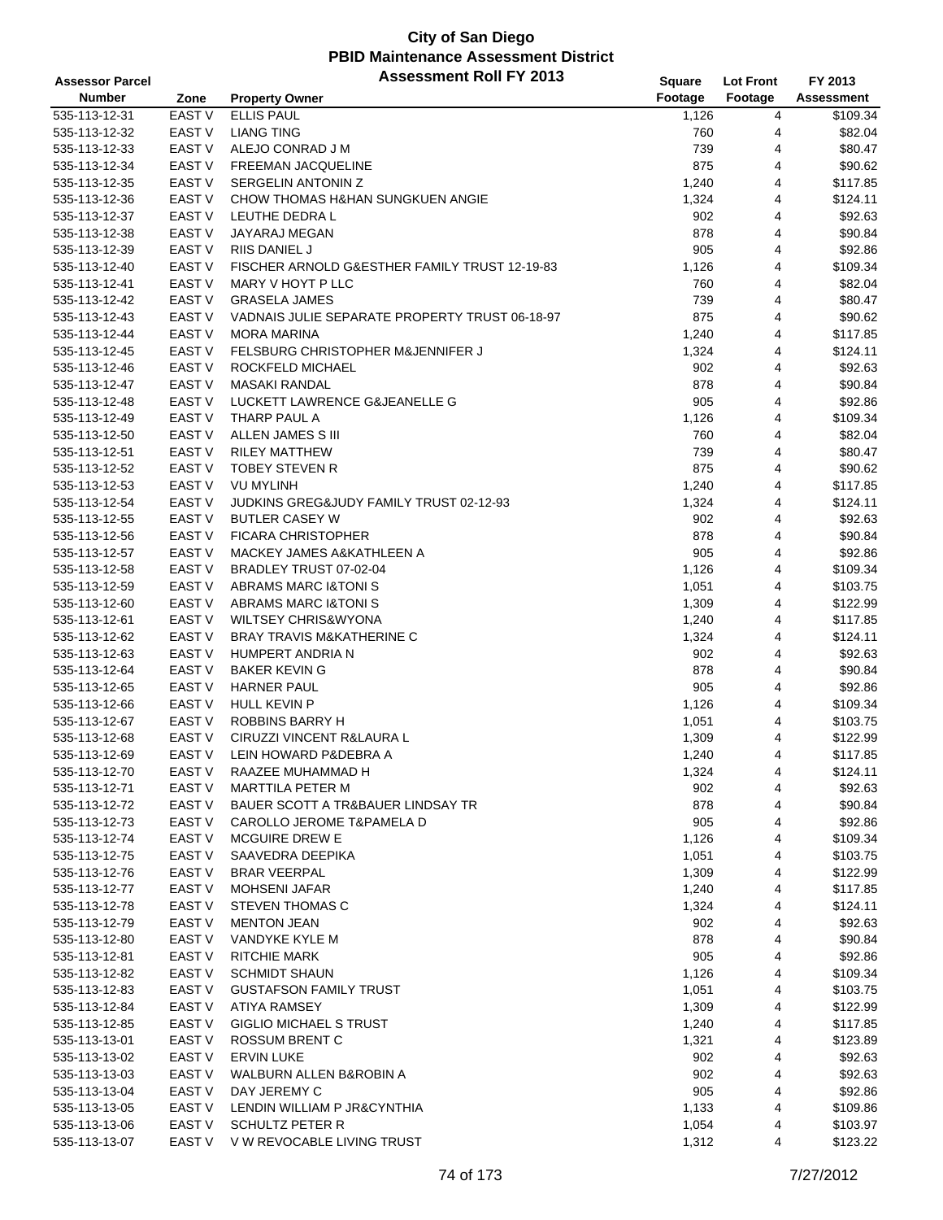| <b>Assessor Parcel</b> |                   | <b>Assessment Roll FY 2013</b>                 | <b>Square</b> | <b>Lot Front</b> | FY 2013           |
|------------------------|-------------------|------------------------------------------------|---------------|------------------|-------------------|
| <b>Number</b>          | Zone              | <b>Property Owner</b>                          | Footage       | Footage          | <b>Assessment</b> |
| 535-113-12-31          | EAST V            | <b>ELLIS PAUL</b>                              | 1,126         | 4                | \$109.34          |
| 535-113-12-32          | EAST V            | <b>LIANG TING</b>                              | 760           | 4                | \$82.04           |
| 535-113-12-33          | <b>EAST V</b>     | ALEJO CONRAD J M                               | 739           | 4                | \$80.47           |
| 535-113-12-34          | <b>EAST V</b>     | FREEMAN JACQUELINE                             | 875           | 4                | \$90.62           |
| 535-113-12-35          | EAST <sub>V</sub> | SERGELIN ANTONIN Z                             | 1,240         | 4                | \$117.85          |
| 535-113-12-36          | EAST V            | CHOW THOMAS H&HAN SUNGKUEN ANGIE               | 1,324         | 4                | \$124.11          |
| 535-113-12-37          | EAST V            | LEUTHE DEDRA L                                 | 902           | 4                | \$92.63           |
| 535-113-12-38          | <b>EAST V</b>     | JAYARAJ MEGAN                                  | 878           | 4                | \$90.84           |
| 535-113-12-39          | <b>EAST V</b>     | <b>RIIS DANIEL J</b>                           | 905           | 4                | \$92.86           |
| 535-113-12-40          | <b>EAST V</b>     | FISCHER ARNOLD G&ESTHER FAMILY TRUST 12-19-83  | 1,126         | 4                | \$109.34          |
| 535-113-12-41          | EAST V            | MARY V HOYT P LLC                              | 760           | 4                | \$82.04           |
| 535-113-12-42          | EAST V            | <b>GRASELA JAMES</b>                           | 739           | 4                | \$80.47           |
| 535-113-12-43          | EAST V            | VADNAIS JULIE SEPARATE PROPERTY TRUST 06-18-97 | 875           | 4                | \$90.62           |
| 535-113-12-44          | <b>EAST V</b>     | <b>MORA MARINA</b>                             | 1,240         | 4                | \$117.85          |
| 535-113-12-45          | <b>EAST V</b>     | FELSBURG CHRISTOPHER M&JENNIFER J              | 1,324         | 4                | \$124.11          |
| 535-113-12-46          | EAST <sub>V</sub> | ROCKFELD MICHAEL                               | 902           | 4                | \$92.63           |
| 535-113-12-47          | <b>EAST V</b>     | <b>MASAKI RANDAL</b>                           | 878           | 4                | \$90.84           |
| 535-113-12-48          | EAST V            | LUCKETT LAWRENCE G&JEANELLE G                  | 905           | 4                | \$92.86           |
| 535-113-12-49          | <b>EAST V</b>     | THARP PAUL A                                   | 1,126         | 4                | \$109.34          |
| 535-113-12-50          | EAST <sub>V</sub> | ALLEN JAMES S III                              | 760           | 4                | \$82.04           |
| 535-113-12-51          | <b>EAST V</b>     | <b>RILEY MATTHEW</b>                           | 739           | 4                | \$80.47           |
| 535-113-12-52          | EAST <sub>V</sub> | <b>TOBEY STEVEN R</b>                          | 875           | 4                | \$90.62           |
| 535-113-12-53          | EAST V            | <b>VU MYLINH</b>                               | 1,240         | 4                | \$117.85          |
| 535-113-12-54          | EAST V            | JUDKINS GREG&JUDY FAMILY TRUST 02-12-93        | 1,324         | 4                | \$124.11          |
| 535-113-12-55          | <b>EAST V</b>     | <b>BUTLER CASEY W</b>                          | 902           | 4                | \$92.63           |
| 535-113-12-56          | <b>EAST V</b>     | <b>FICARA CHRISTOPHER</b>                      | 878           | 4                | \$90.84           |
| 535-113-12-57          | EAST V            | MACKEY JAMES A&KATHLEEN A                      | 905           | 4                | \$92.86           |
| 535-113-12-58          | EAST V            | BRADLEY TRUST 07-02-04                         | 1,126         | 4                | \$109.34          |
| 535-113-12-59          | EAST V            | <b>ABRAMS MARC I&amp;TONIS</b>                 | 1,051         | 4                | \$103.75          |
| 535-113-12-60          | <b>EAST V</b>     | <b>ABRAMS MARC I&amp;TONIS</b>                 | 1,309         | 4                | \$122.99          |
| 535-113-12-61          | EAST V            | <b>WILTSEY CHRIS&amp;WYONA</b>                 | 1,240         | 4                | \$117.85          |
| 535-113-12-62          | <b>EAST V</b>     | BRAY TRAVIS M&KATHERINE C                      | 1,324         | 4                | \$124.11          |
| 535-113-12-63          | EAST <sub>V</sub> | HUMPERT ANDRIA N                               | 902           | 4                | \$92.63           |
| 535-113-12-64          | <b>EAST V</b>     | <b>BAKER KEVING</b>                            | 878           | 4                | \$90.84           |
| 535-113-12-65          | EAST V            | <b>HARNER PAUL</b>                             | 905           | 4                | \$92.86           |
| 535-113-12-66          | EAST V            | <b>HULL KEVIN P</b>                            | 1,126         | 4                | \$109.34          |
| 535-113-12-67          | EAST <sub>V</sub> | ROBBINS BARRY H                                | 1,051         | 4                | \$103.75          |
| 535-113-12-68          | EAST V            | CIRUZZI VINCENT R&LAURA L                      | 1,309         | 4                | \$122.99          |
| 535-113-12-69          | <b>EAST V</b>     | LEIN HOWARD P&DEBRA A                          | 1,240         | 4                | \$117.85          |
| 535-113-12-70          | EAST V            | RAAZEE MUHAMMAD H                              | 1,324         | 4                | \$124.11          |
| 535-113-12-71          | EAST V            | MARTTILA PETER M                               | 902           | 4                | \$92.63           |
| 535-113-12-72          | EAST V            | BAUER SCOTT A TR&BAUER LINDSAY TR              | 878           | 4                | \$90.84           |
| 535-113-12-73          | EAST V            | <b>CAROLLO JEROME T&amp;PAMELA D</b>           | 905           | 4                | \$92.86           |
| 535-113-12-74          | EAST V            | <b>MCGUIRE DREW E</b>                          | 1,126         | 4                | \$109.34          |
| 535-113-12-75          | EAST V            | SAAVEDRA DEEPIKA                               | 1,051         | 4                | \$103.75          |
| 535-113-12-76          | EAST V            | <b>BRAR VEERPAL</b>                            | 1,309         | 4                | \$122.99          |
| 535-113-12-77          | EAST V            | <b>MOHSENI JAFAR</b>                           | 1,240         | 4                | \$117.85          |
| 535-113-12-78          | EAST V            | <b>STEVEN THOMAS C</b>                         | 1,324         | 4                | \$124.11          |
| 535-113-12-79          | EAST V            | <b>MENTON JEAN</b>                             | 902           | 4                | \$92.63           |
| 535-113-12-80          | EAST V            | VANDYKE KYLE M                                 | 878           | 4                | \$90.84           |
| 535-113-12-81          | EAST V            | <b>RITCHIE MARK</b>                            | 905           | 4                | \$92.86           |
| 535-113-12-82          | EAST V            | <b>SCHMIDT SHAUN</b>                           | 1,126         | 4                | \$109.34          |
| 535-113-12-83          | EAST V            | <b>GUSTAFSON FAMILY TRUST</b>                  | 1,051         | 4                | \$103.75          |
| 535-113-12-84          | EAST V            | ATIYA RAMSEY                                   | 1,309         | 4                | \$122.99          |
| 535-113-12-85          | EAST V            | <b>GIGLIO MICHAEL S TRUST</b>                  | 1,240         | 4                | \$117.85          |
| 535-113-13-01          | EAST V            | ROSSUM BRENT C                                 | 1,321         | 4                | \$123.89          |
| 535-113-13-02          | EAST V            | <b>ERVIN LUKE</b>                              | 902           | 4                | \$92.63           |
| 535-113-13-03          | EAST V            | WALBURN ALLEN B&ROBIN A                        | 902           | 4                | \$92.63           |
| 535-113-13-04          | EAST V            | DAY JEREMY C                                   | 905           | 4                | \$92.86           |
| 535-113-13-05          | EAST V            | LENDIN WILLIAM P JR&CYNTHIA                    | 1,133         | 4                | \$109.86          |
| 535-113-13-06          | EAST V            | <b>SCHULTZ PETER R</b>                         | 1,054         | 4                | \$103.97          |
| 535-113-13-07          | EAST V            | V W REVOCABLE LIVING TRUST                     | 1,312         | 4                | \$123.22          |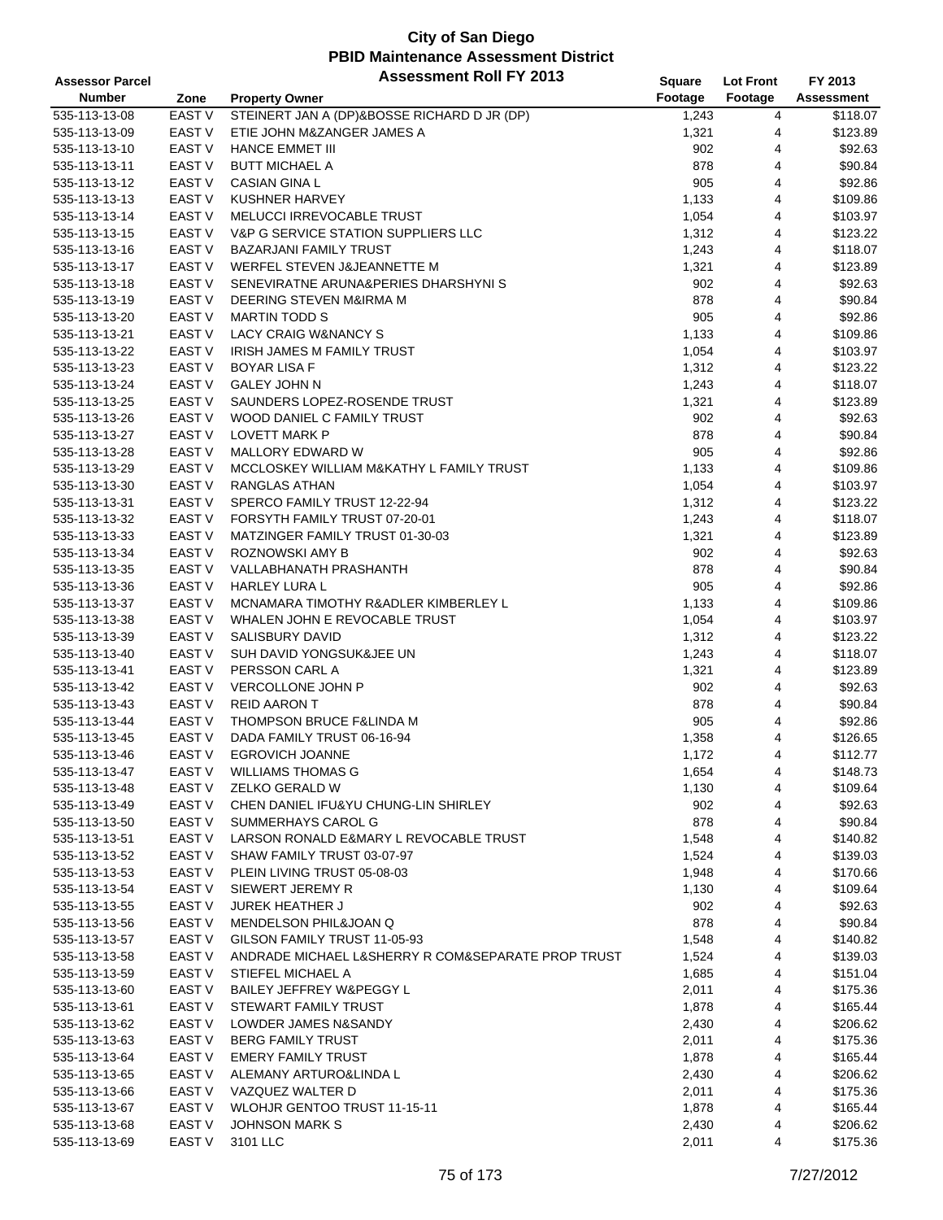| <b>Assessor Parcel</b> |                   | <b>Assessment Roll FY 2013</b>                     | Square  | <b>Lot Front</b> | FY 2013    |
|------------------------|-------------------|----------------------------------------------------|---------|------------------|------------|
| <b>Number</b>          | Zone              | <b>Property Owner</b>                              | Footage | Footage          | Assessment |
| 535-113-13-08          | EAST V            | STEINERT JAN A (DP)&BOSSE RICHARD D JR (DP)        | 1,243   | 4                | \$118.07   |
| 535-113-13-09          | EAST V            | ETIE JOHN M&ZANGER JAMES A                         | 1,321   | 4                | \$123.89   |
| 535-113-13-10          | EAST V            | <b>HANCE EMMET III</b>                             | 902     | 4                | \$92.63    |
| 535-113-13-11          | EAST V            | <b>BUTT MICHAEL A</b>                              | 878     | 4                | \$90.84    |
| 535-113-13-12          | EAST <sub>V</sub> | <b>CASIAN GINA L</b>                               | 905     | 4                | \$92.86    |
| 535-113-13-13          | EAST <sub>V</sub> | KUSHNER HARVEY                                     | 1,133   | 4                | \$109.86   |
| 535-113-13-14          | EAST <sub>V</sub> | MELUCCI IRREVOCABLE TRUST                          | 1,054   | 4                | \$103.97   |
| 535-113-13-15          | EAST V            | V&P G SERVICE STATION SUPPLIERS LLC                | 1,312   | 4                | \$123.22   |
| 535-113-13-16          | EAST V            | <b>BAZARJANI FAMILY TRUST</b>                      | 1,243   | 4                | \$118.07   |
| 535-113-13-17          | EAST V            | WERFEL STEVEN J&JEANNETTE M                        | 1,321   | 4                | \$123.89   |
| 535-113-13-18          | EAST <sub>V</sub> | SENEVIRATNE ARUNA& PERIES DHARSHYNIS               | 902     | 4                | \$92.63    |
| 535-113-13-19          | EAST V            | DEERING STEVEN M&IRMA M                            | 878     | 4                | \$90.84    |
|                        | EAST V            | <b>MARTIN TODD S</b>                               | 905     | 4                | \$92.86    |
| 535-113-13-20          |                   |                                                    |         |                  |            |
| 535-113-13-21          | <b>EAST V</b>     | LACY CRAIG W&NANCY S                               | 1,133   | 4                | \$109.86   |
| 535-113-13-22          | <b>EAST V</b>     | IRISH JAMES M FAMILY TRUST                         | 1,054   | 4                | \$103.97   |
| 535-113-13-23          | EAST V            | <b>BOYAR LISA F</b>                                | 1,312   | 4                | \$123.22   |
| 535-113-13-24          | EAST V            | <b>GALEY JOHN N</b>                                | 1,243   | 4                | \$118.07   |
| 535-113-13-25          | EAST V            | SAUNDERS LOPEZ-ROSENDE TRUST                       | 1,321   | 4                | \$123.89   |
| 535-113-13-26          | <b>EAST V</b>     | WOOD DANIEL C FAMILY TRUST                         | 902     | 4                | \$92.63    |
| 535-113-13-27          | <b>EAST V</b>     | <b>LOVETT MARK P</b>                               | 878     | 4                | \$90.84    |
| 535-113-13-28          | EAST V            | MALLORY EDWARD W                                   | 905     | 4                | \$92.86    |
| 535-113-13-29          | EAST V            | MCCLOSKEY WILLIAM M&KATHY L FAMILY TRUST           | 1,133   | 4                | \$109.86   |
| 535-113-13-30          | <b>EAST V</b>     | <b>RANGLAS ATHAN</b>                               | 1,054   | 4                | \$103.97   |
| 535-113-13-31          | EAST V            | SPERCO FAMILY TRUST 12-22-94                       | 1,312   | 4                | \$123.22   |
| 535-113-13-32          | EAST V            | FORSYTH FAMILY TRUST 07-20-01                      | 1,243   | 4                | \$118.07   |
| 535-113-13-33          | EAST V            | MATZINGER FAMILY TRUST 01-30-03                    | 1,321   | 4                | \$123.89   |
| 535-113-13-34          | EAST V            | ROZNOWSKI AMY B                                    | 902     | 4                | \$92.63    |
| 535-113-13-35          | EAST V            | VALLABHANATH PRASHANTH                             | 878     | 4                | \$90.84    |
| 535-113-13-36          | EAST V            | <b>HARLEY LURA L</b>                               | 905     | 4                | \$92.86    |
| 535-113-13-37          | EAST V            | MCNAMARA TIMOTHY R&ADLER KIMBERLEY L               | 1,133   | 4                | \$109.86   |
| 535-113-13-38          | EAST <sub>V</sub> | WHALEN JOHN E REVOCABLE TRUST                      | 1,054   | 4                | \$103.97   |
| 535-113-13-39          | EAST V            | SALISBURY DAVID                                    | 1,312   | 4                | \$123.22   |
| 535-113-13-40          | EAST <sub>V</sub> | SUH DAVID YONGSUK&JEE UN                           | 1,243   | 4                | \$118.07   |
| 535-113-13-41          | <b>EAST V</b>     | PERSSON CARL A                                     | 1,321   | 4                | \$123.89   |
| 535-113-13-42          | EAST V            | VERCOLLONE JOHN P                                  | 902     | 4                | \$92.63    |
| 535-113-13-43          | EAST V            | <b>REID AARON T</b>                                | 878     | 4                | \$90.84    |
| 535-113-13-44          | EAST V            | THOMPSON BRUCE F&LINDA M                           | 905     | 4                | \$92.86    |
| 535-113-13-45          | EAST V            | DADA FAMILY TRUST 06-16-94                         | 1,358   | 4                | \$126.65   |
| 535-113-13-46          | <b>EAST V</b>     | <b>EGROVICH JOANNE</b>                             | 1,172   | 4                | \$112.77   |
| 535-113-13-47          | EAST V            | <b>WILLIAMS THOMAS G</b>                           | 1,654   | 4                | \$148.73   |
| 535-113-13-48          | EAST V            | ZELKO GERALD W                                     | 1,130   | 4                | \$109.64   |
| 535-113-13-49          | EAST V            | CHEN DANIEL IFU& YU CHUNG-LIN SHIRLEY              | 902     | 4                | \$92.63    |
| 535-113-13-50          | EAST V            | SUMMERHAYS CAROL G                                 | 878     | 4                | \$90.84    |
| 535-113-13-51          | EAST V            | LARSON RONALD E&MARY L REVOCABLE TRUST             | 1,548   | 4                | \$140.82   |
| 535-113-13-52          | EAST V            | SHAW FAMILY TRUST 03-07-97                         | 1,524   | 4                | \$139.03   |
| 535-113-13-53          | EAST V            | PLEIN LIVING TRUST 05-08-03                        | 1,948   | 4                | \$170.66   |
| 535-113-13-54          | EAST V            | SIEWERT JEREMY R                                   | 1,130   | 4                | \$109.64   |
| 535-113-13-55          | EAST V            | <b>JUREK HEATHER J</b>                             | 902     | 4                | \$92.63    |
| 535-113-13-56          | EAST V            | MENDELSON PHIL&JOAN Q                              | 878     | 4                | \$90.84    |
| 535-113-13-57          | EAST V            | GILSON FAMILY TRUST 11-05-93                       | 1,548   | 4                | \$140.82   |
| 535-113-13-58          | EAST V            | ANDRADE MICHAEL L&SHERRY R COM&SEPARATE PROP TRUST | 1,524   | 4                | \$139.03   |
| 535-113-13-59          | EAST V            | STIEFEL MICHAEL A                                  | 1,685   | 4                | \$151.04   |
| 535-113-13-60          | EAST V            | BAILEY JEFFREY W&PEGGY L                           | 2,011   | 4                | \$175.36   |
| 535-113-13-61          | EAST V            | STEWART FAMILY TRUST                               | 1,878   | 4                | \$165.44   |
| 535-113-13-62          | EAST V            | LOWDER JAMES N&SANDY                               | 2,430   | 4                | \$206.62   |
| 535-113-13-63          | EAST V            | <b>BERG FAMILY TRUST</b>                           | 2,011   | 4                | \$175.36   |
| 535-113-13-64          | EAST V            | <b>EMERY FAMILY TRUST</b>                          | 1,878   | 4                | \$165.44   |
| 535-113-13-65          | EAST V            | ALEMANY ARTURO&LINDA L                             | 2,430   | 4                | \$206.62   |
| 535-113-13-66          | EAST V            | VAZQUEZ WALTER D                                   | 2,011   | 4                | \$175.36   |
| 535-113-13-67          | EAST V            | <b>WLOHJR GENTOO TRUST 11-15-11</b>                | 1,878   | 4                | \$165.44   |
| 535-113-13-68          | EAST V            | <b>JOHNSON MARK S</b>                              | 2,430   | 4                | \$206.62   |
| 535-113-13-69          | EAST <sub>V</sub> | 3101 LLC                                           | 2,011   | 4                | \$175.36   |
|                        |                   |                                                    |         |                  |            |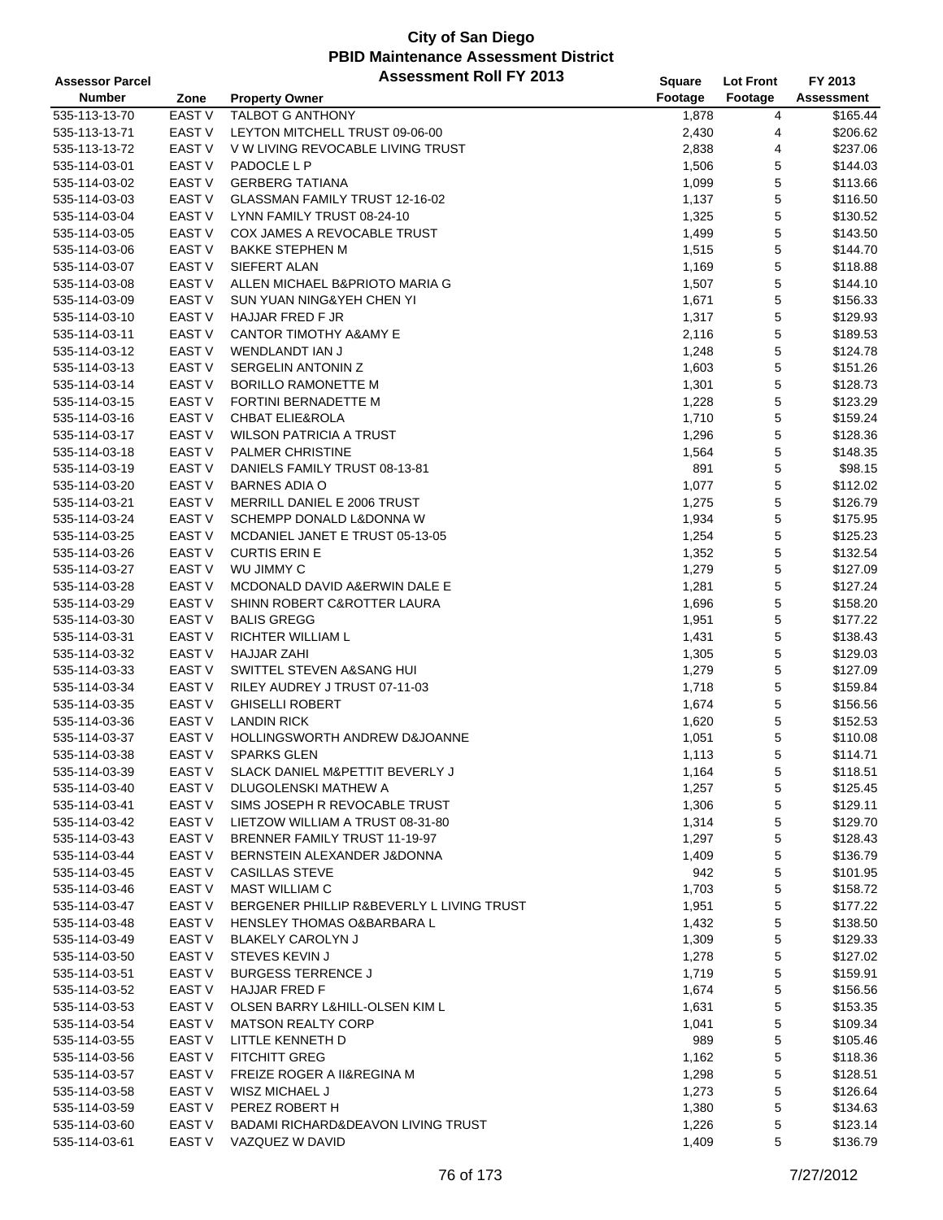| <b>Assessor Parcel</b> |                   | <b>Assessment Roll FY 2013</b>                                    | <b>Square</b>  | <b>Lot Front</b> | FY 2013              |
|------------------------|-------------------|-------------------------------------------------------------------|----------------|------------------|----------------------|
| <b>Number</b>          | Zone              | <b>Property Owner</b>                                             | Footage        | Footage          | Assessment           |
| 535-113-13-70          | EAST V            | TALBOT G ANTHONY                                                  | 1,878          | 4                | \$165.44             |
| 535-113-13-71          | <b>EAST V</b>     | LEYTON MITCHELL TRUST 09-06-00                                    | 2,430          | 4                | \$206.62             |
| 535-113-13-72          | EAST V            | V W LIVING REVOCABLE LIVING TRUST                                 | 2,838          | 4                | \$237.06             |
| 535-114-03-01          | EAST V            | PADOCLE L P                                                       | 1,506          | 5                | \$144.03             |
| 535-114-03-02          | <b>EAST V</b>     | <b>GERBERG TATIANA</b>                                            | 1,099          | 5                | \$113.66             |
| 535-114-03-03          | <b>EAST V</b>     | GLASSMAN FAMILY TRUST 12-16-02                                    | 1,137          | 5                | \$116.50             |
| 535-114-03-04          | EAST V            | LYNN FAMILY TRUST 08-24-10                                        | 1,325          | 5                | \$130.52             |
| 535-114-03-05          | EAST V            | COX JAMES A REVOCABLE TRUST                                       | 1,499          | 5                | \$143.50             |
| 535-114-03-06          | EAST <sub>V</sub> | <b>BAKKE STEPHEN M</b>                                            | 1,515          | 5                | \$144.70             |
| 535-114-03-07          | EAST V            | SIEFERT ALAN                                                      | 1,169          | 5                | \$118.88             |
| 535-114-03-08          | <b>EAST V</b>     | ALLEN MICHAEL B&PRIOTO MARIA G                                    | 1,507          | 5                | \$144.10             |
| 535-114-03-09          | EAST V            | SUN YUAN NING&YEH CHEN YI                                         | 1,671          | 5                | \$156.33             |
| 535-114-03-10          | <b>EAST V</b>     | HAJJAR FRED F JR                                                  | 1,317          | 5                | \$129.93             |
| 535-114-03-11          | EAST V            | <b>CANTOR TIMOTHY A&amp;AMY E</b>                                 | 2,116          | 5                | \$189.53             |
| 535-114-03-12          | EAST V            | WENDLANDT IAN J                                                   | 1,248          | 5                | \$124.78             |
| 535-114-03-13          | <b>EAST V</b>     | SERGELIN ANTONIN Z                                                | 1,603          | 5                | \$151.26             |
| 535-114-03-14          | EAST <sub>V</sub> | <b>BORILLO RAMONETTE M</b>                                        | 1,301          | 5                | \$128.73             |
| 535-114-03-15          | EAST V            | FORTINI BERNADETTE M                                              | 1,228          | 5                | \$123.29             |
| 535-114-03-16          | EAST V            | <b>CHBAT ELIE&amp;ROLA</b>                                        | 1,710          | 5                | \$159.24             |
| 535-114-03-17          | <b>EAST V</b>     | <b>WILSON PATRICIA A TRUST</b>                                    | 1,296          | 5                | \$128.36             |
| 535-114-03-18          | EAST V            | <b>PALMER CHRISTINE</b>                                           | 1,564          | 5                | \$148.35             |
| 535-114-03-19          | <b>EAST V</b>     | DANIELS FAMILY TRUST 08-13-81                                     | 891            | 5                | \$98.15              |
| 535-114-03-20          | <b>EAST V</b>     | <b>BARNES ADIA O</b>                                              | 1,077          | 5                | \$112.02             |
| 535-114-03-21          | EAST V            | MERRILL DANIEL E 2006 TRUST                                       | 1,275          | 5                | \$126.79             |
| 535-114-03-24          | EAST <sub>V</sub> | SCHEMPP DONALD L&DONNA W                                          | 1,934          | 5                | \$175.95             |
| 535-114-03-25          | EAST V            | MCDANIEL JANET E TRUST 05-13-05                                   | 1,254          | 5                | \$125.23             |
| 535-114-03-26          | <b>EAST V</b>     | <b>CURTIS ERIN E</b>                                              | 1,352          | 5                | \$132.54             |
| 535-114-03-27          | EAST <sub>V</sub> | WU JIMMY C                                                        | 1,279          | 5                | \$127.09             |
| 535-114-03-28          | EAST V            | MCDONALD DAVID A&ERWIN DALE E                                     | 1,281          | 5                | \$127.24             |
| 535-114-03-29          | <b>EAST V</b>     | SHINN ROBERT C&ROTTER LAURA                                       | 1,696          | 5                | \$158.20             |
| 535-114-03-30          | <b>EAST V</b>     | <b>BALIS GREGG</b>                                                | 1,951          | 5                | \$177.22             |
| 535-114-03-31          | <b>EAST V</b>     | RICHTER WILLIAM L                                                 | 1,431          | 5                | \$138.43             |
| 535-114-03-32          | <b>EAST V</b>     | <b>HAJJAR ZAHI</b>                                                |                | 5                | \$129.03             |
| 535-114-03-33          | <b>EAST V</b>     | SWITTEL STEVEN A&SANG HUI                                         | 1,305          | 5                | \$127.09             |
| 535-114-03-34          | EAST V            | RILEY AUDREY J TRUST 07-11-03                                     | 1,279<br>1,718 | 5                | \$159.84             |
| 535-114-03-35          | EAST V            | <b>GHISELLI ROBERT</b>                                            | 1,674          | 5                | \$156.56             |
| 535-114-03-36          | EAST V            | <b>LANDIN RICK</b>                                                | 1,620          | 5                | \$152.53             |
| 535-114-03-37          | EAST V            | HOLLINGSWORTH ANDREW D&JOANNE                                     | 1,051          | 5                | \$110.08             |
| 535-114-03-38          | <b>EAST V</b>     | <b>SPARKS GLEN</b>                                                | 1,113          | 5                | \$114.71             |
| 535-114-03-39          | EAST V            | SLACK DANIEL M&PETTIT BEVERLY J                                   | 1,164          | 5                | \$118.51             |
| 535-114-03-40          | EAST V            | DLUGOLENSKI MATHEW A                                              | 1,257          | 5                | \$125.45             |
| 535-114-03-41          |                   |                                                                   |                |                  |                      |
| 535-114-03-42          | EAST V<br>EAST V  | SIMS JOSEPH R REVOCABLE TRUST<br>LIETZOW WILLIAM A TRUST 08-31-80 | 1,306          | 5                | \$129.11<br>\$129.70 |
| 535-114-03-43          | EAST V            | BRENNER FAMILY TRUST 11-19-97                                     | 1,314          | 5<br>5           | \$128.43             |
| 535-114-03-44          | EAST V            | BERNSTEIN ALEXANDER J&DONNA                                       | 1,297          | 5                | \$136.79             |
|                        | EAST V            | CASILLAS STEVE                                                    | 1,409          | 5                | \$101.95             |
| 535-114-03-45          | EAST V            | <b>MAST WILLIAM C</b>                                             | 942            |                  | \$158.72             |
| 535-114-03-46          | EAST V            | BERGENER PHILLIP R&BEVERLY L LIVING TRUST                         | 1,703          | 5                | \$177.22             |
| 535-114-03-47          | EAST V            | <b>HENSLEY THOMAS O&amp;BARBARA L</b>                             | 1,951          | 5                |                      |
| 535-114-03-48          |                   |                                                                   | 1,432          | 5                | \$138.50             |
| 535-114-03-49          | EAST V            | <b>BLAKELY CAROLYN J</b><br>STEVES KEVIN J                        | 1,309          | 5                | \$129.33             |
| 535-114-03-50          | EAST V            |                                                                   | 1,278          | 5                | \$127.02             |
| 535-114-03-51          | EAST V            | <b>BURGESS TERRENCE J</b>                                         | 1,719          | 5                | \$159.91             |
| 535-114-03-52          | EAST V            | <b>HAJJAR FRED F</b>                                              | 1,674          | 5                | \$156.56             |
| 535-114-03-53          | EAST V            | OLSEN BARRY L&HILL-OLSEN KIM L                                    | 1,631          | 5                | \$153.35             |
| 535-114-03-54          | EAST V            | <b>MATSON REALTY CORP</b>                                         | 1,041          | 5                | \$109.34             |
| 535-114-03-55          | EAST V            | LITTLE KENNETH D                                                  | 989            | 5                | \$105.46             |
| 535-114-03-56          | EAST V            | <b>FITCHITT GREG</b>                                              | 1,162          | 5                | \$118.36             |
| 535-114-03-57          | EAST V            | FREIZE ROGER A II&REGINA M                                        | 1,298          | 5                | \$128.51             |
| 535-114-03-58          | EAST V            | WISZ MICHAEL J                                                    | 1,273          | 5                | \$126.64             |
| 535-114-03-59          | EAST V            | PEREZ ROBERT H                                                    | 1,380          | 5                | \$134.63             |
| 535-114-03-60          | EAST V            | BADAMI RICHARD&DEAVON LIVING TRUST                                | 1,226          | 5                | \$123.14             |
| 535-114-03-61          | EAST V            | VAZQUEZ W DAVID                                                   | 1,409          | 5                | \$136.79             |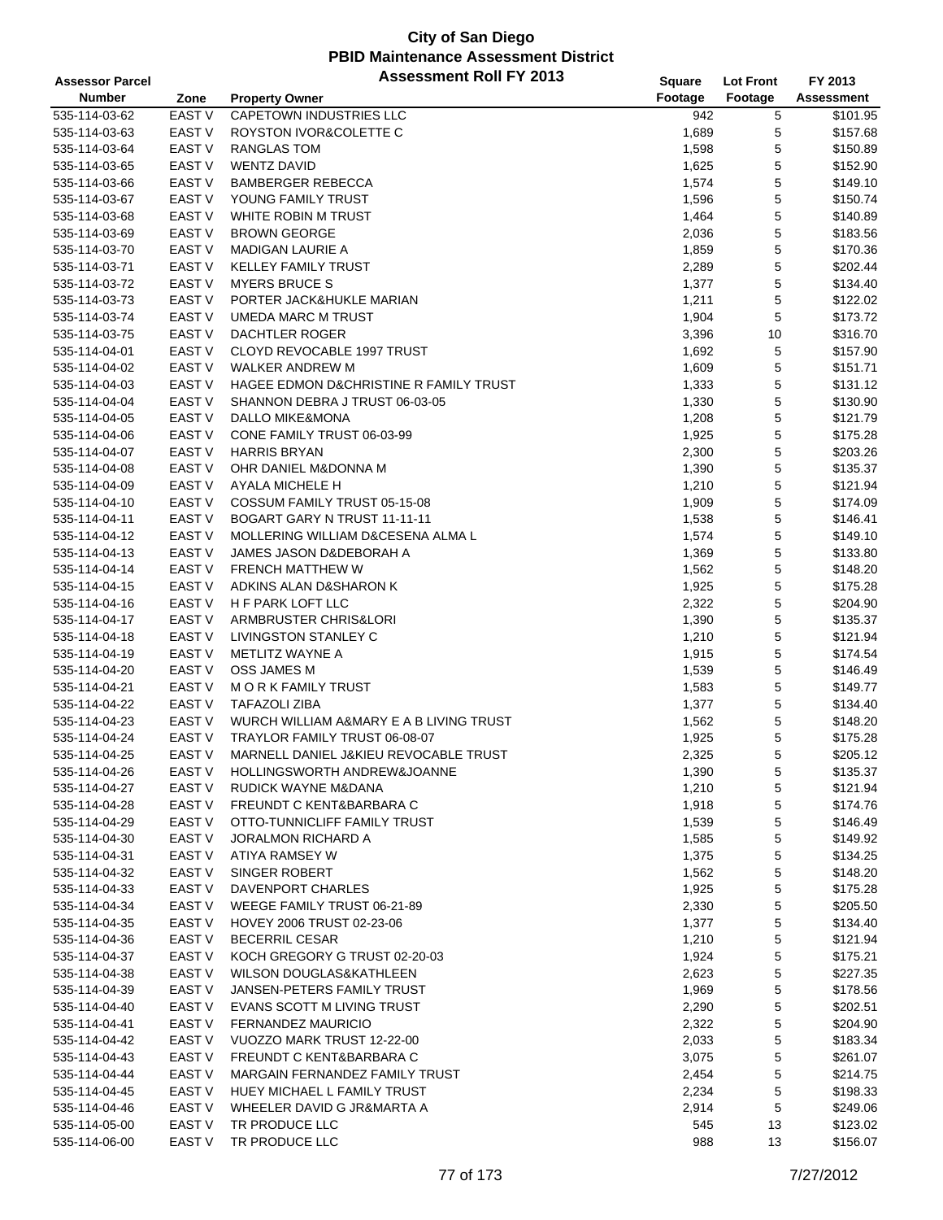| <b>Assessor Parcel</b>         |                   | <b>Assessment Roll FY 2013</b>          | Square  | <b>Lot Front</b> | FY 2013    |
|--------------------------------|-------------------|-----------------------------------------|---------|------------------|------------|
| <b>Number</b>                  | Zone              | <b>Property Owner</b>                   | Footage | Footage          | Assessment |
| 535-114-03-62                  | EAST V            | CAPETOWN INDUSTRIES LLC                 | 942     | 5                | \$101.95   |
| 535-114-03-63                  | EAST V            | ROYSTON IVOR&COLETTE C                  | 1,689   | 5                | \$157.68   |
| 535-114-03-64                  | <b>EAST V</b>     | <b>RANGLAS TOM</b>                      | 1,598   | 5                | \$150.89   |
| 535-114-03-65                  | EAST V            | <b>WENTZ DAVID</b>                      | 1,625   | 5                | \$152.90   |
| 535-114-03-66                  | EAST <sub>V</sub> | <b>BAMBERGER REBECCA</b>                | 1,574   | 5                | \$149.10   |
|                                | EAST <sub>V</sub> | YOUNG FAMILY TRUST                      |         | 5                | \$150.74   |
| 535-114-03-67                  | EAST V            | WHITE ROBIN M TRUST                     | 1,596   | 5                |            |
| 535-114-03-68                  |                   |                                         | 1,464   |                  | \$140.89   |
| 535-114-03-69                  | EAST <sub>V</sub> | <b>BROWN GEORGE</b>                     | 2,036   | 5                | \$183.56   |
| 535-114-03-70                  | <b>EAST V</b>     | <b>MADIGAN LAURIE A</b>                 | 1,859   | 5                | \$170.36   |
| 535-114-03-71                  | EAST V            | <b>KELLEY FAMILY TRUST</b>              | 2,289   | 5                | \$202.44   |
| 535-114-03-72                  | EAST V            | <b>MYERS BRUCE S</b>                    | 1,377   | 5                | \$134.40   |
| 535-114-03-73                  | <b>EAST V</b>     | PORTER JACK&HUKLE MARIAN                | 1,211   | $\mathbf 5$      | \$122.02   |
| 535-114-03-74                  | EAST V            | <b>UMEDA MARC M TRUST</b>               | 1,904   | 5                | \$173.72   |
| 535-114-03-75                  | EAST V            | DACHTLER ROGER                          | 3,396   | 10               | \$316.70   |
| 535-114-04-01                  | EAST V            | CLOYD REVOCABLE 1997 TRUST              | 1,692   | 5                | \$157.90   |
| 535-114-04-02                  | EAST <sub>V</sub> | WALKER ANDREW M                         | 1,609   | 5                | \$151.71   |
| 535-114-04-03                  | <b>EAST V</b>     | HAGEE EDMON D&CHRISTINE R FAMILY TRUST  | 1,333   | 5                | \$131.12   |
| 535-114-04-04                  | EAST V            | SHANNON DEBRA J TRUST 06-03-05          | 1,330   | 5                | \$130.90   |
| 535-114-04-05                  | EAST V            | DALLO MIKE&MONA                         | 1,208   | 5                | \$121.79   |
| 535-114-04-06                  | EAST <sub>V</sub> | CONE FAMILY TRUST 06-03-99              | 1,925   | 5                | \$175.28   |
| 535-114-04-07                  | EAST <sub>V</sub> | <b>HARRIS BRYAN</b>                     | 2,300   | 5                | \$203.26   |
| 535-114-04-08                  | EAST V            | OHR DANIEL M&DONNA M                    | 1,390   | 5                | \$135.37   |
| 535-114-04-09                  | <b>EAST V</b>     | AYALA MICHELE H                         | 1,210   | 5                | \$121.94   |
| 535-114-04-10                  | <b>EAST V</b>     | COSSUM FAMILY TRUST 05-15-08            | 1,909   | 5                | \$174.09   |
| 535-114-04-11                  | <b>EAST V</b>     | BOGART GARY N TRUST 11-11-11            | 1,538   | 5                | \$146.41   |
| 535-114-04-12                  | EAST <sub>V</sub> | MOLLERING WILLIAM D&CESENA ALMA L       | 1,574   | 5                | \$149.10   |
| 535-114-04-13                  | EAST <sub>V</sub> | JAMES JASON D&DEBORAH A                 | 1,369   | 5                | \$133.80   |
| 535-114-04-14                  | <b>EAST V</b>     | <b>FRENCH MATTHEW W</b>                 | 1,562   | 5                | \$148.20   |
| 535-114-04-15                  | EAST V            | ADKINS ALAN D&SHARON K                  | 1,925   | 5                | \$175.28   |
| 535-114-04-16                  | EAST <sub>V</sub> | H F PARK LOFT LLC                       | 2,322   | 5                | \$204.90   |
| 535-114-04-17                  | <b>EAST V</b>     | ARMBRUSTER CHRIS&LORI                   | 1,390   | 5                | \$135.37   |
| 535-114-04-18                  | EAST <sub>V</sub> | LIVINGSTON STANLEY C                    | 1,210   | 5                | \$121.94   |
| 535-114-04-19                  | <b>EAST V</b>     | METLITZ WAYNE A                         | 1,915   | 5                | \$174.54   |
| 535-114-04-20                  | <b>EAST V</b>     | OSS JAMES M                             | 1,539   | 5                | \$146.49   |
|                                | EAST V            | M O R K FAMILY TRUST                    |         | 5                | \$149.77   |
| 535-114-04-21<br>535-114-04-22 | EAST V            | <b>TAFAZOLI ZIBA</b>                    | 1,583   | 5                | \$134.40   |
|                                |                   |                                         | 1,377   |                  |            |
| 535-114-04-23                  | EAST <sub>V</sub> | WURCH WILLIAM A&MARY E A B LIVING TRUST | 1,562   | 5                | \$148.20   |
| 535-114-04-24                  | EAST <sub>V</sub> | TRAYLOR FAMILY TRUST 06-08-07           | 1,925   | 5                | \$175.28   |
| 535-114-04-25                  | <b>EAST V</b>     | MARNELL DANIEL J&KIEU REVOCABLE TRUST   | 2,325   | 5                | \$205.12   |
| 535-114-04-26                  | EAST V            | HOLLINGSWORTH ANDREW&JOANNE             | 1,390   | 5                | \$135.37   |
| 535-114-04-27                  | EAST V            | RUDICK WAYNE M&DANA                     | 1,210   | 5                | \$121.94   |
| 535-114-04-28                  | EAST V            | FREUNDT C KENT&BARBARA C                | 1,918   | 5                | \$174.76   |
| 535-114-04-29                  | EAST V            | OTTO-TUNNICLIFF FAMILY TRUST            | 1,539   | 5                | \$146.49   |
| 535-114-04-30                  | EAST V            | <b>JORALMON RICHARD A</b>               | 1,585   | 5                | \$149.92   |
| 535-114-04-31                  | EAST V            | ATIYA RAMSEY W                          | 1,375   | 5                | \$134.25   |
| 535-114-04-32                  | EAST V            | SINGER ROBERT                           | 1,562   | 5                | \$148.20   |
| 535-114-04-33                  | EAST V            | DAVENPORT CHARLES                       | 1,925   | 5                | \$175.28   |
| 535-114-04-34                  | EAST V            | WEEGE FAMILY TRUST 06-21-89             | 2,330   | 5                | \$205.50   |
| 535-114-04-35                  | EAST V            | HOVEY 2006 TRUST 02-23-06               | 1,377   | 5                | \$134.40   |
| 535-114-04-36                  | <b>EAST V</b>     | <b>BECERRIL CESAR</b>                   | 1,210   | 5                | \$121.94   |
| 535-114-04-37                  | EAST V            | KOCH GREGORY G TRUST 02-20-03           | 1,924   | 5                | \$175.21   |
| 535-114-04-38                  | EAST V            | WILSON DOUGLAS&KATHLEEN                 | 2,623   | 5                | \$227.35   |
| 535-114-04-39                  | EAST V            | JANSEN-PETERS FAMILY TRUST              | 1,969   | 5                | \$178.56   |
| 535-114-04-40                  | EAST V            | EVANS SCOTT M LIVING TRUST              | 2,290   | 5                | \$202.51   |
| 535-114-04-41                  | EAST V            | FERNANDEZ MAURICIO                      | 2,322   | 5                | \$204.90   |
| 535-114-04-42                  | EAST V            | VUOZZO MARK TRUST 12-22-00              | 2,033   | 5                | \$183.34   |
| 535-114-04-43                  | EAST V            | FREUNDT C KENT&BARBARA C                | 3,075   | 5                | \$261.07   |
| 535-114-04-44                  | EAST V            | MARGAIN FERNANDEZ FAMILY TRUST          | 2,454   | 5                | \$214.75   |
| 535-114-04-45                  | EAST V            | HUEY MICHAEL L FAMILY TRUST             | 2,234   | 5                | \$198.33   |
| 535-114-04-46                  | EAST V            | WHEELER DAVID G JR&MARTA A              | 2,914   | 5                | \$249.06   |
| 535-114-05-00                  | EAST V            | TR PRODUCE LLC                          | 545     | 13               | \$123.02   |
| 535-114-06-00                  | EAST V            | TR PRODUCE LLC                          | 988     | 13               | \$156.07   |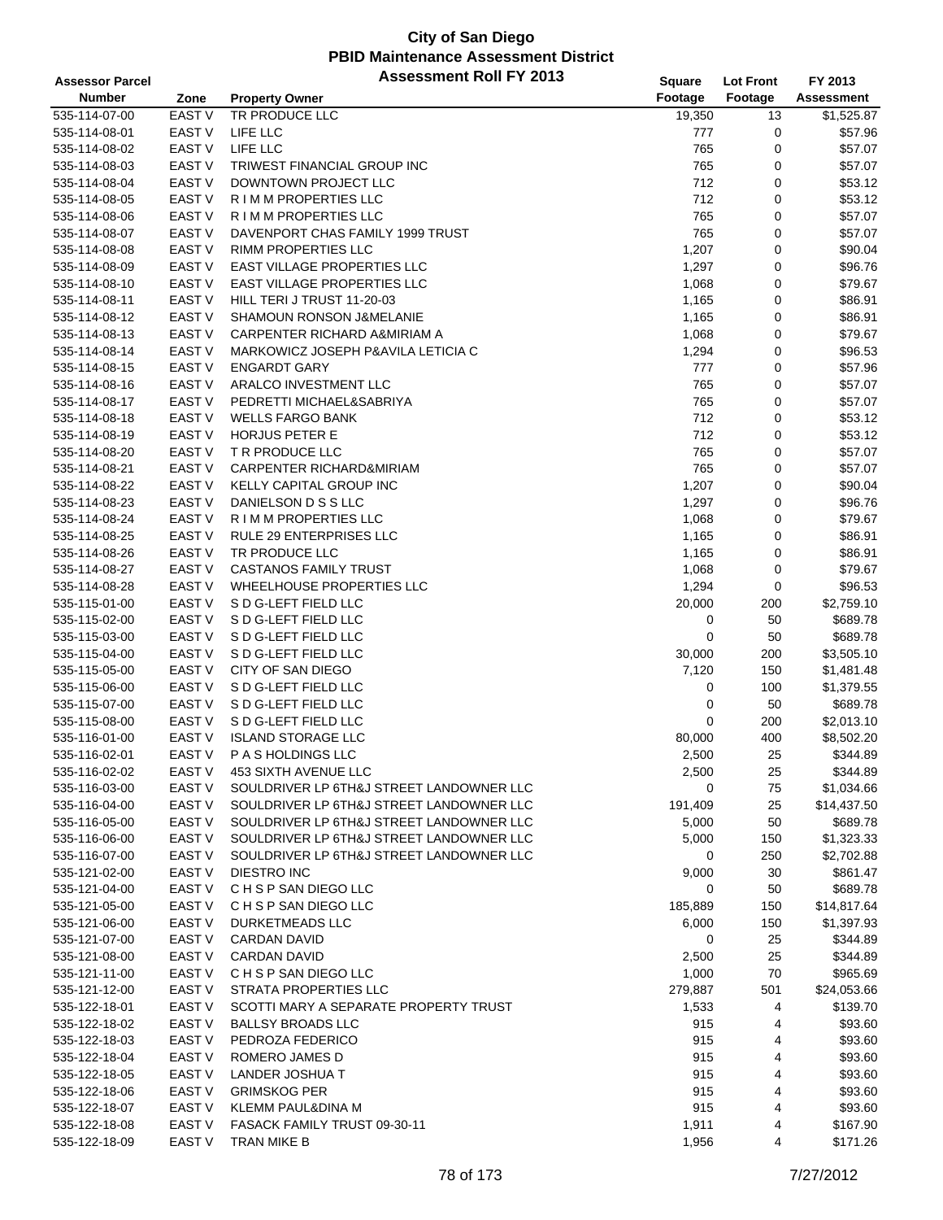| <b>Assessor Parcel</b> |                   | <b>Assessment Roll FY 2013</b>           | Square  | <b>Lot Front</b> | FY 2013     |
|------------------------|-------------------|------------------------------------------|---------|------------------|-------------|
| <b>Number</b>          | Zone              | <b>Property Owner</b>                    | Footage | Footage          | Assessment  |
| 535-114-07-00          | <b>EAST V</b>     | TR PRODUCE LLC                           | 19,350  | 13               | \$1,525.87  |
| 535-114-08-01          | EAST <sub>V</sub> | LIFE LLC                                 | 777     | 0                | \$57.96     |
| 535-114-08-02          | <b>EAST V</b>     | LIFE LLC                                 | 765     | 0                | \$57.07     |
| 535-114-08-03          | <b>EAST V</b>     | TRIWEST FINANCIAL GROUP INC              | 765     | $\mathbf 0$      | \$57.07     |
| 535-114-08-04          | <b>EAST V</b>     | DOWNTOWN PROJECT LLC                     | 712     | 0                | \$53.12     |
| 535-114-08-05          | EAST <sub>V</sub> | R I M M PROPERTIES LLC                   | 712     | 0                | \$53.12     |
| 535-114-08-06          | EAST <sub>V</sub> | R I M M PROPERTIES LLC                   | 765     | 0                | \$57.07     |
| 535-114-08-07          | <b>EAST V</b>     | DAVENPORT CHAS FAMILY 1999 TRUST         | 765     | 0                | \$57.07     |
| 535-114-08-08          | <b>EAST V</b>     | <b>RIMM PROPERTIES LLC</b>               | 1,207   | $\pmb{0}$        | \$90.04     |
| 535-114-08-09          | <b>EAST V</b>     | <b>EAST VILLAGE PROPERTIES LLC</b>       | 1,297   | 0                | \$96.76     |
| 535-114-08-10          | <b>EAST V</b>     | <b>EAST VILLAGE PROPERTIES LLC</b>       | 1,068   | 0                | \$79.67     |
| 535-114-08-11          | <b>EAST V</b>     | HILL TERI J TRUST 11-20-03               | 1,165   | $\pmb{0}$        | \$86.91     |
| 535-114-08-12          | <b>EAST V</b>     | SHAMOUN RONSON J&MELANIE                 | 1,165   | 0                | \$86.91     |
| 535-114-08-13          | <b>EAST V</b>     | CARPENTER RICHARD A&MIRIAM A             | 1,068   | $\mathbf 0$      | \$79.67     |
| 535-114-08-14          | EAST V            | MARKOWICZ JOSEPH P&AVILA LETICIA C       | 1,294   | $\mathbf 0$      | \$96.53     |
| 535-114-08-15          | <b>EAST V</b>     | <b>ENGARDT GARY</b>                      | 777     | 0                | \$57.96     |
| 535-114-08-16          | <b>EAST V</b>     | ARALCO INVESTMENT LLC                    | 765     | 0                | \$57.07     |
| 535-114-08-17          | EAST V            | PEDRETTI MICHAEL&SABRIYA                 | 765     | $\mathbf 0$      | \$57.07     |
| 535-114-08-18          | <b>EAST V</b>     | <b>WELLS FARGO BANK</b>                  | 712     | 0                | \$53.12     |
| 535-114-08-19          | <b>EAST V</b>     | <b>HORJUS PETER E</b>                    | 712     | $\mathbf 0$      | \$53.12     |
| 535-114-08-20          | <b>EAST V</b>     | T R PRODUCE LLC                          | 765     | 0                | \$57.07     |
| 535-114-08-21          | <b>EAST V</b>     | CARPENTER RICHARD&MIRIAM                 | 765     | 0                | \$57.07     |
| 535-114-08-22          | <b>EAST V</b>     | <b>KELLY CAPITAL GROUP INC</b>           |         | $\pmb{0}$        | \$90.04     |
|                        |                   |                                          | 1,207   |                  |             |
| 535-114-08-23          | EAST <sub>V</sub> | DANIELSON D S S LLC                      | 1,297   | 0                | \$96.76     |
| 535-114-08-24          | <b>EAST V</b>     | R I M M PROPERTIES LLC                   | 1,068   | 0                | \$79.67     |
| 535-114-08-25          | <b>EAST V</b>     | RULE 29 ENTERPRISES LLC                  | 1,165   | $\mathbf 0$      | \$86.91     |
| 535-114-08-26          | <b>EAST V</b>     | TR PRODUCE LLC                           | 1,165   | $\pmb{0}$        | \$86.91     |
| 535-114-08-27          | <b>EAST V</b>     | <b>CASTANOS FAMILY TRUST</b>             | 1,068   | $\pmb{0}$        | \$79.67     |
| 535-114-08-28          | EAST V            | WHEELHOUSE PROPERTIES LLC                | 1,294   | 0                | \$96.53     |
| 535-115-01-00          | EAST V            | S D G-LEFT FIELD LLC                     | 20,000  | 200              | \$2,759.10  |
| 535-115-02-00          | EAST <sub>V</sub> | S D G-LEFT FIELD LLC                     | 0       | 50               | \$689.78    |
| 535-115-03-00          | <b>EAST V</b>     | S D G-LEFT FIELD LLC                     | 0       | 50               | \$689.78    |
| 535-115-04-00          | <b>EAST V</b>     | S D G-LEFT FIELD LLC                     | 30,000  | 200              | \$3,505.10  |
| 535-115-05-00          | <b>EAST V</b>     | CITY OF SAN DIEGO                        | 7,120   | 150              | \$1,481.48  |
| 535-115-06-00          | EAST V            | S D G-LEFT FIELD LLC                     | 0       | 100              | \$1,379.55  |
| 535-115-07-00          | EAST V            | S D G-LEFT FIELD LLC                     | 0       | 50               | \$689.78    |
| 535-115-08-00          | EAST <sub>V</sub> | S D G-LEFT FIELD LLC                     | 0       | 200              | \$2,013.10  |
| 535-116-01-00          | EAST <sub>V</sub> | <b>ISLAND STORAGE LLC</b>                | 80,000  | 400              | \$8,502.20  |
| 535-116-02-01          | <b>EAST V</b>     | P A S HOLDINGS LLC                       | 2,500   | 25               | \$344.89    |
| 535-116-02-02          | EAST V            | 453 SIXTH AVENUE LLC                     | 2,500   | 25               | \$344.89    |
| 535-116-03-00          | EAST V            | SOULDRIVER LP 6TH&J STREET LANDOWNER LLC | 0       | 75               | \$1,034.66  |
| 535-116-04-00          | <b>EAST V</b>     | SOULDRIVER LP 6TH&J STREET LANDOWNER LLC | 191,409 | 25               | \$14,437.50 |
| 535-116-05-00          | EAST V            | SOULDRIVER LP 6TH&J STREET LANDOWNER LLC | 5,000   | 50               | \$689.78    |
| 535-116-06-00          | <b>EAST V</b>     | SOULDRIVER LP 6TH&J STREET LANDOWNER LLC | 5,000   | 150              | \$1,323.33  |
| 535-116-07-00          | <b>EAST V</b>     | SOULDRIVER LP 6TH&J STREET LANDOWNER LLC | 0       | 250              | \$2,702.88  |
| 535-121-02-00          | EAST V            | DIESTRO INC                              | 9,000   | 30               | \$861.47    |
| 535-121-04-00          | EAST V            | C H S P SAN DIEGO LLC                    | 0       | 50               | \$689.78    |
| 535-121-05-00          | EAST V            | CHSP SAN DIEGO LLC                       | 185,889 | 150              | \$14,817.64 |
| 535-121-06-00          | EAST <sub>V</sub> | DURKETMEADS LLC                          | 6,000   | 150              | \$1,397.93  |
| 535-121-07-00          | <b>EAST V</b>     | <b>CARDAN DAVID</b>                      | 0       | 25               | \$344.89    |
| 535-121-08-00          | EAST V            | <b>CARDAN DAVID</b>                      | 2,500   | 25               | \$344.89    |
| 535-121-11-00          | EAST V            | C H S P SAN DIEGO LLC                    | 1,000   | 70               | \$965.69    |
| 535-121-12-00          | EAST V            | STRATA PROPERTIES LLC                    | 279,887 | 501              | \$24,053.66 |
| 535-122-18-01          | EAST V            | SCOTTI MARY A SEPARATE PROPERTY TRUST    | 1,533   | 4                | \$139.70    |
| 535-122-18-02          | EAST V            | <b>BALLSY BROADS LLC</b>                 | 915     | 4                | \$93.60     |
| 535-122-18-03          | EAST V            | PEDROZA FEDERICO                         | 915     | 4                | \$93.60     |
| 535-122-18-04          | EAST V            | ROMERO JAMES D                           | 915     | 4                | \$93.60     |
| 535-122-18-05          | EAST V            | LANDER JOSHUA T                          | 915     | 4                | \$93.60     |
| 535-122-18-06          | EAST <sub>V</sub> | <b>GRIMSKOG PER</b>                      | 915     | 4                | \$93.60     |
| 535-122-18-07          | EAST <sub>V</sub> | <b>KLEMM PAUL&amp;DINA M</b>             | 915     | 4                | \$93.60     |
| 535-122-18-08          | EAST <sub>V</sub> | FASACK FAMILY TRUST 09-30-11             | 1,911   | 4                | \$167.90    |
| 535-122-18-09          | EAST V            | TRAN MIKE B                              | 1,956   | 4                | \$171.26    |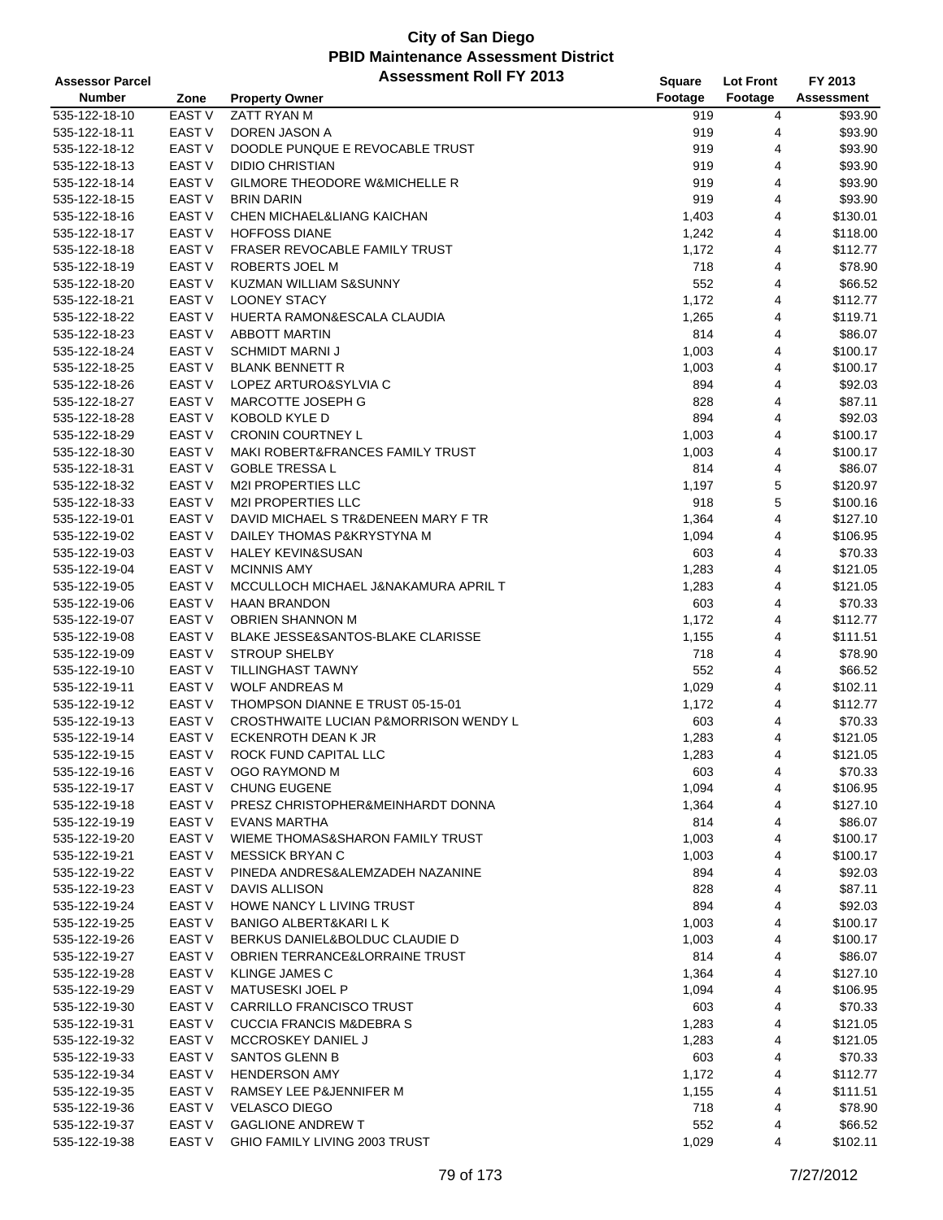| <b>Assessor Parcel</b> |                   | <b>Assessment Roll FY 2013</b>              | Square       | Lot Front      | FY 2013    |
|------------------------|-------------------|---------------------------------------------|--------------|----------------|------------|
| <b>Number</b>          | Zone              | <b>Property Owner</b>                       | Footage      | Footage        | Assessment |
| 535-122-18-10          | <b>EAST V</b>     | ZATT RYAN M                                 | 919          | 4              | \$93.90    |
| 535-122-18-11          | <b>EAST V</b>     | DOREN JASON A                               | 919          | 4              | \$93.90    |
| 535-122-18-12          | <b>EAST V</b>     | DOODLE PUNQUE E REVOCABLE TRUST             | 919          | 4              | \$93.90    |
| 535-122-18-13          | <b>EAST V</b>     | <b>DIDIO CHRISTIAN</b>                      | 919          | 4              | \$93.90    |
| 535-122-18-14          | <b>EAST V</b>     | GILMORE THEODORE W&MICHELLE R               | 919          | 4              | \$93.90    |
| 535-122-18-15          | EAST <sub>V</sub> | <b>BRIN DARIN</b>                           | 919          | 4              | \$93.90    |
| 535-122-18-16          | EAST V            | CHEN MICHAEL&LIANG KAICHAN                  | 1,403        | 4              | \$130.01   |
| 535-122-18-17          | <b>EAST V</b>     | <b>HOFFOSS DIANE</b>                        | 1,242        | 4              | \$118.00   |
| 535-122-18-18          | <b>EAST V</b>     | FRASER REVOCABLE FAMILY TRUST               | 1,172        | 4              | \$112.77   |
| 535-122-18-19          | EAST V            | ROBERTS JOEL M                              | 718          | 4              | \$78.90    |
| 535-122-18-20          | EAST <sub>V</sub> | KUZMAN WILLIAM S&SUNNY                      | 552          | 4              | \$66.52    |
| 535-122-18-21          | EAST V            | <b>LOONEY STACY</b>                         | 1,172        | 4              | \$112.77   |
| 535-122-18-22          | <b>EAST V</b>     | HUERTA RAMON&ESCALA CLAUDIA                 | 1,265        | 4              | \$119.71   |
| 535-122-18-23          | <b>EAST V</b>     | <b>ABBOTT MARTIN</b>                        | 814          | 4              | \$86.07    |
| 535-122-18-24          | EAST V            | <b>SCHMIDT MARNI J</b>                      | 1,003        | 4              | \$100.17   |
| 535-122-18-25          | EAST V            | <b>BLANK BENNETT R</b>                      | 1,003        | 4              | \$100.17   |
| 535-122-18-26          | <b>EAST V</b>     | LOPEZ ARTURO&SYLVIA C                       | 894          | 4              | \$92.03    |
| 535-122-18-27          | EAST V            | MARCOTTE JOSEPH G                           | 828          | 4              | \$87.11    |
| 535-122-18-28          | <b>EAST V</b>     | KOBOLD KYLE D                               | 894          | 4              | \$92.03    |
| 535-122-18-29          | <b>EAST V</b>     | <b>CRONIN COURTNEY L</b>                    | 1,003        | 4              | \$100.17   |
| 535-122-18-30          | <b>EAST V</b>     | <b>MAKI ROBERT&amp;FRANCES FAMILY TRUST</b> | 1,003        | 4              | \$100.17   |
| 535-122-18-31          | <b>EAST V</b>     | <b>GOBLE TRESSA L</b>                       | 814          | 4              | \$86.07    |
| 535-122-18-32          | EAST V            | <b>M2I PROPERTIES LLC</b>                   |              | 5              | \$120.97   |
|                        | EAST V            | <b>M2I PROPERTIES LLC</b>                   | 1,197<br>918 | 5              | \$100.16   |
| 535-122-18-33          |                   |                                             |              |                |            |
| 535-122-19-01          | <b>EAST V</b>     | DAVID MICHAEL S TR&DENEEN MARY F TR         | 1,364        | 4              | \$127.10   |
| 535-122-19-02          | EAST V            | DAILEY THOMAS P&KRYSTYNA M                  | 1,094        | 4              | \$106.95   |
| 535-122-19-03          | <b>EAST V</b>     | <b>HALEY KEVIN&amp;SUSAN</b>                | 603          | 4              | \$70.33    |
| 535-122-19-04          | <b>EAST V</b>     | <b>MCINNIS AMY</b>                          | 1,283        | 4              | \$121.05   |
| 535-122-19-05          | EAST V            | MCCULLOCH MICHAEL J&NAKAMURA APRIL T        | 1,283        | 4              | \$121.05   |
| 535-122-19-06          | EAST V            | <b>HAAN BRANDON</b>                         | 603          | 4              | \$70.33    |
| 535-122-19-07          | EAST <sub>V</sub> | <b>OBRIEN SHANNON M</b>                     | 1,172        | 4              | \$112.77   |
| 535-122-19-08          | <b>EAST V</b>     | BLAKE JESSE&SANTOS-BLAKE CLARISSE           | 1,155        | 4              | \$111.51   |
| 535-122-19-09          | <b>EAST V</b>     | <b>STROUP SHELBY</b>                        | 718          | 4              | \$78.90    |
| 535-122-19-10          | <b>EAST V</b>     | TILLINGHAST TAWNY                           | 552          | 4              | \$66.52    |
| 535-122-19-11          | EAST V            | <b>WOLF ANDREAS M</b>                       | 1,029        | 4              | \$102.11   |
| 535-122-19-12          | EAST V            | THOMPSON DIANNE E TRUST 05-15-01            | 1,172        | 4              | \$112.77   |
| 535-122-19-13          | EAST V            | CROSTHWAITE LUCIAN P&MORRISON WENDY L       | 603          | 4              | \$70.33    |
| 535-122-19-14          | EAST V            | ECKENROTH DEAN K JR                         | 1,283        | 4              | \$121.05   |
| 535-122-19-15          | <b>EAST V</b>     | ROCK FUND CAPITAL LLC                       | 1,283        | $\overline{4}$ | \$121.05   |
| 535-122-19-16          | EAST V            | OGO RAYMOND M                               | 603          | 4              | \$70.33    |
| 535-122-19-17          | EAST V            | <b>CHUNG EUGENE</b>                         | 1,094        | 4              | \$106.95   |
| 535-122-19-18          | EAST V            | PRESZ CHRISTOPHER&MEINHARDT DONNA           | 1,364        | 4              | \$127.10   |
| 535-122-19-19          | EAST V            | <b>EVANS MARTHA</b>                         | 814          | 4              | \$86.07    |
| 535-122-19-20          | EAST V            | WIEME THOMAS&SHARON FAMILY TRUST            | 1,003        | 4              | \$100.17   |
| 535-122-19-21          | EAST V            | <b>MESSICK BRYAN C</b>                      | 1,003        | 4              | \$100.17   |
| 535-122-19-22          | EAST V            | PINEDA ANDRES&ALEMZADEH NAZANINE            | 894          | 4              | \$92.03    |
| 535-122-19-23          | EAST V            | <b>DAVIS ALLISON</b>                        | 828          | 4              | \$87.11    |
| 535-122-19-24          | EAST V            | HOWE NANCY L LIVING TRUST                   | 894          | 4              | \$92.03    |
| 535-122-19-25          | EAST V            | BANIGO ALBERT&KARI L K                      | 1,003        | 4              | \$100.17   |
| 535-122-19-26          | EAST V            | BERKUS DANIEL&BOLDUC CLAUDIE D              | 1,003        | 4              | \$100.17   |
| 535-122-19-27          | EAST V            | OBRIEN TERRANCE&LORRAINE TRUST              | 814          | 4              | \$86.07    |
| 535-122-19-28          | EAST V            | <b>KLINGE JAMES C</b>                       | 1,364        | 4              | \$127.10   |
| 535-122-19-29          | EAST V            | MATUSESKI JOEL P                            | 1,094        | 4              | \$106.95   |
| 535-122-19-30          | EAST V            | CARRILLO FRANCISCO TRUST                    | 603          | 4              | \$70.33    |
| 535-122-19-31          | EAST V            | <b>CUCCIA FRANCIS M&amp;DEBRA S</b>         | 1,283        | 4              | \$121.05   |
| 535-122-19-32          | EAST V            | MCCROSKEY DANIEL J                          | 1,283        | 4              | \$121.05   |
| 535-122-19-33          | EAST V            | <b>SANTOS GLENN B</b>                       | 603          | 4              | \$70.33    |
| 535-122-19-34          | EAST V            | <b>HENDERSON AMY</b>                        | 1,172        | 4              | \$112.77   |
| 535-122-19-35          | EAST V            | RAMSEY LEE P&JENNIFER M                     | 1,155        | 4              | \$111.51   |
| 535-122-19-36          | EAST V            | <b>VELASCO DIEGO</b>                        | 718          | 4              | \$78.90    |
| 535-122-19-37          | EAST V            | <b>GAGLIONE ANDREW T</b>                    | 552          | 4              | \$66.52    |
| 535-122-19-38          | EAST V            | GHIO FAMILY LIVING 2003 TRUST               | 1,029        | 4              | \$102.11   |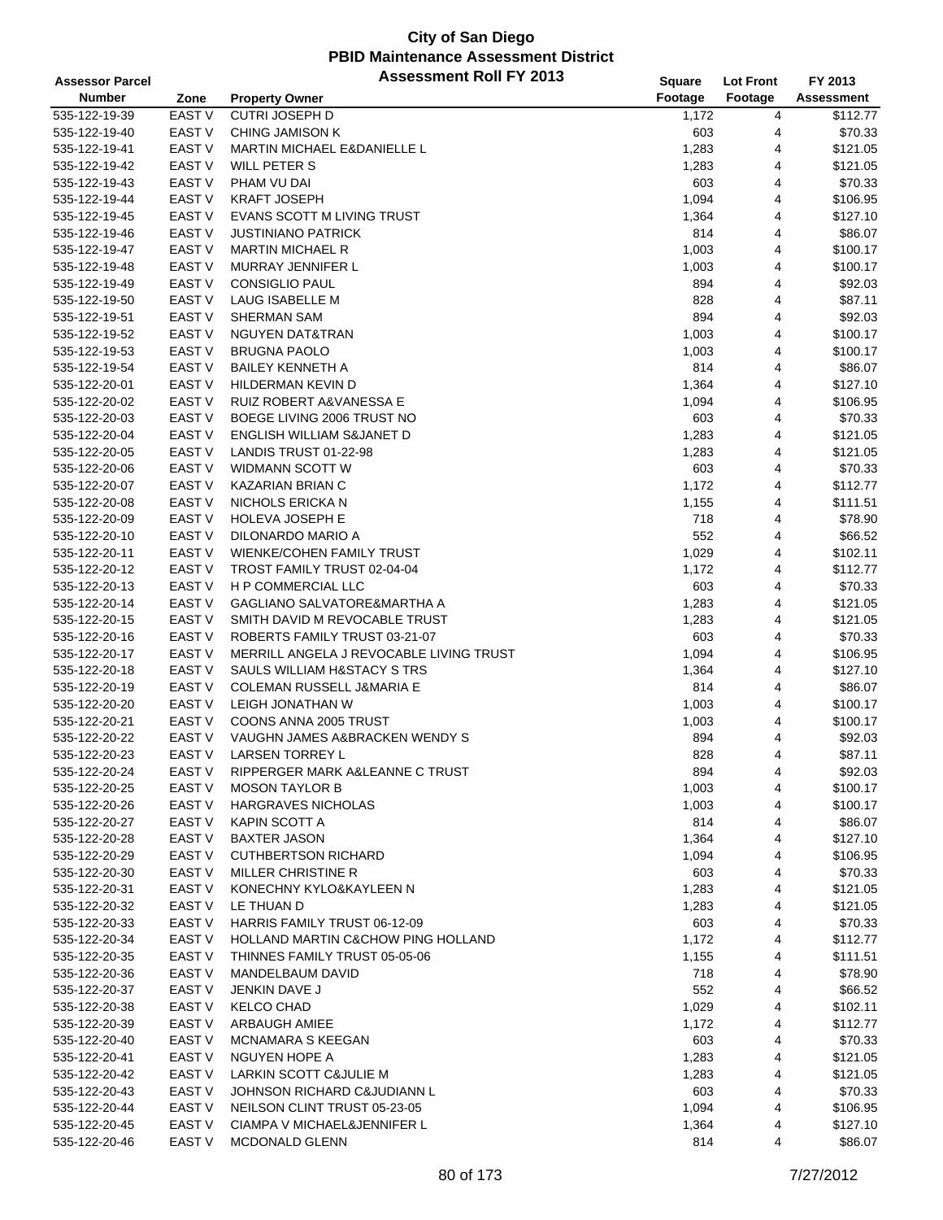| <b>Assessor Parcel</b> |                   | <b>Assessment Roll FY 2013</b>                | Square  | <b>Lot Front</b> | FY 2013           |
|------------------------|-------------------|-----------------------------------------------|---------|------------------|-------------------|
| <b>Number</b>          | Zone              | <b>Property Owner</b>                         | Footage | Footage          | <b>Assessment</b> |
| 535-122-19-39          | <b>EAST V</b>     | <b>CUTRI JOSEPH D</b>                         | 1,172   | 4                | \$112.77          |
| 535-122-19-40          | EAST V            | CHING JAMISON K                               | 603     | 4                | \$70.33           |
| 535-122-19-41          | <b>EAST V</b>     | <b>MARTIN MICHAEL E&amp;DANIELLE L</b>        | 1,283   | 4                | \$121.05          |
| 535-122-19-42          | <b>EAST V</b>     | WILL PETER S                                  | 1,283   | 4                | \$121.05          |
| 535-122-19-43          | EAST <sub>V</sub> | PHAM VU DAI                                   | 603     | 4                | \$70.33           |
| 535-122-19-44          | <b>EAST V</b>     | <b>KRAFT JOSEPH</b>                           | 1,094   | 4                | \$106.95          |
| 535-122-19-45          | EAST V            | EVANS SCOTT M LIVING TRUST                    | 1,364   | 4                | \$127.10          |
| 535-122-19-46          | <b>EAST V</b>     | <b>JUSTINIANO PATRICK</b>                     | 814     | 4                | \$86.07           |
| 535-122-19-47          | <b>EAST V</b>     | <b>MARTIN MICHAEL R</b>                       |         | 4                | \$100.17          |
| 535-122-19-48          | <b>EAST V</b>     | MURRAY JENNIFER L                             | 1,003   |                  |                   |
|                        | <b>EAST V</b>     |                                               | 1,003   | 4                | \$100.17          |
| 535-122-19-49          |                   | <b>CONSIGLIO PAUL</b>                         | 894     | 4                | \$92.03           |
| 535-122-19-50          | <b>EAST V</b>     | LAUG ISABELLE M                               | 828     | 4                | \$87.11           |
| 535-122-19-51          | EAST V            | <b>SHERMAN SAM</b>                            | 894     | 4                | \$92.03           |
| 535-122-19-52          | <b>EAST V</b>     | NGUYEN DAT&TRAN                               | 1,003   | 4                | \$100.17          |
| 535-122-19-53          | <b>EAST V</b>     | <b>BRUGNA PAOLO</b>                           | 1,003   | 4                | \$100.17          |
| 535-122-19-54          | EAST <sub>V</sub> | <b>BAILEY KENNETH A</b>                       | 814     | 4                | \$86.07           |
| 535-122-20-01          | <b>EAST V</b>     | HILDERMAN KEVIN D                             | 1,364   | 4                | \$127.10          |
| 535-122-20-02          | EAST V            | <b>RUIZ ROBERT A&amp;VANESSA E</b>            | 1,094   | 4                | \$106.95          |
| 535-122-20-03          | <b>EAST V</b>     | BOEGE LIVING 2006 TRUST NO                    | 603     | 4                | \$70.33           |
| 535-122-20-04          | <b>EAST V</b>     | ENGLISH WILLIAM S&JANET D                     | 1,283   | 4                | \$121.05          |
| 535-122-20-05          | <b>EAST V</b>     | LANDIS TRUST 01-22-98                         | 1,283   | 4                | \$121.05          |
| 535-122-20-06          | <b>EAST V</b>     | <b>WIDMANN SCOTT W</b>                        | 603     | 4                | \$70.33           |
| 535-122-20-07          | <b>EAST V</b>     | <b>KAZARIAN BRIAN C</b>                       | 1,172   | 4                | \$112.77          |
| 535-122-20-08          | EAST <sub>V</sub> | NICHOLS ERICKA N                              | 1,155   | 4                | \$111.51          |
| 535-122-20-09          | <b>EAST V</b>     | <b>HOLEVA JOSEPH E</b>                        | 718     | 4                | \$78.90           |
| 535-122-20-10          | <b>EAST V</b>     | DILONARDO MARIO A                             | 552     | 4                | \$66.52           |
| 535-122-20-11          | <b>EAST V</b>     | WIENKE/COHEN FAMILY TRUST                     | 1,029   | 4                | \$102.11          |
| 535-122-20-12          | <b>EAST V</b>     | TROST FAMILY TRUST 02-04-04                   | 1,172   | 4                | \$112.77          |
| 535-122-20-13          | EAST V            | H P COMMERCIAL LLC                            | 603     | 4                | \$70.33           |
| 535-122-20-14          | EAST V            | GAGLIANO SALVATORE&MARTHA A                   | 1,283   | 4                | \$121.05          |
| 535-122-20-15          | EAST <sub>V</sub> | SMITH DAVID M REVOCABLE TRUST                 | 1,283   | 4                | \$121.05          |
| 535-122-20-16          | <b>EAST V</b>     | ROBERTS FAMILY TRUST 03-21-07                 | 603     | 4                | \$70.33           |
| 535-122-20-17          | <b>EAST V</b>     | MERRILL ANGELA J REVOCABLE LIVING TRUST       | 1,094   | 4                | \$106.95          |
| 535-122-20-18          | <b>EAST V</b>     | SAULS WILLIAM H&STACY STRS                    | 1,364   | 4                | \$127.10          |
| 535-122-20-19          | <b>EAST V</b>     | COLEMAN RUSSELL J&MARIA E                     | 814     | 4                | \$86.07           |
| 535-122-20-20          | EAST V            | LEIGH JONATHAN W                              | 1,003   | 4                | \$100.17          |
| 535-122-20-21          | EAST <sub>V</sub> | COONS ANNA 2005 TRUST                         | 1,003   | 4                | \$100.17          |
| 535-122-20-22          | EAST <sub>V</sub> | VAUGHN JAMES A&BRACKEN WENDY S                | 894     | 4                | \$92.03           |
| 535-122-20-23          | <b>EAST V</b>     | <b>LARSEN TORREY L</b>                        | 828     | 4                | \$87.11           |
| 535-122-20-24          | EAST V            | RIPPERGER MARK A&LEANNE C TRUST               | 894     | 4                | \$92.03           |
| 535-122-20-25          | EAST V            | <b>MOSON TAYLOR B</b>                         |         | 4                | \$100.17          |
|                        |                   |                                               | 1,003   |                  |                   |
| 535-122-20-26          | EAST V            | <b>HARGRAVES NICHOLAS</b>                     | 1,003   | 4                | \$100.17          |
| 535-122-20-27          | EAST V            | KAPIN SCOTT A                                 | 814     | 4                | \$86.07           |
| 535-122-20-28          | EAST V            | <b>BAXTER JASON</b>                           | 1,364   | 4                | \$127.10          |
| 535-122-20-29          | EAST V            | <b>CUTHBERTSON RICHARD</b>                    | 1,094   | 4                | \$106.95          |
| 535-122-20-30          | EAST V            | MILLER CHRISTINE R                            | 603     | 4                | \$70.33           |
| 535-122-20-31          | EAST V            | KONECHNY KYLO&KAYLEEN N                       | 1,283   | 4                | \$121.05          |
| 535-122-20-32          | EAST V            | LE THUAN D                                    | 1,283   | 4                | \$121.05          |
| 535-122-20-33          | EAST V            | HARRIS FAMILY TRUST 06-12-09                  | 603     | 4                | \$70.33           |
| 535-122-20-34          | <b>EAST V</b>     | <b>HOLLAND MARTIN C&amp;CHOW PING HOLLAND</b> | 1,172   | 4                | \$112.77          |
| 535-122-20-35          | EAST V            | THINNES FAMILY TRUST 05-05-06                 | 1,155   | 4                | \$111.51          |
| 535-122-20-36          | EAST V            | MANDELBAUM DAVID                              | 718     | 4                | \$78.90           |
| 535-122-20-37          | EAST V            | JENKIN DAVE J                                 | 552     | 4                | \$66.52           |
| 535-122-20-38          | EAST V            | <b>KELCO CHAD</b>                             | 1,029   | 4                | \$102.11          |
| 535-122-20-39          | EAST V            | ARBAUGH AMIEE                                 | 1,172   | 4                | \$112.77          |
| 535-122-20-40          | EAST V            | <b>MCNAMARA S KEEGAN</b>                      | 603     | 4                | \$70.33           |
| 535-122-20-41          | EAST V            | NGUYEN HOPE A                                 | 1,283   | 4                | \$121.05          |
| 535-122-20-42          | EAST V            | LARKIN SCOTT C&JULIE M                        | 1,283   | 4                | \$121.05          |
| 535-122-20-43          | EAST V            | JOHNSON RICHARD C&JUDIANN L                   | 603     | 4                | \$70.33           |
| 535-122-20-44          | EAST V            | NEILSON CLINT TRUST 05-23-05                  | 1,094   | 4                | \$106.95          |
| 535-122-20-45          | EAST V            | <b>CIAMPA V MICHAEL&amp;JENNIFER L</b>        | 1,364   | 4                | \$127.10          |
| 535-122-20-46          | EAST V            | MCDONALD GLENN                                | 814     | 4                | \$86.07           |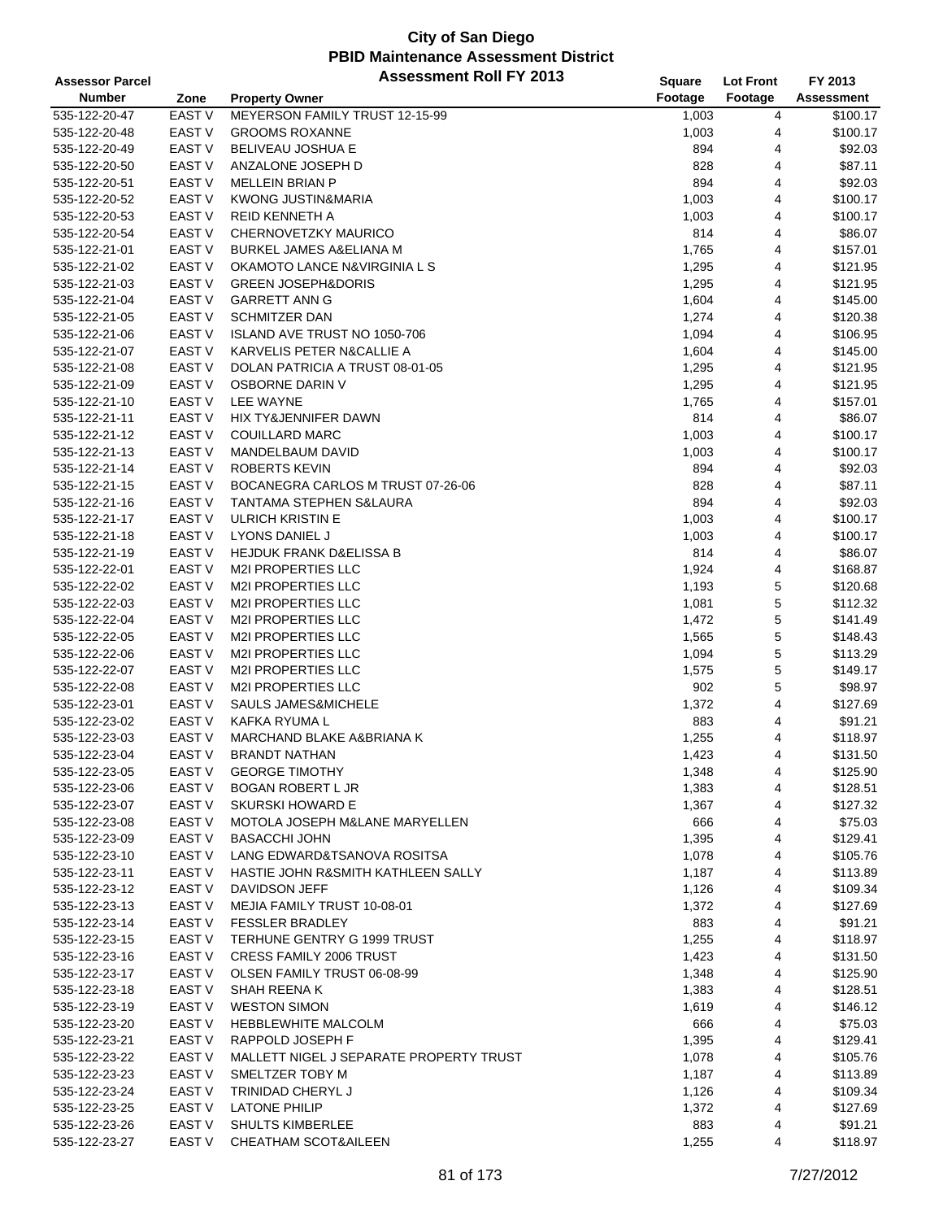| <b>Assessor Parcel</b>         |                   | <b>Assessment Roll FY 2013</b>          | Square  | <b>Lot Front</b> | FY 2013    |
|--------------------------------|-------------------|-----------------------------------------|---------|------------------|------------|
| <b>Number</b>                  | Zone              | <b>Property Owner</b>                   | Footage | Footage          | Assessment |
| 535-122-20-47                  | <b>EAST V</b>     | MEYERSON FAMILY TRUST 12-15-99          | 1,003   | 4                | \$100.17   |
| 535-122-20-48                  | EAST V            | <b>GROOMS ROXANNE</b>                   | 1,003   | 4                | \$100.17   |
| 535-122-20-49                  | <b>EAST V</b>     | BELIVEAU JOSHUA E                       | 894     | 4                | \$92.03    |
| 535-122-20-50                  | <b>EAST V</b>     | ANZALONE JOSEPH D                       | 828     | 4                | \$87.11    |
| 535-122-20-51                  | EAST V            | <b>MELLEIN BRIAN P</b>                  | 894     | 4                | \$92.03    |
|                                |                   |                                         |         |                  |            |
| 535-122-20-52                  | <b>EAST V</b>     | <b>KWONG JUSTIN&amp;MARIA</b>           | 1,003   | 4                | \$100.17   |
| 535-122-20-53                  | <b>EAST V</b>     | REID KENNETH A                          | 1,003   | 4                | \$100.17   |
| 535-122-20-54                  | EAST V            | CHERNOVETZKY MAURICO                    | 814     | 4                | \$86.07    |
| 535-122-21-01                  | <b>EAST V</b>     | <b>BURKEL JAMES A&amp;ELIANA M</b>      | 1,765   | 4                | \$157.01   |
| 535-122-21-02                  | EAST V            | OKAMOTO LANCE N&VIRGINIA L S            | 1,295   | 4                | \$121.95   |
| 535-122-21-03                  | <b>EAST V</b>     | <b>GREEN JOSEPH&amp;DORIS</b>           | 1,295   | 4                | \$121.95   |
| 535-122-21-04                  | <b>EAST V</b>     | <b>GARRETT ANN G</b>                    | 1,604   | 4                | \$145.00   |
| 535-122-21-05                  | EAST V            | <b>SCHMITZER DAN</b>                    | 1,274   | 4                | \$120.38   |
| 535-122-21-06                  | <b>EAST V</b>     | ISLAND AVE TRUST NO 1050-706            | 1,094   | 4                | \$106.95   |
| 535-122-21-07                  | <b>EAST V</b>     | KARVELIS PETER N&CALLIE A               | 1,604   | 4                | \$145.00   |
| 535-122-21-08                  | EAST V            | DOLAN PATRICIA A TRUST 08-01-05         | 1,295   | 4                | \$121.95   |
| 535-122-21-09                  | <b>EAST V</b>     | OSBORNE DARIN V                         | 1,295   | 4                | \$121.95   |
| 535-122-21-10                  | EAST V            | LEE WAYNE                               | 1,765   | 4                | \$157.01   |
| 535-122-21-11                  | EAST V            | HIX TY&JENNIFER DAWN                    | 814     | 4                | \$86.07    |
| 535-122-21-12                  | EAST V            | <b>COUILLARD MARC</b>                   | 1,003   | 4                | \$100.17   |
| 535-122-21-13                  | <b>EAST V</b>     | MANDELBAUM DAVID                        | 1,003   | 4                | \$100.17   |
| 535-122-21-14                  | <b>EAST V</b>     | <b>ROBERTS KEVIN</b>                    | 894     | 4                | \$92.03    |
| 535-122-21-15                  | EAST V            | BOCANEGRA CARLOS M TRUST 07-26-06       | 828     | 4                | \$87.11    |
| 535-122-21-16                  | EAST V            | TANTAMA STEPHEN S&LAURA                 | 894     | 4                | \$92.03    |
|                                | <b>EAST V</b>     |                                         |         | 4                |            |
| 535-122-21-17                  |                   | <b>ULRICH KRISTIN E</b>                 | 1,003   |                  | \$100.17   |
| 535-122-21-18                  | <b>EAST V</b>     | LYONS DANIEL J                          | 1,003   | 4                | \$100.17   |
| 535-122-21-19                  | <b>EAST V</b>     | HEJDUK FRANK D&ELISSA B                 | 814     | 4                | \$86.07    |
| 535-122-22-01                  | <b>EAST V</b>     | <b>M2I PROPERTIES LLC</b>               | 1,924   | 4                | \$168.87   |
| 535-122-22-02                  | EAST V            | <b>M2I PROPERTIES LLC</b>               | 1,193   | 5                | \$120.68   |
| 535-122-22-03                  | EAST V            | M2I PROPERTIES LLC                      | 1,081   | 5                | \$112.32   |
| 535-122-22-04                  | <b>EAST V</b>     | <b>M2I PROPERTIES LLC</b>               | 1,472   | 5                | \$141.49   |
| 535-122-22-05                  | <b>EAST V</b>     | <b>M2I PROPERTIES LLC</b>               | 1,565   | 5                | \$148.43   |
| 535-122-22-06                  | <b>EAST V</b>     | M2I PROPERTIES LLC                      | 1,094   | 5                | \$113.29   |
| 535-122-22-07                  | EAST V            | <b>M2I PROPERTIES LLC</b>               | 1,575   | 5                | \$149.17   |
| 535-122-22-08                  | EAST V            | <b>M2I PROPERTIES LLC</b>               | 902     | 5                | \$98.97    |
| 535-122-23-01                  | EAST V            | <b>SAULS JAMES&amp;MICHELE</b>          | 1,372   | 4                | \$127.69   |
| 535-122-23-02                  | <b>EAST V</b>     | KAFKA RYUMA L                           | 883     | 4                | \$91.21    |
| 535-122-23-03                  | EAST <sub>V</sub> | MARCHAND BLAKE A&BRIANA K               | 1,255   | 4                | \$118.97   |
| 535-122-23-04                  | <b>EAST V</b>     | <b>BRANDT NATHAN</b>                    | 1,423   | $\overline{4}$   | \$131.50   |
| 535-122-23-05                  | EAST V            | <b>GEORGE TIMOTHY</b>                   | 1,348   | 4                | \$125.90   |
| 535-122-23-06                  | EAST V            | <b>BOGAN ROBERT L JR</b>                | 1,383   | 4                | \$128.51   |
| 535-122-23-07                  | EAST V            | <b>SKURSKI HOWARD E</b>                 | 1,367   | 4                | \$127.32   |
| 535-122-23-08                  | EAST V            | MOTOLA JOSEPH M&LANE MARYELLEN          | 666     | 4                | \$75.03    |
| 535-122-23-09                  | EAST V            | <b>BASACCHI JOHN</b>                    | 1,395   | 4                | \$129.41   |
| 535-122-23-10                  | EAST V            | LANG EDWARD&TSANOVA ROSITSA             | 1,078   | 4                | \$105.76   |
| 535-122-23-11                  | EAST V            | HASTIE JOHN R&SMITH KATHLEEN SALLY      | 1,187   | 4                | \$113.89   |
|                                | EAST V            | DAVIDSON JEFF                           |         | 4                | \$109.34   |
| 535-122-23-12<br>535-122-23-13 | EAST V            | MEJIA FAMILY TRUST 10-08-01             | 1,126   |                  | \$127.69   |
|                                |                   |                                         | 1,372   | 4                |            |
| 535-122-23-14                  | EAST V            | <b>FESSLER BRADLEY</b>                  | 883     | 4                | \$91.21    |
| 535-122-23-15                  | EAST V            | TERHUNE GENTRY G 1999 TRUST             | 1,255   | 4                | \$118.97   |
| 535-122-23-16                  | EAST V            | <b>CRESS FAMILY 2006 TRUST</b>          | 1,423   | 4                | \$131.50   |
| 535-122-23-17                  | EAST V            | OLSEN FAMILY TRUST 06-08-99             | 1,348   | 4                | \$125.90   |
| 535-122-23-18                  | EAST V            | SHAH REENA K                            | 1,383   | 4                | \$128.51   |
| 535-122-23-19                  | EAST V            | <b>WESTON SIMON</b>                     | 1,619   | 4                | \$146.12   |
| 535-122-23-20                  | EAST V            | HEBBLEWHITE MALCOLM                     | 666     | 4                | \$75.03    |
| 535-122-23-21                  | EAST V            | RAPPOLD JOSEPH F                        | 1,395   | 4                | \$129.41   |
| 535-122-23-22                  | EAST V            | MALLETT NIGEL J SEPARATE PROPERTY TRUST | 1,078   | 4                | \$105.76   |
| 535-122-23-23                  | EAST V            | SMELTZER TOBY M                         | 1,187   | 4                | \$113.89   |
| 535-122-23-24                  | EAST V            | TRINIDAD CHERYL J                       | 1,126   | 4                | \$109.34   |
| 535-122-23-25                  | EAST V            | <b>LATONE PHILIP</b>                    | 1,372   | 4                | \$127.69   |
| 535-122-23-26                  | EAST V            | SHULTS KIMBERLEE                        | 883     | 4                | \$91.21    |
| 535-122-23-27                  | EAST V            | CHEATHAM SCOT&AILEEN                    | 1,255   | 4                | \$118.97   |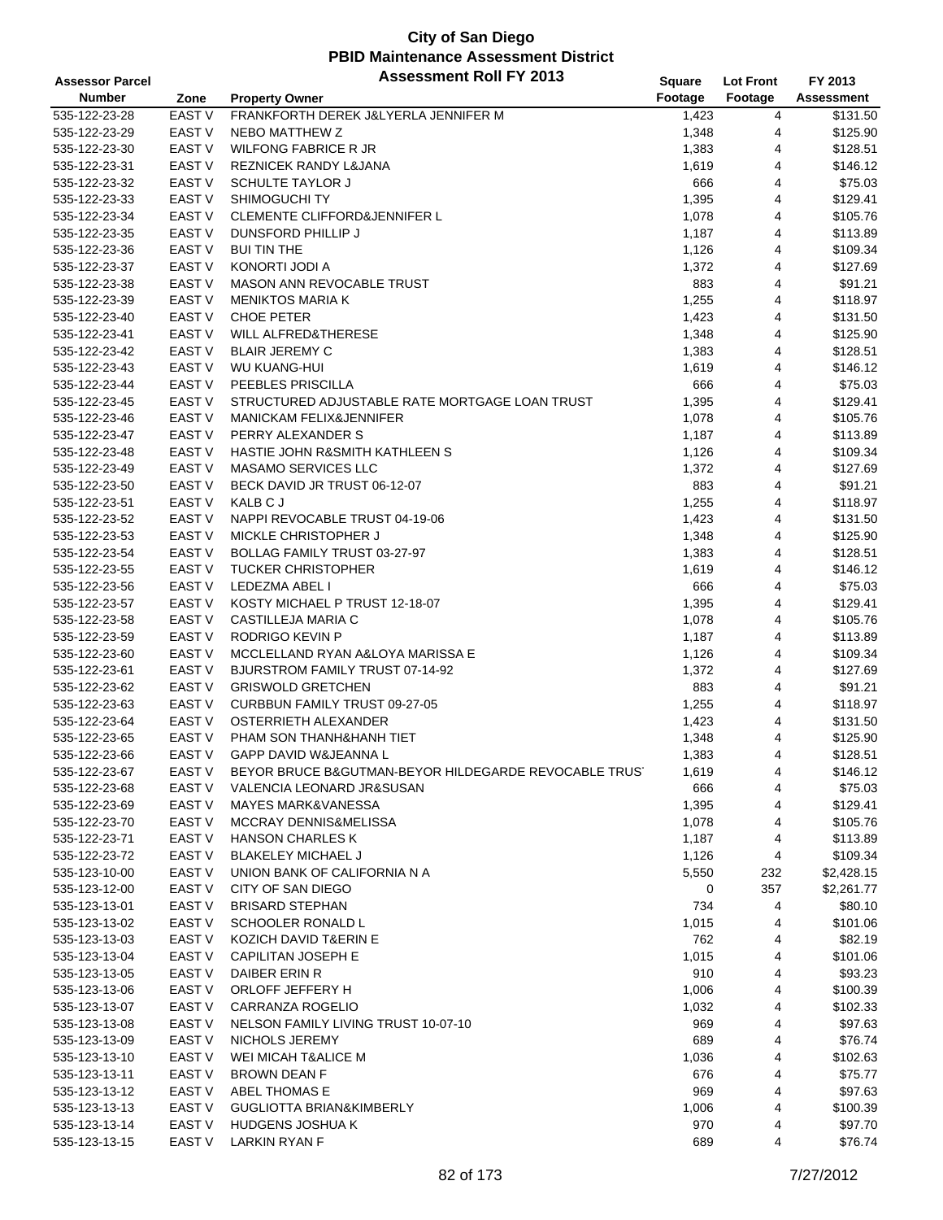| <b>Assessor Parcel</b> |                   | <b>Assessment Roll FY 2013</b>                        | Square  | <b>Lot Front</b> | FY 2013    |
|------------------------|-------------------|-------------------------------------------------------|---------|------------------|------------|
| <b>Number</b>          | Zone              | <b>Property Owner</b>                                 | Footage | Footage          | Assessment |
| 535-122-23-28          | <b>EAST V</b>     | FRANKFORTH DEREK J&LYERLA JENNIFER M                  | 1,423   | 4                | \$131.50   |
| 535-122-23-29          | EAST V            | NEBO MATTHEW Z                                        | 1,348   | 4                | \$125.90   |
| 535-122-23-30          | <b>EAST V</b>     | <b>WILFONG FABRICE R JR</b>                           | 1,383   | 4                | \$128.51   |
| 535-122-23-31          | <b>EAST V</b>     | <b>REZNICEK RANDY L&amp;JANA</b>                      | 1,619   | 4                | \$146.12   |
| 535-122-23-32          | EAST <sub>V</sub> | <b>SCHULTE TAYLOR J</b>                               | 666     | 4                | \$75.03    |
| 535-122-23-33          | EAST <sub>V</sub> | SHIMOGUCHI TY                                         | 1,395   | 4                | \$129.41   |
| 535-122-23-34          | EAST V            | <b>CLEMENTE CLIFFORD&amp;JENNIFER L</b>               | 1,078   | 4                | \$105.76   |
| 535-122-23-35          | <b>EAST V</b>     | DUNSFORD PHILLIP J                                    | 1,187   | 4                | \$113.89   |
| 535-122-23-36          | <b>EAST V</b>     | <b>BUI TIN THE</b>                                    | 1,126   | 4                | \$109.34   |
| 535-122-23-37          | <b>EAST V</b>     | KONORTI JODI A                                        | 1,372   | 4                | \$127.69   |
| 535-122-23-38          | <b>EAST V</b>     | MASON ANN REVOCABLE TRUST                             | 883     | 4                | \$91.21    |
| 535-122-23-39          | EAST V            | <b>MENIKTOS MARIA K</b>                               | 1,255   | 4                | \$118.97   |
| 535-122-23-40          | EAST V            | <b>CHOE PETER</b>                                     | 1,423   | 4                | \$131.50   |
| 535-122-23-41          | <b>EAST V</b>     | <b>WILL ALFRED&amp;THERESE</b>                        | 1,348   | 4                | \$125.90   |
| 535-122-23-42          | <b>EAST V</b>     | <b>BLAIR JEREMY C</b>                                 | 1,383   | 4                | \$128.51   |
| 535-122-23-43          | EAST V            | <b>WU KUANG-HUI</b>                                   | 1,619   | 4                | \$146.12   |
| 535-122-23-44          | <b>EAST V</b>     | PEEBLES PRISCILLA                                     | 666     | 4                | \$75.03    |
| 535-122-23-45          | EAST V            | STRUCTURED ADJUSTABLE RATE MORTGAGE LOAN TRUST        | 1,395   | 4                | \$129.41   |
| 535-122-23-46          | EAST V            | <b>MANICKAM FELIX&amp;JENNIFER</b>                    | 1,078   | 4                | \$105.76   |
| 535-122-23-47          | <b>EAST V</b>     | PERRY ALEXANDER S                                     | 1,187   | 4                | \$113.89   |
| 535-122-23-48          | <b>EAST V</b>     | HASTIE JOHN R&SMITH KATHLEEN S                        | 1,126   | 4                | \$109.34   |
| 535-122-23-49          | EAST V            | <b>MASAMO SERVICES LLC</b>                            | 1,372   | 4                | \$127.69   |
| 535-122-23-50          | EAST V            | BECK DAVID JR TRUST 06-12-07                          | 883     | 4                | \$91.21    |
| 535-122-23-51          | EAST V            | KALB C J                                              | 1,255   | 4                | \$118.97   |
| 535-122-23-52          | <b>EAST V</b>     | NAPPI REVOCABLE TRUST 04-19-06                        | 1,423   | 4                | \$131.50   |
| 535-122-23-53          | <b>EAST V</b>     | MICKLE CHRISTOPHER J                                  | 1,348   | 4                | \$125.90   |
| 535-122-23-54          | EAST <sub>V</sub> | BOLLAG FAMILY TRUST 03-27-97                          | 1,383   | 4                | \$128.51   |
| 535-122-23-55          | <b>EAST V</b>     | <b>TUCKER CHRISTOPHER</b>                             | 1,619   | 4                | \$146.12   |
| 535-122-23-56          | EAST V            | LEDEZMA ABEL I                                        | 666     | 4                | \$75.03    |
| 535-122-23-57          | <b>EAST V</b>     | KOSTY MICHAEL P TRUST 12-18-07                        | 1,395   | 4                | \$129.41   |
| 535-122-23-58          | EAST V            | CASTILLEJA MARIA C                                    | 1,078   | 4                | \$105.76   |
| 535-122-23-59          | <b>EAST V</b>     | RODRIGO KEVIN P                                       | 1,187   | 4                | \$113.89   |
| 535-122-23-60          | <b>EAST V</b>     | MCCLELLAND RYAN A&LOYA MARISSA E                      | 1,126   | 4                | \$109.34   |
| 535-122-23-61          | <b>EAST V</b>     | BJURSTROM FAMILY TRUST 07-14-92                       | 1,372   | 4                | \$127.69   |
| 535-122-23-62          | EAST V            | <b>GRISWOLD GRETCHEN</b>                              | 883     | 4                | \$91.21    |
| 535-122-23-63          | EAST V            | <b>CURBBUN FAMILY TRUST 09-27-05</b>                  | 1,255   | 4                | \$118.97   |
| 535-122-23-64          | EAST V            | OSTERRIETH ALEXANDER                                  | 1,423   | 4                | \$131.50   |
| 535-122-23-65          | EAST <sub>V</sub> | PHAM SON THANH&HANH TIET                              | 1,348   | 4                | \$125.90   |
| 535-122-23-66          | <b>EAST V</b>     | <b>GAPP DAVID W&amp;JEANNA L</b>                      | 1,383   | $\overline{4}$   | \$128.51   |
| 535-122-23-67          | EAST V            | BEYOR BRUCE B&GUTMAN-BEYOR HILDEGARDE REVOCABLE TRUS' | 1,619   | 4                | \$146.12   |
| 535-122-23-68          | EAST V            | VALENCIA LEONARD JR&SUSAN                             | 666     | 4                | \$75.03    |
| 535-122-23-69          | EAST <sub>V</sub> | MAYES MARK&VANESSA                                    | 1,395   | 4                | \$129.41   |
| 535-122-23-70          | EAST V            | <b>MCCRAY DENNIS&amp;MELISSA</b>                      | 1,078   | 4                | \$105.76   |
| 535-122-23-71          | EAST <sub>V</sub> | <b>HANSON CHARLES K</b>                               | 1,187   | 4                | \$113.89   |
| 535-122-23-72          | EAST V            | BLAKELEY MICHAEL J                                    | 1,126   | 4                | \$109.34   |
| 535-123-10-00          | EAST V            | UNION BANK OF CALIFORNIA N A                          | 5,550   | 232              | \$2,428.15 |
| 535-123-12-00          | EAST V            | CITY OF SAN DIEGO                                     | 0       | 357              | \$2,261.77 |
| 535-123-13-01          | EAST <sub>V</sub> | <b>BRISARD STEPHAN</b>                                | 734     | 4                | \$80.10    |
| 535-123-13-02          | EAST V            | <b>SCHOOLER RONALD L</b>                              | 1,015   | 4                | \$101.06   |
| 535-123-13-03          | EAST <sub>V</sub> | KOZICH DAVID T&ERIN E                                 | 762     | 4                | \$82.19    |
| 535-123-13-04          | <b>EAST V</b>     | <b>CAPILITAN JOSEPH E</b>                             | 1,015   | 4                | \$101.06   |
| 535-123-13-05          | EAST V            | DAIBER ERIN R                                         | 910     | 4                | \$93.23    |
| 535-123-13-06          | EAST <sub>V</sub> | ORLOFF JEFFERY H                                      | 1,006   | 4                | \$100.39   |
| 535-123-13-07          | EAST <sub>V</sub> | CARRANZA ROGELIO                                      | 1,032   | 4                | \$102.33   |
| 535-123-13-08          | EAST <sub>V</sub> | NELSON FAMILY LIVING TRUST 10-07-10                   | 969     | 4                | \$97.63    |
| 535-123-13-09          | EAST <sub>V</sub> | NICHOLS JEREMY                                        | 689     | 4                | \$76.74    |
| 535-123-13-10          | EAST V            | <b>WEI MICAH T&amp;ALICE M</b>                        | 1,036   | 4                | \$102.63   |
| 535-123-13-11          | EAST <sub>V</sub> | <b>BROWN DEAN F</b>                                   | 676     | 4                | \$75.77    |
| 535-123-13-12          | EAST <sub>V</sub> | ABEL THOMAS E                                         | 969     | 4                | \$97.63    |
| 535-123-13-13          | EAST V            | <b>GUGLIOTTA BRIAN&amp;KIMBERLY</b>                   | 1,006   | 4                | \$100.39   |
| 535-123-13-14          | EAST V            | <b>HUDGENS JOSHUA K</b>                               | 970     | 4                | \$97.70    |
| 535-123-13-15          | EAST <sub>V</sub> | <b>LARKIN RYAN F</b>                                  | 689     | 4                | \$76.74    |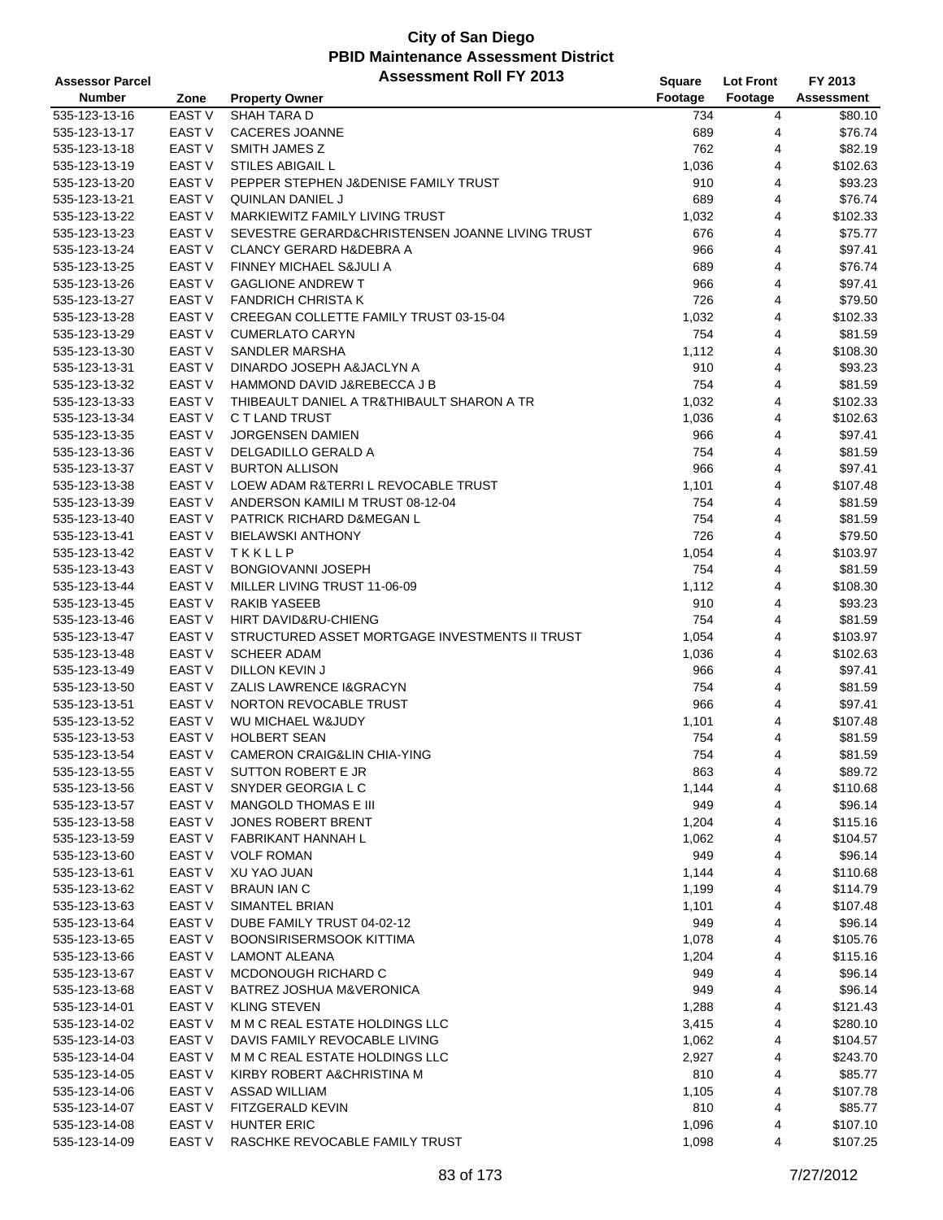| <b>Assessor Parcel</b> |                   | <b>Assessment Roll FY 2013</b>                  | Square  | Lot Front | FY 2013    |
|------------------------|-------------------|-------------------------------------------------|---------|-----------|------------|
| <b>Number</b>          | Zone              | <b>Property Owner</b>                           | Footage | Footage   | Assessment |
| 535-123-13-16          | <b>EAST V</b>     | SHAH TARA D                                     | 734     | 4         | \$80.10    |
| 535-123-13-17          | EAST V            | <b>CACERES JOANNE</b>                           | 689     | 4         | \$76.74    |
| 535-123-13-18          | <b>EAST V</b>     | SMITH JAMES Z                                   | 762     | 4         | \$82.19    |
| 535-123-13-19          | EAST V            | <b>STILES ABIGAIL L</b>                         | 1,036   | 4         | \$102.63   |
| 535-123-13-20          | EAST <sub>V</sub> | PEPPER STEPHEN J&DENISE FAMILY TRUST            | 910     | 4         | \$93.23    |
| 535-123-13-21          | EAST V            | QUINLAN DANIEL J                                | 689     | 4         | \$76.74    |
| 535-123-13-22          | EAST V            | MARKIEWITZ FAMILY LIVING TRUST                  | 1,032   | 4         | \$102.33   |
| 535-123-13-23          | EAST V            | SEVESTRE GERARD&CHRISTENSEN JOANNE LIVING TRUST | 676     | 4         | \$75.77    |
| 535-123-13-24          | EAST V            | <b>CLANCY GERARD H&amp;DEBRA A</b>              | 966     | 4         | \$97.41    |
| 535-123-13-25          | <b>EAST V</b>     | FINNEY MICHAEL S&JULI A                         | 689     | 4         | \$76.74    |
| 535-123-13-26          | EAST <sub>V</sub> | <b>GAGLIONE ANDREW T</b>                        | 966     | 4         | \$97.41    |
| 535-123-13-27          | EAST V            | <b>FANDRICH CHRISTA K</b>                       | 726     | 4         | \$79.50    |
| 535-123-13-28          | EAST V            | CREEGAN COLLETTE FAMILY TRUST 03-15-04          | 1,032   | 4         | \$102.33   |
| 535-123-13-29          | EAST V            | <b>CUMERLATO CARYN</b>                          | 754     | 4         | \$81.59    |
| 535-123-13-30          | EAST V            | SANDLER MARSHA                                  | 1,112   | 4         | \$108.30   |
| 535-123-13-31          | EAST <sub>V</sub> | DINARDO JOSEPH A&JACLYN A                       | 910     | 4         | \$93.23    |
| 535-123-13-32          | <b>EAST V</b>     | HAMMOND DAVID J&REBECCA J B                     | 754     | 4         | \$81.59    |
| 535-123-13-33          | EAST V            | THIBEAULT DANIEL A TR&THIBAULT SHARON A TR      | 1,032   | 4         | \$102.33   |
| 535-123-13-34          | EAST V            | C T LAND TRUST                                  | 1,036   | 4         | \$102.63   |
| 535-123-13-35          | <b>EAST V</b>     | <b>JORGENSEN DAMIEN</b>                         | 966     | 4         | \$97.41    |
| 535-123-13-36          | <b>EAST V</b>     | DELGADILLO GERALD A                             | 754     | 4         | \$81.59    |
| 535-123-13-37          | EAST V            | <b>BURTON ALLISON</b>                           | 966     | 4         | \$97.41    |
| 535-123-13-38          | EAST V            | LOEW ADAM R&TERRI L REVOCABLE TRUST             | 1,101   | 4         | \$107.48   |
| 535-123-13-39          | EAST V            | ANDERSON KAMILI M TRUST 08-12-04                | 754     | 4         | \$81.59    |
| 535-123-13-40          | <b>EAST V</b>     | PATRICK RICHARD D&MEGAN L                       | 754     | 4         | \$81.59    |
| 535-123-13-41          | <b>EAST V</b>     | <b>BIELAWSKI ANTHONY</b>                        | 726     | 4         | \$79.50    |
| 535-123-13-42          | EAST <sub>V</sub> | TKKLLP                                          | 1,054   | 4         | \$103.97   |
| 535-123-13-43          | <b>EAST V</b>     | <b>BONGIOVANNI JOSEPH</b>                       | 754     | 4         | \$81.59    |
| 535-123-13-44          | EAST V            | MILLER LIVING TRUST 11-06-09                    | 1,112   | 4         | \$108.30   |
| 535-123-13-45          | <b>EAST V</b>     | RAKIB YASEEB                                    | 910     | 4         | \$93.23    |
| 535-123-13-46          | <b>EAST V</b>     | HIRT DAVID&RU-CHIENG                            | 754     | 4         | \$81.59    |
| 535-123-13-47          | <b>EAST V</b>     | STRUCTURED ASSET MORTGAGE INVESTMENTS II TRUST  | 1,054   | 4         | \$103.97   |
| 535-123-13-48          | <b>EAST V</b>     | <b>SCHEER ADAM</b>                              | 1,036   | 4         | \$102.63   |
| 535-123-13-49          | <b>EAST V</b>     | <b>DILLON KEVIN J</b>                           | 966     | 4         | \$97.41    |
| 535-123-13-50          | <b>EAST V</b>     | ZALIS LAWRENCE I&GRACYN                         | 754     | 4         | \$81.59    |
| 535-123-13-51          | EAST V            | NORTON REVOCABLE TRUST                          | 966     | 4         | \$97.41    |
| 535-123-13-52          | EAST <sub>V</sub> | WU MICHAEL W&JUDY                               | 1,101   | 4         | \$107.48   |
| 535-123-13-53          | EAST V            | <b>HOLBERT SEAN</b>                             | 754     | 4         | \$81.59    |
| 535-123-13-54          | <b>EAST V</b>     | <b>CAMERON CRAIG&amp;LIN CHIA-YING</b>          | 754     | 4         | \$81.59    |
| 535-123-13-55          | <b>EAST V</b>     | SUTTON ROBERT E JR                              | 863     | 4         | \$89.72    |
| 535-123-13-56          | EAST V            | SNYDER GEORGIA L C                              | 1,144   | 4         | \$110.68   |
| 535-123-13-57          | EAST V            | MANGOLD THOMAS E III                            | 949     | 4         | \$96.14    |
| 535-123-13-58          | EAST V            | JONES ROBERT BRENT                              | 1,204   | 4         | \$115.16   |
| 535-123-13-59          | EAST V            | FABRIKANT HANNAH L                              | 1,062   | 4         | \$104.57   |
| 535-123-13-60          | EAST V            | <b>VOLF ROMAN</b>                               | 949     | 4         | \$96.14    |
| 535-123-13-61          | EAST V            | XU YAO JUAN                                     | 1,144   | 4         | \$110.68   |
| 535-123-13-62          | <b>EAST V</b>     | <b>BRAUN IAN C</b>                              | 1,199   | 4         | \$114.79   |
| 535-123-13-63          | EAST <sub>V</sub> | SIMANTEL BRIAN                                  | 1,101   | 4         | \$107.48   |
| 535-123-13-64          | EAST V            | DUBE FAMILY TRUST 04-02-12                      | 949     | 4         | \$96.14    |
| 535-123-13-65          | EAST <sub>V</sub> | <b>BOONSIRISERMSOOK KITTIMA</b>                 | 1,078   | 4         | \$105.76   |
| 535-123-13-66          | <b>EAST V</b>     | <b>LAMONT ALEANA</b>                            | 1,204   | 4         | \$115.16   |
| 535-123-13-67          | EAST V            | MCDONOUGH RICHARD C                             | 949     | 4         | \$96.14    |
| 535-123-13-68          | EAST <sub>V</sub> | BATREZ JOSHUA M&VERONICA                        | 949     | 4         | \$96.14    |
| 535-123-14-01          | <b>EAST V</b>     | <b>KLING STEVEN</b>                             | 1,288   | 4         | \$121.43   |
| 535-123-14-02          | EAST V            | M M C REAL ESTATE HOLDINGS LLC                  | 3,415   | 4         | \$280.10   |
| 535-123-14-03          | EAST V            | DAVIS FAMILY REVOCABLE LIVING                   | 1,062   | 4         | \$104.57   |
| 535-123-14-04          | EAST V            | M M C REAL ESTATE HOLDINGS LLC                  | 2,927   | 4         | \$243.70   |
| 535-123-14-05          | EAST <sub>V</sub> | KIRBY ROBERT A&CHRISTINA M                      | 810     | 4         | \$85.77    |
| 535-123-14-06          | EAST <sub>V</sub> | <b>ASSAD WILLIAM</b>                            | 1,105   | 4         | \$107.78   |
| 535-123-14-07          | EAST V            | FITZGERALD KEVIN                                | 810     | 4         | \$85.77    |
| 535-123-14-08          | EAST <sub>V</sub> | <b>HUNTER ERIC</b>                              | 1,096   | 4         | \$107.10   |
| 535-123-14-09          | <b>EAST V</b>     | RASCHKE REVOCABLE FAMILY TRUST                  | 1,098   | 4         | \$107.25   |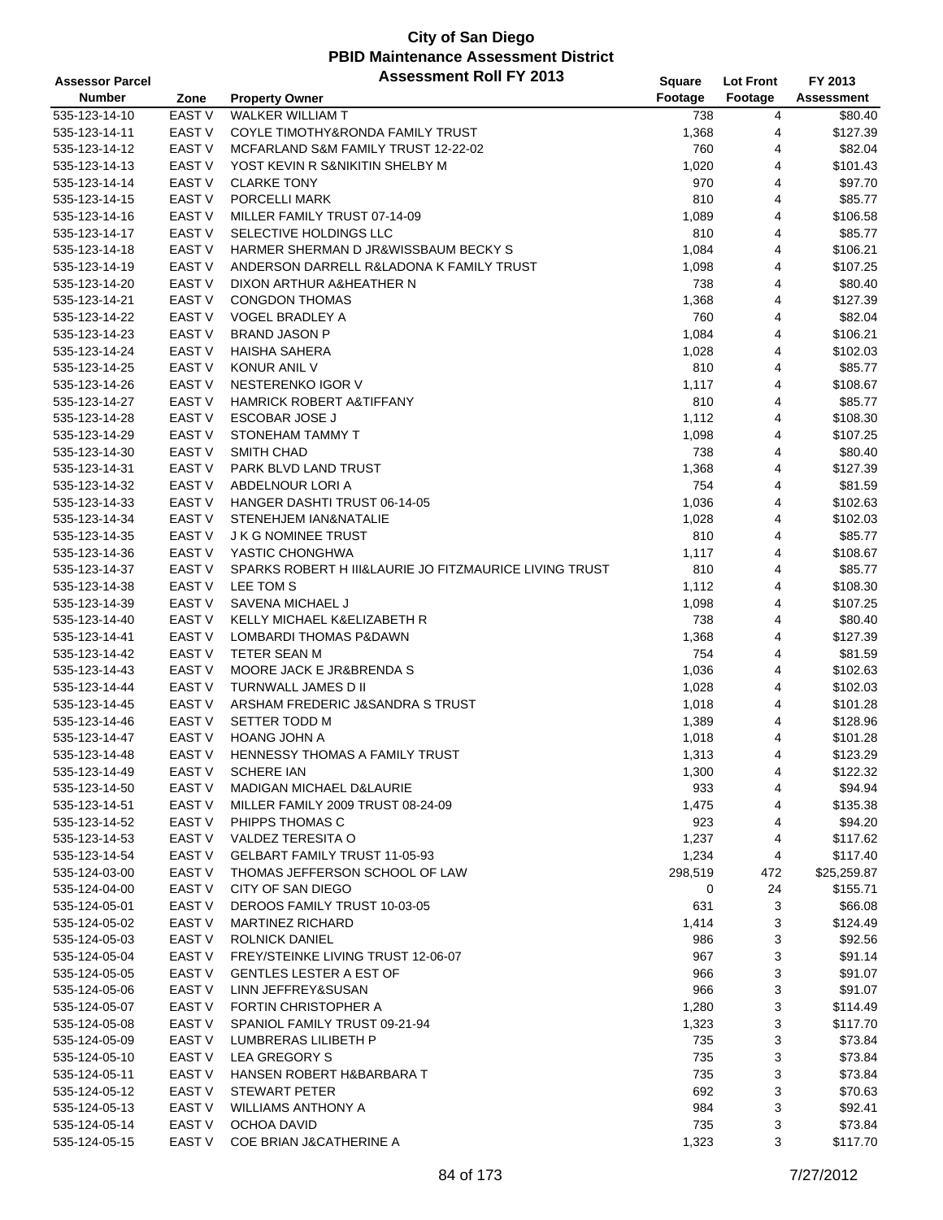| <b>Assessor Parcel</b> |                   | <b>Assessment Roll FY 2013</b>                         | <b>Square</b> | <b>Lot Front</b> | FY 2013     |
|------------------------|-------------------|--------------------------------------------------------|---------------|------------------|-------------|
| <b>Number</b>          | Zone              | <b>Property Owner</b>                                  | Footage       | Footage          | Assessment  |
| 535-123-14-10          | EAST V            | <b>WALKER WILLIAM T</b>                                | 738           | 4                | \$80.40     |
| 535-123-14-11          | EAST V            | COYLE TIMOTHY&RONDA FAMILY TRUST                       | 1,368         | 4                | \$127.39    |
| 535-123-14-12          | EAST <sub>V</sub> | MCFARLAND S&M FAMILY TRUST 12-22-02                    | 760           | 4                | \$82.04     |
| 535-123-14-13          | <b>EAST V</b>     | YOST KEVIN R S&NIKITIN SHELBY M                        | 1,020         | 4                | \$101.43    |
| 535-123-14-14          | <b>EAST V</b>     | <b>CLARKE TONY</b>                                     | 970           | 4                | \$97.70     |
| 535-123-14-15          | <b>EAST V</b>     | PORCELLI MARK                                          | 810           | 4                | \$85.77     |
| 535-123-14-16          | EAST V            | MILLER FAMILY TRUST 07-14-09                           | 1,089         | 4                | \$106.58    |
| 535-123-14-17          | <b>EAST V</b>     | SELECTIVE HOLDINGS LLC                                 | 810           | 4                | \$85.77     |
| 535-123-14-18          | <b>EAST V</b>     | HARMER SHERMAN D JR&WISSBAUM BECKY S                   | 1,084         | 4                | \$106.21    |
| 535-123-14-19          | <b>EAST V</b>     | ANDERSON DARRELL R&LADONA K FAMILY TRUST               | 1,098         | 4                | \$107.25    |
| 535-123-14-20          | <b>EAST V</b>     | DIXON ARTHUR A&HEATHER N                               | 738           | 4                | \$80.40     |
| 535-123-14-21          | <b>EAST V</b>     | <b>CONGDON THOMAS</b>                                  | 1,368         | 4                | \$127.39    |
| 535-123-14-22          | <b>EAST V</b>     | VOGEL BRADLEY A                                        | 760           | 4                | \$82.04     |
| 535-123-14-23          | <b>EAST V</b>     | <b>BRAND JASON P</b>                                   | 1,084         | 4                | \$106.21    |
| 535-123-14-24          | <b>EAST V</b>     | <b>HAISHA SAHERA</b>                                   | 1,028         | 4                | \$102.03    |
| 535-123-14-25          | <b>EAST V</b>     | KONUR ANIL V                                           | 810           | 4                | \$85.77     |
| 535-123-14-26          | <b>EAST V</b>     | NESTERENKO IGOR V                                      | 1,117         | 4                | \$108.67    |
| 535-123-14-27          | <b>EAST V</b>     | <b>HAMRICK ROBERT A&amp;TIFFANY</b>                    | 810           | 4                | \$85.77     |
| 535-123-14-28          | <b>EAST V</b>     | <b>ESCOBAR JOSE J</b>                                  | 1,112         | 4                | \$108.30    |
| 535-123-14-29          | <b>EAST V</b>     | STONEHAM TAMMY T                                       | 1,098         | 4                | \$107.25    |
| 535-123-14-30          | EAST V            | <b>SMITH CHAD</b>                                      | 738           | 4                | \$80.40     |
| 535-123-14-31          | <b>EAST V</b>     | PARK BLVD LAND TRUST                                   | 1,368         | 4                | \$127.39    |
| 535-123-14-32          | EAST <sub>V</sub> | ABDELNOUR LORI A                                       | 754           | 4                | \$81.59     |
| 535-123-14-33          | <b>EAST V</b>     | HANGER DASHTI TRUST 06-14-05                           | 1,036         | 4                | \$102.63    |
|                        |                   |                                                        |               |                  |             |
| 535-123-14-34          | <b>EAST V</b>     | STENEHJEM IAN&NATALIE                                  | 1,028         | 4                | \$102.03    |
| 535-123-14-35          | <b>EAST V</b>     | <b>J K G NOMINEE TRUST</b>                             | 810           | 4                | \$85.77     |
| 535-123-14-36          | <b>EAST V</b>     | YASTIC CHONGHWA                                        | 1,117         | 4                | \$108.67    |
| 535-123-14-37          | <b>EAST V</b>     | SPARKS ROBERT H III&LAURIE JO FITZMAURICE LIVING TRUST | 810           | 4                | \$85.77     |
| 535-123-14-38          | EAST V            | LEE TOM S                                              | 1,112         | 4                | \$108.30    |
| 535-123-14-39          | EAST V            | SAVENA MICHAEL J                                       | 1,098         | 4                | \$107.25    |
| 535-123-14-40          | <b>EAST V</b>     | KELLY MICHAEL K&ELIZABETH R                            | 738           | 4                | \$80.40     |
| 535-123-14-41          | <b>EAST V</b>     | LOMBARDI THOMAS P&DAWN                                 | 1,368         | 4                | \$127.39    |
| 535-123-14-42          | <b>EAST V</b>     | TETER SEAN M                                           | 754           | 4                | \$81.59     |
| 535-123-14-43          | <b>EAST V</b>     | MOORE JACK E JR&BRENDA S                               | 1,036         | 4                | \$102.63    |
| 535-123-14-44          | EAST V            | TURNWALL JAMES D II                                    | 1,028         | 4                | \$102.03    |
| 535-123-14-45          | EAST V            | ARSHAM FREDERIC J&SANDRA S TRUST                       | 1,018         | 4                | \$101.28    |
| 535-123-14-46          | <b>EAST V</b>     | SETTER TODD M                                          | 1,389         | 4                | \$128.96    |
| 535-123-14-47          | EAST V            | HOANG JOHN A                                           | 1,018         | 4                | \$101.28    |
| 535-123-14-48          | <b>EAST V</b>     | HENNESSY THOMAS A FAMILY TRUST                         | 1,313         | 4                | \$123.29    |
| 535-123-14-49          | EAST V            | <b>SCHERE IAN</b>                                      | 1,300         | 4                | \$122.32    |
| 535-123-14-50          | EAST V            | MADIGAN MICHAEL D&LAURIE                               | 933           | 4                | \$94.94     |
| 535-123-14-51          | EAST V            | MILLER FAMILY 2009 TRUST 08-24-09                      | 1,475         | 4                | \$135.38    |
| 535-123-14-52          | EAST V            | PHIPPS THOMAS C                                        | 923           | 4                | \$94.20     |
| 535-123-14-53          | <b>EAST V</b>     | VALDEZ TERESITA O                                      | 1,237         | 4                | \$117.62    |
| 535-123-14-54          | EAST V            | GELBART FAMILY TRUST 11-05-93                          | 1,234         | 4                | \$117.40    |
| 535-124-03-00          | EAST V            | THOMAS JEFFERSON SCHOOL OF LAW                         | 298,519       | 472              | \$25,259.87 |
| 535-124-04-00          | EAST V            | CITY OF SAN DIEGO                                      | 0             | 24               | \$155.71    |
| 535-124-05-01          | EAST <sub>V</sub> | DEROOS FAMILY TRUST 10-03-05                           | 631           | 3                | \$66.08     |
| 535-124-05-02          | EAST <sub>V</sub> | <b>MARTINEZ RICHARD</b>                                | 1,414         | 3                | \$124.49    |
| 535-124-05-03          | EAST <sub>V</sub> | <b>ROLNICK DANIEL</b>                                  | 986           | 3                | \$92.56     |
| 535-124-05-04          | <b>EAST V</b>     | FREY/STEINKE LIVING TRUST 12-06-07                     | 967           | 3                | \$91.14     |
| 535-124-05-05          | EAST V            | <b>GENTLES LESTER A EST OF</b>                         | 966           | 3                | \$91.07     |
| 535-124-05-06          | EAST V            | LINN JEFFREY&SUSAN                                     | 966           | 3                | \$91.07     |
| 535-124-05-07          | EAST V            | FORTIN CHRISTOPHER A                                   | 1,280         | 3                | \$114.49    |
| 535-124-05-08          | EAST V            | SPANIOL FAMILY TRUST 09-21-94                          | 1,323         | 3                | \$117.70    |
| 535-124-05-09          | EAST V            | LUMBRERAS LILIBETH P                                   | 735           | 3                | \$73.84     |
| 535-124-05-10          | EAST V            | LEA GREGORY S                                          | 735           | 3                | \$73.84     |
| 535-124-05-11          | EAST V            | HANSEN ROBERT H&BARBARA T                              | 735           | 3                | \$73.84     |
| 535-124-05-12          | EAST V            | <b>STEWART PETER</b>                                   | 692           | 3                | \$70.63     |
| 535-124-05-13          | EAST V            | WILLIAMS ANTHONY A                                     | 984           | 3                | \$92.41     |
| 535-124-05-14          | EAST V            | OCHOA DAVID                                            | 735           | 3                | \$73.84     |
| 535-124-05-15          | EAST V            | COE BRIAN J&CATHERINE A                                | 1,323         | 3                | \$117.70    |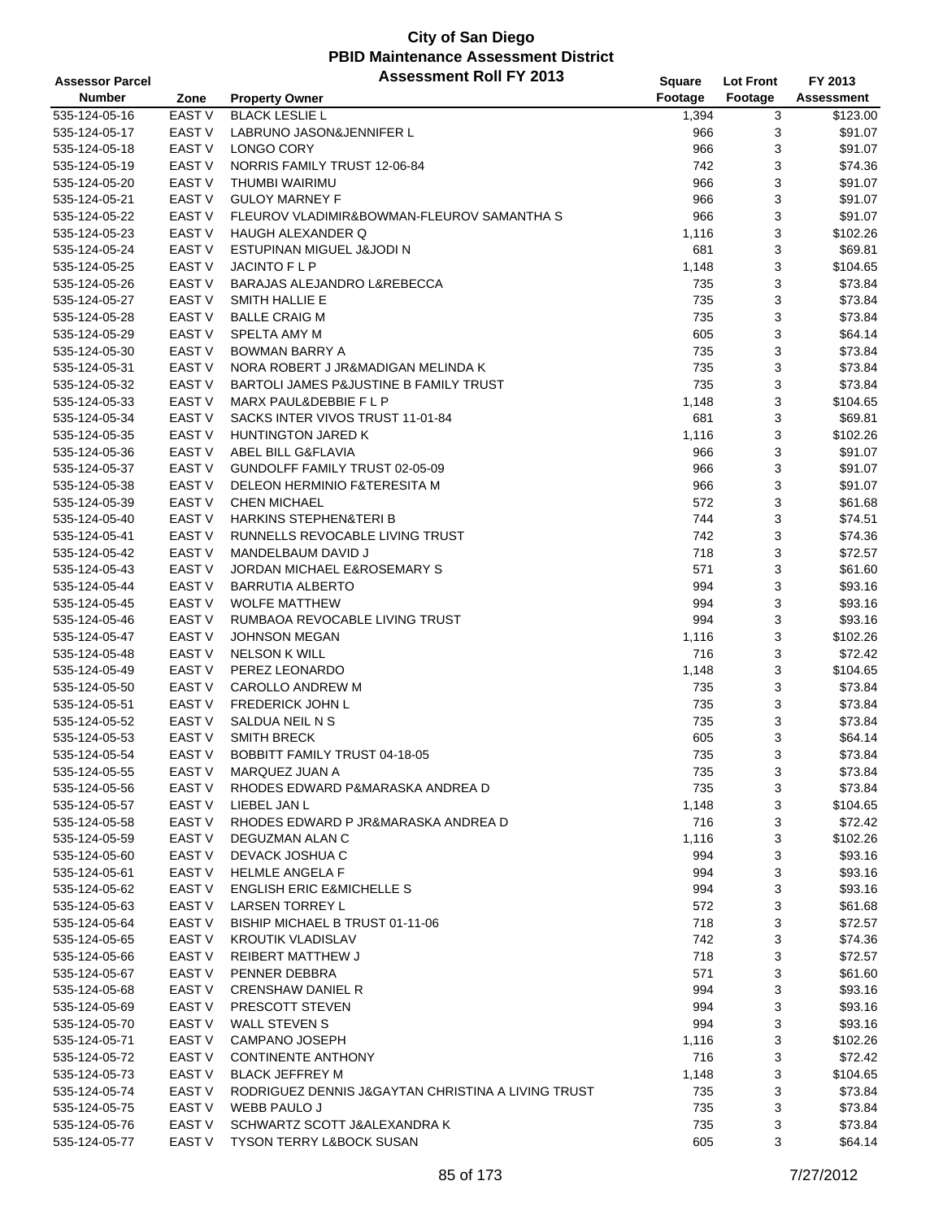| <b>Assessor Parcel</b> |                                    | <b>Assessment Roll FY 2013</b>                     | <b>Square</b> | <b>Lot Front</b> | FY 2013           |
|------------------------|------------------------------------|----------------------------------------------------|---------------|------------------|-------------------|
| <b>Number</b>          | Zone                               | <b>Property Owner</b>                              | Footage       | Footage          | <b>Assessment</b> |
| 535-124-05-16          | EAST V                             | <b>BLACK LESLIE L</b>                              | 1,394         | 3                | \$123.00          |
| 535-124-05-17          | EAST <sub>V</sub>                  | LABRUNO JASON&JENNIFER L                           | 966           | 3                | \$91.07           |
| 535-124-05-18          | <b>EAST V</b>                      | LONGO CORY                                         | 966           | 3                | \$91.07           |
| 535-124-05-19          | <b>EAST V</b>                      | NORRIS FAMILY TRUST 12-06-84                       | 742           | 3                | \$74.36           |
| 535-124-05-20          | <b>EAST V</b>                      | THUMBI WAIRIMU                                     | 966           | 3                | \$91.07           |
| 535-124-05-21          | <b>EAST V</b>                      | <b>GULOY MARNEY F</b>                              | 966           | 3                | \$91.07           |
| 535-124-05-22          | <b>EAST V</b>                      | FLEUROV VLADIMIR&BOWMAN-FLEUROV SAMANTHA S         | 966           | 3                | \$91.07           |
| 535-124-05-23          | <b>EAST V</b>                      | <b>HAUGH ALEXANDER Q</b>                           | 1,116         | 3                | \$102.26          |
| 535-124-05-24          | <b>EAST V</b>                      | ESTUPINAN MIGUEL J&JODI N                          | 681           | 3                | \$69.81           |
| 535-124-05-25          | <b>EAST V</b>                      | <b>JACINTO F L P</b>                               | 1,148         | 3                | \$104.65          |
| 535-124-05-26          | <b>EAST V</b>                      | BARAJAS ALEJANDRO L&REBECCA                        | 735           | 3                | \$73.84           |
| 535-124-05-27          | EAST <sub>V</sub>                  | <b>SMITH HALLIE E</b>                              | 735           | 3                | \$73.84           |
| 535-124-05-28          | EAST <sub>V</sub>                  | <b>BALLE CRAIG M</b>                               | 735           | 3                | \$73.84           |
| 535-124-05-29          | <b>EAST V</b>                      | SPELTA AMY M                                       | 605           | 3                | \$64.14           |
| 535-124-05-30          | <b>EAST V</b>                      | <b>BOWMAN BARRY A</b>                              | 735           | 3                | \$73.84           |
| 535-124-05-31          | <b>EAST V</b>                      | NORA ROBERT J JR&MADIGAN MELINDA K                 | 735           | 3                | \$73.84           |
| 535-124-05-32          | <b>EAST V</b>                      | BARTOLI JAMES P&JUSTINE B FAMILY TRUST             | 735           | 3                | \$73.84           |
| 535-124-05-33          | <b>EAST V</b>                      | MARX PAUL&DEBBIE F L P                             | 1,148         | 3                | \$104.65          |
| 535-124-05-34          | EAST <sub>V</sub>                  | SACKS INTER VIVOS TRUST 11-01-84                   | 681           | 3                | \$69.81           |
| 535-124-05-35          | <b>EAST V</b>                      | HUNTINGTON JARED K                                 | 1,116         | 3                | \$102.26          |
| 535-124-05-36          | <b>EAST V</b>                      | ABEL BILL G&FLAVIA                                 | 966           | 3                | \$91.07           |
| 535-124-05-37          | EAST <sub>V</sub>                  | GUNDOLFF FAMILY TRUST 02-05-09                     | 966           | 3                | \$91.07           |
| 535-124-05-38          | EAST <sub>V</sub>                  | DELEON HERMINIO F&TERESITA M                       | 966           | 3                | \$91.07           |
| 535-124-05-39          | <b>EAST V</b>                      | <b>CHEN MICHAEL</b>                                | 572           | 3                | \$61.68           |
|                        | <b>EAST V</b>                      |                                                    |               | 3                |                   |
| 535-124-05-40          | <b>EAST V</b>                      | <b>HARKINS STEPHEN&amp;TERI B</b>                  | 744           |                  | \$74.51           |
| 535-124-05-41          |                                    | RUNNELLS REVOCABLE LIVING TRUST                    | 742           | 3                | \$74.36           |
| 535-124-05-42          | EAST <sub>V</sub><br><b>EAST V</b> | MANDELBAUM DAVID J                                 | 718           | 3                | \$72.57           |
| 535-124-05-43          |                                    | <b>JORDAN MICHAEL E&amp;ROSEMARY S</b>             | 571           | 3                | \$61.60           |
| 535-124-05-44          | <b>EAST V</b>                      | <b>BARRUTIA ALBERTO</b>                            | 994           | 3                | \$93.16           |
| 535-124-05-45          | EAST <sub>V</sub>                  | <b>WOLFE MATTHEW</b>                               | 994           | 3                | \$93.16           |
| 535-124-05-46          | <b>EAST V</b>                      | RUMBAOA REVOCABLE LIVING TRUST                     | 994           | 3                | \$93.16           |
| 535-124-05-47          | <b>EAST V</b>                      | <b>JOHNSON MEGAN</b>                               | 1,116         | 3                | \$102.26          |
| 535-124-05-48          | <b>EAST V</b>                      | <b>NELSON K WILL</b>                               | 716           | 3                | \$72.42           |
| 535-124-05-49          | <b>EAST V</b>                      | PEREZ LEONARDO                                     | 1,148         | 3                | \$104.65          |
| 535-124-05-50          | EAST V                             | <b>CAROLLO ANDREW M</b>                            | 735           | 3                | \$73.84           |
| 535-124-05-51          | EAST <sub>V</sub>                  | <b>FREDERICK JOHN L</b>                            | 735           | 3                | \$73.84           |
| 535-124-05-52          | <b>EAST V</b>                      | SALDUA NEIL N S                                    | 735           | 3                | \$73.84           |
| 535-124-05-53          | EAST <sub>V</sub>                  | <b>SMITH BRECK</b>                                 | 605           | 3                | \$64.14           |
| 535-124-05-54          | <b>EAST V</b>                      | BOBBITT FAMILY TRUST 04-18-05                      | 735           | 3                | \$73.84           |
| 535-124-05-55          | EAST V                             | <b>MARQUEZ JUAN A</b>                              | 735           | 3                | \$73.84           |
| 535-124-05-56          | EAST V                             | RHODES EDWARD P&MARASKA ANDREA D                   | 735           | 3                | \$73.84           |
| 535-124-05-57          | EAST V                             | LIEBEL JAN L                                       | 1,148         | 3                | \$104.65          |
| 535-124-05-58          | EAST V                             | RHODES EDWARD P JR&MARASKA ANDREA D                | 716           | 3                | \$72.42           |
| 535-124-05-59          | EAST V                             | DEGUZMAN ALAN C                                    | 1,116         | 3                | \$102.26          |
| 535-124-05-60          | EAST V                             | DEVACK JOSHUA C                                    | 994           | 3                | \$93.16           |
| 535-124-05-61          | EAST V                             | <b>HELMLE ANGELA F</b>                             | 994           | 3                | \$93.16           |
| 535-124-05-62          | EAST V                             | <b>ENGLISH ERIC E&amp;MICHELLE S</b>               | 994           | 3                | \$93.16           |
| 535-124-05-63          | EAST V                             | <b>LARSEN TORREY L</b>                             | 572           | 3                | \$61.68           |
| 535-124-05-64          | EAST V                             | BISHIP MICHAEL B TRUST 01-11-06                    | 718           | 3                | \$72.57           |
| 535-124-05-65          | EAST V                             | <b>KROUTIK VLADISLAV</b>                           | 742           | 3                | \$74.36           |
| 535-124-05-66          | <b>EAST V</b>                      | <b>REIBERT MATTHEW J</b>                           | 718           | 3                | \$72.57           |
| 535-124-05-67          | EAST V                             | PENNER DEBBRA                                      | 571           | 3                | \$61.60           |
| 535-124-05-68          | EAST V                             | <b>CRENSHAW DANIEL R</b>                           | 994           | 3                | \$93.16           |
| 535-124-05-69          | EAST V                             | PRESCOTT STEVEN                                    | 994           | 3                | \$93.16           |
| 535-124-05-70          | EAST V                             | <b>WALL STEVEN S</b>                               | 994           | 3                | \$93.16           |
| 535-124-05-71          | EAST V                             | <b>CAMPANO JOSEPH</b>                              | 1,116         | 3                | \$102.26          |
| 535-124-05-72          | EAST V                             | <b>CONTINENTE ANTHONY</b>                          | 716           | 3                | \$72.42           |
| 535-124-05-73          | EAST V                             | <b>BLACK JEFFREY M</b>                             | 1,148         | 3                | \$104.65          |
| 535-124-05-74          | EAST <sub>V</sub>                  | RODRIGUEZ DENNIS J&GAYTAN CHRISTINA A LIVING TRUST | 735           | 3                | \$73.84           |
| 535-124-05-75          | EAST V                             | WEBB PAULO J                                       | 735           | 3                | \$73.84           |
| 535-124-05-76          | EAST V                             | SCHWARTZ SCOTT J&ALEXANDRA K                       | 735           | 3                | \$73.84           |
| 535-124-05-77          | EAST V                             | <b>TYSON TERRY L&amp;BOCK SUSAN</b>                | 605           | 3                | \$64.14           |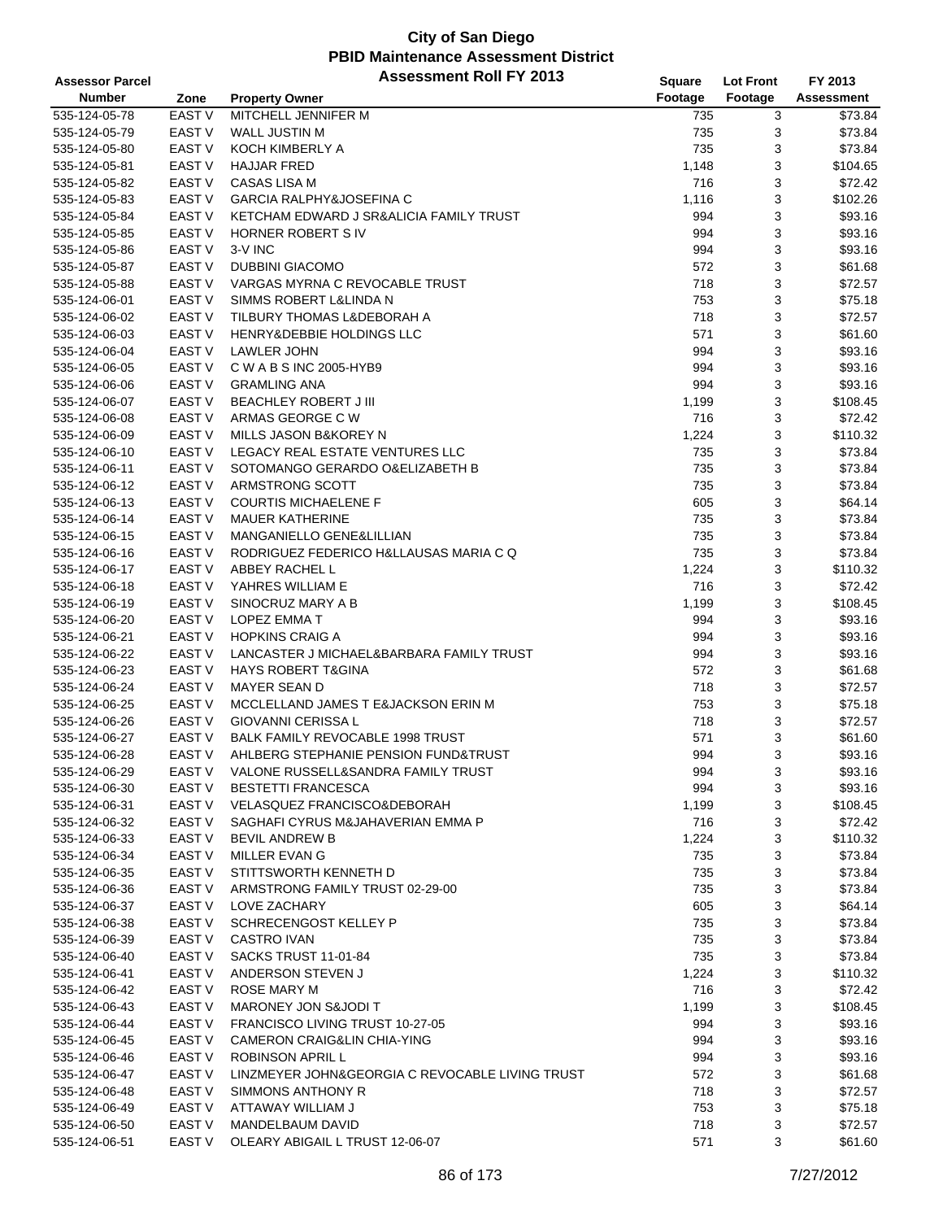| <b>Assessor Parcel</b> |                                | <b>Assessment Roll FY 2013</b>                      | <b>Square</b> | <b>Lot Front</b> | FY 2013           |
|------------------------|--------------------------------|-----------------------------------------------------|---------------|------------------|-------------------|
| <b>Number</b>          | Zone                           | <b>Property Owner</b>                               | Footage       | Footage          | <b>Assessment</b> |
| 535-124-05-78          | <b>EAST V</b>                  | MITCHELL JENNIFER M                                 | 735           | 3                | \$73.84           |
| 535-124-05-79          | EAST V                         | <b>WALL JUSTIN M</b>                                | 735           | 3                | \$73.84           |
| 535-124-05-80          | <b>EAST V</b>                  | KOCH KIMBERLY A                                     | 735           | 3                | \$73.84           |
| 535-124-05-81          | <b>EAST V</b>                  | <b>HAJJAR FRED</b>                                  | 1,148         | 3                | \$104.65          |
| 535-124-05-82          | EAST V                         | CASAS LISA M                                        | 716           | 3                | \$72.42           |
| 535-124-05-83          | <b>EAST V</b>                  | <b>GARCIA RALPHY&amp;JOSEFINA C</b>                 | 1,116         | 3                | \$102.26          |
| 535-124-05-84          | <b>EAST V</b>                  | KETCHAM EDWARD J SR&ALICIA FAMILY TRUST             | 994           | 3                | \$93.16           |
| 535-124-05-85          | EAST V                         | HORNER ROBERT S IV                                  | 994           | 3                | \$93.16           |
| 535-124-05-86          | EAST V                         | 3-V INC                                             | 994           | 3                | \$93.16           |
| 535-124-05-87          | <b>EAST V</b>                  | <b>DUBBINI GIACOMO</b>                              | 572           | 3                | \$61.68           |
| 535-124-05-88          | EAST V                         | VARGAS MYRNA C REVOCABLE TRUST                      | 718           | 3                | \$72.57           |
| 535-124-06-01          | <b>EAST V</b>                  | SIMMS ROBERT L&LINDA N                              | 753           | 3                | \$75.18           |
| 535-124-06-02          | <b>EAST V</b>                  | TILBURY THOMAS L&DEBORAH A                          | 718           | 3                | \$72.57           |
| 535-124-06-03          | <b>EAST V</b>                  | HENRY&DEBBIE HOLDINGS LLC                           | 571           | 3                | \$61.60           |
| 535-124-06-04          | EAST V                         | LAWLER JOHN                                         | 994           | 3                | \$93.16           |
| 535-124-06-05          | EAST V                         | C W A B S INC 2005-HYB9                             | 994           | 3                | \$93.16           |
| 535-124-06-06          | <b>EAST V</b>                  | <b>GRAMLING ANA</b>                                 | 994           | 3                | \$93.16           |
| 535-124-06-07          | EAST V                         | BEACHLEY ROBERT J III                               | 1,199         | 3                | \$108.45          |
| 535-124-06-08          | <b>EAST V</b>                  | ARMAS GEORGE C W                                    | 716           | 3                | \$72.42           |
| 535-124-06-09          | <b>EAST V</b>                  | MILLS JASON B&KOREY N                               | 1,224         | 3                | \$110.32          |
|                        |                                | LEGACY REAL ESTATE VENTURES LLC                     |               | 3                |                   |
| 535-124-06-10          | <b>EAST V</b><br><b>EAST V</b> |                                                     | 735           | 3                | \$73.84           |
| 535-124-06-11          | <b>EAST V</b>                  | SOTOMANGO GERARDO O& ELIZABETH B<br>ARMSTRONG SCOTT | 735           |                  | \$73.84           |
| 535-124-06-12          | EAST V                         |                                                     | 735           | 3                | \$73.84           |
| 535-124-06-13          |                                | <b>COURTIS MICHAELENE F</b>                         | 605           | 3                | \$64.14           |
| 535-124-06-14          | <b>EAST V</b>                  | <b>MAUER KATHERINE</b>                              | 735           | 3                | \$73.84           |
| 535-124-06-15          | <b>EAST V</b>                  | MANGANIELLO GENE&LILLIAN                            | 735           | 3                | \$73.84           |
| 535-124-06-16          | <b>EAST V</b>                  | RODRIGUEZ FEDERICO H&LLAUSAS MARIA C Q              | 735           | 3                | \$73.84           |
| 535-124-06-17          | <b>EAST V</b>                  | ABBEY RACHEL L                                      | 1,224         | 3                | \$110.32          |
| 535-124-06-18          | EAST V                         | YAHRES WILLIAM E                                    | 716           | 3                | \$72.42           |
| 535-124-06-19          | EAST V                         | SINOCRUZ MARY A B                                   | 1,199         | 3                | \$108.45          |
| 535-124-06-20          | <b>EAST V</b>                  | LOPEZ EMMA T                                        | 994           | 3                | \$93.16           |
| 535-124-06-21          | <b>EAST V</b>                  | <b>HOPKINS CRAIG A</b>                              | 994           | 3                | \$93.16           |
| 535-124-06-22          | <b>EAST V</b>                  | LANCASTER J MICHAEL&BARBARA FAMILY TRUST            | 994           | 3                | \$93.16           |
| 535-124-06-23          | <b>EAST V</b>                  | <b>HAYS ROBERT T&amp;GINA</b>                       | 572           | 3                | \$61.68           |
| 535-124-06-24          | EAST V                         | <b>MAYER SEAN D</b>                                 | 718           | 3                | \$72.57           |
| 535-124-06-25          | EAST V                         | MCCLELLAND JAMES T E&JACKSON ERIN M                 | 753           | 3                | \$75.18           |
| 535-124-06-26          | <b>EAST V</b>                  | <b>GIOVANNI CERISSA L</b>                           | 718           | 3                | \$72.57           |
| 535-124-06-27          | EAST V                         | BALK FAMILY REVOCABLE 1998 TRUST                    | 571           | 3                | \$61.60           |
| 535-124-06-28          | <b>EAST V</b>                  | AHLBERG STEPHANIE PENSION FUND&TRUST                | 994           | 3                | \$93.16           |
| 535-124-06-29          | EAST V                         | VALONE RUSSELL&SANDRA FAMILY TRUST                  | 994           | 3                | \$93.16           |
| 535-124-06-30          | EAST V                         | <b>BESTETTI FRANCESCA</b>                           | 994           | 3                | \$93.16           |
| 535-124-06-31          | EAST V                         | <b>VELASQUEZ FRANCISCO&amp;DEBORAH</b>              | 1,199         | 3                | \$108.45          |
| 535-124-06-32          | EAST V                         | SAGHAFI CYRUS M&JAHAVERIAN EMMA P                   | 716           | 3                | \$72.42           |
| 535-124-06-33          | EAST V                         | <b>BEVIL ANDREW B</b>                               | 1,224         | 3                | \$110.32          |
| 535-124-06-34          | EAST V                         | MILLER EVAN G                                       | 735           | 3                | \$73.84           |
| 535-124-06-35          | EAST V                         | STITTSWORTH KENNETH D                               | 735           | 3                | \$73.84           |
| 535-124-06-36          | EAST V                         | ARMSTRONG FAMILY TRUST 02-29-00                     | 735           | 3                | \$73.84           |
| 535-124-06-37          | EAST V                         | LOVE ZACHARY                                        | 605           | 3                | \$64.14           |
| 535-124-06-38          | EAST V                         | SCHRECENGOST KELLEY P                               | 735           | 3                | \$73.84           |
| 535-124-06-39          | EAST V                         | <b>CASTRO IVAN</b>                                  | 735           | 3                | \$73.84           |
| 535-124-06-40          | EAST V                         | SACKS TRUST 11-01-84                                | 735           | 3                | \$73.84           |
| 535-124-06-41          | EAST V                         | ANDERSON STEVEN J                                   | 1,224         | 3                | \$110.32          |
| 535-124-06-42          | EAST V                         | ROSE MARY M                                         | 716           | 3                | \$72.42           |
| 535-124-06-43          | EAST V                         | MARONEY JON S&JODI T                                | 1,199         | 3                | \$108.45          |
| 535-124-06-44          | EAST V                         | FRANCISCO LIVING TRUST 10-27-05                     | 994           | 3                | \$93.16           |
| 535-124-06-45          | EAST V                         | <b>CAMERON CRAIG&amp;LIN CHIA-YING</b>              | 994           | 3                | \$93.16           |
| 535-124-06-46          | EAST V                         | ROBINSON APRIL L                                    | 994           | 3                | \$93.16           |
| 535-124-06-47          | EAST V                         | LINZMEYER JOHN&GEORGIA C REVOCABLE LIVING TRUST     | 572           | 3                | \$61.68           |
| 535-124-06-48          | EAST V                         | SIMMONS ANTHONY R                                   | 718           | 3                | \$72.57           |
| 535-124-06-49          | EAST V                         | ATTAWAY WILLIAM J                                   | 753           | 3                | \$75.18           |
| 535-124-06-50          | EAST V                         | MANDELBAUM DAVID                                    | 718           | 3                | \$72.57           |
| 535-124-06-51          | EAST V                         | OLEARY ABIGAIL L TRUST 12-06-07                     | 571           | 3                | \$61.60           |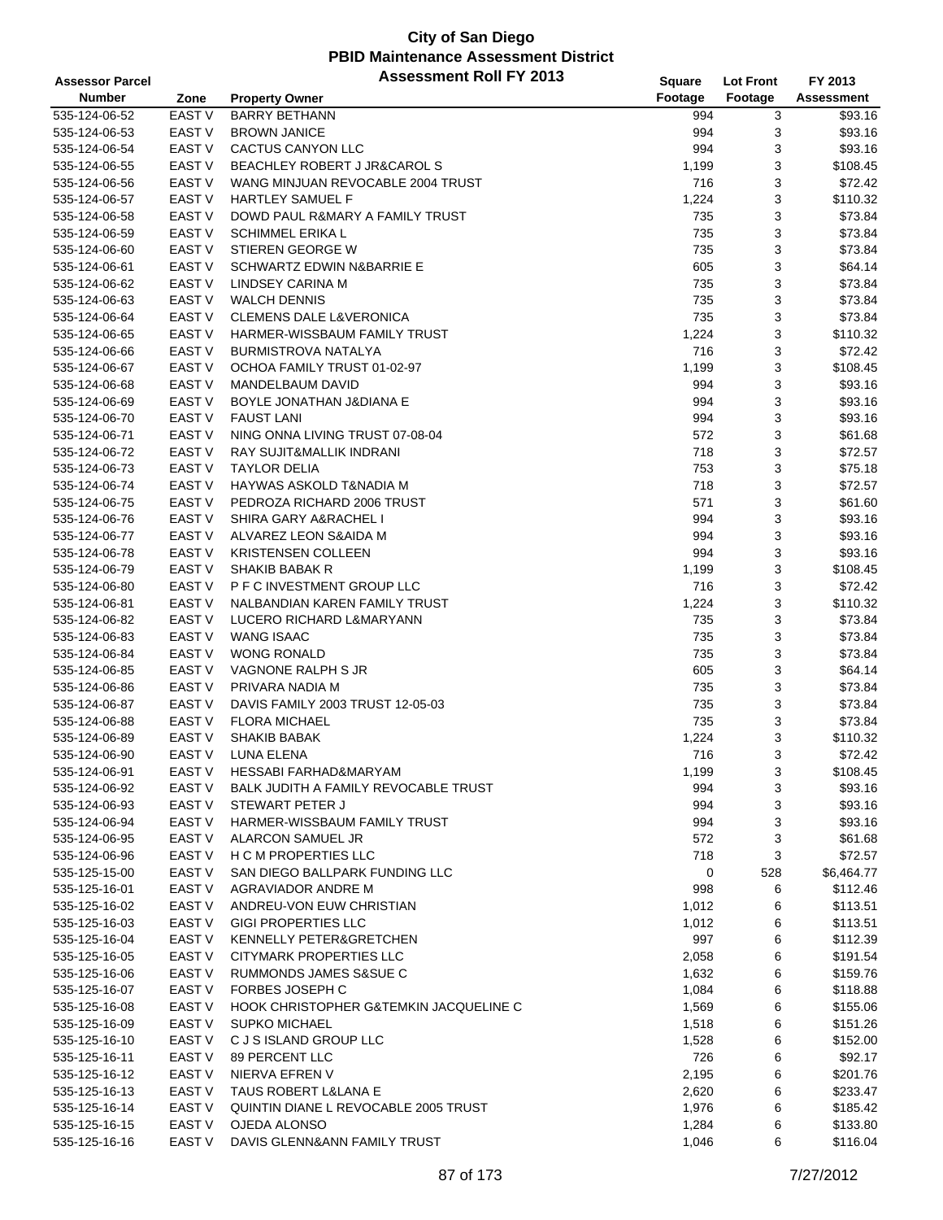| <b>Assessor Parcel</b> |                   | <b>Assessment Roll FY 2013</b>         | <b>Square</b> | <b>Lot Front</b> | FY 2013           |
|------------------------|-------------------|----------------------------------------|---------------|------------------|-------------------|
| <b>Number</b>          | Zone              | <b>Property Owner</b>                  | Footage       | Footage          | <b>Assessment</b> |
| 535-124-06-52          | EAST <sub>V</sub> | <b>BARRY BETHANN</b>                   | 994           | 3                | \$93.16           |
| 535-124-06-53          | EAST <sub>V</sub> | <b>BROWN JANICE</b>                    | 994           | 3                | \$93.16           |
| 535-124-06-54          | EAST <sub>V</sub> | CACTUS CANYON LLC                      | 994           | 3                | \$93.16           |
| 535-124-06-55          | EAST V            | BEACHLEY ROBERT J JR&CAROL S           | 1,199         | 3                | \$108.45          |
| 535-124-06-56          | EAST <sub>V</sub> | WANG MINJUAN REVOCABLE 2004 TRUST      | 716           | 3                | \$72.42           |
| 535-124-06-57          | EAST <sub>V</sub> | <b>HARTLEY SAMUEL F</b>                | 1,224         | 3                | \$110.32          |
| 535-124-06-58          | EAST V            | DOWD PAUL R&MARY A FAMILY TRUST        | 735           | 3                | \$73.84           |
| 535-124-06-59          | EAST <sub>V</sub> | <b>SCHIMMEL ERIKA L</b>                | 735           | 3                | \$73.84           |
| 535-124-06-60          | <b>EAST V</b>     | STIEREN GEORGE W                       | 735           | 3                | \$73.84           |
| 535-124-06-61          | EAST V            | SCHWARTZ EDWIN N&BARRIE E              | 605           | 3                | \$64.14           |
| 535-124-06-62          | EAST <sub>V</sub> | LINDSEY CARINA M                       | 735           | 3                | \$73.84           |
| 535-124-06-63          | EAST <sub>V</sub> | <b>WALCH DENNIS</b>                    | 735           | 3                | \$73.84           |
| 535-124-06-64          | EAST V            | <b>CLEMENS DALE L&amp;VERONICA</b>     | 735           | 3                | \$73.84           |
| 535-124-06-65          | <b>EAST V</b>     | HARMER-WISSBAUM FAMILY TRUST           | 1,224         | 3                | \$110.32          |
| 535-124-06-66          | EAST V            | <b>BURMISTROVA NATALYA</b>             | 716           | 3                | \$72.42           |
| 535-124-06-67          | <b>EAST V</b>     | OCHOA FAMILY TRUST 01-02-97            | 1,199         | 3                | \$108.45          |
| 535-124-06-68          | <b>EAST V</b>     | <b>MANDELBAUM DAVID</b>                | 994           | 3                | \$93.16           |
| 535-124-06-69          | EAST V            | BOYLE JONATHAN J&DIANA E               | 994           | 3                | \$93.16           |
| 535-124-06-70          | EAST <sub>V</sub> | <b>FAUST LANI</b>                      | 994           | 3                | \$93.16           |
| 535-124-06-71          | <b>EAST V</b>     | NING ONNA LIVING TRUST 07-08-04        | 572           | 3                | \$61.68           |
| 535-124-06-72          | <b>EAST V</b>     | RAY SUJIT&MALLIK INDRANI               | 718           | 3                | \$72.57           |
| 535-124-06-73          | EAST <sub>V</sub> | <b>TAYLOR DELIA</b>                    | 753           | 3                | \$75.18           |
| 535-124-06-74          | EAST <sub>V</sub> | <b>HAYWAS ASKOLD T&amp;NADIA M</b>     | 718           | 3                | \$72.57           |
|                        |                   |                                        |               |                  |                   |
| 535-124-06-75          | EAST V            | PEDROZA RICHARD 2006 TRUST             | 571           | 3                | \$61.60           |
| 535-124-06-76          | EAST <sub>V</sub> | SHIRA GARY A&RACHEL I                  | 994           | 3                | \$93.16           |
| 535-124-06-77          | <b>EAST V</b>     | ALVAREZ LEON S&AIDA M                  | 994           | 3                | \$93.16           |
| 535-124-06-78          | <b>EAST V</b>     | <b>KRISTENSEN COLLEEN</b>              | 994           | 3                | \$93.16           |
| 535-124-06-79          | EAST <sub>V</sub> | <b>SHAKIB BABAK R</b>                  | 1,199         | 3                | \$108.45          |
| 535-124-06-80          | EAST V            | P F C INVESTMENT GROUP LLC             | 716           | 3                | \$72.42           |
| 535-124-06-81          | EAST V            | NALBANDIAN KAREN FAMILY TRUST          | 1,224         | 3                | \$110.32          |
| 535-124-06-82          | <b>EAST V</b>     | LUCERO RICHARD L&MARYANN               | 735           | 3                | \$73.84           |
| 535-124-06-83          | <b>EAST V</b>     | <b>WANG ISAAC</b>                      | 735           | 3                | \$73.84           |
| 535-124-06-84          | EAST <sub>V</sub> | <b>WONG RONALD</b>                     | 735           | 3                | \$73.84           |
| 535-124-06-85          | EAST <sub>V</sub> | VAGNONE RALPH S JR                     | 605           | 3                | \$64.14           |
| 535-124-06-86          | EAST V            | PRIVARA NADIA M                        | 735           | 3                | \$73.84           |
| 535-124-06-87          | EAST <sub>V</sub> | DAVIS FAMILY 2003 TRUST 12-05-03       | 735           | 3                | \$73.84           |
| 535-124-06-88          | <b>EAST V</b>     | <b>FLORA MICHAEL</b>                   | 735           | 3                | \$73.84           |
| 535-124-06-89          | EAST <sub>V</sub> | <b>SHAKIB BABAK</b>                    | 1,224         | 3                | \$110.32          |
| 535-124-06-90          | <b>EAST V</b>     | LUNA ELENA                             | 716           | 3                | \$72.42           |
| 535-124-06-91          | EAST V            | HESSABI FARHAD&MARYAM                  | 1,199         | 3                | \$108.45          |
| 535-124-06-92          | EAST V            | BALK JUDITH A FAMILY REVOCABLE TRUST   | 994           | 3                | \$93.16           |
| 535-124-06-93          | EAST V            | STEWART PETER J                        | 994           | 3                | \$93.16           |
| 535-124-06-94          | EAST V            | HARMER-WISSBAUM FAMILY TRUST           | 994           | 3                | \$93.16           |
| 535-124-06-95          | EAST V            | ALARCON SAMUEL JR                      | 572           | 3                | \$61.68           |
| 535-124-06-96          | EAST V            | H C M PROPERTIES LLC                   | 718           | 3                | \$72.57           |
| 535-125-15-00          | EAST V            | SAN DIEGO BALLPARK FUNDING LLC         | 0             | 528              | \$6,464.77        |
| 535-125-16-01          | EAST V            | AGRAVIADOR ANDRE M                     | 998           | 6                | \$112.46          |
| 535-125-16-02          | EAST V            | ANDREU-VON EUW CHRISTIAN               | 1,012         | 6                | \$113.51          |
| 535-125-16-03          | EAST V            | <b>GIGI PROPERTIES LLC</b>             | 1,012         | 6                | \$113.51          |
| 535-125-16-04          | <b>EAST V</b>     | KENNELLY PETER&GRETCHEN                | 997           | 6                | \$112.39          |
| 535-125-16-05          | <b>EAST V</b>     | CITYMARK PROPERTIES LLC                | 2,058         | 6                | \$191.54          |
| 535-125-16-06          | EAST V            | RUMMONDS JAMES S&SUE C                 | 1,632         | 6                | \$159.76          |
| 535-125-16-07          | EAST V            | FORBES JOSEPH C                        | 1,084         | 6                | \$118.88          |
| 535-125-16-08          | EAST V            | HOOK CHRISTOPHER G&TEMKIN JACQUELINE C | 1,569         | 6                | \$155.06          |
| 535-125-16-09          | EAST V            | <b>SUPKO MICHAEL</b>                   | 1,518         | 6                | \$151.26          |
| 535-125-16-10          | EAST V            | C J S ISLAND GROUP LLC                 | 1,528         | 6                | \$152.00          |
| 535-125-16-11          | EAST V            | 89 PERCENT LLC                         | 726           | 6                | \$92.17           |
| 535-125-16-12          | EAST V            | NIERVA EFREN V                         | 2,195         | 6                | \$201.76          |
| 535-125-16-13          | EAST V            | TAUS ROBERT L&LANA E                   | 2,620         | 6                | \$233.47          |
| 535-125-16-14          | EAST V            | QUINTIN DIANE L REVOCABLE 2005 TRUST   | 1,976         | 6                | \$185.42          |
| 535-125-16-15          | EAST V            | OJEDA ALONSO                           | 1,284         | 6                | \$133.80          |
| 535-125-16-16          | EAST V            | DAVIS GLENN&ANN FAMILY TRUST           | 1,046         | 6                | \$116.04          |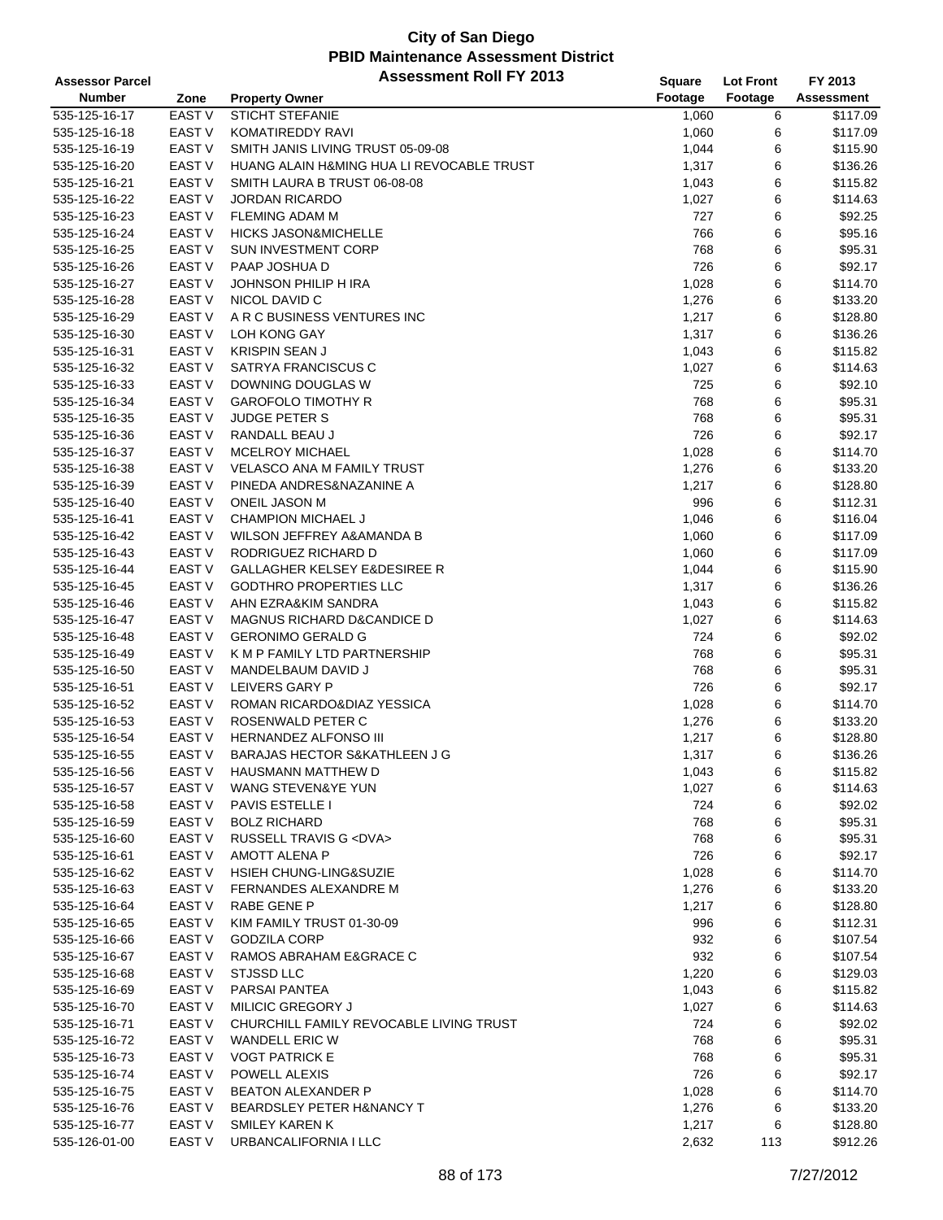| <b>Assessor Parcel</b>         |                   | <b>Assessment Roll FY 2013</b>            | Square  | <b>Lot Front</b> | FY 2013           |
|--------------------------------|-------------------|-------------------------------------------|---------|------------------|-------------------|
| <b>Number</b>                  | Zone              | <b>Property Owner</b>                     | Footage | Footage          | <b>Assessment</b> |
| 535-125-16-17                  | <b>EAST V</b>     | STICHT STEFANIE                           | 1,060   | 6                | \$117.09          |
| 535-125-16-18                  | EAST V            | KOMATIREDDY RAVI                          | 1,060   | 6                | \$117.09          |
| 535-125-16-19                  | <b>EAST V</b>     | SMITH JANIS LIVING TRUST 05-09-08         | 1,044   | 6                | \$115.90          |
| 535-125-16-20                  | <b>EAST V</b>     | HUANG ALAIN H&MING HUA LI REVOCABLE TRUST | 1,317   | 6                | \$136.26          |
| 535-125-16-21                  | EAST V            | SMITH LAURA B TRUST 06-08-08              | 1,043   | 6                | \$115.82          |
| 535-125-16-22                  | EAST <sub>V</sub> | <b>JORDAN RICARDO</b>                     | 1,027   | 6                | \$114.63          |
| 535-125-16-23                  | EAST V            | <b>FLEMING ADAM M</b>                     | 727     | 6                | \$92.25           |
| 535-125-16-24                  | <b>EAST V</b>     | <b>HICKS JASON&amp;MICHELLE</b>           | 766     | 6                | \$95.16           |
| 535-125-16-25                  | EAST V            | <b>SUN INVESTMENT CORP</b>                | 768     | 6                | \$95.31           |
|                                | <b>EAST V</b>     | PAAP JOSHUA D                             | 726     | 6                | \$92.17           |
| 535-125-16-26<br>535-125-16-27 | <b>EAST V</b>     | JOHNSON PHILIP H IRA                      |         | 6                | \$114.70          |
|                                |                   |                                           | 1,028   |                  |                   |
| 535-125-16-28                  | EAST V            | NICOL DAVID C                             | 1,276   | 6                | \$133.20          |
| 535-125-16-29                  | EAST V            | A R C BUSINESS VENTURES INC               | 1,217   | 6                | \$128.80          |
| 535-125-16-30                  | <b>EAST V</b>     | LOH KONG GAY                              | 1,317   | 6                | \$136.26          |
| 535-125-16-31                  | <b>EAST V</b>     | <b>KRISPIN SEAN J</b>                     | 1,043   | 6                | \$115.82          |
| 535-125-16-32                  | EAST V            | SATRYA FRANCISCUS C                       | 1,027   | 6                | \$114.63          |
| 535-125-16-33                  | <b>EAST V</b>     | DOWNING DOUGLAS W                         | 725     | 6                | \$92.10           |
| 535-125-16-34                  | EAST V            | <b>GAROFOLO TIMOTHY R</b>                 | 768     | 6                | \$95.31           |
| 535-125-16-35                  | EAST V            | <b>JUDGE PETER S</b>                      | 768     | 6                | \$95.31           |
| 535-125-16-36                  | <b>EAST V</b>     | RANDALL BEAU J                            | 726     | 6                | \$92.17           |
| 535-125-16-37                  | <b>EAST V</b>     | <b>MCELROY MICHAEL</b>                    | 1,028   | 6                | \$114.70          |
| 535-125-16-38                  | EAST V            | <b>VELASCO ANA M FAMILY TRUST</b>         | 1,276   | 6                | \$133.20          |
| 535-125-16-39                  | <b>EAST V</b>     | PINEDA ANDRES&NAZANINE A                  | 1,217   | 6                | \$128.80          |
| 535-125-16-40                  | EAST V            | ONEIL JASON M                             | 996     | 6                | \$112.31          |
| 535-125-16-41                  | EAST V            | <b>CHAMPION MICHAEL J</b>                 | 1,046   | 6                | \$116.04          |
| 535-125-16-42                  | <b>EAST V</b>     | WILSON JEFFREY A&AMANDA B                 | 1,060   | 6                | \$117.09          |
| 535-125-16-43                  | EAST V            | RODRIGUEZ RICHARD D                       | 1,060   | 6                | \$117.09          |
| 535-125-16-44                  | <b>EAST V</b>     | <b>GALLAGHER KELSEY E&amp;DESIREE R</b>   | 1,044   | 6                | \$115.90          |
| 535-125-16-45                  | EAST V            | <b>GODTHRO PROPERTIES LLC</b>             | 1,317   | 6                | \$136.26          |
| 535-125-16-46                  | EAST V            | AHN EZRA&KIM SANDRA                       | 1,043   | 6                | \$115.82          |
| 535-125-16-47                  | <b>EAST V</b>     | <b>MAGNUS RICHARD D&amp;CANDICE D</b>     | 1,027   | 6                | \$114.63          |
| 535-125-16-48                  | <b>EAST V</b>     | <b>GERONIMO GERALD G</b>                  | 724     | 6                | \$92.02           |
| 535-125-16-49                  | <b>EAST V</b>     | K M P FAMILY LTD PARTNERSHIP              | 768     | 6                | \$95.31           |
| 535-125-16-50                  | EAST V            | MANDELBAUM DAVID J                        | 768     | 6                | \$95.31           |
| 535-125-16-51                  | EAST V            | LEIVERS GARY P                            | 726     | 6                | \$92.17           |
| 535-125-16-52                  | EAST V            | ROMAN RICARDO&DIAZ YESSICA                | 1,028   | 6                | \$114.70          |
| 535-125-16-53                  | EAST <sub>V</sub> | ROSENWALD PETER C                         | 1,276   | 6                | \$133.20          |
| 535-125-16-54                  | EAST V            | HERNANDEZ ALFONSO III                     | 1,217   | 6                | \$128.80          |
| 535-125-16-55                  | <b>EAST V</b>     | <b>BARAJAS HECTOR S&amp;KATHLEEN J G</b>  | 1,317   | 6                | \$136.26          |
| 535-125-16-56                  | EAST V            | <b>HAUSMANN MATTHEW D</b>                 | 1,043   | 6                | \$115.82          |
| 535-125-16-57                  | EAST V            | WANG STEVEN&YE YUN                        | 1,027   | 6                | \$114.63          |
| 535-125-16-58                  | EAST V            | PAVIS ESTELLE I                           | 724     | 6                | \$92.02           |
| 535-125-16-59                  | EAST V            | <b>BOLZ RICHARD</b>                       | 768     | 6                | \$95.31           |
| 535-125-16-60                  | EAST V            | RUSSELL TRAVIS G <dva></dva>              | 768     | 6                | \$95.31           |
| 535-125-16-61                  | EAST V            | AMOTT ALENA P                             | 726     | 6                | \$92.17           |
| 535-125-16-62                  | EAST V            | <b>HSIEH CHUNG-LING&amp;SUZIE</b>         | 1,028   | 6                | \$114.70          |
| 535-125-16-63                  | EAST V            | FERNANDES ALEXANDRE M                     | 1,276   | 6                | \$133.20          |
| 535-125-16-64                  | EAST V            | RABE GENE P                               | 1,217   | 6                | \$128.80          |
| 535-125-16-65                  | EAST V            | KIM FAMILY TRUST 01-30-09                 | 996     | 6                | \$112.31          |
|                                | EAST V            | <b>GODZILA CORP</b>                       | 932     |                  | \$107.54          |
| 535-125-16-66                  |                   |                                           |         | 6                |                   |
| 535-125-16-67                  | EAST V            | RAMOS ABRAHAM E&GRACE C                   | 932     | 6                | \$107.54          |
| 535-125-16-68                  | EAST V            | <b>STJSSD LLC</b>                         | 1,220   | 6                | \$129.03          |
| 535-125-16-69                  | EAST V            | PARSAI PANTEA                             | 1,043   | 6                | \$115.82          |
| 535-125-16-70                  | EAST V            | MILICIC GREGORY J                         | 1,027   | 6                | \$114.63          |
| 535-125-16-71                  | EAST V            | CHURCHILL FAMILY REVOCABLE LIVING TRUST   | 724     | 6                | \$92.02           |
| 535-125-16-72                  | EAST V            | WANDELL ERIC W                            | 768     | 6                | \$95.31           |
| 535-125-16-73                  | EAST V            | <b>VOGT PATRICK E</b>                     | 768     | 6                | \$95.31           |
| 535-125-16-74                  | EAST V            | POWELL ALEXIS                             | 726     | 6                | \$92.17           |
| 535-125-16-75                  | EAST V            | <b>BEATON ALEXANDER P</b>                 | 1,028   | 6                | \$114.70          |
| 535-125-16-76                  | EAST V            | <b>BEARDSLEY PETER H&amp;NANCY T</b>      | 1,276   | 6                | \$133.20          |
| 535-125-16-77                  | EAST V            | <b>SMILEY KAREN K</b>                     | 1,217   | 6                | \$128.80          |
| 535-126-01-00                  | EAST <sub>V</sub> | URBANCALIFORNIA I LLC                     | 2,632   | 113              | \$912.26          |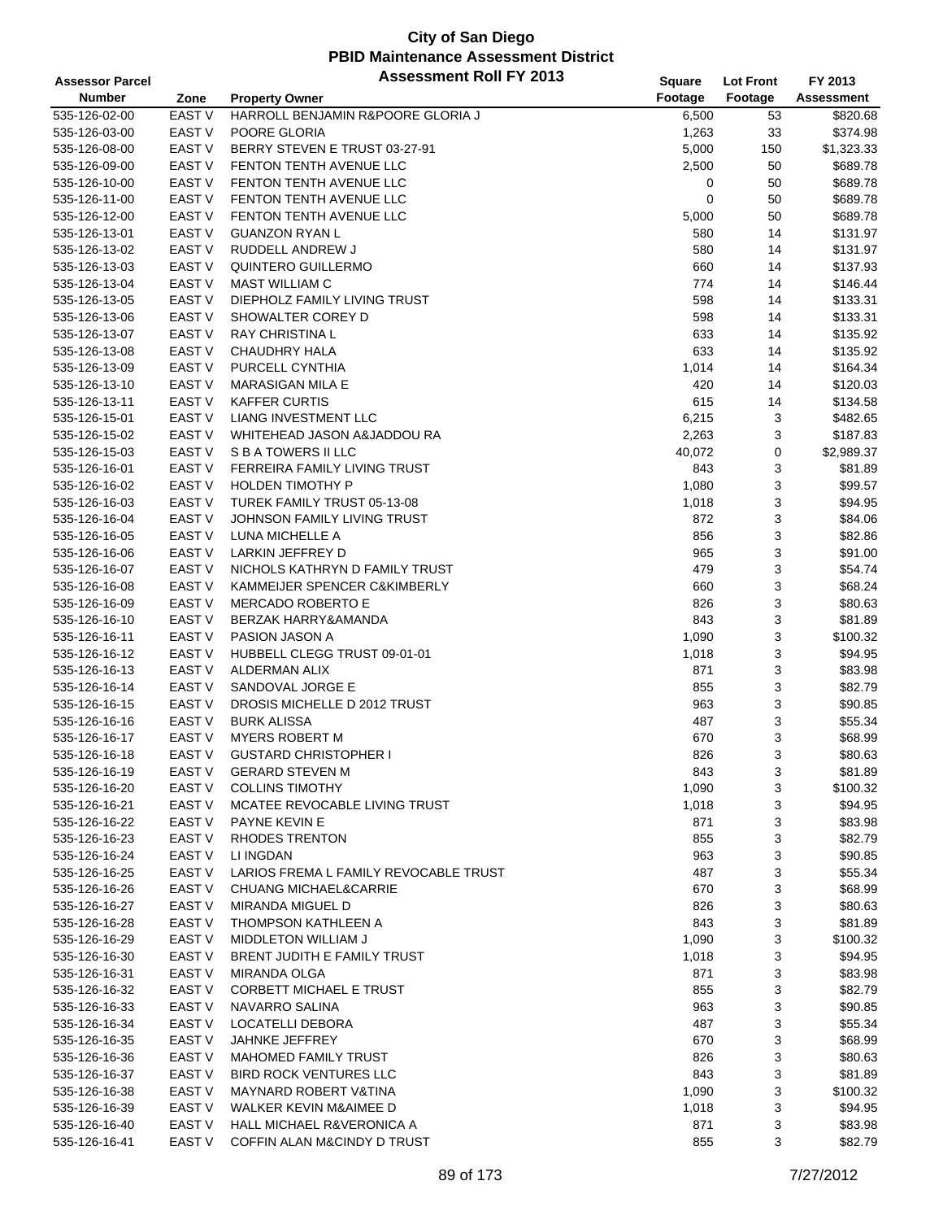| <b>Assessor Parcel</b> |                   | <b>Assessment Roll FY 2013</b>        | Square  | <b>Lot Front</b> | FY 2013           |
|------------------------|-------------------|---------------------------------------|---------|------------------|-------------------|
| <b>Number</b>          | Zone              | <b>Property Owner</b>                 | Footage | Footage          | <b>Assessment</b> |
| 535-126-02-00          | <b>EAST V</b>     | HARROLL BENJAMIN R&POORE GLORIA J     | 6,500   | 53               | \$820.68          |
| 535-126-03-00          | EAST V            | POORE GLORIA                          | 1,263   | 33               | \$374.98          |
| 535-126-08-00          | <b>EAST V</b>     | BERRY STEVEN E TRUST 03-27-91         | 5,000   | 150              | \$1,323.33        |
| 535-126-09-00          | <b>EAST V</b>     | FENTON TENTH AVENUE LLC               | 2,500   | 50               | \$689.78          |
| 535-126-10-00          | EAST <sub>V</sub> | FENTON TENTH AVENUE LLC               | 0       | 50               | \$689.78          |
| 535-126-11-00          | <b>EAST V</b>     | FENTON TENTH AVENUE LLC               | 0       | 50               | \$689.78          |
| 535-126-12-00          | EAST <sub>V</sub> | <b>FENTON TENTH AVENUE LLC</b>        | 5,000   | 50               | \$689.78          |
| 535-126-13-01          | <b>EAST V</b>     | <b>GUANZON RYAN L</b>                 | 580     | 14               | \$131.97          |
|                        |                   |                                       |         |                  |                   |
| 535-126-13-02          | EAST <sub>V</sub> | RUDDELL ANDREW J                      | 580     | 14               | \$131.97          |
| 535-126-13-03          | <b>EAST V</b>     | QUINTERO GUILLERMO                    | 660     | 14               | \$137.93          |
| 535-126-13-04          | <b>EAST V</b>     | <b>MAST WILLIAM C</b>                 | 774     | 14               | \$146.44          |
| 535-126-13-05          | EAST V            | DIEPHOLZ FAMILY LIVING TRUST          | 598     | 14               | \$133.31          |
| 535-126-13-06          | EAST V            | SHOWALTER COREY D                     | 598     | 14               | \$133.31          |
| 535-126-13-07          | EAST <sub>V</sub> | <b>RAY CHRISTINA L</b>                | 633     | 14               | \$135.92          |
| 535-126-13-08          | EAST V            | <b>CHAUDHRY HALA</b>                  | 633     | 14               | \$135.92          |
| 535-126-13-09          | <b>EAST V</b>     | PURCELL CYNTHIA                       | 1,014   | 14               | \$164.34          |
| 535-126-13-10          | <b>EAST V</b>     | <b>MARASIGAN MILA E</b>               | 420     | 14               | \$120.03          |
| 535-126-13-11          | EAST V            | <b>KAFFER CURTIS</b>                  | 615     | 14               | \$134.58          |
| 535-126-15-01          | <b>EAST V</b>     | LIANG INVESTMENT LLC                  | 6,215   | 3                | \$482.65          |
| 535-126-15-02          | <b>EAST V</b>     | WHITEHEAD JASON A&JADDOU RA           | 2,263   | 3                | \$187.83          |
| 535-126-15-03          | <b>EAST V</b>     | S B A TOWERS II LLC                   | 40,072  | 0                | \$2,989.37        |
| 535-126-16-01          | <b>EAST V</b>     | FERREIRA FAMILY LIVING TRUST          | 843     | 3                | \$81.89           |
| 535-126-16-02          | EAST V            | <b>HOLDEN TIMOTHY P</b>               | 1,080   | 3                | \$99.57           |
| 535-126-16-03          | EAST V            | TUREK FAMILY TRUST 05-13-08           | 1,018   | 3                | \$94.95           |
| 535-126-16-04          | <b>EAST V</b>     | JOHNSON FAMILY LIVING TRUST           | 872     | 3                | \$84.06           |
| 535-126-16-05          | <b>EAST V</b>     | LUNA MICHELLE A                       | 856     | 3                | \$82.86           |
| 535-126-16-06          | EAST V            | LARKIN JEFFREY D                      | 965     | 3                | \$91.00           |
| 535-126-16-07          | <b>EAST V</b>     | NICHOLS KATHRYN D FAMILY TRUST        | 479     | 3                | \$54.74           |
| 535-126-16-08          | EAST V            | KAMMEIJER SPENCER C&KIMBERLY          | 660     | 3                | \$68.24           |
| 535-126-16-09          | EAST <sub>V</sub> | MERCADO ROBERTO E                     | 826     | 3                | \$80.63           |
| 535-126-16-10          | EAST <sub>V</sub> | BERZAK HARRY&AMANDA                   | 843     | 3                | \$81.89           |
| 535-126-16-11          | EAST <sub>V</sub> | PASION JASON A                        | 1,090   | 3                | \$100.32          |
| 535-126-16-12          | EAST <sub>V</sub> | HUBBELL CLEGG TRUST 09-01-01          | 1,018   | 3                | \$94.95           |
| 535-126-16-13          | <b>EAST V</b>     | ALDERMAN ALIX                         | 871     | 3                | \$83.98           |
| 535-126-16-14          | <b>EAST V</b>     | SANDOVAL JORGE E                      | 855     | 3                | \$82.79           |
| 535-126-16-15          | EAST V            | DROSIS MICHELLE D 2012 TRUST          | 963     | 3                | \$90.85           |
| 535-126-16-16          | EAST <sub>V</sub> | <b>BURK ALISSA</b>                    | 487     | 3                | \$55.34           |
| 535-126-16-17          | EAST V            | <b>MYERS ROBERT M</b>                 | 670     | 3                | \$68.99           |
| 535-126-16-18          | <b>EAST V</b>     | <b>GUSTARD CHRISTOPHER I</b>          | 826     | 3                | \$80.63           |
| 535-126-16-19          | EAST V            | <b>GERARD STEVEN M</b>                | 843     | 3                | \$81.89           |
|                        | EAST V            | <b>COLLINS TIMOTHY</b>                |         |                  | \$100.32          |
| 535-126-16-20          |                   |                                       | 1,090   | 3                |                   |
| 535-126-16-21          | EAST V            | MCATEE REVOCABLE LIVING TRUST         | 1,018   | 3                | \$94.95           |
| 535-126-16-22          | EAST V            | PAYNE KEVIN E                         | 871     | 3                | \$83.98           |
| 535-126-16-23          | EAST V            | <b>RHODES TRENTON</b>                 | 855     | 3                | \$82.79           |
| 535-126-16-24          | EAST V            | LI INGDAN                             | 963     | 3                | \$90.85           |
| 535-126-16-25          | EAST V            | LARIOS FREMA L FAMILY REVOCABLE TRUST | 487     | 3                | \$55.34           |
| 535-126-16-26          | EAST V            | <b>CHUANG MICHAEL&amp;CARRIE</b>      | 670     | 3                | \$68.99           |
| 535-126-16-27          | EAST <sub>V</sub> | MIRANDA MIGUEL D                      | 826     | 3                | \$80.63           |
| 535-126-16-28          | EAST V            | THOMPSON KATHLEEN A                   | 843     | 3                | \$81.89           |
| 535-126-16-29          | EAST V            | <b>MIDDLETON WILLIAM J</b>            | 1,090   | 3                | \$100.32          |
| 535-126-16-30          | EAST V            | BRENT JUDITH E FAMILY TRUST           | 1,018   | 3                | \$94.95           |
| 535-126-16-31          | EAST V            | MIRANDA OLGA                          | 871     | 3                | \$83.98           |
| 535-126-16-32          | EAST V            | <b>CORBETT MICHAEL E TRUST</b>        | 855     | 3                | \$82.79           |
| 535-126-16-33          | <b>EAST V</b>     | NAVARRO SALINA                        | 963     | 3                | \$90.85           |
| 535-126-16-34          | EAST V            | LOCATELLI DEBORA                      | 487     | 3                | \$55.34           |
| 535-126-16-35          | EAST V            | JAHNKE JEFFREY                        | 670     | 3                | \$68.99           |
| 535-126-16-36          | EAST V            | MAHOMED FAMILY TRUST                  | 826     | 3                | \$80.63           |
| 535-126-16-37          | EAST V            | <b>BIRD ROCK VENTURES LLC</b>         | 843     | 3                | \$81.89           |
| 535-126-16-38          | EAST <sub>V</sub> | <b>MAYNARD ROBERT V&amp;TINA</b>      | 1,090   | 3                | \$100.32          |
| 535-126-16-39          | EAST V            | WALKER KEVIN M&AIMEE D                | 1,018   | 3                | \$94.95           |
| 535-126-16-40          | EAST V            | <b>HALL MICHAEL R&amp;VERONICA A</b>  | 871     | 3                | \$83.98           |
| 535-126-16-41          | EAST V            | COFFIN ALAN M&CINDY D TRUST           | 855     | 3                | \$82.79           |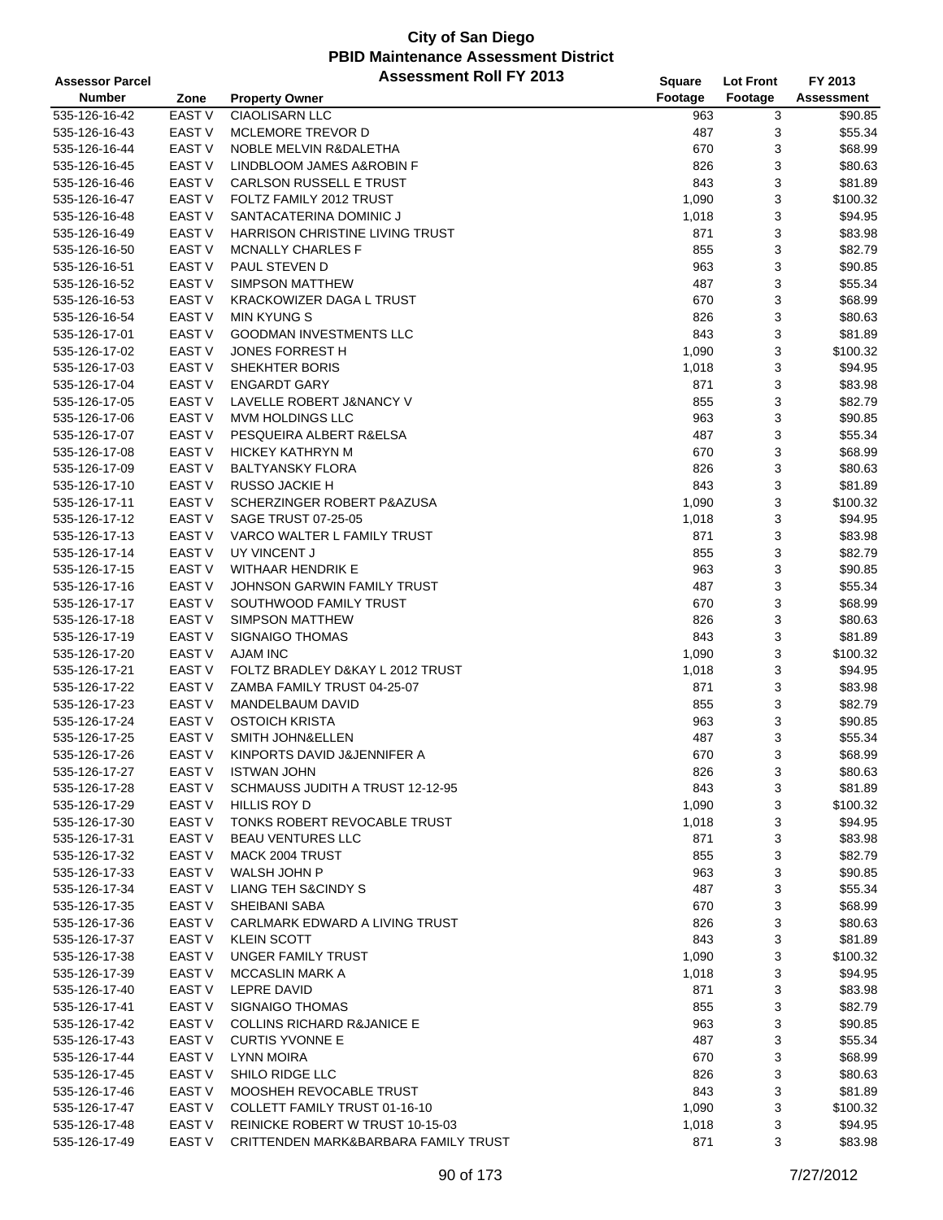| <b>Assessor Parcel</b> |                   | <b>Assessment Roll FY 2013</b>         | Square  | <b>Lot Front</b> | FY 2013           |
|------------------------|-------------------|----------------------------------------|---------|------------------|-------------------|
| <b>Number</b>          | Zone              | <b>Property Owner</b>                  | Footage | Footage          | <b>Assessment</b> |
| 535-126-16-42          | <b>EAST V</b>     | <b>CIAOLISARN LLC</b>                  | 963     | 3                | \$90.85           |
| 535-126-16-43          | <b>EAST V</b>     | MCLEMORE TREVOR D                      | 487     | 3                | \$55.34           |
| 535-126-16-44          | <b>EAST V</b>     | NOBLE MELVIN R&DALETHA                 | 670     | 3                | \$68.99           |
| 535-126-16-45          | <b>EAST V</b>     | LINDBLOOM JAMES A&ROBIN F              | 826     | 3                | \$80.63           |
|                        | <b>EAST V</b>     | CARLSON RUSSELL E TRUST                | 843     | 3                | \$81.89           |
| 535-126-16-46          |                   | FOLTZ FAMILY 2012 TRUST                |         |                  |                   |
| 535-126-16-47          | <b>EAST V</b>     |                                        | 1,090   | 3                | \$100.32          |
| 535-126-16-48          | EAST V            | SANTACATERINA DOMINIC J                | 1,018   | 3                | \$94.95           |
| 535-126-16-49          | <b>EAST V</b>     | <b>HARRISON CHRISTINE LIVING TRUST</b> | 871     | 3                | \$83.98           |
| 535-126-16-50          | <b>EAST V</b>     | <b>MCNALLY CHARLES F</b>               | 855     | 3                | \$82.79           |
| 535-126-16-51          | <b>EAST V</b>     | PAUL STEVEN D                          | 963     | 3                | \$90.85           |
| 535-126-16-52          | <b>EAST V</b>     | <b>SIMPSON MATTHEW</b>                 | 487     | 3                | \$55.34           |
| 535-126-16-53          | EAST V            | <b>KRACKOWIZER DAGA L TRUST</b>        | 670     | 3                | \$68.99           |
| 535-126-16-54          | EAST V            | <b>MIN KYUNG S</b>                     | 826     | 3                | \$80.63           |
| 535-126-17-01          | <b>EAST V</b>     | <b>GOODMAN INVESTMENTS LLC</b>         | 843     | 3                | \$81.89           |
| 535-126-17-02          | <b>EAST V</b>     | <b>JONES FORREST H</b>                 | 1,090   | 3                | \$100.32          |
| 535-126-17-03          | EAST <sub>V</sub> | SHEKHTER BORIS                         | 1,018   | 3                | \$94.95           |
| 535-126-17-04          | <b>EAST V</b>     | <b>ENGARDT GARY</b>                    | 871     | 3                | \$83.98           |
| 535-126-17-05          | <b>EAST V</b>     | LAVELLE ROBERT J&NANCY V               | 855     | 3                | \$82.79           |
| 535-126-17-06          | <b>EAST V</b>     | MVM HOLDINGS LLC                       | 963     | 3                | \$90.85           |
| 535-126-17-07          | <b>EAST V</b>     | PESQUEIRA ALBERT R&ELSA                | 487     | 3                | \$55.34           |
| 535-126-17-08          | <b>EAST V</b>     | <b>HICKEY KATHRYN M</b>                | 670     | 3                | \$68.99           |
| 535-126-17-09          | <b>EAST V</b>     | <b>BALTYANSKY FLORA</b>                | 826     | 3                | \$80.63           |
| 535-126-17-10          | EAST V            | RUSSO JACKIE H                         | 843     | 3                | \$81.89           |
| 535-126-17-11          | <b>EAST V</b>     | SCHERZINGER ROBERT P&AZUSA             | 1,090   | 3                | \$100.32          |
|                        | EAST <sub>V</sub> |                                        |         |                  |                   |
| 535-126-17-12          |                   | SAGE TRUST 07-25-05                    | 1,018   | 3                | \$94.95           |
| 535-126-17-13          | <b>EAST V</b>     | VARCO WALTER L FAMILY TRUST            | 871     | 3                | \$83.98           |
| 535-126-17-14          | <b>EAST V</b>     | UY VINCENT J                           | 855     | 3                | \$82.79           |
| 535-126-17-15          | <b>EAST V</b>     | <b>WITHAAR HENDRIK E</b>               | 963     | 3                | \$90.85           |
| 535-126-17-16          | <b>EAST V</b>     | JOHNSON GARWIN FAMILY TRUST            | 487     | 3                | \$55.34           |
| 535-126-17-17          | EAST V            | SOUTHWOOD FAMILY TRUST                 | 670     | 3                | \$68.99           |
| 535-126-17-18          | <b>EAST V</b>     | <b>SIMPSON MATTHEW</b>                 | 826     | 3                | \$80.63           |
| 535-126-17-19          | <b>EAST V</b>     | <b>SIGNAIGO THOMAS</b>                 | 843     | 3                | \$81.89           |
| 535-126-17-20          | <b>EAST V</b>     | <b>AJAM INC</b>                        | 1,090   | 3                | \$100.32          |
| 535-126-17-21          | <b>EAST V</b>     | FOLTZ BRADLEY D&KAY L 2012 TRUST       | 1,018   | 3                | \$94.95           |
| 535-126-17-22          | EAST V            | ZAMBA FAMILY TRUST 04-25-07            | 871     | 3                | \$83.98           |
| 535-126-17-23          | EAST V            | MANDELBAUM DAVID                       | 855     | 3                | \$82.79           |
| 535-126-17-24          | EAST <sub>V</sub> | <b>OSTOICH KRISTA</b>                  | 963     | 3                | \$90.85           |
| 535-126-17-25          | EAST V            | SMITH JOHN&ELLEN                       | 487     | 3                | \$55.34           |
| 535-126-17-26          | <b>EAST V</b>     | KINPORTS DAVID J&JENNIFER A            | 670     | 3                | \$68.99           |
| 535-126-17-27          | EAST V            | <b>ISTWAN JOHN</b>                     | 826     | 3                | \$80.63           |
| 535-126-17-28          | EAST V            | SCHMAUSS JUDITH A TRUST 12-12-95       | 843     | 3                | \$81.89           |
| 535-126-17-29          | <b>EAST V</b>     | HILLIS ROY D                           | 1,090   | 3                | \$100.32          |
| 535-126-17-30          | <b>EAST V</b>     | TONKS ROBERT REVOCABLE TRUST           | 1,018   | 3                | \$94.95           |
| 535-126-17-31          | EAST V            | <b>BEAU VENTURES LLC</b>               | 871     | 3                | \$83.98           |
| 535-126-17-32          | EAST V            | MACK 2004 TRUST                        | 855     | 3                | \$82.79           |
| 535-126-17-33          | EAST V            | <b>WALSH JOHN P</b>                    | 963     | 3                | \$90.85           |
|                        | <b>EAST V</b>     | LIANG TEH S&CINDY S                    |         |                  | \$55.34           |
| 535-126-17-34          |                   |                                        | 487     | 3                |                   |
| 535-126-17-35          | EAST <sub>V</sub> | SHEIBANI SABA                          | 670     | 3                | \$68.99           |
| 535-126-17-36          | EAST V            | CARLMARK EDWARD A LIVING TRUST         | 826     | 3                | \$80.63           |
| 535-126-17-37          | EAST V            | <b>KLEIN SCOTT</b>                     | 843     | 3                | \$81.89           |
| 535-126-17-38          | EAST V            | UNGER FAMILY TRUST                     | 1,090   | 3                | \$100.32          |
| 535-126-17-39          | EAST V            | <b>MCCASLIN MARK A</b>                 | 1,018   | 3                | \$94.95           |
| 535-126-17-40          | <b>EAST V</b>     | <b>LEPRE DAVID</b>                     | 871     | 3                | \$83.98           |
| 535-126-17-41          | <b>EAST V</b>     | <b>SIGNAIGO THOMAS</b>                 | 855     | 3                | \$82.79           |
| 535-126-17-42          | EAST V            | <b>COLLINS RICHARD R&amp;JANICE E</b>  | 963     | 3                | \$90.85           |
| 535-126-17-43          | EAST V            | <b>CURTIS YVONNE E</b>                 | 487     | 3                | \$55.34           |
| 535-126-17-44          | EAST V            | <b>LYNN MOIRA</b>                      | 670     | 3                | \$68.99           |
| 535-126-17-45          | EAST V            | SHILO RIDGE LLC                        | 826     | 3                | \$80.63           |
| 535-126-17-46          | EAST <sub>V</sub> | MOOSHEH REVOCABLE TRUST                | 843     | 3                | \$81.89           |
| 535-126-17-47          | EAST V            | COLLETT FAMILY TRUST 01-16-10          | 1,090   | 3                | \$100.32          |
| 535-126-17-48          | EAST V            | REINICKE ROBERT W TRUST 10-15-03       | 1,018   | 3                | \$94.95           |
| 535-126-17-49          | EAST V            | CRITTENDEN MARK&BARBARA FAMILY TRUST   | 871     | 3                | \$83.98           |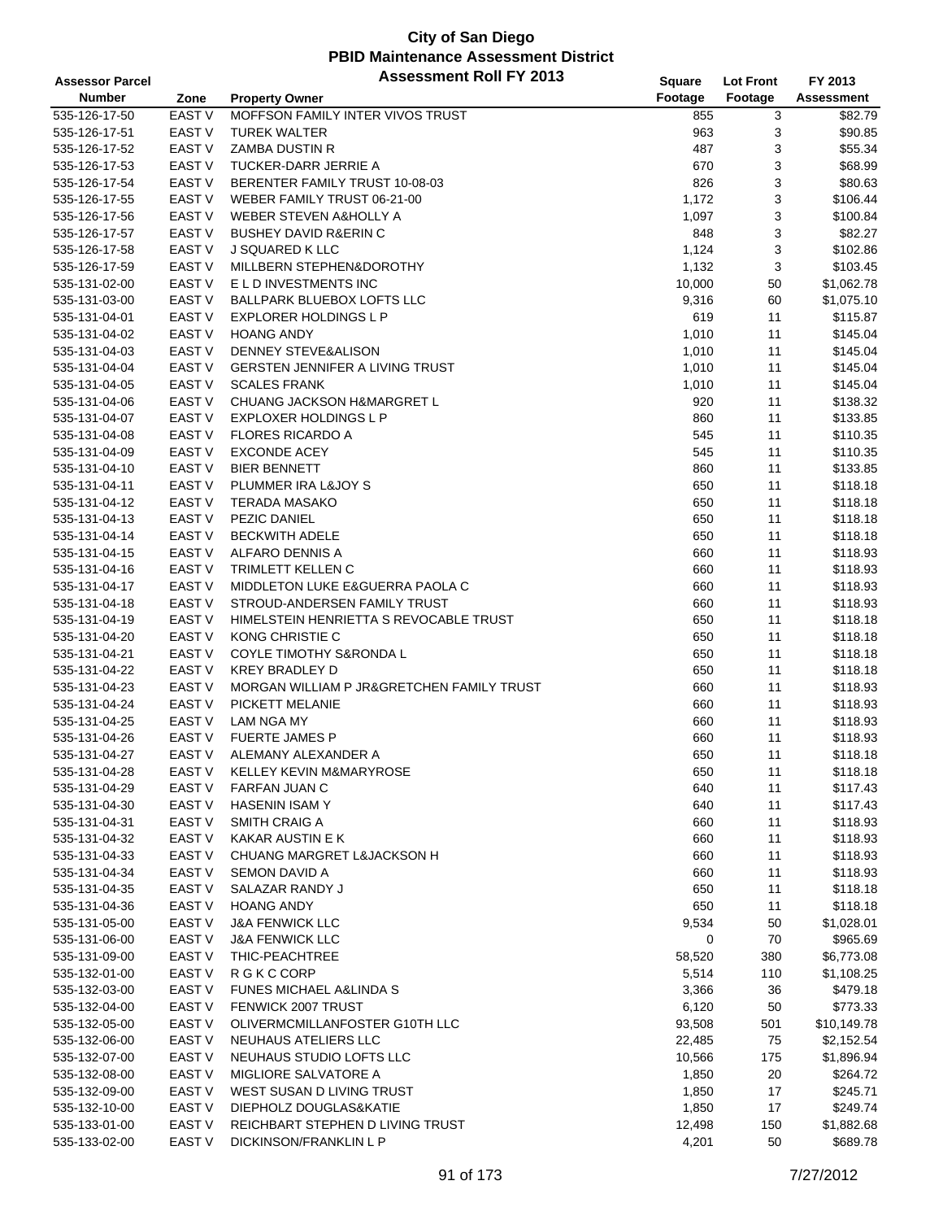| <b>Assessor Parcel</b>         |                   | <b>Assessment Roll FY 2013</b>             | Square  | <b>Lot Front</b> | FY 2013                |
|--------------------------------|-------------------|--------------------------------------------|---------|------------------|------------------------|
| <b>Number</b>                  | Zone              | <b>Property Owner</b>                      | Footage | Footage          | Assessment             |
| 535-126-17-50                  | <b>EAST V</b>     | MOFFSON FAMILY INTER VIVOS TRUST           | 855     | 3                | \$82.79                |
| 535-126-17-51                  | EAST V            | <b>TUREK WALTER</b>                        | 963     | 3                | \$90.85                |
| 535-126-17-52                  | EAST V            | ZAMBA DUSTIN R                             | 487     | 3                | \$55.34                |
| 535-126-17-53                  | EAST V            | TUCKER-DARR JERRIE A                       | 670     | 3                | \$68.99                |
| 535-126-17-54                  | EAST V            | BERENTER FAMILY TRUST 10-08-03             | 826     | 3                | \$80.63                |
| 535-126-17-55                  | EAST V            | WEBER FAMILY TRUST 06-21-00                | 1,172   | 3                | \$106.44               |
| 535-126-17-56                  | EAST V            | WEBER STEVEN A&HOLLY A                     | 1,097   | 3                | \$100.84               |
| 535-126-17-57                  | EAST V            | <b>BUSHEY DAVID R&amp;ERIN C</b>           | 848     | 3                | \$82.27                |
| 535-126-17-58                  | EAST <sub>V</sub> | J SQUARED K LLC                            | 1,124   | 3                | \$102.86               |
| 535-126-17-59                  | <b>EAST V</b>     | MILLBERN STEPHEN&DOROTHY                   | 1,132   | 3                | \$103.45               |
| 535-131-02-00                  | EAST V            | E L D INVESTMENTS INC                      | 10,000  | 50               | \$1,062.78             |
| 535-131-03-00                  | EAST V            | BALLPARK BLUEBOX LOFTS LLC                 | 9,316   | 60               | \$1,075.10             |
| 535-131-04-01                  | EAST V            | <b>EXPLORER HOLDINGS L P</b>               | 619     | 11               | \$115.87               |
| 535-131-04-02                  | <b>EAST V</b>     | <b>HOANG ANDY</b>                          | 1,010   | 11               | \$145.04               |
| 535-131-04-03                  | <b>EAST V</b>     | DENNEY STEVE&ALISON                        | 1,010   | 11               | \$145.04               |
| 535-131-04-04                  | EAST <sub>V</sub> | GERSTEN JENNIFER A LIVING TRUST            | 1,010   | 11               | \$145.04               |
| 535-131-04-05                  | <b>EAST V</b>     | <b>SCALES FRANK</b>                        | 1,010   | 11               | \$145.04               |
| 535-131-04-06                  | <b>EAST V</b>     | CHUANG JACKSON H&MARGRET L                 | 920     | 11               | \$138.32               |
| 535-131-04-07                  | EAST V            | EXPLOXER HOLDINGS L P                      | 860     | 11               | \$133.85               |
| 535-131-04-08                  | EAST V            | <b>FLORES RICARDO A</b>                    | 545     | 11               | \$110.35               |
| 535-131-04-09                  | <b>EAST V</b>     | <b>EXCONDE ACEY</b>                        | 545     | 11               | \$110.35               |
| 535-131-04-10                  | EAST V            | <b>BIER BENNETT</b>                        | 860     | 11               | \$133.85               |
| 535-131-04-11                  | EAST V            | PLUMMER IRA L&JOY S                        | 650     | 11               | \$118.18               |
| 535-131-04-12                  | EAST V            | <b>TERADA MASAKO</b>                       | 650     | 11               | \$118.18               |
| 535-131-04-13                  | EAST V            | PEZIC DANIEL                               | 650     | 11               | \$118.18               |
| 535-131-04-14                  | <b>EAST V</b>     | <b>BECKWITH ADELE</b>                      | 650     | 11               | \$118.18               |
| 535-131-04-15                  | EAST V            | ALFARO DENNIS A                            | 660     | 11               | \$118.93               |
| 535-131-04-16                  | <b>EAST V</b>     | TRIMLETT KELLEN C                          | 660     | 11               | \$118.93               |
| 535-131-04-17                  | EAST V            | <b>MIDDLETON LUKE E&amp;GUERRA PAOLA C</b> | 660     | 11               | \$118.93               |
| 535-131-04-18                  | EAST V            | STROUD-ANDERSEN FAMILY TRUST               | 660     | 11               | \$118.93               |
| 535-131-04-19                  | EAST <sub>V</sub> | HIMELSTEIN HENRIETTA S REVOCABLE TRUST     | 650     | 11               | \$118.18               |
| 535-131-04-20                  | <b>EAST V</b>     | KONG CHRISTIE C                            | 650     | 11               | \$118.18               |
| 535-131-04-21                  | <b>EAST V</b>     | COYLE TIMOTHY S&RONDA L                    | 650     | 11               | \$118.18               |
| 535-131-04-22                  | EAST <sub>V</sub> | <b>KREY BRADLEY D</b>                      | 650     | 11               | \$118.18               |
| 535-131-04-23                  | EAST V            | MORGAN WILLIAM P JR&GRETCHEN FAMILY TRUST  | 660     | 11               | \$118.93               |
| 535-131-04-24                  | <b>EAST V</b>     | PICKETT MELANIE                            | 660     | 11               | \$118.93               |
| 535-131-04-25                  | EAST <sub>V</sub> | <b>LAM NGA MY</b>                          | 660     | 11               | \$118.93               |
| 535-131-04-26                  | EAST V            | <b>FUERTE JAMES P</b>                      | 660     | 11               | \$118.93               |
| 535-131-04-27                  | <b>EAST V</b>     | ALEMANY ALEXANDER A                        | 650     | 11               | \$118.18               |
| 535-131-04-28                  | EAST V            | KELLEY KEVIN M&MARYROSE                    | 650     | 11               | \$118.18               |
| 535-131-04-29                  | <b>EAST V</b>     | <b>FARFAN JUAN C</b>                       | 640     | 11               | \$117.43               |
| 535-131-04-30                  | EAST V            | <b>HASENIN ISAMY</b>                       | 640     | 11               | \$117.43               |
| 535-131-04-31                  | EAST V            | <b>SMITH CRAIG A</b>                       | 660     | 11               | \$118.93               |
| 535-131-04-32                  | EAST V            | <b>KAKAR AUSTIN E K</b>                    | 660     | 11               | \$118.93               |
| 535-131-04-33                  | EAST V            | CHUANG MARGRET L&JACKSON H                 | 660     | 11               | \$118.93               |
| 535-131-04-34                  | EAST V            | SEMON DAVID A                              | 660     | 11               | \$118.93               |
| 535-131-04-35                  | EAST V            | SALAZAR RANDY J                            | 650     | 11               | \$118.18               |
| 535-131-04-36                  | EAST V            | <b>HOANG ANDY</b>                          | 650     | 11               | \$118.18               |
| 535-131-05-00                  | EAST V            | <b>J&amp;A FENWICK LLC</b>                 | 9,534   | 50               | \$1,028.01             |
| 535-131-06-00                  | EAST V            | <b>J&amp;A FENWICK LLC</b>                 | 0       | 70               | \$965.69               |
| 535-131-09-00                  | <b>EAST V</b>     | THIC-PEACHTREE                             | 58,520  | 380              | \$6,773.08             |
| 535-132-01-00                  | EAST V            | R G K C CORP                               | 5,514   | 110              | \$1,108.25             |
| 535-132-03-00                  | EAST V            | FUNES MICHAEL A&LINDA S                    | 3,366   | 36               | \$479.18               |
| 535-132-04-00                  | EAST V            | FENWICK 2007 TRUST                         | 6,120   | 50               | \$773.33               |
| 535-132-05-00                  | EAST V            | OLIVERMCMILLANFOSTER G10TH LLC             | 93,508  | 501              | \$10,149.78            |
|                                | EAST V            | NEUHAUS ATELIERS LLC                       |         | 75               |                        |
| 535-132-06-00                  | EAST V            | NEUHAUS STUDIO LOFTS LLC                   | 22,485  |                  | \$2,152.54             |
| 535-132-07-00                  | EAST V            | MIGLIORE SALVATORE A                       | 10,566  | 175              | \$1,896.94<br>\$264.72 |
| 535-132-08-00                  | EAST V            | WEST SUSAN D LIVING TRUST                  | 1,850   | 20               | \$245.71               |
| 535-132-09-00                  | EAST V            | DIEPHOLZ DOUGLAS&KATIE                     | 1,850   | 17               | \$249.74               |
| 535-132-10-00<br>535-133-01-00 | EAST V            | REICHBART STEPHEN D LIVING TRUST           | 1,850   | 17               |                        |
| 535-133-02-00                  | EAST <sub>V</sub> | DICKINSON/FRANKLIN L P                     | 12,498  | 150<br>50        | \$1,882.68<br>\$689.78 |
|                                |                   |                                            | 4,201   |                  |                        |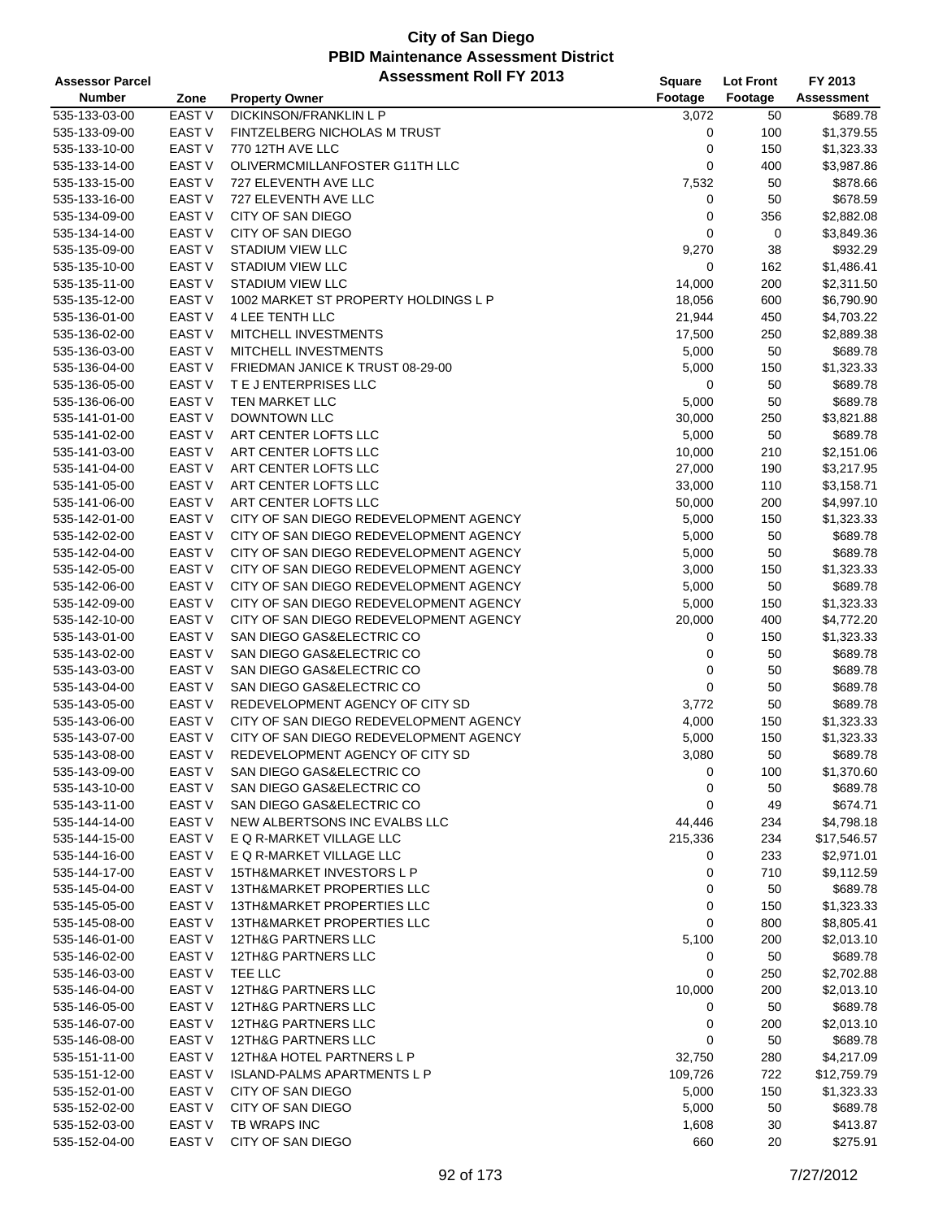| <b>Assessor Parcel</b> |                   | <b>Assessment Roll FY 2013</b>         | <b>Square</b> | <b>Lot Front</b> | FY 2013           |
|------------------------|-------------------|----------------------------------------|---------------|------------------|-------------------|
| <b>Number</b>          | Zone              | <b>Property Owner</b>                  | Footage       | Footage          | <b>Assessment</b> |
| 535-133-03-00          | <b>EAST V</b>     | <b>DICKINSON/FRANKLIN L P</b>          | 3,072         | 50               | \$689.78          |
| 535-133-09-00          | EAST V            | FINTZELBERG NICHOLAS M TRUST           | 0             | 100              | \$1,379.55        |
| 535-133-10-00          | <b>EAST V</b>     | 770 12TH AVE LLC                       | 0             | 150              | \$1,323.33        |
| 535-133-14-00          | <b>EAST V</b>     | OLIVERMCMILLANFOSTER G11TH LLC         | 0             | 400              | \$3,987.86        |
| 535-133-15-00          | EAST <sub>V</sub> | 727 ELEVENTH AVE LLC                   | 7,532         | 50               | \$878.66          |
| 535-133-16-00          | EAST <sub>V</sub> | 727 ELEVENTH AVE LLC                   | 0             | 50               | \$678.59          |
| 535-134-09-00          | EAST V            | CITY OF SAN DIEGO                      | 0             | 356              | \$2,882.08        |
| 535-134-14-00          | <b>EAST V</b>     | CITY OF SAN DIEGO                      | 0             | 0                | \$3,849.36        |
| 535-135-09-00          | <b>EAST V</b>     | <b>STADIUM VIEW LLC</b>                | 9,270         | 38               | \$932.29          |
| 535-135-10-00          | <b>EAST V</b>     | <b>STADIUM VIEW LLC</b>                | 0             | 162              | \$1,486.41        |
| 535-135-11-00          | <b>EAST V</b>     | <b>STADIUM VIEW LLC</b>                | 14,000        | 200              | \$2,311.50        |
| 535-135-12-00          | <b>EAST V</b>     | 1002 MARKET ST PROPERTY HOLDINGS L P   | 18,056        | 600              | \$6,790.90        |
| 535-136-01-00          | EAST V            | 4 LEE TENTH LLC                        | 21,944        | 450              | \$4,703.22        |
| 535-136-02-00          | EAST <sub>V</sub> | MITCHELL INVESTMENTS                   | 17,500        | 250              | \$2,889.38        |
| 535-136-03-00          | <b>EAST V</b>     | MITCHELL INVESTMENTS                   | 5,000         | 50               | \$689.78          |
| 535-136-04-00          | <b>EAST V</b>     | FRIEDMAN JANICE K TRUST 08-29-00       | 5,000         | 150              | \$1,323.33        |
| 535-136-05-00          | <b>EAST V</b>     | T E J ENTERPRISES LLC                  | 0             | 50               | \$689.78          |
| 535-136-06-00          | <b>EAST V</b>     | TEN MARKET LLC                         | 5,000         | 50               | \$689.78          |
| 535-141-01-00          | EAST <sub>V</sub> | <b>DOWNTOWN LLC</b>                    | 30,000        | 250              | \$3,821.88        |
| 535-141-02-00          | <b>EAST V</b>     | ART CENTER LOFTS LLC                   | 5,000         | 50               | \$689.78          |
| 535-141-03-00          | <b>EAST V</b>     | ART CENTER LOFTS LLC                   | 10,000        | 210              | \$2,151.06        |
| 535-141-04-00          | <b>EAST V</b>     | ART CENTER LOFTS LLC                   | 27,000        | 190              | \$3,217.95        |
| 535-141-05-00          | <b>EAST V</b>     | ART CENTER LOFTS LLC                   | 33,000        | 110              | \$3,158.71        |
| 535-141-06-00          | EAST V            | ART CENTER LOFTS LLC                   | 50,000        | 200              | \$4,997.10        |
| 535-142-01-00          | <b>EAST V</b>     | CITY OF SAN DIEGO REDEVELOPMENT AGENCY | 5,000         | 150              | \$1,323.33        |
| 535-142-02-00          | <b>EAST V</b>     | CITY OF SAN DIEGO REDEVELOPMENT AGENCY | 5,000         | 50               | \$689.78          |
| 535-142-04-00          | EAST <sub>V</sub> | CITY OF SAN DIEGO REDEVELOPMENT AGENCY | 5,000         | 50               | \$689.78          |
| 535-142-05-00          | <b>EAST V</b>     | CITY OF SAN DIEGO REDEVELOPMENT AGENCY | 3,000         | 150              | \$1,323.33        |
| 535-142-06-00          | <b>EAST V</b>     | CITY OF SAN DIEGO REDEVELOPMENT AGENCY | 5,000         | 50               | \$689.78          |
| 535-142-09-00          | <b>EAST V</b>     | CITY OF SAN DIEGO REDEVELOPMENT AGENCY | 5,000         | 150              | \$1,323.33        |
| 535-142-10-00          | <b>EAST V</b>     | CITY OF SAN DIEGO REDEVELOPMENT AGENCY | 20,000        | 400              | \$4,772.20        |
| 535-143-01-00          | <b>EAST V</b>     | SAN DIEGO GAS&ELECTRIC CO              | 0             | 150              | \$1,323.33        |
| 535-143-02-00          | <b>EAST V</b>     | SAN DIEGO GAS&ELECTRIC CO              | 0             | 50               | \$689.78          |
| 535-143-03-00          | EAST V            | SAN DIEGO GAS&ELECTRIC CO              | 0             | 50               | \$689.78          |
| 535-143-04-00          | EAST V            | SAN DIEGO GAS&ELECTRIC CO              | $\mathbf 0$   | 50               | \$689.78          |
| 535-143-05-00          | <b>EAST V</b>     | REDEVELOPMENT AGENCY OF CITY SD        | 3,772         | 50               | \$689.78          |
| 535-143-06-00          | <b>EAST V</b>     | CITY OF SAN DIEGO REDEVELOPMENT AGENCY | 4,000         | 150              | \$1,323.33        |
| 535-143-07-00          | <b>EAST V</b>     | CITY OF SAN DIEGO REDEVELOPMENT AGENCY | 5,000         | 150              | \$1,323.33        |
| 535-143-08-00          | <b>EAST V</b>     | REDEVELOPMENT AGENCY OF CITY SD        | 3,080         | 50               | \$689.78          |
| 535-143-09-00          | EAST V            | SAN DIEGO GAS&ELECTRIC CO              | 0             | 100              | \$1,370.60        |
| 535-143-10-00          | EAST V            | SAN DIEGO GAS&ELECTRIC CO              | 0             | 50               | \$689.78          |
| 535-143-11-00          | <b>EAST V</b>     | SAN DIEGO GAS&ELECTRIC CO              | 0             | 49               | \$674.71          |
| 535-144-14-00          | <b>EAST V</b>     | NEW ALBERTSONS INC EVALBS LLC          | 44,446        | 234              | \$4,798.18        |
| 535-144-15-00          | <b>EAST V</b>     | E Q R-MARKET VILLAGE LLC               | 215,336       | 234              | \$17,546.57       |
| 535-144-16-00          | EAST <sub>V</sub> | E Q R-MARKET VILLAGE LLC               | 0             | 233              | \$2,971.01        |
| 535-144-17-00          | <b>EAST V</b>     | 15TH&MARKET INVESTORS L P              | 0             | 710              | \$9,112.59        |
| 535-145-04-00          | EAST <sub>V</sub> | <b>13TH&amp;MARKET PROPERTIES LLC</b>  | 0             | 50               | \$689.78          |
| 535-145-05-00          | <b>EAST V</b>     | <b>13TH&amp;MARKET PROPERTIES LLC</b>  | 0             | 150              | \$1,323.33        |
| 535-145-08-00          | EAST <sub>V</sub> | 13TH&MARKET PROPERTIES LLC             | 0             | 800              | \$8,805.41        |
| 535-146-01-00          | EAST <sub>V</sub> | <b>12TH&amp;G PARTNERS LLC</b>         | 5,100         | 200              | \$2,013.10        |
| 535-146-02-00          | <b>EAST V</b>     | 12TH&G PARTNERS LLC                    | 0             | 50               | \$689.78          |
| 535-146-03-00          | EAST V            | TEE LLC                                | 0             | 250              | \$2,702.88        |
| 535-146-04-00          | EAST <sub>V</sub> | 12TH&G PARTNERS LLC                    | 10,000        | 200              | \$2,013.10        |
| 535-146-05-00          | <b>EAST V</b>     | <b>12TH&amp;G PARTNERS LLC</b>         | 0             | 50               | \$689.78          |
| 535-146-07-00          | <b>EAST V</b>     | 12TH&G PARTNERS LLC                    | 0             | 200              | \$2,013.10        |
| 535-146-08-00          | EAST V            | 12TH&G PARTNERS LLC                    | 0             | 50               | \$689.78          |
| 535-151-11-00          | <b>EAST V</b>     | 12TH&A HOTEL PARTNERS L P              | 32,750        | 280              | \$4,217.09        |
| 535-151-12-00          | EAST <sub>V</sub> | <b>ISLAND-PALMS APARTMENTS L P</b>     | 109,726       | 722              | \$12,759.79       |
| 535-152-01-00          | <b>EAST V</b>     | CITY OF SAN DIEGO                      | 5,000         | 150              | \$1,323.33        |
| 535-152-02-00          | <b>EAST V</b>     | CITY OF SAN DIEGO                      | 5,000         | 50               | \$689.78          |
| 535-152-03-00          | <b>EAST V</b>     | TB WRAPS INC                           | 1,608         | 30               | \$413.87          |
| 535-152-04-00          | EAST <sub>V</sub> | CITY OF SAN DIEGO                      | 660           | 20               | \$275.91          |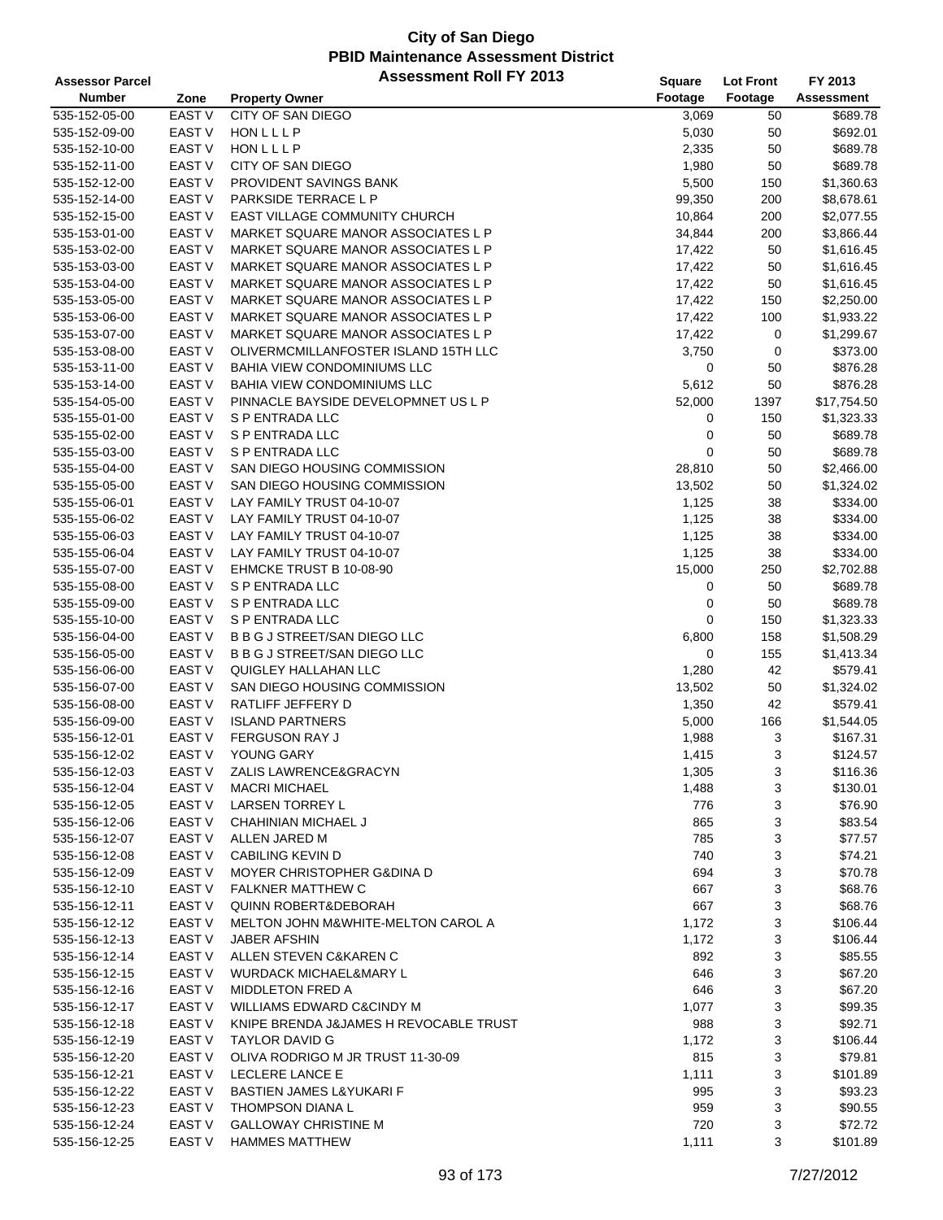| <b>Assessor Parcel</b> |                   | <b>Assessment Roll FY 2013</b>                | Square  | <b>Lot Front</b> | FY 2013     |
|------------------------|-------------------|-----------------------------------------------|---------|------------------|-------------|
| <b>Number</b>          | Zone              | <b>Property Owner</b>                         | Footage | Footage          | Assessment  |
| 535-152-05-00          | <b>EAST V</b>     | <b>CITY OF SAN DIEGO</b>                      | 3,069   | 50               | \$689.78    |
| 535-152-09-00          | <b>EAST V</b>     | HONLLLP                                       | 5,030   | 50               | \$692.01    |
| 535-152-10-00          | EAST V            | HONLLLP                                       | 2,335   | 50               | \$689.78    |
| 535-152-11-00          | EAST V            | CITY OF SAN DIEGO                             | 1,980   | 50               | \$689.78    |
| 535-152-12-00          | <b>EAST V</b>     | PROVIDENT SAVINGS BANK                        | 5,500   | 150              | \$1,360.63  |
| 535-152-14-00          | <b>EAST V</b>     | PARKSIDE TERRACE L P                          | 99,350  | 200              | \$8,678.61  |
|                        | EAST <sub>V</sub> | EAST VILLAGE COMMUNITY CHURCH                 | 10,864  | 200              |             |
| 535-152-15-00          |                   |                                               |         |                  | \$2,077.55  |
| 535-153-01-00          | EAST <sub>V</sub> | MARKET SQUARE MANOR ASSOCIATES L P            | 34,844  | 200              | \$3,866.44  |
| 535-153-02-00          | EAST <sub>V</sub> | MARKET SQUARE MANOR ASSOCIATES L P            | 17,422  | 50               | \$1,616.45  |
| 535-153-03-00          | <b>EAST V</b>     | MARKET SQUARE MANOR ASSOCIATES L P            | 17,422  | 50               | \$1,616.45  |
| 535-153-04-00          | EAST V            | MARKET SQUARE MANOR ASSOCIATES L P            | 17,422  | 50               | \$1,616.45  |
| 535-153-05-00          | <b>EAST V</b>     | MARKET SQUARE MANOR ASSOCIATES L P            | 17,422  | 150              | \$2,250.00  |
| 535-153-06-00          | <b>EAST V</b>     | MARKET SQUARE MANOR ASSOCIATES L P            | 17,422  | 100              | \$1,933.22  |
| 535-153-07-00          | EAST <sub>V</sub> | MARKET SQUARE MANOR ASSOCIATES L P            | 17,422  | 0                | \$1,299.67  |
| 535-153-08-00          | EAST V            | OLIVERMCMILLANFOSTER ISLAND 15TH LLC          | 3,750   | 0                | \$373.00    |
| 535-153-11-00          | <b>EAST V</b>     | BAHIA VIEW CONDOMINIUMS LLC                   | 0       | 50               | \$876.28    |
| 535-153-14-00          | <b>EAST V</b>     | <b>BAHIA VIEW CONDOMINIUMS LLC</b>            | 5,612   | 50               | \$876.28    |
| 535-154-05-00          | EAST V            | PINNACLE BAYSIDE DEVELOPMNET US L P           | 52,000  | 1397             | \$17,754.50 |
| 535-155-01-00          | EAST V            | S P ENTRADA LLC                               | 0       | 150              | \$1,323.33  |
| 535-155-02-00          | EAST V            | S P ENTRADA LLC                               | 0       | 50               | \$689.78    |
| 535-155-03-00          | EAST V            | <b>S P ENTRADA LLC</b>                        | 0       | 50               | \$689.78    |
| 535-155-04-00          | <b>EAST V</b>     | SAN DIEGO HOUSING COMMISSION                  | 28,810  | 50               | \$2,466.00  |
| 535-155-05-00          | <b>EAST V</b>     | SAN DIEGO HOUSING COMMISSION                  | 13,502  | 50               | \$1,324.02  |
| 535-155-06-01          | <b>EAST V</b>     | LAY FAMILY TRUST 04-10-07                     | 1,125   | 38               | \$334.00    |
| 535-155-06-02          | <b>EAST V</b>     | LAY FAMILY TRUST 04-10-07                     | 1,125   | 38               | \$334.00    |
| 535-155-06-03          | EAST V            | LAY FAMILY TRUST 04-10-07                     | 1,125   | 38               | \$334.00    |
| 535-155-06-04          | <b>EAST V</b>     | LAY FAMILY TRUST 04-10-07                     | 1,125   | 38               | \$334.00    |
| 535-155-07-00          | EAST V            | EHMCKE TRUST B 10-08-90                       | 15,000  | 250              | \$2,702.88  |
| 535-155-08-00          | EAST V            | S P ENTRADA LLC                               | 0       | 50               | \$689.78    |
| 535-155-09-00          | EAST V            | S P ENTRADA LLC                               | 0       | 50               | \$689.78    |
| 535-155-10-00          | <b>EAST V</b>     | S P ENTRADA LLC                               | 0       | 150              | \$1,323.33  |
|                        | EAST V            | B B G J STREET/SAN DIEGO LLC                  |         | 158              |             |
| 535-156-04-00          |                   |                                               | 6,800   |                  | \$1,508.29  |
| 535-156-05-00          | EAST V            | <b>B B G J STREET/SAN DIEGO LLC</b>           | 0       | 155              | \$1,413.34  |
| 535-156-06-00          | EAST V            | <b>QUIGLEY HALLAHAN LLC</b>                   | 1,280   | 42               | \$579.41    |
| 535-156-07-00          | <b>EAST V</b>     | SAN DIEGO HOUSING COMMISSION                  | 13,502  | 50               | \$1,324.02  |
| 535-156-08-00          | <b>EAST V</b>     | RATLIFF JEFFERY D                             | 1,350   | 42               | \$579.41    |
| 535-156-09-00          | <b>EAST V</b>     | <b>ISLAND PARTNERS</b>                        | 5,000   | 166              | \$1,544.05  |
| 535-156-12-01          | EAST V            | <b>FERGUSON RAY J</b>                         | 1,988   | 3                | \$167.31    |
| 535-156-12-02          | <b>EAST V</b>     | YOUNG GARY                                    | 1,415   | 3                | \$124.57    |
| 535-156-12-03          | <b>EAST V</b>     | ZALIS LAWRENCE&GRACYN                         | 1,305   | 3                | \$116.36    |
| 535-156-12-04          | EAST V            | <b>MACRI MICHAEL</b>                          | 1,488   | 3                | \$130.01    |
| 535-156-12-05          | EAST V            | <b>LARSEN TORREY L</b>                        | 776     | 3                | \$76.90     |
| 535-156-12-06          | EAST V            | CHAHINIAN MICHAEL J                           | 865     | 3                | \$83.54     |
| 535-156-12-07          | EAST V            | ALLEN JARED M                                 | 785     | 3                | \$77.57     |
| 535-156-12-08          | EAST V            | <b>CABILING KEVIN D</b>                       | 740     | 3                | \$74.21     |
| 535-156-12-09          | EAST V            | <b>MOYER CHRISTOPHER G&amp;DINA D</b>         | 694     | 3                | \$70.78     |
| 535-156-12-10          | EAST V            | <b>FALKNER MATTHEW C</b>                      | 667     | 3                | \$68.76     |
| 535-156-12-11          | EAST V            | <b>QUINN ROBERT&amp;DEBORAH</b>               | 667     | 3                | \$68.76     |
| 535-156-12-12          | EAST V            | <b>MELTON JOHN M&amp;WHITE-MELTON CAROL A</b> | 1,172   | 3                | \$106.44    |
| 535-156-12-13          | EAST V            | <b>JABER AFSHIN</b>                           | 1,172   | 3                | \$106.44    |
| 535-156-12-14          | EAST V            | ALLEN STEVEN C&KAREN C                        | 892     | 3                | \$85.55     |
| 535-156-12-15          | EAST V            | <b>WURDACK MICHAEL&amp;MARY L</b>             | 646     | 3                | \$67.20     |
| 535-156-12-16          | EAST V            | MIDDLETON FRED A                              | 646     | 3                | \$67.20     |
| 535-156-12-17          | EAST V            | WILLIAMS EDWARD C&CINDY M                     | 1,077   | 3                | \$99.35     |
| 535-156-12-18          | EAST V            | KNIPE BRENDA J&JAMES H REVOCABLE TRUST        | 988     | 3                | \$92.71     |
| 535-156-12-19          | EAST V            | TAYLOR DAVID G                                | 1,172   | 3                | \$106.44    |
| 535-156-12-20          | EAST V            | OLIVA RODRIGO M JR TRUST 11-30-09             | 815     | 3                | \$79.81     |
| 535-156-12-21          | EAST V            | LECLERE LANCE E                               | 1,111   | 3                | \$101.89    |
| 535-156-12-22          | EAST V            | BASTIEN JAMES L&YUKARI F                      | 995     | 3                | \$93.23     |
| 535-156-12-23          | EAST V            | <b>THOMPSON DIANAL</b>                        | 959     | 3                | \$90.55     |
|                        | EAST V            | <b>GALLOWAY CHRISTINE M</b>                   | 720     |                  | \$72.72     |
| 535-156-12-24          |                   |                                               | 1,111   | 3<br>3           |             |
| 535-156-12-25          | EAST V            | <b>HAMMES MATTHEW</b>                         |         |                  | \$101.89    |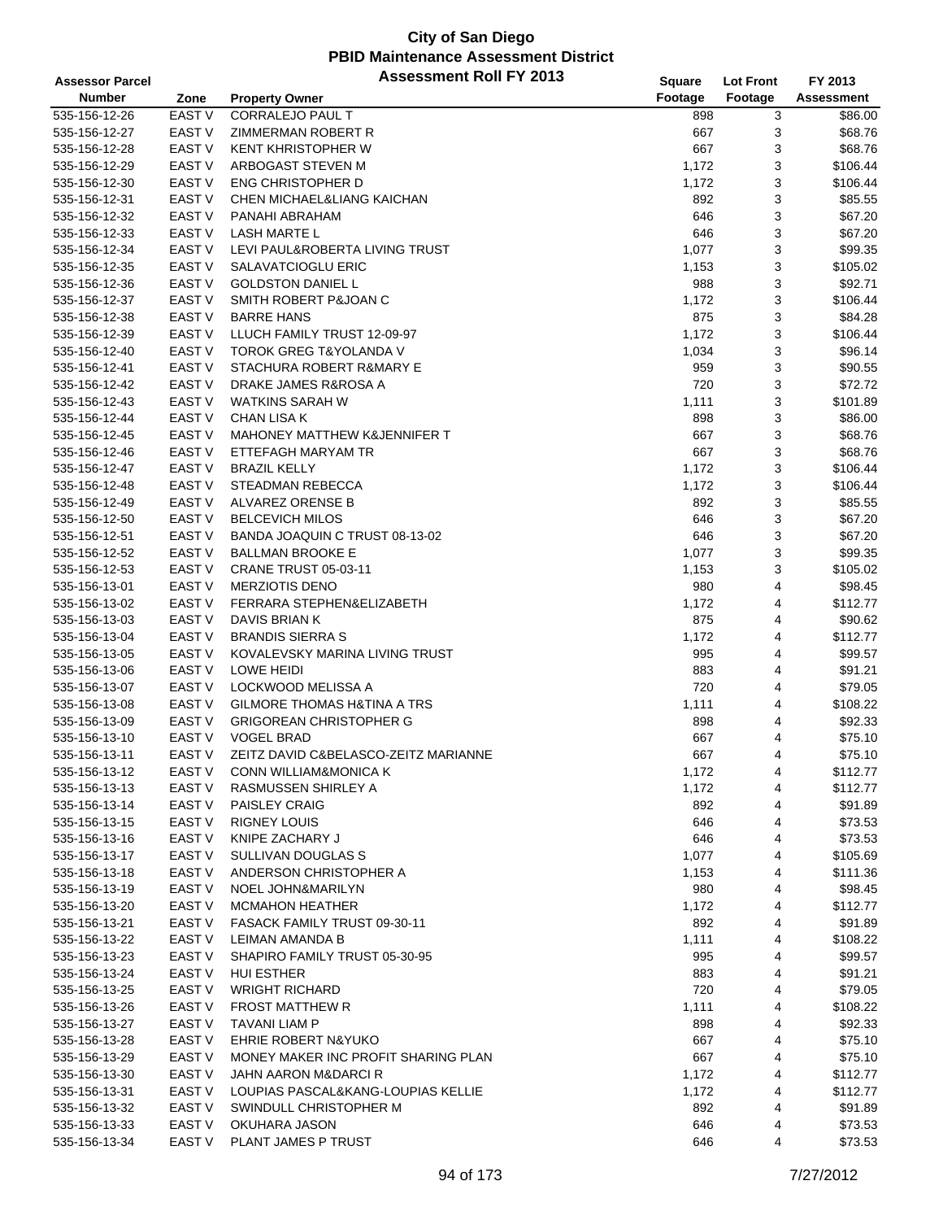| <b>Assessor Parcel</b>         |                   | <b>Assessment Roll FY 2013</b>          | Square       | <b>Lot Front</b> | FY 2013           |
|--------------------------------|-------------------|-----------------------------------------|--------------|------------------|-------------------|
| <b>Number</b>                  | Zone              | <b>Property Owner</b>                   | Footage      | Footage          | <b>Assessment</b> |
| 535-156-12-26                  | <b>EAST V</b>     | CORRALEJO PAUL T                        | 898          | 3                | \$86.00           |
| 535-156-12-27                  | EAST V            | ZIMMERMAN ROBERT R                      | 667          | 3                | \$68.76           |
| 535-156-12-28                  | <b>EAST V</b>     | <b>KENT KHRISTOPHER W</b>               | 667          | 3                | \$68.76           |
| 535-156-12-29                  | <b>EAST V</b>     | ARBOGAST STEVEN M                       | 1,172        | 3                | \$106.44          |
| 535-156-12-30                  | EAST <sub>V</sub> | <b>ENG CHRISTOPHER D</b>                | 1,172        | 3                | \$106.44          |
| 535-156-12-31                  | EAST <sub>V</sub> | CHEN MICHAEL&LIANG KAICHAN              | 892          | 3                | \$85.55           |
| 535-156-12-32                  | EAST V            | PANAHI ABRAHAM                          | 646          | 3                | \$67.20           |
| 535-156-12-33                  | <b>EAST V</b>     | <b>LASH MARTE L</b>                     | 646          | 3                | \$67.20           |
| 535-156-12-34                  | <b>EAST V</b>     | LEVI PAUL&ROBERTA LIVING TRUST          | 1,077        | 3                | \$99.35           |
|                                | <b>EAST V</b>     | SALAVATCIOGLU ERIC                      |              | 3                |                   |
| 535-156-12-35                  | <b>EAST V</b>     |                                         | 1,153        |                  | \$105.02          |
| 535-156-12-36                  | <b>EAST V</b>     | <b>GOLDSTON DANIEL L</b>                | 988          | 3                | \$92.71           |
| 535-156-12-37                  |                   | SMITH ROBERT P&JOAN C                   | 1,172        | 3                | \$106.44          |
| 535-156-12-38                  | EAST <sub>V</sub> | <b>BARRE HANS</b>                       | 875          | 3                | \$84.28           |
| 535-156-12-39                  | <b>EAST V</b>     | LLUCH FAMILY TRUST 12-09-97             | 1,172        | 3                | \$106.44          |
| 535-156-12-40                  | <b>EAST V</b>     | <b>TOROK GREG T&amp;YOLANDA V</b>       | 1,034        | 3                | \$96.14           |
| 535-156-12-41                  | EAST <sub>V</sub> | STACHURA ROBERT R&MARY E                | 959          | 3                | \$90.55           |
| 535-156-12-42                  | <b>EAST V</b>     | DRAKE JAMES R&ROSA A                    | 720          | 3                | \$72.72           |
| 535-156-12-43                  | EAST V            | <b>WATKINS SARAH W</b>                  | 1,111        | 3                | \$101.89          |
| 535-156-12-44                  | <b>EAST V</b>     | CHAN LISA K                             | 898          | 3                | \$86.00           |
| 535-156-12-45                  | <b>EAST V</b>     | <b>MAHONEY MATTHEW K&amp;JENNIFER T</b> | 667          | 3                | \$68.76           |
| 535-156-12-46                  | <b>EAST V</b>     | ETTEFAGH MARYAM TR                      | 667          | 3                | \$68.76           |
| 535-156-12-47                  | EAST V            | <b>BRAZIL KELLY</b>                     | 1,172        | 3                | \$106.44          |
| 535-156-12-48                  | EAST V            | STEADMAN REBECCA                        | 1,172        | 3                | \$106.44          |
| 535-156-12-49                  | EAST <sub>V</sub> | ALVAREZ ORENSE B                        | 892          | 3                | \$85.55           |
| 535-156-12-50                  | <b>EAST V</b>     | <b>BELCEVICH MILOS</b>                  | 646          | 3                | \$67.20           |
| 535-156-12-51                  | <b>EAST V</b>     | BANDA JOAQUIN C TRUST 08-13-02          | 646          | 3                | \$67.20           |
| 535-156-12-52                  | EAST <sub>V</sub> | <b>BALLMAN BROOKE E</b>                 | 1,077        | 3                | \$99.35           |
| 535-156-12-53                  | <b>EAST V</b>     | <b>CRANE TRUST 05-03-11</b>             | 1,153        | 3                | \$105.02          |
| 535-156-13-01                  | <b>EAST V</b>     | <b>MERZIOTIS DENO</b>                   | 980          | 4                | \$98.45           |
| 535-156-13-02                  | EAST <sub>V</sub> | FERRARA STEPHEN&ELIZABETH               | 1,172        | 4                | \$112.77          |
| 535-156-13-03                  | <b>EAST V</b>     | DAVIS BRIAN K                           | 875          | 4                | \$90.62           |
| 535-156-13-04                  | <b>EAST V</b>     | <b>BRANDIS SIERRA S</b>                 | 1,172        | 4                | \$112.77          |
| 535-156-13-05                  | EAST <sub>V</sub> | KOVALEVSKY MARINA LIVING TRUST          | 995          | 4                | \$99.57           |
| 535-156-13-06                  | <b>EAST V</b>     | <b>LOWE HEIDI</b>                       | 883          | 4                | \$91.21           |
| 535-156-13-07                  | EAST V            | LOCKWOOD MELISSA A                      | 720          | 4                | \$79.05           |
| 535-156-13-08                  | EAST V            | <b>GILMORE THOMAS H&amp;TINA A TRS</b>  | 1,111        | 4                | \$108.22          |
| 535-156-13-09                  | EAST <sub>V</sub> | <b>GRIGOREAN CHRISTOPHER G</b>          | 898          | 4                | \$92.33           |
| 535-156-13-10                  | EAST V            | <b>VOGEL BRAD</b>                       | 667          | 4                | \$75.10           |
| 535-156-13-11                  | <b>EAST V</b>     | ZEITZ DAVID C&BELASCO-ZEITZ MARIANNE    | 667          | 4                | \$75.10           |
| 535-156-13-12                  | EAST V            | CONN WILLIAM&MONICA K                   | 1,172        | 4                | \$112.77          |
| 535-156-13-13                  | EAST V            | RASMUSSEN SHIRLEY A                     | 1,172        | 4                | \$112.77          |
| 535-156-13-14                  | EAST V            | <b>PAISLEY CRAIG</b>                    | 892          | 4                | \$91.89           |
| 535-156-13-15                  | EAST V            | <b>RIGNEY LOUIS</b>                     | 646          | 4                | \$73.53           |
| 535-156-13-16                  | EAST V            | KNIPE ZACHARY J                         | 646          | 4                | \$73.53           |
| 535-156-13-17                  | EAST V            | SULLIVAN DOUGLAS S                      | 1,077        | 4                | \$105.69          |
| 535-156-13-18                  | EAST V            | ANDERSON CHRISTOPHER A                  | 1,153        | 4                | \$111.36          |
| 535-156-13-19                  | EAST V            | NOEL JOHN&MARILYN                       | 980          | 4                | \$98.45           |
| 535-156-13-20                  | <b>EAST V</b>     | <b>MCMAHON HEATHER</b>                  | 1,172        | 4                | \$112.77          |
| 535-156-13-21                  | EAST V            | FASACK FAMILY TRUST 09-30-11            | 892          | 4                | \$91.89           |
|                                | EAST V            | LEIMAN AMANDA B                         |              |                  | \$108.22          |
| 535-156-13-22<br>535-156-13-23 | EAST V            | SHAPIRO FAMILY TRUST 05-30-95           | 1,111<br>995 | 4<br>4           | \$99.57           |
|                                |                   |                                         |              |                  |                   |
| 535-156-13-24                  | EAST V            | <b>HUI ESTHER</b>                       | 883          | 4                | \$91.21           |
| 535-156-13-25                  | EAST V            | <b>WRIGHT RICHARD</b>                   | 720          | 4                | \$79.05           |
| 535-156-13-26                  | EAST V            | <b>FROST MATTHEW R</b>                  | 1,111        | 4                | \$108.22          |
| 535-156-13-27                  | EAST V            | TAVANI LIAM P                           | 898          | 4                | \$92.33           |
| 535-156-13-28                  | EAST <sub>V</sub> | EHRIE ROBERT N&YUKO                     | 667          | 4                | \$75.10           |
| 535-156-13-29                  | EAST V            | MONEY MAKER INC PROFIT SHARING PLAN     | 667          | 4                | \$75.10           |
| 535-156-13-30                  | EAST V            | JAHN AARON M&DARCI R                    | 1,172        | 4                | \$112.77          |
| 535-156-13-31                  | EAST <sub>V</sub> | LOUPIAS PASCAL&KANG-LOUPIAS KELLIE      | 1,172        | 4                | \$112.77          |
| 535-156-13-32                  | EAST V            | SWINDULL CHRISTOPHER M                  | 892          | 4                | \$91.89           |
| 535-156-13-33                  | EAST V            | OKUHARA JASON                           | 646          | 4                | \$73.53           |
| 535-156-13-34                  | EAST V            | PLANT JAMES P TRUST                     | 646          | 4                | \$73.53           |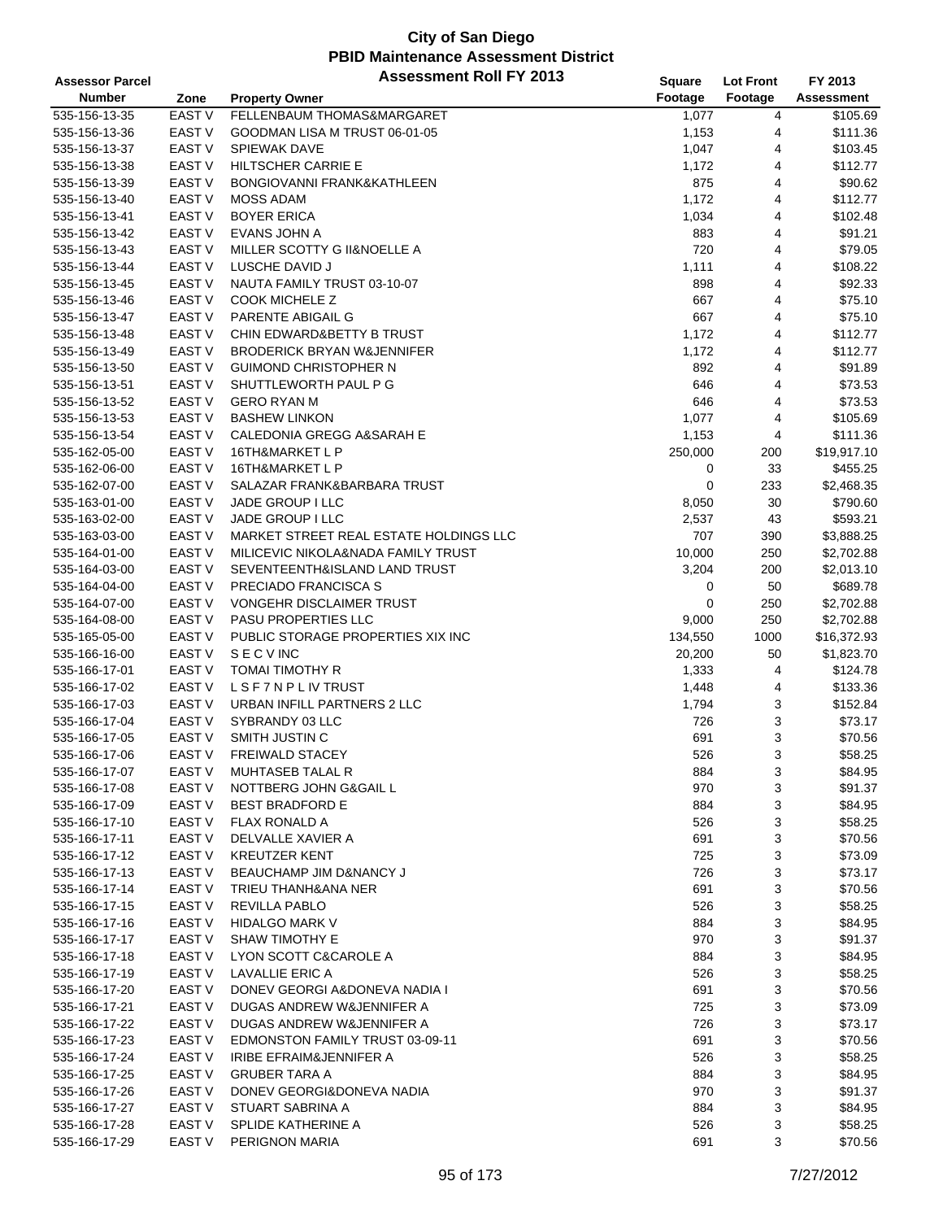| <b>Assessor Parcel</b> |                   | <b>Assessment Roll FY 2013</b>         | <b>Square</b> | <b>Lot Front</b> | FY 2013     |
|------------------------|-------------------|----------------------------------------|---------------|------------------|-------------|
| <b>Number</b>          | Zone              | <b>Property Owner</b>                  | Footage       | Footage          | Assessment  |
| 535-156-13-35          | EAST V            | FELLENBAUM THOMAS&MARGARET             | 1,077         | 4                | \$105.69    |
| 535-156-13-36          | EAST V            | GOODMAN LISA M TRUST 06-01-05          | 1,153         | 4                | \$111.36    |
| 535-156-13-37          | EAST V            | <b>SPIEWAK DAVE</b>                    | 1,047         | 4                | \$103.45    |
| 535-156-13-38          | <b>EAST V</b>     | <b>HILTSCHER CARRIE E</b>              | 1,172         | 4                | \$112.77    |
| 535-156-13-39          | EAST <sub>V</sub> | BONGIOVANNI FRANK&KATHLEEN             | 875           | 4                | \$90.62     |
| 535-156-13-40          | <b>EAST V</b>     | <b>MOSS ADAM</b>                       | 1,172         | 4                | \$112.77    |
| 535-156-13-41          | EAST V            | <b>BOYER ERICA</b>                     | 1,034         | 4                | \$102.48    |
| 535-156-13-42          | <b>EAST V</b>     | EVANS JOHN A                           | 883           | 4                | \$91.21     |
| 535-156-13-43          | EAST <sub>V</sub> | MILLER SCOTTY G II&NOELLE A            | 720           | 4                | \$79.05     |
| 535-156-13-44          | <b>EAST V</b>     | LUSCHE DAVID J                         | 1,111         | 4                | \$108.22    |
| 535-156-13-45          | EAST <sub>V</sub> | NAUTA FAMILY TRUST 03-10-07            | 898           | 4                | \$92.33     |
| 535-156-13-46          | <b>EAST V</b>     | <b>COOK MICHELE Z</b>                  | 667           | 4                | \$75.10     |
| 535-156-13-47          | EAST V            | PARENTE ABIGAIL G                      | 667           | 4                | \$75.10     |
| 535-156-13-48          | <b>EAST V</b>     | CHIN EDWARD&BETTY B TRUST              | 1,172         | 4                | \$112.77    |
| 535-156-13-49          | <b>EAST V</b>     | <b>BRODERICK BRYAN W&amp;JENNIFER</b>  | 1,172         | 4                | \$112.77    |
| 535-156-13-50          | EAST <sub>V</sub> | <b>GUIMOND CHRISTOPHER N</b>           | 892           | 4                | \$91.89     |
| 535-156-13-51          | <b>EAST V</b>     | SHUTTLEWORTH PAUL P G                  | 646           | 4                | \$73.53     |
| 535-156-13-52          | <b>EAST V</b>     | <b>GERO RYAN M</b>                     | 646           | 4                | \$73.53     |
| 535-156-13-53          | EAST <sub>V</sub> | <b>BASHEW LINKON</b>                   | 1,077         | 4                | \$105.69    |
| 535-156-13-54          | <b>EAST V</b>     | CALEDONIA GREGG A&SARAH E              | 1,153         | 4                | \$111.36    |
| 535-162-05-00          | <b>EAST V</b>     | 16TH&MARKET L P                        | 250,000       | 200              | \$19,917.10 |
| 535-162-06-00          | <b>EAST V</b>     | 16TH&MARKET L P                        | 0             | 33               | \$455.25    |
| 535-162-07-00          | <b>EAST V</b>     | SALAZAR FRANK&BARBARA TRUST            | 0             | 233              | \$2,468.35  |
| 535-163-01-00          | EAST V            | JADE GROUP I LLC                       | 8,050         | 30               | \$790.60    |
| 535-163-02-00          | <b>EAST V</b>     | JADE GROUP I LLC                       | 2,537         | 43               | \$593.21    |
| 535-163-03-00          | <b>EAST V</b>     | MARKET STREET REAL ESTATE HOLDINGS LLC | 707           | 390              | \$3,888.25  |
| 535-164-01-00          | EAST <sub>V</sub> | MILICEVIC NIKOLA&NADA FAMILY TRUST     | 10,000        | 250              | \$2,702.88  |
| 535-164-03-00          | <b>EAST V</b>     | SEVENTEENTH&ISLAND LAND TRUST          | 3,204         | 200              | \$2,013.10  |
| 535-164-04-00          | EAST V            | PRECIADO FRANCISCA S                   | 0             | 50               | \$689.78    |
| 535-164-07-00          | <b>EAST V</b>     | VONGEHR DISCLAIMER TRUST               | 0             | 250              | \$2,702.88  |
| 535-164-08-00          | <b>EAST V</b>     | <b>PASU PROPERTIES LLC</b>             | 9,000         | 250              | \$2,702.88  |
| 535-165-05-00          | <b>EAST V</b>     | PUBLIC STORAGE PROPERTIES XIX INC      | 134,550       | 1000             | \$16,372.93 |
| 535-166-16-00          | <b>EAST V</b>     | <b>SECVINC</b>                         | 20,200        | 50               | \$1,823.70  |
| 535-166-17-01          | <b>EAST V</b>     | <b>TOMAI TIMOTHY R</b>                 | 1,333         | 4                | \$124.78    |
| 535-166-17-02          | EAST V            | <b>LSF7NPLIVTRUST</b>                  | 1,448         | 4                | \$133.36    |
| 535-166-17-03          | EAST V            | URBAN INFILL PARTNERS 2 LLC            | 1,794         | 3                | \$152.84    |
| 535-166-17-04          | EAST <sub>V</sub> | SYBRANDY 03 LLC                        | 726           | 3                | \$73.17     |
| 535-166-17-05          | EAST V            | SMITH JUSTIN C                         | 691           | 3                | \$70.56     |
| 535-166-17-06          | <b>EAST V</b>     | <b>FREIWALD STACEY</b>                 | 526           | 3                | \$58.25     |
| 535-166-17-07          | EAST V            | MUHTASEB TALAL R                       | 884           | 3                | \$84.95     |
| 535-166-17-08          | EAST <sub>V</sub> | NOTTBERG JOHN G&GAIL L                 | 970           | 3                | \$91.37     |
| 535-166-17-09          | EAST <sub>V</sub> | <b>BEST BRADFORD E</b>                 | 884           | 3                | \$84.95     |
| 535-166-17-10          | EAST V            | FLAX RONALD A                          | 526           | 3                | \$58.25     |
| 535-166-17-11          | EAST V            | DELVALLE XAVIER A                      | 691           | 3                | \$70.56     |
| 535-166-17-12          | EAST V            | <b>KREUTZER KENT</b>                   | 725           | 3                | \$73.09     |
| 535-166-17-13          | EAST V            | BEAUCHAMP JIM D&NANCY J                | 726           | 3                | \$73.17     |
| 535-166-17-14          | EAST V            | TRIEU THANH&ANA NER                    | 691           | 3                | \$70.56     |
| 535-166-17-15          | EAST <sub>V</sub> | <b>REVILLA PABLO</b>                   | 526           | 3                | \$58.25     |
| 535-166-17-16          | EAST V            | <b>HIDALGO MARK V</b>                  | 884           | 3                | \$84.95     |
| 535-166-17-17          | EAST V            | <b>SHAW TIMOTHY E</b>                  | 970           | 3                | \$91.37     |
| 535-166-17-18          | EAST V            | LYON SCOTT C&CAROLE A                  | 884           | 3                | \$84.95     |
| 535-166-17-19          | EAST V            | LAVALLIE ERIC A                        | 526           | 3                | \$58.25     |
| 535-166-17-20          | EAST V            | DONEV GEORGI A&DONEVA NADIA I          | 691           | 3                | \$70.56     |
| 535-166-17-21          | EAST V            | DUGAS ANDREW W&JENNIFER A              | 725           | 3                | \$73.09     |
| 535-166-17-22          | EAST V            | DUGAS ANDREW W&JENNIFER A              | 726           | 3                | \$73.17     |
| 535-166-17-23          | EAST V            | <b>EDMONSTON FAMILY TRUST 03-09-11</b> | 691           | 3                | \$70.56     |
| 535-166-17-24          | EAST V            | IRIBE EFRAIM&JENNIFER A                | 526           | 3                | \$58.25     |
| 535-166-17-25          | EAST V            | <b>GRUBER TARA A</b>                   | 884           | 3                | \$84.95     |
| 535-166-17-26          | EAST V            | DONEV GEORGI&DONEVA NADIA              | 970           | 3                | \$91.37     |
| 535-166-17-27          | EAST V            | STUART SABRINA A                       | 884           | 3                | \$84.95     |
| 535-166-17-28          | EAST V            | SPLIDE KATHERINE A                     | 526           | 3                | \$58.25     |
| 535-166-17-29          | EAST <sub>V</sub> | PERIGNON MARIA                         | 691           | 3                | \$70.56     |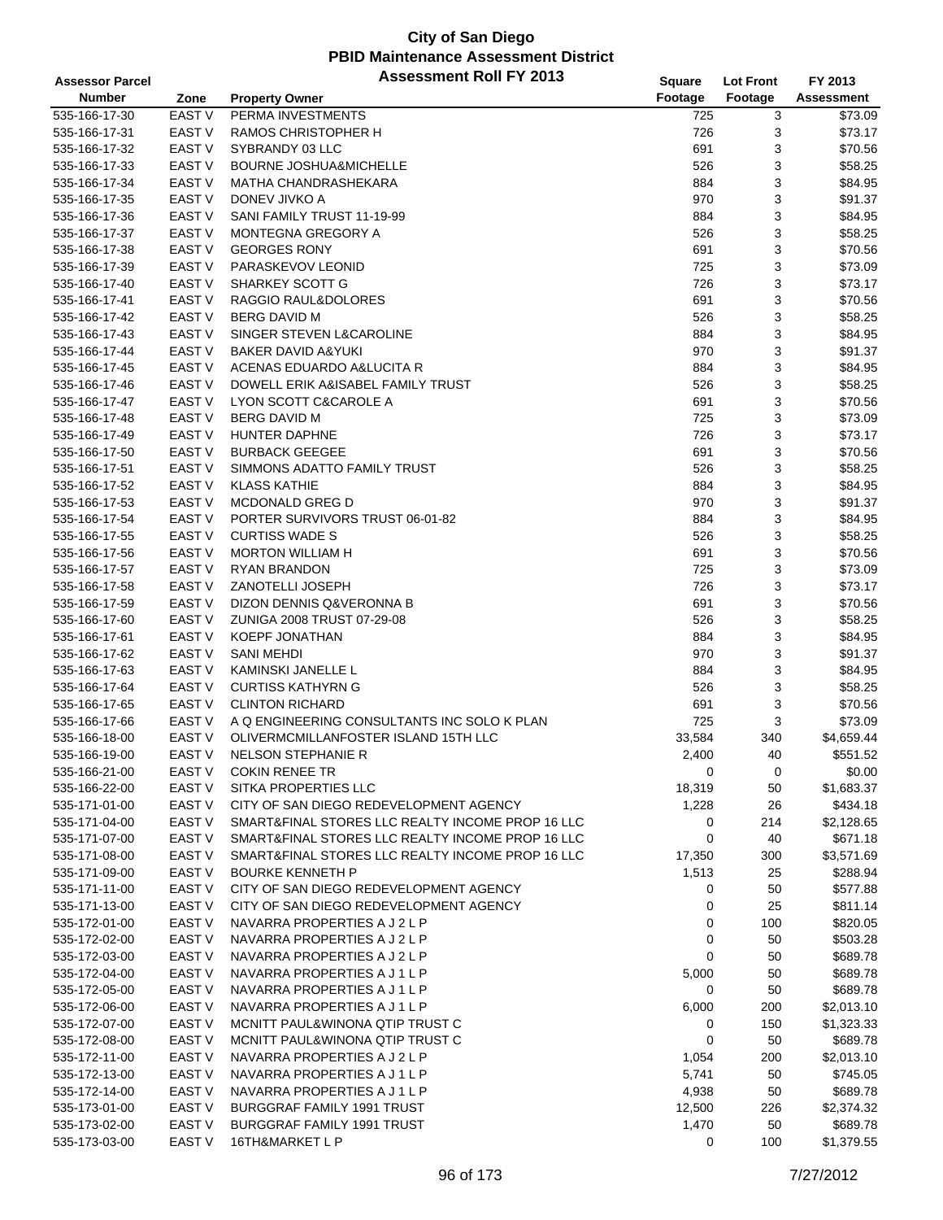| Assessor Parcel |                   | <b>Assessment Roll FY 2013</b>                   | Square  | <b>Lot Front</b> | FY 2013    |
|-----------------|-------------------|--------------------------------------------------|---------|------------------|------------|
| <b>Number</b>   | Zone              | <b>Property Owner</b>                            | Footage | Footage          | Assessment |
| 535-166-17-30   | EAST V            | PERMA INVESTMENTS                                | 725     | 3                | \$73.09    |
| 535-166-17-31   | EAST V            | RAMOS CHRISTOPHER H                              | 726     | 3                | \$73.17    |
| 535-166-17-32   | EAST V            | SYBRANDY 03 LLC                                  | 691     | 3                | \$70.56    |
| 535-166-17-33   | <b>EAST V</b>     | <b>BOURNE JOSHUA&amp;MICHELLE</b>                | 526     | 3                | \$58.25    |
| 535-166-17-34   | <b>EAST V</b>     | MATHA CHANDRASHEKARA                             | 884     | 3                | \$84.95    |
| 535-166-17-35   | <b>EAST V</b>     | DONEV JIVKO A                                    | 970     | 3                | \$91.37    |
|                 | EAST V            |                                                  |         | 3                | \$84.95    |
| 535-166-17-36   |                   | SANI FAMILY TRUST 11-19-99                       | 884     |                  |            |
| 535-166-17-37   | <b>EAST V</b>     | MONTEGNA GREGORY A                               | 526     | 3                | \$58.25    |
| 535-166-17-38   | <b>EAST V</b>     | <b>GEORGES RONY</b>                              | 691     | 3                | \$70.56    |
| 535-166-17-39   | EAST <sub>V</sub> | PARASKEVOV LEONID                                | 725     | 3                | \$73.09    |
| 535-166-17-40   | <b>EAST V</b>     | SHARKEY SCOTT G                                  | 726     | 3                | \$73.17    |
| 535-166-17-41   | EAST <sub>V</sub> | RAGGIO RAUL&DOLORES                              | 691     | 3                | \$70.56    |
| 535-166-17-42   | <b>EAST V</b>     | <b>BERG DAVID M</b>                              | 526     | 3                | \$58.25    |
| 535-166-17-43   | EAST V            | SINGER STEVEN L&CAROLINE                         | 884     | 3                | \$84.95    |
| 535-166-17-44   | <b>EAST V</b>     | <b>BAKER DAVID A&amp;YUKI</b>                    | 970     | 3                | \$91.37    |
| 535-166-17-45   | <b>EAST V</b>     | ACENAS EDUARDO A&LUCITA R                        | 884     | 3                | \$84.95    |
| 535-166-17-46   | <b>EAST V</b>     | DOWELL ERIK A&ISABEL FAMILY TRUST                | 526     | 3                | \$58.25    |
| 535-166-17-47   | EAST <sub>V</sub> | LYON SCOTT C&CAROLE A                            | 691     | 3                | \$70.56    |
| 535-166-17-48   | EAST V            | <b>BERG DAVID M</b>                              | 725     | 3                | \$73.09    |
| 535-166-17-49   | <b>EAST V</b>     | HUNTER DAPHNE                                    | 726     | 3                | \$73.17    |
| 535-166-17-50   | <b>EAST V</b>     | <b>BURBACK GEEGEE</b>                            | 691     | 3                | \$70.56    |
| 535-166-17-51   | EAST <sub>V</sub> | SIMMONS ADATTO FAMILY TRUST                      | 526     | 3                | \$58.25    |
| 535-166-17-52   | <b>EAST V</b>     | <b>KLASS KATHIE</b>                              | 884     | 3                | \$84.95    |
| 535-166-17-53   | EAST V            | MCDONALD GREG D                                  | 970     | 3                | \$91.37    |
| 535-166-17-54   | <b>EAST V</b>     | PORTER SURVIVORS TRUST 06-01-82                  | 884     | 3                | \$84.95    |
| 535-166-17-55   | <b>EAST V</b>     | <b>CURTISS WADE S</b>                            | 526     | 3                | \$58.25    |
| 535-166-17-56   | <b>EAST V</b>     | <b>MORTON WILLIAM H</b>                          | 691     | 3                | \$70.56    |
| 535-166-17-57   | <b>EAST V</b>     | <b>RYAN BRANDON</b>                              | 725     | 3                | \$73.09    |
| 535-166-17-58   | EAST V            | <b>ZANOTELLI JOSEPH</b>                          | 726     | 3                | \$73.17    |
| 535-166-17-59   | <b>EAST V</b>     | DIZON DENNIS Q&VERONNA B                         | 691     | 3                | \$70.56    |
| 535-166-17-60   | <b>EAST V</b>     | ZUNIGA 2008 TRUST 07-29-08                       | 526     | 3                | \$58.25    |
| 535-166-17-61   | <b>EAST V</b>     | KOEPF JONATHAN                                   | 884     | 3                | \$84.95    |
| 535-166-17-62   | <b>EAST V</b>     | <b>SANI MEHDI</b>                                | 970     | 3                | \$91.37    |
| 535-166-17-63   | <b>EAST V</b>     | <b>KAMINSKI JANELLE L</b>                        | 884     | 3                | \$84.95    |
| 535-166-17-64   | EAST V            | <b>CURTISS KATHYRN G</b>                         | 526     | 3                | \$58.25    |
|                 | EAST V            | <b>CLINTON RICHARD</b>                           | 691     | 3                | \$70.56    |
| 535-166-17-65   |                   |                                                  |         |                  |            |
| 535-166-17-66   | EAST <sub>V</sub> | A Q ENGINEERING CONSULTANTS INC SOLO K PLAN      | 725     | 3                | \$73.09    |
| 535-166-18-00   | EAST <sub>V</sub> | OLIVERMCMILLANFOSTER ISLAND 15TH LLC             | 33,584  | 340              | \$4,659.44 |
| 535-166-19-00   | <b>EAST V</b>     | <b>NELSON STEPHANIE R</b>                        | 2,400   | 40               | \$551.52   |
| 535-166-21-00   | EAST V            | <b>COKIN RENEE TR</b>                            | 0       | 0                | \$0.00     |
| 535-166-22-00   | <b>EAST V</b>     | SITKA PROPERTIES LLC                             | 18,319  | 50               | \$1,683.37 |
| 535-171-01-00   | <b>EAST V</b>     | CITY OF SAN DIEGO REDEVELOPMENT AGENCY           | 1,228   | 26               | \$434.18   |
| 535-171-04-00   | <b>EAST V</b>     | SMART&FINAL STORES LLC REALTY INCOME PROP 16 LLC | 0       | 214              | \$2,128.65 |
| 535-171-07-00   | <b>EAST V</b>     | SMART&FINAL STORES LLC REALTY INCOME PROP 16 LLC | 0       | 40               | \$671.18   |
| 535-171-08-00   | <b>EAST V</b>     | SMART&FINAL STORES LLC REALTY INCOME PROP 16 LLC | 17,350  | 300              | \$3,571.69 |
| 535-171-09-00   | EAST <sub>V</sub> | <b>BOURKE KENNETH P</b>                          | 1,513   | 25               | \$288.94   |
| 535-171-11-00   | EAST V            | CITY OF SAN DIEGO REDEVELOPMENT AGENCY           | 0       | 50               | \$577.88   |
| 535-171-13-00   | EAST <sub>V</sub> | CITY OF SAN DIEGO REDEVELOPMENT AGENCY           | 0       | 25               | \$811.14   |
| 535-172-01-00   | EAST <sub>V</sub> | NAVARRA PROPERTIES A J2LP                        | 0       | 100              | \$820.05   |
| 535-172-02-00   | <b>EAST V</b>     | NAVARRA PROPERTIES A J 2 L P                     | 0       | 50               | \$503.28   |
| 535-172-03-00   | <b>EAST V</b>     | NAVARRA PROPERTIES A J 2 L P                     | 0       | 50               | \$689.78   |
| 535-172-04-00   | <b>EAST V</b>     | NAVARRA PROPERTIES A J 1 L P                     | 5,000   | 50               | \$689.78   |
| 535-172-05-00   | <b>EAST V</b>     | NAVARRA PROPERTIES A J 1 L P                     | 0       | 50               | \$689.78   |
| 535-172-06-00   | <b>EAST V</b>     | NAVARRA PROPERTIES A J 1 L P                     | 6,000   | 200              | \$2,013.10 |
| 535-172-07-00   | <b>EAST V</b>     | MCNITT PAUL&WINONA QTIP TRUST C                  | 0       | 150              | \$1,323.33 |
| 535-172-08-00   | EAST <sub>V</sub> | MCNITT PAUL&WINONA QTIP TRUST C                  | 0       | 50               | \$689.78   |
| 535-172-11-00   | EAST <sub>V</sub> | NAVARRA PROPERTIES A J 2 L P                     | 1,054   | 200              | \$2,013.10 |
| 535-172-13-00   | EAST <sub>V</sub> | NAVARRA PROPERTIES A J 1 L P                     | 5,741   | 50               | \$745.05   |
| 535-172-14-00   | <b>EAST V</b>     | NAVARRA PROPERTIES A J 1 L P                     | 4,938   | 50               | \$689.78   |
| 535-173-01-00   | EAST <sub>V</sub> | BURGGRAF FAMILY 1991 TRUST                       | 12,500  | 226              | \$2,374.32 |
| 535-173-02-00   | EAST <sub>V</sub> | BURGGRAF FAMILY 1991 TRUST                       | 1,470   | 50               | \$689.78   |
| 535-173-03-00   | EAST V            | 16TH&MARKET L P                                  | 0       | 100              | \$1,379.55 |
|                 |                   |                                                  |         |                  |            |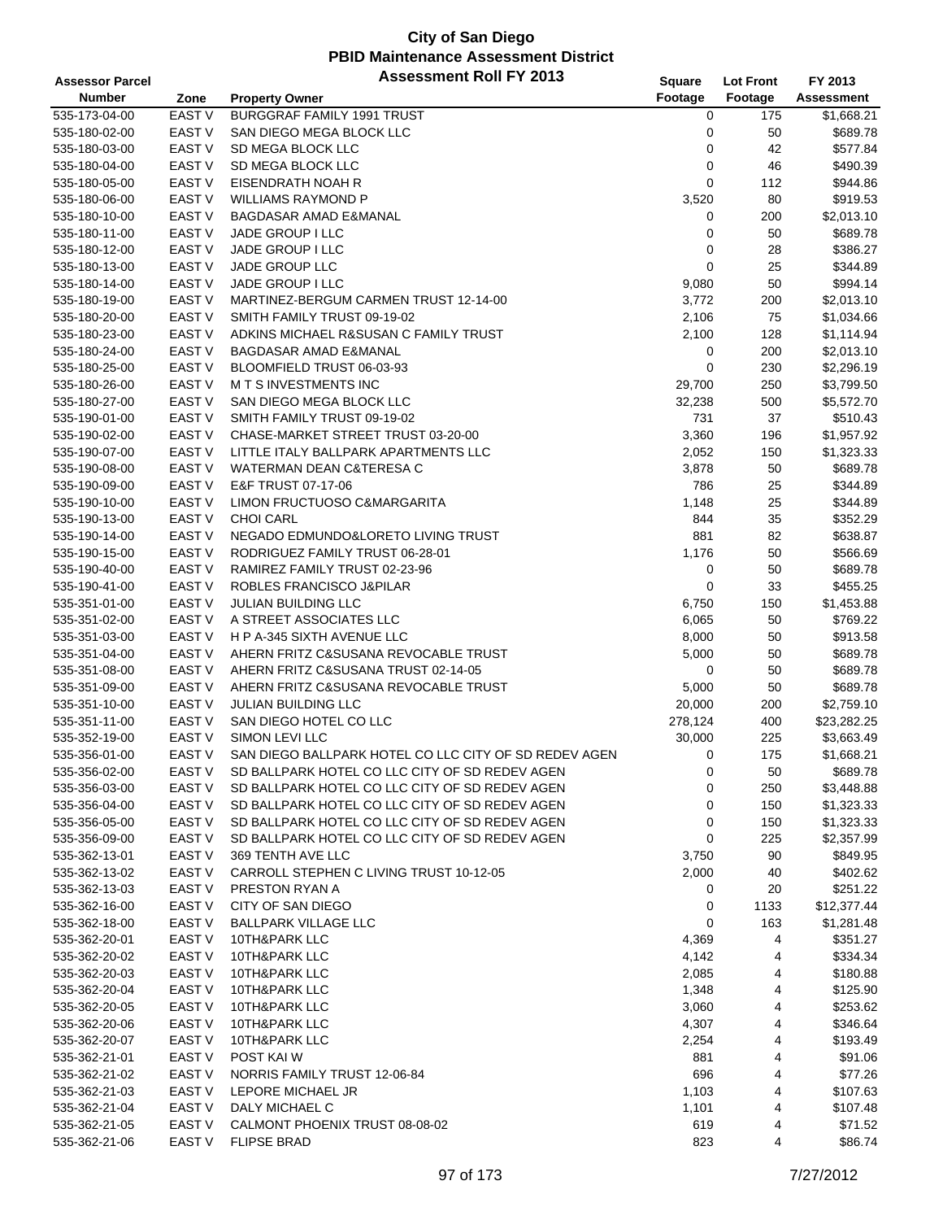| <b>Assessor Parcel</b> |                   | <b>Assessment Roll FY 2013</b>                        | Square      | <b>Lot Front</b> | FY 2013           |
|------------------------|-------------------|-------------------------------------------------------|-------------|------------------|-------------------|
| <b>Number</b>          | Zone              | <b>Property Owner</b>                                 | Footage     | Footage          | <b>Assessment</b> |
| 535-173-04-00          | <b>EAST V</b>     | BURGGRAF FAMILY 1991 TRUST                            | 0           | 175              | \$1,668.21        |
| 535-180-02-00          | EAST V            | SAN DIEGO MEGA BLOCK LLC                              | 0           | 50               | \$689.78          |
| 535-180-03-00          | <b>EAST V</b>     | SD MEGA BLOCK LLC                                     | 0           | 42               | \$577.84          |
| 535-180-04-00          | <b>EAST V</b>     | SD MEGA BLOCK LLC                                     | 0           | 46               | \$490.39          |
| 535-180-05-00          | <b>EAST V</b>     | EISENDRATH NOAH R                                     | $\mathbf 0$ | 112              | \$944.86          |
| 535-180-06-00          | <b>EAST V</b>     | <b>WILLIAMS RAYMOND P</b>                             | 3,520       | 80               | \$919.53          |
| 535-180-10-00          | EAST <sub>V</sub> | BAGDASAR AMAD E&MANAL                                 | 0           | 200              | \$2,013.10        |
| 535-180-11-00          | <b>EAST V</b>     | JADE GROUP I LLC                                      | 0           | 50               | \$689.78          |
| 535-180-12-00          | <b>EAST V</b>     | JADE GROUP I LLC                                      | 0           | 28               | \$386.27          |
| 535-180-13-00          | <b>EAST V</b>     | JADE GROUP LLC                                        | 0           | 25               | \$344.89          |
| 535-180-14-00          | <b>EAST V</b>     | JADE GROUP I LLC                                      | 9,080       | 50               | \$994.14          |
| 535-180-19-00          | <b>EAST V</b>     | MARTINEZ-BERGUM CARMEN TRUST 12-14-00                 | 3,772       | 200              | \$2,013.10        |
| 535-180-20-00          | <b>EAST V</b>     | SMITH FAMILY TRUST 09-19-02                           | 2,106       | 75               | \$1,034.66        |
| 535-180-23-00          | <b>EAST V</b>     | ADKINS MICHAEL R&SUSAN C FAMILY TRUST                 | 2,100       | 128              | \$1,114.94        |
| 535-180-24-00          | <b>EAST V</b>     | BAGDASAR AMAD E&MANAL                                 | 0           | 200              | \$2,013.10        |
| 535-180-25-00          | EAST <sub>V</sub> | BLOOMFIELD TRUST 06-03-93                             | 0           | 230              | \$2,296.19        |
| 535-180-26-00          | <b>EAST V</b>     | <b>MTS INVESTMENTS INC</b>                            | 29,700      | 250              | \$3,799.50        |
| 535-180-27-00          | <b>EAST V</b>     | SAN DIEGO MEGA BLOCK LLC                              | 32,238      | 500              | \$5,572.70        |
| 535-190-01-00          | <b>EAST V</b>     | SMITH FAMILY TRUST 09-19-02                           | 731         | 37               | \$510.43          |
| 535-190-02-00          | <b>EAST V</b>     | CHASE-MARKET STREET TRUST 03-20-00                    | 3,360       | 196              | \$1,957.92        |
| 535-190-07-00          | <b>EAST V</b>     | LITTLE ITALY BALLPARK APARTMENTS LLC                  | 2,052       | 150              | \$1,323.33        |
| 535-190-08-00          | <b>EAST V</b>     | <b>WATERMAN DEAN C&amp;TERESA C</b>                   | 3,878       | 50               | \$689.78          |
| 535-190-09-00          | <b>EAST V</b>     | E&F TRUST 07-17-06                                    | 786         | 25               | \$344.89          |
| 535-190-10-00          | <b>EAST V</b>     | LIMON FRUCTUOSO C&MARGARITA                           | 1,148       | 25               | \$344.89          |
| 535-190-13-00          | <b>EAST V</b>     | <b>CHOI CARL</b>                                      | 844         | 35               | \$352.29          |
| 535-190-14-00          | <b>EAST V</b>     | NEGADO EDMUNDO&LORETO LIVING TRUST                    | 881         | 82               | \$638.87          |
| 535-190-15-00          | EAST <sub>V</sub> | RODRIGUEZ FAMILY TRUST 06-28-01                       | 1,176       | 50               | \$566.69          |
| 535-190-40-00          | <b>EAST V</b>     | RAMIREZ FAMILY TRUST 02-23-96                         | 0           | 50               | \$689.78          |
| 535-190-41-00          | <b>EAST V</b>     | ROBLES FRANCISCO J&PILAR                              | 0           | 33               | \$455.25          |
| 535-351-01-00          | EAST <sub>V</sub> | JULIAN BUILDING LLC                                   | 6,750       | 150              | \$1,453.88        |
| 535-351-02-00          | <b>EAST V</b>     | A STREET ASSOCIATES LLC                               | 6,065       | 50               | \$769.22          |
| 535-351-03-00          | <b>EAST V</b>     | H P A-345 SIXTH AVENUE LLC                            | 8,000       | 50               | \$913.58          |
| 535-351-04-00          | <b>EAST V</b>     | AHERN FRITZ C&SUSANA REVOCABLE TRUST                  | 5,000       | 50               | \$689.78          |
| 535-351-08-00          | <b>EAST V</b>     | AHERN FRITZ C&SUSANA TRUST 02-14-05                   | 0           | 50               | \$689.78          |
| 535-351-09-00          | EAST V            | AHERN FRITZ C&SUSANA REVOCABLE TRUST                  | 5,000       | 50               | \$689.78          |
| 535-351-10-00          | <b>EAST V</b>     | <b>JULIAN BUILDING LLC</b>                            | 20,000      | 200              | \$2,759.10        |
| 535-351-11-00          | <b>EAST V</b>     | SAN DIEGO HOTEL CO LLC                                | 278,124     | 400              | \$23,282.25       |
| 535-352-19-00          | EAST <sub>V</sub> | SIMON LEVI LLC                                        | 30,000      | 225              | \$3,663.49        |
| 535-356-01-00          | <b>EAST V</b>     | SAN DIEGO BALLPARK HOTEL CO LLC CITY OF SD REDEV AGEN | 0           | 175              | \$1,668.21        |
| 535-356-02-00          | EAST V            | SD BALLPARK HOTEL CO LLC CITY OF SD REDEV AGEN        | 0           | 50               | \$689.78          |
| 535-356-03-00          | EAST V            | SD BALLPARK HOTEL CO LLC CITY OF SD REDEV AGEN        | 0           | 250              | \$3,448.88        |
| 535-356-04-00          | EAST V            | SD BALLPARK HOTEL CO LLC CITY OF SD REDEV AGEN        | 0           | 150              | \$1,323.33        |
| 535-356-05-00          | EAST V            | SD BALLPARK HOTEL CO LLC CITY OF SD REDEV AGEN        | 0           | 150              | \$1,323.33        |
| 535-356-09-00          | EAST V            | SD BALLPARK HOTEL CO LLC CITY OF SD REDEV AGEN        | 0           | 225              | \$2,357.99        |
| 535-362-13-01          | <b>EAST V</b>     | 369 TENTH AVE LLC                                     | 3,750       | 90               | \$849.95          |
| 535-362-13-02          | EAST V            | CARROLL STEPHEN C LIVING TRUST 10-12-05               | 2,000       | 40               | \$402.62          |
| 535-362-13-03          | EAST V            | PRESTON RYAN A                                        | 0           | 20               | \$251.22          |
| 535-362-16-00          | EAST V            | CITY OF SAN DIEGO                                     | 0           | 1133             | \$12,377.44       |
| 535-362-18-00          | EAST V            | <b>BALLPARK VILLAGE LLC</b>                           | 0           | 163              | \$1,281.48        |
| 535-362-20-01          | EAST V            | 10TH&PARK LLC                                         | 4,369       | 4                | \$351.27          |
| 535-362-20-02          | <b>EAST V</b>     | 10TH&PARK LLC                                         | 4,142       | 4                | \$334.34          |
| 535-362-20-03          | EAST V            | 10TH&PARK LLC                                         | 2,085       | 4                | \$180.88          |
| 535-362-20-04          | EAST V            | 10TH&PARK LLC                                         | 1,348       | 4                | \$125.90          |
| 535-362-20-05          | EAST V            | 10TH&PARK LLC                                         | 3,060       | 4                | \$253.62          |
| 535-362-20-06          | EAST V            | 10TH&PARK LLC                                         | 4,307       | 4                | \$346.64          |
| 535-362-20-07          | EAST <sub>V</sub> | 10TH&PARK LLC                                         | 2,254       | 4                | \$193.49          |
| 535-362-21-01          | EAST V            | POST KAI W                                            | 881         | 4                | \$91.06           |
| 535-362-21-02          | EAST <sub>V</sub> | NORRIS FAMILY TRUST 12-06-84                          | 696         | 4                | \$77.26           |
| 535-362-21-03          | EAST <sub>V</sub> | LEPORE MICHAEL JR                                     | 1,103       | 4                | \$107.63          |
| 535-362-21-04          | EAST V            | DALY MICHAEL C                                        | 1,101       | 4                | \$107.48          |
| 535-362-21-05          | EAST V            | CALMONT PHOENIX TRUST 08-08-02                        | 619         | 4                | \$71.52           |
| 535-362-21-06          | EAST V            | <b>FLIPSE BRAD</b>                                    | 823         | 4                | \$86.74           |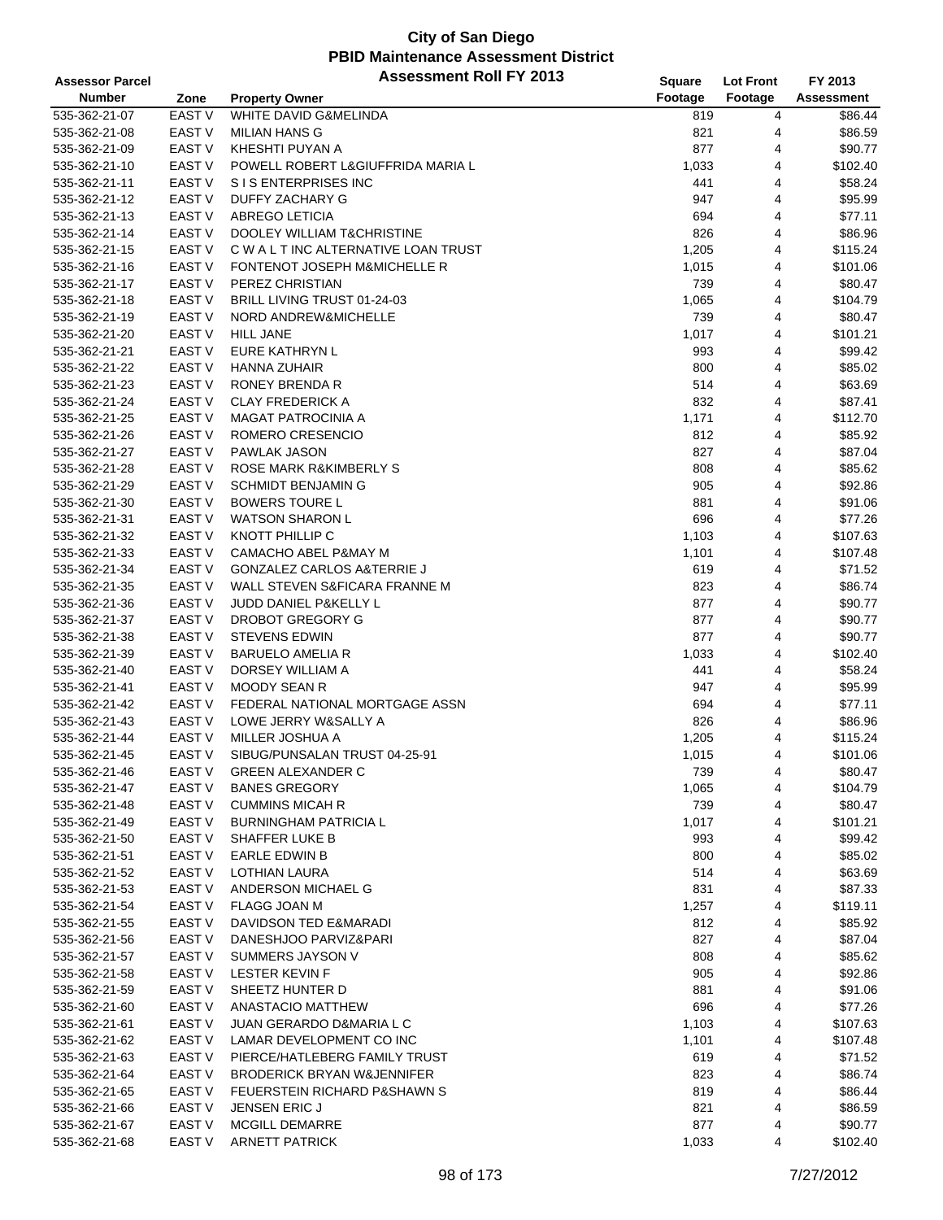| <b>Assessor Parcel</b> |                   | <b>Assessment Roll FY 2013</b>        | Square  | <b>Lot Front</b> | FY 2013           |
|------------------------|-------------------|---------------------------------------|---------|------------------|-------------------|
| <b>Number</b>          | Zone              | <b>Property Owner</b>                 | Footage | Footage          | <b>Assessment</b> |
| 535-362-21-07          | <b>EAST V</b>     | WHITE DAVID G&MELINDA                 | 819     | 4                | \$86.44           |
| 535-362-21-08          | <b>EAST V</b>     | <b>MILIAN HANS G</b>                  | 821     | 4                | \$86.59           |
| 535-362-21-09          | <b>EAST V</b>     | KHESHTI PUYAN A                       | 877     | 4                | \$90.77           |
| 535-362-21-10          | <b>EAST V</b>     | POWELL ROBERT L&GIUFFRIDA MARIA L     | 1,033   | 4                | \$102.40          |
| 535-362-21-11          | EAST <sub>V</sub> | S I S ENTERPRISES INC                 | 441     | 4                | \$58.24           |
| 535-362-21-12          | <b>EAST V</b>     | DUFFY ZACHARY G                       | 947     | 4                | \$95.99           |
| 535-362-21-13          | EAST V            | <b>ABREGO LETICIA</b>                 | 694     | 4                | \$77.11           |
| 535-362-21-14          | <b>EAST V</b>     | <b>DOOLEY WILLIAM T&amp;CHRISTINE</b> | 826     | 4                | \$86.96           |
| 535-362-21-15          | <b>EAST V</b>     | C W A L T INC ALTERNATIVE LOAN TRUST  |         |                  |                   |
|                        |                   |                                       | 1,205   | 4                | \$115.24          |
| 535-362-21-16          | <b>EAST V</b>     | FONTENOT JOSEPH M&MICHELLE R          | 1,015   | 4                | \$101.06          |
| 535-362-21-17          | <b>EAST V</b>     | PEREZ CHRISTIAN                       | 739     | 4                | \$80.47           |
| 535-362-21-18          | EAST <sub>V</sub> | BRILL LIVING TRUST 01-24-03           | 1,065   | 4                | \$104.79          |
| 535-362-21-19          | <b>EAST V</b>     | NORD ANDREW&MICHELLE                  | 739     | 4                | \$80.47           |
| 535-362-21-20          | <b>EAST V</b>     | <b>HILL JANE</b>                      | 1,017   | 4                | \$101.21          |
| 535-362-21-21          | <b>EAST V</b>     | EURE KATHRYN L                        | 993     | 4                | \$99.42           |
| 535-362-21-22          | EAST <sub>V</sub> | <b>HANNA ZUHAIR</b>                   | 800     | 4                | \$85.02           |
| 535-362-21-23          | <b>EAST V</b>     | RONEY BRENDA R                        | 514     | 4                | \$63.69           |
| 535-362-21-24          | EAST V            | <b>CLAY FREDERICK A</b>               | 832     | 4                | \$87.41           |
| 535-362-21-25          | <b>EAST V</b>     | <b>MAGAT PATROCINIA A</b>             | 1,171   | 4                | \$112.70          |
| 535-362-21-26          | <b>EAST V</b>     | ROMERO CRESENCIO                      | 812     | 4                | \$85.92           |
| 535-362-21-27          | <b>EAST V</b>     | <b>PAWLAK JASON</b>                   | 827     | 4                | \$87.04           |
| 535-362-21-28          | <b>EAST V</b>     | ROSE MARK R&KIMBERLY S                | 808     | 4                | \$85.62           |
| 535-362-21-29          | EAST V            | <b>SCHMIDT BENJAMIN G</b>             | 905     | 4                | \$92.86           |
| 535-362-21-30          | EAST <sub>V</sub> | <b>BOWERS TOURE L</b>                 | 881     | 4                | \$91.06           |
| 535-362-21-31          | <b>EAST V</b>     | <b>WATSON SHARON L</b>                | 696     | 4                | \$77.26           |
| 535-362-21-32          | <b>EAST V</b>     | KNOTT PHILLIP C                       | 1,103   | 4                | \$107.63          |
| 535-362-21-33          | <b>EAST V</b>     | CAMACHO ABEL P&MAY M                  | 1,101   | 4                | \$107.48          |
| 535-362-21-34          | <b>EAST V</b>     | <b>GONZALEZ CARLOS A&amp;TERRIE J</b> | 619     | 4                | \$71.52           |
| 535-362-21-35          | EAST V            | WALL STEVEN S&FICARA FRANNE M         | 823     | 4                | \$86.74           |
|                        | <b>EAST V</b>     |                                       |         | 4                |                   |
| 535-362-21-36          |                   | JUDD DANIEL P&KELLY L                 | 877     |                  | \$90.77           |
| 535-362-21-37          | <b>EAST V</b>     | DROBOT GREGORY G                      | 877     | 4                | \$90.77           |
| 535-362-21-38          | <b>EAST V</b>     | <b>STEVENS EDWIN</b>                  | 877     | 4                | \$90.77           |
| 535-362-21-39          | <b>EAST V</b>     | <b>BARUELO AMELIA R</b>               | 1,033   | 4                | \$102.40          |
| 535-362-21-40          | <b>EAST V</b>     | DORSEY WILLIAM A                      | 441     | 4                | \$58.24           |
| 535-362-21-41          | EAST V            | <b>MOODY SEAN R</b>                   | 947     | 4                | \$95.99           |
| 535-362-21-42          | EAST V            | FEDERAL NATIONAL MORTGAGE ASSN        | 694     | 4                | \$77.11           |
| 535-362-21-43          | EAST <sub>V</sub> | LOWE JERRY W&SALLY A                  | 826     | 4                | \$86.96           |
| 535-362-21-44          | EAST <sub>V</sub> | MILLER JOSHUA A                       | 1,205   | 4                | \$115.24          |
| 535-362-21-45          | <b>EAST V</b>     | SIBUG/PUNSALAN TRUST 04-25-91         | 1,015   | $\overline{4}$   | \$101.06          |
| 535-362-21-46          | EAST V            | <b>GREEN ALEXANDER C</b>              | 739     | 4                | \$80.47           |
| 535-362-21-47          | EAST V            | <b>BANES GREGORY</b>                  | 1,065   | 4                | \$104.79          |
| 535-362-21-48          | <b>EAST V</b>     | <b>CUMMINS MICAH R</b>                | 739     | 4                | \$80.47           |
| 535-362-21-49          | EAST V            | <b>BURNINGHAM PATRICIA L</b>          | 1,017   | 4                | \$101.21          |
| 535-362-21-50          | EAST V            | SHAFFER LUKE B                        | 993     | 4                | \$99.42           |
| 535-362-21-51          | EAST V            | EARLE EDWIN B                         | 800     | 4                | \$85.02           |
| 535-362-21-52          | EAST V            | LOTHIAN LAURA                         | 514     | 4                | \$63.69           |
| 535-362-21-53          | EAST V            | ANDERSON MICHAEL G                    | 831     | 4                | \$87.33           |
| 535-362-21-54          | EAST V            | FLAGG JOAN M                          | 1,257   | 4                | \$119.11          |
| 535-362-21-55          | EAST V            | DAVIDSON TED E&MARADI                 | 812     | 4                | \$85.92           |
| 535-362-21-56          | EAST V            | DANESHJOO PARVIZ&PARI                 | 827     | 4                | \$87.04           |
| 535-362-21-57          | EAST V            | <b>SUMMERS JAYSON V</b>               | 808     | 4                | \$85.62           |
| 535-362-21-58          | EAST V            | <b>LESTER KEVIN F</b>                 | 905     | 4                | \$92.86           |
|                        | EAST V            | SHEETZ HUNTER D                       |         | 4                | \$91.06           |
| 535-362-21-59          |                   |                                       | 881     |                  |                   |
| 535-362-21-60          | EAST V            | ANASTACIO MATTHEW                     | 696     | 4                | \$77.26           |
| 535-362-21-61          | EAST V            | JUAN GERARDO D&MARIA L C              | 1,103   | 4                | \$107.63          |
| 535-362-21-62          | EAST V            | LAMAR DEVELOPMENT CO INC              | 1,101   | 4                | \$107.48          |
| 535-362-21-63          | EAST V            | PIERCE/HATLEBERG FAMILY TRUST         | 619     | 4                | \$71.52           |
| 535-362-21-64          | EAST V            | <b>BRODERICK BRYAN W&amp;JENNIFER</b> | 823     | 4                | \$86.74           |
| 535-362-21-65          | EAST V            | FEUERSTEIN RICHARD P&SHAWN S          | 819     | 4                | \$86.44           |
| 535-362-21-66          | EAST V            | <b>JENSEN ERIC J</b>                  | 821     | 4                | \$86.59           |
| 535-362-21-67          | EAST V            | <b>MCGILL DEMARRE</b>                 | 877     | 4                | \$90.77           |
| 535-362-21-68          | EAST V            | <b>ARNETT PATRICK</b>                 | 1,033   | 4                | \$102.40          |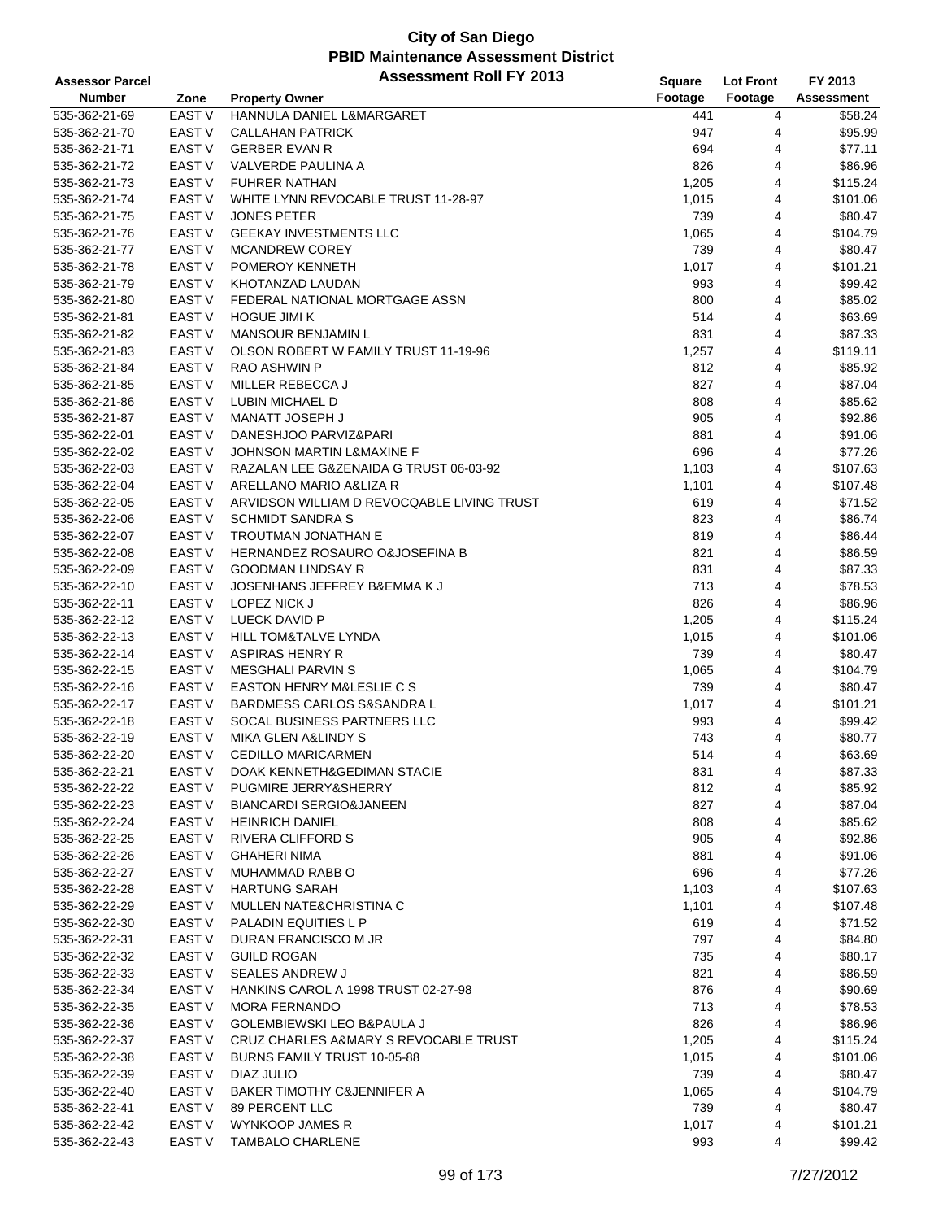| <b>Assessor Parcel</b> |                   | <b>Assessment Roll FY 2013</b>             | Square  | <b>Lot Front</b> | FY 2013           |
|------------------------|-------------------|--------------------------------------------|---------|------------------|-------------------|
| <b>Number</b>          | Zone              | <b>Property Owner</b>                      | Footage | Footage          | <b>Assessment</b> |
| 535-362-21-69          | <b>EAST V</b>     | HANNULA DANIEL L&MARGARET                  | 441     | 4                | \$58.24           |
| 535-362-21-70          | <b>EAST V</b>     | <b>CALLAHAN PATRICK</b>                    | 947     | 4                | \$95.99           |
| 535-362-21-71          | <b>EAST V</b>     | <b>GERBER EVAN R</b>                       | 694     | 4                | \$77.11           |
| 535-362-21-72          | EAST V            | VALVERDE PAULINA A                         | 826     | 4                | \$86.96           |
| 535-362-21-73          | <b>EAST V</b>     | <b>FUHRER NATHAN</b>                       | 1,205   | 4                | \$115.24          |
| 535-362-21-74          | <b>EAST V</b>     | WHITE LYNN REVOCABLE TRUST 11-28-97        | 1,015   | 4                | \$101.06          |
| 535-362-21-75          | <b>EAST V</b>     | <b>JONES PETER</b>                         | 739     | 4                | \$80.47           |
| 535-362-21-76          | <b>EAST V</b>     | <b>GEEKAY INVESTMENTS LLC</b>              | 1,065   | 4                | \$104.79          |
| 535-362-21-77          | <b>EAST V</b>     | <b>MCANDREW COREY</b>                      | 739     | 4                | \$80.47           |
| 535-362-21-78          | <b>EAST V</b>     | POMEROY KENNETH                            | 1,017   | 4                | \$101.21          |
| 535-362-21-79          | <b>EAST V</b>     | KHOTANZAD LAUDAN                           | 993     | 4                | \$99.42           |
| 535-362-21-80          | EAST <sub>V</sub> | FEDERAL NATIONAL MORTGAGE ASSN             | 800     | 4                | \$85.02           |
| 535-362-21-81          | <b>EAST V</b>     | <b>HOGUE JIMI K</b>                        | 514     | 4                | \$63.69           |
| 535-362-21-82          | <b>EAST V</b>     | <b>MANSOUR BENJAMIN L</b>                  | 831     | 4                | \$87.33           |
| 535-362-21-83          | <b>EAST V</b>     | OLSON ROBERT W FAMILY TRUST 11-19-96       | 1,257   | 4                | \$119.11          |
| 535-362-21-84          | EAST <sub>V</sub> | RAO ASHWIN P                               | 812     | 4                | \$85.92           |
| 535-362-21-85          | <b>EAST V</b>     | MILLER REBECCA J                           | 827     | 4                | \$87.04           |
| 535-362-21-86          | <b>EAST V</b>     | LUBIN MICHAEL D                            | 808     | 4                | \$85.62           |
| 535-362-21-87          | <b>EAST V</b>     | MANATT JOSEPH J                            | 905     | 4                | \$92.86           |
| 535-362-22-01          | <b>EAST V</b>     | DANESHJOO PARVIZ&PARI                      | 881     | 4                | \$91.06           |
| 535-362-22-02          | <b>EAST V</b>     | JOHNSON MARTIN L&MAXINE F                  | 696     | 4                | \$77.26           |
| 535-362-22-03          | <b>EAST V</b>     | RAZALAN LEE G&ZENAIDA G TRUST 06-03-92     | 1,103   | 4                | \$107.63          |
| 535-362-22-04          | EAST <sub>V</sub> | ARELLANO MARIO A&LIZA R                    | 1,101   | 4                | \$107.48          |
| 535-362-22-05          | <b>EAST V</b>     | ARVIDSON WILLIAM D REVOCQABLE LIVING TRUST | 619     | 4                | \$71.52           |
| 535-362-22-06          | <b>EAST V</b>     | <b>SCHMIDT SANDRA S</b>                    | 823     | 4                | \$86.74           |
| 535-362-22-07          | <b>EAST V</b>     | <b>TROUTMAN JONATHAN E</b>                 | 819     | 4                | \$86.44           |
| 535-362-22-08          | <b>EAST V</b>     | HERNANDEZ ROSAURO O&JOSEFINA B             | 821     | 4                | \$86.59           |
| 535-362-22-09          | <b>EAST V</b>     | <b>GOODMAN LINDSAY R</b>                   | 831     | 4                | \$87.33           |
| 535-362-22-10          | <b>EAST V</b>     | JOSENHANS JEFFREY B&EMMA K J               | 713     | 4                | \$78.53           |
| 535-362-22-11          | EAST V            | LOPEZ NICK J                               | 826     | 4                | \$86.96           |
| 535-362-22-12          | <b>EAST V</b>     | LUECK DAVID P                              | 1,205   | 4                | \$115.24          |
| 535-362-22-13          | <b>EAST V</b>     | HILL TOM&TALVE LYNDA                       | 1,015   | 4                | \$101.06          |
| 535-362-22-14          | <b>EAST V</b>     | <b>ASPIRAS HENRY R</b>                     | 739     | 4                | \$80.47           |
| 535-362-22-15          | EAST V            | <b>MESGHALI PARVIN S</b>                   | 1,065   | 4                | \$104.79          |
| 535-362-22-16          | <b>EAST V</b>     | <b>EASTON HENRY M&amp;LESLIE C S</b>       | 739     | 4                | \$80.47           |
| 535-362-22-17          | EAST V            | BARDMESS CARLOS S&SANDRA L                 | 1,017   | 4                | \$101.21          |
| 535-362-22-18          | <b>EAST V</b>     | SOCAL BUSINESS PARTNERS LLC                | 993     | 4                | \$99.42           |
| 535-362-22-19          | <b>EAST V</b>     | <b>MIKA GLEN A&amp;LINDY S</b>             | 743     | 4                | \$80.77           |
| 535-362-22-20          | <b>EAST V</b>     | <b>CEDILLO MARICARMEN</b>                  | 514     | $\overline{4}$   | \$63.69           |
| 535-362-22-21          | EAST V            | DOAK KENNETH&GEDIMAN STACIE                | 831     | 4                | \$87.33           |
| 535-362-22-22          | EAST V            | PUGMIRE JERRY&SHERRY                       | 812     | 4                | \$85.92           |
| 535-362-22-23          | EAST V            | <b>BIANCARDI SERGIO&amp;JANEEN</b>         | 827     | 4                | \$87.04           |
| 535-362-22-24          | EAST V            | <b>HEINRICH DANIEL</b>                     | 808     | 4                | \$85.62           |
| 535-362-22-25          | EAST <sub>V</sub> | RIVERA CLIFFORD S                          | 905     | 4                | \$92.86           |
| 535-362-22-26          | EAST V            | <b>GHAHERI NIMA</b>                        | 881     | 4                | \$91.06           |
| 535-362-22-27          | EAST V            | MUHAMMAD RABB O                            | 696     | 4                | \$77.26           |
| 535-362-22-28          | EAST V            | <b>HARTUNG SARAH</b>                       | 1,103   | 4                | \$107.63          |
| 535-362-22-29          | EAST <sub>V</sub> | MULLEN NATE&CHRISTINA C                    | 1,101   | 4                | \$107.48          |
| 535-362-22-30          | EAST <sub>V</sub> | PALADIN EQUITIES L P                       | 619     | 4                | \$71.52           |
| 535-362-22-31          | EAST V            | DURAN FRANCISCO M JR                       | 797     | 4                | \$84.80           |
| 535-362-22-32          | EAST V            | <b>GUILD ROGAN</b>                         | 735     | 4                | \$80.17           |
| 535-362-22-33          | EAST V            | <b>SEALES ANDREW J</b>                     | 821     | 4                | \$86.59           |
| 535-362-22-34          | EAST V            | HANKINS CAROL A 1998 TRUST 02-27-98        | 876     | 4                | \$90.69           |
| 535-362-22-35          | EAST V            | <b>MORA FERNANDO</b>                       | 713     | 4                | \$78.53           |
| 535-362-22-36          | EAST V            | GOLEMBIEWSKI LEO B&PAULA J                 | 826     | 4                | \$86.96           |
| 535-362-22-37          | EAST V            | CRUZ CHARLES A&MARY S REVOCABLE TRUST      | 1,205   | 4                | \$115.24          |
| 535-362-22-38          | EAST V            | BURNS FAMILY TRUST 10-05-88                | 1,015   | 4                | \$101.06          |
| 535-362-22-39          | EAST <sub>V</sub> | DIAZ JULIO                                 | 739     | 4                | \$80.47           |
| 535-362-22-40          | EAST <sub>V</sub> | BAKER TIMOTHY C&JENNIFER A                 | 1,065   | 4                | \$104.79          |
| 535-362-22-41          | EAST <sub>V</sub> | 89 PERCENT LLC                             | 739     | 4                | \$80.47           |
| 535-362-22-42          | EAST V            | <b>WYNKOOP JAMES R</b>                     | 1,017   | 4                | \$101.21          |
| 535-362-22-43          | EAST <sub>V</sub> | <b>TAMBALO CHARLENE</b>                    | 993     | 4                | \$99.42           |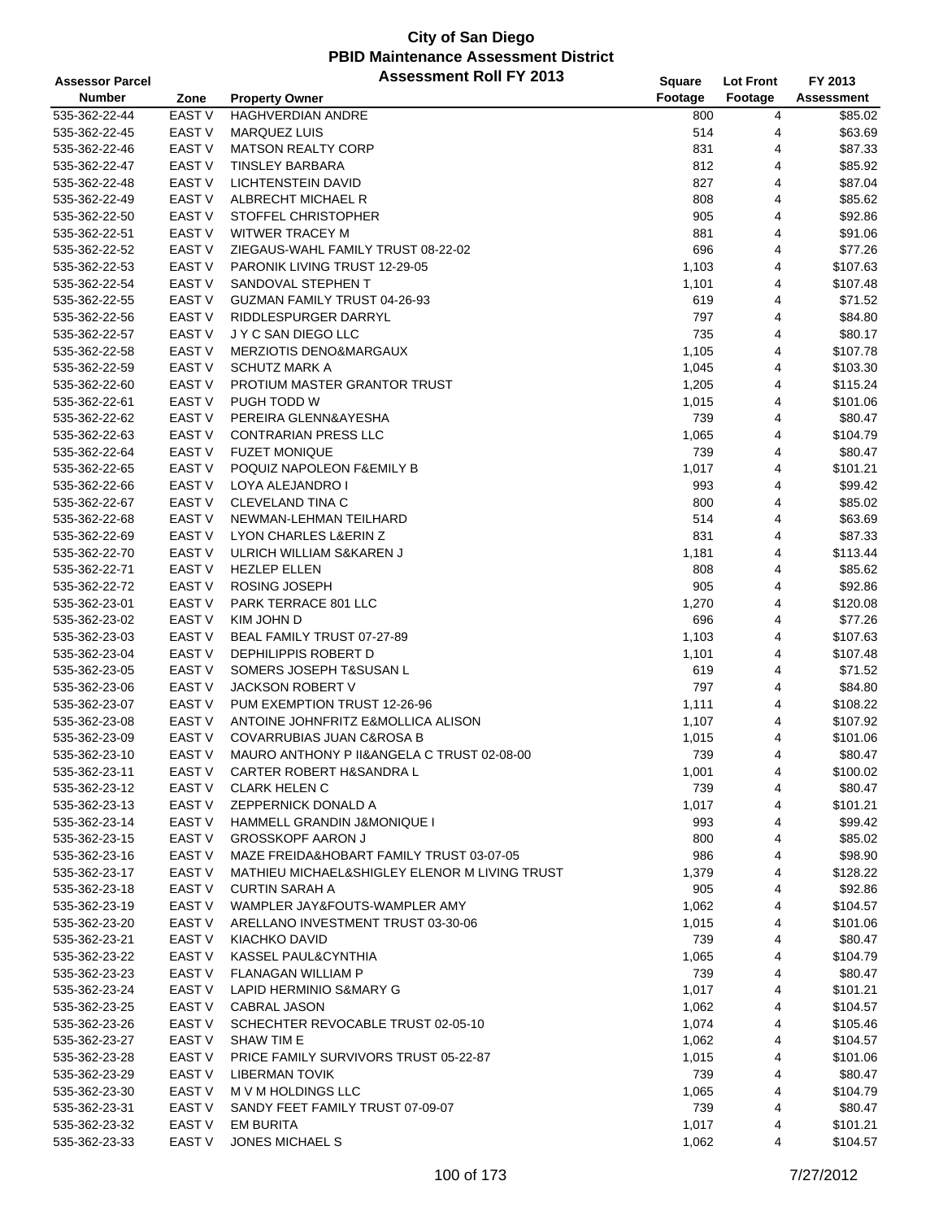| <b>Assessor Parcel</b>         |                   | <b>Assessment Roll FY 2013</b>                | Square  | <b>Lot Front</b> | FY 2013           |
|--------------------------------|-------------------|-----------------------------------------------|---------|------------------|-------------------|
| <b>Number</b>                  | Zone              | <b>Property Owner</b>                         | Footage | Footage          | <b>Assessment</b> |
| 535-362-22-44                  | <b>EAST V</b>     | HAGHVERDIAN ANDRE                             | 800     | 4                | \$85.02           |
| 535-362-22-45                  | EAST V            | <b>MARQUEZ LUIS</b>                           | 514     | 4                | \$63.69           |
| 535-362-22-46                  | <b>EAST V</b>     | <b>MATSON REALTY CORP</b>                     | 831     | 4                | \$87.33           |
| 535-362-22-47                  | <b>EAST V</b>     | <b>TINSLEY BARBARA</b>                        | 812     | 4                | \$85.92           |
| 535-362-22-48                  | <b>EAST V</b>     | LICHTENSTEIN DAVID                            | 827     | 4                | \$87.04           |
| 535-362-22-49                  | <b>EAST V</b>     | ALBRECHT MICHAEL R                            | 808     | 4                | \$85.62           |
| 535-362-22-50                  | EAST V            | STOFFEL CHRISTOPHER                           | 905     | 4                | \$92.86           |
| 535-362-22-51                  | <b>EAST V</b>     | <b>WITWER TRACEY M</b>                        | 881     | 4                | \$91.06           |
| 535-362-22-52                  | <b>EAST V</b>     | ZIEGAUS-WAHL FAMILY TRUST 08-22-02            | 696     | 4                | \$77.26           |
| 535-362-22-53                  | <b>EAST V</b>     | PARONIK LIVING TRUST 12-29-05                 |         | 4                | \$107.63          |
| 535-362-22-54                  | <b>EAST V</b>     | SANDOVAL STEPHEN T                            | 1,103   | 4                | \$107.48          |
|                                | <b>EAST V</b>     |                                               | 1,101   |                  |                   |
| 535-362-22-55                  | EAST V            | GUZMAN FAMILY TRUST 04-26-93                  | 619     | 4                | \$71.52           |
| 535-362-22-56                  |                   | RIDDLESPURGER DARRYL                          | 797     | 4                | \$84.80           |
| 535-362-22-57                  | <b>EAST V</b>     | J Y C SAN DIEGO LLC                           | 735     | 4                | \$80.17           |
| 535-362-22-58                  | <b>EAST V</b>     | <b>MERZIOTIS DENO&amp;MARGAUX</b>             | 1,105   | 4                | \$107.78          |
| 535-362-22-59                  | <b>EAST V</b>     | <b>SCHUTZ MARK A</b>                          | 1,045   | 4                | \$103.30          |
| 535-362-22-60                  | <b>EAST V</b>     | PROTIUM MASTER GRANTOR TRUST                  | 1,205   | 4                | \$115.24          |
| 535-362-22-61                  | <b>EAST V</b>     | PUGH TODD W                                   | 1,015   | 4                | \$101.06          |
| 535-362-22-62                  | <b>EAST V</b>     | PEREIRA GLENN&AYESHA                          | 739     | 4                | \$80.47           |
| 535-362-22-63                  | <b>EAST V</b>     | <b>CONTRARIAN PRESS LLC</b>                   | 1,065   | 4                | \$104.79          |
| 535-362-22-64                  | <b>EAST V</b>     | <b>FUZET MONIQUE</b>                          | 739     | 4                | \$80.47           |
| 535-362-22-65                  | <b>EAST V</b>     | POQUIZ NAPOLEON F&EMILY B                     | 1,017   | 4                | \$101.21          |
| 535-362-22-66                  | <b>EAST V</b>     | <b>LOYA ALEJANDRO I</b>                       | 993     | 4                | \$99.42           |
| 535-362-22-67                  | <b>EAST V</b>     | CLEVELAND TINA C                              | 800     | 4                | \$85.02           |
| 535-362-22-68                  | <b>EAST V</b>     | NEWMAN-LEHMAN TEILHARD                        | 514     | 4                | \$63.69           |
| 535-362-22-69                  | <b>EAST V</b>     | LYON CHARLES L&ERIN Z                         | 831     | 4                | \$87.33           |
| 535-362-22-70                  | <b>EAST V</b>     | ULRICH WILLIAM S&KAREN J                      | 1,181   | 4                | \$113.44          |
| 535-362-22-71                  | <b>EAST V</b>     | <b>HEZLEP ELLEN</b>                           | 808     | 4                | \$85.62           |
| 535-362-22-72                  | <b>EAST V</b>     | ROSING JOSEPH                                 | 905     | 4                | \$92.86           |
| 535-362-23-01                  | <b>EAST V</b>     | PARK TERRACE 801 LLC                          | 1,270   | 4                | \$120.08          |
| 535-362-23-02                  | EAST <sub>V</sub> | KIM JOHN D                                    | 696     | 4                | \$77.26           |
| 535-362-23-03                  | <b>EAST V</b>     | BEAL FAMILY TRUST 07-27-89                    | 1,103   | 4                | \$107.63          |
| 535-362-23-04                  | <b>EAST V</b>     | DEPHILIPPIS ROBERT D                          | 1,101   | 4                | \$107.48          |
| 535-362-23-05                  | <b>EAST V</b>     | SOMERS JOSEPH T&SUSAN L                       | 619     | 4                | \$71.52           |
| 535-362-23-06                  | <b>EAST V</b>     | <b>JACKSON ROBERT V</b>                       | 797     | 4                | \$84.80           |
| 535-362-23-07                  | EAST V            | PUM EXEMPTION TRUST 12-26-96                  | 1,111   | 4                | \$108.22          |
| 535-362-23-08                  | <b>EAST V</b>     | ANTOINE JOHNFRITZ E&MOLLICA ALISON            | 1,107   | 4                | \$107.92          |
| 535-362-23-09                  | EAST V            | COVARRUBIAS JUAN C&ROSA B                     | 1,015   | 4                | \$101.06          |
| 535-362-23-10                  | <b>EAST V</b>     | MAURO ANTHONY P II&ANGELA C TRUST 02-08-00    | 739     | 4                | \$80.47           |
| 535-362-23-11                  | EAST V            | <b>CARTER ROBERT H&amp;SANDRA L</b>           | 1,001   | 4                | \$100.02          |
| 535-362-23-12                  | EAST V            | <b>CLARK HELEN C</b>                          | 739     | 4                | \$80.47           |
| 535-362-23-13                  | EAST V            | ZEPPERNICK DONALD A                           | 1,017   | 4                | \$101.21          |
| 535-362-23-14                  | EAST V            | HAMMELL GRANDIN J&MONIQUE I                   | 993     | 4                | \$99.42           |
| 535-362-23-15                  | EAST V            | <b>GROSSKOPF AARON J</b>                      | 800     | 4                | \$85.02           |
| 535-362-23-16                  | EAST V            | MAZE FREIDA&HOBART FAMILY TRUST 03-07-05      | 986     | 4                | \$98.90           |
| 535-362-23-17                  | EAST V            | MATHIEU MICHAEL&SHIGLEY ELENOR M LIVING TRUST | 1,379   | 4                | \$128.22          |
| 535-362-23-18                  | EAST V            | <b>CURTIN SARAH A</b>                         | 905     | 4                | \$92.86           |
| 535-362-23-19                  | EAST V            | WAMPLER JAY&FOUTS-WAMPLER AMY                 | 1,062   | 4                | \$104.57          |
| 535-362-23-20                  | EAST V            | ARELLANO INVESTMENT TRUST 03-30-06            | 1,015   | 4                | \$101.06          |
| 535-362-23-21                  | EAST V            | KIACHKO DAVID                                 | 739     | 4                | \$80.47           |
| 535-362-23-22                  | EAST V            | KASSEL PAUL&CYNTHIA                           | 1,065   | 4                | \$104.79          |
| 535-362-23-23                  | EAST V            | <b>FLANAGAN WILLIAM P</b>                     | 739     | 4                | \$80.47           |
|                                | EAST V            | LAPID HERMINIO S&MARY G                       | 1,017   | 4                | \$101.21          |
| 535-362-23-24<br>535-362-23-25 | EAST V            | CABRAL JASON                                  |         |                  | \$104.57          |
|                                |                   |                                               | 1,062   | 4                |                   |
| 535-362-23-26                  | EAST V            | SCHECHTER REVOCABLE TRUST 02-05-10            | 1,074   | 4                | \$105.46          |
| 535-362-23-27                  | EAST V            | SHAW TIM E                                    | 1,062   | 4                | \$104.57          |
| 535-362-23-28                  | EAST V            | PRICE FAMILY SURVIVORS TRUST 05-22-87         | 1,015   | 4                | \$101.06          |
| 535-362-23-29                  | EAST V            | <b>LIBERMAN TOVIK</b>                         | 739     | 4                | \$80.47           |
| 535-362-23-30                  | EAST V            | M V M HOLDINGS LLC                            | 1,065   | 4                | \$104.79          |
| 535-362-23-31                  | EAST V            | SANDY FEET FAMILY TRUST 07-09-07              | 739     | 4                | \$80.47           |
| 535-362-23-32                  | EAST V            | <b>EM BURITA</b>                              | 1,017   | 4                | \$101.21          |
| 535-362-23-33                  | EAST V            | JONES MICHAEL S                               | 1,062   | 4                | \$104.57          |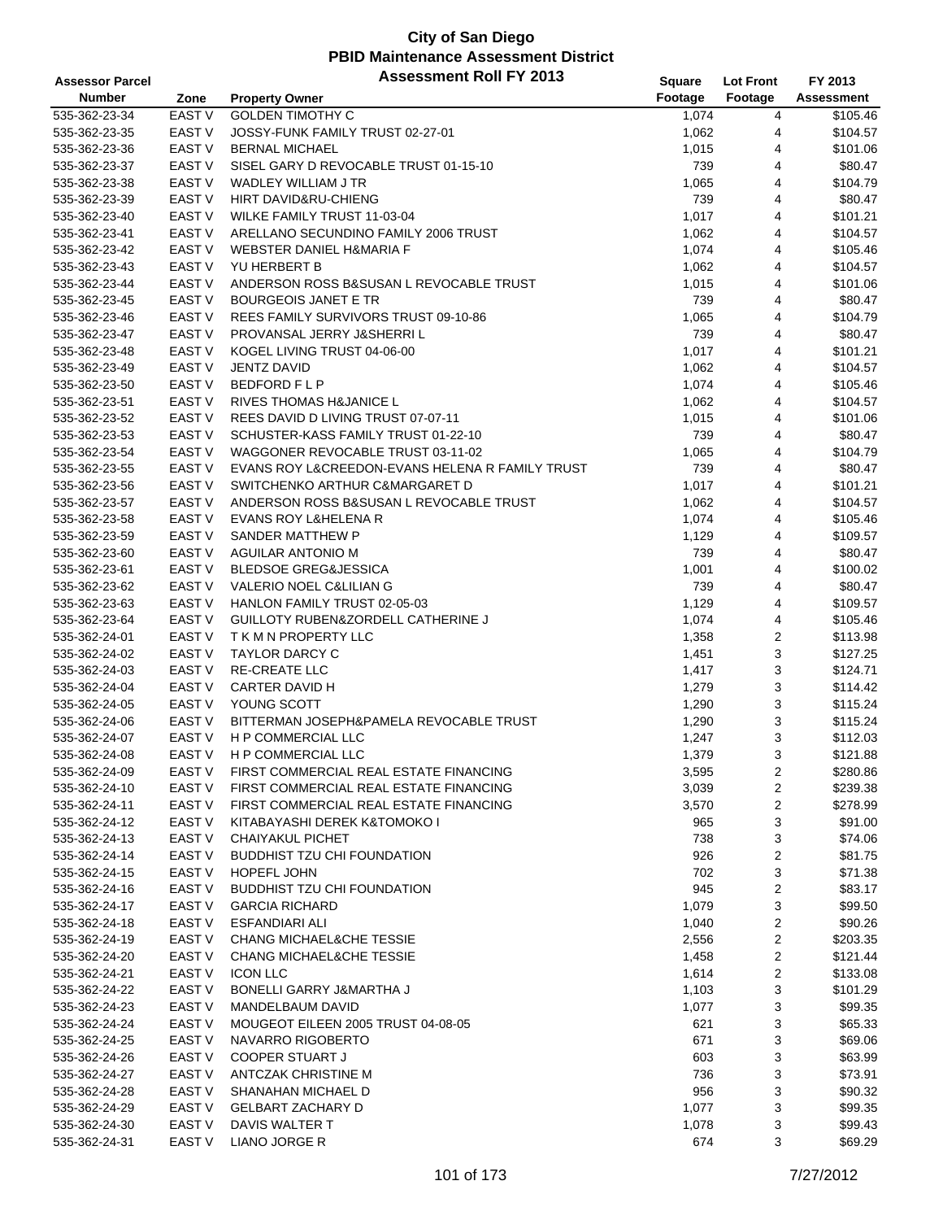| <b>Assessor Parcel</b> |                   | <b>Assessment Roll FY 2013</b>                   | <b>Square</b> | <b>Lot Front</b>        | FY 2013           |
|------------------------|-------------------|--------------------------------------------------|---------------|-------------------------|-------------------|
| <b>Number</b>          | Zone              | <b>Property Owner</b>                            | Footage       | Footage                 | <b>Assessment</b> |
| 535-362-23-34          | EAST V            | <b>GOLDEN TIMOTHY C</b>                          | 1,074         | 4                       | \$105.46          |
| 535-362-23-35          | EAST <sub>V</sub> | JOSSY-FUNK FAMILY TRUST 02-27-01                 | 1,062         | 4                       | \$104.57          |
| 535-362-23-36          | EAST <sub>V</sub> | <b>BERNAL MICHAEL</b>                            | 1,015         | 4                       | \$101.06          |
| 535-362-23-37          | <b>EAST V</b>     | SISEL GARY D REVOCABLE TRUST 01-15-10            | 739           | 4                       | \$80.47           |
| 535-362-23-38          | EAST V            | <b>WADLEY WILLIAM J TR</b>                       | 1,065         | 4                       | \$104.79          |
| 535-362-23-39          | EAST <sub>V</sub> | HIRT DAVID&RU-CHIENG                             | 739           | 4                       | \$80.47           |
| 535-362-23-40          | EAST V            | WILKE FAMILY TRUST 11-03-04                      | 1,017         | 4                       | \$101.21          |
| 535-362-23-41          | <b>EAST V</b>     | ARELLANO SECUNDINO FAMILY 2006 TRUST             | 1,062         | 4                       | \$104.57          |
| 535-362-23-42          | <b>EAST V</b>     | <b>WEBSTER DANIEL H&amp;MARIA F</b>              | 1,074         | 4                       | \$105.46          |
| 535-362-23-43          | EAST <sub>V</sub> | YU HERBERT B                                     |               | 4                       | \$104.57          |
|                        | EAST <sub>V</sub> |                                                  | 1,062         |                         |                   |
| 535-362-23-44          |                   | ANDERSON ROSS B&SUSAN L REVOCABLE TRUST          | 1,015         | 4                       | \$101.06          |
| 535-362-23-45          | EAST <sub>V</sub> | <b>BOURGEOIS JANET E TR</b>                      | 739           | 4                       | \$80.47           |
| 535-362-23-46          | EAST <sub>V</sub> | REES FAMILY SURVIVORS TRUST 09-10-86             | 1,065         | 4                       | \$104.79          |
| 535-362-23-47          | EAST <sub>V</sub> | PROVANSAL JERRY J&SHERRI L                       | 739           | $\overline{4}$          | \$80.47           |
| 535-362-23-48          | <b>EAST V</b>     | KOGEL LIVING TRUST 04-06-00                      | 1,017         | 4                       | \$101.21          |
| 535-362-23-49          | <b>EAST V</b>     | JENTZ DAVID                                      | 1,062         | 4                       | \$104.57          |
| 535-362-23-50          | EAST <sub>V</sub> | <b>BEDFORD FLP</b>                               | 1,074         | 4                       | \$105.46          |
| 535-362-23-51          | EAST V            | <b>RIVES THOMAS H&amp;JANICE L</b>               | 1,062         | 4                       | \$104.57          |
| 535-362-23-52          | EAST <sub>V</sub> | REES DAVID D LIVING TRUST 07-07-11               | 1,015         | 4                       | \$101.06          |
| 535-362-23-53          | EAST <sub>V</sub> | SCHUSTER-KASS FAMILY TRUST 01-22-10              | 739           | 4                       | \$80.47           |
| 535-362-23-54          | EAST <sub>V</sub> | WAGGONER REVOCABLE TRUST 03-11-02                | 1,065         | 4                       | \$104.79          |
| 535-362-23-55          | EAST <sub>V</sub> | EVANS ROY L& CREEDON-EVANS HELENA R FAMILY TRUST | 739           | 4                       | \$80.47           |
| 535-362-23-56          | EAST V            | SWITCHENKO ARTHUR C&MARGARET D                   | 1,017         | 4                       | \$101.21          |
| 535-362-23-57          | EAST V            | ANDERSON ROSS B&SUSAN L REVOCABLE TRUST          | 1,062         | 4                       | \$104.57          |
| 535-362-23-58          | <b>EAST V</b>     | <b>EVANS ROY L&amp;HELENA R</b>                  | 1,074         | 4                       | \$105.46          |
| 535-362-23-59          | EAST <sub>V</sub> | SANDER MATTHEW P                                 | 1,129         | 4                       | \$109.57          |
| 535-362-23-60          | EAST <sub>V</sub> | AGUILAR ANTONIO M                                | 739           | 4                       | \$80.47           |
| 535-362-23-61          | EAST <sub>V</sub> | <b>BLEDSOE GREG&amp;JESSICA</b>                  | 1,001         | 4                       | \$100.02          |
| 535-362-23-62          | EAST V            | VALERIO NOEL C&LILIAN G                          | 739           | 4                       | \$80.47           |
| 535-362-23-63          | EAST <sub>V</sub> | HANLON FAMILY TRUST 02-05-03                     | 1,129         | 4                       | \$109.57          |
| 535-362-23-64          | EAST <sub>V</sub> | <b>GUILLOTY RUBEN&amp;ZORDELL CATHERINE J</b>    | 1,074         | 4                       | \$105.46          |
| 535-362-24-01          | <b>EAST V</b>     | T K M N PROPERTY LLC                             | 1,358         | 2                       | \$113.98          |
| 535-362-24-02          | EAST <sub>V</sub> | <b>TAYLOR DARCY C</b>                            | 1,451         | 3                       | \$127.25          |
| 535-362-24-03          | EAST <sub>V</sub> | <b>RE-CREATE LLC</b>                             | 1,417         | 3                       | \$124.71          |
| 535-362-24-04          | EAST V            | CARTER DAVID H                                   | 1,279         | 3                       | \$114.42          |
| 535-362-24-05          | EAST V            | YOUNG SCOTT                                      | 1,290         | 3                       | \$115.24          |
| 535-362-24-06          | EAST V            | BITTERMAN JOSEPH&PAMELA REVOCABLE TRUST          | 1,290         | 3                       | \$115.24          |
| 535-362-24-07          | <b>EAST V</b>     | H P COMMERCIAL LLC                               | 1,247         | 3                       | \$112.03          |
| 535-362-24-08          | <b>EAST V</b>     | <b>H P COMMERCIAL LLC</b>                        | 1,379         | 3                       | \$121.88          |
| 535-362-24-09          | EAST V            | FIRST COMMERCIAL REAL ESTATE FINANCING           | 3,595         | 2                       | \$280.86          |
| 535-362-24-10          | EAST V            | FIRST COMMERCIAL REAL ESTATE FINANCING           | 3,039         |                         | \$239.38          |
|                        |                   | FIRST COMMERCIAL REAL ESTATE FINANCING           |               | 2                       |                   |
| 535-362-24-11          | EAST V            |                                                  | 3,570         | 2                       | \$278.99          |
| 535-362-24-12          | EAST V            | KITABAYASHI DEREK K&TOMOKO I                     | 965           | 3                       | \$91.00           |
| 535-362-24-13          | <b>EAST V</b>     | <b>CHAIYAKUL PICHET</b>                          | 738           | 3                       | \$74.06           |
| 535-362-24-14          | <b>EAST V</b>     | <b>BUDDHIST TZU CHI FOUNDATION</b>               | 926           | $\overline{\mathbf{c}}$ | \$81.75           |
| 535-362-24-15          | EAST V            | HOPEFL JOHN                                      | 702           | 3                       | \$71.38           |
| 535-362-24-16          | EAST V            | <b>BUDDHIST TZU CHI FOUNDATION</b>               | 945           | 2                       | \$83.17           |
| 535-362-24-17          | EAST V            | <b>GARCIA RICHARD</b>                            | 1,079         | 3                       | \$99.50           |
| 535-362-24-18          | EAST V            | ESFANDIARI ALI                                   | 1,040         | 2                       | \$90.26           |
| 535-362-24-19          | EAST V            | <b>CHANG MICHAEL&amp;CHE TESSIE</b>              | 2,556         | 2                       | \$203.35          |
| 535-362-24-20          | <b>EAST V</b>     | <b>CHANG MICHAEL&amp;CHE TESSIE</b>              | 1,458         | 2                       | \$121.44          |
| 535-362-24-21          | EAST V            | <b>ICON LLC</b>                                  | 1,614         | 2                       | \$133.08          |
| 535-362-24-22          | EAST V            | BONELLI GARRY J&MARTHA J                         | 1,103         | 3                       | \$101.29          |
| 535-362-24-23          | EAST V            | MANDELBAUM DAVID                                 | 1,077         | 3                       | \$99.35           |
| 535-362-24-24          | EAST V            | MOUGEOT EILEEN 2005 TRUST 04-08-05               | 621           | 3                       | \$65.33           |
| 535-362-24-25          | EAST V            | NAVARRO RIGOBERTO                                | 671           | 3                       | \$69.06           |
| 535-362-24-26          | EAST V            | <b>COOPER STUART J</b>                           | 603           | 3                       | \$63.99           |
| 535-362-24-27          | EAST V            | ANTCZAK CHRISTINE M                              | 736           | 3                       | \$73.91           |
| 535-362-24-28          | EAST V            | SHANAHAN MICHAEL D                               | 956           | 3                       | \$90.32           |
| 535-362-24-29          | EAST V            | <b>GELBART ZACHARY D</b>                         | 1,077         | 3                       | \$99.35           |
| 535-362-24-30          | EAST V            | DAVIS WALTER T                                   | 1,078         | 3                       | \$99.43           |
| 535-362-24-31          | EAST V            | LIANO JORGE R                                    | 674           | 3                       | \$69.29           |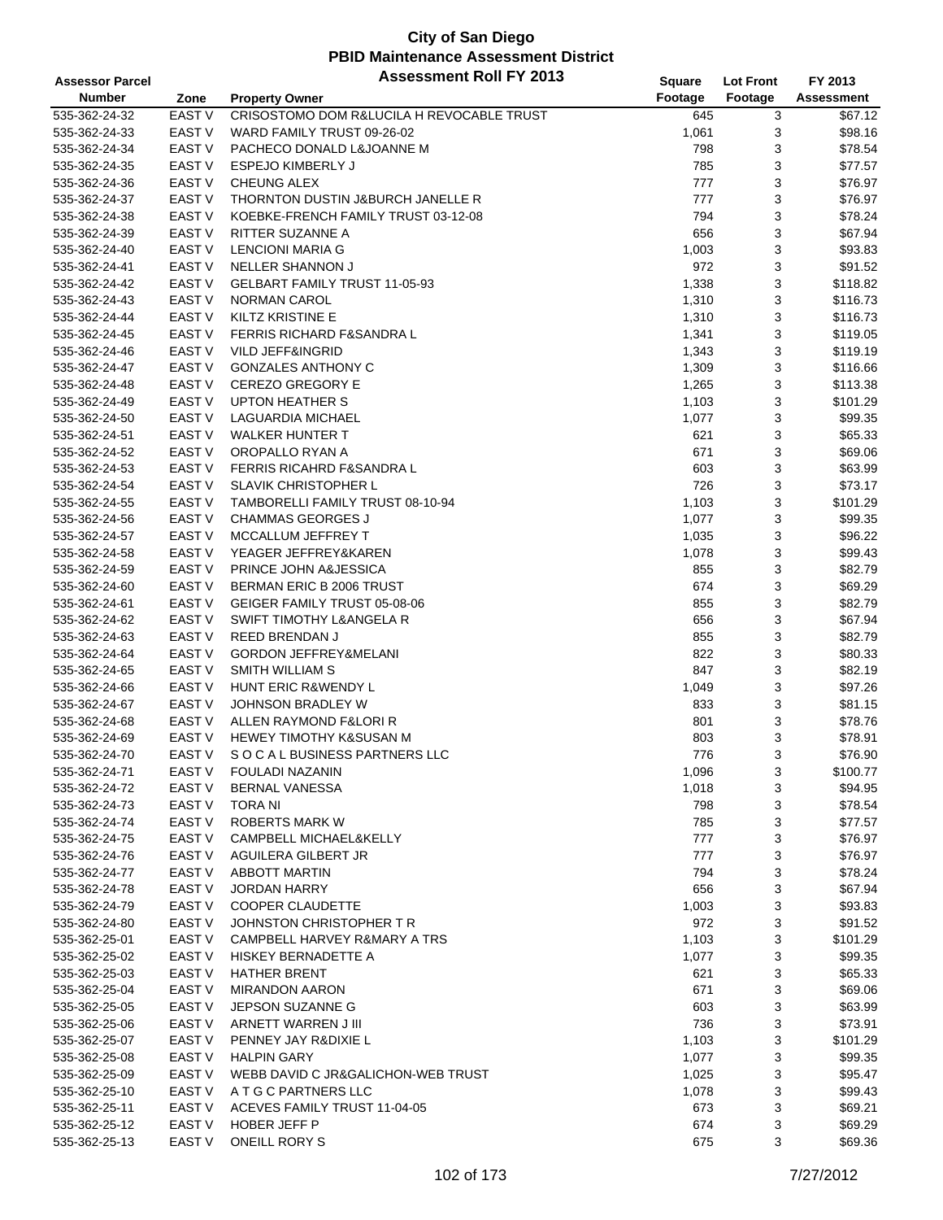| <b>Assessor Parcel</b> |                   | <b>Assessment Roll FY 2013</b>            | <b>Square</b> | <b>Lot Front</b> | FY 2013           |
|------------------------|-------------------|-------------------------------------------|---------------|------------------|-------------------|
| <b>Number</b>          | Zone              | <b>Property Owner</b>                     | Footage       | Footage          | <b>Assessment</b> |
| 535-362-24-32          | EAST <sub>V</sub> | CRISOSTOMO DOM R&LUCILA H REVOCABLE TRUST | 645           | 3                | \$67.12           |
| 535-362-24-33          | EAST <sub>V</sub> | WARD FAMILY TRUST 09-26-02                | 1,061         | 3                | \$98.16           |
| 535-362-24-34          | <b>EAST V</b>     | PACHECO DONALD L&JOANNE M                 | 798           | 3                | \$78.54           |
| 535-362-24-35          | <b>EAST V</b>     | <b>ESPEJO KIMBERLY J</b>                  | 785           | 3                | \$77.57           |
| 535-362-24-36          | EAST <sub>V</sub> | CHEUNG ALEX                               | 777           | 3                | \$76.97           |
| 535-362-24-37          | EAST <sub>V</sub> | THORNTON DUSTIN J&BURCH JANELLE R         | 777           | 3                | \$76.97           |
| 535-362-24-38          | EAST V            | KOEBKE-FRENCH FAMILY TRUST 03-12-08       | 794           | 3                | \$78.24           |
| 535-362-24-39          | <b>EAST V</b>     | <b>RITTER SUZANNE A</b>                   | 656           | 3                | \$67.94           |
| 535-362-24-40          | <b>EAST V</b>     | <b>LENCIONI MARIA G</b>                   | 1,003         | 3                | \$93.83           |
| 535-362-24-41          | <b>EAST V</b>     | <b>NELLER SHANNON J</b>                   | 972           | 3                | \$91.52           |
| 535-362-24-42          | <b>EAST V</b>     | <b>GELBART FAMILY TRUST 11-05-93</b>      | 1,338         | 3                | \$118.82          |
| 535-362-24-43          | EAST <sub>V</sub> | <b>NORMAN CAROL</b>                       | 1,310         | 3                | \$116.73          |
| 535-362-24-44          | EAST <sub>V</sub> | <b>KILTZ KRISTINE E</b>                   | 1,310         | 3                | \$116.73          |
| 535-362-24-45          | <b>EAST V</b>     | <b>FERRIS RICHARD F&amp;SANDRA L</b>      | 1,341         | 3                | \$119.05          |
| 535-362-24-46          | <b>EAST V</b>     | <b>VILD JEFF&amp;INGRID</b>               | 1,343         | 3                | \$119.19          |
| 535-362-24-47          | <b>EAST V</b>     | <b>GONZALES ANTHONY C</b>                 | 1,309         | 3                | \$116.66          |
| 535-362-24-48          | <b>EAST V</b>     | <b>CEREZO GREGORY E</b>                   | 1,265         | 3                | \$113.38          |
| 535-362-24-49          | EAST <sub>V</sub> | <b>UPTON HEATHER S</b>                    | 1,103         | 3                | \$101.29          |
| 535-362-24-50          | EAST <sub>V</sub> | <b>LAGUARDIA MICHAEL</b>                  | 1,077         | 3                | \$99.35           |
| 535-362-24-51          | <b>EAST V</b>     | <b>WALKER HUNTER T</b>                    | 621           | 3                | \$65.33           |
| 535-362-24-52          | <b>EAST V</b>     | OROPALLO RYAN A                           | 671           | 3                | \$69.06           |
| 535-362-24-53          | EAST <sub>V</sub> | <b>FERRIS RICAHRD F&amp;SANDRA L</b>      | 603           | 3                | \$63.99           |
|                        | EAST <sub>V</sub> | <b>SLAVIK CHRISTOPHER L</b>               | 726           |                  |                   |
| 535-362-24-54          |                   |                                           |               | 3                | \$73.17           |
| 535-362-24-55          | <b>EAST V</b>     | TAMBORELLI FAMILY TRUST 08-10-94          | 1,103         | 3                | \$101.29          |
| 535-362-24-56          | EAST <sub>V</sub> | <b>CHAMMAS GEORGES J</b>                  | 1,077         | 3                | \$99.35           |
| 535-362-24-57          | <b>EAST V</b>     | MCCALLUM JEFFREY T                        | 1,035         | 3                | \$96.22           |
| 535-362-24-58          | <b>EAST V</b>     | YEAGER JEFFREY&KAREN                      | 1,078         | 3                | \$99.43           |
| 535-362-24-59          | <b>EAST V</b>     | PRINCE JOHN A&JESSICA                     | 855           | 3                | \$82.79           |
| 535-362-24-60          | EAST V            | BERMAN ERIC B 2006 TRUST                  | 674           | 3                | \$69.29           |
| 535-362-24-61          | EAST <sub>V</sub> | GEIGER FAMILY TRUST 05-08-06              | 855           | 3                | \$82.79           |
| 535-362-24-62          | <b>EAST V</b>     | <b>SWIFT TIMOTHY L&amp;ANGELA R</b>       | 656           | 3                | \$67.94           |
| 535-362-24-63          | <b>EAST V</b>     | <b>REED BRENDAN J</b>                     | 855           | 3                | \$82.79           |
| 535-362-24-64          | EAST <sub>V</sub> | <b>GORDON JEFFREY&amp;MELANI</b>          | 822           | 3                | \$80.33           |
| 535-362-24-65          | EAST <sub>V</sub> | <b>SMITH WILLIAM S</b>                    | 847           | 3                | \$82.19           |
| 535-362-24-66          | EAST <sub>V</sub> | HUNT ERIC R&WENDY L                       | 1,049         | 3                | \$97.26           |
| 535-362-24-67          | <b>EAST V</b>     | <b>JOHNSON BRADLEY W</b>                  | 833           | 3                | \$81.15           |
| 535-362-24-68          | <b>EAST V</b>     | ALLEN RAYMOND F&LORI R                    | 801           | 3                | \$78.76           |
| 535-362-24-69          | EAST V            | HEWEY TIMOTHY K&SUSAN M                   | 803           | 3                | \$78.91           |
| 535-362-24-70          | <b>EAST V</b>     | SOCAL BUSINESS PARTNERS LLC               | 776           | 3                | \$76.90           |
| 535-362-24-71          | EAST V            | <b>FOULADI NAZANIN</b>                    | 1,096         | 3                | \$100.77          |
| 535-362-24-72          | EAST <sub>V</sub> | BERNAL VANESSA                            | 1,018         | 3                | \$94.95           |
| 535-362-24-73          | <b>EAST V</b>     | TORA NI                                   | 798           | 3                | \$78.54           |
| 535-362-24-74          | EAST V            | <b>ROBERTS MARK W</b>                     | 785           | 3                | \$77.57           |
| 535-362-24-75          | <b>EAST V</b>     | <b>CAMPBELL MICHAEL&amp;KELLY</b>         | 777           | 3                | \$76.97           |
| 535-362-24-76          | EAST V            | AGUILERA GILBERT JR                       | 777           | 3                | \$76.97           |
| 535-362-24-77          | EAST V            | <b>ABBOTT MARTIN</b>                      | 794           | 3                | \$78.24           |
| 535-362-24-78          | EAST V            | <b>JORDAN HARRY</b>                       | 656           | 3                | \$67.94           |
| 535-362-24-79          | EAST V            | <b>COOPER CLAUDETTE</b>                   | 1,003         | 3                | \$93.83           |
| 535-362-24-80          | EAST <sub>V</sub> | JOHNSTON CHRISTOPHER T R                  | 972           | 3                | \$91.52           |
| 535-362-25-01          | <b>EAST V</b>     | CAMPBELL HARVEY R&MARY A TRS              | 1,103         | 3                | \$101.29          |
| 535-362-25-02          | <b>EAST V</b>     | HISKEY BERNADETTE A                       | 1,077         | 3                | \$99.35           |
| 535-362-25-03          | EAST V            | <b>HATHER BRENT</b>                       | 621           | 3                | \$65.33           |
| 535-362-25-04          | EAST V            | <b>MIRANDON AARON</b>                     | 671           | 3                | \$69.06           |
| 535-362-25-05          | EAST V            | JEPSON SUZANNE G                          | 603           | 3                | \$63.99           |
| 535-362-25-06          | EAST V            | ARNETT WARREN J III                       | 736           | 3                | \$73.91           |
| 535-362-25-07          | EAST V            | PENNEY JAY R&DIXIE L                      | 1,103         | 3                | \$101.29          |
| 535-362-25-08          | EAST V            | <b>HALPIN GARY</b>                        | 1,077         | 3                | \$99.35           |
| 535-362-25-09          | EAST V            | WEBB DAVID C JR&GALICHON-WEB TRUST        | 1,025         | 3                | \$95.47           |
| 535-362-25-10          | EAST <sub>V</sub> | A T G C PARTNERS LLC                      | 1,078         | 3                | \$99.43           |
| 535-362-25-11          | EAST <sub>V</sub> | ACEVES FAMILY TRUST 11-04-05              | 673           | 3                | \$69.21           |
| 535-362-25-12          | EAST V            | HOBER JEFF P                              | 674           | 3                | \$69.29           |
| 535-362-25-13          | EAST V            | <b>ONEILL RORY S</b>                      | 675           | 3                | \$69.36           |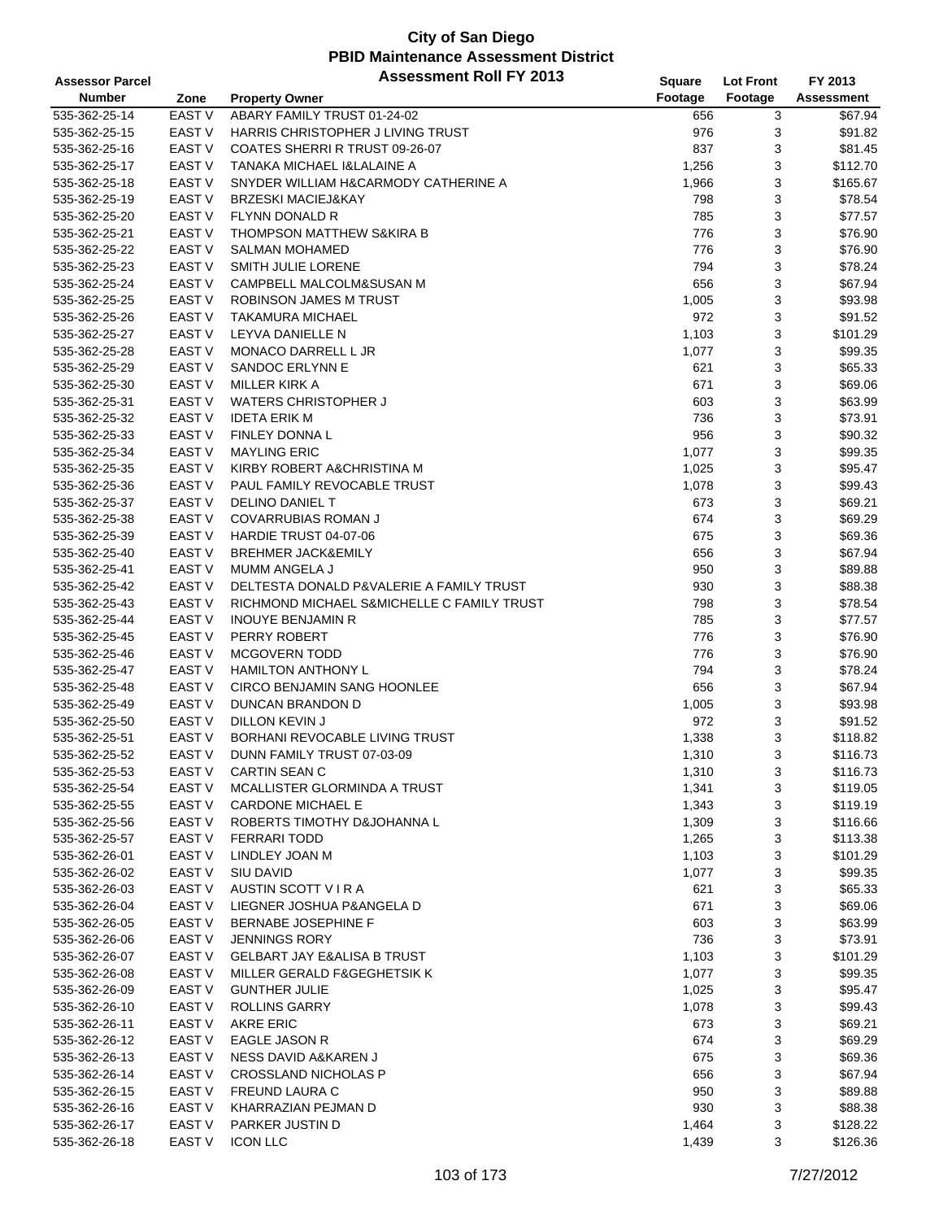| <b>Assessor Parcel</b> |                   | <b>Assessment Roll FY 2013</b>             | Square  | <b>Lot Front</b> | FY 2013           |
|------------------------|-------------------|--------------------------------------------|---------|------------------|-------------------|
| <b>Number</b>          | Zone              | <b>Property Owner</b>                      | Footage | Footage          | <b>Assessment</b> |
| 535-362-25-14          | <b>EAST V</b>     | ABARY FAMILY TRUST 01-24-02                | 656     | 3                | \$67.94           |
| 535-362-25-15          | EAST V            | HARRIS CHRISTOPHER J LIVING TRUST          | 976     | 3                | \$91.82           |
| 535-362-25-16          | <b>EAST V</b>     | COATES SHERRI R TRUST 09-26-07             | 837     | 3                | \$81.45           |
| 535-362-25-17          | <b>EAST V</b>     | TANAKA MICHAEL I&LALAINE A                 | 1,256   | 3                | \$112.70          |
| 535-362-25-18          | EAST <sub>V</sub> | SNYDER WILLIAM H&CARMODY CATHERINE A       | 1,966   | 3                | \$165.67          |
| 535-362-25-19          | <b>EAST V</b>     | <b>BRZESKI MACIEJ&amp;KAY</b>              | 798     | 3                | \$78.54           |
| 535-362-25-20          | <b>EAST V</b>     | FLYNN DONALD R                             | 785     | 3                | \$77.57           |
| 535-362-25-21          | EAST V            | THOMPSON MATTHEW S&KIRA B                  | 776     | 3                | \$76.90           |
| 535-362-25-22          | <b>EAST V</b>     | <b>SALMAN MOHAMED</b>                      | 776     | 3                | \$76.90           |
| 535-362-25-23          | <b>EAST V</b>     | SMITH JULIE LORENE                         | 794     | 3                | \$78.24           |
| 535-362-25-24          | EAST <sub>V</sub> | CAMPBELL MALCOLM&SUSAN M                   | 656     | 3                | \$67.94           |
| 535-362-25-25          | EAST <sub>V</sub> | ROBINSON JAMES M TRUST                     | 1,005   | 3                | \$93.98           |
| 535-362-25-26          | EAST <sub>V</sub> | <b>TAKAMURA MICHAEL</b>                    | 972     | 3                | \$91.52           |
| 535-362-25-27          | <b>EAST V</b>     | LEYVA DANIELLE N                           | 1,103   | 3                | \$101.29          |
| 535-362-25-28          | <b>EAST V</b>     | MONACO DARRELL L JR                        | 1,077   | 3                | \$99.35           |
| 535-362-25-29          | <b>EAST V</b>     | SANDOC ERLYNN E                            | 621     | 3                | \$65.33           |
| 535-362-25-30          | <b>EAST V</b>     | MILLER KIRK A                              | 671     | 3                | \$69.06           |
| 535-362-25-31          | EAST V            | <b>WATERS CHRISTOPHER J</b>                | 603     | 3                | \$63.99           |
| 535-362-25-32          | <b>EAST V</b>     | <b>IDETA ERIK M</b>                        | 736     | 3                | \$73.91           |
| 535-362-25-33          | <b>EAST V</b>     | <b>FINLEY DONNA L</b>                      | 956     | 3                | \$90.32           |
| 535-362-25-34          | <b>EAST V</b>     | <b>MAYLING ERIC</b>                        | 1,077   | 3                | \$99.35           |
|                        | <b>EAST V</b>     |                                            |         |                  |                   |
| 535-362-25-35          | EAST <sub>V</sub> | KIRBY ROBERT A&CHRISTINA M                 | 1,025   | 3                | \$95.47           |
| 535-362-25-36          |                   | PAUL FAMILY REVOCABLE TRUST                | 1,078   | 3                | \$99.43           |
| 535-362-25-37          | EAST V            | DELINO DANIEL T                            | 673     | 3                | \$69.21           |
| 535-362-25-38          | <b>EAST V</b>     | <b>COVARRUBIAS ROMAN J</b>                 | 674     | 3                | \$69.29           |
| 535-362-25-39          | <b>EAST V</b>     | HARDIE TRUST 04-07-06                      | 675     | 3                | \$69.36           |
| 535-362-25-40          | <b>EAST V</b>     | <b>BREHMER JACK&amp;EMILY</b>              | 656     | 3                | \$67.94           |
| 535-362-25-41          | <b>EAST V</b>     | MUMM ANGELA J                              | 950     | 3                | \$89.88           |
| 535-362-25-42          | EAST <sub>V</sub> | DELTESTA DONALD P&VALERIE A FAMILY TRUST   | 930     | 3                | \$88.38           |
| 535-362-25-43          | <b>EAST V</b>     | RICHMOND MICHAEL S&MICHELLE C FAMILY TRUST | 798     | 3                | \$78.54           |
| 535-362-25-44          | <b>EAST V</b>     | <b>INOUYE BENJAMIN R</b>                   | 785     | 3                | \$77.57           |
| 535-362-25-45          | <b>EAST V</b>     | PERRY ROBERT                               | 776     | 3                | \$76.90           |
| 535-362-25-46          | <b>EAST V</b>     | <b>MCGOVERN TODD</b>                       | 776     | 3                | \$76.90           |
| 535-362-25-47          | <b>EAST V</b>     | <b>HAMILTON ANTHONY L</b>                  | 794     | 3                | \$78.24           |
| 535-362-25-48          | <b>EAST V</b>     | <b>CIRCO BENJAMIN SANG HOONLEE</b>         | 656     | 3                | \$67.94           |
| 535-362-25-49          | EAST <sub>V</sub> | <b>DUNCAN BRANDON D</b>                    | 1,005   | 3                | \$93.98           |
| 535-362-25-50          | <b>EAST V</b>     | DILLON KEVIN J                             | 972     | 3                | \$91.52           |
| 535-362-25-51          | <b>EAST V</b>     | BORHANI REVOCABLE LIVING TRUST             | 1,338   | 3                | \$118.82          |
| 535-362-25-52          | <b>EAST V</b>     | DUNN FAMILY TRUST 07-03-09                 | 1,310   | 3                | \$116.73          |
| 535-362-25-53          | EAST V            | <b>CARTIN SEAN C</b>                       | 1,310   | 3                | \$116.73          |
| 535-362-25-54          | EAST V            | MCALLISTER GLORMINDA A TRUST               | 1,341   | 3                | \$119.05          |
| 535-362-25-55          | <b>EAST V</b>     | <b>CARDONE MICHAEL E</b>                   | 1,343   | 3                | \$119.19          |
| 535-362-25-56          | <b>EAST V</b>     | ROBERTS TIMOTHY D&JOHANNA L                | 1,309   | 3                | \$116.66          |
| 535-362-25-57          | EAST V            | <b>FERRARI TODD</b>                        | 1,265   | 3                | \$113.38          |
| 535-362-26-01          | EAST V            | LINDLEY JOAN M                             | 1,103   | 3                | \$101.29          |
| 535-362-26-02          | EAST V            | <b>SIU DAVID</b>                           | 1,077   | 3                | \$99.35           |
| 535-362-26-03          | EAST V            | AUSTIN SCOTT V I R A                       | 621     | 3                | \$65.33           |
| 535-362-26-04          | EAST <sub>V</sub> | LIEGNER JOSHUA P&ANGELA D                  | 671     | 3                | \$69.06           |
| 535-362-26-05          | EAST V            | BERNABE JOSEPHINE F                        | 603     | 3                | \$63.99           |
| 535-362-26-06          | EAST V            | <b>JENNINGS RORY</b>                       | 736     | 3                | \$73.91           |
| 535-362-26-07          | EAST V            | <b>GELBART JAY E&amp;ALISA B TRUST</b>     | 1,103   | 3                | \$101.29          |
| 535-362-26-08          | EAST V            | MILLER GERALD F&GEGHETSIK K                | 1,077   | 3                | \$99.35           |
| 535-362-26-09          | EAST V            | <b>GUNTHER JULIE</b>                       | 1,025   | 3                | \$95.47           |
| 535-362-26-10          | <b>EAST V</b>     | ROLLINS GARRY                              | 1,078   | 3                | \$99.43           |
| 535-362-26-11          | EAST V            | <b>AKRE ERIC</b>                           | 673     | 3                | \$69.21           |
| 535-362-26-12          | EAST V            | EAGLE JASON R                              | 674     | 3                | \$69.29           |
| 535-362-26-13          | EAST V            | NESS DAVID A&KAREN J                       | 675     | 3                | \$69.36           |
| 535-362-26-14          | EAST V            | <b>CROSSLAND NICHOLAS P</b>                | 656     | 3                | \$67.94           |
| 535-362-26-15          | EAST <sub>V</sub> | FREUND LAURA C                             | 950     | 3                | \$89.88           |
| 535-362-26-16          | EAST <sub>V</sub> | KHARRAZIAN PEJMAN D                        | 930     | 3                | \$88.38           |
| 535-362-26-17          | EAST <sub>V</sub> | PARKER JUSTIN D                            | 1,464   | 3                | \$128.22          |
| 535-362-26-18          | EAST <sub>V</sub> | <b>ICON LLC</b>                            | 1,439   | 3                | \$126.36          |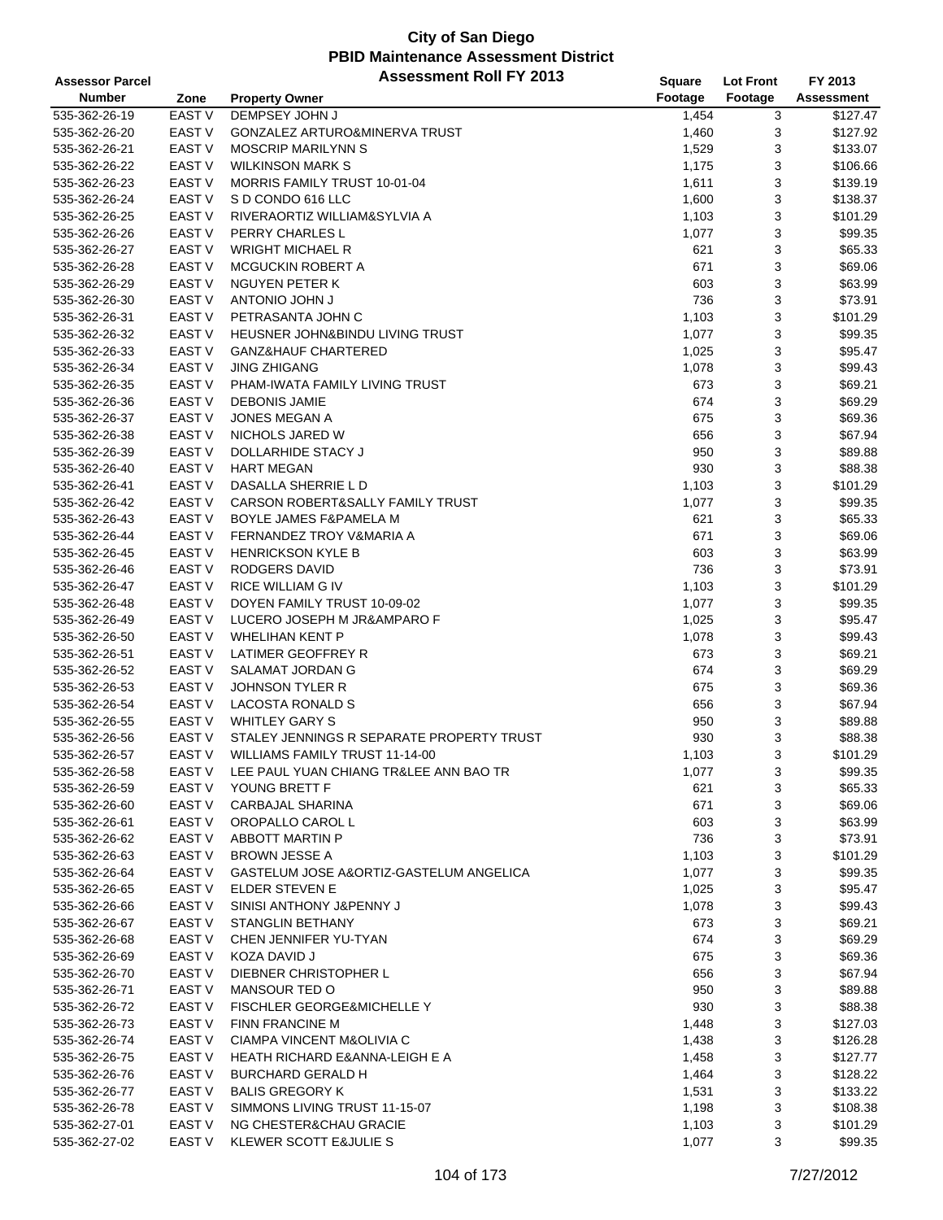| <b>Assessor Parcel</b> |                   | <b>Assessment Roll FY 2013</b>            | <b>Square</b> | <b>Lot Front</b> | FY 2013           |
|------------------------|-------------------|-------------------------------------------|---------------|------------------|-------------------|
| <b>Number</b>          | Zone              | <b>Property Owner</b>                     | Footage       | Footage          | <b>Assessment</b> |
| 535-362-26-19          | <b>EAST V</b>     | DEMPSEY JOHN J                            | 1,454         | 3                | \$127.47          |
| 535-362-26-20          | <b>EAST V</b>     | GONZALEZ ARTURO&MINERVA TRUST             | 1,460         | 3                | \$127.92          |
| 535-362-26-21          | <b>EAST V</b>     | <b>MOSCRIP MARILYNN S</b>                 | 1,529         | 3                | \$133.07          |
| 535-362-26-22          | <b>EAST V</b>     | <b>WILKINSON MARK S</b>                   | 1,175         | 3                | \$106.66          |
| 535-362-26-23          | <b>EAST V</b>     | <b>MORRIS FAMILY TRUST 10-01-04</b>       | 1,611         | 3                | \$139.19          |
| 535-362-26-24          | <b>EAST V</b>     | S D CONDO 616 LLC                         | 1,600         | 3                | \$138.37          |
| 535-362-26-25          | <b>EAST V</b>     | RIVERAORTIZ WILLIAM&SYLVIA A              | 1,103         | 3                | \$101.29          |
| 535-362-26-26          | <b>EAST V</b>     | PERRY CHARLES L                           | 1,077         | 3                | \$99.35           |
| 535-362-26-27          | <b>EAST V</b>     | <b>WRIGHT MICHAEL R</b>                   | 621           | 3                | \$65.33           |
| 535-362-26-28          | <b>EAST V</b>     | MCGUCKIN ROBERT A                         | 671           | 3                | \$69.06           |
| 535-362-26-29          | <b>EAST V</b>     | <b>NGUYEN PETER K</b>                     | 603           | 3                | \$63.99           |
| 535-362-26-30          | <b>EAST V</b>     | <b>L MHOL OIMOTMA</b>                     | 736           | 3                | \$73.91           |
| 535-362-26-31          | <b>EAST V</b>     | PETRASANTA JOHN C                         | 1,103         | 3                | \$101.29          |
| 535-362-26-32          | <b>EAST V</b>     | HEUSNER JOHN&BINDU LIVING TRUST           | 1,077         | 3                | \$99.35           |
| 535-362-26-33          | <b>EAST V</b>     | <b>GANZ&amp;HAUF CHARTERED</b>            | 1,025         | 3                | \$95.47           |
| 535-362-26-34          | <b>EAST V</b>     | <b>JING ZHIGANG</b>                       | 1,078         | 3                | \$99.43           |
| 535-362-26-35          | <b>EAST V</b>     | PHAM-IWATA FAMILY LIVING TRUST            | 673           | 3                | \$69.21           |
| 535-362-26-36          | <b>EAST V</b>     | <b>DEBONIS JAMIE</b>                      | 674           | 3                | \$69.29           |
| 535-362-26-37          | <b>EAST V</b>     | <b>JONES MEGAN A</b>                      | 675           | 3                | \$69.36           |
| 535-362-26-38          | <b>EAST V</b>     | NICHOLS JARED W                           | 656           | 3                | \$67.94           |
|                        |                   |                                           |               |                  |                   |
| 535-362-26-39          | <b>EAST V</b>     | DOLLARHIDE STACY J                        | 950           | 3                | \$89.88           |
| 535-362-26-40          | <b>EAST V</b>     | <b>HART MEGAN</b>                         | 930           | 3                | \$88.38           |
| 535-362-26-41          | <b>EAST V</b>     | DASALLA SHERRIE L D                       | 1,103         | 3                | \$101.29          |
| 535-362-26-42          | <b>EAST V</b>     | CARSON ROBERT&SALLY FAMILY TRUST          | 1,077         | 3                | \$99.35           |
| 535-362-26-43          | <b>EAST V</b>     | <b>BOYLE JAMES F&amp;PAMELA M</b>         | 621           | 3                | \$65.33           |
| 535-362-26-44          | <b>EAST V</b>     | FERNANDEZ TROY V&MARIA A                  | 671           | 3                | \$69.06           |
| 535-362-26-45          | <b>EAST V</b>     | <b>HENRICKSON KYLE B</b>                  | 603           | 3                | \$63.99           |
| 535-362-26-46          | <b>EAST V</b>     | RODGERS DAVID                             | 736           | 3                | \$73.91           |
| 535-362-26-47          | <b>EAST V</b>     | RICE WILLIAM G IV                         | 1,103         | 3                | \$101.29          |
| 535-362-26-48          | <b>EAST V</b>     | DOYEN FAMILY TRUST 10-09-02               | 1,077         | 3                | \$99.35           |
| 535-362-26-49          | <b>EAST V</b>     | LUCERO JOSEPH M JR&AMPARO F               | 1,025         | 3                | \$95.47           |
| 535-362-26-50          | <b>EAST V</b>     | <b>WHELIHAN KENT P</b>                    | 1,078         | 3                | \$99.43           |
| 535-362-26-51          | <b>EAST V</b>     | LATIMER GEOFFREY R                        | 673           | 3                | \$69.21           |
| 535-362-26-52          | <b>EAST V</b>     | <b>SALAMAT JORDAN G</b>                   | 674           | 3                | \$69.29           |
| 535-362-26-53          | <b>EAST V</b>     | <b>JOHNSON TYLER R</b>                    | 675           | 3                | \$69.36           |
| 535-362-26-54          | <b>EAST V</b>     | LACOSTA RONALD S                          | 656           | 3                | \$67.94           |
| 535-362-26-55          | <b>EAST V</b>     | <b>WHITLEY GARY S</b>                     | 950           | 3                | \$89.88           |
| 535-362-26-56          | EAST <sub>V</sub> | STALEY JENNINGS R SEPARATE PROPERTY TRUST | 930           | 3                | \$88.38           |
| 535-362-26-57          | <b>EAST V</b>     | <b>WILLIAMS FAMILY TRUST 11-14-00</b>     | 1,103         | 3                | \$101.29          |
| 535-362-26-58          | EAST V            | LEE PAUL YUAN CHIANG TR&LEE ANN BAO TR    | 1,077         | 3                | \$99.35           |
| 535-362-26-59          | EAST V            | YOUNG BRETT F                             | 621           | 3                | \$65.33           |
| 535-362-26-60          | EAST V            | <b>CARBAJAL SHARINA</b>                   | 671           | 3                | \$69.06           |
| 535-362-26-61          | EAST V            | OROPALLO CAROL L                          | 603           | 3                | \$63.99           |
| 535-362-26-62          | EAST V            | ABBOTT MARTIN P                           | 736           | 3                | \$73.91           |
| 535-362-26-63          | EAST V            | <b>BROWN JESSE A</b>                      | 1,103         | 3                | \$101.29          |
| 535-362-26-64          | EAST V            | GASTELUM JOSE A&ORTIZ-GASTELUM ANGELICA   | 1,077         | 3                | \$99.35           |
| 535-362-26-65          | EAST V            | ELDER STEVEN E                            | 1,025         | 3                | \$95.47           |
| 535-362-26-66          | EAST V            | SINISI ANTHONY J&PENNY J                  | 1,078         | 3                | \$99.43           |
| 535-362-26-67          | EAST V            | <b>STANGLIN BETHANY</b>                   | 673           | 3                | \$69.21           |
| 535-362-26-68          | EAST V            | CHEN JENNIFER YU-TYAN                     | 674           | 3                | \$69.29           |
| 535-362-26-69          | EAST V            | KOZA DAVID J                              | 675           | 3                | \$69.36           |
| 535-362-26-70          | EAST V            | DIEBNER CHRISTOPHER L                     | 656           | 3                | \$67.94           |
| 535-362-26-71          | EAST <sub>V</sub> | MANSOUR TED O                             | 950           | 3                | \$89.88           |
| 535-362-26-72          | EAST <sub>V</sub> | <b>FISCHLER GEORGE&amp;MICHELLE Y</b>     | 930           | 3                | \$88.38           |
| 535-362-26-73          | EAST V            | <b>FINN FRANCINE M</b>                    | 1,448         | 3                | \$127.03          |
| 535-362-26-74          | EAST V            | CIAMPA VINCENT M&OLIVIA C                 | 1,438         | 3                | \$126.28          |
| 535-362-26-75          | EAST V            | HEATH RICHARD E&ANNA-LEIGH E A            | 1,458         | 3                | \$127.77          |
| 535-362-26-76          | EAST V            | <b>BURCHARD GERALD H</b>                  | 1,464         | 3                | \$128.22          |
| 535-362-26-77          | EAST <sub>V</sub> | BALIS GREGORY K                           | 1,531         | 3                | \$133.22          |
| 535-362-26-78          | EAST <sub>V</sub> | SIMMONS LIVING TRUST 11-15-07             | 1,198         | 3                | \$108.38          |
| 535-362-27-01          | EAST <sub>V</sub> | NG CHESTER&CHAU GRACIE                    | 1,103         | 3                | \$101.29          |
| 535-362-27-02          | EAST <sub>V</sub> | KLEWER SCOTT E&JULIE S                    | 1,077         | 3                | \$99.35           |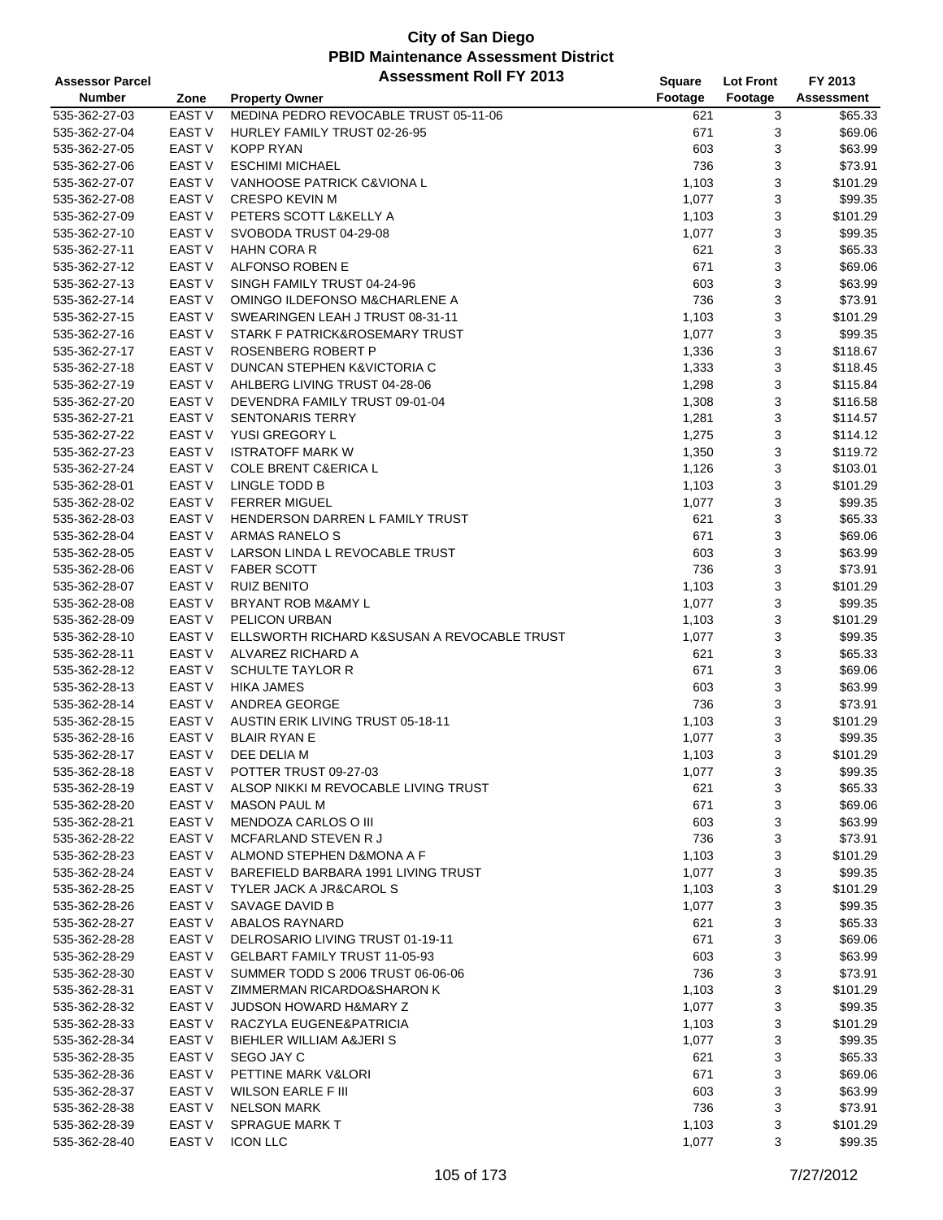| <b>Assessor Parcel</b> |                   | <b>Assessment Roll FY 2013</b>                   | <b>Square</b> | <b>Lot Front</b> | FY 2013    |
|------------------------|-------------------|--------------------------------------------------|---------------|------------------|------------|
| Number                 | Zone              | <b>Property Owner</b>                            | Footage       | Footage          | Assessment |
| 535-362-27-03          | EAST <sub>V</sub> | MEDINA PEDRO REVOCABLE TRUST 05-11-06            | 621           | 3                | \$65.33    |
| 535-362-27-04          | <b>EAST V</b>     | HURLEY FAMILY TRUST 02-26-95                     | 671           | 3                | \$69.06    |
| 535-362-27-05          | <b>EAST V</b>     | <b>KOPP RYAN</b>                                 | 603           | 3                | \$63.99    |
| 535-362-27-06          | <b>EAST V</b>     | <b>ESCHIMI MICHAEL</b>                           | 736           | 3                | \$73.91    |
| 535-362-27-07          | <b>EAST V</b>     | VANHOOSE PATRICK C&VIONA L                       | 1,103         | 3                | \$101.29   |
| 535-362-27-08          | <b>EAST V</b>     | <b>CRESPO KEVIN M</b>                            | 1,077         | 3                | \$99.35    |
| 535-362-27-09          | <b>EAST V</b>     | PETERS SCOTT L&KELLY A                           | 1,103         | 3                | \$101.29   |
| 535-362-27-10          | <b>EAST V</b>     | SVOBODA TRUST 04-29-08                           | 1,077         | 3                | \$99.35    |
| 535-362-27-11          | <b>EAST V</b>     | <b>HAHN CORA R</b>                               | 621           | 3                | \$65.33    |
| 535-362-27-12          | <b>EAST V</b>     | ALFONSO ROBEN E                                  | 671           | 3                | \$69.06    |
| 535-362-27-13          | <b>EAST V</b>     | SINGH FAMILY TRUST 04-24-96                      | 603           | 3                | \$63.99    |
| 535-362-27-14          | EAST <sub>V</sub> | OMINGO ILDEFONSO M&CHARLENE A                    | 736           | 3                | \$73.91    |
| 535-362-27-15          | EAST <sub>V</sub> | SWEARINGEN LEAH J TRUST 08-31-11                 | 1,103         | 3                | \$101.29   |
| 535-362-27-16          | <b>EAST V</b>     | STARK F PATRICK&ROSEMARY TRUST                   | 1,077         | 3                | \$99.35    |
| 535-362-27-17          | <b>EAST V</b>     | ROSENBERG ROBERT P                               | 1,336         | 3                | \$118.67   |
| 535-362-27-18          | <b>EAST V</b>     | DUNCAN STEPHEN K&VICTORIA C                      | 1,333         | 3                | \$118.45   |
| 535-362-27-19          | <b>EAST V</b>     | AHLBERG LIVING TRUST 04-28-06                    | 1,298         | 3                | \$115.84   |
| 535-362-27-20          | <b>EAST V</b>     | DEVENDRA FAMILY TRUST 09-01-04                   | 1,308         | 3                | \$116.58   |
| 535-362-27-21          | <b>EAST V</b>     | <b>SENTONARIS TERRY</b>                          | 1,281         | 3                | \$114.57   |
| 535-362-27-22          | <b>EAST V</b>     | YUSI GREGORY L                                   | 1,275         | 3                | \$114.12   |
| 535-362-27-23          | <b>EAST V</b>     | <b>ISTRATOFF MARK W</b>                          |               | 3                | \$119.72   |
|                        | <b>EAST V</b>     |                                                  | 1,350         |                  |            |
| 535-362-27-24          | <b>EAST V</b>     | <b>COLE BRENT C&amp;ERICA L</b><br>LINGLE TODD B | 1,126         | 3                | \$103.01   |
| 535-362-28-01          |                   |                                                  | 1,103         | 3                | \$101.29   |
| 535-362-28-02          | <b>EAST V</b>     | <b>FERRER MIGUEL</b>                             | 1,077         | 3                | \$99.35    |
| 535-362-28-03          | <b>EAST V</b>     | HENDERSON DARREN L FAMILY TRUST                  | 621           | 3                | \$65.33    |
| 535-362-28-04          | <b>EAST V</b>     | <b>ARMAS RANELO S</b>                            | 671           | 3                | \$69.06    |
| 535-362-28-05          | <b>EAST V</b>     | LARSON LINDA L REVOCABLE TRUST                   | 603           | 3                | \$63.99    |
| 535-362-28-06          | <b>EAST V</b>     | <b>FABER SCOTT</b>                               | 736           | 3                | \$73.91    |
| 535-362-28-07          | <b>EAST V</b>     | <b>RUIZ BENITO</b>                               | 1,103         | 3                | \$101.29   |
| 535-362-28-08          | <b>EAST V</b>     | BRYANT ROB M&AMY L                               | 1,077         | 3                | \$99.35    |
| 535-362-28-09          | <b>EAST V</b>     | PELICON URBAN                                    | 1,103         | 3                | \$101.29   |
| 535-362-28-10          | <b>EAST V</b>     | ELLSWORTH RICHARD K&SUSAN A REVOCABLE TRUST      | 1,077         | 3                | \$99.35    |
| 535-362-28-11          | <b>EAST V</b>     | ALVAREZ RICHARD A                                | 621           | 3                | \$65.33    |
| 535-362-28-12          | <b>EAST V</b>     | <b>SCHULTE TAYLOR R</b>                          | 671           | 3                | \$69.06    |
| 535-362-28-13          | <b>EAST V</b>     | <b>HIKA JAMES</b>                                | 603           | 3                | \$63.99    |
| 535-362-28-14          | <b>EAST V</b>     | ANDREA GEORGE                                    | 736           | 3                | \$73.91    |
| 535-362-28-15          | <b>EAST V</b>     | <b>AUSTIN ERIK LIVING TRUST 05-18-11</b>         | 1,103         | 3                | \$101.29   |
| 535-362-28-16          | <b>EAST V</b>     | <b>BLAIR RYAN E</b>                              | 1,077         | 3                | \$99.35    |
| 535-362-28-17          | <b>EAST V</b>     | DEE DELIA M                                      | 1,103         | 3                | \$101.29   |
| 535-362-28-18          | <b>EAST V</b>     | POTTER TRUST 09-27-03                            | 1,077         | 3                | \$99.35    |
| 535-362-28-19          | EAST V            | ALSOP NIKKI M REVOCABLE LIVING TRUST             | 621           | 3                | \$65.33    |
| 535-362-28-20          | <b>EAST V</b>     | <b>MASON PAUL M</b>                              | 671           | 3                | \$69.06    |
| 535-362-28-21          | <b>EAST V</b>     | MENDOZA CARLOS O III                             | 603           | 3                | \$63.99    |
| 535-362-28-22          | EAST V            | MCFARLAND STEVEN R J                             | 736           | 3                | \$73.91    |
| 535-362-28-23          | EAST V            | ALMOND STEPHEN D&MONA A F                        | 1,103         | 3                | \$101.29   |
| 535-362-28-24          | EAST V            | BAREFIELD BARBARA 1991 LIVING TRUST              | 1,077         | 3                | \$99.35    |
| 535-362-28-25          | EAST V            | <b>TYLER JACK A JR&amp;CAROL S</b>               | 1,103         | 3                | \$101.29   |
| 535-362-28-26          | EAST V            | SAVAGE DAVID B                                   | 1,077         | 3                | \$99.35    |
| 535-362-28-27          | EAST V            | ABALOS RAYNARD                                   | 621           | 3                | \$65.33    |
| 535-362-28-28          | EAST V            | DELROSARIO LIVING TRUST 01-19-11                 | 671           | 3                | \$69.06    |
| 535-362-28-29          | <b>EAST V</b>     | <b>GELBART FAMILY TRUST 11-05-93</b>             | 603           | 3                | \$63.99    |
| 535-362-28-30          | EAST V            | SUMMER TODD S 2006 TRUST 06-06-06                | 736           | 3                | \$73.91    |
| 535-362-28-31          | EAST V            | ZIMMERMAN RICARDO&SHARON K                       | 1,103         | 3                | \$101.29   |
| 535-362-28-32          | EAST V            | <b>JUDSON HOWARD H&amp;MARY Z</b>                | 1,077         | 3                | \$99.35    |
| 535-362-28-33          | EAST V            | RACZYLA EUGENE&PATRICIA                          | 1,103         | 3                | \$101.29   |
| 535-362-28-34          | EAST V            | BIEHLER WILLIAM A&JERIS                          | 1,077         | 3                | \$99.35    |
| 535-362-28-35          | EAST V            | SEGO JAY C                                       | 621           | 3                | \$65.33    |
| 535-362-28-36          | <b>EAST V</b>     | PETTINE MARK V&LORI                              | 671           | 3                | \$69.06    |
| 535-362-28-37          | EAST V            | <b>WILSON EARLE F III</b>                        | 603           | 3                | \$63.99    |
| 535-362-28-38          | <b>EAST V</b>     | <b>NELSON MARK</b>                               | 736           | 3                | \$73.91    |
| 535-362-28-39          | EAST <sub>V</sub> | <b>SPRAGUE MARK T</b>                            | 1,103         | 3                | \$101.29   |
| 535-362-28-40          | EAST <sub>V</sub> | <b>ICON LLC</b>                                  | 1,077         | 3                | \$99.35    |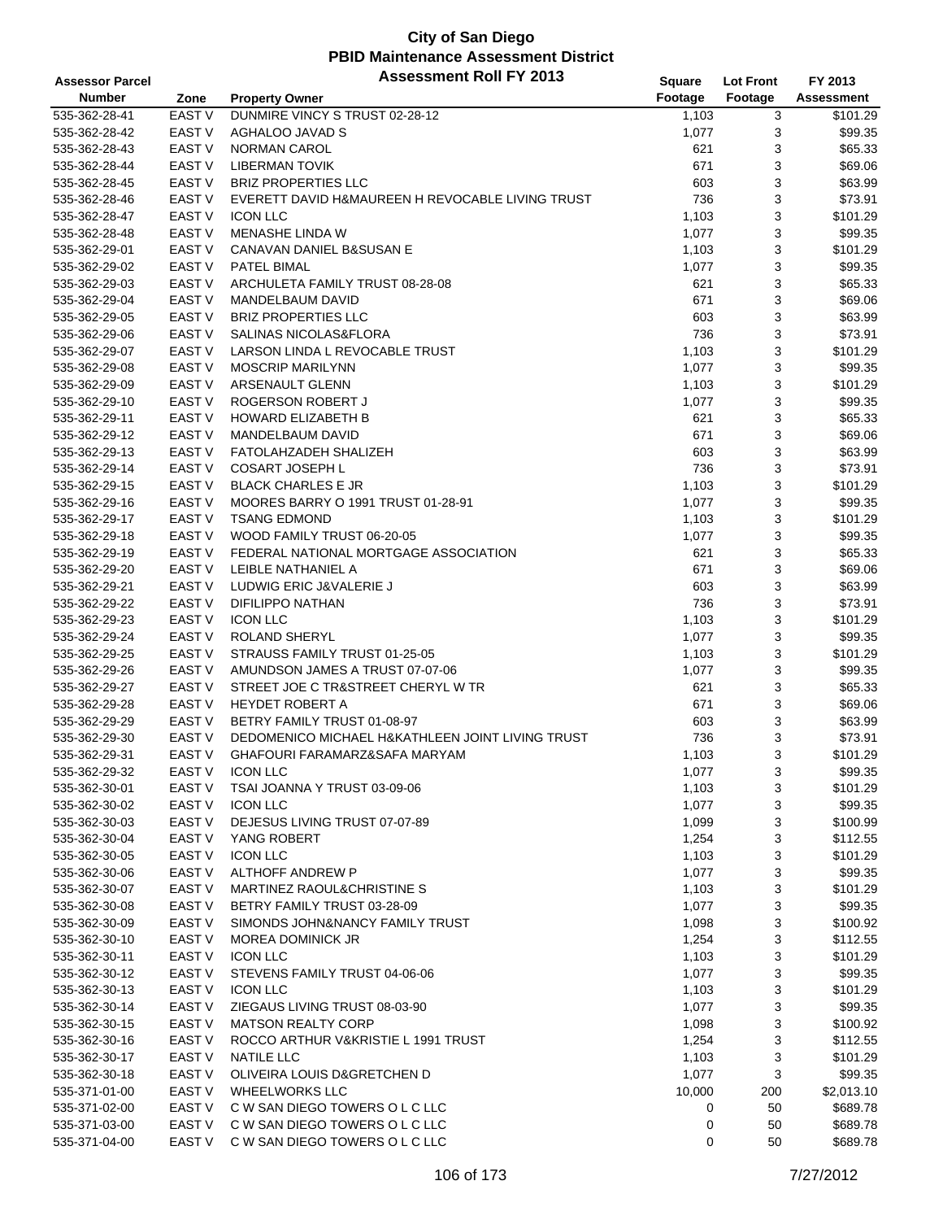| <b>Assessor Parcel</b> |                   | <b>Assessment Roll FY 2013</b>                   | <b>Square</b> | <b>Lot Front</b> | FY 2013           |
|------------------------|-------------------|--------------------------------------------------|---------------|------------------|-------------------|
| <b>Number</b>          | Zone              | <b>Property Owner</b>                            | Footage       | Footage          | <b>Assessment</b> |
| 535-362-28-41          | EAST V            | DUNMIRE VINCY S TRUST 02-28-12                   | 1,103         | 3                | \$101.29          |
| 535-362-28-42          | <b>EAST V</b>     | AGHALOO JAVAD S                                  | 1,077         | 3                | \$99.35           |
| 535-362-28-43          | <b>EAST V</b>     | <b>NORMAN CAROL</b>                              | 621           | 3                | \$65.33           |
| 535-362-28-44          | <b>EAST V</b>     | <b>LIBERMAN TOVIK</b>                            | 671           | 3                | \$69.06           |
| 535-362-28-45          | <b>EAST V</b>     | <b>BRIZ PROPERTIES LLC</b>                       | 603           | 3                | \$63.99           |
| 535-362-28-46          | <b>EAST V</b>     | EVERETT DAVID H&MAUREEN H REVOCABLE LIVING TRUST | 736           | 3                | \$73.91           |
| 535-362-28-47          | <b>EAST V</b>     | <b>ICON LLC</b>                                  | 1,103         | 3                | \$101.29          |
| 535-362-28-48          | <b>EAST V</b>     | <b>MENASHE LINDA W</b>                           | 1,077         | 3                | \$99.35           |
| 535-362-29-01          | <b>EAST V</b>     | CANAVAN DANIEL B&SUSAN E                         | 1,103         | 3                | \$101.29          |
| 535-362-29-02          | <b>EAST V</b>     | PATEL BIMAL                                      | 1,077         | 3                | \$99.35           |
| 535-362-29-03          | <b>EAST V</b>     | ARCHULETA FAMILY TRUST 08-28-08                  | 621           | 3                | \$65.33           |
| 535-362-29-04          | <b>EAST V</b>     | MANDELBAUM DAVID                                 | 671           | 3                | \$69.06           |
| 535-362-29-05          | EAST V            | <b>BRIZ PROPERTIES LLC</b>                       | 603           | 3                | \$63.99           |
| 535-362-29-06          | <b>EAST V</b>     | SALINAS NICOLAS&FLORA                            | 736           | 3                | \$73.91           |
| 535-362-29-07          | <b>EAST V</b>     | LARSON LINDA L REVOCABLE TRUST                   | 1,103         | 3                | \$101.29          |
| 535-362-29-08          | <b>EAST V</b>     | <b>MOSCRIP MARILYNN</b>                          | 1,077         | 3                | \$99.35           |
| 535-362-29-09          | <b>EAST V</b>     | ARSENAULT GLENN                                  | 1,103         | 3                | \$101.29          |
| 535-362-29-10          | <b>EAST V</b>     | ROGERSON ROBERT J                                | 1,077         | 3                | \$99.35           |
| 535-362-29-11          | <b>EAST V</b>     | <b>HOWARD ELIZABETH B</b>                        | 621           | 3                | \$65.33           |
| 535-362-29-12          | <b>EAST V</b>     | <b>MANDELBAUM DAVID</b>                          | 671           | 3                | \$69.06           |
| 535-362-29-13          | <b>EAST V</b>     | FATOLAHZADEH SHALIZEH                            | 603           | 3                | \$63.99           |
| 535-362-29-14          | <b>EAST V</b>     | <b>COSART JOSEPH L</b>                           | 736           | 3                | \$73.91           |
| 535-362-29-15          | EAST V            | <b>BLACK CHARLES E JR</b>                        | 1,103         | 3                | \$101.29          |
| 535-362-29-16          | EAST V            | MOORES BARRY O 1991 TRUST 01-28-91               | 1,077         | 3                | \$99.35           |
| 535-362-29-17          | <b>EAST V</b>     | <b>TSANG EDMOND</b>                              | 1,103         | 3                | \$101.29          |
| 535-362-29-18          | <b>EAST V</b>     | WOOD FAMILY TRUST 06-20-05                       | 1,077         | 3                | \$99.35           |
| 535-362-29-19          | <b>EAST V</b>     | FEDERAL NATIONAL MORTGAGE ASSOCIATION            | 621           | 3                | \$65.33           |
| 535-362-29-20          | <b>EAST V</b>     | LEIBLE NATHANIEL A                               | 671           | 3                | \$69.06           |
| 535-362-29-21          | <b>EAST V</b>     | LUDWIG ERIC J&VALERIE J                          | 603           | 3                | \$63.99           |
| 535-362-29-22          | <b>EAST V</b>     | DIFILIPPO NATHAN                                 | 736           | 3                | \$73.91           |
| 535-362-29-23          | <b>EAST V</b>     | <b>ICON LLC</b>                                  | 1,103         | 3                | \$101.29          |
| 535-362-29-24          | <b>EAST V</b>     | <b>ROLAND SHERYL</b>                             | 1,077         | 3                | \$99.35           |
| 535-362-29-25          | <b>EAST V</b>     | STRAUSS FAMILY TRUST 01-25-05                    | 1,103         | 3                | \$101.29          |
| 535-362-29-26          | EAST V            | AMUNDSON JAMES A TRUST 07-07-06                  | 1,077         | 3                | \$99.35           |
| 535-362-29-27          | EAST V            | STREET JOE C TR&STREET CHERYL W TR               | 621           | 3                | \$65.33           |
| 535-362-29-28          | <b>EAST V</b>     | <b>HEYDET ROBERT A</b>                           | 671           | 3                | \$69.06           |
| 535-362-29-29          | <b>EAST V</b>     | BETRY FAMILY TRUST 01-08-97                      | 603           | 3                | \$63.99           |
| 535-362-29-30          | <b>EAST V</b>     | DEDOMENICO MICHAEL H&KATHLEEN JOINT LIVING TRUST | 736           | 3                | \$73.91           |
| 535-362-29-31          | <b>EAST V</b>     | GHAFOURI FARAMARZ&SAFA MARYAM                    | 1,103         | 3                | \$101.29          |
| 535-362-29-32          | EAST V            | <b>ICON LLC</b>                                  | 1,077         | 3                | \$99.35           |
| 535-362-30-01          | EAST V            | TSAI JOANNA Y TRUST 03-09-06                     | 1,103         | 3                | \$101.29          |
| 535-362-30-02          | EAST V            | <b>ICON LLC</b>                                  | 1,077         | 3                | \$99.35           |
| 535-362-30-03          | EAST V            | DEJESUS LIVING TRUST 07-07-89                    | 1,099         | 3                | \$100.99          |
| 535-362-30-04          | <b>EAST V</b>     | YANG ROBERT                                      | 1,254         | 3                | \$112.55          |
| 535-362-30-05          | <b>EAST V</b>     | <b>ICON LLC</b>                                  | 1,103         | 3                | \$101.29          |
| 535-362-30-06          | EAST V            | ALTHOFF ANDREW P                                 | 1,077         | 3                | \$99.35           |
| 535-362-30-07          | <b>EAST V</b>     | MARTINEZ RAOUL& CHRISTINE S                      | 1,103         | 3                | \$101.29          |
| 535-362-30-08          | EAST <sub>V</sub> | BETRY FAMILY TRUST 03-28-09                      | 1,077         | 3                | \$99.35           |
| 535-362-30-09          | EAST V            | SIMONDS JOHN&NANCY FAMILY TRUST                  | 1,098         | 3                | \$100.92          |
| 535-362-30-10          | EAST <sub>V</sub> | <b>MOREA DOMINICK JR</b>                         | 1,254         | 3                | \$112.55          |
| 535-362-30-11          | <b>EAST V</b>     | <b>ICON LLC</b>                                  | 1,103         | 3                | \$101.29          |
| 535-362-30-12          | <b>EAST V</b>     | STEVENS FAMILY TRUST 04-06-06                    | 1,077         | 3                | \$99.35           |
| 535-362-30-13          | EAST <sub>V</sub> | <b>ICON LLC</b>                                  | 1,103         | 3                | \$101.29          |
| 535-362-30-14          | <b>EAST V</b>     | ZIEGAUS LIVING TRUST 08-03-90                    | 1,077         | 3                | \$99.35           |
| 535-362-30-15          | <b>EAST V</b>     | <b>MATSON REALTY CORP</b>                        | 1,098         | 3                | \$100.92          |
| 535-362-30-16          | <b>EAST V</b>     | ROCCO ARTHUR V&KRISTIE L 1991 TRUST              | 1,254         | 3                | \$112.55          |
| 535-362-30-17          | EAST V            | <b>NATILE LLC</b>                                | 1,103         | 3                | \$101.29          |
| 535-362-30-18          | EAST <sub>V</sub> | OLIVEIRA LOUIS D&GRETCHEN D                      | 1,077         | 3                | \$99.35           |
| 535-371-01-00          | EAST <sub>V</sub> | <b>WHEELWORKS LLC</b>                            | 10,000        | 200              | \$2,013.10        |
| 535-371-02-00          | EAST V            | C W SAN DIEGO TOWERS O L C LLC                   | 0             | 50               | \$689.78          |
| 535-371-03-00          | EAST V            | C W SAN DIEGO TOWERS O L C LLC                   | 0             | 50               | \$689.78          |
| 535-371-04-00          | EAST V            | C W SAN DIEGO TOWERS O L C LLC                   | 0             | 50               | \$689.78          |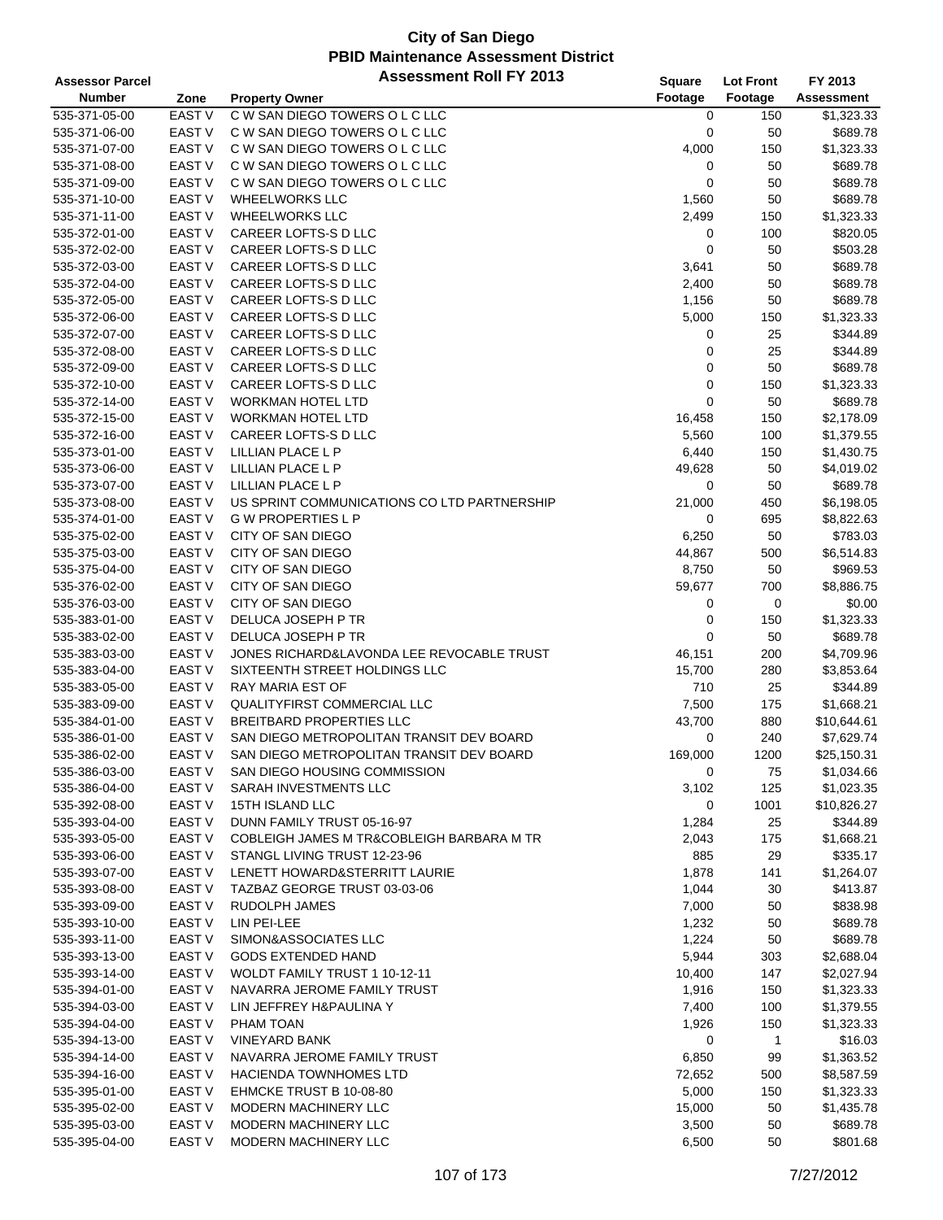| <b>Assessor Parcel</b> |                   | <b>Assessment Roll FY 2013</b>              | <b>Square</b> | <b>Lot Front</b> | FY 2013           |
|------------------------|-------------------|---------------------------------------------|---------------|------------------|-------------------|
| <b>Number</b>          | Zone              | <b>Property Owner</b>                       | Footage       | Footage          | <b>Assessment</b> |
| 535-371-05-00          | <b>EAST V</b>     | C W SAN DIEGO TOWERS O L C LLC              | 0             | 150              | \$1,323.33        |
| 535-371-06-00          | <b>EAST V</b>     | C W SAN DIEGO TOWERS O L C LLC              | 0             | 50               | \$689.78          |
| 535-371-07-00          | <b>EAST V</b>     | C W SAN DIEGO TOWERS O L C LLC              | 4,000         | 150              | \$1,323.33        |
| 535-371-08-00          | <b>EAST V</b>     | C W SAN DIEGO TOWERS O L C LLC              | 0             | 50               | \$689.78          |
| 535-371-09-00          | <b>EAST V</b>     | C W SAN DIEGO TOWERS O L C LLC              | 0             | 50               | \$689.78          |
| 535-371-10-00          | <b>EAST V</b>     | <b>WHEELWORKS LLC</b>                       | 1,560         | 50               | \$689.78          |
| 535-371-11-00          | <b>EAST V</b>     | <b>WHEELWORKS LLC</b>                       | 2,499         | 150              | \$1,323.33        |
| 535-372-01-00          | <b>EAST V</b>     | CAREER LOFTS-S D LLC                        | 0             | 100              | \$820.05          |
| 535-372-02-00          | <b>EAST V</b>     | CAREER LOFTS-S D LLC                        | 0             | 50               | \$503.28          |
| 535-372-03-00          | <b>EAST V</b>     | CAREER LOFTS-S D LLC                        | 3,641         | 50               | \$689.78          |
| 535-372-04-00          | <b>EAST V</b>     | CAREER LOFTS-S D LLC                        | 2,400         | 50               | \$689.78          |
| 535-372-05-00          | <b>EAST V</b>     | CAREER LOFTS-S D LLC                        | 1,156         | 50               | \$689.78          |
| 535-372-06-00          | <b>EAST V</b>     | CAREER LOFTS-S D LLC                        | 5,000         | 150              | \$1,323.33        |
| 535-372-07-00          | <b>EAST V</b>     | CAREER LOFTS-S D LLC                        | 0             | 25               | \$344.89          |
| 535-372-08-00          | <b>EAST V</b>     | CAREER LOFTS-S D LLC                        | 0             | 25               | \$344.89          |
| 535-372-09-00          | <b>EAST V</b>     | CAREER LOFTS-S D LLC                        | 0             | 50               | \$689.78          |
| 535-372-10-00          | <b>EAST V</b>     | CAREER LOFTS-S D LLC                        | 0             | 150              | \$1,323.33        |
| 535-372-14-00          | <b>EAST V</b>     | <b>WORKMAN HOTEL LTD</b>                    | 0             | 50               | \$689.78          |
| 535-372-15-00          | <b>EAST V</b>     | <b>WORKMAN HOTEL LTD</b>                    | 16,458        | 150              | \$2,178.09        |
| 535-372-16-00          | EAST <sub>V</sub> | CAREER LOFTS-S D LLC                        | 5,560         | 100              | \$1,379.55        |
| 535-373-01-00          | <b>EAST V</b>     | LILLIAN PLACE L P                           | 6,440         | 150              | \$1,430.75        |
| 535-373-06-00          | <b>EAST V</b>     | LILLIAN PLACE L P                           | 49,628        | 50               | \$4,019.02        |
| 535-373-07-00          | <b>EAST V</b>     | LILLIAN PLACE L P                           | 0             | 50               | \$689.78          |
| 535-373-08-00          | <b>EAST V</b>     | US SPRINT COMMUNICATIONS CO LTD PARTNERSHIP | 21,000        | 450              | \$6,198.05        |
| 535-374-01-00          | <b>EAST V</b>     | <b>GW PROPERTIES LP</b>                     | 0             | 695              | \$8,822.63        |
| 535-375-02-00          | <b>EAST V</b>     | <b>CITY OF SAN DIEGO</b>                    | 6,250         | 50               | \$783.03          |
| 535-375-03-00          | <b>EAST V</b>     | <b>CITY OF SAN DIEGO</b>                    | 44,867        | 500              | \$6,514.83        |
| 535-375-04-00          | <b>EAST V</b>     | CITY OF SAN DIEGO                           | 8,750         | 50               | \$969.53          |
| 535-376-02-00          | <b>EAST V</b>     | CITY OF SAN DIEGO                           | 59,677        | 700              | \$8,886.75        |
| 535-376-03-00          | <b>EAST V</b>     | CITY OF SAN DIEGO                           | 0             | 0                | \$0.00            |
| 535-383-01-00          | EAST V            | DELUCA JOSEPH P TR                          | 0             | 150              | \$1,323.33        |
| 535-383-02-00          | <b>EAST V</b>     | DELUCA JOSEPH P TR                          | 0             | 50               | \$689.78          |
| 535-383-03-00          | <b>EAST V</b>     | JONES RICHARD&LAVONDA LEE REVOCABLE TRUST   | 46,151        | 200              | \$4,709.96        |
| 535-383-04-00          | <b>EAST V</b>     | SIXTEENTH STREET HOLDINGS LLC               | 15,700        | 280              | \$3,853.64        |
| 535-383-05-00          | <b>EAST V</b>     | <b>RAY MARIA EST OF</b>                     | 710           | 25               | \$344.89          |
| 535-383-09-00          | EAST <sub>V</sub> | QUALITYFIRST COMMERCIAL LLC                 | 7,500         | 175              | \$1,668.21        |
| 535-384-01-00          | <b>EAST V</b>     | <b>BREITBARD PROPERTIES LLC</b>             | 43,700        | 880              | \$10,644.61       |
| 535-386-01-00          | <b>EAST V</b>     | SAN DIEGO METROPOLITAN TRANSIT DEV BOARD    | 0             | 240              | \$7,629.74        |
| 535-386-02-00          | <b>EAST V</b>     | SAN DIEGO METROPOLITAN TRANSIT DEV BOARD    | 169,000       | 1200             | \$25,150.31       |
| 535-386-03-00          | EAST V            | SAN DIEGO HOUSING COMMISSION                | 0             | 75               | \$1,034.66        |
| 535-386-04-00          | EAST <sub>V</sub> | SARAH INVESTMENTS LLC                       | 3,102         | 125              | \$1,023.35        |
| 535-392-08-00          | EAST <sub>V</sub> | 15TH ISLAND LLC                             | 0             | 1001             | \$10,826.27       |
| 535-393-04-00          | <b>EAST V</b>     | DUNN FAMILY TRUST 05-16-97                  | 1,284         | 25               | \$344.89          |
| 535-393-05-00          | <b>EAST V</b>     | COBLEIGH JAMES M TR&COBLEIGH BARBARA M TR   | 2,043         | 175              | \$1,668.21        |
| 535-393-06-00          | <b>EAST V</b>     | STANGL LIVING TRUST 12-23-96                | 885           | 29               | \$335.17          |
| 535-393-07-00          | EAST V            | LENETT HOWARD&STERRITT LAURIE               | 1,878         | 141              | \$1,264.07        |
| 535-393-08-00          | EAST V            | TAZBAZ GEORGE TRUST 03-03-06                | 1,044         | 30               | \$413.87          |
| 535-393-09-00          | EAST <sub>V</sub> | <b>RUDOLPH JAMES</b>                        | 7,000         | 50               | \$838.98          |
| 535-393-10-00          | EAST <sub>V</sub> | LIN PEI-LEE                                 | 1,232         | 50               | \$689.78          |
| 535-393-11-00          | <b>EAST V</b>     | SIMON&ASSOCIATES LLC                        | 1,224         | 50               | \$689.78          |
| 535-393-13-00          | <b>EAST V</b>     | <b>GODS EXTENDED HAND</b>                   | 5,944         | 303              | \$2,688.04        |
| 535-393-14-00          | <b>EAST V</b>     | WOLDT FAMILY TRUST 1 10-12-11               | 10,400        | 147              | \$2,027.94        |
| 535-394-01-00          | <b>EAST V</b>     | NAVARRA JEROME FAMILY TRUST                 | 1,916         | 150              | \$1,323.33        |
| 535-394-03-00          | <b>EAST V</b>     | LIN JEFFREY H&PAULINA Y                     | 7,400         | 100              | \$1,379.55        |
| 535-394-04-00          | <b>EAST V</b>     | PHAM TOAN                                   | 1,926         | 150              | \$1,323.33        |
| 535-394-13-00          | EAST V            | <b>VINEYARD BANK</b>                        | 0             | $\mathbf{1}$     | \$16.03           |
| 535-394-14-00          | EAST V            | NAVARRA JEROME FAMILY TRUST                 | 6,850         | 99               | \$1,363.52        |
| 535-394-16-00          | <b>EAST V</b>     | <b>HACIENDA TOWNHOMES LTD</b>               | 72,652        | 500              | \$8,587.59        |
| 535-395-01-00          | <b>EAST V</b>     | EHMCKE TRUST B 10-08-80                     | 5,000         | 150              | \$1,323.33        |
| 535-395-02-00          | EAST <sub>V</sub> | MODERN MACHINERY LLC                        | 15,000        | 50               | \$1,435.78        |
| 535-395-03-00          | EAST <sub>V</sub> | MODERN MACHINERY LLC                        | 3,500         | 50               | \$689.78          |
| 535-395-04-00          | EAST <sub>V</sub> | MODERN MACHINERY LLC                        | 6,500         | 50               | \$801.68          |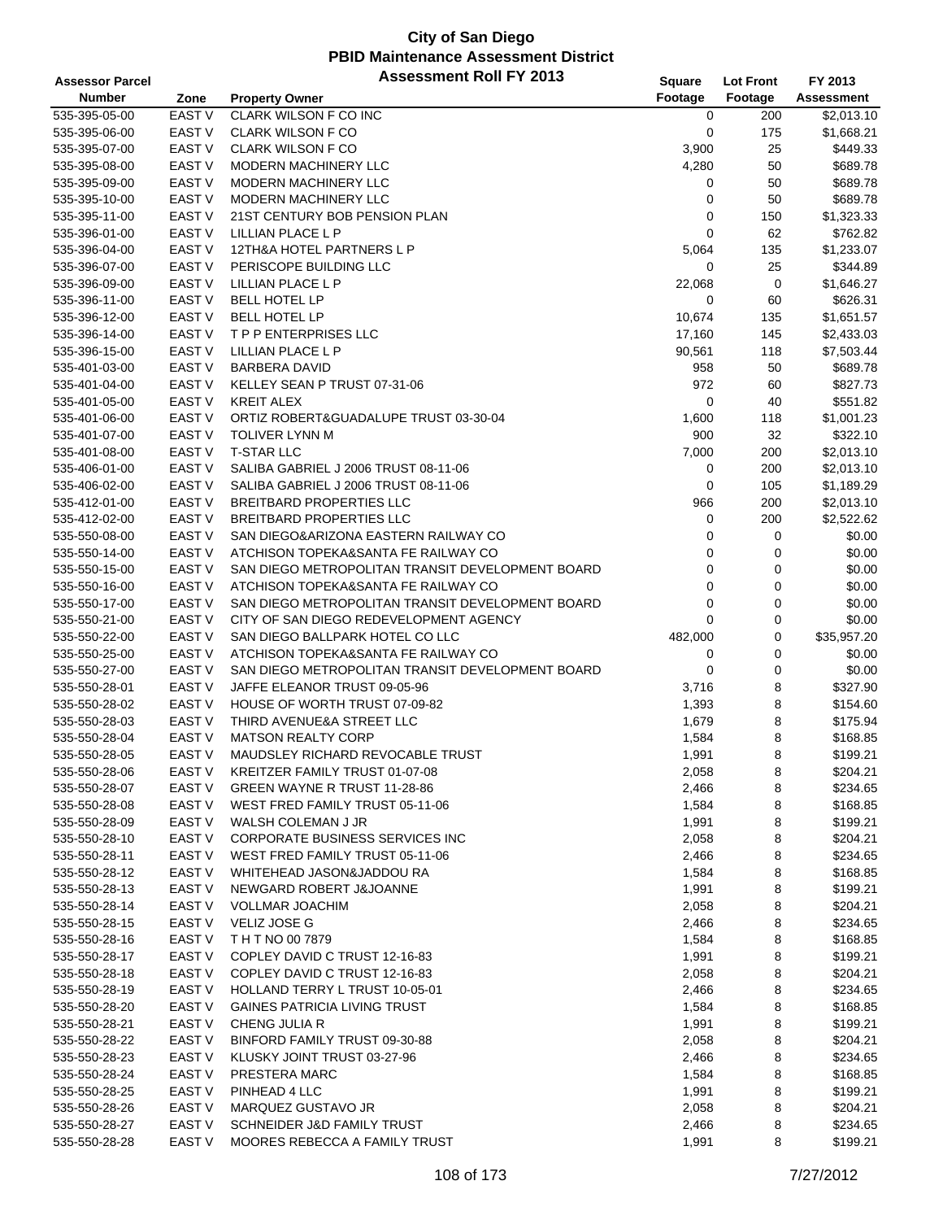| <b>Assessor Parcel</b>         |                   | <b>Assessment Roll FY 2013</b>                                | Square         | <b>Lot Front</b> | FY 2013              |
|--------------------------------|-------------------|---------------------------------------------------------------|----------------|------------------|----------------------|
| <b>Number</b>                  | Zone              | <b>Property Owner</b>                                         | Footage        | Footage          | <b>Assessment</b>    |
| 535-395-05-00                  | <b>EAST V</b>     | <b>CLARK WILSON F CO INC</b>                                  | 0              | 200              | \$2,013.10           |
| 535-395-06-00                  | <b>EAST V</b>     | <b>CLARK WILSON F CO</b>                                      | 0              | 175              | \$1,668.21           |
| 535-395-07-00                  | <b>EAST V</b>     | <b>CLARK WILSON F CO</b>                                      | 3,900          | 25               | \$449.33             |
| 535-395-08-00                  | <b>EAST V</b>     | MODERN MACHINERY LLC                                          | 4,280          | 50               | \$689.78             |
| 535-395-09-00                  | <b>EAST V</b>     | MODERN MACHINERY LLC                                          | 0              | 50               | \$689.78             |
| 535-395-10-00                  | <b>EAST V</b>     | MODERN MACHINERY LLC                                          | 0              | 50               | \$689.78             |
| 535-395-11-00                  | <b>EAST V</b>     | 21ST CENTURY BOB PENSION PLAN                                 | 0              | 150              | \$1,323.33           |
| 535-396-01-00                  | <b>EAST V</b>     | LILLIAN PLACE L P                                             | 0              | 62               | \$762.82             |
| 535-396-04-00                  | <b>EAST V</b>     | 12TH&A HOTEL PARTNERS L P                                     | 5,064          | 135              | \$1,233.07           |
| 535-396-07-00                  | <b>EAST V</b>     | PERISCOPE BUILDING LLC                                        | 0              | 25               | \$344.89             |
| 535-396-09-00                  | <b>EAST V</b>     | LILLIAN PLACE L P                                             | 22,068         | 0                | \$1,646.27           |
| 535-396-11-00                  | <b>EAST V</b>     | <b>BELL HOTEL LP</b>                                          | 0              | 60               | \$626.31             |
| 535-396-12-00                  | <b>EAST V</b>     | <b>BELL HOTEL LP</b>                                          | 10,674         | 135              | \$1,651.57           |
| 535-396-14-00                  | <b>EAST V</b>     | <b>TPP ENTERPRISES LLC</b>                                    | 17,160         | 145              | \$2,433.03           |
| 535-396-15-00                  | <b>EAST V</b>     | LILLIAN PLACE L P                                             | 90,561         | 118              | \$7,503.44           |
| 535-401-03-00                  | EAST <sub>V</sub> | <b>BARBERA DAVID</b>                                          | 958            | 50               | \$689.78             |
| 535-401-04-00                  | <b>EAST V</b>     | KELLEY SEAN P TRUST 07-31-06                                  | 972            | 60               | \$827.73             |
| 535-401-05-00                  | <b>EAST V</b>     | <b>KREIT ALEX</b>                                             | 0              | 40               | \$551.82             |
| 535-401-06-00                  | <b>EAST V</b>     | ORTIZ ROBERT& GUADALUPE TRUST 03-30-04                        | 1,600          | 118              | \$1,001.23           |
| 535-401-07-00                  | <b>EAST V</b>     | <b>TOLIVER LYNN M</b>                                         | 900            | 32               | \$322.10             |
| 535-401-08-00                  | <b>EAST V</b>     | <b>T-STAR LLC</b>                                             | 7,000          | 200              | \$2,013.10           |
| 535-406-01-00                  | <b>EAST V</b>     | SALIBA GABRIEL J 2006 TRUST 08-11-06                          | 0              | 200              | \$2,013.10           |
| 535-406-02-00                  | <b>EAST V</b>     | SALIBA GABRIEL J 2006 TRUST 08-11-06                          | 0              | 105              | \$1,189.29           |
| 535-412-01-00                  | <b>EAST V</b>     | <b>BREITBARD PROPERTIES LLC</b>                               | 966            | 200              | \$2,013.10           |
| 535-412-02-00                  | <b>EAST V</b>     | <b>BREITBARD PROPERTIES LLC</b>                               | 0              | 200              | \$2,522.62           |
| 535-550-08-00                  | <b>EAST V</b>     | SAN DIEGO&ARIZONA EASTERN RAILWAY CO                          | 0              | 0                | \$0.00               |
|                                | <b>EAST V</b>     | ATCHISON TOPEKA&SANTA FE RAILWAY CO                           | 0              | 0                | \$0.00               |
| 535-550-14-00<br>535-550-15-00 | <b>EAST V</b>     | SAN DIEGO METROPOLITAN TRANSIT DEVELOPMENT BOARD              | 0              | 0                | \$0.00               |
| 535-550-16-00                  | <b>EAST V</b>     | ATCHISON TOPEKA&SANTA FE RAILWAY CO                           | 0              | 0                | \$0.00               |
| 535-550-17-00                  | <b>EAST V</b>     | SAN DIEGO METROPOLITAN TRANSIT DEVELOPMENT BOARD              | 0              | 0                | \$0.00               |
| 535-550-21-00                  | <b>EAST V</b>     | CITY OF SAN DIEGO REDEVELOPMENT AGENCY                        | 0              | 0                | \$0.00               |
|                                | <b>EAST V</b>     | SAN DIEGO BALLPARK HOTEL CO LLC                               |                |                  | \$35,957.20          |
| 535-550-22-00                  | <b>EAST V</b>     | ATCHISON TOPEKA&SANTA FE RAILWAY CO                           | 482,000        | 0                |                      |
| 535-550-25-00                  | <b>EAST V</b>     | SAN DIEGO METROPOLITAN TRANSIT DEVELOPMENT BOARD              | 0              | 0                | \$0.00               |
| 535-550-27-00                  | <b>EAST V</b>     |                                                               | 0              | 0                | \$0.00               |
| 535-550-28-01<br>535-550-28-02 | <b>EAST V</b>     | JAFFE ELEANOR TRUST 09-05-96<br>HOUSE OF WORTH TRUST 07-09-82 | 3,716          | 8<br>8           | \$327.90<br>\$154.60 |
| 535-550-28-03                  | <b>EAST V</b>     | THIRD AVENUE&A STREET LLC                                     | 1,393          | 8                | \$175.94             |
|                                | EAST <sub>V</sub> | <b>MATSON REALTY CORP</b>                                     | 1,679          | 8                | \$168.85             |
| 535-550-28-04<br>535-550-28-05 | <b>EAST V</b>     | MAUDSLEY RICHARD REVOCABLE TRUST                              | 1,584<br>1,991 | 8                | \$199.21             |
| 535-550-28-06                  | EAST V            | KREITZER FAMILY TRUST 01-07-08                                | 2,058          | 8                | \$204.21             |
| 535-550-28-07                  | EAST V            | GREEN WAYNE R TRUST 11-28-86                                  | 2,466          | 8                | \$234.65             |
|                                | EAST V            | WEST FRED FAMILY TRUST 05-11-06                               |                |                  | \$168.85             |
| 535-550-28-08                  |                   |                                                               | 1,584          | 8                |                      |
| 535-550-28-09<br>535-550-28-10 | EAST V<br>EAST V  | WALSH COLEMAN J JR<br>CORPORATE BUSINESS SERVICES INC         | 1,991          | 8                | \$199.21<br>\$204.21 |
| 535-550-28-11                  |                   |                                                               | 2,058          | 8                | \$234.65             |
|                                | EAST V            | WEST FRED FAMILY TRUST 05-11-06<br>WHITEHEAD JASON&JADDOU RA  | 2,466          | 8                | \$168.85             |
| 535-550-28-12                  | EAST V            |                                                               | 1,584          | 8                |                      |
| 535-550-28-13                  | EAST V            | NEWGARD ROBERT J&JOANNE                                       | 1,991          | 8                | \$199.21<br>\$204.21 |
| 535-550-28-14                  | EAST <sub>V</sub> | <b>VOLLMAR JOACHIM</b>                                        | 2,058          | 8                |                      |
| 535-550-28-15                  | EAST V            | VELIZ JOSE G                                                  | 2,466          | 8                | \$234.65             |
| 535-550-28-16                  | EAST V            | TH T NO 00 7879                                               | 1,584          | 8                | \$168.85             |
| 535-550-28-17                  | EAST V            | COPLEY DAVID C TRUST 12-16-83                                 | 1,991          | 8                | \$199.21             |
| 535-550-28-18                  | EAST V            | COPLEY DAVID C TRUST 12-16-83                                 | 2,058          | 8                | \$204.21             |
| 535-550-28-19                  | EAST <sub>V</sub> | HOLLAND TERRY L TRUST 10-05-01                                | 2,466          | 8                | \$234.65             |
| 535-550-28-20                  | EAST V            | <b>GAINES PATRICIA LIVING TRUST</b>                           | 1,584          | 8                | \$168.85             |
| 535-550-28-21                  | EAST V            | CHENG JULIA R                                                 | 1,991          | 8                | \$199.21             |
| 535-550-28-22                  | EAST V            | BINFORD FAMILY TRUST 09-30-88                                 | 2,058          | 8                | \$204.21             |
| 535-550-28-23                  | EAST V            | KLUSKY JOINT TRUST 03-27-96                                   | 2,466          | 8                | \$234.65             |
| 535-550-28-24                  | EAST <sub>V</sub> | PRESTERA MARC                                                 | 1,584          | 8                | \$168.85             |
| 535-550-28-25                  | EAST <sub>V</sub> | PINHEAD 4 LLC                                                 | 1,991          | 8                | \$199.21             |
| 535-550-28-26                  | EAST <sub>V</sub> | MARQUEZ GUSTAVO JR                                            | 2,058          | 8                | \$204.21             |
| 535-550-28-27                  | EAST V            | SCHNEIDER J&D FAMILY TRUST                                    | 2,466          | 8                | \$234.65             |
| 535-550-28-28                  | EAST <sub>V</sub> | MOORES REBECCA A FAMILY TRUST                                 | 1,991          | 8                | \$199.21             |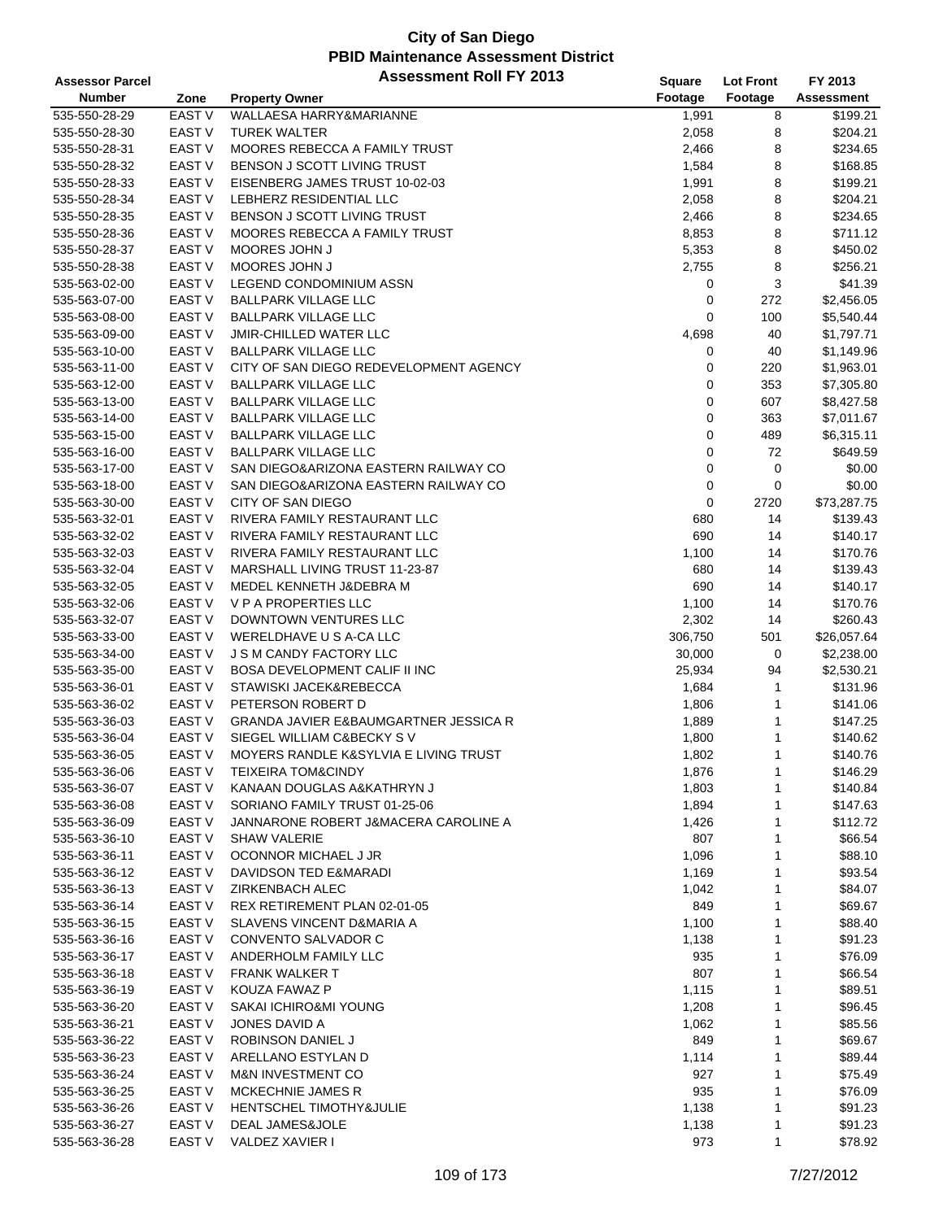| <b>Assessor Parcel</b> |                   | <b>Assessment Roll FY 2013</b>         | Square      | <b>Lot Front</b> | FY 2013           |
|------------------------|-------------------|----------------------------------------|-------------|------------------|-------------------|
| <b>Number</b>          | Zone              | <b>Property Owner</b>                  | Footage     | Footage          | <b>Assessment</b> |
| 535-550-28-29          | EAST V            | WALLAESA HARRY&MARIANNE                | 1,991       | 8                | \$199.21          |
| 535-550-28-30          | EAST V            | <b>TUREK WALTER</b>                    | 2,058       | 8                | \$204.21          |
| 535-550-28-31          | <b>EAST V</b>     | MOORES REBECCA A FAMILY TRUST          | 2,466       | 8                | \$234.65          |
| 535-550-28-32          | <b>EAST V</b>     | BENSON J SCOTT LIVING TRUST            | 1,584       | 8                | \$168.85          |
| 535-550-28-33          | <b>EAST V</b>     | EISENBERG JAMES TRUST 10-02-03         | 1,991       | 8                | \$199.21          |
| 535-550-28-34          | <b>EAST V</b>     | LEBHERZ RESIDENTIAL LLC                | 2,058       | 8                | \$204.21          |
| 535-550-28-35          | <b>EAST V</b>     | BENSON J SCOTT LIVING TRUST            | 2,466       | 8                | \$234.65          |
| 535-550-28-36          | <b>EAST V</b>     | MOORES REBECCA A FAMILY TRUST          | 8,853       | 8                | \$711.12          |
| 535-550-28-37          | <b>EAST V</b>     | MOORES JOHN J                          | 5,353       | 8                | \$450.02          |
| 535-550-28-38          | <b>EAST V</b>     | MOORES JOHN J                          | 2,755       | 8                | \$256.21          |
| 535-563-02-00          | <b>EAST V</b>     | <b>LEGEND CONDOMINIUM ASSN</b>         | 0           | 3                | \$41.39           |
| 535-563-07-00          | <b>EAST V</b>     | <b>BALLPARK VILLAGE LLC</b>            | 0           | 272              | \$2,456.05        |
| 535-563-08-00          | <b>EAST V</b>     | <b>BALLPARK VILLAGE LLC</b>            | $\mathbf 0$ | 100              | \$5,540.44        |
| 535-563-09-00          | <b>EAST V</b>     | <b>JMIR-CHILLED WATER LLC</b>          | 4,698       | 40               | \$1,797.71        |
| 535-563-10-00          | <b>EAST V</b>     | <b>BALLPARK VILLAGE LLC</b>            | 0           | 40               | \$1,149.96        |
| 535-563-11-00          | EAST V            | CITY OF SAN DIEGO REDEVELOPMENT AGENCY | 0           | 220              | \$1,963.01        |
| 535-563-12-00          | <b>EAST V</b>     | <b>BALLPARK VILLAGE LLC</b>            | 0           | 353              | \$7,305.80        |
| 535-563-13-00          | <b>EAST V</b>     | <b>BALLPARK VILLAGE LLC</b>            | 0           | 607              | \$8,427.58        |
| 535-563-14-00          | EAST V            | <b>BALLPARK VILLAGE LLC</b>            | $\mathbf 0$ | 363              | \$7,011.67        |
| 535-563-15-00          | <b>EAST V</b>     | <b>BALLPARK VILLAGE LLC</b>            | $\mathbf 0$ | 489              | \$6,315.11        |
| 535-563-16-00          | <b>EAST V</b>     | <b>BALLPARK VILLAGE LLC</b>            | 0           | 72               | \$649.59          |
| 535-563-17-00          | EAST V            | SAN DIEGO&ARIZONA EASTERN RAILWAY CO   | $\mathbf 0$ | 0                | \$0.00            |
| 535-563-18-00          | EAST V            | SAN DIEGO&ARIZONA EASTERN RAILWAY CO   | $\mathbf 0$ | 0                | \$0.00            |
| 535-563-30-00          | EAST V            | CITY OF SAN DIEGO                      | 0           | 2720             | \$73,287.75       |
| 535-563-32-01          | <b>EAST V</b>     | RIVERA FAMILY RESTAURANT LLC           | 680         | 14               | \$139.43          |
| 535-563-32-02          | <b>EAST V</b>     | RIVERA FAMILY RESTAURANT LLC           | 690         | 14               | \$140.17          |
| 535-563-32-03          | <b>EAST V</b>     | RIVERA FAMILY RESTAURANT LLC           | 1,100       | 14               | \$170.76          |
| 535-563-32-04          | <b>EAST V</b>     | MARSHALL LIVING TRUST 11-23-87         | 680         | 14               | \$139.43          |
| 535-563-32-05          | <b>EAST V</b>     | MEDEL KENNETH J&DEBRA M                | 690         | 14               | \$140.17          |
| 535-563-32-06          | EAST V            | V P A PROPERTIES LLC                   | 1,100       | 14               | \$170.76          |
| 535-563-32-07          | <b>EAST V</b>     | DOWNTOWN VENTURES LLC                  | 2,302       | 14               | \$260.43          |
| 535-563-33-00          | <b>EAST V</b>     | WERELDHAVE U S A-CA LLC                | 306,750     | 501              | \$26,057.64       |
| 535-563-34-00          | <b>EAST V</b>     | J S M CANDY FACTORY LLC                | 30,000      | 0                | \$2,238.00        |
| 535-563-35-00          | <b>EAST V</b>     | <b>BOSA DEVELOPMENT CALIF II INC</b>   | 25,934      | 94               | \$2,530.21        |
| 535-563-36-01          | EAST V            | STAWISKI JACEK&REBECCA                 | 1,684       | 1                | \$131.96          |
| 535-563-36-02          | <b>EAST V</b>     | PETERSON ROBERT D                      | 1,806       | 1                | \$141.06          |
| 535-563-36-03          | <b>EAST V</b>     | GRANDA JAVIER E&BAUMGARTNER JESSICA R  | 1,889       | 1                | \$147.25          |
| 535-563-36-04          | <b>EAST V</b>     | SIEGEL WILLIAM C&BECKY SV              | 1,800       | 1                | \$140.62          |
| 535-563-36-05          | <b>EAST V</b>     | MOYERS RANDLE K&SYLVIA E LIVING TRUST  | 1,802       | $\mathbf{1}$     | \$140.76          |
| 535-563-36-06          | EAST <sub>V</sub> | <b>TEIXEIRA TOM&amp;CINDY</b>          | 1,876       | 1                | \$146.29          |
| 535-563-36-07          | EAST V            | KANAAN DOUGLAS A&KATHRYN J             | 1,803       | 1                | \$140.84          |
| 535-563-36-08          | EAST V            | SORIANO FAMILY TRUST 01-25-06          | 1,894       | 1                | \$147.63          |
| 535-563-36-09          | EAST V            | JANNARONE ROBERT J&MACERA CAROLINE A   | 1,426       | 1                | \$112.72          |
| 535-563-36-10          | EAST <sub>V</sub> | SHAW VALERIE                           | 807         | 1                | \$66.54           |
| 535-563-36-11          | EAST <sub>V</sub> | OCONNOR MICHAEL J JR                   | 1,096       | 1                | \$88.10           |
| 535-563-36-12          | EAST V            | <b>DAVIDSON TED E&amp;MARADI</b>       | 1,169       | 1                | \$93.54           |
| 535-563-36-13          | EAST V            | ZIRKENBACH ALEC                        | 1,042       | 1                | \$84.07           |
| 535-563-36-14          | <b>EAST V</b>     | REX RETIREMENT PLAN 02-01-05           | 849         | 1                | \$69.67           |
| 535-563-36-15          | EAST V            | SLAVENS VINCENT D&MARIA A              | 1,100       | 1                | \$88.40           |
| 535-563-36-16          | EAST <sub>V</sub> | CONVENTO SALVADOR C                    | 1,138       | 1                | \$91.23           |
| 535-563-36-17          | EAST <sub>V</sub> | ANDERHOLM FAMILY LLC                   | 935         | 1                | \$76.09           |
| 535-563-36-18          | EAST V            | <b>FRANK WALKER T</b>                  | 807         | 1                | \$66.54           |
| 535-563-36-19          | EAST <sub>V</sub> | KOUZA FAWAZ P                          | 1,115       | 1                | \$89.51           |
| 535-563-36-20          | EAST <sub>V</sub> | SAKAI ICHIRO&MI YOUNG                  | 1,208       | 1                | \$96.45           |
| 535-563-36-21          | EAST <sub>V</sub> | JONES DAVID A                          | 1,062       | 1                | \$85.56           |
| 535-563-36-22          | EAST <sub>V</sub> | ROBINSON DANIEL J                      | 849         | 1                | \$69.67           |
| 535-563-36-23          | EAST V            | ARELLANO ESTYLAN D                     | 1,114       | 1                | \$89.44           |
| 535-563-36-24          | EAST <sub>V</sub> | <b>M&amp;N INVESTMENT CO</b>           | 927         | 1                | \$75.49           |
| 535-563-36-25          | <b>EAST V</b>     | <b>MCKECHNIE JAMES R</b>               | 935         | 1                | \$76.09           |
| 535-563-36-26          | EAST V            | HENTSCHEL TIMOTHY&JULIE                | 1,138       | 1                | \$91.23           |
| 535-563-36-27          | EAST <sub>V</sub> | DEAL JAMES&JOLE                        | 1,138       | 1                | \$91.23           |
| 535-563-36-28          | <b>EAST V</b>     | VALDEZ XAVIER I                        | 973         | 1                | \$78.92           |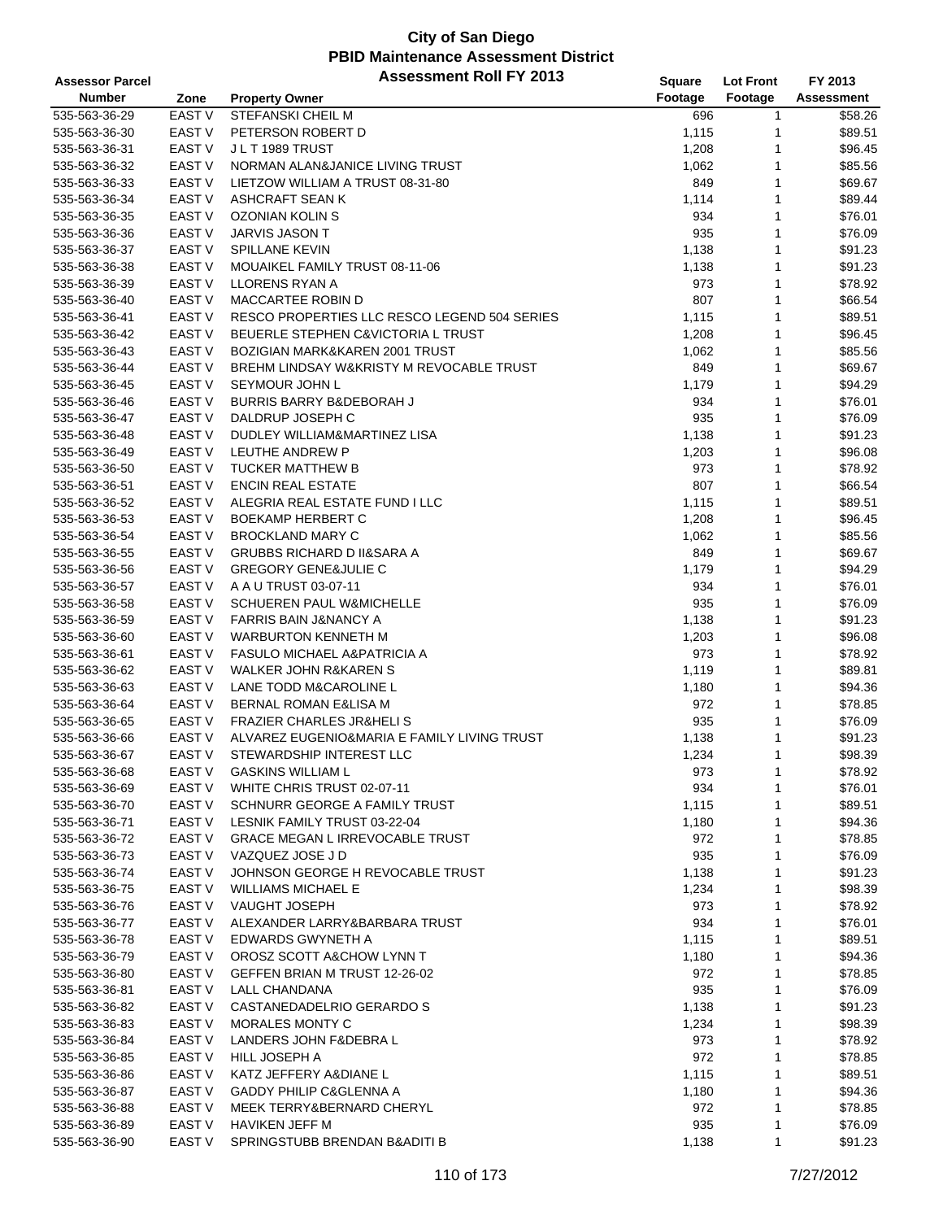| <b>Assessor Parcel</b> |                   | <b>Assessment Roll FY 2013</b>               | Square  | <b>Lot Front</b> | FY 2013           |
|------------------------|-------------------|----------------------------------------------|---------|------------------|-------------------|
| <b>Number</b>          | Zone              | <b>Property Owner</b>                        | Footage | Footage          | <b>Assessment</b> |
| 535-563-36-29          | <b>EAST V</b>     | <b>STEFANSKI CHEIL M</b>                     | 696     | 1                | \$58.26           |
| 535-563-36-30          | EAST V            | PETERSON ROBERT D                            | 1,115   | 1                | \$89.51           |
| 535-563-36-31          | <b>EAST V</b>     | J L T 1989 TRUST                             | 1,208   | 1                | \$96.45           |
| 535-563-36-32          | <b>EAST V</b>     | NORMAN ALAN&JANICE LIVING TRUST              | 1,062   | 1                | \$85.56           |
| 535-563-36-33          | <b>EAST V</b>     | LIETZOW WILLIAM A TRUST 08-31-80             | 849     | 1                | \$69.67           |
| 535-563-36-34          | <b>EAST V</b>     | ASHCRAFT SEAN K                              | 1,114   | 1                | \$89.44           |
| 535-563-36-35          | EAST V            | OZONIAN KOLIN S                              | 934     | 1                | \$76.01           |
| 535-563-36-36          | <b>EAST V</b>     | <b>JARVIS JASON T</b>                        | 935     | 1                | \$76.09           |
| 535-563-36-37          | EAST V            | <b>SPILLANE KEVIN</b>                        | 1,138   | 1                | \$91.23           |
| 535-563-36-38          | <b>EAST V</b>     | MOUAIKEL FAMILY TRUST 08-11-06               | 1,138   | 1                | \$91.23           |
| 535-563-36-39          | <b>EAST V</b>     | <b>LLORENS RYAN A</b>                        | 973     | 1                | \$78.92           |
| 535-563-36-40          | <b>EAST V</b>     | MACCARTEE ROBIN D                            | 807     | 1                | \$66.54           |
| 535-563-36-41          | EAST V            | RESCO PROPERTIES LLC RESCO LEGEND 504 SERIES | 1,115   | 1                | \$89.51           |
| 535-563-36-42          | <b>EAST V</b>     | BEUERLE STEPHEN C&VICTORIA L TRUST           | 1,208   | 1                | \$96.45           |
| 535-563-36-43          | EAST V            | BOZIGIAN MARK&KAREN 2001 TRUST               | 1,062   | 1                | \$85.56           |
| 535-563-36-44          | <b>EAST V</b>     | BREHM LINDSAY W&KRISTY M REVOCABLE TRUST     | 849     | 1                | \$69.67           |
| 535-563-36-45          | <b>EAST V</b>     | SEYMOUR JOHN L                               | 1,179   | 1                | \$94.29           |
| 535-563-36-46          | EAST V            | <b>BURRIS BARRY B&amp;DEBORAH J</b>          | 934     | 1                | \$76.01           |
| 535-563-36-47          | EAST V            | DALDRUP JOSEPH C                             | 935     | 1                | \$76.09           |
| 535-563-36-48          | EAST V            | DUDLEY WILLIAM&MARTINEZ LISA                 |         | 1                | \$91.23           |
|                        |                   |                                              | 1,138   |                  |                   |
| 535-563-36-49          | EAST V            | LEUTHE ANDREW P                              | 1,203   | 1                | \$96.08           |
| 535-563-36-50          | <b>EAST V</b>     | <b>TUCKER MATTHEW B</b>                      | 973     | 1                | \$78.92           |
| 535-563-36-51          | EAST V            | <b>ENCIN REAL ESTATE</b>                     | 807     | 1                | \$66.54           |
| 535-563-36-52          | EAST V            | ALEGRIA REAL ESTATE FUND I LLC               | 1,115   | 1                | \$89.51           |
| 535-563-36-53          | <b>EAST V</b>     | <b>BOEKAMP HERBERT C</b>                     | 1,208   | 1                | \$96.45           |
| 535-563-36-54          | EAST V            | <b>BROCKLAND MARY C</b>                      | 1,062   | 1                | \$85.56           |
| 535-563-36-55          | EAST V            | <b>GRUBBS RICHARD D II&amp;SARA A</b>        | 849     | 1                | \$69.67           |
| 535-563-36-56          | <b>EAST V</b>     | <b>GREGORY GENE&amp;JULIE C</b>              | 1,179   | 1                | \$94.29           |
| 535-563-36-57          | EAST V            | A A U TRUST 03-07-11                         | 934     | 1                | \$76.01           |
| 535-563-36-58          | EAST V            | <b>SCHUEREN PAUL W&amp;MICHELLE</b>          | 935     | 1                | \$76.09           |
| 535-563-36-59          | EAST V            | <b>FARRIS BAIN J&amp;NANCY A</b>             | 1,138   | 1                | \$91.23           |
| 535-563-36-60          | EAST V            | <b>WARBURTON KENNETH M</b>                   | 1,203   | 1                | \$96.08           |
| 535-563-36-61          | <b>EAST V</b>     | <b>FASULO MICHAEL A&amp;PATRICIA A</b>       | 973     | 1                | \$78.92           |
| 535-563-36-62          | <b>EAST V</b>     | <b>WALKER JOHN R&amp;KAREN S</b>             | 1,119   | 1                | \$89.81           |
| 535-563-36-63          | EAST V            | LANE TODD M&CAROLINE L                       | 1,180   | 1                | \$94.36           |
| 535-563-36-64          | EAST V            | BERNAL ROMAN E&LISA M                        | 972     | 1                | \$78.85           |
| 535-563-36-65          | <b>EAST V</b>     | <b>FRAZIER CHARLES JR&amp;HELIS</b>          | 935     | 1                | \$76.09           |
| 535-563-36-66          | EAST V            | ALVAREZ EUGENIO&MARIA E FAMILY LIVING TRUST  | 1,138   | 1                | \$91.23           |
| 535-563-36-67          | <b>EAST V</b>     | STEWARDSHIP INTEREST LLC                     | 1,234   | 1                | \$98.39           |
| 535-563-36-68          | EAST V            | <b>GASKINS WILLIAM L</b>                     | 973     | 1                | \$78.92           |
| 535-563-36-69          | EAST V            | WHITE CHRIS TRUST 02-07-11                   | 934     | 1                | \$76.01           |
| 535-563-36-70          | EAST V            | SCHNURR GEORGE A FAMILY TRUST                | 1,115   | 1                | \$89.51           |
| 535-563-36-71          | EAST V            | LESNIK FAMILY TRUST 03-22-04                 | 1,180   | 1                | \$94.36           |
| 535-563-36-72          | EAST V            | <b>GRACE MEGAN L IRREVOCABLE TRUST</b>       | 972     | 1                | \$78.85           |
| 535-563-36-73          | EAST V            | VAZQUEZ JOSE J D                             | 935     | 1                | \$76.09           |
| 535-563-36-74          | EAST V            | JOHNSON GEORGE H REVOCABLE TRUST             | 1,138   | 1                | \$91.23           |
| 535-563-36-75          | EAST V            | <b>WILLIAMS MICHAEL E</b>                    | 1,234   | 1                | \$98.39           |
| 535-563-36-76          | EAST <sub>V</sub> | <b>VAUGHT JOSEPH</b>                         | 973     | 1                | \$78.92           |
| 535-563-36-77          | EAST V            | ALEXANDER LARRY&BARBARA TRUST                | 934     | 1                | \$76.01           |
| 535-563-36-78          | EAST V            | EDWARDS GWYNETH A                            | 1,115   | 1                | \$89.51           |
| 535-563-36-79          | <b>EAST V</b>     | OROSZ SCOTT A&CHOW LYNN T                    | 1,180   |                  | \$94.36           |
| 535-563-36-80          | EAST V            | GEFFEN BRIAN M TRUST 12-26-02                | 972     | 1                | \$78.85           |
| 535-563-36-81          | EAST V            | LALL CHANDANA                                | 935     | 1                | \$76.09           |
| 535-563-36-82          | EAST V            | CASTANEDADELRIO GERARDO S                    | 1,138   | 1                | \$91.23           |
| 535-563-36-83          | EAST V            | MORALES MONTY C                              | 1,234   | 1                | \$98.39           |
| 535-563-36-84          | EAST V            | LANDERS JOHN F&DEBRA L                       | 973     | 1                | \$78.92           |
| 535-563-36-85          | EAST V            | HILL JOSEPH A                                | 972     | 1                | \$78.85           |
| 535-563-36-86          | EAST V            | KATZ JEFFERY A&DIANE L                       | 1,115   | 1                | \$89.51           |
| 535-563-36-87          | EAST V            | <b>GADDY PHILIP C&amp;GLENNA A</b>           | 1,180   | 1                | \$94.36           |
| 535-563-36-88          | EAST V            | MEEK TERRY&BERNARD CHERYL                    | 972     | 1                | \$78.85           |
| 535-563-36-89          | EAST V            | <b>HAVIKEN JEFF M</b>                        | 935     | 1                | \$76.09           |
| 535-563-36-90          | EAST V            | SPRINGSTUBB BRENDAN B&ADITI B                | 1,138   | 1                | \$91.23           |
|                        |                   |                                              |         |                  |                   |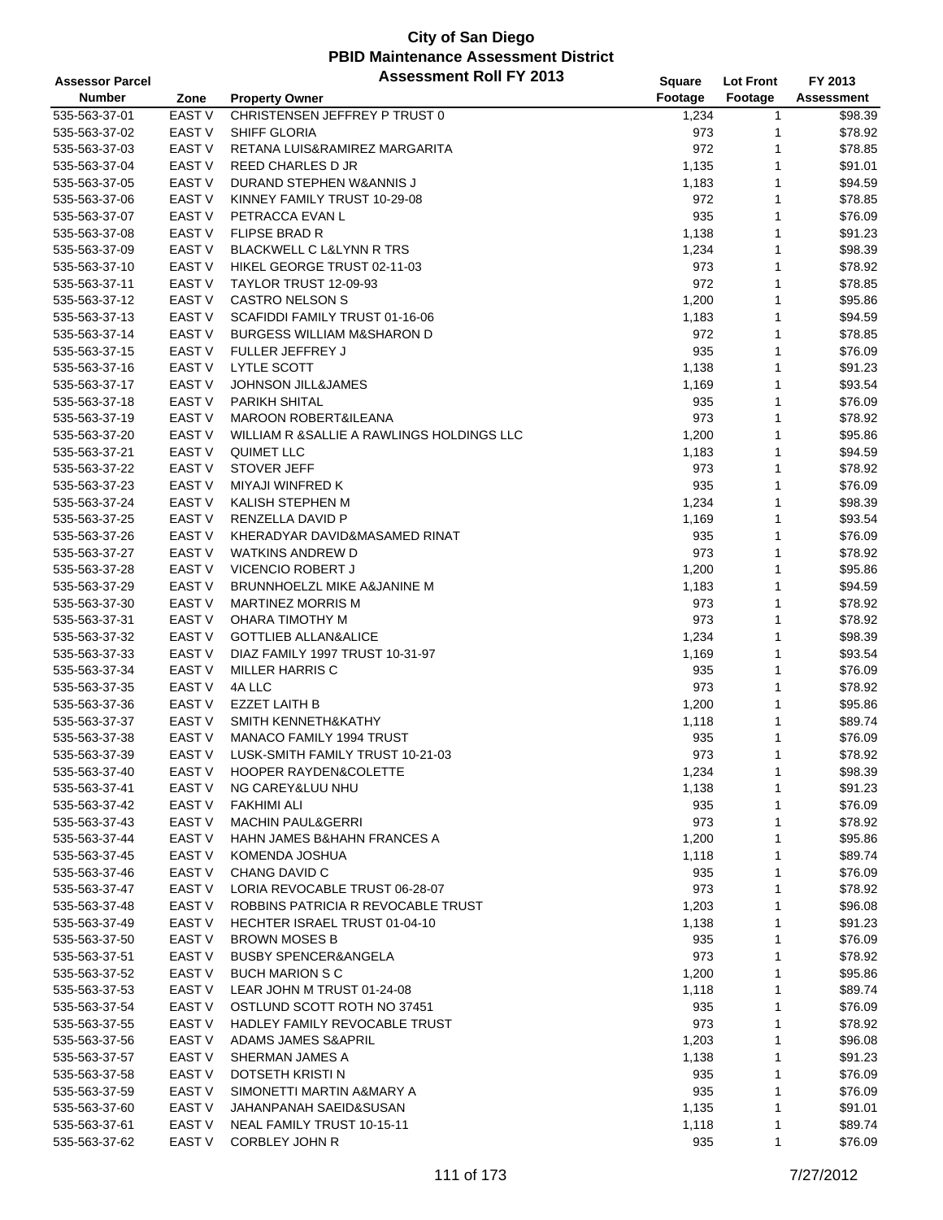| <b>Assessor Parcel</b>         |                   | <b>Assessment Roll FY 2013</b>             | <b>Square</b>  | <b>Lot Front</b> | FY 2013            |
|--------------------------------|-------------------|--------------------------------------------|----------------|------------------|--------------------|
| <b>Number</b>                  | Zone              | <b>Property Owner</b>                      | Footage        | Footage          | Assessment         |
| 535-563-37-01                  | <b>EAST V</b>     | CHRISTENSEN JEFFREY P TRUST 0              | 1,234          | 1                | \$98.39            |
| 535-563-37-02                  | <b>EAST V</b>     | SHIFF GLORIA                               | 973            | 1                | \$78.92            |
| 535-563-37-03                  | <b>EAST V</b>     | RETANA LUIS&RAMIREZ MARGARITA              | 972            | 1                | \$78.85            |
| 535-563-37-04                  | <b>EAST V</b>     | REED CHARLES D JR                          | 1,135          | 1                | \$91.01            |
| 535-563-37-05                  | <b>EAST V</b>     | DURAND STEPHEN W&ANNIS J                   | 1,183          | 1                | \$94.59            |
| 535-563-37-06                  | <b>EAST V</b>     | KINNEY FAMILY TRUST 10-29-08               | 972            | 1                | \$78.85            |
| 535-563-37-07                  | <b>EAST V</b>     | PETRACCA EVAN L                            | 935            | $\mathbf{1}$     | \$76.09            |
| 535-563-37-08                  | <b>EAST V</b>     | <b>FLIPSE BRAD R</b>                       | 1,138          | 1                | \$91.23            |
| 535-563-37-09                  | <b>EAST V</b>     | <b>BLACKWELL C L&amp;LYNN R TRS</b>        | 1,234          | 1                | \$98.39            |
| 535-563-37-10                  | <b>EAST V</b>     | HIKEL GEORGE TRUST 02-11-03                | 973            | 1                | \$78.92            |
| 535-563-37-11                  | <b>EAST V</b>     | TAYLOR TRUST 12-09-93                      | 972            | 1                | \$78.85            |
| 535-563-37-12                  | <b>EAST V</b>     | <b>CASTRO NELSON S</b>                     | 1,200          | 1                | \$95.86            |
| 535-563-37-13                  | <b>EAST V</b>     | SCAFIDDI FAMILY TRUST 01-16-06             | 1,183          | 1                | \$94.59            |
| 535-563-37-14                  | <b>EAST V</b>     | <b>BURGESS WILLIAM M&amp;SHARON D</b>      | 972            | 1                | \$78.85            |
| 535-563-37-15                  | <b>EAST V</b>     | FULLER JEFFREY J                           | 935            | 1                | \$76.09            |
| 535-563-37-16                  | EAST V            | LYTLE SCOTT                                | 1,138          | 1                | \$91.23            |
| 535-563-37-17                  | <b>EAST V</b>     | <b>JOHNSON JILL&amp;JAMES</b>              | 1,169          | 1                | \$93.54            |
| 535-563-37-18                  | <b>EAST V</b>     | <b>PARIKH SHITAL</b>                       | 935            | 1                | \$76.09            |
| 535-563-37-19                  | <b>EAST V</b>     | <b>MAROON ROBERT&amp;ILEANA</b>            | 973            | 1                | \$78.92            |
| 535-563-37-20                  | <b>EAST V</b>     | WILLIAM R & SALLIE A RAWLINGS HOLDINGS LLC | 1,200          | 1                | \$95.86            |
| 535-563-37-21                  | <b>EAST V</b>     | <b>QUIMET LLC</b>                          | 1,183          | 1                | \$94.59            |
| 535-563-37-22                  | <b>EAST V</b>     | <b>STOVER JEFF</b>                         | 973            | 1                | \$78.92            |
| 535-563-37-23                  | <b>EAST V</b>     | MIYAJI WINFRED K                           | 935            | 1                | \$76.09            |
| 535-563-37-24                  | EAST <sub>V</sub> | KALISH STEPHEN M                           | 1,234          | 1                | \$98.39            |
| 535-563-37-25                  | <b>EAST V</b>     | RENZELLA DAVID P                           | 1,169          | 1                | \$93.54            |
| 535-563-37-26                  | <b>EAST V</b>     | KHERADYAR DAVID&MASAMED RINAT              | 935            | 1                | \$76.09            |
| 535-563-37-27                  | EAST <sub>V</sub> | <b>WATKINS ANDREW D</b>                    | 973            | 1                | \$78.92            |
| 535-563-37-28                  | <b>EAST V</b>     | <b>VICENCIO ROBERT J</b>                   | 1,200          | 1                | \$95.86            |
| 535-563-37-29                  | <b>EAST V</b>     | BRUNNHOELZL MIKE A&JANINE M                | 1,183          | 1                | \$94.59            |
| 535-563-37-30                  | <b>EAST V</b>     | <b>MARTINEZ MORRIS M</b>                   | 973            | 1                | \$78.92            |
| 535-563-37-31                  | <b>EAST V</b>     | OHARA TIMOTHY M                            | 973            | 1                | \$78.92            |
| 535-563-37-32                  | <b>EAST V</b>     | <b>GOTTLIEB ALLAN&amp;ALICE</b>            | 1,234          | 1                | \$98.39            |
| 535-563-37-33                  | <b>EAST V</b>     | DIAZ FAMILY 1997 TRUST 10-31-97            | 1,169          | 1                | \$93.54            |
| 535-563-37-34                  | <b>EAST V</b>     | <b>MILLER HARRIS C</b>                     | 935            | 1                | \$76.09            |
| 535-563-37-35                  | EAST V            | 4A LLC                                     | 973            | 1                | \$78.92            |
| 535-563-37-36                  | <b>EAST V</b>     | <b>EZZET LAITH B</b>                       | 1,200          | 1                | \$95.86            |
| 535-563-37-37                  | EAST <sub>V</sub> | SMITH KENNETH&KATHY                        | 1,118          | 1                | \$89.74            |
| 535-563-37-38                  | EAST <sub>V</sub> | MANACO FAMILY 1994 TRUST                   | 935            | 1                | \$76.09            |
| 535-563-37-39                  | <b>EAST V</b>     | LUSK-SMITH FAMILY TRUST 10-21-03           | 973            | 1                | \$78.92            |
| 535-563-37-40                  | EAST V            | <b>HOOPER RAYDEN&amp;COLETTE</b>           | 1,234          | 1                | \$98.39            |
| 535-563-37-41                  | EAST V            | NG CAREY&LUU NHU                           | 1,138          | 1                | \$91.23            |
| 535-563-37-42                  | EAST V            | <b>FAKHIMI ALI</b>                         | 935            | 1                | \$76.09            |
| 535-563-37-43                  | <b>EAST V</b>     | <b>MACHIN PAUL&amp;GERRI</b>               | 973            | 1                | \$78.92            |
| 535-563-37-44                  | EAST V            | <b>HAHN JAMES B&amp;HAHN FRANCES A</b>     | 1,200          | 1                | \$95.86            |
| 535-563-37-45                  | EAST V            | KOMENDA JOSHUA                             | 1,118          | 1                | \$89.74            |
| 535-563-37-46                  | EAST V            | CHANG DAVID C                              | 935            | 1                | \$76.09            |
| 535-563-37-47                  | EAST V            | LORIA REVOCABLE TRUST 06-28-07             | 973            | 1                | \$78.92            |
| 535-563-37-48                  | EAST <sub>V</sub> | ROBBINS PATRICIA R REVOCABLE TRUST         | 1,203          | 1                | \$96.08            |
| 535-563-37-49                  | EAST V            | <b>HECHTER ISRAEL TRUST 01-04-10</b>       | 1,138          | 1                | \$91.23            |
| 535-563-37-50                  | EAST V            | <b>BROWN MOSES B</b>                       | 935            | 1                | \$76.09            |
| 535-563-37-51                  | <b>EAST V</b>     | <b>BUSBY SPENCER&amp;ANGELA</b>            | 973            | 1                | \$78.92            |
| 535-563-37-52                  | EAST V            | <b>BUCH MARION S C</b>                     | 1,200          | 1                | \$95.86            |
| 535-563-37-53                  | EAST V            | LEAR JOHN M TRUST 01-24-08                 | 1,118          | 1                | \$89.74            |
| 535-563-37-54                  | EAST V            | OSTLUND SCOTT ROTH NO 37451                | 935            | 1                | \$76.09            |
| 535-563-37-55                  | EAST V            | HADLEY FAMILY REVOCABLE TRUST              | 973            | 1                | \$78.92            |
| 535-563-37-56                  | EAST V            | ADAMS JAMES S&APRIL                        | 1,203          | 1                | \$96.08            |
| 535-563-37-57                  | EAST V            | SHERMAN JAMES A                            | 1,138          | 1                | \$91.23            |
|                                | EAST V            | DOTSETH KRISTI N                           |                | 1                | \$76.09            |
| 535-563-37-58                  | EAST V            | SIMONETTI MARTIN A&MARY A                  | 935<br>935     | 1                |                    |
| 535-563-37-59                  |                   | JAHANPANAH SAEID&SUSAN                     |                | 1                | \$76.09            |
| 535-563-37-60<br>535-563-37-61 | EAST V<br>EAST V  | NEAL FAMILY TRUST 10-15-11                 | 1,135<br>1,118 | 1                | \$91.01<br>\$89.74 |
| 535-563-37-62                  | EAST V            | CORBLEY JOHN R                             | 935            | 1                | \$76.09            |
|                                |                   |                                            |                |                  |                    |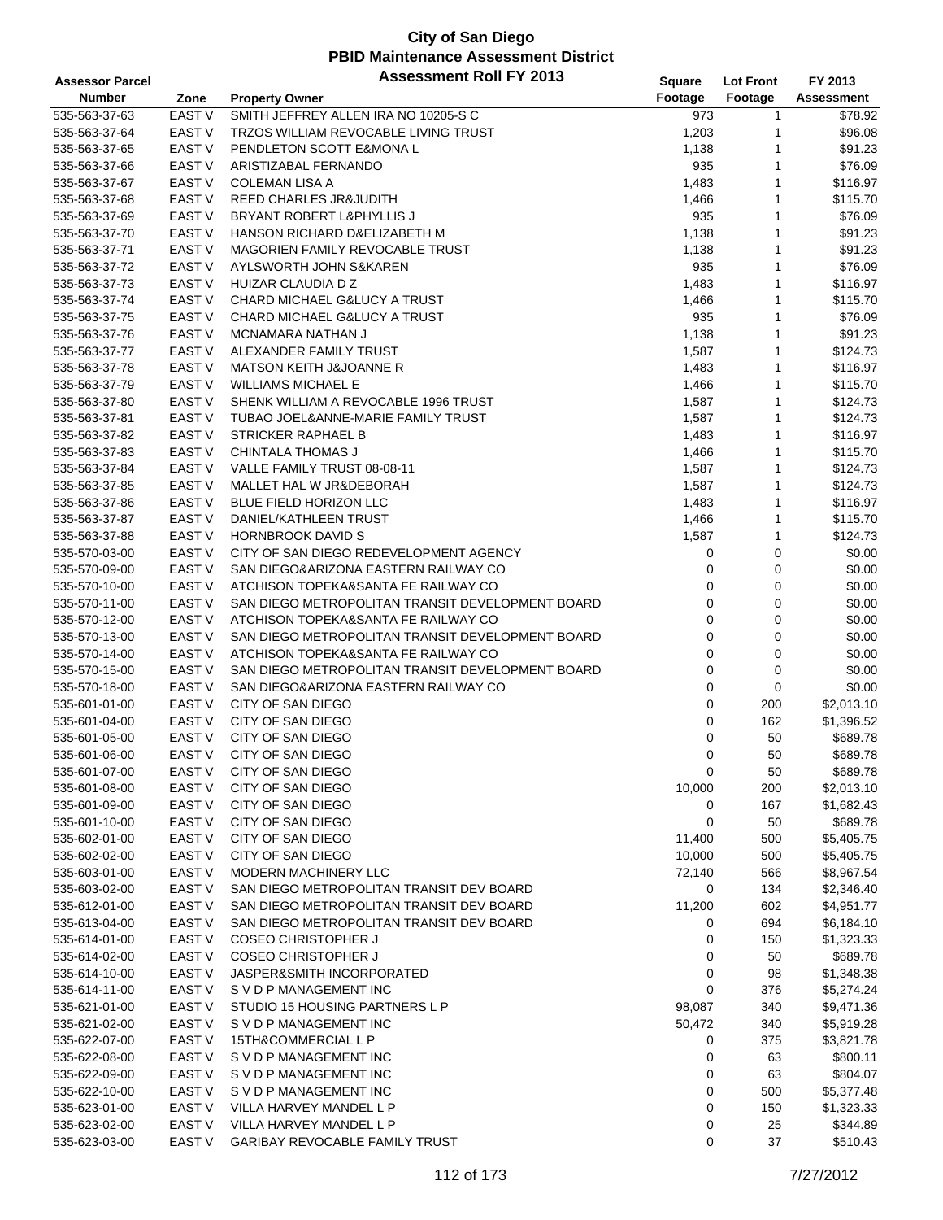| <b>Assessor Parcel</b> |                   | <b>Assessment Roll FY 2013</b>                   | Square  | <b>Lot Front</b> | FY 2013           |
|------------------------|-------------------|--------------------------------------------------|---------|------------------|-------------------|
| <b>Number</b>          | Zone              | <b>Property Owner</b>                            | Footage | Footage          | <b>Assessment</b> |
| 535-563-37-63          | <b>EAST V</b>     | SMITH JEFFREY ALLEN IRA NO 10205-S C             | 973     | $\mathbf{1}$     | \$78.92           |
| 535-563-37-64          | EAST V            | TRZOS WILLIAM REVOCABLE LIVING TRUST             | 1,203   | 1                | \$96.08           |
| 535-563-37-65          | <b>EAST V</b>     | PENDLETON SCOTT E&MONA L                         | 1,138   | 1                | \$91.23           |
| 535-563-37-66          | <b>EAST V</b>     | ARISTIZABAL FERNANDO                             | 935     | 1                | \$76.09           |
| 535-563-37-67          | <b>EAST V</b>     | <b>COLEMAN LISA A</b>                            | 1,483   | 1                | \$116.97          |
| 535-563-37-68          | <b>EAST V</b>     | REED CHARLES JR&JUDITH                           | 1,466   | 1                | \$115.70          |
| 535-563-37-69          | <b>EAST V</b>     | BRYANT ROBERT L&PHYLLIS J                        | 935     | 1                | \$76.09           |
| 535-563-37-70          | <b>EAST V</b>     | HANSON RICHARD D&ELIZABETH M                     | 1,138   | 1                | \$91.23           |
| 535-563-37-71          | <b>EAST V</b>     | MAGORIEN FAMILY REVOCABLE TRUST                  | 1,138   | 1                | \$91.23           |
| 535-563-37-72          | <b>EAST V</b>     | AYLSWORTH JOHN S&KAREN                           | 935     | 1                | \$76.09           |
| 535-563-37-73          | <b>EAST V</b>     | HUIZAR CLAUDIA D Z                               | 1,483   | 1                | \$116.97          |
| 535-563-37-74          | <b>EAST V</b>     | CHARD MICHAEL G&LUCY A TRUST                     | 1,466   | 1                | \$115.70          |
| 535-563-37-75          | <b>EAST V</b>     | CHARD MICHAEL G&LUCY A TRUST                     | 935     | 1                | \$76.09           |
| 535-563-37-76          | <b>EAST V</b>     | MCNAMARA NATHAN J                                | 1,138   | 1                | \$91.23           |
| 535-563-37-77          | <b>EAST V</b>     | ALEXANDER FAMILY TRUST                           | 1,587   | 1                | \$124.73          |
| 535-563-37-78          | EAST <sub>V</sub> | MATSON KEITH J&JOANNE R                          | 1,483   | 1                | \$116.97          |
| 535-563-37-79          | <b>EAST V</b>     | <b>WILLIAMS MICHAEL E</b>                        | 1,466   | 1                | \$115.70          |
| 535-563-37-80          | <b>EAST V</b>     | SHENK WILLIAM A REVOCABLE 1996 TRUST             | 1,587   | 1                | \$124.73          |
| 535-563-37-81          | <b>EAST V</b>     | TUBAO JOEL&ANNE-MARIE FAMILY TRUST               | 1,587   | 1                | \$124.73          |
| 535-563-37-82          | <b>EAST V</b>     | <b>STRICKER RAPHAEL B</b>                        | 1,483   | 1                | \$116.97          |
| 535-563-37-83          | <b>EAST V</b>     | <b>CHINTALA THOMAS J</b>                         | 1,466   | 1                | \$115.70          |
| 535-563-37-84          | <b>EAST V</b>     | VALLE FAMILY TRUST 08-08-11                      | 1,587   | 1                | \$124.73          |
| 535-563-37-85          | <b>EAST V</b>     | MALLET HAL W JR&DEBORAH                          | 1,587   | 1                | \$124.73          |
| 535-563-37-86          | EAST V            | BLUE FIELD HORIZON LLC                           | 1,483   | 1                | \$116.97          |
| 535-563-37-87          | <b>EAST V</b>     | DANIEL/KATHLEEN TRUST                            | 1,466   | 1                | \$115.70          |
| 535-563-37-88          | <b>EAST V</b>     | <b>HORNBROOK DAVID S</b>                         | 1,587   | 1                | \$124.73          |
| 535-570-03-00          | <b>EAST V</b>     | CITY OF SAN DIEGO REDEVELOPMENT AGENCY           | 0       | 0                | \$0.00            |
| 535-570-09-00          | <b>EAST V</b>     | SAN DIEGO&ARIZONA EASTERN RAILWAY CO             | 0       | 0                | \$0.00            |
| 535-570-10-00          | <b>EAST V</b>     | ATCHISON TOPEKA&SANTA FE RAILWAY CO              | 0       | 0                | \$0.00            |
| 535-570-11-00          | <b>EAST V</b>     | SAN DIEGO METROPOLITAN TRANSIT DEVELOPMENT BOARD | 0       | 0                | \$0.00            |
| 535-570-12-00          | <b>EAST V</b>     | ATCHISON TOPEKA&SANTA FE RAILWAY CO              | 0       | 0                | \$0.00            |
| 535-570-13-00          | <b>EAST V</b>     | SAN DIEGO METROPOLITAN TRANSIT DEVELOPMENT BOARD | 0       | 0                | \$0.00            |
| 535-570-14-00          | <b>EAST V</b>     | ATCHISON TOPEKA&SANTA FE RAILWAY CO              | 0       | 0                | \$0.00            |
| 535-570-15-00          | <b>EAST V</b>     | SAN DIEGO METROPOLITAN TRANSIT DEVELOPMENT BOARD | 0       | 0                | \$0.00            |
| 535-570-18-00          | <b>EAST V</b>     | SAN DIEGO&ARIZONA EASTERN RAILWAY CO             | 0       | 0                | \$0.00            |
| 535-601-01-00          | <b>EAST V</b>     | CITY OF SAN DIEGO                                | 0       | 200              | \$2,013.10        |
| 535-601-04-00          | <b>EAST V</b>     | CITY OF SAN DIEGO                                | 0       | 162              | \$1,396.52        |
| 535-601-05-00          | <b>EAST V</b>     | CITY OF SAN DIEGO                                | 0       | 50               | \$689.78          |
| 535-601-06-00          | <b>EAST V</b>     | CITY OF SAN DIEGO                                | 0       | 50               | \$689.78          |
| 535-601-07-00          | EAST V            | CITY OF SAN DIEGO                                | 0       | 50               | \$689.78          |
| 535-601-08-00          | <b>EAST V</b>     | CITY OF SAN DIEGO                                | 10,000  | 200              | \$2,013.10        |
| 535-601-09-00          | <b>EAST V</b>     | CITY OF SAN DIEGO                                | 0       | 167              | \$1,682.43        |
| 535-601-10-00          | <b>EAST V</b>     | CITY OF SAN DIEGO                                | 0       | 50               | \$689.78          |
| 535-602-01-00          | EAST <sub>V</sub> | CITY OF SAN DIEGO                                | 11,400  | 500              | \$5,405.75        |
| 535-602-02-00          | <b>EAST V</b>     | CITY OF SAN DIEGO                                | 10,000  | 500              | \$5,405.75        |
| 535-603-01-00          | EAST <sub>V</sub> | <b>MODERN MACHINERY LLC</b>                      | 72,140  | 566              | \$8,967.54        |
| 535-603-02-00          | <b>EAST V</b>     | SAN DIEGO METROPOLITAN TRANSIT DEV BOARD         | 0       | 134              | \$2,346.40        |
| 535-612-01-00          | EAST <sub>V</sub> | SAN DIEGO METROPOLITAN TRANSIT DEV BOARD         | 11,200  | 602              | \$4,951.77        |
| 535-613-04-00          | <b>EAST V</b>     | SAN DIEGO METROPOLITAN TRANSIT DEV BOARD         | 0       | 694              | \$6,184.10        |
| 535-614-01-00          | <b>EAST V</b>     | <b>COSEO CHRISTOPHER J</b>                       | 0       | 150              | \$1,323.33        |
| 535-614-02-00          | <b>EAST V</b>     | <b>COSEO CHRISTOPHER J</b>                       | 0       | 50               | \$689.78          |
| 535-614-10-00          | <b>EAST V</b>     | JASPER&SMITH INCORPORATED                        | 0       | 98               | \$1,348.38        |
| 535-614-11-00          | <b>EAST V</b>     | S V D P MANAGEMENT INC                           | 0       | 376              | \$5,274.24        |
| 535-621-01-00          | <b>EAST V</b>     | STUDIO 15 HOUSING PARTNERS L P                   | 98,087  | 340              | \$9,471.36        |
| 535-621-02-00          | <b>EAST V</b>     | S V D P MANAGEMENT INC                           | 50,472  | 340              | \$5,919.28        |
| 535-622-07-00          | EAST <sub>V</sub> | 15TH&COMMERCIAL L P                              | 0       | 375              | \$3,821.78        |
| 535-622-08-00          | EAST V            | S V D P MANAGEMENT INC                           | 0       | 63               | \$800.11          |
| 535-622-09-00          | <b>EAST V</b>     | S V D P MANAGEMENT INC                           | 0       | 63               | \$804.07          |
| 535-622-10-00          | <b>EAST V</b>     | S V D P MANAGEMENT INC                           | 0       | 500              | \$5,377.48        |
| 535-623-01-00          | EAST <sub>V</sub> | VILLA HARVEY MANDEL L P                          | 0       | 150              | \$1,323.33        |
| 535-623-02-00          | <b>EAST V</b>     | VILLA HARVEY MANDEL L P                          | 0       | 25               | \$344.89          |
| 535-623-03-00          | EAST <sub>V</sub> | GARIBAY REVOCABLE FAMILY TRUST                   | 0       | 37               | \$510.43          |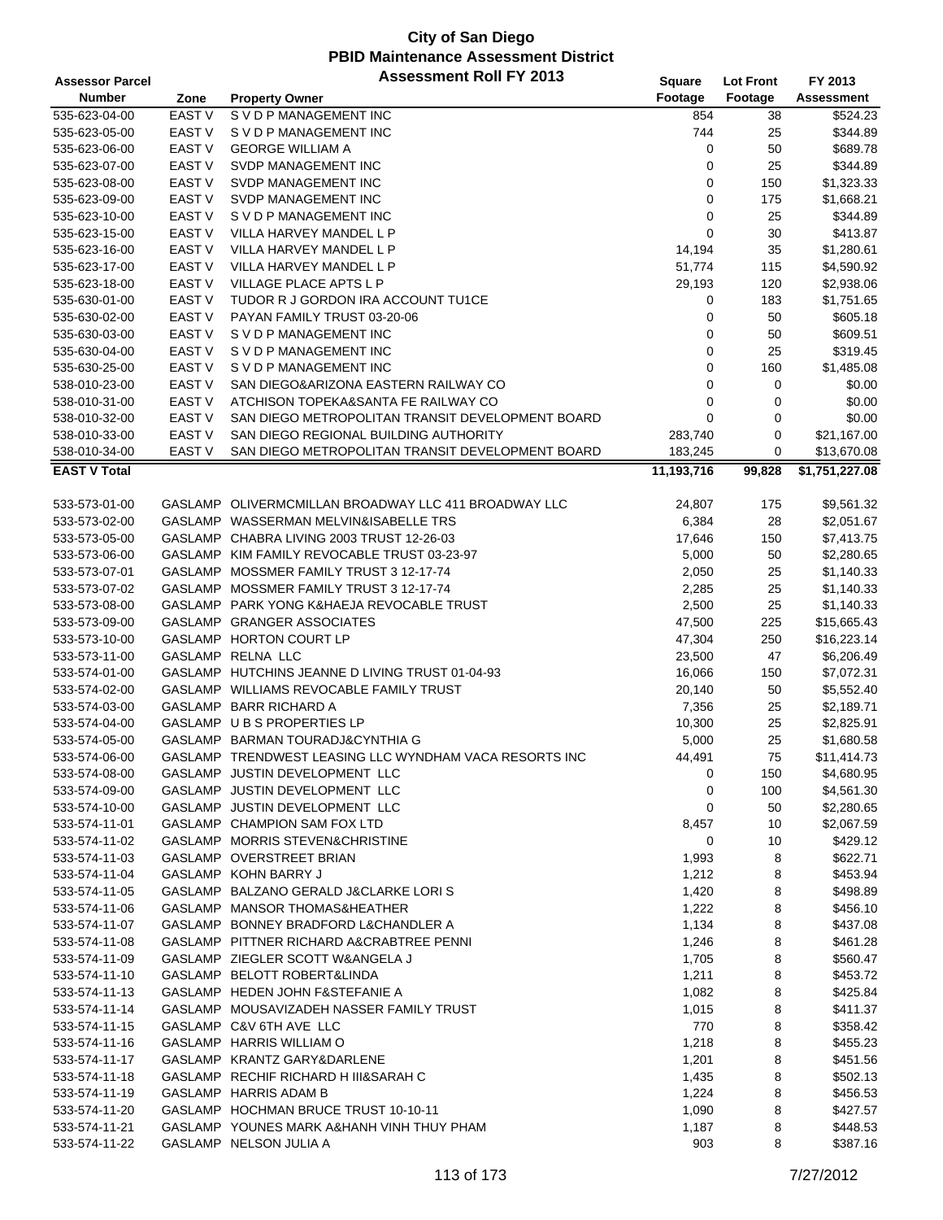| <b>Assessor Parcel</b> |               | <b>Assessment Roll FY 2013</b>                         | Square     | <b>Lot Front</b> | FY 2013           |
|------------------------|---------------|--------------------------------------------------------|------------|------------------|-------------------|
| <b>Number</b>          | Zone          | <b>Property Owner</b>                                  | Footage    | Footage          | <b>Assessment</b> |
| 535-623-04-00          | <b>EAST V</b> | S V D P MANAGEMENT INC                                 | 854        | 38               | \$524.23          |
| 535-623-05-00          | <b>EAST V</b> | S V D P MANAGEMENT INC                                 | 744        | 25               | \$344.89          |
| 535-623-06-00          | <b>EAST V</b> | <b>GEORGE WILLIAM A</b>                                | 0          | 50               | \$689.78          |
| 535-623-07-00          | <b>EAST V</b> | SVDP MANAGEMENT INC                                    | 0          | 25               | \$344.89          |
| 535-623-08-00          | <b>EAST V</b> | SVDP MANAGEMENT INC                                    | 0          | 150              | \$1,323.33        |
| 535-623-09-00          | <b>EAST V</b> | SVDP MANAGEMENT INC                                    | 0          | 175              | \$1,668.21        |
| 535-623-10-00          | EAST V        | S V D P MANAGEMENT INC                                 | 0          | 25               | \$344.89          |
| 535-623-15-00          | EAST V        | VILLA HARVEY MANDEL L P                                | 0          | 30               | \$413.87          |
| 535-623-16-00          | <b>EAST V</b> | VILLA HARVEY MANDEL L P                                | 14,194     | 35               | \$1,280.61        |
| 535-623-17-00          | <b>EAST V</b> | VILLA HARVEY MANDEL L P                                | 51,774     | 115              | \$4,590.92        |
| 535-623-18-00          | <b>EAST V</b> | VILLAGE PLACE APTS L P                                 | 29,193     | 120              | \$2,938.06        |
| 535-630-01-00          | EAST V        | TUDOR R J GORDON IRA ACCOUNT TU1CE                     | 0          | 183              | \$1,751.65        |
| 535-630-02-00          | EAST V        | PAYAN FAMILY TRUST 03-20-06                            | 0          | 50               | \$605.18          |
| 535-630-03-00          | EAST V        | S V D P MANAGEMENT INC                                 | 0          | 50               | \$609.51          |
| 535-630-04-00          | EAST V        | S V D P MANAGEMENT INC                                 | 0          | 25               | \$319.45          |
| 535-630-25-00          | <b>EAST V</b> | S V D P MANAGEMENT INC                                 | 0          | 160              | \$1,485.08        |
| 538-010-23-00          | <b>EAST V</b> | SAN DIEGO&ARIZONA EASTERN RAILWAY CO                   | 0          | 0                | \$0.00            |
| 538-010-31-00          | EAST V        | ATCHISON TOPEKA&SANTA FE RAILWAY CO                    | 0          | 0                | \$0.00            |
| 538-010-32-00          | EAST V        | SAN DIEGO METROPOLITAN TRANSIT DEVELOPMENT BOARD       | 0          | $\mathbf 0$      | \$0.00            |
| 538-010-33-00          | <b>EAST V</b> | SAN DIEGO REGIONAL BUILDING AUTHORITY                  | 283,740    | $\mathbf 0$      | \$21,167.00       |
| 538-010-34-00          | <b>EAST V</b> | SAN DIEGO METROPOLITAN TRANSIT DEVELOPMENT BOARD       | 183,245    | 0                | \$13,670.08       |
| <b>EAST V Total</b>    |               |                                                        | 11,193,716 | 99,828           | \$1,751,227.08    |
|                        |               |                                                        |            |                  |                   |
| 533-573-01-00          |               | GASLAMP OLIVERMCMILLAN BROADWAY LLC 411 BROADWAY LLC   | 24,807     | 175              | \$9,561.32        |
| 533-573-02-00          |               | GASLAMP WASSERMAN MELVIN&ISABELLE TRS                  | 6,384      | 28               | \$2,051.67        |
| 533-573-05-00          |               | GASLAMP CHABRA LIVING 2003 TRUST 12-26-03              | 17,646     | 150              | \$7,413.75        |
| 533-573-06-00          |               | GASLAMP KIM FAMILY REVOCABLE TRUST 03-23-97            | 5,000      | 50               | \$2,280.65        |
| 533-573-07-01          |               | GASLAMP MOSSMER FAMILY TRUST 3 12-17-74                | 2,050      | 25               | \$1,140.33        |
| 533-573-07-02          |               | GASLAMP MOSSMER FAMILY TRUST 3 12-17-74                | 2,285      | 25               | \$1,140.33        |
| 533-573-08-00          |               | GASLAMP PARK YONG K&HAEJA REVOCABLE TRUST              | 2,500      | 25               | \$1,140.33        |
| 533-573-09-00          |               | GASLAMP GRANGER ASSOCIATES                             | 47,500     | 225              | \$15,665.43       |
| 533-573-10-00          |               | GASLAMP HORTON COURT LP                                | 47,304     | 250              | \$16,223.14       |
| 533-573-11-00          |               | GASLAMP RELNA LLC                                      | 23,500     | 47               | \$6,206.49        |
| 533-574-01-00          |               | GASLAMP HUTCHINS JEANNE D LIVING TRUST 01-04-93        | 16,066     | 150              | \$7,072.31        |
| 533-574-02-00          |               | GASLAMP WILLIAMS REVOCABLE FAMILY TRUST                | 20,140     | 50               | \$5,552.40        |
| 533-574-03-00          |               | GASLAMP BARR RICHARD A                                 | 7,356      | 25               | \$2,189.71        |
| 533-574-04-00          |               | GASLAMP U B S PROPERTIES LP                            | 10,300     | 25               | \$2,825.91        |
| 533-574-05-00          |               | GASLAMP BARMAN TOURADJ&CYNTHIA G                       | 5,000      | 25               | \$1,680.58        |
| 533-574-06-00          |               | GASLAMP TRENDWEST LEASING LLC WYNDHAM VACA RESORTS INC | 44,491     | 75               | \$11,414.73       |
| 533-574-08-00          |               | GASLAMP JUSTIN DEVELOPMENT LLC                         | 0          | 150              | \$4,680.95        |
| 533-574-09-00          |               | GASLAMP JUSTIN DEVELOPMENT LLC                         | 0          | 100              | \$4,561.30        |
| 533-574-10-00          |               | GASLAMP JUSTIN DEVELOPMENT LLC                         | 0          | 50               | \$2,280.65        |
| 533-574-11-01          |               | GASLAMP CHAMPION SAM FOX LTD                           | 8,457      | 10               | \$2,067.59        |
| 533-574-11-02          |               | GASLAMP MORRIS STEVEN&CHRISTINE                        | 0          | 10               | \$429.12          |
| 533-574-11-03          |               | GASLAMP OVERSTREET BRIAN                               | 1,993      | 8                | \$622.71          |
| 533-574-11-04          |               | GASLAMP KOHN BARRY J                                   | 1,212      | 8                | \$453.94          |
| 533-574-11-05          |               | GASLAMP BALZANO GERALD J&CLARKE LORIS                  | 1,420      | 8                | \$498.89          |
| 533-574-11-06          |               | GASLAMP MANSOR THOMAS&HEATHER                          | 1,222      | 8                | \$456.10          |
| 533-574-11-07          |               | GASLAMP BONNEY BRADFORD L&CHANDLER A                   | 1,134      | 8                | \$437.08          |
| 533-574-11-08          |               | GASLAMP PITTNER RICHARD A&CRABTREE PENNI               | 1,246      | 8                | \$461.28          |
| 533-574-11-09          |               | GASLAMP ZIEGLER SCOTT W&ANGELA J                       | 1,705      | 8                | \$560.47          |
| 533-574-11-10          |               | GASLAMP BELOTT ROBERT&LINDA                            | 1,211      | 8                | \$453.72          |
| 533-574-11-13          |               | GASLAMP HEDEN JOHN F&STEFANIE A                        | 1,082      | 8                | \$425.84          |
| 533-574-11-14          |               | GASLAMP MOUSAVIZADEH NASSER FAMILY TRUST               | 1,015      | 8                | \$411.37          |
| 533-574-11-15          |               | GASLAMP C&V 6TH AVE LLC                                | 770        | 8                | \$358.42          |
| 533-574-11-16          |               | GASLAMP HARRIS WILLIAM O                               | 1,218      | 8                | \$455.23          |
| 533-574-11-17          |               | GASLAMP KRANTZ GARY&DARLENE                            | 1,201      | 8                | \$451.56          |
| 533-574-11-18          |               | GASLAMP RECHIF RICHARD HIII&SARAH C                    | 1,435      | 8                | \$502.13          |
| 533-574-11-19          |               | GASLAMP HARRIS ADAM B                                  | 1,224      | 8                | \$456.53          |
| 533-574-11-20          |               | GASLAMP HOCHMAN BRUCE TRUST 10-10-11                   | 1,090      | 8                | \$427.57          |
| 533-574-11-21          |               | GASLAMP YOUNES MARK A&HANH VINH THUY PHAM              | 1,187      | 8                | \$448.53          |
| 533-574-11-22          |               | GASLAMP NELSON JULIA A                                 | 903        | 8                | \$387.16          |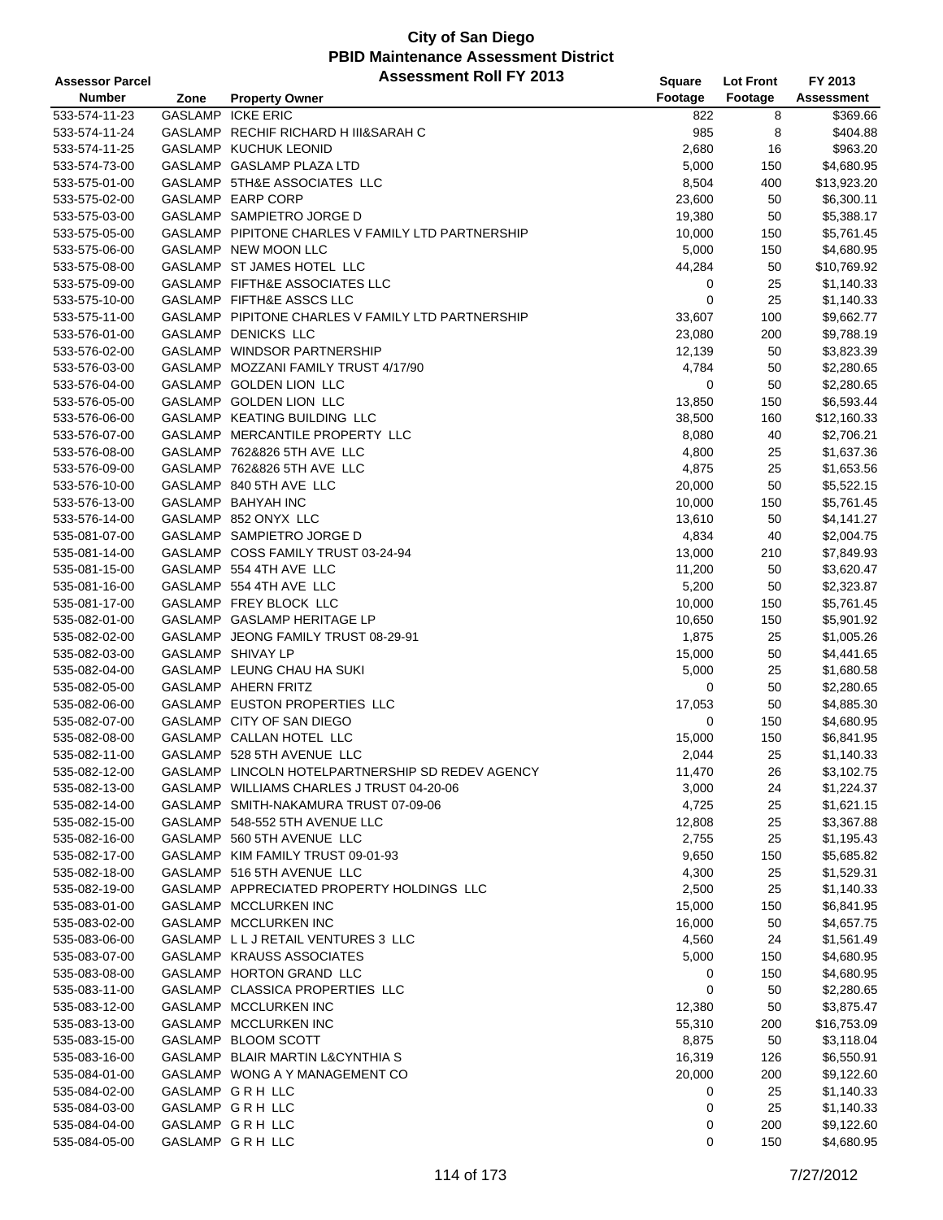| <b>Assessor Parcel</b> |      | <b>Assessment Roll FY 2013</b>                    | <b>Square</b> | <b>Lot Front</b> | FY 2013           |
|------------------------|------|---------------------------------------------------|---------------|------------------|-------------------|
| <b>Number</b>          | Zone | <b>Property Owner</b>                             | Footage       | Footage          | <b>Assessment</b> |
| 533-574-11-23          |      | <b>GASLAMP ICKE ERIC</b>                          | 822           | 8                | \$369.66          |
| 533-574-11-24          |      | GASLAMP RECHIF RICHARD H III&SARAH C              | 985           | 8                | \$404.88          |
| 533-574-11-25          |      | GASLAMP KUCHUK LEONID                             | 2,680         | 16               | \$963.20          |
| 533-574-73-00          |      | GASLAMP GASLAMP PLAZA LTD                         | 5,000         | 150              | \$4,680.95        |
| 533-575-01-00          |      | GASLAMP 5TH&E ASSOCIATES LLC                      | 8,504         | 400              | \$13,923.20       |
| 533-575-02-00          |      | GASLAMP EARP CORP                                 | 23,600        | 50               | \$6,300.11        |
| 533-575-03-00          |      | GASLAMP SAMPIETRO JORGE D                         | 19,380        | 50               | \$5,388.17        |
| 533-575-05-00          |      | GASLAMP PIPITONE CHARLES V FAMILY LTD PARTNERSHIP | 10,000        | 150              | \$5,761.45        |
| 533-575-06-00          |      | GASLAMP NEW MOON LLC                              | 5,000         | 150              | \$4,680.95        |
| 533-575-08-00          |      | GASLAMP ST JAMES HOTEL LLC                        | 44,284        | 50               | \$10,769.92       |
| 533-575-09-00          |      | GASLAMP FIFTH&E ASSOCIATES LLC                    | 0             | 25               | \$1,140.33        |
| 533-575-10-00          |      | GASLAMP FIFTH&E ASSCS LLC                         | $\mathbf 0$   | 25               | \$1,140.33        |
| 533-575-11-00          |      | GASLAMP PIPITONE CHARLES V FAMILY LTD PARTNERSHIP | 33,607        | 100              | \$9,662.77        |
| 533-576-01-00          |      | GASLAMP DENICKS LLC                               | 23,080        | 200              | \$9,788.19        |
| 533-576-02-00          |      | GASLAMP WINDSOR PARTNERSHIP                       | 12,139        | 50               | \$3,823.39        |
|                        |      | GASLAMP MOZZANI FAMILY TRUST 4/17/90              |               | 50               |                   |
| 533-576-03-00          |      |                                                   | 4,784         |                  | \$2,280.65        |
| 533-576-04-00          |      | GASLAMP GOLDEN LION LLC                           | 0             | 50               | \$2,280.65        |
| 533-576-05-00          |      | GASLAMP GOLDEN LION LLC                           | 13,850        | 150              | \$6,593.44        |
| 533-576-06-00          |      | GASLAMP KEATING BUILDING LLC                      | 38,500        | 160              | \$12,160.33       |
| 533-576-07-00          |      | GASLAMP MERCANTILE PROPERTY LLC                   | 8,080         | 40               | \$2,706.21        |
| 533-576-08-00          |      | GASLAMP 762&826 5TH AVE LLC                       | 4,800         | 25               | \$1,637.36        |
| 533-576-09-00          |      | GASLAMP 762&826 5TH AVE LLC                       | 4,875         | 25               | \$1,653.56        |
| 533-576-10-00          |      | GASLAMP 840 5TH AVE LLC                           | 20,000        | 50               | \$5,522.15        |
| 533-576-13-00          |      | GASLAMP BAHYAH INC                                | 10,000        | 150              | \$5,761.45        |
| 533-576-14-00          |      | GASLAMP 852 ONYX LLC                              | 13,610        | 50               | \$4,141.27        |
| 535-081-07-00          |      | GASLAMP SAMPIETRO JORGE D                         | 4,834         | 40               | \$2,004.75        |
| 535-081-14-00          |      | GASLAMP COSS FAMILY TRUST 03-24-94                | 13,000        | 210              | \$7,849.93        |
| 535-081-15-00          |      | GASLAMP 554 4TH AVE LLC                           | 11,200        | 50               | \$3,620.47        |
| 535-081-16-00          |      | GASLAMP 554 4TH AVE LLC                           | 5,200         | 50               | \$2,323.87        |
| 535-081-17-00          |      | GASLAMP FREY BLOCK LLC                            | 10,000        | 150              | \$5,761.45        |
| 535-082-01-00          |      | GASLAMP GASLAMP HERITAGE LP                       | 10,650        | 150              | \$5,901.92        |
| 535-082-02-00          |      | GASLAMP JEONG FAMILY TRUST 08-29-91               | 1,875         | 25               | \$1,005.26        |
| 535-082-03-00          |      | GASLAMP SHIVAY LP                                 | 15,000        | 50               | \$4,441.65        |
| 535-082-04-00          |      | GASLAMP LEUNG CHAU HA SUKI                        | 5,000         | 25               | \$1,680.58        |
| 535-082-05-00          |      | GASLAMP AHERN FRITZ                               | 0             | 50               | \$2,280.65        |
| 535-082-06-00          |      | GASLAMP EUSTON PROPERTIES LLC                     | 17,053        | 50               | \$4,885.30        |
| 535-082-07-00          |      | GASLAMP CITY OF SAN DIEGO                         | 0             | 150              | \$4,680.95        |
| 535-082-08-00          |      | GASLAMP CALLAN HOTEL LLC                          | 15,000        | 150              | \$6,841.95        |
| 535-082-11-00          |      | GASLAMP 528 5TH AVENUE LLC                        | 2,044         | 25               | \$1,140.33        |
| 535-082-12-00          |      | GASLAMP LINCOLN HOTELPARTNERSHIP SD REDEV AGENCY  | 11,470        | 26               | \$3,102.75        |
| 535-082-13-00          |      | GASLAMP WILLIAMS CHARLES J TRUST 04-20-06         | 3,000         | 24               | \$1,224.37        |
| 535-082-14-00          |      | GASLAMP SMITH-NAKAMURA TRUST 07-09-06             | 4,725         | 25               | \$1,621.15        |
| 535-082-15-00          |      | GASLAMP 548-552 5TH AVENUE LLC                    | 12,808        | 25               | \$3,367.88        |
| 535-082-16-00          |      | GASLAMP 560 5TH AVENUE LLC                        | 2,755         | 25               | \$1,195.43        |
| 535-082-17-00          |      | GASLAMP KIM FAMILY TRUST 09-01-93                 | 9,650         | 150              | \$5,685.82        |
| 535-082-18-00          |      | GASLAMP 516 5TH AVENUE LLC                        | 4,300         | 25               | \$1,529.31        |
| 535-082-19-00          |      | GASLAMP APPRECIATED PROPERTY HOLDINGS LLC         | 2,500         | 25               | \$1,140.33        |
| 535-083-01-00          |      | GASLAMP MCCLURKEN INC                             | 15,000        | 150              | \$6,841.95        |
| 535-083-02-00          |      | GASLAMP MCCLURKEN INC                             | 16,000        | 50               | \$4,657.75        |
| 535-083-06-00          |      | GASLAMP LLJRETAIL VENTURES 3 LLC                  | 4,560         | 24               | \$1,561.49        |
| 535-083-07-00          |      | GASLAMP KRAUSS ASSOCIATES                         | 5,000         | 150              | \$4,680.95        |
| 535-083-08-00          |      | GASLAMP HORTON GRAND LLC                          | 0             | 150              | \$4,680.95        |
| 535-083-11-00          |      | GASLAMP CLASSICA PROPERTIES LLC                   | 0             | 50               | \$2,280.65        |
| 535-083-12-00          |      | GASLAMP MCCLURKEN INC                             | 12,380        | 50               | \$3,875.47        |
| 535-083-13-00          |      | GASLAMP MCCLURKEN INC                             | 55,310        | 200              | \$16,753.09       |
| 535-083-15-00          |      | GASLAMP BLOOM SCOTT                               | 8,875         | 50               | \$3,118.04        |
| 535-083-16-00          |      | GASLAMP BLAIR MARTIN L&CYNTHIA S                  | 16,319        | 126              | \$6,550.91        |
| 535-084-01-00          |      | GASLAMP WONG A Y MANAGEMENT CO                    | 20,000        | 200              | \$9,122.60        |
| 535-084-02-00          |      | GASLAMP GRH LLC                                   | 0             | 25               | \$1,140.33        |
| 535-084-03-00          |      | GASLAMP GRH LLC                                   | 0             | 25               | \$1,140.33        |
| 535-084-04-00          |      | GASLAMP GRH LLC                                   | 0             | 200              | \$9,122.60        |
| 535-084-05-00          |      | GASLAMP GRH LLC                                   | 0             | 150              | \$4,680.95        |
|                        |      |                                                   |               |                  |                   |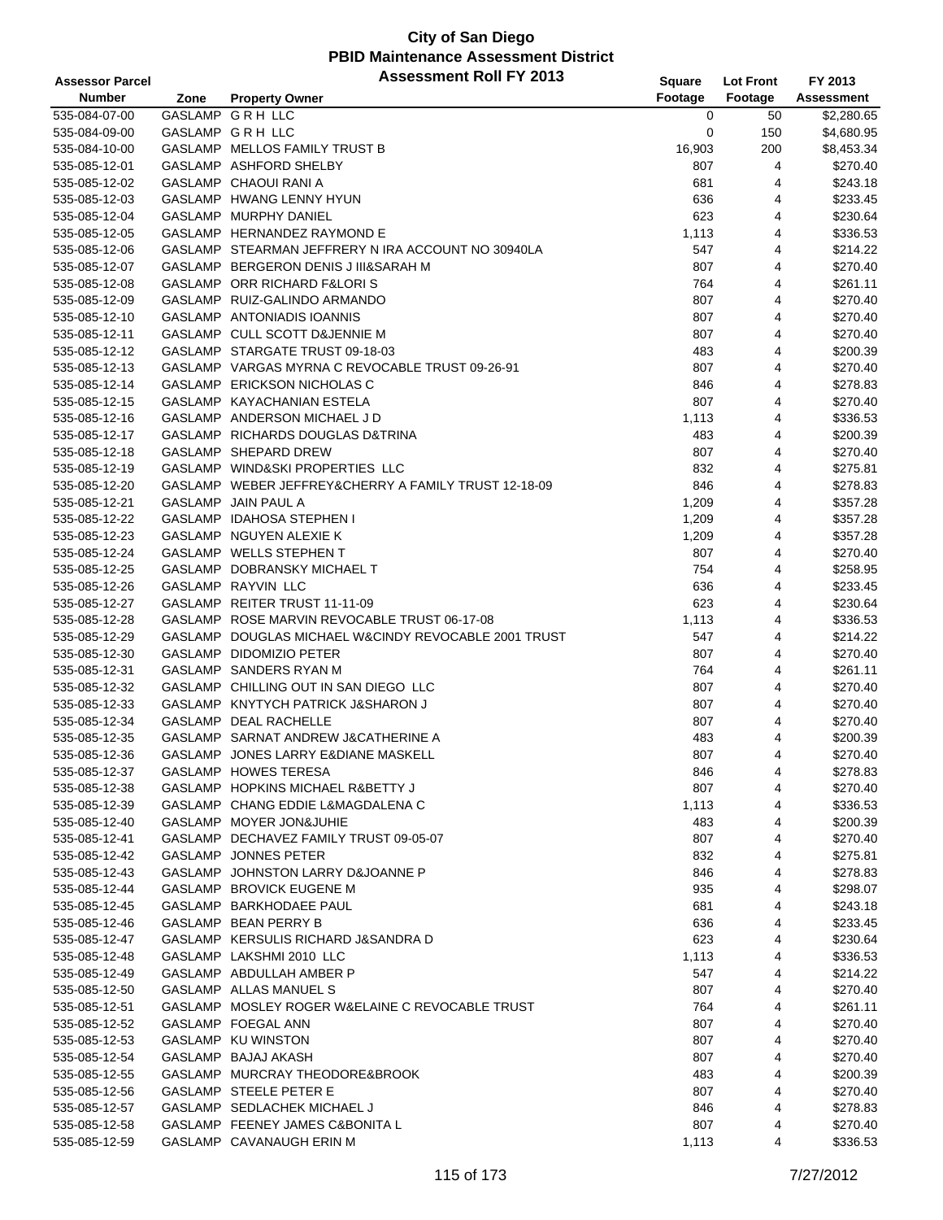| <b>Assessor Parcel</b> |      | <b>Assessment Roll FY 2013</b>                       | Square  | <b>Lot Front</b> | FY 2013           |
|------------------------|------|------------------------------------------------------|---------|------------------|-------------------|
| <b>Number</b>          | Zone | <b>Property Owner</b>                                | Footage | Footage          | <b>Assessment</b> |
| 535-084-07-00          |      | GASLAMP GRH LLC                                      | 0       | 50               | \$2,280.65        |
| 535-084-09-00          |      | GASLAMP GRH LLC                                      | 0       | 150              | \$4,680.95        |
| 535-084-10-00          |      | GASLAMP MELLOS FAMILY TRUST B                        | 16,903  | 200              | \$8,453.34        |
| 535-085-12-01          |      | GASLAMP ASHFORD SHELBY                               | 807     | 4                | \$270.40          |
| 535-085-12-02          |      | GASLAMP CHAOUI RANI A                                | 681     | 4                | \$243.18          |
| 535-085-12-03          |      | GASLAMP HWANG LENNY HYUN                             | 636     | 4                | \$233.45          |
| 535-085-12-04          |      | GASLAMP MURPHY DANIEL                                | 623     | 4                | \$230.64          |
| 535-085-12-05          |      | GASLAMP HERNANDEZ RAYMOND E                          | 1,113   | 4                | \$336.53          |
| 535-085-12-06          |      | GASLAMP STEARMAN JEFFRERY N IRA ACCOUNT NO 30940LA   | 547     | 4                | \$214.22          |
| 535-085-12-07          |      | GASLAMP BERGERON DENIS J III&SARAH M                 | 807     | 4                | \$270.40          |
| 535-085-12-08          |      | GASLAMP ORR RICHARD F&LORIS                          | 764     | 4                | \$261.11          |
| 535-085-12-09          |      | GASLAMP RUIZ-GALINDO ARMANDO                         | 807     | 4                | \$270.40          |
| 535-085-12-10          |      | GASLAMP ANTONIADIS IOANNIS                           | 807     | 4                | \$270.40          |
| 535-085-12-11          |      | GASLAMP CULL SCOTT D&JENNIE M                        | 807     | 4                | \$270.40          |
| 535-085-12-12          |      | GASLAMP STARGATE TRUST 09-18-03                      | 483     | 4                | \$200.39          |
| 535-085-12-13          |      | GASLAMP VARGAS MYRNA C REVOCABLE TRUST 09-26-91      | 807     | 4                | \$270.40          |
| 535-085-12-14          |      | GASLAMP ERICKSON NICHOLAS C                          | 846     | 4                | \$278.83          |
| 535-085-12-15          |      | GASLAMP KAYACHANIAN ESTELA                           | 807     | 4                | \$270.40          |
| 535-085-12-16          |      | GASLAMP ANDERSON MICHAEL J D                         | 1,113   | 4                | \$336.53          |
| 535-085-12-17          |      | GASLAMP RICHARDS DOUGLAS D&TRINA                     | 483     | 4                | \$200.39          |
| 535-085-12-18          |      | GASLAMP SHEPARD DREW                                 | 807     | 4                | \$270.40          |
| 535-085-12-19          |      | GASLAMP WIND&SKI PROPERTIES LLC                      | 832     | 4                | \$275.81          |
| 535-085-12-20          |      | GASLAMP WEBER JEFFREY&CHERRY A FAMILY TRUST 12-18-09 | 846     | 4                | \$278.83          |
| 535-085-12-21          |      | GASLAMP JAIN PAUL A                                  | 1,209   | 4                | \$357.28          |
| 535-085-12-22          |      | GASLAMP IDAHOSA STEPHEN I                            | 1,209   | 4                | \$357.28          |
| 535-085-12-23          |      | GASLAMP NGUYEN ALEXIE K                              | 1,209   | 4                | \$357.28          |
| 535-085-12-24          |      | GASLAMP WELLS STEPHEN T                              | 807     | 4                | \$270.40          |
| 535-085-12-25          |      | GASLAMP DOBRANSKY MICHAEL T                          | 754     | 4                | \$258.95          |
| 535-085-12-26          |      | GASLAMP RAYVIN LLC                                   | 636     | 4                | \$233.45          |
| 535-085-12-27          |      | GASLAMP REITER TRUST 11-11-09                        | 623     | 4                | \$230.64          |
| 535-085-12-28          |      | GASLAMP ROSE MARVIN REVOCABLE TRUST 06-17-08         | 1,113   | 4                | \$336.53          |
| 535-085-12-29          |      | GASLAMP DOUGLAS MICHAEL W&CINDY REVOCABLE 2001 TRUST | 547     | 4                | \$214.22          |
| 535-085-12-30          |      | GASLAMP DIDOMIZIO PETER                              | 807     | 4                | \$270.40          |
| 535-085-12-31          |      | GASLAMP SANDERS RYAN M                               | 764     | 4                | \$261.11          |
| 535-085-12-32          |      | GASLAMP CHILLING OUT IN SAN DIEGO LLC                | 807     | 4                | \$270.40          |
| 535-085-12-33          |      | GASLAMP KNYTYCH PATRICK J&SHARON J                   | 807     | 4                | \$270.40          |
| 535-085-12-34          |      | GASLAMP DEAL RACHELLE                                | 807     | 4                | \$270.40          |
| 535-085-12-35          |      | GASLAMP SARNAT ANDREW J&CATHERINE A                  | 483     | 4                | \$200.39          |
| 535-085-12-36          |      | GASLAMP JONES LARRY E&DIANE MASKELL                  | 807     | 4                | \$270.40          |
| 535-085-12-37          |      | <b>GASLAMP HOWES TERESA</b>                          | 846     | 4                | \$278.83          |
| 535-085-12-38          |      | GASLAMP HOPKINS MICHAEL R&BETTY J                    | 807     | 4                | \$270.40          |
| 535-085-12-39          |      | GASLAMP CHANG EDDIE L&MAGDALENA C                    | 1,113   | 4                | \$336.53          |
| 535-085-12-40          |      | GASLAMP MOYER JON&JUHIE                              | 483     | 4                | \$200.39          |
| 535-085-12-41          |      | GASLAMP DECHAVEZ FAMILY TRUST 09-05-07               | 807     | 4                | \$270.40          |
| 535-085-12-42          |      | <b>GASLAMP JONNES PETER</b>                          | 832     | 4                | \$275.81          |
| 535-085-12-43          |      | GASLAMP JOHNSTON LARRY D&JOANNE P                    | 846     | 4                | \$278.83          |
| 535-085-12-44          |      | GASLAMP BROVICK EUGENE M                             | 935     | 4                | \$298.07          |
| 535-085-12-45          |      | GASLAMP BARKHODAEE PAUL                              | 681     | 4                | \$243.18          |
| 535-085-12-46          |      | GASLAMP BEAN PERRY B                                 | 636     | 4                | \$233.45          |
| 535-085-12-47          |      | GASLAMP KERSULIS RICHARD J&SANDRA D                  | 623     | 4                | \$230.64          |
| 535-085-12-48          |      | GASLAMP LAKSHMI 2010 LLC                             | 1,113   | 4                | \$336.53          |
| 535-085-12-49          |      | GASLAMP ABDULLAH AMBER P                             | 547     | 4                | \$214.22          |
| 535-085-12-50          |      | GASLAMP ALLAS MANUEL S                               | 807     | 4                | \$270.40          |
| 535-085-12-51          |      | GASLAMP MOSLEY ROGER W&ELAINE C REVOCABLE TRUST      | 764     | 4                | \$261.11          |
| 535-085-12-52          |      | GASLAMP FOEGAL ANN                                   | 807     | 4                | \$270.40          |
| 535-085-12-53          |      | GASLAMP KU WINSTON                                   | 807     | 4                | \$270.40          |
| 535-085-12-54          |      | GASLAMP BAJAJ AKASH                                  | 807     | 4                | \$270.40          |
| 535-085-12-55          |      | GASLAMP MURCRAY THEODORE&BROOK                       | 483     | 4                | \$200.39          |
| 535-085-12-56          |      | GASLAMP STEELE PETER E                               | 807     | 4                | \$270.40          |
| 535-085-12-57          |      | GASLAMP SEDLACHEK MICHAEL J                          | 846     | 4                | \$278.83          |
| 535-085-12-58          |      | GASLAMP FEENEY JAMES C&BONITA L                      | 807     | 4                | \$270.40          |
| 535-085-12-59          |      | GASLAMP CAVANAUGH ERIN M                             | 1,113   | 4                | \$336.53          |
|                        |      |                                                      |         |                  |                   |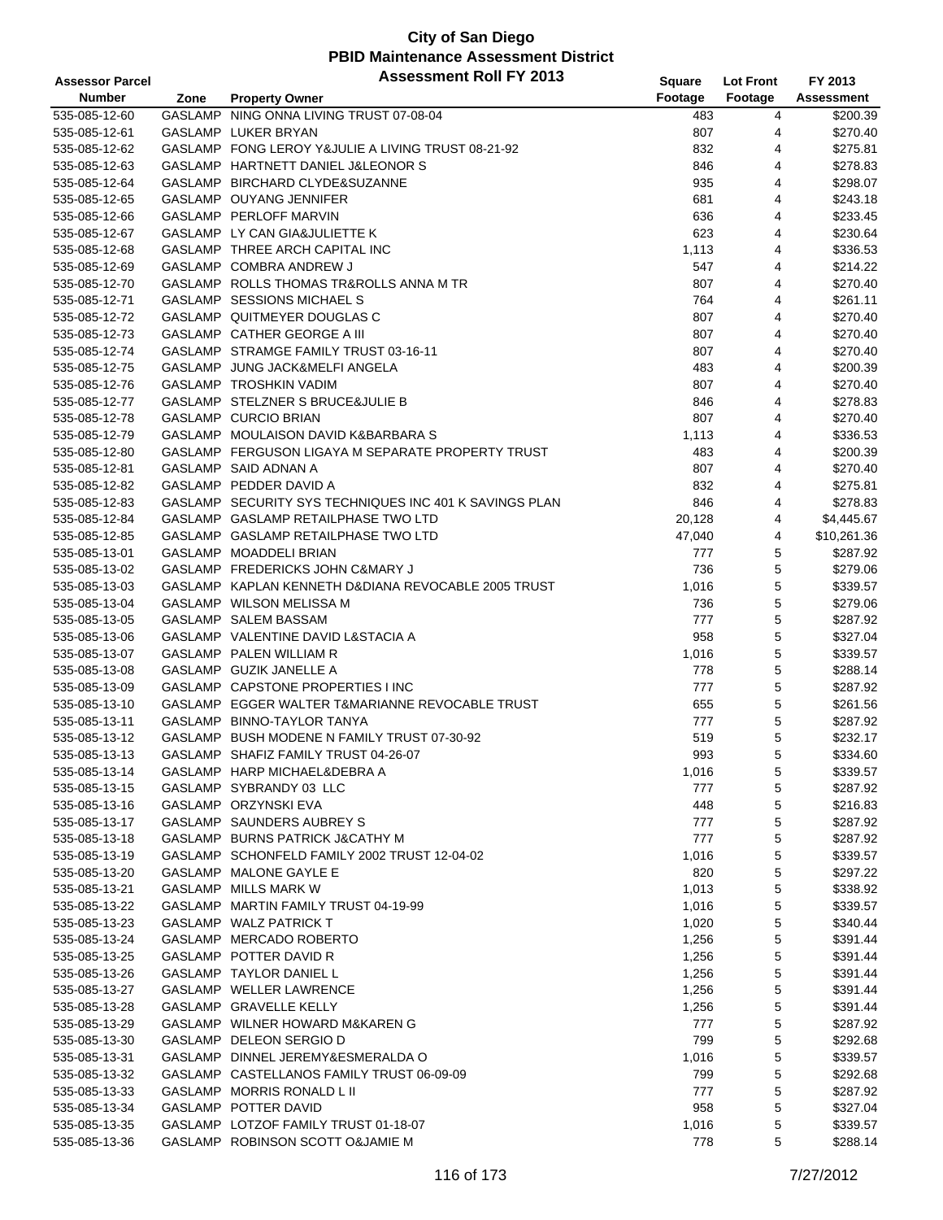| <b>Assessor Parcel</b> |      | <b>Assessment Roll FY 2013</b>                         | Square  | <b>Lot Front</b> | FY 2013     |
|------------------------|------|--------------------------------------------------------|---------|------------------|-------------|
| <b>Number</b>          | Zone | <b>Property Owner</b>                                  | Footage | Footage          | Assessment  |
| 535-085-12-60          |      | GASLAMP NING ONNA LIVING TRUST 07-08-04                | 483     | 4                | \$200.39    |
| 535-085-12-61          |      | GASLAMP LUKER BRYAN                                    | 807     | 4                | \$270.40    |
| 535-085-12-62          |      | GASLAMP FONG LEROY Y&JULIE A LIVING TRUST 08-21-92     | 832     | 4                | \$275.81    |
| 535-085-12-63          |      | GASLAMP HARTNETT DANIEL J&LEONOR S                     | 846     | 4                | \$278.83    |
| 535-085-12-64          |      | GASLAMP BIRCHARD CLYDE&SUZANNE                         | 935     | 4                | \$298.07    |
| 535-085-12-65          |      | GASLAMP OUYANG JENNIFER                                | 681     | 4                | \$243.18    |
| 535-085-12-66          |      | GASLAMP PERLOFF MARVIN                                 | 636     | 4                | \$233.45    |
| 535-085-12-67          |      | GASLAMP LY CAN GIA&JULIETTE K                          | 623     | 4                | \$230.64    |
| 535-085-12-68          |      | GASLAMP THREE ARCH CAPITAL INC                         | 1,113   | 4                | \$336.53    |
| 535-085-12-69          |      | GASLAMP COMBRA ANDREW J                                | 547     | 4                | \$214.22    |
| 535-085-12-70          |      | GASLAMP ROLLS THOMAS TR&ROLLS ANNA M TR                | 807     | 4                | \$270.40    |
| 535-085-12-71          |      | GASLAMP SESSIONS MICHAEL S                             | 764     | 4                | \$261.11    |
| 535-085-12-72          |      | GASLAMP QUITMEYER DOUGLAS C                            | 807     | 4                | \$270.40    |
| 535-085-12-73          |      | GASLAMP CATHER GEORGE A III                            | 807     | 4                | \$270.40    |
| 535-085-12-74          |      | GASLAMP STRAMGE FAMILY TRUST 03-16-11                  | 807     | 4                | \$270.40    |
| 535-085-12-75          |      | GASLAMP JUNG JACK&MELFI ANGELA                         | 483     | 4                | \$200.39    |
| 535-085-12-76          |      | GASLAMP TROSHKIN VADIM                                 | 807     | 4                | \$270.40    |
| 535-085-12-77          |      | GASLAMP STELZNER S BRUCE&JULIE B                       | 846     | 4                | \$278.83    |
| 535-085-12-78          |      | GASLAMP CURCIO BRIAN                                   | 807     | 4                | \$270.40    |
| 535-085-12-79          |      | GASLAMP MOULAISON DAVID K&BARBARA S                    | 1,113   | 4                | \$336.53    |
| 535-085-12-80          |      | GASLAMP FERGUSON LIGAYA M SEPARATE PROPERTY TRUST      | 483     | 4                | \$200.39    |
| 535-085-12-81          |      | GASLAMP SAID ADNAN A                                   | 807     | 4                | \$270.40    |
| 535-085-12-82          |      | GASLAMP PEDDER DAVID A                                 | 832     | 4                | \$275.81    |
| 535-085-12-83          |      | GASLAMP SECURITY SYS TECHNIQUES INC 401 K SAVINGS PLAN | 846     | 4                | \$278.83    |
| 535-085-12-84          |      | GASLAMP GASLAMP RETAILPHASE TWO LTD                    | 20,128  | 4                | \$4,445.67  |
| 535-085-12-85          |      | GASLAMP GASLAMP RETAILPHASE TWO LTD                    | 47,040  | 4                | \$10,261.36 |
| 535-085-13-01          |      | GASLAMP MOADDELI BRIAN                                 | 777     | 5                | \$287.92    |
| 535-085-13-02          |      | GASLAMP FREDERICKS JOHN C&MARY J                       | 736     | 5                | \$279.06    |
| 535-085-13-03          |      | GASLAMP KAPLAN KENNETH D&DIANA REVOCABLE 2005 TRUST    | 1,016   | 5                | \$339.57    |
| 535-085-13-04          |      | GASLAMP WILSON MELISSA M                               | 736     | 5                | \$279.06    |
| 535-085-13-05          |      | GASLAMP SALEM BASSAM                                   | 777     | 5                | \$287.92    |
| 535-085-13-06          |      | GASLAMP VALENTINE DAVID L&STACIA A                     | 958     | 5                | \$327.04    |
| 535-085-13-07          |      | GASLAMP PALEN WILLIAM R                                | 1,016   | 5                | \$339.57    |
| 535-085-13-08          |      | GASLAMP GUZIK JANELLE A                                | 778     | 5                | \$288.14    |
| 535-085-13-09          |      | GASLAMP CAPSTONE PROPERTIES I INC                      | 777     | 5                | \$287.92    |
| 535-085-13-10          |      | GASLAMP EGGER WALTER T&MARIANNE REVOCABLE TRUST        | 655     | 5                | \$261.56    |
| 535-085-13-11          |      | GASLAMP BINNO-TAYLOR TANYA                             | 777     | 5                | \$287.92    |
| 535-085-13-12          |      | GASLAMP BUSH MODENE N FAMILY TRUST 07-30-92            | 519     | 5                | \$232.17    |
| 535-085-13-13          |      | GASLAMP SHAFIZ FAMILY TRUST 04-26-07                   | 993     | 5                | \$334.60    |
| 535-085-13-14          |      | GASLAMP HARP MICHAEL&DEBRA A                           | 1,016   | 5                | \$339.57    |
| 535-085-13-15          |      | GASLAMP SYBRANDY 03 LLC                                | 777     | 5                | \$287.92    |
| 535-085-13-16          |      | GASLAMP ORZYNSKI EVA                                   | 448     | 5                | \$216.83    |
| 535-085-13-17          |      | GASLAMP SAUNDERS AUBREY S                              | 777     | 5                | \$287.92    |
| 535-085-13-18          |      | GASLAMP BURNS PATRICK J&CATHY M                        | 777     | 5                | \$287.92    |
| 535-085-13-19          |      | GASLAMP SCHONFELD FAMILY 2002 TRUST 12-04-02           | 1,016   | 5                | \$339.57    |
| 535-085-13-20          |      | GASLAMP MALONE GAYLE E                                 | 820     | 5                | \$297.22    |
| 535-085-13-21          |      | GASLAMP MILLS MARK W                                   | 1,013   | 5                | \$338.92    |
| 535-085-13-22          |      | GASLAMP MARTIN FAMILY TRUST 04-19-99                   | 1,016   | 5                | \$339.57    |
| 535-085-13-23          |      | GASLAMP WALZ PATRICK T                                 | 1,020   | 5                | \$340.44    |
| 535-085-13-24          |      | GASLAMP MERCADO ROBERTO                                | 1,256   | 5                | \$391.44    |
| 535-085-13-25          |      | GASLAMP POTTER DAVID R                                 | 1,256   | 5                | \$391.44    |
| 535-085-13-26          |      | GASLAMP TAYLOR DANIEL L                                | 1,256   | 5                | \$391.44    |
| 535-085-13-27          |      | GASLAMP WELLER LAWRENCE                                | 1,256   | 5                | \$391.44    |
| 535-085-13-28          |      | GASLAMP GRAVELLE KELLY                                 | 1,256   | 5                | \$391.44    |
| 535-085-13-29          |      | GASLAMP WILNER HOWARD M&KAREN G                        | 777     | 5                | \$287.92    |
| 535-085-13-30          |      | GASLAMP DELEON SERGIO D                                | 799     | 5                | \$292.68    |
| 535-085-13-31          |      | GASLAMP DINNEL JEREMY&ESMERALDA O                      | 1,016   | 5                | \$339.57    |
| 535-085-13-32          |      | GASLAMP CASTELLANOS FAMILY TRUST 06-09-09              | 799     | 5                | \$292.68    |
| 535-085-13-33          |      | GASLAMP MORRIS RONALD L II                             | 777     | 5                | \$287.92    |
| 535-085-13-34          |      | GASLAMP POTTER DAVID                                   | 958     | 5                | \$327.04    |
| 535-085-13-35          |      | GASLAMP LOTZOF FAMILY TRUST 01-18-07                   | 1,016   | 5                | \$339.57    |
| 535-085-13-36          |      | GASLAMP ROBINSON SCOTT O&JAMIE M                       | 778     | 5                | \$288.14    |
|                        |      |                                                        |         |                  |             |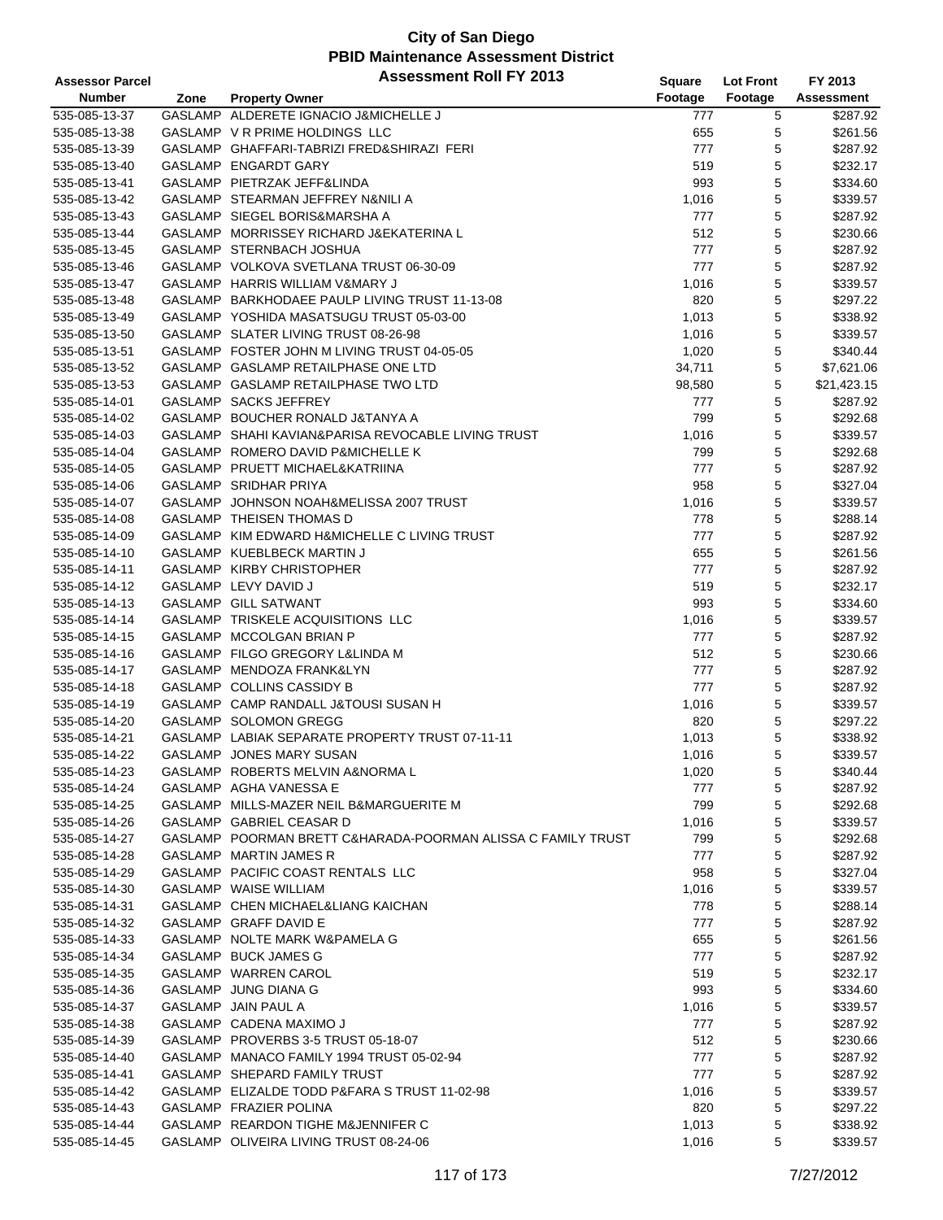| <b>Assessor Parcel</b> |      | <b>Assessment Roll FY 2013</b>                               | Square  | <b>Lot Front</b> | FY 2013           |
|------------------------|------|--------------------------------------------------------------|---------|------------------|-------------------|
| <b>Number</b>          | Zone | <b>Property Owner</b>                                        | Footage | Footage          | <b>Assessment</b> |
| 535-085-13-37          |      | GASLAMP ALDERETE IGNACIO J&MICHELLE J                        | 777     | 5                | \$287.92          |
| 535-085-13-38          |      | GASLAMP V R PRIME HOLDINGS LLC                               | 655     | 5                | \$261.56          |
| 535-085-13-39          |      | GASLAMP GHAFFARI-TABRIZI FRED&SHIRAZI FERI                   | 777     | 5                | \$287.92          |
| 535-085-13-40          |      | GASLAMP ENGARDT GARY                                         | 519     | 5                | \$232.17          |
| 535-085-13-41          |      | GASLAMP PIETRZAK JEFF&LINDA                                  | 993     | 5                | \$334.60          |
| 535-085-13-42          |      | GASLAMP STEARMAN JEFFREY N&NILI A                            | 1,016   | 5                | \$339.57          |
| 535-085-13-43          |      | GASLAMP SIEGEL BORIS&MARSHA A                                | 777     | 5                | \$287.92          |
| 535-085-13-44          |      | GASLAMP MORRISSEY RICHARD J&EKATERINA L                      | 512     | 5                | \$230.66          |
| 535-085-13-45          |      | GASLAMP STERNBACH JOSHUA                                     | 777     | 5                | \$287.92          |
| 535-085-13-46          |      | GASLAMP VOLKOVA SVETLANA TRUST 06-30-09                      | 777     | 5                | \$287.92          |
| 535-085-13-47          |      | GASLAMP HARRIS WILLIAM V&MARY J                              | 1,016   | 5                | \$339.57          |
| 535-085-13-48          |      | GASLAMP BARKHODAEE PAULP LIVING TRUST 11-13-08               | 820     | 5                | \$297.22          |
| 535-085-13-49          |      | GASLAMP YOSHIDA MASATSUGU TRUST 05-03-00                     | 1,013   | 5                | \$338.92          |
| 535-085-13-50          |      | GASLAMP SLATER LIVING TRUST 08-26-98                         | 1,016   | 5                | \$339.57          |
| 535-085-13-51          |      | GASLAMP FOSTER JOHN M LIVING TRUST 04-05-05                  | 1,020   | 5                | \$340.44          |
| 535-085-13-52          |      | GASLAMP GASLAMP RETAILPHASE ONE LTD                          | 34,711  | 5                | \$7,621.06        |
| 535-085-13-53          |      | GASLAMP GASLAMP RETAILPHASE TWO LTD                          | 98,580  | 5                | \$21,423.15       |
| 535-085-14-01          |      | GASLAMP SACKS JEFFREY                                        | 777     | 5                | \$287.92          |
| 535-085-14-02          |      | GASLAMP BOUCHER RONALD J&TANYA A                             | 799     | 5                | \$292.68          |
| 535-085-14-03          |      | GASLAMP SHAHI KAVIAN&PARISA REVOCABLE LIVING TRUST           | 1,016   | 5                | \$339.57          |
| 535-085-14-04          |      | GASLAMP ROMERO DAVID P&MICHELLE K                            | 799     | 5                | \$292.68          |
| 535-085-14-05          |      | GASLAMP PRUETT MICHAEL&KATRIINA                              | 777     | 5                | \$287.92          |
| 535-085-14-06          |      | <b>GASLAMP SRIDHAR PRIYA</b>                                 | 958     | 5                | \$327.04          |
| 535-085-14-07          |      | GASLAMP JOHNSON NOAH&MELISSA 2007 TRUST                      | 1,016   | 5                | \$339.57          |
| 535-085-14-08          |      | <b>GASLAMP THEISEN THOMAS D</b>                              | 778     | 5                | \$288.14          |
| 535-085-14-09          |      | GASLAMP KIM EDWARD H&MICHELLE C LIVING TRUST                 | 777     | 5                | \$287.92          |
| 535-085-14-10          |      | GASLAMP KUEBLBECK MARTIN J                                   | 655     | 5                | \$261.56          |
| 535-085-14-11          |      | GASLAMP KIRBY CHRISTOPHER                                    | 777     | 5                | \$287.92          |
| 535-085-14-12          |      | GASLAMP LEVY DAVID J                                         | 519     | 5                | \$232.17          |
| 535-085-14-13          |      | GASLAMP GILL SATWANT                                         | 993     | 5                | \$334.60          |
| 535-085-14-14          |      | GASLAMP TRISKELE ACQUISITIONS LLC                            | 1,016   | 5                | \$339.57          |
| 535-085-14-15          |      | GASLAMP MCCOLGAN BRIAN P                                     | 777     | 5                | \$287.92          |
| 535-085-14-16          |      | GASLAMP FILGO GREGORY L&LINDA M                              | 512     | 5                | \$230.66          |
| 535-085-14-17          |      | GASLAMP MENDOZA FRANK&LYN                                    | 777     | 5                | \$287.92          |
| 535-085-14-18          |      | GASLAMP COLLINS CASSIDY B                                    | 777     | 5                | \$287.92          |
| 535-085-14-19          |      | GASLAMP CAMP RANDALL J&TOUSI SUSAN H                         | 1,016   | 5                | \$339.57          |
| 535-085-14-20          |      | GASLAMP SOLOMON GREGG                                        | 820     | 5                | \$297.22          |
| 535-085-14-21          |      | GASLAMP LABIAK SEPARATE PROPERTY TRUST 07-11-11              | 1,013   | 5                | \$338.92          |
| 535-085-14-22          |      | GASLAMP JONES MARY SUSAN                                     | 1,016   | 5                | \$339.57          |
| 535-085-14-23          |      | GASLAMP ROBERTS MELVIN A&NORMA L                             | 1,020   | 5                | \$340.44          |
| 535-085-14-24          |      | GASLAMP AGHA VANESSA E                                       | 777     | 5                | \$287.92          |
| 535-085-14-25          |      | GASLAMP MILLS-MAZER NEIL B&MARGUERITE M                      | 799     | 5                | \$292.68          |
| 535-085-14-26          |      | GASLAMP GABRIEL CEASAR D                                     | 1,016   | 5                | \$339.57          |
| 535-085-14-27          |      | GASLAMP POORMAN BRETT C&HARADA-POORMAN ALISSA C FAMILY TRUST | 799     | 5                | \$292.68          |
| 535-085-14-28          |      | GASLAMP MARTIN JAMES R                                       | 777     | 5                | \$287.92          |
| 535-085-14-29          |      | GASLAMP PACIFIC COAST RENTALS LLC                            | 958     | 5                | \$327.04          |
| 535-085-14-30          |      | GASLAMP WAISE WILLIAM                                        | 1,016   | 5                | \$339.57          |
| 535-085-14-31          |      | GASLAMP CHEN MICHAEL&LIANG KAICHAN                           | 778     | 5                | \$288.14          |
| 535-085-14-32          |      | GASLAMP GRAFF DAVID E                                        | 777     | 5                | \$287.92          |
| 535-085-14-33          |      | GASLAMP NOLTE MARK W&PAMELA G                                | 655     | 5                | \$261.56          |
| 535-085-14-34          |      | GASLAMP BUCK JAMES G                                         | 777     | 5                | \$287.92          |
| 535-085-14-35          |      | GASLAMP WARREN CAROL                                         | 519     | 5                | \$232.17          |
| 535-085-14-36          |      | GASLAMP JUNG DIANA G                                         | 993     | 5                | \$334.60          |
| 535-085-14-37          |      | GASLAMP JAIN PAUL A                                          | 1,016   | 5                | \$339.57          |
| 535-085-14-38          |      | GASLAMP CADENA MAXIMO J                                      | 777     | 5                | \$287.92          |
| 535-085-14-39          |      | GASLAMP PROVERBS 3-5 TRUST 05-18-07                          | 512     | 5                | \$230.66          |
| 535-085-14-40          |      | GASLAMP MANACO FAMILY 1994 TRUST 05-02-94                    | 777     | 5                | \$287.92          |
| 535-085-14-41          |      | GASLAMP SHEPARD FAMILY TRUST                                 | 777     | 5                | \$287.92          |
| 535-085-14-42          |      | GASLAMP ELIZALDE TODD P&FARA S TRUST 11-02-98                | 1,016   | 5                | \$339.57          |
| 535-085-14-43          |      | GASLAMP FRAZIER POLINA                                       | 820     | 5                | \$297.22          |
| 535-085-14-44          |      | GASLAMP REARDON TIGHE M&JENNIFER C                           | 1,013   | 5                | \$338.92          |
| 535-085-14-45          |      | GASLAMP OLIVEIRA LIVING TRUST 08-24-06                       | 1,016   | 5                | \$339.57          |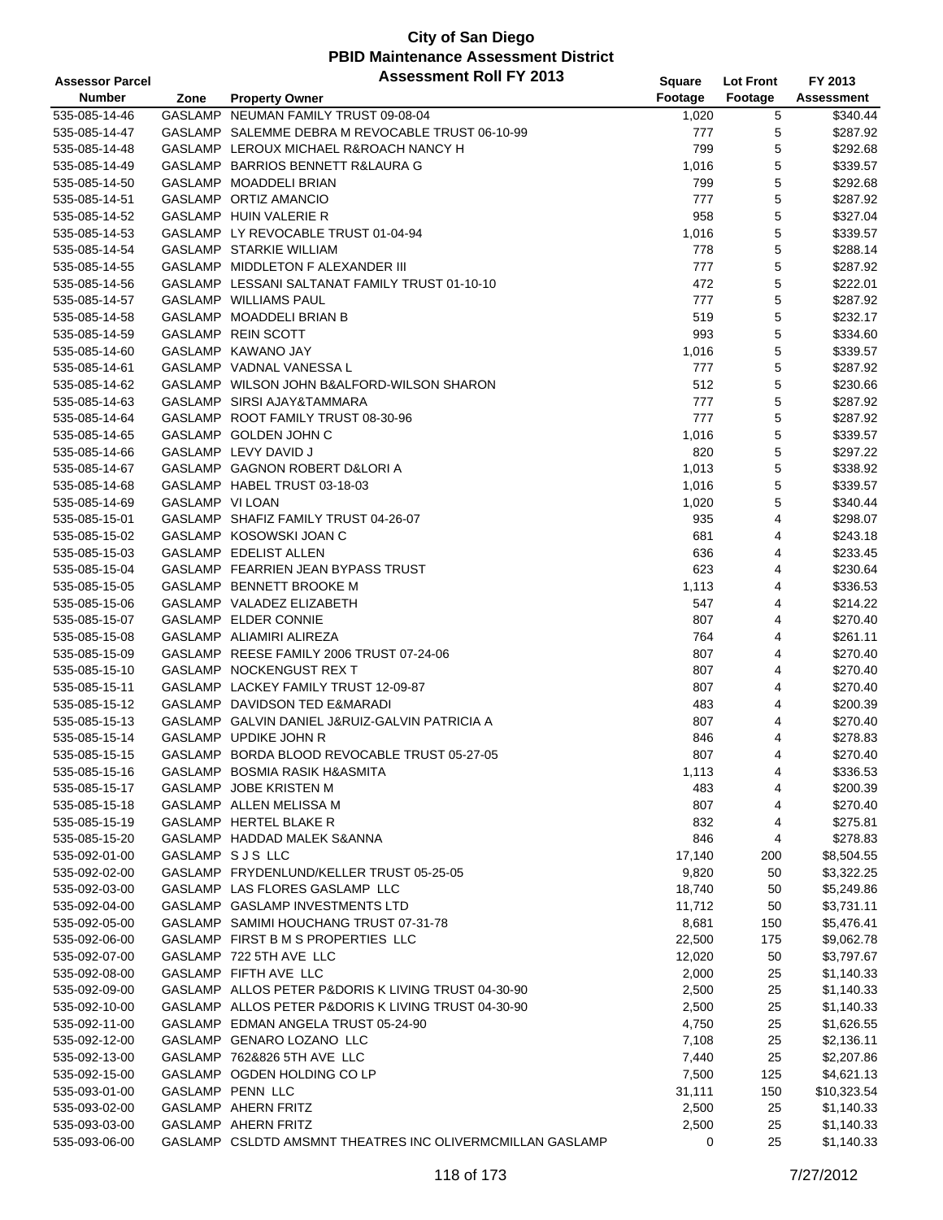| <b>Assessor Parcel</b> |                 | <b>Assessment Roll FY 2013</b>                            | <b>Square</b> | <b>Lot Front</b> | FY 2013           |
|------------------------|-----------------|-----------------------------------------------------------|---------------|------------------|-------------------|
| <b>Number</b>          | Zone            | <b>Property Owner</b>                                     | Footage       | Footage          | <b>Assessment</b> |
| 535-085-14-46          |                 | GASLAMP NEUMAN FAMILY TRUST 09-08-04                      | 1,020         | 5                | \$340.44          |
| 535-085-14-47          |                 | GASLAMP SALEMME DEBRA M REVOCABLE TRUST 06-10-99          | 777           | 5                | \$287.92          |
| 535-085-14-48          |                 | GASLAMP LEROUX MICHAEL R&ROACH NANCY H                    | 799           | 5                | \$292.68          |
| 535-085-14-49          |                 | GASLAMP BARRIOS BENNETT R&LAURA G                         | 1,016         | 5                | \$339.57          |
| 535-085-14-50          |                 | GASLAMP MOADDELI BRIAN                                    | 799           | 5                | \$292.68          |
| 535-085-14-51          |                 | GASLAMP ORTIZ AMANCIO                                     | 777           | 5                | \$287.92          |
| 535-085-14-52          |                 | GASLAMP HUIN VALERIE R                                    | 958           | 5                | \$327.04          |
| 535-085-14-53          |                 | GASLAMP LY REVOCABLE TRUST 01-04-94                       | 1,016         | 5                | \$339.57          |
| 535-085-14-54          |                 | GASLAMP STARKIE WILLIAM                                   | 778           | 5                | \$288.14          |
| 535-085-14-55          |                 | GASLAMP MIDDLETON F ALEXANDER III                         | 777           | 5                | \$287.92          |
| 535-085-14-56          |                 | GASLAMP LESSANI SALTANAT FAMILY TRUST 01-10-10            | 472           | 5                | \$222.01          |
| 535-085-14-57          |                 | GASLAMP WILLIAMS PAUL                                     | 777           | 5                | \$287.92          |
| 535-085-14-58          |                 | GASLAMP MOADDELI BRIAN B                                  | 519           | 5                | \$232.17          |
| 535-085-14-59          |                 | GASLAMP REIN SCOTT                                        | 993           | 5                | \$334.60          |
| 535-085-14-60          |                 | GASLAMP KAWANO JAY                                        | 1,016         | 5                | \$339.57          |
| 535-085-14-61          |                 | GASLAMP VADNAL VANESSA L                                  | 777           | 5                | \$287.92          |
| 535-085-14-62          |                 | GASLAMP WILSON JOHN B&ALFORD-WILSON SHARON                | 512           | 5                | \$230.66          |
| 535-085-14-63          |                 | GASLAMP SIRSI AJAY&TAMMARA                                | 777           | 5                | \$287.92          |
| 535-085-14-64          |                 | GASLAMP ROOT FAMILY TRUST 08-30-96                        | 777           | 5                | \$287.92          |
| 535-085-14-65          |                 | GASLAMP GOLDEN JOHN C                                     | 1,016         | 5                | \$339.57          |
| 535-085-14-66          |                 | GASLAMP LEVY DAVID J                                      | 820           | 5                | \$297.22          |
| 535-085-14-67          |                 | GASLAMP GAGNON ROBERT D&LORI A                            | 1,013         | 5                | \$338.92          |
| 535-085-14-68          |                 | GASLAMP HABEL TRUST 03-18-03                              | 1,016         | 5                | \$339.57          |
| 535-085-14-69          | GASLAMP VI LOAN |                                                           | 1,020         | 5                | \$340.44          |
| 535-085-15-01          |                 | GASLAMP SHAFIZ FAMILY TRUST 04-26-07                      | 935           | 4                | \$298.07          |
| 535-085-15-02          |                 | GASLAMP KOSOWSKI JOAN C                                   | 681           | 4                | \$243.18          |
| 535-085-15-03          |                 | GASLAMP EDELIST ALLEN                                     | 636           | 4                | \$233.45          |
| 535-085-15-04          |                 | GASLAMP FEARRIEN JEAN BYPASS TRUST                        | 623           | 4                | \$230.64          |
| 535-085-15-05          |                 | GASLAMP BENNETT BROOKE M                                  | 1,113         | 4                | \$336.53          |
| 535-085-15-06          |                 | GASLAMP VALADEZ ELIZABETH                                 | 547           | 4                | \$214.22          |
| 535-085-15-07          |                 | GASLAMP ELDER CONNIE                                      | 807           | 4                | \$270.40          |
| 535-085-15-08          |                 | GASLAMP ALIAMIRI ALIREZA                                  | 764           | 4                | \$261.11          |
| 535-085-15-09          |                 | GASLAMP REESE FAMILY 2006 TRUST 07-24-06                  | 807           | 4                | \$270.40          |
| 535-085-15-10          |                 | GASLAMP NOCKENGUST REX T                                  | 807           | 4                | \$270.40          |
| 535-085-15-11          |                 | GASLAMP LACKEY FAMILY TRUST 12-09-87                      | 807           | 4                | \$270.40          |
| 535-085-15-12          |                 | GASLAMP DAVIDSON TED E&MARADI                             | 483           | 4                | \$200.39          |
| 535-085-15-13          |                 | GASLAMP GALVIN DANIEL J&RUIZ-GALVIN PATRICIA A            | 807           | 4                | \$270.40          |
| 535-085-15-14          |                 | GASLAMP UPDIKE JOHN R                                     | 846           | 4                | \$278.83          |
| 535-085-15-15          |                 | GASLAMP BORDA BLOOD REVOCABLE TRUST 05-27-05              | 807           | $\overline{4}$   | \$270.40          |
| 535-085-15-16          |                 | GASLAMP BOSMIA RASIK H&ASMITA                             | 1,113         | 4                | \$336.53          |
| 535-085-15-17          |                 | GASLAMP JOBE KRISTEN M                                    | 483           | 4                | \$200.39          |
| 535-085-15-18          |                 | GASLAMP ALLEN MELISSA M                                   | 807           | 4                | \$270.40          |
| 535-085-15-19          |                 | GASLAMP HERTEL BLAKE R                                    | 832           | 4                | \$275.81          |
| 535-085-15-20          |                 | GASLAMP HADDAD MALEK S&ANNA                               | 846           | 4                | \$278.83          |
| 535-092-01-00          |                 | GASLAMP SJS LLC                                           | 17,140        | 200              | \$8,504.55        |
| 535-092-02-00          |                 | GASLAMP FRYDENLUND/KELLER TRUST 05-25-05                  | 9,820         | 50               | \$3,322.25        |
| 535-092-03-00          |                 | GASLAMP LAS FLORES GASLAMP LLC                            | 18,740        | 50               | \$5,249.86        |
| 535-092-04-00          |                 | GASLAMP GASLAMP INVESTMENTS LTD                           | 11,712        | 50               | \$3,731.11        |
| 535-092-05-00          |                 | GASLAMP SAMIMI HOUCHANG TRUST 07-31-78                    | 8,681         | 150              | \$5,476.41        |
| 535-092-06-00          |                 | GASLAMP FIRST B M S PROPERTIES LLC                        | 22,500        | 175              | \$9,062.78        |
| 535-092-07-00          |                 | GASLAMP 722 5TH AVE LLC                                   | 12,020        | 50               | \$3,797.67        |
| 535-092-08-00          |                 | GASLAMP FIFTH AVE LLC                                     | 2,000         | 25               | \$1,140.33        |
| 535-092-09-00          |                 | GASLAMP ALLOS PETER P&DORIS K LIVING TRUST 04-30-90       | 2,500         | 25               | \$1,140.33        |
| 535-092-10-00          |                 | GASLAMP ALLOS PETER P&DORIS K LIVING TRUST 04-30-90       | 2,500         | 25               | \$1,140.33        |
| 535-092-11-00          |                 | GASLAMP EDMAN ANGELA TRUST 05-24-90                       | 4,750         | 25               | \$1,626.55        |
| 535-092-12-00          |                 | GASLAMP GENARO LOZANO LLC                                 | 7,108         | 25               | \$2,136.11        |
| 535-092-13-00          |                 | GASLAMP 762&826 5TH AVE LLC                               | 7,440         | 25               | \$2,207.86        |
| 535-092-15-00          |                 | GASLAMP OGDEN HOLDING CO LP                               | 7,500         | 125              | \$4,621.13        |
| 535-093-01-00          |                 | GASLAMP PENN LLC                                          | 31,111        | 150              | \$10,323.54       |
| 535-093-02-00          |                 | GASLAMP AHERN FRITZ                                       | 2,500         | 25               | \$1,140.33        |
| 535-093-03-00          |                 | GASLAMP AHERN FRITZ                                       | 2,500         | 25               | \$1,140.33        |
| 535-093-06-00          |                 | GASLAMP CSLDTD AMSMNT THEATRES INC OLIVERMCMILLAN GASLAMP | 0             | 25               | \$1,140.33        |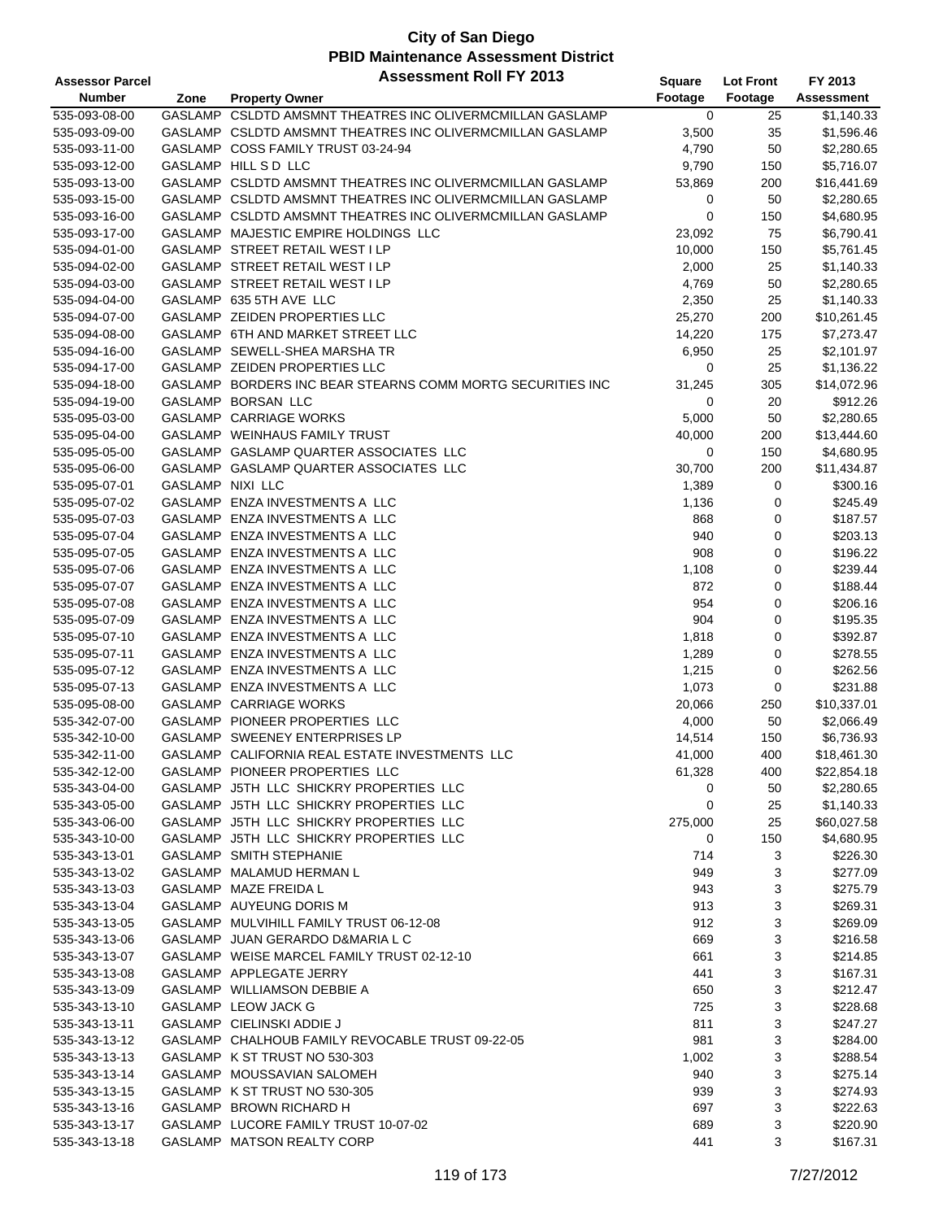| <b>Assessor Parcel</b> |                         | <b>Assessment Roll FY 2013</b>                             | Square      | <b>Lot Front</b> | FY 2013           |
|------------------------|-------------------------|------------------------------------------------------------|-------------|------------------|-------------------|
| <b>Number</b>          | Zone                    | <b>Property Owner</b>                                      | Footage     | Footage          | <b>Assessment</b> |
| 535-093-08-00          |                         | GASLAMP CSLDTD AMSMNT THEATRES INC OLIVERMCMILLAN GASLAMP  | 0           | 25               | \$1,140.33        |
| 535-093-09-00          |                         | GASLAMP CSLDTD AMSMNT THEATRES INC OLIVERMCMILLAN GASLAMP  | 3,500       | 35               | \$1,596.46        |
| 535-093-11-00          |                         | GASLAMP COSS FAMILY TRUST 03-24-94                         | 4,790       | 50               | \$2,280.65        |
| 535-093-12-00          |                         | GASLAMP HILL S D LLC                                       | 9,790       | 150              | \$5,716.07        |
| 535-093-13-00          |                         | GASLAMP CSLDTD AMSMNT THEATRES INC OLIVERMCMILLAN GASLAMP  | 53,869      | 200              | \$16,441.69       |
| 535-093-15-00          |                         | GASLAMP CSLDTD AMSMNT THEATRES INC OLIVERMCMILLAN GASLAMP  |             | 50               | \$2,280.65        |
|                        |                         |                                                            | 0           |                  |                   |
| 535-093-16-00          |                         | GASLAMP CSLDTD AMSMNT THEATRES INC OLIVERMCMILLAN GASLAMP  | $\mathbf 0$ | 150              | \$4,680.95        |
| 535-093-17-00          |                         | GASLAMP MAJESTIC EMPIRE HOLDINGS LLC                       | 23,092      | 75               | \$6,790.41        |
| 535-094-01-00          |                         | GASLAMP STREET RETAIL WEST I LP                            | 10,000      | 150              | \$5,761.45        |
| 535-094-02-00          |                         | GASLAMP STREET RETAIL WEST I LP                            | 2,000       | 25               | \$1,140.33        |
| 535-094-03-00          |                         | GASLAMP STREET RETAIL WEST I LP                            | 4,769       | 50               | \$2,280.65        |
| 535-094-04-00          |                         | GASLAMP 635 5TH AVE LLC                                    | 2,350       | 25               | \$1,140.33        |
| 535-094-07-00          |                         | GASLAMP ZEIDEN PROPERTIES LLC                              | 25,270      | 200              | \$10,261.45       |
| 535-094-08-00          |                         | GASLAMP 6TH AND MARKET STREET LLC                          | 14,220      | 175              | \$7,273.47        |
| 535-094-16-00          |                         | GASLAMP SEWELL-SHEA MARSHA TR                              | 6,950       | 25               | \$2,101.97        |
| 535-094-17-00          |                         | GASLAMP ZEIDEN PROPERTIES LLC                              | 0           | 25               | \$1,136.22        |
| 535-094-18-00          |                         | GASLAMP BORDERS INC BEAR STEARNS COMM MORTG SECURITIES INC | 31,245      | 305              | \$14,072.96       |
| 535-094-19-00          |                         | <b>GASLAMP BORSAN LLC</b>                                  | 0           | 20               | \$912.26          |
| 535-095-03-00          |                         | GASLAMP CARRIAGE WORKS                                     | 5,000       | 50               | \$2,280.65        |
| 535-095-04-00          |                         | GASLAMP WEINHAUS FAMILY TRUST                              | 40,000      | 200              | \$13,444.60       |
| 535-095-05-00          |                         | GASLAMP GASLAMP QUARTER ASSOCIATES LLC                     | 0           | 150              | \$4,680.95        |
| 535-095-06-00          |                         | GASLAMP GASLAMP QUARTER ASSOCIATES LLC                     | 30,700      | 200              | \$11,434.87       |
| 535-095-07-01          | <b>GASLAMP NIXI LLC</b> |                                                            | 1,389       | 0                | \$300.16          |
| 535-095-07-02          |                         | GASLAMP ENZA INVESTMENTS A LLC                             | 1,136       | 0                | \$245.49          |
| 535-095-07-03          |                         | GASLAMP ENZA INVESTMENTS A LLC                             | 868         | 0                | \$187.57          |
| 535-095-07-04          |                         | GASLAMP ENZA INVESTMENTS A LLC                             | 940         | 0                | \$203.13          |
| 535-095-07-05          |                         | GASLAMP ENZA INVESTMENTS A LLC                             | 908         | 0                | \$196.22          |
|                        |                         |                                                            |             |                  |                   |
| 535-095-07-06          |                         | GASLAMP ENZA INVESTMENTS A LLC                             | 1,108       | 0                | \$239.44          |
| 535-095-07-07          |                         | GASLAMP ENZA INVESTMENTS A LLC                             | 872         | 0                | \$188.44          |
| 535-095-07-08          |                         | GASLAMP ENZA INVESTMENTS A LLC                             | 954         | 0                | \$206.16          |
| 535-095-07-09          |                         | GASLAMP ENZA INVESTMENTS A LLC                             | 904         | 0                | \$195.35          |
| 535-095-07-10          |                         | GASLAMP ENZA INVESTMENTS A LLC                             | 1,818       | 0                | \$392.87          |
| 535-095-07-11          |                         | GASLAMP ENZA INVESTMENTS A LLC                             | 1,289       | 0                | \$278.55          |
| 535-095-07-12          |                         | GASLAMP ENZA INVESTMENTS A LLC                             | 1,215       | 0                | \$262.56          |
| 535-095-07-13          |                         | GASLAMP ENZA INVESTMENTS A LLC                             | 1,073       | 0                | \$231.88          |
| 535-095-08-00          |                         | GASLAMP CARRIAGE WORKS                                     | 20,066      | 250              | \$10,337.01       |
| 535-342-07-00          |                         | GASLAMP PIONEER PROPERTIES LLC                             | 4,000       | 50               | \$2,066.49        |
| 535-342-10-00          |                         | GASLAMP SWEENEY ENTERPRISES LP                             | 14,514      | 150              | \$6,736.93        |
| 535-342-11-00          |                         | GASLAMP CALIFORNIA REAL ESTATE INVESTMENTS LLC             | 41,000      | 400              | \$18,461.30       |
| 535-342-12-00          |                         | GASLAMP PIONEER PROPERTIES LLC                             | 61,328      | 400              | \$22,854.18       |
| 535-343-04-00          |                         | GASLAMP J5TH LLC SHICKRY PROPERTIES LLC                    | 0           | 50               | \$2,280.65        |
| 535-343-05-00          |                         | GASLAMP J5TH LLC SHICKRY PROPERTIES LLC                    | 0           | 25               | \$1,140.33        |
| 535-343-06-00          |                         | GASLAMP J5TH LLC SHICKRY PROPERTIES LLC                    | 275,000     | 25               | \$60,027.58       |
| 535-343-10-00          |                         | GASLAMP J5TH LLC SHICKRY PROPERTIES LLC                    | 0           | 150              | \$4,680.95        |
| 535-343-13-01          |                         | GASLAMP SMITH STEPHANIE                                    | 714         | 3                | \$226.30          |
| 535-343-13-02          |                         | GASLAMP MALAMUD HERMAN L                                   | 949         | 3                | \$277.09          |
| 535-343-13-03          |                         | GASLAMP MAZE FREIDA L                                      | 943         | 3                | \$275.79          |
| 535-343-13-04          |                         | GASLAMP AUYEUNG DORIS M                                    | 913         | 3                | \$269.31          |
| 535-343-13-05          |                         | GASLAMP MULVIHILL FAMILY TRUST 06-12-08                    | 912         | 3                | \$269.09          |
| 535-343-13-06          |                         | GASLAMP JUAN GERARDO D&MARIA L C                           | 669         | 3                | \$216.58          |
| 535-343-13-07          |                         | GASLAMP WEISE MARCEL FAMILY TRUST 02-12-10                 | 661         | 3                | \$214.85          |
|                        |                         | GASLAMP APPLEGATE JERRY                                    | 441         | 3                | \$167.31          |
| 535-343-13-08          |                         |                                                            |             |                  | \$212.47          |
| 535-343-13-09          |                         | GASLAMP WILLIAMSON DEBBIE A                                | 650         | 3                |                   |
| 535-343-13-10          |                         | GASLAMP LEOW JACK G                                        | 725         | 3                | \$228.68          |
| 535-343-13-11          |                         | GASLAMP CIELINSKI ADDIE J                                  | 811         | 3                | \$247.27          |
| 535-343-13-12          |                         | GASLAMP CHALHOUB FAMILY REVOCABLE TRUST 09-22-05           | 981         | 3                | \$284.00          |
| 535-343-13-13          |                         | GASLAMP K ST TRUST NO 530-303                              | 1,002       | 3                | \$288.54          |
| 535-343-13-14          |                         | GASLAMP MOUSSAVIAN SALOMEH                                 | 940         | 3                | \$275.14          |
| 535-343-13-15          |                         | GASLAMP K ST TRUST NO 530-305                              | 939         | 3                | \$274.93          |
| 535-343-13-16          |                         | GASLAMP BROWN RICHARD H                                    | 697         | 3                | \$222.63          |
| 535-343-13-17          |                         | GASLAMP LUCORE FAMILY TRUST 10-07-02                       | 689         | 3                | \$220.90          |
| 535-343-13-18          |                         | GASLAMP MATSON REALTY CORP                                 | 441         | 3                | \$167.31          |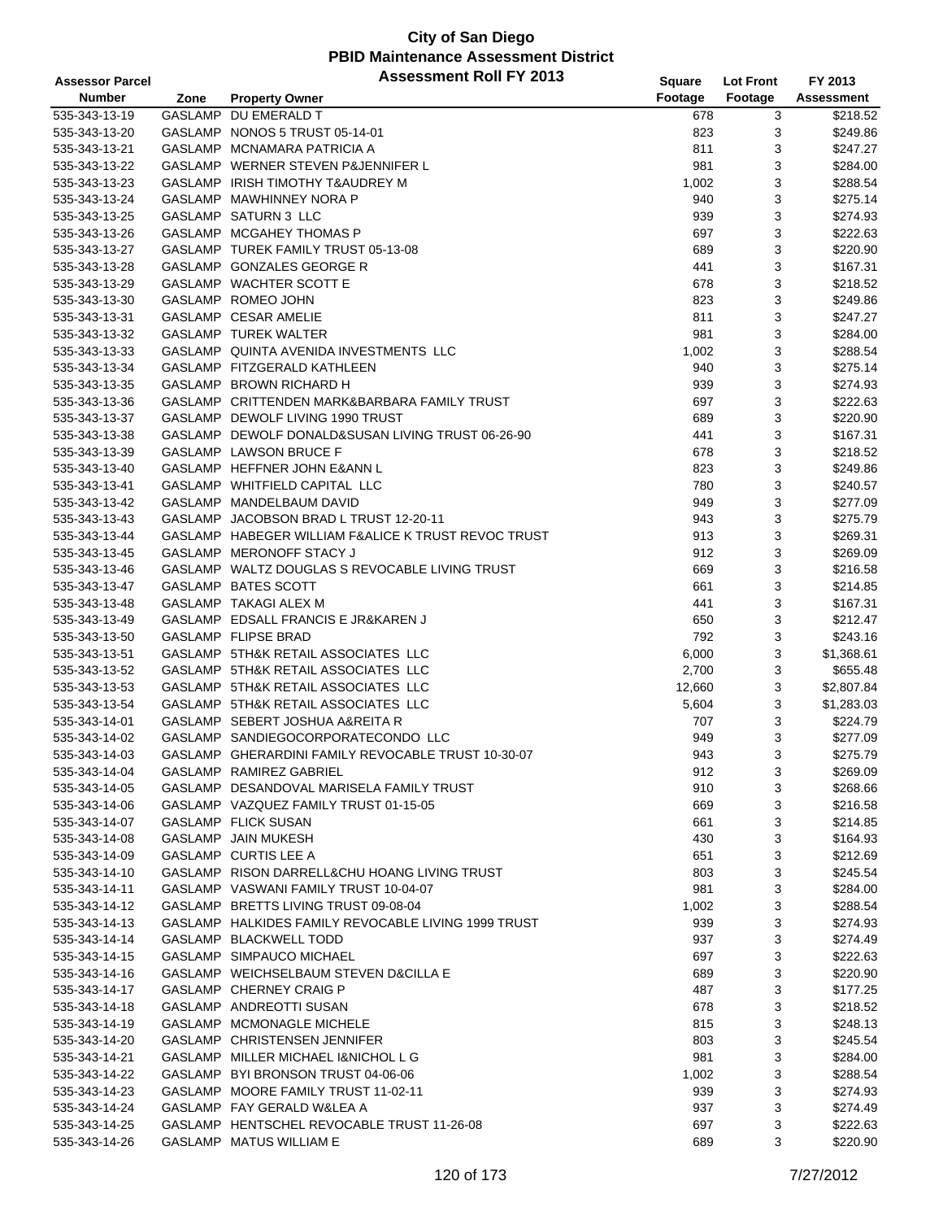| <b>Assessor Parcel</b> |      | <b>Assessment Roll FY 2013</b>                      | <b>Square</b> | <b>Lot Front</b> | FY 2013           |
|------------------------|------|-----------------------------------------------------|---------------|------------------|-------------------|
| <b>Number</b>          | Zone | <b>Property Owner</b>                               | Footage       | Footage          | <b>Assessment</b> |
| 535-343-13-19          |      | GASLAMP DU EMERALD T                                | 678           | 3                | \$218.52          |
| 535-343-13-20          |      | GASLAMP NONOS 5 TRUST 05-14-01                      | 823           | 3                | \$249.86          |
| 535-343-13-21          |      | GASLAMP MCNAMARA PATRICIA A                         | 811           | 3                | \$247.27          |
| 535-343-13-22          |      | GASLAMP WERNER STEVEN P&JENNIFER L                  | 981           | 3                | \$284.00          |
| 535-343-13-23          |      | GASLAMP IRISH TIMOTHY T&AUDREY M                    | 1,002         | 3                | \$288.54          |
| 535-343-13-24          |      | GASLAMP MAWHINNEY NORA P                            | 940           | 3                | \$275.14          |
| 535-343-13-25          |      | GASLAMP SATURN 3 LLC                                | 939           | 3                | \$274.93          |
| 535-343-13-26          |      | GASLAMP MCGAHEY THOMAS P                            | 697           | 3                | \$222.63          |
| 535-343-13-27          |      | GASLAMP TUREK FAMILY TRUST 05-13-08                 | 689           | 3                | \$220.90          |
|                        |      | GASLAMP GONZALES GEORGE R                           |               | 3                | \$167.31          |
| 535-343-13-28          |      |                                                     | 441           |                  |                   |
| 535-343-13-29          |      | GASLAMP WACHTER SCOTT E                             | 678           | 3                | \$218.52          |
| 535-343-13-30          |      | GASLAMP ROMEO JOHN                                  | 823           | 3                | \$249.86          |
| 535-343-13-31          |      | GASLAMP CESAR AMELIE                                | 811           | 3                | \$247.27          |
| 535-343-13-32          |      | <b>GASLAMP TUREK WALTER</b>                         | 981           | 3                | \$284.00          |
| 535-343-13-33          |      | GASLAMP QUINTA AVENIDA INVESTMENTS LLC              | 1,002         | 3                | \$288.54          |
| 535-343-13-34          |      | GASLAMP FITZGERALD KATHLEEN                         | 940           | 3                | \$275.14          |
| 535-343-13-35          |      | GASLAMP BROWN RICHARD H                             | 939           | 3                | \$274.93          |
| 535-343-13-36          |      | GASLAMP CRITTENDEN MARK&BARBARA FAMILY TRUST        | 697           | 3                | \$222.63          |
| 535-343-13-37          |      | GASLAMP DEWOLF LIVING 1990 TRUST                    | 689           | 3                | \$220.90          |
| 535-343-13-38          |      | GASLAMP DEWOLF DONALD&SUSAN LIVING TRUST 06-26-90   | 441           | 3                | \$167.31          |
| 535-343-13-39          |      | GASLAMP LAWSON BRUCE F                              | 678           | 3                | \$218.52          |
| 535-343-13-40          |      | GASLAMP HEFFNER JOHN E&ANN L                        | 823           | 3                | \$249.86          |
| 535-343-13-41          |      | GASLAMP WHITFIELD CAPITAL LLC                       | 780           | 3                | \$240.57          |
| 535-343-13-42          |      | GASLAMP MANDELBAUM DAVID                            | 949           | 3                | \$277.09          |
| 535-343-13-43          |      | GASLAMP JACOBSON BRAD L TRUST 12-20-11              | 943           | 3                | \$275.79          |
| 535-343-13-44          |      | GASLAMP HABEGER WILLIAM F&ALICE K TRUST REVOC TRUST | 913           | 3                | \$269.31          |
| 535-343-13-45          |      | GASLAMP MERONOFF STACY J                            | 912           | 3                | \$269.09          |
| 535-343-13-46          |      | GASLAMP WALTZ DOUGLAS S REVOCABLE LIVING TRUST      | 669           | 3                | \$216.58          |
| 535-343-13-47          |      | GASLAMP BATES SCOTT                                 | 661           | 3                | \$214.85          |
| 535-343-13-48          |      | GASLAMP TAKAGI ALEX M                               | 441           | 3                | \$167.31          |
| 535-343-13-49          |      | GASLAMP EDSALL FRANCIS E JR&KAREN J                 | 650           | 3                | \$212.47          |
| 535-343-13-50          |      | GASLAMP FLIPSE BRAD                                 | 792           | 3                | \$243.16          |
| 535-343-13-51          |      | GASLAMP 5TH&K RETAIL ASSOCIATES LLC                 | 6,000         | 3                | \$1,368.61        |
| 535-343-13-52          |      | GASLAMP 5TH&K RETAIL ASSOCIATES LLC                 | 2,700         | 3                | \$655.48          |
| 535-343-13-53          |      | GASLAMP 5TH&K RETAIL ASSOCIATES LLC                 | 12,660        | 3                | \$2,807.84        |
| 535-343-13-54          |      | GASLAMP 5TH&K RETAIL ASSOCIATES LLC                 | 5,604         | 3                | \$1,283.03        |
| 535-343-14-01          |      | GASLAMP SEBERT JOSHUA A&REITA R                     | 707           | 3                | \$224.79          |
| 535-343-14-02          |      | GASLAMP SANDIEGOCORPORATECONDO LLC                  | 949           | 3                | \$277.09          |
| 535-343-14-03          |      | GASLAMP GHERARDINI FAMILY REVOCABLE TRUST 10-30-07  | 943           | 3                | \$275.79          |
| 535-343-14-04          |      | GASLAMP RAMIREZ GABRIEL                             | 912           | 3                | \$269.09          |
|                        |      | GASLAMP DESANDOVAL MARISELA FAMILY TRUST            | 910           | 3                | \$268.66          |
| 535-343-14-05          |      |                                                     |               |                  |                   |
| 535-343-14-06          |      | GASLAMP VAZQUEZ FAMILY TRUST 01-15-05               | 669           | 3                | \$216.58          |
| 535-343-14-07          |      | GASLAMP FLICK SUSAN                                 | 661           | 3                | \$214.85          |
| 535-343-14-08          |      | GASLAMP JAIN MUKESH                                 | 430           | 3                | \$164.93          |
| 535-343-14-09          |      | GASLAMP CURTIS LEE A                                | 651           | 3                | \$212.69          |
| 535-343-14-10          |      | GASLAMP RISON DARRELL&CHU HOANG LIVING TRUST        | 803           | 3                | \$245.54          |
| 535-343-14-11          |      | GASLAMP VASWANI FAMILY TRUST 10-04-07               | 981           | 3                | \$284.00          |
| 535-343-14-12          |      | GASLAMP BRETTS LIVING TRUST 09-08-04                | 1,002         | 3                | \$288.54          |
| 535-343-14-13          |      | GASLAMP HALKIDES FAMILY REVOCABLE LIVING 1999 TRUST | 939           | 3                | \$274.93          |
| 535-343-14-14          |      | GASLAMP BLACKWELL TODD                              | 937           | 3                | \$274.49          |
| 535-343-14-15          |      | GASLAMP SIMPAUCO MICHAEL                            | 697           | 3                | \$222.63          |
| 535-343-14-16          |      | GASLAMP WEICHSELBAUM STEVEN D&CILLA E               | 689           | 3                | \$220.90          |
| 535-343-14-17          |      | GASLAMP CHERNEY CRAIG P                             | 487           | 3                | \$177.25          |
| 535-343-14-18          |      | GASLAMP ANDREOTTI SUSAN                             | 678           | 3                | \$218.52          |
| 535-343-14-19          |      | GASLAMP MCMONAGLE MICHELE                           | 815           | 3                | \$248.13          |
| 535-343-14-20          |      | GASLAMP CHRISTENSEN JENNIFER                        | 803           | 3                | \$245.54          |
| 535-343-14-21          |      | GASLAMP MILLER MICHAEL I&NICHOL L G                 | 981           | 3                | \$284.00          |
| 535-343-14-22          |      | GASLAMP BYI BRONSON TRUST 04-06-06                  | 1,002         | 3                | \$288.54          |
| 535-343-14-23          |      | GASLAMP MOORE FAMILY TRUST 11-02-11                 | 939           | 3                | \$274.93          |
| 535-343-14-24          |      | GASLAMP FAY GERALD W&LEA A                          | 937           | 3                | \$274.49          |
| 535-343-14-25          |      | GASLAMP HENTSCHEL REVOCABLE TRUST 11-26-08          | 697           | 3                | \$222.63          |
| 535-343-14-26          |      | GASLAMP MATUS WILLIAM E                             | 689           | 3                | \$220.90          |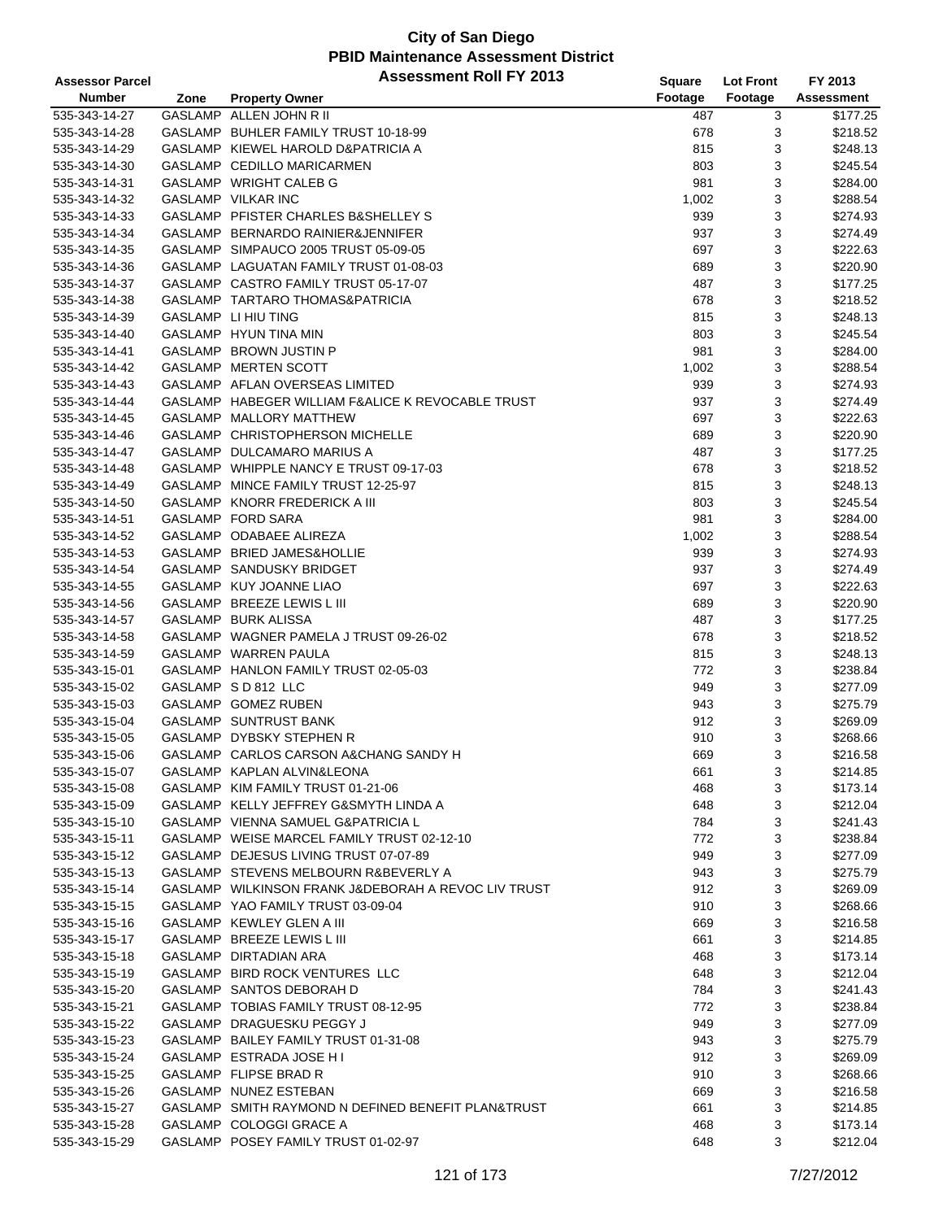| <b>Assessor Parcel</b> |      | <b>Assessment Roll FY 2013</b>                                       | <b>Square</b> | <b>Lot Front</b> | FY 2013    |
|------------------------|------|----------------------------------------------------------------------|---------------|------------------|------------|
| <b>Number</b>          | Zone | <b>Property Owner</b>                                                | Footage       | Footage          | Assessment |
| 535-343-14-27          |      | GASLAMP ALLEN JOHN R II                                              | 487           | 3                | \$177.25   |
| 535-343-14-28          |      | GASLAMP BUHLER FAMILY TRUST 10-18-99                                 | 678           | 3                | \$218.52   |
| 535-343-14-29          |      | GASLAMP KIEWEL HAROLD D&PATRICIA A                                   | 815           | 3                | \$248.13   |
| 535-343-14-30          |      | GASLAMP CEDILLO MARICARMEN                                           | 803           | 3                | \$245.54   |
| 535-343-14-31          |      | GASLAMP WRIGHT CALEB G                                               | 981           | 3                | \$284.00   |
| 535-343-14-32          |      | GASLAMP VILKAR INC                                                   | 1,002         | 3                | \$288.54   |
| 535-343-14-33          |      | GASLAMP PFISTER CHARLES B&SHELLEY S                                  | 939           | 3                | \$274.93   |
| 535-343-14-34          |      | GASLAMP BERNARDO RAINIER&JENNIFER                                    | 937           | 3                | \$274.49   |
| 535-343-14-35          |      | GASLAMP SIMPAUCO 2005 TRUST 05-09-05                                 | 697           | 3                | \$222.63   |
| 535-343-14-36          |      | GASLAMP LAGUATAN FAMILY TRUST 01-08-03                               | 689           | 3                | \$220.90   |
| 535-343-14-37          |      | GASLAMP CASTRO FAMILY TRUST 05-17-07                                 | 487           | 3                | \$177.25   |
| 535-343-14-38          |      | GASLAMP TARTARO THOMAS&PATRICIA                                      | 678           | 3                | \$218.52   |
| 535-343-14-39          |      | GASLAMP LI HIU TING                                                  | 815           | 3                | \$248.13   |
| 535-343-14-40          |      | GASLAMP HYUN TINA MIN                                                | 803           | 3                | \$245.54   |
| 535-343-14-41          |      | GASLAMP BROWN JUSTIN P                                               | 981           | 3                | \$284.00   |
| 535-343-14-42          |      | GASLAMP MERTEN SCOTT                                                 | 1,002         | 3                | \$288.54   |
| 535-343-14-43          |      | GASLAMP AFLAN OVERSEAS LIMITED                                       | 939           | 3                | \$274.93   |
| 535-343-14-44          |      | GASLAMP HABEGER WILLIAM F&ALICE K REVOCABLE TRUST                    | 937           | 3                | \$274.49   |
| 535-343-14-45          |      | GASLAMP MALLORY MATTHEW                                              | 697           | 3                | \$222.63   |
| 535-343-14-46          |      | GASLAMP CHRISTOPHERSON MICHELLE                                      | 689           | 3                | \$220.90   |
| 535-343-14-47          |      | GASLAMP DULCAMARO MARIUS A                                           |               | 3                | \$177.25   |
| 535-343-14-48          |      | GASLAMP WHIPPLE NANCY E TRUST 09-17-03                               | 487           |                  | \$218.52   |
|                        |      |                                                                      | 678           | 3                |            |
| 535-343-14-49          |      | GASLAMP MINCE FAMILY TRUST 12-25-97<br>GASLAMP KNORR FREDERICK A III | 815           | 3                | \$248.13   |
| 535-343-14-50          |      |                                                                      | 803           | 3                | \$245.54   |
| 535-343-14-51          |      | GASLAMP FORD SARA                                                    | 981           | 3                | \$284.00   |
| 535-343-14-52          |      | GASLAMP ODABAEE ALIREZA                                              | 1,002         | 3                | \$288.54   |
| 535-343-14-53          |      | GASLAMP BRIED JAMES&HOLLIE                                           | 939           | 3                | \$274.93   |
| 535-343-14-54          |      | GASLAMP SANDUSKY BRIDGET                                             | 937           | 3                | \$274.49   |
| 535-343-14-55          |      | GASLAMP KUY JOANNE LIAO                                              | 697           | 3                | \$222.63   |
| 535-343-14-56          |      | GASLAMP BREEZE LEWIS L III                                           | 689           | 3                | \$220.90   |
| 535-343-14-57          |      | GASLAMP BURK ALISSA                                                  | 487           | 3                | \$177.25   |
| 535-343-14-58          |      | GASLAMP WAGNER PAMELA J TRUST 09-26-02                               | 678           | 3                | \$218.52   |
| 535-343-14-59          |      | GASLAMP WARREN PAULA                                                 | 815           | 3                | \$248.13   |
| 535-343-15-01          |      | GASLAMP HANLON FAMILY TRUST 02-05-03                                 | 772           | 3                | \$238.84   |
| 535-343-15-02          |      | GASLAMP S D 812 LLC                                                  | 949           | 3                | \$277.09   |
| 535-343-15-03          |      | GASLAMP GOMEZ RUBEN                                                  | 943           | 3                | \$275.79   |
| 535-343-15-04          |      | GASLAMP SUNTRUST BANK                                                | 912           | 3                | \$269.09   |
| 535-343-15-05          |      | GASLAMP DYBSKY STEPHEN R                                             | 910           | 3                | \$268.66   |
| 535-343-15-06          |      | GASLAMP CARLOS CARSON A&CHANG SANDY H                                | 669           | 3                | \$216.58   |
| 535-343-15-07          |      | GASLAMP KAPLAN ALVIN&LEONA                                           | 661           | 3                | \$214.85   |
| 535-343-15-08          |      | GASLAMP KIM FAMILY TRUST 01-21-06                                    | 468           | 3                | \$173.14   |
| 535-343-15-09          |      | GASLAMP KELLY JEFFREY G&SMYTH LINDA A                                | 648           | 3                | \$212.04   |
| 535-343-15-10          |      | GASLAMP VIENNA SAMUEL G&PATRICIA L                                   | 784           | 3                | \$241.43   |
| 535-343-15-11          |      | GASLAMP WEISE MARCEL FAMILY TRUST 02-12-10                           | 772           | 3                | \$238.84   |
| 535-343-15-12          |      | GASLAMP DEJESUS LIVING TRUST 07-07-89                                | 949           | 3                | \$277.09   |
| 535-343-15-13          |      | GASLAMP STEVENS MELBOURN R&BEVERLY A                                 | 943           | 3                | \$275.79   |
| 535-343-15-14          |      | GASLAMP WILKINSON FRANK J&DEBORAH A REVOC LIV TRUST                  | 912           | 3                | \$269.09   |
| 535-343-15-15          |      | GASLAMP YAO FAMILY TRUST 03-09-04                                    | 910           | 3                | \$268.66   |
| 535-343-15-16          |      | GASLAMP KEWLEY GLEN A III                                            | 669           | 3                | \$216.58   |
| 535-343-15-17          |      | GASLAMP BREEZE LEWIS L III                                           | 661           | 3                | \$214.85   |
| 535-343-15-18          |      | GASLAMP DIRTADIAN ARA                                                | 468           | 3                | \$173.14   |
| 535-343-15-19          |      | GASLAMP BIRD ROCK VENTURES LLC                                       | 648           | 3                | \$212.04   |
| 535-343-15-20          |      | GASLAMP SANTOS DEBORAH D                                             | 784           | 3                | \$241.43   |
| 535-343-15-21          |      | GASLAMP TOBIAS FAMILY TRUST 08-12-95                                 | 772           | 3                | \$238.84   |
| 535-343-15-22          |      | GASLAMP DRAGUESKU PEGGY J                                            | 949           | 3                | \$277.09   |
| 535-343-15-23          |      | GASLAMP BAILEY FAMILY TRUST 01-31-08                                 | 943           | 3                | \$275.79   |
| 535-343-15-24          |      | GASLAMP ESTRADA JOSE H I                                             | 912           | 3                | \$269.09   |
| 535-343-15-25          |      | GASLAMP FLIPSE BRAD R                                                | 910           | 3                | \$268.66   |
| 535-343-15-26          |      | GASLAMP NUNEZ ESTEBAN                                                | 669           | 3                | \$216.58   |
| 535-343-15-27          |      | GASLAMP SMITH RAYMOND N DEFINED BENEFIT PLAN&TRUST                   | 661           | 3                | \$214.85   |
| 535-343-15-28          |      | GASLAMP COLOGGI GRACE A                                              | 468           | 3                | \$173.14   |
| 535-343-15-29          |      | GASLAMP POSEY FAMILY TRUST 01-02-97                                  | 648           | 3                | \$212.04   |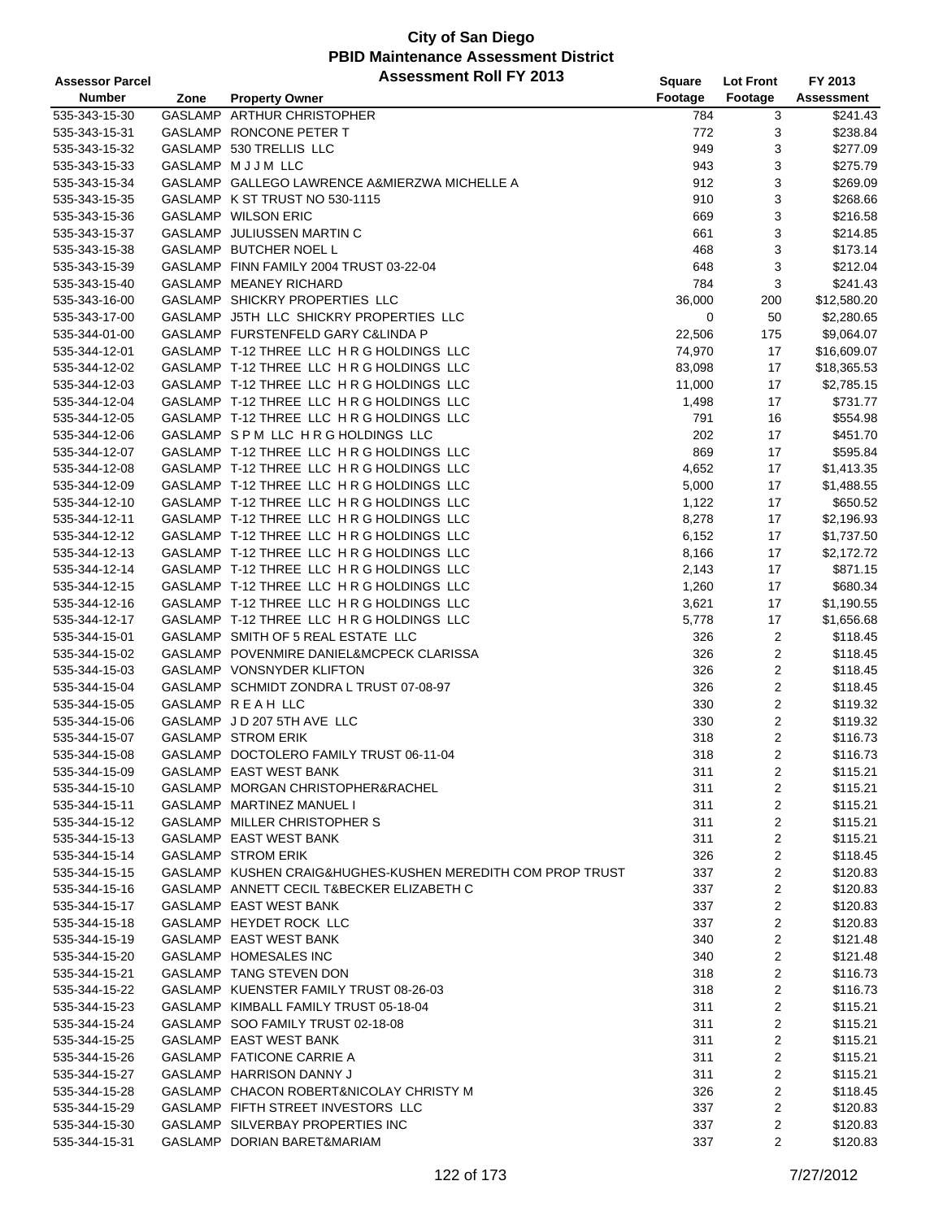| <b>Assessor Parcel</b> |      | <b>Assessment Roll FY 2013</b>                             | Square  | <b>Lot Front</b>        | FY 2013           |
|------------------------|------|------------------------------------------------------------|---------|-------------------------|-------------------|
| <b>Number</b>          | Zone | <b>Property Owner</b>                                      | Footage | Footage                 | <b>Assessment</b> |
| 535-343-15-30          |      | GASLAMP ARTHUR CHRISTOPHER                                 | 784     | 3                       | \$241.43          |
| 535-343-15-31          |      | GASLAMP RONCONE PETER T                                    | 772     | 3                       | \$238.84          |
| 535-343-15-32          |      | GASLAMP 530 TRELLIS LLC                                    | 949     | 3                       | \$277.09          |
| 535-343-15-33          |      | GASLAMP MJJM LLC                                           | 943     | 3                       | \$275.79          |
| 535-343-15-34          |      | GASLAMP GALLEGO LAWRENCE A&MIERZWA MICHELLE A              | 912     | 3                       | \$269.09          |
| 535-343-15-35          |      | GASLAMP K ST TRUST NO 530-1115                             | 910     | 3                       | \$268.66          |
| 535-343-15-36          |      | GASLAMP WILSON ERIC                                        | 669     | 3                       | \$216.58          |
|                        |      |                                                            |         |                         |                   |
| 535-343-15-37          |      | GASLAMP JULIUSSEN MARTIN C<br>GASLAMP BUTCHER NOEL L       | 661     | 3                       | \$214.85          |
| 535-343-15-38          |      |                                                            | 468     | 3                       | \$173.14          |
| 535-343-15-39          |      | GASLAMP FINN FAMILY 2004 TRUST 03-22-04                    | 648     | 3                       | \$212.04          |
| 535-343-15-40          |      | GASLAMP MEANEY RICHARD                                     | 784     | 3                       | \$241.43          |
| 535-343-16-00          |      | GASLAMP SHICKRY PROPERTIES LLC                             | 36,000  | 200                     | \$12,580.20       |
| 535-343-17-00          |      | GASLAMP J5TH LLC SHICKRY PROPERTIES LLC                    | 0       | 50                      | \$2,280.65        |
| 535-344-01-00          |      | GASLAMP FURSTENFELD GARY C&LINDA P                         | 22,506  | 175                     | \$9,064.07        |
| 535-344-12-01          |      | GASLAMP T-12 THREE LLC H R G HOLDINGS LLC                  | 74,970  | 17                      | \$16,609.07       |
| 535-344-12-02          |      | GASLAMP T-12 THREE LLC H R G HOLDINGS LLC                  | 83,098  | 17                      | \$18,365.53       |
| 535-344-12-03          |      | GASLAMP T-12 THREE LLC H R G HOLDINGS LLC                  | 11,000  | 17                      | \$2,785.15        |
| 535-344-12-04          |      | GASLAMP T-12 THREE LLC H R G HOLDINGS LLC                  | 1,498   | 17                      | \$731.77          |
| 535-344-12-05          |      | GASLAMP T-12 THREE LLC H R G HOLDINGS LLC                  | 791     | 16                      | \$554.98          |
| 535-344-12-06          |      | GASLAMP SPM LLC HRG HOLDINGS LLC                           | 202     | 17                      | \$451.70          |
| 535-344-12-07          |      | GASLAMP T-12 THREE LLC H R G HOLDINGS LLC                  | 869     | 17                      | \$595.84          |
| 535-344-12-08          |      | GASLAMP T-12 THREE LLC H R G HOLDINGS LLC                  | 4,652   | 17                      | \$1,413.35        |
| 535-344-12-09          |      | GASLAMP T-12 THREE LLC H R G HOLDINGS LLC                  | 5,000   | 17                      | \$1,488.55        |
| 535-344-12-10          |      | GASLAMP T-12 THREE LLC H R G HOLDINGS LLC                  | 1,122   | 17                      | \$650.52          |
| 535-344-12-11          |      | GASLAMP T-12 THREE LLC H R G HOLDINGS LLC                  | 8,278   | 17                      | \$2,196.93        |
| 535-344-12-12          |      | GASLAMP T-12 THREE LLC H R G HOLDINGS LLC                  | 6,152   | 17                      | \$1,737.50        |
| 535-344-12-13          |      | GASLAMP T-12 THREE LLC H R G HOLDINGS LLC                  | 8,166   | 17                      | \$2,172.72        |
| 535-344-12-14          |      | GASLAMP T-12 THREE LLC H R G HOLDINGS LLC                  | 2,143   | 17                      | \$871.15          |
| 535-344-12-15          |      | GASLAMP T-12 THREE LLC H R G HOLDINGS LLC                  | 1,260   | 17                      | \$680.34          |
| 535-344-12-16          |      | GASLAMP T-12 THREE LLC H R G HOLDINGS LLC                  | 3,621   | 17                      | \$1,190.55        |
| 535-344-12-17          |      | GASLAMP T-12 THREE LLC H R G HOLDINGS LLC                  | 5,778   | 17                      | \$1,656.68        |
| 535-344-15-01          |      | GASLAMP SMITH OF 5 REAL ESTATE LLC                         | 326     | $\overline{c}$          | \$118.45          |
|                        |      | GASLAMP POVENMIRE DANIEL&MCPECK CLARISSA                   | 326     |                         |                   |
| 535-344-15-02          |      | GASLAMP VONSNYDER KLIFTON                                  |         | 2                       | \$118.45          |
| 535-344-15-03          |      |                                                            | 326     | $\overline{\mathbf{c}}$ | \$118.45          |
| 535-344-15-04          |      | GASLAMP SCHMIDT ZONDRA L TRUST 07-08-97                    | 326     | $\overline{\mathbf{c}}$ | \$118.45          |
| 535-344-15-05          |      | GASLAMP REAH LLC                                           | 330     | 2                       | \$119.32          |
| 535-344-15-06          |      | GASLAMP JD 207 5TH AVE LLC                                 | 330     | 2                       | \$119.32          |
| 535-344-15-07          |      | <b>GASLAMP STROM ERIK</b>                                  | 318     | 2                       | \$116.73          |
| 535-344-15-08          |      | GASLAMP DOCTOLERO FAMILY TRUST 06-11-04                    | 318     | $\overline{2}$          | \$116.73          |
| 535-344-15-09          |      | GASLAMP EAST WEST BANK                                     | 311     | 2                       | \$115.21          |
| 535-344-15-10          |      | GASLAMP MORGAN CHRISTOPHER&RACHEL                          | 311     | 2                       | \$115.21          |
| 535-344-15-11          |      | GASLAMP MARTINEZ MANUEL I                                  | 311     | 2                       | \$115.21          |
| 535-344-15-12          |      | GASLAMP MILLER CHRISTOPHER S                               | 311     | 2                       | \$115.21          |
| 535-344-15-13          |      | GASLAMP EAST WEST BANK                                     | 311     | 2                       | \$115.21          |
| 535-344-15-14          |      | <b>GASLAMP STROM ERIK</b>                                  | 326     | 2                       | \$118.45          |
| 535-344-15-15          |      | GASLAMP KUSHEN CRAIG&HUGHES-KUSHEN MEREDITH COM PROP TRUST | 337     | 2                       | \$120.83          |
| 535-344-15-16          |      | GASLAMP ANNETT CECIL T&BECKER ELIZABETH C                  | 337     | 2                       | \$120.83          |
| 535-344-15-17          |      | GASLAMP EAST WEST BANK                                     | 337     | 2                       | \$120.83          |
| 535-344-15-18          |      | GASLAMP HEYDET ROCK LLC                                    | 337     | 2                       | \$120.83          |
| 535-344-15-19          |      | GASLAMP EAST WEST BANK                                     | 340     | 2                       | \$121.48          |
| 535-344-15-20          |      | GASLAMP HOMESALES INC                                      | 340     | $\overline{\mathbf{c}}$ | \$121.48          |
| 535-344-15-21          |      | GASLAMP TANG STEVEN DON                                    | 318     | 2                       | \$116.73          |
| 535-344-15-22          |      | GASLAMP KUENSTER FAMILY TRUST 08-26-03                     | 318     | 2                       | \$116.73          |
| 535-344-15-23          |      | GASLAMP KIMBALL FAMILY TRUST 05-18-04                      | 311     | 2                       | \$115.21          |
| 535-344-15-24          |      | GASLAMP SOO FAMILY TRUST 02-18-08                          | 311     | 2                       | \$115.21          |
| 535-344-15-25          |      | GASLAMP EAST WEST BANK                                     | 311     | 2                       | \$115.21          |
| 535-344-15-26          |      | GASLAMP FATICONE CARRIE A                                  | 311     | 2                       | \$115.21          |
| 535-344-15-27          |      | GASLAMP HARRISON DANNY J                                   | 311     | 2                       | \$115.21          |
| 535-344-15-28          |      | GASLAMP CHACON ROBERT&NICOLAY CHRISTY M                    | 326     | 2                       | \$118.45          |
| 535-344-15-29          |      | GASLAMP FIFTH STREET INVESTORS LLC                         | 337     | 2                       | \$120.83          |
| 535-344-15-30          |      | GASLAMP SILVERBAY PROPERTIES INC                           | 337     | 2                       | \$120.83          |
| 535-344-15-31          |      | GASLAMP DORIAN BARET&MARIAM                                | 337     | $\overline{2}$          | \$120.83          |
|                        |      |                                                            |         |                         |                   |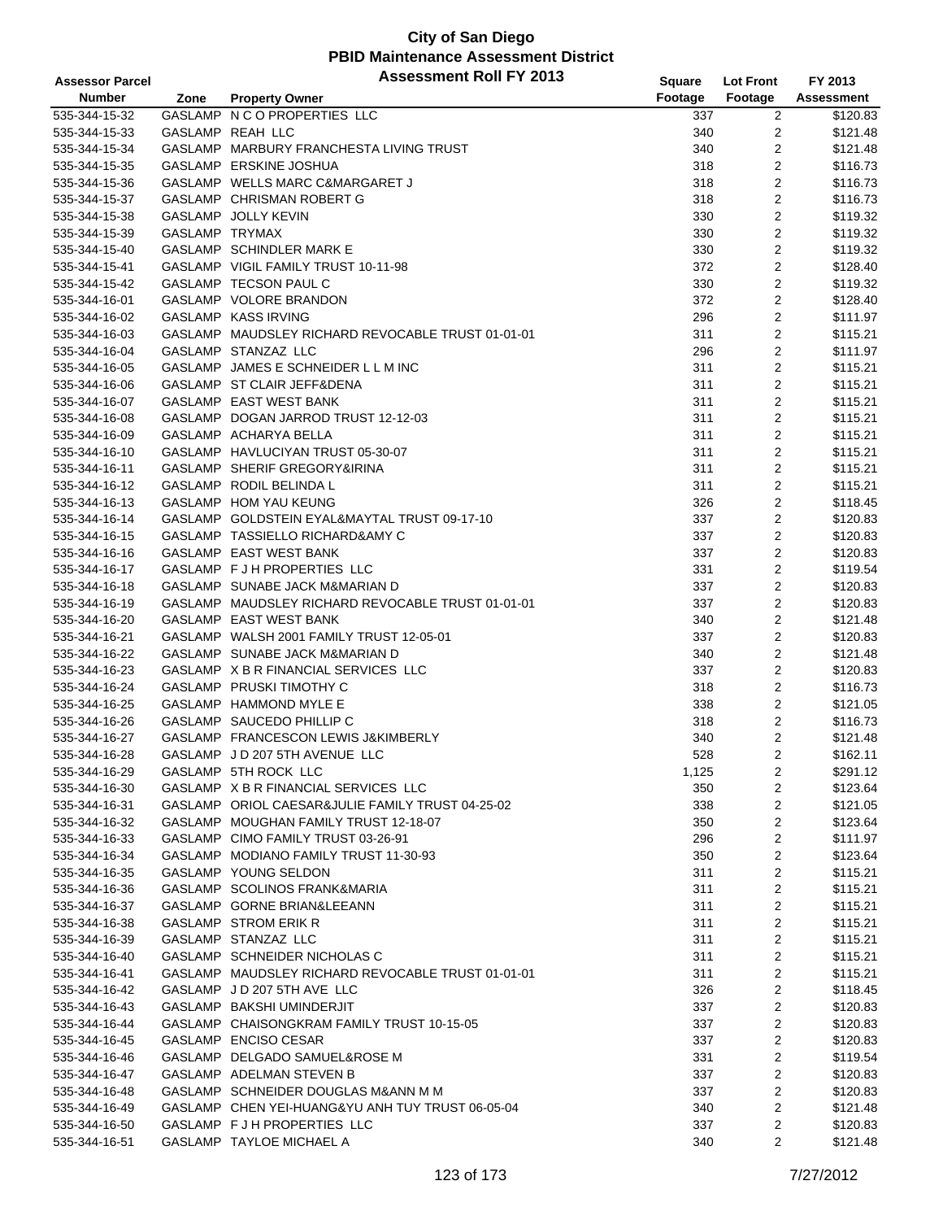| <b>Assessor Parcel</b> |                | <b>Assessment Roll FY 2013</b>                    | <b>Square</b> | <b>Lot Front</b>        | FY 2013           |
|------------------------|----------------|---------------------------------------------------|---------------|-------------------------|-------------------|
| <b>Number</b>          | Zone           | <b>Property Owner</b>                             | Footage       | Footage                 | <b>Assessment</b> |
| 535-344-15-32          |                | GASLAMP N C O PROPERTIES LLC                      | 337           | $\overline{c}$          | \$120.83          |
| 535-344-15-33          |                | GASLAMP REAH LLC                                  | 340           | 2                       | \$121.48          |
| 535-344-15-34          |                | GASLAMP MARBURY FRANCHESTA LIVING TRUST           | 340           | $\overline{2}$          | \$121.48          |
| 535-344-15-35          |                | GASLAMP ERSKINE JOSHUA                            | 318           | $\overline{2}$          | \$116.73          |
| 535-344-15-36          |                | GASLAMP WELLS MARC C&MARGARET J                   | 318           | $\overline{2}$          | \$116.73          |
| 535-344-15-37          |                | GASLAMP CHRISMAN ROBERT G                         | 318           | 2                       | \$116.73          |
| 535-344-15-38          |                | GASLAMP JOLLY KEVIN                               | 330           | 2                       | \$119.32          |
| 535-344-15-39          | GASLAMP TRYMAX |                                                   | 330           | 2                       | \$119.32          |
| 535-344-15-40          |                | GASLAMP SCHINDLER MARK E                          | 330           | 2                       | \$119.32          |
| 535-344-15-41          |                | GASLAMP VIGIL FAMILY TRUST 10-11-98               | 372           | 2                       | \$128.40          |
| 535-344-15-42          |                | GASLAMP TECSON PAUL C                             | 330           | $\overline{2}$          | \$119.32          |
| 535-344-16-01          |                | GASLAMP VOLORE BRANDON                            | 372           | 2                       | \$128.40          |
| 535-344-16-02          |                | GASLAMP KASS IRVING                               | 296           | 2                       | \$111.97          |
| 535-344-16-03          |                | GASLAMP MAUDSLEY RICHARD REVOCABLE TRUST 01-01-01 | 311           | 2                       | \$115.21          |
| 535-344-16-04          |                | GASLAMP STANZAZ LLC                               | 296           | 2                       | \$111.97          |
| 535-344-16-05          |                | GASLAMP JAMES E SCHNEIDER L L M INC               | 311           | $\overline{2}$          | \$115.21          |
| 535-344-16-06          |                | GASLAMP ST CLAIR JEFF&DENA                        | 311           | $\overline{c}$          | \$115.21          |
| 535-344-16-07          |                | GASLAMP EAST WEST BANK                            | 311           | $\overline{2}$          | \$115.21          |
| 535-344-16-08          |                | GASLAMP DOGAN JARROD TRUST 12-12-03               | 311           | 2                       | \$115.21          |
| 535-344-16-09          |                | GASLAMP ACHARYA BELLA                             | 311           | 2                       | \$115.21          |
| 535-344-16-10          |                | GASLAMP HAVLUCIYAN TRUST 05-30-07                 | 311           | 2                       | \$115.21          |
| 535-344-16-11          |                | GASLAMP SHERIF GREGORY&IRINA                      | 311           | 2                       | \$115.21          |
| 535-344-16-12          |                | GASLAMP RODIL BELINDA L                           | 311           | 2                       | \$115.21          |
| 535-344-16-13          |                | GASLAMP HOM YAU KEUNG                             | 326           | 2                       | \$118.45          |
| 535-344-16-14          |                | GASLAMP GOLDSTEIN EYAL&MAYTAL TRUST 09-17-10      | 337           | $\overline{2}$          | \$120.83          |
| 535-344-16-15          |                | GASLAMP TASSIELLO RICHARD&AMY C                   | 337           | 2                       | \$120.83          |
| 535-344-16-16          |                | GASLAMP EAST WEST BANK                            | 337           | 2                       | \$120.83          |
| 535-344-16-17          |                | GASLAMP F J H PROPERTIES LLC                      | 331           | 2                       | \$119.54          |
| 535-344-16-18          |                | GASLAMP SUNABE JACK M&MARIAN D                    | 337           | 2                       | \$120.83          |
| 535-344-16-19          |                | GASLAMP MAUDSLEY RICHARD REVOCABLE TRUST 01-01-01 | 337           | 2                       | \$120.83          |
| 535-344-16-20          |                | GASLAMP EAST WEST BANK                            | 340           | 2                       | \$121.48          |
| 535-344-16-21          |                | GASLAMP WALSH 2001 FAMILY TRUST 12-05-01          | 337           | 2                       | \$120.83          |
| 535-344-16-22          |                | GASLAMP SUNABE JACK M&MARIAN D                    | 340           | $\overline{2}$          | \$121.48          |
| 535-344-16-23          |                | GASLAMP X B R FINANCIAL SERVICES LLC              | 337           | 2                       | \$120.83          |
| 535-344-16-24          |                | GASLAMP PRUSKI TIMOTHY C                          | 318           | 2                       | \$116.73          |
| 535-344-16-25          |                | GASLAMP HAMMOND MYLE E                            | 338           | $\overline{2}$          | \$121.05          |
| 535-344-16-26          |                | GASLAMP SAUCEDO PHILLIP C                         | 318           | 2                       | \$116.73          |
| 535-344-16-27          |                | GASLAMP FRANCESCON LEWIS J&KIMBERLY               | 340           | $\overline{2}$          | \$121.48          |
| 535-344-16-28          |                | GASLAMP JD 207 5TH AVENUE LLC                     | 528           | $\overline{2}$          | \$162.11          |
| 535-344-16-29          |                | GASLAMP 5TH ROCK LLC                              | 1,125         | 2                       | \$291.12          |
| 535-344-16-30          |                | GASLAMP X B R FINANCIAL SERVICES LLC              | 350           | 2                       | \$123.64          |
| 535-344-16-31          |                | GASLAMP ORIOL CAESAR&JULIE FAMILY TRUST 04-25-02  | 338           | 2                       | \$121.05          |
| 535-344-16-32          |                | GASLAMP MOUGHAN FAMILY TRUST 12-18-07             | 350           | 2                       | \$123.64          |
| 535-344-16-33          |                | GASLAMP CIMO FAMILY TRUST 03-26-91                | 296           | 2                       | \$111.97          |
| 535-344-16-34          |                | GASLAMP MODIANO FAMILY TRUST 11-30-93             | 350           | 2                       | \$123.64          |
| 535-344-16-35          |                | GASLAMP YOUNG SELDON                              | 311           | 2                       | \$115.21          |
| 535-344-16-36          |                | GASLAMP SCOLINOS FRANK&MARIA                      | 311           | 2                       | \$115.21          |
| 535-344-16-37          |                | GASLAMP GORNE BRIAN&LEEANN                        | 311           | 2                       | \$115.21          |
| 535-344-16-38          |                | GASLAMP STROM ERIK R                              | 311           | 2                       | \$115.21          |
| 535-344-16-39          |                | GASLAMP STANZAZ LLC                               | 311           | 2                       | \$115.21          |
| 535-344-16-40          |                | GASLAMP SCHNEIDER NICHOLAS C                      | 311           | 2                       | \$115.21          |
| 535-344-16-41          |                | GASLAMP MAUDSLEY RICHARD REVOCABLE TRUST 01-01-01 | 311           | 2                       | \$115.21          |
| 535-344-16-42          |                | GASLAMP JD 207 5TH AVE LLC                        | 326           | 2                       | \$118.45          |
| 535-344-16-43          |                | GASLAMP BAKSHI UMINDERJIT                         | 337           | 2                       | \$120.83          |
| 535-344-16-44          |                | GASLAMP CHAISONGKRAM FAMILY TRUST 10-15-05        | 337           | 2                       | \$120.83          |
| 535-344-16-45          |                | GASLAMP ENCISO CESAR                              | 337           | $\overline{\mathbf{c}}$ | \$120.83          |
| 535-344-16-46          |                | GASLAMP DELGADO SAMUEL&ROSE M                     | 331           | 2                       | \$119.54          |
| 535-344-16-47          |                | GASLAMP ADELMAN STEVEN B                          | 337           | 2                       | \$120.83          |
| 535-344-16-48          |                | GASLAMP SCHNEIDER DOUGLAS M&ANN M M               | 337           | 2                       | \$120.83          |
| 535-344-16-49          |                | GASLAMP CHEN YEI-HUANG&YU ANH TUY TRUST 06-05-04  | 340           | 2                       | \$121.48          |
| 535-344-16-50          |                | GASLAMP F J H PROPERTIES LLC                      | 337           | 2                       | \$120.83          |
| 535-344-16-51          |                | GASLAMP TAYLOE MICHAEL A                          | 340           | 2                       | \$121.48          |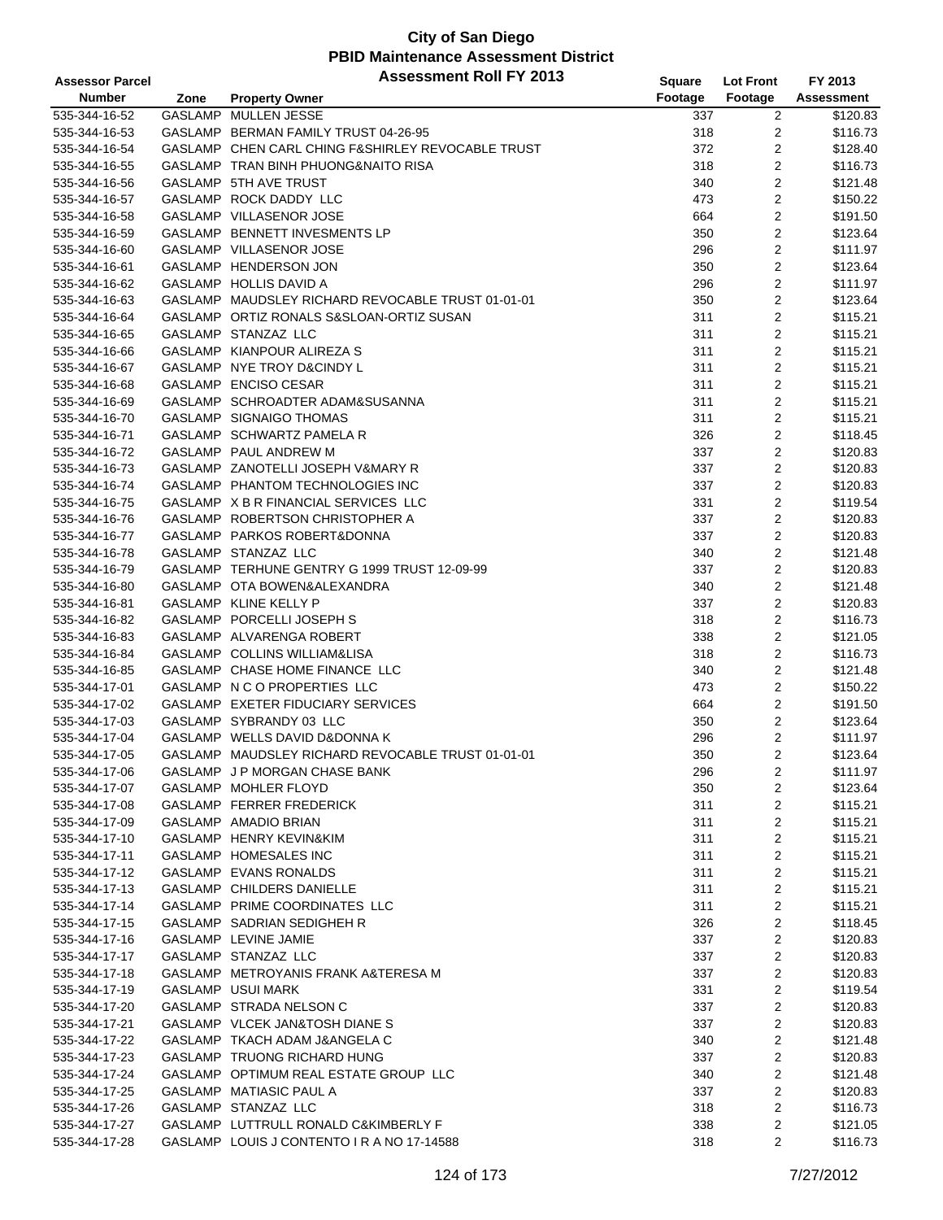| <b>Assessor Parcel</b> |      | <b>Assessment Roll FY 2013</b>                    | Square  | <b>Lot Front</b>        | FY 2013           |
|------------------------|------|---------------------------------------------------|---------|-------------------------|-------------------|
| <b>Number</b>          | Zone | <b>Property Owner</b>                             | Footage | Footage                 | <b>Assessment</b> |
| 535-344-16-52          |      | GASLAMP MULLEN JESSE                              | 337     | 2                       | \$120.83          |
| 535-344-16-53          |      | GASLAMP BERMAN FAMILY TRUST 04-26-95              | 318     | 2                       | \$116.73          |
| 535-344-16-54          |      | GASLAMP CHEN CARL CHING F&SHIRLEY REVOCABLE TRUST | 372     | 2                       | \$128.40          |
| 535-344-16-55          |      | GASLAMP TRAN BINH PHUONG&NAITO RISA               | 318     | 2                       | \$116.73          |
| 535-344-16-56          |      | GASLAMP 5TH AVE TRUST                             | 340     | 2                       | \$121.48          |
| 535-344-16-57          |      | GASLAMP ROCK DADDY LLC                            | 473     | 2                       | \$150.22          |
| 535-344-16-58          |      | GASLAMP VILLASENOR JOSE                           | 664     | 2                       | \$191.50          |
| 535-344-16-59          |      | GASLAMP BENNETT INVESMENTS LP                     | 350     | 2                       | \$123.64          |
| 535-344-16-60          |      | GASLAMP VILLASENOR JOSE                           | 296     | 2                       | \$111.97          |
| 535-344-16-61          |      | GASLAMP HENDERSON JON                             | 350     | 2                       | \$123.64          |
|                        |      | GASLAMP HOLLIS DAVID A                            |         |                         |                   |
| 535-344-16-62          |      |                                                   | 296     | 2                       | \$111.97          |
| 535-344-16-63          |      | GASLAMP MAUDSLEY RICHARD REVOCABLE TRUST 01-01-01 | 350     | 2                       | \$123.64          |
| 535-344-16-64          |      | GASLAMP ORTIZ RONALS S&SLOAN-ORTIZ SUSAN          | 311     | $\overline{2}$          | \$115.21          |
| 535-344-16-65          |      | GASLAMP STANZAZ LLC                               | 311     | $\overline{2}$          | \$115.21          |
| 535-344-16-66          |      | GASLAMP KIANPOUR ALIREZA S                        | 311     | 2                       | \$115.21          |
| 535-344-16-67          |      | GASLAMP NYE TROY D&CINDY L                        | 311     | 2                       | \$115.21          |
| 535-344-16-68          |      | GASLAMP ENCISO CESAR                              | 311     | 2                       | \$115.21          |
| 535-344-16-69          |      | GASLAMP SCHROADTER ADAM&SUSANNA                   | 311     | 2                       | \$115.21          |
| 535-344-16-70          |      | GASLAMP SIGNAIGO THOMAS                           | 311     | 2                       | \$115.21          |
| 535-344-16-71          |      | GASLAMP SCHWARTZ PAMELA R                         | 326     | 2                       | \$118.45          |
| 535-344-16-72          |      | GASLAMP PAUL ANDREW M                             | 337     | 2                       | \$120.83          |
| 535-344-16-73          |      | GASLAMP ZANOTELLI JOSEPH V&MARY R                 | 337     | $\overline{2}$          | \$120.83          |
| 535-344-16-74          |      | GASLAMP PHANTOM TECHNOLOGIES INC                  | 337     | 2                       | \$120.83          |
| 535-344-16-75          |      | GASLAMP X B R FINANCIAL SERVICES LLC              | 331     | 2                       | \$119.54          |
| 535-344-16-76          |      | GASLAMP ROBERTSON CHRISTOPHER A                   | 337     | $\overline{2}$          | \$120.83          |
| 535-344-16-77          |      | GASLAMP PARKOS ROBERT&DONNA                       | 337     | 2                       | \$120.83          |
| 535-344-16-78          |      | GASLAMP STANZAZ LLC                               | 340     | 2                       | \$121.48          |
| 535-344-16-79          |      | GASLAMP TERHUNE GENTRY G 1999 TRUST 12-09-99      | 337     | 2                       | \$120.83          |
| 535-344-16-80          |      | GASLAMP OTA BOWEN&ALEXANDRA                       | 340     | $\overline{2}$          | \$121.48          |
| 535-344-16-81          |      | GASLAMP KLINE KELLY P                             | 337     | 2                       | \$120.83          |
| 535-344-16-82          |      | GASLAMP PORCELLI JOSEPH S                         | 318     | 2                       | \$116.73          |
| 535-344-16-83          |      | GASLAMP ALVARENGA ROBERT                          | 338     | 2                       | \$121.05          |
| 535-344-16-84          |      | GASLAMP COLLINS WILLIAM&LISA                      | 318     | 2                       | \$116.73          |
| 535-344-16-85          |      | GASLAMP CHASE HOME FINANCE LLC                    | 340     | 2                       | \$121.48          |
| 535-344-17-01          |      | GASLAMP N C O PROPERTIES LLC                      | 473     | 2                       | \$150.22          |
| 535-344-17-02          |      | GASLAMP EXETER FIDUCIARY SERVICES                 | 664     | $\overline{2}$          | \$191.50          |
| 535-344-17-03          |      | GASLAMP SYBRANDY 03 LLC                           | 350     | 2                       | \$123.64          |
| 535-344-17-04          |      | GASLAMP WELLS DAVID D&DONNA K                     | 296     | $\overline{2}$          | \$111.97          |
| 535-344-17-05          |      | GASLAMP MAUDSLEY RICHARD REVOCABLE TRUST 01-01-01 | 350     | $\overline{2}$          | \$123.64          |
| 535-344-17-06          |      | GASLAMP J P MORGAN CHASE BANK                     | 296     | 2                       | \$111.97          |
| 535-344-17-07          |      | GASLAMP MOHLER FLOYD                              | 350     | 2                       | \$123.64          |
| 535-344-17-08          |      | GASLAMP FERRER FREDERICK                          | 311     |                         | \$115.21          |
|                        |      |                                                   |         | 2                       |                   |
| 535-344-17-09          |      | GASLAMP AMADIO BRIAN                              | 311     | 2                       | \$115.21          |
| 535-344-17-10          |      | GASLAMP HENRY KEVIN&KIM                           | 311     | 2                       | \$115.21          |
| 535-344-17-11          |      | GASLAMP HOMESALES INC                             | 311     | 2                       | \$115.21          |
| 535-344-17-12          |      | GASLAMP EVANS RONALDS                             | 311     | 2                       | \$115.21          |
| 535-344-17-13          |      | GASLAMP CHILDERS DANIELLE                         | 311     | 2                       | \$115.21          |
| 535-344-17-14          |      | GASLAMP PRIME COORDINATES LLC                     | 311     | 2                       | \$115.21          |
| 535-344-17-15          |      | GASLAMP SADRIAN SEDIGHEH R                        | 326     | 2                       | \$118.45          |
| 535-344-17-16          |      | GASLAMP LEVINE JAMIE                              | 337     | 2                       | \$120.83          |
| 535-344-17-17          |      | GASLAMP STANZAZ LLC                               | 337     | 2                       | \$120.83          |
| 535-344-17-18          |      | GASLAMP METROYANIS FRANK A&TERESA M               | 337     | 2                       | \$120.83          |
| 535-344-17-19          |      | GASLAMP USUI MARK                                 | 331     | 2                       | \$119.54          |
| 535-344-17-20          |      | GASLAMP STRADA NELSON C                           | 337     | 2                       | \$120.83          |
| 535-344-17-21          |      | GASLAMP VLCEK JAN&TOSH DIANE S                    | 337     | 2                       | \$120.83          |
| 535-344-17-22          |      | GASLAMP TKACH ADAM J&ANGELA C                     | 340     | $\overline{\mathbf{c}}$ | \$121.48          |
| 535-344-17-23          |      | GASLAMP TRUONG RICHARD HUNG                       | 337     | 2                       | \$120.83          |
| 535-344-17-24          |      | GASLAMP OPTIMUM REAL ESTATE GROUP LLC             | 340     | 2                       | \$121.48          |
| 535-344-17-25          |      | GASLAMP MATIASIC PAUL A                           | 337     | 2                       | \$120.83          |
| 535-344-17-26          |      | GASLAMP STANZAZ LLC                               | 318     | 2                       | \$116.73          |
| 535-344-17-27          |      | GASLAMP LUTTRULL RONALD C&KIMBERLY F              | 338     | 2                       | \$121.05          |
| 535-344-17-28          |      | GASLAMP LOUIS J CONTENTO I R A NO 17-14588        | 318     | 2                       | \$116.73          |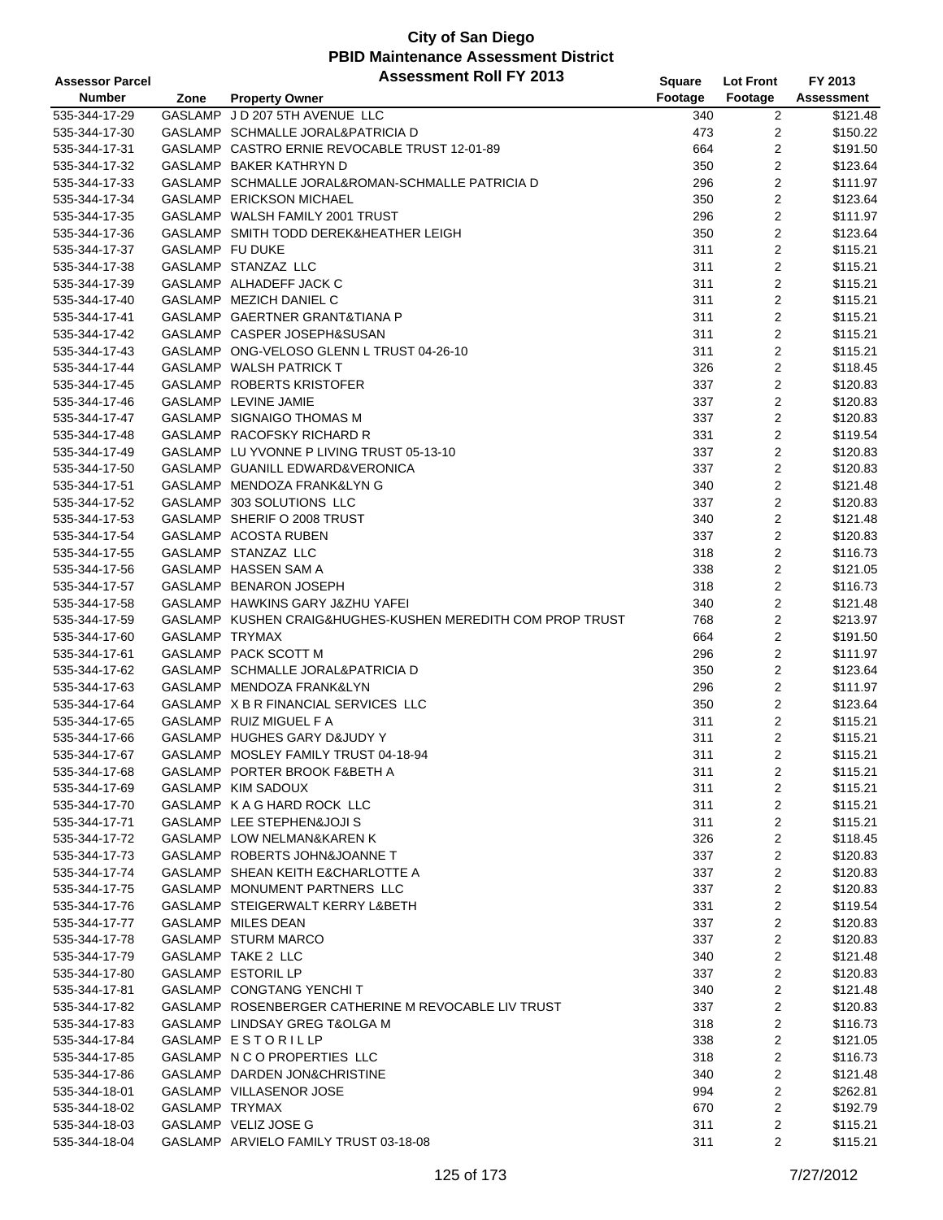| <b>Assessor Parcel</b> |                 | <b>Assessment Roll FY 2013</b>                             | <b>Square</b> | <b>Lot Front</b>        | FY 2013           |
|------------------------|-----------------|------------------------------------------------------------|---------------|-------------------------|-------------------|
| <b>Number</b>          | Zone            | <b>Property Owner</b>                                      | Footage       | Footage                 | <b>Assessment</b> |
| 535-344-17-29          |                 | GASLAMP J D 207 5TH AVENUE LLC                             | 340           | $\overline{c}$          | \$121.48          |
| 535-344-17-30          |                 | GASLAMP SCHMALLE JORAL&PATRICIA D                          | 473           | 2                       | \$150.22          |
| 535-344-17-31          |                 | GASLAMP CASTRO ERNIE REVOCABLE TRUST 12-01-89              | 664           | $\overline{2}$          | \$191.50          |
| 535-344-17-32          |                 | GASLAMP BAKER KATHRYN D                                    | 350           | 2                       | \$123.64          |
| 535-344-17-33          |                 | GASLAMP SCHMALLE JORAL&ROMAN-SCHMALLE PATRICIA D           | 296           | $\overline{2}$          | \$111.97          |
| 535-344-17-34          |                 | GASLAMP ERICKSON MICHAEL                                   | 350           | 2                       | \$123.64          |
| 535-344-17-35          |                 | GASLAMP WALSH FAMILY 2001 TRUST                            | 296           | 2                       | \$111.97          |
| 535-344-17-36          |                 | GASLAMP SMITH TODD DEREK&HEATHER LEIGH                     | 350           | 2                       | \$123.64          |
| 535-344-17-37          | GASLAMP FU DUKE |                                                            | 311           | 2                       | \$115.21          |
| 535-344-17-38          |                 | GASLAMP STANZAZ LLC                                        | 311           | 2                       | \$115.21          |
| 535-344-17-39          |                 | GASLAMP ALHADEFF JACK C                                    | 311           | $\overline{c}$          | \$115.21          |
| 535-344-17-40          |                 | GASLAMP MEZICH DANIEL C                                    | 311           | 2                       | \$115.21          |
| 535-344-17-41          |                 | GASLAMP GAERTNER GRANT&TIANA P                             | 311           | 2                       | \$115.21          |
| 535-344-17-42          |                 | GASLAMP CASPER JOSEPH&SUSAN                                | 311           | 2                       | \$115.21          |
| 535-344-17-43          |                 | GASLAMP ONG-VELOSO GLENN L TRUST 04-26-10                  | 311           | 2                       | \$115.21          |
| 535-344-17-44          |                 | GASLAMP WALSH PATRICK T                                    | 326           | 2                       | \$118.45          |
| 535-344-17-45          |                 | GASLAMP ROBERTS KRISTOFER                                  | 337           | $\overline{c}$          | \$120.83          |
| 535-344-17-46          |                 | <b>GASLAMP LEVINE JAMIE</b>                                | 337           | $\overline{2}$          | \$120.83          |
| 535-344-17-47          |                 | GASLAMP SIGNAIGO THOMAS M                                  | 337           | 2                       | \$120.83          |
| 535-344-17-48          |                 | GASLAMP RACOFSKY RICHARD R                                 | 331           | 2                       | \$119.54          |
| 535-344-17-49          |                 | GASLAMP LU YVONNE P LIVING TRUST 05-13-10                  | 337           | 2                       | \$120.83          |
| 535-344-17-50          |                 | GASLAMP GUANILL EDWARD&VERONICA                            | 337           | $\overline{\mathbf{c}}$ | \$120.83          |
| 535-344-17-51          |                 | GASLAMP MENDOZA FRANK&LYN G                                | 340           | $\overline{\mathbf{c}}$ | \$121.48          |
| 535-344-17-52          |                 | GASLAMP 303 SOLUTIONS LLC                                  | 337           | 2                       | \$120.83          |
| 535-344-17-53          |                 | GASLAMP SHERIF O 2008 TRUST                                | 340           | $\overline{c}$          | \$121.48          |
| 535-344-17-54          |                 | GASLAMP ACOSTA RUBEN                                       | 337           | 2                       | \$120.83          |
| 535-344-17-55          |                 | GASLAMP STANZAZ LLC                                        | 318           | 2                       | \$116.73          |
| 535-344-17-56          |                 | GASLAMP HASSEN SAM A                                       | 338           | $\overline{\mathbf{c}}$ | \$121.05          |
| 535-344-17-57          |                 | GASLAMP BENARON JOSEPH                                     | 318           | 2                       | \$116.73          |
| 535-344-17-58          |                 | GASLAMP HAWKINS GARY J&ZHU YAFEI                           | 340           | 2                       | \$121.48          |
| 535-344-17-59          |                 | GASLAMP KUSHEN CRAIG&HUGHES-KUSHEN MEREDITH COM PROP TRUST | 768           | 2                       | \$213.97          |
| 535-344-17-60          | GASLAMP TRYMAX  |                                                            | 664           | $\overline{2}$          | \$191.50          |
| 535-344-17-61          |                 | GASLAMP PACK SCOTT M                                       | 296           | $\overline{2}$          | \$111.97          |
| 535-344-17-62          |                 | GASLAMP SCHMALLE JORAL&PATRICIA D                          | 350           | 2                       | \$123.64          |
| 535-344-17-63          |                 | GASLAMP MENDOZA FRANK&LYN                                  | 296           | 2                       | \$111.97          |
| 535-344-17-64          |                 | GASLAMP X B R FINANCIAL SERVICES LLC                       | 350           | 2                       | \$123.64          |
| 535-344-17-65          |                 | GASLAMP RUIZ MIGUEL F A                                    | 311           | 2                       | \$115.21          |
| 535-344-17-66          |                 | GASLAMP HUGHES GARY D&JUDY Y                               | 311           | 2                       | \$115.21          |
| 535-344-17-67          |                 | GASLAMP MOSLEY FAMILY TRUST 04-18-94                       | 311           | $\overline{2}$          | \$115.21          |
| 535-344-17-68          |                 | GASLAMP PORTER BROOK F&BETH A                              | 311           | 2                       | \$115.21          |
| 535-344-17-69          |                 | GASLAMP KIM SADOUX                                         | 311           | 2                       | \$115.21          |
| 535-344-17-70          |                 | GASLAMP K A G HARD ROCK LLC                                | 311           | 2                       | \$115.21          |
| 535-344-17-71          |                 | GASLAMP LEE STEPHEN&JOJI S                                 | 311           | 2                       | \$115.21          |
| 535-344-17-72          |                 | GASLAMP LOW NELMAN&KAREN K                                 | 326           | 2                       | \$118.45          |
| 535-344-17-73          |                 | GASLAMP ROBERTS JOHN&JOANNE T                              | 337           | $\overline{\mathbf{c}}$ | \$120.83          |
| 535-344-17-74          |                 | GASLAMP SHEAN KEITH E&CHARLOTTE A                          | 337           | 2                       | \$120.83          |
| 535-344-17-75          |                 | GASLAMP MONUMENT PARTNERS LLC                              | 337           | 2                       | \$120.83          |
| 535-344-17-76          |                 | GASLAMP STEIGERWALT KERRY L&BETH                           | 331           | 2                       | \$119.54          |
| 535-344-17-77          |                 | GASLAMP MILES DEAN                                         | 337           | 2                       | \$120.83          |
| 535-344-17-78          |                 | GASLAMP STURM MARCO                                        | 337           | $\overline{\mathbf{c}}$ | \$120.83          |
| 535-344-17-79          |                 | <b>GASLAMP TAKE 2 LLC</b>                                  | 340           | $\overline{\mathbf{c}}$ | \$121.48          |
| 535-344-17-80          |                 | GASLAMP ESTORIL LP                                         | 337           | 2                       | \$120.83          |
| 535-344-17-81          |                 | GASLAMP CONGTANG YENCHIT                                   | 340           | 2                       | \$121.48          |
| 535-344-17-82          |                 | GASLAMP ROSENBERGER CATHERINE M REVOCABLE LIV TRUST        | 337           | 2                       | \$120.83          |
| 535-344-17-83          |                 | GASLAMP LINDSAY GREG T&OLGA M                              | 318           | 2                       | \$116.73          |
| 535-344-17-84          |                 | GASLAMP ESTORILLP                                          | 338           | $\overline{\mathbf{c}}$ | \$121.05          |
| 535-344-17-85          |                 | GASLAMP N C O PROPERTIES LLC                               | 318           | 2                       | \$116.73          |
| 535-344-17-86          |                 | GASLAMP DARDEN JON&CHRISTINE                               | 340           | 2                       | \$121.48          |
| 535-344-18-01          |                 | GASLAMP VILLASENOR JOSE                                    | 994           | 2                       | \$262.81          |
| 535-344-18-02          | GASLAMP TRYMAX  |                                                            | 670           | 2                       | \$192.79          |
| 535-344-18-03          |                 | GASLAMP VELIZ JOSE G                                       | 311           | 2                       | \$115.21          |
| 535-344-18-04          |                 | GASLAMP ARVIELO FAMILY TRUST 03-18-08                      | 311           | 2                       | \$115.21          |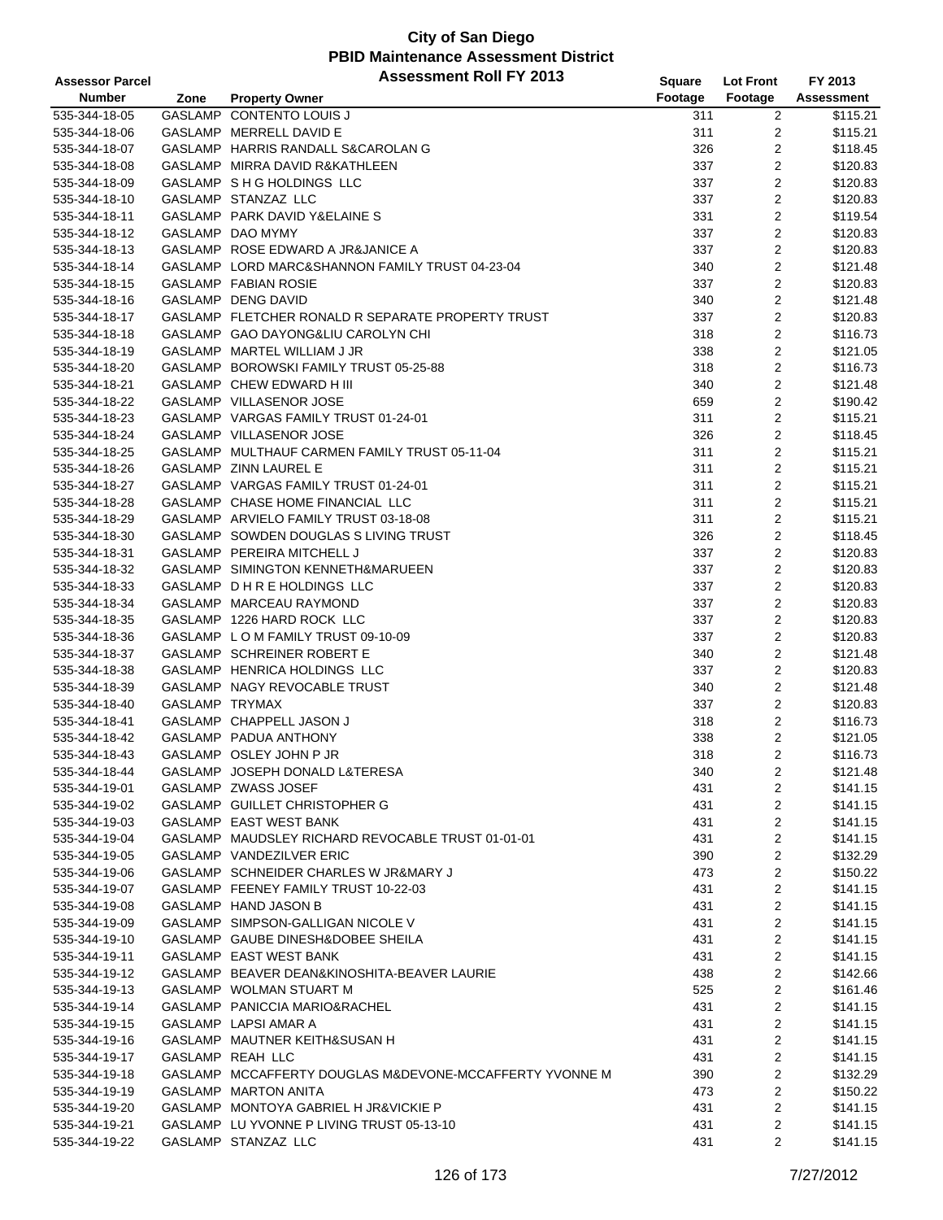| <b>Assessor Parcel</b>         |                | <b>Assessment Roll FY 2013</b>                          | Square     | <b>Lot Front</b>    | FY 2013              |
|--------------------------------|----------------|---------------------------------------------------------|------------|---------------------|----------------------|
| <b>Number</b>                  | Zone           | <b>Property Owner</b>                                   | Footage    | Footage             | <b>Assessment</b>    |
| 535-344-18-05                  |                | GASLAMP CONTENTO LOUIS J                                | 311        | $\overline{2}$      | \$115.21             |
| 535-344-18-06                  |                | GASLAMP MERRELL DAVID E                                 | 311        | $\overline{2}$      | \$115.21             |
| 535-344-18-07                  |                | GASLAMP HARRIS RANDALL S&CAROLAN G                      | 326        | $\overline{c}$      | \$118.45             |
| 535-344-18-08                  |                | GASLAMP MIRRA DAVID R&KATHLEEN                          | 337        | 2                   | \$120.83             |
| 535-344-18-09                  |                | GASLAMP S H G HOLDINGS LLC                              | 337        | $\overline{2}$      | \$120.83             |
| 535-344-18-10                  |                | GASLAMP STANZAZ LLC                                     | 337        | $\overline{c}$      | \$120.83             |
| 535-344-18-11                  |                | GASLAMP PARK DAVID Y& ELAINE S                          | 331        | $\overline{2}$      | \$119.54             |
| 535-344-18-12                  |                | GASLAMP DAO MYMY                                        | 337        | $\overline{2}$      | \$120.83             |
| 535-344-18-13                  |                | GASLAMP ROSE EDWARD A JR&JANICE A                       | 337        | $\overline{c}$      | \$120.83             |
| 535-344-18-14                  |                | GASLAMP LORD MARC&SHANNON FAMILY TRUST 04-23-04         | 340        | 2                   | \$121.48             |
| 535-344-18-15                  |                | GASLAMP FABIAN ROSIE                                    | 337        | $\overline{c}$      | \$120.83             |
| 535-344-18-16                  |                | GASLAMP DENG DAVID                                      | 340        | $\overline{c}$      | \$121.48             |
| 535-344-18-17                  |                | GASLAMP FLETCHER RONALD R SEPARATE PROPERTY TRUST       | 337        | $\mathbf{2}$        | \$120.83             |
| 535-344-18-18                  |                | GASLAMP GAO DAYONG&LIU CAROLYN CHI                      | 318        | $\overline{c}$      | \$116.73             |
| 535-344-18-19                  |                | GASLAMP MARTEL WILLIAM J JR                             | 338        | $\overline{c}$      | \$121.05             |
| 535-344-18-20                  |                | GASLAMP BOROWSKI FAMILY TRUST 05-25-88                  | 318        | $\overline{c}$      | \$116.73             |
| 535-344-18-21                  |                | GASLAMP CHEW EDWARD H III                               | 340        | $\overline{c}$      | \$121.48             |
| 535-344-18-22                  |                | GASLAMP VILLASENOR JOSE                                 | 659        | $\overline{c}$      | \$190.42             |
| 535-344-18-23                  |                | GASLAMP VARGAS FAMILY TRUST 01-24-01                    | 311        | $\overline{c}$      | \$115.21             |
| 535-344-18-24                  |                | GASLAMP VILLASENOR JOSE                                 | 326        | $\overline{c}$      | \$118.45             |
| 535-344-18-25                  |                | GASLAMP MULTHAUF CARMEN FAMILY TRUST 05-11-04           | 311        | $\overline{2}$      | \$115.21             |
| 535-344-18-26                  |                | GASLAMP ZINN LAUREL E                                   | 311        | $\mathbf{2}$        | \$115.21             |
| 535-344-18-27                  |                | GASLAMP VARGAS FAMILY TRUST 01-24-01                    | 311        | $\overline{c}$      | \$115.21             |
| 535-344-18-28                  |                | GASLAMP CHASE HOME FINANCIAL LLC                        | 311        | $\overline{c}$      | \$115.21             |
| 535-344-18-29                  |                | GASLAMP ARVIELO FAMILY TRUST 03-18-08                   | 311        | $\mathbf{2}$        | \$115.21             |
| 535-344-18-30                  |                | GASLAMP SOWDEN DOUGLAS S LIVING TRUST                   | 326        | $\boldsymbol{2}$    | \$118.45             |
| 535-344-18-31                  |                | GASLAMP PEREIRA MITCHELL J                              | 337        | $\overline{c}$      | \$120.83             |
| 535-344-18-32                  |                | GASLAMP SIMINGTON KENNETH&MARUEEN                       | 337        | $\mathbf 2$         | \$120.83             |
| 535-344-18-33                  |                | GASLAMP D H R E HOLDINGS LLC                            | 337        | $\mathbf{2}$        | \$120.83             |
| 535-344-18-34                  |                | GASLAMP MARCEAU RAYMOND                                 | 337        | 2                   | \$120.83             |
| 535-344-18-35                  |                | GASLAMP 1226 HARD ROCK LLC                              | 337        | $\overline{c}$      | \$120.83             |
| 535-344-18-36                  |                | GASLAMP L O M FAMILY TRUST 09-10-09                     | 337        | 2                   | \$120.83             |
| 535-344-18-37                  |                | GASLAMP SCHREINER ROBERT E                              | 340        | $\overline{2}$      | \$121.48             |
| 535-344-18-38                  |                | GASLAMP HENRICA HOLDINGS LLC                            | 337        | $\overline{c}$      | \$120.83             |
| 535-344-18-39                  |                | GASLAMP NAGY REVOCABLE TRUST                            | 340        | $\overline{c}$      | \$121.48             |
| 535-344-18-40                  | GASLAMP TRYMAX |                                                         | 337        | $\mathbf{2}$        | \$120.83             |
| 535-344-18-41                  |                | GASLAMP CHAPPELL JASON J                                | 318        | $\overline{c}$      | \$116.73             |
| 535-344-18-42                  |                | GASLAMP PADUA ANTHONY                                   | 338        | $\overline{2}$      | \$121.05             |
| 535-344-18-43                  |                | GASLAMP OSLEY JOHN P JR                                 | 318        | 2                   | \$116.73             |
| 535-344-18-44                  |                | GASLAMP JOSEPH DONALD L&TERESA                          | 340        | 2                   | \$121.48             |
| 535-344-19-01                  |                | GASLAMP ZWASS JOSEF                                     | 431        | $\overline{c}$      | \$141.15             |
| 535-344-19-02                  |                | GASLAMP GUILLET CHRISTOPHER G                           | 431        | 2                   | \$141.15             |
| 535-344-19-03                  |                | GASLAMP EAST WEST BANK                                  | 431        | 2                   | \$141.15             |
| 535-344-19-04                  |                | GASLAMP MAUDSLEY RICHARD REVOCABLE TRUST 01-01-01       | 431        | $\overline{2}$      | \$141.15             |
| 535-344-19-05                  |                | GASLAMP VANDEZILVER ERIC                                | 390        | $\overline{c}$      | \$132.29             |
| 535-344-19-06                  |                | GASLAMP SCHNEIDER CHARLES W JR&MARY J                   | 473        | $\overline{2}$      | \$150.22             |
| 535-344-19-07                  |                | GASLAMP FEENEY FAMILY TRUST 10-22-03                    | 431        | $\overline{c}$      | \$141.15             |
| 535-344-19-08                  |                | GASLAMP HAND JASON B                                    | 431        | 2                   | \$141.15             |
| 535-344-19-09                  |                | GASLAMP SIMPSON-GALLIGAN NICOLE V                       | 431        | 2                   | \$141.15             |
| 535-344-19-10                  |                | GASLAMP GAUBE DINESH&DOBEE SHEILA                       | 431        | $\overline{2}$      | \$141.15             |
| 535-344-19-11                  |                | GASLAMP EAST WEST BANK                                  | 431        | 2                   | \$141.15             |
| 535-344-19-12                  |                | GASLAMP BEAVER DEAN&KINOSHITA-BEAVER LAURIE             | 438        | 2                   | \$142.66             |
| 535-344-19-13                  |                | GASLAMP WOLMAN STUART M                                 | 525        | 2                   | \$161.46             |
| 535-344-19-14                  |                | GASLAMP PANICCIA MARIO&RACHEL                           | 431        | 2                   | \$141.15             |
|                                |                | GASLAMP LAPSI AMAR A                                    | 431        | $\overline{2}$      | \$141.15             |
| 535-344-19-15                  |                | GASLAMP MAUTNER KEITH&SUSAN H                           |            | $\overline{2}$      |                      |
| 535-344-19-16<br>535-344-19-17 |                | GASLAMP REAH LLC                                        | 431<br>431 | 2                   | \$141.15<br>\$141.15 |
| 535-344-19-18                  |                | GASLAMP MCCAFFERTY DOUGLAS M&DEVONE-MCCAFFERTY YVONNE M | 390        |                     | \$132.29             |
|                                |                | GASLAMP MARTON ANITA                                    | 473        | $\overline{c}$<br>2 | \$150.22             |
| 535-344-19-19<br>535-344-19-20 |                | GASLAMP MONTOYA GABRIEL H JR&VICKIE P                   | 431        | 2                   | \$141.15             |
| 535-344-19-21                  |                | GASLAMP LU YVONNE P LIVING TRUST 05-13-10               | 431        | $\overline{2}$      | \$141.15             |
| 535-344-19-22                  |                | GASLAMP STANZAZ LLC                                     | 431        | $\overline{2}$      | \$141.15             |
|                                |                |                                                         |            |                     |                      |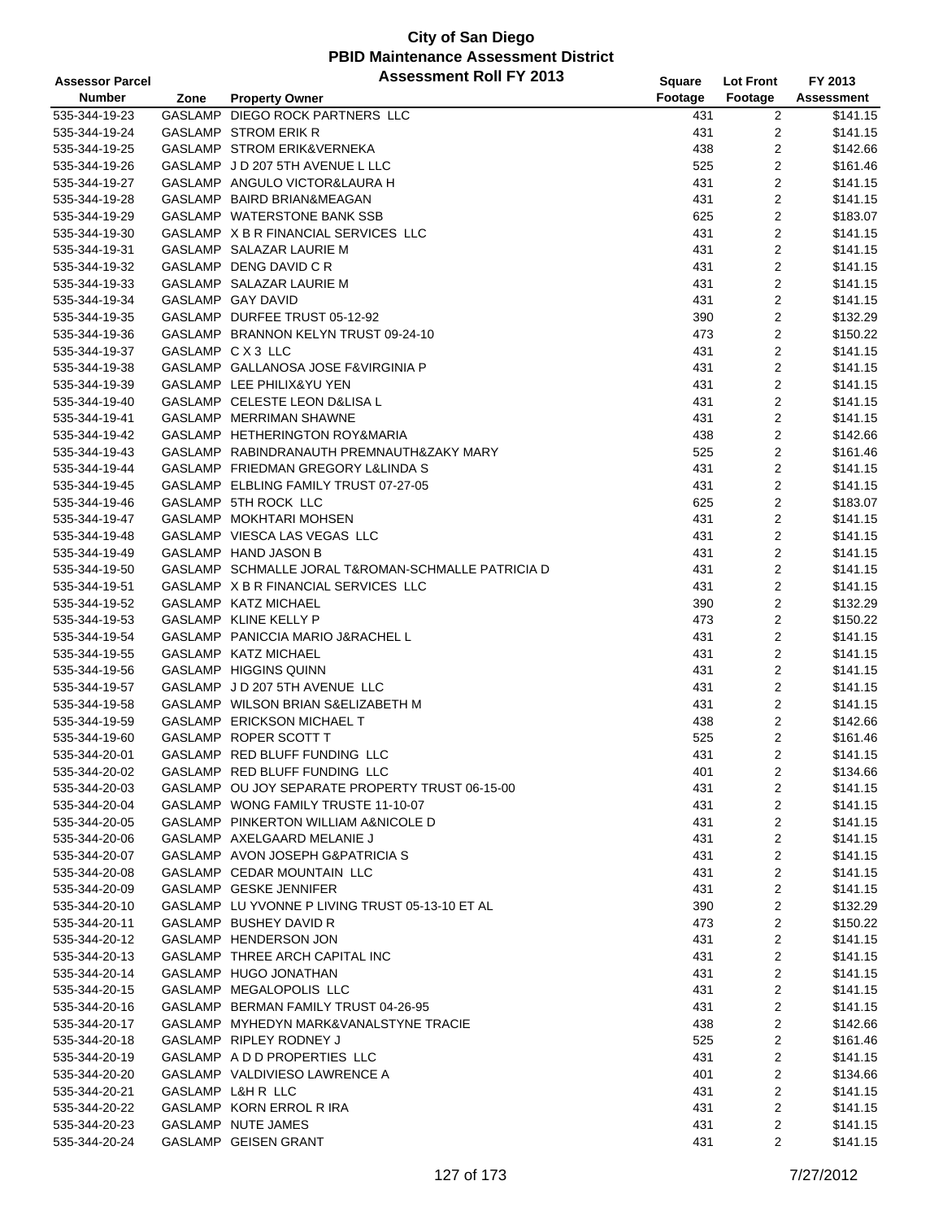| Footage<br><b>Number</b><br>Footage<br><b>Assessment</b><br><b>Property Owner</b><br>Zone<br>GASLAMP DIEGO ROCK PARTNERS LLC<br>535-344-19-23<br>$\overline{c}$<br>\$141.15<br>431<br>535-344-19-24<br><b>GASLAMP STROM ERIK R</b><br>431<br>2<br>\$141.15<br>$\overline{2}$<br>GASLAMP STROM ERIK&VERNEKA<br>\$142.66<br>535-344-19-25<br>438<br>$\overline{2}$<br>GASLAMP J D 207 5TH AVENUE L LLC<br>\$161.46<br>535-344-19-26<br>525<br>$\overline{2}$<br>\$141.15<br>535-344-19-27<br>GASLAMP ANGULO VICTOR&LAURA H<br>431<br>2<br>431<br>\$141.15<br>535-344-19-28<br>GASLAMP BAIRD BRIAN&MEAGAN<br>2<br>\$183.07<br>535-344-19-29<br>GASLAMP WATERSTONE BANK SSB<br>625<br>2<br>\$141.15<br>535-344-19-30<br>GASLAMP X B R FINANCIAL SERVICES LLC<br>431<br>2<br>535-344-19-31<br>\$141.15<br>GASLAMP SALAZAR LAURIE M<br>431<br>$\overline{2}$<br>GASLAMP DENG DAVID C R<br>\$141.15<br>535-344-19-32<br>431<br>$\overline{c}$<br>GASLAMP SALAZAR LAURIE M<br>\$141.15<br>535-344-19-33<br>431<br>2<br>GASLAMP GAY DAVID<br>\$141.15<br>535-344-19-34<br>431<br>2<br>GASLAMP DURFEE TRUST 05-12-92<br>\$132.29<br>535-344-19-35<br>390<br>2<br>GASLAMP BRANNON KELYN TRUST 09-24-10<br>\$150.22<br>535-344-19-36<br>473<br>2<br>\$141.15<br>535-344-19-37<br>GASLAMP C X 3 LLC<br>431<br>$\overline{2}$<br>535-344-19-38<br>GASLAMP GALLANOSA JOSE F&VIRGINIA P<br>431<br>\$141.15<br>$\overline{c}$<br>GASLAMP LEE PHILIX&YU YEN<br>\$141.15<br>535-344-19-39<br>431<br>$\overline{2}$<br>GASLAMP CELESTE LEON D&LISA L<br>\$141.15<br>535-344-19-40<br>431<br>GASLAMP MERRIMAN SHAWNE<br>2<br>\$141.15<br>535-344-19-41<br>431<br>2<br>GASLAMP HETHERINGTON ROY&MARIA<br>\$142.66<br>535-344-19-42<br>438<br>2<br>535-344-19-43<br>GASLAMP RABINDRANAUTH PREMNAUTH&ZAKY MARY<br>525<br>\$161.46<br>2<br>535-344-19-44<br>GASLAMP FRIEDMAN GREGORY L&LINDA S<br>431<br>\$141.15<br>2<br>GASLAMP ELBLING FAMILY TRUST 07-27-05<br>\$141.15<br>535-344-19-45<br>431<br>2<br>GASLAMP 5TH ROCK LLC<br>625<br>\$183.07<br>535-344-19-46<br>$\overline{c}$<br>535-344-19-47<br>GASLAMP MOKHTARI MOHSEN<br>431<br>\$141.15<br>$\overline{2}$<br>GASLAMP VIESCA LAS VEGAS LLC<br>\$141.15<br>535-344-19-48<br>431<br>2<br>GASLAMP HAND JASON B<br>\$141.15<br>535-344-19-49<br>431<br>2<br>\$141.15<br>535-344-19-50<br>GASLAMP SCHMALLE JORAL T&ROMAN-SCHMALLE PATRICIA D<br>431<br>2<br>GASLAMP X B R FINANCIAL SERVICES LLC<br>\$141.15<br>535-344-19-51<br>431<br>390<br>2<br>\$132.29<br>535-344-19-52<br>GASLAMP KATZ MICHAEL<br>2<br>GASLAMP KLINE KELLY P<br>473<br>\$150.22<br>535-344-19-53<br>2<br>GASLAMP PANICCIA MARIO J&RACHEL L<br>431<br>\$141.15<br>535-344-19-54<br>$\overline{2}$<br>GASLAMP KATZ MICHAEL<br>431<br>\$141.15<br>535-344-19-55<br>2<br>GASLAMP HIGGINS QUINN<br>\$141.15<br>535-344-19-56<br>431<br>2<br>GASLAMP J D 207 5TH AVENUE LLC<br>\$141.15<br>535-344-19-57<br>431<br>$\overline{2}$<br>\$141.15<br>535-344-19-58<br>GASLAMP WILSON BRIAN S&ELIZABETH M<br>431<br>2<br>GASLAMP ERICKSON MICHAEL T<br>535-344-19-59<br>438<br>\$142.66<br>$\overline{2}$<br>GASLAMP ROPER SCOTT T<br>525<br>535-344-19-60<br>\$161.46<br>$\overline{2}$<br>535-344-20-01<br>GASLAMP RED BLUFF FUNDING LLC<br>431<br>\$141.15<br>GASLAMP RED BLUFF FUNDING LLC<br>\$134.66<br>535-344-20-02<br>401<br>2<br>GASLAMP OU JOY SEPARATE PROPERTY TRUST 06-15-00<br>2<br>535-344-20-03<br>431<br>\$141.15<br>2<br>535-344-20-04<br>GASLAMP WONG FAMILY TRUSTE 11-10-07<br>\$141.15<br>431<br>2<br>535-344-20-05<br>GASLAMP PINKERTON WILLIAM A&NICOLE D<br>\$141.15<br>431<br>2<br>GASLAMP AXELGAARD MELANIE J<br>431<br>\$141.15<br>535-344-20-06<br>2<br>535-344-20-07<br>GASLAMP AVON JOSEPH G&PATRICIA S<br>431<br>\$141.15<br>2<br>GASLAMP CEDAR MOUNTAIN LLC<br>\$141.15<br>535-344-20-08<br>431<br>2<br>GASLAMP GESKE JENNIFER<br>\$141.15<br>535-344-20-09<br>431<br>2<br>GASLAMP LU YVONNE P LIVING TRUST 05-13-10 ET AL<br>390<br>\$132.29<br>535-344-20-10<br>2<br>GASLAMP BUSHEY DAVID R<br>535-344-20-11<br>473<br>\$150.22<br>2<br>535-344-20-12<br>GASLAMP HENDERSON JON<br>431<br>\$141.15<br>2<br>535-344-20-13<br>GASLAMP THREE ARCH CAPITAL INC<br>431<br>\$141.15<br>2<br>GASLAMP HUGO JONATHAN<br>\$141.15<br>535-344-20-14<br>431<br>2<br>GASLAMP MEGALOPOLIS LLC<br>\$141.15<br>535-344-20-15<br>431<br>2<br>GASLAMP BERMAN FAMILY TRUST 04-26-95<br>\$141.15<br>535-344-20-16<br>431<br>2<br>GASLAMP MYHEDYN MARK&VANALSTYNE TRACIE<br>\$142.66<br>535-344-20-17<br>438<br>$\overline{\mathbf{c}}$<br>GASLAMP RIPLEY RODNEY J<br>525<br>\$161.46<br>535-344-20-18<br>2<br>GASLAMP A D D PROPERTIES LLC<br>535-344-20-19<br>431<br>\$141.15<br>2<br>535-344-20-20<br>GASLAMP VALDIVIESO LAWRENCE A<br>401<br>\$134.66<br>2<br>535-344-20-21<br>GASLAMP L&H R LLC<br>\$141.15<br>431<br>GASLAMP KORN ERROL R IRA<br>2<br>535-344-20-22<br>431<br>\$141.15<br>GASLAMP NUTE JAMES | <b>Assessor Parcel</b> | <b>Assessment Roll FY 2013</b> | <b>Square</b> | <b>Lot Front</b> | FY 2013  |
|----------------------------------------------------------------------------------------------------------------------------------------------------------------------------------------------------------------------------------------------------------------------------------------------------------------------------------------------------------------------------------------------------------------------------------------------------------------------------------------------------------------------------------------------------------------------------------------------------------------------------------------------------------------------------------------------------------------------------------------------------------------------------------------------------------------------------------------------------------------------------------------------------------------------------------------------------------------------------------------------------------------------------------------------------------------------------------------------------------------------------------------------------------------------------------------------------------------------------------------------------------------------------------------------------------------------------------------------------------------------------------------------------------------------------------------------------------------------------------------------------------------------------------------------------------------------------------------------------------------------------------------------------------------------------------------------------------------------------------------------------------------------------------------------------------------------------------------------------------------------------------------------------------------------------------------------------------------------------------------------------------------------------------------------------------------------------------------------------------------------------------------------------------------------------------------------------------------------------------------------------------------------------------------------------------------------------------------------------------------------------------------------------------------------------------------------------------------------------------------------------------------------------------------------------------------------------------------------------------------------------------------------------------------------------------------------------------------------------------------------------------------------------------------------------------------------------------------------------------------------------------------------------------------------------------------------------------------------------------------------------------------------------------------------------------------------------------------------------------------------------------------------------------------------------------------------------------------------------------------------------------------------------------------------------------------------------------------------------------------------------------------------------------------------------------------------------------------------------------------------------------------------------------------------------------------------------------------------------------------------------------------------------------------------------------------------------------------------------------------------------------------------------------------------------------------------------------------------------------------------------------------------------------------------------------------------------------------------------------------------------------------------------------------------------------------------------------------------------------------------------------------------------------------------------------------------------------------------------------------------------------------------------------------------------------------------------------------------------------------------------------------------------------------------------------------------------------------------------------------------------------------------------------------------------------------------------------------------------------------------------------------------------------------------------------------------------------------------------------------------------------------------------------------------------------------------------------------------------------------------------------------------------------------------------|------------------------|--------------------------------|---------------|------------------|----------|
|                                                                                                                                                                                                                                                                                                                                                                                                                                                                                                                                                                                                                                                                                                                                                                                                                                                                                                                                                                                                                                                                                                                                                                                                                                                                                                                                                                                                                                                                                                                                                                                                                                                                                                                                                                                                                                                                                                                                                                                                                                                                                                                                                                                                                                                                                                                                                                                                                                                                                                                                                                                                                                                                                                                                                                                                                                                                                                                                                                                                                                                                                                                                                                                                                                                                                                                                                                                                                                                                                                                                                                                                                                                                                                                                                                                                                                                                                                                                                                                                                                                                                                                                                                                                                                                                                                                                                                                                                                                                                                                                                                                                                                                                                                                                                                                                                                                                                                                            |                        |                                |               |                  |          |
|                                                                                                                                                                                                                                                                                                                                                                                                                                                                                                                                                                                                                                                                                                                                                                                                                                                                                                                                                                                                                                                                                                                                                                                                                                                                                                                                                                                                                                                                                                                                                                                                                                                                                                                                                                                                                                                                                                                                                                                                                                                                                                                                                                                                                                                                                                                                                                                                                                                                                                                                                                                                                                                                                                                                                                                                                                                                                                                                                                                                                                                                                                                                                                                                                                                                                                                                                                                                                                                                                                                                                                                                                                                                                                                                                                                                                                                                                                                                                                                                                                                                                                                                                                                                                                                                                                                                                                                                                                                                                                                                                                                                                                                                                                                                                                                                                                                                                                                            |                        |                                |               |                  |          |
|                                                                                                                                                                                                                                                                                                                                                                                                                                                                                                                                                                                                                                                                                                                                                                                                                                                                                                                                                                                                                                                                                                                                                                                                                                                                                                                                                                                                                                                                                                                                                                                                                                                                                                                                                                                                                                                                                                                                                                                                                                                                                                                                                                                                                                                                                                                                                                                                                                                                                                                                                                                                                                                                                                                                                                                                                                                                                                                                                                                                                                                                                                                                                                                                                                                                                                                                                                                                                                                                                                                                                                                                                                                                                                                                                                                                                                                                                                                                                                                                                                                                                                                                                                                                                                                                                                                                                                                                                                                                                                                                                                                                                                                                                                                                                                                                                                                                                                                            |                        |                                |               |                  |          |
|                                                                                                                                                                                                                                                                                                                                                                                                                                                                                                                                                                                                                                                                                                                                                                                                                                                                                                                                                                                                                                                                                                                                                                                                                                                                                                                                                                                                                                                                                                                                                                                                                                                                                                                                                                                                                                                                                                                                                                                                                                                                                                                                                                                                                                                                                                                                                                                                                                                                                                                                                                                                                                                                                                                                                                                                                                                                                                                                                                                                                                                                                                                                                                                                                                                                                                                                                                                                                                                                                                                                                                                                                                                                                                                                                                                                                                                                                                                                                                                                                                                                                                                                                                                                                                                                                                                                                                                                                                                                                                                                                                                                                                                                                                                                                                                                                                                                                                                            |                        |                                |               |                  |          |
|                                                                                                                                                                                                                                                                                                                                                                                                                                                                                                                                                                                                                                                                                                                                                                                                                                                                                                                                                                                                                                                                                                                                                                                                                                                                                                                                                                                                                                                                                                                                                                                                                                                                                                                                                                                                                                                                                                                                                                                                                                                                                                                                                                                                                                                                                                                                                                                                                                                                                                                                                                                                                                                                                                                                                                                                                                                                                                                                                                                                                                                                                                                                                                                                                                                                                                                                                                                                                                                                                                                                                                                                                                                                                                                                                                                                                                                                                                                                                                                                                                                                                                                                                                                                                                                                                                                                                                                                                                                                                                                                                                                                                                                                                                                                                                                                                                                                                                                            |                        |                                |               |                  |          |
|                                                                                                                                                                                                                                                                                                                                                                                                                                                                                                                                                                                                                                                                                                                                                                                                                                                                                                                                                                                                                                                                                                                                                                                                                                                                                                                                                                                                                                                                                                                                                                                                                                                                                                                                                                                                                                                                                                                                                                                                                                                                                                                                                                                                                                                                                                                                                                                                                                                                                                                                                                                                                                                                                                                                                                                                                                                                                                                                                                                                                                                                                                                                                                                                                                                                                                                                                                                                                                                                                                                                                                                                                                                                                                                                                                                                                                                                                                                                                                                                                                                                                                                                                                                                                                                                                                                                                                                                                                                                                                                                                                                                                                                                                                                                                                                                                                                                                                                            |                        |                                |               |                  |          |
|                                                                                                                                                                                                                                                                                                                                                                                                                                                                                                                                                                                                                                                                                                                                                                                                                                                                                                                                                                                                                                                                                                                                                                                                                                                                                                                                                                                                                                                                                                                                                                                                                                                                                                                                                                                                                                                                                                                                                                                                                                                                                                                                                                                                                                                                                                                                                                                                                                                                                                                                                                                                                                                                                                                                                                                                                                                                                                                                                                                                                                                                                                                                                                                                                                                                                                                                                                                                                                                                                                                                                                                                                                                                                                                                                                                                                                                                                                                                                                                                                                                                                                                                                                                                                                                                                                                                                                                                                                                                                                                                                                                                                                                                                                                                                                                                                                                                                                                            |                        |                                |               |                  |          |
|                                                                                                                                                                                                                                                                                                                                                                                                                                                                                                                                                                                                                                                                                                                                                                                                                                                                                                                                                                                                                                                                                                                                                                                                                                                                                                                                                                                                                                                                                                                                                                                                                                                                                                                                                                                                                                                                                                                                                                                                                                                                                                                                                                                                                                                                                                                                                                                                                                                                                                                                                                                                                                                                                                                                                                                                                                                                                                                                                                                                                                                                                                                                                                                                                                                                                                                                                                                                                                                                                                                                                                                                                                                                                                                                                                                                                                                                                                                                                                                                                                                                                                                                                                                                                                                                                                                                                                                                                                                                                                                                                                                                                                                                                                                                                                                                                                                                                                                            |                        |                                |               |                  |          |
|                                                                                                                                                                                                                                                                                                                                                                                                                                                                                                                                                                                                                                                                                                                                                                                                                                                                                                                                                                                                                                                                                                                                                                                                                                                                                                                                                                                                                                                                                                                                                                                                                                                                                                                                                                                                                                                                                                                                                                                                                                                                                                                                                                                                                                                                                                                                                                                                                                                                                                                                                                                                                                                                                                                                                                                                                                                                                                                                                                                                                                                                                                                                                                                                                                                                                                                                                                                                                                                                                                                                                                                                                                                                                                                                                                                                                                                                                                                                                                                                                                                                                                                                                                                                                                                                                                                                                                                                                                                                                                                                                                                                                                                                                                                                                                                                                                                                                                                            |                        |                                |               |                  |          |
|                                                                                                                                                                                                                                                                                                                                                                                                                                                                                                                                                                                                                                                                                                                                                                                                                                                                                                                                                                                                                                                                                                                                                                                                                                                                                                                                                                                                                                                                                                                                                                                                                                                                                                                                                                                                                                                                                                                                                                                                                                                                                                                                                                                                                                                                                                                                                                                                                                                                                                                                                                                                                                                                                                                                                                                                                                                                                                                                                                                                                                                                                                                                                                                                                                                                                                                                                                                                                                                                                                                                                                                                                                                                                                                                                                                                                                                                                                                                                                                                                                                                                                                                                                                                                                                                                                                                                                                                                                                                                                                                                                                                                                                                                                                                                                                                                                                                                                                            |                        |                                |               |                  |          |
|                                                                                                                                                                                                                                                                                                                                                                                                                                                                                                                                                                                                                                                                                                                                                                                                                                                                                                                                                                                                                                                                                                                                                                                                                                                                                                                                                                                                                                                                                                                                                                                                                                                                                                                                                                                                                                                                                                                                                                                                                                                                                                                                                                                                                                                                                                                                                                                                                                                                                                                                                                                                                                                                                                                                                                                                                                                                                                                                                                                                                                                                                                                                                                                                                                                                                                                                                                                                                                                                                                                                                                                                                                                                                                                                                                                                                                                                                                                                                                                                                                                                                                                                                                                                                                                                                                                                                                                                                                                                                                                                                                                                                                                                                                                                                                                                                                                                                                                            |                        |                                |               |                  |          |
|                                                                                                                                                                                                                                                                                                                                                                                                                                                                                                                                                                                                                                                                                                                                                                                                                                                                                                                                                                                                                                                                                                                                                                                                                                                                                                                                                                                                                                                                                                                                                                                                                                                                                                                                                                                                                                                                                                                                                                                                                                                                                                                                                                                                                                                                                                                                                                                                                                                                                                                                                                                                                                                                                                                                                                                                                                                                                                                                                                                                                                                                                                                                                                                                                                                                                                                                                                                                                                                                                                                                                                                                                                                                                                                                                                                                                                                                                                                                                                                                                                                                                                                                                                                                                                                                                                                                                                                                                                                                                                                                                                                                                                                                                                                                                                                                                                                                                                                            |                        |                                |               |                  |          |
|                                                                                                                                                                                                                                                                                                                                                                                                                                                                                                                                                                                                                                                                                                                                                                                                                                                                                                                                                                                                                                                                                                                                                                                                                                                                                                                                                                                                                                                                                                                                                                                                                                                                                                                                                                                                                                                                                                                                                                                                                                                                                                                                                                                                                                                                                                                                                                                                                                                                                                                                                                                                                                                                                                                                                                                                                                                                                                                                                                                                                                                                                                                                                                                                                                                                                                                                                                                                                                                                                                                                                                                                                                                                                                                                                                                                                                                                                                                                                                                                                                                                                                                                                                                                                                                                                                                                                                                                                                                                                                                                                                                                                                                                                                                                                                                                                                                                                                                            |                        |                                |               |                  |          |
|                                                                                                                                                                                                                                                                                                                                                                                                                                                                                                                                                                                                                                                                                                                                                                                                                                                                                                                                                                                                                                                                                                                                                                                                                                                                                                                                                                                                                                                                                                                                                                                                                                                                                                                                                                                                                                                                                                                                                                                                                                                                                                                                                                                                                                                                                                                                                                                                                                                                                                                                                                                                                                                                                                                                                                                                                                                                                                                                                                                                                                                                                                                                                                                                                                                                                                                                                                                                                                                                                                                                                                                                                                                                                                                                                                                                                                                                                                                                                                                                                                                                                                                                                                                                                                                                                                                                                                                                                                                                                                                                                                                                                                                                                                                                                                                                                                                                                                                            |                        |                                |               |                  |          |
|                                                                                                                                                                                                                                                                                                                                                                                                                                                                                                                                                                                                                                                                                                                                                                                                                                                                                                                                                                                                                                                                                                                                                                                                                                                                                                                                                                                                                                                                                                                                                                                                                                                                                                                                                                                                                                                                                                                                                                                                                                                                                                                                                                                                                                                                                                                                                                                                                                                                                                                                                                                                                                                                                                                                                                                                                                                                                                                                                                                                                                                                                                                                                                                                                                                                                                                                                                                                                                                                                                                                                                                                                                                                                                                                                                                                                                                                                                                                                                                                                                                                                                                                                                                                                                                                                                                                                                                                                                                                                                                                                                                                                                                                                                                                                                                                                                                                                                                            |                        |                                |               |                  |          |
|                                                                                                                                                                                                                                                                                                                                                                                                                                                                                                                                                                                                                                                                                                                                                                                                                                                                                                                                                                                                                                                                                                                                                                                                                                                                                                                                                                                                                                                                                                                                                                                                                                                                                                                                                                                                                                                                                                                                                                                                                                                                                                                                                                                                                                                                                                                                                                                                                                                                                                                                                                                                                                                                                                                                                                                                                                                                                                                                                                                                                                                                                                                                                                                                                                                                                                                                                                                                                                                                                                                                                                                                                                                                                                                                                                                                                                                                                                                                                                                                                                                                                                                                                                                                                                                                                                                                                                                                                                                                                                                                                                                                                                                                                                                                                                                                                                                                                                                            |                        |                                |               |                  |          |
|                                                                                                                                                                                                                                                                                                                                                                                                                                                                                                                                                                                                                                                                                                                                                                                                                                                                                                                                                                                                                                                                                                                                                                                                                                                                                                                                                                                                                                                                                                                                                                                                                                                                                                                                                                                                                                                                                                                                                                                                                                                                                                                                                                                                                                                                                                                                                                                                                                                                                                                                                                                                                                                                                                                                                                                                                                                                                                                                                                                                                                                                                                                                                                                                                                                                                                                                                                                                                                                                                                                                                                                                                                                                                                                                                                                                                                                                                                                                                                                                                                                                                                                                                                                                                                                                                                                                                                                                                                                                                                                                                                                                                                                                                                                                                                                                                                                                                                                            |                        |                                |               |                  |          |
|                                                                                                                                                                                                                                                                                                                                                                                                                                                                                                                                                                                                                                                                                                                                                                                                                                                                                                                                                                                                                                                                                                                                                                                                                                                                                                                                                                                                                                                                                                                                                                                                                                                                                                                                                                                                                                                                                                                                                                                                                                                                                                                                                                                                                                                                                                                                                                                                                                                                                                                                                                                                                                                                                                                                                                                                                                                                                                                                                                                                                                                                                                                                                                                                                                                                                                                                                                                                                                                                                                                                                                                                                                                                                                                                                                                                                                                                                                                                                                                                                                                                                                                                                                                                                                                                                                                                                                                                                                                                                                                                                                                                                                                                                                                                                                                                                                                                                                                            |                        |                                |               |                  |          |
|                                                                                                                                                                                                                                                                                                                                                                                                                                                                                                                                                                                                                                                                                                                                                                                                                                                                                                                                                                                                                                                                                                                                                                                                                                                                                                                                                                                                                                                                                                                                                                                                                                                                                                                                                                                                                                                                                                                                                                                                                                                                                                                                                                                                                                                                                                                                                                                                                                                                                                                                                                                                                                                                                                                                                                                                                                                                                                                                                                                                                                                                                                                                                                                                                                                                                                                                                                                                                                                                                                                                                                                                                                                                                                                                                                                                                                                                                                                                                                                                                                                                                                                                                                                                                                                                                                                                                                                                                                                                                                                                                                                                                                                                                                                                                                                                                                                                                                                            |                        |                                |               |                  |          |
|                                                                                                                                                                                                                                                                                                                                                                                                                                                                                                                                                                                                                                                                                                                                                                                                                                                                                                                                                                                                                                                                                                                                                                                                                                                                                                                                                                                                                                                                                                                                                                                                                                                                                                                                                                                                                                                                                                                                                                                                                                                                                                                                                                                                                                                                                                                                                                                                                                                                                                                                                                                                                                                                                                                                                                                                                                                                                                                                                                                                                                                                                                                                                                                                                                                                                                                                                                                                                                                                                                                                                                                                                                                                                                                                                                                                                                                                                                                                                                                                                                                                                                                                                                                                                                                                                                                                                                                                                                                                                                                                                                                                                                                                                                                                                                                                                                                                                                                            |                        |                                |               |                  |          |
|                                                                                                                                                                                                                                                                                                                                                                                                                                                                                                                                                                                                                                                                                                                                                                                                                                                                                                                                                                                                                                                                                                                                                                                                                                                                                                                                                                                                                                                                                                                                                                                                                                                                                                                                                                                                                                                                                                                                                                                                                                                                                                                                                                                                                                                                                                                                                                                                                                                                                                                                                                                                                                                                                                                                                                                                                                                                                                                                                                                                                                                                                                                                                                                                                                                                                                                                                                                                                                                                                                                                                                                                                                                                                                                                                                                                                                                                                                                                                                                                                                                                                                                                                                                                                                                                                                                                                                                                                                                                                                                                                                                                                                                                                                                                                                                                                                                                                                                            |                        |                                |               |                  |          |
|                                                                                                                                                                                                                                                                                                                                                                                                                                                                                                                                                                                                                                                                                                                                                                                                                                                                                                                                                                                                                                                                                                                                                                                                                                                                                                                                                                                                                                                                                                                                                                                                                                                                                                                                                                                                                                                                                                                                                                                                                                                                                                                                                                                                                                                                                                                                                                                                                                                                                                                                                                                                                                                                                                                                                                                                                                                                                                                                                                                                                                                                                                                                                                                                                                                                                                                                                                                                                                                                                                                                                                                                                                                                                                                                                                                                                                                                                                                                                                                                                                                                                                                                                                                                                                                                                                                                                                                                                                                                                                                                                                                                                                                                                                                                                                                                                                                                                                                            |                        |                                |               |                  |          |
|                                                                                                                                                                                                                                                                                                                                                                                                                                                                                                                                                                                                                                                                                                                                                                                                                                                                                                                                                                                                                                                                                                                                                                                                                                                                                                                                                                                                                                                                                                                                                                                                                                                                                                                                                                                                                                                                                                                                                                                                                                                                                                                                                                                                                                                                                                                                                                                                                                                                                                                                                                                                                                                                                                                                                                                                                                                                                                                                                                                                                                                                                                                                                                                                                                                                                                                                                                                                                                                                                                                                                                                                                                                                                                                                                                                                                                                                                                                                                                                                                                                                                                                                                                                                                                                                                                                                                                                                                                                                                                                                                                                                                                                                                                                                                                                                                                                                                                                            |                        |                                |               |                  |          |
|                                                                                                                                                                                                                                                                                                                                                                                                                                                                                                                                                                                                                                                                                                                                                                                                                                                                                                                                                                                                                                                                                                                                                                                                                                                                                                                                                                                                                                                                                                                                                                                                                                                                                                                                                                                                                                                                                                                                                                                                                                                                                                                                                                                                                                                                                                                                                                                                                                                                                                                                                                                                                                                                                                                                                                                                                                                                                                                                                                                                                                                                                                                                                                                                                                                                                                                                                                                                                                                                                                                                                                                                                                                                                                                                                                                                                                                                                                                                                                                                                                                                                                                                                                                                                                                                                                                                                                                                                                                                                                                                                                                                                                                                                                                                                                                                                                                                                                                            |                        |                                |               |                  |          |
|                                                                                                                                                                                                                                                                                                                                                                                                                                                                                                                                                                                                                                                                                                                                                                                                                                                                                                                                                                                                                                                                                                                                                                                                                                                                                                                                                                                                                                                                                                                                                                                                                                                                                                                                                                                                                                                                                                                                                                                                                                                                                                                                                                                                                                                                                                                                                                                                                                                                                                                                                                                                                                                                                                                                                                                                                                                                                                                                                                                                                                                                                                                                                                                                                                                                                                                                                                                                                                                                                                                                                                                                                                                                                                                                                                                                                                                                                                                                                                                                                                                                                                                                                                                                                                                                                                                                                                                                                                                                                                                                                                                                                                                                                                                                                                                                                                                                                                                            |                        |                                |               |                  |          |
|                                                                                                                                                                                                                                                                                                                                                                                                                                                                                                                                                                                                                                                                                                                                                                                                                                                                                                                                                                                                                                                                                                                                                                                                                                                                                                                                                                                                                                                                                                                                                                                                                                                                                                                                                                                                                                                                                                                                                                                                                                                                                                                                                                                                                                                                                                                                                                                                                                                                                                                                                                                                                                                                                                                                                                                                                                                                                                                                                                                                                                                                                                                                                                                                                                                                                                                                                                                                                                                                                                                                                                                                                                                                                                                                                                                                                                                                                                                                                                                                                                                                                                                                                                                                                                                                                                                                                                                                                                                                                                                                                                                                                                                                                                                                                                                                                                                                                                                            |                        |                                |               |                  |          |
|                                                                                                                                                                                                                                                                                                                                                                                                                                                                                                                                                                                                                                                                                                                                                                                                                                                                                                                                                                                                                                                                                                                                                                                                                                                                                                                                                                                                                                                                                                                                                                                                                                                                                                                                                                                                                                                                                                                                                                                                                                                                                                                                                                                                                                                                                                                                                                                                                                                                                                                                                                                                                                                                                                                                                                                                                                                                                                                                                                                                                                                                                                                                                                                                                                                                                                                                                                                                                                                                                                                                                                                                                                                                                                                                                                                                                                                                                                                                                                                                                                                                                                                                                                                                                                                                                                                                                                                                                                                                                                                                                                                                                                                                                                                                                                                                                                                                                                                            |                        |                                |               |                  |          |
|                                                                                                                                                                                                                                                                                                                                                                                                                                                                                                                                                                                                                                                                                                                                                                                                                                                                                                                                                                                                                                                                                                                                                                                                                                                                                                                                                                                                                                                                                                                                                                                                                                                                                                                                                                                                                                                                                                                                                                                                                                                                                                                                                                                                                                                                                                                                                                                                                                                                                                                                                                                                                                                                                                                                                                                                                                                                                                                                                                                                                                                                                                                                                                                                                                                                                                                                                                                                                                                                                                                                                                                                                                                                                                                                                                                                                                                                                                                                                                                                                                                                                                                                                                                                                                                                                                                                                                                                                                                                                                                                                                                                                                                                                                                                                                                                                                                                                                                            |                        |                                |               |                  |          |
|                                                                                                                                                                                                                                                                                                                                                                                                                                                                                                                                                                                                                                                                                                                                                                                                                                                                                                                                                                                                                                                                                                                                                                                                                                                                                                                                                                                                                                                                                                                                                                                                                                                                                                                                                                                                                                                                                                                                                                                                                                                                                                                                                                                                                                                                                                                                                                                                                                                                                                                                                                                                                                                                                                                                                                                                                                                                                                                                                                                                                                                                                                                                                                                                                                                                                                                                                                                                                                                                                                                                                                                                                                                                                                                                                                                                                                                                                                                                                                                                                                                                                                                                                                                                                                                                                                                                                                                                                                                                                                                                                                                                                                                                                                                                                                                                                                                                                                                            |                        |                                |               |                  |          |
|                                                                                                                                                                                                                                                                                                                                                                                                                                                                                                                                                                                                                                                                                                                                                                                                                                                                                                                                                                                                                                                                                                                                                                                                                                                                                                                                                                                                                                                                                                                                                                                                                                                                                                                                                                                                                                                                                                                                                                                                                                                                                                                                                                                                                                                                                                                                                                                                                                                                                                                                                                                                                                                                                                                                                                                                                                                                                                                                                                                                                                                                                                                                                                                                                                                                                                                                                                                                                                                                                                                                                                                                                                                                                                                                                                                                                                                                                                                                                                                                                                                                                                                                                                                                                                                                                                                                                                                                                                                                                                                                                                                                                                                                                                                                                                                                                                                                                                                            |                        |                                |               |                  |          |
|                                                                                                                                                                                                                                                                                                                                                                                                                                                                                                                                                                                                                                                                                                                                                                                                                                                                                                                                                                                                                                                                                                                                                                                                                                                                                                                                                                                                                                                                                                                                                                                                                                                                                                                                                                                                                                                                                                                                                                                                                                                                                                                                                                                                                                                                                                                                                                                                                                                                                                                                                                                                                                                                                                                                                                                                                                                                                                                                                                                                                                                                                                                                                                                                                                                                                                                                                                                                                                                                                                                                                                                                                                                                                                                                                                                                                                                                                                                                                                                                                                                                                                                                                                                                                                                                                                                                                                                                                                                                                                                                                                                                                                                                                                                                                                                                                                                                                                                            |                        |                                |               |                  |          |
|                                                                                                                                                                                                                                                                                                                                                                                                                                                                                                                                                                                                                                                                                                                                                                                                                                                                                                                                                                                                                                                                                                                                                                                                                                                                                                                                                                                                                                                                                                                                                                                                                                                                                                                                                                                                                                                                                                                                                                                                                                                                                                                                                                                                                                                                                                                                                                                                                                                                                                                                                                                                                                                                                                                                                                                                                                                                                                                                                                                                                                                                                                                                                                                                                                                                                                                                                                                                                                                                                                                                                                                                                                                                                                                                                                                                                                                                                                                                                                                                                                                                                                                                                                                                                                                                                                                                                                                                                                                                                                                                                                                                                                                                                                                                                                                                                                                                                                                            |                        |                                |               |                  |          |
|                                                                                                                                                                                                                                                                                                                                                                                                                                                                                                                                                                                                                                                                                                                                                                                                                                                                                                                                                                                                                                                                                                                                                                                                                                                                                                                                                                                                                                                                                                                                                                                                                                                                                                                                                                                                                                                                                                                                                                                                                                                                                                                                                                                                                                                                                                                                                                                                                                                                                                                                                                                                                                                                                                                                                                                                                                                                                                                                                                                                                                                                                                                                                                                                                                                                                                                                                                                                                                                                                                                                                                                                                                                                                                                                                                                                                                                                                                                                                                                                                                                                                                                                                                                                                                                                                                                                                                                                                                                                                                                                                                                                                                                                                                                                                                                                                                                                                                                            |                        |                                |               |                  |          |
|                                                                                                                                                                                                                                                                                                                                                                                                                                                                                                                                                                                                                                                                                                                                                                                                                                                                                                                                                                                                                                                                                                                                                                                                                                                                                                                                                                                                                                                                                                                                                                                                                                                                                                                                                                                                                                                                                                                                                                                                                                                                                                                                                                                                                                                                                                                                                                                                                                                                                                                                                                                                                                                                                                                                                                                                                                                                                                                                                                                                                                                                                                                                                                                                                                                                                                                                                                                                                                                                                                                                                                                                                                                                                                                                                                                                                                                                                                                                                                                                                                                                                                                                                                                                                                                                                                                                                                                                                                                                                                                                                                                                                                                                                                                                                                                                                                                                                                                            |                        |                                |               |                  |          |
|                                                                                                                                                                                                                                                                                                                                                                                                                                                                                                                                                                                                                                                                                                                                                                                                                                                                                                                                                                                                                                                                                                                                                                                                                                                                                                                                                                                                                                                                                                                                                                                                                                                                                                                                                                                                                                                                                                                                                                                                                                                                                                                                                                                                                                                                                                                                                                                                                                                                                                                                                                                                                                                                                                                                                                                                                                                                                                                                                                                                                                                                                                                                                                                                                                                                                                                                                                                                                                                                                                                                                                                                                                                                                                                                                                                                                                                                                                                                                                                                                                                                                                                                                                                                                                                                                                                                                                                                                                                                                                                                                                                                                                                                                                                                                                                                                                                                                                                            |                        |                                |               |                  |          |
|                                                                                                                                                                                                                                                                                                                                                                                                                                                                                                                                                                                                                                                                                                                                                                                                                                                                                                                                                                                                                                                                                                                                                                                                                                                                                                                                                                                                                                                                                                                                                                                                                                                                                                                                                                                                                                                                                                                                                                                                                                                                                                                                                                                                                                                                                                                                                                                                                                                                                                                                                                                                                                                                                                                                                                                                                                                                                                                                                                                                                                                                                                                                                                                                                                                                                                                                                                                                                                                                                                                                                                                                                                                                                                                                                                                                                                                                                                                                                                                                                                                                                                                                                                                                                                                                                                                                                                                                                                                                                                                                                                                                                                                                                                                                                                                                                                                                                                                            |                        |                                |               |                  |          |
|                                                                                                                                                                                                                                                                                                                                                                                                                                                                                                                                                                                                                                                                                                                                                                                                                                                                                                                                                                                                                                                                                                                                                                                                                                                                                                                                                                                                                                                                                                                                                                                                                                                                                                                                                                                                                                                                                                                                                                                                                                                                                                                                                                                                                                                                                                                                                                                                                                                                                                                                                                                                                                                                                                                                                                                                                                                                                                                                                                                                                                                                                                                                                                                                                                                                                                                                                                                                                                                                                                                                                                                                                                                                                                                                                                                                                                                                                                                                                                                                                                                                                                                                                                                                                                                                                                                                                                                                                                                                                                                                                                                                                                                                                                                                                                                                                                                                                                                            |                        |                                |               |                  |          |
|                                                                                                                                                                                                                                                                                                                                                                                                                                                                                                                                                                                                                                                                                                                                                                                                                                                                                                                                                                                                                                                                                                                                                                                                                                                                                                                                                                                                                                                                                                                                                                                                                                                                                                                                                                                                                                                                                                                                                                                                                                                                                                                                                                                                                                                                                                                                                                                                                                                                                                                                                                                                                                                                                                                                                                                                                                                                                                                                                                                                                                                                                                                                                                                                                                                                                                                                                                                                                                                                                                                                                                                                                                                                                                                                                                                                                                                                                                                                                                                                                                                                                                                                                                                                                                                                                                                                                                                                                                                                                                                                                                                                                                                                                                                                                                                                                                                                                                                            |                        |                                |               |                  |          |
|                                                                                                                                                                                                                                                                                                                                                                                                                                                                                                                                                                                                                                                                                                                                                                                                                                                                                                                                                                                                                                                                                                                                                                                                                                                                                                                                                                                                                                                                                                                                                                                                                                                                                                                                                                                                                                                                                                                                                                                                                                                                                                                                                                                                                                                                                                                                                                                                                                                                                                                                                                                                                                                                                                                                                                                                                                                                                                                                                                                                                                                                                                                                                                                                                                                                                                                                                                                                                                                                                                                                                                                                                                                                                                                                                                                                                                                                                                                                                                                                                                                                                                                                                                                                                                                                                                                                                                                                                                                                                                                                                                                                                                                                                                                                                                                                                                                                                                                            |                        |                                |               |                  |          |
|                                                                                                                                                                                                                                                                                                                                                                                                                                                                                                                                                                                                                                                                                                                                                                                                                                                                                                                                                                                                                                                                                                                                                                                                                                                                                                                                                                                                                                                                                                                                                                                                                                                                                                                                                                                                                                                                                                                                                                                                                                                                                                                                                                                                                                                                                                                                                                                                                                                                                                                                                                                                                                                                                                                                                                                                                                                                                                                                                                                                                                                                                                                                                                                                                                                                                                                                                                                                                                                                                                                                                                                                                                                                                                                                                                                                                                                                                                                                                                                                                                                                                                                                                                                                                                                                                                                                                                                                                                                                                                                                                                                                                                                                                                                                                                                                                                                                                                                            |                        |                                |               |                  |          |
|                                                                                                                                                                                                                                                                                                                                                                                                                                                                                                                                                                                                                                                                                                                                                                                                                                                                                                                                                                                                                                                                                                                                                                                                                                                                                                                                                                                                                                                                                                                                                                                                                                                                                                                                                                                                                                                                                                                                                                                                                                                                                                                                                                                                                                                                                                                                                                                                                                                                                                                                                                                                                                                                                                                                                                                                                                                                                                                                                                                                                                                                                                                                                                                                                                                                                                                                                                                                                                                                                                                                                                                                                                                                                                                                                                                                                                                                                                                                                                                                                                                                                                                                                                                                                                                                                                                                                                                                                                                                                                                                                                                                                                                                                                                                                                                                                                                                                                                            |                        |                                |               |                  |          |
|                                                                                                                                                                                                                                                                                                                                                                                                                                                                                                                                                                                                                                                                                                                                                                                                                                                                                                                                                                                                                                                                                                                                                                                                                                                                                                                                                                                                                                                                                                                                                                                                                                                                                                                                                                                                                                                                                                                                                                                                                                                                                                                                                                                                                                                                                                                                                                                                                                                                                                                                                                                                                                                                                                                                                                                                                                                                                                                                                                                                                                                                                                                                                                                                                                                                                                                                                                                                                                                                                                                                                                                                                                                                                                                                                                                                                                                                                                                                                                                                                                                                                                                                                                                                                                                                                                                                                                                                                                                                                                                                                                                                                                                                                                                                                                                                                                                                                                                            |                        |                                |               |                  |          |
|                                                                                                                                                                                                                                                                                                                                                                                                                                                                                                                                                                                                                                                                                                                                                                                                                                                                                                                                                                                                                                                                                                                                                                                                                                                                                                                                                                                                                                                                                                                                                                                                                                                                                                                                                                                                                                                                                                                                                                                                                                                                                                                                                                                                                                                                                                                                                                                                                                                                                                                                                                                                                                                                                                                                                                                                                                                                                                                                                                                                                                                                                                                                                                                                                                                                                                                                                                                                                                                                                                                                                                                                                                                                                                                                                                                                                                                                                                                                                                                                                                                                                                                                                                                                                                                                                                                                                                                                                                                                                                                                                                                                                                                                                                                                                                                                                                                                                                                            |                        |                                |               |                  |          |
|                                                                                                                                                                                                                                                                                                                                                                                                                                                                                                                                                                                                                                                                                                                                                                                                                                                                                                                                                                                                                                                                                                                                                                                                                                                                                                                                                                                                                                                                                                                                                                                                                                                                                                                                                                                                                                                                                                                                                                                                                                                                                                                                                                                                                                                                                                                                                                                                                                                                                                                                                                                                                                                                                                                                                                                                                                                                                                                                                                                                                                                                                                                                                                                                                                                                                                                                                                                                                                                                                                                                                                                                                                                                                                                                                                                                                                                                                                                                                                                                                                                                                                                                                                                                                                                                                                                                                                                                                                                                                                                                                                                                                                                                                                                                                                                                                                                                                                                            |                        |                                |               |                  |          |
|                                                                                                                                                                                                                                                                                                                                                                                                                                                                                                                                                                                                                                                                                                                                                                                                                                                                                                                                                                                                                                                                                                                                                                                                                                                                                                                                                                                                                                                                                                                                                                                                                                                                                                                                                                                                                                                                                                                                                                                                                                                                                                                                                                                                                                                                                                                                                                                                                                                                                                                                                                                                                                                                                                                                                                                                                                                                                                                                                                                                                                                                                                                                                                                                                                                                                                                                                                                                                                                                                                                                                                                                                                                                                                                                                                                                                                                                                                                                                                                                                                                                                                                                                                                                                                                                                                                                                                                                                                                                                                                                                                                                                                                                                                                                                                                                                                                                                                                            |                        |                                |               |                  |          |
|                                                                                                                                                                                                                                                                                                                                                                                                                                                                                                                                                                                                                                                                                                                                                                                                                                                                                                                                                                                                                                                                                                                                                                                                                                                                                                                                                                                                                                                                                                                                                                                                                                                                                                                                                                                                                                                                                                                                                                                                                                                                                                                                                                                                                                                                                                                                                                                                                                                                                                                                                                                                                                                                                                                                                                                                                                                                                                                                                                                                                                                                                                                                                                                                                                                                                                                                                                                                                                                                                                                                                                                                                                                                                                                                                                                                                                                                                                                                                                                                                                                                                                                                                                                                                                                                                                                                                                                                                                                                                                                                                                                                                                                                                                                                                                                                                                                                                                                            |                        |                                |               |                  |          |
|                                                                                                                                                                                                                                                                                                                                                                                                                                                                                                                                                                                                                                                                                                                                                                                                                                                                                                                                                                                                                                                                                                                                                                                                                                                                                                                                                                                                                                                                                                                                                                                                                                                                                                                                                                                                                                                                                                                                                                                                                                                                                                                                                                                                                                                                                                                                                                                                                                                                                                                                                                                                                                                                                                                                                                                                                                                                                                                                                                                                                                                                                                                                                                                                                                                                                                                                                                                                                                                                                                                                                                                                                                                                                                                                                                                                                                                                                                                                                                                                                                                                                                                                                                                                                                                                                                                                                                                                                                                                                                                                                                                                                                                                                                                                                                                                                                                                                                                            |                        |                                |               |                  |          |
|                                                                                                                                                                                                                                                                                                                                                                                                                                                                                                                                                                                                                                                                                                                                                                                                                                                                                                                                                                                                                                                                                                                                                                                                                                                                                                                                                                                                                                                                                                                                                                                                                                                                                                                                                                                                                                                                                                                                                                                                                                                                                                                                                                                                                                                                                                                                                                                                                                                                                                                                                                                                                                                                                                                                                                                                                                                                                                                                                                                                                                                                                                                                                                                                                                                                                                                                                                                                                                                                                                                                                                                                                                                                                                                                                                                                                                                                                                                                                                                                                                                                                                                                                                                                                                                                                                                                                                                                                                                                                                                                                                                                                                                                                                                                                                                                                                                                                                                            |                        |                                |               |                  |          |
|                                                                                                                                                                                                                                                                                                                                                                                                                                                                                                                                                                                                                                                                                                                                                                                                                                                                                                                                                                                                                                                                                                                                                                                                                                                                                                                                                                                                                                                                                                                                                                                                                                                                                                                                                                                                                                                                                                                                                                                                                                                                                                                                                                                                                                                                                                                                                                                                                                                                                                                                                                                                                                                                                                                                                                                                                                                                                                                                                                                                                                                                                                                                                                                                                                                                                                                                                                                                                                                                                                                                                                                                                                                                                                                                                                                                                                                                                                                                                                                                                                                                                                                                                                                                                                                                                                                                                                                                                                                                                                                                                                                                                                                                                                                                                                                                                                                                                                                            |                        |                                |               |                  |          |
|                                                                                                                                                                                                                                                                                                                                                                                                                                                                                                                                                                                                                                                                                                                                                                                                                                                                                                                                                                                                                                                                                                                                                                                                                                                                                                                                                                                                                                                                                                                                                                                                                                                                                                                                                                                                                                                                                                                                                                                                                                                                                                                                                                                                                                                                                                                                                                                                                                                                                                                                                                                                                                                                                                                                                                                                                                                                                                                                                                                                                                                                                                                                                                                                                                                                                                                                                                                                                                                                                                                                                                                                                                                                                                                                                                                                                                                                                                                                                                                                                                                                                                                                                                                                                                                                                                                                                                                                                                                                                                                                                                                                                                                                                                                                                                                                                                                                                                                            |                        |                                |               |                  |          |
|                                                                                                                                                                                                                                                                                                                                                                                                                                                                                                                                                                                                                                                                                                                                                                                                                                                                                                                                                                                                                                                                                                                                                                                                                                                                                                                                                                                                                                                                                                                                                                                                                                                                                                                                                                                                                                                                                                                                                                                                                                                                                                                                                                                                                                                                                                                                                                                                                                                                                                                                                                                                                                                                                                                                                                                                                                                                                                                                                                                                                                                                                                                                                                                                                                                                                                                                                                                                                                                                                                                                                                                                                                                                                                                                                                                                                                                                                                                                                                                                                                                                                                                                                                                                                                                                                                                                                                                                                                                                                                                                                                                                                                                                                                                                                                                                                                                                                                                            |                        |                                |               |                  |          |
|                                                                                                                                                                                                                                                                                                                                                                                                                                                                                                                                                                                                                                                                                                                                                                                                                                                                                                                                                                                                                                                                                                                                                                                                                                                                                                                                                                                                                                                                                                                                                                                                                                                                                                                                                                                                                                                                                                                                                                                                                                                                                                                                                                                                                                                                                                                                                                                                                                                                                                                                                                                                                                                                                                                                                                                                                                                                                                                                                                                                                                                                                                                                                                                                                                                                                                                                                                                                                                                                                                                                                                                                                                                                                                                                                                                                                                                                                                                                                                                                                                                                                                                                                                                                                                                                                                                                                                                                                                                                                                                                                                                                                                                                                                                                                                                                                                                                                                                            |                        |                                |               |                  |          |
|                                                                                                                                                                                                                                                                                                                                                                                                                                                                                                                                                                                                                                                                                                                                                                                                                                                                                                                                                                                                                                                                                                                                                                                                                                                                                                                                                                                                                                                                                                                                                                                                                                                                                                                                                                                                                                                                                                                                                                                                                                                                                                                                                                                                                                                                                                                                                                                                                                                                                                                                                                                                                                                                                                                                                                                                                                                                                                                                                                                                                                                                                                                                                                                                                                                                                                                                                                                                                                                                                                                                                                                                                                                                                                                                                                                                                                                                                                                                                                                                                                                                                                                                                                                                                                                                                                                                                                                                                                                                                                                                                                                                                                                                                                                                                                                                                                                                                                                            |                        |                                |               |                  |          |
|                                                                                                                                                                                                                                                                                                                                                                                                                                                                                                                                                                                                                                                                                                                                                                                                                                                                                                                                                                                                                                                                                                                                                                                                                                                                                                                                                                                                                                                                                                                                                                                                                                                                                                                                                                                                                                                                                                                                                                                                                                                                                                                                                                                                                                                                                                                                                                                                                                                                                                                                                                                                                                                                                                                                                                                                                                                                                                                                                                                                                                                                                                                                                                                                                                                                                                                                                                                                                                                                                                                                                                                                                                                                                                                                                                                                                                                                                                                                                                                                                                                                                                                                                                                                                                                                                                                                                                                                                                                                                                                                                                                                                                                                                                                                                                                                                                                                                                                            |                        |                                |               |                  |          |
|                                                                                                                                                                                                                                                                                                                                                                                                                                                                                                                                                                                                                                                                                                                                                                                                                                                                                                                                                                                                                                                                                                                                                                                                                                                                                                                                                                                                                                                                                                                                                                                                                                                                                                                                                                                                                                                                                                                                                                                                                                                                                                                                                                                                                                                                                                                                                                                                                                                                                                                                                                                                                                                                                                                                                                                                                                                                                                                                                                                                                                                                                                                                                                                                                                                                                                                                                                                                                                                                                                                                                                                                                                                                                                                                                                                                                                                                                                                                                                                                                                                                                                                                                                                                                                                                                                                                                                                                                                                                                                                                                                                                                                                                                                                                                                                                                                                                                                                            |                        |                                |               |                  |          |
|                                                                                                                                                                                                                                                                                                                                                                                                                                                                                                                                                                                                                                                                                                                                                                                                                                                                                                                                                                                                                                                                                                                                                                                                                                                                                                                                                                                                                                                                                                                                                                                                                                                                                                                                                                                                                                                                                                                                                                                                                                                                                                                                                                                                                                                                                                                                                                                                                                                                                                                                                                                                                                                                                                                                                                                                                                                                                                                                                                                                                                                                                                                                                                                                                                                                                                                                                                                                                                                                                                                                                                                                                                                                                                                                                                                                                                                                                                                                                                                                                                                                                                                                                                                                                                                                                                                                                                                                                                                                                                                                                                                                                                                                                                                                                                                                                                                                                                                            |                        |                                |               |                  |          |
|                                                                                                                                                                                                                                                                                                                                                                                                                                                                                                                                                                                                                                                                                                                                                                                                                                                                                                                                                                                                                                                                                                                                                                                                                                                                                                                                                                                                                                                                                                                                                                                                                                                                                                                                                                                                                                                                                                                                                                                                                                                                                                                                                                                                                                                                                                                                                                                                                                                                                                                                                                                                                                                                                                                                                                                                                                                                                                                                                                                                                                                                                                                                                                                                                                                                                                                                                                                                                                                                                                                                                                                                                                                                                                                                                                                                                                                                                                                                                                                                                                                                                                                                                                                                                                                                                                                                                                                                                                                                                                                                                                                                                                                                                                                                                                                                                                                                                                                            |                        |                                |               |                  |          |
|                                                                                                                                                                                                                                                                                                                                                                                                                                                                                                                                                                                                                                                                                                                                                                                                                                                                                                                                                                                                                                                                                                                                                                                                                                                                                                                                                                                                                                                                                                                                                                                                                                                                                                                                                                                                                                                                                                                                                                                                                                                                                                                                                                                                                                                                                                                                                                                                                                                                                                                                                                                                                                                                                                                                                                                                                                                                                                                                                                                                                                                                                                                                                                                                                                                                                                                                                                                                                                                                                                                                                                                                                                                                                                                                                                                                                                                                                                                                                                                                                                                                                                                                                                                                                                                                                                                                                                                                                                                                                                                                                                                                                                                                                                                                                                                                                                                                                                                            |                        |                                |               |                  |          |
|                                                                                                                                                                                                                                                                                                                                                                                                                                                                                                                                                                                                                                                                                                                                                                                                                                                                                                                                                                                                                                                                                                                                                                                                                                                                                                                                                                                                                                                                                                                                                                                                                                                                                                                                                                                                                                                                                                                                                                                                                                                                                                                                                                                                                                                                                                                                                                                                                                                                                                                                                                                                                                                                                                                                                                                                                                                                                                                                                                                                                                                                                                                                                                                                                                                                                                                                                                                                                                                                                                                                                                                                                                                                                                                                                                                                                                                                                                                                                                                                                                                                                                                                                                                                                                                                                                                                                                                                                                                                                                                                                                                                                                                                                                                                                                                                                                                                                                                            |                        |                                |               |                  |          |
|                                                                                                                                                                                                                                                                                                                                                                                                                                                                                                                                                                                                                                                                                                                                                                                                                                                                                                                                                                                                                                                                                                                                                                                                                                                                                                                                                                                                                                                                                                                                                                                                                                                                                                                                                                                                                                                                                                                                                                                                                                                                                                                                                                                                                                                                                                                                                                                                                                                                                                                                                                                                                                                                                                                                                                                                                                                                                                                                                                                                                                                                                                                                                                                                                                                                                                                                                                                                                                                                                                                                                                                                                                                                                                                                                                                                                                                                                                                                                                                                                                                                                                                                                                                                                                                                                                                                                                                                                                                                                                                                                                                                                                                                                                                                                                                                                                                                                                                            |                        |                                |               |                  |          |
|                                                                                                                                                                                                                                                                                                                                                                                                                                                                                                                                                                                                                                                                                                                                                                                                                                                                                                                                                                                                                                                                                                                                                                                                                                                                                                                                                                                                                                                                                                                                                                                                                                                                                                                                                                                                                                                                                                                                                                                                                                                                                                                                                                                                                                                                                                                                                                                                                                                                                                                                                                                                                                                                                                                                                                                                                                                                                                                                                                                                                                                                                                                                                                                                                                                                                                                                                                                                                                                                                                                                                                                                                                                                                                                                                                                                                                                                                                                                                                                                                                                                                                                                                                                                                                                                                                                                                                                                                                                                                                                                                                                                                                                                                                                                                                                                                                                                                                                            |                        |                                |               |                  |          |
|                                                                                                                                                                                                                                                                                                                                                                                                                                                                                                                                                                                                                                                                                                                                                                                                                                                                                                                                                                                                                                                                                                                                                                                                                                                                                                                                                                                                                                                                                                                                                                                                                                                                                                                                                                                                                                                                                                                                                                                                                                                                                                                                                                                                                                                                                                                                                                                                                                                                                                                                                                                                                                                                                                                                                                                                                                                                                                                                                                                                                                                                                                                                                                                                                                                                                                                                                                                                                                                                                                                                                                                                                                                                                                                                                                                                                                                                                                                                                                                                                                                                                                                                                                                                                                                                                                                                                                                                                                                                                                                                                                                                                                                                                                                                                                                                                                                                                                                            |                        |                                |               |                  |          |
|                                                                                                                                                                                                                                                                                                                                                                                                                                                                                                                                                                                                                                                                                                                                                                                                                                                                                                                                                                                                                                                                                                                                                                                                                                                                                                                                                                                                                                                                                                                                                                                                                                                                                                                                                                                                                                                                                                                                                                                                                                                                                                                                                                                                                                                                                                                                                                                                                                                                                                                                                                                                                                                                                                                                                                                                                                                                                                                                                                                                                                                                                                                                                                                                                                                                                                                                                                                                                                                                                                                                                                                                                                                                                                                                                                                                                                                                                                                                                                                                                                                                                                                                                                                                                                                                                                                                                                                                                                                                                                                                                                                                                                                                                                                                                                                                                                                                                                                            |                        |                                |               |                  |          |
|                                                                                                                                                                                                                                                                                                                                                                                                                                                                                                                                                                                                                                                                                                                                                                                                                                                                                                                                                                                                                                                                                                                                                                                                                                                                                                                                                                                                                                                                                                                                                                                                                                                                                                                                                                                                                                                                                                                                                                                                                                                                                                                                                                                                                                                                                                                                                                                                                                                                                                                                                                                                                                                                                                                                                                                                                                                                                                                                                                                                                                                                                                                                                                                                                                                                                                                                                                                                                                                                                                                                                                                                                                                                                                                                                                                                                                                                                                                                                                                                                                                                                                                                                                                                                                                                                                                                                                                                                                                                                                                                                                                                                                                                                                                                                                                                                                                                                                                            | 535-344-20-23          |                                | 431           | 2                | \$141.15 |
| 2<br>\$141.15<br>GASLAMP GEISEN GRANT<br>431                                                                                                                                                                                                                                                                                                                                                                                                                                                                                                                                                                                                                                                                                                                                                                                                                                                                                                                                                                                                                                                                                                                                                                                                                                                                                                                                                                                                                                                                                                                                                                                                                                                                                                                                                                                                                                                                                                                                                                                                                                                                                                                                                                                                                                                                                                                                                                                                                                                                                                                                                                                                                                                                                                                                                                                                                                                                                                                                                                                                                                                                                                                                                                                                                                                                                                                                                                                                                                                                                                                                                                                                                                                                                                                                                                                                                                                                                                                                                                                                                                                                                                                                                                                                                                                                                                                                                                                                                                                                                                                                                                                                                                                                                                                                                                                                                                                                               | 535-344-20-24          |                                |               |                  |          |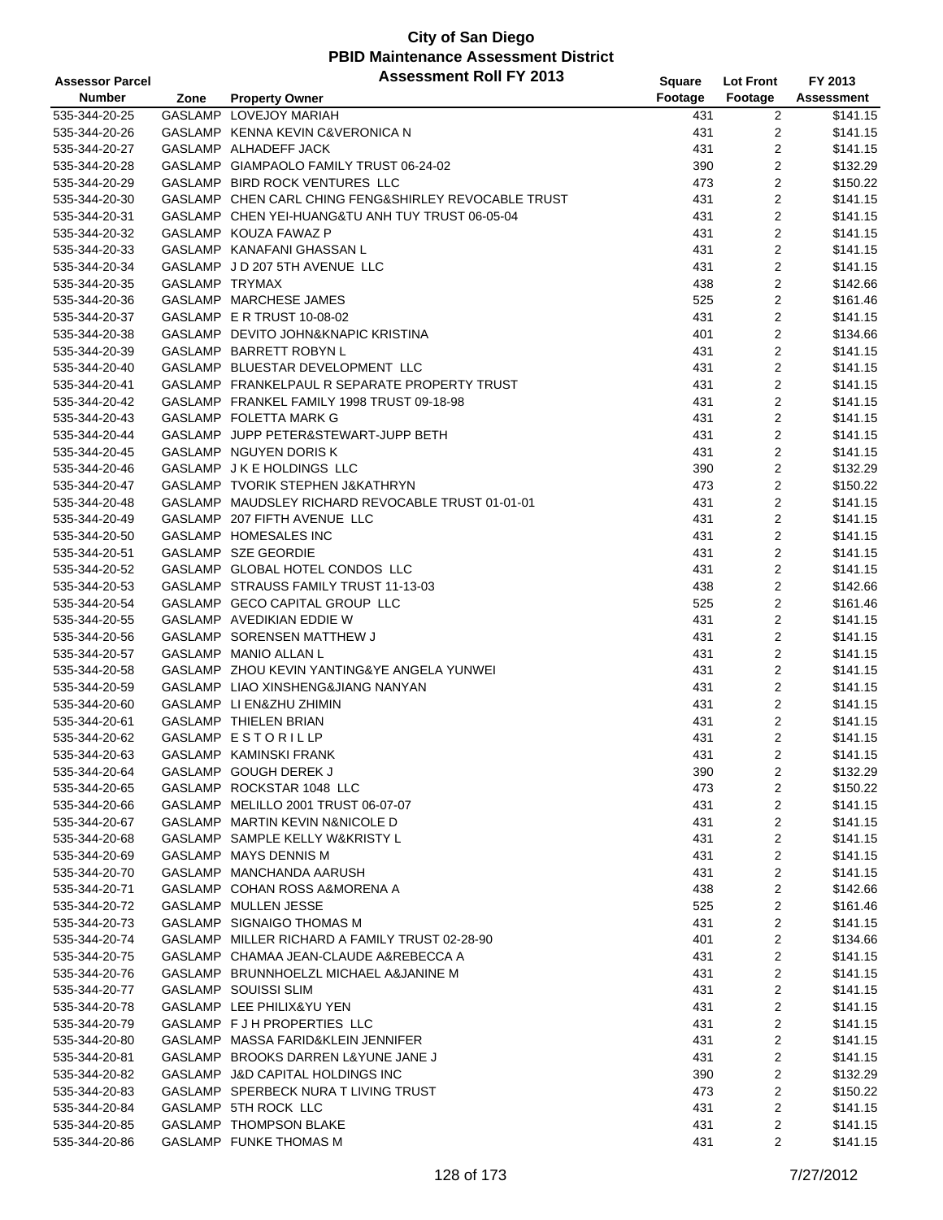| <b>Assessor Parcel</b> |                | <b>Assessment Roll FY 2013</b>                       | <b>Square</b> | <b>Lot Front</b>    | FY 2013              |
|------------------------|----------------|------------------------------------------------------|---------------|---------------------|----------------------|
| <b>Number</b>          | Zone           | <b>Property Owner</b>                                | Footage       | Footage             | <b>Assessment</b>    |
| 535-344-20-25          |                | GASLAMP LOVEJOY MARIAH                               | 431           | $\overline{c}$      | $\overline{$141.15}$ |
| 535-344-20-26          |                | GASLAMP KENNA KEVIN C&VERONICA N                     | 431           | 2                   | \$141.15             |
| 535-344-20-27          |                | GASLAMP ALHADEFF JACK                                | 431           | 2                   | \$141.15             |
| 535-344-20-28          |                | GASLAMP GIAMPAOLO FAMILY TRUST 06-24-02              | 390           | 2                   | \$132.29             |
| 535-344-20-29          |                | GASLAMP BIRD ROCK VENTURES LLC                       | 473           | $\overline{2}$      | \$150.22             |
| 535-344-20-30          |                | GASLAMP CHEN CARL CHING FENG&SHIRLEY REVOCABLE TRUST | 431           | $\overline{2}$      | \$141.15             |
| 535-344-20-31          |                | GASLAMP CHEN YEI-HUANG&TU ANH TUY TRUST 06-05-04     | 431           | $\overline{2}$      | \$141.15             |
| 535-344-20-32          |                | GASLAMP KOUZA FAWAZ P                                | 431           | 2                   | \$141.15             |
| 535-344-20-33          |                | GASLAMP KANAFANI GHASSAN L                           | 431           | 2                   | \$141.15             |
|                        |                |                                                      |               |                     | \$141.15             |
| 535-344-20-34          | GASLAMP TRYMAX | GASLAMP JD 207 5TH AVENUE LLC                        | 431           | 2<br>$\overline{2}$ | \$142.66             |
| 535-344-20-35          |                |                                                      | 438           |                     |                      |
| 535-344-20-36          |                | GASLAMP MARCHESE JAMES                               | 525           | 2                   | \$161.46             |
| 535-344-20-37          |                | GASLAMP E R TRUST 10-08-02                           | 431           | $\overline{2}$      | \$141.15             |
| 535-344-20-38          |                | GASLAMP DEVITO JOHN&KNAPIC KRISTINA                  | 401           | $\overline{2}$      | \$134.66             |
| 535-344-20-39          |                | GASLAMP BARRETT ROBYN L                              | 431           | $\overline{2}$      | \$141.15             |
| 535-344-20-40          |                | GASLAMP BLUESTAR DEVELOPMENT LLC                     | 431           | $\overline{2}$      | \$141.15             |
| 535-344-20-41          |                | GASLAMP FRANKELPAUL R SEPARATE PROPERTY TRUST        | 431           | $\overline{2}$      | \$141.15             |
| 535-344-20-42          |                | GASLAMP FRANKEL FAMILY 1998 TRUST 09-18-98           | 431           | $\overline{2}$      | \$141.15             |
| 535-344-20-43          |                | GASLAMP FOLETTA MARK G                               | 431           | 2                   | \$141.15             |
| 535-344-20-44          |                | GASLAMP JUPP PETER&STEWART-JUPP BETH                 | 431           | 2                   | \$141.15             |
| 535-344-20-45          |                | GASLAMP NGUYEN DORIS K                               | 431           | 2                   | \$141.15             |
| 535-344-20-46          |                | GASLAMP J K E HOLDINGS LLC                           | 390           | $\overline{2}$      | \$132.29             |
| 535-344-20-47          |                | GASLAMP TVORIK STEPHEN J&KATHRYN                     | 473           | 2                   | \$150.22             |
| 535-344-20-48          |                | GASLAMP MAUDSLEY RICHARD REVOCABLE TRUST 01-01-01    | 431           | 2                   | \$141.15             |
| 535-344-20-49          |                | GASLAMP 207 FIFTH AVENUE LLC                         | 431           | $\overline{2}$      | \$141.15             |
| 535-344-20-50          |                | GASLAMP HOMESALES INC                                | 431           | 2                   | \$141.15             |
| 535-344-20-51          |                | GASLAMP SZE GEORDIE                                  | 431           | 2                   | \$141.15             |
| 535-344-20-52          |                | GASLAMP GLOBAL HOTEL CONDOS LLC                      | 431           | $\overline{2}$      | \$141.15             |
| 535-344-20-53          |                | GASLAMP STRAUSS FAMILY TRUST 11-13-03                | 438           | $\overline{2}$      | \$142.66             |
| 535-344-20-54          |                | GASLAMP GECO CAPITAL GROUP LLC                       | 525           | $\overline{2}$      | \$161.46             |
| 535-344-20-55          |                | GASLAMP AVEDIKIAN EDDIE W                            | 431           | 2                   | \$141.15             |
| 535-344-20-56          |                | GASLAMP SORENSEN MATTHEW J                           | 431           | 2                   | \$141.15             |
| 535-344-20-57          |                | GASLAMP MANIO ALLAN L                                | 431           | $\overline{2}$      | \$141.15             |
| 535-344-20-58          |                | GASLAMP ZHOU KEVIN YANTING&YE ANGELA YUNWEI          | 431           | 2                   | \$141.15             |
| 535-344-20-59          |                | GASLAMP LIAO XINSHENG&JIANG NANYAN                   | 431           | 2                   | \$141.15             |
| 535-344-20-60          |                | GASLAMP LI EN&ZHU ZHIMIN                             | 431           | $\overline{2}$      | \$141.15             |
| 535-344-20-61          |                | GASLAMP THIELEN BRIAN                                | 431           | $\overline{2}$      | \$141.15             |
| 535-344-20-62          |                | GASLAMP ESTORILLP                                    | 431           | $\overline{2}$      | \$141.15             |
| 535-344-20-63          |                | GASLAMP KAMINSKI FRANK                               | 431           | $\overline{2}$      | \$141.15             |
| 535-344-20-64          |                | GASLAMP GOUGH DEREK J                                | 390           | 2                   | \$132.29             |
| 535-344-20-65          |                | GASLAMP ROCKSTAR 1048 LLC                            | 473           | 2                   | \$150.22             |
| 535-344-20-66          |                | GASLAMP MELILLO 2001 TRUST 06-07-07                  | 431           | 2                   | \$141.15             |
| 535-344-20-67          |                | GASLAMP MARTIN KEVIN N&NICOLE D                      | 431           | 2                   | \$141.15             |
| 535-344-20-68          |                | GASLAMP SAMPLE KELLY W&KRISTY L                      | 431           | 2                   | \$141.15             |
| 535-344-20-69          |                | GASLAMP MAYS DENNIS M                                | 431           | 2                   | \$141.15             |
| 535-344-20-70          |                | GASLAMP MANCHANDA AARUSH                             | 431           | 2                   | \$141.15             |
| 535-344-20-71          |                | GASLAMP COHAN ROSS A&MORENA A                        | 438           | 2                   | \$142.66             |
| 535-344-20-72          |                | GASLAMP MULLEN JESSE                                 | 525           | 2                   | \$161.46             |
|                        |                | GASLAMP SIGNAIGO THOMAS M                            |               | 2                   |                      |
| 535-344-20-73          |                |                                                      | 431           |                     | \$141.15<br>\$134.66 |
| 535-344-20-74          |                | GASLAMP MILLER RICHARD A FAMILY TRUST 02-28-90       | 401           | 2                   |                      |
| 535-344-20-75          |                | GASLAMP CHAMAA JEAN-CLAUDE A&REBECCA A               | 431           | 2                   | \$141.15             |
| 535-344-20-76          |                | GASLAMP BRUNNHOELZL MICHAEL A&JANINE M               | 431           | 2                   | \$141.15             |
| 535-344-20-77          |                | GASLAMP SOUISSI SLIM                                 | 431           | 2                   | \$141.15             |
| 535-344-20-78          |                | GASLAMP LEE PHILIX&YU YEN                            | 431           | 2                   | \$141.15             |
| 535-344-20-79          |                | GASLAMP F J H PROPERTIES LLC                         | 431           | 2                   | \$141.15             |
| 535-344-20-80          |                | GASLAMP MASSA FARID&KLEIN JENNIFER                   | 431           | 2                   | \$141.15             |
| 535-344-20-81          |                | GASLAMP BROOKS DARREN L&YUNE JANE J                  | 431           | 2                   | \$141.15             |
| 535-344-20-82          |                | GASLAMP J&D CAPITAL HOLDINGS INC                     | 390           | 2                   | \$132.29             |
| 535-344-20-83          |                | GASLAMP SPERBECK NURA T LIVING TRUST                 | 473           | 2                   | \$150.22             |
| 535-344-20-84          |                | GASLAMP 5TH ROCK LLC                                 | 431           | 2                   | \$141.15             |
| 535-344-20-85          |                | GASLAMP THOMPSON BLAKE                               | 431           | 2                   | \$141.15             |
| 535-344-20-86          |                | GASLAMP FUNKE THOMAS M                               | 431           | 2                   | \$141.15             |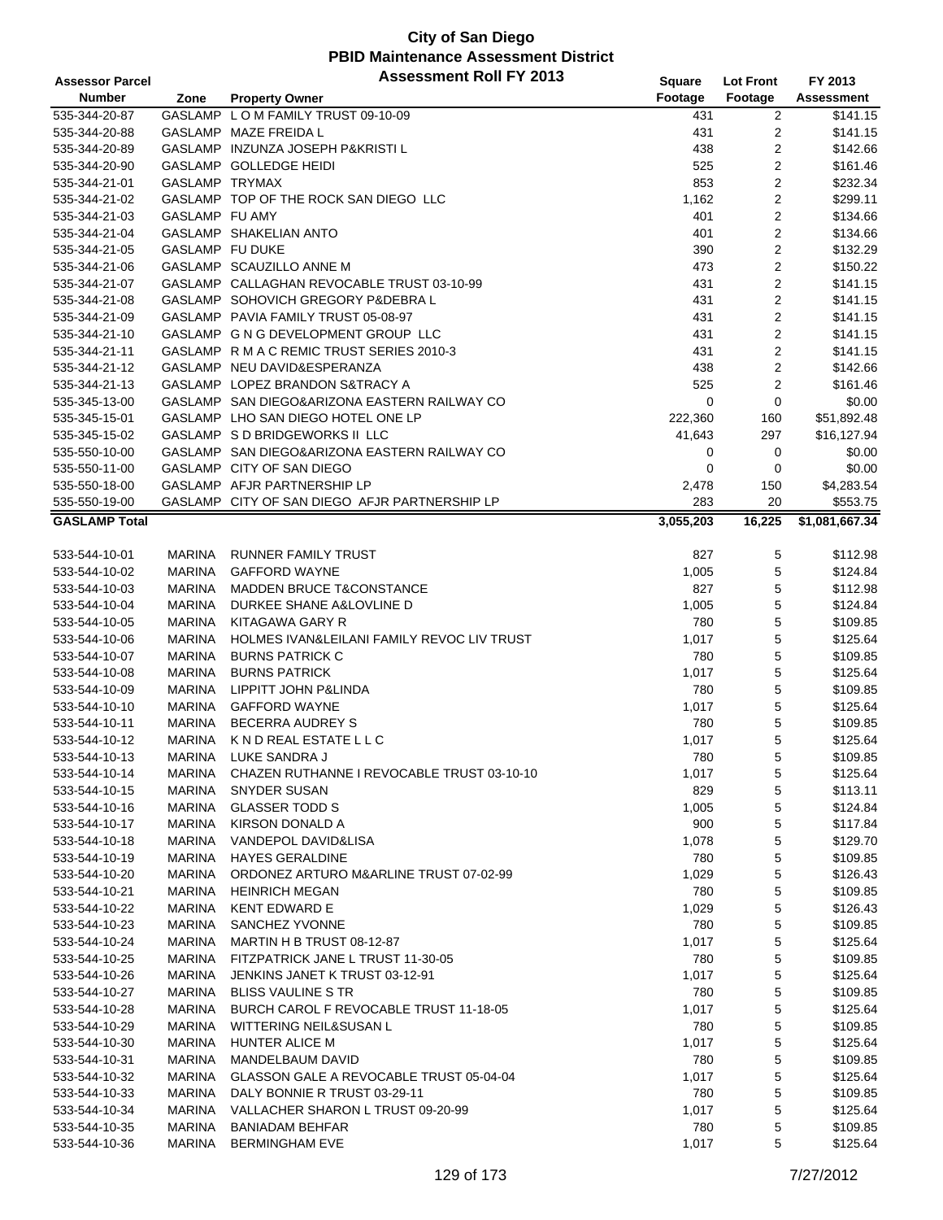| <b>Assessor Parcel</b> |                 | <b>Assessment Roll FY 2013</b>                | Square    | <b>Lot Front</b> | FY 2013              |
|------------------------|-----------------|-----------------------------------------------|-----------|------------------|----------------------|
| Number                 | Zone            | <b>Property Owner</b>                         | Footage   | Footage          | <b>Assessment</b>    |
| 535-344-20-87          |                 | GASLAMP LOM FAMILY TRUST 09-10-09             | 431       | 2                | $\overline{$141.15}$ |
| 535-344-20-88          |                 | GASLAMP MAZE FREIDA L                         | 431       | 2                | \$141.15             |
| 535-344-20-89          |                 | GASLAMP INZUNZA JOSEPH P&KRISTI L             | 438       | 2                | \$142.66             |
| 535-344-20-90          |                 | GASLAMP GOLLEDGE HEIDI                        | 525       | 2                | \$161.46             |
| 535-344-21-01          | GASLAMP TRYMAX  |                                               | 853       | $\overline{2}$   | \$232.34             |
| 535-344-21-02          |                 | GASLAMP TOP OF THE ROCK SAN DIEGO LLC         | 1,162     | 2                | \$299.11             |
| 535-344-21-03          | GASLAMP FU AMY  |                                               | 401       | 2                | \$134.66             |
| 535-344-21-04          |                 | GASLAMP SHAKELIAN ANTO                        | 401       | 2                | \$134.66             |
|                        | GASLAMP FU DUKE |                                               |           |                  |                      |
| 535-344-21-05          |                 |                                               | 390       | 2                | \$132.29             |
| 535-344-21-06          |                 | GASLAMP SCAUZILLO ANNE M                      | 473       | 2                | \$150.22             |
| 535-344-21-07          |                 | GASLAMP CALLAGHAN REVOCABLE TRUST 03-10-99    | 431       | 2                | \$141.15             |
| 535-344-21-08          |                 | GASLAMP SOHOVICH GREGORY P&DEBRA L            | 431       | 2                | \$141.15             |
| 535-344-21-09          |                 | GASLAMP PAVIA FAMILY TRUST 05-08-97           | 431       | $\overline{2}$   | \$141.15             |
| 535-344-21-10          |                 | GASLAMP G N G DEVELOPMENT GROUP LLC           | 431       | $\overline{2}$   | \$141.15             |
| 535-344-21-11          |                 | GASLAMP R M A C REMIC TRUST SERIES 2010-3     | 431       | 2                | \$141.15             |
| 535-344-21-12          |                 | GASLAMP NEU DAVID&ESPERANZA                   | 438       | 2                | \$142.66             |
| 535-344-21-13          |                 | GASLAMP LOPEZ BRANDON S&TRACY A               | 525       | $\overline{2}$   | \$161.46             |
| 535-345-13-00          |                 | GASLAMP SAN DIEGO&ARIZONA EASTERN RAILWAY CO  | 0         | $\mathbf 0$      | \$0.00               |
| 535-345-15-01          |                 | GASLAMP LHO SAN DIEGO HOTEL ONE LP            | 222,360   | 160              | \$51,892.48          |
| 535-345-15-02          |                 | GASLAMP S D BRIDGEWORKS II LLC                | 41,643    | 297              | \$16,127.94          |
| 535-550-10-00          |                 | GASLAMP SAN DIEGO&ARIZONA EASTERN RAILWAY CO  | 0         | 0                | \$0.00               |
| 535-550-11-00          |                 | GASLAMP CITY OF SAN DIEGO                     | 0         | 0                | \$0.00               |
| 535-550-18-00          |                 | GASLAMP AFJR PARTNERSHIP LP                   | 2,478     | 150              | \$4,283.54           |
| 535-550-19-00          |                 | GASLAMP CITY OF SAN DIEGO AFJR PARTNERSHIP LP | 283       | 20               | \$553.75             |
| <b>GASLAMP Total</b>   |                 |                                               | 3,055,203 | 16,225           | \$1,081,667.34       |
|                        |                 |                                               |           |                  |                      |
| 533-544-10-01          | <b>MARINA</b>   | <b>RUNNER FAMILY TRUST</b>                    | 827       | 5                | \$112.98             |
| 533-544-10-02          | <b>MARINA</b>   | <b>GAFFORD WAYNE</b>                          | 1,005     | 5                | \$124.84             |
| 533-544-10-03          | <b>MARINA</b>   | <b>MADDEN BRUCE T&amp;CONSTANCE</b>           | 827       | 5                | \$112.98             |
| 533-544-10-04          | <b>MARINA</b>   | DURKEE SHANE A&LOVLINE D                      | 1,005     | 5                | \$124.84             |
| 533-544-10-05          | <b>MARINA</b>   | KITAGAWA GARY R                               | 780       | 5                | \$109.85             |
| 533-544-10-06          | <b>MARINA</b>   | HOLMES IVAN&LEILANI FAMILY REVOC LIV TRUST    | 1,017     | 5                | \$125.64             |
| 533-544-10-07          | <b>MARINA</b>   | <b>BURNS PATRICK C</b>                        | 780       | 5                | \$109.85             |
| 533-544-10-08          | <b>MARINA</b>   | <b>BURNS PATRICK</b>                          |           | 5                | \$125.64             |
|                        |                 |                                               | 1,017     |                  |                      |
| 533-544-10-09          | <b>MARINA</b>   | LIPPITT JOHN P&LINDA<br><b>GAFFORD WAYNE</b>  | 780       | 5                | \$109.85             |
| 533-544-10-10          | <b>MARINA</b>   |                                               | 1,017     | 5                | \$125.64             |
| 533-544-10-11          | <b>MARINA</b>   | <b>BECERRA AUDREY S</b>                       | 780       | 5                | \$109.85             |
| 533-544-10-12          | <b>MARINA</b>   | K N D REAL ESTATE L L C                       | 1,017     | 5                | \$125.64             |
| 533-544-10-13          | MARINA          | LUKE SANDRA J                                 | 780       | 5                | \$109.85             |
| 533-544-10-14          | <b>MARINA</b>   | CHAZEN RUTHANNE I REVOCABLE TRUST 03-10-10    | 1,017     | 5                | \$125.64             |
| 533-544-10-15          | <b>MARINA</b>   | <b>SNYDER SUSAN</b>                           | 829       | 5                | \$113.11             |
| 533-544-10-16          | <b>MARINA</b>   | <b>GLASSER TODD S</b>                         | 1,005     | 5                | \$124.84             |
| 533-544-10-17          | <b>MARINA</b>   | <b>KIRSON DONALD A</b>                        | 900       | 5                | \$117.84             |
| 533-544-10-18          | <b>MARINA</b>   | VANDEPOL DAVID&LISA                           | 1,078     | 5                | \$129.70             |
| 533-544-10-19          | <b>MARINA</b>   | <b>HAYES GERALDINE</b>                        | 780       | 5                | \$109.85             |
| 533-544-10-20          | <b>MARINA</b>   | ORDONEZ ARTURO M&ARLINE TRUST 07-02-99        | 1,029     | 5                | \$126.43             |
| 533-544-10-21          | <b>MARINA</b>   | <b>HEINRICH MEGAN</b>                         | 780       | 5                | \$109.85             |
| 533-544-10-22          | <b>MARINA</b>   | <b>KENT EDWARD E</b>                          | 1,029     | 5                | \$126.43             |
| 533-544-10-23          | <b>MARINA</b>   | SANCHEZ YVONNE                                | 780       | 5                | \$109.85             |
| 533-544-10-24          | <b>MARINA</b>   | MARTIN H B TRUST 08-12-87                     | 1,017     | 5                | \$125.64             |
| 533-544-10-25          | <b>MARINA</b>   | FITZPATRICK JANE L TRUST 11-30-05             | 780       | 5                | \$109.85             |
| 533-544-10-26          | <b>MARINA</b>   | JENKINS JANET K TRUST 03-12-91                | 1,017     | 5                | \$125.64             |
| 533-544-10-27          | MARINA          | <b>BLISS VAULINE S TR</b>                     | 780       | 5                | \$109.85             |
| 533-544-10-28          | <b>MARINA</b>   | BURCH CAROL F REVOCABLE TRUST 11-18-05        | 1,017     | 5                | \$125.64             |
| 533-544-10-29          | <b>MARINA</b>   | WITTERING NEIL&SUSAN L                        | 780       | 5                | \$109.85             |
| 533-544-10-30          | <b>MARINA</b>   | HUNTER ALICE M                                | 1,017     | 5                | \$125.64             |
| 533-544-10-31          | <b>MARINA</b>   | MANDELBAUM DAVID                              | 780       | 5                | \$109.85             |
| 533-544-10-32          | MARINA          | GLASSON GALE A REVOCABLE TRUST 05-04-04       | 1,017     | 5                | \$125.64             |
| 533-544-10-33          | <b>MARINA</b>   | DALY BONNIE R TRUST 03-29-11                  | 780       | 5                | \$109.85             |
| 533-544-10-34          | <b>MARINA</b>   | VALLACHER SHARON L TRUST 09-20-99             | 1,017     | 5                | \$125.64             |
| 533-544-10-35          | <b>MARINA</b>   | <b>BANIADAM BEHFAR</b>                        | 780       | 5                | \$109.85             |
|                        |                 |                                               |           | 5                |                      |
| 533-544-10-36          | <b>MARINA</b>   | <b>BERMINGHAM EVE</b>                         | 1,017     |                  | \$125.64             |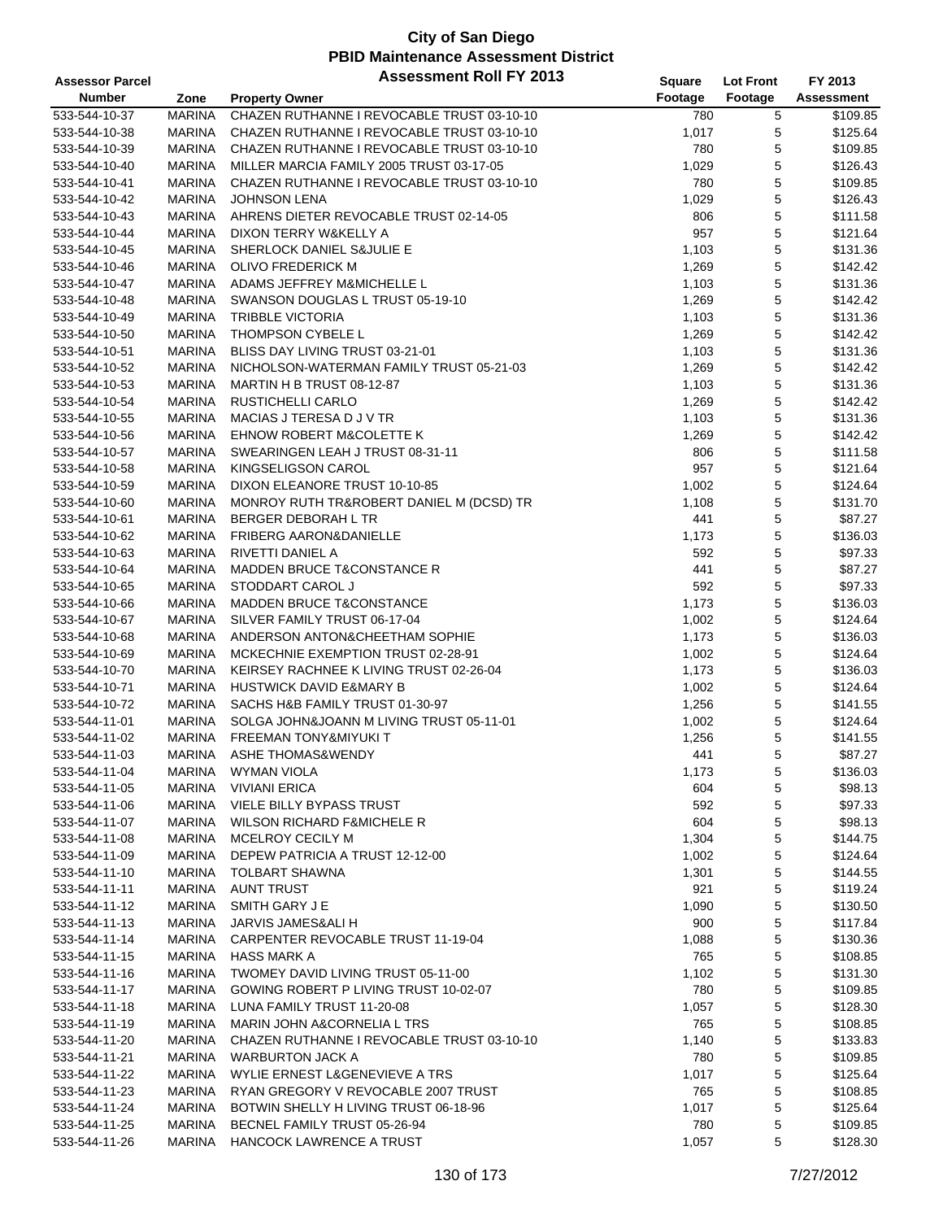| <b>Assessor Parcel</b> |               | <b>Assessment Roll FY 2013</b>             | Square  | <b>Lot Front</b> | FY 2013    |
|------------------------|---------------|--------------------------------------------|---------|------------------|------------|
| <b>Number</b>          | Zone          | <b>Property Owner</b>                      | Footage | Footage          | Assessment |
| 533-544-10-37          | <b>MARINA</b> | CHAZEN RUTHANNE I REVOCABLE TRUST 03-10-10 | 780     | 5                | \$109.85   |
| 533-544-10-38          | <b>MARINA</b> | CHAZEN RUTHANNE I REVOCABLE TRUST 03-10-10 | 1,017   | 5                | \$125.64   |
| 533-544-10-39          | <b>MARINA</b> | CHAZEN RUTHANNE I REVOCABLE TRUST 03-10-10 | 780     | 5                | \$109.85   |
| 533-544-10-40          | <b>MARINA</b> | MILLER MARCIA FAMILY 2005 TRUST 03-17-05   | 1,029   | 5                | \$126.43   |
| 533-544-10-41          | <b>MARINA</b> | CHAZEN RUTHANNE I REVOCABLE TRUST 03-10-10 | 780     | 5                | \$109.85   |
| 533-544-10-42          | <b>MARINA</b> | <b>JOHNSON LENA</b>                        | 1,029   | 5                | \$126.43   |
| 533-544-10-43          | <b>MARINA</b> | AHRENS DIETER REVOCABLE TRUST 02-14-05     | 806     | 5                | \$111.58   |
| 533-544-10-44          | <b>MARINA</b> | DIXON TERRY W&KELLY A                      | 957     | 5                | \$121.64   |
| 533-544-10-45          | <b>MARINA</b> | SHERLOCK DANIEL S&JULIE E                  | 1,103   | 5                | \$131.36   |
| 533-544-10-46          | <b>MARINA</b> | <b>OLIVO FREDERICK M</b>                   | 1,269   | 5                | \$142.42   |
| 533-544-10-47          | <b>MARINA</b> | ADAMS JEFFREY M&MICHELLE L                 | 1,103   | $\mathbf 5$      | \$131.36   |
| 533-544-10-48          | <b>MARINA</b> | SWANSON DOUGLAS L TRUST 05-19-10           | 1,269   | $\mathbf 5$      | \$142.42   |
| 533-544-10-49          | <b>MARINA</b> | <b>TRIBBLE VICTORIA</b>                    | 1,103   | 5                | \$131.36   |
| 533-544-10-50          | <b>MARINA</b> | THOMPSON CYBELE L                          | 1,269   | 5                | \$142.42   |
| 533-544-10-51          | <b>MARINA</b> | BLISS DAY LIVING TRUST 03-21-01            | 1,103   | 5                | \$131.36   |
| 533-544-10-52          | <b>MARINA</b> | NICHOLSON-WATERMAN FAMILY TRUST 05-21-03   | 1,269   | 5                | \$142.42   |
| 533-544-10-53          | <b>MARINA</b> | MARTIN H B TRUST 08-12-87                  | 1,103   | $\mathbf 5$      | \$131.36   |
| 533-544-10-54          | <b>MARINA</b> | RUSTICHELLI CARLO                          | 1,269   | 5                | \$142.42   |
| 533-544-10-55          | <b>MARINA</b> | MACIAS J TERESA D J V TR                   | 1,103   | 5                | \$131.36   |
| 533-544-10-56          | <b>MARINA</b> | <b>EHNOW ROBERT M&amp;COLETTE K</b>        | 1,269   | 5                | \$142.42   |
| 533-544-10-57          | <b>MARINA</b> | SWEARINGEN LEAH J TRUST 08-31-11           |         | 5                | \$111.58   |
|                        | <b>MARINA</b> | <b>KINGSELIGSON CAROL</b>                  | 806     |                  |            |
| 533-544-10-58          |               |                                            | 957     | 5                | \$121.64   |
| 533-544-10-59          | <b>MARINA</b> | DIXON ELEANORE TRUST 10-10-85              | 1,002   | 5                | \$124.64   |
| 533-544-10-60          | <b>MARINA</b> | MONROY RUTH TR&ROBERT DANIEL M (DCSD) TR   | 1,108   | 5                | \$131.70   |
| 533-544-10-61          | <b>MARINA</b> | BERGER DEBORAH L TR                        | 441     | 5                | \$87.27    |
| 533-544-10-62          | <b>MARINA</b> | <b>FRIBERG AARON&amp;DANIELLE</b>          | 1,173   | 5                | \$136.03   |
| 533-544-10-63          | <b>MARINA</b> | RIVETTI DANIEL A                           | 592     | 5                | \$97.33    |
| 533-544-10-64          | <b>MARINA</b> | <b>MADDEN BRUCE T&amp;CONSTANCE R</b>      | 441     | $\mathbf 5$      | \$87.27    |
| 533-544-10-65          | <b>MARINA</b> | STODDART CAROL J                           | 592     | 5                | \$97.33    |
| 533-544-10-66          | <b>MARINA</b> | MADDEN BRUCE T&CONSTANCE                   | 1,173   | 5                | \$136.03   |
| 533-544-10-67          | <b>MARINA</b> | SILVER FAMILY TRUST 06-17-04               | 1,002   | 5                | \$124.64   |
| 533-544-10-68          | <b>MARINA</b> | ANDERSON ANTON&CHEETHAM SOPHIE             | 1,173   | 5                | \$136.03   |
| 533-544-10-69          | <b>MARINA</b> | MCKECHNIE EXEMPTION TRUST 02-28-91         | 1,002   | 5                | \$124.64   |
| 533-544-10-70          | <b>MARINA</b> | KEIRSEY RACHNEE K LIVING TRUST 02-26-04    | 1,173   | 5                | \$136.03   |
| 533-544-10-71          | <b>MARINA</b> | <b>HUSTWICK DAVID E&amp;MARY B</b>         | 1,002   | 5                | \$124.64   |
| 533-544-10-72          | <b>MARINA</b> | SACHS H&B FAMILY TRUST 01-30-97            | 1,256   | 5                | \$141.55   |
| 533-544-11-01          | <b>MARINA</b> | SOLGA JOHN&JOANN M LIVING TRUST 05-11-01   | 1,002   | 5                | \$124.64   |
| 533-544-11-02          | <b>MARINA</b> | FREEMAN TONY&MIYUKI T                      | 1,256   | 5                | \$141.55   |
| 533-544-11-03          | <b>MARINA</b> | <b>ASHE THOMAS&amp;WENDY</b>               | 441     | 5                | \$87.27    |
| 533-544-11-04          | <b>MARINA</b> | <b>WYMAN VIOLA</b>                         | 1,173   | 5                | \$136.03   |
| 533-544-11-05          | <b>MARINA</b> | <b>VIVIANI ERICA</b>                       | 604     | 5                | \$98.13    |
| 533-544-11-06          | <b>MARINA</b> | <b>VIELE BILLY BYPASS TRUST</b>            | 592     | 5                | \$97.33    |
| 533-544-11-07          | <b>MARINA</b> | <b>WILSON RICHARD F&amp;MICHELE R</b>      | 604     | 5                | \$98.13    |
| 533-544-11-08          | <b>MARINA</b> | MCELROY CECILY M                           | 1,304   | 5                | \$144.75   |
| 533-544-11-09          | <b>MARINA</b> | DEPEW PATRICIA A TRUST 12-12-00            | 1,002   | 5                | \$124.64   |
| 533-544-11-10          | <b>MARINA</b> | TOLBART SHAWNA                             | 1,301   | 5                | \$144.55   |
| 533-544-11-11          | <b>MARINA</b> | <b>AUNT TRUST</b>                          | 921     | 5                | \$119.24   |
| 533-544-11-12          | <b>MARINA</b> | SMITH GARY J E                             | 1,090   | 5                | \$130.50   |
| 533-544-11-13          | <b>MARINA</b> | JARVIS JAMES&ALI H                         | 900     | 5                | \$117.84   |
| 533-544-11-14          | <b>MARINA</b> | <b>CARPENTER REVOCABLE TRUST 11-19-04</b>  | 1,088   | 5                | \$130.36   |
| 533-544-11-15          | <b>MARINA</b> | <b>HASS MARK A</b>                         | 765     | 5                | \$108.85   |
| 533-544-11-16          | <b>MARINA</b> | TWOMEY DAVID LIVING TRUST 05-11-00         | 1,102   | 5                | \$131.30   |
| 533-544-11-17          | <b>MARINA</b> | GOWING ROBERT P LIVING TRUST 10-02-07      | 780     | 5                | \$109.85   |
| 533-544-11-18          | <b>MARINA</b> | LUNA FAMILY TRUST 11-20-08                 | 1,057   | 5                | \$128.30   |
| 533-544-11-19          | <b>MARINA</b> | MARIN JOHN A&CORNELIA L TRS                | 765     | 5                | \$108.85   |
| 533-544-11-20          | <b>MARINA</b> | CHAZEN RUTHANNE I REVOCABLE TRUST 03-10-10 | 1,140   | 5                | \$133.83   |
| 533-544-11-21          | <b>MARINA</b> | <b>WARBURTON JACK A</b>                    | 780     | 5                | \$109.85   |
| 533-544-11-22          | <b>MARINA</b> | WYLIE ERNEST L&GENEVIEVE A TRS             | 1,017   | 5                | \$125.64   |
| 533-544-11-23          | <b>MARINA</b> | RYAN GREGORY V REVOCABLE 2007 TRUST        | 765     | 5                | \$108.85   |
| 533-544-11-24          | MARINA        | BOTWIN SHELLY H LIVING TRUST 06-18-96      | 1,017   | 5                | \$125.64   |
| 533-544-11-25          | <b>MARINA</b> | BECNEL FAMILY TRUST 05-26-94               | 780     | 5                | \$109.85   |
| 533-544-11-26          | <b>MARINA</b> | <b>HANCOCK LAWRENCE A TRUST</b>            | 1,057   | 5                | \$128.30   |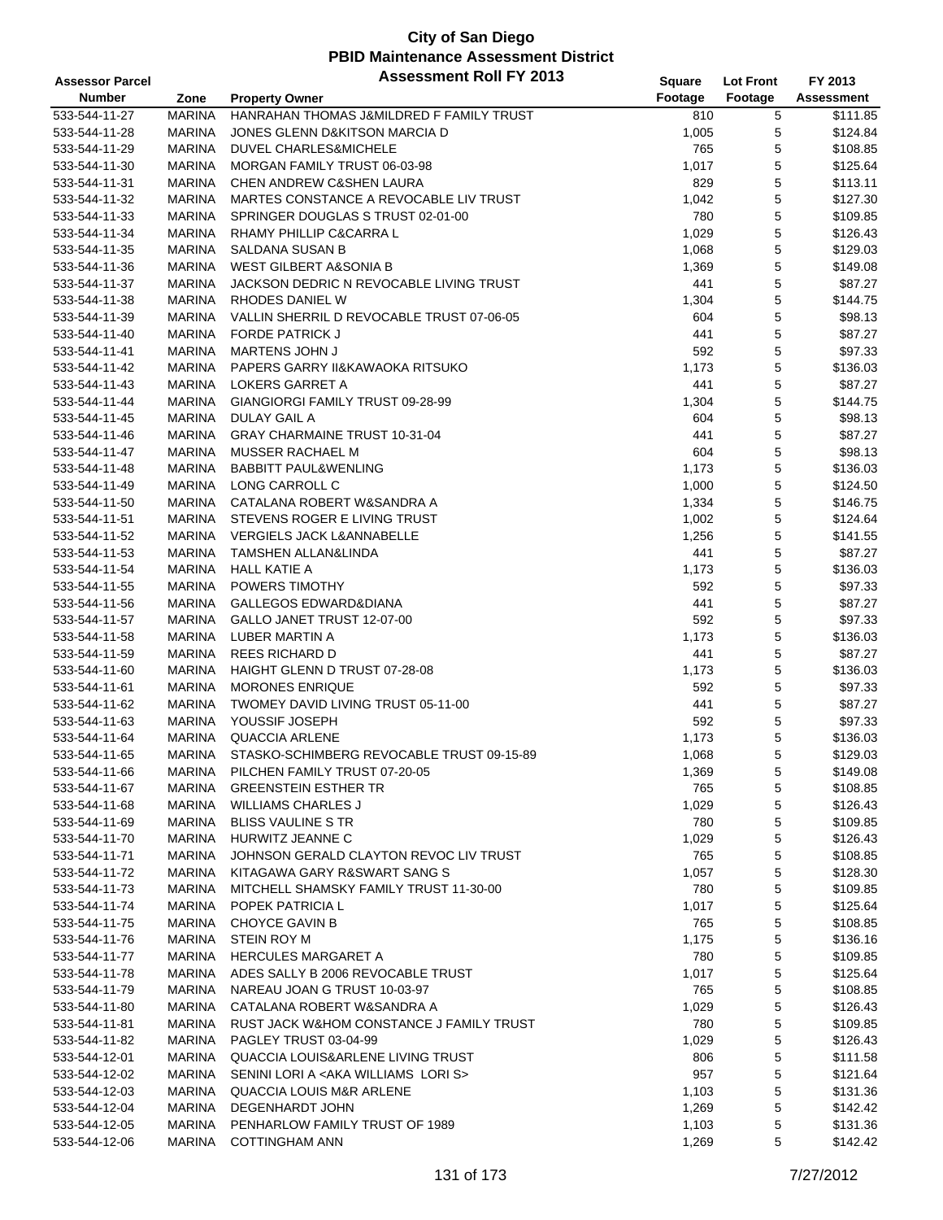| <b>Assessor Parcel</b> |               | <b>Assessment Roll FY 2013</b>                     | Square  | <b>Lot Front</b> | FY 2013              |
|------------------------|---------------|----------------------------------------------------|---------|------------------|----------------------|
| <b>Number</b>          | Zone          | <b>Property Owner</b>                              | Footage | Footage          | Assessment           |
| 533-544-11-27          | <b>MARINA</b> | HANRAHAN THOMAS J&MILDRED F FAMILY TRUST           | 810     | 5                | \$111.85             |
| 533-544-11-28          | <b>MARINA</b> | JONES GLENN D&KITSON MARCIA D                      | 1,005   | 5                | \$124.84             |
| 533-544-11-29          | <b>MARINA</b> | DUVEL CHARLES&MICHELE                              | 765     | 5                | \$108.85             |
| 533-544-11-30          | <b>MARINA</b> | MORGAN FAMILY TRUST 06-03-98                       | 1,017   | 5                | \$125.64             |
| 533-544-11-31          | <b>MARINA</b> | CHEN ANDREW C&SHEN LAURA                           | 829     | 5                | \$113.11             |
| 533-544-11-32          | <b>MARINA</b> | MARTES CONSTANCE A REVOCABLE LIV TRUST             | 1,042   | 5                | \$127.30             |
| 533-544-11-33          | <b>MARINA</b> | SPRINGER DOUGLAS S TRUST 02-01-00                  | 780     | 5                | \$109.85             |
| 533-544-11-34          | <b>MARINA</b> | RHAMY PHILLIP C&CARRA L                            | 1,029   | 5                | \$126.43             |
| 533-544-11-35          | <b>MARINA</b> | <b>SALDANA SUSAN B</b>                             | 1,068   | 5                | \$129.03             |
| 533-544-11-36          | <b>MARINA</b> | <b>WEST GILBERT A&amp;SONIA B</b>                  | 1,369   | 5                | \$149.08             |
| 533-544-11-37          | <b>MARINA</b> | JACKSON DEDRIC N REVOCABLE LIVING TRUST            | 441     | 5                | \$87.27              |
| 533-544-11-38          | <b>MARINA</b> | RHODES DANIEL W                                    | 1,304   | 5                | \$144.75             |
| 533-544-11-39          | <b>MARINA</b> | VALLIN SHERRIL D REVOCABLE TRUST 07-06-05          | 604     | 5                | \$98.13              |
| 533-544-11-40          | <b>MARINA</b> | <b>FORDE PATRICK J</b>                             | 441     | 5                | \$87.27              |
| 533-544-11-41          | <b>MARINA</b> | MARTENS JOHN J                                     | 592     | 5                | \$97.33              |
| 533-544-11-42          | <b>MARINA</b> | PAPERS GARRY II&KAWAOKA RITSUKO                    | 1,173   | 5                | \$136.03             |
| 533-544-11-43          | <b>MARINA</b> | LOKERS GARRET A                                    | 441     | 5                | \$87.27              |
|                        |               |                                                    |         |                  | \$144.75             |
| 533-544-11-44          | <b>MARINA</b> | GIANGIORGI FAMILY TRUST 09-28-99                   | 1,304   | 5                |                      |
| 533-544-11-45          | <b>MARINA</b> | <b>DULAY GAIL A</b>                                | 604     | 5                | \$98.13              |
| 533-544-11-46          | <b>MARINA</b> | GRAY CHARMAINE TRUST 10-31-04                      | 441     | 5                | \$87.27              |
| 533-544-11-47          | <b>MARINA</b> | MUSSER RACHAEL M                                   | 604     | 5                | \$98.13              |
| 533-544-11-48          | <b>MARINA</b> | <b>BABBITT PAUL&amp;WENLING</b>                    | 1,173   | 5                | \$136.03             |
| 533-544-11-49          | <b>MARINA</b> | LONG CARROLL C                                     | 1,000   | 5                | \$124.50             |
| 533-544-11-50          | <b>MARINA</b> | CATALANA ROBERT W&SANDRA A                         | 1,334   | 5                | \$146.75             |
| 533-544-11-51          | <b>MARINA</b> | STEVENS ROGER E LIVING TRUST                       | 1,002   | 5                | \$124.64             |
| 533-544-11-52          | <b>MARINA</b> | <b>VERGIELS JACK L&amp;ANNABELLE</b>               | 1,256   | 5                | \$141.55             |
| 533-544-11-53          | <b>MARINA</b> | TAMSHEN ALLAN&LINDA                                | 441     | 5                | \$87.27              |
| 533-544-11-54          | <b>MARINA</b> | <b>HALL KATIE A</b>                                | 1,173   | 5                | \$136.03             |
| 533-544-11-55          | <b>MARINA</b> | POWERS TIMOTHY                                     | 592     | 5                | \$97.33              |
| 533-544-11-56          | <b>MARINA</b> | GALLEGOS EDWARD&DIANA                              | 441     | 5                | \$87.27              |
| 533-544-11-57          | <b>MARINA</b> | GALLO JANET TRUST 12-07-00                         | 592     | 5                | \$97.33              |
| 533-544-11-58          | <b>MARINA</b> | LUBER MARTIN A                                     | 1,173   | 5                | \$136.03             |
| 533-544-11-59          | <b>MARINA</b> | <b>REES RICHARD D</b>                              | 441     | 5                | \$87.27              |
| 533-544-11-60          | <b>MARINA</b> | HAIGHT GLENN D TRUST 07-28-08                      | 1,173   | 5                | \$136.03             |
| 533-544-11-61          | <b>MARINA</b> | <b>MORONES ENRIQUE</b>                             | 592     | 5                | \$97.33              |
| 533-544-11-62          | <b>MARINA</b> | TWOMEY DAVID LIVING TRUST 05-11-00                 | 441     | 5                | \$87.27              |
| 533-544-11-63          | <b>MARINA</b> | YOUSSIF JOSEPH                                     | 592     | 5                | \$97.33              |
| 533-544-11-64          | <b>MARINA</b> | QUACCIA ARLENE                                     | 1,173   | 5                | \$136.03             |
| 533-544-11-65          | <b>MARINA</b> | STASKO-SCHIMBERG REVOCABLE TRUST 09-15-89          | 1,068   | 5                | \$129.03             |
| 533-544-11-66          | MARINA        | PILCHEN FAMILY TRUST 07-20-05                      | 1,369   | 5                | \$149.08             |
| 533-544-11-67          | <b>MARINA</b> | <b>GREENSTEIN ESTHER TR</b>                        | 765     | 5                | \$108.85             |
| 533-544-11-68          | MARINA        | <b>WILLIAMS CHARLES J</b>                          | 1,029   | 5                | \$126.43             |
| 533-544-11-69          | MARINA        | <b>BLISS VAULINE S TR</b>                          | 780     | 5                | \$109.85             |
| 533-544-11-70          | <b>MARINA</b> | HURWITZ JEANNE C                                   | 1,029   | 5                | \$126.43             |
| 533-544-11-71          | <b>MARINA</b> | JOHNSON GERALD CLAYTON REVOC LIV TRUST             | 765     | 5                | \$108.85             |
| 533-544-11-72          | MARINA        | KITAGAWA GARY R&SWART SANG S                       | 1,057   | 5                | \$128.30             |
| 533-544-11-73          | <b>MARINA</b> | MITCHELL SHAMSKY FAMILY TRUST 11-30-00             | 780     | 5                | \$109.85             |
| 533-544-11-74          | <b>MARINA</b> | POPEK PATRICIA L                                   | 1,017   | 5                | \$125.64             |
| 533-544-11-75          | MARINA        | <b>CHOYCE GAVIN B</b>                              | 765     | 5                | \$108.85             |
| 533-544-11-76          | <b>MARINA</b> | <b>STEIN ROY M</b>                                 | 1,175   | 5                | \$136.16             |
| 533-544-11-77          | <b>MARINA</b> | <b>HERCULES MARGARET A</b>                         | 780     | 5                | \$109.85             |
| 533-544-11-78          | <b>MARINA</b> | ADES SALLY B 2006 REVOCABLE TRUST                  | 1,017   | 5                | \$125.64             |
| 533-544-11-79          | MARINA        | NAREAU JOAN G TRUST 10-03-97                       | 765     | 5                | \$108.85             |
| 533-544-11-80          | <b>MARINA</b> | CATALANA ROBERT W&SANDRA A                         | 1,029   | 5                | \$126.43             |
| 533-544-11-81          | <b>MARINA</b> | RUST JACK W&HOM CONSTANCE J FAMILY TRUST           | 780     | 5                | \$109.85             |
| 533-544-11-82          | MARINA        | PAGLEY TRUST 03-04-99                              | 1,029   | 5                | \$126.43             |
| 533-544-12-01          | MARINA        | QUACCIA LOUIS&ARLENE LIVING TRUST                  | 806     | 5                | \$111.58             |
| 533-544-12-02          | <b>MARINA</b> | SENINI LORI A <aka lori="" s="" williams=""></aka> | 957     | 5                | \$121.64             |
| 533-544-12-03          | <b>MARINA</b> | <b>QUACCIA LOUIS M&amp;R ARLENE</b>                | 1,103   | 5                | \$131.36             |
| 533-544-12-04          | MARINA        | DEGENHARDT JOHN                                    | 1,269   | 5                | \$142.42             |
| 533-544-12-05          | <b>MARINA</b> | PENHARLOW FAMILY TRUST OF 1989                     |         |                  |                      |
| 533-544-12-06          | <b>MARINA</b> | <b>COTTINGHAM ANN</b>                              | 1,103   | 5<br>5           | \$131.36<br>\$142.42 |
|                        |               |                                                    | 1,269   |                  |                      |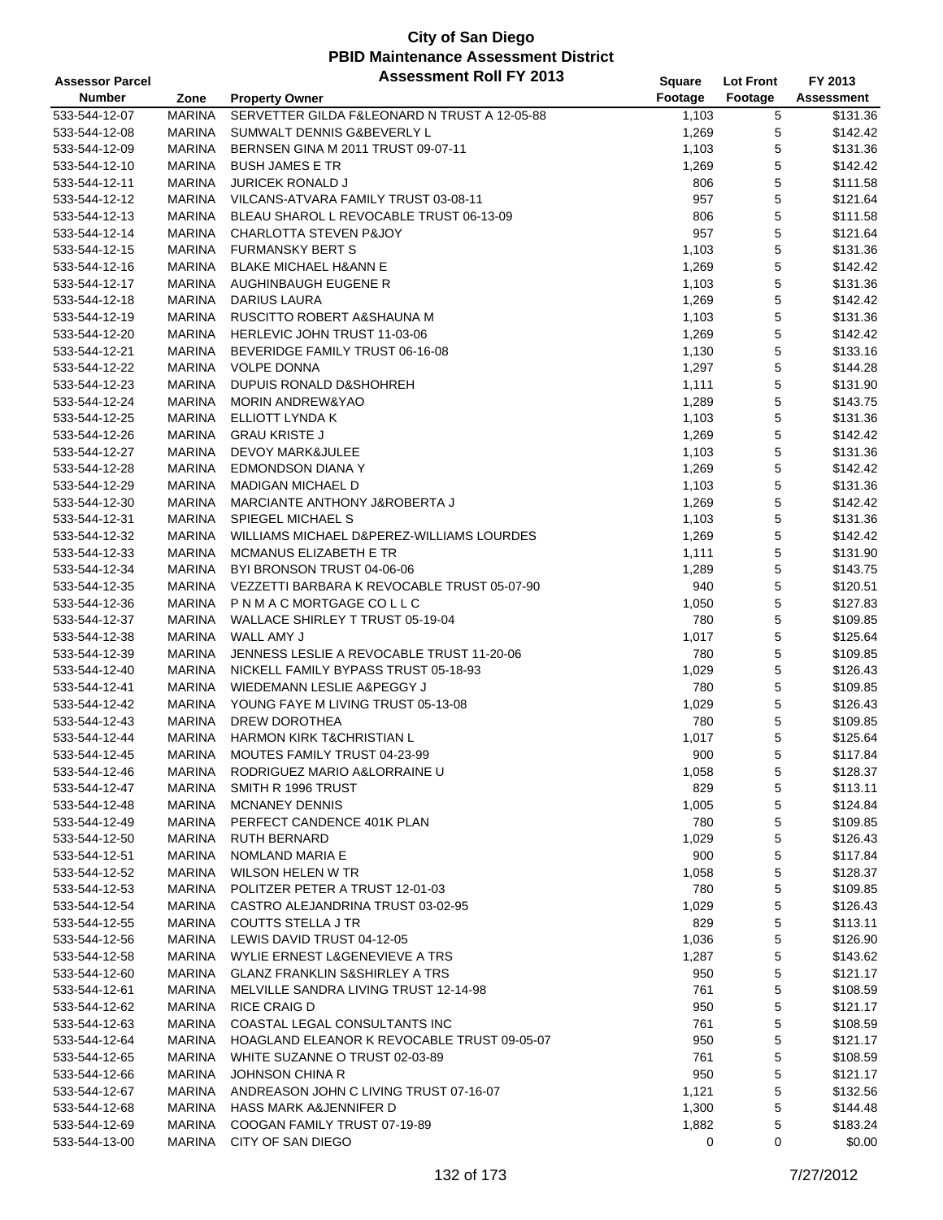| <b>Assessor Parcel</b> |               | <b>Assessment Roll FY 2013</b>               | Square  | <b>Lot Front</b> | FY 2013    |
|------------------------|---------------|----------------------------------------------|---------|------------------|------------|
| <b>Number</b>          | Zone          | <b>Property Owner</b>                        | Footage | Footage          | Assessment |
| 533-544-12-07          | <b>MARINA</b> | SERVETTER GILDA F&LEONARD N TRUST A 12-05-88 | 1,103   | 5                | \$131.36   |
| 533-544-12-08          | <b>MARINA</b> | SUMWALT DENNIS G&BEVERLY L                   | 1,269   | 5                | \$142.42   |
| 533-544-12-09          | <b>MARINA</b> | BERNSEN GINA M 2011 TRUST 09-07-11           | 1,103   | 5                | \$131.36   |
| 533-544-12-10          | <b>MARINA</b> | <b>BUSH JAMES E TR</b>                       | 1,269   | 5                | \$142.42   |
| 533-544-12-11          | <b>MARINA</b> | <b>JURICEK RONALD J</b>                      | 806     | 5                | \$111.58   |
| 533-544-12-12          | MARINA        | VILCANS-ATVARA FAMILY TRUST 03-08-11         | 957     | $\mathbf 5$      | \$121.64   |
| 533-544-12-13          | <b>MARINA</b> | BLEAU SHAROL L REVOCABLE TRUST 06-13-09      | 806     | 5                | \$111.58   |
| 533-544-12-14          | <b>MARINA</b> | <b>CHARLOTTA STEVEN P&amp;JOY</b>            | 957     | 5                | \$121.64   |
| 533-544-12-15          | <b>MARINA</b> | <b>FURMANSKY BERT S</b>                      | 1,103   | $\mathbf 5$      | \$131.36   |
| 533-544-12-16          | <b>MARINA</b> | <b>BLAKE MICHAEL H&amp;ANN E</b>             | 1,269   | 5                | \$142.42   |
| 533-544-12-17          | MARINA        | AUGHINBAUGH EUGENE R                         | 1,103   | 5                | \$131.36   |
| 533-544-12-18          | <b>MARINA</b> | <b>DARIUS LAURA</b>                          | 1,269   | 5                | \$142.42   |
| 533-544-12-19          | <b>MARINA</b> | RUSCITTO ROBERT A&SHAUNA M                   | 1,103   | 5                | \$131.36   |
| 533-544-12-20          | <b>MARINA</b> | HERLEVIC JOHN TRUST 11-03-06                 | 1,269   | 5                | \$142.42   |
| 533-544-12-21          | <b>MARINA</b> | BEVERIDGE FAMILY TRUST 06-16-08              | 1,130   | 5                | \$133.16   |
| 533-544-12-22          | <b>MARINA</b> | <b>VOLPE DONNA</b>                           | 1,297   | 5                | \$144.28   |
| 533-544-12-23          | <b>MARINA</b> | DUPUIS RONALD D&SHOHREH                      | 1,111   | $\mathbf 5$      | \$131.90   |
| 533-544-12-24          | MARINA        | <b>MORIN ANDREW&amp;YAO</b>                  | 1,289   | 5                | \$143.75   |
| 533-544-12-25          | <b>MARINA</b> | ELLIOTT LYNDA K                              | 1,103   | 5                | \$131.36   |
| 533-544-12-26          | <b>MARINA</b> | <b>GRAU KRISTE J</b>                         | 1,269   | 5                | \$142.42   |
| 533-544-12-27          | <b>MARINA</b> | <b>DEVOY MARK&amp;JULEE</b>                  | 1,103   | 5                | \$131.36   |
| 533-544-12-28          | <b>MARINA</b> | <b>EDMONDSON DIANA Y</b>                     | 1,269   | 5                | \$142.42   |
| 533-544-12-29          | <b>MARINA</b> | <b>MADIGAN MICHAEL D</b>                     | 1,103   | 5                | \$131.36   |
| 533-544-12-30          | MARINA        | MARCIANTE ANTHONY J&ROBERTA J                | 1,269   | 5                | \$142.42   |
| 533-544-12-31          | <b>MARINA</b> | <b>SPIEGEL MICHAEL S</b>                     | 1,103   | 5                | \$131.36   |
| 533-544-12-32          | <b>MARINA</b> | WILLIAMS MICHAEL D&PEREZ-WILLIAMS LOURDES    | 1,269   | 5                | \$142.42   |
| 533-544-12-33          | <b>MARINA</b> | MCMANUS ELIZABETH E TR                       | 1,111   | 5                | \$131.90   |
| 533-544-12-34          | <b>MARINA</b> | BYI BRONSON TRUST 04-06-06                   | 1,289   | $\mathbf 5$      | \$143.75   |
| 533-544-12-35          | MARINA        | VEZZETTI BARBARA K REVOCABLE TRUST 05-07-90  | 940     | 5                | \$120.51   |
| 533-544-12-36          | <b>MARINA</b> | PNMACMORTGAGE COLLC                          | 1,050   | 5                | \$127.83   |
| 533-544-12-37          | <b>MARINA</b> | WALLACE SHIRLEY T TRUST 05-19-04             | 780     | 5                | \$109.85   |
| 533-544-12-38          | <b>MARINA</b> | WALL AMY J                                   | 1,017   | 5                | \$125.64   |
| 533-544-12-39          | <b>MARINA</b> | JENNESS LESLIE A REVOCABLE TRUST 11-20-06    | 780     | 5                | \$109.85   |
| 533-544-12-40          | <b>MARINA</b> | NICKELL FAMILY BYPASS TRUST 05-18-93         | 1,029   | $\mathbf 5$      | \$126.43   |
| 533-544-12-41          | MARINA        | WIEDEMANN LESLIE A&PEGGY J                   | 780     | 5                | \$109.85   |
| 533-544-12-42          | MARINA        | YOUNG FAYE M LIVING TRUST 05-13-08           | 1,029   | 5                | \$126.43   |
| 533-544-12-43          | <b>MARINA</b> | DREW DOROTHEA                                | 780     | 5                | \$109.85   |
| 533-544-12-44          | <b>MARINA</b> | HARMON KIRK T&CHRISTIAN L                    | 1,017   | 5                | \$125.64   |
| 533-544-12-45          | <b>MARINA</b> | MOUTES FAMILY TRUST 04-23-99                 | 900     | 5                | \$117.84   |
| 533-544-12-46          | <b>MARINA</b> | RODRIGUEZ MARIO A&LORRAINE U                 | 1,058   | 5                | \$128.37   |
| 533-544-12-47          | <b>MARINA</b> | SMITH R 1996 TRUST                           | 829     | 5                | \$113.11   |
| 533-544-12-48          | MARINA        | <b>MCNANEY DENNIS</b>                        | 1,005   | 5                | \$124.84   |
| 533-544-12-49          | <b>MARINA</b> | PERFECT CANDENCE 401K PLAN                   | 780     | 5                | \$109.85   |
| 533-544-12-50          | <b>MARINA</b> | <b>RUTH BERNARD</b>                          | 1,029   | 5                | \$126.43   |
| 533-544-12-51          | <b>MARINA</b> | NOMLAND MARIA E                              | 900     | $\mathbf 5$      | \$117.84   |
| 533-544-12-52          | <b>MARINA</b> | <b>WILSON HELEN W TR</b>                     | 1,058   | 5                | \$128.37   |
| 533-544-12-53          | <b>MARINA</b> | POLITZER PETER A TRUST 12-01-03              | 780     | 5                | \$109.85   |
| 533-544-12-54          | MARINA        | CASTRO ALEJANDRINA TRUST 03-02-95            | 1,029   | 5                | \$126.43   |
| 533-544-12-55          | <b>MARINA</b> | COUTTS STELLA J TR                           | 829     | 5                | \$113.11   |
| 533-544-12-56          | MARINA        | LEWIS DAVID TRUST 04-12-05                   | 1,036   | 5                | \$126.90   |
| 533-544-12-58          | <b>MARINA</b> | WYLIE ERNEST L&GENEVIEVE A TRS               | 1,287   | 5                | \$143.62   |
| 533-544-12-60          | MARINA        | <b>GLANZ FRANKLIN S&amp;SHIRLEY A TRS</b>    | 950     | 5                | \$121.17   |
| 533-544-12-61          | MARINA        | MELVILLE SANDRA LIVING TRUST 12-14-98        | 761     | 5                | \$108.59   |
| 533-544-12-62          | <b>MARINA</b> | <b>RICE CRAIG D</b>                          | 950     | 5                | \$121.17   |
| 533-544-12-63          | <b>MARINA</b> | COASTAL LEGAL CONSULTANTS INC                | 761     | 5                | \$108.59   |
| 533-544-12-64          | MARINA        | HOAGLAND ELEANOR K REVOCABLE TRUST 09-05-07  | 950     | 5                | \$121.17   |
| 533-544-12-65          | MARINA        | WHITE SUZANNE O TRUST 02-03-89               | 761     | 5                | \$108.59   |
| 533-544-12-66          | <b>MARINA</b> | <b>JOHNSON CHINA R</b>                       | 950     | 5                | \$121.17   |
| 533-544-12-67          | <b>MARINA</b> | ANDREASON JOHN C LIVING TRUST 07-16-07       | 1,121   | 5                | \$132.56   |
| 533-544-12-68          | <b>MARINA</b> | <b>HASS MARK A&amp;JENNIFER D</b>            | 1,300   | 5                | \$144.48   |
| 533-544-12-69          | <b>MARINA</b> | COOGAN FAMILY TRUST 07-19-89                 | 1,882   | 5                | \$183.24   |
| 533-544-13-00          | <b>MARINA</b> | CITY OF SAN DIEGO                            | 0       | 0                | \$0.00     |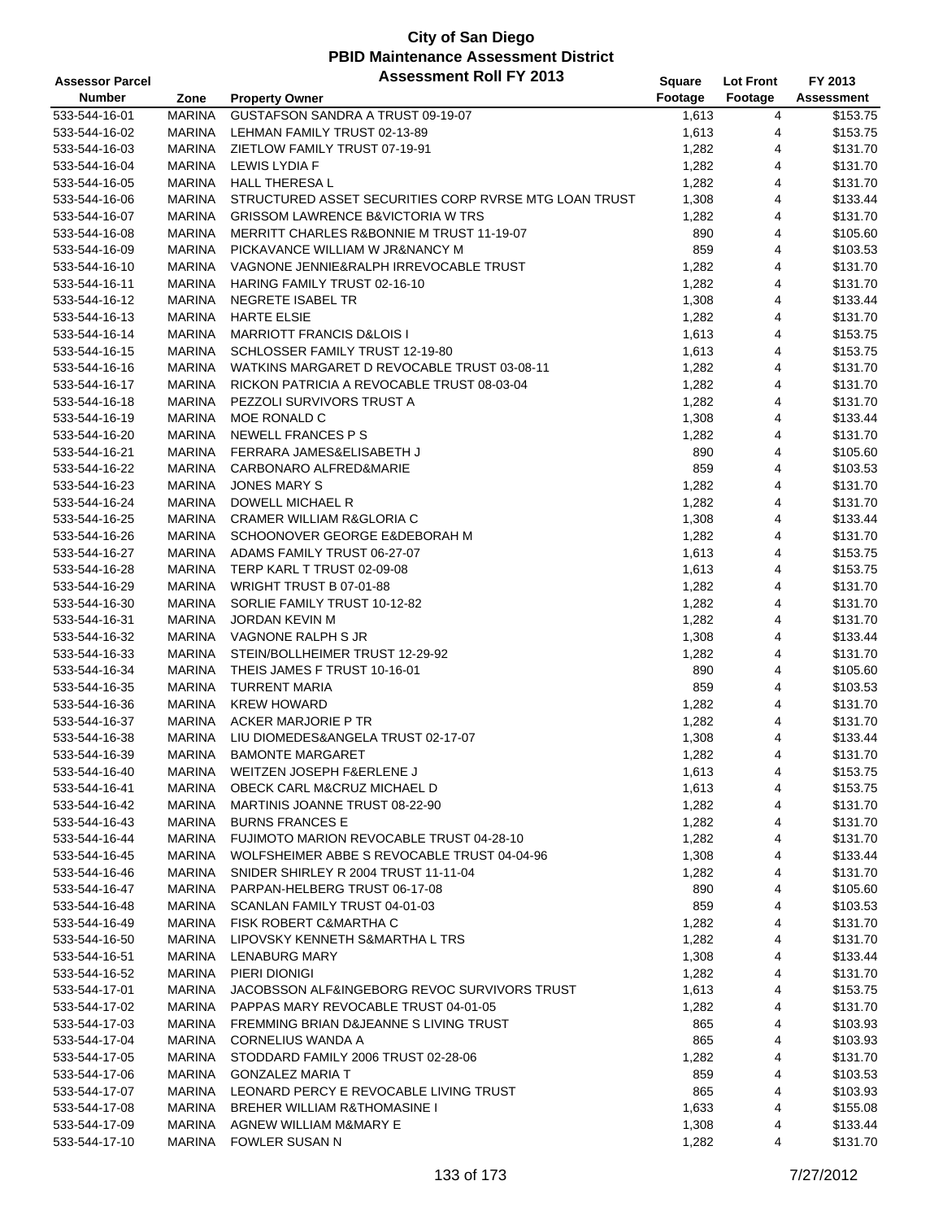| <b>Assessor Parcel</b> |               | <b>Assessment Roll FY 2013</b>                        | <b>Square</b> | <b>Lot Front</b> | FY 2013    |
|------------------------|---------------|-------------------------------------------------------|---------------|------------------|------------|
| <b>Number</b>          | Zone          | <b>Property Owner</b>                                 | Footage       | Footage          | Assessment |
| 533-544-16-01          | <b>MARINA</b> | GUSTAFSON SANDRA A TRUST 09-19-07                     | 1,613         | 4                | \$153.75   |
| 533-544-16-02          | <b>MARINA</b> | LEHMAN FAMILY TRUST 02-13-89                          | 1,613         | 4                | \$153.75   |
| 533-544-16-03          | <b>MARINA</b> | ZIETLOW FAMILY TRUST 07-19-91                         | 1,282         | 4                | \$131.70   |
| 533-544-16-04          | <b>MARINA</b> | LEWIS LYDIA F                                         | 1,282         | 4                | \$131.70   |
| 533-544-16-05          | <b>MARINA</b> | <b>HALL THERESA L</b>                                 | 1,282         | 4                | \$131.70   |
| 533-544-16-06          | <b>MARINA</b> | STRUCTURED ASSET SECURITIES CORP RVRSE MTG LOAN TRUST | 1,308         | 4                | \$133.44   |
| 533-544-16-07          | <b>MARINA</b> | <b>GRISSOM LAWRENCE B&amp;VICTORIA W TRS</b>          | 1,282         | 4                | \$131.70   |
| 533-544-16-08          | <b>MARINA</b> | <b>MERRITT CHARLES R&amp;BONNIE M TRUST 11-19-07</b>  | 890           | 4                | \$105.60   |
| 533-544-16-09          | <b>MARINA</b> | PICKAVANCE WILLIAM W JR&NANCY M                       | 859           | 4                | \$103.53   |
| 533-544-16-10          | <b>MARINA</b> | VAGNONE JENNIE&RALPH IRREVOCABLE TRUST                | 1,282         | 4                | \$131.70   |
| 533-544-16-11          | <b>MARINA</b> | <b>HARING FAMILY TRUST 02-16-10</b>                   | 1,282         | 4                | \$131.70   |
| 533-544-16-12          | <b>MARINA</b> | NEGRETE ISABEL TR                                     | 1,308         | 4                | \$133.44   |
| 533-544-16-13          | <b>MARINA</b> | <b>HARTE ELSIE</b>                                    | 1,282         | 4                | \$131.70   |
| 533-544-16-14          | <b>MARINA</b> | <b>MARRIOTT FRANCIS D&amp;LOIS I</b>                  | 1,613         | 4                | \$153.75   |
| 533-544-16-15          | <b>MARINA</b> | SCHLOSSER FAMILY TRUST 12-19-80                       | 1,613         | 4                | \$153.75   |
| 533-544-16-16          | <b>MARINA</b> | WATKINS MARGARET D REVOCABLE TRUST 03-08-11           | 1,282         | 4                | \$131.70   |
| 533-544-16-17          | <b>MARINA</b> | RICKON PATRICIA A REVOCABLE TRUST 08-03-04            | 1,282         | 4                | \$131.70   |
| 533-544-16-18          | <b>MARINA</b> | PEZZOLI SURVIVORS TRUST A                             | 1,282         | 4                | \$131.70   |
| 533-544-16-19          | <b>MARINA</b> | MOE RONALD C                                          | 1,308         | 4                | \$133.44   |
| 533-544-16-20          | <b>MARINA</b> | NEWELL FRANCES P S                                    | 1,282         | 4                | \$131.70   |
| 533-544-16-21          | <b>MARINA</b> | FERRARA JAMES&ELISABETH J                             | 890           | 4                | \$105.60   |
| 533-544-16-22          | <b>MARINA</b> | CARBONARO ALFRED&MARIE                                | 859           | 4                | \$103.53   |
| 533-544-16-23          | <b>MARINA</b> | <b>JONES MARY S</b>                                   | 1,282         | 4                | \$131.70   |
|                        | <b>MARINA</b> | DOWELL MICHAEL R                                      | 1,282         | 4                | \$131.70   |
| 533-544-16-24          |               |                                                       |               |                  |            |
| 533-544-16-25          | <b>MARINA</b> | <b>CRAMER WILLIAM R&amp;GLORIA C</b>                  | 1,308         | 4                | \$133.44   |
| 533-544-16-26          | MARINA        | SCHOONOVER GEORGE E&DEBORAH M                         | 1,282         | 4                | \$131.70   |
| 533-544-16-27          | <b>MARINA</b> | ADAMS FAMILY TRUST 06-27-07                           | 1,613         | 4                | \$153.75   |
| 533-544-16-28          | <b>MARINA</b> | TERP KARL T TRUST 02-09-08                            | 1,613         | 4                | \$153.75   |
| 533-544-16-29          | <b>MARINA</b> | WRIGHT TRUST B 07-01-88                               | 1,282         | 4                | \$131.70   |
| 533-544-16-30          | <b>MARINA</b> | SORLIE FAMILY TRUST 10-12-82                          | 1,282         | 4                | \$131.70   |
| 533-544-16-31          | <b>MARINA</b> | <b>JORDAN KEVIN M</b>                                 | 1,282         | 4                | \$131.70   |
| 533-544-16-32          | <b>MARINA</b> | VAGNONE RALPH S JR                                    | 1,308         | 4                | \$133.44   |
| 533-544-16-33          | <b>MARINA</b> | STEIN/BOLLHEIMER TRUST 12-29-92                       | 1,282         | 4                | \$131.70   |
| 533-544-16-34          | <b>MARINA</b> | THEIS JAMES F TRUST 10-16-01                          | 890           | 4                | \$105.60   |
| 533-544-16-35          | <b>MARINA</b> | <b>TURRENT MARIA</b>                                  | 859           | 4                | \$103.53   |
| 533-544-16-36          | <b>MARINA</b> | <b>KREW HOWARD</b>                                    | 1,282         | 4                | \$131.70   |
| 533-544-16-37          | <b>MARINA</b> | <b>ACKER MARJORIE P TR</b>                            | 1,282         | 4                | \$131.70   |
| 533-544-16-38          | <b>MARINA</b> | LIU DIOMEDES&ANGELA TRUST 02-17-07                    | 1,308         | 4                | \$133.44   |
| 533-544-16-39          | <b>MARINA</b> | <b>BAMONTE MARGARET</b>                               | 1,282         | 4                | \$131.70   |
| 533-544-16-40          | MARINA        | WEITZEN JOSEPH F&ERLENE J                             | 1,613         | 4                | \$153.75   |
| 533-544-16-41          | MARINA        | OBECK CARL M&CRUZ MICHAEL D                           | 1,613         | 4                | \$153.75   |
| 533-544-16-42          | MARINA        | MARTINIS JOANNE TRUST 08-22-90                        | 1,282         | 4                | \$131.70   |
| 533-544-16-43          | MARINA        | <b>BURNS FRANCES E</b>                                | 1,282         | 4                | \$131.70   |
| 533-544-16-44          | MARINA        | FUJIMOTO MARION REVOCABLE TRUST 04-28-10              | 1,282         | 4                | \$131.70   |
| 533-544-16-45          | MARINA        | WOLFSHEIMER ABBE S REVOCABLE TRUST 04-04-96           | 1,308         | 4                | \$133.44   |
| 533-544-16-46          | MARINA        | SNIDER SHIRLEY R 2004 TRUST 11-11-04                  | 1,282         | 4                | \$131.70   |
| 533-544-16-47          | <b>MARINA</b> | PARPAN-HELBERG TRUST 06-17-08                         | 890           | 4                | \$105.60   |
| 533-544-16-48          | MARINA        | SCANLAN FAMILY TRUST 04-01-03                         | 859           | 4                | \$103.53   |
| 533-544-16-49          | MARINA        | FISK ROBERT C&MARTHA C                                | 1,282         | 4                | \$131.70   |
| 533-544-16-50          | MARINA        | LIPOVSKY KENNETH S&MARTHA L TRS                       | 1,282         | 4                | \$131.70   |
| 533-544-16-51          | MARINA        | <b>LENABURG MARY</b>                                  | 1,308         | 4                | \$133.44   |
| 533-544-16-52          | MARINA        | PIERI DIONIGI                                         | 1,282         | 4                | \$131.70   |
| 533-544-17-01          | MARINA        | JACOBSSON ALF&INGEBORG REVOC SURVIVORS TRUST          | 1,613         | 4                | \$153.75   |
| 533-544-17-02          | MARINA        | PAPPAS MARY REVOCABLE TRUST 04-01-05                  | 1,282         | 4                | \$131.70   |
| 533-544-17-03          | MARINA        | FREMMING BRIAN D&JEANNE S LIVING TRUST                | 865           | 4                | \$103.93   |
| 533-544-17-04          | MARINA        | CORNELIUS WANDA A                                     | 865           | 4                | \$103.93   |
| 533-544-17-05          | MARINA        | STODDARD FAMILY 2006 TRUST 02-28-06                   | 1,282         | 4                | \$131.70   |
| 533-544-17-06          | <b>MARINA</b> | <b>GONZALEZ MARIA T</b>                               | 859           | 4                | \$103.53   |
| 533-544-17-07          | MARINA        | LEONARD PERCY E REVOCABLE LIVING TRUST                | 865           | 4                | \$103.93   |
| 533-544-17-08          | MARINA        | <b>BREHER WILLIAM R&amp;THOMASINE I</b>               | 1,633         | 4                | \$155.08   |
| 533-544-17-09          | MARINA        | AGNEW WILLIAM M&MARY E                                | 1,308         | 4                | \$133.44   |
| 533-544-17-10          | MARINA        | FOWLER SUSAN N                                        | 1,282         | 4                | \$131.70   |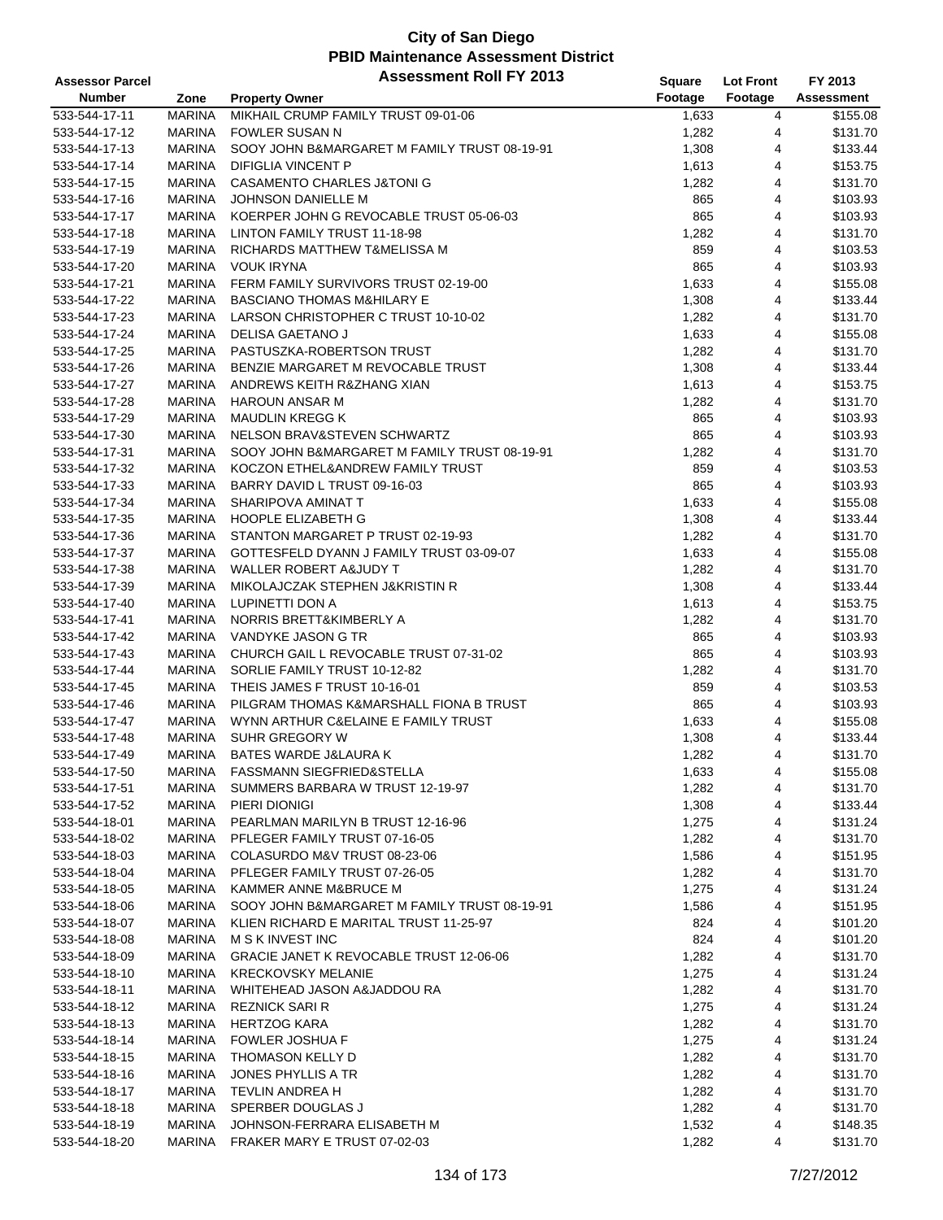| <b>Assessor Parcel</b> |               | <b>Assessment Roll FY 2013</b>               | Square  | <b>Lot Front</b> | FY 2013    |
|------------------------|---------------|----------------------------------------------|---------|------------------|------------|
| <b>Number</b>          | Zone          | <b>Property Owner</b>                        | Footage | Footage          | Assessment |
| 533-544-17-11          | <b>MARINA</b> | MIKHAIL CRUMP FAMILY TRUST 09-01-06          | 1,633   | 4                | \$155.08   |
| 533-544-17-12          | <b>MARINA</b> | <b>FOWLER SUSAN N</b>                        | 1,282   | 4                | \$131.70   |
| 533-544-17-13          | <b>MARINA</b> | SOOY JOHN B&MARGARET M FAMILY TRUST 08-19-91 | 1,308   | 4                | \$133.44   |
| 533-544-17-14          | <b>MARINA</b> | <b>DIFIGLIA VINCENT P</b>                    | 1,613   | 4                | \$153.75   |
| 533-544-17-15          | <b>MARINA</b> | <b>CASAMENTO CHARLES J&amp;TONI G</b>        | 1,282   | 4                | \$131.70   |
| 533-544-17-16          | <b>MARINA</b> | JOHNSON DANIELLE M                           | 865     | 4                | \$103.93   |
| 533-544-17-17          | <b>MARINA</b> | KOERPER JOHN G REVOCABLE TRUST 05-06-03      | 865     | 4                | \$103.93   |
| 533-544-17-18          | <b>MARINA</b> | LINTON FAMILY TRUST 11-18-98                 | 1,282   | 4                | \$131.70   |
| 533-544-17-19          | <b>MARINA</b> | RICHARDS MATTHEW T&MELISSA M                 | 859     | 4                | \$103.53   |
| 533-544-17-20          | <b>MARINA</b> | <b>VOUK IRYNA</b>                            | 865     | 4                | \$103.93   |
| 533-544-17-21          | <b>MARINA</b> | FERM FAMILY SURVIVORS TRUST 02-19-00         | 1,633   | 4                | \$155.08   |
| 533-544-17-22          | <b>MARINA</b> | <b>BASCIANO THOMAS M&amp;HILARY E</b>        | 1,308   | 4                | \$133.44   |
| 533-544-17-23          | <b>MARINA</b> | LARSON CHRISTOPHER C TRUST 10-10-02          | 1,282   | 4                | \$131.70   |
| 533-544-17-24          | <b>MARINA</b> | DELISA GAETANO J                             | 1,633   | 4                | \$155.08   |
| 533-544-17-25          | <b>MARINA</b> | PASTUSZKA-ROBERTSON TRUST                    | 1,282   | 4                | \$131.70   |
| 533-544-17-26          | <b>MARINA</b> | BENZIE MARGARET M REVOCABLE TRUST            | 1,308   | 4                | \$133.44   |
| 533-544-17-27          | <b>MARINA</b> | ANDREWS KEITH R&ZHANG XIAN                   | 1,613   | 4                | \$153.75   |
| 533-544-17-28          | <b>MARINA</b> | <b>HAROUN ANSAR M</b>                        | 1,282   | 4                | \$131.70   |
| 533-544-17-29          | <b>MARINA</b> | <b>MAUDLIN KREGG K</b>                       | 865     | 4                | \$103.93   |
| 533-544-17-30          | <b>MARINA</b> | NELSON BRAV&STEVEN SCHWARTZ                  | 865     | 4                | \$103.93   |
| 533-544-17-31          | <b>MARINA</b> | SOOY JOHN B&MARGARET M FAMILY TRUST 08-19-91 | 1,282   | 4                | \$131.70   |
| 533-544-17-32          | <b>MARINA</b> | KOCZON ETHEL&ANDREW FAMILY TRUST             | 859     | 4                | \$103.53   |
| 533-544-17-33          | <b>MARINA</b> | BARRY DAVID L TRUST 09-16-03                 | 865     | 4                | \$103.93   |
| 533-544-17-34          | <b>MARINA</b> | SHARIPOVA AMINAT T                           | 1,633   | 4                | \$155.08   |
| 533-544-17-35          | <b>MARINA</b> | HOOPLE ELIZABETH G                           | 1,308   | 4                | \$133.44   |
| 533-544-17-36          | <b>MARINA</b> | STANTON MARGARET P TRUST 02-19-93            | 1,282   | 4                | \$131.70   |
| 533-544-17-37          | <b>MARINA</b> | GOTTESFELD DYANN J FAMILY TRUST 03-09-07     | 1,633   | 4                | \$155.08   |
| 533-544-17-38          | MARINA        | WALLER ROBERT A&JUDY T                       | 1,282   | 4                | \$131.70   |
| 533-544-17-39          | <b>MARINA</b> | MIKOLAJCZAK STEPHEN J&KRISTIN R              | 1,308   | 4                | \$133.44   |
| 533-544-17-40          | <b>MARINA</b> | LUPINETTI DON A                              | 1,613   | 4                | \$153.75   |
| 533-544-17-41          | <b>MARINA</b> | NORRIS BRETT&KIMBERLY A                      | 1,282   | 4                | \$131.70   |
| 533-544-17-42          | <b>MARINA</b> | VANDYKE JASON G TR                           | 865     | 4                | \$103.93   |
| 533-544-17-43          | <b>MARINA</b> | CHURCH GAIL L REVOCABLE TRUST 07-31-02       | 865     | 4                | \$103.93   |
| 533-544-17-44          | <b>MARINA</b> | SORLIE FAMILY TRUST 10-12-82                 | 1,282   | 4                | \$131.70   |
| 533-544-17-45          | <b>MARINA</b> | THEIS JAMES F TRUST 10-16-01                 | 859     | 4                | \$103.53   |
| 533-544-17-46          | <b>MARINA</b> | PILGRAM THOMAS K&MARSHALL FIONA B TRUST      | 865     | 4                | \$103.93   |
| 533-544-17-47          | <b>MARINA</b> | WYNN ARTHUR C&ELAINE E FAMILY TRUST          | 1,633   | 4                | \$155.08   |
| 533-544-17-48          | <b>MARINA</b> | SUHR GREGORY W                               | 1,308   | 4                | \$133.44   |
| 533-544-17-49          | <b>MARINA</b> | BATES WARDE J&LAURA K                        | 1,282   | $\overline{4}$   | \$131.70   |
| 533-544-17-50          | MARINA        | FASSMANN SIEGFRIED&STELLA                    | 1,633   | 4                | \$155.08   |
| 533-544-17-51          | <b>MARINA</b> | SUMMERS BARBARA W TRUST 12-19-97             | 1,282   | 4                | \$131.70   |
| 533-544-17-52          | MARINA        | PIERI DIONIGI                                | 1,308   | 4                | \$133.44   |
| 533-544-18-01          | MARINA        | PEARLMAN MARILYN B TRUST 12-16-96            | 1,275   | 4                | \$131.24   |
| 533-544-18-02          | <b>MARINA</b> | PFLEGER FAMILY TRUST 07-16-05                | 1,282   | 4                | \$131.70   |
| 533-544-18-03          | MARINA        | COLASURDO M&V TRUST 08-23-06                 | 1,586   | 4                | \$151.95   |
| 533-544-18-04          | MARINA        | PFLEGER FAMILY TRUST 07-26-05                | 1,282   | 4                | \$131.70   |
| 533-544-18-05          | <b>MARINA</b> | KAMMER ANNE M&BRUCE M                        | 1,275   | 4                | \$131.24   |
| 533-544-18-06          | <b>MARINA</b> | SOOY JOHN B&MARGARET M FAMILY TRUST 08-19-91 | 1,586   | 4                | \$151.95   |
| 533-544-18-07          | MARINA        | KLIEN RICHARD E MARITAL TRUST 11-25-97       | 824     | 4                | \$101.20   |
| 533-544-18-08          | MARINA        | M S K INVEST INC                             | 824     | 4                | \$101.20   |
| 533-544-18-09          | <b>MARINA</b> | GRACIE JANET K REVOCABLE TRUST 12-06-06      | 1,282   | 4                | \$131.70   |
| 533-544-18-10          | MARINA        | <b>KRECKOVSKY MELANIE</b>                    | 1,275   | 4                | \$131.24   |
| 533-544-18-11          | MARINA        | WHITEHEAD JASON A&JADDOU RA                  | 1,282   | 4                | \$131.70   |
| 533-544-18-12          | <b>MARINA</b> | <b>REZNICK SARI R</b>                        | 1,275   | 4                | \$131.24   |
| 533-544-18-13          | <b>MARINA</b> | <b>HERTZOG KARA</b>                          | 1,282   | 4                | \$131.70   |
| 533-544-18-14          | MARINA        | <b>FOWLER JOSHUA F</b>                       | 1,275   | 4                | \$131.24   |
| 533-544-18-15          | MARINA        | THOMASON KELLY D                             | 1,282   | 4                | \$131.70   |
| 533-544-18-16          | <b>MARINA</b> | <b>JONES PHYLLIS A TR</b>                    | 1,282   | 4                | \$131.70   |
| 533-544-18-17          | <b>MARINA</b> | TEVLIN ANDREA H                              | 1,282   | 4                | \$131.70   |
| 533-544-18-18          | MARINA        | SPERBER DOUGLAS J                            | 1,282   | 4                | \$131.70   |
| 533-544-18-19          | MARINA        | JOHNSON-FERRARA ELISABETH M                  | 1,532   | 4                | \$148.35   |
| 533-544-18-20          | <b>MARINA</b> | FRAKER MARY E TRUST 07-02-03                 | 1,282   | 4                | \$131.70   |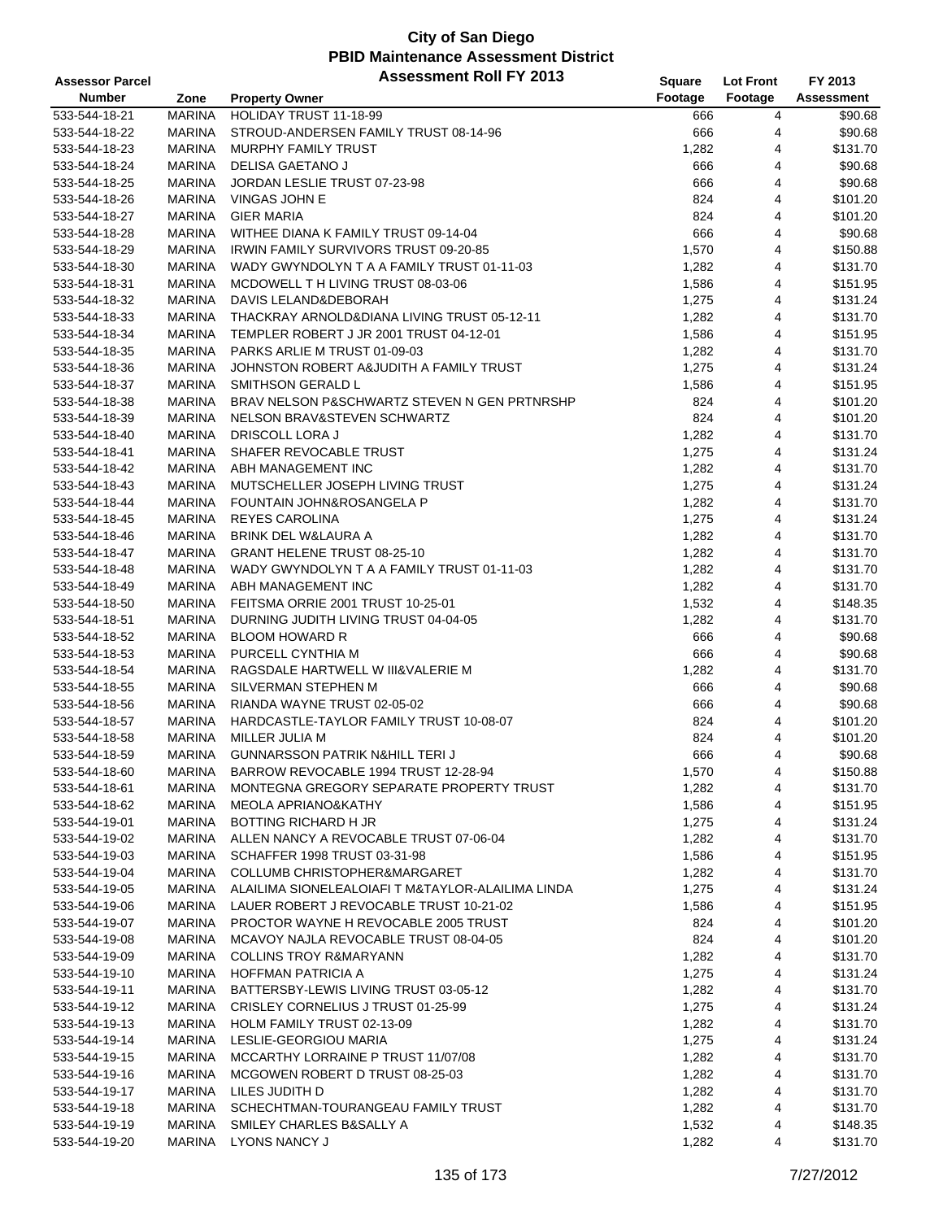| <b>Assessor Parcel</b> |               | <b>Assessment Roll FY 2013</b>                    | Square         | <b>Lot Front</b> | FY 2013    |
|------------------------|---------------|---------------------------------------------------|----------------|------------------|------------|
| <b>Number</b>          | Zone          | <b>Property Owner</b>                             | Footage        | Footage          | Assessment |
| 533-544-18-21          | <b>MARINA</b> | HOLIDAY TRUST 11-18-99                            | 666            | 4                | \$90.68    |
| 533-544-18-22          | <b>MARINA</b> | STROUD-ANDERSEN FAMILY TRUST 08-14-96             | 666            | 4                | \$90.68    |
| 533-544-18-23          | <b>MARINA</b> | MURPHY FAMILY TRUST                               | 1,282          | 4                | \$131.70   |
| 533-544-18-24          | <b>MARINA</b> | DELISA GAETANO J                                  | 666            | 4                | \$90.68    |
| 533-544-18-25          | <b>MARINA</b> | JORDAN LESLIE TRUST 07-23-98                      | 666            | 4                | \$90.68    |
| 533-544-18-26          | <b>MARINA</b> | VINGAS JOHN E                                     | 824            | 4                | \$101.20   |
| 533-544-18-27          | <b>MARINA</b> | <b>GIER MARIA</b>                                 | 824            | 4                | \$101.20   |
| 533-544-18-28          | <b>MARINA</b> | WITHEE DIANA K FAMILY TRUST 09-14-04              | 666            | 4                | \$90.68    |
| 533-544-18-29          | <b>MARINA</b> | <b>IRWIN FAMILY SURVIVORS TRUST 09-20-85</b>      | 1,570          | 4                | \$150.88   |
| 533-544-18-30          | <b>MARINA</b> | WADY GWYNDOLYN T A A FAMILY TRUST 01-11-03        | 1,282          | 4                | \$131.70   |
| 533-544-18-31          | <b>MARINA</b> | MCDOWELL TH LIVING TRUST 08-03-06                 | 1,586          | 4                | \$151.95   |
| 533-544-18-32          | <b>MARINA</b> | DAVIS LELAND&DEBORAH                              | 1,275          | 4                | \$131.24   |
| 533-544-18-33          | <b>MARINA</b> | THACKRAY ARNOLD&DIANA LIVING TRUST 05-12-11       | 1,282          | 4                | \$131.70   |
| 533-544-18-34          | <b>MARINA</b> | TEMPLER ROBERT J JR 2001 TRUST 04-12-01           | 1,586          | 4                | \$151.95   |
| 533-544-18-35          | <b>MARINA</b> | PARKS ARLIE M TRUST 01-09-03                      | 1,282          | 4                | \$131.70   |
| 533-544-18-36          | <b>MARINA</b> | JOHNSTON ROBERT A&JUDITH A FAMILY TRUST           | 1,275          | 4                | \$131.24   |
| 533-544-18-37          | <b>MARINA</b> | SMITHSON GERALD L                                 | 1,586          | 4                | \$151.95   |
| 533-544-18-38          | <b>MARINA</b> | BRAV NELSON P&SCHWARTZ STEVEN N GEN PRTNRSHP      | 824            | 4                | \$101.20   |
| 533-544-18-39          | <b>MARINA</b> | NELSON BRAV&STEVEN SCHWARTZ                       | 824            | 4                | \$101.20   |
| 533-544-18-40          | <b>MARINA</b> | DRISCOLL LORA J                                   | 1,282          | 4                | \$131.70   |
| 533-544-18-41          | <b>MARINA</b> | SHAFER REVOCABLE TRUST                            | 1,275          | 4                | \$131.24   |
| 533-544-18-42          | <b>MARINA</b> | ABH MANAGEMENT INC                                | 1,282          | 4                | \$131.70   |
| 533-544-18-43          | <b>MARINA</b> | MUTSCHELLER JOSEPH LIVING TRUST                   | 1,275          | 4                | \$131.24   |
| 533-544-18-44          | <b>MARINA</b> | FOUNTAIN JOHN&ROSANGELA P                         | 1,282          | 4                | \$131.70   |
| 533-544-18-45          | <b>MARINA</b> | <b>REYES CAROLINA</b>                             | 1,275          | 4                | \$131.24   |
| 533-544-18-46          | <b>MARINA</b> | BRINK DEL W&LAURA A                               | 1,282          | 4                | \$131.70   |
| 533-544-18-47          | <b>MARINA</b> | GRANT HELENE TRUST 08-25-10                       | 1,282          | 4                | \$131.70   |
| 533-544-18-48          | <b>MARINA</b> | WADY GWYNDOLYN T A A FAMILY TRUST 01-11-03        | 1,282          | 4                | \$131.70   |
| 533-544-18-49          | <b>MARINA</b> | ABH MANAGEMENT INC                                | 1,282          | 4                | \$131.70   |
| 533-544-18-50          | <b>MARINA</b> | FEITSMA ORRIE 2001 TRUST 10-25-01                 | 1,532          | 4                | \$148.35   |
| 533-544-18-51          | <b>MARINA</b> | DURNING JUDITH LIVING TRUST 04-04-05              | 1,282          | 4                | \$131.70   |
| 533-544-18-52          | <b>MARINA</b> | <b>BLOOM HOWARD R</b>                             | 666            | 4                | \$90.68    |
| 533-544-18-53          | <b>MARINA</b> | PURCELL CYNTHIA M                                 | 666            | 4                | \$90.68    |
| 533-544-18-54          | <b>MARINA</b> | RAGSDALE HARTWELL W III&VALERIE M                 | 1,282          | 4                | \$131.70   |
| 533-544-18-55          | <b>MARINA</b> | SILVERMAN STEPHEN M                               | 666            | 4                | \$90.68    |
| 533-544-18-56          | <b>MARINA</b> | RIANDA WAYNE TRUST 02-05-02                       | 666            | 4                | \$90.68    |
| 533-544-18-57          | <b>MARINA</b> | HARDCASTLE-TAYLOR FAMILY TRUST 10-08-07           | 824            | 4                | \$101.20   |
| 533-544-18-58          | <b>MARINA</b> | MILLER JULIA M                                    | 824            | 4                | \$101.20   |
| 533-544-18-59          | <b>MARINA</b> | <b>GUNNARSSON PATRIK N&amp;HILL TERIJ</b>         | 666            | $\overline{4}$   | \$90.68    |
| 533-544-18-60          | MARINA        | BARROW REVOCABLE 1994 TRUST 12-28-94              | 1,570          | 4                | \$150.88   |
| 533-544-18-61          | MARINA        | MONTEGNA GREGORY SEPARATE PROPERTY TRUST          | 1,282          | 4                | \$131.70   |
| 533-544-18-62          | MARINA        | MEOLA APRIANO&KATHY                               |                | 4                | \$151.95   |
| 533-544-19-01          | MARINA        | BOTTING RICHARD H JR                              | 1,586<br>1,275 | 4                | \$131.24   |
| 533-544-19-02          | MARINA        | ALLEN NANCY A REVOCABLE TRUST 07-06-04            |                | 4                | \$131.70   |
| 533-544-19-03          | MARINA        | SCHAFFER 1998 TRUST 03-31-98                      | 1,282<br>1,586 | 4                | \$151.95   |
| 533-544-19-04          | MARINA        | COLLUMB CHRISTOPHER&MARGARET                      | 1,282          | 4                | \$131.70   |
| 533-544-19-05          | MARINA        | ALAILIMA SIONELEALOIAFI T M&TAYLOR-ALAILIMA LINDA | 1,275          | 4                | \$131.24   |
| 533-544-19-06          | MARINA        | LAUER ROBERT J REVOCABLE TRUST 10-21-02           | 1,586          | 4                | \$151.95   |
|                        |               | PROCTOR WAYNE H REVOCABLE 2005 TRUST              |                | 4                | \$101.20   |
| 533-544-19-07          | MARINA        |                                                   | 824            | 4                |            |
| 533-544-19-08          | MARINA        | MCAVOY NAJLA REVOCABLE TRUST 08-04-05             | 824            |                  | \$101.20   |
| 533-544-19-09          | MARINA        | <b>COLLINS TROY R&amp;MARYANN</b>                 | 1,282          | 4                | \$131.70   |
| 533-544-19-10          | MARINA        | HOFFMAN PATRICIA A                                | 1,275          | 4                | \$131.24   |
| 533-544-19-11          | MARINA        | BATTERSBY-LEWIS LIVING TRUST 03-05-12             | 1,282          | 4                | \$131.70   |
| 533-544-19-12          | MARINA        | CRISLEY CORNELIUS J TRUST 01-25-99                | 1,275          | 4                | \$131.24   |
| 533-544-19-13          | MARINA        | HOLM FAMILY TRUST 02-13-09                        | 1,282          | 4                | \$131.70   |
| 533-544-19-14          | MARINA        | LESLIE-GEORGIOU MARIA                             | 1,275          | 4                | \$131.24   |
| 533-544-19-15          | MARINA        | MCCARTHY LORRAINE P TRUST 11/07/08                | 1,282          | 4                | \$131.70   |
| 533-544-19-16          | MARINA        | MCGOWEN ROBERT D TRUST 08-25-03                   | 1,282          | 4                | \$131.70   |
| 533-544-19-17          | MARINA        | LILES JUDITH D                                    | 1,282          | 4                | \$131.70   |
| 533-544-19-18          | MARINA        | SCHECHTMAN-TOURANGEAU FAMILY TRUST                | 1,282          | 4                | \$131.70   |
| 533-544-19-19          | MARINA        | SMILEY CHARLES B&SALLY A                          | 1,532          | 4                | \$148.35   |
| 533-544-19-20          | MARINA        | LYONS NANCY J                                     | 1,282          | 4                | \$131.70   |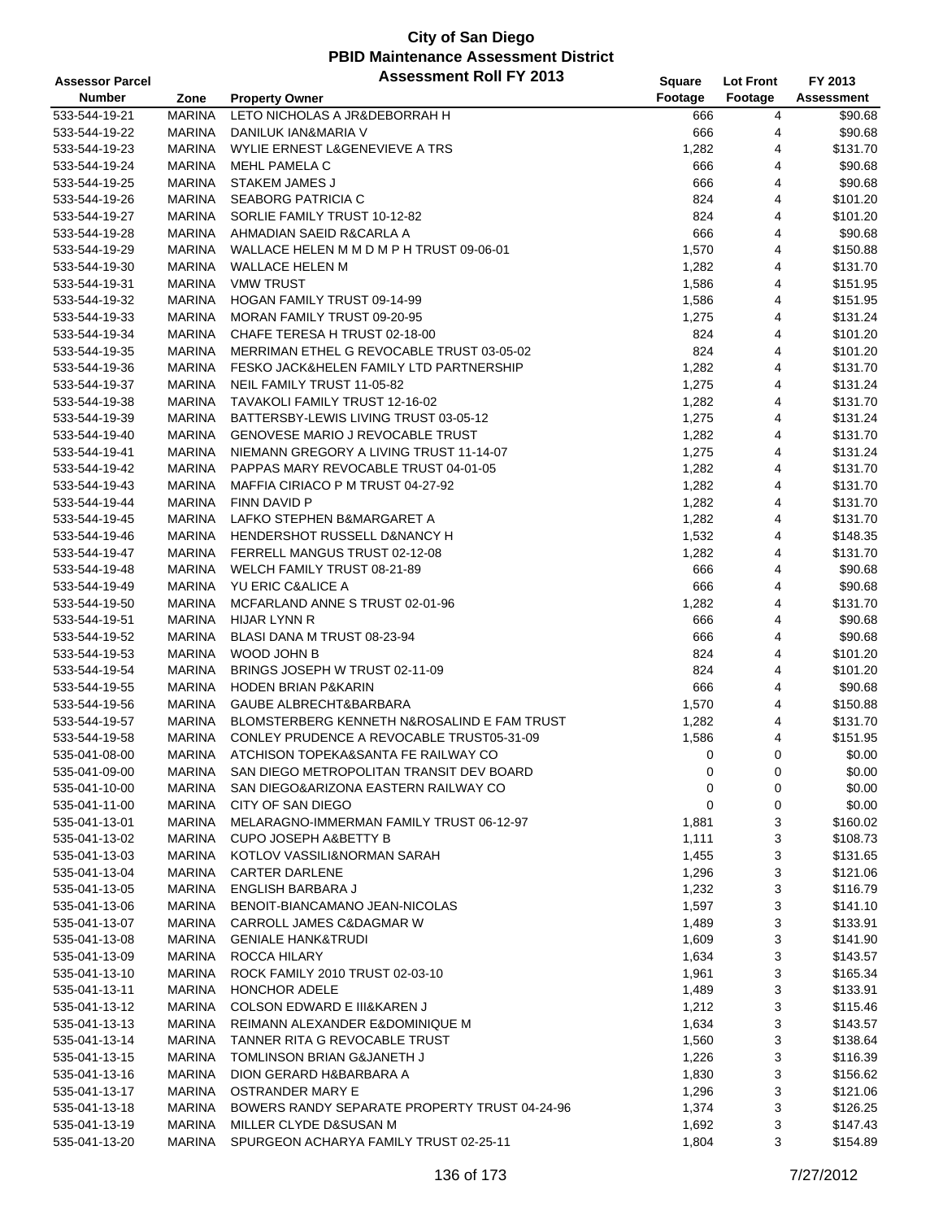| <b>Assessor Parcel</b> |               | <b>Assessment Roll FY 2013</b>                | Square  | <b>Lot Front</b> | FY 2013           |
|------------------------|---------------|-----------------------------------------------|---------|------------------|-------------------|
| <b>Number</b>          | Zone          | <b>Property Owner</b>                         | Footage | Footage          | <b>Assessment</b> |
| 533-544-19-21          | <b>MARINA</b> | LETO NICHOLAS A JR&DEBORRAH H                 | 666     | 4                | \$90.68           |
| 533-544-19-22          | <b>MARINA</b> | DANILUK IAN&MARIA V                           | 666     | 4                | \$90.68           |
| 533-544-19-23          | <b>MARINA</b> | WYLIE ERNEST L&GENEVIEVE A TRS                | 1,282   | 4                | \$131.70          |
| 533-544-19-24          | <b>MARINA</b> | MEHL PAMELA C                                 | 666     | 4                | \$90.68           |
| 533-544-19-25          | <b>MARINA</b> | STAKEM JAMES J                                | 666     | 4                | \$90.68           |
| 533-544-19-26          | MARINA        | SEABORG PATRICIA C                            | 824     | 4                | \$101.20          |
| 533-544-19-27          | <b>MARINA</b> | SORLIE FAMILY TRUST 10-12-82                  | 824     | 4                | \$101.20          |
| 533-544-19-28          | <b>MARINA</b> | AHMADIAN SAEID R&CARLA A                      | 666     | 4                | \$90.68           |
| 533-544-19-29          | <b>MARINA</b> | WALLACE HELEN M M D M P H TRUST 09-06-01      | 1,570   | 4                | \$150.88          |
| 533-544-19-30          | <b>MARINA</b> | WALLACE HELEN M                               | 1,282   | 4                | \$131.70          |
| 533-544-19-31          | <b>MARINA</b> | <b>VMW TRUST</b>                              | 1,586   | 4                | \$151.95          |
| 533-544-19-32          | <b>MARINA</b> | <b>HOGAN FAMILY TRUST 09-14-99</b>            | 1,586   | 4                | \$151.95          |
| 533-544-19-33          | <b>MARINA</b> | MORAN FAMILY TRUST 09-20-95                   | 1,275   | 4                | \$131.24          |
| 533-544-19-34          | MARINA        | CHAFE TERESA H TRUST 02-18-00                 | 824     | 4                | \$101.20          |
| 533-544-19-35          | <b>MARINA</b> | MERRIMAN ETHEL G REVOCABLE TRUST 03-05-02     | 824     | 4                | \$101.20          |
| 533-544-19-36          | <b>MARINA</b> | FESKO JACK&HELEN FAMILY LTD PARTNERSHIP       | 1,282   | 4                | \$131.70          |
| 533-544-19-37          | <b>MARINA</b> | NEIL FAMILY TRUST 11-05-82                    | 1,275   | 4                | \$131.24          |
| 533-544-19-38          | <b>MARINA</b> | TAVAKOLI FAMILY TRUST 12-16-02                | 1,282   | 4                | \$131.70          |
| 533-544-19-39          | <b>MARINA</b> | BATTERSBY-LEWIS LIVING TRUST 03-05-12         | 1,275   | 4                | \$131.24          |
| 533-544-19-40          | <b>MARINA</b> | <b>GENOVESE MARIO J REVOCABLE TRUST</b>       | 1,282   | 4                | \$131.70          |
| 533-544-19-41          | <b>MARINA</b> | NIEMANN GREGORY A LIVING TRUST 11-14-07       | 1,275   | 4                | \$131.24          |
| 533-544-19-42          | <b>MARINA</b> | PAPPAS MARY REVOCABLE TRUST 04-01-05          | 1,282   | 4                | \$131.70          |
| 533-544-19-43          | MARINA        | MAFFIA CIRIACO P M TRUST 04-27-92             | 1,282   | 4                | \$131.70          |
| 533-544-19-44          | MARINA        | <b>FINN DAVID P</b>                           | 1,282   | 4                | \$131.70          |
| 533-544-19-45          | <b>MARINA</b> | LAFKO STEPHEN B&MARGARET A                    | 1,282   | 4                | \$131.70          |
|                        |               |                                               |         |                  |                   |
| 533-544-19-46          | <b>MARINA</b> | HENDERSHOT RUSSELL D&NANCY H                  | 1,532   | 4                | \$148.35          |
| 533-544-19-47          | <b>MARINA</b> | FERRELL MANGUS TRUST 02-12-08                 | 1,282   | 4                | \$131.70          |
| 533-544-19-48          | <b>MARINA</b> | WELCH FAMILY TRUST 08-21-89                   | 666     | 4                | \$90.68           |
| 533-544-19-49          | <b>MARINA</b> | YU ERIC C&ALICE A                             | 666     | 4                | \$90.68           |
| 533-544-19-50          | <b>MARINA</b> | MCFARLAND ANNE S TRUST 02-01-96               | 1,282   | 4                | \$131.70          |
| 533-544-19-51          | MARINA        | HIJAR LYNN R                                  | 666     | 4                | \$90.68           |
| 533-544-19-52          | <b>MARINA</b> | BLASI DANA M TRUST 08-23-94                   | 666     | 4                | \$90.68           |
| 533-544-19-53          | <b>MARINA</b> | WOOD JOHN B                                   | 824     | 4                | \$101.20          |
| 533-544-19-54          | <b>MARINA</b> | BRINGS JOSEPH W TRUST 02-11-09                | 824     | 4                | \$101.20          |
| 533-544-19-55          | <b>MARINA</b> | <b>HODEN BRIAN P&amp;KARIN</b>                | 666     | 4                | \$90.68           |
| 533-544-19-56          | MARINA        | GAUBE ALBRECHT&BARBARA                        | 1,570   | 4                | \$150.88          |
| 533-544-19-57          | MARINA        | BLOMSTERBERG KENNETH N&ROSALIND E FAM TRUST   | 1,282   | 4                | \$131.70          |
| 533-544-19-58          | <b>MARINA</b> | CONLEY PRUDENCE A REVOCABLE TRUST05-31-09     | 1,586   | 4                | \$151.95          |
| 535-041-08-00          | <b>MARINA</b> | ATCHISON TOPEKA&SANTA FE RAILWAY CO           | 0       | $\mathbf 0$      | \$0.00            |
| 535-041-09-00          | MARINA        | SAN DIEGO METROPOLITAN TRANSIT DEV BOARD      | 0       | 0                | \$0.00            |
| 535-041-10-00          | MARINA        | SAN DIEGO&ARIZONA EASTERN RAILWAY CO          | 0       | 0                | \$0.00            |
| 535-041-11-00          | MARINA        | CITY OF SAN DIEGO                             | 0       | 0                | \$0.00            |
| 535-041-13-01          | MARINA        | MELARAGNO-IMMERMAN FAMILY TRUST 06-12-97      | 1,881   | 3                | \$160.02          |
| 535-041-13-02          | MARINA        | <b>CUPO JOSEPH A&amp;BETTY B</b>              | 1,111   | 3                | \$108.73          |
| 535-041-13-03          | MARINA        | KOTLOV VASSILI&NORMAN SARAH                   | 1,455   | 3                | \$131.65          |
| 535-041-13-04          | MARINA        | <b>CARTER DARLENE</b>                         | 1,296   | 3                | \$121.06          |
| 535-041-13-05          | MARINA        | ENGLISH BARBARA J                             | 1,232   | 3                | \$116.79          |
| 535-041-13-06          | MARINA        | BENOIT-BIANCAMANO JEAN-NICOLAS                | 1,597   | 3                | \$141.10          |
| 535-041-13-07          | MARINA        | CARROLL JAMES C&DAGMAR W                      | 1,489   | 3                | \$133.91          |
| 535-041-13-08          | MARINA        | <b>GENIALE HANK&amp;TRUDI</b>                 | 1,609   | 3                | \$141.90          |
| 535-041-13-09          | MARINA        | ROCCA HILARY                                  | 1,634   | 3                | \$143.57          |
| 535-041-13-10          | MARINA        | ROCK FAMILY 2010 TRUST 02-03-10               | 1,961   | 3                | \$165.34          |
| 535-041-13-11          | MARINA        | HONCHOR ADELE                                 | 1,489   | 3                | \$133.91          |
| 535-041-13-12          | MARINA        | <b>COLSON EDWARD E III&amp;KAREN J</b>        | 1,212   | 3                | \$115.46          |
| 535-041-13-13          | MARINA        | REIMANN ALEXANDER E&DOMINIQUE M               | 1,634   | 3                | \$143.57          |
| 535-041-13-14          | MARINA        | TANNER RITA G REVOCABLE TRUST                 | 1,560   | 3                | \$138.64          |
| 535-041-13-15          | MARINA        | TOMLINSON BRIAN G&JANETH J                    | 1,226   | 3                | \$116.39          |
| 535-041-13-16          | MARINA        | DION GERARD H&BARBARA A                       | 1,830   | 3                | \$156.62          |
| 535-041-13-17          | MARINA        | <b>OSTRANDER MARY E</b>                       | 1,296   | 3                | \$121.06          |
| 535-041-13-18          | MARINA        | BOWERS RANDY SEPARATE PROPERTY TRUST 04-24-96 | 1,374   | 3                | \$126.25          |
| 535-041-13-19          | MARINA        | MILLER CLYDE D&SUSAN M                        | 1,692   | 3                | \$147.43          |
| 535-041-13-20          | MARINA        | SPURGEON ACHARYA FAMILY TRUST 02-25-11        | 1,804   | 3                | \$154.89          |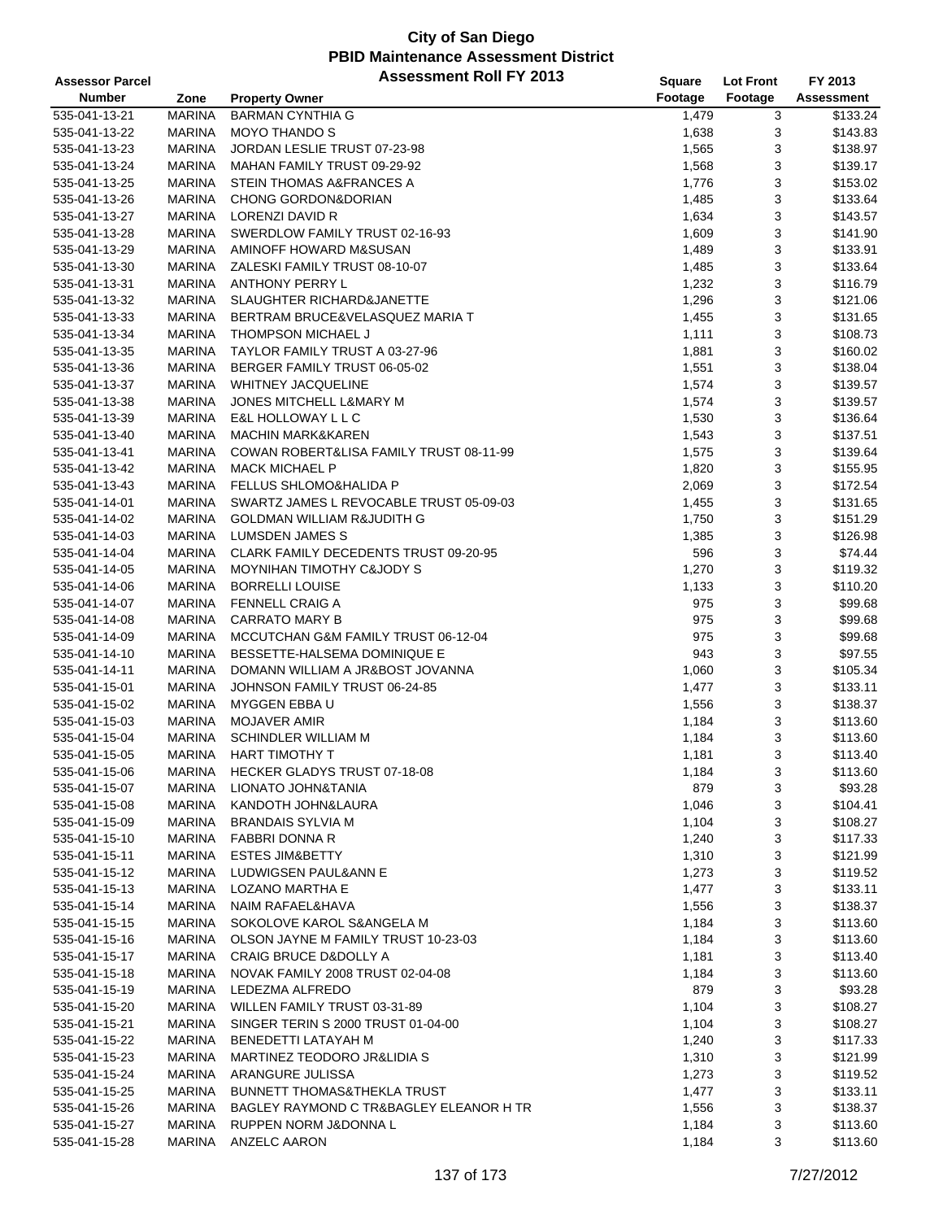| <b>Assessor Parcel</b> |               | <b>Assessment Roll FY 2013</b>          | Square         | <b>Lot Front</b> | FY 2013    |
|------------------------|---------------|-----------------------------------------|----------------|------------------|------------|
| <b>Number</b>          | Zone          | <b>Property Owner</b>                   | Footage        | Footage          | Assessment |
| 535-041-13-21          | <b>MARINA</b> | <b>BARMAN CYNTHIA G</b>                 | 1,479          | 3                | \$133.24   |
| 535-041-13-22          | <b>MARINA</b> | <b>MOYO THANDO S</b>                    | 1,638          | 3                | \$143.83   |
| 535-041-13-23          | <b>MARINA</b> | JORDAN LESLIE TRUST 07-23-98            | 1,565          | 3                | \$138.97   |
| 535-041-13-24          | <b>MARINA</b> | MAHAN FAMILY TRUST 09-29-92             | 1,568          | 3                | \$139.17   |
| 535-041-13-25          | <b>MARINA</b> | STEIN THOMAS A&FRANCES A                | 1,776          | 3                | \$153.02   |
| 535-041-13-26          | <b>MARINA</b> | CHONG GORDON&DORIAN                     | 1,485          | 3                | \$133.64   |
| 535-041-13-27          | <b>MARINA</b> | LORENZI DAVID R                         | 1,634          | 3                | \$143.57   |
| 535-041-13-28          | <b>MARINA</b> | SWERDLOW FAMILY TRUST 02-16-93          | 1,609          | 3                | \$141.90   |
| 535-041-13-29          | <b>MARINA</b> | AMINOFF HOWARD M&SUSAN                  | 1,489          | 3                | \$133.91   |
| 535-041-13-30          | <b>MARINA</b> | ZALESKI FAMILY TRUST 08-10-07           | 1,485          | 3                | \$133.64   |
| 535-041-13-31          | <b>MARINA</b> | ANTHONY PERRY L                         | 1,232          | 3                | \$116.79   |
| 535-041-13-32          | <b>MARINA</b> | SLAUGHTER RICHARD&JANETTE               |                | 3                | \$121.06   |
|                        | MARINA        | BERTRAM BRUCE&VELASQUEZ MARIA T         | 1,296<br>1,455 | 3                | \$131.65   |
| 535-041-13-33          |               |                                         |                |                  |            |
| 535-041-13-34          | <b>MARINA</b> | THOMPSON MICHAEL J                      | 1,111          | 3                | \$108.73   |
| 535-041-13-35          | <b>MARINA</b> | TAYLOR FAMILY TRUST A 03-27-96          | 1,881          | 3                | \$160.02   |
| 535-041-13-36          | <b>MARINA</b> | BERGER FAMILY TRUST 06-05-02            | 1,551          | 3                | \$138.04   |
| 535-041-13-37          | <b>MARINA</b> | <b>WHITNEY JACQUELINE</b>               | 1,574          | 3                | \$139.57   |
| 535-041-13-38          | <b>MARINA</b> | <b>JONES MITCHELL L&amp;MARY M</b>      | 1,574          | 3                | \$139.57   |
| 535-041-13-39          | <b>MARINA</b> | E&L HOLLOWAY L L C                      | 1,530          | 3                | \$136.64   |
| 535-041-13-40          | <b>MARINA</b> | <b>MACHIN MARK&amp;KAREN</b>            | 1,543          | 3                | \$137.51   |
| 535-041-13-41          | <b>MARINA</b> | COWAN ROBERT&LISA FAMILY TRUST 08-11-99 | 1,575          | 3                | \$139.64   |
| 535-041-13-42          | <b>MARINA</b> | <b>MACK MICHAEL P</b>                   | 1,820          | 3                | \$155.95   |
| 535-041-13-43          | <b>MARINA</b> | <b>FELLUS SHLOMO&amp;HALIDA P</b>       | 2,069          | 3                | \$172.54   |
| 535-041-14-01          | <b>MARINA</b> | SWARTZ JAMES L REVOCABLE TRUST 05-09-03 | 1,455          | 3                | \$131.65   |
| 535-041-14-02          | <b>MARINA</b> | <b>GOLDMAN WILLIAM R&amp;JUDITH G</b>   | 1,750          | 3                | \$151.29   |
| 535-041-14-03          | <b>MARINA</b> | LUMSDEN JAMES S                         | 1,385          | 3                | \$126.98   |
| 535-041-14-04          | <b>MARINA</b> | CLARK FAMILY DECEDENTS TRUST 09-20-95   | 596            | 3                | \$74.44    |
| 535-041-14-05          | <b>MARINA</b> | MOYNIHAN TIMOTHY C&JODY S               | 1,270          | 3                | \$119.32   |
| 535-041-14-06          | <b>MARINA</b> | <b>BORRELLI LOUISE</b>                  | 1,133          | 3                | \$110.20   |
| 535-041-14-07          | <b>MARINA</b> | <b>FENNELL CRAIG A</b>                  | 975            | 3                | \$99.68    |
| 535-041-14-08          | <b>MARINA</b> | <b>CARRATO MARY B</b>                   | 975            | 3                | \$99.68    |
| 535-041-14-09          | <b>MARINA</b> | MCCUTCHAN G&M FAMILY TRUST 06-12-04     | 975            | 3                | \$99.68    |
| 535-041-14-10          | <b>MARINA</b> | BESSETTE-HALSEMA DOMINIQUE E            | 943            | 3                | \$97.55    |
| 535-041-14-11          | <b>MARINA</b> | DOMANN WILLIAM A JR&BOST JOVANNA        | 1,060          | 3                | \$105.34   |
| 535-041-15-01          | <b>MARINA</b> | JOHNSON FAMILY TRUST 06-24-85           | 1,477          | 3                | \$133.11   |
| 535-041-15-02          | <b>MARINA</b> | MYGGEN EBBA U                           | 1,556          | 3                | \$138.37   |
| 535-041-15-03          | <b>MARINA</b> | <b>MOJAVER AMIR</b>                     | 1,184          | 3                | \$113.60   |
| 535-041-15-04          | <b>MARINA</b> | <b>SCHINDLER WILLIAM M</b>              | 1,184          | 3                | \$113.60   |
| 535-041-15-05          | <b>MARINA</b> | <b>HART TIMOTHY T</b>                   | 1,181          | 3                | \$113.40   |
| 535-041-15-06          | MARINA        | HECKER GLADYS TRUST 07-18-08            | 1,184          | 3                | \$113.60   |
| 535-041-15-07          | <b>MARINA</b> | LIONATO JOHN&TANIA                      | 879            | 3                | \$93.28    |
| 535-041-15-08          | MARINA        | KANDOTH JOHN&LAURA                      | 1,046          | 3                | \$104.41   |
| 535-041-15-09          | MARINA        | <b>BRANDAIS SYLVIA M</b>                | 1,104          | 3                | \$108.27   |
| 535-041-15-10          | <b>MARINA</b> | FABBRI DONNA R                          | 1,240          | 3                | \$117.33   |
| 535-041-15-11          | MARINA        | <b>ESTES JIM&amp;BETTY</b>              | 1,310          | 3                | \$121.99   |
| 535-041-15-12          | MARINA        | LUDWIGSEN PAUL&ANN E                    | 1,273          | 3                | \$119.52   |
| 535-041-15-13          | <b>MARINA</b> | LOZANO MARTHA E                         | 1,477          | 3                | \$133.11   |
| 535-041-15-14          | <b>MARINA</b> | NAIM RAFAEL&HAVA                        | 1,556          | 3                | \$138.37   |
| 535-041-15-15          | <b>MARINA</b> | SOKOLOVE KAROL S&ANGELA M               | 1,184          | 3                | \$113.60   |
| 535-041-15-16          | MARINA        | OLSON JAYNE M FAMILY TRUST 10-23-03     | 1,184          | 3                | \$113.60   |
| 535-041-15-17          | MARINA        | CRAIG BRUCE D&DOLLY A                   | 1,181          | 3                | \$113.40   |
| 535-041-15-18          | MARINA        | NOVAK FAMILY 2008 TRUST 02-04-08        | 1,184          | 3                | \$113.60   |
| 535-041-15-19          | MARINA        | LEDEZMA ALFREDO                         | 879            | 3                | \$93.28    |
| 535-041-15-20          | MARINA        | WILLEN FAMILY TRUST 03-31-89            | 1,104          | 3                | \$108.27   |
| 535-041-15-21          | MARINA        | SINGER TERIN S 2000 TRUST 01-04-00      | 1,104          | 3                | \$108.27   |
| 535-041-15-22          | MARINA        | BENEDETTI LATAYAH M                     | 1,240          | 3                | \$117.33   |
| 535-041-15-23          | MARINA        | MARTINEZ TEODORO JR&LIDIA S             | 1,310          | 3                | \$121.99   |
| 535-041-15-24          | <b>MARINA</b> | ARANGURE JULISSA                        | 1,273          | 3                | \$119.52   |
| 535-041-15-25          | MARINA        | <b>BUNNETT THOMAS&amp;THEKLA TRUST</b>  | 1,477          | 3                | \$133.11   |
| 535-041-15-26          | MARINA        | BAGLEY RAYMOND C TR&BAGLEY ELEANOR H TR | 1,556          | 3                | \$138.37   |
| 535-041-15-27          | MARINA        | RUPPEN NORM J&DONNA L                   | 1,184          | 3                | \$113.60   |
| 535-041-15-28          | MARINA        | ANZELC AARON                            | 1,184          | 3                | \$113.60   |
|                        |               |                                         |                |                  |            |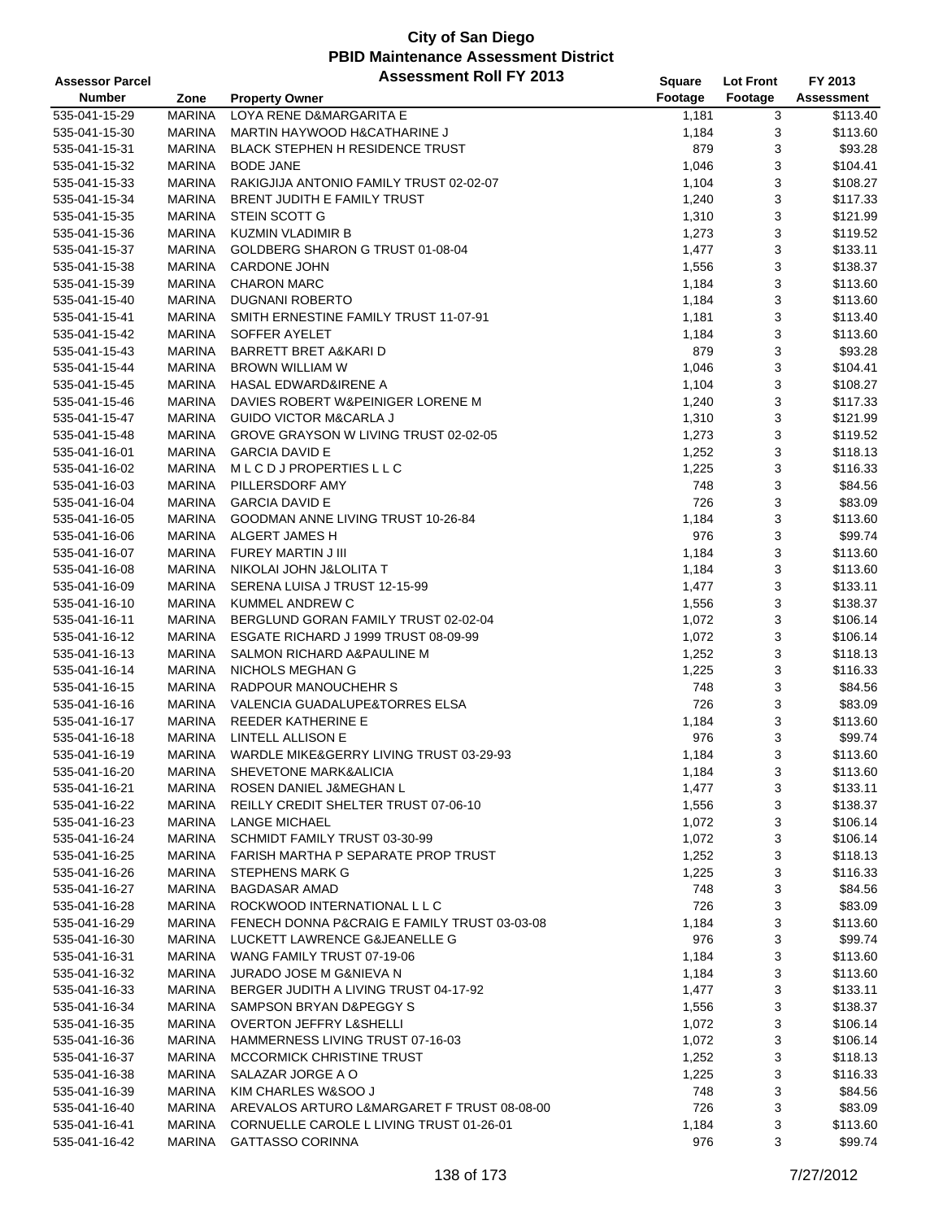| <b>Assessor Parcel</b> |               | <b>Assessment Roll FY 2013</b>               | <b>Square</b> | <b>Lot Front</b> | FY 2013    |
|------------------------|---------------|----------------------------------------------|---------------|------------------|------------|
| <b>Number</b>          | Zone          | <b>Property Owner</b>                        | Footage       | Footage          | Assessment |
| 535-041-15-29          | <b>MARINA</b> | LOYA RENE D&MARGARITA E                      | 1,181         | 3                | \$113.40   |
| 535-041-15-30          | <b>MARINA</b> | MARTIN HAYWOOD H&CATHARINE J                 | 1,184         | 3                | \$113.60   |
| 535-041-15-31          | <b>MARINA</b> | <b>BLACK STEPHEN H RESIDENCE TRUST</b>       | 879           | 3                | \$93.28    |
| 535-041-15-32          | <b>MARINA</b> | <b>BODE JANE</b>                             | 1,046         | 3                | \$104.41   |
| 535-041-15-33          | <b>MARINA</b> | RAKIGJIJA ANTONIO FAMILY TRUST 02-02-07      | 1,104         | 3                | \$108.27   |
| 535-041-15-34          | <b>MARINA</b> | <b>BRENT JUDITH E FAMILY TRUST</b>           | 1,240         | 3                | \$117.33   |
|                        | <b>MARINA</b> | STEIN SCOTT G                                |               | 3                | \$121.99   |
| 535-041-15-35          |               |                                              | 1,310         |                  |            |
| 535-041-15-36          | <b>MARINA</b> | <b>KUZMIN VLADIMIR B</b>                     | 1,273         | 3                | \$119.52   |
| 535-041-15-37          | <b>MARINA</b> | GOLDBERG SHARON G TRUST 01-08-04             | 1,477         | 3                | \$133.11   |
| 535-041-15-38          | <b>MARINA</b> | <b>CARDONE JOHN</b>                          | 1,556         | 3                | \$138.37   |
| 535-041-15-39          | <b>MARINA</b> | <b>CHARON MARC</b>                           | 1,184         | 3                | \$113.60   |
| 535-041-15-40          | <b>MARINA</b> | <b>DUGNANI ROBERTO</b>                       | 1,184         | 3                | \$113.60   |
| 535-041-15-41          | <b>MARINA</b> | SMITH ERNESTINE FAMILY TRUST 11-07-91        | 1,181         | 3                | \$113.40   |
| 535-041-15-42          | <b>MARINA</b> | SOFFER AYELET                                | 1,184         | 3                | \$113.60   |
| 535-041-15-43          | <b>MARINA</b> | <b>BARRETT BRET A&amp;KARI D</b>             | 879           | 3                | \$93.28    |
| 535-041-15-44          | <b>MARINA</b> | <b>BROWN WILLIAM W</b>                       | 1,046         | 3                | \$104.41   |
| 535-041-15-45          | <b>MARINA</b> | <b>HASAL EDWARD&amp;IRENE A</b>              | 1,104         | 3                | \$108.27   |
| 535-041-15-46          | <b>MARINA</b> | DAVIES ROBERT W&PEINIGER LORENE M            | 1,240         | 3                | \$117.33   |
| 535-041-15-47          | <b>MARINA</b> | <b>GUIDO VICTOR M&amp;CARLA J</b>            | 1,310         | 3                | \$121.99   |
| 535-041-15-48          | <b>MARINA</b> | GROVE GRAYSON W LIVING TRUST 02-02-05        | 1,273         | 3                | \$119.52   |
| 535-041-16-01          | <b>MARINA</b> | <b>GARCIA DAVID E</b>                        | 1,252         | 3                | \$118.13   |
| 535-041-16-02          | <b>MARINA</b> | MLCDJPROPERTIESLLC                           | 1,225         | 3                | \$116.33   |
| 535-041-16-03          | <b>MARINA</b> | PILLERSDORF AMY                              | 748           | 3                | \$84.56    |
| 535-041-16-04          | <b>MARINA</b> | <b>GARCIA DAVID E</b>                        | 726           | 3                | \$83.09    |
| 535-041-16-05          | <b>MARINA</b> | GOODMAN ANNE LIVING TRUST 10-26-84           | 1,184         | 3                | \$113.60   |
| 535-041-16-06          | <b>MARINA</b> | ALGERT JAMES H                               | 976           | 3                | \$99.74    |
| 535-041-16-07          | <b>MARINA</b> | FUREY MARTIN J III                           | 1,184         | 3                | \$113.60   |
| 535-041-16-08          | <b>MARINA</b> | NIKOLAI JOHN J&LOLITA T                      | 1,184         | 3                | \$113.60   |
| 535-041-16-09          | <b>MARINA</b> | SERENA LUISA J TRUST 12-15-99                | 1,477         | 3                | \$133.11   |
| 535-041-16-10          | <b>MARINA</b> | KUMMEL ANDREW C                              | 1,556         | 3                | \$138.37   |
| 535-041-16-11          | <b>MARINA</b> | BERGLUND GORAN FAMILY TRUST 02-02-04         | 1,072         | 3                | \$106.14   |
|                        |               |                                              |               |                  |            |
| 535-041-16-12          | <b>MARINA</b> | ESGATE RICHARD J 1999 TRUST 08-09-99         | 1,072         | 3                | \$106.14   |
| 535-041-16-13          | <b>MARINA</b> | SALMON RICHARD A&PAULINE M                   | 1,252         | 3                | \$118.13   |
| 535-041-16-14          | <b>MARINA</b> | <b>NICHOLS MEGHAN G</b>                      | 1,225         | 3                | \$116.33   |
| 535-041-16-15          | <b>MARINA</b> | RADPOUR MANOUCHEHR S                         | 748           | 3                | \$84.56    |
| 535-041-16-16          | <b>MARINA</b> | VALENCIA GUADALUPE&TORRES ELSA               | 726           | 3                | \$83.09    |
| 535-041-16-17          | <b>MARINA</b> | <b>REEDER KATHERINE E</b>                    | 1,184         | 3                | \$113.60   |
| 535-041-16-18          | <b>MARINA</b> | LINTELL ALLISON E                            | 976           | 3                | \$99.74    |
| 535-041-16-19          | <b>MARINA</b> | WARDLE MIKE&GERRY LIVING TRUST 03-29-93      | 1,184         | 3                | \$113.60   |
| 535-041-16-20          | MARINA        | <b>SHEVETONE MARK&amp;ALICIA</b>             | 1,184         | 3                | \$113.60   |
| 535-041-16-21          | MARINA        | ROSEN DANIEL J&MEGHAN L                      | 1,477         | 3                | \$133.11   |
| 535-041-16-22          | MARINA        | REILLY CREDIT SHELTER TRUST 07-06-10         | 1,556         | 3                | \$138.37   |
| 535-041-16-23          | MARINA        | <b>LANGE MICHAEL</b>                         | 1,072         | 3                | \$106.14   |
| 535-041-16-24          | <b>MARINA</b> | SCHMIDT FAMILY TRUST 03-30-99                | 1,072         | 3                | \$106.14   |
| 535-041-16-25          | MARINA        | <b>FARISH MARTHA P SEPARATE PROP TRUST</b>   | 1,252         | 3                | \$118.13   |
| 535-041-16-26          | MARINA        | STEPHENS MARK G                              | 1,225         | 3                | \$116.33   |
| 535-041-16-27          | <b>MARINA</b> | <b>BAGDASAR AMAD</b>                         | 748           | 3                | \$84.56    |
| 535-041-16-28          | MARINA        | ROCKWOOD INTERNATIONAL L L C                 | 726           | 3                | \$83.09    |
| 535-041-16-29          | MARINA        | FENECH DONNA P&CRAIG E FAMILY TRUST 03-03-08 | 1,184         | 3                | \$113.60   |
| 535-041-16-30          | <b>MARINA</b> | LUCKETT LAWRENCE G&JEANELLE G                | 976           | 3                | \$99.74    |
| 535-041-16-31          | MARINA        | WANG FAMILY TRUST 07-19-06                   | 1,184         | 3                | \$113.60   |
| 535-041-16-32          | MARINA        | JURADO JOSE M G&NIEVA N                      | 1,184         | 3                | \$113.60   |
| 535-041-16-33          | MARINA        | BERGER JUDITH A LIVING TRUST 04-17-92        | 1,477         | 3                | \$133.11   |
| 535-041-16-34          | MARINA        | SAMPSON BRYAN D&PEGGY S                      | 1,556         | 3                | \$138.37   |
| 535-041-16-35          | MARINA        | <b>OVERTON JEFFRY L&amp;SHELLI</b>           | 1,072         | 3                | \$106.14   |
| 535-041-16-36          | MARINA        | HAMMERNESS LIVING TRUST 07-16-03             | 1,072         | 3                | \$106.14   |
| 535-041-16-37          | MARINA        | MCCORMICK CHRISTINE TRUST                    | 1,252         | 3                | \$118.13   |
| 535-041-16-38          | <b>MARINA</b> | SALAZAR JORGE A O                            | 1,225         | 3                | \$116.33   |
| 535-041-16-39          | <b>MARINA</b> | KIM CHARLES W&SOO J                          | 748           | 3                | \$84.56    |
|                        |               | AREVALOS ARTURO L&MARGARET F TRUST 08-08-00  | 726           | 3                | \$83.09    |
| 535-041-16-40          | MARINA        |                                              |               |                  |            |
| 535-041-16-41          | <b>MARINA</b> | CORNUELLE CAROLE L LIVING TRUST 01-26-01     | 1,184         | 3                | \$113.60   |
| 535-041-16-42          | MARINA        | <b>GATTASSO CORINNA</b>                      | 976           | 3                | \$99.74    |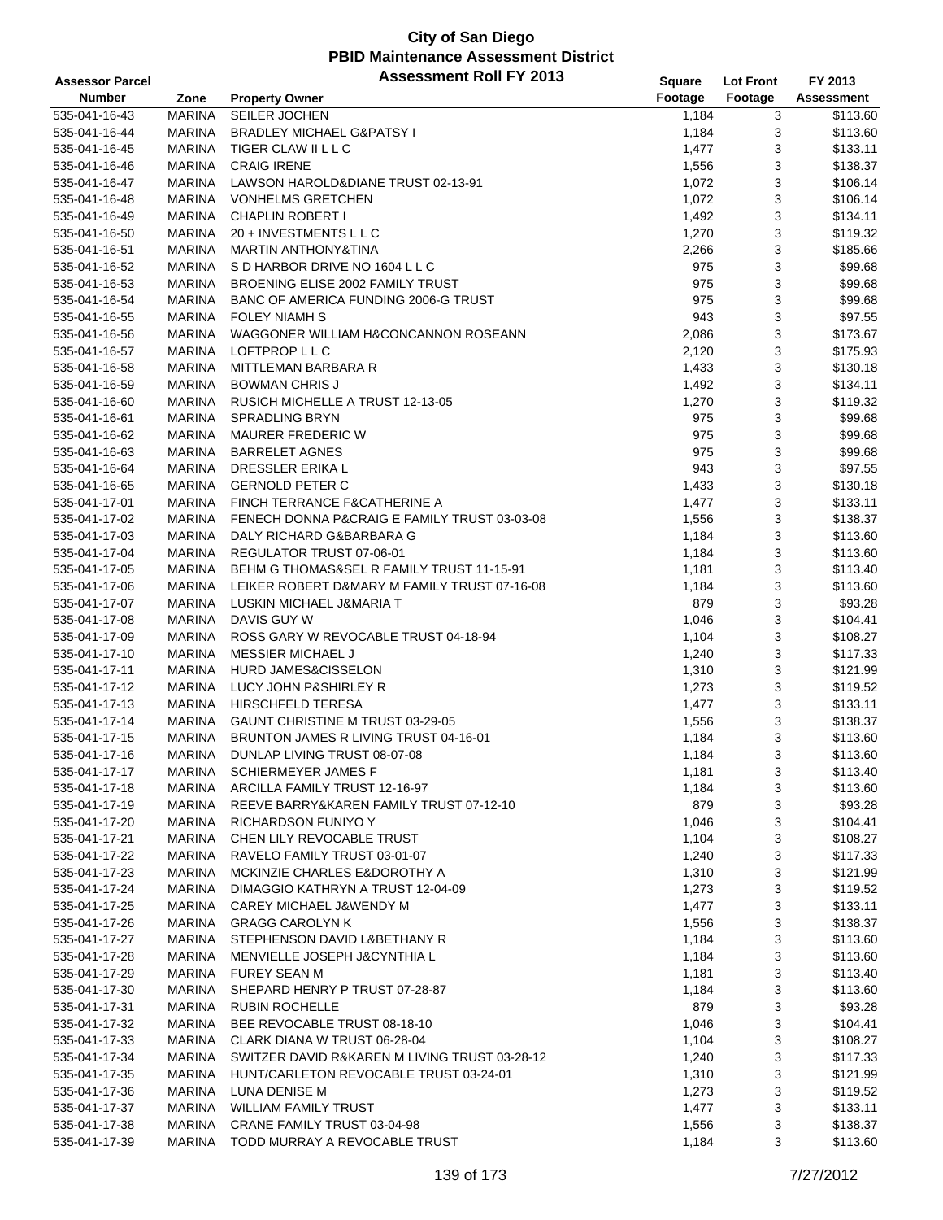| <b>Assessor Parcel</b> |               | <b>Assessment Roll FY 2013</b>                | Square  | <b>Lot Front</b> | FY 2013    |
|------------------------|---------------|-----------------------------------------------|---------|------------------|------------|
| <b>Number</b>          | Zone          | <b>Property Owner</b>                         | Footage | Footage          | Assessment |
| 535-041-16-43          | <b>MARINA</b> | SEILER JOCHEN                                 | 1,184   | 3                | \$113.60   |
| 535-041-16-44          | <b>MARINA</b> | <b>BRADLEY MICHAEL G&amp;PATSY I</b>          | 1,184   | 3                | \$113.60   |
| 535-041-16-45          | <b>MARINA</b> | TIGER CLAW II L L C                           | 1,477   | 3                | \$133.11   |
| 535-041-16-46          | <b>MARINA</b> | <b>CRAIG IRENE</b>                            | 1,556   | 3                | \$138.37   |
| 535-041-16-47          | <b>MARINA</b> | LAWSON HAROLD&DIANE TRUST 02-13-91            | 1,072   | 3                | \$106.14   |
| 535-041-16-48          | MARINA        | <b>VONHELMS GRETCHEN</b>                      | 1,072   | 3                | \$106.14   |
| 535-041-16-49          | MARINA        | <b>CHAPLIN ROBERT I</b>                       | 1,492   | 3                | \$134.11   |
| 535-041-16-50          | <b>MARINA</b> | 20 + INVESTMENTS L L C                        | 1,270   | 3                | \$119.32   |
| 535-041-16-51          | MARINA        | <b>MARTIN ANTHONY&amp;TINA</b>                | 2,266   | 3                | \$185.66   |
| 535-041-16-52          | <b>MARINA</b> | S D HARBOR DRIVE NO 1604 L L C                | 975     | 3                | \$99.68    |
| 535-041-16-53          | MARINA        | BROENING ELISE 2002 FAMILY TRUST              | 975     | 3                | \$99.68    |
| 535-041-16-54          | MARINA        | BANC OF AMERICA FUNDING 2006-G TRUST          | 975     | 3                | \$99.68    |
| 535-041-16-55          | MARINA        | <b>FOLEY NIAMH S</b>                          | 943     | 3                | \$97.55    |
| 535-041-16-56          | MARINA        | WAGGONER WILLIAM H&CONCANNON ROSEANN          | 2,086   | 3                | \$173.67   |
| 535-041-16-57          | <b>MARINA</b> | LOFTPROP L L C                                | 2,120   | 3                | \$175.93   |
| 535-041-16-58          | <b>MARINA</b> | MITTLEMAN BARBARA R                           | 1,433   | 3                | \$130.18   |
| 535-041-16-59          | MARINA        | <b>BOWMAN CHRIS J</b>                         | 1,492   | 3                | \$134.11   |
| 535-041-16-60          | MARINA        | RUSICH MICHELLE A TRUST 12-13-05              | 1,270   | 3                | \$119.32   |
| 535-041-16-61          | <b>MARINA</b> | <b>SPRADLING BRYN</b>                         | 975     | 3                | \$99.68    |
| 535-041-16-62          | MARINA        | <b>MAURER FREDERIC W</b>                      | 975     | 3                | \$99.68    |
| 535-041-16-63          | <b>MARINA</b> | <b>BARRELET AGNES</b>                         | 975     | 3                | \$99.68    |
| 535-041-16-64          | MARINA        | <b>DRESSLER ERIKA L</b>                       | 943     | 3                | \$97.55    |
| 535-041-16-65          | MARINA        | <b>GERNOLD PETER C</b>                        | 1,433   | 3                | \$130.18   |
| 535-041-17-01          | MARINA        | FINCH TERRANCE F&CATHERINE A                  | 1,477   | 3                | \$133.11   |
| 535-041-17-02          | <b>MARINA</b> | FENECH DONNA P&CRAIG E FAMILY TRUST 03-03-08  | 1,556   | 3                | \$138.37   |
| 535-041-17-03          | <b>MARINA</b> | DALY RICHARD G&BARBARA G                      | 1,184   | 3                | \$113.60   |
| 535-041-17-04          | MARINA        | REGULATOR TRUST 07-06-01                      | 1,184   | 3                | \$113.60   |
| 535-041-17-05          | MARINA        | BEHM G THOMAS&SEL R FAMILY TRUST 11-15-91     | 1,181   | 3                | \$113.40   |
| 535-041-17-06          | MARINA        | LEIKER ROBERT D&MARY M FAMILY TRUST 07-16-08  | 1,184   | 3                | \$113.60   |
| 535-041-17-07          | <b>MARINA</b> | LUSKIN MICHAEL J&MARIA T                      | 879     | 3                | \$93.28    |
| 535-041-17-08          | MARINA        | DAVIS GUY W                                   | 1,046   | 3                | \$104.41   |
| 535-041-17-09          | <b>MARINA</b> | ROSS GARY W REVOCABLE TRUST 04-18-94          | 1,104   | 3                | \$108.27   |
| 535-041-17-10          | <b>MARINA</b> | <b>MESSIER MICHAEL J</b>                      | 1,240   | 3                | \$117.33   |
| 535-041-17-11          | <b>MARINA</b> | <b>HURD JAMES&amp;CISSELON</b>                | 1,310   | 3                | \$121.99   |
| 535-041-17-12          | MARINA        | LUCY JOHN P&SHIRLEY R                         | 1,273   | 3                | \$119.52   |
| 535-041-17-13          | <b>MARINA</b> | <b>HIRSCHFELD TERESA</b>                      | 1,477   | 3                | \$133.11   |
| 535-041-17-14          | MARINA        | GAUNT CHRISTINE M TRUST 03-29-05              | 1,556   | 3                | \$138.37   |
| 535-041-17-15          | <b>MARINA</b> | BRUNTON JAMES R LIVING TRUST 04-16-01         | 1,184   | 3                | \$113.60   |
| 535-041-17-16          | <b>MARINA</b> | DUNLAP LIVING TRUST 08-07-08                  | 1,184   | 3                | \$113.60   |
| 535-041-17-17          | MARINA        | <b>SCHIERMEYER JAMES F</b>                    | 1,181   | 3                | \$113.40   |
| 535-041-17-18          | MARINA        | ARCILLA FAMILY TRUST 12-16-97                 | 1,184   | 3                | \$113.60   |
| 535-041-17-19          | MARINA        | REEVE BARRY&KAREN FAMILY TRUST 07-12-10       | 879     | 3                | \$93.28    |
| 535-041-17-20          | MARINA        | <b>RICHARDSON FUNIYO Y</b>                    | 1,046   | 3                | \$104.41   |
| 535-041-17-21          | MARINA        | CHEN LILY REVOCABLE TRUST                     | 1,104   | 3                | \$108.27   |
| 535-041-17-22          | MARINA        | RAVELO FAMILY TRUST 03-01-07                  | 1,240   | 3                | \$117.33   |
| 535-041-17-23          | MARINA        | MCKINZIE CHARLES E&DOROTHY A                  | 1,310   | 3                | \$121.99   |
| 535-041-17-24          | MARINA        | DIMAGGIO KATHRYN A TRUST 12-04-09             | 1,273   | 3                | \$119.52   |
| 535-041-17-25          | MARINA        | CAREY MICHAEL J&WENDY M                       | 1,477   | 3                | \$133.11   |
| 535-041-17-26          | MARINA        | <b>GRAGG CAROLYN K</b>                        | 1,556   | 3                | \$138.37   |
| 535-041-17-27          | MARINA        | STEPHENSON DAVID L&BETHANY R                  | 1,184   | 3                | \$113.60   |
| 535-041-17-28          | MARINA        | MENVIELLE JOSEPH J&CYNTHIA L                  | 1,184   | 3                | \$113.60   |
| 535-041-17-29          | MARINA        | <b>FUREY SEAN M</b>                           | 1,181   | 3                | \$113.40   |
| 535-041-17-30          | MARINA        | SHEPARD HENRY P TRUST 07-28-87                | 1,184   | 3                | \$113.60   |
| 535-041-17-31          | MARINA        | <b>RUBIN ROCHELLE</b>                         | 879     | 3                | \$93.28    |
| 535-041-17-32          | MARINA        | BEE REVOCABLE TRUST 08-18-10                  | 1,046   | 3                | \$104.41   |
| 535-041-17-33          | MARINA        | CLARK DIANA W TRUST 06-28-04                  | 1,104   | 3                | \$108.27   |
| 535-041-17-34          | MARINA        | SWITZER DAVID R&KAREN M LIVING TRUST 03-28-12 | 1,240   | 3                | \$117.33   |
| 535-041-17-35          | MARINA        | HUNT/CARLETON REVOCABLE TRUST 03-24-01        | 1,310   | 3                | \$121.99   |
| 535-041-17-36          | MARINA        | LUNA DENISE M                                 | 1,273   | 3                | \$119.52   |
| 535-041-17-37          | MARINA        | <b>WILLIAM FAMILY TRUST</b>                   | 1,477   | 3                | \$133.11   |
| 535-041-17-38          | MARINA        | CRANE FAMILY TRUST 03-04-98                   | 1,556   | 3                | \$138.37   |
| 535-041-17-39          | MARINA        | TODD MURRAY A REVOCABLE TRUST                 | 1,184   | 3                | \$113.60   |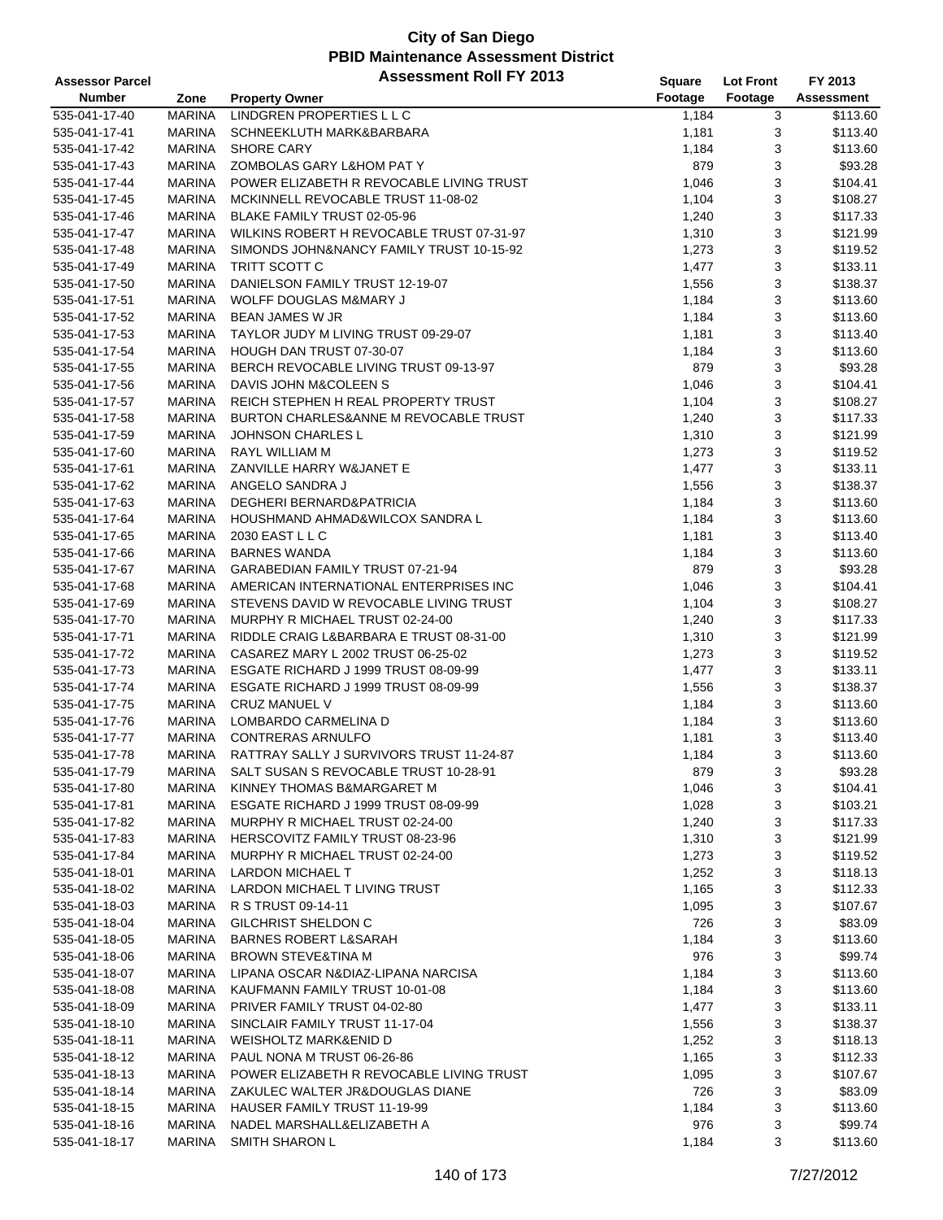| <b>Assessor Parcel</b> |               | <b>Assessment Roll FY 2013</b>            | Square  | <b>Lot Front</b> | FY 2013    |
|------------------------|---------------|-------------------------------------------|---------|------------------|------------|
| <b>Number</b>          | Zone          | <b>Property Owner</b>                     | Footage | Footage          | Assessment |
| 535-041-17-40          | <b>MARINA</b> | LINDGREN PROPERTIES L L C                 | 1,184   | 3                | \$113.60   |
| 535-041-17-41          | <b>MARINA</b> | SCHNEEKLUTH MARK&BARBARA                  | 1,181   | 3                | \$113.40   |
| 535-041-17-42          | <b>MARINA</b> | <b>SHORE CARY</b>                         | 1,184   | 3                | \$113.60   |
| 535-041-17-43          | <b>MARINA</b> | ZOMBOLAS GARY L&HOM PAT Y                 | 879     | 3                | \$93.28    |
| 535-041-17-44          | <b>MARINA</b> | POWER ELIZABETH R REVOCABLE LIVING TRUST  | 1,046   | 3                | \$104.41   |
| 535-041-17-45          | MARINA        | MCKINNELL REVOCABLE TRUST 11-08-02        | 1,104   | 3                | \$108.27   |
| 535-041-17-46          | MARINA        | BLAKE FAMILY TRUST 02-05-96               | 1,240   | 3                | \$117.33   |
| 535-041-17-47          | <b>MARINA</b> | WILKINS ROBERT H REVOCABLE TRUST 07-31-97 | 1,310   | 3                | \$121.99   |
| 535-041-17-48          | <b>MARINA</b> | SIMONDS JOHN&NANCY FAMILY TRUST 10-15-92  | 1,273   | 3                | \$119.52   |
| 535-041-17-49          | <b>MARINA</b> | TRITT SCOTT C                             | 1,477   | 3                | \$133.11   |
| 535-041-17-50          | MARINA        | DANIELSON FAMILY TRUST 12-19-07           | 1,556   | 3                | \$138.37   |
| 535-041-17-51          | MARINA        | WOLFF DOUGLAS M&MARY J                    | 1,184   | 3                | \$113.60   |
| 535-041-17-52          | MARINA        | <b>BEAN JAMES W JR</b>                    | 1,184   | 3                | \$113.60   |
| 535-041-17-53          | <b>MARINA</b> | TAYLOR JUDY M LIVING TRUST 09-29-07       | 1,181   | 3                | \$113.40   |
| 535-041-17-54          | <b>MARINA</b> | HOUGH DAN TRUST 07-30-07                  | 1,184   | 3                | \$113.60   |
| 535-041-17-55          | <b>MARINA</b> | BERCH REVOCABLE LIVING TRUST 09-13-97     | 879     | 3                | \$93.28    |
| 535-041-17-56          | MARINA        | DAVIS JOHN M&COLEEN S                     | 1,046   | 3                | \$104.41   |
| 535-041-17-57          | MARINA        | REICH STEPHEN H REAL PROPERTY TRUST       | 1,104   | 3                | \$108.27   |
| 535-041-17-58          | <b>MARINA</b> | BURTON CHARLES&ANNE M REVOCABLE TRUST     | 1,240   | 3                | \$117.33   |
| 535-041-17-59          | <b>MARINA</b> | <b>JOHNSON CHARLES L</b>                  | 1,310   | 3                | \$121.99   |
| 535-041-17-60          | <b>MARINA</b> | RAYL WILLIAM M                            | 1,273   | 3                | \$119.52   |
| 535-041-17-61          | MARINA        | ZANVILLE HARRY W&JANET E                  | 1,477   | 3                | \$133.11   |
| 535-041-17-62          | MARINA        | ANGELO SANDRA J                           | 1,556   | 3                | \$138.37   |
| 535-041-17-63          | MARINA        | DEGHERI BERNARD&PATRICIA                  | 1,184   | 3                | \$113.60   |
| 535-041-17-64          | <b>MARINA</b> | HOUSHMAND AHMAD&WILCOX SANDRA L           | 1,184   | 3                | \$113.60   |
| 535-041-17-65          | <b>MARINA</b> | 2030 EAST L L C                           | 1,181   | 3                | \$113.40   |
| 535-041-17-66          | <b>MARINA</b> | <b>BARNES WANDA</b>                       | 1,184   | 3                | \$113.60   |
| 535-041-17-67          | MARINA        | GARABEDIAN FAMILY TRUST 07-21-94          | 879     | 3                | \$93.28    |
| 535-041-17-68          | MARINA        | AMERICAN INTERNATIONAL ENTERPRISES INC    | 1,046   | 3                | \$104.41   |
| 535-041-17-69          | <b>MARINA</b> | STEVENS DAVID W REVOCABLE LIVING TRUST    | 1,104   | 3                | \$108.27   |
| 535-041-17-70          | MARINA        | MURPHY R MICHAEL TRUST 02-24-00           | 1,240   | 3                | \$117.33   |
| 535-041-17-71          | <b>MARINA</b> | RIDDLE CRAIG L&BARBARA E TRUST 08-31-00   | 1,310   | 3                | \$121.99   |
| 535-041-17-72          | <b>MARINA</b> | CASAREZ MARY L 2002 TRUST 06-25-02        | 1,273   | 3                | \$119.52   |
| 535-041-17-73          | <b>MARINA</b> | ESGATE RICHARD J 1999 TRUST 08-09-99      | 1,477   | 3                | \$133.11   |
| 535-041-17-74          | <b>MARINA</b> | ESGATE RICHARD J 1999 TRUST 08-09-99      | 1,556   | 3                | \$138.37   |
| 535-041-17-75          | MARINA        | <b>CRUZ MANUEL V</b>                      | 1,184   | 3                | \$113.60   |
| 535-041-17-76          | MARINA        | LOMBARDO CARMELINA D                      | 1,184   | 3                | \$113.60   |
| 535-041-17-77          | <b>MARINA</b> | <b>CONTRERAS ARNULFO</b>                  | 1,181   | 3                | \$113.40   |
| 535-041-17-78          | <b>MARINA</b> | RATTRAY SALLY J SURVIVORS TRUST 11-24-87  | 1,184   | 3                | \$113.60   |
| 535-041-17-79          | MARINA        | SALT SUSAN S REVOCABLE TRUST 10-28-91     | 879     | 3                | \$93.28    |
| 535-041-17-80          | MARINA        | KINNEY THOMAS B&MARGARET M                | 1,046   | 3                | \$104.41   |
| 535-041-17-81          | MARINA        | ESGATE RICHARD J 1999 TRUST 08-09-99      | 1,028   | 3                | \$103.21   |
| 535-041-17-82          | MARINA        | MURPHY R MICHAEL TRUST 02-24-00           | 1,240   | 3                | \$117.33   |
| 535-041-17-83          | MARINA        | HERSCOVITZ FAMILY TRUST 08-23-96          | 1,310   | 3                | \$121.99   |
| 535-041-17-84          | MARINA        | MURPHY R MICHAEL TRUST 02-24-00           | 1,273   | 3                | \$119.52   |
| 535-041-18-01          | MARINA        | LARDON MICHAEL T                          | 1,252   | 3                | \$118.13   |
| 535-041-18-02          | MARINA        | LARDON MICHAEL T LIVING TRUST             | 1,165   | 3                | \$112.33   |
| 535-041-18-03          | MARINA        | R S TRUST 09-14-11                        | 1,095   | 3                | \$107.67   |
| 535-041-18-04          | MARINA        | <b>GILCHRIST SHELDON C</b>                | 726     | 3                | \$83.09    |
| 535-041-18-05          | MARINA        | <b>BARNES ROBERT L&amp;SARAH</b>          | 1,184   | 3                | \$113.60   |
| 535-041-18-06          | MARINA        | <b>BROWN STEVE&amp;TINA M</b>             | 976     | 3                | \$99.74    |
| 535-041-18-07          | MARINA        | LIPANA OSCAR N&DIAZ-LIPANA NARCISA        | 1,184   | 3                | \$113.60   |
| 535-041-18-08          | MARINA        | KAUFMANN FAMILY TRUST 10-01-08            | 1,184   | 3                | \$113.60   |
| 535-041-18-09          | MARINA        | PRIVER FAMILY TRUST 04-02-80              | 1,477   | 3                | \$133.11   |
| 535-041-18-10          | MARINA        | SINCLAIR FAMILY TRUST 11-17-04            | 1,556   | 3                | \$138.37   |
| 535-041-18-11          | MARINA        | WEISHOLTZ MARK&ENID D                     | 1,252   | 3                | \$118.13   |
| 535-041-18-12          | MARINA        | PAUL NONA M TRUST 06-26-86                | 1,165   | 3                | \$112.33   |
| 535-041-18-13          | MARINA        | POWER ELIZABETH R REVOCABLE LIVING TRUST  | 1,095   | 3                | \$107.67   |
| 535-041-18-14          | MARINA        | ZAKULEC WALTER JR&DOUGLAS DIANE           | 726     | 3                | \$83.09    |
| 535-041-18-15          | MARINA        | HAUSER FAMILY TRUST 11-19-99              | 1,184   | 3                | \$113.60   |
| 535-041-18-16          | MARINA        | NADEL MARSHALL&ELIZABETH A                | 976     | 3                | \$99.74    |
| 535-041-18-17          | MARINA        | <b>SMITH SHARON L</b>                     | 1,184   | 3                | \$113.60   |
|                        |               |                                           |         |                  |            |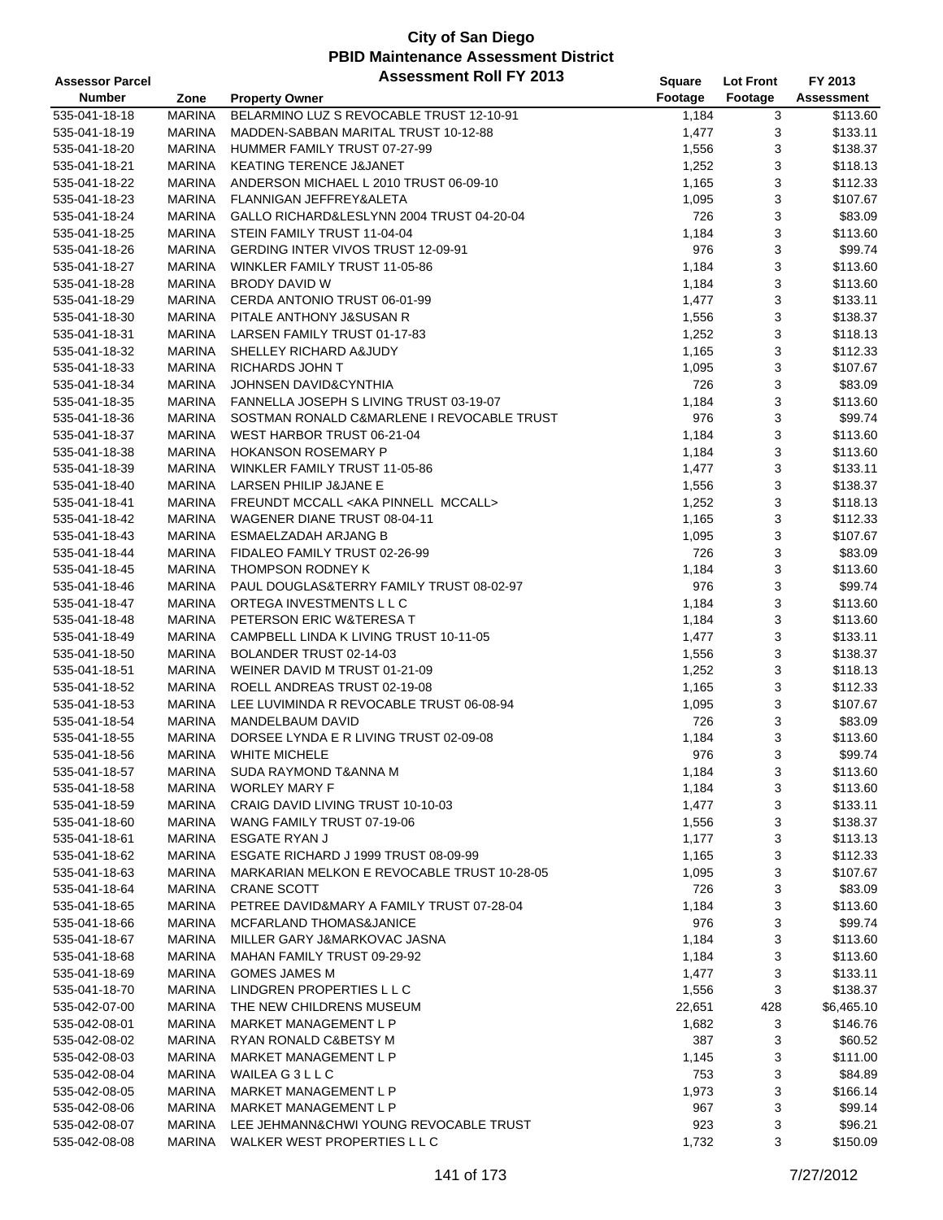| <b>Assessor Parcel</b> |               | <b>Assessment Roll FY 2013</b>                  | <b>Square</b> | <b>Lot Front</b> | FY 2013    |
|------------------------|---------------|-------------------------------------------------|---------------|------------------|------------|
| <b>Number</b>          | Zone          | <b>Property Owner</b>                           | Footage       | Footage          | Assessment |
| 535-041-18-18          | <b>MARINA</b> | BELARMINO LUZ S REVOCABLE TRUST 12-10-91        | 1,184         | 3                | \$113.60   |
| 535-041-18-19          | <b>MARINA</b> | MADDEN-SABBAN MARITAL TRUST 10-12-88            | 1,477         | 3                | \$133.11   |
| 535-041-18-20          | <b>MARINA</b> | HUMMER FAMILY TRUST 07-27-99                    | 1,556         | 3                | \$138.37   |
| 535-041-18-21          | <b>MARINA</b> | <b>KEATING TERENCE J&amp;JANET</b>              | 1,252         | 3                | \$118.13   |
| 535-041-18-22          | <b>MARINA</b> | ANDERSON MICHAEL L 2010 TRUST 06-09-10          | 1,165         | 3                | \$112.33   |
| 535-041-18-23          | MARINA        | FLANNIGAN JEFFREY&ALETA                         | 1,095         | 3                | \$107.67   |
| 535-041-18-24          | MARINA        | GALLO RICHARD&LESLYNN 2004 TRUST 04-20-04       | 726           | 3                | \$83.09    |
| 535-041-18-25          | MARINA        | STEIN FAMILY TRUST 11-04-04                     | 1,184         | 3                | \$113.60   |
| 535-041-18-26          | MARINA        | <b>GERDING INTER VIVOS TRUST 12-09-91</b>       | 976           | 3                | \$99.74    |
| 535-041-18-27          | MARINA        | WINKLER FAMILY TRUST 11-05-86                   | 1,184         | 3                | \$113.60   |
| 535-041-18-28          | MARINA        | BRODY DAVID W                                   | 1,184         | 3                | \$113.60   |
| 535-041-18-29          | MARINA        | CERDA ANTONIO TRUST 06-01-99                    | 1,477         | 3                | \$133.11   |
| 535-041-18-30          | MARINA        | PITALE ANTHONY J&SUSAN R                        | 1,556         | 3                | \$138.37   |
| 535-041-18-31          | MARINA        | LARSEN FAMILY TRUST 01-17-83                    | 1,252         | 3                | \$118.13   |
| 535-041-18-32          | MARINA        | SHELLEY RICHARD A&JUDY                          | 1,165         | 3                | \$112.33   |
| 535-041-18-33          | MARINA        | <b>RICHARDS JOHN T</b>                          | 1,095         | 3                | \$107.67   |
| 535-041-18-34          | MARINA        | <b>JOHNSEN DAVID&amp;CYNTHIA</b>                | 726           | 3                | \$83.09    |
| 535-041-18-35          | MARINA        | FANNELLA JOSEPH S LIVING TRUST 03-19-07         | 1,184         | 3                | \$113.60   |
| 535-041-18-36          | <b>MARINA</b> | SOSTMAN RONALD C&MARLENE I REVOCABLE TRUST      | 976           | 3                | \$99.74    |
| 535-041-18-37          | MARINA        | WEST HARBOR TRUST 06-21-04                      | 1,184         | 3                | \$113.60   |
| 535-041-18-38          | <b>MARINA</b> | <b>HOKANSON ROSEMARY P</b>                      | 1,184         | 3                | \$113.60   |
| 535-041-18-39          | MARINA        | WINKLER FAMILY TRUST 11-05-86                   | 1,477         | 3                | \$133.11   |
| 535-041-18-40          | MARINA        | LARSEN PHILIP J&JANE E                          | 1,556         | 3                | \$138.37   |
| 535-041-18-41          | MARINA        | FREUNDT MCCALL <aka mccall="" pinnell=""></aka> | 1,252         | 3                | \$118.13   |
| 535-041-18-42          | MARINA        | WAGENER DIANE TRUST 08-04-11                    | 1,165         | 3                | \$112.33   |
| 535-041-18-43          | MARINA        | ESMAELZADAH ARJANG B                            | 1,095         | 3                | \$107.67   |
| 535-041-18-44          | MARINA        | FIDALEO FAMILY TRUST 02-26-99                   | 726           | 3                | \$83.09    |
| 535-041-18-45          | MARINA        | THOMPSON RODNEY K                               | 1,184         | 3                | \$113.60   |
| 535-041-18-46          | MARINA        | PAUL DOUGLAS&TERRY FAMILY TRUST 08-02-97        | 976           | 3                | \$99.74    |
| 535-041-18-47          | <b>MARINA</b> | ORTEGA INVESTMENTS L L C                        | 1,184         | 3                | \$113.60   |
| 535-041-18-48          | MARINA        | PETERSON ERIC W&TERESA T                        | 1,184         | 3                | \$113.60   |
| 535-041-18-49          | <b>MARINA</b> | CAMPBELL LINDA K LIVING TRUST 10-11-05          | 1,477         | 3                | \$133.11   |
| 535-041-18-50          | <b>MARINA</b> | BOLANDER TRUST 02-14-03                         | 1,556         | 3                | \$138.37   |
| 535-041-18-51          | <b>MARINA</b> | WEINER DAVID M TRUST 01-21-09                   | 1,252         | 3                | \$118.13   |
| 535-041-18-52          | MARINA        | ROELL ANDREAS TRUST 02-19-08                    | 1,165         | 3                | \$112.33   |
| 535-041-18-53          | MARINA        | LEE LUVIMINDA R REVOCABLE TRUST 06-08-94        | 1,095         | 3                | \$107.67   |
| 535-041-18-54          | MARINA        | MANDELBAUM DAVID                                | 726           | 3                | \$83.09    |
| 535-041-18-55          | <b>MARINA</b> | DORSEE LYNDA E R LIVING TRUST 02-09-08          | 1,184         | 3                | \$113.60   |
| 535-041-18-56          | MARINA        | <b>WHITE MICHELE</b>                            | 976           | 3                | \$99.74    |
| 535-041-18-57          | MARINA        | SUDA RAYMOND T&ANNA M                           | 1,184         | 3                | \$113.60   |
| 535-041-18-58          | MARINA        | <b>WORLEY MARY F</b>                            | 1,184         | 3                | \$113.60   |
| 535-041-18-59          | MARINA        | CRAIG DAVID LIVING TRUST 10-10-03               | 1,477         | 3                | \$133.11   |
| 535-041-18-60          | MARINA        | WANG FAMILY TRUST 07-19-06                      | 1,556         | 3                | \$138.37   |
| 535-041-18-61          | MARINA        | <b>ESGATE RYAN J</b>                            | 1,177         | 3                | \$113.13   |
| 535-041-18-62          | MARINA        | ESGATE RICHARD J 1999 TRUST 08-09-99            | 1,165         | 3                | \$112.33   |
| 535-041-18-63          | MARINA        | MARKARIAN MELKON E REVOCABLE TRUST 10-28-05     | 1,095         | 3                | \$107.67   |
| 535-041-18-64          | MARINA        | <b>CRANE SCOTT</b>                              | 726           | 3                | \$83.09    |
| 535-041-18-65          | <b>MARINA</b> | PETREE DAVID&MARY A FAMILY TRUST 07-28-04       | 1,184         | 3                | \$113.60   |
| 535-041-18-66          | MARINA        | MCFARLAND THOMAS&JANICE                         | 976           | 3                | \$99.74    |
| 535-041-18-67          | <b>MARINA</b> | MILLER GARY J&MARKOVAC JASNA                    | 1,184         | 3                | \$113.60   |
| 535-041-18-68          | MARINA        | MAHAN FAMILY TRUST 09-29-92                     | 1,184         | 3                | \$113.60   |
| 535-041-18-69          | MARINA        | <b>GOMES JAMES M</b>                            | 1,477         | 3                | \$133.11   |
| 535-041-18-70          | MARINA        | LINDGREN PROPERTIES L L C                       | 1,556         | 3                | \$138.37   |
| 535-042-07-00          | <b>MARINA</b> | THE NEW CHILDRENS MUSEUM                        | 22,651        | 428              | \$6,465.10 |
| 535-042-08-01          | MARINA        | MARKET MANAGEMENT L P                           | 1,682         | 3                | \$146.76   |
| 535-042-08-02          | MARINA        | RYAN RONALD C&BETSY M                           | 387           | 3                | \$60.52    |
| 535-042-08-03          | MARINA        | MARKET MANAGEMENT L P                           | 1,145         | 3                | \$111.00   |
| 535-042-08-04          | MARINA        | WAILEA G3LLC                                    | 753           | 3                | \$84.89    |
| 535-042-08-05          | MARINA        | MARKET MANAGEMENT L P                           | 1,973         | 3                | \$166.14   |
| 535-042-08-06          | MARINA        | MARKET MANAGEMENT L P                           | 967           | 3                | \$99.14    |
| 535-042-08-07          | MARINA        | LEE JEHMANN&CHWI YOUNG REVOCABLE TRUST          | 923           | 3                | \$96.21    |
| 535-042-08-08          | MARINA        | WALKER WEST PROPERTIES L L C                    | 1,732         | 3                | \$150.09   |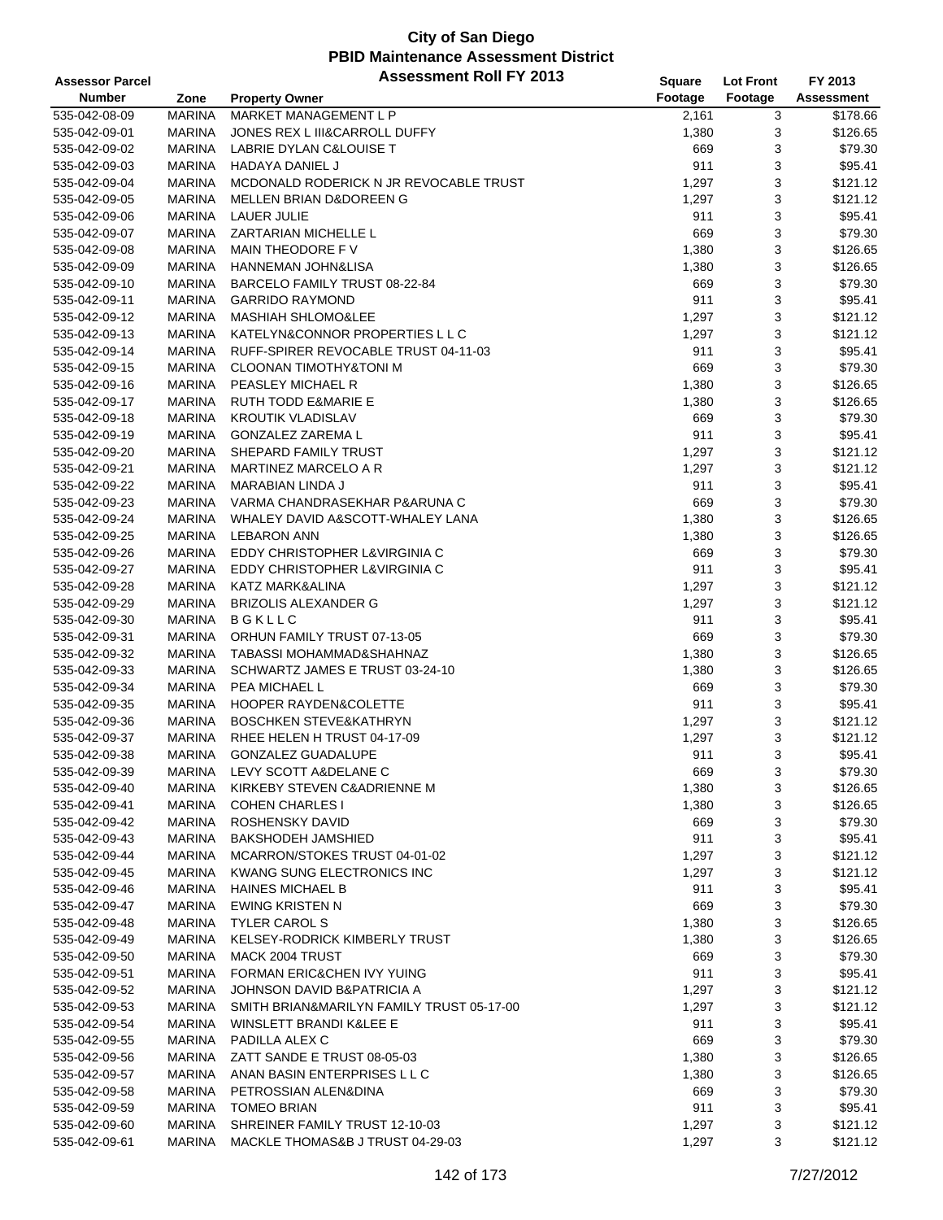| <b>Assessor Parcel</b> |               | <b>Assessment Roll FY 2013</b>            | <b>Square</b>      | <b>Lot Front</b> | FY 2013           |
|------------------------|---------------|-------------------------------------------|--------------------|------------------|-------------------|
| <b>Number</b>          | Zone          | <b>Property Owner</b>                     | Footage            | Footage          | <b>Assessment</b> |
| 535-042-08-09          | <b>MARINA</b> | MARKET MANAGEMENT L P                     | $\overline{2,}161$ | 3                | \$178.66          |
| 535-042-09-01          | <b>MARINA</b> | JONES REX L III&CARROLL DUFFY             | 1,380              | 3                | \$126.65          |
| 535-042-09-02          | <b>MARINA</b> | LABRIE DYLAN C&LOUISE T                   | 669                | 3                | \$79.30           |
| 535-042-09-03          | <b>MARINA</b> | HADAYA DANIEL J                           | 911                | 3                | \$95.41           |
| 535-042-09-04          | <b>MARINA</b> | MCDONALD RODERICK N JR REVOCABLE TRUST    | 1,297              | 3                | \$121.12          |
| 535-042-09-05          | <b>MARINA</b> | MELLEN BRIAN D&DOREEN G                   | 1,297              | 3                | \$121.12          |
| 535-042-09-06          | <b>MARINA</b> | LAUER JULIE                               | 911                | 3                | \$95.41           |
| 535-042-09-07          | <b>MARINA</b> | <b>ZARTARIAN MICHELLE L</b>               | 669                | 3                | \$79.30           |
| 535-042-09-08          | <b>MARINA</b> | MAIN THEODORE F V                         | 1,380              | 3                | \$126.65          |
| 535-042-09-09          | <b>MARINA</b> | <b>HANNEMAN JOHN&amp;LISA</b>             | 1,380              | 3                | \$126.65          |
| 535-042-09-10          | <b>MARINA</b> | BARCELO FAMILY TRUST 08-22-84             | 669                | 3                | \$79.30           |
| 535-042-09-11          | <b>MARINA</b> | <b>GARRIDO RAYMOND</b>                    | 911                | 3                | \$95.41           |
| 535-042-09-12          | <b>MARINA</b> | <b>MASHIAH SHLOMO&amp;LEE</b>             | 1,297              | 3                | \$121.12          |
| 535-042-09-13          | <b>MARINA</b> | KATELYN&CONNOR PROPERTIES L L C           | 1,297              | 3                | \$121.12          |
| 535-042-09-14          | <b>MARINA</b> | RUFF-SPIRER REVOCABLE TRUST 04-11-03      | 911                | 3                | \$95.41           |
| 535-042-09-15          | <b>MARINA</b> | <b>CLOONAN TIMOTHY&amp;TONI M</b>         | 669                | 3                | \$79.30           |
| 535-042-09-16          | <b>MARINA</b> | PEASLEY MICHAEL R                         | 1,380              | 3                | \$126.65          |
| 535-042-09-17          | <b>MARINA</b> | <b>RUTH TODD E&amp;MARIE E</b>            | 1,380              | 3                | \$126.65          |
| 535-042-09-18          | <b>MARINA</b> | <b>KROUTIK VLADISLAV</b>                  | 669                | 3                | \$79.30           |
| 535-042-09-19          | <b>MARINA</b> | <b>GONZALEZ ZAREMA L</b>                  | 911                | 3                | \$95.41           |
| 535-042-09-20          | <b>MARINA</b> | SHEPARD FAMILY TRUST                      | 1,297              | 3                | \$121.12          |
| 535-042-09-21          | <b>MARINA</b> | MARTINEZ MARCELO A R                      | 1,297              | 3                | \$121.12          |
| 535-042-09-22          | <b>MARINA</b> | <b>MARABIAN LINDA J</b>                   | 911                | 3                | \$95.41           |
| 535-042-09-23          | <b>MARINA</b> | VARMA CHANDRASEKHAR P&ARUNA C             | 669                | 3                | \$79.30           |
| 535-042-09-24          | <b>MARINA</b> | WHALEY DAVID A&SCOTT-WHALEY LANA          | 1,380              | 3                | \$126.65          |
| 535-042-09-25          | <b>MARINA</b> | <b>LEBARON ANN</b>                        | 1,380              | 3                | \$126.65          |
| 535-042-09-26          | <b>MARINA</b> | EDDY CHRISTOPHER L&VIRGINIA C             | 669                | 3                | \$79.30           |
| 535-042-09-27          | <b>MARINA</b> | EDDY CHRISTOPHER L&VIRGINIA C             | 911                | 3                | \$95.41           |
| 535-042-09-28          | <b>MARINA</b> | KATZ MARK&ALINA                           | 1,297              | 3                | \$121.12          |
| 535-042-09-29          | <b>MARINA</b> | <b>BRIZOLIS ALEXANDER G</b>               | 1,297              | 3                | \$121.12          |
| 535-042-09-30          | <b>MARINA</b> | <b>BGKLLC</b>                             | 911                | 3                | \$95.41           |
| 535-042-09-31          | <b>MARINA</b> | ORHUN FAMILY TRUST 07-13-05               | 669                | 3                | \$79.30           |
| 535-042-09-32          | <b>MARINA</b> | TABASSI MOHAMMAD&SHAHNAZ                  | 1,380              | 3                | \$126.65          |
| 535-042-09-33          | <b>MARINA</b> | SCHWARTZ JAMES E TRUST 03-24-10           | 1,380              | 3                | \$126.65          |
| 535-042-09-34          | <b>MARINA</b> | PEA MICHAEL L                             | 669                | 3                | \$79.30           |
| 535-042-09-35          | <b>MARINA</b> | <b>HOOPER RAYDEN&amp;COLETTE</b>          | 911                | 3                | \$95.41           |
| 535-042-09-36          | <b>MARINA</b> | <b>BOSCHKEN STEVE&amp;KATHRYN</b>         | 1,297              | 3                | \$121.12          |
| 535-042-09-37          | <b>MARINA</b> | RHEE HELEN H TRUST 04-17-09               | 1,297              | 3                | \$121.12          |
| 535-042-09-38          | <b>MARINA</b> | <b>GONZALEZ GUADALUPE</b>                 | 911                | 3                | \$95.41           |
| 535-042-09-39          | <b>MARINA</b> | LEVY SCOTT A&DELANE C                     | 669                | 3                | \$79.30           |
| 535-042-09-40          | <b>MARINA</b> | KIRKEBY STEVEN C&ADRIENNE M               | 1,380              | 3                | \$126.65          |
| 535-042-09-41          | <b>MARINA</b> | <b>COHEN CHARLES I</b>                    | 1,380              | 3                | \$126.65          |
| 535-042-09-42          | <b>MARINA</b> | ROSHENSKY DAVID                           | 669                | 3                | \$79.30           |
| 535-042-09-43          | <b>MARINA</b> | <b>BAKSHODEH JAMSHIED</b>                 | 911                | 3                | \$95.41           |
| 535-042-09-44          | <b>MARINA</b> | MCARRON/STOKES TRUST 04-01-02             | 1,297              | 3                | \$121.12          |
| 535-042-09-45          | <b>MARINA</b> | KWANG SUNG ELECTRONICS INC                | 1,297              | 3                | \$121.12          |
| 535-042-09-46          | <b>MARINA</b> | <b>HAINES MICHAEL B</b>                   | 911                | 3                | \$95.41           |
| 535-042-09-47          | <b>MARINA</b> | <b>EWING KRISTEN N</b>                    | 669                | 3                | \$79.30           |
| 535-042-09-48          | <b>MARINA</b> | <b>TYLER CAROL S</b>                      | 1,380              | 3                | \$126.65          |
| 535-042-09-49          | <b>MARINA</b> | <b>KELSEY-RODRICK KIMBERLY TRUST</b>      | 1,380              | 3                | \$126.65          |
| 535-042-09-50          | <b>MARINA</b> | MACK 2004 TRUST                           | 669                | 3                | \$79.30           |
| 535-042-09-51          | <b>MARINA</b> | FORMAN ERIC&CHEN IVY YUING                | 911                | 3                | \$95.41           |
| 535-042-09-52          | <b>MARINA</b> | JOHNSON DAVID B&PATRICIA A                | 1,297              | 3                | \$121.12          |
| 535-042-09-53          | <b>MARINA</b> | SMITH BRIAN&MARILYN FAMILY TRUST 05-17-00 | 1,297              | 3                | \$121.12          |
| 535-042-09-54          | <b>MARINA</b> | WINSLETT BRANDI K&LEE E                   | 911                | 3                | \$95.41           |
| 535-042-09-55          | <b>MARINA</b> | PADILLA ALEX C                            | 669                | 3                | \$79.30           |
| 535-042-09-56          | <b>MARINA</b> | ZATT SANDE E TRUST 08-05-03               | 1,380              | 3                | \$126.65          |
| 535-042-09-57          | <b>MARINA</b> | ANAN BASIN ENTERPRISES L L C              | 1,380              | 3                | \$126.65          |
| 535-042-09-58          | <b>MARINA</b> | PETROSSIAN ALEN&DINA                      | 669                | 3                | \$79.30           |
| 535-042-09-59          | <b>MARINA</b> | <b>TOMEO BRIAN</b>                        | 911                | 3                | \$95.41           |
| 535-042-09-60          | <b>MARINA</b> | SHREINER FAMILY TRUST 12-10-03            | 1,297              | 3                | \$121.12          |
| 535-042-09-61          | <b>MARINA</b> | MACKLE THOMAS&B J TRUST 04-29-03          | 1,297              | 3                | \$121.12          |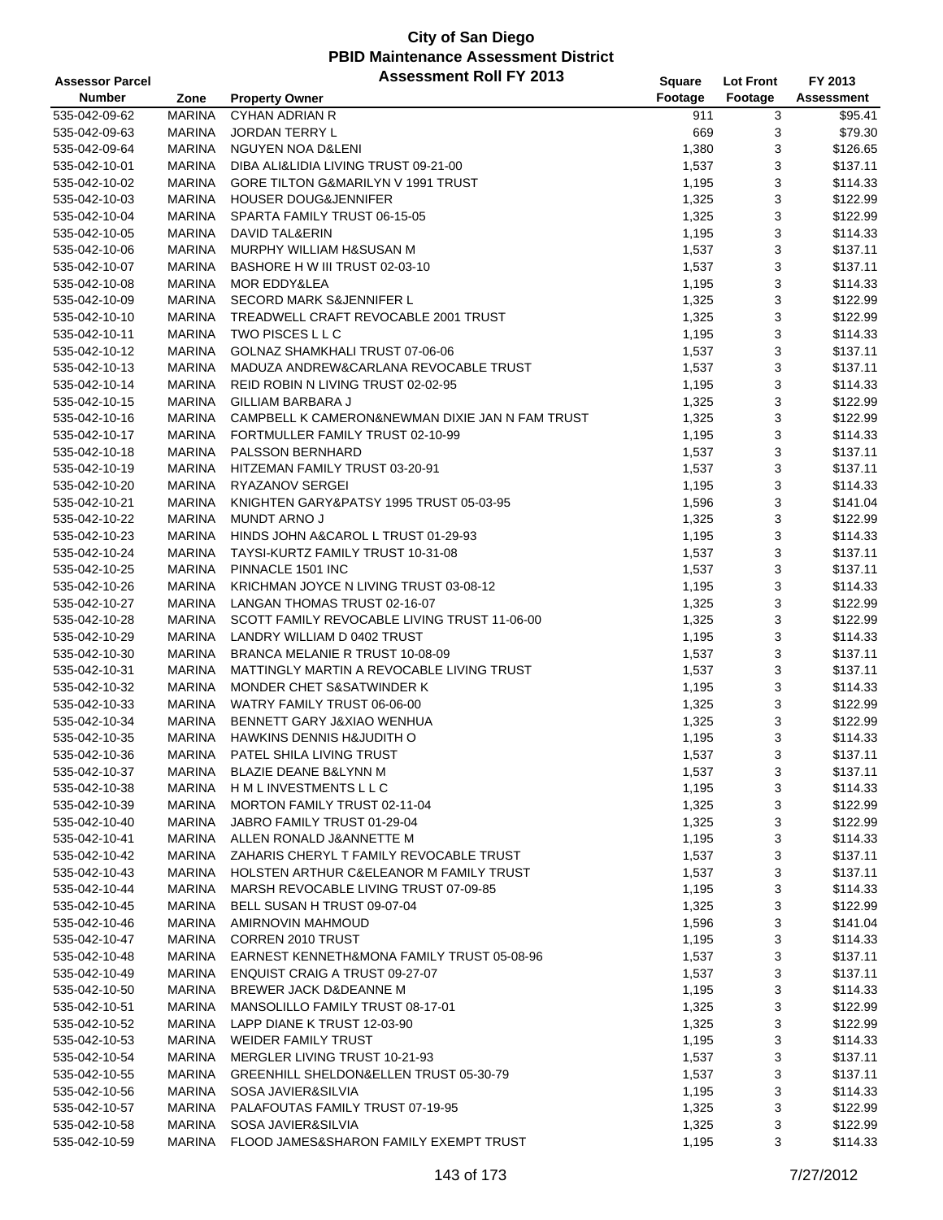| <b>Assessor Parcel</b> |               | <b>Assessment Roll FY 2013</b>                  | Square  | <b>Lot Front</b> | FY 2013    |
|------------------------|---------------|-------------------------------------------------|---------|------------------|------------|
| <b>Number</b>          | Zone          | <b>Property Owner</b>                           | Footage | Footage          | Assessment |
| 535-042-09-62          | <b>MARINA</b> | <b>CYHAN ADRIAN R</b>                           | 911     | 3                | \$95.41    |
| 535-042-09-63          | <b>MARINA</b> | <b>JORDAN TERRY L</b>                           | 669     | 3                | \$79.30    |
| 535-042-09-64          | <b>MARINA</b> | NGUYEN NOA D&LENI                               | 1,380   | 3                | \$126.65   |
| 535-042-10-01          | <b>MARINA</b> | DIBA ALI&LIDIA LIVING TRUST 09-21-00            | 1,537   | 3                | \$137.11   |
| 535-042-10-02          | <b>MARINA</b> | GORE TILTON G&MARILYN V 1991 TRUST              | 1,195   | 3                | \$114.33   |
| 535-042-10-03          | <b>MARINA</b> | <b>HOUSER DOUG&amp;JENNIFER</b>                 | 1,325   | 3                | \$122.99   |
| 535-042-10-04          | <b>MARINA</b> | SPARTA FAMILY TRUST 06-15-05                    | 1,325   | 3                | \$122.99   |
| 535-042-10-05          | <b>MARINA</b> | <b>DAVID TAL&amp;ERIN</b>                       | 1,195   | 3                | \$114.33   |
| 535-042-10-06          | <b>MARINA</b> | MURPHY WILLIAM H&SUSAN M                        | 1,537   | 3                | \$137.11   |
| 535-042-10-07          | <b>MARINA</b> | BASHORE H W III TRUST 02-03-10                  | 1,537   | 3                | \$137.11   |
| 535-042-10-08          | <b>MARINA</b> | <b>MOR EDDY&amp;LEA</b>                         | 1,195   | 3                | \$114.33   |
| 535-042-10-09          | <b>MARINA</b> | <b>SECORD MARK S&amp;JENNIFER L</b>             | 1,325   | 3                | \$122.99   |
| 535-042-10-10          | <b>MARINA</b> | TREADWELL CRAFT REVOCABLE 2001 TRUST            | 1,325   | 3                | \$122.99   |
| 535-042-10-11          | <b>MARINA</b> | TWO PISCES L L C                                | 1,195   | 3                | \$114.33   |
| 535-042-10-12          | <b>MARINA</b> | GOLNAZ SHAMKHALI TRUST 07-06-06                 | 1,537   | 3                | \$137.11   |
| 535-042-10-13          | <b>MARINA</b> | MADUZA ANDREW&CARLANA REVOCABLE TRUST           | 1,537   | 3                | \$137.11   |
| 535-042-10-14          | <b>MARINA</b> | REID ROBIN N LIVING TRUST 02-02-95              | 1,195   | 3                | \$114.33   |
| 535-042-10-15          | <b>MARINA</b> | <b>GILLIAM BARBARA J</b>                        | 1,325   | 3                | \$122.99   |
| 535-042-10-16          | <b>MARINA</b> | CAMPBELL K CAMERON&NEWMAN DIXIE JAN N FAM TRUST | 1,325   | 3                | \$122.99   |
| 535-042-10-17          | <b>MARINA</b> | FORTMULLER FAMILY TRUST 02-10-99                | 1,195   | 3                | \$114.33   |
| 535-042-10-18          | <b>MARINA</b> | <b>PALSSON BERNHARD</b>                         | 1,537   | 3                | \$137.11   |
| 535-042-10-19          | <b>MARINA</b> | HITZEMAN FAMILY TRUST 03-20-91                  | 1,537   | 3                | \$137.11   |
| 535-042-10-20          | <b>MARINA</b> | RYAZANOV SERGEI                                 | 1,195   | 3                | \$114.33   |
| 535-042-10-21          | <b>MARINA</b> | KNIGHTEN GARY&PATSY 1995 TRUST 05-03-95         | 1,596   | 3                | \$141.04   |
| 535-042-10-22          | <b>MARINA</b> | MUNDT ARNO J                                    | 1,325   | 3                | \$122.99   |
| 535-042-10-23          | <b>MARINA</b> | HINDS JOHN A&CAROL L TRUST 01-29-93             | 1,195   | 3                | \$114.33   |
| 535-042-10-24          | <b>MARINA</b> | TAYSI-KURTZ FAMILY TRUST 10-31-08               | 1,537   | 3                | \$137.11   |
| 535-042-10-25          | <b>MARINA</b> | PINNACLE 1501 INC                               | 1,537   | 3                | \$137.11   |
| 535-042-10-26          | <b>MARINA</b> | KRICHMAN JOYCE N LIVING TRUST 03-08-12          | 1,195   | 3                | \$114.33   |
| 535-042-10-27          | <b>MARINA</b> | LANGAN THOMAS TRUST 02-16-07                    | 1,325   | 3                | \$122.99   |
| 535-042-10-28          | <b>MARINA</b> | SCOTT FAMILY REVOCABLE LIVING TRUST 11-06-00    | 1,325   | 3                | \$122.99   |
| 535-042-10-29          | <b>MARINA</b> | LANDRY WILLIAM D 0402 TRUST                     | 1,195   | 3                | \$114.33   |
| 535-042-10-30          | <b>MARINA</b> | BRANCA MELANIE R TRUST 10-08-09                 | 1,537   | 3                | \$137.11   |
| 535-042-10-31          | <b>MARINA</b> | MATTINGLY MARTIN A REVOCABLE LIVING TRUST       | 1,537   | 3                | \$137.11   |
| 535-042-10-32          | MARINA        | <b>MONDER CHET S&amp;SATWINDER K</b>            | 1,195   | 3                | \$114.33   |
| 535-042-10-33          | MARINA        | WATRY FAMILY TRUST 06-06-00                     | 1,325   | 3                | \$122.99   |
| 535-042-10-34          | <b>MARINA</b> | BENNETT GARY J&XIAO WENHUA                      | 1,325   | 3                | \$122.99   |
| 535-042-10-35          | <b>MARINA</b> | <b>HAWKINS DENNIS H&amp;JUDITH O</b>            | 1,195   | 3                | \$114.33   |
| 535-042-10-36          | <b>MARINA</b> | <b>PATEL SHILA LIVING TRUST</b>                 | 1,537   | 3                | \$137.11   |
| 535-042-10-37          | MARINA        | BLAZIE DEANE B&LYNN M                           | 1,537   | 3                | \$137.11   |
| 535-042-10-38          | MARINA        | H M L INVESTMENTS L L C                         | 1,195   | 3                | \$114.33   |
| 535-042-10-39          | MARINA        | MORTON FAMILY TRUST 02-11-04                    | 1,325   | 3                | \$122.99   |
| 535-042-10-40          | MARINA        | JABRO FAMILY TRUST 01-29-04                     | 1,325   | 3                | \$122.99   |
| 535-042-10-41          | MARINA        | ALLEN RONALD J&ANNETTE M                        | 1,195   | 3                | \$114.33   |
| 535-042-10-42          | MARINA        | ZAHARIS CHERYL T FAMILY REVOCABLE TRUST         | 1,537   | 3                | \$137.11   |
| 535-042-10-43          | MARINA        | HOLSTEN ARTHUR C&ELEANOR M FAMILY TRUST         | 1,537   | 3                | \$137.11   |
| 535-042-10-44          | MARINA        | MARSH REVOCABLE LIVING TRUST 07-09-85           | 1,195   | 3                | \$114.33   |
| 535-042-10-45          | <b>MARINA</b> | BELL SUSAN H TRUST 09-07-04                     | 1,325   | 3                | \$122.99   |
| 535-042-10-46          | MARINA        | AMIRNOVIN MAHMOUD                               | 1,596   | 3                | \$141.04   |
| 535-042-10-47          | MARINA        | <b>CORREN 2010 TRUST</b>                        | 1,195   | 3                | \$114.33   |
| 535-042-10-48          | MARINA        | EARNEST KENNETH&MONA FAMILY TRUST 05-08-96      | 1,537   | 3                | \$137.11   |
| 535-042-10-49          | MARINA        | <b>ENQUIST CRAIG A TRUST 09-27-07</b>           | 1,537   | 3                | \$137.11   |
| 535-042-10-50          | MARINA        | BREWER JACK D&DEANNE M                          | 1,195   | 3                | \$114.33   |
| 535-042-10-51          | MARINA        | MANSOLILLO FAMILY TRUST 08-17-01                | 1,325   | 3                | \$122.99   |
| 535-042-10-52          | MARINA        | LAPP DIANE K TRUST 12-03-90                     | 1,325   | 3                | \$122.99   |
| 535-042-10-53          | MARINA        | WEIDER FAMILY TRUST                             | 1,195   | 3                | \$114.33   |
| 535-042-10-54          | MARINA        | MERGLER LIVING TRUST 10-21-93                   | 1,537   | 3                | \$137.11   |
| 535-042-10-55          | <b>MARINA</b> | GREENHILL SHELDON&ELLEN TRUST 05-30-79          | 1,537   | 3                | \$137.11   |
| 535-042-10-56          | <b>MARINA</b> | SOSA JAVIER&SILVIA                              | 1,195   | 3                | \$114.33   |
| 535-042-10-57          | MARINA        | PALAFOUTAS FAMILY TRUST 07-19-95                | 1,325   | 3                | \$122.99   |
| 535-042-10-58          | <b>MARINA</b> | SOSA JAVIER&SILVIA                              | 1,325   | 3                | \$122.99   |
| 535-042-10-59          | <b>MARINA</b> | FLOOD JAMES&SHARON FAMILY EXEMPT TRUST          | 1,195   | 3                | \$114.33   |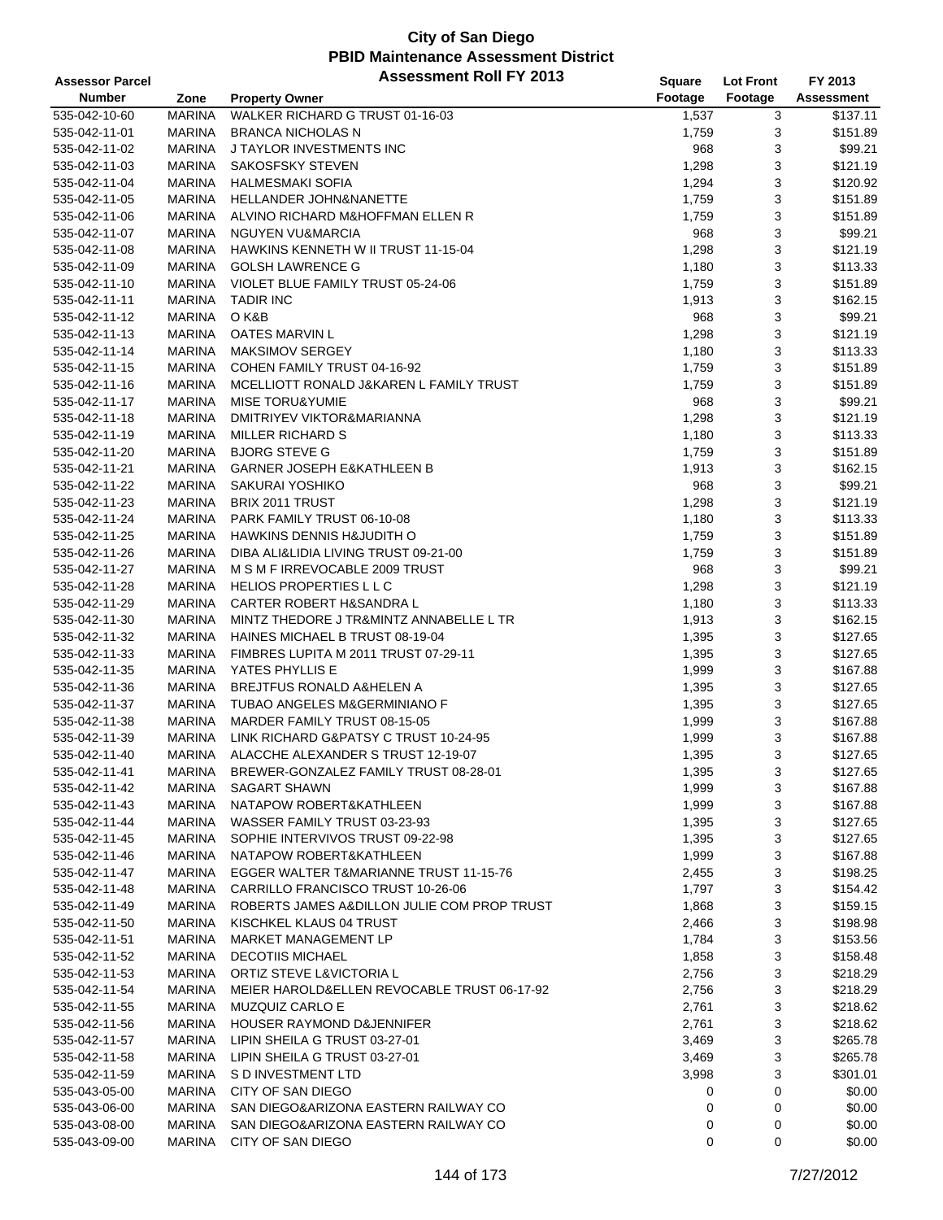| <b>Assessor Parcel</b> |               | <b>Assessment Roll FY 2013</b>              | Square  | <b>Lot Front</b> | FY 2013    |
|------------------------|---------------|---------------------------------------------|---------|------------------|------------|
| <b>Number</b>          | Zone          | <b>Property Owner</b>                       | Footage | Footage          | Assessment |
| 535-042-10-60          | <b>MARINA</b> | WALKER RICHARD G TRUST 01-16-03             | 1,537   | 3                | \$137.11   |
| 535-042-11-01          | <b>MARINA</b> | <b>BRANCA NICHOLAS N</b>                    | 1,759   | 3                | \$151.89   |
| 535-042-11-02          | <b>MARINA</b> | J TAYLOR INVESTMENTS INC                    | 968     | 3                | \$99.21    |
| 535-042-11-03          | <b>MARINA</b> | SAKOSFSKY STEVEN                            | 1,298   | 3                | \$121.19   |
| 535-042-11-04          | <b>MARINA</b> | <b>HALMESMAKI SOFIA</b>                     | 1,294   | 3                | \$120.92   |
| 535-042-11-05          | MARINA        | HELLANDER JOHN&NANETTE                      | 1,759   | 3                | \$151.89   |
| 535-042-11-06          | MARINA        | ALVINO RICHARD M&HOFFMAN ELLEN R            | 1,759   | 3                | \$151.89   |
| 535-042-11-07          | <b>MARINA</b> | <b>NGUYEN VU&amp;MARCIA</b>                 | 968     | 3                | \$99.21    |
| 535-042-11-08          | <b>MARINA</b> | HAWKINS KENNETH W II TRUST 11-15-04         | 1,298   | 3                | \$121.19   |
| 535-042-11-09          | <b>MARINA</b> | <b>GOLSH LAWRENCE G</b>                     | 1,180   | 3                | \$113.33   |
| 535-042-11-10          | MARINA        | VIOLET BLUE FAMILY TRUST 05-24-06           | 1,759   | 3                | \$151.89   |
| 535-042-11-11          | MARINA        | <b>TADIR INC</b>                            | 1,913   | 3                | \$162.15   |
| 535-042-11-12          | MARINA        | O K&B                                       | 968     | 3                | \$99.21    |
| 535-042-11-13          | MARINA        | <b>OATES MARVIN L</b>                       | 1,298   | 3                | \$121.19   |
| 535-042-11-14          | <b>MARINA</b> | MAKSIMOV SERGEY                             | 1,180   | 3                | \$113.33   |
| 535-042-11-15          | <b>MARINA</b> | COHEN FAMILY TRUST 04-16-92                 | 1,759   | 3                | \$151.89   |
| 535-042-11-16          | <b>MARINA</b> | MCELLIOTT RONALD J&KAREN L FAMILY TRUST     | 1,759   | 3                | \$151.89   |
| 535-042-11-17          | MARINA        | <b>MISE TORU&amp;YUMIE</b>                  | 968     | 3                | \$99.21    |
| 535-042-11-18          | <b>MARINA</b> | DMITRIYEV VIKTOR&MARIANNA                   | 1,298   | 3                | \$121.19   |
| 535-042-11-19          | <b>MARINA</b> | <b>MILLER RICHARD S</b>                     | 1,180   | 3                | \$113.33   |
| 535-042-11-20          | <b>MARINA</b> | <b>BJORG STEVE G</b>                        | 1,759   | 3                | \$151.89   |
| 535-042-11-21          | MARINA        | <b>GARNER JOSEPH E&amp;KATHLEEN B</b>       | 1,913   | 3                | \$162.15   |
| 535-042-11-22          | MARINA        | SAKURAI YOSHIKO                             | 968     | 3                | \$99.21    |
| 535-042-11-23          | MARINA        | BRIX 2011 TRUST                             | 1,298   | 3                | \$121.19   |
| 535-042-11-24          | <b>MARINA</b> | PARK FAMILY TRUST 06-10-08                  | 1,180   | 3                | \$113.33   |
| 535-042-11-25          | <b>MARINA</b> | <b>HAWKINS DENNIS H&amp;JUDITH O</b>        | 1,759   | 3                | \$151.89   |
| 535-042-11-26          | <b>MARINA</b> | DIBA ALI&LIDIA LIVING TRUST 09-21-00        | 1,759   | 3                | \$151.89   |
| 535-042-11-27          | MARINA        | M S M F IRREVOCABLE 2009 TRUST              | 968     | 3                | \$99.21    |
| 535-042-11-28          | MARINA        | HELIOS PROPERTIES L L C                     | 1,298   | 3                | \$121.19   |
| 535-042-11-29          | <b>MARINA</b> | <b>CARTER ROBERT H&amp;SANDRA L</b>         | 1,180   | 3                | \$113.33   |
| 535-042-11-30          | MARINA        | MINTZ THEDORE J TR&MINTZ ANNABELLE L TR     | 1,913   | 3                | \$162.15   |
| 535-042-11-32          | <b>MARINA</b> | HAINES MICHAEL B TRUST 08-19-04             | 1,395   | 3                | \$127.65   |
| 535-042-11-33          | <b>MARINA</b> | FIMBRES LUPITA M 2011 TRUST 07-29-11        | 1,395   | 3                | \$127.65   |
| 535-042-11-35          | <b>MARINA</b> | YATES PHYLLIS E                             | 1,999   | 3                | \$167.88   |
| 535-042-11-36          | MARINA        | <b>BREJTFUS RONALD A&amp;HELEN A</b>        | 1,395   | 3                | \$127.65   |
| 535-042-11-37          | MARINA        | TUBAO ANGELES M&GERMINIANO F                | 1,395   | 3                | \$127.65   |
| 535-042-11-38          | MARINA        | MARDER FAMILY TRUST 08-15-05                | 1,999   | 3                | \$167.88   |
| 535-042-11-39          | <b>MARINA</b> | LINK RICHARD G&PATSY C TRUST 10-24-95       | 1,999   | 3                | \$167.88   |
| 535-042-11-40          | MARINA        | ALACCHE ALEXANDER S TRUST 12-19-07          | 1,395   | 3                | \$127.65   |
| 535-042-11-41          | MARINA        | BREWER-GONZALEZ FAMILY TRUST 08-28-01       | 1,395   | 3                | \$127.65   |
| 535-042-11-42          | MARINA        | <b>SAGART SHAWN</b>                         | 1,999   | 3                | \$167.88   |
| 535-042-11-43          | MARINA        | NATAPOW ROBERT&KATHLEEN                     | 1,999   | 3                | \$167.88   |
| 535-042-11-44          | MARINA        | WASSER FAMILY TRUST 03-23-93                | 1,395   | 3                | \$127.65   |
| 535-042-11-45          | MARINA        | SOPHIE INTERVIVOS TRUST 09-22-98            | 1,395   | 3                | \$127.65   |
| 535-042-11-46          | MARINA        | NATAPOW ROBERT&KATHLEEN                     | 1,999   | 3                | \$167.88   |
| 535-042-11-47          | MARINA        | EGGER WALTER T&MARIANNE TRUST 11-15-76      | 2,455   | 3                | \$198.25   |
| 535-042-11-48          | MARINA        | CARRILLO FRANCISCO TRUST 10-26-06           | 1,797   | 3                | \$154.42   |
| 535-042-11-49          | MARINA        | ROBERTS JAMES A&DILLON JULIE COM PROP TRUST | 1,868   | 3                | \$159.15   |
| 535-042-11-50          | MARINA        | KISCHKEL KLAUS 04 TRUST                     | 2,466   | 3                | \$198.98   |
| 535-042-11-51          | MARINA        | MARKET MANAGEMENT LP                        | 1,784   | 3                | \$153.56   |
| 535-042-11-52          | MARINA        | <b>DECOTIIS MICHAEL</b>                     | 1,858   | 3                | \$158.48   |
| 535-042-11-53          | MARINA        | ORTIZ STEVE L&VICTORIA L                    | 2,756   | 3                | \$218.29   |
| 535-042-11-54          | MARINA        | MEIER HAROLD&ELLEN REVOCABLE TRUST 06-17-92 | 2,756   | 3                | \$218.29   |
| 535-042-11-55          | MARINA        | MUZQUIZ CARLO E                             | 2,761   | 3                | \$218.62   |
| 535-042-11-56          | MARINA        | HOUSER RAYMOND D&JENNIFER                   | 2,761   | 3                | \$218.62   |
| 535-042-11-57          | MARINA        | LIPIN SHEILA G TRUST 03-27-01               | 3,469   | 3                | \$265.78   |
| 535-042-11-58          | MARINA        | LIPIN SHEILA G TRUST 03-27-01               | 3,469   | 3                | \$265.78   |
| 535-042-11-59          | MARINA        | S D INVESTMENT LTD                          | 3,998   | 3                | \$301.01   |
| 535-043-05-00          | MARINA        | CITY OF SAN DIEGO                           | 0       | 0                | \$0.00     |
| 535-043-06-00          | MARINA        | SAN DIEGO&ARIZONA EASTERN RAILWAY CO        | 0       | 0                | \$0.00     |
| 535-043-08-00          | MARINA        | SAN DIEGO&ARIZONA EASTERN RAILWAY CO        | 0       | 0                | \$0.00     |
| 535-043-09-00          | MARINA        | CITY OF SAN DIEGO                           | 0       | 0                | \$0.00     |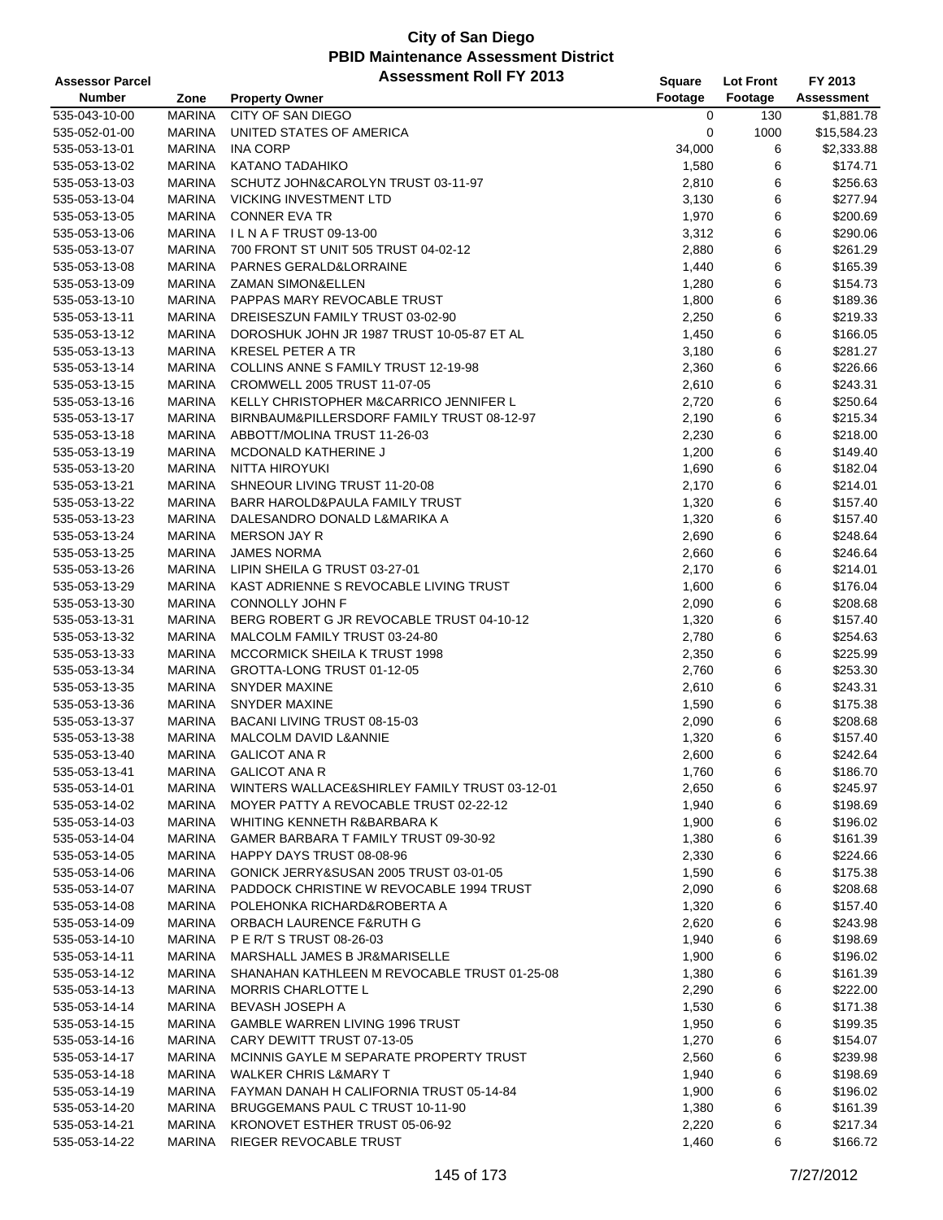| <b>Assessor Parcel</b> |               | <b>Assessment Roll FY 2013</b>                | Square  | <b>Lot Front</b> | FY 2013     |
|------------------------|---------------|-----------------------------------------------|---------|------------------|-------------|
| <b>Number</b>          | Zone          | <b>Property Owner</b>                         | Footage | Footage          | Assessment  |
| 535-043-10-00          | <b>MARINA</b> | CITY OF SAN DIEGO                             | 0       | 130              | \$1,881.78  |
| 535-052-01-00          | <b>MARINA</b> | UNITED STATES OF AMERICA                      | 0       | 1000             | \$15,584.23 |
| 535-053-13-01          | <b>MARINA</b> | <b>INA CORP</b>                               | 34,000  | 6                | \$2,333.88  |
| 535-053-13-02          | <b>MARINA</b> | <b>KATANO TADAHIKO</b>                        | 1,580   | 6                | \$174.71    |
| 535-053-13-03          | <b>MARINA</b> | SCHUTZ JOHN&CAROLYN TRUST 03-11-97            | 2,810   | 6                | \$256.63    |
| 535-053-13-04          | <b>MARINA</b> | <b>VICKING INVESTMENT LTD</b>                 | 3,130   | 6                | \$277.94    |
| 535-053-13-05          | <b>MARINA</b> | <b>CONNER EVA TR</b>                          | 1,970   | 6                | \$200.69    |
| 535-053-13-06          | <b>MARINA</b> | ILNAFTRUST 09-13-00                           | 3,312   | 6                | \$290.06    |
| 535-053-13-07          | <b>MARINA</b> | 700 FRONT ST UNIT 505 TRUST 04-02-12          | 2,880   | 6                | \$261.29    |
| 535-053-13-08          | <b>MARINA</b> | PARNES GERALD&LORRAINE                        | 1,440   | 6                | \$165.39    |
| 535-053-13-09          | <b>MARINA</b> | <b>ZAMAN SIMON&amp;ELLEN</b>                  | 1,280   | 6                | \$154.73    |
| 535-053-13-10          | <b>MARINA</b> | PAPPAS MARY REVOCABLE TRUST                   | 1,800   | 6                | \$189.36    |
| 535-053-13-11          | <b>MARINA</b> | DREISESZUN FAMILY TRUST 03-02-90              | 2,250   | 6                | \$219.33    |
| 535-053-13-12          | <b>MARINA</b> | DOROSHUK JOHN JR 1987 TRUST 10-05-87 ET AL    | 1,450   | 6                | \$166.05    |
| 535-053-13-13          | <b>MARINA</b> | <b>KRESEL PETER A TR</b>                      | 3,180   | 6                | \$281.27    |
| 535-053-13-14          | <b>MARINA</b> | COLLINS ANNE S FAMILY TRUST 12-19-98          | 2,360   | 6                | \$226.66    |
| 535-053-13-15          | <b>MARINA</b> | CROMWELL 2005 TRUST 11-07-05                  | 2,610   | 6                | \$243.31    |
| 535-053-13-16          | <b>MARINA</b> | KELLY CHRISTOPHER M&CARRICO JENNIFER L        | 2,720   | 6                | \$250.64    |
| 535-053-13-17          | <b>MARINA</b> | BIRNBAUM&PILLERSDORF FAMILY TRUST 08-12-97    | 2,190   | 6                | \$215.34    |
|                        | <b>MARINA</b> |                                               |         |                  |             |
| 535-053-13-18          |               | ABBOTT/MOLINA TRUST 11-26-03                  | 2,230   | 6                | \$218.00    |
| 535-053-13-19          | <b>MARINA</b> | <b>MCDONALD KATHERINE J</b>                   | 1,200   | 6                | \$149.40    |
| 535-053-13-20          | <b>MARINA</b> | NITTA HIROYUKI                                | 1,690   | 6                | \$182.04    |
| 535-053-13-21          | <b>MARINA</b> | SHNEOUR LIVING TRUST 11-20-08                 | 2,170   | 6                | \$214.01    |
| 535-053-13-22          | <b>MARINA</b> | BARR HAROLD&PAULA FAMILY TRUST                | 1,320   | 6                | \$157.40    |
| 535-053-13-23          | <b>MARINA</b> | DALESANDRO DONALD L&MARIKA A                  | 1,320   | 6                | \$157.40    |
| 535-053-13-24          | <b>MARINA</b> | <b>MERSON JAY R</b>                           | 2,690   | 6                | \$248.64    |
| 535-053-13-25          | <b>MARINA</b> | <b>JAMES NORMA</b>                            | 2,660   | 6                | \$246.64    |
| 535-053-13-26          | <b>MARINA</b> | LIPIN SHEILA G TRUST 03-27-01                 | 2,170   | 6                | \$214.01    |
| 535-053-13-29          | <b>MARINA</b> | KAST ADRIENNE S REVOCABLE LIVING TRUST        | 1,600   | 6                | \$176.04    |
| 535-053-13-30          | <b>MARINA</b> | CONNOLLY JOHN F                               | 2,090   | 6                | \$208.68    |
| 535-053-13-31          | <b>MARINA</b> | BERG ROBERT G JR REVOCABLE TRUST 04-10-12     | 1,320   | 6                | \$157.40    |
| 535-053-13-32          | <b>MARINA</b> | MALCOLM FAMILY TRUST 03-24-80                 | 2,780   | 6                | \$254.63    |
| 535-053-13-33          | <b>MARINA</b> | MCCORMICK SHEILA K TRUST 1998                 | 2,350   | 6                | \$225.99    |
| 535-053-13-34          | <b>MARINA</b> | GROTTA-LONG TRUST 01-12-05                    | 2,760   | 6                | \$253.30    |
| 535-053-13-35          | <b>MARINA</b> | <b>SNYDER MAXINE</b>                          | 2,610   | 6                | \$243.31    |
| 535-053-13-36          | <b>MARINA</b> | <b>SNYDER MAXINE</b>                          | 1,590   | 6                | \$175.38    |
| 535-053-13-37          | <b>MARINA</b> | BACANI LIVING TRUST 08-15-03                  | 2,090   | 6                | \$208.68    |
| 535-053-13-38          | <b>MARINA</b> | MALCOLM DAVID L&ANNIE                         | 1,320   | 6                | \$157.40    |
| 535-053-13-40          | MARINA        | <b>GALICOT ANA R</b>                          | 2,600   | 6                | \$242.64    |
| 535-053-13-41          | MARINA        | <b>GALICOT ANA R</b>                          | 1,760   | 6                | \$186.70    |
| 535-053-14-01          | <b>MARINA</b> | WINTERS WALLACE&SHIRLEY FAMILY TRUST 03-12-01 | 2,650   | 6                | \$245.97    |
| 535-053-14-02          | <b>MARINA</b> | MOYER PATTY A REVOCABLE TRUST 02-22-12        | 1,940   | 6                | \$198.69    |
| 535-053-14-03          | <b>MARINA</b> | WHITING KENNETH R&BARBARA K                   | 1,900   | 6                | \$196.02    |
| 535-053-14-04          | <b>MARINA</b> | GAMER BARBARA T FAMILY TRUST 09-30-92         | 1,380   | 6                | \$161.39    |
| 535-053-14-05          | <b>MARINA</b> | HAPPY DAYS TRUST 08-08-96                     | 2,330   | 6                | \$224.66    |
| 535-053-14-06          | MARINA        | GONICK JERRY&SUSAN 2005 TRUST 03-01-05        | 1,590   | 6                | \$175.38    |
| 535-053-14-07          | <b>MARINA</b> | PADDOCK CHRISTINE W REVOCABLE 1994 TRUST      | 2,090   | 6                | \$208.68    |
| 535-053-14-08          | <b>MARINA</b> | POLEHONKA RICHARD&ROBERTA A                   | 1,320   | 6                | \$157.40    |
| 535-053-14-09          | <b>MARINA</b> | ORBACH LAURENCE F&RUTH G                      | 2,620   | 6                | \$243.98    |
| 535-053-14-10          | <b>MARINA</b> | P E R/T S TRUST 08-26-03                      | 1,940   | 6                | \$198.69    |
| 535-053-14-11          | <b>MARINA</b> | MARSHALL JAMES B JR&MARISELLE                 | 1,900   | 6                | \$196.02    |
| 535-053-14-12          | <b>MARINA</b> | SHANAHAN KATHLEEN M REVOCABLE TRUST 01-25-08  | 1,380   | 6                | \$161.39    |
| 535-053-14-13          | <b>MARINA</b> | <b>MORRIS CHARLOTTE L</b>                     | 2,290   | 6                | \$222.00    |
| 535-053-14-14          | <b>MARINA</b> | BEVASH JOSEPH A                               | 1,530   | 6                | \$171.38    |
| 535-053-14-15          | <b>MARINA</b> | <b>GAMBLE WARREN LIVING 1996 TRUST</b>        | 1,950   | 6                | \$199.35    |
| 535-053-14-16          | <b>MARINA</b> | CARY DEWITT TRUST 07-13-05                    | 1,270   | 6                | \$154.07    |
| 535-053-14-17          | MARINA        | MCINNIS GAYLE M SEPARATE PROPERTY TRUST       | 2,560   | 6                | \$239.98    |
| 535-053-14-18          | <b>MARINA</b> | <b>WALKER CHRIS L&amp;MARY T</b>              | 1,940   | 6                | \$198.69    |
| 535-053-14-19          | <b>MARINA</b> | FAYMAN DANAH H CALIFORNIA TRUST 05-14-84      | 1,900   | 6                | \$196.02    |
| 535-053-14-20          | <b>MARINA</b> | BRUGGEMANS PAUL C TRUST 10-11-90              | 1,380   | 6                | \$161.39    |
| 535-053-14-21          | <b>MARINA</b> | KRONOVET ESTHER TRUST 05-06-92                | 2,220   | 6                | \$217.34    |
| 535-053-14-22          | <b>MARINA</b> | RIEGER REVOCABLE TRUST                        | 1,460   | 6                | \$166.72    |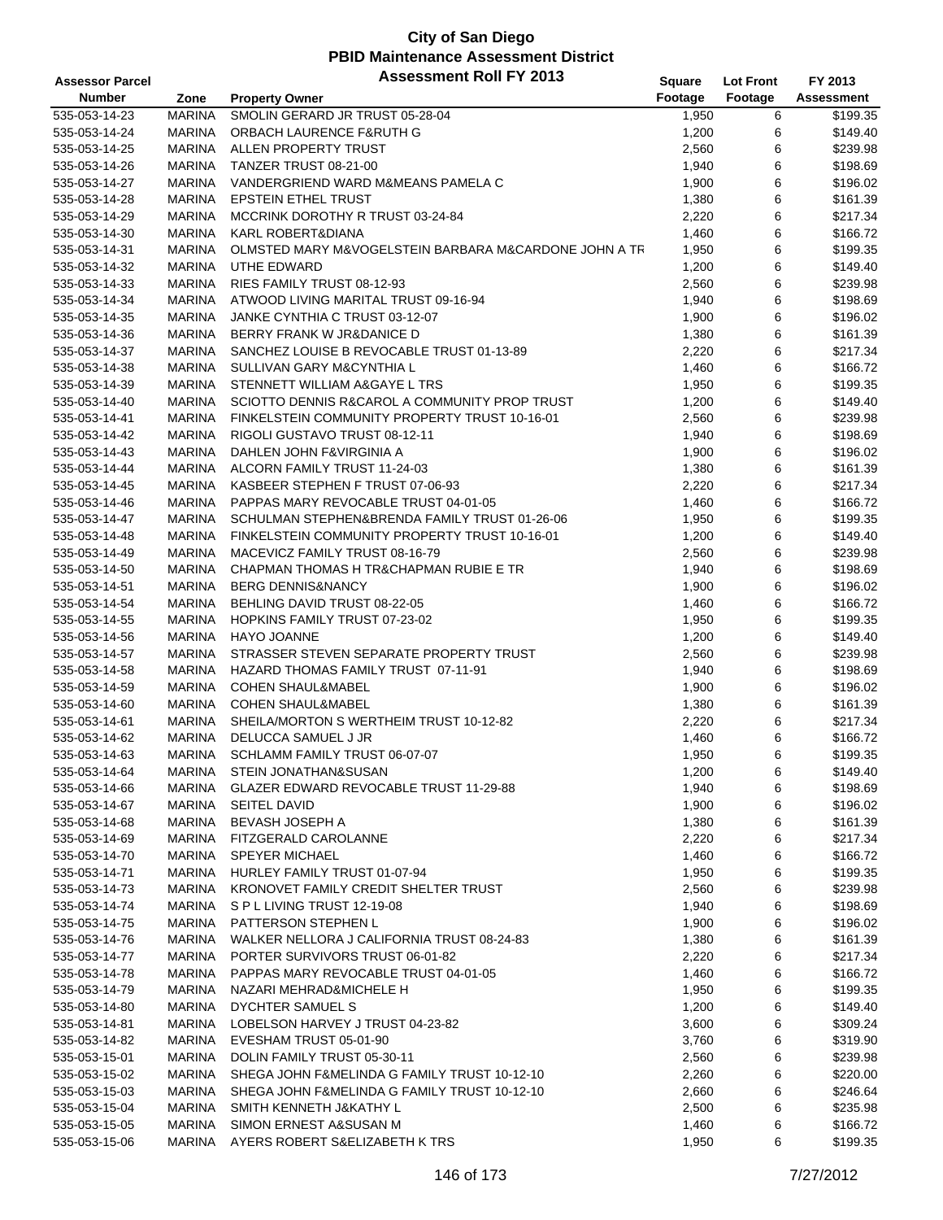| <b>Assessor Parcel</b> |                                | <b>Assessment Roll FY 2013</b>                               | Square         | <b>Lot Front</b> | FY 2013              |
|------------------------|--------------------------------|--------------------------------------------------------------|----------------|------------------|----------------------|
| <b>Number</b>          | Zone                           | <b>Property Owner</b>                                        | Footage        | Footage          | Assessment           |
| 535-053-14-23          | <b>MARINA</b>                  | SMOLIN GERARD JR TRUST 05-28-04                              | 1,950          | 6                | \$199.35             |
| 535-053-14-24          | <b>MARINA</b>                  | ORBACH LAURENCE F&RUTH G                                     | 1,200          | 6                | \$149.40             |
| 535-053-14-25          | <b>MARINA</b>                  | ALLEN PROPERTY TRUST                                         | 2,560          | 6                | \$239.98             |
| 535-053-14-26          | <b>MARINA</b>                  | TANZER TRUST 08-21-00                                        | 1,940          | 6                | \$198.69             |
| 535-053-14-27          | <b>MARINA</b>                  | VANDERGRIEND WARD M&MEANS PAMELA C                           | 1,900          | 6                | \$196.02             |
| 535-053-14-28          | <b>MARINA</b>                  | <b>EPSTEIN ETHEL TRUST</b>                                   | 1,380          | 6                | \$161.39             |
| 535-053-14-29          | <b>MARINA</b>                  | MCCRINK DOROTHY R TRUST 03-24-84                             | 2,220          | 6                | \$217.34             |
| 535-053-14-30          | <b>MARINA</b>                  | KARL ROBERT&DIANA                                            | 1,460          | 6                | \$166.72             |
| 535-053-14-31          | <b>MARINA</b>                  | OLMSTED MARY M&VOGELSTEIN BARBARA M&CARDONE JOHN A TR        | 1,950          | 6                | \$199.35             |
| 535-053-14-32          | <b>MARINA</b>                  | UTHE EDWARD                                                  | 1,200          | 6                | \$149.40             |
| 535-053-14-33          | <b>MARINA</b>                  | RIES FAMILY TRUST 08-12-93                                   | 2,560          | 6                | \$239.98             |
| 535-053-14-34          | <b>MARINA</b>                  | ATWOOD LIVING MARITAL TRUST 09-16-94                         | 1,940          | 6                | \$198.69             |
| 535-053-14-35          | <b>MARINA</b>                  | JANKE CYNTHIA C TRUST 03-12-07                               | 1,900          | 6                | \$196.02             |
| 535-053-14-36          | <b>MARINA</b>                  | BERRY FRANK W JR&DANICE D                                    | 1,380          | 6                | \$161.39             |
| 535-053-14-37          | <b>MARINA</b>                  | SANCHEZ LOUISE B REVOCABLE TRUST 01-13-89                    | 2,220          | 6                | \$217.34             |
| 535-053-14-38          | <b>MARINA</b>                  | SULLIVAN GARY M&CYNTHIA L                                    | 1,460          | 6                | \$166.72             |
| 535-053-14-39          | <b>MARINA</b>                  | STENNETT WILLIAM A&GAYE L TRS                                | 1,950          | 6                | \$199.35             |
| 535-053-14-40          | <b>MARINA</b>                  | SCIOTTO DENNIS R&CAROL A COMMUNITY PROP TRUST                | 1,200          | 6                | \$149.40             |
| 535-053-14-41          | <b>MARINA</b>                  | FINKELSTEIN COMMUNITY PROPERTY TRUST 10-16-01                | 2,560          | 6                | \$239.98             |
| 535-053-14-42          | <b>MARINA</b>                  | RIGOLI GUSTAVO TRUST 08-12-11                                | 1,940          | 6                | \$198.69             |
| 535-053-14-43          | <b>MARINA</b>                  | DAHLEN JOHN F&VIRGINIA A                                     | 1,900          | 6                | \$196.02             |
| 535-053-14-44          | <b>MARINA</b>                  | ALCORN FAMILY TRUST 11-24-03                                 | 1,380          | 6                | \$161.39             |
| 535-053-14-45          | <b>MARINA</b>                  | KASBEER STEPHEN F TRUST 07-06-93                             | 2,220          | 6                | \$217.34             |
| 535-053-14-46          | <b>MARINA</b>                  | PAPPAS MARY REVOCABLE TRUST 04-01-05                         | 1,460          | 6                | \$166.72             |
| 535-053-14-47          | <b>MARINA</b>                  | SCHULMAN STEPHEN&BRENDA FAMILY TRUST 01-26-06                |                | 6                | \$199.35             |
| 535-053-14-48          | <b>MARINA</b>                  | FINKELSTEIN COMMUNITY PROPERTY TRUST 10-16-01                | 1,950<br>1,200 | 6                | \$149.40             |
|                        |                                |                                                              |                |                  |                      |
| 535-053-14-49          | <b>MARINA</b>                  | MACEVICZ FAMILY TRUST 08-16-79                               | 2,560          | 6                | \$239.98             |
| 535-053-14-50          | <b>MARINA</b>                  | CHAPMAN THOMAS H TR&CHAPMAN RUBIE E TR                       | 1,940          | 6<br>6           | \$198.69             |
| 535-053-14-51          | <b>MARINA</b><br><b>MARINA</b> | <b>BERG DENNIS&amp;NANCY</b><br>BEHLING DAVID TRUST 08-22-05 | 1,900          | 6                | \$196.02<br>\$166.72 |
| 535-053-14-54          |                                |                                                              | 1,460          |                  |                      |
| 535-053-14-55          | <b>MARINA</b>                  | HOPKINS FAMILY TRUST 07-23-02                                | 1,950          | 6                | \$199.35             |
| 535-053-14-56          | <b>MARINA</b>                  | HAYO JOANNE                                                  | 1,200          | 6                | \$149.40             |
| 535-053-14-57          | <b>MARINA</b>                  | STRASSER STEVEN SEPARATE PROPERTY TRUST                      | 2,560          | 6                | \$239.98             |
| 535-053-14-58          | <b>MARINA</b>                  | HAZARD THOMAS FAMILY TRUST 07-11-91                          | 1,940          | 6                | \$198.69             |
| 535-053-14-59          | <b>MARINA</b>                  | <b>COHEN SHAUL&amp;MABEL</b>                                 | 1,900          | 6                | \$196.02             |
| 535-053-14-60          | <b>MARINA</b>                  | <b>COHEN SHAUL&amp;MABEL</b>                                 | 1,380          | 6                | \$161.39             |
| 535-053-14-61          | <b>MARINA</b>                  | SHEILA/MORTON S WERTHEIM TRUST 10-12-82                      | 2,220          | 6                | \$217.34             |
| 535-053-14-62          | <b>MARINA</b>                  | DELUCCA SAMUEL J JR                                          | 1,460          | 6                | \$166.72             |
| 535-053-14-63          | <b>MARINA</b>                  | SCHLAMM FAMILY TRUST 06-07-07                                | 1,950          | 6                | \$199.35             |
| 535-053-14-64          | <b>MARINA</b>                  | <b>STEIN JONATHAN&amp;SUSAN</b>                              | 1,200          | 6                | \$149.40             |
| 535-053-14-66          | <b>MARINA</b>                  | GLAZER EDWARD REVOCABLE TRUST 11-29-88                       | 1,940          | 6                | \$198.69             |
| 535-053-14-67          | MARINA                         | <b>SEITEL DAVID</b>                                          | 1,900          | 6                | \$196.02             |
| 535-053-14-68          | <b>MARINA</b>                  | BEVASH JOSEPH A                                              | 1,380          | 6                | \$161.39             |
| 535-053-14-69          | <b>MARINA</b>                  | FITZGERALD CAROLANNE                                         | 2,220          | 6                | \$217.34             |
| 535-053-14-70          | <b>MARINA</b>                  | <b>SPEYER MICHAEL</b>                                        | 1,460          | 6                | \$166.72             |
| 535-053-14-71          | MARINA                         | HURLEY FAMILY TRUST 01-07-94                                 | 1,950          | 6                | \$199.35             |
| 535-053-14-73          | <b>MARINA</b>                  | KRONOVET FAMILY CREDIT SHELTER TRUST                         | 2,560          | 6                | \$239.98             |
| 535-053-14-74          | MARINA                         | SPL LIVING TRUST 12-19-08                                    | 1,940          | 6                | \$198.69             |
| 535-053-14-75          | <b>MARINA</b>                  | PATTERSON STEPHEN L                                          | 1,900          | 6                | \$196.02             |
| 535-053-14-76          | MARINA                         | WALKER NELLORA J CALIFORNIA TRUST 08-24-83                   | 1,380          | 6                | \$161.39             |
| 535-053-14-77          | <b>MARINA</b>                  | PORTER SURVIVORS TRUST 06-01-82                              | 2,220          | 6                | \$217.34             |
| 535-053-14-78          | <b>MARINA</b>                  | PAPPAS MARY REVOCABLE TRUST 04-01-05                         | 1,460          | 6                | \$166.72             |
| 535-053-14-79          | <b>MARINA</b>                  | NAZARI MEHRAD&MICHELE H                                      | 1,950          | 6                | \$199.35             |
| 535-053-14-80          | <b>MARINA</b>                  | DYCHTER SAMUEL S                                             | 1,200          | 6                | \$149.40             |
| 535-053-14-81          | <b>MARINA</b>                  | LOBELSON HARVEY J TRUST 04-23-82                             | 3,600          | 6                | \$309.24             |
| 535-053-14-82          | MARINA                         | EVESHAM TRUST 05-01-90                                       | 3,760          | 6                | \$319.90             |
| 535-053-15-01          | MARINA                         | DOLIN FAMILY TRUST 05-30-11                                  | 2,560          | 6                | \$239.98             |
| 535-053-15-02          | <b>MARINA</b>                  | SHEGA JOHN F&MELINDA G FAMILY TRUST 10-12-10                 | 2,260          | 6                | \$220.00             |
| 535-053-15-03          | MARINA                         | SHEGA JOHN F&MELINDA G FAMILY TRUST 10-12-10                 | 2,660          | 6                | \$246.64             |
| 535-053-15-04          | MARINA                         | SMITH KENNETH J&KATHY L                                      | 2,500          | 6                | \$235.98             |
| 535-053-15-05          | <b>MARINA</b>                  | SIMON ERNEST A&SUSAN M                                       | 1,460          | 6                | \$166.72             |
| 535-053-15-06          | MARINA                         | AYERS ROBERT S&ELIZABETH K TRS                               | 1,950          | 6                | \$199.35             |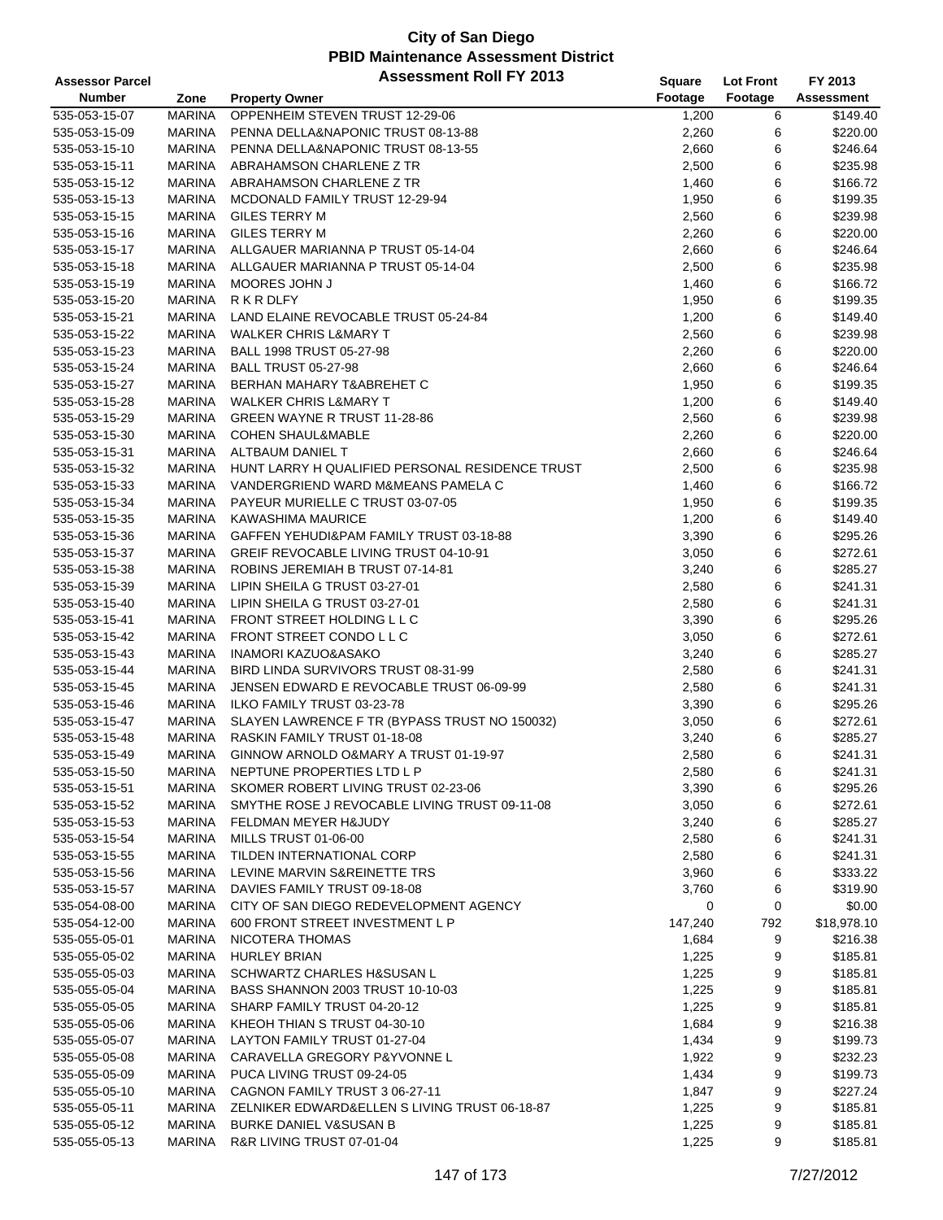| <b>Assessor Parcel</b>         |               | <b>Assessment Roll FY 2013</b>                  | <b>Square</b> | <b>Lot Front</b> | FY 2013     |
|--------------------------------|---------------|-------------------------------------------------|---------------|------------------|-------------|
| <b>Number</b>                  | Zone          | <b>Property Owner</b>                           | Footage       | Footage          | Assessment  |
| 535-053-15-07                  | <b>MARINA</b> | OPPENHEIM STEVEN TRUST 12-29-06                 | 1,200         | 6                | \$149.40    |
| 535-053-15-09                  | <b>MARINA</b> | PENNA DELLA&NAPONIC TRUST 08-13-88              | 2,260         | 6                | \$220.00    |
| 535-053-15-10                  | <b>MARINA</b> | PENNA DELLA&NAPONIC TRUST 08-13-55              | 2,660         | 6                | \$246.64    |
| 535-053-15-11                  | <b>MARINA</b> | ABRAHAMSON CHARLENE Z TR                        | 2,500         | 6                | \$235.98    |
| 535-053-15-12                  | <b>MARINA</b> | ABRAHAMSON CHARLENE Z TR                        | 1,460         | 6                | \$166.72    |
| 535-053-15-13                  | <b>MARINA</b> | MCDONALD FAMILY TRUST 12-29-94                  | 1,950         | 6                | \$199.35    |
|                                |               |                                                 |               | 6                | \$239.98    |
| 535-053-15-15                  | MARINA        | GILES TERRY M                                   | 2,560         |                  |             |
| 535-053-15-16                  | <b>MARINA</b> | <b>GILES TERRY M</b>                            | 2,260         | 6                | \$220.00    |
| 535-053-15-17                  | <b>MARINA</b> | ALLGAUER MARIANNA P TRUST 05-14-04              | 2,660         | 6                | \$246.64    |
| 535-053-15-18                  | <b>MARINA</b> | ALLGAUER MARIANNA P TRUST 05-14-04              | 2,500         | 6                | \$235.98    |
| 535-053-15-19                  | <b>MARINA</b> | MOORES JOHN J                                   | 1,460         | 6                | \$166.72    |
| 535-053-15-20                  | <b>MARINA</b> | R K R DLFY                                      | 1,950         | 6                | \$199.35    |
| 535-053-15-21                  | <b>MARINA</b> | LAND ELAINE REVOCABLE TRUST 05-24-84            | 1,200         | 6                | \$149.40    |
| 535-053-15-22                  | <b>MARINA</b> | <b>WALKER CHRIS L&amp;MARY T</b>                | 2,560         | 6                | \$239.98    |
| 535-053-15-23                  | <b>MARINA</b> | BALL 1998 TRUST 05-27-98                        | 2,260         | 6                | \$220.00    |
| 535-053-15-24                  | <b>MARINA</b> | <b>BALL TRUST 05-27-98</b>                      | 2,660         | 6                | \$246.64    |
| 535-053-15-27                  | <b>MARINA</b> | BERHAN MAHARY T&ABREHET C                       | 1,950         | 6                | \$199.35    |
| 535-053-15-28                  | <b>MARINA</b> | <b>WALKER CHRIS L&amp;MARY T</b>                | 1,200         | 6                | \$149.40    |
| 535-053-15-29                  | <b>MARINA</b> | GREEN WAYNE R TRUST 11-28-86                    | 2,560         | 6                | \$239.98    |
| 535-053-15-30                  | <b>MARINA</b> | <b>COHEN SHAUL&amp;MABLE</b>                    | 2,260         | 6                | \$220.00    |
| 535-053-15-31                  | <b>MARINA</b> | ALTBAUM DANIEL T                                | 2,660         | 6                | \$246.64    |
| 535-053-15-32                  | <b>MARINA</b> | HUNT LARRY H QUALIFIED PERSONAL RESIDENCE TRUST | 2,500         | 6                | \$235.98    |
| 535-053-15-33                  | <b>MARINA</b> | VANDERGRIEND WARD M&MEANS PAMELA C              | 1,460         | 6                | \$166.72    |
| 535-053-15-34                  | <b>MARINA</b> | PAYEUR MURIELLE C TRUST 03-07-05                | 1,950         | 6                | \$199.35    |
| 535-053-15-35                  | <b>MARINA</b> | <b>KAWASHIMA MAURICE</b>                        | 1,200         | 6                | \$149.40    |
| 535-053-15-36                  | <b>MARINA</b> | GAFFEN YEHUDI&PAM FAMILY TRUST 03-18-88         | 3,390         | 6                | \$295.26    |
| 535-053-15-37                  | <b>MARINA</b> | GREIF REVOCABLE LIVING TRUST 04-10-91           | 3,050         | 6                | \$272.61    |
| 535-053-15-38                  | <b>MARINA</b> | ROBINS JEREMIAH B TRUST 07-14-81                | 3,240         | 6                | \$285.27    |
| 535-053-15-39                  | <b>MARINA</b> | LIPIN SHEILA G TRUST 03-27-01                   | 2,580         | 6                | \$241.31    |
| 535-053-15-40                  | <b>MARINA</b> | LIPIN SHEILA G TRUST 03-27-01                   | 2,580         | 6                | \$241.31    |
| 535-053-15-41                  | <b>MARINA</b> | FRONT STREET HOLDING L L C                      | 3,390         | 6                | \$295.26    |
| 535-053-15-42                  | MARINA        | FRONT STREET CONDO L L C                        | 3,050         | 6                | \$272.61    |
| 535-053-15-43                  | <b>MARINA</b> | <b>INAMORI KAZUO&amp;ASAKO</b>                  | 3,240         | 6                | \$285.27    |
| 535-053-15-44                  | <b>MARINA</b> | BIRD LINDA SURVIVORS TRUST 08-31-99             | 2,580         | 6                | \$241.31    |
| 535-053-15-45                  | MARINA        | JENSEN EDWARD E REVOCABLE TRUST 06-09-99        | 2,580         | 6                | \$241.31    |
| 535-053-15-46                  | <b>MARINA</b> | ILKO FAMILY TRUST 03-23-78                      | 3,390         | 6                | \$295.26    |
| 535-053-15-47                  | MARINA        | SLAYEN LAWRENCE F TR (BYPASS TRUST NO 150032)   | 3,050         | 6                | \$272.61    |
|                                |               | RASKIN FAMILY TRUST 01-18-08                    |               | 6                | \$285.27    |
| 535-053-15-48<br>535-053-15-49 | MARINA        | GINNOW ARNOLD O&MARY A TRUST 01-19-97           | 3,240         | 6                |             |
|                                | <b>MARINA</b> |                                                 | 2,580         |                  | \$241.31    |
| 535-053-15-50                  | MARINA        | NEPTUNE PROPERTIES LTD L P                      | 2,580         | 6                | \$241.31    |
| 535-053-15-51                  | MARINA        | SKOMER ROBERT LIVING TRUST 02-23-06             | 3,390         | 6                | \$295.26    |
| 535-053-15-52                  | MARINA        | SMYTHE ROSE J REVOCABLE LIVING TRUST 09-11-08   | 3,050         | 6                | \$272.61    |
| 535-053-15-53                  | <b>MARINA</b> | FELDMAN MEYER H&JUDY                            | 3,240         | 6                | \$285.27    |
| 535-053-15-54                  | MARINA        | MILLS TRUST 01-06-00                            | 2,580         | 6                | \$241.31    |
| 535-053-15-55                  | MARINA        | TILDEN INTERNATIONAL CORP                       | 2,580         | 6                | \$241.31    |
| 535-053-15-56                  | MARINA        | LEVINE MARVIN S&REINETTE TRS                    | 3,960         | 6                | \$333.22    |
| 535-053-15-57                  | <b>MARINA</b> | DAVIES FAMILY TRUST 09-18-08                    | 3,760         | 6                | \$319.90    |
| 535-054-08-00                  | MARINA        | CITY OF SAN DIEGO REDEVELOPMENT AGENCY          | 0             | 0                | \$0.00      |
| 535-054-12-00                  | MARINA        | 600 FRONT STREET INVESTMENT L P                 | 147,240       | 792              | \$18,978.10 |
| 535-055-05-01                  | <b>MARINA</b> | NICOTERA THOMAS                                 | 1,684         | 9                | \$216.38    |
| 535-055-05-02                  | <b>MARINA</b> | <b>HURLEY BRIAN</b>                             | 1,225         | 9                | \$185.81    |
| 535-055-05-03                  | MARINA        | <b>SCHWARTZ CHARLES H&amp;SUSAN L</b>           | 1,225         | 9                | \$185.81    |
| 535-055-05-04                  | MARINA        | BASS SHANNON 2003 TRUST 10-10-03                | 1,225         | 9                | \$185.81    |
| 535-055-05-05                  | MARINA        | SHARP FAMILY TRUST 04-20-12                     | 1,225         | 9                | \$185.81    |
| 535-055-05-06                  | MARINA        | KHEOH THIAN S TRUST 04-30-10                    | 1,684         | 9                | \$216.38    |
| 535-055-05-07                  | MARINA        | LAYTON FAMILY TRUST 01-27-04                    | 1,434         | 9                | \$199.73    |
| 535-055-05-08                  | MARINA        | CARAVELLA GREGORY P&YVONNE L                    | 1,922         | 9                | \$232.23    |
| 535-055-05-09                  | <b>MARINA</b> | PUCA LIVING TRUST 09-24-05                      | 1,434         | 9                | \$199.73    |
| 535-055-05-10                  | MARINA        | CAGNON FAMILY TRUST 3 06-27-11                  | 1,847         | 9                | \$227.24    |
| 535-055-05-11                  | MARINA        | ZELNIKER EDWARD&ELLEN S LIVING TRUST 06-18-87   | 1,225         | 9                | \$185.81    |
| 535-055-05-12                  | MARINA        | <b>BURKE DANIEL V&amp;SUSAN B</b>               | 1,225         | 9                | \$185.81    |
| 535-055-05-13                  | <b>MARINA</b> | R&R LIVING TRUST 07-01-04                       | 1,225         | 9                | \$185.81    |
|                                |               |                                                 |               |                  |             |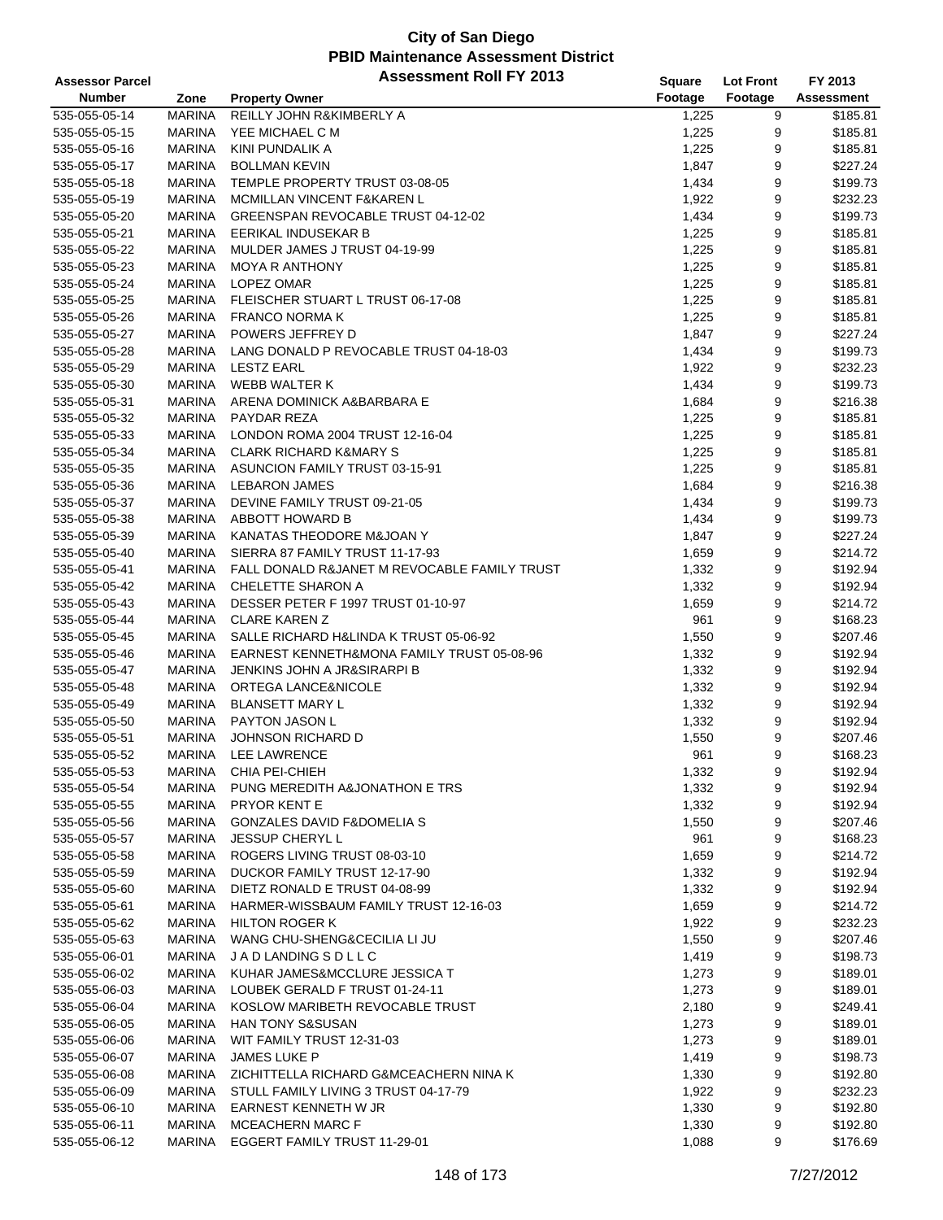| <b>Assessor Parcel</b> |               | <b>Assessment Roll FY 2013</b>               | <b>Square</b> | <b>Lot Front</b> | FY 2013           |
|------------------------|---------------|----------------------------------------------|---------------|------------------|-------------------|
| <b>Number</b>          | Zone          | <b>Property Owner</b>                        | Footage       | Footage          | <b>Assessment</b> |
| 535-055-05-14          | <b>MARINA</b> | <b>REILLY JOHN R&amp;KIMBERLY A</b>          | 1,225         | 9                | \$185.81          |
| 535-055-05-15          | <b>MARINA</b> | YEE MICHAEL C M                              | 1,225         | 9                | \$185.81          |
| 535-055-05-16          | <b>MARINA</b> | KINI PUNDALIK A                              | 1,225         | 9                | \$185.81          |
| 535-055-05-17          | <b>MARINA</b> | <b>BOLLMAN KEVIN</b>                         | 1,847         | 9                | \$227.24          |
| 535-055-05-18          | <b>MARINA</b> | TEMPLE PROPERTY TRUST 03-08-05               | 1,434         | 9                | \$199.73          |
| 535-055-05-19          | <b>MARINA</b> | MCMILLAN VINCENT F&KAREN L                   | 1,922         | $\boldsymbol{9}$ | \$232.23          |
| 535-055-05-20          | <b>MARINA</b> | GREENSPAN REVOCABLE TRUST 04-12-02           | 1,434         | 9                | \$199.73          |
| 535-055-05-21          | <b>MARINA</b> | EERIKAL INDUSEKAR B                          | 1,225         | 9                | \$185.81          |
| 535-055-05-22          | <b>MARINA</b> | MULDER JAMES J TRUST 04-19-99                | 1,225         | 9                | \$185.81          |
| 535-055-05-23          | <b>MARINA</b> | <b>MOYA R ANTHONY</b>                        | 1,225         | 9                | \$185.81          |
| 535-055-05-24          | <b>MARINA</b> | LOPEZ OMAR                                   | 1,225         | 9                | \$185.81          |
| 535-055-05-25          | <b>MARINA</b> | FLEISCHER STUART L TRUST 06-17-08            | 1,225         | 9                | \$185.81          |
| 535-055-05-26          | <b>MARINA</b> | <b>FRANCO NORMA K</b>                        | 1,225         | 9                | \$185.81          |
| 535-055-05-27          | <b>MARINA</b> | POWERS JEFFREY D                             | 1,847         | 9                | \$227.24          |
| 535-055-05-28          | <b>MARINA</b> | LANG DONALD P REVOCABLE TRUST 04-18-03       | 1,434         | 9                | \$199.73          |
| 535-055-05-29          | <b>MARINA</b> | <b>LESTZ EARL</b>                            | 1,922         | 9                | \$232.23          |
| 535-055-05-30          | <b>MARINA</b> | <b>WEBB WALTER K</b>                         | 1,434         | 9                | \$199.73          |
| 535-055-05-31          | <b>MARINA</b> | ARENA DOMINICK A&BARBARA E                   | 1,684         | 9                | \$216.38          |
| 535-055-05-32          | <b>MARINA</b> | PAYDAR REZA                                  | 1,225         | 9                | \$185.81          |
| 535-055-05-33          | <b>MARINA</b> | LONDON ROMA 2004 TRUST 12-16-04              | 1,225         | 9                | \$185.81          |
| 535-055-05-34          | <b>MARINA</b> | <b>CLARK RICHARD K&amp;MARY S</b>            | 1,225         | 9                | \$185.81          |
| 535-055-05-35          | <b>MARINA</b> | ASUNCION FAMILY TRUST 03-15-91               | 1,225         | 9                | \$185.81          |
| 535-055-05-36          | MARINA        | <b>LEBARON JAMES</b>                         | 1,684         | 9                | \$216.38          |
| 535-055-05-37          | <b>MARINA</b> | DEVINE FAMILY TRUST 09-21-05                 | 1,434         | 9                | \$199.73          |
| 535-055-05-38          | <b>MARINA</b> | ABBOTT HOWARD B                              | 1,434         | 9                | \$199.73          |
| 535-055-05-39          | <b>MARINA</b> | KANATAS THEODORE M&JOAN Y                    | 1,847         | 9                | \$227.24          |
| 535-055-05-40          | <b>MARINA</b> | SIERRA 87 FAMILY TRUST 11-17-93              | 1,659         | 9                | \$214.72          |
| 535-055-05-41          | <b>MARINA</b> | FALL DONALD R&JANET M REVOCABLE FAMILY TRUST | 1,332         | 9                | \$192.94          |
| 535-055-05-42          | <b>MARINA</b> | CHELETTE SHARON A                            | 1,332         | 9                | \$192.94          |
| 535-055-05-43          | <b>MARINA</b> | DESSER PETER F 1997 TRUST 01-10-97           | 1,659         | 9                | \$214.72          |
| 535-055-05-44          | <b>MARINA</b> | <b>CLARE KAREN Z</b>                         | 961           | 9                | \$168.23          |
| 535-055-05-45          | <b>MARINA</b> | SALLE RICHARD H&LINDA K TRUST 05-06-92       | 1,550         | 9                | \$207.46          |
| 535-055-05-46          | <b>MARINA</b> | EARNEST KENNETH&MONA FAMILY TRUST 05-08-96   | 1,332         | 9                | \$192.94          |
| 535-055-05-47          | <b>MARINA</b> | <b>JENKINS JOHN A JR&amp;SIRARPI B</b>       | 1,332         | $\boldsymbol{9}$ | \$192.94          |
| 535-055-05-48          | <b>MARINA</b> | ORTEGA LANCE&NICOLE                          | 1,332         | 9                | \$192.94          |
| 535-055-05-49          | <b>MARINA</b> | <b>BLANSETT MARY L</b>                       | 1,332         | 9                | \$192.94          |
| 535-055-05-50          | <b>MARINA</b> | <b>PAYTON JASON L</b>                        | 1,332         | 9                | \$192.94          |
| 535-055-05-51          | <b>MARINA</b> | JOHNSON RICHARD D                            | 1,550         | 9                | \$207.46          |
| 535-055-05-52          | <b>MARINA</b> | LEE LAWRENCE                                 | 961           | 9                | \$168.23          |
| 535-055-05-53          | <b>MARINA</b> | CHIA PEI-CHIEH                               | 1,332         | 9                | \$192.94          |
| 535-055-05-54          | <b>MARINA</b> | PUNG MEREDITH A&JONATHON E TRS               | 1,332         | 9                | \$192.94          |
| 535-055-05-55          | MARINA        | <b>PRYOR KENT E</b>                          | 1,332         | 9                | \$192.94          |
| 535-055-05-56          | <b>MARINA</b> | <b>GONZALES DAVID F&amp;DOMELIA S</b>        | 1,550         | 9                | \$207.46          |
| 535-055-05-57          | <b>MARINA</b> | JESSUP CHERYL L                              | 961           | 9                | \$168.23          |
| 535-055-05-58          | <b>MARINA</b> | ROGERS LIVING TRUST 08-03-10                 | 1,659         | 9                | \$214.72          |
| 535-055-05-59          | <b>MARINA</b> | DUCKOR FAMILY TRUST 12-17-90                 | 1,332         | 9                | \$192.94          |
| 535-055-05-60          | <b>MARINA</b> | DIETZ RONALD E TRUST 04-08-99                | 1,332         | 9                | \$192.94          |
| 535-055-05-61          | <b>MARINA</b> | HARMER-WISSBAUM FAMILY TRUST 12-16-03        | 1,659         | 9                | \$214.72          |
| 535-055-05-62          | <b>MARINA</b> | <b>HILTON ROGER K</b>                        | 1,922         | 9                | \$232.23          |
| 535-055-05-63          | <b>MARINA</b> | WANG CHU-SHENG&CECILIA LI JU                 | 1,550         | 9                | \$207.46          |
| 535-055-06-01          | <b>MARINA</b> | JAD LANDING SDLLC                            | 1,419         | 9                | \$198.73          |
| 535-055-06-02          | <b>MARINA</b> | KUHAR JAMES&MCCLURE JESSICA T                | 1,273         | 9                | \$189.01          |
| 535-055-06-03          | <b>MARINA</b> | LOUBEK GERALD F TRUST 01-24-11               | 1,273         | 9                | \$189.01          |
| 535-055-06-04          | <b>MARINA</b> | KOSLOW MARIBETH REVOCABLE TRUST              | 2,180         | 9                | \$249.41          |
| 535-055-06-05          | <b>MARINA</b> | HAN TONY S&SUSAN                             | 1,273         | 9                | \$189.01          |
| 535-055-06-06          | <b>MARINA</b> | WIT FAMILY TRUST 12-31-03                    | 1,273         | 9                | \$189.01          |
| 535-055-06-07          | MARINA        | JAMES LUKE P                                 | 1,419         | 9                | \$198.73          |
| 535-055-06-08          | <b>MARINA</b> | ZICHITTELLA RICHARD G&MCEACHERN NINA K       | 1,330         | 9                | \$192.80          |
| 535-055-06-09          | MARINA        | STULL FAMILY LIVING 3 TRUST 04-17-79         | 1,922         | 9                | \$232.23          |
| 535-055-06-10          | MARINA        | EARNEST KENNETH W JR                         | 1,330         | 9                | \$192.80          |
| 535-055-06-11          | <b>MARINA</b> | MCEACHERN MARC F                             | 1,330         | 9                | \$192.80          |
| 535-055-06-12          | <b>MARINA</b> | EGGERT FAMILY TRUST 11-29-01                 | 1,088         | 9                | \$176.69          |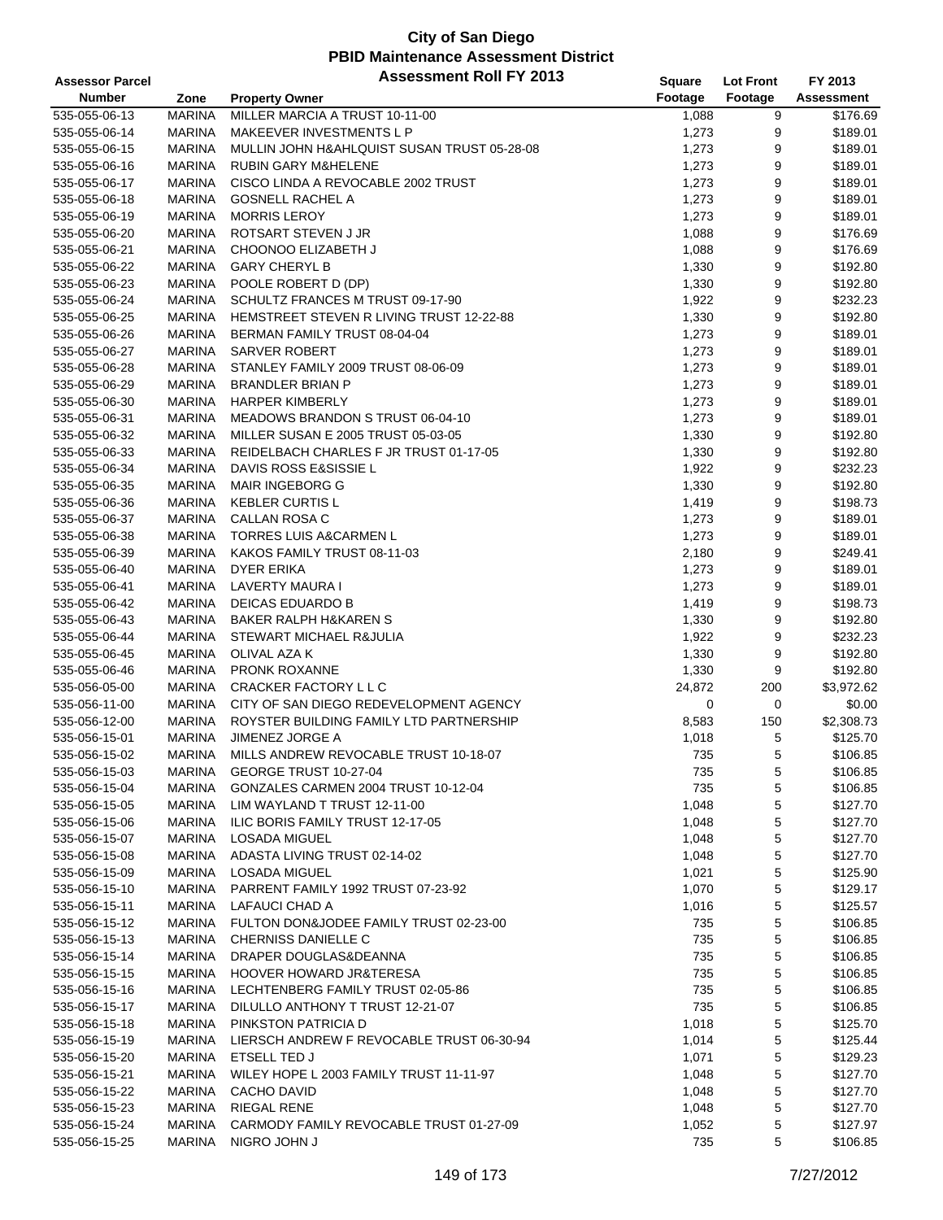| <b>Assessor Parcel</b> |               | <b>Assessment Roll FY 2013</b>              | <b>Square</b> | <b>Lot Front</b> | FY 2013           |
|------------------------|---------------|---------------------------------------------|---------------|------------------|-------------------|
| <b>Number</b>          | Zone          | <b>Property Owner</b>                       | Footage       | Footage          | <b>Assessment</b> |
| 535-055-06-13          | <b>MARINA</b> | MILLER MARCIA A TRUST 10-11-00              | 1,088         | 9                | \$176.69          |
| 535-055-06-14          | <b>MARINA</b> | MAKEEVER INVESTMENTS L P                    | 1,273         | 9                | \$189.01          |
| 535-055-06-15          | <b>MARINA</b> | MULLIN JOHN H&AHLQUIST SUSAN TRUST 05-28-08 | 1,273         | 9                | \$189.01          |
| 535-055-06-16          | <b>MARINA</b> | <b>RUBIN GARY M&amp;HELENE</b>              | 1,273         | 9                | \$189.01          |
| 535-055-06-17          | <b>MARINA</b> | CISCO LINDA A REVOCABLE 2002 TRUST          | 1,273         | 9                | \$189.01          |
| 535-055-06-18          | <b>MARINA</b> | <b>GOSNELL RACHEL A</b>                     | 1,273         | 9                | \$189.01          |
| 535-055-06-19          | <b>MARINA</b> | <b>MORRIS LEROY</b>                         | 1,273         | 9                | \$189.01          |
| 535-055-06-20          | <b>MARINA</b> | ROTSART STEVEN J JR                         | 1,088         | 9                | \$176.69          |
| 535-055-06-21          | <b>MARINA</b> | CHOONOO ELIZABETH J                         | 1,088         | 9                | \$176.69          |
| 535-055-06-22          | <b>MARINA</b> | <b>GARY CHERYL B</b>                        | 1,330         | 9                | \$192.80          |
| 535-055-06-23          | <b>MARINA</b> | POOLE ROBERT D (DP)                         | 1,330         | 9                | \$192.80          |
| 535-055-06-24          | <b>MARINA</b> | SCHULTZ FRANCES M TRUST 09-17-90            | 1,922         | 9                | \$232.23          |
| 535-055-06-25          | <b>MARINA</b> | HEMSTREET STEVEN R LIVING TRUST 12-22-88    | 1,330         | 9                | \$192.80          |
| 535-055-06-26          | <b>MARINA</b> | BERMAN FAMILY TRUST 08-04-04                | 1,273         | 9                | \$189.01          |
| 535-055-06-27          | <b>MARINA</b> | <b>SARVER ROBERT</b>                        | 1,273         | 9                | \$189.01          |
| 535-055-06-28          | <b>MARINA</b> | STANLEY FAMILY 2009 TRUST 08-06-09          | 1,273         | 9                | \$189.01          |
| 535-055-06-29          | <b>MARINA</b> | <b>BRANDLER BRIAN P</b>                     | 1,273         | 9                | \$189.01          |
| 535-055-06-30          | <b>MARINA</b> | <b>HARPER KIMBERLY</b>                      | 1,273         | 9                | \$189.01          |
| 535-055-06-31          | <b>MARINA</b> | MEADOWS BRANDON S TRUST 06-04-10            | 1,273         | 9                | \$189.01          |
| 535-055-06-32          | <b>MARINA</b> | MILLER SUSAN E 2005 TRUST 05-03-05          | 1,330         | 9                | \$192.80          |
|                        |               |                                             |               |                  |                   |
| 535-055-06-33          | <b>MARINA</b> | REIDELBACH CHARLES F JR TRUST 01-17-05      | 1,330         | 9                | \$192.80          |
| 535-055-06-34          | <b>MARINA</b> | DAVIS ROSS E&SISSIE L                       | 1,922         | 9                | \$232.23          |
| 535-055-06-35          | <b>MARINA</b> | <b>MAIR INGEBORG G</b>                      | 1,330         | 9                | \$192.80          |
| 535-055-06-36          | <b>MARINA</b> | <b>KEBLER CURTIS L</b>                      | 1,419         | 9                | \$198.73          |
| 535-055-06-37          | <b>MARINA</b> | <b>CALLAN ROSA C</b>                        | 1,273         | 9                | \$189.01          |
| 535-055-06-38          | <b>MARINA</b> | <b>TORRES LUIS A&amp;CARMEN L</b>           | 1,273         | 9                | \$189.01          |
| 535-055-06-39          | <b>MARINA</b> | KAKOS FAMILY TRUST 08-11-03                 | 2,180         | 9                | \$249.41          |
| 535-055-06-40          | <b>MARINA</b> | DYER ERIKA                                  | 1,273         | 9                | \$189.01          |
| 535-055-06-41          | <b>MARINA</b> | LAVERTY MAURA I                             | 1,273         | 9                | \$189.01          |
| 535-055-06-42          | <b>MARINA</b> | DEICAS EDUARDO B                            | 1,419         | 9                | \$198.73          |
| 535-055-06-43          | <b>MARINA</b> | <b>BAKER RALPH H&amp;KAREN S</b>            | 1,330         | 9                | \$192.80          |
| 535-055-06-44          | <b>MARINA</b> | <b>STEWART MICHAEL R&amp;JULIA</b>          | 1,922         | 9                | \$232.23          |
| 535-055-06-45          | <b>MARINA</b> | OLIVAL AZA K                                | 1,330         | 9                | \$192.80          |
| 535-055-06-46          | <b>MARINA</b> | PRONK ROXANNE                               | 1,330         | 9                | \$192.80          |
| 535-056-05-00          | <b>MARINA</b> | CRACKER FACTORY L L C                       | 24,872        | 200              | \$3,972.62        |
| 535-056-11-00          | <b>MARINA</b> | CITY OF SAN DIEGO REDEVELOPMENT AGENCY      | 0             | 0                | \$0.00            |
| 535-056-12-00          | <b>MARINA</b> | ROYSTER BUILDING FAMILY LTD PARTNERSHIP     | 8,583         | 150              | \$2,308.73        |
| 535-056-15-01          | <b>MARINA</b> | <b>JIMENEZ JORGE A</b>                      | 1,018         | 5                | \$125.70          |
| 535-056-15-02          | MARINA        | MILLS ANDREW REVOCABLE TRUST 10-18-07       | 735           | 5                | \$106.85          |
| 535-056-15-03          | <b>MARINA</b> | GEORGE TRUST 10-27-04                       | 735           | 5                | \$106.85          |
| 535-056-15-04          | <b>MARINA</b> | GONZALES CARMEN 2004 TRUST 10-12-04         | 735           | 5                | \$106.85          |
| 535-056-15-05          | MARINA        | LIM WAYLAND T TRUST 12-11-00                | 1,048         | 5                | \$127.70          |
| 535-056-15-06          | <b>MARINA</b> | ILIC BORIS FAMILY TRUST 12-17-05            | 1,048         | 5                | \$127.70          |
| 535-056-15-07          | <b>MARINA</b> | <b>LOSADA MIGUEL</b>                        | 1,048         | 5                | \$127.70          |
| 535-056-15-08          | <b>MARINA</b> | ADASTA LIVING TRUST 02-14-02                | 1,048         | 5                | \$127.70          |
| 535-056-15-09          | <b>MARINA</b> | LOSADA MIGUEL                               | 1,021         | 5                | \$125.90          |
| 535-056-15-10          | <b>MARINA</b> | PARRENT FAMILY 1992 TRUST 07-23-92          | 1,070         | 5                | \$129.17          |
| 535-056-15-11          | <b>MARINA</b> | LAFAUCI CHAD A                              | 1,016         | 5                | \$125.57          |
| 535-056-15-12          | <b>MARINA</b> | FULTON DON&JODEE FAMILY TRUST 02-23-00      | 735           | 5                | \$106.85          |
| 535-056-15-13          | <b>MARINA</b> | <b>CHERNISS DANIELLE C</b>                  | 735           | 5                | \$106.85          |
| 535-056-15-14          | MARINA        | DRAPER DOUGLAS&DEANNA                       | 735           | 5                | \$106.85          |
| 535-056-15-15          | <b>MARINA</b> | <b>HOOVER HOWARD JR&amp;TERESA</b>          | 735           | 5                | \$106.85          |
| 535-056-15-16          | MARINA        | LECHTENBERG FAMILY TRUST 02-05-86           | 735           | 5                | \$106.85          |
| 535-056-15-17          | MARINA        | DILULLO ANTHONY T TRUST 12-21-07            | 735           | 5                | \$106.85          |
| 535-056-15-18          | MARINA        | PINKSTON PATRICIA D                         | 1,018         | 5                | \$125.70          |
| 535-056-15-19          | <b>MARINA</b> | LIERSCH ANDREW F REVOCABLE TRUST 06-30-94   | 1,014         | 5                | \$125.44          |
| 535-056-15-20          | <b>MARINA</b> | ETSELL TED J                                | 1,071         | 5                | \$129.23          |
| 535-056-15-21          | <b>MARINA</b> | WILEY HOPE L 2003 FAMILY TRUST 11-11-97     | 1,048         | 5                | \$127.70          |
| 535-056-15-22          | <b>MARINA</b> | CACHO DAVID                                 | 1,048         | 5                | \$127.70          |
| 535-056-15-23          | MARINA        | <b>RIEGAL RENE</b>                          | 1,048         | 5                | \$127.70          |
| 535-056-15-24          | <b>MARINA</b> | CARMODY FAMILY REVOCABLE TRUST 01-27-09     | 1,052         | 5                | \$127.97          |
| 535-056-15-25          | <b>MARINA</b> | NIGRO JOHN J                                | 735           | 5                | \$106.85          |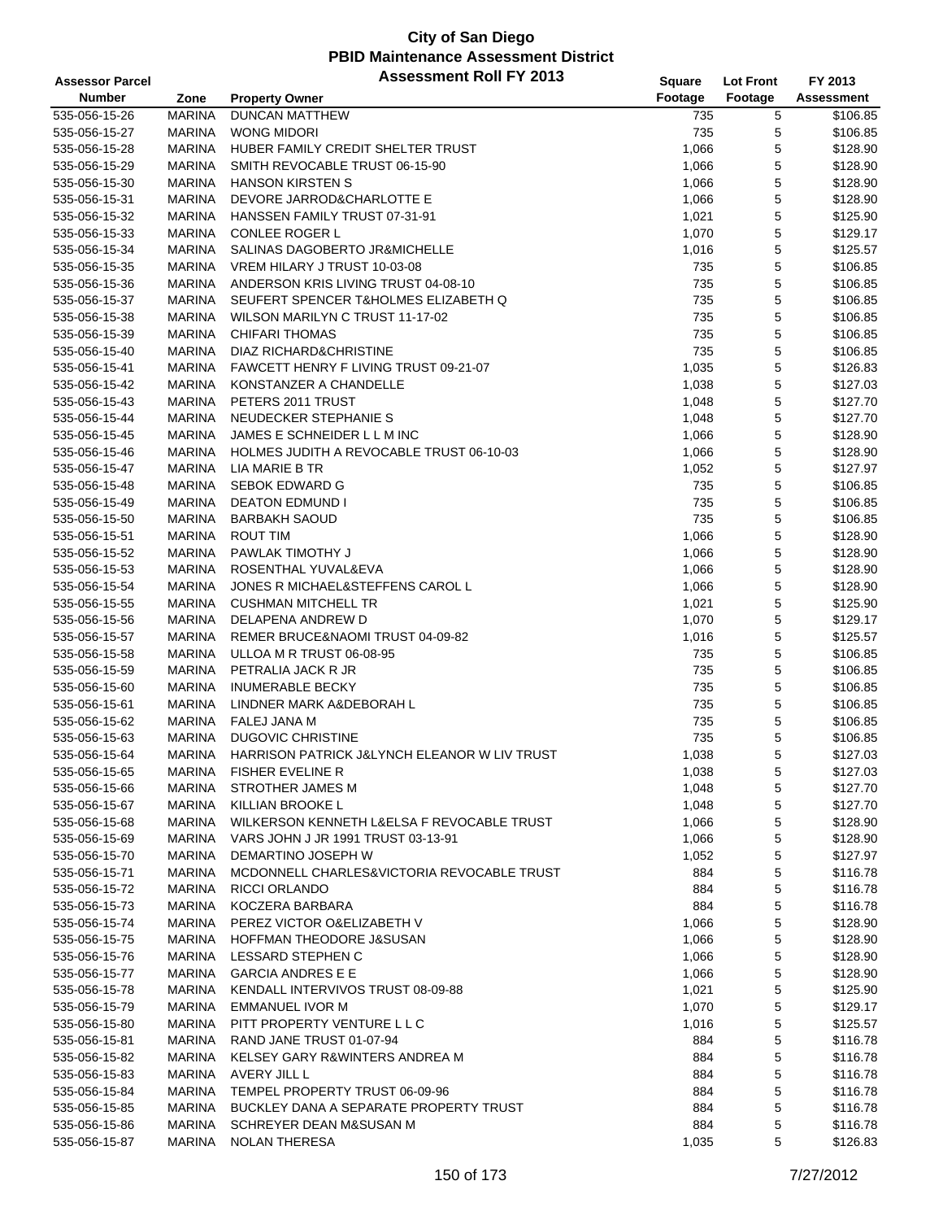| <b>Assessor Parcel</b> |               | <b>Assessment Roll FY 2013</b>                  | Square  | <b>Lot Front</b> | FY 2013           |
|------------------------|---------------|-------------------------------------------------|---------|------------------|-------------------|
| <b>Number</b>          | Zone          | <b>Property Owner</b>                           | Footage | Footage          | <b>Assessment</b> |
| 535-056-15-26          | <b>MARINA</b> | <b>DUNCAN MATTHEW</b>                           | 735     | 5                | \$106.85          |
| 535-056-15-27          | <b>MARINA</b> | <b>WONG MIDORI</b>                              | 735     | 5                | \$106.85          |
| 535-056-15-28          | <b>MARINA</b> | HUBER FAMILY CREDIT SHELTER TRUST               | 1,066   | 5                | \$128.90          |
| 535-056-15-29          | <b>MARINA</b> | SMITH REVOCABLE TRUST 06-15-90                  | 1,066   | 5                | \$128.90          |
| 535-056-15-30          | <b>MARINA</b> | <b>HANSON KIRSTEN S</b>                         | 1,066   | 5                | \$128.90          |
| 535-056-15-31          | <b>MARINA</b> | DEVORE JARROD&CHARLOTTE E                       | 1,066   | $\mathbf 5$      | \$128.90          |
| 535-056-15-32          | <b>MARINA</b> | HANSSEN FAMILY TRUST 07-31-91                   | 1,021   | 5                | \$125.90          |
| 535-056-15-33          | <b>MARINA</b> | <b>CONLEE ROGER L</b>                           | 1,070   | 5                | \$129.17          |
| 535-056-15-34          | <b>MARINA</b> | SALINAS DAGOBERTO JR&MICHELLE                   | 1,016   | 5                | \$125.57          |
| 535-056-15-35          | <b>MARINA</b> | VREM HILARY J TRUST 10-03-08                    | 735     | 5                | \$106.85          |
| 535-056-15-36          | <b>MARINA</b> | ANDERSON KRIS LIVING TRUST 04-08-10             | 735     | 5                | \$106.85          |
| 535-056-15-37          | <b>MARINA</b> | SEUFERT SPENCER T&HOLMES ELIZABETH Q            | 735     | 5                | \$106.85          |
| 535-056-15-38          | <b>MARINA</b> | WILSON MARILYN C TRUST 11-17-02                 | 735     | 5                | \$106.85          |
| 535-056-15-39          | <b>MARINA</b> | <b>CHIFARI THOMAS</b>                           | 735     | 5                | \$106.85          |
| 535-056-15-40          | <b>MARINA</b> | DIAZ RICHARD&CHRISTINE                          | 735     | 5                | \$106.85          |
| 535-056-15-41          | <b>MARINA</b> | FAWCETT HENRY F LIVING TRUST 09-21-07           | 1,035   | 5                | \$126.83          |
| 535-056-15-42          | <b>MARINA</b> | KONSTANZER A CHANDELLE                          | 1,038   | 5                | \$127.03          |
| 535-056-15-43          | <b>MARINA</b> | PETERS 2011 TRUST                               | 1,048   | 5                | \$127.70          |
| 535-056-15-44          | <b>MARINA</b> | NEUDECKER STEPHANIE S                           | 1,048   | 5                | \$127.70          |
| 535-056-15-45          | <b>MARINA</b> | JAMES E SCHNEIDER L L M INC                     | 1,066   | 5                | \$128.90          |
| 535-056-15-46          | <b>MARINA</b> | <b>HOLMES JUDITH A REVOCABLE TRUST 06-10-03</b> | 1,066   | 5                | \$128.90          |
| 535-056-15-47          | <b>MARINA</b> | LIA MARIE B TR                                  | 1,052   | 5                | \$127.97          |
| 535-056-15-48          | <b>MARINA</b> | <b>SEBOK EDWARD G</b>                           | 735     | 5                | \$106.85          |
| 535-056-15-49          | <b>MARINA</b> | <b>DEATON EDMUND I</b>                          | 735     | 5                | \$106.85          |
| 535-056-15-50          | <b>MARINA</b> | <b>BARBAKH SAOUD</b>                            | 735     | 5                | \$106.85          |
| 535-056-15-51          | <b>MARINA</b> | <b>ROUT TIM</b>                                 | 1,066   | 5                | \$128.90          |
| 535-056-15-52          | <b>MARINA</b> | PAWLAK TIMOTHY J                                | 1,066   | 5                | \$128.90          |
| 535-056-15-53          | <b>MARINA</b> | ROSENTHAL YUVAL&EVA                             | 1,066   | 5                | \$128.90          |
| 535-056-15-54          | <b>MARINA</b> | JONES R MICHAEL&STEFFENS CAROL L                | 1,066   | 5                | \$128.90          |
| 535-056-15-55          | <b>MARINA</b> | <b>CUSHMAN MITCHELL TR</b>                      | 1,021   | 5                | \$125.90          |
| 535-056-15-56          | <b>MARINA</b> | DELAPENA ANDREW D                               | 1,070   | 5                | \$129.17          |
| 535-056-15-57          | <b>MARINA</b> | REMER BRUCE&NAOMI TRUST 04-09-82                | 1,016   | 5                | \$125.57          |
| 535-056-15-58          | <b>MARINA</b> | ULLOA M R TRUST 06-08-95                        | 735     | 5                | \$106.85          |
| 535-056-15-59          | <b>MARINA</b> | PETRALIA JACK R JR                              | 735     | $\mathbf 5$      | \$106.85          |
| 535-056-15-60          | <b>MARINA</b> | <b>INUMERABLE BECKY</b>                         | 735     | 5                | \$106.85          |
| 535-056-15-61          | <b>MARINA</b> | LINDNER MARK A&DEBORAH L                        | 735     | 5                | \$106.85          |
| 535-056-15-62          | <b>MARINA</b> | <b>FALEJ JANA M</b>                             | 735     | 5                | \$106.85          |
| 535-056-15-63          | <b>MARINA</b> | <b>DUGOVIC CHRISTINE</b>                        | 735     | 5                | \$106.85          |
| 535-056-15-64          | <b>MARINA</b> | HARRISON PATRICK J&LYNCH ELEANOR W LIV TRUST    | 1,038   | 5                | \$127.03          |
| 535-056-15-65          | <b>MARINA</b> | <b>FISHER EVELINE R</b>                         | 1,038   | 5                | \$127.03          |
| 535-056-15-66          | <b>MARINA</b> | <b>STROTHER JAMES M</b>                         | 1,048   | 5                | \$127.70          |
| 535-056-15-67          | MARINA        | <b>KILLIAN BROOKE L</b>                         | 1,048   | 5                | \$127.70          |
| 535-056-15-68          | <b>MARINA</b> | WILKERSON KENNETH L&ELSA F REVOCABLE TRUST      | 1,066   | 5                | \$128.90          |
| 535-056-15-69          | <b>MARINA</b> | VARS JOHN J JR 1991 TRUST 03-13-91              | 1,066   | 5                | \$128.90          |
| 535-056-15-70          | <b>MARINA</b> | DEMARTINO JOSEPH W                              | 1,052   | 5                | \$127.97          |
| 535-056-15-71          | <b>MARINA</b> | MCDONNELL CHARLES&VICTORIA REVOCABLE TRUST      | 884     | 5                | \$116.78          |
| 535-056-15-72          | <b>MARINA</b> | RICCI ORLANDO                                   | 884     | 5                | \$116.78          |
| 535-056-15-73          | <b>MARINA</b> | KOCZERA BARBARA                                 | 884     | 5                | \$116.78          |
| 535-056-15-74          | <b>MARINA</b> | PEREZ VICTOR O& ELIZABETH V                     | 1,066   | 5                | \$128.90          |
| 535-056-15-75          | <b>MARINA</b> | HOFFMAN THEODORE J&SUSAN                        | 1,066   | 5                | \$128.90          |
| 535-056-15-76          | <b>MARINA</b> | LESSARD STEPHEN C                               | 1,066   | 5                | \$128.90          |
| 535-056-15-77          | <b>MARINA</b> | <b>GARCIA ANDRES E E</b>                        | 1,066   | 5                | \$128.90          |
| 535-056-15-78          | <b>MARINA</b> | KENDALL INTERVIVOS TRUST 08-09-88               | 1,021   | 5                | \$125.90          |
| 535-056-15-79          | <b>MARINA</b> | EMMANUEL IVOR M                                 | 1,070   | 5                | \$129.17          |
| 535-056-15-80          | <b>MARINA</b> | PITT PROPERTY VENTURE L L C                     | 1,016   | 5                | \$125.57          |
| 535-056-15-81          | MARINA        | RAND JANE TRUST 01-07-94                        | 884     | $\mathbf 5$      | \$116.78          |
| 535-056-15-82          | MARINA        | KELSEY GARY R&WINTERS ANDREA M                  | 884     | 5                | \$116.78          |
| 535-056-15-83          | <b>MARINA</b> | AVERY JILL L                                    | 884     | 5                | \$116.78          |
| 535-056-15-84          | <b>MARINA</b> | TEMPEL PROPERTY TRUST 06-09-96                  | 884     | 5                | \$116.78          |
| 535-056-15-85          | MARINA        | BUCKLEY DANA A SEPARATE PROPERTY TRUST          | 884     | 5                | \$116.78          |
| 535-056-15-86          | <b>MARINA</b> | SCHREYER DEAN M&SUSAN M                         | 884     | 5                | \$116.78          |
| 535-056-15-87          | <b>MARINA</b> | <b>NOLAN THERESA</b>                            | 1,035   | 5                | \$126.83          |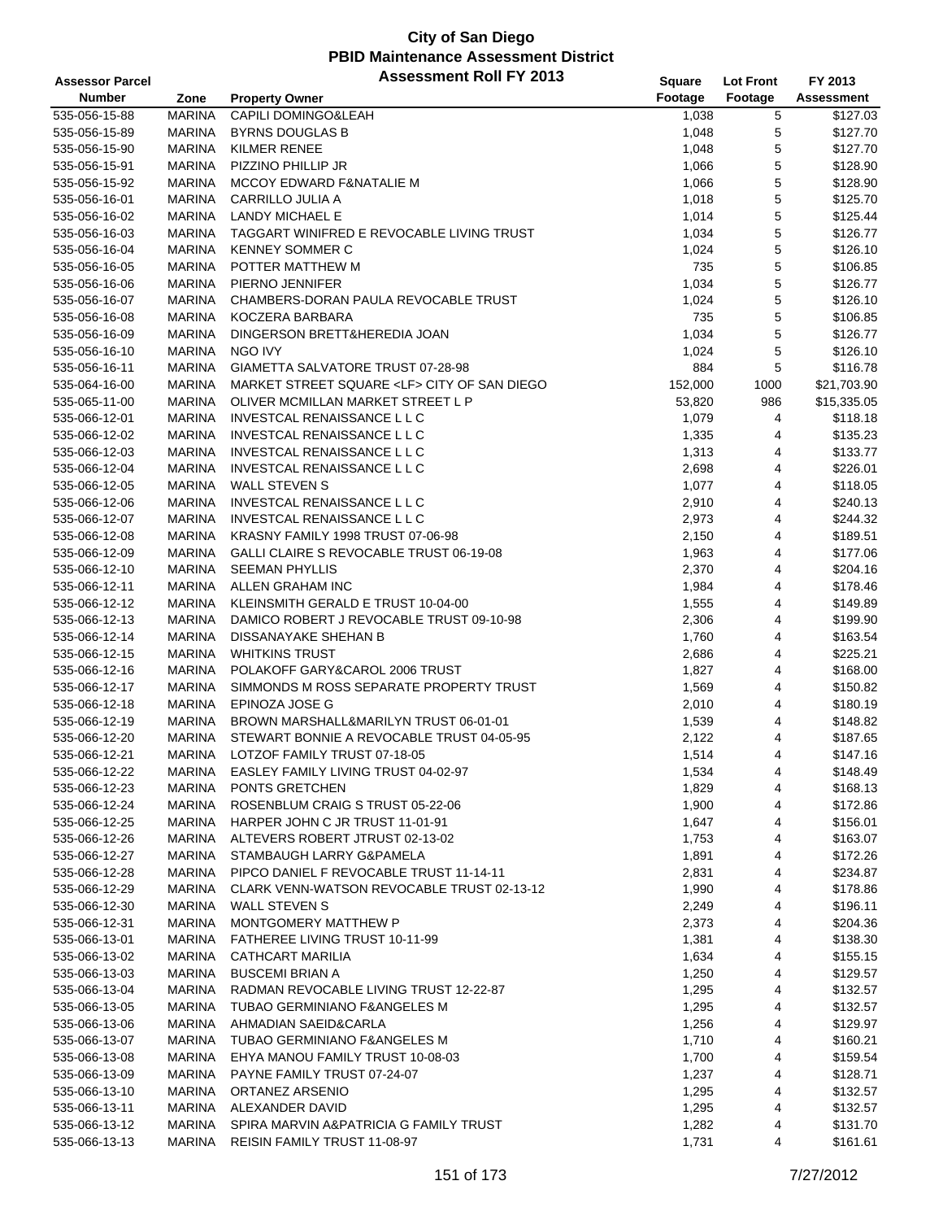| <b>Assessor Parcel</b> |               | <b>Assessment Roll FY 2013</b>                   | <b>Square</b> | <b>Lot Front</b>    | FY 2013     |
|------------------------|---------------|--------------------------------------------------|---------------|---------------------|-------------|
| <b>Number</b>          | Zone          | <b>Property Owner</b>                            | Footage       | Footage             | Assessment  |
| 535-056-15-88          | <b>MARINA</b> | <b>CAPILI DOMINGO&amp;LEAH</b>                   | 1,038         | 5                   | \$127.03    |
| 535-056-15-89          | <b>MARINA</b> | <b>BYRNS DOUGLAS B</b>                           | 1,048         | 5                   | \$127.70    |
| 535-056-15-90          | <b>MARINA</b> | <b>KILMER RENEE</b>                              | 1,048         | 5                   | \$127.70    |
| 535-056-15-91          | <b>MARINA</b> | PIZZINO PHILLIP JR                               | 1,066         | 5                   | \$128.90    |
| 535-056-15-92          | <b>MARINA</b> | MCCOY EDWARD F&NATALIE M                         | 1,066         | 5                   | \$128.90    |
| 535-056-16-01          | <b>MARINA</b> | CARRILLO JULIA A                                 | 1,018         | 5                   | \$125.70    |
| 535-056-16-02          | MARINA        | LANDY MICHAEL E                                  | 1,014         | 5                   | \$125.44    |
| 535-056-16-03          | <b>MARINA</b> | TAGGART WINIFRED E REVOCABLE LIVING TRUST        | 1,034         | 5                   | \$126.77    |
| 535-056-16-04          | <b>MARINA</b> | <b>KENNEY SOMMER C</b>                           | 1,024         | 5                   | \$126.10    |
| 535-056-16-05          | <b>MARINA</b> | POTTER MATTHEW M                                 | 735           | 5                   | \$106.85    |
| 535-056-16-06          | <b>MARINA</b> | PIERNO JENNIFER                                  | 1,034         | 5                   | \$126.77    |
| 535-056-16-07          | <b>MARINA</b> | CHAMBERS-DORAN PAULA REVOCABLE TRUST             | 1,024         | 5                   | \$126.10    |
| 535-056-16-08          | <b>MARINA</b> | KOCZERA BARBARA                                  | 735           | 5                   | \$106.85    |
| 535-056-16-09          | <b>MARINA</b> | DINGERSON BRETT&HEREDIA JOAN                     | 1,034         | 5                   | \$126.77    |
| 535-056-16-10          | <b>MARINA</b> | NGO IVY                                          | 1,024         | 5                   | \$126.10    |
| 535-056-16-11          | <b>MARINA</b> | GIAMETTA SALVATORE TRUST 07-28-98                | 884           | 5                   | \$116.78    |
| 535-064-16-00          | <b>MARINA</b> | MARKET STREET SQUARE <lf> CITY OF SAN DIEGO</lf> | 152,000       | 1000                | \$21,703.90 |
| 535-065-11-00          | <b>MARINA</b> | OLIVER MCMILLAN MARKET STREET L P                | 53,820        | 986                 | \$15,335.05 |
| 535-066-12-01          | <b>MARINA</b> | INVESTCAL RENAISSANCE L L C                      | 1,079         | 4                   | \$118.18    |
| 535-066-12-02          | <b>MARINA</b> | INVESTCAL RENAISSANCE L L C                      | 1,335         | 4                   | \$135.23    |
| 535-066-12-03          | <b>MARINA</b> | <b>INVESTCAL RENAISSANCE L L C</b>               | 1,313         | 4                   | \$133.77    |
| 535-066-12-04          | <b>MARINA</b> | INVESTCAL RENAISSANCE L L C                      | 2,698         | 4                   | \$226.01    |
| 535-066-12-05          | <b>MARINA</b> | <b>WALL STEVEN S</b>                             | 1,077         | 4                   | \$118.05    |
| 535-066-12-06          | <b>MARINA</b> | INVESTCAL RENAISSANCE L L C                      | 2,910         | 4                   | \$240.13    |
| 535-066-12-07          | <b>MARINA</b> | INVESTCAL RENAISSANCE L L C                      | 2,973         | 4                   | \$244.32    |
|                        | <b>MARINA</b> | KRASNY FAMILY 1998 TRUST 07-06-98                | 2,150         | 4                   | \$189.51    |
| 535-066-12-08          | <b>MARINA</b> | GALLI CLAIRE S REVOCABLE TRUST 06-19-08          |               | 4                   |             |
| 535-066-12-09          |               |                                                  | 1,963         |                     | \$177.06    |
| 535-066-12-10          | <b>MARINA</b> | <b>SEEMAN PHYLLIS</b>                            | 2,370         | 4                   | \$204.16    |
| 535-066-12-11          | <b>MARINA</b> | ALLEN GRAHAM INC                                 | 1,984         | 4                   | \$178.46    |
| 535-066-12-12          | <b>MARINA</b> | KLEINSMITH GERALD E TRUST 10-04-00               | 1,555         | 4                   | \$149.89    |
| 535-066-12-13          | <b>MARINA</b> | DAMICO ROBERT J REVOCABLE TRUST 09-10-98         | 2,306         | 4                   | \$199.90    |
| 535-066-12-14          | MARINA        | DISSANAYAKE SHEHAN B                             | 1,760         | 4                   | \$163.54    |
| 535-066-12-15          | <b>MARINA</b> | <b>WHITKINS TRUST</b>                            | 2,686         | 4                   | \$225.21    |
| 535-066-12-16          | <b>MARINA</b> | POLAKOFF GARY&CAROL 2006 TRUST                   | 1,827         | 4                   | \$168.00    |
| 535-066-12-17          | <b>MARINA</b> | SIMMONDS M ROSS SEPARATE PROPERTY TRUST          | 1,569         | 4                   | \$150.82    |
| 535-066-12-18          | <b>MARINA</b> | EPINOZA JOSE G                                   | 2,010         | 4                   | \$180.19    |
| 535-066-12-19          | <b>MARINA</b> | BROWN MARSHALL&MARILYN TRUST 06-01-01            | 1,539         | 4                   | \$148.82    |
| 535-066-12-20          | MARINA        | STEWART BONNIE A REVOCABLE TRUST 04-05-95        | 2,122         | 4<br>$\overline{4}$ | \$187.65    |
| 535-066-12-21          | <b>MARINA</b> | LOTZOF FAMILY TRUST 07-18-05                     | 1,514         |                     | \$147.16    |
| 535-066-12-22          | MARINA        | EASLEY FAMILY LIVING TRUST 04-02-97              | 1,534         | 4                   | \$148.49    |
| 535-066-12-23          | <b>MARINA</b> | PONTS GRETCHEN                                   | 1,829         | 4                   | \$168.13    |
| 535-066-12-24          | MARINA        | ROSENBLUM CRAIG S TRUST 05-22-06                 | 1,900         | 4                   | \$172.86    |
| 535-066-12-25          | <b>MARINA</b> | HARPER JOHN C JR TRUST 11-01-91                  | 1,647         | 4                   | \$156.01    |
| 535-066-12-26          | <b>MARINA</b> | ALTEVERS ROBERT JTRUST 02-13-02                  | 1,753         | 4                   | \$163.07    |
| 535-066-12-27          | <b>MARINA</b> | STAMBAUGH LARRY G&PAMELA                         | 1,891         | 4                   | \$172.26    |
| 535-066-12-28          | MARINA        | PIPCO DANIEL F REVOCABLE TRUST 11-14-11          | 2,831         | 4                   | \$234.87    |
| 535-066-12-29          | <b>MARINA</b> | CLARK VENN-WATSON REVOCABLE TRUST 02-13-12       | 1,990         | 4                   | \$178.86    |
| 535-066-12-30          | <b>MARINA</b> | <b>WALL STEVEN S</b>                             | 2,249         | 4                   | \$196.11    |
| 535-066-12-31          | MARINA        | MONTGOMERY MATTHEW P                             | 2,373         | 4                   | \$204.36    |
| 535-066-13-01          | <b>MARINA</b> | FATHEREE LIVING TRUST 10-11-99                   | 1,381         | 4                   | \$138.30    |
| 535-066-13-02          | <b>MARINA</b> | CATHCART MARILIA                                 | 1,634         | 4                   | \$155.15    |
| 535-066-13-03          | <b>MARINA</b> | <b>BUSCEMI BRIAN A</b>                           | 1,250         | 4                   | \$129.57    |
| 535-066-13-04          | <b>MARINA</b> | RADMAN REVOCABLE LIVING TRUST 12-22-87           | 1,295         | 4                   | \$132.57    |
| 535-066-13-05          | MARINA        | <b>TUBAO GERMINIANO F&amp;ANGELES M</b>          | 1,295         | 4                   | \$132.57    |
| 535-066-13-06          | <b>MARINA</b> | AHMADIAN SAEID&CARLA                             | 1,256         | 4                   | \$129.97    |
| 535-066-13-07          | MARINA        | TUBAO GERMINIANO F&ANGELES M                     | 1,710         | 4                   | \$160.21    |
| 535-066-13-08          | MARINA        | EHYA MANOU FAMILY TRUST 10-08-03                 | 1,700         | 4                   | \$159.54    |
| 535-066-13-09          | <b>MARINA</b> | PAYNE FAMILY TRUST 07-24-07                      | 1,237         | 4                   | \$128.71    |
| 535-066-13-10          | <b>MARINA</b> | ORTANEZ ARSENIO                                  | 1,295         | 4                   | \$132.57    |
| 535-066-13-11          | MARINA        | ALEXANDER DAVID                                  | 1,295         | 4                   | \$132.57    |
| 535-066-13-12          | MARINA        | SPIRA MARVIN A&PATRICIA G FAMILY TRUST           | 1,282         | 4                   | \$131.70    |
| 535-066-13-13          | <b>MARINA</b> | REISIN FAMILY TRUST 11-08-97                     | 1,731         | 4                   | \$161.61    |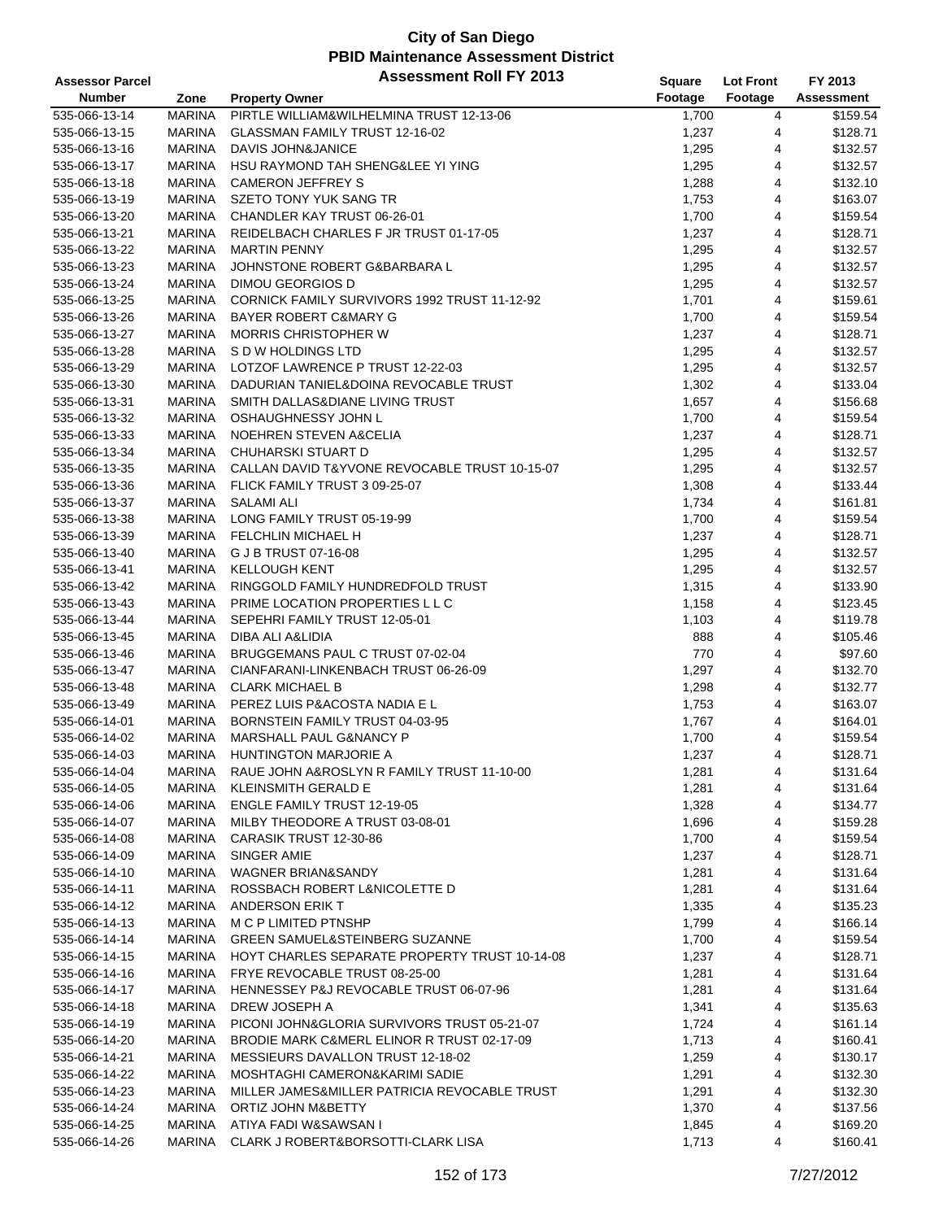| <b>Assessor Parcel</b> |               | <b>Assessment Roll FY 2013</b>                | Square  | <b>Lot Front</b> | FY 2013    |
|------------------------|---------------|-----------------------------------------------|---------|------------------|------------|
| <b>Number</b>          | Zone          | <b>Property Owner</b>                         | Footage | Footage          | Assessment |
| 535-066-13-14          | <b>MARINA</b> | PIRTLE WILLIAM&WILHELMINA TRUST 12-13-06      | 1,700   | 4                | \$159.54   |
| 535-066-13-15          | <b>MARINA</b> | GLASSMAN FAMILY TRUST 12-16-02                | 1,237   | 4                | \$128.71   |
| 535-066-13-16          | <b>MARINA</b> | DAVIS JOHN&JANICE                             | 1,295   | 4                | \$132.57   |
| 535-066-13-17          | <b>MARINA</b> | HSU RAYMOND TAH SHENG&LEE YI YING             | 1,295   | 4                | \$132.57   |
| 535-066-13-18          | <b>MARINA</b> | <b>CAMERON JEFFREY S</b>                      | 1,288   | 4                | \$132.10   |
| 535-066-13-19          | MARINA        | SZETO TONY YUK SANG TR                        | 1,753   | 4                | \$163.07   |
| 535-066-13-20          | MARINA        | CHANDLER KAY TRUST 06-26-01                   | 1,700   | 4                | \$159.54   |
| 535-066-13-21          | <b>MARINA</b> | REIDELBACH CHARLES F JR TRUST 01-17-05        | 1,237   | 4                | \$128.71   |
| 535-066-13-22          | <b>MARINA</b> | <b>MARTIN PENNY</b>                           | 1,295   | 4                | \$132.57   |
| 535-066-13-23          | <b>MARINA</b> | JOHNSTONE ROBERT G&BARBARA L                  | 1,295   | 4                | \$132.57   |
| 535-066-13-24          | MARINA        | <b>DIMOU GEORGIOS D</b>                       | 1,295   | 4                | \$132.57   |
| 535-066-13-25          | MARINA        | CORNICK FAMILY SURVIVORS 1992 TRUST 11-12-92  | 1,701   | 4                | \$159.61   |
| 535-066-13-26          | MARINA        | BAYER ROBERT C&MARY G                         | 1,700   | 4                | \$159.54   |
| 535-066-13-27          | MARINA        | <b>MORRIS CHRISTOPHER W</b>                   | 1,237   | 4                | \$128.71   |
| 535-066-13-28          | MARINA        | S D W HOLDINGS LTD                            | 1,295   | 4                | \$132.57   |
| 535-066-13-29          | MARINA        | LOTZOF LAWRENCE P TRUST 12-22-03              | 1,295   | 4                | \$132.57   |
| 535-066-13-30          | MARINA        | DADURIAN TANIEL&DOINA REVOCABLE TRUST         | 1,302   | 4                | \$133.04   |
| 535-066-13-31          | MARINA        | SMITH DALLAS&DIANE LIVING TRUST               | 1,657   | 4                | \$156.68   |
| 535-066-13-32          | <b>MARINA</b> | OSHAUGHNESSY JOHN L                           | 1,700   | 4                | \$159.54   |
| 535-066-13-33          | MARINA        | NOEHREN STEVEN A&CELIA                        | 1,237   | 4                | \$128.71   |
| 535-066-13-34          | <b>MARINA</b> | <b>CHUHARSKI STUART D</b>                     | 1,295   | 4                | \$132.57   |
| 535-066-13-35          | MARINA        | CALLAN DAVID T&YVONE REVOCABLE TRUST 10-15-07 | 1,295   | 4                | \$132.57   |
| 535-066-13-36          | MARINA        | FLICK FAMILY TRUST 3 09-25-07                 | 1,308   | 4                | \$133.44   |
| 535-066-13-37          | MARINA        | <b>SALAMI ALI</b>                             | 1,734   | 4                | \$161.81   |
| 535-066-13-38          | MARINA        | LONG FAMILY TRUST 05-19-99                    | 1,700   | 4                | \$159.54   |
| 535-066-13-39          | MARINA        | <b>FELCHLIN MICHAEL H</b>                     | 1,237   | 4                | \$128.71   |
| 535-066-13-40          | MARINA        | G J B TRUST 07-16-08                          | 1,295   | 4                | \$132.57   |
| 535-066-13-41          | MARINA        | <b>KELLOUGH KENT</b>                          | 1,295   | 4                | \$132.57   |
| 535-066-13-42          | MARINA        | RINGGOLD FAMILY HUNDREDFOLD TRUST             | 1,315   | 4                | \$133.90   |
| 535-066-13-43          | <b>MARINA</b> | PRIME LOCATION PROPERTIES L L C               | 1,158   | 4                | \$123.45   |
| 535-066-13-44          | MARINA        | SEPEHRI FAMILY TRUST 12-05-01                 | 1,103   | 4                | \$119.78   |
| 535-066-13-45          | <b>MARINA</b> | DIBA ALI A&LIDIA                              | 888     | 4                | \$105.46   |
| 535-066-13-46          | <b>MARINA</b> | BRUGGEMANS PAUL C TRUST 07-02-04              | 770     | 4                | \$97.60    |
| 535-066-13-47          | MARINA        | CIANFARANI-LINKENBACH TRUST 06-26-09          | 1,297   | 4                | \$132.70   |
| 535-066-13-48          | MARINA        | <b>CLARK MICHAEL B</b>                        | 1,298   | 4                | \$132.77   |
| 535-066-13-49          | MARINA        | PEREZ LUIS P&ACOSTA NADIA E L                 | 1,753   | 4                | \$163.07   |
| 535-066-14-01          | MARINA        | BORNSTEIN FAMILY TRUST 04-03-95               | 1,767   | 4                | \$164.01   |
| 535-066-14-02          | <b>MARINA</b> | MARSHALL PAUL G&NANCY P                       | 1,700   | 4                | \$159.54   |
| 535-066-14-03          | <b>MARINA</b> | <b>HUNTINGTON MARJORIE A</b>                  | 1,237   | 4                | \$128.71   |
| 535-066-14-04          | MARINA        | RAUE JOHN A&ROSLYN R FAMILY TRUST 11-10-00    | 1,281   | 4                | \$131.64   |
| 535-066-14-05          | MARINA        | <b>KLEINSMITH GERALD E</b>                    | 1,281   | 4                | \$131.64   |
| 535-066-14-06          | MARINA        | <b>ENGLE FAMILY TRUST 12-19-05</b>            | 1,328   | 4                | \$134.77   |
| 535-066-14-07          | MARINA        | MILBY THEODORE A TRUST 03-08-01               | 1,696   | 4                | \$159.28   |
| 535-066-14-08          | MARINA        | CARASIK TRUST 12-30-86                        | 1,700   | 4                | \$159.54   |
| 535-066-14-09          | MARINA        | SINGER AMIE                                   | 1,237   | 4                | \$128.71   |
| 535-066-14-10          | MARINA        | WAGNER BRIAN&SANDY                            | 1,281   | 4                | \$131.64   |
| 535-066-14-11          | MARINA        | ROSSBACH ROBERT L&NICOLETTE D                 | 1,281   | 4                | \$131.64   |
| 535-066-14-12          | MARINA        | ANDERSON ERIK T                               | 1,335   | 4                | \$135.23   |
| 535-066-14-13          | MARINA        | M C P LIMITED PTNSHP                          | 1,799   | 4                | \$166.14   |
| 535-066-14-14          | MARINA        | <b>GREEN SAMUEL&amp;STEINBERG SUZANNE</b>     | 1,700   | 4                | \$159.54   |
| 535-066-14-15          | MARINA        | HOYT CHARLES SEPARATE PROPERTY TRUST 10-14-08 | 1,237   | 4                | \$128.71   |
| 535-066-14-16          | MARINA        | FRYE REVOCABLE TRUST 08-25-00                 | 1,281   | 4                | \$131.64   |
| 535-066-14-17          | MARINA        | HENNESSEY P&J REVOCABLE TRUST 06-07-96        | 1,281   | 4                | \$131.64   |
| 535-066-14-18          | MARINA        | DREW JOSEPH A                                 | 1,341   | 4                | \$135.63   |
| 535-066-14-19          | MARINA        | PICONI JOHN&GLORIA SURVIVORS TRUST 05-21-07   | 1,724   | 4                | \$161.14   |
| 535-066-14-20          | MARINA        | BRODIE MARK C&MERL ELINOR R TRUST 02-17-09    | 1,713   | 4                | \$160.41   |
| 535-066-14-21          | MARINA        | MESSIEURS DAVALLON TRUST 12-18-02             | 1,259   | 4                | \$130.17   |
| 535-066-14-22          | MARINA        | MOSHTAGHI CAMERON&KARIMI SADIE                | 1,291   | 4                | \$132.30   |
| 535-066-14-23          | MARINA        | MILLER JAMES&MILLER PATRICIA REVOCABLE TRUST  | 1,291   | 4                | \$132.30   |
| 535-066-14-24          | MARINA        | ORTIZ JOHN M&BETTY                            | 1,370   | 4                | \$137.56   |
| 535-066-14-25          | MARINA        | ATIYA FADI W&SAWSAN I                         | 1,845   | 4                | \$169.20   |
| 535-066-14-26          | MARINA        | CLARK J ROBERT&BORSOTTI-CLARK LISA            | 1,713   | 4                | \$160.41   |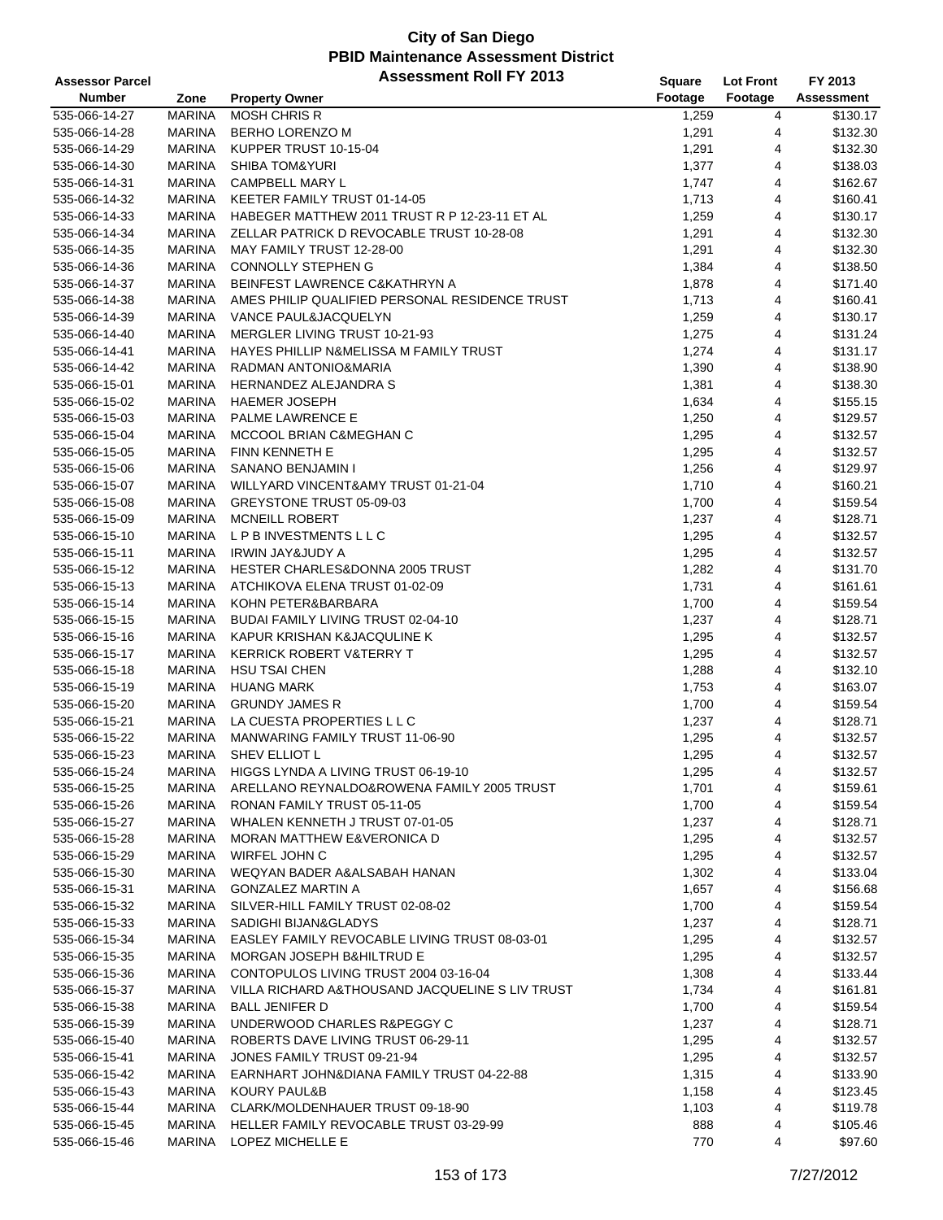| <b>Assessor Parcel</b> |               | <b>Assessment Roll FY 2013</b>                   | Square  | <b>Lot Front</b> | FY 2013    |
|------------------------|---------------|--------------------------------------------------|---------|------------------|------------|
| <b>Number</b>          | Zone          | <b>Property Owner</b>                            | Footage | Footage          | Assessment |
| 535-066-14-27          | <b>MARINA</b> | <b>MOSH CHRIS R</b>                              | 1,259   | 4                | \$130.17   |
| 535-066-14-28          | <b>MARINA</b> | BERHO LORENZO M                                  | 1,291   | 4                | \$132.30   |
| 535-066-14-29          | <b>MARINA</b> | KUPPER TRUST 10-15-04                            | 1,291   | 4                | \$132.30   |
| 535-066-14-30          | <b>MARINA</b> | <b>SHIBA TOM&amp;YURI</b>                        | 1,377   | 4                | \$138.03   |
| 535-066-14-31          | <b>MARINA</b> | <b>CAMPBELL MARY L</b>                           | 1,747   | 4                | \$162.67   |
| 535-066-14-32          | <b>MARINA</b> | KEETER FAMILY TRUST 01-14-05                     | 1,713   | 4                | \$160.41   |
| 535-066-14-33          | MARINA        | HABEGER MATTHEW 2011 TRUST R P 12-23-11 ET AL    | 1,259   | 4                | \$130.17   |
| 535-066-14-34          | <b>MARINA</b> | ZELLAR PATRICK D REVOCABLE TRUST 10-28-08        | 1,291   | 4                | \$132.30   |
| 535-066-14-35          | <b>MARINA</b> | MAY FAMILY TRUST 12-28-00                        | 1,291   | 4                | \$132.30   |
| 535-066-14-36          | <b>MARINA</b> | <b>CONNOLLY STEPHEN G</b>                        | 1,384   | 4                | \$138.50   |
| 535-066-14-37          | <b>MARINA</b> | BEINFEST LAWRENCE C&KATHRYN A                    | 1,878   | 4                | \$171.40   |
| 535-066-14-38          | <b>MARINA</b> | AMES PHILIP QUALIFIED PERSONAL RESIDENCE TRUST   | 1,713   | 4                | \$160.41   |
| 535-066-14-39          | <b>MARINA</b> | VANCE PAUL&JACQUELYN                             | 1,259   | 4                | \$130.17   |
| 535-066-14-40          | <b>MARINA</b> | MERGLER LIVING TRUST 10-21-93                    | 1,275   | 4                | \$131.24   |
| 535-066-14-41          | <b>MARINA</b> | HAYES PHILLIP N&MELISSA M FAMILY TRUST           | 1,274   | 4                | \$131.17   |
| 535-066-14-42          | <b>MARINA</b> | RADMAN ANTONIO&MARIA                             | 1,390   | 4                | \$138.90   |
| 535-066-15-01          | <b>MARINA</b> | HERNANDEZ ALEJANDRA S                            | 1,381   | 4                | \$138.30   |
| 535-066-15-02          | <b>MARINA</b> | <b>HAEMER JOSEPH</b>                             | 1,634   | 4                | \$155.15   |
| 535-066-15-03          | <b>MARINA</b> | PALME LAWRENCE E                                 | 1,250   | 4                | \$129.57   |
| 535-066-15-04          | <b>MARINA</b> | MCCOOL BRIAN C&MEGHAN C                          | 1,295   | 4                | \$132.57   |
| 535-066-15-05          | <b>MARINA</b> | FINN KENNETH E                                   | 1,295   | 4                | \$132.57   |
| 535-066-15-06          | <b>MARINA</b> | SANANO BENJAMIN I                                | 1,256   | 4                | \$129.97   |
| 535-066-15-07          | <b>MARINA</b> | WILLYARD VINCENT&AMY TRUST 01-21-04              | 1,710   | 4                | \$160.21   |
| 535-066-15-08          | <b>MARINA</b> | GREYSTONE TRUST 05-09-03                         | 1,700   | 4                | \$159.54   |
| 535-066-15-09          | <b>MARINA</b> | <b>MCNEILL ROBERT</b>                            | 1,237   | 4                | \$128.71   |
| 535-066-15-10          | <b>MARINA</b> | LPB INVESTMENTS LLC                              | 1,295   | 4                | \$132.57   |
| 535-066-15-11          | <b>MARINA</b> | IRWIN JAY&JUDY A                                 | 1,295   | 4                | \$132.57   |
| 535-066-15-12          | <b>MARINA</b> | HESTER CHARLES&DONNA 2005 TRUST                  | 1,282   | 4                | \$131.70   |
| 535-066-15-13          | <b>MARINA</b> | ATCHIKOVA ELENA TRUST 01-02-09                   | 1,731   | 4                | \$161.61   |
| 535-066-15-14          | <b>MARINA</b> | KOHN PETER&BARBARA                               | 1,700   | 4                | \$159.54   |
| 535-066-15-15          | <b>MARINA</b> | BUDAI FAMILY LIVING TRUST 02-04-10               | 1,237   | 4                | \$128.71   |
| 535-066-15-16          | MARINA        | KAPUR KRISHAN K&JACQULINE K                      | 1,295   | 4                | \$132.57   |
| 535-066-15-17          | <b>MARINA</b> | <b>KERRICK ROBERT V&amp;TERRY T</b>              | 1,295   | 4                | \$132.57   |
| 535-066-15-18          | <b>MARINA</b> | <b>HSU TSAI CHEN</b>                             | 1,288   | 4                | \$132.10   |
| 535-066-15-19          | MARINA        | <b>HUANG MARK</b>                                | 1,753   | 4                | \$163.07   |
| 535-066-15-20          | <b>MARINA</b> | <b>GRUNDY JAMES R</b>                            | 1,700   | 4                | \$159.54   |
| 535-066-15-21          | <b>MARINA</b> | LA CUESTA PROPERTIES L L C                       | 1,237   | 4                | \$128.71   |
| 535-066-15-22          | MARINA        | MANWARING FAMILY TRUST 11-06-90                  | 1,295   | 4                | \$132.57   |
| 535-066-15-23          | <b>MARINA</b> | SHEV ELLIOT L                                    | 1,295   | 4                | \$132.57   |
| 535-066-15-24          | MARINA        | HIGGS LYNDA A LIVING TRUST 06-19-10              | 1,295   | 4                | \$132.57   |
| 535-066-15-25          | MARINA        | ARELLANO REYNALDO&ROWENA FAMILY 2005 TRUST       | 1,701   | 4                | \$159.61   |
| 535-066-15-26          | <b>MARINA</b> | RONAN FAMILY TRUST 05-11-05                      | 1,700   | 4                | \$159.54   |
| 535-066-15-27          | <b>MARINA</b> | WHALEN KENNETH J TRUST 07-01-05                  | 1,237   | 4                | \$128.71   |
| 535-066-15-28          | <b>MARINA</b> | MORAN MATTHEW E&VERONICA D                       | 1,295   | 4                | \$132.57   |
| 535-066-15-29          | <b>MARINA</b> | WIRFEL JOHN C                                    | 1,295   | 4                | \$132.57   |
| 535-066-15-30          | MARINA        | WEQYAN BADER A&ALSABAH HANAN                     | 1,302   | 4                | \$133.04   |
| 535-066-15-31          | <b>MARINA</b> | <b>GONZALEZ MARTIN A</b>                         | 1,657   | 4                | \$156.68   |
| 535-066-15-32          | <b>MARINA</b> | SILVER-HILL FAMILY TRUST 02-08-02                | 1,700   | 4                | \$159.54   |
| 535-066-15-33          | MARINA        | SADIGHI BIJAN&GLADYS                             | 1,237   | 4                | \$128.71   |
| 535-066-15-34          | <b>MARINA</b> | EASLEY FAMILY REVOCABLE LIVING TRUST 08-03-01    | 1,295   | 4                | \$132.57   |
| 535-066-15-35          | <b>MARINA</b> | MORGAN JOSEPH B&HILTRUD E                        | 1,295   | 4                | \$132.57   |
| 535-066-15-36          | MARINA        | CONTOPULOS LIVING TRUST 2004 03-16-04            | 1,308   | 4                | \$133.44   |
| 535-066-15-37          | <b>MARINA</b> | VILLA RICHARD A& THOUSAND JACQUELINE S LIV TRUST | 1,734   | 4                | \$161.81   |
| 535-066-15-38          | <b>MARINA</b> | <b>BALL JENIFER D</b>                            | 1,700   | 4                | \$159.54   |
| 535-066-15-39          | <b>MARINA</b> | UNDERWOOD CHARLES R&PEGGY C                      | 1,237   | 4                | \$128.71   |
| 535-066-15-40          | MARINA        | ROBERTS DAVE LIVING TRUST 06-29-11               | 1,295   | 4                | \$132.57   |
| 535-066-15-41          | MARINA        | JONES FAMILY TRUST 09-21-94                      | 1,295   | 4                | \$132.57   |
| 535-066-15-42          | <b>MARINA</b> | EARNHART JOHN&DIANA FAMILY TRUST 04-22-88        | 1,315   | 4                | \$133.90   |
| 535-066-15-43          | <b>MARINA</b> | KOURY PAUL&B                                     | 1,158   | 4                | \$123.45   |
| 535-066-15-44          | MARINA        | CLARK/MOLDENHAUER TRUST 09-18-90                 | 1,103   | 4                | \$119.78   |
| 535-066-15-45          | <b>MARINA</b> | HELLER FAMILY REVOCABLE TRUST 03-29-99           | 888     | 4                | \$105.46   |
| 535-066-15-46          | <b>MARINA</b> | LOPEZ MICHELLE E                                 | 770     | 4                | \$97.60    |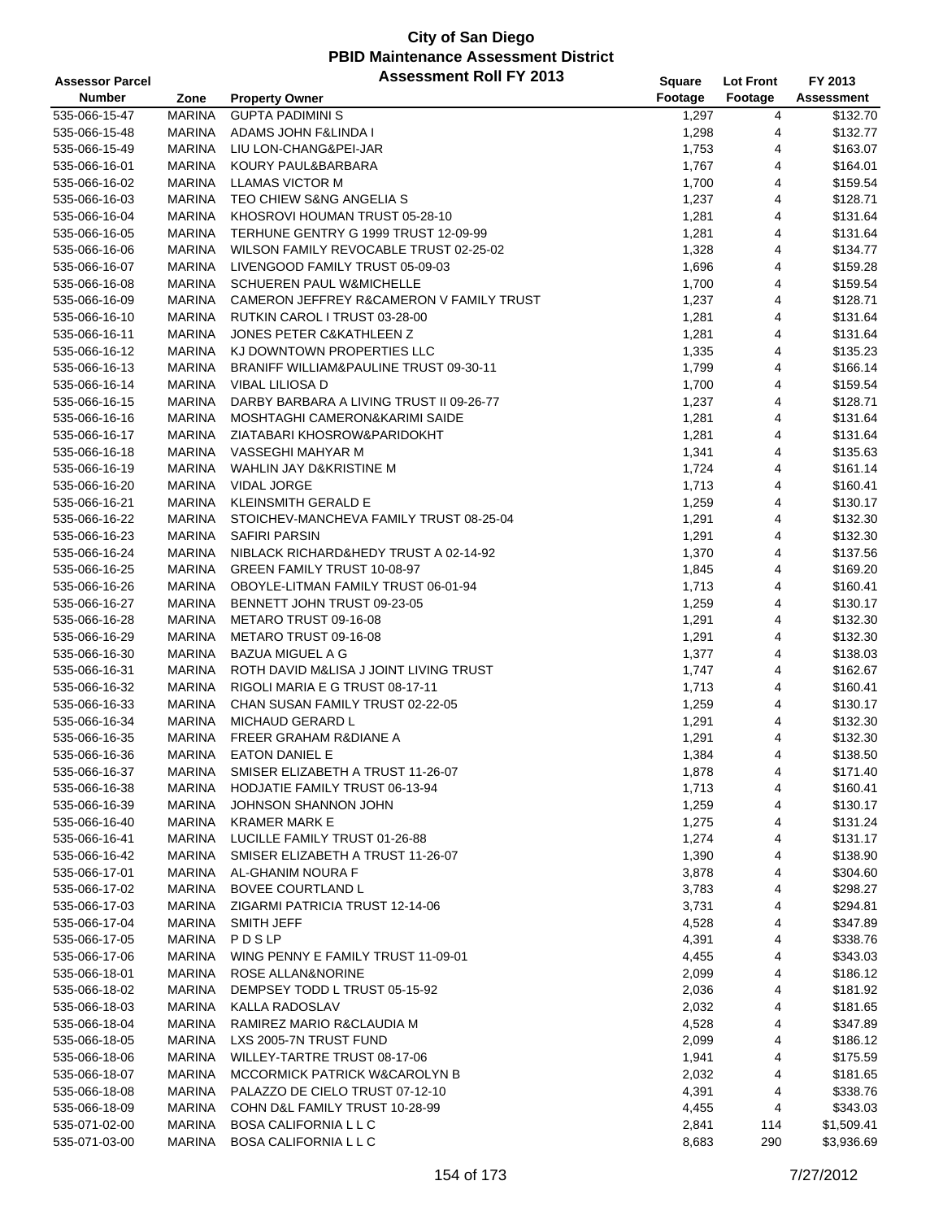| <b>Assessor Parcel</b> |               | <b>Assessment Roll FY 2013</b>           | Square  | <b>Lot Front</b> | FY 2013           |
|------------------------|---------------|------------------------------------------|---------|------------------|-------------------|
| <b>Number</b>          | Zone          | <b>Property Owner</b>                    | Footage | Footage          | <b>Assessment</b> |
| 535-066-15-47          | <b>MARINA</b> | <b>GUPTA PADIMINI S</b>                  | 1,297   | 4                | \$132.70          |
| 535-066-15-48          | <b>MARINA</b> | ADAMS JOHN F&LINDA I                     | 1,298   | 4                | \$132.77          |
| 535-066-15-49          | <b>MARINA</b> | LIU LON-CHANG&PEI-JAR                    | 1,753   | 4                | \$163.07          |
| 535-066-16-01          | <b>MARINA</b> | KOURY PAUL&BARBARA                       | 1,767   | 4                | \$164.01          |
| 535-066-16-02          | <b>MARINA</b> | <b>LLAMAS VICTOR M</b>                   | 1,700   | 4                | \$159.54          |
| 535-066-16-03          | <b>MARINA</b> | TEO CHIEW S&NG ANGELIA S                 | 1,237   | 4                | \$128.71          |
| 535-066-16-04          | MARINA        | KHOSROVI HOUMAN TRUST 05-28-10           | 1,281   | 4                | \$131.64          |
| 535-066-16-05          | <b>MARINA</b> | TERHUNE GENTRY G 1999 TRUST 12-09-99     | 1,281   | 4                | \$131.64          |
| 535-066-16-06          | <b>MARINA</b> | WILSON FAMILY REVOCABLE TRUST 02-25-02   | 1,328   | 4                | \$134.77          |
| 535-066-16-07          | MARINA        | LIVENGOOD FAMILY TRUST 05-09-03          | 1,696   | 4                | \$159.28          |
| 535-066-16-08          | <b>MARINA</b> | SCHUEREN PAUL W&MICHELLE                 | 1,700   | 4                | \$159.54          |
| 535-066-16-09          | <b>MARINA</b> | CAMERON JEFFREY R&CAMERON V FAMILY TRUST | 1,237   | 4                | \$128.71          |
| 535-066-16-10          | MARINA        | RUTKIN CAROL I TRUST 03-28-00            | 1,281   | 4                | \$131.64          |
| 535-066-16-11          | <b>MARINA</b> | JONES PETER C&KATHLEEN Z                 | 1,281   | 4                | \$131.64          |
| 535-066-16-12          | <b>MARINA</b> | KJ DOWNTOWN PROPERTIES LLC               | 1,335   | 4                | \$135.23          |
| 535-066-16-13          | <b>MARINA</b> | BRANIFF WILLIAM&PAULINE TRUST 09-30-11   | 1,799   | 4                | \$166.14          |
| 535-066-16-14          | <b>MARINA</b> | VIBAL LILIOSA D                          | 1,700   | 4                | \$159.54          |
| 535-066-16-15          | <b>MARINA</b> | DARBY BARBARA A LIVING TRUST II 09-26-77 | 1,237   | 4                | \$128.71          |
| 535-066-16-16          | <b>MARINA</b> | MOSHTAGHI CAMERON&KARIMI SAIDE           | 1,281   | 4                | \$131.64          |
| 535-066-16-17          | <b>MARINA</b> | ZIATABARI KHOSROW&PARIDOKHT              | 1,281   | 4                | \$131.64          |
| 535-066-16-18          | MARINA        | VASSEGHI MAHYAR M                        | 1,341   | 4                | \$135.63          |
| 535-066-16-19          | <b>MARINA</b> | WAHLIN JAY D&KRISTINE M                  | 1,724   | 4                | \$161.14          |
| 535-066-16-20          | <b>MARINA</b> | VIDAL JORGE                              | 1,713   | 4                | \$160.41          |
| 535-066-16-21          | MARINA        | KLEINSMITH GERALD E                      | 1,259   | 4                | \$130.17          |
| 535-066-16-22          | <b>MARINA</b> | STOICHEV-MANCHEVA FAMILY TRUST 08-25-04  | 1,291   | 4                | \$132.30          |
| 535-066-16-23          | <b>MARINA</b> | <b>SAFIRI PARSIN</b>                     | 1,291   | 4                | \$132.30          |
| 535-066-16-24          | <b>MARINA</b> | NIBLACK RICHARD&HEDY TRUST A 02-14-92    | 1,370   | 4                | \$137.56          |
| 535-066-16-25          | <b>MARINA</b> | GREEN FAMILY TRUST 10-08-97              | 1,845   | 4                | \$169.20          |
| 535-066-16-26          | <b>MARINA</b> | OBOYLE-LITMAN FAMILY TRUST 06-01-94      | 1,713   | 4                | \$160.41          |
| 535-066-16-27          | <b>MARINA</b> | BENNETT JOHN TRUST 09-23-05              | 1,259   | 4                | \$130.17          |
| 535-066-16-28          | <b>MARINA</b> | METARO TRUST 09-16-08                    | 1,291   | 4                | \$132.30          |
| 535-066-16-29          | MARINA        | METARO TRUST 09-16-08                    | 1,291   | 4                | \$132.30          |
| 535-066-16-30          | <b>MARINA</b> | <b>BAZUA MIGUEL A G</b>                  | 1,377   | 4                | \$138.03          |
| 535-066-16-31          | <b>MARINA</b> | ROTH DAVID M&LISA J JOINT LIVING TRUST   | 1,747   | 4                | \$162.67          |
| 535-066-16-32          | MARINA        | RIGOLI MARIA E G TRUST 08-17-11          | 1,713   | 4                | \$160.41          |
| 535-066-16-33          | MARINA        | CHAN SUSAN FAMILY TRUST 02-22-05         | 1,259   | 4                | \$130.17          |
| 535-066-16-34          | MARINA        | <b>MICHAUD GERARD L</b>                  | 1,291   | 4                | \$132.30          |
| 535-066-16-35          | MARINA        | <b>FREER GRAHAM R&amp;DIANE A</b>        | 1,291   | 4                | \$132.30          |
| 535-066-16-36          | <b>MARINA</b> | <b>EATON DANIEL E</b>                    | 1,384   | $\overline{4}$   | \$138.50          |
| 535-066-16-37          | MARINA        | SMISER ELIZABETH A TRUST 11-26-07        | 1,878   | 4                | \$171.40          |
| 535-066-16-38          | <b>MARINA</b> | HODJATIE FAMILY TRUST 06-13-94           | 1,713   | 4                | \$160.41          |
| 535-066-16-39          | <b>MARINA</b> | JOHNSON SHANNON JOHN                     | 1,259   | 4                | \$130.17          |
| 535-066-16-40          | <b>MARINA</b> | <b>KRAMER MARK E</b>                     | 1,275   | 4                | \$131.24          |
| 535-066-16-41          | <b>MARINA</b> | LUCILLE FAMILY TRUST 01-26-88            | 1,274   | 4                | \$131.17          |
| 535-066-16-42          | <b>MARINA</b> | SMISER ELIZABETH A TRUST 11-26-07        | 1,390   | 4                | \$138.90          |
| 535-066-17-01          | MARINA        | AL-GHANIM NOURA F                        | 3,878   | 4                | \$304.60          |
| 535-066-17-02          | <b>MARINA</b> | <b>BOVEE COURTLAND L</b>                 | 3,783   | 4                | \$298.27          |
| 535-066-17-03          | MARINA        | ZIGARMI PATRICIA TRUST 12-14-06          | 3,731   | 4                | \$294.81          |
| 535-066-17-04          | <b>MARINA</b> | SMITH JEFF                               | 4,528   | 4                | \$347.89          |
| 535-066-17-05          | <b>MARINA</b> | PDSLP                                    | 4,391   | 4                | \$338.76          |
| 535-066-17-06          | <b>MARINA</b> | WING PENNY E FAMILY TRUST 11-09-01       | 4,455   | 4                | \$343.03          |
| 535-066-18-01          | MARINA        | ROSE ALLAN&NORINE                        | 2,099   | 4                | \$186.12          |
| 535-066-18-02          | <b>MARINA</b> | DEMPSEY TODD L TRUST 05-15-92            | 2,036   | 4                | \$181.92          |
| 535-066-18-03          | <b>MARINA</b> | KALLA RADOSLAV                           | 2,032   | 4                | \$181.65          |
| 535-066-18-04          | <b>MARINA</b> | RAMIREZ MARIO R&CLAUDIA M                | 4,528   | 4                | \$347.89          |
| 535-066-18-05          | <b>MARINA</b> | LXS 2005-7N TRUST FUND                   | 2,099   | 4                | \$186.12          |
| 535-066-18-06          | MARINA        | WILLEY-TARTRE TRUST 08-17-06             | 1,941   | 4                | \$175.59          |
| 535-066-18-07          | <b>MARINA</b> | MCCORMICK PATRICK W&CAROLYN B            | 2,032   | 4                | \$181.65          |
| 535-066-18-08          | <b>MARINA</b> | PALAZZO DE CIELO TRUST 07-12-10          | 4,391   | 4                | \$338.76          |
| 535-066-18-09          | MARINA        | COHN D&L FAMILY TRUST 10-28-99           | 4,455   | 4                | \$343.03          |
| 535-071-02-00          | <b>MARINA</b> | <b>BOSA CALIFORNIA L L C</b>             | 2,841   | 114              | \$1,509.41        |
| 535-071-03-00          | MARINA        | BOSA CALIFORNIA L L C                    | 8,683   | 290              | \$3,936.69        |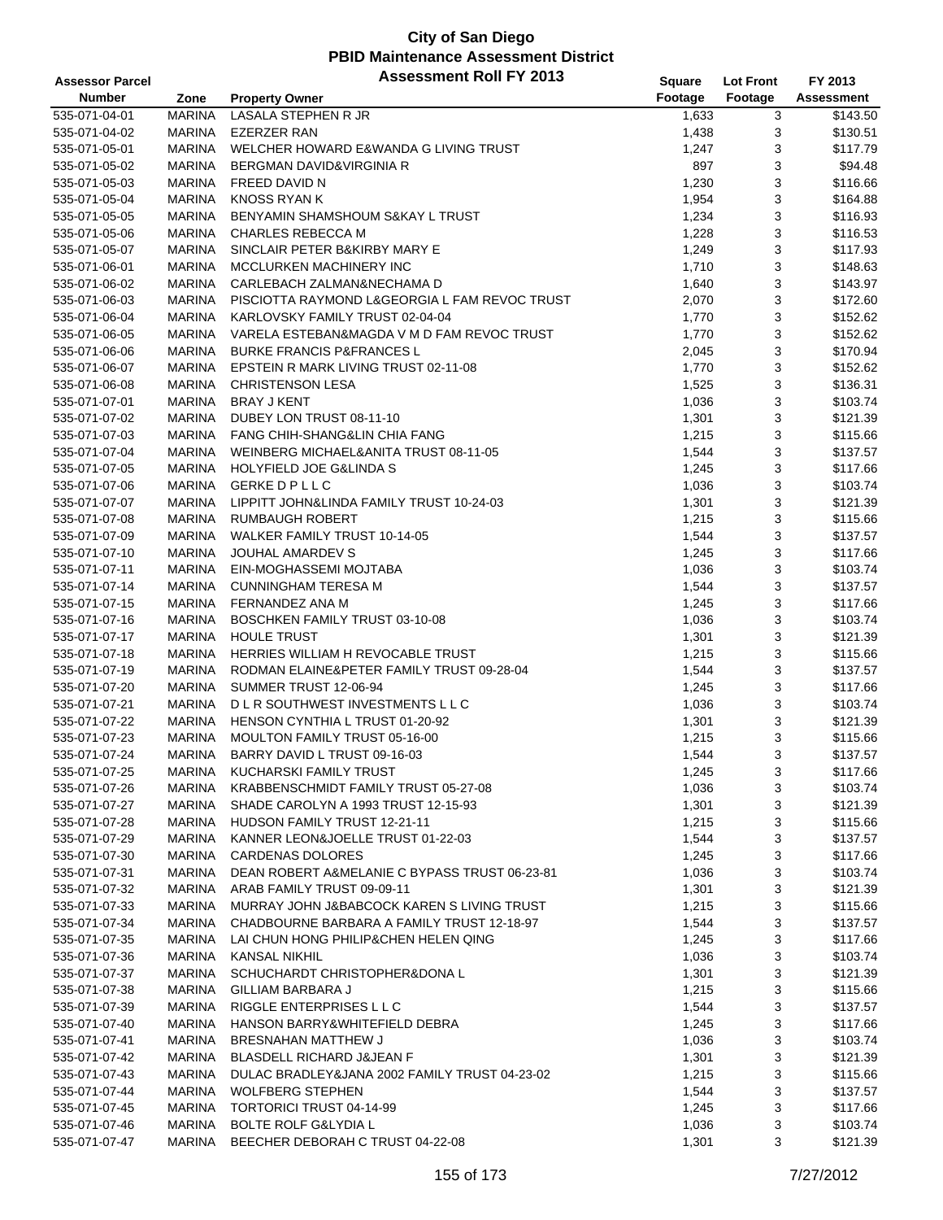| Footage<br><b>Number</b><br>Footage<br>Zone<br><b>Property Owner</b><br>535-071-04-01<br><b>MARINA</b><br>LASALA STEPHEN R JR<br>1,633<br>3<br>1,438<br>3<br>535-071-04-02<br><b>MARINA</b><br><b>EZERZER RAN</b><br>3<br>535-071-05-01<br><b>MARINA</b><br>WELCHER HOWARD E&WANDA G LIVING TRUST<br>1,247<br>3<br>535-071-05-02<br><b>MARINA</b><br>BERGMAN DAVID&VIRGINIA R<br>897<br>3<br>535-071-05-03<br><b>MARINA</b><br>FREED DAVID N<br>1,230<br>3<br>535-071-05-04<br><b>MARINA</b><br>KNOSS RYAN K<br>1,954<br>3<br><b>MARINA</b><br>BENYAMIN SHAMSHOUM S&KAY L TRUST<br>1,234<br>535-071-05-05<br>3<br>535-071-05-06<br><b>MARINA</b><br><b>CHARLES REBECCA M</b><br>1,228<br>3<br><b>MARINA</b><br>535-071-05-07<br>SINCLAIR PETER B&KIRBY MARY E<br>1,249<br>3<br><b>MARINA</b><br>MCCLURKEN MACHINERY INC<br>535-071-06-01<br>1,710<br>3<br>535-071-06-02<br><b>MARINA</b><br>CARLEBACH ZALMAN&NECHAMA D<br>1,640<br>3<br><b>MARINA</b><br>535-071-06-03<br>PISCIOTTA RAYMOND L&GEORGIA L FAM REVOC TRUST<br>2,070<br>3<br><b>MARINA</b><br>KARLOVSKY FAMILY TRUST 02-04-04<br>535-071-06-04<br>1,770<br>3<br>535-071-06-05<br><b>MARINA</b><br>VARELA ESTEBAN&MAGDA V M D FAM REVOC TRUST<br>1,770<br>\$152.62<br>3<br>535-071-06-06<br><b>MARINA</b><br><b>BURKE FRANCIS P&amp;FRANCES L</b><br>\$170.94<br>2,045<br>3<br><b>MARINA</b><br>EPSTEIN R MARK LIVING TRUST 02-11-08<br>1,770<br>\$152.62<br>535-071-06-07<br>3<br>535-071-06-08<br><b>MARINA</b><br><b>CHRISTENSON LESA</b><br>\$136.31<br>1,525<br>3<br>535-071-07-01<br><b>MARINA</b><br><b>BRAY J KENT</b><br>1,036<br>\$103.74<br>3<br>535-071-07-02<br><b>MARINA</b><br>DUBEY LON TRUST 08-11-10<br>1,301<br>\$121.39<br>3<br><b>MARINA</b><br>535-071-07-03<br><b>FANG CHIH-SHANG&amp;LIN CHIA FANG</b><br>1,215<br>\$115.66<br>3<br><b>MARINA</b><br>WEINBERG MICHAEL&ANITA TRUST 08-11-05<br>\$137.57<br>535-071-07-04<br>1,544<br>3<br>535-071-07-05<br><b>MARINA</b><br><b>HOLYFIELD JOE G&amp;LINDA S</b><br>\$117.66<br>1,245<br>3<br><b>GERKE D P L L C</b><br>535-071-07-06<br><b>MARINA</b><br>1,036<br>\$103.74<br>3<br><b>MARINA</b><br>LIPPITT JOHN&LINDA FAMILY TRUST 10-24-03<br>535-071-07-07<br>1,301<br>3<br>535-071-07-08<br><b>MARINA</b><br><b>RUMBAUGH ROBERT</b><br>1,215<br>3<br>535-071-07-09<br><b>MARINA</b><br><b>WALKER FAMILY TRUST 10-14-05</b><br>1,544<br>3<br><b>MARINA</b><br>JOUHAL AMARDEV S<br>535-071-07-10<br>1,245<br>3<br>535-071-07-11<br><b>MARINA</b><br>EIN-MOGHASSEMI MOJTABA<br>1,036<br>3<br>535-071-07-14<br><b>MARINA</b><br><b>CUNNINGHAM TERESA M</b><br>1,544<br>3<br>535-071-07-15<br><b>MARINA</b><br>FERNANDEZ ANA M<br>1,245<br>3<br>535-071-07-16<br><b>MARINA</b><br>BOSCHKEN FAMILY TRUST 03-10-08<br>1,036<br>3<br><b>MARINA</b><br><b>HOULE TRUST</b><br>535-071-07-17<br>1,301<br>3<br>535-071-07-18<br><b>MARINA</b><br>HERRIES WILLIAM H REVOCABLE TRUST<br>1,215<br>3<br><b>MARINA</b><br>535-071-07-19<br>RODMAN ELAINE&PETER FAMILY TRUST 09-28-04<br>1,544<br>3<br><b>MARINA</b><br>SUMMER TRUST 12-06-94<br>535-071-07-20<br>1,245<br>3<br>535-071-07-21<br><b>MARINA</b><br>DLR SOUTHWEST INVESTMENTS LLC<br>1,036<br>3<br>535-071-07-22<br><b>MARINA</b><br>HENSON CYNTHIA L TRUST 01-20-92<br>1,301<br>3<br><b>MARINA</b><br>MOULTON FAMILY TRUST 05-16-00<br>535-071-07-23<br>1,215<br>3<br>535-071-07-24<br><b>MARINA</b><br>BARRY DAVID L TRUST 09-16-03<br>1,544<br>535-071-07-25<br><b>MARINA</b><br>KUCHARSKI FAMILY TRUST<br>3<br>1,245<br>535-071-07-26<br><b>MARINA</b><br>KRABBENSCHMIDT FAMILY TRUST 05-27-08<br>1,036<br>3<br>535-071-07-27<br>MARINA<br>SHADE CAROLYN A 1993 TRUST 12-15-93<br>3<br>1,301<br>3<br>535-071-07-28<br>MARINA<br>HUDSON FAMILY TRUST 12-21-11<br>1,215<br>KANNER LEON&JOELLE TRUST 01-22-03<br>3<br>535-071-07-29<br><b>MARINA</b><br>1,544<br>3<br>535-071-07-30<br>MARINA<br><b>CARDENAS DOLORES</b><br>1,245<br>3<br><b>MARINA</b><br>DEAN ROBERT A&MELANIE C BYPASS TRUST 06-23-81<br>535-071-07-31<br>1,036<br>3<br>535-071-07-32<br>MARINA<br>ARAB FAMILY TRUST 09-09-11<br>1,301<br>3<br>MARINA<br>MURRAY JOHN J&BABCOCK KAREN S LIVING TRUST<br>535-071-07-33<br>1,215<br>3<br>CHADBOURNE BARBARA A FAMILY TRUST 12-18-97<br>535-071-07-34<br>MARINA<br>1,544<br>3<br>535-071-07-35<br>MARINA<br>LAI CHUN HONG PHILIP&CHEN HELEN QING<br>1,245<br>3<br>535-071-07-36<br><b>MARINA</b><br><b>KANSAL NIKHIL</b><br>1,036<br>3<br><b>MARINA</b><br>SCHUCHARDT CHRISTOPHER&DONA L<br>535-071-07-37<br>1,301<br>3<br><b>MARINA</b><br>GILLIAM BARBARA J<br>535-071-07-38<br>1,215<br>3<br>535-071-07-39<br><b>MARINA</b><br>RIGGLE ENTERPRISES L L C<br>1,544<br>3<br>535-071-07-40<br><b>MARINA</b><br>HANSON BARRY&WHITEFIELD DEBRA<br>1,245<br>3<br>MARINA<br><b>BRESNAHAN MATTHEW J</b><br>535-071-07-41<br>1,036<br>3<br>BLASDELL RICHARD J&JEAN F<br>535-071-07-42<br>MARINA<br>1,301 | <b>Assessor Parcel</b> |               | <b>Assessment Roll FY 2013</b>                | Square | <b>Lot Front</b> | FY 2013           |
|----------------------------------------------------------------------------------------------------------------------------------------------------------------------------------------------------------------------------------------------------------------------------------------------------------------------------------------------------------------------------------------------------------------------------------------------------------------------------------------------------------------------------------------------------------------------------------------------------------------------------------------------------------------------------------------------------------------------------------------------------------------------------------------------------------------------------------------------------------------------------------------------------------------------------------------------------------------------------------------------------------------------------------------------------------------------------------------------------------------------------------------------------------------------------------------------------------------------------------------------------------------------------------------------------------------------------------------------------------------------------------------------------------------------------------------------------------------------------------------------------------------------------------------------------------------------------------------------------------------------------------------------------------------------------------------------------------------------------------------------------------------------------------------------------------------------------------------------------------------------------------------------------------------------------------------------------------------------------------------------------------------------------------------------------------------------------------------------------------------------------------------------------------------------------------------------------------------------------------------------------------------------------------------------------------------------------------------------------------------------------------------------------------------------------------------------------------------------------------------------------------------------------------------------------------------------------------------------------------------------------------------------------------------------------------------------------------------------------------------------------------------------------------------------------------------------------------------------------------------------------------------------------------------------------------------------------------------------------------------------------------------------------------------------------------------------------------------------------------------------------------------------------------------------------------------------------------------------------------------------------------------------------------------------------------------------------------------------------------------------------------------------------------------------------------------------------------------------------------------------------------------------------------------------------------------------------------------------------------------------------------------------------------------------------------------------------------------------------------------------------------------------------------------------------------------------------------------------------------------------------------------------------------------------------------------------------------------------------------------------------------------------------------------------------------------------------------------------------------------------------------------------------------------------------------------------------------------------------------------------------------------------------------------------------------------------------------------------------------------------------------------------------------------------------------------------------------------------------------------------------------------------------------------------------------------------------------------------------------------------------------------------------------------------------------------------------------------------------------------------------------------------------------------------------------------------------------------------------------------------------------------------------|------------------------|---------------|-----------------------------------------------|--------|------------------|-------------------|
|                                                                                                                                                                                                                                                                                                                                                                                                                                                                                                                                                                                                                                                                                                                                                                                                                                                                                                                                                                                                                                                                                                                                                                                                                                                                                                                                                                                                                                                                                                                                                                                                                                                                                                                                                                                                                                                                                                                                                                                                                                                                                                                                                                                                                                                                                                                                                                                                                                                                                                                                                                                                                                                                                                                                                                                                                                                                                                                                                                                                                                                                                                                                                                                                                                                                                                                                                                                                                                                                                                                                                                                                                                                                                                                                                                                                                                                                                                                                                                                                                                                                                                                                                                                                                                                                                                                                                                                                                                                                                                                                                                                                                                                                                                                                                                                                                                                                                                    |                        |               |                                               |        |                  | <b>Assessment</b> |
|                                                                                                                                                                                                                                                                                                                                                                                                                                                                                                                                                                                                                                                                                                                                                                                                                                                                                                                                                                                                                                                                                                                                                                                                                                                                                                                                                                                                                                                                                                                                                                                                                                                                                                                                                                                                                                                                                                                                                                                                                                                                                                                                                                                                                                                                                                                                                                                                                                                                                                                                                                                                                                                                                                                                                                                                                                                                                                                                                                                                                                                                                                                                                                                                                                                                                                                                                                                                                                                                                                                                                                                                                                                                                                                                                                                                                                                                                                                                                                                                                                                                                                                                                                                                                                                                                                                                                                                                                                                                                                                                                                                                                                                                                                                                                                                                                                                                                                    |                        |               |                                               |        |                  | \$143.50          |
|                                                                                                                                                                                                                                                                                                                                                                                                                                                                                                                                                                                                                                                                                                                                                                                                                                                                                                                                                                                                                                                                                                                                                                                                                                                                                                                                                                                                                                                                                                                                                                                                                                                                                                                                                                                                                                                                                                                                                                                                                                                                                                                                                                                                                                                                                                                                                                                                                                                                                                                                                                                                                                                                                                                                                                                                                                                                                                                                                                                                                                                                                                                                                                                                                                                                                                                                                                                                                                                                                                                                                                                                                                                                                                                                                                                                                                                                                                                                                                                                                                                                                                                                                                                                                                                                                                                                                                                                                                                                                                                                                                                                                                                                                                                                                                                                                                                                                                    |                        |               |                                               |        |                  | \$130.51          |
|                                                                                                                                                                                                                                                                                                                                                                                                                                                                                                                                                                                                                                                                                                                                                                                                                                                                                                                                                                                                                                                                                                                                                                                                                                                                                                                                                                                                                                                                                                                                                                                                                                                                                                                                                                                                                                                                                                                                                                                                                                                                                                                                                                                                                                                                                                                                                                                                                                                                                                                                                                                                                                                                                                                                                                                                                                                                                                                                                                                                                                                                                                                                                                                                                                                                                                                                                                                                                                                                                                                                                                                                                                                                                                                                                                                                                                                                                                                                                                                                                                                                                                                                                                                                                                                                                                                                                                                                                                                                                                                                                                                                                                                                                                                                                                                                                                                                                                    |                        |               |                                               |        |                  | \$117.79          |
|                                                                                                                                                                                                                                                                                                                                                                                                                                                                                                                                                                                                                                                                                                                                                                                                                                                                                                                                                                                                                                                                                                                                                                                                                                                                                                                                                                                                                                                                                                                                                                                                                                                                                                                                                                                                                                                                                                                                                                                                                                                                                                                                                                                                                                                                                                                                                                                                                                                                                                                                                                                                                                                                                                                                                                                                                                                                                                                                                                                                                                                                                                                                                                                                                                                                                                                                                                                                                                                                                                                                                                                                                                                                                                                                                                                                                                                                                                                                                                                                                                                                                                                                                                                                                                                                                                                                                                                                                                                                                                                                                                                                                                                                                                                                                                                                                                                                                                    |                        |               |                                               |        |                  | \$94.48           |
|                                                                                                                                                                                                                                                                                                                                                                                                                                                                                                                                                                                                                                                                                                                                                                                                                                                                                                                                                                                                                                                                                                                                                                                                                                                                                                                                                                                                                                                                                                                                                                                                                                                                                                                                                                                                                                                                                                                                                                                                                                                                                                                                                                                                                                                                                                                                                                                                                                                                                                                                                                                                                                                                                                                                                                                                                                                                                                                                                                                                                                                                                                                                                                                                                                                                                                                                                                                                                                                                                                                                                                                                                                                                                                                                                                                                                                                                                                                                                                                                                                                                                                                                                                                                                                                                                                                                                                                                                                                                                                                                                                                                                                                                                                                                                                                                                                                                                                    |                        |               |                                               |        |                  | \$116.66          |
|                                                                                                                                                                                                                                                                                                                                                                                                                                                                                                                                                                                                                                                                                                                                                                                                                                                                                                                                                                                                                                                                                                                                                                                                                                                                                                                                                                                                                                                                                                                                                                                                                                                                                                                                                                                                                                                                                                                                                                                                                                                                                                                                                                                                                                                                                                                                                                                                                                                                                                                                                                                                                                                                                                                                                                                                                                                                                                                                                                                                                                                                                                                                                                                                                                                                                                                                                                                                                                                                                                                                                                                                                                                                                                                                                                                                                                                                                                                                                                                                                                                                                                                                                                                                                                                                                                                                                                                                                                                                                                                                                                                                                                                                                                                                                                                                                                                                                                    |                        |               |                                               |        |                  | \$164.88          |
|                                                                                                                                                                                                                                                                                                                                                                                                                                                                                                                                                                                                                                                                                                                                                                                                                                                                                                                                                                                                                                                                                                                                                                                                                                                                                                                                                                                                                                                                                                                                                                                                                                                                                                                                                                                                                                                                                                                                                                                                                                                                                                                                                                                                                                                                                                                                                                                                                                                                                                                                                                                                                                                                                                                                                                                                                                                                                                                                                                                                                                                                                                                                                                                                                                                                                                                                                                                                                                                                                                                                                                                                                                                                                                                                                                                                                                                                                                                                                                                                                                                                                                                                                                                                                                                                                                                                                                                                                                                                                                                                                                                                                                                                                                                                                                                                                                                                                                    |                        |               |                                               |        |                  | \$116.93          |
|                                                                                                                                                                                                                                                                                                                                                                                                                                                                                                                                                                                                                                                                                                                                                                                                                                                                                                                                                                                                                                                                                                                                                                                                                                                                                                                                                                                                                                                                                                                                                                                                                                                                                                                                                                                                                                                                                                                                                                                                                                                                                                                                                                                                                                                                                                                                                                                                                                                                                                                                                                                                                                                                                                                                                                                                                                                                                                                                                                                                                                                                                                                                                                                                                                                                                                                                                                                                                                                                                                                                                                                                                                                                                                                                                                                                                                                                                                                                                                                                                                                                                                                                                                                                                                                                                                                                                                                                                                                                                                                                                                                                                                                                                                                                                                                                                                                                                                    |                        |               |                                               |        |                  | \$116.53          |
|                                                                                                                                                                                                                                                                                                                                                                                                                                                                                                                                                                                                                                                                                                                                                                                                                                                                                                                                                                                                                                                                                                                                                                                                                                                                                                                                                                                                                                                                                                                                                                                                                                                                                                                                                                                                                                                                                                                                                                                                                                                                                                                                                                                                                                                                                                                                                                                                                                                                                                                                                                                                                                                                                                                                                                                                                                                                                                                                                                                                                                                                                                                                                                                                                                                                                                                                                                                                                                                                                                                                                                                                                                                                                                                                                                                                                                                                                                                                                                                                                                                                                                                                                                                                                                                                                                                                                                                                                                                                                                                                                                                                                                                                                                                                                                                                                                                                                                    |                        |               |                                               |        |                  | \$117.93          |
|                                                                                                                                                                                                                                                                                                                                                                                                                                                                                                                                                                                                                                                                                                                                                                                                                                                                                                                                                                                                                                                                                                                                                                                                                                                                                                                                                                                                                                                                                                                                                                                                                                                                                                                                                                                                                                                                                                                                                                                                                                                                                                                                                                                                                                                                                                                                                                                                                                                                                                                                                                                                                                                                                                                                                                                                                                                                                                                                                                                                                                                                                                                                                                                                                                                                                                                                                                                                                                                                                                                                                                                                                                                                                                                                                                                                                                                                                                                                                                                                                                                                                                                                                                                                                                                                                                                                                                                                                                                                                                                                                                                                                                                                                                                                                                                                                                                                                                    |                        |               |                                               |        |                  | \$148.63          |
|                                                                                                                                                                                                                                                                                                                                                                                                                                                                                                                                                                                                                                                                                                                                                                                                                                                                                                                                                                                                                                                                                                                                                                                                                                                                                                                                                                                                                                                                                                                                                                                                                                                                                                                                                                                                                                                                                                                                                                                                                                                                                                                                                                                                                                                                                                                                                                                                                                                                                                                                                                                                                                                                                                                                                                                                                                                                                                                                                                                                                                                                                                                                                                                                                                                                                                                                                                                                                                                                                                                                                                                                                                                                                                                                                                                                                                                                                                                                                                                                                                                                                                                                                                                                                                                                                                                                                                                                                                                                                                                                                                                                                                                                                                                                                                                                                                                                                                    |                        |               |                                               |        |                  | \$143.97          |
|                                                                                                                                                                                                                                                                                                                                                                                                                                                                                                                                                                                                                                                                                                                                                                                                                                                                                                                                                                                                                                                                                                                                                                                                                                                                                                                                                                                                                                                                                                                                                                                                                                                                                                                                                                                                                                                                                                                                                                                                                                                                                                                                                                                                                                                                                                                                                                                                                                                                                                                                                                                                                                                                                                                                                                                                                                                                                                                                                                                                                                                                                                                                                                                                                                                                                                                                                                                                                                                                                                                                                                                                                                                                                                                                                                                                                                                                                                                                                                                                                                                                                                                                                                                                                                                                                                                                                                                                                                                                                                                                                                                                                                                                                                                                                                                                                                                                                                    |                        |               |                                               |        |                  | \$172.60          |
|                                                                                                                                                                                                                                                                                                                                                                                                                                                                                                                                                                                                                                                                                                                                                                                                                                                                                                                                                                                                                                                                                                                                                                                                                                                                                                                                                                                                                                                                                                                                                                                                                                                                                                                                                                                                                                                                                                                                                                                                                                                                                                                                                                                                                                                                                                                                                                                                                                                                                                                                                                                                                                                                                                                                                                                                                                                                                                                                                                                                                                                                                                                                                                                                                                                                                                                                                                                                                                                                                                                                                                                                                                                                                                                                                                                                                                                                                                                                                                                                                                                                                                                                                                                                                                                                                                                                                                                                                                                                                                                                                                                                                                                                                                                                                                                                                                                                                                    |                        |               |                                               |        |                  | \$152.62          |
|                                                                                                                                                                                                                                                                                                                                                                                                                                                                                                                                                                                                                                                                                                                                                                                                                                                                                                                                                                                                                                                                                                                                                                                                                                                                                                                                                                                                                                                                                                                                                                                                                                                                                                                                                                                                                                                                                                                                                                                                                                                                                                                                                                                                                                                                                                                                                                                                                                                                                                                                                                                                                                                                                                                                                                                                                                                                                                                                                                                                                                                                                                                                                                                                                                                                                                                                                                                                                                                                                                                                                                                                                                                                                                                                                                                                                                                                                                                                                                                                                                                                                                                                                                                                                                                                                                                                                                                                                                                                                                                                                                                                                                                                                                                                                                                                                                                                                                    |                        |               |                                               |        |                  |                   |
|                                                                                                                                                                                                                                                                                                                                                                                                                                                                                                                                                                                                                                                                                                                                                                                                                                                                                                                                                                                                                                                                                                                                                                                                                                                                                                                                                                                                                                                                                                                                                                                                                                                                                                                                                                                                                                                                                                                                                                                                                                                                                                                                                                                                                                                                                                                                                                                                                                                                                                                                                                                                                                                                                                                                                                                                                                                                                                                                                                                                                                                                                                                                                                                                                                                                                                                                                                                                                                                                                                                                                                                                                                                                                                                                                                                                                                                                                                                                                                                                                                                                                                                                                                                                                                                                                                                                                                                                                                                                                                                                                                                                                                                                                                                                                                                                                                                                                                    |                        |               |                                               |        |                  |                   |
|                                                                                                                                                                                                                                                                                                                                                                                                                                                                                                                                                                                                                                                                                                                                                                                                                                                                                                                                                                                                                                                                                                                                                                                                                                                                                                                                                                                                                                                                                                                                                                                                                                                                                                                                                                                                                                                                                                                                                                                                                                                                                                                                                                                                                                                                                                                                                                                                                                                                                                                                                                                                                                                                                                                                                                                                                                                                                                                                                                                                                                                                                                                                                                                                                                                                                                                                                                                                                                                                                                                                                                                                                                                                                                                                                                                                                                                                                                                                                                                                                                                                                                                                                                                                                                                                                                                                                                                                                                                                                                                                                                                                                                                                                                                                                                                                                                                                                                    |                        |               |                                               |        |                  |                   |
|                                                                                                                                                                                                                                                                                                                                                                                                                                                                                                                                                                                                                                                                                                                                                                                                                                                                                                                                                                                                                                                                                                                                                                                                                                                                                                                                                                                                                                                                                                                                                                                                                                                                                                                                                                                                                                                                                                                                                                                                                                                                                                                                                                                                                                                                                                                                                                                                                                                                                                                                                                                                                                                                                                                                                                                                                                                                                                                                                                                                                                                                                                                                                                                                                                                                                                                                                                                                                                                                                                                                                                                                                                                                                                                                                                                                                                                                                                                                                                                                                                                                                                                                                                                                                                                                                                                                                                                                                                                                                                                                                                                                                                                                                                                                                                                                                                                                                                    |                        |               |                                               |        |                  |                   |
|                                                                                                                                                                                                                                                                                                                                                                                                                                                                                                                                                                                                                                                                                                                                                                                                                                                                                                                                                                                                                                                                                                                                                                                                                                                                                                                                                                                                                                                                                                                                                                                                                                                                                                                                                                                                                                                                                                                                                                                                                                                                                                                                                                                                                                                                                                                                                                                                                                                                                                                                                                                                                                                                                                                                                                                                                                                                                                                                                                                                                                                                                                                                                                                                                                                                                                                                                                                                                                                                                                                                                                                                                                                                                                                                                                                                                                                                                                                                                                                                                                                                                                                                                                                                                                                                                                                                                                                                                                                                                                                                                                                                                                                                                                                                                                                                                                                                                                    |                        |               |                                               |        |                  |                   |
|                                                                                                                                                                                                                                                                                                                                                                                                                                                                                                                                                                                                                                                                                                                                                                                                                                                                                                                                                                                                                                                                                                                                                                                                                                                                                                                                                                                                                                                                                                                                                                                                                                                                                                                                                                                                                                                                                                                                                                                                                                                                                                                                                                                                                                                                                                                                                                                                                                                                                                                                                                                                                                                                                                                                                                                                                                                                                                                                                                                                                                                                                                                                                                                                                                                                                                                                                                                                                                                                                                                                                                                                                                                                                                                                                                                                                                                                                                                                                                                                                                                                                                                                                                                                                                                                                                                                                                                                                                                                                                                                                                                                                                                                                                                                                                                                                                                                                                    |                        |               |                                               |        |                  |                   |
|                                                                                                                                                                                                                                                                                                                                                                                                                                                                                                                                                                                                                                                                                                                                                                                                                                                                                                                                                                                                                                                                                                                                                                                                                                                                                                                                                                                                                                                                                                                                                                                                                                                                                                                                                                                                                                                                                                                                                                                                                                                                                                                                                                                                                                                                                                                                                                                                                                                                                                                                                                                                                                                                                                                                                                                                                                                                                                                                                                                                                                                                                                                                                                                                                                                                                                                                                                                                                                                                                                                                                                                                                                                                                                                                                                                                                                                                                                                                                                                                                                                                                                                                                                                                                                                                                                                                                                                                                                                                                                                                                                                                                                                                                                                                                                                                                                                                                                    |                        |               |                                               |        |                  |                   |
|                                                                                                                                                                                                                                                                                                                                                                                                                                                                                                                                                                                                                                                                                                                                                                                                                                                                                                                                                                                                                                                                                                                                                                                                                                                                                                                                                                                                                                                                                                                                                                                                                                                                                                                                                                                                                                                                                                                                                                                                                                                                                                                                                                                                                                                                                                                                                                                                                                                                                                                                                                                                                                                                                                                                                                                                                                                                                                                                                                                                                                                                                                                                                                                                                                                                                                                                                                                                                                                                                                                                                                                                                                                                                                                                                                                                                                                                                                                                                                                                                                                                                                                                                                                                                                                                                                                                                                                                                                                                                                                                                                                                                                                                                                                                                                                                                                                                                                    |                        |               |                                               |        |                  |                   |
|                                                                                                                                                                                                                                                                                                                                                                                                                                                                                                                                                                                                                                                                                                                                                                                                                                                                                                                                                                                                                                                                                                                                                                                                                                                                                                                                                                                                                                                                                                                                                                                                                                                                                                                                                                                                                                                                                                                                                                                                                                                                                                                                                                                                                                                                                                                                                                                                                                                                                                                                                                                                                                                                                                                                                                                                                                                                                                                                                                                                                                                                                                                                                                                                                                                                                                                                                                                                                                                                                                                                                                                                                                                                                                                                                                                                                                                                                                                                                                                                                                                                                                                                                                                                                                                                                                                                                                                                                                                                                                                                                                                                                                                                                                                                                                                                                                                                                                    |                        |               |                                               |        |                  |                   |
|                                                                                                                                                                                                                                                                                                                                                                                                                                                                                                                                                                                                                                                                                                                                                                                                                                                                                                                                                                                                                                                                                                                                                                                                                                                                                                                                                                                                                                                                                                                                                                                                                                                                                                                                                                                                                                                                                                                                                                                                                                                                                                                                                                                                                                                                                                                                                                                                                                                                                                                                                                                                                                                                                                                                                                                                                                                                                                                                                                                                                                                                                                                                                                                                                                                                                                                                                                                                                                                                                                                                                                                                                                                                                                                                                                                                                                                                                                                                                                                                                                                                                                                                                                                                                                                                                                                                                                                                                                                                                                                                                                                                                                                                                                                                                                                                                                                                                                    |                        |               |                                               |        |                  |                   |
|                                                                                                                                                                                                                                                                                                                                                                                                                                                                                                                                                                                                                                                                                                                                                                                                                                                                                                                                                                                                                                                                                                                                                                                                                                                                                                                                                                                                                                                                                                                                                                                                                                                                                                                                                                                                                                                                                                                                                                                                                                                                                                                                                                                                                                                                                                                                                                                                                                                                                                                                                                                                                                                                                                                                                                                                                                                                                                                                                                                                                                                                                                                                                                                                                                                                                                                                                                                                                                                                                                                                                                                                                                                                                                                                                                                                                                                                                                                                                                                                                                                                                                                                                                                                                                                                                                                                                                                                                                                                                                                                                                                                                                                                                                                                                                                                                                                                                                    |                        |               |                                               |        |                  |                   |
|                                                                                                                                                                                                                                                                                                                                                                                                                                                                                                                                                                                                                                                                                                                                                                                                                                                                                                                                                                                                                                                                                                                                                                                                                                                                                                                                                                                                                                                                                                                                                                                                                                                                                                                                                                                                                                                                                                                                                                                                                                                                                                                                                                                                                                                                                                                                                                                                                                                                                                                                                                                                                                                                                                                                                                                                                                                                                                                                                                                                                                                                                                                                                                                                                                                                                                                                                                                                                                                                                                                                                                                                                                                                                                                                                                                                                                                                                                                                                                                                                                                                                                                                                                                                                                                                                                                                                                                                                                                                                                                                                                                                                                                                                                                                                                                                                                                                                                    |                        |               |                                               |        |                  | \$121.39          |
|                                                                                                                                                                                                                                                                                                                                                                                                                                                                                                                                                                                                                                                                                                                                                                                                                                                                                                                                                                                                                                                                                                                                                                                                                                                                                                                                                                                                                                                                                                                                                                                                                                                                                                                                                                                                                                                                                                                                                                                                                                                                                                                                                                                                                                                                                                                                                                                                                                                                                                                                                                                                                                                                                                                                                                                                                                                                                                                                                                                                                                                                                                                                                                                                                                                                                                                                                                                                                                                                                                                                                                                                                                                                                                                                                                                                                                                                                                                                                                                                                                                                                                                                                                                                                                                                                                                                                                                                                                                                                                                                                                                                                                                                                                                                                                                                                                                                                                    |                        |               |                                               |        |                  | \$115.66          |
|                                                                                                                                                                                                                                                                                                                                                                                                                                                                                                                                                                                                                                                                                                                                                                                                                                                                                                                                                                                                                                                                                                                                                                                                                                                                                                                                                                                                                                                                                                                                                                                                                                                                                                                                                                                                                                                                                                                                                                                                                                                                                                                                                                                                                                                                                                                                                                                                                                                                                                                                                                                                                                                                                                                                                                                                                                                                                                                                                                                                                                                                                                                                                                                                                                                                                                                                                                                                                                                                                                                                                                                                                                                                                                                                                                                                                                                                                                                                                                                                                                                                                                                                                                                                                                                                                                                                                                                                                                                                                                                                                                                                                                                                                                                                                                                                                                                                                                    |                        |               |                                               |        |                  | \$137.57          |
|                                                                                                                                                                                                                                                                                                                                                                                                                                                                                                                                                                                                                                                                                                                                                                                                                                                                                                                                                                                                                                                                                                                                                                                                                                                                                                                                                                                                                                                                                                                                                                                                                                                                                                                                                                                                                                                                                                                                                                                                                                                                                                                                                                                                                                                                                                                                                                                                                                                                                                                                                                                                                                                                                                                                                                                                                                                                                                                                                                                                                                                                                                                                                                                                                                                                                                                                                                                                                                                                                                                                                                                                                                                                                                                                                                                                                                                                                                                                                                                                                                                                                                                                                                                                                                                                                                                                                                                                                                                                                                                                                                                                                                                                                                                                                                                                                                                                                                    |                        |               |                                               |        |                  | \$117.66          |
|                                                                                                                                                                                                                                                                                                                                                                                                                                                                                                                                                                                                                                                                                                                                                                                                                                                                                                                                                                                                                                                                                                                                                                                                                                                                                                                                                                                                                                                                                                                                                                                                                                                                                                                                                                                                                                                                                                                                                                                                                                                                                                                                                                                                                                                                                                                                                                                                                                                                                                                                                                                                                                                                                                                                                                                                                                                                                                                                                                                                                                                                                                                                                                                                                                                                                                                                                                                                                                                                                                                                                                                                                                                                                                                                                                                                                                                                                                                                                                                                                                                                                                                                                                                                                                                                                                                                                                                                                                                                                                                                                                                                                                                                                                                                                                                                                                                                                                    |                        |               |                                               |        |                  | \$103.74          |
|                                                                                                                                                                                                                                                                                                                                                                                                                                                                                                                                                                                                                                                                                                                                                                                                                                                                                                                                                                                                                                                                                                                                                                                                                                                                                                                                                                                                                                                                                                                                                                                                                                                                                                                                                                                                                                                                                                                                                                                                                                                                                                                                                                                                                                                                                                                                                                                                                                                                                                                                                                                                                                                                                                                                                                                                                                                                                                                                                                                                                                                                                                                                                                                                                                                                                                                                                                                                                                                                                                                                                                                                                                                                                                                                                                                                                                                                                                                                                                                                                                                                                                                                                                                                                                                                                                                                                                                                                                                                                                                                                                                                                                                                                                                                                                                                                                                                                                    |                        |               |                                               |        |                  | \$137.57          |
|                                                                                                                                                                                                                                                                                                                                                                                                                                                                                                                                                                                                                                                                                                                                                                                                                                                                                                                                                                                                                                                                                                                                                                                                                                                                                                                                                                                                                                                                                                                                                                                                                                                                                                                                                                                                                                                                                                                                                                                                                                                                                                                                                                                                                                                                                                                                                                                                                                                                                                                                                                                                                                                                                                                                                                                                                                                                                                                                                                                                                                                                                                                                                                                                                                                                                                                                                                                                                                                                                                                                                                                                                                                                                                                                                                                                                                                                                                                                                                                                                                                                                                                                                                                                                                                                                                                                                                                                                                                                                                                                                                                                                                                                                                                                                                                                                                                                                                    |                        |               |                                               |        |                  | \$117.66          |
|                                                                                                                                                                                                                                                                                                                                                                                                                                                                                                                                                                                                                                                                                                                                                                                                                                                                                                                                                                                                                                                                                                                                                                                                                                                                                                                                                                                                                                                                                                                                                                                                                                                                                                                                                                                                                                                                                                                                                                                                                                                                                                                                                                                                                                                                                                                                                                                                                                                                                                                                                                                                                                                                                                                                                                                                                                                                                                                                                                                                                                                                                                                                                                                                                                                                                                                                                                                                                                                                                                                                                                                                                                                                                                                                                                                                                                                                                                                                                                                                                                                                                                                                                                                                                                                                                                                                                                                                                                                                                                                                                                                                                                                                                                                                                                                                                                                                                                    |                        |               |                                               |        |                  | \$103.74          |
|                                                                                                                                                                                                                                                                                                                                                                                                                                                                                                                                                                                                                                                                                                                                                                                                                                                                                                                                                                                                                                                                                                                                                                                                                                                                                                                                                                                                                                                                                                                                                                                                                                                                                                                                                                                                                                                                                                                                                                                                                                                                                                                                                                                                                                                                                                                                                                                                                                                                                                                                                                                                                                                                                                                                                                                                                                                                                                                                                                                                                                                                                                                                                                                                                                                                                                                                                                                                                                                                                                                                                                                                                                                                                                                                                                                                                                                                                                                                                                                                                                                                                                                                                                                                                                                                                                                                                                                                                                                                                                                                                                                                                                                                                                                                                                                                                                                                                                    |                        |               |                                               |        |                  | \$121.39          |
|                                                                                                                                                                                                                                                                                                                                                                                                                                                                                                                                                                                                                                                                                                                                                                                                                                                                                                                                                                                                                                                                                                                                                                                                                                                                                                                                                                                                                                                                                                                                                                                                                                                                                                                                                                                                                                                                                                                                                                                                                                                                                                                                                                                                                                                                                                                                                                                                                                                                                                                                                                                                                                                                                                                                                                                                                                                                                                                                                                                                                                                                                                                                                                                                                                                                                                                                                                                                                                                                                                                                                                                                                                                                                                                                                                                                                                                                                                                                                                                                                                                                                                                                                                                                                                                                                                                                                                                                                                                                                                                                                                                                                                                                                                                                                                                                                                                                                                    |                        |               |                                               |        |                  | \$115.66          |
|                                                                                                                                                                                                                                                                                                                                                                                                                                                                                                                                                                                                                                                                                                                                                                                                                                                                                                                                                                                                                                                                                                                                                                                                                                                                                                                                                                                                                                                                                                                                                                                                                                                                                                                                                                                                                                                                                                                                                                                                                                                                                                                                                                                                                                                                                                                                                                                                                                                                                                                                                                                                                                                                                                                                                                                                                                                                                                                                                                                                                                                                                                                                                                                                                                                                                                                                                                                                                                                                                                                                                                                                                                                                                                                                                                                                                                                                                                                                                                                                                                                                                                                                                                                                                                                                                                                                                                                                                                                                                                                                                                                                                                                                                                                                                                                                                                                                                                    |                        |               |                                               |        |                  | \$137.57          |
|                                                                                                                                                                                                                                                                                                                                                                                                                                                                                                                                                                                                                                                                                                                                                                                                                                                                                                                                                                                                                                                                                                                                                                                                                                                                                                                                                                                                                                                                                                                                                                                                                                                                                                                                                                                                                                                                                                                                                                                                                                                                                                                                                                                                                                                                                                                                                                                                                                                                                                                                                                                                                                                                                                                                                                                                                                                                                                                                                                                                                                                                                                                                                                                                                                                                                                                                                                                                                                                                                                                                                                                                                                                                                                                                                                                                                                                                                                                                                                                                                                                                                                                                                                                                                                                                                                                                                                                                                                                                                                                                                                                                                                                                                                                                                                                                                                                                                                    |                        |               |                                               |        |                  | \$117.66          |
|                                                                                                                                                                                                                                                                                                                                                                                                                                                                                                                                                                                                                                                                                                                                                                                                                                                                                                                                                                                                                                                                                                                                                                                                                                                                                                                                                                                                                                                                                                                                                                                                                                                                                                                                                                                                                                                                                                                                                                                                                                                                                                                                                                                                                                                                                                                                                                                                                                                                                                                                                                                                                                                                                                                                                                                                                                                                                                                                                                                                                                                                                                                                                                                                                                                                                                                                                                                                                                                                                                                                                                                                                                                                                                                                                                                                                                                                                                                                                                                                                                                                                                                                                                                                                                                                                                                                                                                                                                                                                                                                                                                                                                                                                                                                                                                                                                                                                                    |                        |               |                                               |        |                  | \$103.74          |
|                                                                                                                                                                                                                                                                                                                                                                                                                                                                                                                                                                                                                                                                                                                                                                                                                                                                                                                                                                                                                                                                                                                                                                                                                                                                                                                                                                                                                                                                                                                                                                                                                                                                                                                                                                                                                                                                                                                                                                                                                                                                                                                                                                                                                                                                                                                                                                                                                                                                                                                                                                                                                                                                                                                                                                                                                                                                                                                                                                                                                                                                                                                                                                                                                                                                                                                                                                                                                                                                                                                                                                                                                                                                                                                                                                                                                                                                                                                                                                                                                                                                                                                                                                                                                                                                                                                                                                                                                                                                                                                                                                                                                                                                                                                                                                                                                                                                                                    |                        |               |                                               |        |                  | \$121.39          |
|                                                                                                                                                                                                                                                                                                                                                                                                                                                                                                                                                                                                                                                                                                                                                                                                                                                                                                                                                                                                                                                                                                                                                                                                                                                                                                                                                                                                                                                                                                                                                                                                                                                                                                                                                                                                                                                                                                                                                                                                                                                                                                                                                                                                                                                                                                                                                                                                                                                                                                                                                                                                                                                                                                                                                                                                                                                                                                                                                                                                                                                                                                                                                                                                                                                                                                                                                                                                                                                                                                                                                                                                                                                                                                                                                                                                                                                                                                                                                                                                                                                                                                                                                                                                                                                                                                                                                                                                                                                                                                                                                                                                                                                                                                                                                                                                                                                                                                    |                        |               |                                               |        |                  | \$115.66          |
|                                                                                                                                                                                                                                                                                                                                                                                                                                                                                                                                                                                                                                                                                                                                                                                                                                                                                                                                                                                                                                                                                                                                                                                                                                                                                                                                                                                                                                                                                                                                                                                                                                                                                                                                                                                                                                                                                                                                                                                                                                                                                                                                                                                                                                                                                                                                                                                                                                                                                                                                                                                                                                                                                                                                                                                                                                                                                                                                                                                                                                                                                                                                                                                                                                                                                                                                                                                                                                                                                                                                                                                                                                                                                                                                                                                                                                                                                                                                                                                                                                                                                                                                                                                                                                                                                                                                                                                                                                                                                                                                                                                                                                                                                                                                                                                                                                                                                                    |                        |               |                                               |        |                  | \$137.57          |
|                                                                                                                                                                                                                                                                                                                                                                                                                                                                                                                                                                                                                                                                                                                                                                                                                                                                                                                                                                                                                                                                                                                                                                                                                                                                                                                                                                                                                                                                                                                                                                                                                                                                                                                                                                                                                                                                                                                                                                                                                                                                                                                                                                                                                                                                                                                                                                                                                                                                                                                                                                                                                                                                                                                                                                                                                                                                                                                                                                                                                                                                                                                                                                                                                                                                                                                                                                                                                                                                                                                                                                                                                                                                                                                                                                                                                                                                                                                                                                                                                                                                                                                                                                                                                                                                                                                                                                                                                                                                                                                                                                                                                                                                                                                                                                                                                                                                                                    |                        |               |                                               |        |                  | \$117.66          |
|                                                                                                                                                                                                                                                                                                                                                                                                                                                                                                                                                                                                                                                                                                                                                                                                                                                                                                                                                                                                                                                                                                                                                                                                                                                                                                                                                                                                                                                                                                                                                                                                                                                                                                                                                                                                                                                                                                                                                                                                                                                                                                                                                                                                                                                                                                                                                                                                                                                                                                                                                                                                                                                                                                                                                                                                                                                                                                                                                                                                                                                                                                                                                                                                                                                                                                                                                                                                                                                                                                                                                                                                                                                                                                                                                                                                                                                                                                                                                                                                                                                                                                                                                                                                                                                                                                                                                                                                                                                                                                                                                                                                                                                                                                                                                                                                                                                                                                    |                        |               |                                               |        |                  | \$103.74          |
|                                                                                                                                                                                                                                                                                                                                                                                                                                                                                                                                                                                                                                                                                                                                                                                                                                                                                                                                                                                                                                                                                                                                                                                                                                                                                                                                                                                                                                                                                                                                                                                                                                                                                                                                                                                                                                                                                                                                                                                                                                                                                                                                                                                                                                                                                                                                                                                                                                                                                                                                                                                                                                                                                                                                                                                                                                                                                                                                                                                                                                                                                                                                                                                                                                                                                                                                                                                                                                                                                                                                                                                                                                                                                                                                                                                                                                                                                                                                                                                                                                                                                                                                                                                                                                                                                                                                                                                                                                                                                                                                                                                                                                                                                                                                                                                                                                                                                                    |                        |               |                                               |        |                  | \$121.39          |
|                                                                                                                                                                                                                                                                                                                                                                                                                                                                                                                                                                                                                                                                                                                                                                                                                                                                                                                                                                                                                                                                                                                                                                                                                                                                                                                                                                                                                                                                                                                                                                                                                                                                                                                                                                                                                                                                                                                                                                                                                                                                                                                                                                                                                                                                                                                                                                                                                                                                                                                                                                                                                                                                                                                                                                                                                                                                                                                                                                                                                                                                                                                                                                                                                                                                                                                                                                                                                                                                                                                                                                                                                                                                                                                                                                                                                                                                                                                                                                                                                                                                                                                                                                                                                                                                                                                                                                                                                                                                                                                                                                                                                                                                                                                                                                                                                                                                                                    |                        |               |                                               |        |                  | \$115.66          |
|                                                                                                                                                                                                                                                                                                                                                                                                                                                                                                                                                                                                                                                                                                                                                                                                                                                                                                                                                                                                                                                                                                                                                                                                                                                                                                                                                                                                                                                                                                                                                                                                                                                                                                                                                                                                                                                                                                                                                                                                                                                                                                                                                                                                                                                                                                                                                                                                                                                                                                                                                                                                                                                                                                                                                                                                                                                                                                                                                                                                                                                                                                                                                                                                                                                                                                                                                                                                                                                                                                                                                                                                                                                                                                                                                                                                                                                                                                                                                                                                                                                                                                                                                                                                                                                                                                                                                                                                                                                                                                                                                                                                                                                                                                                                                                                                                                                                                                    |                        |               |                                               |        |                  | \$137.57          |
|                                                                                                                                                                                                                                                                                                                                                                                                                                                                                                                                                                                                                                                                                                                                                                                                                                                                                                                                                                                                                                                                                                                                                                                                                                                                                                                                                                                                                                                                                                                                                                                                                                                                                                                                                                                                                                                                                                                                                                                                                                                                                                                                                                                                                                                                                                                                                                                                                                                                                                                                                                                                                                                                                                                                                                                                                                                                                                                                                                                                                                                                                                                                                                                                                                                                                                                                                                                                                                                                                                                                                                                                                                                                                                                                                                                                                                                                                                                                                                                                                                                                                                                                                                                                                                                                                                                                                                                                                                                                                                                                                                                                                                                                                                                                                                                                                                                                                                    |                        |               |                                               |        |                  | \$117.66          |
|                                                                                                                                                                                                                                                                                                                                                                                                                                                                                                                                                                                                                                                                                                                                                                                                                                                                                                                                                                                                                                                                                                                                                                                                                                                                                                                                                                                                                                                                                                                                                                                                                                                                                                                                                                                                                                                                                                                                                                                                                                                                                                                                                                                                                                                                                                                                                                                                                                                                                                                                                                                                                                                                                                                                                                                                                                                                                                                                                                                                                                                                                                                                                                                                                                                                                                                                                                                                                                                                                                                                                                                                                                                                                                                                                                                                                                                                                                                                                                                                                                                                                                                                                                                                                                                                                                                                                                                                                                                                                                                                                                                                                                                                                                                                                                                                                                                                                                    |                        |               |                                               |        |                  | \$103.74          |
|                                                                                                                                                                                                                                                                                                                                                                                                                                                                                                                                                                                                                                                                                                                                                                                                                                                                                                                                                                                                                                                                                                                                                                                                                                                                                                                                                                                                                                                                                                                                                                                                                                                                                                                                                                                                                                                                                                                                                                                                                                                                                                                                                                                                                                                                                                                                                                                                                                                                                                                                                                                                                                                                                                                                                                                                                                                                                                                                                                                                                                                                                                                                                                                                                                                                                                                                                                                                                                                                                                                                                                                                                                                                                                                                                                                                                                                                                                                                                                                                                                                                                                                                                                                                                                                                                                                                                                                                                                                                                                                                                                                                                                                                                                                                                                                                                                                                                                    |                        |               |                                               |        |                  | \$121.39          |
|                                                                                                                                                                                                                                                                                                                                                                                                                                                                                                                                                                                                                                                                                                                                                                                                                                                                                                                                                                                                                                                                                                                                                                                                                                                                                                                                                                                                                                                                                                                                                                                                                                                                                                                                                                                                                                                                                                                                                                                                                                                                                                                                                                                                                                                                                                                                                                                                                                                                                                                                                                                                                                                                                                                                                                                                                                                                                                                                                                                                                                                                                                                                                                                                                                                                                                                                                                                                                                                                                                                                                                                                                                                                                                                                                                                                                                                                                                                                                                                                                                                                                                                                                                                                                                                                                                                                                                                                                                                                                                                                                                                                                                                                                                                                                                                                                                                                                                    |                        |               |                                               |        |                  | \$115.66          |
|                                                                                                                                                                                                                                                                                                                                                                                                                                                                                                                                                                                                                                                                                                                                                                                                                                                                                                                                                                                                                                                                                                                                                                                                                                                                                                                                                                                                                                                                                                                                                                                                                                                                                                                                                                                                                                                                                                                                                                                                                                                                                                                                                                                                                                                                                                                                                                                                                                                                                                                                                                                                                                                                                                                                                                                                                                                                                                                                                                                                                                                                                                                                                                                                                                                                                                                                                                                                                                                                                                                                                                                                                                                                                                                                                                                                                                                                                                                                                                                                                                                                                                                                                                                                                                                                                                                                                                                                                                                                                                                                                                                                                                                                                                                                                                                                                                                                                                    |                        |               |                                               |        |                  | \$137.57          |
|                                                                                                                                                                                                                                                                                                                                                                                                                                                                                                                                                                                                                                                                                                                                                                                                                                                                                                                                                                                                                                                                                                                                                                                                                                                                                                                                                                                                                                                                                                                                                                                                                                                                                                                                                                                                                                                                                                                                                                                                                                                                                                                                                                                                                                                                                                                                                                                                                                                                                                                                                                                                                                                                                                                                                                                                                                                                                                                                                                                                                                                                                                                                                                                                                                                                                                                                                                                                                                                                                                                                                                                                                                                                                                                                                                                                                                                                                                                                                                                                                                                                                                                                                                                                                                                                                                                                                                                                                                                                                                                                                                                                                                                                                                                                                                                                                                                                                                    |                        |               |                                               |        |                  | \$117.66          |
|                                                                                                                                                                                                                                                                                                                                                                                                                                                                                                                                                                                                                                                                                                                                                                                                                                                                                                                                                                                                                                                                                                                                                                                                                                                                                                                                                                                                                                                                                                                                                                                                                                                                                                                                                                                                                                                                                                                                                                                                                                                                                                                                                                                                                                                                                                                                                                                                                                                                                                                                                                                                                                                                                                                                                                                                                                                                                                                                                                                                                                                                                                                                                                                                                                                                                                                                                                                                                                                                                                                                                                                                                                                                                                                                                                                                                                                                                                                                                                                                                                                                                                                                                                                                                                                                                                                                                                                                                                                                                                                                                                                                                                                                                                                                                                                                                                                                                                    |                        |               |                                               |        |                  | \$103.74          |
|                                                                                                                                                                                                                                                                                                                                                                                                                                                                                                                                                                                                                                                                                                                                                                                                                                                                                                                                                                                                                                                                                                                                                                                                                                                                                                                                                                                                                                                                                                                                                                                                                                                                                                                                                                                                                                                                                                                                                                                                                                                                                                                                                                                                                                                                                                                                                                                                                                                                                                                                                                                                                                                                                                                                                                                                                                                                                                                                                                                                                                                                                                                                                                                                                                                                                                                                                                                                                                                                                                                                                                                                                                                                                                                                                                                                                                                                                                                                                                                                                                                                                                                                                                                                                                                                                                                                                                                                                                                                                                                                                                                                                                                                                                                                                                                                                                                                                                    |                        |               |                                               |        |                  | \$121.39          |
|                                                                                                                                                                                                                                                                                                                                                                                                                                                                                                                                                                                                                                                                                                                                                                                                                                                                                                                                                                                                                                                                                                                                                                                                                                                                                                                                                                                                                                                                                                                                                                                                                                                                                                                                                                                                                                                                                                                                                                                                                                                                                                                                                                                                                                                                                                                                                                                                                                                                                                                                                                                                                                                                                                                                                                                                                                                                                                                                                                                                                                                                                                                                                                                                                                                                                                                                                                                                                                                                                                                                                                                                                                                                                                                                                                                                                                                                                                                                                                                                                                                                                                                                                                                                                                                                                                                                                                                                                                                                                                                                                                                                                                                                                                                                                                                                                                                                                                    |                        |               |                                               |        |                  | \$115.66          |
|                                                                                                                                                                                                                                                                                                                                                                                                                                                                                                                                                                                                                                                                                                                                                                                                                                                                                                                                                                                                                                                                                                                                                                                                                                                                                                                                                                                                                                                                                                                                                                                                                                                                                                                                                                                                                                                                                                                                                                                                                                                                                                                                                                                                                                                                                                                                                                                                                                                                                                                                                                                                                                                                                                                                                                                                                                                                                                                                                                                                                                                                                                                                                                                                                                                                                                                                                                                                                                                                                                                                                                                                                                                                                                                                                                                                                                                                                                                                                                                                                                                                                                                                                                                                                                                                                                                                                                                                                                                                                                                                                                                                                                                                                                                                                                                                                                                                                                    |                        |               |                                               |        |                  | \$137.57          |
|                                                                                                                                                                                                                                                                                                                                                                                                                                                                                                                                                                                                                                                                                                                                                                                                                                                                                                                                                                                                                                                                                                                                                                                                                                                                                                                                                                                                                                                                                                                                                                                                                                                                                                                                                                                                                                                                                                                                                                                                                                                                                                                                                                                                                                                                                                                                                                                                                                                                                                                                                                                                                                                                                                                                                                                                                                                                                                                                                                                                                                                                                                                                                                                                                                                                                                                                                                                                                                                                                                                                                                                                                                                                                                                                                                                                                                                                                                                                                                                                                                                                                                                                                                                                                                                                                                                                                                                                                                                                                                                                                                                                                                                                                                                                                                                                                                                                                                    |                        |               |                                               |        |                  | \$117.66          |
|                                                                                                                                                                                                                                                                                                                                                                                                                                                                                                                                                                                                                                                                                                                                                                                                                                                                                                                                                                                                                                                                                                                                                                                                                                                                                                                                                                                                                                                                                                                                                                                                                                                                                                                                                                                                                                                                                                                                                                                                                                                                                                                                                                                                                                                                                                                                                                                                                                                                                                                                                                                                                                                                                                                                                                                                                                                                                                                                                                                                                                                                                                                                                                                                                                                                                                                                                                                                                                                                                                                                                                                                                                                                                                                                                                                                                                                                                                                                                                                                                                                                                                                                                                                                                                                                                                                                                                                                                                                                                                                                                                                                                                                                                                                                                                                                                                                                                                    |                        |               |                                               |        |                  | \$103.74          |
|                                                                                                                                                                                                                                                                                                                                                                                                                                                                                                                                                                                                                                                                                                                                                                                                                                                                                                                                                                                                                                                                                                                                                                                                                                                                                                                                                                                                                                                                                                                                                                                                                                                                                                                                                                                                                                                                                                                                                                                                                                                                                                                                                                                                                                                                                                                                                                                                                                                                                                                                                                                                                                                                                                                                                                                                                                                                                                                                                                                                                                                                                                                                                                                                                                                                                                                                                                                                                                                                                                                                                                                                                                                                                                                                                                                                                                                                                                                                                                                                                                                                                                                                                                                                                                                                                                                                                                                                                                                                                                                                                                                                                                                                                                                                                                                                                                                                                                    |                        |               |                                               |        |                  | \$121.39          |
|                                                                                                                                                                                                                                                                                                                                                                                                                                                                                                                                                                                                                                                                                                                                                                                                                                                                                                                                                                                                                                                                                                                                                                                                                                                                                                                                                                                                                                                                                                                                                                                                                                                                                                                                                                                                                                                                                                                                                                                                                                                                                                                                                                                                                                                                                                                                                                                                                                                                                                                                                                                                                                                                                                                                                                                                                                                                                                                                                                                                                                                                                                                                                                                                                                                                                                                                                                                                                                                                                                                                                                                                                                                                                                                                                                                                                                                                                                                                                                                                                                                                                                                                                                                                                                                                                                                                                                                                                                                                                                                                                                                                                                                                                                                                                                                                                                                                                                    | 535-071-07-43          | <b>MARINA</b> | DULAC BRADLEY&JANA 2002 FAMILY TRUST 04-23-02 | 1,215  | 3                | \$115.66          |
| 535-071-07-44<br>MARINA<br><b>WOLFBERG STEPHEN</b><br>3<br>1,544                                                                                                                                                                                                                                                                                                                                                                                                                                                                                                                                                                                                                                                                                                                                                                                                                                                                                                                                                                                                                                                                                                                                                                                                                                                                                                                                                                                                                                                                                                                                                                                                                                                                                                                                                                                                                                                                                                                                                                                                                                                                                                                                                                                                                                                                                                                                                                                                                                                                                                                                                                                                                                                                                                                                                                                                                                                                                                                                                                                                                                                                                                                                                                                                                                                                                                                                                                                                                                                                                                                                                                                                                                                                                                                                                                                                                                                                                                                                                                                                                                                                                                                                                                                                                                                                                                                                                                                                                                                                                                                                                                                                                                                                                                                                                                                                                                   |                        |               |                                               |        |                  | \$137.57          |
| 3<br><b>MARINA</b><br>TORTORICI TRUST 04-14-99<br>535-071-07-45<br>1,245                                                                                                                                                                                                                                                                                                                                                                                                                                                                                                                                                                                                                                                                                                                                                                                                                                                                                                                                                                                                                                                                                                                                                                                                                                                                                                                                                                                                                                                                                                                                                                                                                                                                                                                                                                                                                                                                                                                                                                                                                                                                                                                                                                                                                                                                                                                                                                                                                                                                                                                                                                                                                                                                                                                                                                                                                                                                                                                                                                                                                                                                                                                                                                                                                                                                                                                                                                                                                                                                                                                                                                                                                                                                                                                                                                                                                                                                                                                                                                                                                                                                                                                                                                                                                                                                                                                                                                                                                                                                                                                                                                                                                                                                                                                                                                                                                           |                        |               |                                               |        |                  | \$117.66          |
| 3<br>535-071-07-46<br>MARINA<br><b>BOLTE ROLF G&amp;LYDIA L</b><br>1,036                                                                                                                                                                                                                                                                                                                                                                                                                                                                                                                                                                                                                                                                                                                                                                                                                                                                                                                                                                                                                                                                                                                                                                                                                                                                                                                                                                                                                                                                                                                                                                                                                                                                                                                                                                                                                                                                                                                                                                                                                                                                                                                                                                                                                                                                                                                                                                                                                                                                                                                                                                                                                                                                                                                                                                                                                                                                                                                                                                                                                                                                                                                                                                                                                                                                                                                                                                                                                                                                                                                                                                                                                                                                                                                                                                                                                                                                                                                                                                                                                                                                                                                                                                                                                                                                                                                                                                                                                                                                                                                                                                                                                                                                                                                                                                                                                           |                        |               |                                               |        |                  | \$103.74          |
| 3<br>535-071-07-47<br>MARINA<br>BEECHER DEBORAH C TRUST 04-22-08<br>1,301                                                                                                                                                                                                                                                                                                                                                                                                                                                                                                                                                                                                                                                                                                                                                                                                                                                                                                                                                                                                                                                                                                                                                                                                                                                                                                                                                                                                                                                                                                                                                                                                                                                                                                                                                                                                                                                                                                                                                                                                                                                                                                                                                                                                                                                                                                                                                                                                                                                                                                                                                                                                                                                                                                                                                                                                                                                                                                                                                                                                                                                                                                                                                                                                                                                                                                                                                                                                                                                                                                                                                                                                                                                                                                                                                                                                                                                                                                                                                                                                                                                                                                                                                                                                                                                                                                                                                                                                                                                                                                                                                                                                                                                                                                                                                                                                                          |                        |               |                                               |        |                  | \$121.39          |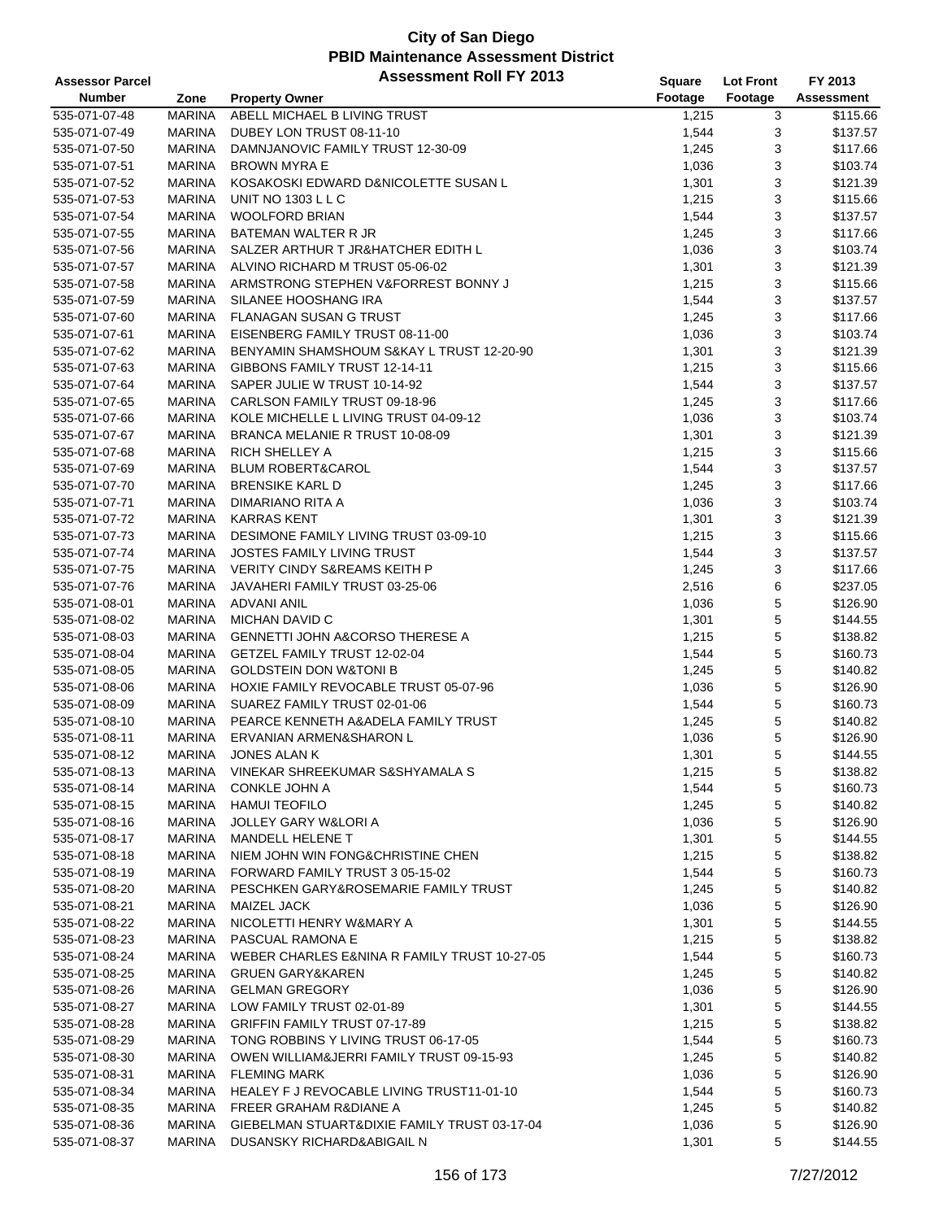| <b>Assessor Parcel</b> |               | <b>Assessment Roll FY 2013</b>               | <b>Square</b> | <b>Lot Front</b> | FY 2013    |
|------------------------|---------------|----------------------------------------------|---------------|------------------|------------|
| <b>Number</b>          | Zone          | <b>Property Owner</b>                        | Footage       | Footage          | Assessment |
| 535-071-07-48          | <b>MARINA</b> | ABELL MICHAEL B LIVING TRUST                 | 1,215         | 3                | \$115.66   |
| 535-071-07-49          | <b>MARINA</b> | DUBEY LON TRUST 08-11-10                     | 1,544         | 3                | \$137.57   |
| 535-071-07-50          | <b>MARINA</b> | DAMNJANOVIC FAMILY TRUST 12-30-09            | 1,245         | 3                | \$117.66   |
| 535-071-07-51          | <b>MARINA</b> | <b>BROWN MYRA E</b>                          | 1,036         | 3                | \$103.74   |
| 535-071-07-52          | <b>MARINA</b> | KOSAKOSKI EDWARD D&NICOLETTE SUSAN L         | 1,301         | 3                | \$121.39   |
| 535-071-07-53          | <b>MARINA</b> | UNIT NO 1303 L L C                           | 1,215         | 3                | \$115.66   |
| 535-071-07-54          | <b>MARINA</b> | <b>WOOLFORD BRIAN</b>                        | 1,544         | 3                | \$137.57   |
| 535-071-07-55          | <b>MARINA</b> | <b>BATEMAN WALTER R JR</b>                   | 1,245         | 3                | \$117.66   |
| 535-071-07-56          | <b>MARINA</b> | SALZER ARTHUR T JR&HATCHER EDITH L           | 1,036         | 3                | \$103.74   |
| 535-071-07-57          | <b>MARINA</b> | ALVINO RICHARD M TRUST 05-06-02              | 1,301         | 3                | \$121.39   |
| 535-071-07-58          | <b>MARINA</b> | ARMSTRONG STEPHEN V&FORREST BONNY J          | 1,215         | 3                | \$115.66   |
| 535-071-07-59          | <b>MARINA</b> | SILANEE HOOSHANG IRA                         | 1,544         | 3                | \$137.57   |
| 535-071-07-60          | <b>MARINA</b> | FLANAGAN SUSAN G TRUST                       | 1,245         | 3                | \$117.66   |
| 535-071-07-61          | MARINA        | EISENBERG FAMILY TRUST 08-11-00              | 1,036         | 3                | \$103.74   |
| 535-071-07-62          | <b>MARINA</b> | BENYAMIN SHAMSHOUM S&KAY L TRUST 12-20-90    | 1,301         | 3                | \$121.39   |
| 535-071-07-63          | <b>MARINA</b> | GIBBONS FAMILY TRUST 12-14-11                | 1,215         | 3                | \$115.66   |
| 535-071-07-64          | <b>MARINA</b> | SAPER JULIE W TRUST 10-14-92                 | 1,544         | 3                | \$137.57   |
| 535-071-07-65          | <b>MARINA</b> | CARLSON FAMILY TRUST 09-18-96                | 1,245         | 3                | \$117.66   |
| 535-071-07-66          | <b>MARINA</b> | KOLE MICHELLE L LIVING TRUST 04-09-12        | 1,036         | 3                | \$103.74   |
| 535-071-07-67          | <b>MARINA</b> | BRANCA MELANIE R TRUST 10-08-09              | 1,301         | 3                | \$121.39   |
| 535-071-07-68          | <b>MARINA</b> | RICH SHELLEY A                               | 1,215         | 3                | \$115.66   |
| 535-071-07-69          | <b>MARINA</b> | <b>BLUM ROBERT&amp;CAROL</b>                 | 1,544         | 3                | \$137.57   |
| 535-071-07-70          | <b>MARINA</b> | <b>BRENSIKE KARL D</b>                       | 1,245         | 3                | \$117.66   |
| 535-071-07-71          | <b>MARINA</b> | DIMARIANO RITA A                             | 1,036         | 3                | \$103.74   |
| 535-071-07-72          | <b>MARINA</b> | <b>KARRAS KENT</b>                           | 1,301         | 3                | \$121.39   |
| 535-071-07-73          | <b>MARINA</b> | DESIMONE FAMILY LIVING TRUST 03-09-10        | 1,215         | 3                | \$115.66   |
| 535-071-07-74          | <b>MARINA</b> | <b>JOSTES FAMILY LIVING TRUST</b>            | 1,544         | 3                | \$137.57   |
| 535-071-07-75          | MARINA        | <b>VERITY CINDY S&amp;REAMS KEITH P</b>      | 1,245         | 3                | \$117.66   |
| 535-071-07-76          | <b>MARINA</b> | JAVAHERI FAMILY TRUST 03-25-06               | 2,516         | 6                | \$237.05   |
| 535-071-08-01          | <b>MARINA</b> | <b>ADVANI ANIL</b>                           | 1,036         | 5                | \$126.90   |
| 535-071-08-02          | <b>MARINA</b> | MICHAN DAVID C                               | 1,301         | $\mathbf 5$      | \$144.55   |
| 535-071-08-03          | <b>MARINA</b> | <b>GENNETTI JOHN A&amp;CORSO THERESE A</b>   | 1,215         | 5                | \$138.82   |
| 535-071-08-04          | <b>MARINA</b> | GETZEL FAMILY TRUST 12-02-04                 | 1,544         | 5                | \$160.73   |
| 535-071-08-05          | <b>MARINA</b> | <b>GOLDSTEIN DON W&amp;TONI B</b>            | 1,245         | $\mathbf 5$      | \$140.82   |
| 535-071-08-06          | MARINA        | HOXIE FAMILY REVOCABLE TRUST 05-07-96        | 1,036         | 5                | \$126.90   |
| 535-071-08-09          | MARINA        | SUAREZ FAMILY TRUST 02-01-06                 | 1,544         | 5                | \$160.73   |
| 535-071-08-10          | <b>MARINA</b> | PEARCE KENNETH A&ADELA FAMILY TRUST          | 1,245         | 5                | \$140.82   |
| 535-071-08-11          | <b>MARINA</b> | ERVANIAN ARMEN&SHARON L                      | 1,036         | 5                | \$126.90   |
| 535-071-08-12          | <b>MARINA</b> | <b>JONES ALAN K</b>                          | 1,301         | 5                | \$144.55   |
| 535-071-08-13          | MARINA        | VINEKAR SHREEKUMAR S&SHYAMALA S              | 1,215         | 5                | \$138.82   |
| 535-071-08-14          | <b>MARINA</b> | <b>CONKLE JOHN A</b>                         | 1,544         | 5                | \$160.73   |
| 535-071-08-15          | <b>MARINA</b> | <b>HAMUI TEOFILO</b>                         | 1,245         | 5                | \$140.82   |
| 535-071-08-16          | <b>MARINA</b> | JOLLEY GARY W&LORI A                         | 1,036         | 5                | \$126.90   |
| 535-071-08-17          | <b>MARINA</b> | MANDELL HELENE T                             | 1,301         | 5                | \$144.55   |
| 535-071-08-18          | MARINA        | NIEM JOHN WIN FONG&CHRISTINE CHEN            | 1,215         | $\mathbf 5$      | \$138.82   |
| 535-071-08-19          | MARINA        | FORWARD FAMILY TRUST 3 05-15-02              | 1,544         | 5                | \$160.73   |
| 535-071-08-20          | <b>MARINA</b> | PESCHKEN GARY&ROSEMARIE FAMILY TRUST         | 1,245         | 5                | \$140.82   |
| 535-071-08-21          | MARINA        | <b>MAIZEL JACK</b>                           | 1,036         | 5                | \$126.90   |
| 535-071-08-22          | MARINA        | NICOLETTI HENRY W&MARY A                     | 1,301         | 5                | \$144.55   |
| 535-071-08-23          | <b>MARINA</b> | PASCUAL RAMONA E                             | 1,215         | 5                | \$138.82   |
| 535-071-08-24          | <b>MARINA</b> | WEBER CHARLES E&NINA R FAMILY TRUST 10-27-05 | 1,544         | 5                | \$160.73   |
| 535-071-08-25          | MARINA        | <b>GRUEN GARY&amp;KAREN</b>                  | 1,245         | 5                | \$140.82   |
| 535-071-08-26          | MARINA        | <b>GELMAN GREGORY</b>                        | 1,036         | 5                | \$126.90   |
| 535-071-08-27          | <b>MARINA</b> | LOW FAMILY TRUST 02-01-89                    | 1,301         | 5                | \$144.55   |
| 535-071-08-28          | <b>MARINA</b> | GRIFFIN FAMILY TRUST 07-17-89                | 1,215         | 5                | \$138.82   |
| 535-071-08-29          | MARINA        | TONG ROBBINS Y LIVING TRUST 06-17-05         | 1,544         | $\mathbf 5$      | \$160.73   |
| 535-071-08-30          | MARINA        | OWEN WILLIAM&JERRI FAMILY TRUST 09-15-93     | 1,245         | 5                | \$140.82   |
| 535-071-08-31          | <b>MARINA</b> | <b>FLEMING MARK</b>                          | 1,036         | 5                | \$126.90   |
| 535-071-08-34          | MARINA        | HEALEY F J REVOCABLE LIVING TRUST11-01-10    | 1,544         | 5                | \$160.73   |
| 535-071-08-35          | MARINA        | <b>FREER GRAHAM R&amp;DIANE A</b>            | 1,245         | 5                | \$140.82   |
| 535-071-08-36          | <b>MARINA</b> | GIEBELMAN STUART&DIXIE FAMILY TRUST 03-17-04 | 1,036         | 5                | \$126.90   |
| 535-071-08-37          | MARINA        | DUSANSKY RICHARD&ABIGAIL N                   | 1,301         | 5                | \$144.55   |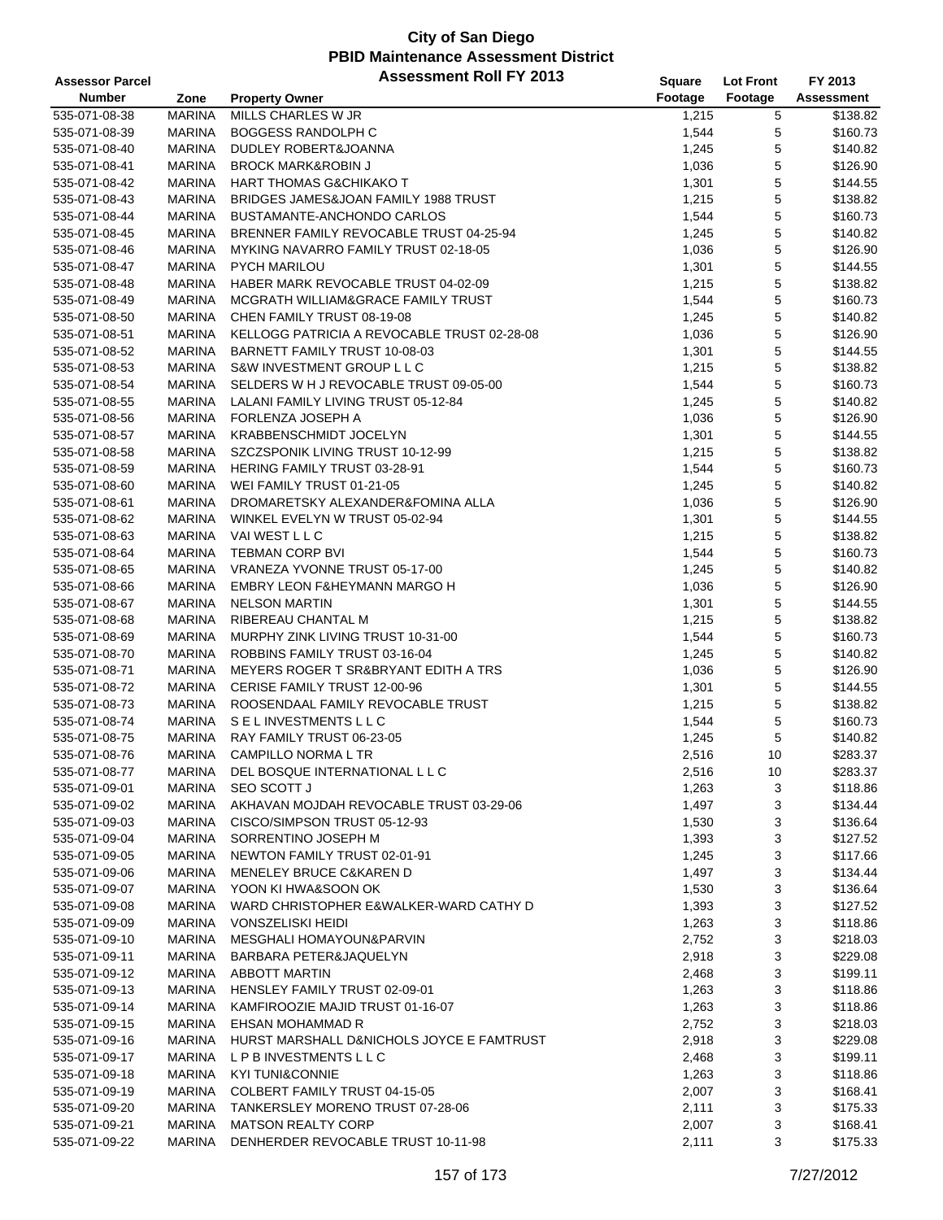| <b>Assessor Parcel</b> |               | <b>Assessment Roll FY 2013</b>              | Square  | <b>Lot Front</b> | FY 2013    |
|------------------------|---------------|---------------------------------------------|---------|------------------|------------|
| <b>Number</b>          | Zone          | <b>Property Owner</b>                       | Footage | Footage          | Assessment |
| 535-071-08-38          | <b>MARINA</b> | MILLS CHARLES W JR                          | 1,215   | 5                | \$138.82   |
| 535-071-08-39          | <b>MARINA</b> | <b>BOGGESS RANDOLPH C</b>                   | 1,544   | 5                | \$160.73   |
| 535-071-08-40          | <b>MARINA</b> | DUDLEY ROBERT&JOANNA                        | 1,245   | 5                | \$140.82   |
| 535-071-08-41          | <b>MARINA</b> | <b>BROCK MARK&amp;ROBIN J</b>               | 1,036   | 5                | \$126.90   |
| 535-071-08-42          | <b>MARINA</b> | HART THOMAS G&CHIKAKO T                     | 1,301   | 5                | \$144.55   |
| 535-071-08-43          | MARINA        | BRIDGES JAMES&JOAN FAMILY 1988 TRUST        | 1,215   | 5                | \$138.82   |
| 535-071-08-44          | <b>MARINA</b> | BUSTAMANTE-ANCHONDO CARLOS                  | 1,544   | 5                | \$160.73   |
| 535-071-08-45          | <b>MARINA</b> | BRENNER FAMILY REVOCABLE TRUST 04-25-94     | 1,245   | 5                | \$140.82   |
| 535-071-08-46          | <b>MARINA</b> | MYKING NAVARRO FAMILY TRUST 02-18-05        | 1,036   | 5                | \$126.90   |
| 535-071-08-47          |               | <b>PYCH MARILOU</b>                         |         |                  | \$144.55   |
|                        | <b>MARINA</b> |                                             | 1,301   | 5                |            |
| 535-071-08-48          | <b>MARINA</b> | HABER MARK REVOCABLE TRUST 04-02-09         | 1,215   | 5                | \$138.82   |
| 535-071-08-49          | <b>MARINA</b> | MCGRATH WILLIAM&GRACE FAMILY TRUST          | 1,544   | 5                | \$160.73   |
| 535-071-08-50          | MARINA        | CHEN FAMILY TRUST 08-19-08                  | 1,245   | 5                | \$140.82   |
| 535-071-08-51          | MARINA        | KELLOGG PATRICIA A REVOCABLE TRUST 02-28-08 | 1,036   | 5                | \$126.90   |
| 535-071-08-52          | <b>MARINA</b> | BARNETT FAMILY TRUST 10-08-03               | 1,301   | 5                | \$144.55   |
| 535-071-08-53          | <b>MARINA</b> | S&W INVESTMENT GROUP L L C                  | 1,215   | 5                | \$138.82   |
| 535-071-08-54          | <b>MARINA</b> | SELDERS W H J REVOCABLE TRUST 09-05-00      | 1,544   | 5                | \$160.73   |
| 535-071-08-55          | MARINA        | LALANI FAMILY LIVING TRUST 05-12-84         | 1,245   | 5                | \$140.82   |
| 535-071-08-56          | <b>MARINA</b> | FORLENZA JOSEPH A                           | 1,036   | 5                | \$126.90   |
| 535-071-08-57          | MARINA        | <b>KRABBENSCHMIDT JOCELYN</b>               | 1,301   | 5                | \$144.55   |
| 535-071-08-58          | <b>MARINA</b> | SZCZSPONIK LIVING TRUST 10-12-99            | 1,215   | 5                | \$138.82   |
| 535-071-08-59          | MARINA        | <b>HERING FAMILY TRUST 03-28-91</b>         | 1,544   | 5                | \$160.73   |
| 535-071-08-60          | MARINA        | WEI FAMILY TRUST 01-21-05                   | 1,245   | 5                | \$140.82   |
| 535-071-08-61          | MARINA        | DROMARETSKY ALEXANDER&FOMINA ALLA           | 1,036   | 5                | \$126.90   |
| 535-071-08-62          | <b>MARINA</b> | WINKEL EVELYN W TRUST 05-02-94              | 1,301   | 5                | \$144.55   |
| 535-071-08-63          | <b>MARINA</b> | <b>VAI WEST L L C</b>                       | 1,215   | 5                | \$138.82   |
| 535-071-08-64          | <b>MARINA</b> | <b>TEBMAN CORP BVI</b>                      | 1,544   | 5                | \$160.73   |
| 535-071-08-65          | <b>MARINA</b> | VRANEZA YVONNE TRUST 05-17-00               | 1,245   | 5                | \$140.82   |
| 535-071-08-66          | <b>MARINA</b> | <b>EMBRY LEON F&amp;HEYMANN MARGO H</b>     | 1,036   | 5                | \$126.90   |
| 535-071-08-67          | <b>MARINA</b> | <b>NELSON MARTIN</b>                        | 1,301   | 5                | \$144.55   |
| 535-071-08-68          | <b>MARINA</b> | RIBEREAU CHANTAL M                          | 1,215   | 5                | \$138.82   |
| 535-071-08-69          | <b>MARINA</b> | MURPHY ZINK LIVING TRUST 10-31-00           | 1,544   | 5                | \$160.73   |
| 535-071-08-70          | <b>MARINA</b> | ROBBINS FAMILY TRUST 03-16-04               | 1,245   | 5                | \$140.82   |
| 535-071-08-71          | <b>MARINA</b> | MEYERS ROGER T SR&BRYANT EDITH A TRS        | 1,036   | 5                | \$126.90   |
| 535-071-08-72          | <b>MARINA</b> | CERISE FAMILY TRUST 12-00-96                | 1,301   | 5                | \$144.55   |
| 535-071-08-73          | <b>MARINA</b> | ROOSENDAAL FAMILY REVOCABLE TRUST           | 1,215   | 5                | \$138.82   |
| 535-071-08-74          | MARINA        | SELINVESTMENTSLLC                           | 1,544   | 5                | \$160.73   |
| 535-071-08-75          | <b>MARINA</b> | RAY FAMILY TRUST 06-23-05                   | 1,245   | 5                | \$140.82   |
| 535-071-08-76          | <b>MARINA</b> | CAMPILLO NORMA L TR                         | 2,516   | 10               | \$283.37   |
| 535-071-08-77          | MARINA        | DEL BOSQUE INTERNATIONAL L L C              | 2,516   | 10               | \$283.37   |
| 535-071-09-01          | MARINA        | SEO SCOTT J                                 | 1,263   | 3                | \$118.86   |
|                        |               |                                             |         |                  |            |
| 535-071-09-02          | MARINA        | AKHAVAN MOJDAH REVOCABLE TRUST 03-29-06     | 1,497   | 3                | \$134.44   |
| 535-071-09-03          | MARINA        | CISCO/SIMPSON TRUST 05-12-93                | 1,530   | 3                | \$136.64   |
| 535-071-09-04          | MARINA        | SORRENTINO JOSEPH M                         | 1,393   | 3                | \$127.52   |
| 535-071-09-05          | MARINA        | NEWTON FAMILY TRUST 02-01-91                | 1,245   | 3                | \$117.66   |
| 535-071-09-06          | MARINA        | MENELEY BRUCE C&KAREN D                     | 1,497   | 3                | \$134.44   |
| 535-071-09-07          | MARINA        | YOON KI HWA&SOON OK                         | 1,530   | 3                | \$136.64   |
| 535-071-09-08          | MARINA        | WARD CHRISTOPHER E&WALKER-WARD CATHY D      | 1,393   | 3                | \$127.52   |
| 535-071-09-09          | MARINA        | <b>VONSZELISKI HEIDI</b>                    | 1,263   | 3                | \$118.86   |
| 535-071-09-10          | MARINA        | MESGHALI HOMAYOUN&PARVIN                    | 2,752   | 3                | \$218.03   |
| 535-071-09-11          | MARINA        | BARBARA PETER&JAQUELYN                      | 2,918   | 3                | \$229.08   |
| 535-071-09-12          | MARINA        | <b>ABBOTT MARTIN</b>                        | 2,468   | 3                | \$199.11   |
| 535-071-09-13          | MARINA        | HENSLEY FAMILY TRUST 02-09-01               | 1,263   | 3                | \$118.86   |
| 535-071-09-14          | MARINA        | KAMFIROOZIE MAJID TRUST 01-16-07            | 1,263   | 3                | \$118.86   |
| 535-071-09-15          | MARINA        | EHSAN MOHAMMAD R                            | 2,752   | 3                | \$218.03   |
| 535-071-09-16          | MARINA        | HURST MARSHALL D&NICHOLS JOYCE E FAMTRUST   | 2,918   | 3                | \$229.08   |
| 535-071-09-17          | MARINA        | L P B INVESTMENTS L L C                     | 2,468   | 3                | \$199.11   |
| 535-071-09-18          | MARINA        | <b>KYI TUNI&amp;CONNIE</b>                  | 1,263   | 3                | \$118.86   |
| 535-071-09-19          | MARINA        | COLBERT FAMILY TRUST 04-15-05               | 2,007   | 3                | \$168.41   |
| 535-071-09-20          | MARINA        | TANKERSLEY MORENO TRUST 07-28-06            | 2,111   | 3                | \$175.33   |
| 535-071-09-21          | MARINA        | <b>MATSON REALTY CORP</b>                   | 2,007   | 3                | \$168.41   |
| 535-071-09-22          | MARINA        | DENHERDER REVOCABLE TRUST 10-11-98          | 2,111   | 3                | \$175.33   |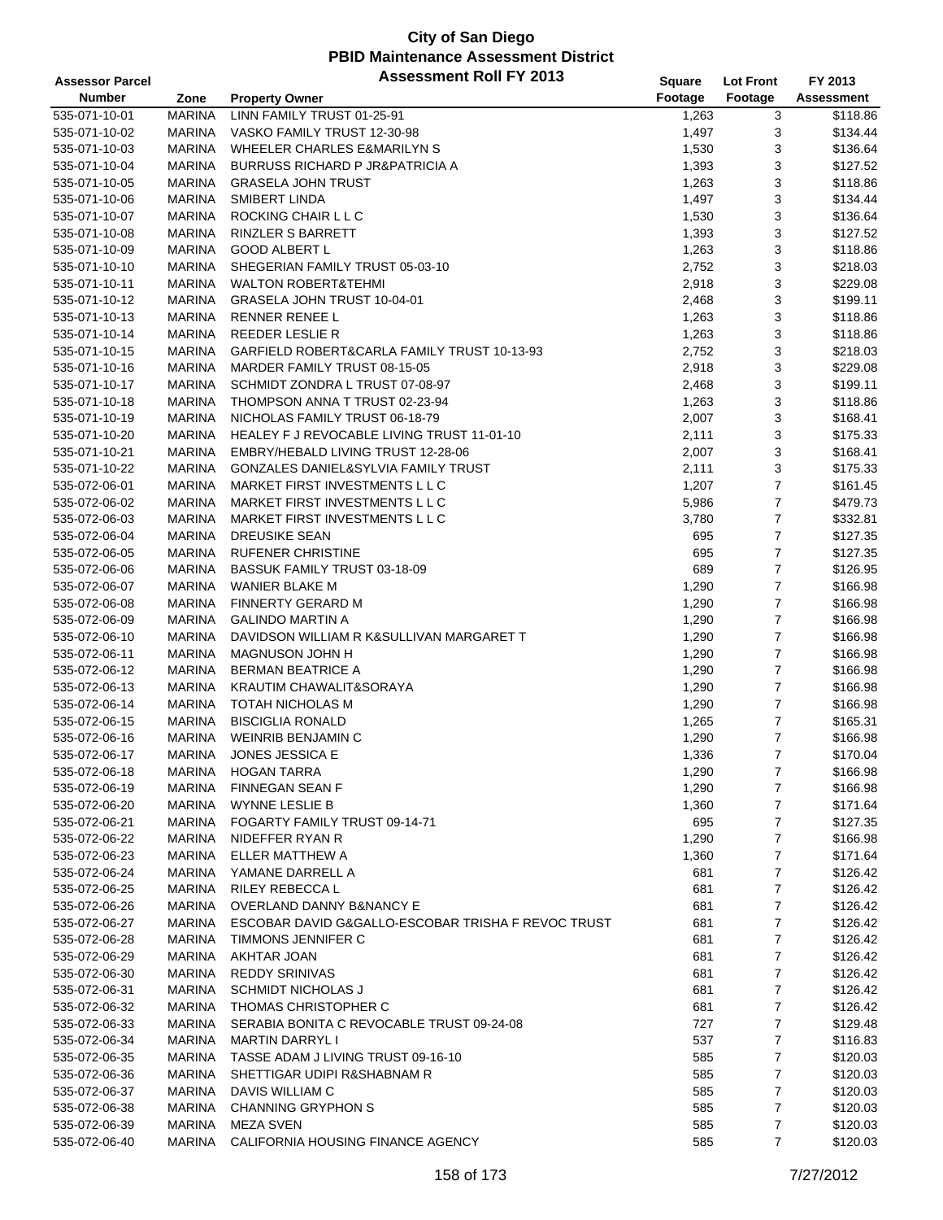| <b>Assessor Parcel</b> |               | <b>Assessment Roll FY 2013</b>                     | Square  | <b>Lot Front</b> | FY 2013    |
|------------------------|---------------|----------------------------------------------------|---------|------------------|------------|
| <b>Number</b>          | Zone          | <b>Property Owner</b>                              | Footage | Footage          | Assessment |
| 535-071-10-01          | <b>MARINA</b> | LINN FAMILY TRUST 01-25-91                         | 1,263   | 3                | \$118.86   |
| 535-071-10-02          | <b>MARINA</b> | VASKO FAMILY TRUST 12-30-98                        | 1,497   | 3                | \$134.44   |
| 535-071-10-03          | <b>MARINA</b> | WHEELER CHARLES E&MARILYN S                        | 1,530   | 3                | \$136.64   |
| 535-071-10-04          | <b>MARINA</b> | <b>BURRUSS RICHARD P JR&amp;PATRICIA A</b>         | 1,393   | 3                | \$127.52   |
| 535-071-10-05          | <b>MARINA</b> | <b>GRASELA JOHN TRUST</b>                          | 1,263   | 3                | \$118.86   |
| 535-071-10-06          | <b>MARINA</b> | SMIBERT LINDA                                      | 1,497   | 3                | \$134.44   |
| 535-071-10-07          | <b>MARINA</b> | ROCKING CHAIR L L C                                | 1,530   | 3                | \$136.64   |
| 535-071-10-08          | <b>MARINA</b> | RINZLER S BARRETT                                  | 1,393   | 3                | \$127.52   |
| 535-071-10-09          | <b>MARINA</b> | <b>GOOD ALBERT L</b>                               | 1,263   | 3                | \$118.86   |
| 535-071-10-10          | <b>MARINA</b> | SHEGERIAN FAMILY TRUST 05-03-10                    | 2,752   | 3                | \$218.03   |
| 535-071-10-11          | MARINA        | <b>WALTON ROBERT&amp;TEHMI</b>                     | 2,918   | 3                | \$229.08   |
| 535-071-10-12          | MARINA        | GRASELA JOHN TRUST 10-04-01                        | 2,468   | 3                | \$199.11   |
| 535-071-10-13          | <b>MARINA</b> | <b>RENNER RENEE L</b>                              | 1,263   | 3                | \$118.86   |
| 535-071-10-14          | <b>MARINA</b> | REEDER LESLIE R                                    | 1,263   | 3                | \$118.86   |
| 535-071-10-15          | <b>MARINA</b> | GARFIELD ROBERT&CARLA FAMILY TRUST 10-13-93        | 2,752   | 3                | \$218.03   |
| 535-071-10-16          | <b>MARINA</b> | MARDER FAMILY TRUST 08-15-05                       | 2,918   | 3                | \$229.08   |
| 535-071-10-17          | <b>MARINA</b> | SCHMIDT ZONDRA L TRUST 07-08-97                    | 2,468   | 3                | \$199.11   |
| 535-071-10-18          | <b>MARINA</b> | THOMPSON ANNA T TRUST 02-23-94                     | 1,263   | 3                | \$118.86   |
| 535-071-10-19          | <b>MARINA</b> | NICHOLAS FAMILY TRUST 06-18-79                     | 2,007   | 3                | \$168.41   |
| 535-071-10-20          | <b>MARINA</b> | HEALEY F J REVOCABLE LIVING TRUST 11-01-10         | 2,111   | 3                | \$175.33   |
| 535-071-10-21          | <b>MARINA</b> | EMBRY/HEBALD LIVING TRUST 12-28-06                 | 2,007   | 3                | \$168.41   |
| 535-071-10-22          | <b>MARINA</b> | GONZALES DANIEL&SYLVIA FAMILY TRUST                | 2,111   | 3                | \$175.33   |
| 535-072-06-01          | MARINA        | MARKET FIRST INVESTMENTS L L C                     | 1,207   | $\boldsymbol{7}$ | \$161.45   |
| 535-072-06-02          | MARINA        | MARKET FIRST INVESTMENTS L L C                     | 5,986   | $\overline{7}$   | \$479.73   |
| 535-072-06-03          | <b>MARINA</b> | MARKET FIRST INVESTMENTS L L C                     | 3,780   | $\overline{7}$   | \$332.81   |
| 535-072-06-04          | <b>MARINA</b> | <b>DREUSIKE SEAN</b>                               | 695     | $\overline{7}$   | \$127.35   |
| 535-072-06-05          | <b>MARINA</b> | <b>RUFENER CHRISTINE</b>                           | 695     | $\overline{7}$   | \$127.35   |
| 535-072-06-06          | <b>MARINA</b> | BASSUK FAMILY TRUST 03-18-09                       | 689     | $\overline{7}$   | \$126.95   |
| 535-072-06-07          | <b>MARINA</b> | WANIER BLAKE M                                     | 1,290   | $\overline{7}$   | \$166.98   |
| 535-072-06-08          | <b>MARINA</b> | <b>FINNERTY GERARD M</b>                           | 1,290   | $\boldsymbol{7}$ | \$166.98   |
| 535-072-06-09          | MARINA        | <b>GALINDO MARTIN A</b>                            | 1,290   | $\overline{7}$   | \$166.98   |
| 535-072-06-10          | <b>MARINA</b> | DAVIDSON WILLIAM R K&SULLIVAN MARGARET T           | 1,290   | $\overline{7}$   | \$166.98   |
| 535-072-06-11          | <b>MARINA</b> | MAGNUSON JOHN H                                    | 1,290   | $\overline{7}$   | \$166.98   |
| 535-072-06-12          | <b>MARINA</b> | <b>BERMAN BEATRICE A</b>                           | 1,290   | $\overline{7}$   | \$166.98   |
| 535-072-06-13          | MARINA        | KRAUTIM CHAWALIT&SORAYA                            | 1,290   | $\overline{7}$   | \$166.98   |
| 535-072-06-14          | <b>MARINA</b> | TOTAH NICHOLAS M                                   | 1,290   | $\boldsymbol{7}$ | \$166.98   |
| 535-072-06-15          | <b>MARINA</b> | <b>BISCIGLIA RONALD</b>                            | 1,265   | $\overline{7}$   | \$165.31   |
| 535-072-06-16          | <b>MARINA</b> | WEINRIB BENJAMIN C                                 | 1,290   | $\overline{7}$   | \$166.98   |
| 535-072-06-17          | <b>MARINA</b> | <b>JONES JESSICA E</b>                             | 1,336   | $\overline{7}$   | \$170.04   |
| 535-072-06-18          | MARINA        | <b>HOGAN TARRA</b>                                 | 1,290   | $\overline{7}$   | \$166.98   |
| 535-072-06-19          | <b>MARINA</b> | <b>FINNEGAN SEAN F</b>                             | 1,290   | 7                | \$166.98   |
| 535-072-06-20          | MARINA        | <b>WYNNE LESLIE B</b>                              | 1,360   | 7                | \$171.64   |
| 535-072-06-21          | <b>MARINA</b> | FOGARTY FAMILY TRUST 09-14-71                      | 695     | 7                | \$127.35   |
| 535-072-06-22          | <b>MARINA</b> | NIDEFFER RYAN R                                    | 1,290   | 7                | \$166.98   |
| 535-072-06-23          | MARINA        | ELLER MATTHEW A                                    | 1,360   | 7                | \$171.64   |
| 535-072-06-24          | MARINA        | YAMANE DARRELL A                                   | 681     | 7                | \$126.42   |
| 535-072-06-25          | <b>MARINA</b> | RILEY REBECCA L                                    | 681     | $\overline{7}$   | \$126.42   |
| 535-072-06-26          | <b>MARINA</b> | <b>OVERLAND DANNY B&amp;NANCY E</b>                | 681     | 7                | \$126.42   |
| 535-072-06-27          | MARINA        | ESCOBAR DAVID G&GALLO-ESCOBAR TRISHA F REVOC TRUST | 681     | 7                | \$126.42   |
| 535-072-06-28          | <b>MARINA</b> | <b>TIMMONS JENNIFER C</b>                          | 681     | 7                | \$126.42   |
| 535-072-06-29          | <b>MARINA</b> | AKHTAR JOAN                                        | 681     | 7                | \$126.42   |
| 535-072-06-30          | <b>MARINA</b> | <b>REDDY SRINIVAS</b>                              | 681     | 7                | \$126.42   |
| 535-072-06-31          | <b>MARINA</b> | <b>SCHMIDT NICHOLAS J</b>                          | 681     | 7                | \$126.42   |
| 535-072-06-32          | <b>MARINA</b> | THOMAS CHRISTOPHER C                               | 681     | 7                | \$126.42   |
| 535-072-06-33          | MARINA        | SERABIA BONITA C REVOCABLE TRUST 09-24-08          | 727     | 7                | \$129.48   |
| 535-072-06-34          | MARINA        | <b>MARTIN DARRYL I</b>                             | 537     | 7                | \$116.83   |
| 535-072-06-35          | MARINA        | TASSE ADAM J LIVING TRUST 09-16-10                 | 585     | 7                | \$120.03   |
| 535-072-06-36          | <b>MARINA</b> | SHETTIGAR UDIPI R&SHABNAM R                        | 585     | 7                | \$120.03   |
| 535-072-06-37          | <b>MARINA</b> | DAVIS WILLIAM C                                    | 585     | 7                | \$120.03   |
| 535-072-06-38          | MARINA        | <b>CHANNING GRYPHON S</b>                          | 585     | 7                | \$120.03   |
| 535-072-06-39          | <b>MARINA</b> | <b>MEZA SVEN</b>                                   | 585     | 7                | \$120.03   |
| 535-072-06-40          | <b>MARINA</b> | CALIFORNIA HOUSING FINANCE AGENCY                  | 585     | 7                | \$120.03   |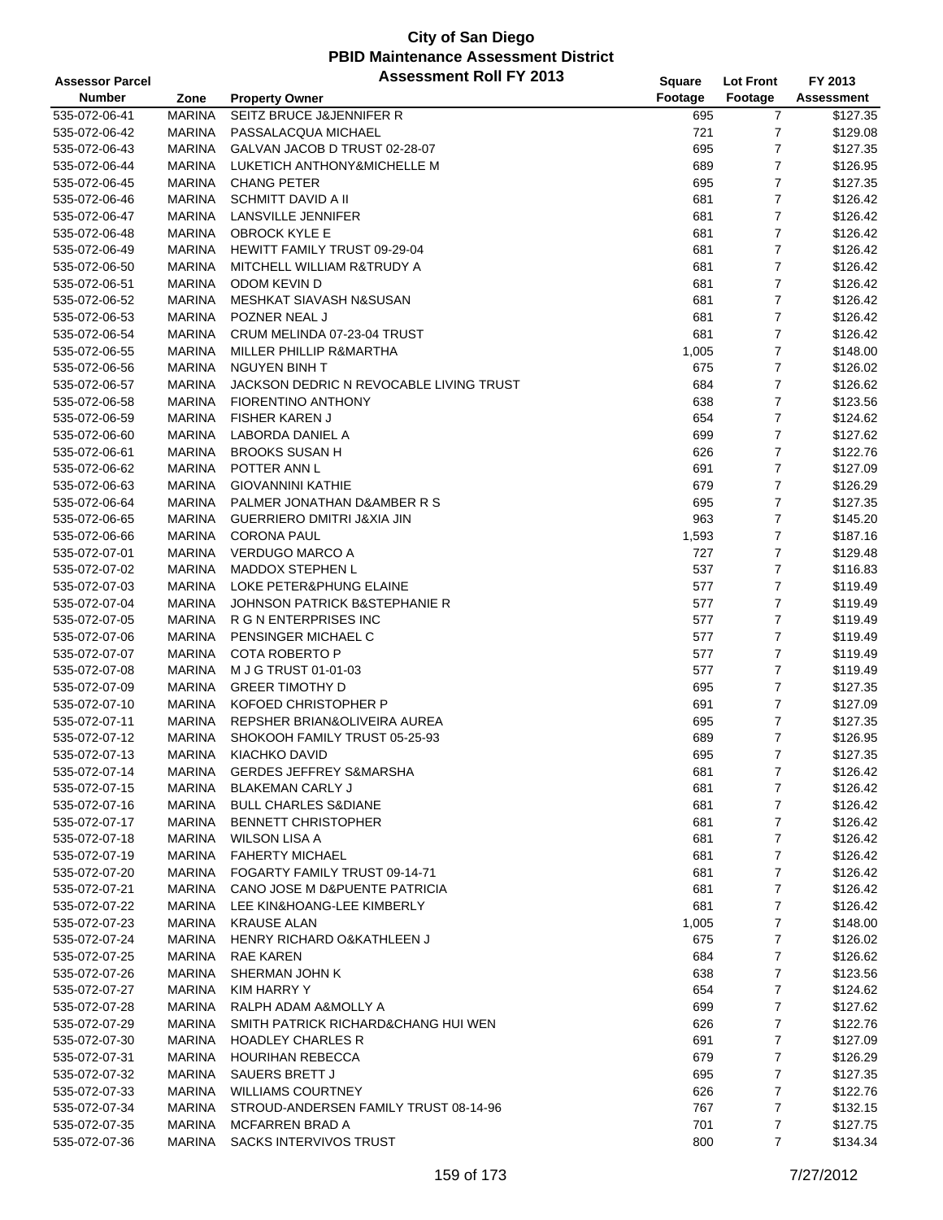| <b>Assessor Parcel</b> |               | <b>Assessment Roll FY 2013</b>           | <b>Square</b> | <b>Lot Front</b> | FY 2013           |
|------------------------|---------------|------------------------------------------|---------------|------------------|-------------------|
| <b>Number</b>          | Zone          | <b>Property Owner</b>                    | Footage       | Footage          | <b>Assessment</b> |
| 535-072-06-41          | <b>MARINA</b> | SEITZ BRUCE J&JENNIFER R                 | 695           | 7                | \$127.35          |
| 535-072-06-42          | <b>MARINA</b> | PASSALACQUA MICHAEL                      | 721           | $\overline{7}$   | \$129.08          |
| 535-072-06-43          | <b>MARINA</b> | GALVAN JACOB D TRUST 02-28-07            | 695           | 7                | \$127.35          |
| 535-072-06-44          | <b>MARINA</b> | LUKETICH ANTHONY&MICHELLE M              | 689           | 7                | \$126.95          |
| 535-072-06-45          | <b>MARINA</b> | <b>CHANG PETER</b>                       | 695           | $\overline{7}$   | \$127.35          |
| 535-072-06-46          | <b>MARINA</b> | <b>SCHMITT DAVID A II</b>                | 681           | $\overline{7}$   | \$126.42          |
| 535-072-06-47          | <b>MARINA</b> | LANSVILLE JENNIFER                       | 681           | $\overline{7}$   | \$126.42          |
| 535-072-06-48          | <b>MARINA</b> | <b>OBROCK KYLE E</b>                     | 681           | $\overline{7}$   | \$126.42          |
| 535-072-06-49          | <b>MARINA</b> | <b>HEWITT FAMILY TRUST 09-29-04</b>      | 681           | 7                | \$126.42          |
| 535-072-06-50          | <b>MARINA</b> | MITCHELL WILLIAM R&TRUDY A               | 681           | 7                | \$126.42          |
| 535-072-06-51          | <b>MARINA</b> | <b>ODOM KEVIN D</b>                      | 681           | $\overline{7}$   | \$126.42          |
| 535-072-06-52          | <b>MARINA</b> | MESHKAT SIAVASH N&SUSAN                  | 681           | $\boldsymbol{7}$ | \$126.42          |
| 535-072-06-53          | <b>MARINA</b> | POZNER NEAL J                            | 681           | $\overline{7}$   | \$126.42          |
| 535-072-06-54          | <b>MARINA</b> | CRUM MELINDA 07-23-04 TRUST              | 681           | $\overline{7}$   | \$126.42          |
| 535-072-06-55          | <b>MARINA</b> | MILLER PHILLIP R&MARTHA                  | 1,005         | 7                | \$148.00          |
| 535-072-06-56          | <b>MARINA</b> | <b>NGUYEN BINH T</b>                     | 675           | $\overline{7}$   | \$126.02          |
| 535-072-06-57          | <b>MARINA</b> | JACKSON DEDRIC N REVOCABLE LIVING TRUST  | 684           | 7                | \$126.62          |
| 535-072-06-58          | <b>MARINA</b> | FIORENTINO ANTHONY                       | 638           | $\overline{7}$   | \$123.56          |
| 535-072-06-59          | <b>MARINA</b> | <b>FISHER KAREN J</b>                    | 654           | $\overline{7}$   | \$124.62          |
| 535-072-06-60          | <b>MARINA</b> | LABORDA DANIEL A                         | 699           | 7                | \$127.62          |
| 535-072-06-61          | <b>MARINA</b> | <b>BROOKS SUSAN H</b>                    | 626           | $\overline{7}$   | \$122.76          |
| 535-072-06-62          | <b>MARINA</b> | POTTER ANN L                             | 691           | $\overline{7}$   | \$127.09          |
| 535-072-06-63          | <b>MARINA</b> | <b>GIOVANNINI KATHIE</b>                 | 679           | $\overline{7}$   | \$126.29          |
| 535-072-06-64          | <b>MARINA</b> | PALMER JONATHAN D&AMBER R S              | 695           | $\overline{7}$   | \$127.35          |
| 535-072-06-65          | <b>MARINA</b> | GUERRIERO DMITRI J&XIA JIN               | 963           | $\overline{7}$   | \$145.20          |
| 535-072-06-66          | <b>MARINA</b> | <b>CORONA PAUL</b>                       | 1,593         | 7                | \$187.16          |
| 535-072-07-01          | <b>MARINA</b> | <b>VERDUGO MARCO A</b>                   | 727           | $\overline{7}$   | \$129.48          |
| 535-072-07-02          | <b>MARINA</b> | <b>MADDOX STEPHEN L</b>                  | 537           | $\overline{7}$   | \$116.83          |
| 535-072-07-03          | <b>MARINA</b> | LOKE PETER&PHUNG ELAINE                  | 577           | $\overline{7}$   | \$119.49          |
| 535-072-07-04          | <b>MARINA</b> | <b>JOHNSON PATRICK B&amp;STEPHANIE R</b> | 577           | $\overline{7}$   | \$119.49          |
| 535-072-07-05          | <b>MARINA</b> | R G N ENTERPRISES INC                    | 577           | 7                | \$119.49          |
| 535-072-07-06          | <b>MARINA</b> | PENSINGER MICHAEL C                      | 577           | 7                | \$119.49          |
| 535-072-07-07          | <b>MARINA</b> | <b>COTA ROBERTO P</b>                    | 577           | $\overline{7}$   | \$119.49          |
| 535-072-07-08          | <b>MARINA</b> | M J G TRUST 01-01-03                     | 577           | 7                | \$119.49          |
| 535-072-07-09          | <b>MARINA</b> | <b>GREER TIMOTHY D</b>                   | 695           | 7                | \$127.35          |
| 535-072-07-10          | <b>MARINA</b> | KOFOED CHRISTOPHER P                     | 691           | $\overline{7}$   | \$127.09          |
| 535-072-07-11          | <b>MARINA</b> | REPSHER BRIAN& OLIVEIRA AUREA            | 695           | 7                | \$127.35          |
| 535-072-07-12          | <b>MARINA</b> | SHOKOOH FAMILY TRUST 05-25-93            | 689           | $\overline{7}$   | \$126.95          |
| 535-072-07-13          | <b>MARINA</b> | <b>KIACHKO DAVID</b>                     | 695           | $\overline{7}$   | \$127.35          |
| 535-072-07-14          | <b>MARINA</b> | <b>GERDES JEFFREY S&amp;MARSHA</b>       | 681           | $\overline{7}$   | \$126.42          |
| 535-072-07-15          | <b>MARINA</b> | <b>BLAKEMAN CARLY J</b>                  | 681           | 7                | \$126.42          |
| 535-072-07-16          | <b>MARINA</b> | <b>BULL CHARLES S&amp;DIANE</b>          | 681           | 7                | \$126.42          |
| 535-072-07-17          | <b>MARINA</b> | <b>BENNETT CHRISTOPHER</b>               | 681           | 7                | \$126.42          |
| 535-072-07-18          | MARINA        | <b>WILSON LISA A</b>                     | 681           | 7                | \$126.42          |
| 535-072-07-19          | <b>MARINA</b> | <b>FAHERTY MICHAEL</b>                   | 681           | 7                | \$126.42          |
| 535-072-07-20          | <b>MARINA</b> | FOGARTY FAMILY TRUST 09-14-71            | 681           | 7                | \$126.42          |
| 535-072-07-21          | <b>MARINA</b> | CANO JOSE M D&PUENTE PATRICIA            | 681           | 7                | \$126.42          |
| 535-072-07-22          | <b>MARINA</b> | LEE KIN&HOANG-LEE KIMBERLY               | 681           | 7                | \$126.42          |
| 535-072-07-23          | MARINA        | <b>KRAUSE ALAN</b>                       | 1,005         | 7                | \$148.00          |
| 535-072-07-24          | <b>MARINA</b> | HENRY RICHARD O&KATHLEEN J               | 675           | 7                | \$126.02          |
| 535-072-07-25          | <b>MARINA</b> | RAE KAREN                                | 684           | 7                | \$126.62          |
| 535-072-07-26          | <b>MARINA</b> | SHERMAN JOHN K                           | 638           | $\boldsymbol{7}$ | \$123.56          |
| 535-072-07-27          | <b>MARINA</b> | <b>KIM HARRY Y</b>                       | 654           | 7                | \$124.62          |
| 535-072-07-28          | <b>MARINA</b> | RALPH ADAM A&MOLLY A                     | 699           | 7                | \$127.62          |
| 535-072-07-29          | <b>MARINA</b> | SMITH PATRICK RICHARD&CHANG HUI WEN      | 626           | 7                | \$122.76          |
| 535-072-07-30          | <b>MARINA</b> | <b>HOADLEY CHARLES R</b>                 | 691           | 7                | \$127.09          |
| 535-072-07-31          | <b>MARINA</b> | <b>HOURIHAN REBECCA</b>                  | 679           | 7                | \$126.29          |
| 535-072-07-32          | <b>MARINA</b> | SAUERS BRETT J                           | 695           | 7                | \$127.35          |
| 535-072-07-33          | <b>MARINA</b> | <b>WILLIAMS COURTNEY</b>                 | 626           | 7                | \$122.76          |
| 535-072-07-34          | MARINA        | STROUD-ANDERSEN FAMILY TRUST 08-14-96    | 767           | 7                | \$132.15          |
| 535-072-07-35          | <b>MARINA</b> | MCFARREN BRAD A                          | 701           | $\overline{7}$   | \$127.75          |
| 535-072-07-36          | <b>MARINA</b> | SACKS INTERVIVOS TRUST                   | 800           | 7                | \$134.34          |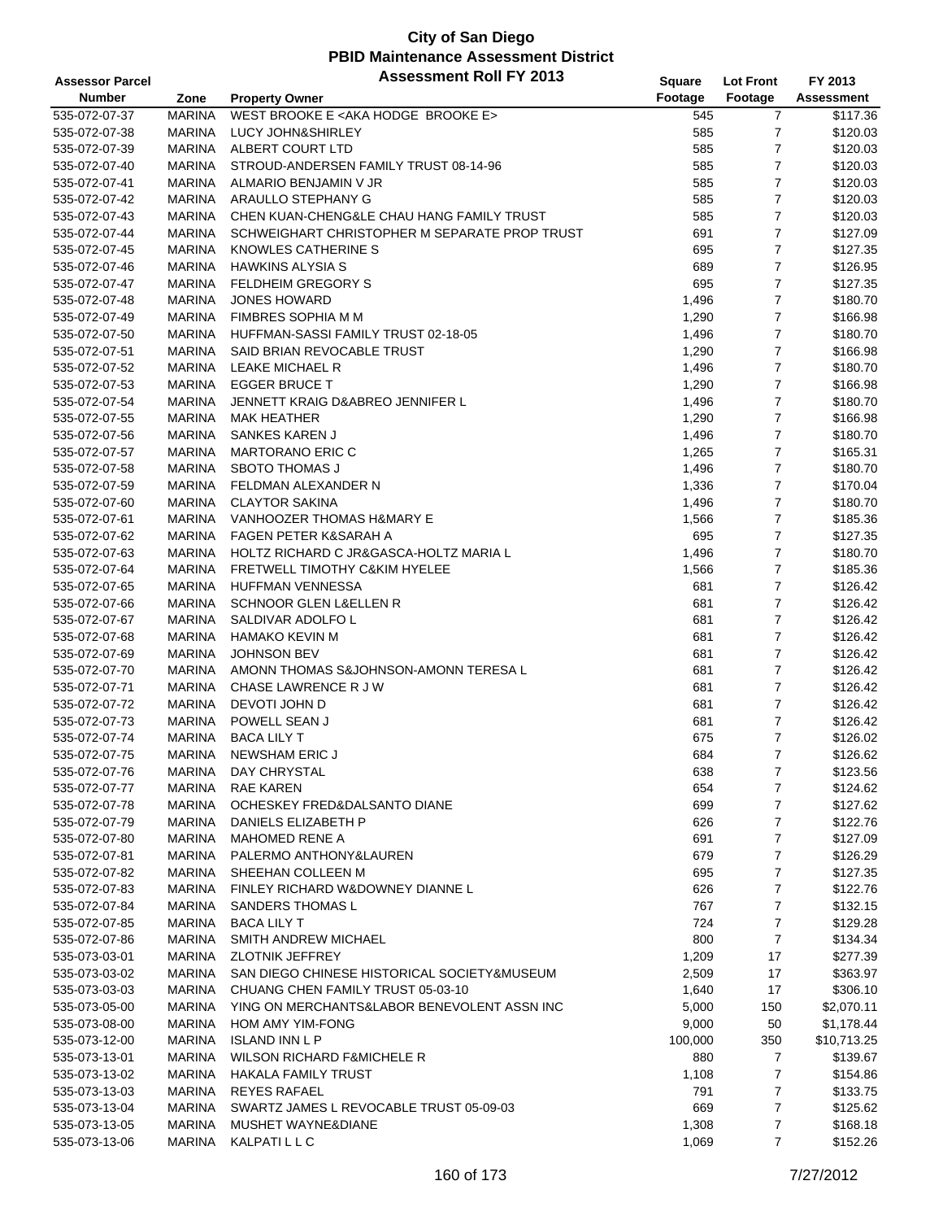#### **City of San Diego PBID Maintenance Assessment District Assessor Parcel Assessment Roll FY 2013**

| <b>Assessor Parcel</b> |               | <b>ASSESSMENT ROIL FT 2013</b>                    | <b>Square</b> | <b>Lot Front</b> | FY 2013           |
|------------------------|---------------|---------------------------------------------------|---------------|------------------|-------------------|
| <b>Number</b>          | Zone          | <b>Property Owner</b>                             | Footage       | Footage          | <b>Assessment</b> |
| 535-072-07-37          | <b>MARINA</b> | WEST BROOKE E <aka brooke="" e="" hodge=""></aka> | 545           | 7                | \$117.36          |
| 535-072-07-38          | <b>MARINA</b> | <b>LUCY JOHN&amp;SHIRLEY</b>                      | 585           | 7                | \$120.03          |
| 535-072-07-39          | <b>MARINA</b> | ALBERT COURT LTD                                  | 585           | 7                | \$120.03          |
|                        |               |                                                   |               |                  |                   |
| 535-072-07-40          | <b>MARINA</b> | STROUD-ANDERSEN FAMILY TRUST 08-14-96             | 585           | $\overline{7}$   | \$120.03          |
| 535-072-07-41          | <b>MARINA</b> | ALMARIO BENJAMIN V JR                             | 585           | 7                | \$120.03          |
| 535-072-07-42          | <b>MARINA</b> | ARAULLO STEPHANY G                                | 585           | 7                | \$120.03          |
| 535-072-07-43          | <b>MARINA</b> | CHEN KUAN-CHENG&LE CHAU HANG FAMILY TRUST         | 585           | 7                | \$120.03          |
| 535-072-07-44          | <b>MARINA</b> | SCHWEIGHART CHRISTOPHER M SEPARATE PROP TRUST     | 691           | 7                | \$127.09          |
| 535-072-07-45          | <b>MARINA</b> | KNOWLES CATHERINE S                               | 695           | 7                | \$127.35          |
| 535-072-07-46          | <b>MARINA</b> | <b>HAWKINS ALYSIA S</b>                           | 689           | 7                | \$126.95          |
| 535-072-07-47          | <b>MARINA</b> | <b>FELDHEIM GREGORY S</b>                         | 695           | $\overline{7}$   | \$127.35          |
|                        | <b>MARINA</b> |                                                   |               | 7                | \$180.70          |
| 535-072-07-48          |               | <b>JONES HOWARD</b>                               | 1,496         |                  |                   |
| 535-072-07-49          | <b>MARINA</b> | FIMBRES SOPHIA M M                                | 1,290         | 7                | \$166.98          |
| 535-072-07-50          | <b>MARINA</b> | HUFFMAN-SASSI FAMILY TRUST 02-18-05               | 1,496         | 7                | \$180.70          |
| 535-072-07-51          | <b>MARINA</b> | SAID BRIAN REVOCABLE TRUST                        | 1,290         | $\overline{7}$   | \$166.98          |
| 535-072-07-52          | <b>MARINA</b> | LEAKE MICHAEL R                                   | 1,496         | 7                | \$180.70          |
| 535-072-07-53          | <b>MARINA</b> | <b>EGGER BRUCE T</b>                              | 1,290         | 7                | \$166.98          |
| 535-072-07-54          | <b>MARINA</b> | JENNETT KRAIG D&ABREO JENNIFER L                  | 1,496         | 7                | \$180.70          |
| 535-072-07-55          | <b>MARINA</b> | <b>MAK HEATHER</b>                                | 1,290         | 7                | \$166.98          |
| 535-072-07-56          | <b>MARINA</b> | <b>SANKES KAREN J</b>                             | 1,496         | 7                | \$180.70          |
| 535-072-07-57          | <b>MARINA</b> | <b>MARTORANO ERIC C</b>                           |               | 7                | \$165.31          |
|                        |               |                                                   | 1,265         |                  |                   |
| 535-072-07-58          | <b>MARINA</b> | <b>SBOTO THOMAS J</b>                             | 1,496         | $\overline{7}$   | \$180.70          |
| 535-072-07-59          | <b>MARINA</b> | FELDMAN ALEXANDER N                               | 1,336         | 7                | \$170.04          |
| 535-072-07-60          | <b>MARINA</b> | <b>CLAYTOR SAKINA</b>                             | 1,496         | 7                | \$180.70          |
| 535-072-07-61          | <b>MARINA</b> | VANHOOZER THOMAS H&MARY E                         | 1,566         | $\overline{7}$   | \$185.36          |
| 535-072-07-62          | <b>MARINA</b> | FAGEN PETER K&SARAH A                             | 695           | 7                | \$127.35          |
| 535-072-07-63          | <b>MARINA</b> | HOLTZ RICHARD C JR&GASCA-HOLTZ MARIA L            | 1,496         | 7                | \$180.70          |
| 535-072-07-64          | <b>MARINA</b> | FRETWELL TIMOTHY C&KIM HYELEE                     | 1,566         | 7                | \$185.36          |
| 535-072-07-65          | <b>MARINA</b> | <b>HUFFMAN VENNESSA</b>                           | 681           | 7                | \$126.42          |
| 535-072-07-66          | <b>MARINA</b> | <b>SCHNOOR GLEN L&amp;ELLEN R</b>                 | 681           | 7                | \$126.42          |
|                        |               |                                                   |               |                  |                   |
| 535-072-07-67          | <b>MARINA</b> | SALDIVAR ADOLFO L                                 | 681           | 7                | \$126.42          |
| 535-072-07-68          | <b>MARINA</b> | <b>HAMAKO KEVIN M</b>                             | 681           | 7                | \$126.42          |
| 535-072-07-69          | <b>MARINA</b> | <b>JOHNSON BEV</b>                                | 681           | 7                | \$126.42          |
| 535-072-07-70          | <b>MARINA</b> | AMONN THOMAS S&JOHNSON-AMONN TERESA L             | 681           | 7                | \$126.42          |
| 535-072-07-71          | <b>MARINA</b> | CHASE LAWRENCE R J W                              | 681           | 7                | \$126.42          |
| 535-072-07-72          | <b>MARINA</b> | DEVOTI JOHN D                                     | 681           | $\overline{7}$   | \$126.42          |
| 535-072-07-73          | <b>MARINA</b> | POWELL SEAN J                                     | 681           | 7                | \$126.42          |
| 535-072-07-74          | <b>MARINA</b> | <b>BACA LILY T</b>                                | 675           | 7                | \$126.02          |
| 535-072-07-75          | <b>MARINA</b> | <b>NEWSHAM ERIC J</b>                             | 684           | $\overline{7}$   | \$126.62          |
|                        |               |                                                   |               |                  |                   |
| 535-072-07-76          | <b>MARINA</b> | DAY CHRYSTAL                                      | 638           | 7                | \$123.56          |
| 535-072-07-77          | <b>MARINA</b> | RAE KAREN                                         | 654           | 7                | \$124.62          |
| 535-072-07-78          | <b>MARINA</b> | OCHESKEY FRED&DALSANTO DIANE                      | 699           | 7                | \$127.62          |
| 535-072-07-79          | <b>MARINA</b> | DANIELS ELIZABETH P                               | 626           | 7                | \$122.76          |
| 535-072-07-80          | <b>MARINA</b> | <b>MAHOMED RENE A</b>                             | 691           | 7                | \$127.09          |
| 535-072-07-81          | <b>MARINA</b> | PALERMO ANTHONY&LAUREN                            | 679           | 7                | \$126.29          |
| 535-072-07-82          | <b>MARINA</b> | SHEEHAN COLLEEN M                                 | 695           | 7                | \$127.35          |
| 535-072-07-83          | <b>MARINA</b> | FINLEY RICHARD W&DOWNEY DIANNE L                  | 626           | 7                | \$122.76          |
| 535-072-07-84          | <b>MARINA</b> | <b>SANDERS THOMAS L</b>                           | 767           | 7                | \$132.15          |
| 535-072-07-85          | <b>MARINA</b> | <b>BACA LILY T</b>                                | 724           | 7                | \$129.28          |
|                        |               |                                                   |               |                  |                   |
| 535-072-07-86          | <b>MARINA</b> | <b>SMITH ANDREW MICHAEL</b>                       | 800           | $\boldsymbol{7}$ | \$134.34          |
| 535-073-03-01          | <b>MARINA</b> | <b>ZLOTNIK JEFFREY</b>                            | 1,209         | 17               | \$277.39          |
| 535-073-03-02          | <b>MARINA</b> | SAN DIEGO CHINESE HISTORICAL SOCIETY&MUSEUM       | 2,509         | 17               | \$363.97          |
| 535-073-03-03          | <b>MARINA</b> | CHUANG CHEN FAMILY TRUST 05-03-10                 | 1,640         | 17               | \$306.10          |
| 535-073-05-00          | <b>MARINA</b> | YING ON MERCHANTS&LABOR BENEVOLENT ASSN INC       | 5,000         | 150              | \$2,070.11        |
| 535-073-08-00          | <b>MARINA</b> | HOM AMY YIM-FONG                                  | 9,000         | 50               | \$1,178.44        |
| 535-073-12-00          | <b>MARINA</b> | <b>ISLAND INN L P</b>                             | 100,000       | 350              | \$10,713.25       |
| 535-073-13-01          | MARINA        | <b>WILSON RICHARD F&amp;MICHELE R</b>             | 880           | 7                | \$139.67          |
|                        |               |                                                   |               |                  |                   |
| 535-073-13-02          | <b>MARINA</b> | <b>HAKALA FAMILY TRUST</b>                        | 1,108         | 7                | \$154.86          |
| 535-073-13-03          | <b>MARINA</b> | <b>REYES RAFAEL</b>                               | 791           | 7                | \$133.75          |
| 535-073-13-04          | <b>MARINA</b> | SWARTZ JAMES L REVOCABLE TRUST 05-09-03           | 669           | 7                | \$125.62          |
| 535-073-13-05          | <b>MARINA</b> | MUSHET WAYNE&DIANE                                | 1,308         | 7                | \$168.18          |
| 535-073-13-06          | <b>MARINA</b> | <b>KALPATILLC</b>                                 | 1,069         | 7                | \$152.26          |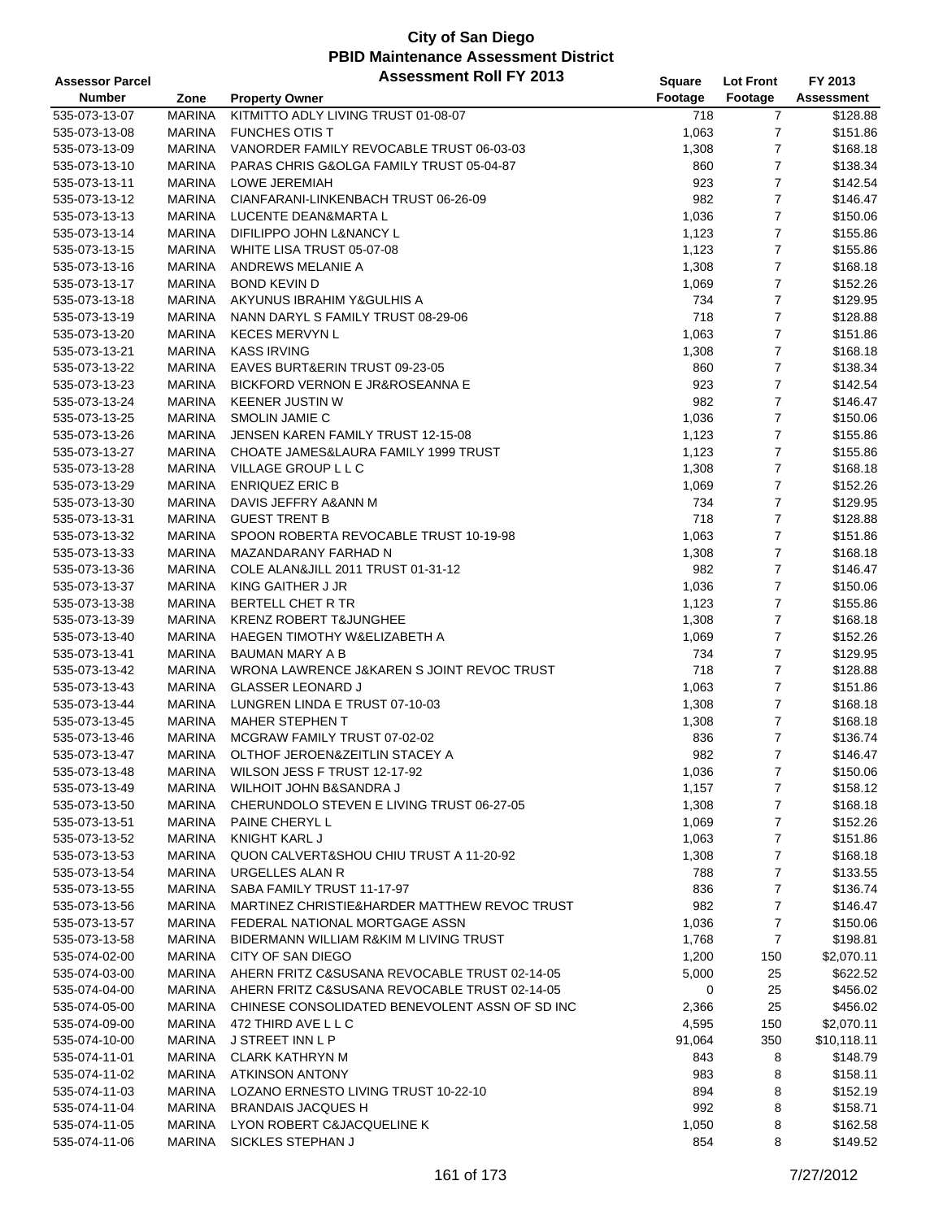| <b>Assessor Parcel</b> |               | <b>Assessment Roll FY 2013</b>                 | Square  | <b>Lot Front</b> | FY 2013     |
|------------------------|---------------|------------------------------------------------|---------|------------------|-------------|
| <b>Number</b>          | Zone          | <b>Property Owner</b>                          | Footage | Footage          | Assessment  |
| 535-073-13-07          | <b>MARINA</b> | KITMITTO ADLY LIVING TRUST 01-08-07            | 718     | $\overline{7}$   | \$128.88    |
| 535-073-13-08          | <b>MARINA</b> | <b>FUNCHES OTIS T</b>                          | 1,063   | $\overline{7}$   | \$151.86    |
| 535-073-13-09          | <b>MARINA</b> | VANORDER FAMILY REVOCABLE TRUST 06-03-03       | 1,308   | $\overline{7}$   | \$168.18    |
| 535-073-13-10          | <b>MARINA</b> | PARAS CHRIS G&OLGA FAMILY TRUST 05-04-87       | 860     | $\overline{7}$   | \$138.34    |
| 535-073-13-11          | <b>MARINA</b> | LOWE JEREMIAH                                  | 923     | $\overline{7}$   | \$142.54    |
| 535-073-13-12          | MARINA        | CIANFARANI-LINKENBACH TRUST 06-26-09           | 982     | $\overline{7}$   | \$146.47    |
| 535-073-13-13          | MARINA        | LUCENTE DEAN&MARTA L                           | 1,036   | $\overline{7}$   | \$150.06    |
| 535-073-13-14          | <b>MARINA</b> | DIFILIPPO JOHN L&NANCY L                       | 1,123   | $\overline{7}$   | \$155.86    |
| 535-073-13-15          | <b>MARINA</b> | WHITE LISA TRUST 05-07-08                      | 1,123   | $\overline{7}$   | \$155.86    |
| 535-073-13-16          | <b>MARINA</b> | ANDREWS MELANIE A                              | 1,308   | $\overline{7}$   | \$168.18    |
| 535-073-13-17          | <b>MARINA</b> | <b>BOND KEVIN D</b>                            | 1,069   | $\overline{7}$   | \$152.26    |
| 535-073-13-18          | MARINA        | AKYUNUS IBRAHIM Y&GULHIS A                     | 734     | $\boldsymbol{7}$ | \$129.95    |
| 535-073-13-19          | <b>MARINA</b> | NANN DARYL S FAMILY TRUST 08-29-06             | 718     | $\overline{7}$   | \$128.88    |
| 535-073-13-20          | <b>MARINA</b> | <b>KECES MERVYN L</b>                          | 1,063   | $\overline{7}$   | \$151.86    |
| 535-073-13-21          | <b>MARINA</b> | <b>KASS IRVING</b>                             | 1,308   | $\overline{7}$   | \$168.18    |
| 535-073-13-22          | <b>MARINA</b> | EAVES BURT&ERIN TRUST 09-23-05                 | 860     | $\overline{7}$   | \$138.34    |
| 535-073-13-23          | <b>MARINA</b> | <b>BICKFORD VERNON E JR&amp;ROSEANNA E</b>     | 923     | $\overline{7}$   | \$142.54    |
| 535-073-13-24          | MARINA        | <b>KEENER JUSTIN W</b>                         | 982     | $\overline{7}$   | \$146.47    |
| 535-073-13-25          | <b>MARINA</b> | SMOLIN JAMIE C                                 | 1,036   | $\overline{7}$   | \$150.06    |
| 535-073-13-26          | <b>MARINA</b> | JENSEN KAREN FAMILY TRUST 12-15-08             | 1,123   | $\boldsymbol{7}$ | \$155.86    |
| 535-073-13-27          | <b>MARINA</b> | CHOATE JAMES&LAURA FAMILY 1999 TRUST           | 1,123   | $\overline{7}$   | \$155.86    |
| 535-073-13-28          | MARINA        | VILLAGE GROUP L L C                            | 1,308   | $\overline{7}$   | \$168.18    |
| 535-073-13-29          | <b>MARINA</b> | <b>ENRIQUEZ ERIC B</b>                         | 1,069   | $\overline{7}$   | \$152.26    |
| 535-073-13-30          | <b>MARINA</b> | DAVIS JEFFRY A&ANN M                           | 734     | $\overline{7}$   | \$129.95    |
| 535-073-13-31          | <b>MARINA</b> | <b>GUEST TRENT B</b>                           | 718     | $\overline{7}$   | \$128.88    |
| 535-073-13-32          | <b>MARINA</b> | SPOON ROBERTA REVOCABLE TRUST 10-19-98         | 1,063   | $\overline{7}$   | \$151.86    |
| 535-073-13-33          | <b>MARINA</b> | MAZANDARANY FARHAD N                           | 1,308   | $\overline{7}$   | \$168.18    |
| 535-073-13-36          | MARINA        | COLE ALAN&JILL 2011 TRUST 01-31-12             | 982     | $\overline{7}$   | \$146.47    |
| 535-073-13-37          | MARINA        | KING GAITHER J JR                              | 1,036   | $\overline{7}$   | \$150.06    |
| 535-073-13-38          | <b>MARINA</b> | BERTELL CHET R TR                              | 1,123   | $\overline{7}$   | \$155.86    |
| 535-073-13-39          | <b>MARINA</b> | <b>KRENZ ROBERT T&amp;JUNGHEE</b>              | 1,308   | $\overline{7}$   | \$168.18    |
| 535-073-13-40          | <b>MARINA</b> | HAEGEN TIMOTHY W&ELIZABETH A                   | 1,069   | $\overline{7}$   | \$152.26    |
| 535-073-13-41          | <b>MARINA</b> | <b>BAUMAN MARY A B</b>                         | 734     | $\overline{7}$   | \$129.95    |
| 535-073-13-42          | <b>MARINA</b> | WRONA LAWRENCE J&KAREN S JOINT REVOC TRUST     | 718     | $\overline{7}$   | \$128.88    |
| 535-073-13-43          | MARINA        | <b>GLASSER LEONARD J</b>                       | 1,063   | $\overline{7}$   | \$151.86    |
| 535-073-13-44          | MARINA        | LUNGREN LINDA E TRUST 07-10-03                 | 1,308   | $\overline{7}$   | \$168.18    |
| 535-073-13-45          | MARINA        | <b>MAHER STEPHEN T</b>                         | 1,308   | $\overline{7}$   | \$168.18    |
| 535-073-13-46          | <b>MARINA</b> | MCGRAW FAMILY TRUST 07-02-02                   | 836     | $\overline{7}$   | \$136.74    |
| 535-073-13-47          | <b>MARINA</b> | OLTHOF JEROEN&ZEITLIN STACEY A                 | 982     | $\overline{7}$   | \$146.47    |
| 535-073-13-48          | MARINA        | WILSON JESS F TRUST 12-17-92                   | 1,036   | $\overline{7}$   | \$150.06    |
| 535-073-13-49          | MARINA        | WILHOIT JOHN B&SANDRA J                        | 1,157   | 7                | \$158.12    |
| 535-073-13-50          | MARINA        | CHERUNDOLO STEVEN E LIVING TRUST 06-27-05      | 1,308   | $\overline{7}$   | \$168.18    |
| 535-073-13-51          | MARINA        | PAINE CHERYL L                                 | 1,069   | $\overline{7}$   | \$152.26    |
| 535-073-13-52          | MARINA        | KNIGHT KARL J                                  | 1,063   | $\overline{7}$   | \$151.86    |
| 535-073-13-53          | MARINA        | QUON CALVERT&SHOU CHIU TRUST A 11-20-92        | 1,308   | $\overline{7}$   | \$168.18    |
| 535-073-13-54          | MARINA        | URGELLES ALAN R                                | 788     | $\boldsymbol{7}$ | \$133.55    |
| 535-073-13-55          | MARINA        | SABA FAMILY TRUST 11-17-97                     | 836     | $\overline{7}$   | \$136.74    |
| 535-073-13-56          | MARINA        | MARTINEZ CHRISTIE&HARDER MATTHEW REVOC TRUST   | 982     | 7                | \$146.47    |
| 535-073-13-57          | MARINA        | FEDERAL NATIONAL MORTGAGE ASSN                 | 1,036   | $\overline{7}$   | \$150.06    |
| 535-073-13-58          | MARINA        | BIDERMANN WILLIAM R&KIM M LIVING TRUST         | 1,768   | $\overline{7}$   | \$198.81    |
| 535-074-02-00          | MARINA        | CITY OF SAN DIEGO                              | 1,200   | 150              | \$2,070.11  |
| 535-074-03-00          | MARINA        | AHERN FRITZ C&SUSANA REVOCABLE TRUST 02-14-05  | 5,000   | 25               | \$622.52    |
| 535-074-04-00          | MARINA        | AHERN FRITZ C&SUSANA REVOCABLE TRUST 02-14-05  | 0       | 25               | \$456.02    |
| 535-074-05-00          | MARINA        | CHINESE CONSOLIDATED BENEVOLENT ASSN OF SD INC | 2,366   | 25               | \$456.02    |
| 535-074-09-00          | MARINA        | 472 THIRD AVE L L C                            | 4,595   | 150              | \$2,070.11  |
| 535-074-10-00          | MARINA        | J STREET INN L P                               | 91,064  | 350              | \$10,118.11 |
| 535-074-11-01          | MARINA        | <b>CLARK KATHRYN M</b>                         | 843     | 8                | \$148.79    |
| 535-074-11-02          | MARINA        | <b>ATKINSON ANTONY</b>                         | 983     | 8                | \$158.11    |
| 535-074-11-03          | MARINA        | LOZANO ERNESTO LIVING TRUST 10-22-10           | 894     | 8                | \$152.19    |
| 535-074-11-04          | MARINA        | <b>BRANDAIS JACQUES H</b>                      | 992     | 8                | \$158.71    |
| 535-074-11-05          | MARINA        | LYON ROBERT C&JACQUELINE K                     | 1,050   | 8                | \$162.58    |
| 535-074-11-06          | MARINA        | SICKLES STEPHAN J                              | 854     | 8                | \$149.52    |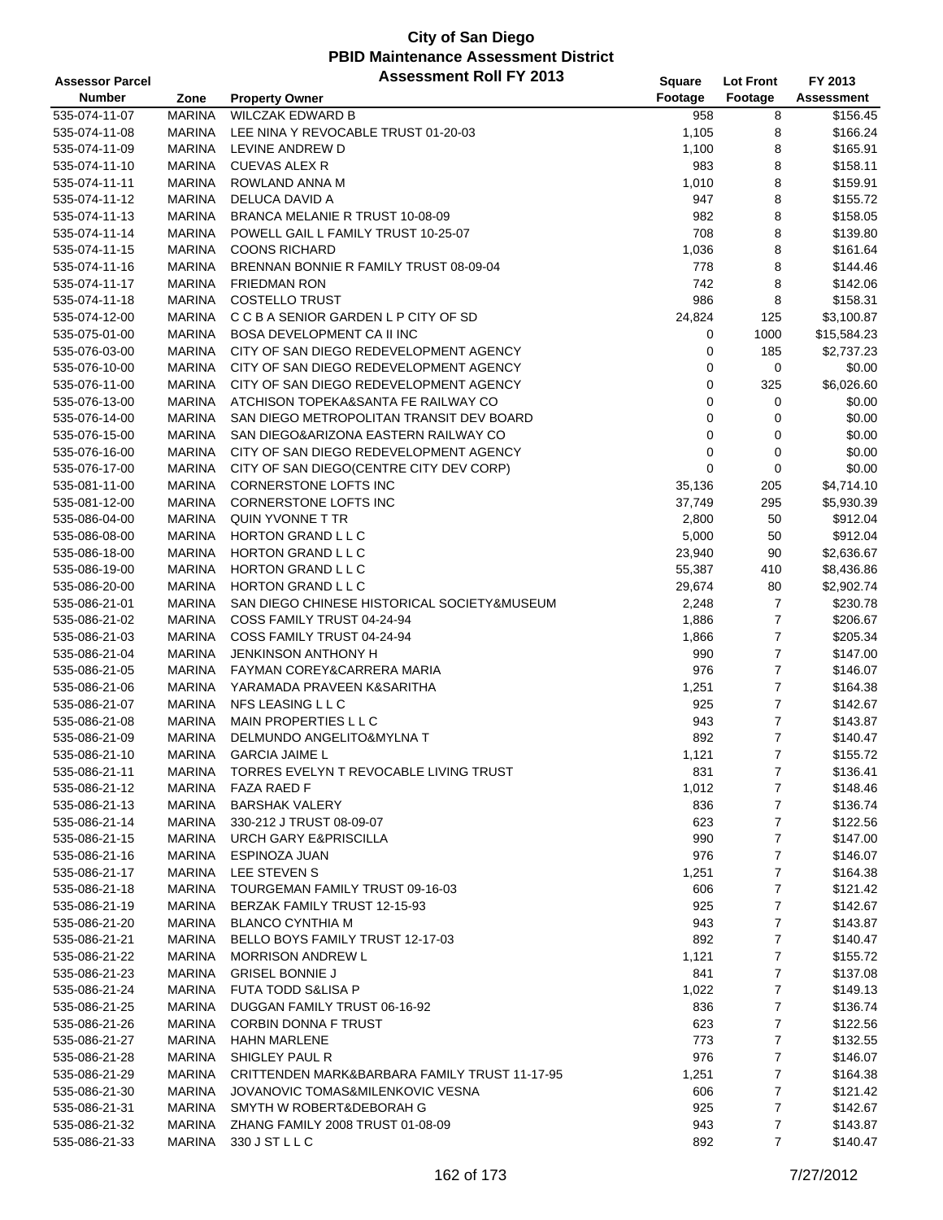| <b>Assessor Parcel</b>         |                         | <b>Assessment Roll FY 2013</b>                | Square       | <b>Lot Front</b> | FY 2013           |
|--------------------------------|-------------------------|-----------------------------------------------|--------------|------------------|-------------------|
| <b>Number</b>                  | Zone                    | <b>Property Owner</b>                         | Footage      | Footage          | <b>Assessment</b> |
| 535-074-11-07                  | <b>MARINA</b>           | <b>WILCZAK EDWARD B</b>                       | 958          | 8                | \$156.45          |
| 535-074-11-08                  | <b>MARINA</b>           | LEE NINA Y REVOCABLE TRUST 01-20-03           | 1,105        | 8                | \$166.24          |
| 535-074-11-09                  | <b>MARINA</b>           | LEVINE ANDREW D                               | 1,100        | 8                | \$165.91          |
| 535-074-11-10                  | <b>MARINA</b>           | <b>CUEVAS ALEX R</b>                          | 983          | 8                | \$158.11          |
| 535-074-11-11                  | <b>MARINA</b>           | ROWLAND ANNA M                                | 1,010        | 8                | \$159.91          |
| 535-074-11-12                  | <b>MARINA</b>           | DELUCA DAVID A                                | 947          | 8                | \$155.72          |
| 535-074-11-13                  | <b>MARINA</b>           | BRANCA MELANIE R TRUST 10-08-09               | 982          | 8                | \$158.05          |
| 535-074-11-14                  | <b>MARINA</b>           | POWELL GAIL L FAMILY TRUST 10-25-07           | 708          | 8                | \$139.80          |
| 535-074-11-15                  | <b>MARINA</b>           | <b>COONS RICHARD</b>                          | 1,036        | 8                | \$161.64          |
| 535-074-11-16                  | <b>MARINA</b>           | BRENNAN BONNIE R FAMILY TRUST 08-09-04        | 778          | 8                | \$144.46          |
| 535-074-11-17                  | <b>MARINA</b>           | <b>FRIEDMAN RON</b>                           | 742          | 8                | \$142.06          |
| 535-074-11-18                  | <b>MARINA</b>           | <b>COSTELLO TRUST</b>                         | 986          | 8                | \$158.31          |
| 535-074-12-00                  | <b>MARINA</b>           | C C B A SENIOR GARDEN L P CITY OF SD          | 24,824       | 125              | \$3,100.87        |
| 535-075-01-00                  | <b>MARINA</b>           | <b>BOSA DEVELOPMENT CA II INC</b>             | 0            | 1000             | \$15,584.23       |
| 535-076-03-00                  | <b>MARINA</b>           | CITY OF SAN DIEGO REDEVELOPMENT AGENCY        | 0            | 185              | \$2,737.23        |
| 535-076-10-00                  | <b>MARINA</b>           | CITY OF SAN DIEGO REDEVELOPMENT AGENCY        | 0            | $\mathbf 0$      | \$0.00            |
| 535-076-11-00                  | <b>MARINA</b>           | CITY OF SAN DIEGO REDEVELOPMENT AGENCY        | 0            | 325              | \$6,026.60        |
| 535-076-13-00                  | <b>MARINA</b>           | ATCHISON TOPEKA&SANTA FE RAILWAY CO           | 0            | 0                | \$0.00            |
| 535-076-14-00                  | <b>MARINA</b>           | SAN DIEGO METROPOLITAN TRANSIT DEV BOARD      | 0            | 0                | \$0.00            |
| 535-076-15-00                  | <b>MARINA</b>           | SAN DIEGO&ARIZONA EASTERN RAILWAY CO          | 0            | 0                | \$0.00            |
| 535-076-16-00                  | <b>MARINA</b>           | CITY OF SAN DIEGO REDEVELOPMENT AGENCY        | 0            | $\pmb{0}$        | \$0.00            |
| 535-076-17-00                  | <b>MARINA</b>           | CITY OF SAN DIEGO(CENTRE CITY DEV CORP)       | 0            | 0                | \$0.00            |
| 535-081-11-00                  | <b>MARINA</b>           | CORNERSTONE LOFTS INC                         | 35,136       | 205              | \$4,714.10        |
| 535-081-12-00                  | <b>MARINA</b>           | CORNERSTONE LOFTS INC                         | 37,749       | 295              | \$5,930.39        |
| 535-086-04-00                  | <b>MARINA</b>           | QUIN YVONNE T TR                              | 2,800        | 50               | \$912.04          |
| 535-086-08-00                  | <b>MARINA</b>           | HORTON GRAND L L C                            | 5,000        | 50               | \$912.04          |
| 535-086-18-00                  | <b>MARINA</b>           | HORTON GRAND L L C                            | 23,940       | 90               | \$2,636.67        |
| 535-086-19-00                  | <b>MARINA</b>           | HORTON GRAND L L C                            | 55,387       | 410              | \$8,436.86        |
| 535-086-20-00                  | <b>MARINA</b>           | HORTON GRAND L L C                            | 29,674       | 80               | \$2,902.74        |
| 535-086-21-01                  | <b>MARINA</b>           | SAN DIEGO CHINESE HISTORICAL SOCIETY&MUSEUM   | 2,248        | $\overline{7}$   | \$230.78          |
| 535-086-21-02                  | <b>MARINA</b>           | COSS FAMILY TRUST 04-24-94                    | 1,886        | $\overline{7}$   | \$206.67          |
| 535-086-21-03                  | <b>MARINA</b>           | COSS FAMILY TRUST 04-24-94                    | 1,866        | 7                | \$205.34          |
| 535-086-21-04                  | <b>MARINA</b>           | JENKINSON ANTHONY H                           | 990          | $\overline{7}$   | \$147.00          |
| 535-086-21-05                  | <b>MARINA</b>           | FAYMAN COREY&CARRERA MARIA                    | 976          | $\overline{7}$   | \$146.07          |
|                                | <b>MARINA</b>           | YARAMADA PRAVEEN K&SARITHA                    |              | $\overline{7}$   | \$164.38          |
| 535-086-21-06<br>535-086-21-07 | <b>MARINA</b>           | NFS LEASING L L C                             | 1,251<br>925 | $\overline{7}$   | \$142.67          |
| 535-086-21-08                  | <b>MARINA</b>           | MAIN PROPERTIES L L C                         | 943          | 7                | \$143.87          |
| 535-086-21-09                  | <b>MARINA</b>           | DELMUNDO ANGELITO&MYLNA T                     | 892          | $\overline{7}$   | \$140.47          |
|                                | <b>MARINA</b>           | <b>GARCIA JAIME L</b>                         | 1,121        | $\overline{7}$   | \$155.72          |
| 535-086-21-10<br>535-086-21-11 |                         | TORRES EVELYN T REVOCABLE LIVING TRUST        |              | $\overline{7}$   | \$136.41          |
|                                | MARINA<br><b>MARINA</b> | <b>FAZA RAED F</b>                            | 831          |                  | \$148.46          |
| 535-086-21-12                  |                         |                                               | 1,012        | 7                |                   |
| 535-086-21-13                  | <b>MARINA</b>           | <b>BARSHAK VALERY</b>                         | 836          | 7                | \$136.74          |
| 535-086-21-14                  | <b>MARINA</b>           | 330-212 J TRUST 08-09-07                      | 623          | 7                | \$122.56          |
| 535-086-21-15                  | <b>MARINA</b>           | <b>URCH GARY E&amp;PRISCILLA</b>              | 990          | 7                | \$147.00          |
| 535-086-21-16                  | <b>MARINA</b>           | ESPINOZA JUAN                                 | 976          | 7                | \$146.07          |
| 535-086-21-17                  | <b>MARINA</b>           | LEE STEVEN S                                  | 1,251        | 7                | \$164.38          |
| 535-086-21-18                  | <b>MARINA</b>           | TOURGEMAN FAMILY TRUST 09-16-03               | 606          | $\overline{7}$   | \$121.42          |
| 535-086-21-19                  | <b>MARINA</b>           | BERZAK FAMILY TRUST 12-15-93                  | 925          | 7                | \$142.67          |
| 535-086-21-20                  | MARINA                  | <b>BLANCO CYNTHIA M</b>                       | 943          | $\overline{7}$   | \$143.87          |
| 535-086-21-21                  | <b>MARINA</b>           | BELLO BOYS FAMILY TRUST 12-17-03              | 892          | 7                | \$140.47          |
| 535-086-21-22                  | <b>MARINA</b>           | <b>MORRISON ANDREW L</b>                      | 1,121        | 7                | \$155.72          |
| 535-086-21-23                  | <b>MARINA</b>           | <b>GRISEL BONNIE J</b>                        | 841          | 7                | \$137.08          |
| 535-086-21-24                  | <b>MARINA</b>           | <b>FUTA TODD S&amp;LISA P</b>                 | 1,022        | 7                | \$149.13          |
| 535-086-21-25                  | <b>MARINA</b>           | DUGGAN FAMILY TRUST 06-16-92                  | 836          | 7                | \$136.74          |
| 535-086-21-26                  | <b>MARINA</b>           | <b>CORBIN DONNA F TRUST</b>                   | 623          | 7                | \$122.56          |
| 535-086-21-27                  | <b>MARINA</b>           | <b>HAHN MARLENE</b>                           | 773          | 7                | \$132.55          |
| 535-086-21-28                  | MARINA                  | SHIGLEY PAUL R                                | 976          | 7                | \$146.07          |
| 535-086-21-29                  | <b>MARINA</b>           | CRITTENDEN MARK&BARBARA FAMILY TRUST 11-17-95 | 1,251        | 7                | \$164.38          |
| 535-086-21-30                  | <b>MARINA</b>           | JOVANOVIC TOMAS&MILENKOVIC VESNA              | 606          | 7                | \$121.42          |
| 535-086-21-31                  | MARINA                  | SMYTH W ROBERT&DEBORAH G                      | 925          | 7                | \$142.67          |
| 535-086-21-32                  | <b>MARINA</b>           | ZHANG FAMILY 2008 TRUST 01-08-09              | 943          | $\overline{7}$   | \$143.87          |
| 535-086-21-33                  | <b>MARINA</b>           | 330 J ST L L C                                | 892          | 7                | \$140.47          |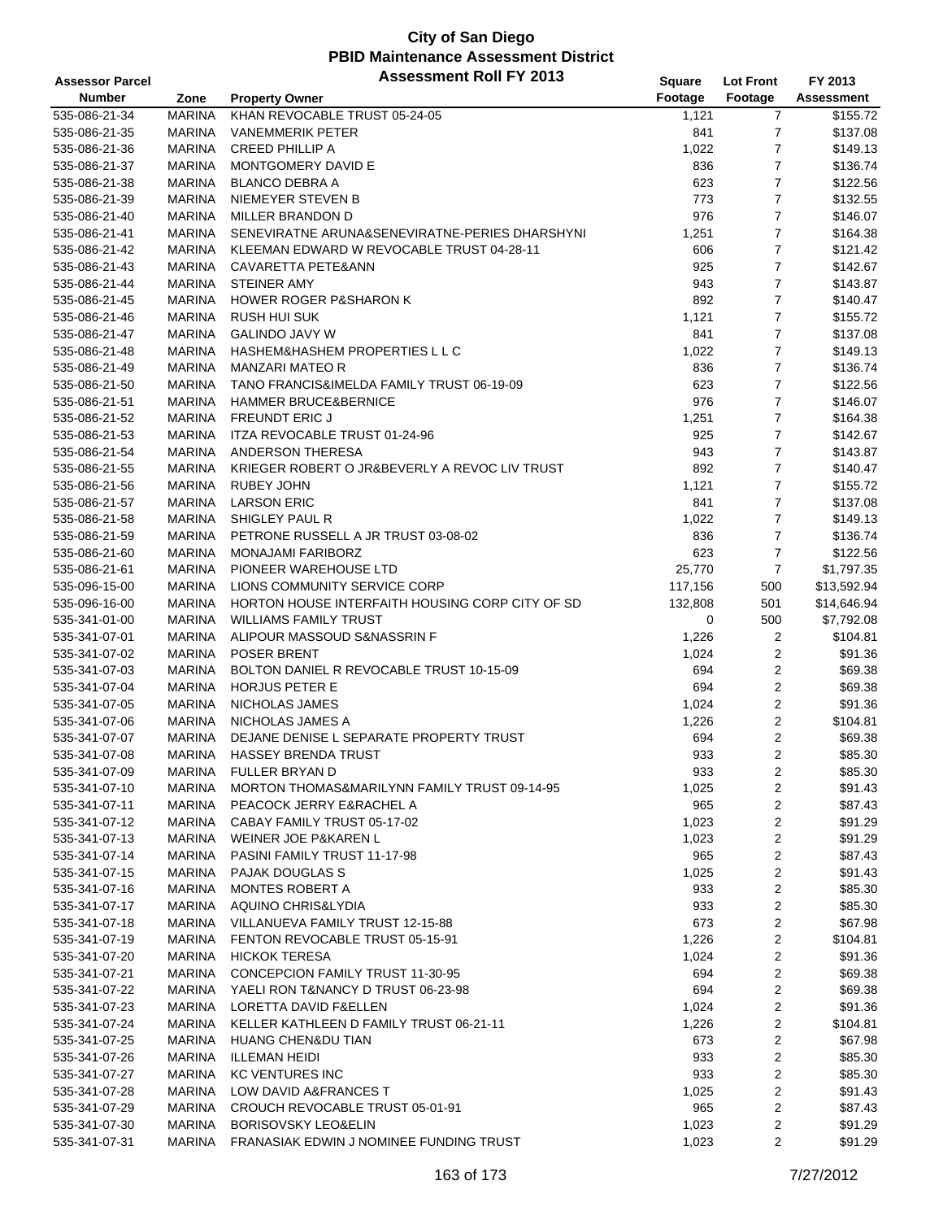| Footage<br><b>Number</b><br>Footage<br>Assessment<br>Zone<br><b>Property Owner</b><br>KHAN REVOCABLE TRUST 05-24-05<br>535-086-21-34<br><b>MARINA</b><br>\$155.72<br>1,121<br>7<br>7<br>535-086-21-35<br><b>MARINA</b><br><b>VANEMMERIK PETER</b><br>841<br>\$137.08<br>7<br><b>MARINA</b><br><b>CREED PHILLIP A</b><br>1,022<br>\$149.13<br>535-086-21-36<br>7<br>535-086-21-37<br><b>MARINA</b><br>MONTGOMERY DAVID E<br>836<br>\$136.74<br>7<br>535-086-21-38<br><b>MARINA</b><br><b>BLANCO DEBRA A</b><br>623<br>\$122.56<br>7<br><b>MARINA</b><br>NIEMEYER STEVEN B<br>773<br>535-086-21-39<br>\$132.55<br>7<br><b>MARINA</b><br>976<br>\$146.07<br>535-086-21-40<br>MILLER BRANDON D<br>7<br>535-086-21-41<br><b>MARINA</b><br>SENEVIRATNE ARUNA&SENEVIRATNE-PERIES DHARSHYNI<br>1,251<br>\$164.38<br>7<br>535-086-21-42<br><b>MARINA</b><br>KLEEMAN EDWARD W REVOCABLE TRUST 04-28-11<br>606<br>\$121.42<br>7<br><b>MARINA</b><br>CAVARETTA PETE&ANN<br>\$142.67<br>535-086-21-43<br>925<br>7<br>535-086-21-44<br><b>MARINA</b><br><b>STEINER AMY</b><br>943<br>\$143.87<br>7<br>535-086-21-45<br><b>MARINA</b><br><b>HOWER ROGER P&amp;SHARON K</b><br>892<br>\$140.47<br>7<br><b>MARINA</b><br><b>RUSH HUI SUK</b><br>1,121<br>\$155.72<br>535-086-21-46<br>7<br><b>MARINA</b><br><b>GALINDO JAVY W</b><br>841<br>\$137.08<br>535-086-21-47<br>7<br><b>MARINA</b><br>HASHEM&HASHEM PROPERTIES L L C<br>1,022<br>\$149.13<br>535-086-21-48<br>7<br><b>MARINA</b><br>MANZARI MATEO R<br>836<br>\$136.74<br>535-086-21-49<br>7<br><b>MARINA</b><br>TANO FRANCIS&IMELDA FAMILY TRUST 06-19-09<br>623<br>\$122.56<br>535-086-21-50<br>7<br>535-086-21-51<br><b>MARINA</b><br><b>HAMMER BRUCE&amp;BERNICE</b><br>976<br>\$146.07<br>7<br>535-086-21-52<br><b>MARINA</b><br><b>FREUNDT ERIC J</b><br>1,251<br>\$164.38<br>7<br>535-086-21-53<br><b>MARINA</b><br>ITZA REVOCABLE TRUST 01-24-96<br>925<br>\$142.67<br>7<br><b>MARINA</b><br>ANDERSON THERESA<br>535-086-21-54<br>943<br>\$143.87<br>7<br><b>MARINA</b><br>KRIEGER ROBERT O JR&BEVERLY A REVOC LIV TRUST<br>892<br>\$140.47<br>535-086-21-55<br>7<br>535-086-21-56<br><b>MARINA</b><br><b>RUBEY JOHN</b><br>1,121<br>\$155.72<br>7<br><b>MARINA</b><br><b>LARSON ERIC</b><br>841<br>\$137.08<br>535-086-21-57<br>7<br>535-086-21-58<br><b>MARINA</b><br>SHIGLEY PAUL R<br>1,022<br>\$149.13<br>7<br>535-086-21-59<br><b>MARINA</b><br>PETRONE RUSSELL A JR TRUST 03-08-02<br>836<br>\$136.74<br>623<br>7<br><b>MARINA</b><br>MONAJAMI FARIBORZ<br>\$122.56<br>535-086-21-60<br><b>MARINA</b><br>PIONEER WAREHOUSE LTD<br>25,770<br>7<br>\$1,797.35<br>535-086-21-61<br>535-096-15-00<br><b>MARINA</b><br>LIONS COMMUNITY SERVICE CORP<br>117,156<br>\$13,592.94<br>500<br>535-096-16-00<br><b>MARINA</b><br>HORTON HOUSE INTERFAITH HOUSING CORP CITY OF SD<br>132,808<br>501<br>\$14,646.94<br><b>MARINA</b><br><b>WILLIAMS FAMILY TRUST</b><br>500<br>\$7,792.08<br>535-341-01-00<br>0<br><b>MARINA</b><br>ALIPOUR MASSOUD S&NASSRIN F<br>2<br>535-341-07-01<br>1,226<br>\$104.81<br>$\overline{c}$<br>535-341-07-02<br><b>MARINA</b><br>POSER BRENT<br>1,024<br>\$91.36<br>2<br>535-341-07-03<br><b>MARINA</b><br>BOLTON DANIEL R REVOCABLE TRUST 10-15-09<br>694<br>\$69.38<br>2<br><b>MARINA</b><br>HORJUS PETER E<br>694<br>\$69.38<br>535-341-07-04<br>2<br><b>MARINA</b><br>NICHOLAS JAMES<br>1,024<br>\$91.36<br>535-341-07-05<br>2<br><b>MARINA</b><br>NICHOLAS JAMES A<br>1,226<br>\$104.81<br>535-341-07-06<br>2<br><b>MARINA</b><br>DEJANE DENISE L SEPARATE PROPERTY TRUST<br>694<br>\$69.38<br>535-341-07-07<br>$\overline{2}$<br><b>MARINA</b><br><b>HASSEY BRENDA TRUST</b><br>933<br>\$85.30<br>535-341-07-08<br><b>MARINA</b><br><b>FULLER BRYAN D</b><br>2<br>\$85.30<br>535-341-07-09<br>933<br><b>MARINA</b><br>MORTON THOMAS&MARILYNN FAMILY TRUST 09-14-95<br>1,025<br>2<br>\$91.43<br>535-341-07-10<br>2<br><b>MARINA</b><br>PEACOCK JERRY E&RACHEL A<br>\$87.43<br>535-341-07-11<br>965<br>2<br>MARINA<br>CABAY FAMILY TRUST 05-17-02<br>1,023<br>\$91.29<br>535-341-07-12<br>2<br><b>MARINA</b><br>WEINER JOE P&KAREN L<br>\$91.29<br>535-341-07-13<br>1,023<br>2<br><b>MARINA</b><br>PASINI FAMILY TRUST 11-17-98<br>\$87.43<br>535-341-07-14<br>965<br>2<br>535-341-07-15<br><b>MARINA</b><br><b>PAJAK DOUGLAS S</b><br>1,025<br>\$91.43<br>2<br><b>MARINA</b><br><b>MONTES ROBERT A</b><br>933<br>\$85.30<br>535-341-07-16<br>2<br><b>MARINA</b><br>AQUINO CHRIS&LYDIA<br>933<br>\$85.30<br>535-341-07-17<br>2<br>673<br>\$67.98<br>535-341-07-18<br><b>MARINA</b><br>VILLANUEVA FAMILY TRUST 12-15-88<br>2<br>535-341-07-19<br><b>MARINA</b><br>FENTON REVOCABLE TRUST 05-15-91<br>1,226<br>\$104.81<br>2<br>535-341-07-20<br><b>MARINA</b><br><b>HICKOK TERESA</b><br>1,024<br>\$91.36<br>2<br><b>MARINA</b><br>CONCEPCION FAMILY TRUST 11-30-95<br>\$69.38<br>535-341-07-21<br>694<br>2<br><b>MARINA</b><br>YAELI RON T&NANCY D TRUST 06-23-98<br>694<br>\$69.38<br>535-341-07-22<br>2<br><b>MARINA</b><br>LORETTA DAVID F&ELLEN<br>\$91.36<br>535-341-07-23<br>1,024<br>2<br><b>MARINA</b><br>KELLER KATHLEEN D FAMILY TRUST 06-21-11<br>1,226<br>\$104.81<br>535-341-07-24<br>2<br><b>MARINA</b><br><b>HUANG CHEN&amp;DU TIAN</b><br>673<br>\$67.98<br>535-341-07-25<br>2<br>\$85.30<br>535-341-07-26<br>MARINA<br><b>ILLEMAN HEIDI</b><br>933<br>2<br><b>MARINA</b><br><b>KC VENTURES INC</b><br>933<br>\$85.30<br>535-341-07-27<br>2<br><b>MARINA</b><br>LOW DAVID A&FRANCES T<br>\$91.43<br>535-341-07-28<br>1,025<br>CROUCH REVOCABLE TRUST 05-01-91<br>2<br>\$87.43<br>535-341-07-29<br>MARINA<br>965<br>2<br><b>MARINA</b><br><b>BORISOVSKY LEO&amp;ELIN</b><br>1,023<br>\$91.29<br>535-341-07-30<br>FRANASIAK EDWIN J NOMINEE FUNDING TRUST<br>2<br><b>MARINA</b><br>1,023<br>\$91.29 | <b>Assessor Parcel</b> | <b>Assessment Roll FY 2013</b> | <b>Square</b> | <b>Lot Front</b> | FY 2013 |
|-------------------------------------------------------------------------------------------------------------------------------------------------------------------------------------------------------------------------------------------------------------------------------------------------------------------------------------------------------------------------------------------------------------------------------------------------------------------------------------------------------------------------------------------------------------------------------------------------------------------------------------------------------------------------------------------------------------------------------------------------------------------------------------------------------------------------------------------------------------------------------------------------------------------------------------------------------------------------------------------------------------------------------------------------------------------------------------------------------------------------------------------------------------------------------------------------------------------------------------------------------------------------------------------------------------------------------------------------------------------------------------------------------------------------------------------------------------------------------------------------------------------------------------------------------------------------------------------------------------------------------------------------------------------------------------------------------------------------------------------------------------------------------------------------------------------------------------------------------------------------------------------------------------------------------------------------------------------------------------------------------------------------------------------------------------------------------------------------------------------------------------------------------------------------------------------------------------------------------------------------------------------------------------------------------------------------------------------------------------------------------------------------------------------------------------------------------------------------------------------------------------------------------------------------------------------------------------------------------------------------------------------------------------------------------------------------------------------------------------------------------------------------------------------------------------------------------------------------------------------------------------------------------------------------------------------------------------------------------------------------------------------------------------------------------------------------------------------------------------------------------------------------------------------------------------------------------------------------------------------------------------------------------------------------------------------------------------------------------------------------------------------------------------------------------------------------------------------------------------------------------------------------------------------------------------------------------------------------------------------------------------------------------------------------------------------------------------------------------------------------------------------------------------------------------------------------------------------------------------------------------------------------------------------------------------------------------------------------------------------------------------------------------------------------------------------------------------------------------------------------------------------------------------------------------------------------------------------------------------------------------------------------------------------------------------------------------------------------------------------------------------------------------------------------------------------------------------------------------------------------------------------------------------------------------------------------------------------------------------------------------------------------------------------------------------------------------------------------------------------------------------------------------------------------------------------------------------------------------------------------------------------------------------------------------------------------------------------------------------------------------------------------------------------------------------------------------------------------------------------------------------------------------------------------------------------------------------------------------------------------------------------------------------------------------------------------------------------------------------------------------------------------------------------------------------------------------------------------------------------------------------------------------------------------------------------------------------------------------------------------------------------------------------------------------------------------------------------------------------------------------------------------------------------------|------------------------|--------------------------------|---------------|------------------|---------|
|                                                                                                                                                                                                                                                                                                                                                                                                                                                                                                                                                                                                                                                                                                                                                                                                                                                                                                                                                                                                                                                                                                                                                                                                                                                                                                                                                                                                                                                                                                                                                                                                                                                                                                                                                                                                                                                                                                                                                                                                                                                                                                                                                                                                                                                                                                                                                                                                                                                                                                                                                                                                                                                                                                                                                                                                                                                                                                                                                                                                                                                                                                                                                                                                                                                                                                                                                                                                                                                                                                                                                                                                                                                                                                                                                                                                                                                                                                                                                                                                                                                                                                                                                                                                                                                                                                                                                                                                                                                                                                                                                                                                                                                                                                                                                                                                                                                                                                                                                                                                                                                                                                                                                                                                                                                                                                                                                                                                                                                                                                                                                                                                                                                                                                                                                                                                 |                        |                                |               |                  |         |
|                                                                                                                                                                                                                                                                                                                                                                                                                                                                                                                                                                                                                                                                                                                                                                                                                                                                                                                                                                                                                                                                                                                                                                                                                                                                                                                                                                                                                                                                                                                                                                                                                                                                                                                                                                                                                                                                                                                                                                                                                                                                                                                                                                                                                                                                                                                                                                                                                                                                                                                                                                                                                                                                                                                                                                                                                                                                                                                                                                                                                                                                                                                                                                                                                                                                                                                                                                                                                                                                                                                                                                                                                                                                                                                                                                                                                                                                                                                                                                                                                                                                                                                                                                                                                                                                                                                                                                                                                                                                                                                                                                                                                                                                                                                                                                                                                                                                                                                                                                                                                                                                                                                                                                                                                                                                                                                                                                                                                                                                                                                                                                                                                                                                                                                                                                                                 |                        |                                |               |                  |         |
|                                                                                                                                                                                                                                                                                                                                                                                                                                                                                                                                                                                                                                                                                                                                                                                                                                                                                                                                                                                                                                                                                                                                                                                                                                                                                                                                                                                                                                                                                                                                                                                                                                                                                                                                                                                                                                                                                                                                                                                                                                                                                                                                                                                                                                                                                                                                                                                                                                                                                                                                                                                                                                                                                                                                                                                                                                                                                                                                                                                                                                                                                                                                                                                                                                                                                                                                                                                                                                                                                                                                                                                                                                                                                                                                                                                                                                                                                                                                                                                                                                                                                                                                                                                                                                                                                                                                                                                                                                                                                                                                                                                                                                                                                                                                                                                                                                                                                                                                                                                                                                                                                                                                                                                                                                                                                                                                                                                                                                                                                                                                                                                                                                                                                                                                                                                                 |                        |                                |               |                  |         |
|                                                                                                                                                                                                                                                                                                                                                                                                                                                                                                                                                                                                                                                                                                                                                                                                                                                                                                                                                                                                                                                                                                                                                                                                                                                                                                                                                                                                                                                                                                                                                                                                                                                                                                                                                                                                                                                                                                                                                                                                                                                                                                                                                                                                                                                                                                                                                                                                                                                                                                                                                                                                                                                                                                                                                                                                                                                                                                                                                                                                                                                                                                                                                                                                                                                                                                                                                                                                                                                                                                                                                                                                                                                                                                                                                                                                                                                                                                                                                                                                                                                                                                                                                                                                                                                                                                                                                                                                                                                                                                                                                                                                                                                                                                                                                                                                                                                                                                                                                                                                                                                                                                                                                                                                                                                                                                                                                                                                                                                                                                                                                                                                                                                                                                                                                                                                 |                        |                                |               |                  |         |
|                                                                                                                                                                                                                                                                                                                                                                                                                                                                                                                                                                                                                                                                                                                                                                                                                                                                                                                                                                                                                                                                                                                                                                                                                                                                                                                                                                                                                                                                                                                                                                                                                                                                                                                                                                                                                                                                                                                                                                                                                                                                                                                                                                                                                                                                                                                                                                                                                                                                                                                                                                                                                                                                                                                                                                                                                                                                                                                                                                                                                                                                                                                                                                                                                                                                                                                                                                                                                                                                                                                                                                                                                                                                                                                                                                                                                                                                                                                                                                                                                                                                                                                                                                                                                                                                                                                                                                                                                                                                                                                                                                                                                                                                                                                                                                                                                                                                                                                                                                                                                                                                                                                                                                                                                                                                                                                                                                                                                                                                                                                                                                                                                                                                                                                                                                                                 |                        |                                |               |                  |         |
|                                                                                                                                                                                                                                                                                                                                                                                                                                                                                                                                                                                                                                                                                                                                                                                                                                                                                                                                                                                                                                                                                                                                                                                                                                                                                                                                                                                                                                                                                                                                                                                                                                                                                                                                                                                                                                                                                                                                                                                                                                                                                                                                                                                                                                                                                                                                                                                                                                                                                                                                                                                                                                                                                                                                                                                                                                                                                                                                                                                                                                                                                                                                                                                                                                                                                                                                                                                                                                                                                                                                                                                                                                                                                                                                                                                                                                                                                                                                                                                                                                                                                                                                                                                                                                                                                                                                                                                                                                                                                                                                                                                                                                                                                                                                                                                                                                                                                                                                                                                                                                                                                                                                                                                                                                                                                                                                                                                                                                                                                                                                                                                                                                                                                                                                                                                                 |                        |                                |               |                  |         |
|                                                                                                                                                                                                                                                                                                                                                                                                                                                                                                                                                                                                                                                                                                                                                                                                                                                                                                                                                                                                                                                                                                                                                                                                                                                                                                                                                                                                                                                                                                                                                                                                                                                                                                                                                                                                                                                                                                                                                                                                                                                                                                                                                                                                                                                                                                                                                                                                                                                                                                                                                                                                                                                                                                                                                                                                                                                                                                                                                                                                                                                                                                                                                                                                                                                                                                                                                                                                                                                                                                                                                                                                                                                                                                                                                                                                                                                                                                                                                                                                                                                                                                                                                                                                                                                                                                                                                                                                                                                                                                                                                                                                                                                                                                                                                                                                                                                                                                                                                                                                                                                                                                                                                                                                                                                                                                                                                                                                                                                                                                                                                                                                                                                                                                                                                                                                 |                        |                                |               |                  |         |
|                                                                                                                                                                                                                                                                                                                                                                                                                                                                                                                                                                                                                                                                                                                                                                                                                                                                                                                                                                                                                                                                                                                                                                                                                                                                                                                                                                                                                                                                                                                                                                                                                                                                                                                                                                                                                                                                                                                                                                                                                                                                                                                                                                                                                                                                                                                                                                                                                                                                                                                                                                                                                                                                                                                                                                                                                                                                                                                                                                                                                                                                                                                                                                                                                                                                                                                                                                                                                                                                                                                                                                                                                                                                                                                                                                                                                                                                                                                                                                                                                                                                                                                                                                                                                                                                                                                                                                                                                                                                                                                                                                                                                                                                                                                                                                                                                                                                                                                                                                                                                                                                                                                                                                                                                                                                                                                                                                                                                                                                                                                                                                                                                                                                                                                                                                                                 |                        |                                |               |                  |         |
|                                                                                                                                                                                                                                                                                                                                                                                                                                                                                                                                                                                                                                                                                                                                                                                                                                                                                                                                                                                                                                                                                                                                                                                                                                                                                                                                                                                                                                                                                                                                                                                                                                                                                                                                                                                                                                                                                                                                                                                                                                                                                                                                                                                                                                                                                                                                                                                                                                                                                                                                                                                                                                                                                                                                                                                                                                                                                                                                                                                                                                                                                                                                                                                                                                                                                                                                                                                                                                                                                                                                                                                                                                                                                                                                                                                                                                                                                                                                                                                                                                                                                                                                                                                                                                                                                                                                                                                                                                                                                                                                                                                                                                                                                                                                                                                                                                                                                                                                                                                                                                                                                                                                                                                                                                                                                                                                                                                                                                                                                                                                                                                                                                                                                                                                                                                                 |                        |                                |               |                  |         |
|                                                                                                                                                                                                                                                                                                                                                                                                                                                                                                                                                                                                                                                                                                                                                                                                                                                                                                                                                                                                                                                                                                                                                                                                                                                                                                                                                                                                                                                                                                                                                                                                                                                                                                                                                                                                                                                                                                                                                                                                                                                                                                                                                                                                                                                                                                                                                                                                                                                                                                                                                                                                                                                                                                                                                                                                                                                                                                                                                                                                                                                                                                                                                                                                                                                                                                                                                                                                                                                                                                                                                                                                                                                                                                                                                                                                                                                                                                                                                                                                                                                                                                                                                                                                                                                                                                                                                                                                                                                                                                                                                                                                                                                                                                                                                                                                                                                                                                                                                                                                                                                                                                                                                                                                                                                                                                                                                                                                                                                                                                                                                                                                                                                                                                                                                                                                 |                        |                                |               |                  |         |
|                                                                                                                                                                                                                                                                                                                                                                                                                                                                                                                                                                                                                                                                                                                                                                                                                                                                                                                                                                                                                                                                                                                                                                                                                                                                                                                                                                                                                                                                                                                                                                                                                                                                                                                                                                                                                                                                                                                                                                                                                                                                                                                                                                                                                                                                                                                                                                                                                                                                                                                                                                                                                                                                                                                                                                                                                                                                                                                                                                                                                                                                                                                                                                                                                                                                                                                                                                                                                                                                                                                                                                                                                                                                                                                                                                                                                                                                                                                                                                                                                                                                                                                                                                                                                                                                                                                                                                                                                                                                                                                                                                                                                                                                                                                                                                                                                                                                                                                                                                                                                                                                                                                                                                                                                                                                                                                                                                                                                                                                                                                                                                                                                                                                                                                                                                                                 |                        |                                |               |                  |         |
|                                                                                                                                                                                                                                                                                                                                                                                                                                                                                                                                                                                                                                                                                                                                                                                                                                                                                                                                                                                                                                                                                                                                                                                                                                                                                                                                                                                                                                                                                                                                                                                                                                                                                                                                                                                                                                                                                                                                                                                                                                                                                                                                                                                                                                                                                                                                                                                                                                                                                                                                                                                                                                                                                                                                                                                                                                                                                                                                                                                                                                                                                                                                                                                                                                                                                                                                                                                                                                                                                                                                                                                                                                                                                                                                                                                                                                                                                                                                                                                                                                                                                                                                                                                                                                                                                                                                                                                                                                                                                                                                                                                                                                                                                                                                                                                                                                                                                                                                                                                                                                                                                                                                                                                                                                                                                                                                                                                                                                                                                                                                                                                                                                                                                                                                                                                                 |                        |                                |               |                  |         |
|                                                                                                                                                                                                                                                                                                                                                                                                                                                                                                                                                                                                                                                                                                                                                                                                                                                                                                                                                                                                                                                                                                                                                                                                                                                                                                                                                                                                                                                                                                                                                                                                                                                                                                                                                                                                                                                                                                                                                                                                                                                                                                                                                                                                                                                                                                                                                                                                                                                                                                                                                                                                                                                                                                                                                                                                                                                                                                                                                                                                                                                                                                                                                                                                                                                                                                                                                                                                                                                                                                                                                                                                                                                                                                                                                                                                                                                                                                                                                                                                                                                                                                                                                                                                                                                                                                                                                                                                                                                                                                                                                                                                                                                                                                                                                                                                                                                                                                                                                                                                                                                                                                                                                                                                                                                                                                                                                                                                                                                                                                                                                                                                                                                                                                                                                                                                 |                        |                                |               |                  |         |
|                                                                                                                                                                                                                                                                                                                                                                                                                                                                                                                                                                                                                                                                                                                                                                                                                                                                                                                                                                                                                                                                                                                                                                                                                                                                                                                                                                                                                                                                                                                                                                                                                                                                                                                                                                                                                                                                                                                                                                                                                                                                                                                                                                                                                                                                                                                                                                                                                                                                                                                                                                                                                                                                                                                                                                                                                                                                                                                                                                                                                                                                                                                                                                                                                                                                                                                                                                                                                                                                                                                                                                                                                                                                                                                                                                                                                                                                                                                                                                                                                                                                                                                                                                                                                                                                                                                                                                                                                                                                                                                                                                                                                                                                                                                                                                                                                                                                                                                                                                                                                                                                                                                                                                                                                                                                                                                                                                                                                                                                                                                                                                                                                                                                                                                                                                                                 |                        |                                |               |                  |         |
|                                                                                                                                                                                                                                                                                                                                                                                                                                                                                                                                                                                                                                                                                                                                                                                                                                                                                                                                                                                                                                                                                                                                                                                                                                                                                                                                                                                                                                                                                                                                                                                                                                                                                                                                                                                                                                                                                                                                                                                                                                                                                                                                                                                                                                                                                                                                                                                                                                                                                                                                                                                                                                                                                                                                                                                                                                                                                                                                                                                                                                                                                                                                                                                                                                                                                                                                                                                                                                                                                                                                                                                                                                                                                                                                                                                                                                                                                                                                                                                                                                                                                                                                                                                                                                                                                                                                                                                                                                                                                                                                                                                                                                                                                                                                                                                                                                                                                                                                                                                                                                                                                                                                                                                                                                                                                                                                                                                                                                                                                                                                                                                                                                                                                                                                                                                                 |                        |                                |               |                  |         |
|                                                                                                                                                                                                                                                                                                                                                                                                                                                                                                                                                                                                                                                                                                                                                                                                                                                                                                                                                                                                                                                                                                                                                                                                                                                                                                                                                                                                                                                                                                                                                                                                                                                                                                                                                                                                                                                                                                                                                                                                                                                                                                                                                                                                                                                                                                                                                                                                                                                                                                                                                                                                                                                                                                                                                                                                                                                                                                                                                                                                                                                                                                                                                                                                                                                                                                                                                                                                                                                                                                                                                                                                                                                                                                                                                                                                                                                                                                                                                                                                                                                                                                                                                                                                                                                                                                                                                                                                                                                                                                                                                                                                                                                                                                                                                                                                                                                                                                                                                                                                                                                                                                                                                                                                                                                                                                                                                                                                                                                                                                                                                                                                                                                                                                                                                                                                 |                        |                                |               |                  |         |
|                                                                                                                                                                                                                                                                                                                                                                                                                                                                                                                                                                                                                                                                                                                                                                                                                                                                                                                                                                                                                                                                                                                                                                                                                                                                                                                                                                                                                                                                                                                                                                                                                                                                                                                                                                                                                                                                                                                                                                                                                                                                                                                                                                                                                                                                                                                                                                                                                                                                                                                                                                                                                                                                                                                                                                                                                                                                                                                                                                                                                                                                                                                                                                                                                                                                                                                                                                                                                                                                                                                                                                                                                                                                                                                                                                                                                                                                                                                                                                                                                                                                                                                                                                                                                                                                                                                                                                                                                                                                                                                                                                                                                                                                                                                                                                                                                                                                                                                                                                                                                                                                                                                                                                                                                                                                                                                                                                                                                                                                                                                                                                                                                                                                                                                                                                                                 |                        |                                |               |                  |         |
|                                                                                                                                                                                                                                                                                                                                                                                                                                                                                                                                                                                                                                                                                                                                                                                                                                                                                                                                                                                                                                                                                                                                                                                                                                                                                                                                                                                                                                                                                                                                                                                                                                                                                                                                                                                                                                                                                                                                                                                                                                                                                                                                                                                                                                                                                                                                                                                                                                                                                                                                                                                                                                                                                                                                                                                                                                                                                                                                                                                                                                                                                                                                                                                                                                                                                                                                                                                                                                                                                                                                                                                                                                                                                                                                                                                                                                                                                                                                                                                                                                                                                                                                                                                                                                                                                                                                                                                                                                                                                                                                                                                                                                                                                                                                                                                                                                                                                                                                                                                                                                                                                                                                                                                                                                                                                                                                                                                                                                                                                                                                                                                                                                                                                                                                                                                                 |                        |                                |               |                  |         |
|                                                                                                                                                                                                                                                                                                                                                                                                                                                                                                                                                                                                                                                                                                                                                                                                                                                                                                                                                                                                                                                                                                                                                                                                                                                                                                                                                                                                                                                                                                                                                                                                                                                                                                                                                                                                                                                                                                                                                                                                                                                                                                                                                                                                                                                                                                                                                                                                                                                                                                                                                                                                                                                                                                                                                                                                                                                                                                                                                                                                                                                                                                                                                                                                                                                                                                                                                                                                                                                                                                                                                                                                                                                                                                                                                                                                                                                                                                                                                                                                                                                                                                                                                                                                                                                                                                                                                                                                                                                                                                                                                                                                                                                                                                                                                                                                                                                                                                                                                                                                                                                                                                                                                                                                                                                                                                                                                                                                                                                                                                                                                                                                                                                                                                                                                                                                 |                        |                                |               |                  |         |
|                                                                                                                                                                                                                                                                                                                                                                                                                                                                                                                                                                                                                                                                                                                                                                                                                                                                                                                                                                                                                                                                                                                                                                                                                                                                                                                                                                                                                                                                                                                                                                                                                                                                                                                                                                                                                                                                                                                                                                                                                                                                                                                                                                                                                                                                                                                                                                                                                                                                                                                                                                                                                                                                                                                                                                                                                                                                                                                                                                                                                                                                                                                                                                                                                                                                                                                                                                                                                                                                                                                                                                                                                                                                                                                                                                                                                                                                                                                                                                                                                                                                                                                                                                                                                                                                                                                                                                                                                                                                                                                                                                                                                                                                                                                                                                                                                                                                                                                                                                                                                                                                                                                                                                                                                                                                                                                                                                                                                                                                                                                                                                                                                                                                                                                                                                                                 |                        |                                |               |                  |         |
|                                                                                                                                                                                                                                                                                                                                                                                                                                                                                                                                                                                                                                                                                                                                                                                                                                                                                                                                                                                                                                                                                                                                                                                                                                                                                                                                                                                                                                                                                                                                                                                                                                                                                                                                                                                                                                                                                                                                                                                                                                                                                                                                                                                                                                                                                                                                                                                                                                                                                                                                                                                                                                                                                                                                                                                                                                                                                                                                                                                                                                                                                                                                                                                                                                                                                                                                                                                                                                                                                                                                                                                                                                                                                                                                                                                                                                                                                                                                                                                                                                                                                                                                                                                                                                                                                                                                                                                                                                                                                                                                                                                                                                                                                                                                                                                                                                                                                                                                                                                                                                                                                                                                                                                                                                                                                                                                                                                                                                                                                                                                                                                                                                                                                                                                                                                                 |                        |                                |               |                  |         |
|                                                                                                                                                                                                                                                                                                                                                                                                                                                                                                                                                                                                                                                                                                                                                                                                                                                                                                                                                                                                                                                                                                                                                                                                                                                                                                                                                                                                                                                                                                                                                                                                                                                                                                                                                                                                                                                                                                                                                                                                                                                                                                                                                                                                                                                                                                                                                                                                                                                                                                                                                                                                                                                                                                                                                                                                                                                                                                                                                                                                                                                                                                                                                                                                                                                                                                                                                                                                                                                                                                                                                                                                                                                                                                                                                                                                                                                                                                                                                                                                                                                                                                                                                                                                                                                                                                                                                                                                                                                                                                                                                                                                                                                                                                                                                                                                                                                                                                                                                                                                                                                                                                                                                                                                                                                                                                                                                                                                                                                                                                                                                                                                                                                                                                                                                                                                 |                        |                                |               |                  |         |
|                                                                                                                                                                                                                                                                                                                                                                                                                                                                                                                                                                                                                                                                                                                                                                                                                                                                                                                                                                                                                                                                                                                                                                                                                                                                                                                                                                                                                                                                                                                                                                                                                                                                                                                                                                                                                                                                                                                                                                                                                                                                                                                                                                                                                                                                                                                                                                                                                                                                                                                                                                                                                                                                                                                                                                                                                                                                                                                                                                                                                                                                                                                                                                                                                                                                                                                                                                                                                                                                                                                                                                                                                                                                                                                                                                                                                                                                                                                                                                                                                                                                                                                                                                                                                                                                                                                                                                                                                                                                                                                                                                                                                                                                                                                                                                                                                                                                                                                                                                                                                                                                                                                                                                                                                                                                                                                                                                                                                                                                                                                                                                                                                                                                                                                                                                                                 |                        |                                |               |                  |         |
|                                                                                                                                                                                                                                                                                                                                                                                                                                                                                                                                                                                                                                                                                                                                                                                                                                                                                                                                                                                                                                                                                                                                                                                                                                                                                                                                                                                                                                                                                                                                                                                                                                                                                                                                                                                                                                                                                                                                                                                                                                                                                                                                                                                                                                                                                                                                                                                                                                                                                                                                                                                                                                                                                                                                                                                                                                                                                                                                                                                                                                                                                                                                                                                                                                                                                                                                                                                                                                                                                                                                                                                                                                                                                                                                                                                                                                                                                                                                                                                                                                                                                                                                                                                                                                                                                                                                                                                                                                                                                                                                                                                                                                                                                                                                                                                                                                                                                                                                                                                                                                                                                                                                                                                                                                                                                                                                                                                                                                                                                                                                                                                                                                                                                                                                                                                                 |                        |                                |               |                  |         |
|                                                                                                                                                                                                                                                                                                                                                                                                                                                                                                                                                                                                                                                                                                                                                                                                                                                                                                                                                                                                                                                                                                                                                                                                                                                                                                                                                                                                                                                                                                                                                                                                                                                                                                                                                                                                                                                                                                                                                                                                                                                                                                                                                                                                                                                                                                                                                                                                                                                                                                                                                                                                                                                                                                                                                                                                                                                                                                                                                                                                                                                                                                                                                                                                                                                                                                                                                                                                                                                                                                                                                                                                                                                                                                                                                                                                                                                                                                                                                                                                                                                                                                                                                                                                                                                                                                                                                                                                                                                                                                                                                                                                                                                                                                                                                                                                                                                                                                                                                                                                                                                                                                                                                                                                                                                                                                                                                                                                                                                                                                                                                                                                                                                                                                                                                                                                 |                        |                                |               |                  |         |
|                                                                                                                                                                                                                                                                                                                                                                                                                                                                                                                                                                                                                                                                                                                                                                                                                                                                                                                                                                                                                                                                                                                                                                                                                                                                                                                                                                                                                                                                                                                                                                                                                                                                                                                                                                                                                                                                                                                                                                                                                                                                                                                                                                                                                                                                                                                                                                                                                                                                                                                                                                                                                                                                                                                                                                                                                                                                                                                                                                                                                                                                                                                                                                                                                                                                                                                                                                                                                                                                                                                                                                                                                                                                                                                                                                                                                                                                                                                                                                                                                                                                                                                                                                                                                                                                                                                                                                                                                                                                                                                                                                                                                                                                                                                                                                                                                                                                                                                                                                                                                                                                                                                                                                                                                                                                                                                                                                                                                                                                                                                                                                                                                                                                                                                                                                                                 |                        |                                |               |                  |         |
|                                                                                                                                                                                                                                                                                                                                                                                                                                                                                                                                                                                                                                                                                                                                                                                                                                                                                                                                                                                                                                                                                                                                                                                                                                                                                                                                                                                                                                                                                                                                                                                                                                                                                                                                                                                                                                                                                                                                                                                                                                                                                                                                                                                                                                                                                                                                                                                                                                                                                                                                                                                                                                                                                                                                                                                                                                                                                                                                                                                                                                                                                                                                                                                                                                                                                                                                                                                                                                                                                                                                                                                                                                                                                                                                                                                                                                                                                                                                                                                                                                                                                                                                                                                                                                                                                                                                                                                                                                                                                                                                                                                                                                                                                                                                                                                                                                                                                                                                                                                                                                                                                                                                                                                                                                                                                                                                                                                                                                                                                                                                                                                                                                                                                                                                                                                                 |                        |                                |               |                  |         |
|                                                                                                                                                                                                                                                                                                                                                                                                                                                                                                                                                                                                                                                                                                                                                                                                                                                                                                                                                                                                                                                                                                                                                                                                                                                                                                                                                                                                                                                                                                                                                                                                                                                                                                                                                                                                                                                                                                                                                                                                                                                                                                                                                                                                                                                                                                                                                                                                                                                                                                                                                                                                                                                                                                                                                                                                                                                                                                                                                                                                                                                                                                                                                                                                                                                                                                                                                                                                                                                                                                                                                                                                                                                                                                                                                                                                                                                                                                                                                                                                                                                                                                                                                                                                                                                                                                                                                                                                                                                                                                                                                                                                                                                                                                                                                                                                                                                                                                                                                                                                                                                                                                                                                                                                                                                                                                                                                                                                                                                                                                                                                                                                                                                                                                                                                                                                 |                        |                                |               |                  |         |
|                                                                                                                                                                                                                                                                                                                                                                                                                                                                                                                                                                                                                                                                                                                                                                                                                                                                                                                                                                                                                                                                                                                                                                                                                                                                                                                                                                                                                                                                                                                                                                                                                                                                                                                                                                                                                                                                                                                                                                                                                                                                                                                                                                                                                                                                                                                                                                                                                                                                                                                                                                                                                                                                                                                                                                                                                                                                                                                                                                                                                                                                                                                                                                                                                                                                                                                                                                                                                                                                                                                                                                                                                                                                                                                                                                                                                                                                                                                                                                                                                                                                                                                                                                                                                                                                                                                                                                                                                                                                                                                                                                                                                                                                                                                                                                                                                                                                                                                                                                                                                                                                                                                                                                                                                                                                                                                                                                                                                                                                                                                                                                                                                                                                                                                                                                                                 |                        |                                |               |                  |         |
|                                                                                                                                                                                                                                                                                                                                                                                                                                                                                                                                                                                                                                                                                                                                                                                                                                                                                                                                                                                                                                                                                                                                                                                                                                                                                                                                                                                                                                                                                                                                                                                                                                                                                                                                                                                                                                                                                                                                                                                                                                                                                                                                                                                                                                                                                                                                                                                                                                                                                                                                                                                                                                                                                                                                                                                                                                                                                                                                                                                                                                                                                                                                                                                                                                                                                                                                                                                                                                                                                                                                                                                                                                                                                                                                                                                                                                                                                                                                                                                                                                                                                                                                                                                                                                                                                                                                                                                                                                                                                                                                                                                                                                                                                                                                                                                                                                                                                                                                                                                                                                                                                                                                                                                                                                                                                                                                                                                                                                                                                                                                                                                                                                                                                                                                                                                                 |                        |                                |               |                  |         |
|                                                                                                                                                                                                                                                                                                                                                                                                                                                                                                                                                                                                                                                                                                                                                                                                                                                                                                                                                                                                                                                                                                                                                                                                                                                                                                                                                                                                                                                                                                                                                                                                                                                                                                                                                                                                                                                                                                                                                                                                                                                                                                                                                                                                                                                                                                                                                                                                                                                                                                                                                                                                                                                                                                                                                                                                                                                                                                                                                                                                                                                                                                                                                                                                                                                                                                                                                                                                                                                                                                                                                                                                                                                                                                                                                                                                                                                                                                                                                                                                                                                                                                                                                                                                                                                                                                                                                                                                                                                                                                                                                                                                                                                                                                                                                                                                                                                                                                                                                                                                                                                                                                                                                                                                                                                                                                                                                                                                                                                                                                                                                                                                                                                                                                                                                                                                 |                        |                                |               |                  |         |
|                                                                                                                                                                                                                                                                                                                                                                                                                                                                                                                                                                                                                                                                                                                                                                                                                                                                                                                                                                                                                                                                                                                                                                                                                                                                                                                                                                                                                                                                                                                                                                                                                                                                                                                                                                                                                                                                                                                                                                                                                                                                                                                                                                                                                                                                                                                                                                                                                                                                                                                                                                                                                                                                                                                                                                                                                                                                                                                                                                                                                                                                                                                                                                                                                                                                                                                                                                                                                                                                                                                                                                                                                                                                                                                                                                                                                                                                                                                                                                                                                                                                                                                                                                                                                                                                                                                                                                                                                                                                                                                                                                                                                                                                                                                                                                                                                                                                                                                                                                                                                                                                                                                                                                                                                                                                                                                                                                                                                                                                                                                                                                                                                                                                                                                                                                                                 |                        |                                |               |                  |         |
|                                                                                                                                                                                                                                                                                                                                                                                                                                                                                                                                                                                                                                                                                                                                                                                                                                                                                                                                                                                                                                                                                                                                                                                                                                                                                                                                                                                                                                                                                                                                                                                                                                                                                                                                                                                                                                                                                                                                                                                                                                                                                                                                                                                                                                                                                                                                                                                                                                                                                                                                                                                                                                                                                                                                                                                                                                                                                                                                                                                                                                                                                                                                                                                                                                                                                                                                                                                                                                                                                                                                                                                                                                                                                                                                                                                                                                                                                                                                                                                                                                                                                                                                                                                                                                                                                                                                                                                                                                                                                                                                                                                                                                                                                                                                                                                                                                                                                                                                                                                                                                                                                                                                                                                                                                                                                                                                                                                                                                                                                                                                                                                                                                                                                                                                                                                                 |                        |                                |               |                  |         |
|                                                                                                                                                                                                                                                                                                                                                                                                                                                                                                                                                                                                                                                                                                                                                                                                                                                                                                                                                                                                                                                                                                                                                                                                                                                                                                                                                                                                                                                                                                                                                                                                                                                                                                                                                                                                                                                                                                                                                                                                                                                                                                                                                                                                                                                                                                                                                                                                                                                                                                                                                                                                                                                                                                                                                                                                                                                                                                                                                                                                                                                                                                                                                                                                                                                                                                                                                                                                                                                                                                                                                                                                                                                                                                                                                                                                                                                                                                                                                                                                                                                                                                                                                                                                                                                                                                                                                                                                                                                                                                                                                                                                                                                                                                                                                                                                                                                                                                                                                                                                                                                                                                                                                                                                                                                                                                                                                                                                                                                                                                                                                                                                                                                                                                                                                                                                 |                        |                                |               |                  |         |
|                                                                                                                                                                                                                                                                                                                                                                                                                                                                                                                                                                                                                                                                                                                                                                                                                                                                                                                                                                                                                                                                                                                                                                                                                                                                                                                                                                                                                                                                                                                                                                                                                                                                                                                                                                                                                                                                                                                                                                                                                                                                                                                                                                                                                                                                                                                                                                                                                                                                                                                                                                                                                                                                                                                                                                                                                                                                                                                                                                                                                                                                                                                                                                                                                                                                                                                                                                                                                                                                                                                                                                                                                                                                                                                                                                                                                                                                                                                                                                                                                                                                                                                                                                                                                                                                                                                                                                                                                                                                                                                                                                                                                                                                                                                                                                                                                                                                                                                                                                                                                                                                                                                                                                                                                                                                                                                                                                                                                                                                                                                                                                                                                                                                                                                                                                                                 |                        |                                |               |                  |         |
|                                                                                                                                                                                                                                                                                                                                                                                                                                                                                                                                                                                                                                                                                                                                                                                                                                                                                                                                                                                                                                                                                                                                                                                                                                                                                                                                                                                                                                                                                                                                                                                                                                                                                                                                                                                                                                                                                                                                                                                                                                                                                                                                                                                                                                                                                                                                                                                                                                                                                                                                                                                                                                                                                                                                                                                                                                                                                                                                                                                                                                                                                                                                                                                                                                                                                                                                                                                                                                                                                                                                                                                                                                                                                                                                                                                                                                                                                                                                                                                                                                                                                                                                                                                                                                                                                                                                                                                                                                                                                                                                                                                                                                                                                                                                                                                                                                                                                                                                                                                                                                                                                                                                                                                                                                                                                                                                                                                                                                                                                                                                                                                                                                                                                                                                                                                                 |                        |                                |               |                  |         |
|                                                                                                                                                                                                                                                                                                                                                                                                                                                                                                                                                                                                                                                                                                                                                                                                                                                                                                                                                                                                                                                                                                                                                                                                                                                                                                                                                                                                                                                                                                                                                                                                                                                                                                                                                                                                                                                                                                                                                                                                                                                                                                                                                                                                                                                                                                                                                                                                                                                                                                                                                                                                                                                                                                                                                                                                                                                                                                                                                                                                                                                                                                                                                                                                                                                                                                                                                                                                                                                                                                                                                                                                                                                                                                                                                                                                                                                                                                                                                                                                                                                                                                                                                                                                                                                                                                                                                                                                                                                                                                                                                                                                                                                                                                                                                                                                                                                                                                                                                                                                                                                                                                                                                                                                                                                                                                                                                                                                                                                                                                                                                                                                                                                                                                                                                                                                 |                        |                                |               |                  |         |
|                                                                                                                                                                                                                                                                                                                                                                                                                                                                                                                                                                                                                                                                                                                                                                                                                                                                                                                                                                                                                                                                                                                                                                                                                                                                                                                                                                                                                                                                                                                                                                                                                                                                                                                                                                                                                                                                                                                                                                                                                                                                                                                                                                                                                                                                                                                                                                                                                                                                                                                                                                                                                                                                                                                                                                                                                                                                                                                                                                                                                                                                                                                                                                                                                                                                                                                                                                                                                                                                                                                                                                                                                                                                                                                                                                                                                                                                                                                                                                                                                                                                                                                                                                                                                                                                                                                                                                                                                                                                                                                                                                                                                                                                                                                                                                                                                                                                                                                                                                                                                                                                                                                                                                                                                                                                                                                                                                                                                                                                                                                                                                                                                                                                                                                                                                                                 |                        |                                |               |                  |         |
|                                                                                                                                                                                                                                                                                                                                                                                                                                                                                                                                                                                                                                                                                                                                                                                                                                                                                                                                                                                                                                                                                                                                                                                                                                                                                                                                                                                                                                                                                                                                                                                                                                                                                                                                                                                                                                                                                                                                                                                                                                                                                                                                                                                                                                                                                                                                                                                                                                                                                                                                                                                                                                                                                                                                                                                                                                                                                                                                                                                                                                                                                                                                                                                                                                                                                                                                                                                                                                                                                                                                                                                                                                                                                                                                                                                                                                                                                                                                                                                                                                                                                                                                                                                                                                                                                                                                                                                                                                                                                                                                                                                                                                                                                                                                                                                                                                                                                                                                                                                                                                                                                                                                                                                                                                                                                                                                                                                                                                                                                                                                                                                                                                                                                                                                                                                                 |                        |                                |               |                  |         |
|                                                                                                                                                                                                                                                                                                                                                                                                                                                                                                                                                                                                                                                                                                                                                                                                                                                                                                                                                                                                                                                                                                                                                                                                                                                                                                                                                                                                                                                                                                                                                                                                                                                                                                                                                                                                                                                                                                                                                                                                                                                                                                                                                                                                                                                                                                                                                                                                                                                                                                                                                                                                                                                                                                                                                                                                                                                                                                                                                                                                                                                                                                                                                                                                                                                                                                                                                                                                                                                                                                                                                                                                                                                                                                                                                                                                                                                                                                                                                                                                                                                                                                                                                                                                                                                                                                                                                                                                                                                                                                                                                                                                                                                                                                                                                                                                                                                                                                                                                                                                                                                                                                                                                                                                                                                                                                                                                                                                                                                                                                                                                                                                                                                                                                                                                                                                 |                        |                                |               |                  |         |
|                                                                                                                                                                                                                                                                                                                                                                                                                                                                                                                                                                                                                                                                                                                                                                                                                                                                                                                                                                                                                                                                                                                                                                                                                                                                                                                                                                                                                                                                                                                                                                                                                                                                                                                                                                                                                                                                                                                                                                                                                                                                                                                                                                                                                                                                                                                                                                                                                                                                                                                                                                                                                                                                                                                                                                                                                                                                                                                                                                                                                                                                                                                                                                                                                                                                                                                                                                                                                                                                                                                                                                                                                                                                                                                                                                                                                                                                                                                                                                                                                                                                                                                                                                                                                                                                                                                                                                                                                                                                                                                                                                                                                                                                                                                                                                                                                                                                                                                                                                                                                                                                                                                                                                                                                                                                                                                                                                                                                                                                                                                                                                                                                                                                                                                                                                                                 |                        |                                |               |                  |         |
|                                                                                                                                                                                                                                                                                                                                                                                                                                                                                                                                                                                                                                                                                                                                                                                                                                                                                                                                                                                                                                                                                                                                                                                                                                                                                                                                                                                                                                                                                                                                                                                                                                                                                                                                                                                                                                                                                                                                                                                                                                                                                                                                                                                                                                                                                                                                                                                                                                                                                                                                                                                                                                                                                                                                                                                                                                                                                                                                                                                                                                                                                                                                                                                                                                                                                                                                                                                                                                                                                                                                                                                                                                                                                                                                                                                                                                                                                                                                                                                                                                                                                                                                                                                                                                                                                                                                                                                                                                                                                                                                                                                                                                                                                                                                                                                                                                                                                                                                                                                                                                                                                                                                                                                                                                                                                                                                                                                                                                                                                                                                                                                                                                                                                                                                                                                                 |                        |                                |               |                  |         |
|                                                                                                                                                                                                                                                                                                                                                                                                                                                                                                                                                                                                                                                                                                                                                                                                                                                                                                                                                                                                                                                                                                                                                                                                                                                                                                                                                                                                                                                                                                                                                                                                                                                                                                                                                                                                                                                                                                                                                                                                                                                                                                                                                                                                                                                                                                                                                                                                                                                                                                                                                                                                                                                                                                                                                                                                                                                                                                                                                                                                                                                                                                                                                                                                                                                                                                                                                                                                                                                                                                                                                                                                                                                                                                                                                                                                                                                                                                                                                                                                                                                                                                                                                                                                                                                                                                                                                                                                                                                                                                                                                                                                                                                                                                                                                                                                                                                                                                                                                                                                                                                                                                                                                                                                                                                                                                                                                                                                                                                                                                                                                                                                                                                                                                                                                                                                 |                        |                                |               |                  |         |
|                                                                                                                                                                                                                                                                                                                                                                                                                                                                                                                                                                                                                                                                                                                                                                                                                                                                                                                                                                                                                                                                                                                                                                                                                                                                                                                                                                                                                                                                                                                                                                                                                                                                                                                                                                                                                                                                                                                                                                                                                                                                                                                                                                                                                                                                                                                                                                                                                                                                                                                                                                                                                                                                                                                                                                                                                                                                                                                                                                                                                                                                                                                                                                                                                                                                                                                                                                                                                                                                                                                                                                                                                                                                                                                                                                                                                                                                                                                                                                                                                                                                                                                                                                                                                                                                                                                                                                                                                                                                                                                                                                                                                                                                                                                                                                                                                                                                                                                                                                                                                                                                                                                                                                                                                                                                                                                                                                                                                                                                                                                                                                                                                                                                                                                                                                                                 |                        |                                |               |                  |         |
|                                                                                                                                                                                                                                                                                                                                                                                                                                                                                                                                                                                                                                                                                                                                                                                                                                                                                                                                                                                                                                                                                                                                                                                                                                                                                                                                                                                                                                                                                                                                                                                                                                                                                                                                                                                                                                                                                                                                                                                                                                                                                                                                                                                                                                                                                                                                                                                                                                                                                                                                                                                                                                                                                                                                                                                                                                                                                                                                                                                                                                                                                                                                                                                                                                                                                                                                                                                                                                                                                                                                                                                                                                                                                                                                                                                                                                                                                                                                                                                                                                                                                                                                                                                                                                                                                                                                                                                                                                                                                                                                                                                                                                                                                                                                                                                                                                                                                                                                                                                                                                                                                                                                                                                                                                                                                                                                                                                                                                                                                                                                                                                                                                                                                                                                                                                                 |                        |                                |               |                  |         |
|                                                                                                                                                                                                                                                                                                                                                                                                                                                                                                                                                                                                                                                                                                                                                                                                                                                                                                                                                                                                                                                                                                                                                                                                                                                                                                                                                                                                                                                                                                                                                                                                                                                                                                                                                                                                                                                                                                                                                                                                                                                                                                                                                                                                                                                                                                                                                                                                                                                                                                                                                                                                                                                                                                                                                                                                                                                                                                                                                                                                                                                                                                                                                                                                                                                                                                                                                                                                                                                                                                                                                                                                                                                                                                                                                                                                                                                                                                                                                                                                                                                                                                                                                                                                                                                                                                                                                                                                                                                                                                                                                                                                                                                                                                                                                                                                                                                                                                                                                                                                                                                                                                                                                                                                                                                                                                                                                                                                                                                                                                                                                                                                                                                                                                                                                                                                 |                        |                                |               |                  |         |
|                                                                                                                                                                                                                                                                                                                                                                                                                                                                                                                                                                                                                                                                                                                                                                                                                                                                                                                                                                                                                                                                                                                                                                                                                                                                                                                                                                                                                                                                                                                                                                                                                                                                                                                                                                                                                                                                                                                                                                                                                                                                                                                                                                                                                                                                                                                                                                                                                                                                                                                                                                                                                                                                                                                                                                                                                                                                                                                                                                                                                                                                                                                                                                                                                                                                                                                                                                                                                                                                                                                                                                                                                                                                                                                                                                                                                                                                                                                                                                                                                                                                                                                                                                                                                                                                                                                                                                                                                                                                                                                                                                                                                                                                                                                                                                                                                                                                                                                                                                                                                                                                                                                                                                                                                                                                                                                                                                                                                                                                                                                                                                                                                                                                                                                                                                                                 |                        |                                |               |                  |         |
|                                                                                                                                                                                                                                                                                                                                                                                                                                                                                                                                                                                                                                                                                                                                                                                                                                                                                                                                                                                                                                                                                                                                                                                                                                                                                                                                                                                                                                                                                                                                                                                                                                                                                                                                                                                                                                                                                                                                                                                                                                                                                                                                                                                                                                                                                                                                                                                                                                                                                                                                                                                                                                                                                                                                                                                                                                                                                                                                                                                                                                                                                                                                                                                                                                                                                                                                                                                                                                                                                                                                                                                                                                                                                                                                                                                                                                                                                                                                                                                                                                                                                                                                                                                                                                                                                                                                                                                                                                                                                                                                                                                                                                                                                                                                                                                                                                                                                                                                                                                                                                                                                                                                                                                                                                                                                                                                                                                                                                                                                                                                                                                                                                                                                                                                                                                                 |                        |                                |               |                  |         |
|                                                                                                                                                                                                                                                                                                                                                                                                                                                                                                                                                                                                                                                                                                                                                                                                                                                                                                                                                                                                                                                                                                                                                                                                                                                                                                                                                                                                                                                                                                                                                                                                                                                                                                                                                                                                                                                                                                                                                                                                                                                                                                                                                                                                                                                                                                                                                                                                                                                                                                                                                                                                                                                                                                                                                                                                                                                                                                                                                                                                                                                                                                                                                                                                                                                                                                                                                                                                                                                                                                                                                                                                                                                                                                                                                                                                                                                                                                                                                                                                                                                                                                                                                                                                                                                                                                                                                                                                                                                                                                                                                                                                                                                                                                                                                                                                                                                                                                                                                                                                                                                                                                                                                                                                                                                                                                                                                                                                                                                                                                                                                                                                                                                                                                                                                                                                 |                        |                                |               |                  |         |
|                                                                                                                                                                                                                                                                                                                                                                                                                                                                                                                                                                                                                                                                                                                                                                                                                                                                                                                                                                                                                                                                                                                                                                                                                                                                                                                                                                                                                                                                                                                                                                                                                                                                                                                                                                                                                                                                                                                                                                                                                                                                                                                                                                                                                                                                                                                                                                                                                                                                                                                                                                                                                                                                                                                                                                                                                                                                                                                                                                                                                                                                                                                                                                                                                                                                                                                                                                                                                                                                                                                                                                                                                                                                                                                                                                                                                                                                                                                                                                                                                                                                                                                                                                                                                                                                                                                                                                                                                                                                                                                                                                                                                                                                                                                                                                                                                                                                                                                                                                                                                                                                                                                                                                                                                                                                                                                                                                                                                                                                                                                                                                                                                                                                                                                                                                                                 |                        |                                |               |                  |         |
|                                                                                                                                                                                                                                                                                                                                                                                                                                                                                                                                                                                                                                                                                                                                                                                                                                                                                                                                                                                                                                                                                                                                                                                                                                                                                                                                                                                                                                                                                                                                                                                                                                                                                                                                                                                                                                                                                                                                                                                                                                                                                                                                                                                                                                                                                                                                                                                                                                                                                                                                                                                                                                                                                                                                                                                                                                                                                                                                                                                                                                                                                                                                                                                                                                                                                                                                                                                                                                                                                                                                                                                                                                                                                                                                                                                                                                                                                                                                                                                                                                                                                                                                                                                                                                                                                                                                                                                                                                                                                                                                                                                                                                                                                                                                                                                                                                                                                                                                                                                                                                                                                                                                                                                                                                                                                                                                                                                                                                                                                                                                                                                                                                                                                                                                                                                                 |                        |                                |               |                  |         |
|                                                                                                                                                                                                                                                                                                                                                                                                                                                                                                                                                                                                                                                                                                                                                                                                                                                                                                                                                                                                                                                                                                                                                                                                                                                                                                                                                                                                                                                                                                                                                                                                                                                                                                                                                                                                                                                                                                                                                                                                                                                                                                                                                                                                                                                                                                                                                                                                                                                                                                                                                                                                                                                                                                                                                                                                                                                                                                                                                                                                                                                                                                                                                                                                                                                                                                                                                                                                                                                                                                                                                                                                                                                                                                                                                                                                                                                                                                                                                                                                                                                                                                                                                                                                                                                                                                                                                                                                                                                                                                                                                                                                                                                                                                                                                                                                                                                                                                                                                                                                                                                                                                                                                                                                                                                                                                                                                                                                                                                                                                                                                                                                                                                                                                                                                                                                 |                        |                                |               |                  |         |
|                                                                                                                                                                                                                                                                                                                                                                                                                                                                                                                                                                                                                                                                                                                                                                                                                                                                                                                                                                                                                                                                                                                                                                                                                                                                                                                                                                                                                                                                                                                                                                                                                                                                                                                                                                                                                                                                                                                                                                                                                                                                                                                                                                                                                                                                                                                                                                                                                                                                                                                                                                                                                                                                                                                                                                                                                                                                                                                                                                                                                                                                                                                                                                                                                                                                                                                                                                                                                                                                                                                                                                                                                                                                                                                                                                                                                                                                                                                                                                                                                                                                                                                                                                                                                                                                                                                                                                                                                                                                                                                                                                                                                                                                                                                                                                                                                                                                                                                                                                                                                                                                                                                                                                                                                                                                                                                                                                                                                                                                                                                                                                                                                                                                                                                                                                                                 |                        |                                |               |                  |         |
|                                                                                                                                                                                                                                                                                                                                                                                                                                                                                                                                                                                                                                                                                                                                                                                                                                                                                                                                                                                                                                                                                                                                                                                                                                                                                                                                                                                                                                                                                                                                                                                                                                                                                                                                                                                                                                                                                                                                                                                                                                                                                                                                                                                                                                                                                                                                                                                                                                                                                                                                                                                                                                                                                                                                                                                                                                                                                                                                                                                                                                                                                                                                                                                                                                                                                                                                                                                                                                                                                                                                                                                                                                                                                                                                                                                                                                                                                                                                                                                                                                                                                                                                                                                                                                                                                                                                                                                                                                                                                                                                                                                                                                                                                                                                                                                                                                                                                                                                                                                                                                                                                                                                                                                                                                                                                                                                                                                                                                                                                                                                                                                                                                                                                                                                                                                                 |                        |                                |               |                  |         |
|                                                                                                                                                                                                                                                                                                                                                                                                                                                                                                                                                                                                                                                                                                                                                                                                                                                                                                                                                                                                                                                                                                                                                                                                                                                                                                                                                                                                                                                                                                                                                                                                                                                                                                                                                                                                                                                                                                                                                                                                                                                                                                                                                                                                                                                                                                                                                                                                                                                                                                                                                                                                                                                                                                                                                                                                                                                                                                                                                                                                                                                                                                                                                                                                                                                                                                                                                                                                                                                                                                                                                                                                                                                                                                                                                                                                                                                                                                                                                                                                                                                                                                                                                                                                                                                                                                                                                                                                                                                                                                                                                                                                                                                                                                                                                                                                                                                                                                                                                                                                                                                                                                                                                                                                                                                                                                                                                                                                                                                                                                                                                                                                                                                                                                                                                                                                 |                        |                                |               |                  |         |
|                                                                                                                                                                                                                                                                                                                                                                                                                                                                                                                                                                                                                                                                                                                                                                                                                                                                                                                                                                                                                                                                                                                                                                                                                                                                                                                                                                                                                                                                                                                                                                                                                                                                                                                                                                                                                                                                                                                                                                                                                                                                                                                                                                                                                                                                                                                                                                                                                                                                                                                                                                                                                                                                                                                                                                                                                                                                                                                                                                                                                                                                                                                                                                                                                                                                                                                                                                                                                                                                                                                                                                                                                                                                                                                                                                                                                                                                                                                                                                                                                                                                                                                                                                                                                                                                                                                                                                                                                                                                                                                                                                                                                                                                                                                                                                                                                                                                                                                                                                                                                                                                                                                                                                                                                                                                                                                                                                                                                                                                                                                                                                                                                                                                                                                                                                                                 |                        |                                |               |                  |         |
|                                                                                                                                                                                                                                                                                                                                                                                                                                                                                                                                                                                                                                                                                                                                                                                                                                                                                                                                                                                                                                                                                                                                                                                                                                                                                                                                                                                                                                                                                                                                                                                                                                                                                                                                                                                                                                                                                                                                                                                                                                                                                                                                                                                                                                                                                                                                                                                                                                                                                                                                                                                                                                                                                                                                                                                                                                                                                                                                                                                                                                                                                                                                                                                                                                                                                                                                                                                                                                                                                                                                                                                                                                                                                                                                                                                                                                                                                                                                                                                                                                                                                                                                                                                                                                                                                                                                                                                                                                                                                                                                                                                                                                                                                                                                                                                                                                                                                                                                                                                                                                                                                                                                                                                                                                                                                                                                                                                                                                                                                                                                                                                                                                                                                                                                                                                                 |                        |                                |               |                  |         |
|                                                                                                                                                                                                                                                                                                                                                                                                                                                                                                                                                                                                                                                                                                                                                                                                                                                                                                                                                                                                                                                                                                                                                                                                                                                                                                                                                                                                                                                                                                                                                                                                                                                                                                                                                                                                                                                                                                                                                                                                                                                                                                                                                                                                                                                                                                                                                                                                                                                                                                                                                                                                                                                                                                                                                                                                                                                                                                                                                                                                                                                                                                                                                                                                                                                                                                                                                                                                                                                                                                                                                                                                                                                                                                                                                                                                                                                                                                                                                                                                                                                                                                                                                                                                                                                                                                                                                                                                                                                                                                                                                                                                                                                                                                                                                                                                                                                                                                                                                                                                                                                                                                                                                                                                                                                                                                                                                                                                                                                                                                                                                                                                                                                                                                                                                                                                 |                        |                                |               |                  |         |
|                                                                                                                                                                                                                                                                                                                                                                                                                                                                                                                                                                                                                                                                                                                                                                                                                                                                                                                                                                                                                                                                                                                                                                                                                                                                                                                                                                                                                                                                                                                                                                                                                                                                                                                                                                                                                                                                                                                                                                                                                                                                                                                                                                                                                                                                                                                                                                                                                                                                                                                                                                                                                                                                                                                                                                                                                                                                                                                                                                                                                                                                                                                                                                                                                                                                                                                                                                                                                                                                                                                                                                                                                                                                                                                                                                                                                                                                                                                                                                                                                                                                                                                                                                                                                                                                                                                                                                                                                                                                                                                                                                                                                                                                                                                                                                                                                                                                                                                                                                                                                                                                                                                                                                                                                                                                                                                                                                                                                                                                                                                                                                                                                                                                                                                                                                                                 |                        |                                |               |                  |         |
|                                                                                                                                                                                                                                                                                                                                                                                                                                                                                                                                                                                                                                                                                                                                                                                                                                                                                                                                                                                                                                                                                                                                                                                                                                                                                                                                                                                                                                                                                                                                                                                                                                                                                                                                                                                                                                                                                                                                                                                                                                                                                                                                                                                                                                                                                                                                                                                                                                                                                                                                                                                                                                                                                                                                                                                                                                                                                                                                                                                                                                                                                                                                                                                                                                                                                                                                                                                                                                                                                                                                                                                                                                                                                                                                                                                                                                                                                                                                                                                                                                                                                                                                                                                                                                                                                                                                                                                                                                                                                                                                                                                                                                                                                                                                                                                                                                                                                                                                                                                                                                                                                                                                                                                                                                                                                                                                                                                                                                                                                                                                                                                                                                                                                                                                                                                                 |                        |                                |               |                  |         |
|                                                                                                                                                                                                                                                                                                                                                                                                                                                                                                                                                                                                                                                                                                                                                                                                                                                                                                                                                                                                                                                                                                                                                                                                                                                                                                                                                                                                                                                                                                                                                                                                                                                                                                                                                                                                                                                                                                                                                                                                                                                                                                                                                                                                                                                                                                                                                                                                                                                                                                                                                                                                                                                                                                                                                                                                                                                                                                                                                                                                                                                                                                                                                                                                                                                                                                                                                                                                                                                                                                                                                                                                                                                                                                                                                                                                                                                                                                                                                                                                                                                                                                                                                                                                                                                                                                                                                                                                                                                                                                                                                                                                                                                                                                                                                                                                                                                                                                                                                                                                                                                                                                                                                                                                                                                                                                                                                                                                                                                                                                                                                                                                                                                                                                                                                                                                 |                        |                                |               |                  |         |
|                                                                                                                                                                                                                                                                                                                                                                                                                                                                                                                                                                                                                                                                                                                                                                                                                                                                                                                                                                                                                                                                                                                                                                                                                                                                                                                                                                                                                                                                                                                                                                                                                                                                                                                                                                                                                                                                                                                                                                                                                                                                                                                                                                                                                                                                                                                                                                                                                                                                                                                                                                                                                                                                                                                                                                                                                                                                                                                                                                                                                                                                                                                                                                                                                                                                                                                                                                                                                                                                                                                                                                                                                                                                                                                                                                                                                                                                                                                                                                                                                                                                                                                                                                                                                                                                                                                                                                                                                                                                                                                                                                                                                                                                                                                                                                                                                                                                                                                                                                                                                                                                                                                                                                                                                                                                                                                                                                                                                                                                                                                                                                                                                                                                                                                                                                                                 |                        |                                |               |                  |         |
|                                                                                                                                                                                                                                                                                                                                                                                                                                                                                                                                                                                                                                                                                                                                                                                                                                                                                                                                                                                                                                                                                                                                                                                                                                                                                                                                                                                                                                                                                                                                                                                                                                                                                                                                                                                                                                                                                                                                                                                                                                                                                                                                                                                                                                                                                                                                                                                                                                                                                                                                                                                                                                                                                                                                                                                                                                                                                                                                                                                                                                                                                                                                                                                                                                                                                                                                                                                                                                                                                                                                                                                                                                                                                                                                                                                                                                                                                                                                                                                                                                                                                                                                                                                                                                                                                                                                                                                                                                                                                                                                                                                                                                                                                                                                                                                                                                                                                                                                                                                                                                                                                                                                                                                                                                                                                                                                                                                                                                                                                                                                                                                                                                                                                                                                                                                                 | 535-341-07-31          |                                |               |                  |         |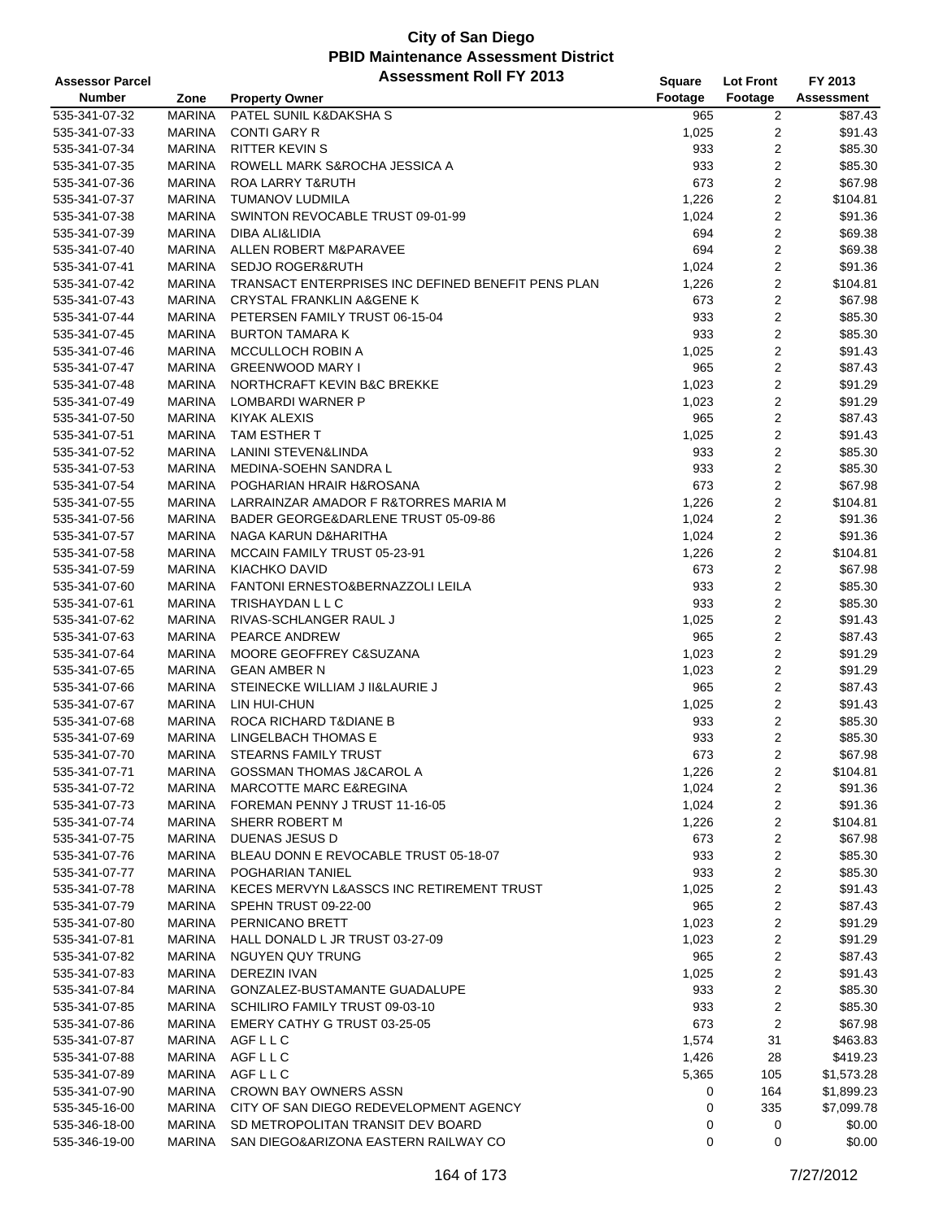| <b>Assessor Parcel</b> |               | <b>Assessment Roll FY 2013</b>                     | <b>Square</b> | <b>Lot Front</b> | FY 2013    |
|------------------------|---------------|----------------------------------------------------|---------------|------------------|------------|
| <b>Number</b>          | Zone          | <b>Property Owner</b>                              | Footage       | Footage          | Assessment |
| 535-341-07-32          | <b>MARINA</b> | PATEL SUNIL K&DAKSHA S                             | 965           | 2                | \$87.43    |
| 535-341-07-33          | <b>MARINA</b> | <b>CONTI GARY R</b>                                | 1,025         | 2                | \$91.43    |
| 535-341-07-34          | <b>MARINA</b> | <b>RITTER KEVIN S</b>                              | 933           | 2                | \$85.30    |
| 535-341-07-35          | <b>MARINA</b> | ROWELL MARK S&ROCHA JESSICA A                      | 933           | 2                | \$85.30    |
| 535-341-07-36          | <b>MARINA</b> | <b>ROA LARRY T&amp;RUTH</b>                        | 673           | 2                | \$67.98    |
| 535-341-07-37          | <b>MARINA</b> | TUMANOV LUDMILA                                    | 1,226         | 2                | \$104.81   |
| 535-341-07-38          | <b>MARINA</b> | SWINTON REVOCABLE TRUST 09-01-99                   | 1,024         | 2                | \$91.36    |
| 535-341-07-39          | <b>MARINA</b> | DIBA ALI&LIDIA                                     | 694           | 2                | \$69.38    |
| 535-341-07-40          | <b>MARINA</b> | ALLEN ROBERT M&PARAVEE                             | 694           | 2                | \$69.38    |
| 535-341-07-41          | <b>MARINA</b> | <b>SEDJO ROGER&amp;RUTH</b>                        | 1,024         | 2                | \$91.36    |
| 535-341-07-42          | <b>MARINA</b> | TRANSACT ENTERPRISES INC DEFINED BENEFIT PENS PLAN | 1,226         | $\overline{2}$   | \$104.81   |
| 535-341-07-43          | <b>MARINA</b> | <b>CRYSTAL FRANKLIN A&amp;GENE K</b>               | 673           | 2                | \$67.98    |
| 535-341-07-44          | <b>MARINA</b> | PETERSEN FAMILY TRUST 06-15-04                     | 933           | 2                | \$85.30    |
| 535-341-07-45          | <b>MARINA</b> | <b>BURTON TAMARA K</b>                             | 933           | 2                | \$85.30    |
| 535-341-07-46          | <b>MARINA</b> | MCCULLOCH ROBIN A                                  | 1,025         | 2                | \$91.43    |
| 535-341-07-47          | <b>MARINA</b> | <b>GREENWOOD MARY I</b>                            | 965           | 2                | \$87.43    |
| 535-341-07-48          | <b>MARINA</b> | NORTHCRAFT KEVIN B&C BREKKE                        | 1,023         | 2                | \$91.29    |
| 535-341-07-49          | <b>MARINA</b> | <b>LOMBARDI WARNER P</b>                           | 1,023         | $\overline{2}$   | \$91.29    |
| 535-341-07-50          | <b>MARINA</b> | KIYAK ALEXIS                                       | 965           | 2                | \$87.43    |
| 535-341-07-51          | <b>MARINA</b> | TAM ESTHER T                                       | 1,025         | 2                | \$91.43    |
| 535-341-07-52          | <b>MARINA</b> | LANINI STEVEN&LINDA                                | 933           | 2                | \$85.30    |
| 535-341-07-53          | <b>MARINA</b> | MEDINA-SOEHN SANDRA L                              | 933           | 2                | \$85.30    |
| 535-341-07-54          | <b>MARINA</b> | POGHARIAN HRAIR H&ROSANA                           | 673           | 2                | \$67.98    |
| 535-341-07-55          | <b>MARINA</b> | LARRAINZAR AMADOR F R&TORRES MARIA M               | 1,226         | 2                | \$104.81   |
| 535-341-07-56          | <b>MARINA</b> | BADER GEORGE&DARLENE TRUST 05-09-86                | 1,024         | $\overline{2}$   | \$91.36    |
| 535-341-07-57          | <b>MARINA</b> | NAGA KARUN D&HARITHA                               | 1,024         | 2                | \$91.36    |
| 535-341-07-58          | <b>MARINA</b> | MCCAIN FAMILY TRUST 05-23-91                       | 1,226         | 2                | \$104.81   |
| 535-341-07-59          | <b>MARINA</b> | KIACHKO DAVID                                      | 673           | 2                | \$67.98    |
| 535-341-07-60          | <b>MARINA</b> | FANTONI ERNESTO&BERNAZZOLI LEILA                   | 933           | 2                | \$85.30    |
| 535-341-07-61          | <b>MARINA</b> | TRISHAYDAN L L C                                   | 933           | 2                | \$85.30    |
| 535-341-07-62          | <b>MARINA</b> | RIVAS-SCHLANGER RAUL J                             | 1,025         | 2                | \$91.43    |
| 535-341-07-63          | <b>MARINA</b> | PEARCE ANDREW                                      | 965           | 2                | \$87.43    |
| 535-341-07-64          | <b>MARINA</b> | MOORE GEOFFREY C&SUZANA                            | 1,023         | 2                | \$91.29    |
| 535-341-07-65          | <b>MARINA</b> | <b>GEAN AMBER N</b>                                | 1,023         | 2                | \$91.29    |
| 535-341-07-66          | <b>MARINA</b> | STEINECKE WILLIAM J II&LAURIE J                    | 965           | 2                | \$87.43    |
| 535-341-07-67          | <b>MARINA</b> | LIN HUI-CHUN                                       | 1,025         | 2                | \$91.43    |
| 535-341-07-68          | <b>MARINA</b> | ROCA RICHARD T&DIANE B                             | 933           | 2                | \$85.30    |
| 535-341-07-69          | <b>MARINA</b> | LINGELBACH THOMAS E                                | 933           | 2                | \$85.30    |
| 535-341-07-70          | <b>MARINA</b> | <b>STEARNS FAMILY TRUST</b>                        | 673           | $\overline{2}$   | \$67.98    |
| 535-341-07-71          | <b>MARINA</b> | <b>GOSSMAN THOMAS J&amp;CAROL A</b>                | 1,226         | 2                | \$104.81   |
| 535-341-07-72          | <b>MARINA</b> | <b>MARCOTTE MARC E&amp;REGINA</b>                  | 1,024         | 2                | \$91.36    |
| 535-341-07-73          | <b>MARINA</b> | FOREMAN PENNY J TRUST 11-16-05                     | 1,024         | 2                | \$91.36    |
| 535-341-07-74          | <b>MARINA</b> | SHERR ROBERT M                                     | 1,226         | 2                | \$104.81   |
| 535-341-07-75          | <b>MARINA</b> | DUENAS JESUS D                                     | 673           | 2                | \$67.98    |
| 535-341-07-76          | <b>MARINA</b> | BLEAU DONN E REVOCABLE TRUST 05-18-07              | 933           | 2                | \$85.30    |
| 535-341-07-77          | <b>MARINA</b> | POGHARIAN TANIEL                                   | 933           | 2                | \$85.30    |
| 535-341-07-78          | <b>MARINA</b> | KECES MERVYN L&ASSCS INC RETIREMENT TRUST          | 1,025         | 2                | \$91.43    |
| 535-341-07-79          | <b>MARINA</b> | SPEHN TRUST 09-22-00                               | 965           | 2                | \$87.43    |
| 535-341-07-80          | <b>MARINA</b> | PERNICANO BRETT                                    | 1,023         | 2                | \$91.29    |
| 535-341-07-81          | <b>MARINA</b> | HALL DONALD L JR TRUST 03-27-09                    | 1,023         | 2                | \$91.29    |
| 535-341-07-82          | <b>MARINA</b> | NGUYEN QUY TRUNG                                   | 965           | 2                | \$87.43    |
| 535-341-07-83          | <b>MARINA</b> | DEREZIN IVAN                                       | 1,025         | 2                | \$91.43    |
| 535-341-07-84          | <b>MARINA</b> | GONZALEZ-BUSTAMANTE GUADALUPE                      | 933           | 2                | \$85.30    |
| 535-341-07-85          | <b>MARINA</b> | SCHILIRO FAMILY TRUST 09-03-10                     | 933           | 2                | \$85.30    |
| 535-341-07-86          | <b>MARINA</b> | EMERY CATHY G TRUST 03-25-05                       | 673           | 2                | \$67.98    |
| 535-341-07-87          | MARINA        | AGFLLC                                             | 1,574         | 31               | \$463.83   |
| 535-341-07-88          | MARINA        | AGFLLC                                             | 1,426         | 28               | \$419.23   |
| 535-341-07-89          | <b>MARINA</b> | AGF L L C                                          | 5,365         | 105              | \$1,573.28 |
| 535-341-07-90          | <b>MARINA</b> | <b>CROWN BAY OWNERS ASSN</b>                       | 0             | 164              | \$1,899.23 |
| 535-345-16-00          | <b>MARINA</b> | CITY OF SAN DIEGO REDEVELOPMENT AGENCY             | 0             | 335              | \$7,099.78 |
| 535-346-18-00          | <b>MARINA</b> | SD METROPOLITAN TRANSIT DEV BOARD                  | 0             | 0                | \$0.00     |
| 535-346-19-00          | MARINA        | SAN DIEGO&ARIZONA EASTERN RAILWAY CO               | 0             | 0                | \$0.00     |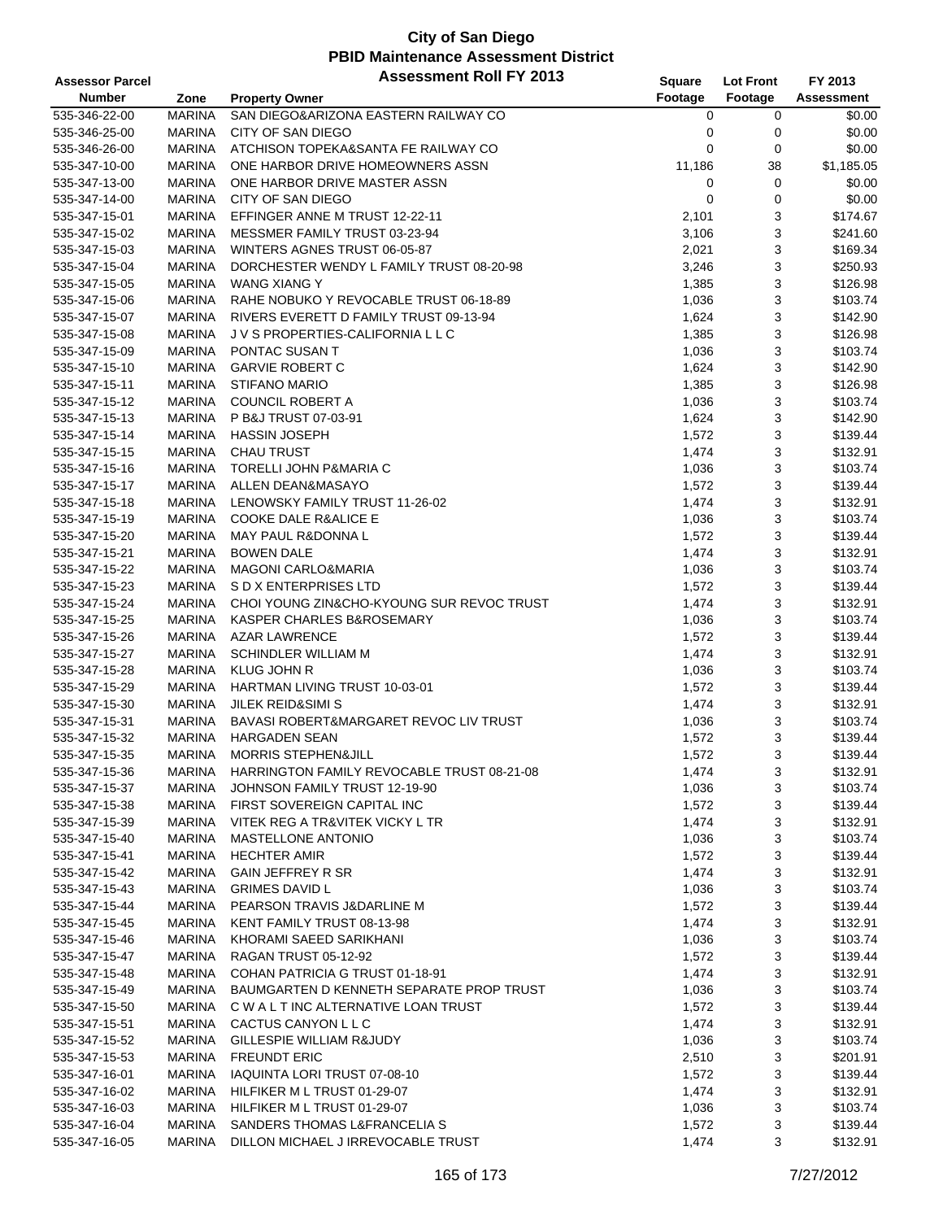| <b>Assessor Parcel</b> |               | <b>Assessment Roll FY 2013</b>             | Square  | <b>Lot Front</b> | FY 2013    |
|------------------------|---------------|--------------------------------------------|---------|------------------|------------|
| <b>Number</b>          | Zone          | <b>Property Owner</b>                      | Footage | Footage          | Assessment |
| 535-346-22-00          | <b>MARINA</b> | SAN DIEGO&ARIZONA EASTERN RAILWAY CO       | 0       | 0                | \$0.00     |
| 535-346-25-00          | <b>MARINA</b> | CITY OF SAN DIEGO                          | 0       | 0                | \$0.00     |
| 535-346-26-00          | <b>MARINA</b> | ATCHISON TOPEKA&SANTA FE RAILWAY CO        | 0       | 0                | \$0.00     |
| 535-347-10-00          | <b>MARINA</b> | ONE HARBOR DRIVE HOMEOWNERS ASSN           | 11,186  | 38               | \$1,185.05 |
| 535-347-13-00          | <b>MARINA</b> | ONE HARBOR DRIVE MASTER ASSN               | 0       | 0                | \$0.00     |
| 535-347-14-00          | <b>MARINA</b> | CITY OF SAN DIEGO                          | 0       | 0                | \$0.00     |
| 535-347-15-01          | <b>MARINA</b> | EFFINGER ANNE M TRUST 12-22-11             | 2,101   | 3                | \$174.67   |
| 535-347-15-02          | <b>MARINA</b> | MESSMER FAMILY TRUST 03-23-94              | 3,106   | 3                | \$241.60   |
| 535-347-15-03          | <b>MARINA</b> | WINTERS AGNES TRUST 06-05-87               | 2,021   | 3                | \$169.34   |
| 535-347-15-04          | <b>MARINA</b> | DORCHESTER WENDY L FAMILY TRUST 08-20-98   | 3,246   | 3                | \$250.93   |
| 535-347-15-05          | <b>MARINA</b> | <b>WANG XIANG Y</b>                        | 1,385   | 3                | \$126.98   |
| 535-347-15-06          | <b>MARINA</b> | RAHE NOBUKO Y REVOCABLE TRUST 06-18-89     | 1,036   | 3                | \$103.74   |
| 535-347-15-07          | <b>MARINA</b> | RIVERS EVERETT D FAMILY TRUST 09-13-94     | 1,624   | 3                | \$142.90   |
| 535-347-15-08          | <b>MARINA</b> | J V S PROPERTIES-CALIFORNIA L L C          | 1,385   | 3                | \$126.98   |
| 535-347-15-09          | <b>MARINA</b> | PONTAC SUSAN T                             | 1,036   | 3                | \$103.74   |
| 535-347-15-10          | <b>MARINA</b> | <b>GARVIE ROBERT C</b>                     | 1,624   | 3                | \$142.90   |
| 535-347-15-11          | <b>MARINA</b> | <b>STIFANO MARIO</b>                       | 1,385   | 3                | \$126.98   |
| 535-347-15-12          | <b>MARINA</b> | <b>COUNCIL ROBERT A</b>                    | 1,036   | 3                | \$103.74   |
| 535-347-15-13          | <b>MARINA</b> | P B&J TRUST 07-03-91                       | 1,624   | 3                | \$142.90   |
| 535-347-15-14          | <b>MARINA</b> | <b>HASSIN JOSEPH</b>                       | 1,572   | 3                | \$139.44   |
|                        | <b>MARINA</b> | <b>CHAU TRUST</b>                          |         | 3                | \$132.91   |
| 535-347-15-15          |               | TORELLI JOHN P&MARIA C                     | 1,474   |                  |            |
| 535-347-15-16          | <b>MARINA</b> |                                            | 1,036   | 3                | \$103.74   |
| 535-347-15-17          | <b>MARINA</b> | ALLEN DEAN&MASAYO                          | 1,572   | 3                | \$139.44   |
| 535-347-15-18          | <b>MARINA</b> | LENOWSKY FAMILY TRUST 11-26-02             | 1,474   | 3                | \$132.91   |
| 535-347-15-19          | <b>MARINA</b> | <b>COOKE DALE R&amp;ALICE E</b>            | 1,036   | 3                | \$103.74   |
| 535-347-15-20          | <b>MARINA</b> | MAY PAUL R&DONNA L                         | 1,572   | 3                | \$139.44   |
| 535-347-15-21          | <b>MARINA</b> | <b>BOWEN DALE</b>                          | 1,474   | 3                | \$132.91   |
| 535-347-15-22          | <b>MARINA</b> | <b>MAGONI CARLO&amp;MARIA</b>              | 1,036   | 3                | \$103.74   |
| 535-347-15-23          | <b>MARINA</b> | S D X ENTERPRISES LTD                      | 1,572   | 3                | \$139.44   |
| 535-347-15-24          | <b>MARINA</b> | CHOI YOUNG ZIN&CHO-KYOUNG SUR REVOC TRUST  | 1,474   | 3                | \$132.91   |
| 535-347-15-25          | <b>MARINA</b> | KASPER CHARLES B&ROSEMARY                  | 1,036   | 3                | \$103.74   |
| 535-347-15-26          | <b>MARINA</b> | <b>AZAR LAWRENCE</b>                       | 1,572   | 3                | \$139.44   |
| 535-347-15-27          | <b>MARINA</b> | <b>SCHINDLER WILLIAM M</b>                 | 1,474   | 3                | \$132.91   |
| 535-347-15-28          | <b>MARINA</b> | <b>KLUG JOHN R</b>                         | 1,036   | 3                | \$103.74   |
| 535-347-15-29          | <b>MARINA</b> | HARTMAN LIVING TRUST 10-03-01              | 1,572   | 3                | \$139.44   |
| 535-347-15-30          | <b>MARINA</b> | <b>JILEK REID&amp;SIMI S</b>               | 1,474   | 3                | \$132.91   |
| 535-347-15-31          | <b>MARINA</b> | BAVASI ROBERT&MARGARET REVOC LIV TRUST     | 1,036   | 3                | \$103.74   |
| 535-347-15-32          | <b>MARINA</b> | <b>HARGADEN SEAN</b>                       | 1,572   | 3                | \$139.44   |
| 535-347-15-35          | <b>MARINA</b> | <b>MORRIS STEPHEN&amp;JILL</b>             | 1,572   | 3                | \$139.44   |
| 535-347-15-36          | MARINA        | HARRINGTON FAMILY REVOCABLE TRUST 08-21-08 | 1,474   | 3                | \$132.91   |
| 535-347-15-37          | MARINA        | JOHNSON FAMILY TRUST 12-19-90              | 1,036   | 3                | \$103.74   |
| 535-347-15-38          | <b>MARINA</b> | FIRST SOVEREIGN CAPITAL INC                | 1,572   | 3                | \$139.44   |
| 535-347-15-39          | MARINA        | VITEK REG A TR&VITEK VICKY L TR            | 1,474   | 3                | \$132.91   |
| 535-347-15-40          | MARINA        | MASTELLONE ANTONIO                         | 1,036   | 3                | \$103.74   |
| 535-347-15-41          | MARINA        | <b>HECHTER AMIR</b>                        | 1,572   | 3                | \$139.44   |
| 535-347-15-42          | MARINA        | GAIN JEFFREY R SR                          | 1,474   | 3                | \$132.91   |
| 535-347-15-43          | MARINA        | <b>GRIMES DAVID L</b>                      | 1,036   | 3                | \$103.74   |
| 535-347-15-44          | MARINA        | PEARSON TRAVIS J&DARLINE M                 | 1,572   | 3                | \$139.44   |
| 535-347-15-45          | MARINA        | KENT FAMILY TRUST 08-13-98                 | 1,474   | 3                | \$132.91   |
| 535-347-15-46          | MARINA        | KHORAMI SAEED SARIKHANI                    | 1,036   | 3                | \$103.74   |
| 535-347-15-47          | MARINA        | RAGAN TRUST 05-12-92                       | 1,572   | 3                | \$139.44   |
| 535-347-15-48          | MARINA        | COHAN PATRICIA G TRUST 01-18-91            | 1,474   | 3                | \$132.91   |
| 535-347-15-49          | MARINA        | BAUMGARTEN D KENNETH SEPARATE PROP TRUST   | 1,036   | 3                | \$103.74   |
| 535-347-15-50          | MARINA        | C W A L T INC ALTERNATIVE LOAN TRUST       | 1,572   | 3                | \$139.44   |
| 535-347-15-51          | MARINA        | CACTUS CANYON L L C                        | 1,474   | 3                | \$132.91   |
| 535-347-15-52          | MARINA        | GILLESPIE WILLIAM R&JUDY                   | 1,036   | 3                | \$103.74   |
| 535-347-15-53          | MARINA        | <b>FREUNDT ERIC</b>                        | 2,510   | 3                | \$201.91   |
| 535-347-16-01          | <b>MARINA</b> | IAQUINTA LORI TRUST 07-08-10               | 1,572   | 3                | \$139.44   |
| 535-347-16-02          | MARINA        | HILFIKER M L TRUST 01-29-07                | 1,474   | 3                | \$132.91   |
| 535-347-16-03          | MARINA        | HILFIKER M L TRUST 01-29-07                | 1,036   | 3                | \$103.74   |
| 535-347-16-04          | MARINA        | SANDERS THOMAS L&FRANCELIA S               | 1,572   | 3                | \$139.44   |
| 535-347-16-05          | MARINA        | DILLON MICHAEL J IRREVOCABLE TRUST         | 1,474   | 3                | \$132.91   |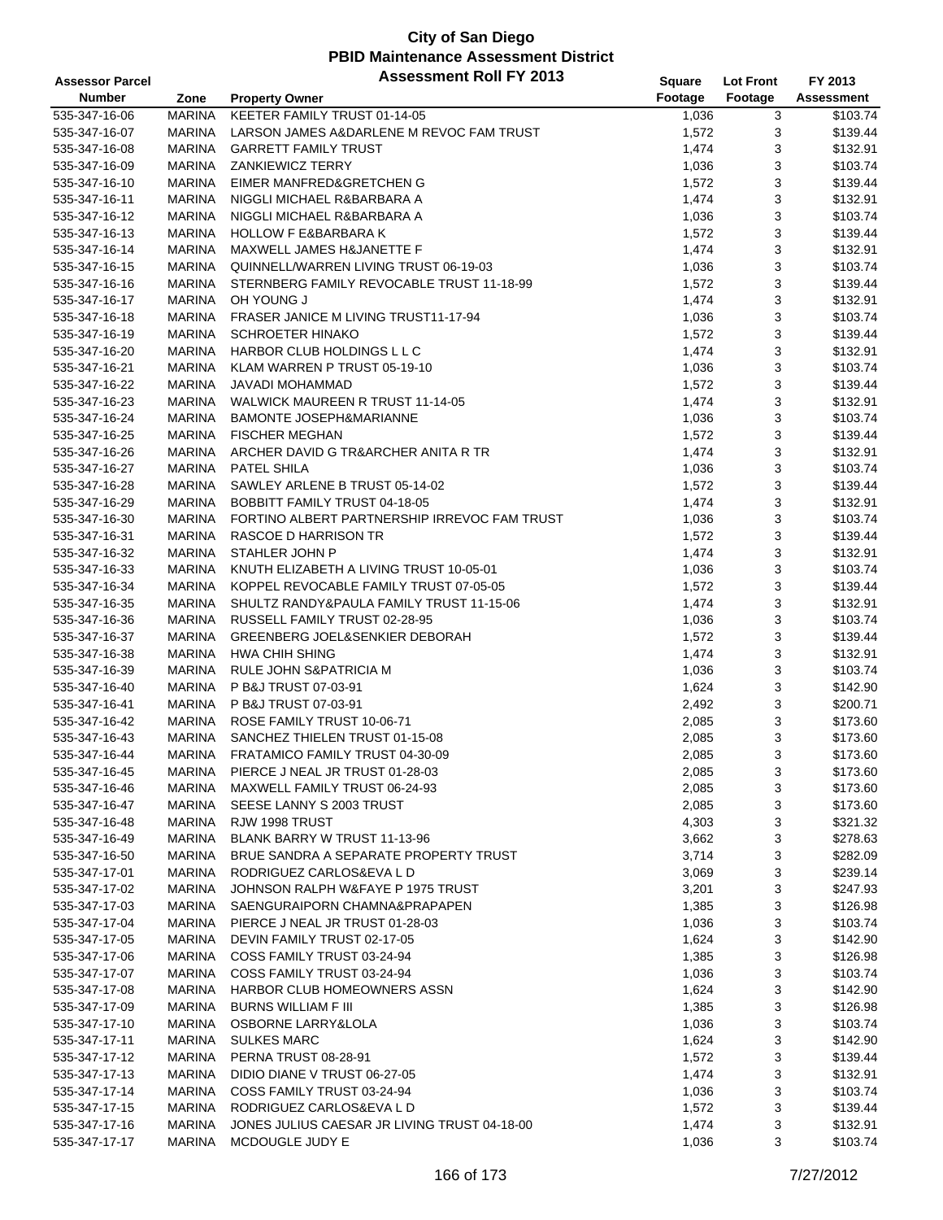| <b>Assessor Parcel</b> |               | <b>Assessment Roll FY 2013</b>               | Square  | <b>Lot Front</b> | FY 2013    |
|------------------------|---------------|----------------------------------------------|---------|------------------|------------|
| <b>Number</b>          | Zone          | <b>Property Owner</b>                        | Footage | Footage          | Assessment |
| 535-347-16-06          | <b>MARINA</b> | KEETER FAMILY TRUST 01-14-05                 | 1,036   | 3                | \$103.74   |
| 535-347-16-07          | <b>MARINA</b> | LARSON JAMES A&DARLENE M REVOC FAM TRUST     | 1,572   | 3                | \$139.44   |
| 535-347-16-08          | <b>MARINA</b> | <b>GARRETT FAMILY TRUST</b>                  | 1,474   | 3                | \$132.91   |
| 535-347-16-09          | <b>MARINA</b> | <b>ZANKIEWICZ TERRY</b>                      | 1,036   | 3                | \$103.74   |
| 535-347-16-10          | <b>MARINA</b> | EIMER MANFRED&GRETCHEN G                     | 1,572   | 3                | \$139.44   |
| 535-347-16-11          | MARINA        | NIGGLI MICHAEL R&BARBARA A                   | 1,474   | 3                | \$132.91   |
| 535-347-16-12          | <b>MARINA</b> | NIGGLI MICHAEL R&BARBARA A                   | 1,036   | 3                | \$103.74   |
| 535-347-16-13          | <b>MARINA</b> | <b>HOLLOW F E&amp;BARBARA K</b>              | 1,572   | 3                | \$139.44   |
| 535-347-16-14          | <b>MARINA</b> | MAXWELL JAMES H&JANETTE F                    | 1,474   | 3                | \$132.91   |
| 535-347-16-15          | <b>MARINA</b> | QUINNELL/WARREN LIVING TRUST 06-19-03        |         | 3                | \$103.74   |
|                        |               |                                              | 1,036   |                  |            |
| 535-347-16-16          | <b>MARINA</b> | STERNBERG FAMILY REVOCABLE TRUST 11-18-99    | 1,572   | 3                | \$139.44   |
| 535-347-16-17          | <b>MARINA</b> | OH YOUNG J                                   | 1,474   | 3                | \$132.91   |
| 535-347-16-18          | <b>MARINA</b> | FRASER JANICE M LIVING TRUST11-17-94         | 1,036   | 3                | \$103.74   |
| 535-347-16-19          | <b>MARINA</b> | <b>SCHROETER HINAKO</b>                      | 1,572   | 3                | \$139.44   |
| 535-347-16-20          | <b>MARINA</b> | HARBOR CLUB HOLDINGS L L C                   | 1,474   | 3                | \$132.91   |
| 535-347-16-21          | <b>MARINA</b> | KLAM WARREN P TRUST 05-19-10                 | 1,036   | 3                | \$103.74   |
| 535-347-16-22          | <b>MARINA</b> | JAVADI MOHAMMAD                              | 1,572   | 3                | \$139.44   |
| 535-347-16-23          | <b>MARINA</b> | <b>WALWICK MAUREEN R TRUST 11-14-05</b>      | 1,474   | 3                | \$132.91   |
| 535-347-16-24          | <b>MARINA</b> | <b>BAMONTE JOSEPH&amp;MARIANNE</b>           | 1,036   | 3                | \$103.74   |
| 535-347-16-25          | <b>MARINA</b> | <b>FISCHER MEGHAN</b>                        | 1,572   | 3                | \$139.44   |
| 535-347-16-26          | <b>MARINA</b> | ARCHER DAVID G TR&ARCHER ANITA R TR          | 1,474   | 3                | \$132.91   |
| 535-347-16-27          | <b>MARINA</b> | PATEL SHILA                                  | 1,036   | 3                | \$103.74   |
| 535-347-16-28          | <b>MARINA</b> | SAWLEY ARLENE B TRUST 05-14-02               | 1,572   | 3                | \$139.44   |
| 535-347-16-29          | MARINA        | BOBBITT FAMILY TRUST 04-18-05                | 1,474   | 3                | \$132.91   |
| 535-347-16-30          | <b>MARINA</b> | FORTINO ALBERT PARTNERSHIP IRREVOC FAM TRUST | 1,036   | 3                | \$103.74   |
| 535-347-16-31          | <b>MARINA</b> | RASCOE D HARRISON TR                         | 1,572   | 3                | \$139.44   |
| 535-347-16-32          | <b>MARINA</b> | STAHLER JOHN P                               | 1,474   | 3                | \$132.91   |
| 535-347-16-33          | <b>MARINA</b> | KNUTH ELIZABETH A LIVING TRUST 10-05-01      | 1,036   | 3                | \$103.74   |
| 535-347-16-34          | <b>MARINA</b> | KOPPEL REVOCABLE FAMILY TRUST 07-05-05       | 1,572   | 3                | \$139.44   |
| 535-347-16-35          | <b>MARINA</b> | SHULTZ RANDY&PAULA FAMILY TRUST 11-15-06     | 1,474   | 3                | \$132.91   |
| 535-347-16-36          | <b>MARINA</b> | RUSSELL FAMILY TRUST 02-28-95                | 1,036   | 3                | \$103.74   |
| 535-347-16-37          | <b>MARINA</b> | <b>GREENBERG JOEL&amp;SENKIER DEBORAH</b>    | 1,572   | 3                | \$139.44   |
| 535-347-16-38          | <b>MARINA</b> | <b>HWA CHIH SHING</b>                        | 1,474   | 3                | \$132.91   |
| 535-347-16-39          | <b>MARINA</b> | RULE JOHN S&PATRICIA M                       | 1,036   | 3                | \$103.74   |
| 535-347-16-40          | <b>MARINA</b> | P B&J TRUST 07-03-91                         | 1,624   | 3                | \$142.90   |
| 535-347-16-41          | <b>MARINA</b> | P B&J TRUST 07-03-91                         | 2,492   | 3                | \$200.71   |
| 535-347-16-42          | MARINA        | ROSE FAMILY TRUST 10-06-71                   | 2,085   | 3                | \$173.60   |
| 535-347-16-43          | <b>MARINA</b> | SANCHEZ THIELEN TRUST 01-15-08               | 2,085   | 3                | \$173.60   |
| 535-347-16-44          | <b>MARINA</b> | FRATAMICO FAMILY TRUST 04-30-09              | 2,085   | 3                | \$173.60   |
| 535-347-16-45          | MARINA        | PIERCE J NEAL JR TRUST 01-28-03              | 2,085   | 3                | \$173.60   |
| 535-347-16-46          | MARINA        | MAXWELL FAMILY TRUST 06-24-93                | 2,085   | 3                | \$173.60   |
| 535-347-16-47          | MARINA        | SEESE LANNY S 2003 TRUST                     | 2,085   | 3                | \$173.60   |
| 535-347-16-48          | MARINA        | RJW 1998 TRUST                               |         | 3                | \$321.32   |
| 535-347-16-49          | MARINA        | BLANK BARRY W TRUST 11-13-96                 | 4,303   |                  |            |
|                        |               |                                              | 3,662   | 3                | \$278.63   |
| 535-347-16-50          | MARINA        | BRUE SANDRA A SEPARATE PROPERTY TRUST        | 3,714   | 3                | \$282.09   |
| 535-347-17-01          | MARINA        | RODRIGUEZ CARLOS&EVA L D                     | 3,069   | 3                | \$239.14   |
| 535-347-17-02          | MARINA        | JOHNSON RALPH W&FAYE P 1975 TRUST            | 3,201   | 3                | \$247.93   |
| 535-347-17-03          | MARINA        | SAENGURAIPORN CHAMNA&PRAPAPEN                | 1,385   | 3                | \$126.98   |
| 535-347-17-04          | MARINA        | PIERCE J NEAL JR TRUST 01-28-03              | 1,036   | 3                | \$103.74   |
| 535-347-17-05          | MARINA        | DEVIN FAMILY TRUST 02-17-05                  | 1,624   | 3                | \$142.90   |
| 535-347-17-06          | MARINA        | COSS FAMILY TRUST 03-24-94                   | 1,385   | 3                | \$126.98   |
| 535-347-17-07          | MARINA        | COSS FAMILY TRUST 03-24-94                   | 1,036   | 3                | \$103.74   |
| 535-347-17-08          | MARINA        | HARBOR CLUB HOMEOWNERS ASSN                  | 1,624   | 3                | \$142.90   |
| 535-347-17-09          | MARINA        | <b>BURNS WILLIAM F III</b>                   | 1,385   | 3                | \$126.98   |
| 535-347-17-10          | MARINA        | OSBORNE LARRY&LOLA                           | 1,036   | 3                | \$103.74   |
| 535-347-17-11          | MARINA        | <b>SULKES MARC</b>                           | 1,624   | 3                | \$142.90   |
| 535-347-17-12          | MARINA        | PERNA TRUST 08-28-91                         | 1,572   | 3                | \$139.44   |
| 535-347-17-13          | <b>MARINA</b> | DIDIO DIANE V TRUST 06-27-05                 | 1,474   | 3                | \$132.91   |
| 535-347-17-14          | MARINA        | COSS FAMILY TRUST 03-24-94                   | 1,036   | 3                | \$103.74   |
| 535-347-17-15          | MARINA        | RODRIGUEZ CARLOS&EVA L D                     | 1,572   | 3                | \$139.44   |
| 535-347-17-16          | <b>MARINA</b> | JONES JULIUS CAESAR JR LIVING TRUST 04-18-00 | 1,474   | 3                | \$132.91   |
| 535-347-17-17          | MARINA        | MCDOUGLE JUDY E                              | 1,036   | 3                | \$103.74   |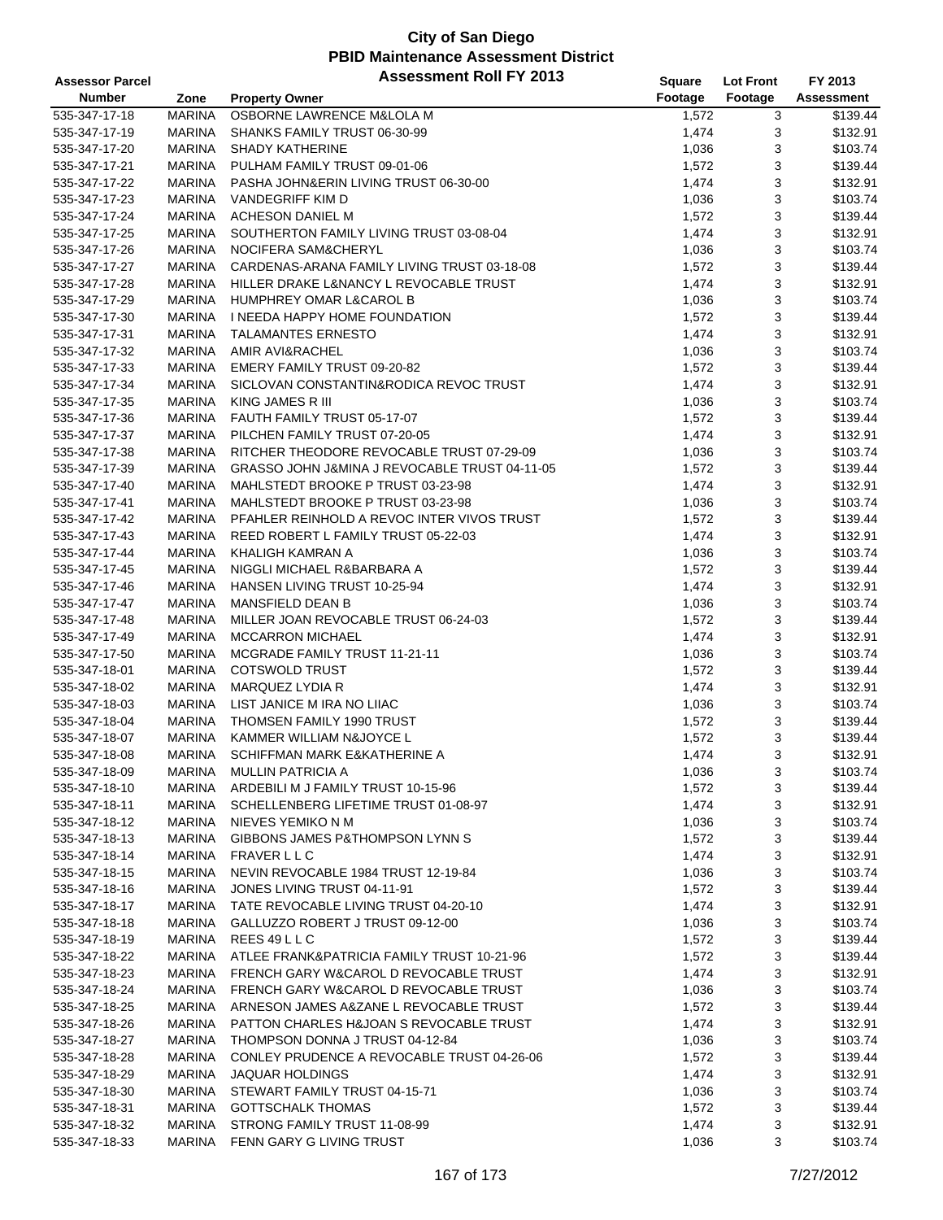| <b>Assessor Parcel</b> |               | <b>Assessment Roll FY 2013</b>                | <b>Square</b> | <b>Lot Front</b> | FY 2013    |
|------------------------|---------------|-----------------------------------------------|---------------|------------------|------------|
| <b>Number</b>          | Zone          | <b>Property Owner</b>                         | Footage       | Footage          | Assessment |
| 535-347-17-18          | <b>MARINA</b> | OSBORNE LAWRENCE M&LOLA M                     | 1,572         | 3                | \$139.44   |
| 535-347-17-19          | <b>MARINA</b> | SHANKS FAMILY TRUST 06-30-99                  | 1,474         | 3                | \$132.91   |
| 535-347-17-20          | <b>MARINA</b> | <b>SHADY KATHERINE</b>                        | 1,036         | 3                | \$103.74   |
| 535-347-17-21          | <b>MARINA</b> | PULHAM FAMILY TRUST 09-01-06                  | 1,572         | 3                | \$139.44   |
| 535-347-17-22          | <b>MARINA</b> | PASHA JOHN&ERIN LIVING TRUST 06-30-00         | 1,474         | 3                | \$132.91   |
| 535-347-17-23          | <b>MARINA</b> | VANDEGRIFF KIM D                              | 1,036         | 3                | \$103.74   |
|                        | <b>MARINA</b> |                                               |               | 3                | \$139.44   |
| 535-347-17-24          |               | ACHESON DANIEL M                              | 1,572         |                  |            |
| 535-347-17-25          | <b>MARINA</b> | SOUTHERTON FAMILY LIVING TRUST 03-08-04       | 1,474         | 3                | \$132.91   |
| 535-347-17-26          | <b>MARINA</b> | NOCIFERA SAM&CHERYL                           | 1,036         | 3                | \$103.74   |
| 535-347-17-27          | <b>MARINA</b> | CARDENAS-ARANA FAMILY LIVING TRUST 03-18-08   | 1,572         | 3                | \$139.44   |
| 535-347-17-28          | <b>MARINA</b> | HILLER DRAKE L&NANCY L REVOCABLE TRUST        | 1,474         | 3                | \$132.91   |
| 535-347-17-29          | <b>MARINA</b> | <b>HUMPHREY OMAR L&amp;CAROL B</b>            | 1,036         | 3                | \$103.74   |
| 535-347-17-30          | <b>MARINA</b> | I NEEDA HAPPY HOME FOUNDATION                 | 1,572         | 3                | \$139.44   |
| 535-347-17-31          | <b>MARINA</b> | <b>TALAMANTES ERNESTO</b>                     | 1,474         | 3                | \$132.91   |
| 535-347-17-32          | <b>MARINA</b> | AMIR AVI&RACHEL                               | 1,036         | 3                | \$103.74   |
| 535-347-17-33          | <b>MARINA</b> | EMERY FAMILY TRUST 09-20-82                   | 1,572         | 3                | \$139.44   |
| 535-347-17-34          | <b>MARINA</b> | SICLOVAN CONSTANTIN& RODICA REVOC TRUST       | 1,474         | 3                | \$132.91   |
| 535-347-17-35          | <b>MARINA</b> | KING JAMES R III                              | 1,036         | 3                | \$103.74   |
| 535-347-17-36          | <b>MARINA</b> | FAUTH FAMILY TRUST 05-17-07                   | 1,572         | 3                | \$139.44   |
| 535-347-17-37          | <b>MARINA</b> | PILCHEN FAMILY TRUST 07-20-05                 | 1,474         | 3                | \$132.91   |
| 535-347-17-38          | <b>MARINA</b> | RITCHER THEODORE REVOCABLE TRUST 07-29-09     | 1,036         | 3                | \$103.74   |
| 535-347-17-39          | <b>MARINA</b> | GRASSO JOHN J&MINA J REVOCABLE TRUST 04-11-05 | 1,572         | 3                | \$139.44   |
| 535-347-17-40          | <b>MARINA</b> | MAHLSTEDT BROOKE P TRUST 03-23-98             | 1,474         | 3                | \$132.91   |
| 535-347-17-41          | <b>MARINA</b> | MAHLSTEDT BROOKE P TRUST 03-23-98             | 1,036         | 3                | \$103.74   |
| 535-347-17-42          | <b>MARINA</b> | PFAHLER REINHOLD A REVOC INTER VIVOS TRUST    | 1,572         | 3                | \$139.44   |
| 535-347-17-43          | <b>MARINA</b> | REED ROBERT L FAMILY TRUST 05-22-03           | 1,474         | 3                | \$132.91   |
| 535-347-17-44          | <b>MARINA</b> | KHALIGH KAMRAN A                              | 1,036         | 3                | \$103.74   |
| 535-347-17-45          | <b>MARINA</b> | NIGGLI MICHAEL R&BARBARA A                    | 1,572         | 3                | \$139.44   |
| 535-347-17-46          | <b>MARINA</b> | HANSEN LIVING TRUST 10-25-94                  | 1,474         | 3                | \$132.91   |
|                        |               |                                               |               |                  |            |
| 535-347-17-47          | <b>MARINA</b> | <b>MANSFIELD DEAN B</b>                       | 1,036         | 3                | \$103.74   |
| 535-347-17-48          | <b>MARINA</b> | MILLER JOAN REVOCABLE TRUST 06-24-03          | 1,572         | 3                | \$139.44   |
| 535-347-17-49          | <b>MARINA</b> | <b>MCCARRON MICHAEL</b>                       | 1,474         | 3                | \$132.91   |
| 535-347-17-50          | <b>MARINA</b> | MCGRADE FAMILY TRUST 11-21-11                 | 1,036         | 3                | \$103.74   |
| 535-347-18-01          | <b>MARINA</b> | <b>COTSWOLD TRUST</b>                         | 1,572         | 3                | \$139.44   |
| 535-347-18-02          | <b>MARINA</b> | MARQUEZ LYDIA R                               | 1,474         | 3                | \$132.91   |
| 535-347-18-03          | <b>MARINA</b> | LIST JANICE M IRA NO LIIAC                    | 1,036         | 3                | \$103.74   |
| 535-347-18-04          | <b>MARINA</b> | THOMSEN FAMILY 1990 TRUST                     | 1,572         | 3                | \$139.44   |
| 535-347-18-07          | <b>MARINA</b> | KAMMER WILLIAM N&JOYCE L                      | 1,572         | 3                | \$139.44   |
| 535-347-18-08          | <b>MARINA</b> | SCHIFFMAN MARK E&KATHERINE A                  | 1,474         | 3                | \$132.91   |
| 535-347-18-09          | MARINA        | <b>MULLIN PATRICIA A</b>                      | 1,036         | 3                | \$103.74   |
| 535-347-18-10          | MARINA        | ARDEBILI M J FAMILY TRUST 10-15-96            | 1,572         | 3                | \$139.44   |
| 535-347-18-11          | MARINA        | SCHELLENBERG LIFETIME TRUST 01-08-97          | 1,474         | 3                | \$132.91   |
| 535-347-18-12          | MARINA        | NIEVES YEMIKO N M                             | 1,036         | 3                | \$103.74   |
| 535-347-18-13          | <b>MARINA</b> | GIBBONS JAMES P&THOMPSON LYNN S               | 1,572         | 3                | \$139.44   |
| 535-347-18-14          | MARINA        | <b>FRAVER LLC</b>                             | 1,474         | 3                | \$132.91   |
| 535-347-18-15          | MARINA        | NEVIN REVOCABLE 1984 TRUST 12-19-84           | 1,036         | 3                | \$103.74   |
| 535-347-18-16          | <b>MARINA</b> | JONES LIVING TRUST 04-11-91                   | 1,572         | 3                | \$139.44   |
| 535-347-18-17          | MARINA        | TATE REVOCABLE LIVING TRUST 04-20-10          | 1,474         | 3                | \$132.91   |
| 535-347-18-18          | MARINA        | GALLUZZO ROBERT J TRUST 09-12-00              | 1,036         | 3                | \$103.74   |
| 535-347-18-19          | <b>MARINA</b> | REES 49 L L C                                 | 1,572         | 3                | \$139.44   |
| 535-347-18-22          | <b>MARINA</b> | ATLEE FRANK&PATRICIA FAMILY TRUST 10-21-96    | 1,572         | 3                | \$139.44   |
| 535-347-18-23          | MARINA        | FRENCH GARY W&CAROL D REVOCABLE TRUST         | 1,474         | 3                | \$132.91   |
|                        |               |                                               |               |                  |            |
| 535-347-18-24          | MARINA        | FRENCH GARY W&CAROL D REVOCABLE TRUST         | 1,036         | 3                | \$103.74   |
| 535-347-18-25          | MARINA        | ARNESON JAMES A&ZANE L REVOCABLE TRUST        | 1,572         | 3                | \$139.44   |
| 535-347-18-26          | <b>MARINA</b> | PATTON CHARLES H&JOAN S REVOCABLE TRUST       | 1,474         | 3                | \$132.91   |
| 535-347-18-27          | MARINA        | THOMPSON DONNA J TRUST 04-12-84               | 1,036         | 3                | \$103.74   |
| 535-347-18-28          | MARINA        | CONLEY PRUDENCE A REVOCABLE TRUST 04-26-06    | 1,572         | 3                | \$139.44   |
| 535-347-18-29          | <b>MARINA</b> | <b>JAQUAR HOLDINGS</b>                        | 1,474         | 3                | \$132.91   |
| 535-347-18-30          | MARINA        | STEWART FAMILY TRUST 04-15-71                 | 1,036         | 3                | \$103.74   |
| 535-347-18-31          | MARINA        | <b>GOTTSCHALK THOMAS</b>                      | 1,572         | 3                | \$139.44   |
| 535-347-18-32          | <b>MARINA</b> | STRONG FAMILY TRUST 11-08-99                  | 1,474         | 3                | \$132.91   |
| 535-347-18-33          | MARINA        | FENN GARY G LIVING TRUST                      | 1,036         | 3                | \$103.74   |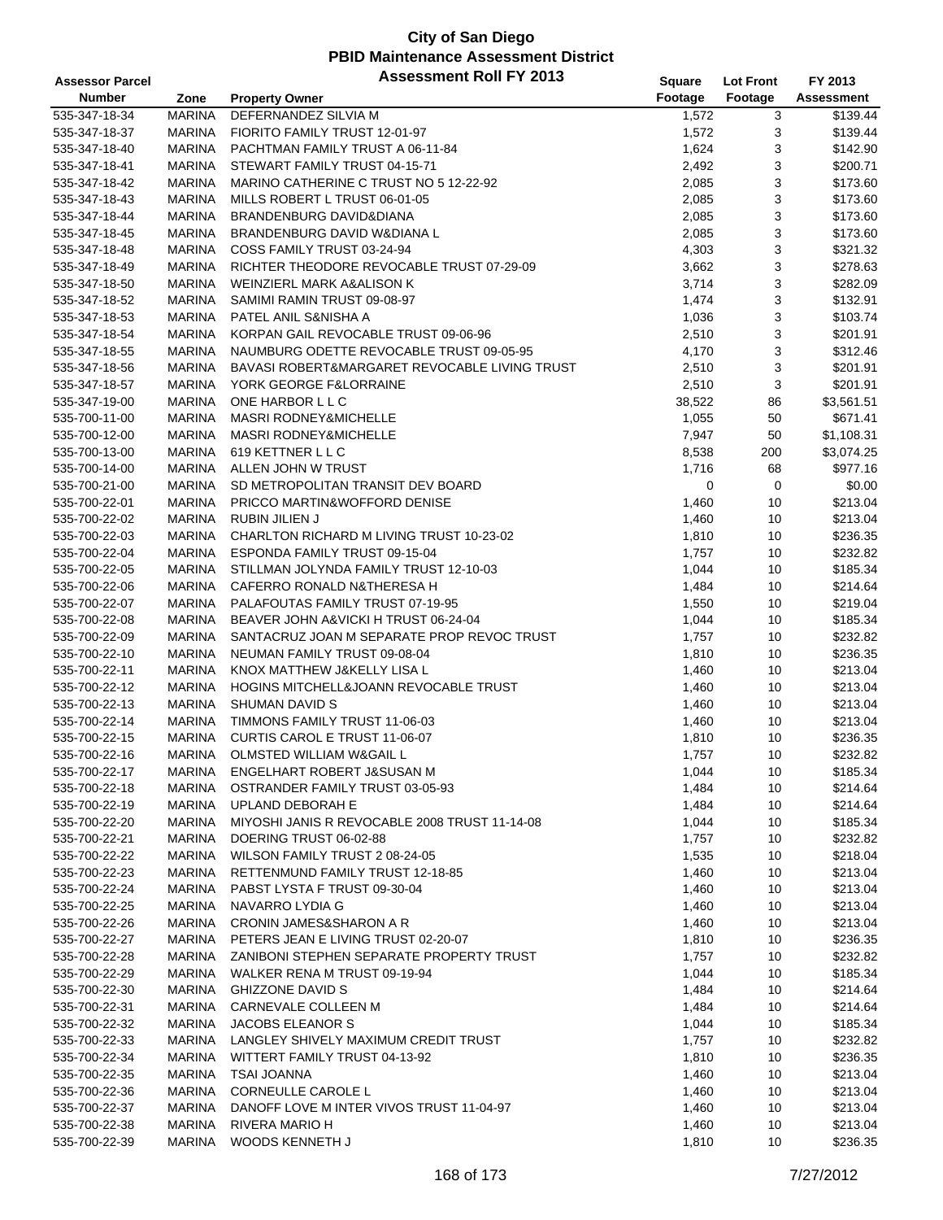| <b>Assessor Parcel</b> |               | <b>Assessment Roll FY 2013</b>                | <b>Square</b> | <b>Lot Front</b> | FY 2013    |
|------------------------|---------------|-----------------------------------------------|---------------|------------------|------------|
| <b>Number</b>          | Zone          | <b>Property Owner</b>                         | Footage       | Footage          | Assessment |
| 535-347-18-34          | <b>MARINA</b> | DEFERNANDEZ SILVIA M                          | 1,572         | 3                | \$139.44   |
| 535-347-18-37          | <b>MARINA</b> | FIORITO FAMILY TRUST 12-01-97                 | 1,572         | 3                | \$139.44   |
| 535-347-18-40          | <b>MARINA</b> | PACHTMAN FAMILY TRUST A 06-11-84              | 1,624         | 3                | \$142.90   |
| 535-347-18-41          | <b>MARINA</b> | STEWART FAMILY TRUST 04-15-71                 | 2,492         | 3                | \$200.71   |
| 535-347-18-42          | <b>MARINA</b> | MARINO CATHERINE C TRUST NO 5 12-22-92        | 2,085         | 3                | \$173.60   |
| 535-347-18-43          | <b>MARINA</b> | MILLS ROBERT L TRUST 06-01-05                 | 2,085         | 3                | \$173.60   |
| 535-347-18-44          | <b>MARINA</b> | BRANDENBURG DAVID&DIANA                       | 2,085         | 3                | \$173.60   |
| 535-347-18-45          | <b>MARINA</b> | BRANDENBURG DAVID W&DIANA L                   | 2,085         | 3                | \$173.60   |
| 535-347-18-48          | <b>MARINA</b> | COSS FAMILY TRUST 03-24-94                    | 4,303         | 3                | \$321.32   |
| 535-347-18-49          | <b>MARINA</b> | RICHTER THEODORE REVOCABLE TRUST 07-29-09     | 3,662         | 3                | \$278.63   |
| 535-347-18-50          | <b>MARINA</b> | WEINZIERL MARK A&ALISON K                     | 3,714         | 3                | \$282.09   |
| 535-347-18-52          | <b>MARINA</b> | SAMIMI RAMIN TRUST 09-08-97                   | 1,474         | 3                | \$132.91   |
| 535-347-18-53          | <b>MARINA</b> | PATEL ANIL S&NISHA A                          | 1,036         | 3                | \$103.74   |
| 535-347-18-54          | <b>MARINA</b> | KORPAN GAIL REVOCABLE TRUST 09-06-96          | 2,510         | 3                | \$201.91   |
| 535-347-18-55          | <b>MARINA</b> | NAUMBURG ODETTE REVOCABLE TRUST 09-05-95      | 4,170         | 3                | \$312.46   |
| 535-347-18-56          | <b>MARINA</b> | BAVASI ROBERT&MARGARET REVOCABLE LIVING TRUST | 2,510         | 3                | \$201.91   |
| 535-347-18-57          | <b>MARINA</b> | YORK GEORGE F&LORRAINE                        | 2,510         | 3                | \$201.91   |
| 535-347-19-00          | <b>MARINA</b> | ONE HARBOR L L C                              | 38,522        | 86               | \$3,561.51 |
| 535-700-11-00          | <b>MARINA</b> | <b>MASRI RODNEY&amp;MICHELLE</b>              | 1,055         | 50               | \$671.41   |
| 535-700-12-00          | <b>MARINA</b> | <b>MASRI RODNEY&amp;MICHELLE</b>              | 7,947         | 50               | \$1,108.31 |
| 535-700-13-00          | <b>MARINA</b> | 619 KETTNER L L C                             | 8,538         | 200              | \$3,074.25 |
| 535-700-14-00          | <b>MARINA</b> | ALLEN JOHN W TRUST                            | 1,716         | 68               | \$977.16   |
| 535-700-21-00          | MARINA        | SD METROPOLITAN TRANSIT DEV BOARD             | 0             | $\mathbf 0$      | \$0.00     |
| 535-700-22-01          | <b>MARINA</b> | PRICCO MARTIN&WOFFORD DENISE                  | 1,460         | 10               | \$213.04   |
| 535-700-22-02          | <b>MARINA</b> | RUBIN JILIEN J                                | 1,460         | 10               | \$213.04   |
| 535-700-22-03          | <b>MARINA</b> | CHARLTON RICHARD M LIVING TRUST 10-23-02      | 1,810         | 10               | \$236.35   |
| 535-700-22-04          | <b>MARINA</b> | ESPONDA FAMILY TRUST 09-15-04                 | 1,757         | 10               | \$232.82   |
| 535-700-22-05          | <b>MARINA</b> | STILLMAN JOLYNDA FAMILY TRUST 12-10-03        | 1,044         | 10               | \$185.34   |
| 535-700-22-06          | <b>MARINA</b> | CAFERRO RONALD N&THERESA H                    | 1,484         | 10               | \$214.64   |
| 535-700-22-07          | <b>MARINA</b> | PALAFOUTAS FAMILY TRUST 07-19-95              | 1,550         | 10               | \$219.04   |
| 535-700-22-08          | <b>MARINA</b> | BEAVER JOHN A&VICKI H TRUST 06-24-04          | 1,044         | 10               | \$185.34   |
| 535-700-22-09          | <b>MARINA</b> | SANTACRUZ JOAN M SEPARATE PROP REVOC TRUST    | 1,757         | 10               | \$232.82   |
| 535-700-22-10          | <b>MARINA</b> | NEUMAN FAMILY TRUST 09-08-04                  | 1,810         | 10               | \$236.35   |
| 535-700-22-11          | <b>MARINA</b> | KNOX MATTHEW J&KELLY LISA L                   | 1,460         | 10               | \$213.04   |
| 535-700-22-12          | <b>MARINA</b> | HOGINS MITCHELL&JOANN REVOCABLE TRUST         | 1,460         | 10               | \$213.04   |
| 535-700-22-13          | <b>MARINA</b> | SHUMAN DAVID S                                | 1,460         | 10               | \$213.04   |
| 535-700-22-14          | <b>MARINA</b> | TIMMONS FAMILY TRUST 11-06-03                 | 1,460         | 10               | \$213.04   |
| 535-700-22-15          | <b>MARINA</b> | CURTIS CAROL E TRUST 11-06-07                 | 1,810         | 10               | \$236.35   |
| 535-700-22-16          | <b>MARINA</b> | OLMSTED WILLIAM W&GAIL L                      | 1,757         | 10               | \$232.82   |
| 535-700-22-17          | MARINA        | ENGELHART ROBERT J&SUSAN M                    | 1,044         | 10               | \$185.34   |
| 535-700-22-18          | <b>MARINA</b> | OSTRANDER FAMILY TRUST 03-05-93               | 1,484         | 10               | \$214.64   |
| 535-700-22-19          | MARINA        | UPLAND DEBORAH E                              | 1,484         | 10               | \$214.64   |
| 535-700-22-20          | <b>MARINA</b> | MIYOSHI JANIS R REVOCABLE 2008 TRUST 11-14-08 | 1,044         | 10               | \$185.34   |
| 535-700-22-21          | <b>MARINA</b> | DOERING TRUST 06-02-88                        | 1,757         | 10               | \$232.82   |
| 535-700-22-22          | MARINA        | WILSON FAMILY TRUST 2 08-24-05                | 1,535         | 10               | \$218.04   |
| 535-700-22-23          | MARINA        | RETTENMUND FAMILY TRUST 12-18-85              | 1,460         | 10               | \$213.04   |
| 535-700-22-24          | <b>MARINA</b> | PABST LYSTA F TRUST 09-30-04                  | 1,460         | 10               | \$213.04   |
| 535-700-22-25          | <b>MARINA</b> | NAVARRO LYDIA G                               | 1,460         | 10               | \$213.04   |
| 535-700-22-26          | <b>MARINA</b> | CRONIN JAMES&SHARON A R                       | 1,460         | 10               | \$213.04   |
| 535-700-22-27          | <b>MARINA</b> | PETERS JEAN E LIVING TRUST 02-20-07           | 1,810         | 10               | \$236.35   |
| 535-700-22-28          | MARINA        | ZANIBONI STEPHEN SEPARATE PROPERTY TRUST      | 1,757         | 10               | \$232.82   |
| 535-700-22-29          | MARINA        | WALKER RENA M TRUST 09-19-94                  | 1,044         | 10               | \$185.34   |
| 535-700-22-30          | MARINA        | <b>GHIZZONE DAVID S</b>                       | 1,484         | 10               | \$214.64   |
| 535-700-22-31          | MARINA        | CARNEVALE COLLEEN M                           | 1,484         | 10               | \$214.64   |
| 535-700-22-32          | <b>MARINA</b> | JACOBS ELEANOR S                              | 1,044         | 10               | \$185.34   |
| 535-700-22-33          | MARINA        | LANGLEY SHIVELY MAXIMUM CREDIT TRUST          | 1,757         | 10               | \$232.82   |
| 535-700-22-34          | MARINA        | WITTERT FAMILY TRUST 04-13-92                 | 1,810         | 10               | \$236.35   |
| 535-700-22-35          | <b>MARINA</b> | <b>TSAI JOANNA</b>                            | 1,460         | 10               | \$213.04   |
| 535-700-22-36          | <b>MARINA</b> | CORNEULLE CAROLE L                            | 1,460         | 10               | \$213.04   |
| 535-700-22-37          | MARINA        | DANOFF LOVE M INTER VIVOS TRUST 11-04-97      | 1,460         | 10               | \$213.04   |
| 535-700-22-38          | <b>MARINA</b> | <b>RIVERA MARIO H</b>                         | 1,460         | 10               | \$213.04   |
| 535-700-22-39          | <b>MARINA</b> | WOODS KENNETH J                               | 1,810         | 10               | \$236.35   |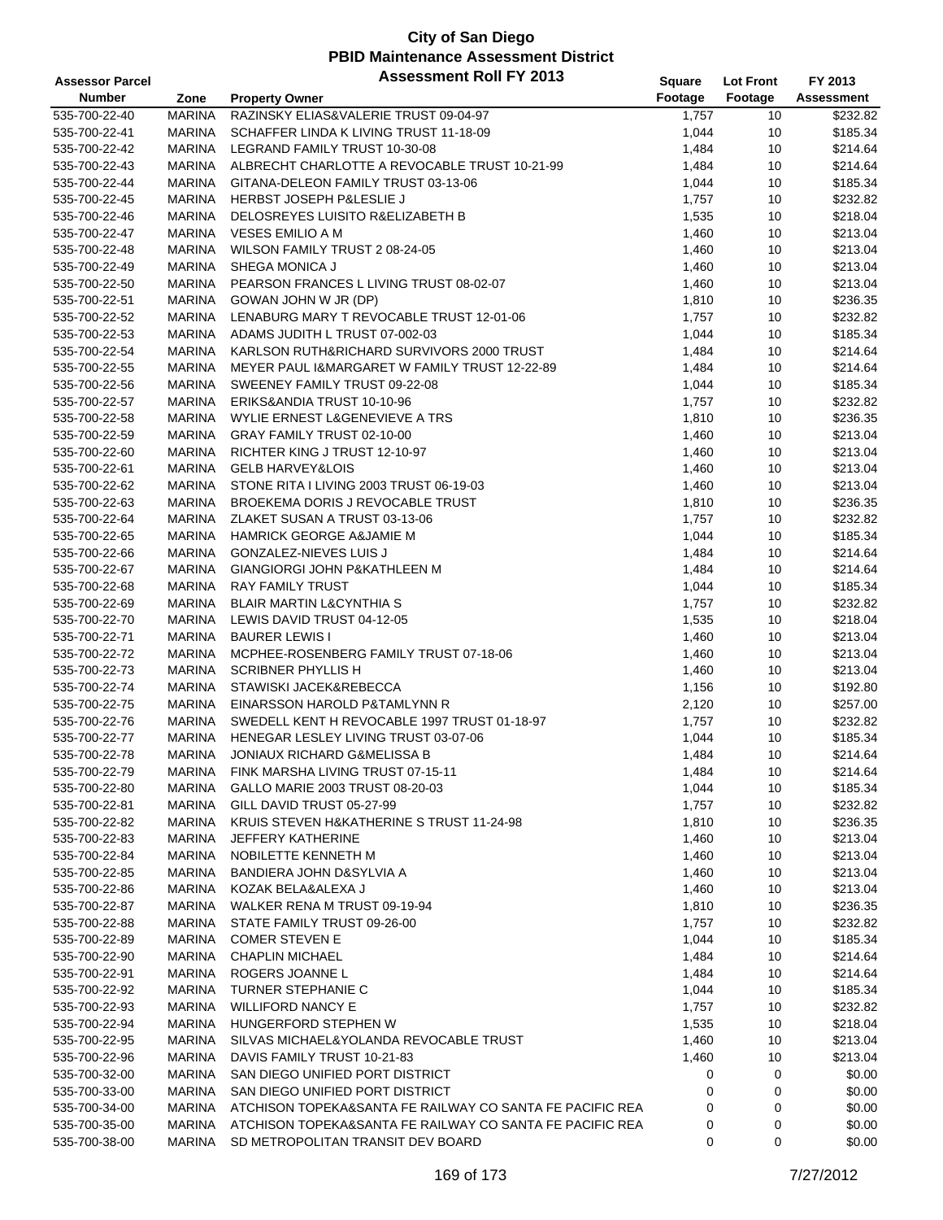| <b>Assessor Parcel</b>         |                                | <b>Assessment Roll FY 2013</b>                                                                | <b>Square</b>  | <b>Lot Front</b> | FY 2013           |
|--------------------------------|--------------------------------|-----------------------------------------------------------------------------------------------|----------------|------------------|-------------------|
| <b>Number</b>                  | Zone                           | <b>Property Owner</b>                                                                         | Footage        | Footage          | <b>Assessment</b> |
| 535-700-22-40                  | <b>MARINA</b>                  | RAZINSKY ELIAS&VALERIE TRUST 09-04-97                                                         | 1,757          | 10               | \$232.82          |
| 535-700-22-41                  | <b>MARINA</b>                  | SCHAFFER LINDA K LIVING TRUST 11-18-09                                                        | 1,044          | 10               | \$185.34          |
| 535-700-22-42                  | <b>MARINA</b>                  | LEGRAND FAMILY TRUST 10-30-08                                                                 | 1,484          | 10               | \$214.64          |
| 535-700-22-43                  | <b>MARINA</b>                  | ALBRECHT CHARLOTTE A REVOCABLE TRUST 10-21-99                                                 | 1,484          | 10               | \$214.64          |
| 535-700-22-44                  | <b>MARINA</b>                  | GITANA-DELEON FAMILY TRUST 03-13-06                                                           | 1,044          | 10               | \$185.34          |
| 535-700-22-45                  | <b>MARINA</b>                  | HERBST JOSEPH P&LESLIE J                                                                      | 1,757          | 10               | \$232.82          |
| 535-700-22-46                  | <b>MARINA</b>                  | DELOSREYES LUISITO R&ELIZABETH B                                                              | 1,535          | 10               | \$218.04          |
| 535-700-22-47                  | <b>MARINA</b>                  | <b>VESES EMILIO A M</b>                                                                       | 1,460          | 10               | \$213.04          |
| 535-700-22-48                  | <b>MARINA</b>                  | WILSON FAMILY TRUST 2 08-24-05                                                                | 1,460          | 10               | \$213.04          |
| 535-700-22-49                  | <b>MARINA</b>                  | SHEGA MONICA J                                                                                | 1,460          | 10               | \$213.04          |
| 535-700-22-50                  | <b>MARINA</b>                  | PEARSON FRANCES L LIVING TRUST 08-02-07                                                       | 1,460          | 10               | \$213.04          |
| 535-700-22-51                  | <b>MARINA</b>                  | GOWAN JOHN W JR (DP)                                                                          | 1,810          | 10               | \$236.35          |
| 535-700-22-52                  | <b>MARINA</b>                  | LENABURG MARY T REVOCABLE TRUST 12-01-06                                                      | 1,757          | 10               | \$232.82          |
| 535-700-22-53                  | <b>MARINA</b>                  | ADAMS JUDITH L TRUST 07-002-03                                                                | 1,044          | 10               | \$185.34          |
| 535-700-22-54                  | <b>MARINA</b>                  | KARLSON RUTH&RICHARD SURVIVORS 2000 TRUST                                                     | 1,484          | 10               | \$214.64          |
| 535-700-22-55                  | <b>MARINA</b>                  | MEYER PAUL I&MARGARET W FAMILY TRUST 12-22-89                                                 | 1,484          | 10               | \$214.64          |
| 535-700-22-56                  | <b>MARINA</b>                  | SWEENEY FAMILY TRUST 09-22-08                                                                 | 1,044          | 10               | \$185.34          |
| 535-700-22-57                  | <b>MARINA</b>                  | ERIKS&ANDIA TRUST 10-10-96                                                                    | 1,757          | 10               | \$232.82          |
| 535-700-22-58                  | <b>MARINA</b>                  | WYLIE ERNEST L&GENEVIEVE A TRS                                                                | 1,810          | 10               | \$236.35          |
| 535-700-22-59                  | <b>MARINA</b>                  | GRAY FAMILY TRUST 02-10-00                                                                    | 1,460          | 10               | \$213.04          |
| 535-700-22-60                  | <b>MARINA</b>                  | RICHTER KING J TRUST 12-10-97                                                                 | 1,460          | 10               | \$213.04          |
| 535-700-22-61                  | <b>MARINA</b>                  | <b>GELB HARVEY&amp;LOIS</b>                                                                   | 1,460          | 10               | \$213.04          |
| 535-700-22-62                  | <b>MARINA</b>                  | STONE RITA I LIVING 2003 TRUST 06-19-03                                                       | 1,460          | 10               | \$213.04          |
| 535-700-22-63                  | <b>MARINA</b>                  | BROEKEMA DORIS J REVOCABLE TRUST                                                              | 1,810          | 10               | \$236.35          |
| 535-700-22-64                  | <b>MARINA</b>                  | ZLAKET SUSAN A TRUST 03-13-06                                                                 | 1,757          | 10               | \$232.82          |
| 535-700-22-65                  | <b>MARINA</b>                  | <b>HAMRICK GEORGE A&amp;JAMIE M</b>                                                           | 1,044          | 10               | \$185.34          |
| 535-700-22-66                  | <b>MARINA</b>                  | GONZALEZ-NIEVES LUIS J                                                                        | 1,484          | 10               | \$214.64          |
| 535-700-22-67                  | <b>MARINA</b>                  | GIANGIORGI JOHN P&KATHLEEN M                                                                  | 1,484          | 10               | \$214.64          |
| 535-700-22-68                  | <b>MARINA</b>                  | <b>RAY FAMILY TRUST</b>                                                                       | 1,044          | 10               | \$185.34          |
| 535-700-22-69                  | <b>MARINA</b>                  | <b>BLAIR MARTIN L&amp;CYNTHIA S</b>                                                           | 1,757          | 10               | \$232.82          |
| 535-700-22-70                  | <b>MARINA</b>                  | LEWIS DAVID TRUST 04-12-05                                                                    | 1,535          | 10               | \$218.04          |
|                                | <b>MARINA</b>                  | <b>BAURER LEWIS I</b>                                                                         |                | 10               | \$213.04          |
| 535-700-22-71<br>535-700-22-72 | <b>MARINA</b>                  | MCPHEE-ROSENBERG FAMILY TRUST 07-18-06                                                        | 1,460<br>1,460 | 10               | \$213.04          |
| 535-700-22-73                  | <b>MARINA</b>                  | <b>SCRIBNER PHYLLIS H</b>                                                                     |                | 10               | \$213.04          |
| 535-700-22-74                  | MARINA                         | STAWISKI JACEK&REBECCA                                                                        | 1,460<br>1,156 | 10               | \$192.80          |
| 535-700-22-75                  | MARINA                         | EINARSSON HAROLD P&TAMLYNN R                                                                  | 2,120          | 10               | \$257.00          |
| 535-700-22-76                  | <b>MARINA</b>                  | SWEDELL KENT H REVOCABLE 1997 TRUST 01-18-97                                                  | 1,757          | 10               | \$232.82          |
| 535-700-22-77                  | <b>MARINA</b>                  | HENEGAR LESLEY LIVING TRUST 03-07-06                                                          | 1,044          | 10               | \$185.34          |
| 535-700-22-78                  | <b>MARINA</b>                  | <b>JONIAUX RICHARD G&amp;MELISSA B</b>                                                        | 1,484          | 10               | \$214.64          |
| 535-700-22-79                  | MARINA                         | FINK MARSHA LIVING TRUST 07-15-11                                                             | 1,484          | 10               | \$214.64          |
| 535-700-22-80                  | <b>MARINA</b>                  | GALLO MARIE 2003 TRUST 08-20-03                                                               | 1,044          | 10               | \$185.34          |
| 535-700-22-81                  | <b>MARINA</b>                  | GILL DAVID TRUST 05-27-99                                                                     | 1,757          |                  | \$232.82          |
| 535-700-22-82                  | <b>MARINA</b>                  | KRUIS STEVEN H&KATHERINE STRUST 11-24-98                                                      | 1,810          | 10<br>10         | \$236.35          |
| 535-700-22-83                  | <b>MARINA</b>                  | JEFFERY KATHERINE                                                                             | 1,460          | 10               | \$213.04          |
| 535-700-22-84                  | <b>MARINA</b>                  | NOBILETTE KENNETH M                                                                           | 1,460          | 10               | \$213.04          |
| 535-700-22-85                  | <b>MARINA</b>                  | BANDIERA JOHN D&SYLVIA A                                                                      | 1,460          | 10               | \$213.04          |
| 535-700-22-86                  | <b>MARINA</b>                  | KOZAK BELA&ALEXA J                                                                            | 1,460          | 10               | \$213.04          |
| 535-700-22-87                  | <b>MARINA</b>                  | WALKER RENA M TRUST 09-19-94                                                                  | 1,810          | 10               | \$236.35          |
| 535-700-22-88                  | MARINA                         | STATE FAMILY TRUST 09-26-00                                                                   | 1,757          | 10               | \$232.82          |
| 535-700-22-89                  | <b>MARINA</b>                  | <b>COMER STEVEN E</b>                                                                         | 1,044          | 10               | \$185.34          |
| 535-700-22-90                  | <b>MARINA</b>                  | <b>CHAPLIN MICHAEL</b>                                                                        | 1,484          |                  | \$214.64          |
| 535-700-22-91                  | <b>MARINA</b>                  | ROGERS JOANNE L                                                                               | 1,484          | 10               | \$214.64          |
| 535-700-22-92                  | <b>MARINA</b>                  | TURNER STEPHANIE C                                                                            |                | 10               | \$185.34          |
| 535-700-22-93                  | <b>MARINA</b>                  | <b>WILLIFORD NANCY E</b>                                                                      | 1,044          | 10               | \$232.82          |
|                                |                                |                                                                                               | 1,757          | 10               |                   |
| 535-700-22-94                  | <b>MARINA</b>                  | HUNGERFORD STEPHEN W                                                                          | 1,535          | 10               | \$218.04          |
| 535-700-22-95                  | <b>MARINA</b>                  | SILVAS MICHAEL&YOLANDA REVOCABLE TRUST                                                        | 1,460          | 10               | \$213.04          |
| 535-700-22-96                  | <b>MARINA</b>                  | DAVIS FAMILY TRUST 10-21-83                                                                   | 1,460          | 10               | \$213.04          |
| 535-700-32-00                  | <b>MARINA</b>                  | SAN DIEGO UNIFIED PORT DISTRICT                                                               | 0              | 0                | \$0.00            |
| 535-700-33-00                  | <b>MARINA</b>                  | SAN DIEGO UNIFIED PORT DISTRICT                                                               | 0              | 0                | \$0.00            |
| 535-700-34-00                  | MARINA                         | ATCHISON TOPEKA&SANTA FE RAILWAY CO SANTA FE PACIFIC REA                                      | 0              | 0                | \$0.00            |
| 535-700-35-00<br>535-700-38-00 | <b>MARINA</b><br><b>MARINA</b> | ATCHISON TOPEKA&SANTA FE RAILWAY CO SANTA FE PACIFIC REA<br>SD METROPOLITAN TRANSIT DEV BOARD | 0<br>0         | 0<br>0           | \$0.00<br>\$0.00  |
|                                |                                |                                                                                               |                |                  |                   |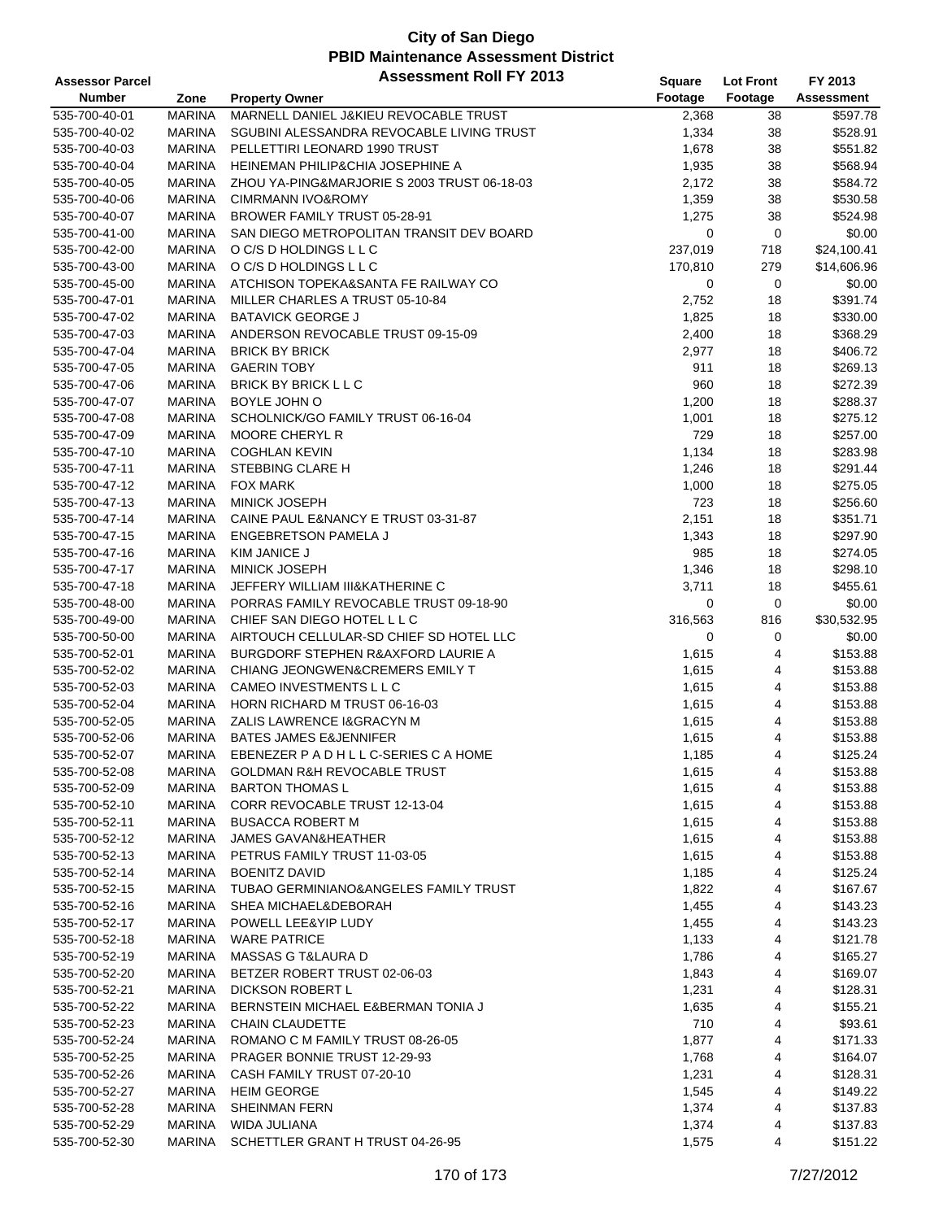| <b>Assessor Parcel</b> |               | <b>Assessment Roll FY 2013</b>                | <b>Square</b> | <b>Lot Front</b> | FY 2013           |
|------------------------|---------------|-----------------------------------------------|---------------|------------------|-------------------|
| <b>Number</b>          | Zone          | <b>Property Owner</b>                         | Footage       | Footage          | <b>Assessment</b> |
| 535-700-40-01          | <b>MARINA</b> | MARNELL DANIEL J&KIEU REVOCABLE TRUST         | 2,368         | 38               | \$597.78          |
| 535-700-40-02          | <b>MARINA</b> | SGUBINI ALESSANDRA REVOCABLE LIVING TRUST     | 1,334         | 38               | \$528.91          |
| 535-700-40-03          | <b>MARINA</b> | PELLETTIRI LEONARD 1990 TRUST                 | 1,678         | 38               | \$551.82          |
| 535-700-40-04          | <b>MARINA</b> | HEINEMAN PHILIP&CHIA JOSEPHINE A              | 1,935         | 38               | \$568.94          |
| 535-700-40-05          | <b>MARINA</b> | ZHOU YA-PING&MARJORIE S 2003 TRUST 06-18-03   | 2,172         | 38               | \$584.72          |
| 535-700-40-06          | <b>MARINA</b> | CIMRMANN IVO&ROMY                             | 1,359         | 38               | \$530.58          |
| 535-700-40-07          | <b>MARINA</b> | BROWER FAMILY TRUST 05-28-91                  | 1,275         | 38               | \$524.98          |
| 535-700-41-00          | <b>MARINA</b> | SAN DIEGO METROPOLITAN TRANSIT DEV BOARD      | 0             | 0                | \$0.00            |
| 535-700-42-00          | <b>MARINA</b> | O C/S D HOLDINGS L L C                        | 237,019       |                  | \$24,100.41       |
|                        | <b>MARINA</b> |                                               |               | 718              |                   |
| 535-700-43-00          |               | O C/S D HOLDINGS L L C                        | 170,810       | 279              | \$14,606.96       |
| 535-700-45-00          | <b>MARINA</b> | ATCHISON TOPEKA&SANTA FE RAILWAY CO           | 0             | 0                | \$0.00            |
| 535-700-47-01          | <b>MARINA</b> | MILLER CHARLES A TRUST 05-10-84               | 2,752         | 18               | \$391.74          |
| 535-700-47-02          | <b>MARINA</b> | <b>BATAVICK GEORGE J</b>                      | 1,825         | 18               | \$330.00          |
| 535-700-47-03          | <b>MARINA</b> | ANDERSON REVOCABLE TRUST 09-15-09             | 2,400         | 18               | \$368.29          |
| 535-700-47-04          | <b>MARINA</b> | <b>BRICK BY BRICK</b>                         | 2,977         | 18               | \$406.72          |
| 535-700-47-05          | <b>MARINA</b> | <b>GAERIN TOBY</b>                            | 911           | 18               | \$269.13          |
| 535-700-47-06          | <b>MARINA</b> | BRICK BY BRICK L L C                          | 960           | 18               | \$272.39          |
| 535-700-47-07          | <b>MARINA</b> | BOYLE JOHN O                                  | 1,200         | 18               | \$288.37          |
| 535-700-47-08          | <b>MARINA</b> | SCHOLNICK/GO FAMILY TRUST 06-16-04            | 1,001         | 18               | \$275.12          |
| 535-700-47-09          | <b>MARINA</b> | <b>MOORE CHERYL R</b>                         | 729           | 18               | \$257.00          |
| 535-700-47-10          | <b>MARINA</b> | <b>COGHLAN KEVIN</b>                          | 1,134         | 18               | \$283.98          |
| 535-700-47-11          | <b>MARINA</b> | <b>STEBBING CLARE H</b>                       | 1,246         | 18               | \$291.44          |
| 535-700-47-12          | <b>MARINA</b> | <b>FOX MARK</b>                               | 1,000         | 18               | \$275.05          |
| 535-700-47-13          | <b>MARINA</b> | <b>MINICK JOSEPH</b>                          | 723           | 18               | \$256.60          |
| 535-700-47-14          | <b>MARINA</b> | CAINE PAUL E&NANCY E TRUST 03-31-87           | 2,151         | 18               | \$351.71          |
| 535-700-47-15          | <b>MARINA</b> | <b>ENGEBRETSON PAMELA J</b>                   | 1,343         | 18               | \$297.90          |
| 535-700-47-16          | <b>MARINA</b> | <b>KIM JANICE J</b>                           | 985           | 18               | \$274.05          |
| 535-700-47-17          | <b>MARINA</b> | <b>MINICK JOSEPH</b>                          | 1,346         | 18               | \$298.10          |
| 535-700-47-18          | <b>MARINA</b> | JEFFERY WILLIAM III&KATHERINE C               | 3,711         | 18               | \$455.61          |
| 535-700-48-00          | <b>MARINA</b> | PORRAS FAMILY REVOCABLE TRUST 09-18-90        | 0             | 0                | \$0.00            |
| 535-700-49-00          | <b>MARINA</b> | CHIEF SAN DIEGO HOTEL L L C                   | 316,563       | 816              | \$30,532.95       |
| 535-700-50-00          | <b>MARINA</b> | AIRTOUCH CELLULAR-SD CHIEF SD HOTEL LLC       | 0             | 0                | \$0.00            |
| 535-700-52-01          | <b>MARINA</b> | <b>BURGDORF STEPHEN R&amp;AXFORD LAURIE A</b> |               | 4                | \$153.88          |
|                        | <b>MARINA</b> | <b>CHIANG JEONGWEN&amp;CREMERS EMILY T</b>    | 1,615         |                  |                   |
| 535-700-52-02          |               |                                               | 1,615         | 4                | \$153.88          |
| 535-700-52-03          | <b>MARINA</b> | CAMEO INVESTMENTS L L C                       | 1,615         | 4                | \$153.88          |
| 535-700-52-04          | <b>MARINA</b> | HORN RICHARD M TRUST 06-16-03                 | 1,615         | 4                | \$153.88          |
| 535-700-52-05          | <b>MARINA</b> | ZALIS LAWRENCE I&GRACYN M                     | 1,615         | 4                | \$153.88          |
| 535-700-52-06          | <b>MARINA</b> | <b>BATES JAMES E&amp;JENNIFER</b>             | 1,615         | 4                | \$153.88          |
| 535-700-52-07          | <b>MARINA</b> | EBENEZER P A D H L L C-SERIES C A HOME        | 1,185         | $\overline{4}$   | \$125.24          |
| 535-700-52-08          | MARINA        | GOLDMAN R&H REVOCABLE TRUST                   | 1,615         | 4                | \$153.88          |
| 535-700-52-09          | <b>MARINA</b> | <b>BARTON THOMAS L</b>                        | 1,615         | 4                | \$153.88          |
| 535-700-52-10          | <b>MARINA</b> | <b>CORR REVOCABLE TRUST 12-13-04</b>          | 1,615         | 4                | \$153.88          |
| 535-700-52-11          | <b>MARINA</b> | <b>BUSACCA ROBERT M</b>                       | 1,615         | 4                | \$153.88          |
| 535-700-52-12          | <b>MARINA</b> | <b>JAMES GAVAN&amp;HEATHER</b>                | 1,615         | 4                | \$153.88          |
| 535-700-52-13          | <b>MARINA</b> | PETRUS FAMILY TRUST 11-03-05                  | 1,615         | 4                | \$153.88          |
| 535-700-52-14          | <b>MARINA</b> | <b>BOENITZ DAVID</b>                          | 1,185         | 4                | \$125.24          |
| 535-700-52-15          | <b>MARINA</b> | TUBAO GERMINIANO&ANGELES FAMILY TRUST         | 1,822         | 4                | \$167.67          |
| 535-700-52-16          | <b>MARINA</b> | SHEA MICHAEL&DEBORAH                          | 1,455         | 4                | \$143.23          |
| 535-700-52-17          | MARINA        | POWELL LEE&YIP LUDY                           | 1,455         | 4                | \$143.23          |
| 535-700-52-18          | <b>MARINA</b> | <b>WARE PATRICE</b>                           | 1,133         | 4                | \$121.78          |
| 535-700-52-19          | <b>MARINA</b> | MASSAS G T&LAURA D                            | 1,786         | 4                | \$165.27          |
| 535-700-52-20          | MARINA        | BETZER ROBERT TRUST 02-06-03                  | 1,843         | 4                | \$169.07          |
| 535-700-52-21          | <b>MARINA</b> | <b>DICKSON ROBERT L</b>                       | 1,231         | 4                | \$128.31          |
| 535-700-52-22          | <b>MARINA</b> | BERNSTEIN MICHAEL E&BERMAN TONIA J            | 1,635         | 4                | \$155.21          |
| 535-700-52-23          | <b>MARINA</b> | CHAIN CLAUDETTE                               | 710           | 4                | \$93.61           |
| 535-700-52-24          | <b>MARINA</b> | ROMANO C M FAMILY TRUST 08-26-05              | 1,877         | 4                | \$171.33          |
| 535-700-52-25          | MARINA        | PRAGER BONNIE TRUST 12-29-93                  | 1,768         | 4                | \$164.07          |
| 535-700-52-26          | <b>MARINA</b> | CASH FAMILY TRUST 07-20-10                    | 1,231         | 4                | \$128.31          |
| 535-700-52-27          | <b>MARINA</b> | <b>HEIM GEORGE</b>                            | 1,545         | 4                | \$149.22          |
| 535-700-52-28          | MARINA        | <b>SHEINMAN FERN</b>                          | 1,374         | 4                | \$137.83          |
| 535-700-52-29          | <b>MARINA</b> | WIDA JULIANA                                  | 1,374         | 4                | \$137.83          |
| 535-700-52-30          | <b>MARINA</b> | SCHETTLER GRANT H TRUST 04-26-95              | 1,575         | 4                | \$151.22          |
|                        |               |                                               |               |                  |                   |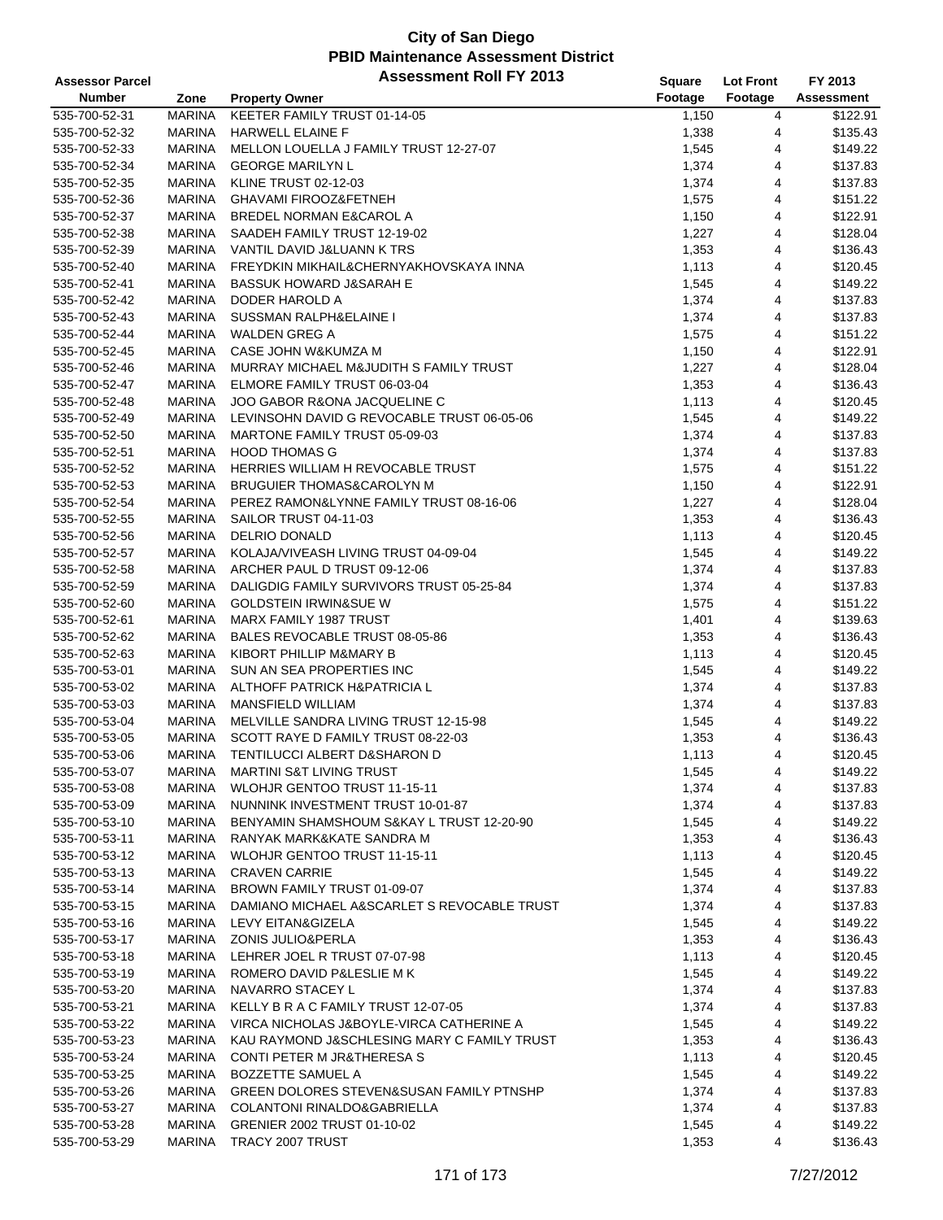| <b>Assessor Parcel</b> |               | <b>Assessment Roll FY 2013</b>                      | <b>Square</b> | <b>Lot Front</b> | FY 2013              |
|------------------------|---------------|-----------------------------------------------------|---------------|------------------|----------------------|
| Number                 | Zone          | <b>Property Owner</b>                               | Footage       | Footage          | Assessment           |
| 535-700-52-31          | <b>MARINA</b> | KEETER FAMILY TRUST 01-14-05                        | 1,150         | 4                | \$122.91             |
| 535-700-52-32          | <b>MARINA</b> | <b>HARWELL ELAINE F</b>                             | 1,338         | 4                | \$135.43             |
| 535-700-52-33          | <b>MARINA</b> | MELLON LOUELLA J FAMILY TRUST 12-27-07              | 1,545         | 4                | \$149.22             |
| 535-700-52-34          | <b>MARINA</b> | <b>GEORGE MARILYN L</b>                             | 1,374         | 4                | \$137.83             |
| 535-700-52-35          | <b>MARINA</b> | KLINE TRUST 02-12-03                                | 1,374         | 4                | \$137.83             |
| 535-700-52-36          | <b>MARINA</b> | GHAVAMI FIROOZ&FETNEH                               | 1,575         | 4                | \$151.22             |
|                        | <b>MARINA</b> | BREDEL NORMAN E&CAROL A                             |               | 4                |                      |
| 535-700-52-37          |               |                                                     | 1,150         |                  | \$122.91             |
| 535-700-52-38          | <b>MARINA</b> | SAADEH FAMILY TRUST 12-19-02                        | 1,227         | 4                | \$128.04             |
| 535-700-52-39          | MARINA        | VANTIL DAVID J&LUANN K TRS                          | 1,353         | 4                | \$136.43             |
| 535-700-52-40          | <b>MARINA</b> | FREYDKIN MIKHAIL&CHERNYAKHOVSKAYA INNA              | 1,113         | 4                | \$120.45             |
| 535-700-52-41          | <b>MARINA</b> | <b>BASSUK HOWARD J&amp;SARAH E</b>                  | 1,545         | 4                | \$149.22             |
| 535-700-52-42          | MARINA        | DODER HAROLD A                                      | 1,374         | 4                | \$137.83             |
| 535-700-52-43          | MARINA        | SUSSMAN RALPH&ELAINE I                              | 1,374         | 4                | \$137.83             |
| 535-700-52-44          | <b>MARINA</b> | <b>WALDEN GREG A</b>                                | 1,575         | 4                | \$151.22             |
| 535-700-52-45          | <b>MARINA</b> | CASE JOHN W&KUMZA M                                 | 1,150         | 4                | \$122.91             |
| 535-700-52-46          | <b>MARINA</b> | MURRAY MICHAEL M&JUDITH S FAMILY TRUST              | 1,227         | 4                | \$128.04             |
| 535-700-52-47          | <b>MARINA</b> | ELMORE FAMILY TRUST 06-03-04                        | 1,353         | 4                | \$136.43             |
| 535-700-52-48          | <b>MARINA</b> | JOO GABOR R&ONA JACQUELINE C                        | 1,113         | 4                | \$120.45             |
| 535-700-52-49          | <b>MARINA</b> | LEVINSOHN DAVID G REVOCABLE TRUST 06-05-06          | 1,545         | 4                | \$149.22             |
| 535-700-52-50          | <b>MARINA</b> | MARTONE FAMILY TRUST 05-09-03                       | 1,374         | 4                | \$137.83             |
| 535-700-52-51          | <b>MARINA</b> | <b>HOOD THOMAS G</b>                                | 1,374         | 4                | \$137.83             |
| 535-700-52-52          | <b>MARINA</b> | HERRIES WILLIAM H REVOCABLE TRUST                   | 1,575         | 4                | \$151.22             |
| 535-700-52-53          | MARINA        | <b>BRUGUIER THOMAS&amp;CAROLYN M</b>                | 1,150         | 4                | \$122.91             |
| 535-700-52-54          | MARINA        | PEREZ RAMON&LYNNE FAMILY TRUST 08-16-06             | 1,227         | 4                | \$128.04             |
| 535-700-52-55          | <b>MARINA</b> | SAILOR TRUST 04-11-03                               | 1,353         | 4                | \$136.43             |
| 535-700-52-56          | <b>MARINA</b> | <b>DELRIO DONALD</b>                                | 1,113         | 4                | \$120.45             |
| 535-700-52-57          | <b>MARINA</b> | KOLAJA/VIVEASH LIVING TRUST 04-09-04                | 1,545         | 4                | \$149.22             |
| 535-700-52-58          | MARINA        | ARCHER PAUL D TRUST 09-12-06                        | 1,374         | 4                | \$137.83             |
| 535-700-52-59          | <b>MARINA</b> | DALIGDIG FAMILY SURVIVORS TRUST 05-25-84            | 1,374         | 4                | \$137.83             |
| 535-700-52-60          | <b>MARINA</b> | <b>GOLDSTEIN IRWIN&amp;SUE W</b>                    | 1,575         | 4                | \$151.22             |
| 535-700-52-61          | <b>MARINA</b> | MARX FAMILY 1987 TRUST                              | 1,401         | 4                | \$139.63             |
| 535-700-52-62          | <b>MARINA</b> | BALES REVOCABLE TRUST 08-05-86                      | 1,353         | 4                | \$136.43             |
| 535-700-52-63          | <b>MARINA</b> | KIBORT PHILLIP M&MARY B                             | 1,113         | 4                | \$120.45             |
| 535-700-53-01          | <b>MARINA</b> | SUN AN SEA PROPERTIES INC                           | 1,545         | 4                | \$149.22             |
|                        | MARINA        | ALTHOFF PATRICK H&PATRICIA L                        |               | 4                | \$137.83             |
| 535-700-53-02          |               | <b>MANSFIELD WILLIAM</b>                            | 1,374         |                  |                      |
| 535-700-53-03          | MARINA        |                                                     | 1,374         | 4                | \$137.83<br>\$149.22 |
| 535-700-53-04          | <b>MARINA</b> | MELVILLE SANDRA LIVING TRUST 12-15-98               | 1,545         | 4                |                      |
| 535-700-53-05          | <b>MARINA</b> | SCOTT RAYE D FAMILY TRUST 08-22-03                  | 1,353         | 4                | \$136.43             |
| 535-700-53-06          | <b>MARINA</b> | TENTILUCCI ALBERT D&SHARON D                        | 1,113         | $\overline{4}$   | \$120.45             |
| 535-700-53-07          | MARINA        | <b>MARTINI S&amp;T LIVING TRUST</b>                 | 1,545         | 4                | \$149.22             |
| 535-700-53-08          | <b>MARINA</b> | WLOHJR GENTOO TRUST 11-15-11                        | 1,374         | 4                | \$137.83             |
| 535-700-53-09          | MARINA        | NUNNINK INVESTMENT TRUST 10-01-87                   | 1,374         | 4                | \$137.83             |
| 535-700-53-10          | MARINA        | BENYAMIN SHAMSHOUM S&KAY L TRUST 12-20-90           | 1,545         | 4                | \$149.22             |
| 535-700-53-11          | <b>MARINA</b> | RANYAK MARK&KATE SANDRA M                           | 1,353         | 4                | \$136.43             |
| 535-700-53-12          | MARINA        | WLOHJR GENTOO TRUST 11-15-11                        | 1,113         | 4                | \$120.45             |
| 535-700-53-13          | MARINA        | <b>CRAVEN CARRIE</b>                                | 1,545         | 4                | \$149.22             |
| 535-700-53-14          | MARINA        | BROWN FAMILY TRUST 01-09-07                         | 1,374         | 4                | \$137.83             |
| 535-700-53-15          | MARINA        | DAMIANO MICHAEL A&SCARLET S REVOCABLE TRUST         | 1,374         | 4                | \$137.83             |
| 535-700-53-16          | MARINA        | LEVY EITAN&GIZELA                                   | 1,545         | 4                | \$149.22             |
| 535-700-53-17          | MARINA        | <b>ZONIS JULIO&amp;PERLA</b>                        | 1,353         | 4                | \$136.43             |
| 535-700-53-18          | MARINA        | LEHRER JOEL R TRUST 07-07-98                        | 1,113         | 4                | \$120.45             |
| 535-700-53-19          | MARINA        | ROMERO DAVID P&LESLIE M K                           | 1,545         | 4                | \$149.22             |
| 535-700-53-20          | MARINA        | NAVARRO STACEY L                                    | 1,374         | 4                | \$137.83             |
| 535-700-53-21          | <b>MARINA</b> | KELLY B R A C FAMILY TRUST 12-07-05                 | 1,374         | 4                | \$137.83             |
| 535-700-53-22          | <b>MARINA</b> | VIRCA NICHOLAS J&BOYLE-VIRCA CATHERINE A            | 1,545         | 4                | \$149.22             |
| 535-700-53-23          | MARINA        | KAU RAYMOND J&SCHLESING MARY C FAMILY TRUST         | 1,353         | 4                | \$136.43             |
| 535-700-53-24          | MARINA        | CONTI PETER M JR&THERESA S                          | 1,113         | 4                | \$120.45             |
| 535-700-53-25          | <b>MARINA</b> | <b>BOZZETTE SAMUEL A</b>                            | 1,545         | 4                | \$149.22             |
| 535-700-53-26          | <b>MARINA</b> | <b>GREEN DOLORES STEVEN&amp;SUSAN FAMILY PTNSHP</b> | 1,374         | 4                | \$137.83             |
| 535-700-53-27          | MARINA        | COLANTONI RINALDO&GABRIELLA                         | 1,374         | 4                | \$137.83             |
| 535-700-53-28          | MARINA        | GRENIER 2002 TRUST 01-10-02                         | 1,545         | 4                | \$149.22             |
| 535-700-53-29          | <b>MARINA</b> | TRACY 2007 TRUST                                    | 1,353         | 4                | \$136.43             |
|                        |               |                                                     |               |                  |                      |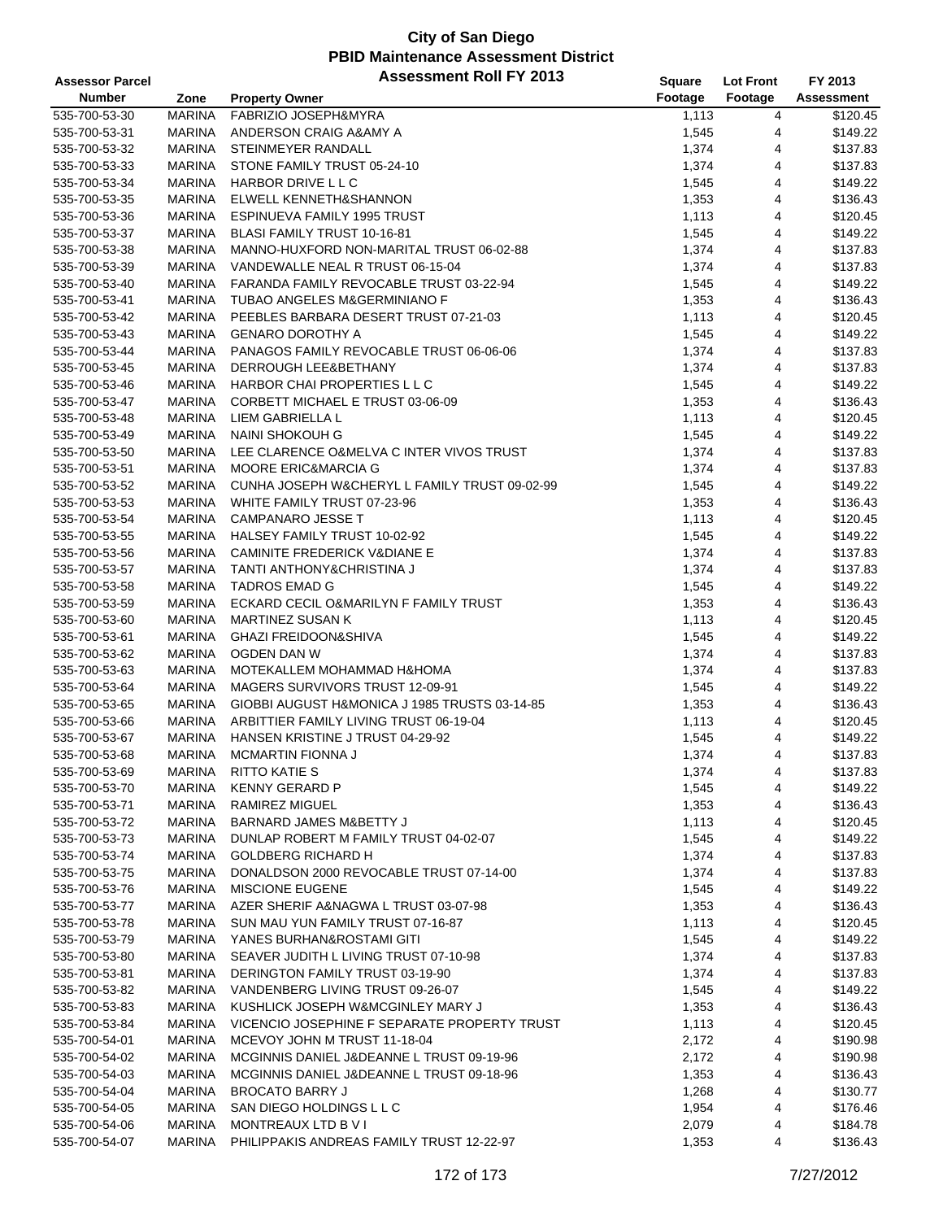| <b>Assessor Parcel</b>         |                         | <b>Assessment Roll FY 2013</b>                | Square         | <b>Lot Front</b> | FY 2013              |
|--------------------------------|-------------------------|-----------------------------------------------|----------------|------------------|----------------------|
| <b>Number</b>                  | Zone                    | <b>Property Owner</b>                         | Footage        | Footage          | Assessment           |
| 535-700-53-30                  | <b>MARINA</b>           | FABRIZIO JOSEPH&MYRA                          | 1,113          | 4                | \$120.45             |
| 535-700-53-31                  | <b>MARINA</b>           | ANDERSON CRAIG A&AMY A                        | 1,545          | 4                | \$149.22             |
| 535-700-53-32                  | <b>MARINA</b>           | STEINMEYER RANDALL                            | 1,374          | 4                | \$137.83             |
| 535-700-53-33                  | <b>MARINA</b>           | STONE FAMILY TRUST 05-24-10                   | 1,374          | 4                | \$137.83             |
| 535-700-53-34                  | <b>MARINA</b>           | HARBOR DRIVE L L C                            | 1,545          | 4                | \$149.22             |
| 535-700-53-35                  | <b>MARINA</b>           | ELWELL KENNETH&SHANNON                        | 1,353          | 4                | \$136.43             |
| 535-700-53-36                  | MARINA                  | ESPINUEVA FAMILY 1995 TRUST                   | 1,113          | 4                | \$120.45             |
| 535-700-53-37                  | <b>MARINA</b>           | BLASI FAMILY TRUST 10-16-81                   | 1,545          | 4                | \$149.22             |
| 535-700-53-38                  | <b>MARINA</b>           | MANNO-HUXFORD NON-MARITAL TRUST 06-02-88      | 1,374          | 4                | \$137.83             |
| 535-700-53-39                  | <b>MARINA</b>           | VANDEWALLE NEAL R TRUST 06-15-04              | 1,374          | 4                | \$137.83             |
| 535-700-53-40                  | <b>MARINA</b>           | FARANDA FAMILY REVOCABLE TRUST 03-22-94       | 1,545          | 4                | \$149.22             |
| 535-700-53-41                  | MARINA                  | TUBAO ANGELES M&GERMINIANO F                  | 1,353          | 4                | \$136.43             |
| 535-700-53-42                  | MARINA                  | PEEBLES BARBARA DESERT TRUST 07-21-03         | 1,113          | 4                | \$120.45             |
|                                | MARINA                  | <b>GENARO DOROTHY A</b>                       |                | 4                | \$149.22             |
| 535-700-53-43                  |                         |                                               | 1,545          |                  |                      |
| 535-700-53-44                  | <b>MARINA</b>           | PANAGOS FAMILY REVOCABLE TRUST 06-06-06       | 1,374          | 4                | \$137.83             |
| 535-700-53-45                  | <b>MARINA</b>           | DERROUGH LEE&BETHANY                          | 1,374          | 4                | \$137.83             |
| 535-700-53-46                  | MARINA                  | HARBOR CHAI PROPERTIES L L C                  | 1,545          | 4                | \$149.22             |
| 535-700-53-47                  | MARINA                  | CORBETT MICHAEL E TRUST 03-06-09              | 1,353          | 4                | \$136.43             |
| 535-700-53-48                  | <b>MARINA</b>           | LIEM GABRIELLA L                              | 1,113          | 4                | \$120.45             |
| 535-700-53-49                  | <b>MARINA</b>           | NAINI SHOKOUH G                               | 1,545          | 4                | \$149.22             |
| 535-700-53-50                  | <b>MARINA</b>           | LEE CLARENCE O&MELVA C INTER VIVOS TRUST      | 1,374          | 4                | \$137.83             |
| 535-700-53-51                  | <b>MARINA</b>           | <b>MOORE ERIC&amp;MARCIA G</b>                | 1,374          | 4                | \$137.83             |
| 535-700-53-52                  | MARINA                  | CUNHA JOSEPH W&CHERYL L FAMILY TRUST 09-02-99 | 1,545          | 4                | \$149.22             |
| 535-700-53-53                  | MARINA                  | WHITE FAMILY TRUST 07-23-96                   | 1,353          | 4                | \$136.43             |
| 535-700-53-54                  | <b>MARINA</b>           | <b>CAMPANARO JESSE T</b>                      | 1,113          | 4                | \$120.45             |
| 535-700-53-55                  | <b>MARINA</b>           | HALSEY FAMILY TRUST 10-02-92                  | 1,545          | 4                | \$149.22             |
| 535-700-53-56                  | <b>MARINA</b>           | CAMINITE FREDERICK V&DIANE E                  | 1,374          | 4                | \$137.83             |
| 535-700-53-57                  | MARINA                  | TANTI ANTHONY&CHRISTINA J                     | 1,374          | 4                | \$137.83             |
| 535-700-53-58                  | MARINA                  | <b>TADROS EMAD G</b>                          | 1,545          | 4                | \$149.22             |
| 535-700-53-59                  | <b>MARINA</b>           | ECKARD CECIL O&MARILYN F FAMILY TRUST         | 1,353          | 4                | \$136.43             |
| 535-700-53-60                  | <b>MARINA</b>           | <b>MARTINEZ SUSAN K</b>                       | 1,113          | 4                | \$120.45             |
| 535-700-53-61                  | <b>MARINA</b>           | <b>GHAZI FREIDOON&amp;SHIVA</b>               | 1,545          | 4                | \$149.22             |
| 535-700-53-62                  | <b>MARINA</b>           | OGDEN DAN W                                   | 1,374          | 4                | \$137.83             |
| 535-700-53-63                  | <b>MARINA</b>           | MOTEKALLEM MOHAMMAD H&HOMA                    | 1,374          | 4                | \$137.83             |
| 535-700-53-64                  | MARINA                  | MAGERS SURVIVORS TRUST 12-09-91               | 1,545          | 4                | \$149.22             |
| 535-700-53-65                  | MARINA                  | GIOBBI AUGUST H&MONICA J 1985 TRUSTS 03-14-85 | 1,353          | 4                | \$136.43             |
| 535-700-53-66                  | <b>MARINA</b>           | ARBITTIER FAMILY LIVING TRUST 06-19-04        | 1,113          | 4                | \$120.45             |
| 535-700-53-67                  | <b>MARINA</b>           | HANSEN KRISTINE J TRUST 04-29-92              | 1,545          | 4                | \$149.22             |
| 535-700-53-68                  | <b>MARINA</b>           | <b>MCMARTIN FIONNA J</b>                      | 1,374          | 4                | \$137.83             |
| 535-700-53-69                  | MARINA                  | <b>RITTO KATIE S</b>                          | 1,374          | 4                | \$137.83             |
| 535-700-53-70                  | <b>MARINA</b>           | <b>KENNY GERARD P</b>                         | 1,545          | 4                | \$149.22             |
| 535-700-53-71                  | MARINA                  | <b>RAMIREZ MIGUEL</b>                         | 1,353          | 4                | \$136.43             |
| 535-700-53-72                  | <b>MARINA</b>           | BARNARD JAMES M&BETTY J                       | 1,113          | 4                | \$120.45             |
| 535-700-53-73                  | MARINA                  | DUNLAP ROBERT M FAMILY TRUST 04-02-07         | 1,545          | 4                | \$149.22             |
| 535-700-53-74                  | MARINA                  | <b>GOLDBERG RICHARD H</b>                     | 1,374          | 4                | \$137.83             |
| 535-700-53-75                  | MARINA                  | DONALDSON 2000 REVOCABLE TRUST 07-14-00       | 1,374          | 4                | \$137.83             |
| 535-700-53-76                  | <b>MARINA</b>           | <b>MISCIONE EUGENE</b>                        | 1,545          | 4                | \$149.22             |
| 535-700-53-77                  | <b>MARINA</b>           | AZER SHERIF A&NAGWA L TRUST 03-07-98          | 1,353          | 4                | \$136.43             |
| 535-700-53-78                  | MARINA                  | SUN MAU YUN FAMILY TRUST 07-16-87             | 1,113          | 4                | \$120.45             |
| 535-700-53-79                  | MARINA                  | YANES BURHAN&ROSTAMI GITI                     | 1,545          | 4                | \$149.22             |
| 535-700-53-80                  | <b>MARINA</b>           | SEAVER JUDITH L LIVING TRUST 07-10-98         | 1,374          | 4                | \$137.83             |
| 535-700-53-81                  | MARINA                  | DERINGTON FAMILY TRUST 03-19-90               | 1,374          | 4                | \$137.83             |
| 535-700-53-82                  | MARINA                  | VANDENBERG LIVING TRUST 09-26-07              | 1,545          | 4                | \$149.22             |
| 535-700-53-83                  | MARINA                  | KUSHLICK JOSEPH W&MCGINLEY MARY J             | 1,353          | 4                | \$136.43             |
| 535-700-53-84                  | <b>MARINA</b>           | VICENCIO JOSEPHINE F SEPARATE PROPERTY TRUST  | 1,113          | 4                | \$120.45             |
| 535-700-54-01                  | <b>MARINA</b>           | MCEVOY JOHN M TRUST 11-18-04                  | 2,172          | 4                | \$190.98             |
| 535-700-54-02                  | MARINA                  | MCGINNIS DANIEL J&DEANNE L TRUST 09-19-96     | 2,172          | 4                | \$190.98             |
| 535-700-54-03                  | <b>MARINA</b>           | MCGINNIS DANIEL J&DEANNE L TRUST 09-18-96     | 1,353          | 4                | \$136.43             |
| 535-700-54-04                  | <b>MARINA</b>           | <b>BROCATO BARRY J</b>                        | 1,268          | 4                | \$130.77             |
|                                |                         | SAN DIEGO HOLDINGS L L C                      |                | 4                |                      |
| 535-700-54-05                  | MARINA<br><b>MARINA</b> | MONTREAUX LTD B V I                           | 1,954          |                  | \$176.46             |
| 535-700-54-06<br>535-700-54-07 | MARINA                  | PHILIPPAKIS ANDREAS FAMILY TRUST 12-22-97     | 2,079<br>1,353 | 4<br>4           | \$184.78<br>\$136.43 |
|                                |                         |                                               |                |                  |                      |